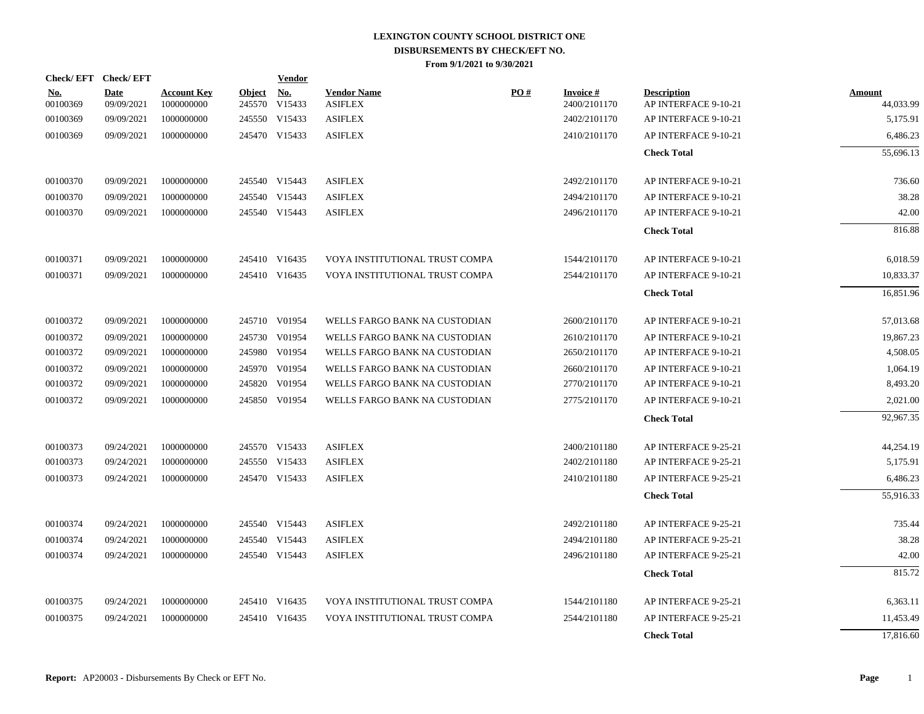|                        | Check/EFT Check/EFT |                                  |               | <b>Vendor</b>               |                                      |     |                                    |                                            |                            |
|------------------------|---------------------|----------------------------------|---------------|-----------------------------|--------------------------------------|-----|------------------------------------|--------------------------------------------|----------------------------|
| <u>No.</u><br>00100369 | Date<br>09/09/2021  | <b>Account Key</b><br>1000000000 | <b>Object</b> | <u>No.</u><br>245570 V15433 | <b>Vendor Name</b><br><b>ASIFLEX</b> | PO# | <b>Invoice</b> $#$<br>2400/2101170 | <b>Description</b><br>AP INTERFACE 9-10-21 | <b>Amount</b><br>44,033.99 |
| 00100369               | 09/09/2021          | 1000000000                       |               | 245550 V15433               | <b>ASIFLEX</b>                       |     | 2402/2101170                       | AP INTERFACE 9-10-21                       | 5,175.91                   |
| 00100369               | 09/09/2021          | 1000000000                       |               | 245470 V15433               | <b>ASIFLEX</b>                       |     | 2410/2101170                       | AP INTERFACE 9-10-21                       | 6,486.23                   |
|                        |                     |                                  |               |                             |                                      |     |                                    | <b>Check Total</b>                         | 55,696.13                  |
| 00100370               | 09/09/2021          | 1000000000                       |               | 245540 V15443               | <b>ASIFLEX</b>                       |     | 2492/2101170                       | AP INTERFACE 9-10-21                       | 736.60                     |
| 00100370               | 09/09/2021          | 1000000000                       |               | 245540 V15443               | <b>ASIFLEX</b>                       |     | 2494/2101170                       | AP INTERFACE 9-10-21                       | 38.28                      |
| 00100370               | 09/09/2021          | 1000000000                       |               | 245540 V15443               | <b>ASIFLEX</b>                       |     | 2496/2101170                       | AP INTERFACE 9-10-21                       | 42.00                      |
|                        |                     |                                  |               |                             |                                      |     |                                    | <b>Check Total</b>                         | 816.88                     |
| 00100371               | 09/09/2021          | 1000000000                       |               | 245410 V16435               | VOYA INSTITUTIONAL TRUST COMPA       |     | 1544/2101170                       | AP INTERFACE 9-10-21                       | 6,018.59                   |
| 00100371               | 09/09/2021          | 1000000000                       |               | 245410 V16435               | VOYA INSTITUTIONAL TRUST COMPA       |     | 2544/2101170                       | AP INTERFACE 9-10-21                       | 10,833.37                  |
|                        |                     |                                  |               |                             |                                      |     |                                    | <b>Check Total</b>                         | 16,851.96                  |
| 00100372               | 09/09/2021          | 1000000000                       |               | 245710 V01954               | WELLS FARGO BANK NA CUSTODIAN        |     | 2600/2101170                       | AP INTERFACE 9-10-21                       | 57,013.68                  |
| 00100372               | 09/09/2021          | 1000000000                       |               | 245730 V01954               | WELLS FARGO BANK NA CUSTODIAN        |     | 2610/2101170                       | AP INTERFACE 9-10-21                       | 19,867.23                  |
| 00100372               | 09/09/2021          | 1000000000                       |               | 245980 V01954               | WELLS FARGO BANK NA CUSTODIAN        |     | 2650/2101170                       | AP INTERFACE 9-10-21                       | 4,508.05                   |
| 00100372               | 09/09/2021          | 1000000000                       |               | 245970 V01954               | WELLS FARGO BANK NA CUSTODIAN        |     | 2660/2101170                       | AP INTERFACE 9-10-21                       | 1,064.19                   |
| 00100372               | 09/09/2021          | 1000000000                       |               | 245820 V01954               | WELLS FARGO BANK NA CUSTODIAN        |     | 2770/2101170                       | AP INTERFACE 9-10-21                       | 8,493.20                   |
| 00100372               | 09/09/2021          | 1000000000                       |               | 245850 V01954               | WELLS FARGO BANK NA CUSTODIAN        |     | 2775/2101170                       | AP INTERFACE 9-10-21                       | 2,021.00                   |
|                        |                     |                                  |               |                             |                                      |     |                                    | <b>Check Total</b>                         | 92,967.35                  |
| 00100373               | 09/24/2021          | 1000000000                       |               | 245570 V15433               | <b>ASIFLEX</b>                       |     | 2400/2101180                       | AP INTERFACE 9-25-21                       | 44,254.19                  |
| 00100373               | 09/24/2021          | 1000000000                       |               | 245550 V15433               | <b>ASIFLEX</b>                       |     | 2402/2101180                       | AP INTERFACE 9-25-21                       | 5,175.91                   |
| 00100373               | 09/24/2021          | 1000000000                       |               | 245470 V15433               | <b>ASIFLEX</b>                       |     | 2410/2101180                       | AP INTERFACE 9-25-21                       | 6,486.23                   |
|                        |                     |                                  |               |                             |                                      |     |                                    | <b>Check Total</b>                         | 55,916.33                  |
| 00100374               | 09/24/2021          | 1000000000                       |               | 245540 V15443               | <b>ASIFLEX</b>                       |     | 2492/2101180                       | AP INTERFACE 9-25-21                       | 735.44                     |
| 00100374               | 09/24/2021          | 1000000000                       |               | 245540 V15443               | <b>ASIFLEX</b>                       |     | 2494/2101180                       | AP INTERFACE 9-25-21                       | 38.28                      |
| 00100374               | 09/24/2021          | 1000000000                       |               | 245540 V15443               | <b>ASIFLEX</b>                       |     | 2496/2101180                       | AP INTERFACE 9-25-21                       | 42.00                      |
|                        |                     |                                  |               |                             |                                      |     |                                    | <b>Check Total</b>                         | 815.72                     |
| 00100375               | 09/24/2021          | 1000000000                       |               | 245410 V16435               | VOYA INSTITUTIONAL TRUST COMPA       |     | 1544/2101180                       | AP INTERFACE 9-25-21                       | 6,363.11                   |
| 00100375               | 09/24/2021          | 1000000000                       |               | 245410 V16435               | VOYA INSTITUTIONAL TRUST COMPA       |     | 2544/2101180                       | AP INTERFACE 9-25-21                       | 11,453.49                  |
|                        |                     |                                  |               |                             |                                      |     |                                    | <b>Check Total</b>                         | 17,816.60                  |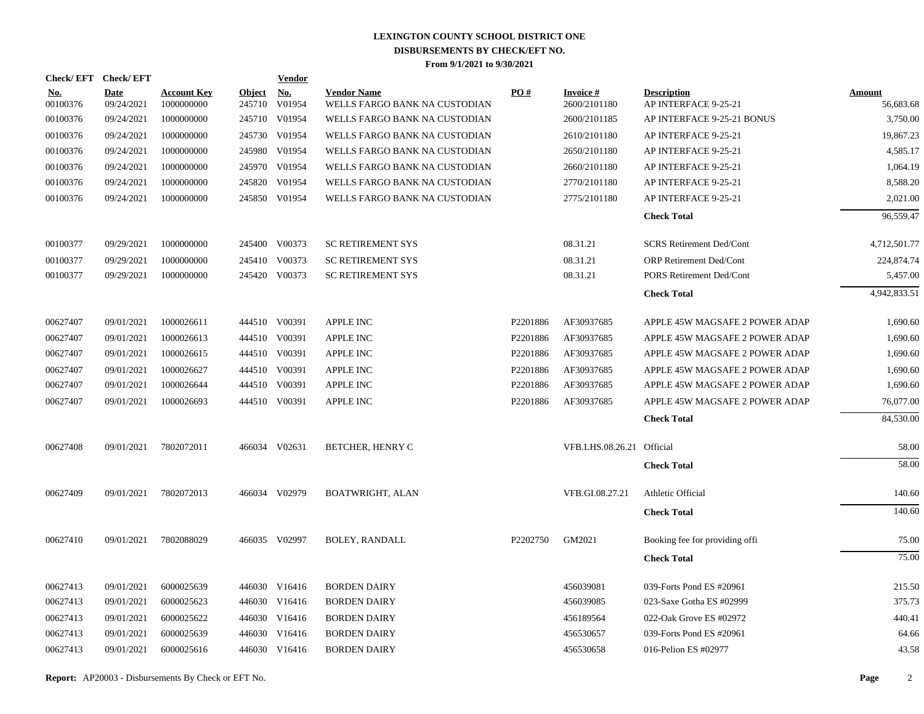| Check/EFT Check/EFT    |                           |                                  |               | <b>Vendor</b>               |                                                     |                    |                                 |                                            |                            |
|------------------------|---------------------------|----------------------------------|---------------|-----------------------------|-----------------------------------------------------|--------------------|---------------------------------|--------------------------------------------|----------------------------|
| <u>No.</u><br>00100376 | <b>Date</b><br>09/24/2021 | <b>Account Key</b><br>1000000000 | <b>Object</b> | <u>No.</u><br>245710 V01954 | <b>Vendor Name</b><br>WELLS FARGO BANK NA CUSTODIAN | $\underline{PO}$ # | <b>Invoice#</b><br>2600/2101180 | <b>Description</b><br>AP INTERFACE 9-25-21 | <b>Amount</b><br>56,683.68 |
| 00100376               | 09/24/2021                | 1000000000                       |               | 245710 V01954               | WELLS FARGO BANK NA CUSTODIAN                       |                    | 2600/2101185                    | AP INTERFACE 9-25-21 BONUS                 | 3,750.00                   |
| 00100376               | 09/24/2021                | 1000000000                       |               | 245730 V01954               | WELLS FARGO BANK NA CUSTODIAN                       |                    | 2610/2101180                    | AP INTERFACE 9-25-21                       | 19,867.23                  |
| 00100376               | 09/24/2021                | 1000000000                       |               | 245980 V01954               | WELLS FARGO BANK NA CUSTODIAN                       |                    | 2650/2101180                    | AP INTERFACE 9-25-21                       | 4,585.17                   |
| 00100376               | 09/24/2021                | 1000000000                       |               | 245970 V01954               | WELLS FARGO BANK NA CUSTODIAN                       |                    | 2660/2101180                    | AP INTERFACE 9-25-21                       | 1,064.19                   |
| 00100376               | 09/24/2021                | 1000000000                       |               | 245820 V01954               | WELLS FARGO BANK NA CUSTODIAN                       |                    | 2770/2101180                    | AP INTERFACE 9-25-21                       | 8,588.20                   |
| 00100376               | 09/24/2021                | 1000000000                       |               | 245850 V01954               | WELLS FARGO BANK NA CUSTODIAN                       |                    | 2775/2101180                    | AP INTERFACE 9-25-21                       | 2,021.00                   |
|                        |                           |                                  |               |                             |                                                     |                    |                                 | <b>Check Total</b>                         | 96,559.47                  |
| 00100377               | 09/29/2021                | 1000000000                       |               | 245400 V00373               | <b>SC RETIREMENT SYS</b>                            |                    | 08.31.21                        | <b>SCRS Retirement Ded/Cont</b>            | 4,712,501.77               |
| 00100377               | 09/29/2021                | 1000000000                       |               | 245410 V00373               | <b>SC RETIREMENT SYS</b>                            |                    | 08.31.21                        | <b>ORP Retirement Ded/Cont</b>             | 224,874.74                 |
| 00100377               | 09/29/2021                | 1000000000                       |               | 245420 V00373               | <b>SC RETIREMENT SYS</b>                            |                    | 08.31.21                        | PORS Retirement Ded/Cont                   | 5,457.00                   |
|                        |                           |                                  |               |                             |                                                     |                    |                                 | <b>Check Total</b>                         | 4,942,833.51               |
| 00627407               | 09/01/2021                | 1000026611                       |               | 444510 V00391               | <b>APPLE INC</b>                                    | P2201886           | AF30937685                      | APPLE 45W MAGSAFE 2 POWER ADAP             | 1,690.60                   |
| 00627407               | 09/01/2021                | 1000026613                       |               | 444510 V00391               | <b>APPLE INC</b>                                    | P2201886           | AF30937685                      | APPLE 45W MAGSAFE 2 POWER ADAP             | 1,690.60                   |
| 00627407               | 09/01/2021                | 1000026615                       |               | 444510 V00391               | <b>APPLE INC</b>                                    | P2201886           | AF30937685                      | APPLE 45W MAGSAFE 2 POWER ADAP             | 1,690.60                   |
| 00627407               | 09/01/2021                | 1000026627                       |               | 444510 V00391               | <b>APPLE INC</b>                                    | P2201886           | AF30937685                      | APPLE 45W MAGSAFE 2 POWER ADAP             | 1,690.60                   |
| 00627407               | 09/01/2021                | 1000026644                       |               | 444510 V00391               | <b>APPLE INC</b>                                    | P2201886           | AF30937685                      | APPLE 45W MAGSAFE 2 POWER ADAP             | 1,690.60                   |
| 00627407               | 09/01/2021                | 1000026693                       |               | 444510 V00391               | <b>APPLE INC</b>                                    | P2201886           | AF30937685                      | APPLE 45W MAGSAFE 2 POWER ADAP             | 76,077.00                  |
|                        |                           |                                  |               |                             |                                                     |                    |                                 | <b>Check Total</b>                         | 84,530.00                  |
| 00627408               | 09/01/2021                | 7802072011                       |               | 466034 V02631               | BETCHER, HENRY C                                    |                    | VFB.LHS.08.26.21 Official       |                                            | 58.00                      |
|                        |                           |                                  |               |                             |                                                     |                    |                                 | <b>Check Total</b>                         | 58.00                      |
| 00627409               | 09/01/2021                | 7802072013                       |               | 466034 V02979               | <b>BOATWRIGHT, ALAN</b>                             |                    | VFB.GI.08.27.21                 | Athletic Official                          | 140.60                     |
|                        |                           |                                  |               |                             |                                                     |                    |                                 | <b>Check Total</b>                         | 140.60                     |
| 00627410               | 09/01/2021                | 7802088029                       |               | 466035 V02997               | <b>BOLEY, RANDALL</b>                               | P2202750           | GM2021                          | Booking fee for providing offi             | 75.00                      |
|                        |                           |                                  |               |                             |                                                     |                    |                                 | <b>Check Total</b>                         | 75.00                      |
| 00627413               | 09/01/2021                | 6000025639                       |               | 446030 V16416               | <b>BORDEN DAIRY</b>                                 |                    | 456039081                       | 039-Forts Pond ES #20961                   | 215.50                     |
| 00627413               | 09/01/2021                | 6000025623                       |               | 446030 V16416               | <b>BORDEN DAIRY</b>                                 |                    | 456039085                       | 023-Saxe Gotha ES #02999                   | 375.73                     |
| 00627413               | 09/01/2021                | 6000025622                       |               | 446030 V16416               | <b>BORDEN DAIRY</b>                                 |                    | 456189564                       | 022-Oak Grove ES #02972                    | 440.41                     |
| 00627413               | 09/01/2021                | 6000025639                       |               | 446030 V16416               | <b>BORDEN DAIRY</b>                                 |                    | 456530657                       | 039-Forts Pond ES #20961                   | 64.66                      |
| 00627413               | 09/01/2021                | 6000025616                       |               | 446030 V16416               | <b>BORDEN DAIRY</b>                                 |                    | 456530658                       | 016-Pelion ES #02977                       | 43.58                      |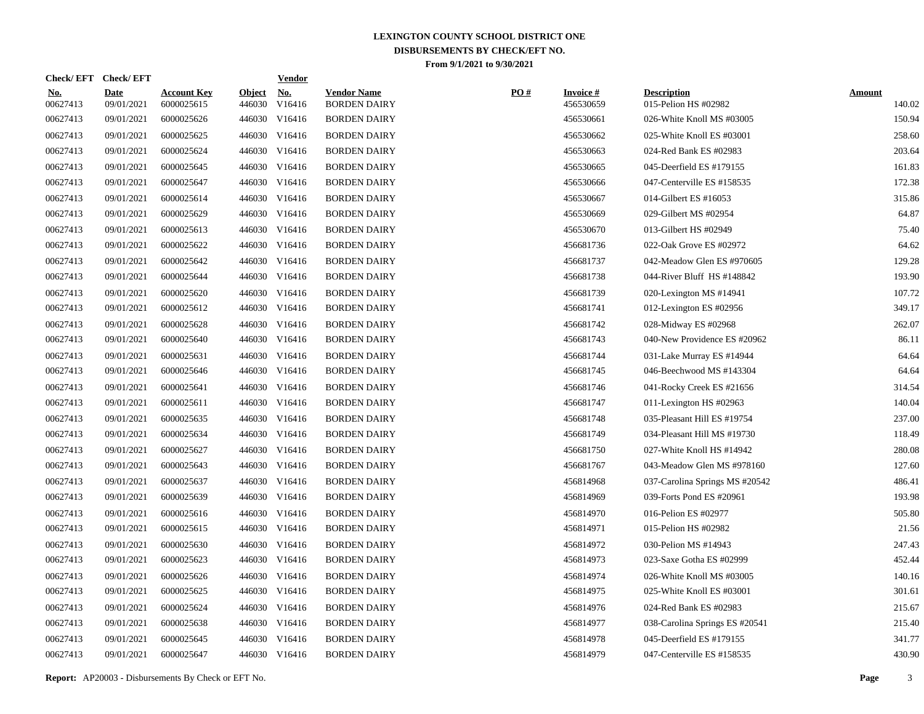| <b>Check/EFT</b>       | <b>Check/EFT</b>          |                                  |                         | <b>Vendor</b>        |                                           |     |                              |                                            |                         |
|------------------------|---------------------------|----------------------------------|-------------------------|----------------------|-------------------------------------------|-----|------------------------------|--------------------------------------------|-------------------------|
| <u>No.</u><br>00627413 | <b>Date</b><br>09/01/2021 | <b>Account Key</b><br>6000025615 | <b>Object</b><br>446030 | <u>No.</u><br>V16416 | <b>Vendor Name</b><br><b>BORDEN DAIRY</b> | PO# | <b>Invoice#</b><br>456530659 | <b>Description</b><br>015-Pelion HS #02982 | <b>Amount</b><br>140.02 |
| 00627413               | 09/01/2021                | 6000025626                       | 446030                  | V16416               | <b>BORDEN DAIRY</b>                       |     | 456530661                    | 026-White Knoll MS #03005                  | 150.94                  |
| 00627413               | 09/01/2021                | 6000025625                       | 446030                  | V16416               | <b>BORDEN DAIRY</b>                       |     | 456530662                    | 025-White Knoll ES #03001                  | 258.60                  |
| 00627413               | 09/01/2021                | 6000025624                       | 446030                  | V16416               | <b>BORDEN DAIRY</b>                       |     | 456530663                    | 024-Red Bank ES #02983                     | 203.64                  |
| 00627413               | 09/01/2021                | 6000025645                       | 446030                  | V16416               | <b>BORDEN DAIRY</b>                       |     | 456530665                    | 045-Deerfield ES #179155                   | 161.83                  |
| 00627413               | 09/01/2021                | 6000025647                       | 446030                  | V16416               | <b>BORDEN DAIRY</b>                       |     | 456530666                    | 047-Centerville ES #158535                 | 172.38                  |
| 00627413               | 09/01/2021                | 6000025614                       | 446030                  | V16416               | <b>BORDEN DAIRY</b>                       |     | 456530667                    | 014-Gilbert ES #16053                      | 315.86                  |
| 00627413               | 09/01/2021                | 6000025629                       | 446030                  | V16416               | <b>BORDEN DAIRY</b>                       |     | 456530669                    | 029-Gilbert MS #02954                      | 64.87                   |
| 00627413               | 09/01/2021                | 6000025613                       | 446030                  | V16416               | <b>BORDEN DAIRY</b>                       |     | 456530670                    | 013-Gilbert HS #02949                      | 75.40                   |
| 00627413               | 09/01/2021                | 6000025622                       |                         | 446030 V16416        | <b>BORDEN DAIRY</b>                       |     | 456681736                    | 022-Oak Grove ES #02972                    | 64.62                   |
| 00627413               | 09/01/2021                | 6000025642                       |                         | 446030 V16416        | <b>BORDEN DAIRY</b>                       |     | 456681737                    | 042-Meadow Glen ES #970605                 | 129.28                  |
| 00627413               | 09/01/2021                | 6000025644                       |                         | 446030 V16416        | <b>BORDEN DAIRY</b>                       |     | 456681738                    | 044-River Bluff HS #148842                 | 193.90                  |
| 00627413               | 09/01/2021                | 6000025620                       |                         | 446030 V16416        | <b>BORDEN DAIRY</b>                       |     | 456681739                    | 020-Lexington MS #14941                    | 107.72                  |
| 00627413               | 09/01/2021                | 6000025612                       |                         | 446030 V16416        | <b>BORDEN DAIRY</b>                       |     | 456681741                    | 012-Lexington ES #02956                    | 349.17                  |
| 00627413               | 09/01/2021                | 6000025628                       |                         | 446030 V16416        | <b>BORDEN DAIRY</b>                       |     | 456681742                    | 028-Midway ES #02968                       | 262.07                  |
| 00627413               | 09/01/2021                | 6000025640                       |                         | 446030 V16416        | <b>BORDEN DAIRY</b>                       |     | 456681743                    | 040-New Providence ES #20962               | 86.11                   |
| 00627413               | 09/01/2021                | 6000025631                       |                         | 446030 V16416        | <b>BORDEN DAIRY</b>                       |     | 456681744                    | 031-Lake Murray ES #14944                  | 64.64                   |
| 00627413               | 09/01/2021                | 6000025646                       |                         | 446030 V16416        | <b>BORDEN DAIRY</b>                       |     | 456681745                    | 046-Beechwood MS #143304                   | 64.64                   |
| 00627413               | 09/01/2021                | 6000025641                       |                         | 446030 V16416        | <b>BORDEN DAIRY</b>                       |     | 456681746                    | 041-Rocky Creek ES #21656                  | 314.54                  |
| 00627413               | 09/01/2021                | 6000025611                       |                         | 446030 V16416        | <b>BORDEN DAIRY</b>                       |     | 456681747                    | 011-Lexington HS #02963                    | 140.04                  |
| 00627413               | 09/01/2021                | 6000025635                       |                         | 446030 V16416        | <b>BORDEN DAIRY</b>                       |     | 456681748                    | 035-Pleasant Hill ES #19754                | 237.00                  |
| 00627413               | 09/01/2021                | 6000025634                       |                         | 446030 V16416        | <b>BORDEN DAIRY</b>                       |     | 456681749                    | 034-Pleasant Hill MS #19730                | 118.49                  |
| 00627413               | 09/01/2021                | 6000025627                       |                         | 446030 V16416        | <b>BORDEN DAIRY</b>                       |     | 456681750                    | 027-White Knoll HS #14942                  | 280.08                  |
| 00627413               | 09/01/2021                | 6000025643                       |                         | 446030 V16416        | <b>BORDEN DAIRY</b>                       |     | 456681767                    | 043-Meadow Glen MS #978160                 | 127.60                  |
| 00627413               | 09/01/2021                | 6000025637                       |                         | 446030 V16416        | <b>BORDEN DAIRY</b>                       |     | 456814968                    | 037-Carolina Springs MS #20542             | 486.41                  |
| 00627413               | 09/01/2021                | 6000025639                       |                         | 446030 V16416        | <b>BORDEN DAIRY</b>                       |     | 456814969                    | 039-Forts Pond ES #20961                   | 193.98                  |
| 00627413               | 09/01/2021                | 6000025616                       |                         | 446030 V16416        | <b>BORDEN DAIRY</b>                       |     | 456814970                    | 016-Pelion ES #02977                       | 505.80                  |
| 00627413               | 09/01/2021                | 6000025615                       |                         | 446030 V16416        | <b>BORDEN DAIRY</b>                       |     | 456814971                    | 015-Pelion HS #02982                       | 21.56                   |
| 00627413               | 09/01/2021                | 6000025630                       |                         | 446030 V16416        | <b>BORDEN DAIRY</b>                       |     | 456814972                    | 030-Pelion MS #14943                       | 247.43                  |
| 00627413               | 09/01/2021                | 6000025623                       |                         | 446030 V16416        | <b>BORDEN DAIRY</b>                       |     | 456814973                    | 023-Saxe Gotha ES #02999                   | 452.44                  |
| 00627413               | 09/01/2021                | 6000025626                       | 446030                  | V16416               | <b>BORDEN DAIRY</b>                       |     | 456814974                    | 026-White Knoll MS #03005                  | 140.16                  |
| 00627413               | 09/01/2021                | 6000025625                       |                         | 446030 V16416        | <b>BORDEN DAIRY</b>                       |     | 456814975                    | 025-White Knoll ES #03001                  | 301.61                  |
| 00627413               | 09/01/2021                | 6000025624                       | 446030                  | V16416               | <b>BORDEN DAIRY</b>                       |     | 456814976                    | 024-Red Bank ES #02983                     | 215.67                  |
| 00627413               | 09/01/2021                | 6000025638                       |                         | 446030 V16416        | <b>BORDEN DAIRY</b>                       |     | 456814977                    | 038-Carolina Springs ES #20541             | 215.40                  |
| 00627413               | 09/01/2021                | 6000025645                       | 446030                  | V16416               | <b>BORDEN DAIRY</b>                       |     | 456814978                    | 045-Deerfield ES #179155                   | 341.77                  |
| 00627413               | 09/01/2021                | 6000025647                       |                         | 446030 V16416        | <b>BORDEN DAIRY</b>                       |     | 456814979                    | 047-Centerville ES #158535                 | 430.90                  |
|                        |                           |                                  |                         |                      |                                           |     |                              |                                            |                         |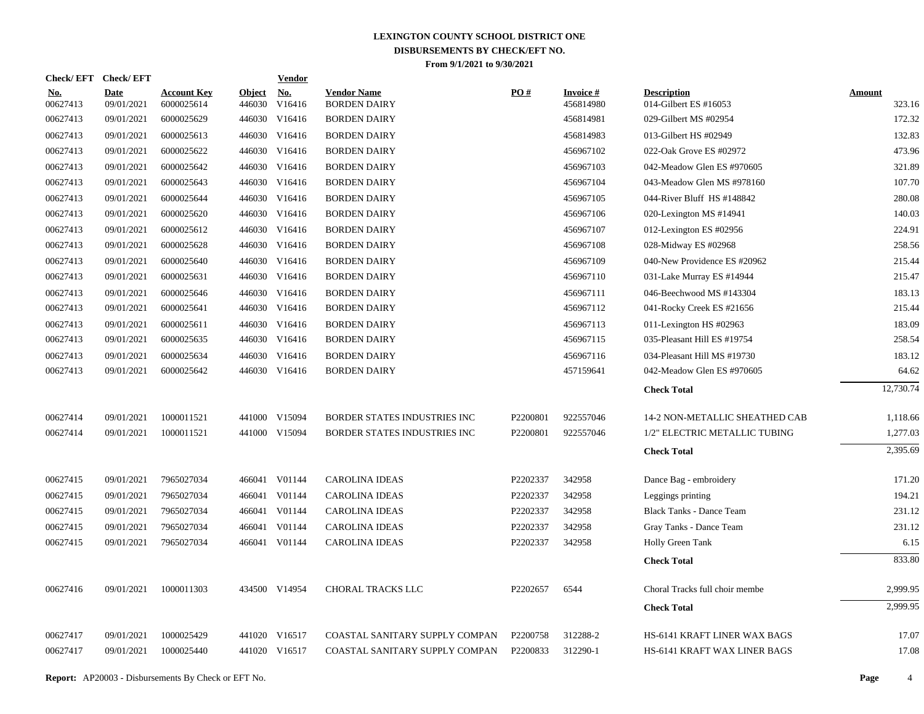| <b>Check/EFT</b>       | <b>Check/EFT</b>          |                                  |                         | <b>Vendor</b>        |                                           |          |                        |                                             |                  |
|------------------------|---------------------------|----------------------------------|-------------------------|----------------------|-------------------------------------------|----------|------------------------|---------------------------------------------|------------------|
| <u>No.</u><br>00627413 | <b>Date</b><br>09/01/2021 | <b>Account Key</b><br>6000025614 | <u>Object</u><br>446030 | <u>No.</u><br>V16416 | <b>Vendor Name</b><br><b>BORDEN DAIRY</b> | PO#      | Invoice #<br>456814980 | <b>Description</b><br>014-Gilbert ES #16053 | Amount<br>323.16 |
| 00627413               | 09/01/2021                | 6000025629                       | 446030                  | V16416               | <b>BORDEN DAIRY</b>                       |          | 456814981              | 029-Gilbert MS #02954                       | 172.32           |
| 00627413               | 09/01/2021                | 6000025613                       | 446030                  | V16416               | <b>BORDEN DAIRY</b>                       |          | 456814983              | 013-Gilbert HS #02949                       | 132.83           |
| 00627413               | 09/01/2021                | 6000025622                       |                         | 446030 V16416        | <b>BORDEN DAIRY</b>                       |          | 456967102              | 022-Oak Grove ES #02972                     | 473.96           |
| 00627413               | 09/01/2021                | 6000025642                       | 446030                  | V16416               | <b>BORDEN DAIRY</b>                       |          | 456967103              | 042-Meadow Glen ES #970605                  | 321.89           |
| 00627413               | 09/01/2021                | 6000025643                       |                         | 446030 V16416        | <b>BORDEN DAIRY</b>                       |          | 456967104              | 043-Meadow Glen MS #978160                  | 107.70           |
| 00627413               | 09/01/2021                | 6000025644                       |                         | 446030 V16416        | <b>BORDEN DAIRY</b>                       |          | 456967105              | 044-River Bluff HS #148842                  | 280.08           |
| 00627413               | 09/01/2021                | 6000025620                       |                         | 446030 V16416        | <b>BORDEN DAIRY</b>                       |          | 456967106              | 020-Lexington MS #14941                     | 140.03           |
| 00627413               | 09/01/2021                | 6000025612                       |                         | 446030 V16416        | <b>BORDEN DAIRY</b>                       |          | 456967107              | 012-Lexington ES #02956                     | 224.91           |
| 00627413               | 09/01/2021                | 6000025628                       |                         | 446030 V16416        | <b>BORDEN DAIRY</b>                       |          | 456967108              | 028-Midway ES #02968                        | 258.56           |
| 00627413               | 09/01/2021                | 6000025640                       |                         | 446030 V16416        | <b>BORDEN DAIRY</b>                       |          | 456967109              | 040-New Providence ES #20962                | 215.44           |
| 00627413               | 09/01/2021                | 6000025631                       |                         | 446030 V16416        | <b>BORDEN DAIRY</b>                       |          | 456967110              | 031-Lake Murray ES #14944                   | 215.47           |
| 00627413               | 09/01/2021                | 6000025646                       |                         | 446030 V16416        | <b>BORDEN DAIRY</b>                       |          | 456967111              | 046-Beechwood MS #143304                    | 183.13           |
| 00627413               | 09/01/2021                | 6000025641                       |                         | 446030 V16416        | <b>BORDEN DAIRY</b>                       |          | 456967112              | 041-Rocky Creek ES #21656                   | 215.44           |
| 00627413               | 09/01/2021                | 6000025611                       |                         | 446030 V16416        | <b>BORDEN DAIRY</b>                       |          | 456967113              | 011-Lexington HS #02963                     | 183.09           |
| 00627413               | 09/01/2021                | 6000025635                       |                         | 446030 V16416        | <b>BORDEN DAIRY</b>                       |          | 456967115              | 035-Pleasant Hill ES #19754                 | 258.54           |
| 00627413               | 09/01/2021                | 6000025634                       |                         | 446030 V16416        | <b>BORDEN DAIRY</b>                       |          | 456967116              | 034-Pleasant Hill MS #19730                 | 183.12           |
| 00627413               | 09/01/2021                | 6000025642                       |                         | 446030 V16416        | <b>BORDEN DAIRY</b>                       |          | 457159641              | 042-Meadow Glen ES #970605                  | 64.62            |
|                        |                           |                                  |                         |                      |                                           |          |                        | <b>Check Total</b>                          | 12,730.74        |
| 00627414               | 09/01/2021                | 1000011521                       |                         | 441000 V15094        | <b>BORDER STATES INDUSTRIES INC</b>       | P2200801 | 922557046              | 14-2 NON-METALLIC SHEATHED CAB              | 1,118.66         |
| 00627414               | 09/01/2021                | 1000011521                       |                         | 441000 V15094        | BORDER STATES INDUSTRIES INC              | P2200801 | 922557046              | 1/2" ELECTRIC METALLIC TUBING               | 1,277.03         |
|                        |                           |                                  |                         |                      |                                           |          |                        | <b>Check Total</b>                          | 2,395.69         |
| 00627415               | 09/01/2021                | 7965027034                       |                         | 466041 V01144        | <b>CAROLINA IDEAS</b>                     | P2202337 | 342958                 | Dance Bag - embroidery                      | 171.20           |
| 00627415               | 09/01/2021                | 7965027034                       |                         | 466041 V01144        | CAROLINA IDEAS                            | P2202337 | 342958                 | Leggings printing                           | 194.21           |
| 00627415               | 09/01/2021                | 7965027034                       |                         | 466041 V01144        | <b>CAROLINA IDEAS</b>                     | P2202337 | 342958                 | <b>Black Tanks - Dance Team</b>             | 231.12           |
| 00627415               | 09/01/2021                | 7965027034                       | 466041                  | V01144               | CAROLINA IDEAS                            | P2202337 | 342958                 | Gray Tanks - Dance Team                     | 231.12           |
| 00627415               | 09/01/2021                | 7965027034                       |                         | 466041 V01144        | <b>CAROLINA IDEAS</b>                     | P2202337 | 342958                 | Holly Green Tank                            | 6.15             |
|                        |                           |                                  |                         |                      |                                           |          |                        | <b>Check Total</b>                          | 833.80           |
| 00627416               | 09/01/2021                | 1000011303                       |                         | 434500 V14954        | CHORAL TRACKS LLC                         | P2202657 | 6544                   | Choral Tracks full choir membe              | 2,999.95         |
|                        |                           |                                  |                         |                      |                                           |          |                        | <b>Check Total</b>                          | 2,999.95         |
| 00627417               | 09/01/2021                | 1000025429                       |                         | 441020 V16517        | COASTAL SANITARY SUPPLY COMPAN            | P2200758 | 312288-2               | HS-6141 KRAFT LINER WAX BAGS                | 17.07            |
| 00627417               | 09/01/2021                | 1000025440                       |                         | 441020 V16517        | COASTAL SANITARY SUPPLY COMPAN            | P2200833 | 312290-1               | HS-6141 KRAFT WAX LINER BAGS                | 17.08            |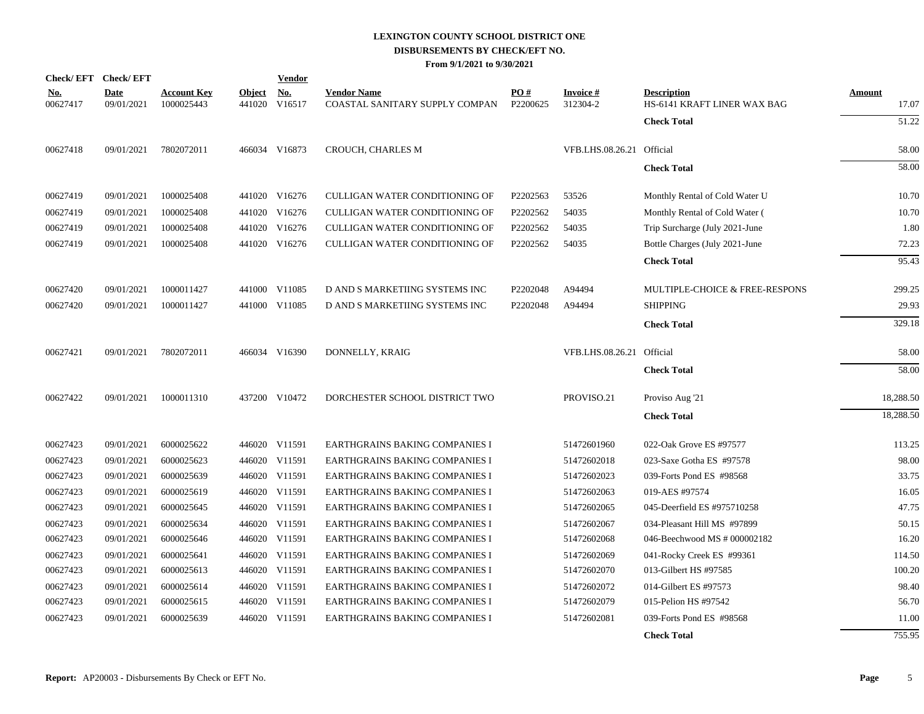|                        | Check/EFT Check/EFT       |                                  |                         | <b>Vendor</b>        |                                                      |                 |                             |                                                   |                        |
|------------------------|---------------------------|----------------------------------|-------------------------|----------------------|------------------------------------------------------|-----------------|-----------------------------|---------------------------------------------------|------------------------|
| <u>No.</u><br>00627417 | <b>Date</b><br>09/01/2021 | <b>Account Key</b><br>1000025443 | <b>Object</b><br>441020 | <b>No.</b><br>V16517 | <b>Vendor Name</b><br>COASTAL SANITARY SUPPLY COMPAN | PO#<br>P2200625 | <b>Invoice#</b><br>312304-2 | <b>Description</b><br>HS-6141 KRAFT LINER WAX BAG | <b>Amount</b><br>17.07 |
|                        |                           |                                  |                         |                      |                                                      |                 |                             | <b>Check Total</b>                                | 51.22                  |
| 00627418               | 09/01/2021                | 7802072011                       |                         | 466034 V16873        | <b>CROUCH, CHARLES M</b>                             |                 | VFB.LHS.08.26.21 Official   |                                                   | 58.00                  |
|                        |                           |                                  |                         |                      |                                                      |                 |                             | <b>Check Total</b>                                | 58.00                  |
| 00627419               | 09/01/2021                | 1000025408                       |                         | 441020 V16276        | CULLIGAN WATER CONDITIONING OF                       | P2202563        | 53526                       | Monthly Rental of Cold Water U                    | 10.70                  |
| 00627419               | 09/01/2021                | 1000025408                       |                         | 441020 V16276        | CULLIGAN WATER CONDITIONING OF                       | P2202562        | 54035                       | Monthly Rental of Cold Water (                    | 10.70                  |
| 00627419               | 09/01/2021                | 1000025408                       |                         | 441020 V16276        | CULLIGAN WATER CONDITIONING OF                       | P2202562        | 54035                       | Trip Surcharge (July 2021-June                    | 1.80                   |
| 00627419               | 09/01/2021                | 1000025408                       |                         | 441020 V16276        | CULLIGAN WATER CONDITIONING OF                       | P2202562        | 54035                       | Bottle Charges (July 2021-June                    | 72.23                  |
|                        |                           |                                  |                         |                      |                                                      |                 |                             | <b>Check Total</b>                                | 95.43                  |
| 00627420               | 09/01/2021                | 1000011427                       |                         | 441000 V11085        | D AND S MARKETIING SYSTEMS INC                       | P2202048        | A94494                      | MULTIPLE-CHOICE & FREE-RESPONS                    | 299.25                 |
| 00627420               | 09/01/2021                | 1000011427                       |                         | 441000 V11085        | D AND S MARKETIING SYSTEMS INC                       | P2202048        | A94494                      | <b>SHIPPING</b>                                   | 29.93                  |
|                        |                           |                                  |                         |                      |                                                      |                 |                             | <b>Check Total</b>                                | 329.18                 |
| 00627421               | 09/01/2021                | 7802072011                       |                         | 466034 V16390        | DONNELLY, KRAIG                                      |                 | VFB.LHS.08.26.21 Official   |                                                   | 58.00                  |
|                        |                           |                                  |                         |                      |                                                      |                 |                             | <b>Check Total</b>                                | 58.00                  |
| 00627422               | 09/01/2021                | 1000011310                       |                         | 437200 V10472        | DORCHESTER SCHOOL DISTRICT TWO                       |                 | PROVISO.21                  | Proviso Aug '21                                   | 18,288.50              |
|                        |                           |                                  |                         |                      |                                                      |                 |                             | <b>Check Total</b>                                | 18,288.50              |
| 00627423               | 09/01/2021                | 6000025622                       |                         | 446020 V11591        | EARTHGRAINS BAKING COMPANIES I                       |                 | 51472601960                 | 022-Oak Grove ES #97577                           | 113.25                 |
| 00627423               | 09/01/2021                | 6000025623                       |                         | 446020 V11591        | EARTHGRAINS BAKING COMPANIES I                       |                 | 51472602018                 | 023-Saxe Gotha ES #97578                          | 98.00                  |
| 00627423               | 09/01/2021                | 6000025639                       |                         | 446020 V11591        | EARTHGRAINS BAKING COMPANIES I                       |                 | 51472602023                 | 039-Forts Pond ES #98568                          | 33.75                  |
| 00627423               | 09/01/2021                | 6000025619                       |                         | 446020 V11591        | EARTHGRAINS BAKING COMPANIES I                       |                 | 51472602063                 | 019-AES #97574                                    | 16.05                  |
| 00627423               | 09/01/2021                | 6000025645                       |                         | 446020 V11591        | EARTHGRAINS BAKING COMPANIES I                       |                 | 51472602065                 | 045-Deerfield ES #975710258                       | 47.75                  |
| 00627423               | 09/01/2021                | 6000025634                       |                         | 446020 V11591        | EARTHGRAINS BAKING COMPANIES I                       |                 | 51472602067                 | 034-Pleasant Hill MS #97899                       | 50.15                  |
| 00627423               | 09/01/2021                | 6000025646                       |                         | 446020 V11591        | EARTHGRAINS BAKING COMPANIES I                       |                 | 51472602068                 | 046-Beechwood MS # 000002182                      | 16.20                  |
| 00627423               | 09/01/2021                | 6000025641                       |                         | 446020 V11591        | EARTHGRAINS BAKING COMPANIES I                       |                 | 51472602069                 | 041-Rocky Creek ES #99361                         | 114.50                 |
| 00627423               | 09/01/2021                | 6000025613                       |                         | 446020 V11591        | EARTHGRAINS BAKING COMPANIES I                       |                 | 51472602070                 | 013-Gilbert HS #97585                             | 100.20                 |
| 00627423               | 09/01/2021                | 6000025614                       |                         | 446020 V11591        | EARTHGRAINS BAKING COMPANIES I                       |                 | 51472602072                 | 014-Gilbert ES #97573                             | 98.40                  |
| 00627423               | 09/01/2021                | 6000025615                       |                         | 446020 V11591        | EARTHGRAINS BAKING COMPANIES I                       |                 | 51472602079                 | 015-Pelion HS #97542                              | 56.70                  |
| 00627423               | 09/01/2021                | 6000025639                       |                         | 446020 V11591        | EARTHGRAINS BAKING COMPANIES I                       |                 | 51472602081                 | 039-Forts Pond ES #98568                          | 11.00                  |
|                        |                           |                                  |                         |                      |                                                      |                 |                             | <b>Check Total</b>                                | 755.95                 |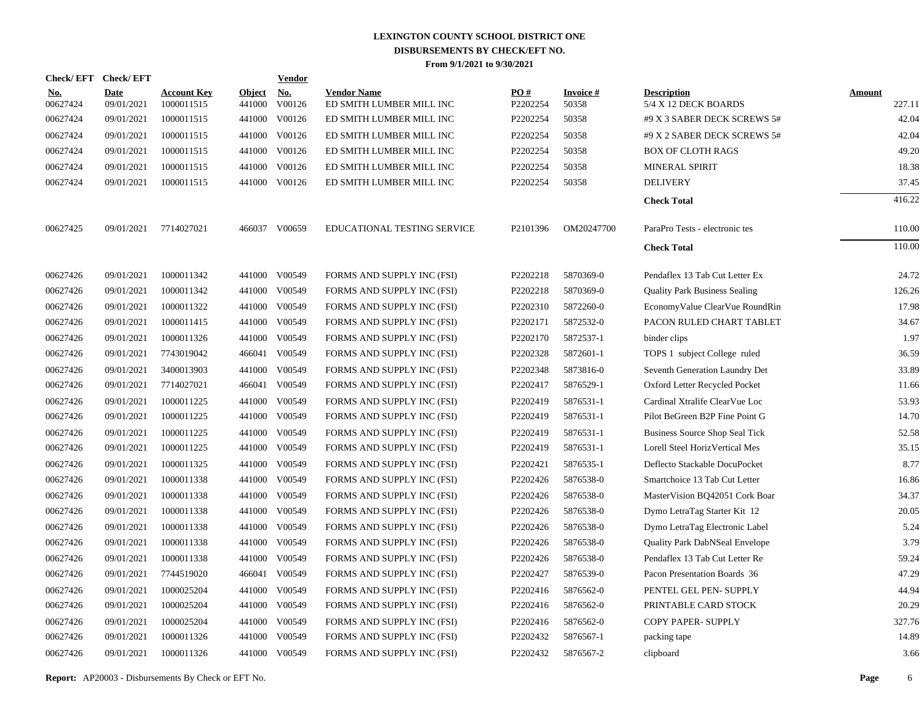| <b>Check/EFT</b>          |                                  |                         | <b>Vendor</b>        |                                                                                                                                                                                                                                                                                        |                 |                          |                                            |                         |
|---------------------------|----------------------------------|-------------------------|----------------------|----------------------------------------------------------------------------------------------------------------------------------------------------------------------------------------------------------------------------------------------------------------------------------------|-----------------|--------------------------|--------------------------------------------|-------------------------|
| <b>Date</b><br>09/01/2021 | <b>Account Key</b><br>1000011515 | <b>Object</b><br>441000 | <b>No.</b><br>V00126 | <b>Vendor Name</b><br>ED SMITH LUMBER MILL INC                                                                                                                                                                                                                                         | PO#<br>P2202254 | <b>Invoice#</b><br>50358 | <b>Description</b><br>5/4 X 12 DECK BOARDS | <b>Amount</b><br>227.11 |
| 09/01/2021                | 1000011515                       | 441000                  | V00126               | ED SMITH LUMBER MILL INC                                                                                                                                                                                                                                                               | P2202254        | 50358                    | #9 X 3 SABER DECK SCREWS 5#                | 42.04                   |
| 09/01/2021                | 1000011515                       |                         | V00126               | ED SMITH LUMBER MILL INC                                                                                                                                                                                                                                                               | P2202254        | 50358                    | #9 X 2 SABER DECK SCREWS 5#                | 42.04                   |
| 09/01/2021                | 1000011515                       |                         | V00126               | ED SMITH LUMBER MILL INC                                                                                                                                                                                                                                                               | P2202254        | 50358                    | <b>BOX OF CLOTH RAGS</b>                   | 49.20                   |
| 09/01/2021                | 1000011515                       |                         | V00126               | ED SMITH LUMBER MILL INC                                                                                                                                                                                                                                                               | P2202254        | 50358                    | MINERAL SPIRIT                             | 18.38                   |
| 09/01/2021                | 1000011515                       |                         |                      | ED SMITH LUMBER MILL INC                                                                                                                                                                                                                                                               | P2202254        | 50358                    | <b>DELIVERY</b>                            | 37.45                   |
|                           |                                  |                         |                      |                                                                                                                                                                                                                                                                                        |                 |                          | <b>Check Total</b>                         | 416.22                  |
| 09/01/2021                | 7714027021                       |                         |                      | EDUCATIONAL TESTING SERVICE                                                                                                                                                                                                                                                            | P2101396        | OM20247700               | ParaPro Tests - electronic tes             | 110.00                  |
|                           |                                  |                         |                      |                                                                                                                                                                                                                                                                                        |                 |                          | <b>Check Total</b>                         | 110.00                  |
| 09/01/2021                | 1000011342                       |                         |                      | FORMS AND SUPPLY INC (FSI)                                                                                                                                                                                                                                                             | P2202218        | 5870369-0                | Pendaflex 13 Tab Cut Letter Ex             | 24.72                   |
| 09/01/2021                | 1000011342                       | 441000                  | V00549               | FORMS AND SUPPLY INC (FSI)                                                                                                                                                                                                                                                             | P2202218        | 5870369-0                | <b>Quality Park Business Sealing</b>       | 126.26                  |
| 09/01/2021                | 1000011322                       |                         | V00549               | FORMS AND SUPPLY INC (FSI)                                                                                                                                                                                                                                                             | P2202310        | 5872260-0                | EconomyValue ClearVue RoundRin             | 17.98                   |
| 09/01/2021                | 1000011415                       |                         | V00549               | FORMS AND SUPPLY INC (FSI)                                                                                                                                                                                                                                                             | P2202171        | 5872532-0                | PACON RULED CHART TABLET                   | 34.67                   |
| 09/01/2021                | 1000011326                       |                         | V00549               | FORMS AND SUPPLY INC (FSI)                                                                                                                                                                                                                                                             | P2202170        | 5872537-1                | binder clips                               | 1.97                    |
| 09/01/2021                | 7743019042                       |                         | V00549               | FORMS AND SUPPLY INC (FSI)                                                                                                                                                                                                                                                             | P2202328        | 5872601-1                | TOPS 1 subject College ruled               | 36.59                   |
| 09/01/2021                | 3400013903                       |                         | V00549               | FORMS AND SUPPLY INC (FSI)                                                                                                                                                                                                                                                             | P2202348        | 5873816-0                | Seventh Generation Laundry Det             | 33.89                   |
| 09/01/2021                | 7714027021                       |                         | V00549               | FORMS AND SUPPLY INC (FSI)                                                                                                                                                                                                                                                             | P2202417        | 5876529-1                | Oxford Letter Recycled Pocket              | 11.66                   |
| 09/01/2021                | 1000011225                       |                         | V00549               | FORMS AND SUPPLY INC (FSI)                                                                                                                                                                                                                                                             | P2202419        | 5876531-1                | Cardinal Xtralife ClearVue Loc             | 53.93                   |
| 09/01/2021                | 1000011225                       |                         |                      | FORMS AND SUPPLY INC (FSI)                                                                                                                                                                                                                                                             | P2202419        | 5876531-1                | Pilot BeGreen B2P Fine Point G             | 14.70                   |
| 09/01/2021                | 1000011225                       |                         | V00549               | FORMS AND SUPPLY INC (FSI)                                                                                                                                                                                                                                                             | P2202419        | 5876531-1                | <b>Business Source Shop Seal Tick</b>      | 52.58                   |
| 09/01/2021                | 1000011225                       |                         | V00549               | FORMS AND SUPPLY INC (FSI)                                                                                                                                                                                                                                                             | P2202419        | 5876531-1                | Lorell Steel HorizVertical Mes             | 35.15                   |
| 09/01/2021                | 1000011325                       | 441000                  | V00549               | FORMS AND SUPPLY INC (FSI)                                                                                                                                                                                                                                                             | P2202421        | 5876535-1                | Deflecto Stackable DocuPocket              | 8.77                    |
| 09/01/2021                | 1000011338                       |                         | V00549               | FORMS AND SUPPLY INC (FSI)                                                                                                                                                                                                                                                             | P2202426        | 5876538-0                | Smartchoice 13 Tab Cut Letter              | 16.86                   |
| 09/01/2021                | 1000011338                       | 441000                  | V00549               | FORMS AND SUPPLY INC (FSI)                                                                                                                                                                                                                                                             | P2202426        | 5876538-0                | MasterVision BQ42051 Cork Boar             | 34.37                   |
| 09/01/2021                | 1000011338                       |                         | V00549               | FORMS AND SUPPLY INC (FSI)                                                                                                                                                                                                                                                             | P2202426        | 5876538-0                | Dymo LetraTag Starter Kit 12               | 20.05                   |
| 09/01/2021                | 1000011338                       | 441000                  | V00549               | FORMS AND SUPPLY INC (FSI)                                                                                                                                                                                                                                                             | P2202426        | 5876538-0                | Dymo LetraTag Electronic Label             | 5.24                    |
| 09/01/2021                | 1000011338                       |                         |                      | FORMS AND SUPPLY INC (FSI)                                                                                                                                                                                                                                                             | P2202426        | 5876538-0                | Quality Park DabNSeal Envelope             | 3.79                    |
| 09/01/2021                | 1000011338                       | 441000                  | V00549               | FORMS AND SUPPLY INC (FSI)                                                                                                                                                                                                                                                             | P2202426        | 5876538-0                | Pendaflex 13 Tab Cut Letter Re             | 59.24                   |
| 09/01/2021                | 7744519020                       |                         | V00549               | FORMS AND SUPPLY INC (FSI)                                                                                                                                                                                                                                                             | P2202427        | 5876539-0                | Pacon Presentation Boards 36               | 47.29                   |
| 09/01/2021                | 1000025204                       | 441000                  | V00549               | FORMS AND SUPPLY INC (FSI)                                                                                                                                                                                                                                                             | P2202416        | 5876562-0                | PENTEL GEL PEN- SUPPLY                     | 44.94                   |
| 09/01/2021                | 1000025204                       |                         | V00549               | FORMS AND SUPPLY INC (FSI)                                                                                                                                                                                                                                                             | P2202416        | 5876562-0                | PRINTABLE CARD STOCK                       | 20.29                   |
| 09/01/2021                | 1000025204                       |                         | V00549               | FORMS AND SUPPLY INC (FSI)                                                                                                                                                                                                                                                             | P2202416        | 5876562-0                | COPY PAPER- SUPPLY                         | 327.76                  |
| 09/01/2021                | 1000011326                       |                         | V00549               | FORMS AND SUPPLY INC (FSI)                                                                                                                                                                                                                                                             | P2202432        | 5876567-1                | packing tape                               | 14.89                   |
| 09/01/2021                | 1000011326                       |                         |                      | FORMS AND SUPPLY INC (FSI)                                                                                                                                                                                                                                                             | P2202432        | 5876567-2                | clipboard                                  | 3.66                    |
|                           |                                  |                         |                      | 441000<br>441000<br>441000<br>441000 V00126<br>466037 V00659<br>441000 V00549<br>441000<br>441000<br>441000<br>466041<br>441000<br>466041<br>441000<br>441000 V00549<br>441000<br>441000<br>441000<br>441000<br>441000 V00549<br>466041<br>441000<br>441000<br>441000<br>441000 V00549 |                 |                          |                                            |                         |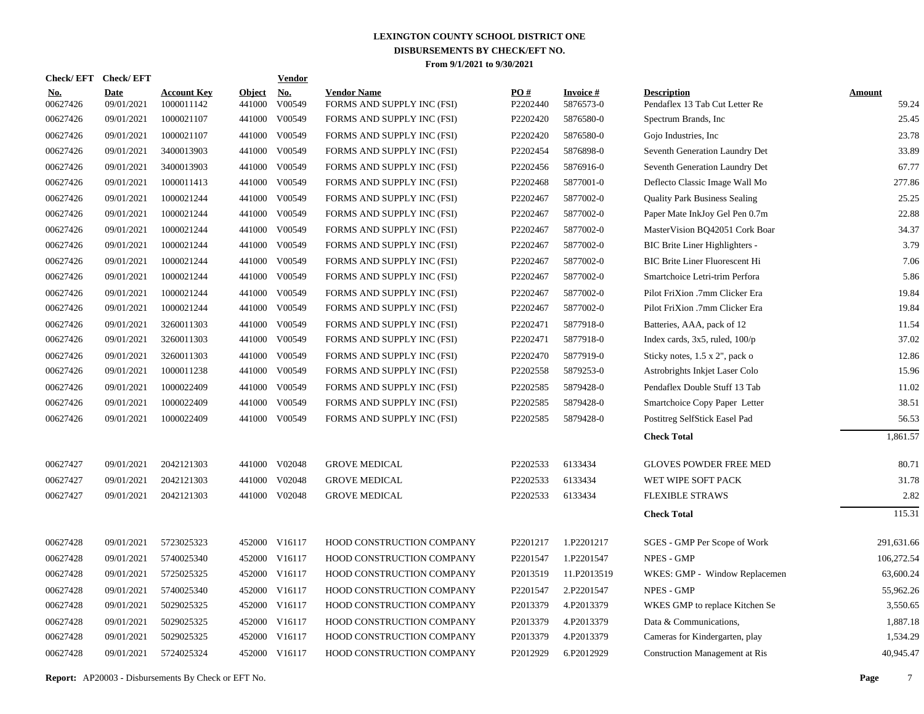| <b>Check/EFT</b>       | <b>Check/EFT</b>          |                                  |                         | <b>Vendor</b>        |                                                  |                 |                              |                                                      |                        |
|------------------------|---------------------------|----------------------------------|-------------------------|----------------------|--------------------------------------------------|-----------------|------------------------------|------------------------------------------------------|------------------------|
| <u>No.</u><br>00627426 | <b>Date</b><br>09/01/2021 | <b>Account Key</b><br>1000011142 | <b>Object</b><br>441000 | <b>No.</b><br>V00549 | <b>Vendor Name</b><br>FORMS AND SUPPLY INC (FSI) | PO#<br>P2202440 | <b>Invoice#</b><br>5876573-0 | <b>Description</b><br>Pendaflex 13 Tab Cut Letter Re | <b>Amount</b><br>59.24 |
| 00627426               | 09/01/2021                | 1000021107                       | 441000                  | V00549               | FORMS AND SUPPLY INC (FSI)                       | P2202420        | 5876580-0                    | Spectrum Brands, Inc.                                | 25.45                  |
| 00627426               | 09/01/2021                | 1000021107                       | 441000                  | V00549               | FORMS AND SUPPLY INC (FSI)                       | P2202420        | 5876580-0                    | Gojo Industries, Inc.                                | 23.78                  |
| 00627426               | 09/01/2021                | 3400013903                       | 441000                  | V00549               | FORMS AND SUPPLY INC (FSI)                       | P2202454        | 5876898-0                    | Seventh Generation Laundry Det                       | 33.89                  |
| 00627426               | 09/01/2021                | 3400013903                       | 441000                  | V00549               | FORMS AND SUPPLY INC (FSI)                       | P2202456        | 5876916-0                    | Seventh Generation Laundry Det                       | 67.77                  |
| 00627426               | 09/01/2021                | 1000011413                       | 441000                  | V00549               | FORMS AND SUPPLY INC (FSI)                       | P2202468        | 5877001-0                    | Deflecto Classic Image Wall Mo                       | 277.86                 |
| 00627426               | 09/01/2021                | 1000021244                       | 441000                  | V00549               | FORMS AND SUPPLY INC (FSI)                       | P2202467        | 5877002-0                    | <b>Quality Park Business Sealing</b>                 | 25.25                  |
| 00627426               | 09/01/2021                | 1000021244                       | 441000                  | V00549               | FORMS AND SUPPLY INC (FSI)                       | P2202467        | 5877002-0                    | Paper Mate InkJoy Gel Pen 0.7m                       | 22.88                  |
| 00627426               | 09/01/2021                | 1000021244                       | 441000                  | V00549               | FORMS AND SUPPLY INC (FSI)                       | P2202467        | 5877002-0                    | MasterVision BQ42051 Cork Boar                       | 34.37                  |
| 00627426               | 09/01/2021                | 1000021244                       | 441000                  | V00549               | FORMS AND SUPPLY INC (FSI)                       | P2202467        | 5877002-0                    | BIC Brite Liner Highlighters -                       | 3.79                   |
| 00627426               | 09/01/2021                | 1000021244                       | 441000                  | V00549               | FORMS AND SUPPLY INC (FSI)                       | P2202467        | 5877002-0                    | <b>BIC Brite Liner Fluorescent Hi</b>                | 7.06                   |
| 00627426               | 09/01/2021                | 1000021244                       | 441000                  | V00549               | FORMS AND SUPPLY INC (FSI)                       | P2202467        | 5877002-0                    | Smartchoice Letri-trim Perfora                       | 5.86                   |
| 00627426               | 09/01/2021                | 1000021244                       | 441000                  | V00549               | FORMS AND SUPPLY INC (FSI)                       | P2202467        | 5877002-0                    | Pilot FriXion .7mm Clicker Era                       | 19.84                  |
| 00627426               | 09/01/2021                | 1000021244                       | 441000                  | V00549               | FORMS AND SUPPLY INC (FSI)                       | P2202467        | 5877002-0                    | Pilot FriXion .7mm Clicker Era                       | 19.84                  |
| 00627426               | 09/01/2021                | 3260011303                       | 441000                  | V00549               | FORMS AND SUPPLY INC (FSI)                       | P2202471        | 5877918-0                    | Batteries, AAA, pack of 12                           | 11.54                  |
| 00627426               | 09/01/2021                | 3260011303                       | 441000                  | V00549               | FORMS AND SUPPLY INC (FSI)                       | P2202471        | 5877918-0                    | Index cards, $3x5$ , ruled, $100/p$                  | 37.02                  |
| 00627426               | 09/01/2021                | 3260011303                       | 441000                  | V00549               | FORMS AND SUPPLY INC (FSI)                       | P2202470        | 5877919-0                    | Sticky notes, 1.5 x 2", pack o                       | 12.86                  |
| 00627426               | 09/01/2021                | 1000011238                       | 441000                  | V00549               | FORMS AND SUPPLY INC (FSI)                       | P2202558        | 5879253-0                    | Astrobrights Inkjet Laser Colo                       | 15.96                  |
| 00627426               | 09/01/2021                | 1000022409                       | 441000                  | V00549               | FORMS AND SUPPLY INC (FSI)                       | P2202585        | 5879428-0                    | Pendaflex Double Stuff 13 Tab                        | 11.02                  |
| 00627426               | 09/01/2021                | 1000022409                       | 441000                  | V00549               | FORMS AND SUPPLY INC (FSI)                       | P2202585        | 5879428-0                    | Smartchoice Copy Paper Letter                        | 38.51                  |
| 00627426               | 09/01/2021                | 1000022409                       | 441000                  | V00549               | FORMS AND SUPPLY INC (FSI)                       | P2202585        | 5879428-0                    | Postitreg SelfStick Easel Pad                        | 56.53                  |
|                        |                           |                                  |                         |                      |                                                  |                 |                              | <b>Check Total</b>                                   | 1.861.57               |
| 00627427               | 09/01/2021                | 2042121303                       |                         | 441000 V02048        | <b>GROVE MEDICAL</b>                             | P2202533        | 6133434                      | <b>GLOVES POWDER FREE MED</b>                        | 80.71                  |
| 00627427               | 09/01/2021                | 2042121303                       | 441000                  | V02048               | <b>GROVE MEDICAL</b>                             | P2202533        | 6133434                      | WET WIPE SOFT PACK                                   | 31.78                  |
| 00627427               | 09/01/2021                | 2042121303                       |                         | 441000 V02048        | <b>GROVE MEDICAL</b>                             | P2202533        | 6133434                      | <b>FLEXIBLE STRAWS</b>                               | 2.82                   |
|                        |                           |                                  |                         |                      |                                                  |                 |                              | <b>Check Total</b>                                   | 115.31                 |
| 00627428               | 09/01/2021                | 5723025323                       |                         | 452000 V16117        | HOOD CONSTRUCTION COMPANY                        | P2201217        | 1.P2201217                   | SGES - GMP Per Scope of Work                         | 291,631.66             |
| 00627428               | 09/01/2021                | 5740025340                       |                         | 452000 V16117        | HOOD CONSTRUCTION COMPANY                        | P2201547        | 1.P2201547                   | NPES - GMP                                           | 106,272.54             |
| 00627428               | 09/01/2021                | 5725025325                       |                         | 452000 V16117        | HOOD CONSTRUCTION COMPANY                        | P2013519        | 11.P2013519                  | WKES: GMP - Window Replacemen                        | 63,600.24              |
| 00627428               | 09/01/2021                | 5740025340                       |                         | 452000 V16117        | HOOD CONSTRUCTION COMPANY                        | P2201547        | 2.P2201547                   | <b>NPES - GMP</b>                                    | 55,962.26              |
| 00627428               | 09/01/2021                | 5029025325                       |                         | 452000 V16117        | HOOD CONSTRUCTION COMPANY                        | P2013379        | 4.P2013379                   | WKES GMP to replace Kitchen Se                       | 3,550.65               |
| 00627428               | 09/01/2021                | 5029025325                       |                         | 452000 V16117        | HOOD CONSTRUCTION COMPANY                        | P2013379        | 4.P2013379                   | Data & Communications,                               | 1,887.18               |
| 00627428               | 09/01/2021                | 5029025325                       |                         | 452000 V16117        | HOOD CONSTRUCTION COMPANY                        | P2013379        | 4.P2013379                   | Cameras for Kindergarten, play                       | 1,534.29               |
| 00627428               | 09/01/2021                | 5724025324                       |                         | 452000 V16117        | HOOD CONSTRUCTION COMPANY                        | P2012929        | 6.P2012929                   | <b>Construction Management at Ris</b>                | 40,945.47              |
|                        |                           |                                  |                         |                      |                                                  |                 |                              |                                                      |                        |

**Report:** AP20003 - Disbursements By Check or EFT No. **Page** 7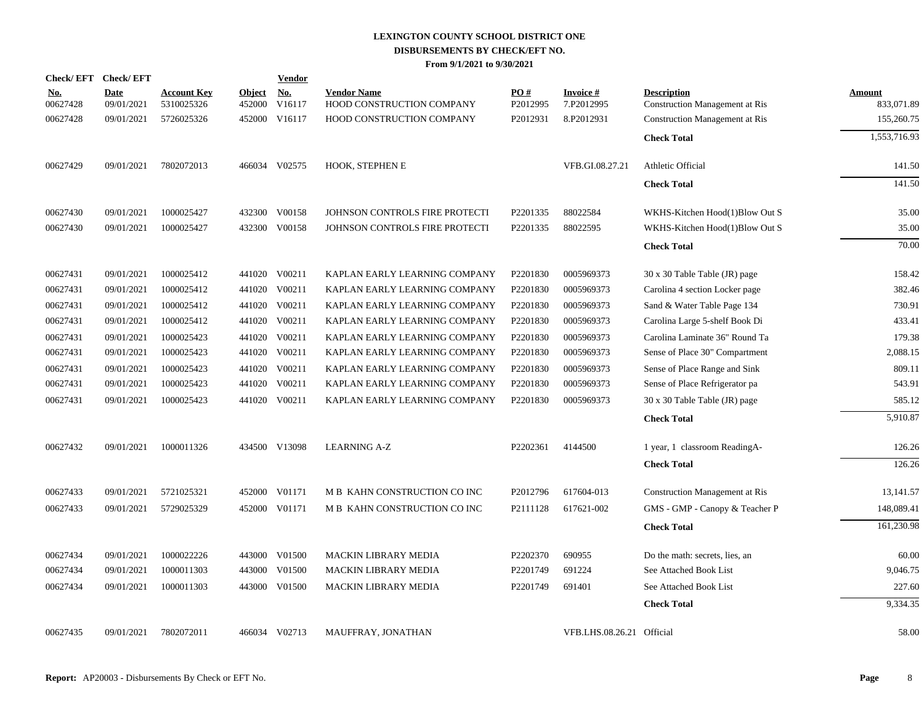| <b>Check/EFT</b>       | <b>Check/EFT</b>   |                                  |                         | <b>Vendor</b>        |                                                 |                 |                           |                                                             |                      |
|------------------------|--------------------|----------------------------------|-------------------------|----------------------|-------------------------------------------------|-----------------|---------------------------|-------------------------------------------------------------|----------------------|
| <u>No.</u><br>00627428 | Date<br>09/01/2021 | <b>Account Key</b><br>5310025326 | <b>Object</b><br>452000 | <b>No.</b><br>V16117 | <b>Vendor Name</b><br>HOOD CONSTRUCTION COMPANY | PO#<br>P2012995 | Invoice #<br>7.P2012995   | <b>Description</b><br><b>Construction Management at Ris</b> | Amount<br>833,071.89 |
| 00627428               | 09/01/2021         | 5726025326                       | 452000                  | V16117               | HOOD CONSTRUCTION COMPANY                       | P2012931        | 8.P2012931                | <b>Construction Management at Ris</b>                       | 155,260.75           |
|                        |                    |                                  |                         |                      |                                                 |                 |                           | <b>Check Total</b>                                          | 1,553,716.93         |
| 00627429               | 09/01/2021         | 7802072013                       |                         | 466034 V02575        | <b>HOOK, STEPHEN E</b>                          |                 | VFB.GI.08.27.21           | Athletic Official                                           | 141.50               |
|                        |                    |                                  |                         |                      |                                                 |                 |                           | <b>Check Total</b>                                          | 141.50               |
| 00627430               | 09/01/2021         | 1000025427                       | 432300                  | V00158               | JOHNSON CONTROLS FIRE PROTECTI                  | P2201335        | 88022584                  | WKHS-Kitchen Hood(1)Blow Out S                              | 35.00                |
| 00627430               | 09/01/2021         | 1000025427                       |                         | 432300 V00158        | JOHNSON CONTROLS FIRE PROTECTI                  | P2201335        | 88022595                  | WKHS-Kitchen Hood(1)Blow Out S                              | 35.00                |
|                        |                    |                                  |                         |                      |                                                 |                 |                           | <b>Check Total</b>                                          | 70.00                |
| 00627431               | 09/01/2021         | 1000025412                       |                         | 441020 V00211        | KAPLAN EARLY LEARNING COMPANY                   | P2201830        | 0005969373                | 30 x 30 Table Table (JR) page                               | 158.42               |
| 00627431               | 09/01/2021         | 1000025412                       |                         | 441020 V00211        | KAPLAN EARLY LEARNING COMPANY                   | P2201830        | 0005969373                | Carolina 4 section Locker page                              | 382.46               |
| 00627431               | 09/01/2021         | 1000025412                       |                         | 441020 V00211        | KAPLAN EARLY LEARNING COMPANY                   | P2201830        | 0005969373                | Sand & Water Table Page 134                                 | 730.91               |
| 00627431               | 09/01/2021         | 1000025412                       |                         | 441020 V00211        | KAPLAN EARLY LEARNING COMPANY                   | P2201830        | 0005969373                | Carolina Large 5-shelf Book Di                              | 433.41               |
| 00627431               | 09/01/2021         | 1000025423                       | 441020                  | V00211               | KAPLAN EARLY LEARNING COMPANY                   | P2201830        | 0005969373                | Carolina Laminate 36" Round Ta                              | 179.38               |
| 00627431               | 09/01/2021         | 1000025423                       | 441020                  | V00211               | KAPLAN EARLY LEARNING COMPANY                   | P2201830        | 0005969373                | Sense of Place 30" Compartment                              | 2,088.15             |
| 00627431               | 09/01/2021         | 1000025423                       |                         | 441020 V00211        | KAPLAN EARLY LEARNING COMPANY                   | P2201830        | 0005969373                | Sense of Place Range and Sink                               | 809.11               |
| 00627431               | 09/01/2021         | 1000025423                       | 441020                  | V00211               | KAPLAN EARLY LEARNING COMPANY                   | P2201830        | 0005969373                | Sense of Place Refrigerator pa                              | 543.91               |
| 00627431               | 09/01/2021         | 1000025423                       |                         | 441020 V00211        | KAPLAN EARLY LEARNING COMPANY                   | P2201830        | 0005969373                | 30 x 30 Table Table (JR) page                               | 585.12               |
|                        |                    |                                  |                         |                      |                                                 |                 |                           | <b>Check Total</b>                                          | 5,910.87             |
| 00627432               | 09/01/2021         | 1000011326                       |                         | 434500 V13098        | <b>LEARNING A-Z</b>                             | P2202361        | 4144500                   | 1 year, 1 classroom ReadingA-                               | 126.26               |
|                        |                    |                                  |                         |                      |                                                 |                 |                           | <b>Check Total</b>                                          | 126.26               |
| 00627433               | 09/01/2021         | 5721025321                       | 452000                  | V01171               | M B KAHN CONSTRUCTION CO INC                    | P2012796        | 617604-013                | <b>Construction Management at Ris</b>                       | 13,141.57            |
| 00627433               | 09/01/2021         | 5729025329                       |                         | 452000 V01171        | M B KAHN CONSTRUCTION CO INC                    | P2111128        | 617621-002                | GMS - GMP - Canopy & Teacher P                              | 148,089.41           |
|                        |                    |                                  |                         |                      |                                                 |                 |                           | <b>Check Total</b>                                          | 161,230.98           |
| 00627434               | 09/01/2021         | 1000022226                       |                         | 443000 V01500        | <b>MACKIN LIBRARY MEDIA</b>                     | P2202370        | 690955                    | Do the math: secrets, lies, an                              | 60.00                |
| 00627434               | 09/01/2021         | 1000011303                       | 443000                  | V01500               | <b>MACKIN LIBRARY MEDIA</b>                     | P2201749        | 691224                    | See Attached Book List                                      | 9,046.75             |
| 00627434               | 09/01/2021         | 1000011303                       | 443000                  | V01500               | MACKIN LIBRARY MEDIA                            | P2201749        | 691401                    | See Attached Book List                                      | 227.60               |
|                        |                    |                                  |                         |                      |                                                 |                 |                           | <b>Check Total</b>                                          | 9,334.35             |
| 00627435               | 09/01/2021         | 7802072011                       |                         | 466034 V02713        | MAUFFRAY, JONATHAN                              |                 | VFB.LHS.08.26.21 Official |                                                             | 58.00                |
|                        |                    |                                  |                         |                      |                                                 |                 |                           |                                                             |                      |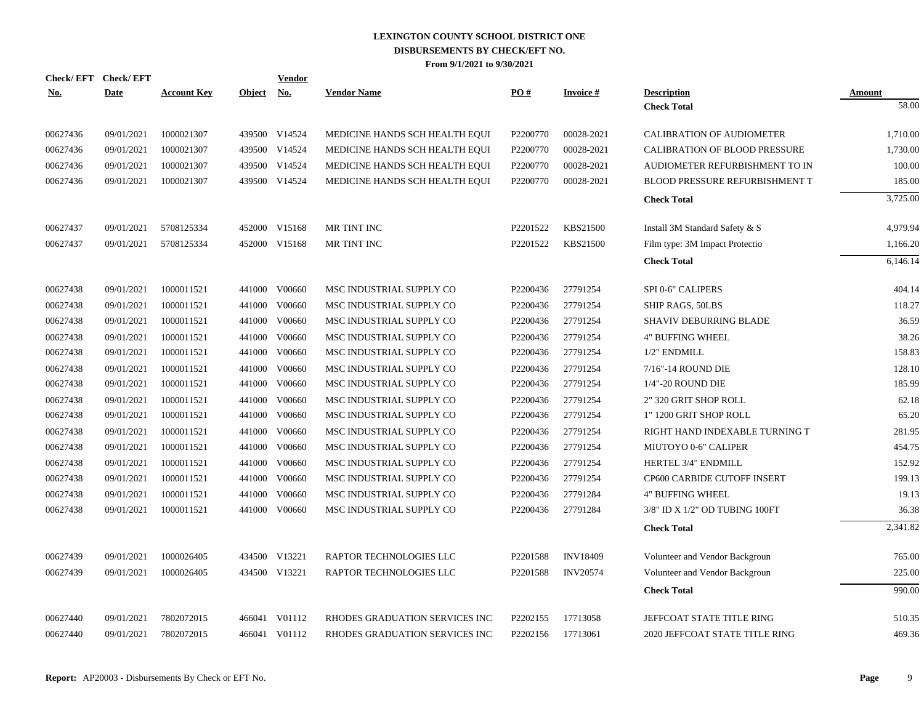| <b>Check/EFT</b> | <b>Check/EFT</b> |                    |               | <b>Vendor</b> |                                |          |                  |                                      |               |
|------------------|------------------|--------------------|---------------|---------------|--------------------------------|----------|------------------|--------------------------------------|---------------|
| <u>No.</u>       | <b>Date</b>      | <b>Account Key</b> | <b>Object</b> | <u>No.</u>    | <b>Vendor Name</b>             | PO#      | <b>Invoice</b> # | <b>Description</b>                   | <b>Amount</b> |
|                  |                  |                    |               |               |                                |          |                  | <b>Check Total</b>                   | 58.00         |
| 00627436         | 09/01/2021       | 1000021307         |               | 439500 V14524 | MEDICINE HANDS SCH HEALTH EQUI | P2200770 | 00028-2021       | <b>CALIBRATION OF AUDIOMETER</b>     | 1,710.00      |
| 00627436         | 09/01/2021       | 1000021307         | 439500        | V14524        | MEDICINE HANDS SCH HEALTH EQUI | P2200770 | 00028-2021       | <b>CALIBRATION OF BLOOD PRESSURE</b> | 1,730.00      |
| 00627436         | 09/01/2021       | 1000021307         | 439500        | V14524        | MEDICINE HANDS SCH HEALTH EQUI | P2200770 | 00028-2021       | AUDIOMETER REFURBISHMENT TO IN       | 100.00        |
| 00627436         | 09/01/2021       | 1000021307         |               | 439500 V14524 | MEDICINE HANDS SCH HEALTH EQUI | P2200770 | 00028-2021       | BLOOD PRESSURE REFURBISHMENT T       | 185.00        |
|                  |                  |                    |               |               |                                |          |                  | <b>Check Total</b>                   | 3,725.00      |
| 00627437         | 09/01/2021       | 5708125334         |               | 452000 V15168 | MR TINT INC                    | P2201522 | KBS21500         | Install 3M Standard Safety & S       | 4,979.94      |
| 00627437         | 09/01/2021       | 5708125334         |               | 452000 V15168 | MR TINT INC                    | P2201522 | KBS21500         | Film type: 3M Impact Protectio       | 1,166.20      |
|                  |                  |                    |               |               |                                |          |                  | <b>Check Total</b>                   | 6,146.14      |
| 00627438         | 09/01/2021       | 1000011521         |               | 441000 V00660 | MSC INDUSTRIAL SUPPLY CO       | P2200436 | 27791254         | SPI 0-6" CALIPERS                    | 404.14        |
| 00627438         | 09/01/2021       | 1000011521         | 441000        | V00660        | MSC INDUSTRIAL SUPPLY CO       | P2200436 | 27791254         | SHIP RAGS, 50LBS                     | 118.27        |
| 00627438         | 09/01/2021       | 1000011521         | 441000        | V00660        | MSC INDUSTRIAL SUPPLY CO       | P2200436 | 27791254         | <b>SHAVIV DEBURRING BLADE</b>        | 36.59         |
| 00627438         | 09/01/2021       | 1000011521         | 441000        | V00660        | MSC INDUSTRIAL SUPPLY CO       | P2200436 | 27791254         | <b>4" BUFFING WHEEL</b>              | 38.26         |
| 00627438         | 09/01/2021       | 1000011521         | 441000        | V00660        | MSC INDUSTRIAL SUPPLY CO       | P2200436 | 27791254         | 1/2" ENDMILL                         | 158.83        |
| 00627438         | 09/01/2021       | 1000011521         | 441000        | V00660        | MSC INDUSTRIAL SUPPLY CO       | P2200436 | 27791254         | 7/16"-14 ROUND DIE                   | 128.10        |
| 00627438         | 09/01/2021       | 1000011521         | 441000        | V00660        | MSC INDUSTRIAL SUPPLY CO       | P2200436 | 27791254         | 1/4"-20 ROUND DIE                    | 185.99        |
| 00627438         | 09/01/2021       | 1000011521         | 441000        | V00660        | MSC INDUSTRIAL SUPPLY CO       | P2200436 | 27791254         | 2" 320 GRIT SHOP ROLL                | 62.18         |
| 00627438         | 09/01/2021       | 1000011521         | 441000        | V00660        | MSC INDUSTRIAL SUPPLY CO       | P2200436 | 27791254         | 1" 1200 GRIT SHOP ROLL               | 65.20         |
| 00627438         | 09/01/2021       | 1000011521         | 441000        | V00660        | MSC INDUSTRIAL SUPPLY CO       | P2200436 | 27791254         | RIGHT HAND INDEXABLE TURNING T       | 281.95        |
| 00627438         | 09/01/2021       | 1000011521         | 441000        | V00660        | MSC INDUSTRIAL SUPPLY CO       | P2200436 | 27791254         | MIUTOYO 0-6" CALIPER                 | 454.75        |
| 00627438         | 09/01/2021       | 1000011521         | 441000        | V00660        | MSC INDUSTRIAL SUPPLY CO       | P2200436 | 27791254         | HERTEL 3/4" ENDMILL                  | 152.92        |
| 00627438         | 09/01/2021       | 1000011521         | 441000        | V00660        | MSC INDUSTRIAL SUPPLY CO       | P2200436 | 27791254         | CP600 CARBIDE CUTOFF INSERT          | 199.13        |
| 00627438         | 09/01/2021       | 1000011521         | 441000        | V00660        | MSC INDUSTRIAL SUPPLY CO       | P2200436 | 27791284         | <b>4" BUFFING WHEEL</b>              | 19.13         |
| 00627438         | 09/01/2021       | 1000011521         |               | 441000 V00660 | MSC INDUSTRIAL SUPPLY CO       | P2200436 | 27791284         | 3/8" ID X 1/2" OD TUBING 100FT       | 36.38         |
|                  |                  |                    |               |               |                                |          |                  | <b>Check Total</b>                   | 2,341.82      |
| 00627439         | 09/01/2021       | 1000026405         |               | 434500 V13221 | RAPTOR TECHNOLOGIES LLC        | P2201588 | <b>INV18409</b>  | Volunteer and Vendor Backgroun       | 765.00        |
| 00627439         | 09/01/2021       | 1000026405         |               | 434500 V13221 | RAPTOR TECHNOLOGIES LLC        | P2201588 | <b>INV20574</b>  | Volunteer and Vendor Backgroun       | 225.00        |
|                  |                  |                    |               |               |                                |          |                  | <b>Check Total</b>                   | 990.00        |
| 00627440         | 09/01/2021       | 7802072015         |               | 466041 V01112 | RHODES GRADUATION SERVICES INC | P2202155 | 17713058         | JEFFCOAT STATE TITLE RING            | 510.35        |
| 00627440         | 09/01/2021       | 7802072015         |               | 466041 V01112 | RHODES GRADUATION SERVICES INC | P2202156 | 17713061         | 2020 JEFFCOAT STATE TITLE RING       | 469.36        |
|                  |                  |                    |               |               |                                |          |                  |                                      |               |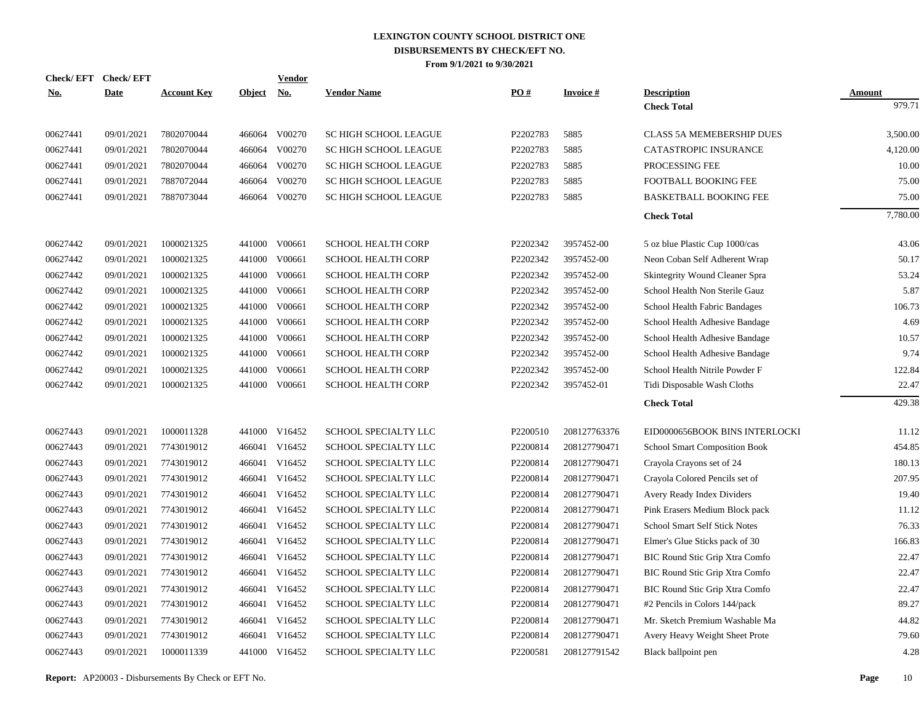|            | Check/EFT Check/EFT |                    |            | <b>Vendor</b> |                              |          |                 |                                       |               |
|------------|---------------------|--------------------|------------|---------------|------------------------------|----------|-----------------|---------------------------------------|---------------|
| <u>No.</u> | <b>Date</b>         | <b>Account Key</b> | Object No. |               | <b>Vendor Name</b>           | PO#      | <b>Invoice#</b> | <b>Description</b>                    | <b>Amount</b> |
|            |                     |                    |            |               |                              |          |                 | <b>Check Total</b>                    | 979.71        |
| 00627441   | 09/01/2021          | 7802070044         | 466064     | V00270        | <b>SC HIGH SCHOOL LEAGUE</b> | P2202783 | 5885            | <b>CLASS 5A MEMEBERSHIP DUES</b>      | 3,500.00      |
| 00627441   | 09/01/2021          | 7802070044         | 466064     | V00270        | <b>SC HIGH SCHOOL LEAGUE</b> | P2202783 | 5885            | <b>CATASTROPIC INSURANCE</b>          | 4,120.00      |
| 00627441   | 09/01/2021          | 7802070044         | 466064     | V00270        | SC HIGH SCHOOL LEAGUE        | P2202783 | 5885            | PROCESSING FEE                        | 10.00         |
| 00627441   | 09/01/2021          | 7887072044         | 466064     | V00270        | <b>SC HIGH SCHOOL LEAGUE</b> | P2202783 | 5885            | FOOTBALL BOOKING FEE                  | 75.00         |
| 00627441   | 09/01/2021          | 7887073044         | 466064     | V00270        | SC HIGH SCHOOL LEAGUE        | P2202783 | 5885            | <b>BASKETBALL BOOKING FEE</b>         | 75.00         |
|            |                     |                    |            |               |                              |          |                 | <b>Check Total</b>                    | 7,780.00      |
| 00627442   | 09/01/2021          | 1000021325         | 441000     | V00661        | <b>SCHOOL HEALTH CORP</b>    | P2202342 | 3957452-00      | 5 oz blue Plastic Cup 1000/cas        | 43.06         |
| 00627442   | 09/01/2021          | 1000021325         | 441000     | V00661        | <b>SCHOOL HEALTH CORP</b>    | P2202342 | 3957452-00      | Neon Coban Self Adherent Wrap         | 50.17         |
| 00627442   | 09/01/2021          | 1000021325         | 441000     | V00661        | <b>SCHOOL HEALTH CORP</b>    | P2202342 | 3957452-00      | Skintegrity Wound Cleaner Spra        | 53.24         |
| 00627442   | 09/01/2021          | 1000021325         | 441000     | V00661        | <b>SCHOOL HEALTH CORP</b>    | P2202342 | 3957452-00      | School Health Non Sterile Gauz        | 5.87          |
| 00627442   | 09/01/2021          | 1000021325         | 441000     | V00661        | <b>SCHOOL HEALTH CORP</b>    | P2202342 | 3957452-00      | School Health Fabric Bandages         | 106.73        |
| 00627442   | 09/01/2021          | 1000021325         | 441000     | V00661        | <b>SCHOOL HEALTH CORP</b>    | P2202342 | 3957452-00      | School Health Adhesive Bandage        | 4.69          |
| 00627442   | 09/01/2021          | 1000021325         | 441000     | V00661        | <b>SCHOOL HEALTH CORP</b>    | P2202342 | 3957452-00      | School Health Adhesive Bandage        | 10.57         |
| 00627442   | 09/01/2021          | 1000021325         | 441000     | V00661        | <b>SCHOOL HEALTH CORP</b>    | P2202342 | 3957452-00      | School Health Adhesive Bandage        | 9.74          |
| 00627442   | 09/01/2021          | 1000021325         | 441000     | V00661        | <b>SCHOOL HEALTH CORP</b>    | P2202342 | 3957452-00      | School Health Nitrile Powder F        | 122.84        |
| 00627442   | 09/01/2021          | 1000021325         | 441000     | V00661        | <b>SCHOOL HEALTH CORP</b>    | P2202342 | 3957452-01      | Tidi Disposable Wash Cloths           | 22.47         |
|            |                     |                    |            |               |                              |          |                 | <b>Check Total</b>                    | 429.38        |
| 00627443   | 09/01/2021          | 1000011328         | 441000     | V16452        | SCHOOL SPECIALTY LLC         | P2200510 | 208127763376    | EID0000656BOOK BINS INTERLOCKI        | 11.12         |
| 00627443   | 09/01/2021          | 7743019012         |            | 466041 V16452 | SCHOOL SPECIALTY LLC         | P2200814 | 208127790471    | <b>School Smart Composition Book</b>  | 454.85        |
| 00627443   | 09/01/2021          | 7743019012         | 466041     | V16452        | <b>SCHOOL SPECIALTY LLC</b>  | P2200814 | 208127790471    | Crayola Crayons set of 24             | 180.13        |
| 00627443   | 09/01/2021          | 7743019012         |            | 466041 V16452 | SCHOOL SPECIALTY LLC         | P2200814 | 208127790471    | Crayola Colored Pencils set of        | 207.95        |
| 00627443   | 09/01/2021          | 7743019012         | 466041     | V16452        | <b>SCHOOL SPECIALTY LLC</b>  | P2200814 | 208127790471    | Avery Ready Index Dividers            | 19.40         |
| 00627443   | 09/01/2021          | 7743019012         |            | 466041 V16452 | SCHOOL SPECIALTY LLC         | P2200814 | 208127790471    | Pink Erasers Medium Block pack        | 11.12         |
| 00627443   | 09/01/2021          | 7743019012         | 466041     | V16452        | SCHOOL SPECIALTY LLC         | P2200814 | 208127790471    | <b>School Smart Self Stick Notes</b>  | 76.33         |
| 00627443   | 09/01/2021          | 7743019012         |            | 466041 V16452 | SCHOOL SPECIALTY LLC         | P2200814 | 208127790471    | Elmer's Glue Sticks pack of 30        | 166.83        |
| 00627443   | 09/01/2021          | 7743019012         | 466041     | V16452        | SCHOOL SPECIALTY LLC         | P2200814 | 208127790471    | <b>BIC Round Stic Grip Xtra Comfo</b> | 22.47         |
| 00627443   | 09/01/2021          | 7743019012         |            | 466041 V16452 | SCHOOL SPECIALTY LLC         | P2200814 | 208127790471    | BIC Round Stic Grip Xtra Comfo        | 22.47         |
| 00627443   | 09/01/2021          | 7743019012         | 466041     | V16452        | SCHOOL SPECIALTY LLC         | P2200814 | 208127790471    | <b>BIC Round Stic Grip Xtra Comfo</b> | 22.47         |
| 00627443   | 09/01/2021          | 7743019012         |            | 466041 V16452 | SCHOOL SPECIALTY LLC         | P2200814 | 208127790471    | #2 Pencils in Colors 144/pack         | 89.27         |
| 00627443   | 09/01/2021          | 7743019012         | 466041     | V16452        | SCHOOL SPECIALTY LLC         | P2200814 | 208127790471    | Mr. Sketch Premium Washable Ma        | 44.82         |
| 00627443   | 09/01/2021          | 7743019012         | 466041     | V16452        | SCHOOL SPECIALTY LLC         | P2200814 | 208127790471    | Avery Heavy Weight Sheet Prote        | 79.60         |
| 00627443   | 09/01/2021          | 1000011339         |            | 441000 V16452 | SCHOOL SPECIALTY LLC         | P2200581 | 208127791542    | Black ballpoint pen                   | 4.28          |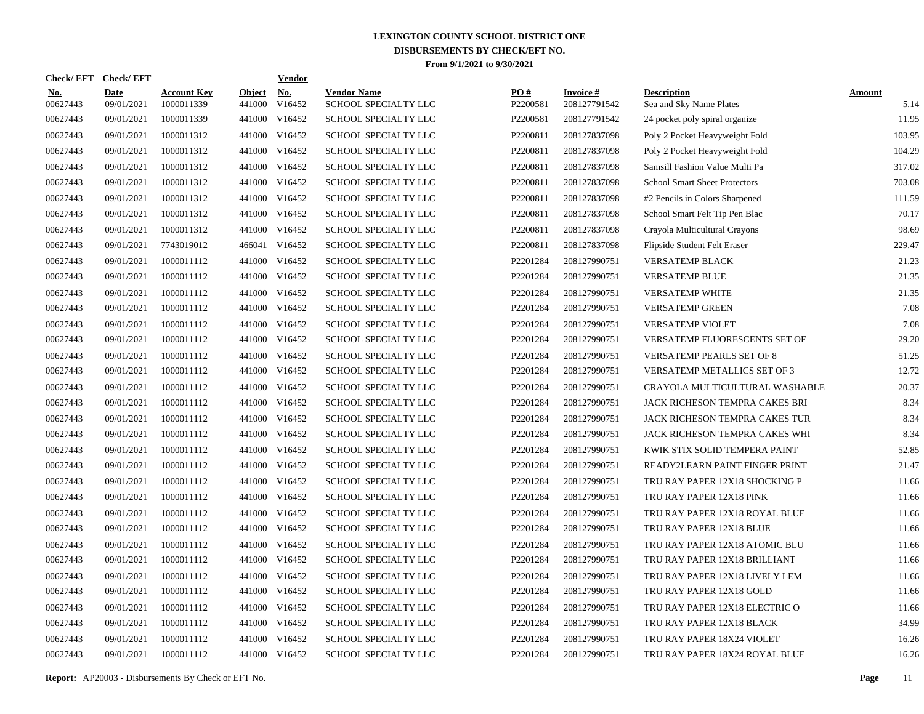| Check/EFT Check/EFT    |                           |                                  |                         | <b>Vendor</b>        |                                            |                 |                                 |                                               |                       |
|------------------------|---------------------------|----------------------------------|-------------------------|----------------------|--------------------------------------------|-----------------|---------------------------------|-----------------------------------------------|-----------------------|
| <u>No.</u><br>00627443 | <b>Date</b><br>09/01/2021 | <b>Account Key</b><br>1000011339 | <b>Object</b><br>441000 | <u>No.</u><br>V16452 | <b>Vendor Name</b><br>SCHOOL SPECIALTY LLC | PQ#<br>P2200581 | <b>Invoice#</b><br>208127791542 | <b>Description</b><br>Sea and Sky Name Plates | <b>Amount</b><br>5.14 |
| 00627443               | 09/01/2021                | 1000011339                       | 441000                  | V16452               | SCHOOL SPECIALTY LLC                       | P2200581        | 208127791542                    | 24 pocket poly spiral organize                | 11.95                 |
| 00627443               | 09/01/2021                | 1000011312                       |                         | 441000 V16452        | SCHOOL SPECIALTY LLC                       | P2200811        | 208127837098                    | Poly 2 Pocket Heavyweight Fold                | 103.95                |
| 00627443               | 09/01/2021                | 1000011312                       |                         | 441000 V16452        | <b>SCHOOL SPECIALTY LLC</b>                | P2200811        | 208127837098                    | Poly 2 Pocket Heavyweight Fold                | 104.29                |
| 00627443               | 09/01/2021                | 1000011312                       |                         | 441000 V16452        | <b>SCHOOL SPECIALTY LLC</b>                | P2200811        | 208127837098                    | Samsill Fashion Value Multi Pa                | 317.02                |
| 00627443               | 09/01/2021                | 1000011312                       |                         | 441000 V16452        | SCHOOL SPECIALTY LLC                       | P2200811        | 208127837098                    | <b>School Smart Sheet Protectors</b>          | 703.08                |
| 00627443               | 09/01/2021                | 1000011312                       |                         | 441000 V16452        | SCHOOL SPECIALTY LLC                       | P2200811        | 208127837098                    | #2 Pencils in Colors Sharpened                | 111.59                |
| 00627443               | 09/01/2021                | 1000011312                       |                         | 441000 V16452        | SCHOOL SPECIALTY LLC                       | P2200811        | 208127837098                    | School Smart Felt Tip Pen Blac                | 70.17                 |
| 00627443               | 09/01/2021                | 1000011312                       |                         | 441000 V16452        | SCHOOL SPECIALTY LLC                       | P2200811        | 208127837098                    | Crayola Multicultural Crayons                 | 98.69                 |
| 00627443               | 09/01/2021                | 7743019012                       |                         | 466041 V16452        | SCHOOL SPECIALTY LLC                       | P2200811        | 208127837098                    | Flipside Student Felt Eraser                  | 229.47                |
| 00627443               | 09/01/2021                | 1000011112                       |                         | 441000 V16452        | SCHOOL SPECIALTY LLC                       | P2201284        | 208127990751                    | VERSATEMP BLACK                               | 21.23                 |
| 00627443               | 09/01/2021                | 1000011112                       |                         | 441000 V16452        | SCHOOL SPECIALTY LLC                       | P2201284        | 208127990751                    | <b>VERSATEMP BLUE</b>                         | 21.35                 |
| 00627443               | 09/01/2021                | 1000011112                       |                         | 441000 V16452        | SCHOOL SPECIALTY LLC                       | P2201284        | 208127990751                    | <b>VERSATEMP WHITE</b>                        | 21.35                 |
| 00627443               | 09/01/2021                | 1000011112                       |                         | 441000 V16452        | SCHOOL SPECIALTY LLC                       | P2201284        | 208127990751                    | <b>VERSATEMP GREEN</b>                        | 7.08                  |
| 00627443               | 09/01/2021                | 1000011112                       |                         | 441000 V16452        | SCHOOL SPECIALTY LLC                       | P2201284        | 208127990751                    | <b>VERSATEMP VIOLET</b>                       | 7.08                  |
| 00627443               | 09/01/2021                | 1000011112                       |                         | 441000 V16452        | SCHOOL SPECIALTY LLC                       | P2201284        | 208127990751                    | VERSATEMP FLUORESCENTS SET OF                 | 29.20                 |
| 00627443               | 09/01/2021                | 1000011112                       |                         | 441000 V16452        | SCHOOL SPECIALTY LLC                       | P2201284        | 208127990751                    | VERSATEMP PEARLS SET OF 8                     | 51.25                 |
| 00627443               | 09/01/2021                | 1000011112                       |                         | 441000 V16452        | SCHOOL SPECIALTY LLC                       | P2201284        | 208127990751                    | VERSATEMP METALLICS SET OF 3                  | 12.72                 |
| 00627443               | 09/01/2021                | 1000011112                       |                         | 441000 V16452        | SCHOOL SPECIALTY LLC                       | P2201284        | 208127990751                    | CRAYOLA MULTICULTURAL WASHABLE                | 20.37                 |
| 00627443               | 09/01/2021                | 1000011112                       |                         | 441000 V16452        | SCHOOL SPECIALTY LLC                       | P2201284        | 208127990751                    | JACK RICHESON TEMPRA CAKES BRI                | 8.34                  |
| 00627443               | 09/01/2021                | 1000011112                       |                         | 441000 V16452        | SCHOOL SPECIALTY LLC                       | P2201284        | 208127990751                    | JACK RICHESON TEMPRA CAKES TUR                | 8.34                  |
| 00627443               | 09/01/2021                | 1000011112                       |                         | 441000 V16452        | SCHOOL SPECIALTY LLC                       | P2201284        | 208127990751                    | JACK RICHESON TEMPRA CAKES WHI                | 8.34                  |
| 00627443               | 09/01/2021                | 1000011112                       |                         | 441000 V16452        | SCHOOL SPECIALTY LLC                       | P2201284        | 208127990751                    | KWIK STIX SOLID TEMPERA PAINT                 | 52.85                 |
| 00627443               | 09/01/2021                | 1000011112                       |                         | 441000 V16452        | SCHOOL SPECIALTY LLC                       | P2201284        | 208127990751                    | READY2LEARN PAINT FINGER PRINT                | 21.47                 |
| 00627443               | 09/01/2021                | 1000011112                       |                         | 441000 V16452        | SCHOOL SPECIALTY LLC                       | P2201284        | 208127990751                    | TRU RAY PAPER 12X18 SHOCKING P                | 11.66                 |
| 00627443               | 09/01/2021                | 1000011112                       |                         | 441000 V16452        | <b>SCHOOL SPECIALTY LLC</b>                | P2201284        | 208127990751                    | TRU RAY PAPER 12X18 PINK                      | 11.66                 |
| 00627443               | 09/01/2021                | 1000011112                       |                         | 441000 V16452        | <b>SCHOOL SPECIALTY LLC</b>                | P2201284        | 208127990751                    | TRU RAY PAPER 12X18 ROYAL BLUE                | 11.66                 |
| 00627443               | 09/01/2021                | 1000011112                       |                         | 441000 V16452        | SCHOOL SPECIALTY LLC                       | P2201284        | 208127990751                    | TRU RAY PAPER 12X18 BLUE                      | 11.66                 |
| 00627443               | 09/01/2021                | 1000011112                       | 441000                  | V16452               | SCHOOL SPECIALTY LLC                       | P2201284        | 208127990751                    | TRU RAY PAPER 12X18 ATOMIC BLU                | 11.66                 |
| 00627443               | 09/01/2021                | 1000011112                       |                         | 441000 V16452        | SCHOOL SPECIALTY LLC                       | P2201284        | 208127990751                    | TRU RAY PAPER 12X18 BRILLIANT                 | 11.66                 |
| 00627443               | 09/01/2021                | 1000011112                       | 441000                  | V16452               | SCHOOL SPECIALTY LLC                       | P2201284        | 208127990751                    | TRU RAY PAPER 12X18 LIVELY LEM                | 11.66                 |
| 00627443               | 09/01/2021                | 1000011112                       |                         | 441000 V16452        | SCHOOL SPECIALTY LLC                       | P2201284        | 208127990751                    | TRU RAY PAPER 12X18 GOLD                      | 11.66                 |
| 00627443               | 09/01/2021                | 1000011112                       | 441000                  | V16452               | SCHOOL SPECIALTY LLC                       | P2201284        | 208127990751                    | TRU RAY PAPER 12X18 ELECTRIC O                | 11.66                 |
| 00627443               | 09/01/2021                | 1000011112                       |                         | 441000 V16452        | SCHOOL SPECIALTY LLC                       | P2201284        | 208127990751                    | TRU RAY PAPER 12X18 BLACK                     | 34.99                 |
| 00627443               | 09/01/2021                | 1000011112                       | 441000                  | V16452               | SCHOOL SPECIALTY LLC                       | P2201284        | 208127990751                    | TRU RAY PAPER 18X24 VIOLET                    | 16.26                 |
| 00627443               | 09/01/2021                | 1000011112                       |                         | 441000 V16452        | SCHOOL SPECIALTY LLC                       | P2201284        | 208127990751                    | TRU RAY PAPER 18X24 ROYAL BLUE                | 16.26                 |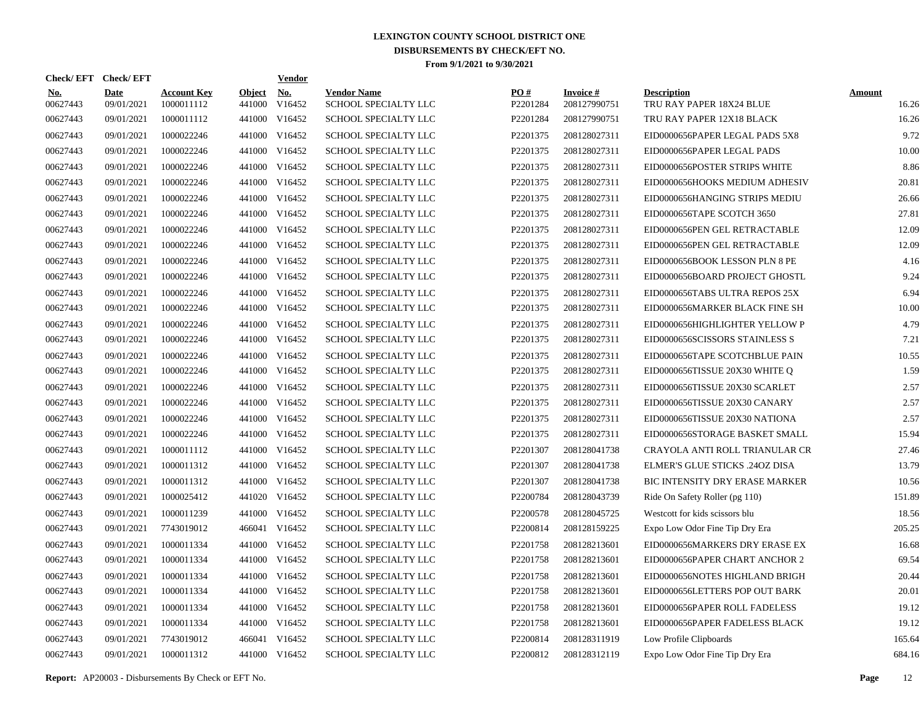| <b>Check/EFT</b>       | <b>Check/EFT</b>          |                                  |                         | <b>Vendor</b>        |                                            |                 |                                 |                                                |                        |
|------------------------|---------------------------|----------------------------------|-------------------------|----------------------|--------------------------------------------|-----------------|---------------------------------|------------------------------------------------|------------------------|
| <b>No.</b><br>00627443 | <b>Date</b><br>09/01/2021 | <b>Account Key</b><br>1000011112 | <b>Object</b><br>441000 | <u>No.</u><br>V16452 | <b>Vendor Name</b><br>SCHOOL SPECIALTY LLC | PO#<br>P2201284 | <b>Invoice#</b><br>208127990751 | <b>Description</b><br>TRU RAY PAPER 18X24 BLUE | <b>Amount</b><br>16.26 |
| 00627443               | 09/01/2021                | 1000011112                       | 441000                  | V16452               | SCHOOL SPECIALTY LLC                       | P2201284        | 208127990751                    | TRU RAY PAPER 12X18 BLACK                      | 16.26                  |
| 00627443               | 09/01/2021                | 1000022246                       | 441000                  | V16452               | SCHOOL SPECIALTY LLC                       | P2201375        | 208128027311                    | EID0000656PAPER LEGAL PADS 5X8                 | 9.72                   |
| 00627443               | 09/01/2021                | 1000022246                       | 441000                  | V16452               | <b>SCHOOL SPECIALTY LLC</b>                | P2201375        | 208128027311                    | EID0000656PAPER LEGAL PADS                     | 10.00                  |
| 00627443               | 09/01/2021                | 1000022246                       | 441000                  | V16452               | <b>SCHOOL SPECIALTY LLC</b>                | P2201375        | 208128027311                    | EID0000656POSTER STRIPS WHITE                  | 8.86                   |
| 00627443               | 09/01/2021                | 1000022246                       |                         | 441000 V16452        | <b>SCHOOL SPECIALTY LLC</b>                | P2201375        | 208128027311                    | EID0000656HOOKS MEDIUM ADHESIV                 | 20.81                  |
| 00627443               | 09/01/2021                | 1000022246                       | 441000                  | V16452               | <b>SCHOOL SPECIALTY LLC</b>                | P2201375        | 208128027311                    | EID0000656HANGING STRIPS MEDIU                 | 26.66                  |
| 00627443               | 09/01/2021                | 1000022246                       |                         | 441000 V16452        | <b>SCHOOL SPECIALTY LLC</b>                | P2201375        | 208128027311                    | EID0000656TAPE SCOTCH 3650                     | 27.81                  |
| 00627443               | 09/01/2021                | 1000022246                       | 441000                  | V16452               | <b>SCHOOL SPECIALTY LLC</b>                | P2201375        | 208128027311                    | EID0000656PEN GEL RETRACTABLE                  | 12.09                  |
| 00627443               | 09/01/2021                | 1000022246                       |                         | 441000 V16452        | SCHOOL SPECIALTY LLC                       | P2201375        | 208128027311                    | EID0000656PEN GEL RETRACTABLE                  | 12.09                  |
| 00627443               | 09/01/2021                | 1000022246                       |                         | 441000 V16452        | SCHOOL SPECIALTY LLC                       | P2201375        | 208128027311                    | EID0000656BOOK LESSON PLN 8 PE                 | 4.16                   |
| 00627443               | 09/01/2021                | 1000022246                       |                         | 441000 V16452        | SCHOOL SPECIALTY LLC                       | P2201375        | 208128027311                    | EID0000656BOARD PROJECT GHOSTL                 | 9.24                   |
| 00627443               | 09/01/2021                | 1000022246                       |                         | 441000 V16452        | SCHOOL SPECIALTY LLC                       | P2201375        | 208128027311                    | EID0000656TABS ULTRA REPOS 25X                 | 6.94                   |
| 00627443               | 09/01/2021                | 1000022246                       |                         | 441000 V16452        | SCHOOL SPECIALTY LLC                       | P2201375        | 208128027311                    | EID0000656MARKER BLACK FINE SH                 | 10.00                  |
| 00627443               | 09/01/2021                | 1000022246                       |                         | 441000 V16452        | SCHOOL SPECIALTY LLC                       | P2201375        | 208128027311                    | EID0000656HIGHLIGHTER YELLOW P                 | 4.79                   |
| 00627443               | 09/01/2021                | 1000022246                       |                         | 441000 V16452        | <b>SCHOOL SPECIALTY LLC</b>                | P2201375        | 208128027311                    | EID0000656SCISSORS STAINLESS S                 | 7.21                   |
| 00627443               | 09/01/2021                | 1000022246                       |                         | 441000 V16452        | <b>SCHOOL SPECIALTY LLC</b>                | P2201375        | 208128027311                    | EID0000656TAPE SCOTCHBLUE PAIN                 | 10.55                  |
| 00627443               | 09/01/2021                | 1000022246                       |                         | 441000 V16452        | SCHOOL SPECIALTY LLC                       | P2201375        | 208128027311                    | EID0000656TISSUE 20X30 WHITE Q                 | 1.59                   |
| 00627443               | 09/01/2021                | 1000022246                       |                         | 441000 V16452        | <b>SCHOOL SPECIALTY LLC</b>                | P2201375        | 208128027311                    | EID0000656TISSUE 20X30 SCARLET                 | 2.57                   |
| 00627443               | 09/01/2021                | 1000022246                       |                         | 441000 V16452        | SCHOOL SPECIALTY LLC                       | P2201375        | 208128027311                    | EID0000656TISSUE 20X30 CANARY                  | 2.57                   |
| 00627443               | 09/01/2021                | 1000022246                       |                         | 441000 V16452        | <b>SCHOOL SPECIALTY LLC</b>                | P2201375        | 208128027311                    | EID0000656TISSUE 20X30 NATIONA                 | 2.57                   |
| 00627443               | 09/01/2021                | 1000022246                       |                         | 441000 V16452        | SCHOOL SPECIALTY LLC                       | P2201375        | 208128027311                    | EID0000656STORAGE BASKET SMALL                 | 15.94                  |
| 00627443               | 09/01/2021                | 1000011112                       |                         | 441000 V16452        | SCHOOL SPECIALTY LLC                       | P2201307        | 208128041738                    | CRAYOLA ANTI ROLL TRIANULAR CR                 | 27.46                  |
| 00627443               | 09/01/2021                | 1000011312                       |                         | 441000 V16452        | SCHOOL SPECIALTY LLC                       | P2201307        | 208128041738                    | <b>ELMER'S GLUE STICKS .240Z DISA</b>          | 13.79                  |
| 00627443               | 09/01/2021                | 1000011312                       | 441000                  | V16452               | SCHOOL SPECIALTY LLC                       | P2201307        | 208128041738                    | <b>BIC INTENSITY DRY ERASE MARKER</b>          | 10.56                  |
| 00627443               | 09/01/2021                | 1000025412                       |                         | 441020 V16452        | <b>SCHOOL SPECIALTY LLC</b>                | P2200784        | 208128043739                    | Ride On Safety Roller (pg 110)                 | 151.89                 |
| 00627443               | 09/01/2021                | 1000011239                       | 441000                  | V16452               | <b>SCHOOL SPECIALTY LLC</b>                | P2200578        | 208128045725                    | Westcott for kids scissors blu                 | 18.56                  |
| 00627443               | 09/01/2021                | 7743019012                       |                         | 466041 V16452        | <b>SCHOOL SPECIALTY LLC</b>                | P2200814        | 208128159225                    | Expo Low Odor Fine Tip Dry Era                 | 205.25                 |
| 00627443               | 09/01/2021                | 1000011334                       | 441000                  | V16452               | SCHOOL SPECIALTY LLC                       | P2201758        | 208128213601                    | EID0000656MARKERS DRY ERASE EX                 | 16.68                  |
| 00627443               | 09/01/2021                | 1000011334                       |                         | 441000 V16452        | SCHOOL SPECIALTY LLC                       | P2201758        | 208128213601                    | EID0000656PAPER CHART ANCHOR 2                 | 69.54                  |
| 00627443               | 09/01/2021                | 1000011334                       | 441000                  | V16452               | SCHOOL SPECIALTY LLC                       | P2201758        | 208128213601                    | EID0000656NOTES HIGHLAND BRIGH                 | 20.44                  |
| 00627443               | 09/01/2021                | 1000011334                       |                         | 441000 V16452        | SCHOOL SPECIALTY LLC                       | P2201758        | 208128213601                    | EID0000656LETTERS POP OUT BARK                 | 20.01                  |
| 00627443               | 09/01/2021                | 1000011334                       | 441000                  | V16452               | SCHOOL SPECIALTY LLC                       | P2201758        | 208128213601                    | EID0000656PAPER ROLL FADELESS                  | 19.12                  |
| 00627443               | 09/01/2021                | 1000011334                       |                         | 441000 V16452        | SCHOOL SPECIALTY LLC                       | P2201758        | 208128213601                    | EID0000656PAPER FADELESS BLACK                 | 19.12                  |
| 00627443               | 09/01/2021                | 7743019012                       |                         | 466041 V16452        | SCHOOL SPECIALTY LLC                       | P2200814        | 208128311919                    | Low Profile Clipboards                         | 165.64                 |
| 00627443               | 09/01/2021                | 1000011312                       |                         | 441000 V16452        | SCHOOL SPECIALTY LLC                       | P2200812        | 208128312119                    | Expo Low Odor Fine Tip Dry Era                 | 684.16                 |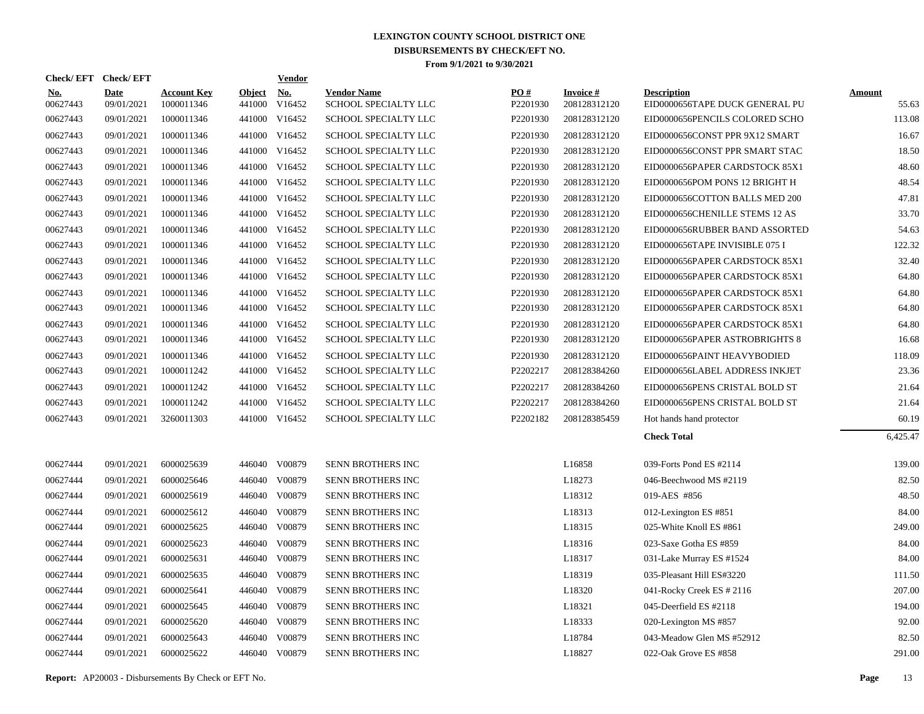| Check/EFT Check/EFT    |                           |                                  |                         | <b>Vendor</b>                         |                                            |                               |                                 |                                                      |                        |
|------------------------|---------------------------|----------------------------------|-------------------------|---------------------------------------|--------------------------------------------|-------------------------------|---------------------------------|------------------------------------------------------|------------------------|
| <u>No.</u><br>00627443 | <b>Date</b><br>09/01/2021 | <b>Account Key</b><br>1000011346 | <b>Object</b><br>441000 | $\underline{\mathrm{No}}$ .<br>V16452 | <b>Vendor Name</b><br>SCHOOL SPECIALTY LLC | $\underline{PO#}$<br>P2201930 | <b>Invoice#</b><br>208128312120 | <b>Description</b><br>EID0000656TAPE DUCK GENERAL PU | <b>Amount</b><br>55.63 |
| 00627443               | 09/01/2021                | 1000011346                       |                         | 441000 V16452                         | SCHOOL SPECIALTY LLC                       | P2201930                      | 208128312120                    | EID0000656PENCILS COLORED SCHO                       | 113.08                 |
| 00627443               | 09/01/2021                | 1000011346                       |                         | 441000 V16452                         | SCHOOL SPECIALTY LLC                       | P2201930                      | 208128312120                    | EID0000656CONST PPR 9X12 SMART                       | 16.67                  |
| 00627443               | 09/01/2021                | 1000011346                       |                         | 441000 V16452                         | SCHOOL SPECIALTY LLC                       | P2201930                      | 208128312120                    | EID0000656CONST PPR SMART STAC                       | 18.50                  |
| 00627443               | 09/01/2021                | 1000011346                       |                         | 441000 V16452                         | SCHOOL SPECIALTY LLC                       | P2201930                      | 208128312120                    | EID0000656PAPER CARDSTOCK 85X1                       | 48.60                  |
| 00627443               | 09/01/2021                | 1000011346                       |                         | 441000 V16452                         | SCHOOL SPECIALTY LLC                       | P2201930                      | 208128312120                    | EID0000656POM PONS 12 BRIGHT H                       | 48.54                  |
| 00627443               | 09/01/2021                | 1000011346                       |                         | 441000 V16452                         | SCHOOL SPECIALTY LLC                       | P2201930                      | 208128312120                    | EID0000656COTTON BALLS MED 200                       | 47.81                  |
| 00627443               | 09/01/2021                | 1000011346                       |                         | 441000 V16452                         | SCHOOL SPECIALTY LLC                       | P2201930                      | 208128312120                    | EID0000656CHENILLE STEMS 12 AS                       | 33.70                  |
| 00627443               | 09/01/2021                | 1000011346                       |                         | 441000 V16452                         | SCHOOL SPECIALTY LLC                       | P2201930                      | 208128312120                    | EID0000656RUBBER BAND ASSORTED                       | 54.63                  |
| 00627443               | 09/01/2021                | 1000011346                       |                         | 441000 V16452                         | SCHOOL SPECIALTY LLC                       | P2201930                      | 208128312120                    | EID0000656TAPE INVISIBLE 075 I                       | 122.32                 |
| 00627443               | 09/01/2021                | 1000011346                       |                         | 441000 V16452                         | SCHOOL SPECIALTY LLC                       | P2201930                      | 208128312120                    | EID0000656PAPER CARDSTOCK 85X1                       | 32.40                  |
| 00627443               | 09/01/2021                | 1000011346                       |                         | 441000 V16452                         | SCHOOL SPECIALTY LLC                       | P2201930                      | 208128312120                    | EID0000656PAPER CARDSTOCK 85X1                       | 64.80                  |
| 00627443               | 09/01/2021                | 1000011346                       |                         | 441000 V16452                         | SCHOOL SPECIALTY LLC                       | P2201930                      | 208128312120                    | EID0000656PAPER CARDSTOCK 85X1                       | 64.80                  |
| 00627443               | 09/01/2021                | 1000011346                       |                         | 441000 V16452                         | SCHOOL SPECIALTY LLC                       | P2201930                      | 208128312120                    | EID0000656PAPER CARDSTOCK 85X1                       | 64.80                  |
| 00627443               | 09/01/2021                | 1000011346                       |                         | 441000 V16452                         | SCHOOL SPECIALTY LLC                       | P2201930                      | 208128312120                    | EID0000656PAPER CARDSTOCK 85X1                       | 64.80                  |
| 00627443               | 09/01/2021                | 1000011346                       |                         | 441000 V16452                         | SCHOOL SPECIALTY LLC                       | P2201930                      | 208128312120                    | EID0000656PAPER ASTROBRIGHTS 8                       | 16.68                  |
| 00627443               | 09/01/2021                | 1000011346                       |                         | 441000 V16452                         | SCHOOL SPECIALTY LLC                       | P2201930                      | 208128312120                    | EID0000656PAINT HEAVYBODIED                          | 118.09                 |
| 00627443               | 09/01/2021                | 1000011242                       |                         | 441000 V16452                         | SCHOOL SPECIALTY LLC                       | P2202217                      | 208128384260                    | EID0000656LABEL ADDRESS INKJET                       | 23.36                  |
| 00627443               | 09/01/2021                | 1000011242                       |                         | 441000 V16452                         | SCHOOL SPECIALTY LLC                       | P2202217                      | 208128384260                    | EID0000656PENS CRISTAL BOLD ST                       | 21.64                  |
| 00627443               | 09/01/2021                | 1000011242                       |                         | 441000 V16452                         | SCHOOL SPECIALTY LLC                       | P2202217                      | 208128384260                    | EID0000656PENS CRISTAL BOLD ST                       | 21.64                  |
| 00627443               | 09/01/2021                | 3260011303                       |                         | 441000 V16452                         | SCHOOL SPECIALTY LLC                       | P2202182                      | 208128385459                    | Hot hands hand protector                             | 60.19                  |
|                        |                           |                                  |                         |                                       |                                            |                               |                                 | <b>Check Total</b>                                   | 6,425.47               |
| 00627444               | 09/01/2021                | 6000025639                       | 446040                  | V00879                                | SENN BROTHERS INC                          |                               | L16858                          | 039-Forts Pond ES #2114                              | 139.00                 |
| 00627444               | 09/01/2021                | 6000025646                       |                         | 446040 V00879                         | SENN BROTHERS INC                          |                               | L18273                          | 046-Beechwood MS #2119                               | 82.50                  |
| 00627444               | 09/01/2021                | 6000025619                       |                         | 446040 V00879                         | SENN BROTHERS INC                          |                               | L18312                          | 019-AES #856                                         | 48.50                  |
| 00627444               | 09/01/2021                | 6000025612                       | 446040                  | V00879                                | SENN BROTHERS INC                          |                               | L18313                          | 012-Lexington ES #851                                | 84.00                  |
| 00627444               | 09/01/2021                | 6000025625                       | 446040                  | V00879                                | SENN BROTHERS INC                          |                               | L18315                          | 025-White Knoll ES #861                              | 249.00                 |
| 00627444               | 09/01/2021                | 6000025623                       | 446040                  | V00879                                | SENN BROTHERS INC                          |                               | L18316                          | 023-Saxe Gotha ES #859                               | 84.00                  |
| 00627444               | 09/01/2021                | 6000025631                       | 446040                  | V00879                                | SENN BROTHERS INC                          |                               | L18317                          | 031-Lake Murray ES #1524                             | 84.00                  |
| 00627444               | 09/01/2021                | 6000025635                       | 446040                  | V00879                                | SENN BROTHERS INC                          |                               | L18319                          | 035-Pleasant Hill ES#3220                            | 111.50                 |
| 00627444               | 09/01/2021                | 6000025641                       | 446040                  | V00879                                | SENN BROTHERS INC                          |                               | L18320                          | 041-Rocky Creek ES # 2116                            | 207.00                 |
| 00627444               | 09/01/2021                | 6000025645                       |                         | 446040 V00879                         | SENN BROTHERS INC                          |                               | L18321                          | 045-Deerfield ES #2118                               | 194.00                 |
| 00627444               | 09/01/2021                | 6000025620                       |                         | 446040 V00879                         | SENN BROTHERS INC                          |                               | L18333                          | 020-Lexington MS #857                                | 92.00                  |
| 00627444               | 09/01/2021                | 6000025643                       | 446040                  | V00879                                | SENN BROTHERS INC                          |                               | L18784                          | 043-Meadow Glen MS #52912                            | 82.50                  |
| 00627444               | 09/01/2021                | 6000025622                       |                         | 446040 V00879                         | SENN BROTHERS INC                          |                               | L18827                          | 022-Oak Grove ES #858                                | 291.00                 |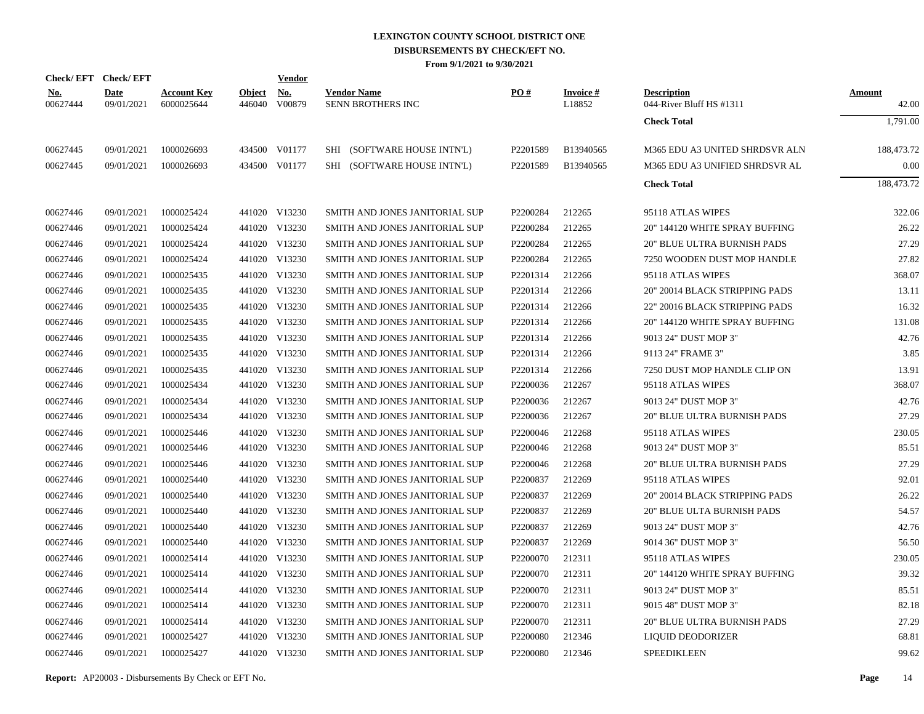|                        | Check/EFT Check/EFT       |                                  |                         | Vendor               |                                         |                      |                           |                                                |                        |
|------------------------|---------------------------|----------------------------------|-------------------------|----------------------|-----------------------------------------|----------------------|---------------------------|------------------------------------------------|------------------------|
| <u>No.</u><br>00627444 | <b>Date</b><br>09/01/2021 | <b>Account Key</b><br>6000025644 | <u>Object</u><br>446040 | <u>No.</u><br>V00879 | <b>Vendor Name</b><br>SENN BROTHERS INC | PO#                  | <b>Invoice#</b><br>L18852 | <b>Description</b><br>044-River Bluff HS #1311 | <b>Amount</b><br>42.00 |
|                        |                           |                                  |                         |                      |                                         |                      |                           | <b>Check Total</b>                             | 1,791.00               |
| 00627445               | 09/01/2021                | 1000026693                       |                         | 434500 V01177        | SHI (SOFTWARE HOUSE INTN'L)             | P <sub>2201589</sub> | B13940565                 | M365 EDU A3 UNITED SHRDSVR ALN                 | 188,473.72             |
| 00627445               | 09/01/2021                | 1000026693                       |                         | 434500 V01177        | SHI (SOFTWARE HOUSE INTN'L)             | P2201589             | B13940565                 | M365 EDU A3 UNIFIED SHRDSVR AL                 | 0.00                   |
|                        |                           |                                  |                         |                      |                                         |                      |                           | <b>Check Total</b>                             | 188,473.72             |
| 00627446               | 09/01/2021                | 1000025424                       |                         | 441020 V13230        | SMITH AND JONES JANITORIAL SUP          | P2200284             | 212265                    | 95118 ATLAS WIPES                              | 322.06                 |
| 00627446               | 09/01/2021                | 1000025424                       |                         | 441020 V13230        | SMITH AND JONES JANITORIAL SUP          | P2200284             | 212265                    | 20" 144120 WHITE SPRAY BUFFING                 | 26.22                  |
| 00627446               | 09/01/2021                | 1000025424                       |                         | 441020 V13230        | SMITH AND JONES JANITORIAL SUP          | P2200284             | 212265                    | <b>20" BLUE ULTRA BURNISH PADS</b>             | 27.29                  |
| 00627446               | 09/01/2021                | 1000025424                       |                         | 441020 V13230        | SMITH AND JONES JANITORIAL SUP          | P2200284             | 212265                    | 7250 WOODEN DUST MOP HANDLE                    | 27.82                  |
| 00627446               | 09/01/2021                | 1000025435                       |                         | 441020 V13230        | SMITH AND JONES JANITORIAL SUP          | P2201314             | 212266                    | 95118 ATLAS WIPES                              | 368.07                 |
| 00627446               | 09/01/2021                | 1000025435                       |                         | 441020 V13230        | SMITH AND JONES JANITORIAL SUP          | P2201314             | 212266                    | 20" 20014 BLACK STRIPPING PADS                 | 13.11                  |
| 00627446               | 09/01/2021                | 1000025435                       |                         | 441020 V13230        | SMITH AND JONES JANITORIAL SUP          | P2201314             | 212266                    | 22" 20016 BLACK STRIPPING PADS                 | 16.32                  |
| 00627446               | 09/01/2021                | 1000025435                       |                         | 441020 V13230        | SMITH AND JONES JANITORIAL SUP          | P2201314             | 212266                    | 20" 144120 WHITE SPRAY BUFFING                 | 131.08                 |
| 00627446               | 09/01/2021                | 1000025435                       |                         | 441020 V13230        | SMITH AND JONES JANITORIAL SUP          | P2201314             | 212266                    | 9013 24" DUST MOP 3"                           | 42.76                  |
| 00627446               | 09/01/2021                | 1000025435                       |                         | 441020 V13230        | SMITH AND JONES JANITORIAL SUP          | P2201314             | 212266                    | 9113 24" FRAME 3"                              | 3.85                   |
| 00627446               | 09/01/2021                | 1000025435                       |                         | 441020 V13230        | SMITH AND JONES JANITORIAL SUP          | P2201314             | 212266                    | 7250 DUST MOP HANDLE CLIP ON                   | 13.91                  |
| 00627446               | 09/01/2021                | 1000025434                       |                         | 441020 V13230        | SMITH AND JONES JANITORIAL SUP          | P2200036             | 212267                    | 95118 ATLAS WIPES                              | 368.07                 |
| 00627446               | 09/01/2021                | 1000025434                       |                         | 441020 V13230        | SMITH AND JONES JANITORIAL SUP          | P2200036             | 212267                    | 9013 24" DUST MOP 3"                           | 42.76                  |
| 00627446               | 09/01/2021                | 1000025434                       |                         | 441020 V13230        | SMITH AND JONES JANITORIAL SUP          | P2200036             | 212267                    | <b>20" BLUE ULTRA BURNISH PADS</b>             | 27.29                  |
| 00627446               | 09/01/2021                | 1000025446                       |                         | 441020 V13230        | SMITH AND JONES JANITORIAL SUP          | P2200046             | 212268                    | 95118 ATLAS WIPES                              | 230.05                 |
| 00627446               | 09/01/2021                | 1000025446                       |                         | 441020 V13230        | SMITH AND JONES JANITORIAL SUP          | P2200046             | 212268                    | 9013 24" DUST MOP 3"                           | 85.51                  |
| 00627446               | 09/01/2021                | 1000025446                       |                         | 441020 V13230        | SMITH AND JONES JANITORIAL SUP          | P2200046             | 212268                    | <b>20" BLUE ULTRA BURNISH PADS</b>             | 27.29                  |
| 00627446               | 09/01/2021                | 1000025440                       |                         | 441020 V13230        | SMITH AND JONES JANITORIAL SUP          | P2200837             | 212269                    | 95118 ATLAS WIPES                              | 92.01                  |
| 00627446               | 09/01/2021                | 1000025440                       |                         | 441020 V13230        | SMITH AND JONES JANITORIAL SUP          | P2200837             | 212269                    | 20" 20014 BLACK STRIPPING PADS                 | 26.22                  |
| 00627446               | 09/01/2021                | 1000025440                       |                         | 441020 V13230        | SMITH AND JONES JANITORIAL SUP          | P2200837             | 212269                    | <b>20" BLUE ULTA BURNISH PADS</b>              | 54.57                  |
| 00627446               | 09/01/2021                | 1000025440                       |                         | 441020 V13230        | SMITH AND JONES JANITORIAL SUP          | P2200837             | 212269                    | 9013 24" DUST MOP 3"                           | 42.76                  |
| 00627446               | 09/01/2021                | 1000025440                       |                         | 441020 V13230        | SMITH AND JONES JANITORIAL SUP          | P2200837             | 212269                    | 9014 36" DUST MOP 3"                           | 56.50                  |
| 00627446               | 09/01/2021                | 1000025414                       |                         | 441020 V13230        | SMITH AND JONES JANITORIAL SUP          | P2200070             | 212311                    | 95118 ATLAS WIPES                              | 230.05                 |
| 00627446               | 09/01/2021                | 1000025414                       |                         | 441020 V13230        | SMITH AND JONES JANITORIAL SUP          | P2200070             | 212311                    | 20" 144120 WHITE SPRAY BUFFING                 | 39.32                  |
| 00627446               | 09/01/2021                | 1000025414                       |                         | 441020 V13230        | SMITH AND JONES JANITORIAL SUP          | P2200070             | 212311                    | 9013 24" DUST MOP 3"                           | 85.51                  |
| 00627446               | 09/01/2021                | 1000025414                       |                         | 441020 V13230        | SMITH AND JONES JANITORIAL SUP          | P2200070             | 212311                    | 9015 48" DUST MOP 3"                           | 82.18                  |
| 00627446               | 09/01/2021                | 1000025414                       |                         | 441020 V13230        | SMITH AND JONES JANITORIAL SUP          | P2200070             | 212311                    | <b>20" BLUE ULTRA BURNISH PADS</b>             | 27.29                  |
| 00627446               | 09/01/2021                | 1000025427                       |                         | 441020 V13230        | SMITH AND JONES JANITORIAL SUP          | P2200080             | 212346                    | LIQUID DEODORIZER                              | 68.81                  |
| 00627446               | 09/01/2021                | 1000025427                       |                         | 441020 V13230        | SMITH AND JONES JANITORIAL SUP          | P <sub>2200080</sub> | 212346                    | <b>SPEEDIKLEEN</b>                             | 99.62                  |

**Report:** AP20003 - Disbursements By Check or EFT No. **Page** 14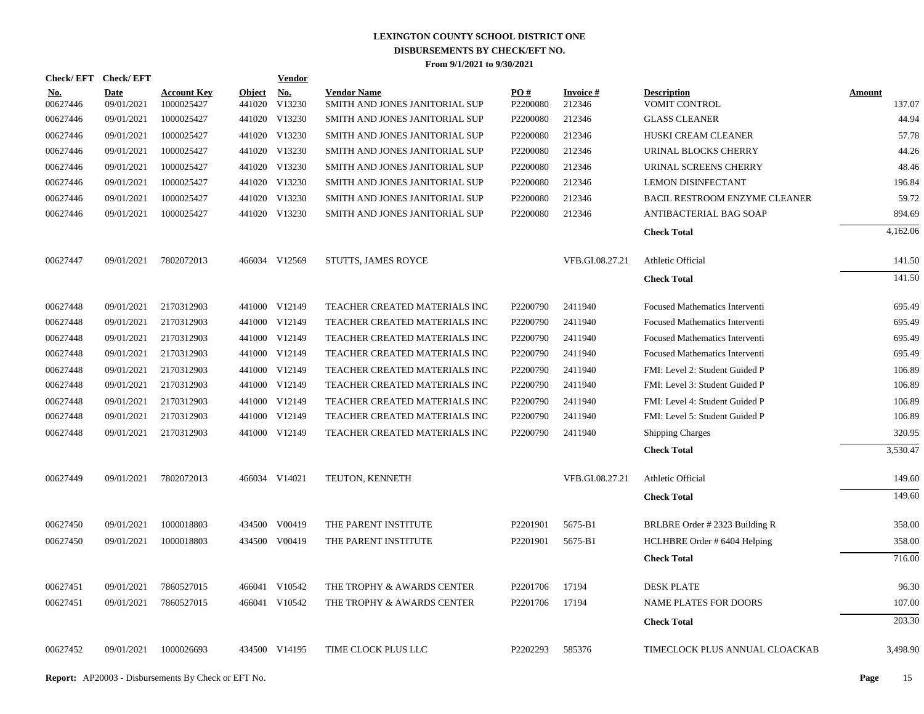| Check/EFT Check/EFT    |                           |                                  |               | <b>Vendor</b>               |                                                      |                 |                           |                                       |                  |
|------------------------|---------------------------|----------------------------------|---------------|-----------------------------|------------------------------------------------------|-----------------|---------------------------|---------------------------------------|------------------|
| <u>No.</u><br>00627446 | <b>Date</b><br>09/01/2021 | <b>Account Key</b><br>1000025427 | <b>Object</b> | <u>No.</u><br>441020 V13230 | <b>Vendor Name</b><br>SMITH AND JONES JANITORIAL SUP | PO#<br>P2200080 | <b>Invoice#</b><br>212346 | <b>Description</b><br>VOMIT CONTROL   | Amount<br>137.07 |
| 00627446               | 09/01/2021                | 1000025427                       |               | 441020 V13230               | SMITH AND JONES JANITORIAL SUP                       | P2200080        | 212346                    | <b>GLASS CLEANER</b>                  | 44.94            |
| 00627446               | 09/01/2021                | 1000025427                       |               | 441020 V13230               | SMITH AND JONES JANITORIAL SUP                       | P2200080        | 212346                    | HUSKI CREAM CLEANER                   | 57.78            |
| 00627446               | 09/01/2021                | 1000025427                       |               | 441020 V13230               | SMITH AND JONES JANITORIAL SUP                       | P2200080        | 212346                    | URINAL BLOCKS CHERRY                  | 44.26            |
| 00627446               | 09/01/2021                | 1000025427                       |               | 441020 V13230               | SMITH AND JONES JANITORIAL SUP                       | P2200080        | 212346                    | URINAL SCREENS CHERRY                 | 48.46            |
| 00627446               | 09/01/2021                | 1000025427                       |               | 441020 V13230               | SMITH AND JONES JANITORIAL SUP                       | P2200080        | 212346                    | <b>LEMON DISINFECTANT</b>             | 196.84           |
| 00627446               | 09/01/2021                | 1000025427                       |               | 441020 V13230               | SMITH AND JONES JANITORIAL SUP                       | P2200080        | 212346                    | BACIL RESTROOM ENZYME CLEANER         | 59.72            |
| 00627446               | 09/01/2021                | 1000025427                       |               | 441020 V13230               | SMITH AND JONES JANITORIAL SUP                       | P2200080        | 212346                    | ANTIBACTERIAL BAG SOAP                | 894.69           |
|                        |                           |                                  |               |                             |                                                      |                 |                           | <b>Check Total</b>                    | 4,162.06         |
| 00627447               | 09/01/2021                | 7802072013                       |               | 466034 V12569               | <b>STUTTS, JAMES ROYCE</b>                           |                 | VFB.GI.08.27.21           | Athletic Official                     | 141.50           |
|                        |                           |                                  |               |                             |                                                      |                 |                           | <b>Check Total</b>                    | 141.50           |
| 00627448               | 09/01/2021                | 2170312903                       |               | 441000 V12149               | TEACHER CREATED MATERIALS INC                        | P2200790        | 2411940                   | Focused Mathematics Interventi        | 695.49           |
| 00627448               | 09/01/2021                | 2170312903                       |               | 441000 V12149               | TEACHER CREATED MATERIALS INC                        | P2200790        | 2411940                   | Focused Mathematics Interventi        | 695.49           |
| 00627448               | 09/01/2021                | 2170312903                       |               | 441000 V12149               | TEACHER CREATED MATERIALS INC                        | P2200790        | 2411940                   | <b>Focused Mathematics Interventi</b> | 695.49           |
| 00627448               | 09/01/2021                | 2170312903                       |               | 441000 V12149               | TEACHER CREATED MATERIALS INC                        | P2200790        | 2411940                   | <b>Focused Mathematics Interventi</b> | 695.49           |
| 00627448               | 09/01/2021                | 2170312903                       |               | 441000 V12149               | TEACHER CREATED MATERIALS INC                        | P2200790        | 2411940                   | FMI: Level 2: Student Guided P        | 106.89           |
| 00627448               | 09/01/2021                | 2170312903                       |               | 441000 V12149               | TEACHER CREATED MATERIALS INC                        | P2200790        | 2411940                   | FMI: Level 3: Student Guided P        | 106.89           |
| 00627448               | 09/01/2021                | 2170312903                       |               | 441000 V12149               | TEACHER CREATED MATERIALS INC                        | P2200790        | 2411940                   | FMI: Level 4: Student Guided P        | 106.89           |
| 00627448               | 09/01/2021                | 2170312903                       |               | 441000 V12149               | TEACHER CREATED MATERIALS INC                        | P2200790        | 2411940                   | FMI: Level 5: Student Guided P        | 106.89           |
| 00627448               | 09/01/2021                | 2170312903                       |               | 441000 V12149               | TEACHER CREATED MATERIALS INC                        | P2200790        | 2411940                   | <b>Shipping Charges</b>               | 320.95           |
|                        |                           |                                  |               |                             |                                                      |                 |                           | <b>Check Total</b>                    | 3,530.47         |
| 00627449               | 09/01/2021                | 7802072013                       |               | 466034 V14021               | TEUTON, KENNETH                                      |                 | VFB.GI.08.27.21           | Athletic Official                     | 149.60           |
|                        |                           |                                  |               |                             |                                                      |                 |                           | <b>Check Total</b>                    | 149.60           |
| 00627450               | 09/01/2021                | 1000018803                       |               | 434500 V00419               | THE PARENT INSTITUTE                                 | P2201901        | 5675-B1                   | BRLBRE Order #2323 Building R         | 358.00           |
| 00627450               | 09/01/2021                | 1000018803                       |               | 434500 V00419               | THE PARENT INSTITUTE                                 | P2201901        | 5675-B1                   | HCLHBRE Order # 6404 Helping          | 358.00           |
|                        |                           |                                  |               |                             |                                                      |                 |                           | <b>Check Total</b>                    | 716.00           |
| 00627451               | 09/01/2021                | 7860527015                       |               | 466041 V10542               | THE TROPHY & AWARDS CENTER                           | P2201706        | 17194                     | <b>DESK PLATE</b>                     | 96.30            |
| 00627451               | 09/01/2021                | 7860527015                       |               | 466041 V10542               | THE TROPHY & AWARDS CENTER                           | P2201706        | 17194                     | <b>NAME PLATES FOR DOORS</b>          | 107.00           |
|                        |                           |                                  |               |                             |                                                      |                 |                           | <b>Check Total</b>                    | 203.30           |
| 00627452               | 09/01/2021                | 1000026693                       |               | 434500 V14195               | TIME CLOCK PLUS LLC                                  | P2202293        | 585376                    | TIMECLOCK PLUS ANNUAL CLOACKAB        | 3,498.90         |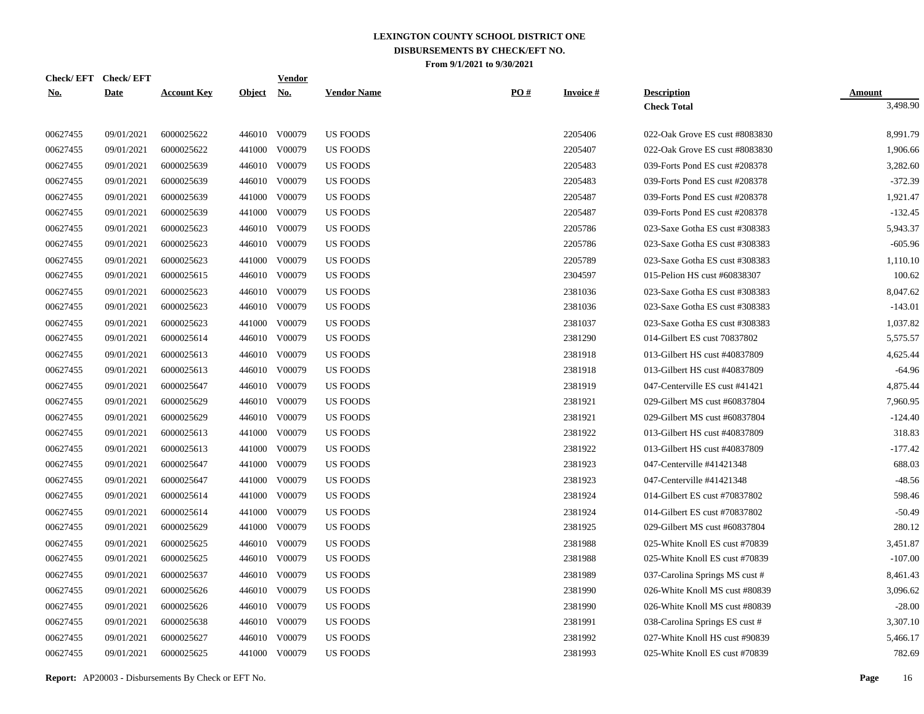| Check/EFT Check/EFT |             |                    |               | <b>Vendor</b> |                    |     |                 |                                |               |
|---------------------|-------------|--------------------|---------------|---------------|--------------------|-----|-----------------|--------------------------------|---------------|
| <u>No.</u>          | <b>Date</b> | <b>Account Key</b> | <b>Object</b> | <u>No.</u>    | <b>Vendor Name</b> | PO# | <b>Invoice#</b> | <b>Description</b>             | <b>Amount</b> |
|                     |             |                    |               |               |                    |     |                 | <b>Check Total</b>             | 3,498.90      |
| 00627455            | 09/01/2021  | 6000025622         |               | 446010 V00079 | <b>US FOODS</b>    |     | 2205406         | 022-Oak Grove ES cust #8083830 | 8,991.79      |
| 00627455            | 09/01/2021  | 6000025622         |               | 441000 V00079 | <b>US FOODS</b>    |     | 2205407         | 022-Oak Grove ES cust #8083830 | 1,906.66      |
| 00627455            | 09/01/2021  | 6000025639         |               | 446010 V00079 | <b>US FOODS</b>    |     | 2205483         | 039-Forts Pond ES cust #208378 | 3,282.60      |
| 00627455            | 09/01/2021  | 6000025639         |               | 446010 V00079 | <b>US FOODS</b>    |     | 2205483         | 039-Forts Pond ES cust #208378 | $-372.39$     |
| 00627455            | 09/01/2021  | 6000025639         | 441000        | V00079        | <b>US FOODS</b>    |     | 2205487         | 039-Forts Pond ES cust #208378 | 1.921.47      |
| 00627455            | 09/01/2021  | 6000025639         | 441000        | V00079        | <b>US FOODS</b>    |     | 2205487         | 039-Forts Pond ES cust #208378 | $-132.45$     |
| 00627455            | 09/01/2021  | 6000025623         | 446010        | V00079        | <b>US FOODS</b>    |     | 2205786         | 023-Saxe Gotha ES cust #308383 | 5,943.37      |
| 00627455            | 09/01/2021  | 6000025623         |               | 446010 V00079 | <b>US FOODS</b>    |     | 2205786         | 023-Saxe Gotha ES cust #308383 | $-605.96$     |
| 00627455            | 09/01/2021  | 6000025623         | 441000        | V00079        | <b>US FOODS</b>    |     | 2205789         | 023-Saxe Gotha ES cust #308383 | 1,110.10      |
| 00627455            | 09/01/2021  | 6000025615         |               | 446010 V00079 | <b>US FOODS</b>    |     | 2304597         | 015-Pelion HS cust #60838307   | 100.62        |
| 00627455            | 09/01/2021  | 6000025623         |               | 446010 V00079 | US FOODS           |     | 2381036         | 023-Saxe Gotha ES cust #308383 | 8,047.62      |
| 00627455            | 09/01/2021  | 6000025623         |               | 446010 V00079 | <b>US FOODS</b>    |     | 2381036         | 023-Saxe Gotha ES cust #308383 | $-143.01$     |
| 00627455            | 09/01/2021  | 6000025623         |               | 441000 V00079 | <b>US FOODS</b>    |     | 2381037         | 023-Saxe Gotha ES cust #308383 | 1,037.82      |
| 00627455            | 09/01/2021  | 6000025614         |               | 446010 V00079 | <b>US FOODS</b>    |     | 2381290         | 014-Gilbert ES cust 70837802   | 5,575.57      |
| 00627455            | 09/01/2021  | 6000025613         |               | 446010 V00079 | <b>US FOODS</b>    |     | 2381918         | 013-Gilbert HS cust #40837809  | 4,625.44      |
| 00627455            | 09/01/2021  | 6000025613         |               | 446010 V00079 | <b>US FOODS</b>    |     | 2381918         | 013-Gilbert HS cust #40837809  | $-64.96$      |
| 00627455            | 09/01/2021  | 6000025647         |               | 446010 V00079 | US FOODS           |     | 2381919         | 047-Centerville ES cust #41421 | 4,875.44      |
| 00627455            | 09/01/2021  | 6000025629         |               | 446010 V00079 | <b>US FOODS</b>    |     | 2381921         | 029-Gilbert MS cust #60837804  | 7,960.95      |
| 00627455            | 09/01/2021  | 6000025629         |               | 446010 V00079 | <b>US FOODS</b>    |     | 2381921         | 029-Gilbert MS cust #60837804  | $-124.40$     |
| 00627455            | 09/01/2021  | 6000025613         |               | 441000 V00079 | <b>US FOODS</b>    |     | 2381922         | 013-Gilbert HS cust #40837809  | 318.83        |
| 00627455            | 09/01/2021  | 6000025613         | 441000        | V00079        | <b>US FOODS</b>    |     | 2381922         | 013-Gilbert HS cust #40837809  | $-177.42$     |
| 00627455            | 09/01/2021  | 6000025647         |               | 441000 V00079 | US FOODS           |     | 2381923         | 047-Centerville #41421348      | 688.03        |
| 00627455            | 09/01/2021  | 6000025647         | 441000        | V00079        | <b>US FOODS</b>    |     | 2381923         | 047-Centerville #41421348      | $-48.56$      |
| 00627455            | 09/01/2021  | 6000025614         |               | 441000 V00079 | <b>US FOODS</b>    |     | 2381924         | 014-Gilbert ES cust #70837802  | 598.46        |
| 00627455            | 09/01/2021  | 6000025614         | 441000        | V00079        | <b>US FOODS</b>    |     | 2381924         | 014-Gilbert ES cust #70837802  | $-50.49$      |
| 00627455            | 09/01/2021  | 6000025629         |               | 441000 V00079 | <b>US FOODS</b>    |     | 2381925         | 029-Gilbert MS cust #60837804  | 280.12        |
| 00627455            | 09/01/2021  | 6000025625         | 446010        | V00079        | <b>US FOODS</b>    |     | 2381988         | 025-White Knoll ES cust #70839 | 3,451.87      |
| 00627455            | 09/01/2021  | 6000025625         |               | 446010 V00079 | US FOODS           |     | 2381988         | 025-White Knoll ES cust #70839 | $-107.00$     |
| 00627455            | 09/01/2021  | 6000025637         | 446010        | V00079        | <b>US FOODS</b>    |     | 2381989         | 037-Carolina Springs MS cust # | 8,461.43      |
| 00627455            | 09/01/2021  | 6000025626         |               | 446010 V00079 | <b>US FOODS</b>    |     | 2381990         | 026-White Knoll MS cust #80839 | 3,096.62      |
| 00627455            | 09/01/2021  | 6000025626         | 446010        | V00079        | <b>US FOODS</b>    |     | 2381990         | 026-White Knoll MS cust #80839 | $-28.00$      |
| 00627455            | 09/01/2021  | 6000025638         |               | 446010 V00079 | <b>US FOODS</b>    |     | 2381991         | 038-Carolina Springs ES cust # | 3,307.10      |
| 00627455            | 09/01/2021  | 6000025627         | 446010        | V00079        | <b>US FOODS</b>    |     | 2381992         | 027-White Knoll HS cust #90839 | 5,466.17      |
| 00627455            | 09/01/2021  | 6000025625         |               | 441000 V00079 | US FOODS           |     | 2381993         | 025-White Knoll ES cust #70839 | 782.69        |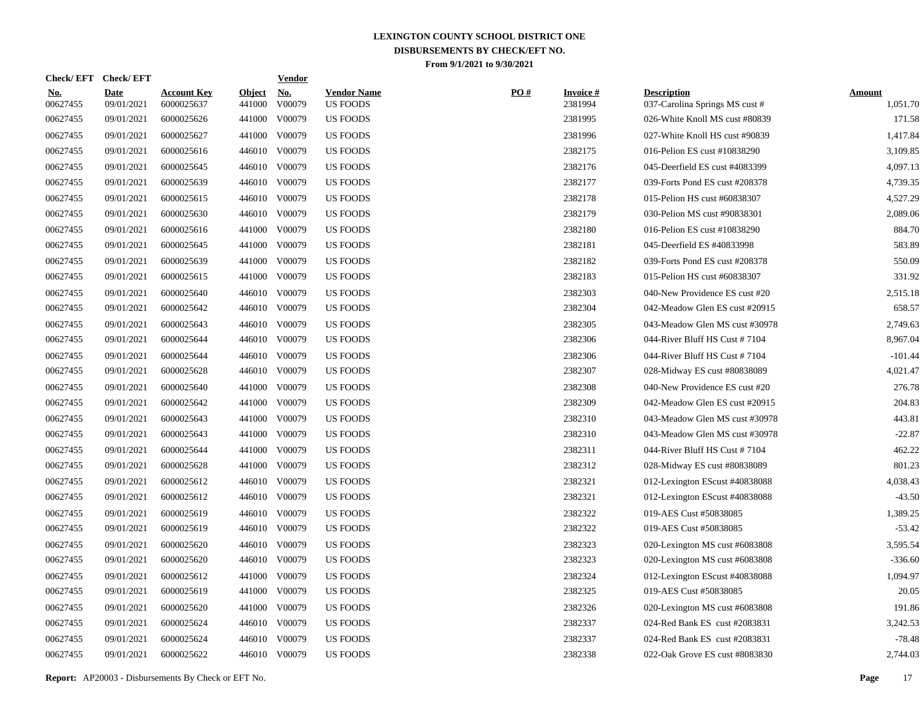| <b>Check/EFT</b>       | <b>Check/EFT</b>          |                                  |                         | <u>Vendor</u>        |                                       |     |                            |                                                      |                           |
|------------------------|---------------------------|----------------------------------|-------------------------|----------------------|---------------------------------------|-----|----------------------------|------------------------------------------------------|---------------------------|
| <u>No.</u><br>00627455 | <b>Date</b><br>09/01/2021 | <b>Account Key</b><br>6000025637 | <b>Object</b><br>441000 | <u>No.</u><br>V00079 | <b>Vendor Name</b><br><b>US FOODS</b> | PO# | <b>Invoice#</b><br>2381994 | <b>Description</b><br>037-Carolina Springs MS cust # | <b>Amount</b><br>1,051.70 |
| 00627455               | 09/01/2021                | 6000025626                       | 441000                  | V00079               | <b>US FOODS</b>                       |     | 2381995                    | 026-White Knoll MS cust #80839                       | 171.58                    |
| 00627455               | 09/01/2021                | 6000025627                       | 441000                  | V00079               | US FOODS                              |     | 2381996                    | 027-White Knoll HS cust #90839                       | 1,417.84                  |
| 00627455               | 09/01/2021                | 6000025616                       | 446010                  | V00079               | <b>US FOODS</b>                       |     | 2382175                    | 016-Pelion ES cust #10838290                         | 3,109.85                  |
| 00627455               | 09/01/2021                | 6000025645                       | 446010                  | V00079               | <b>US FOODS</b>                       |     | 2382176                    | 045-Deerfield ES cust #4083399                       | 4,097.13                  |
| 00627455               | 09/01/2021                | 6000025639                       | 446010                  | V00079               | <b>US FOODS</b>                       |     | 2382177                    | 039-Forts Pond ES cust #208378                       | 4,739.35                  |
| 00627455               | 09/01/2021                | 6000025615                       | 446010                  | V00079               | <b>US FOODS</b>                       |     | 2382178                    | 015-Pelion HS cust #60838307                         | 4,527.29                  |
| 00627455               | 09/01/2021                | 6000025630                       | 446010                  | V00079               | <b>US FOODS</b>                       |     | 2382179                    | 030-Pelion MS cust #90838301                         | 2,089.06                  |
| 00627455               | 09/01/2021                | 6000025616                       | 441000                  | V00079               | <b>US FOODS</b>                       |     | 2382180                    | 016-Pelion ES cust #10838290                         | 884.70                    |
| 00627455               | 09/01/2021                | 6000025645                       | 441000                  | V00079               | US FOODS                              |     | 2382181                    | 045-Deerfield ES #40833998                           | 583.89                    |
| 00627455               | 09/01/2021                | 6000025639                       | 441000                  | V00079               | <b>US FOODS</b>                       |     | 2382182                    | 039-Forts Pond ES cust #208378                       | 550.09                    |
| 00627455               | 09/01/2021                | 6000025615                       | 441000                  | V00079               | <b>US FOODS</b>                       |     | 2382183                    | 015-Pelion HS cust #60838307                         | 331.92                    |
| 00627455               | 09/01/2021                | 6000025640                       | 446010                  | V00079               | <b>US FOODS</b>                       |     | 2382303                    | 040-New Providence ES cust #20                       | 2,515.18                  |
| 00627455               | 09/01/2021                | 6000025642                       | 446010                  | V00079               | <b>US FOODS</b>                       |     | 2382304                    | 042-Meadow Glen ES cust #20915                       | 658.57                    |
| 00627455               | 09/01/2021                | 6000025643                       | 446010                  | V00079               | <b>US FOODS</b>                       |     | 2382305                    | 043-Meadow Glen MS cust #30978                       | 2,749.63                  |
| 00627455               | 09/01/2021                | 6000025644                       | 446010                  | V00079               | US FOODS                              |     | 2382306                    | 044-River Bluff HS Cust #7104                        | 8,967.04                  |
| 00627455               | 09/01/2021                | 6000025644                       | 446010                  | V00079               | US FOODS                              |     | 2382306                    | 044-River Bluff HS Cust $\#$ 7104                    | $-101.44$                 |
| 00627455               | 09/01/2021                | 6000025628                       | 446010                  | V00079               | <b>US FOODS</b>                       |     | 2382307                    | 028-Midway ES cust #80838089                         | 4,021.47                  |
| 00627455               | 09/01/2021                | 6000025640                       | 441000                  | V00079               | <b>US FOODS</b>                       |     | 2382308                    | 040-New Providence ES cust #20                       | 276.78                    |
| 00627455               | 09/01/2021                | 6000025642                       | 441000                  | V00079               | <b>US FOODS</b>                       |     | 2382309                    | 042-Meadow Glen ES cust #20915                       | 204.83                    |
| 00627455               | 09/01/2021                | 6000025643                       | 441000                  | V00079               | <b>US FOODS</b>                       |     | 2382310                    | 043-Meadow Glen MS cust #30978                       | 443.81                    |
| 00627455               | 09/01/2021                | 6000025643                       | 441000                  | V00079               | <b>US FOODS</b>                       |     | 2382310                    | 043-Meadow Glen MS cust #30978                       | $-22.87$                  |
| 00627455               | 09/01/2021                | 6000025644                       | 441000                  | V00079               | <b>US FOODS</b>                       |     | 2382311                    | 044-River Bluff HS Cust #7104                        | 462.22                    |
| 00627455               | 09/01/2021                | 6000025628                       | 441000                  | V00079               | US FOODS                              |     | 2382312                    | 028-Midway ES cust #80838089                         | 801.23                    |
| 00627455               | 09/01/2021                | 6000025612                       | 446010                  | V00079               | <b>US FOODS</b>                       |     | 2382321                    | 012-Lexington EScust #40838088                       | 4,038.43                  |
| 00627455               | 09/01/2021                | 6000025612                       | 446010                  | V00079               | <b>US FOODS</b>                       |     | 2382321                    | 012-Lexington EScust #40838088                       | $-43.50$                  |
| 00627455               | 09/01/2021                | 6000025619                       | 446010                  | V00079               | <b>US FOODS</b>                       |     | 2382322                    | 019-AES Cust #50838085                               | 1,389.25                  |
| 00627455               | 09/01/2021                | 6000025619                       | 446010                  | V00079               | US FOODS                              |     | 2382322                    | 019-AES Cust #50838085                               | $-53.42$                  |
| 00627455               | 09/01/2021                | 6000025620                       | 446010                  | V00079               | US FOODS                              |     | 2382323                    | 020-Lexington MS cust #6083808                       | 3,595.54                  |
| 00627455               | 09/01/2021                | 6000025620                       | 446010                  | V00079               | US FOODS                              |     | 2382323                    | 020-Lexington MS cust #6083808                       | $-336.60$                 |
| 00627455               | 09/01/2021                | 6000025612                       | 441000                  | V00079               | US FOODS                              |     | 2382324                    | 012-Lexington EScust #40838088                       | 1,094.97                  |
| 00627455               | 09/01/2021                | 6000025619                       | 441000                  | V00079               | <b>US FOODS</b>                       |     | 2382325                    | 019-AES Cust #50838085                               | 20.05                     |
| 00627455               | 09/01/2021                | 6000025620                       | 441000                  | V00079               | <b>US FOODS</b>                       |     | 2382326                    | 020-Lexington MS cust #6083808                       | 191.86                    |
| 00627455               | 09/01/2021                | 6000025624                       | 446010                  | V00079               | <b>US FOODS</b>                       |     | 2382337                    | 024-Red Bank ES cust #2083831                        | 3,242.53                  |
| 00627455               | 09/01/2021                | 6000025624                       | 446010                  | V00079               | <b>US FOODS</b>                       |     | 2382337                    | 024-Red Bank ES cust #2083831                        | $-78.48$                  |
| 00627455               | 09/01/2021                | 6000025622                       |                         | 446010 V00079        | <b>US FOODS</b>                       |     | 2382338                    | 022-Oak Grove ES cust #8083830                       | 2,744.03                  |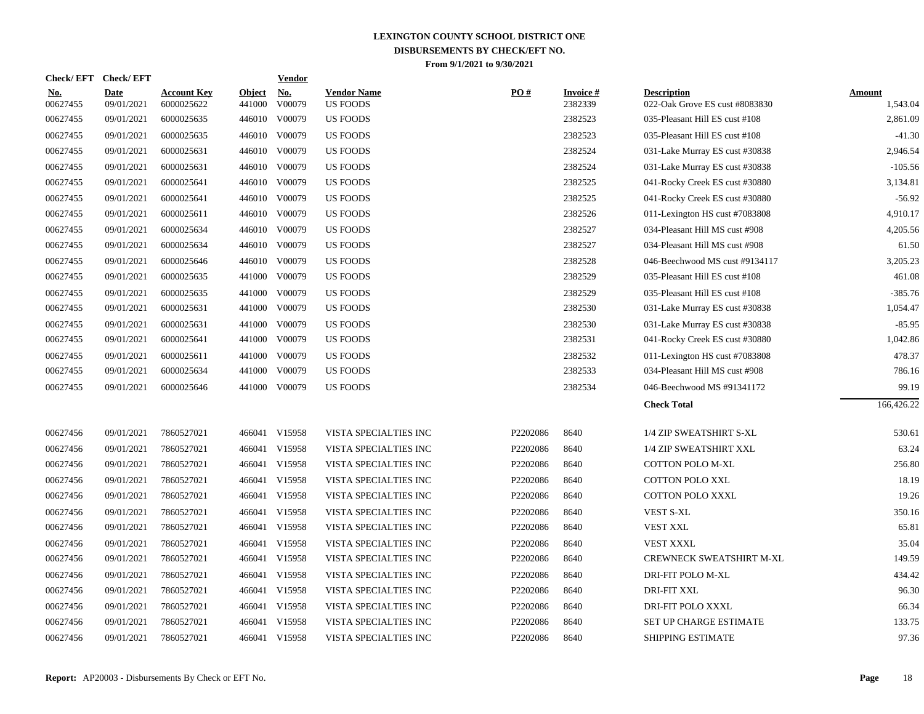|                        | Check/EFT Check/EFT       |                                  |                         | <b>Vendor</b>        |                                       |          |                            |                                                      |                           |
|------------------------|---------------------------|----------------------------------|-------------------------|----------------------|---------------------------------------|----------|----------------------------|------------------------------------------------------|---------------------------|
| <u>No.</u><br>00627455 | <b>Date</b><br>09/01/2021 | <b>Account Key</b><br>6000025622 | <b>Object</b><br>441000 | <u>No.</u><br>V00079 | <b>Vendor Name</b><br><b>US FOODS</b> | PO#      | <b>Invoice#</b><br>2382339 | <b>Description</b><br>022-Oak Grove ES cust #8083830 | <b>Amount</b><br>1,543.04 |
| 00627455               | 09/01/2021                | 6000025635                       | 446010                  | V00079               | <b>US FOODS</b>                       |          | 2382523                    | 035-Pleasant Hill ES cust #108                       | 2,861.09                  |
| 00627455               | 09/01/2021                | 6000025635                       | 446010                  | V00079               | <b>US FOODS</b>                       |          | 2382523                    | 035-Pleasant Hill ES cust #108                       | $-41.30$                  |
| 00627455               | 09/01/2021                | 6000025631                       | 446010                  | V00079               | <b>US FOODS</b>                       |          | 2382524                    | 031-Lake Murray ES cust #30838                       | 2,946.54                  |
| 00627455               | 09/01/2021                | 6000025631                       | 446010                  | V00079               | <b>US FOODS</b>                       |          | 2382524                    | 031-Lake Murray ES cust #30838                       | $-105.56$                 |
| 00627455               | 09/01/2021                | 6000025641                       | 446010                  | V00079               | <b>US FOODS</b>                       |          | 2382525                    | 041-Rocky Creek ES cust #30880                       | 3,134.81                  |
| 00627455               | 09/01/2021                | 6000025641                       | 446010                  | V00079               | <b>US FOODS</b>                       |          | 2382525                    | 041-Rocky Creek ES cust #30880                       | $-56.92$                  |
| 00627455               | 09/01/2021                | 6000025611                       |                         | 446010 V00079        | <b>US FOODS</b>                       |          | 2382526                    | 011-Lexington HS cust #7083808                       | 4,910.17                  |
| 00627455               | 09/01/2021                | 6000025634                       |                         | 446010 V00079        | <b>US FOODS</b>                       |          | 2382527                    | 034-Pleasant Hill MS cust #908                       | 4,205.56                  |
| 00627455               | 09/01/2021                | 6000025634                       |                         | 446010 V00079        | <b>US FOODS</b>                       |          | 2382527                    | 034-Pleasant Hill MS cust #908                       | 61.50                     |
| 00627455               | 09/01/2021                | 6000025646                       |                         | 446010 V00079        | <b>US FOODS</b>                       |          | 2382528                    | 046-Beechwood MS cust #9134117                       | 3,205.23                  |
| 00627455               | 09/01/2021                | 6000025635                       | 441000                  | V00079               | <b>US FOODS</b>                       |          | 2382529                    | 035-Pleasant Hill ES cust #108                       | 461.08                    |
| 00627455               | 09/01/2021                | 6000025635                       | 441000                  | V00079               | <b>US FOODS</b>                       |          | 2382529                    | 035-Pleasant Hill ES cust #108                       | $-385.76$                 |
| 00627455               | 09/01/2021                | 6000025631                       | 441000                  | V00079               | <b>US FOODS</b>                       |          | 2382530                    | 031-Lake Murray ES cust #30838                       | 1,054.47                  |
| 00627455               | 09/01/2021                | 6000025631                       | 441000                  | V00079               | <b>US FOODS</b>                       |          | 2382530                    | 031-Lake Murray ES cust #30838                       | $-85.95$                  |
| 00627455               | 09/01/2021                | 6000025641                       | 441000                  | V00079               | US FOODS                              |          | 2382531                    | 041-Rocky Creek ES cust #30880                       | 1,042.86                  |
| 00627455               | 09/01/2021                | 6000025611                       | 441000                  | V00079               | US FOODS                              |          | 2382532                    | 011-Lexington HS cust #7083808                       | 478.37                    |
| 00627455               | 09/01/2021                | 6000025634                       | 441000                  | V00079               | <b>US FOODS</b>                       |          | 2382533                    | 034-Pleasant Hill MS cust #908                       | 786.16                    |
| 00627455               | 09/01/2021                | 6000025646                       |                         | 441000 V00079        | <b>US FOODS</b>                       |          | 2382534                    | 046-Beechwood MS #91341172                           | 99.19                     |
|                        |                           |                                  |                         |                      |                                       |          |                            | <b>Check Total</b>                                   | 166,426.22                |
| 00627456               | 09/01/2021                | 7860527021                       |                         | 466041 V15958        | VISTA SPECIALTIES INC                 | P2202086 | 8640                       | 1/4 ZIP SWEATSHIRT S-XL                              | 530.61                    |
| 00627456               | 09/01/2021                | 7860527021                       |                         | 466041 V15958        | VISTA SPECIALTIES INC                 | P2202086 | 8640                       | 1/4 ZIP SWEATSHIRT XXL                               | 63.24                     |
| 00627456               | 09/01/2021                | 7860527021                       |                         | 466041 V15958        | VISTA SPECIALTIES INC                 | P2202086 | 8640                       | <b>COTTON POLO M-XL</b>                              | 256.80                    |
| 00627456               | 09/01/2021                | 7860527021                       |                         | 466041 V15958        | VISTA SPECIALTIES INC                 | P2202086 | 8640                       | <b>COTTON POLO XXL</b>                               | 18.19                     |
| 00627456               | 09/01/2021                | 7860527021                       |                         | 466041 V15958        | VISTA SPECIALTIES INC                 | P2202086 | 8640                       | <b>COTTON POLO XXXL</b>                              | 19.26                     |
| 00627456               | 09/01/2021                | 7860527021                       |                         | 466041 V15958        | VISTA SPECIALTIES INC                 | P2202086 | 8640                       | <b>VEST S-XL</b>                                     | 350.16                    |
| 00627456               | 09/01/2021                | 7860527021                       |                         | 466041 V15958        | VISTA SPECIALTIES INC                 | P2202086 | 8640                       | <b>VEST XXL</b>                                      | 65.81                     |
| 00627456               | 09/01/2021                | 7860527021                       |                         | 466041 V15958        | VISTA SPECIALTIES INC                 | P2202086 | 8640                       | VEST XXXL                                            | 35.04                     |
| 00627456               | 09/01/2021                | 7860527021                       |                         | 466041 V15958        | VISTA SPECIALTIES INC                 | P2202086 | 8640                       | <b>CREWNECK SWEATSHIRT M-XL</b>                      | 149.59                    |
| 00627456               | 09/01/2021                | 7860527021                       | 466041                  | V15958               | VISTA SPECIALTIES INC                 | P2202086 | 8640                       | DRI-FIT POLO M-XL                                    | 434.42                    |
| 00627456               | 09/01/2021                | 7860527021                       |                         | 466041 V15958        | VISTA SPECIALTIES INC                 | P2202086 | 8640                       | <b>DRI-FIT XXL</b>                                   | 96.30                     |
| 00627456               | 09/01/2021                | 7860527021                       | 466041                  | V15958               | VISTA SPECIALTIES INC                 | P2202086 | 8640                       | <b>DRI-FIT POLO XXXL</b>                             | 66.34                     |
| 00627456               | 09/01/2021                | 7860527021                       | 466041                  | V15958               | VISTA SPECIALTIES INC                 | P2202086 | 8640                       | SET UP CHARGE ESTIMATE                               | 133.75                    |
| 00627456               | 09/01/2021                | 7860527021                       |                         | 466041 V15958        | VISTA SPECIALTIES INC                 | P2202086 | 8640                       | SHIPPING ESTIMATE                                    | 97.36                     |
|                        |                           |                                  |                         |                      |                                       |          |                            |                                                      |                           |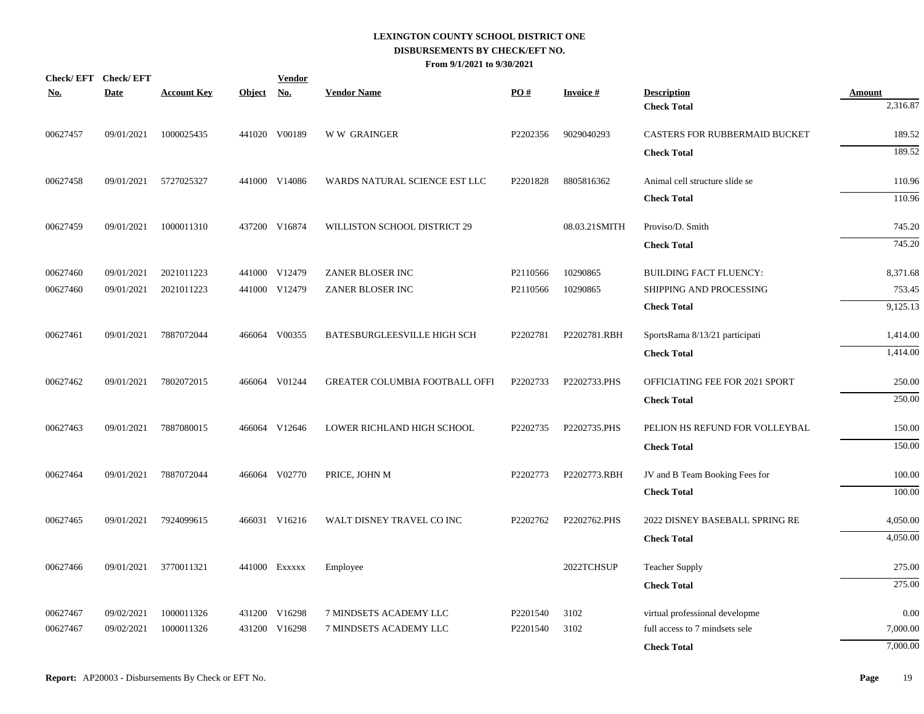| <u>No.</u> | Check/EFT Check/EFT<br><b>Date</b> | <b>Account Key</b> | Object No. | <b>Vendor</b> | <b>Vendor Name</b>             | PO#      | <b>Invoice#</b> | <b>Description</b>             | <b>Amount</b> |
|------------|------------------------------------|--------------------|------------|---------------|--------------------------------|----------|-----------------|--------------------------------|---------------|
|            |                                    |                    |            |               |                                |          |                 | <b>Check Total</b>             | 2,316.87      |
| 00627457   | 09/01/2021                         | 1000025435         |            | 441020 V00189 | <b>WW GRAINGER</b>             | P2202356 | 9029040293      | CASTERS FOR RUBBERMAID BUCKET  | 189.52        |
|            |                                    |                    |            |               |                                |          |                 | <b>Check Total</b>             | 189.52        |
| 00627458   | 09/01/2021                         | 5727025327         |            | 441000 V14086 | WARDS NATURAL SCIENCE EST LLC  | P2201828 | 8805816362      | Animal cell structure slide se | 110.96        |
|            |                                    |                    |            |               |                                |          |                 | <b>Check Total</b>             | 110.96        |
| 00627459   | 09/01/2021                         | 1000011310         |            | 437200 V16874 | WILLISTON SCHOOL DISTRICT 29   |          | 08.03.21SMITH   | Proviso/D. Smith               | 745.20        |
|            |                                    |                    |            |               |                                |          |                 | <b>Check Total</b>             | 745.20        |
| 00627460   | 09/01/2021                         | 2021011223         |            | 441000 V12479 | ZANER BLOSER INC               | P2110566 | 10290865        | <b>BUILDING FACT FLUENCY:</b>  | 8,371.68      |
| 00627460   | 09/01/2021                         | 2021011223         |            | 441000 V12479 | ZANER BLOSER INC               | P2110566 | 10290865        | SHIPPING AND PROCESSING        | 753.45        |
|            |                                    |                    |            |               |                                |          |                 | <b>Check Total</b>             | 9,125.13      |
| 00627461   | 09/01/2021                         | 7887072044         |            | 466064 V00355 | BATESBURGLEESVILLE HIGH SCH    | P2202781 | P2202781.RBH    | SportsRama 8/13/21 participati | 1,414.00      |
|            |                                    |                    |            |               |                                |          |                 | <b>Check Total</b>             | 1,414.00      |
| 00627462   | 09/01/2021                         | 7802072015         |            | 466064 V01244 | GREATER COLUMBIA FOOTBALL OFFI | P2202733 | P2202733.PHS    | OFFICIATING FEE FOR 2021 SPORT | 250.00        |
|            |                                    |                    |            |               |                                |          |                 | <b>Check Total</b>             | 250.00        |
| 00627463   | 09/01/2021                         | 7887080015         |            | 466064 V12646 | LOWER RICHLAND HIGH SCHOOL     | P2202735 | P2202735.PHS    | PELION HS REFUND FOR VOLLEYBAL | 150.00        |
|            |                                    |                    |            |               |                                |          |                 | <b>Check Total</b>             | 150.00        |
| 00627464   | 09/01/2021                         | 7887072044         |            | 466064 V02770 | PRICE, JOHN M                  | P2202773 | P2202773.RBH    | JV and B Team Booking Fees for | 100.00        |
|            |                                    |                    |            |               |                                |          |                 | <b>Check Total</b>             | 100.00        |
| 00627465   | 09/01/2021                         | 7924099615         |            | 466031 V16216 | WALT DISNEY TRAVEL CO INC      | P2202762 | P2202762.PHS    | 2022 DISNEY BASEBALL SPRING RE | 4,050.00      |
|            |                                    |                    |            |               |                                |          |                 | <b>Check Total</b>             | 4,050.00      |
| 00627466   | 09/01/2021                         | 3770011321         |            | 441000 EXXXXX | Employee                       |          | 2022TCHSUP      | <b>Teacher Supply</b>          | 275.00        |
|            |                                    |                    |            |               |                                |          |                 | <b>Check Total</b>             | 275.00        |
| 00627467   | 09/02/2021                         | 1000011326         |            | 431200 V16298 | 7 MINDSETS ACADEMY LLC         | P2201540 | 3102            | virtual professional developme | 0.00          |
| 00627467   | 09/02/2021                         | 1000011326         | 431200     | V16298        | 7 MINDSETS ACADEMY LLC         | P2201540 | 3102            | full access to 7 mindsets sele | 7,000.00      |
|            |                                    |                    |            |               |                                |          |                 | <b>Check Total</b>             | 7,000.00      |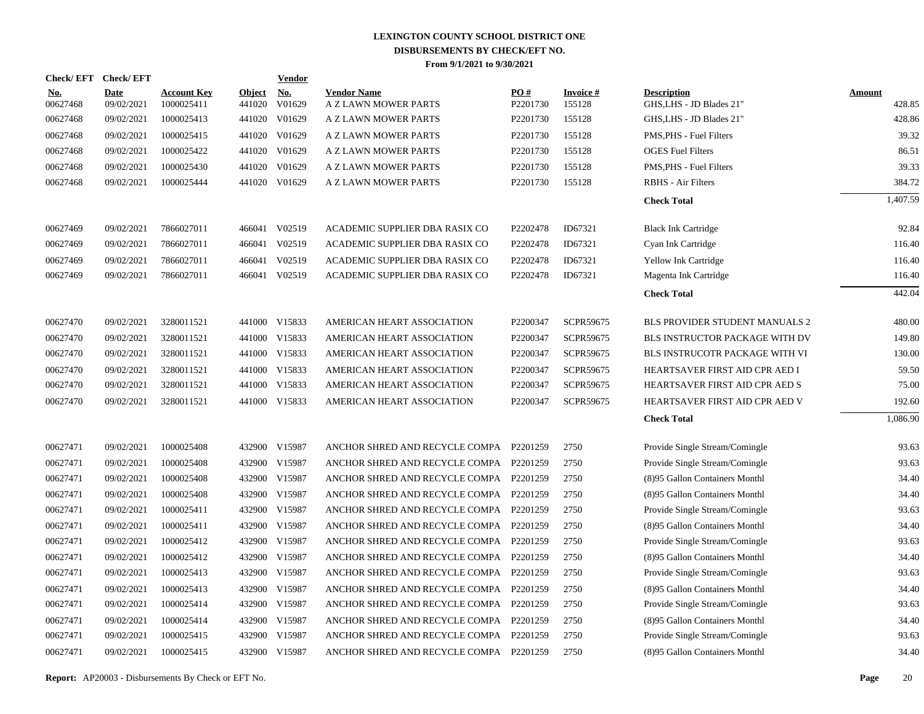|                        | Check/EFT Check/EFT       |                                  |                         | <b>Vendor</b>        |                                            |                 |                           |                                                |                         |
|------------------------|---------------------------|----------------------------------|-------------------------|----------------------|--------------------------------------------|-----------------|---------------------------|------------------------------------------------|-------------------------|
| <u>No.</u><br>00627468 | <b>Date</b><br>09/02/2021 | <b>Account Key</b><br>1000025411 | <b>Object</b><br>441020 | <u>No.</u><br>V01629 | <b>Vendor Name</b><br>A Z LAWN MOWER PARTS | PO#<br>P2201730 | <b>Invoice#</b><br>155128 | <b>Description</b><br>GHS, LHS - JD Blades 21" | <b>Amount</b><br>428.85 |
| 00627468               | 09/02/2021                | 1000025413                       | 441020                  | V01629               | A Z LAWN MOWER PARTS                       | P2201730        | 155128                    | GHS, LHS - JD Blades 21"                       | 428.86                  |
| 00627468               | 09/02/2021                | 1000025415                       | 441020                  | V01629               | A Z LAWN MOWER PARTS                       | P2201730        | 155128                    | PMS, PHS - Fuel Filters                        | 39.32                   |
| 00627468               | 09/02/2021                | 1000025422                       |                         | 441020 V01629        | A Z LAWN MOWER PARTS                       | P2201730        | 155128                    | <b>OGES</b> Fuel Filters                       | 86.51                   |
| 00627468               | 09/02/2021                | 1000025430                       | 441020                  | V01629               | A Z LAWN MOWER PARTS                       | P2201730        | 155128                    | PMS, PHS - Fuel Filters                        | 39.33                   |
| 00627468               | 09/02/2021                | 1000025444                       |                         | 441020 V01629        | A Z LAWN MOWER PARTS                       | P2201730        | 155128                    | <b>RBHS</b> - Air Filters                      | 384.72                  |
|                        |                           |                                  |                         |                      |                                            |                 |                           | <b>Check Total</b>                             | 1,407.59                |
| 00627469               | 09/02/2021                | 7866027011                       | 466041                  | V02519               | ACADEMIC SUPPLIER DBA RASIX CO             | P2202478        | ID67321                   | <b>Black Ink Cartridge</b>                     | 92.84                   |
| 00627469               | 09/02/2021                | 7866027011                       |                         | 466041 V02519        | ACADEMIC SUPPLIER DBA RASIX CO             | P2202478        | ID67321                   | Cyan Ink Cartridge                             | 116.40                  |
| 00627469               | 09/02/2021                | 7866027011                       | 466041                  | V02519               | ACADEMIC SUPPLIER DBA RASIX CO             | P2202478        | ID67321                   | <b>Yellow Ink Cartridge</b>                    | 116.40                  |
| 00627469               | 09/02/2021                | 7866027011                       |                         | 466041 V02519        | ACADEMIC SUPPLIER DBA RASIX CO             | P2202478        | ID67321                   | Magenta Ink Cartridge                          | 116.40                  |
|                        |                           |                                  |                         |                      |                                            |                 |                           | <b>Check Total</b>                             | 442.04                  |
| 00627470               | 09/02/2021                | 3280011521                       |                         | 441000 V15833        | AMERICAN HEART ASSOCIATION                 | P2200347        | SCPR59675                 | BLS PROVIDER STUDENT MANUALS 2                 | 480.00                  |
| 00627470               | 09/02/2021                | 3280011521                       |                         | 441000 V15833        | AMERICAN HEART ASSOCIATION                 | P2200347        | SCPR59675                 | BLS INSTRUCTOR PACKAGE WITH DV                 | 149.80                  |
| 00627470               | 09/02/2021                | 3280011521                       |                         | 441000 V15833        | AMERICAN HEART ASSOCIATION                 | P2200347        | SCPR59675                 | BLS INSTRUCOTR PACKAGE WITH VI                 | 130.00                  |
| 00627470               | 09/02/2021                | 3280011521                       |                         | 441000 V15833        | AMERICAN HEART ASSOCIATION                 | P2200347        | SCPR59675                 | HEARTSAVER FIRST AID CPR AED I                 | 59.50                   |
| 00627470               | 09/02/2021                | 3280011521                       | 441000                  | V15833               | AMERICAN HEART ASSOCIATION                 | P2200347        | SCPR59675                 | HEARTSAVER FIRST AID CPR AED S                 | 75.00                   |
| 00627470               | 09/02/2021                | 3280011521                       |                         | 441000 V15833        | AMERICAN HEART ASSOCIATION                 | P2200347        | SCPR59675                 | HEARTSAVER FIRST AID CPR AED V                 | 192.60                  |
|                        |                           |                                  |                         |                      |                                            |                 |                           | <b>Check Total</b>                             | 1,086.90                |
| 00627471               | 09/02/2021                | 1000025408                       |                         | 432900 V15987        | ANCHOR SHRED AND RECYCLE COMPA P2201259    |                 | 2750                      | Provide Single Stream/Comingle                 | 93.63                   |
| 00627471               | 09/02/2021                | 1000025408                       | 432900                  | V15987               | ANCHOR SHRED AND RECYCLE COMPA P2201259    |                 | 2750                      | Provide Single Stream/Comingle                 | 93.63                   |
| 00627471               | 09/02/2021                | 1000025408                       |                         | 432900 V15987        | ANCHOR SHRED AND RECYCLE COMPA P2201259    |                 | 2750                      | (8)95 Gallon Containers Monthl                 | 34.40                   |
| 00627471               | 09/02/2021                | 1000025408                       | 432900                  | V15987               | ANCHOR SHRED AND RECYCLE COMPA P2201259    |                 | 2750                      | (8)95 Gallon Containers Monthl                 | 34.40                   |
| 00627471               | 09/02/2021                | 1000025411                       |                         | 432900 V15987        | ANCHOR SHRED AND RECYCLE COMPA P2201259    |                 | 2750                      | Provide Single Stream/Comingle                 | 93.63                   |
| 00627471               | 09/02/2021                | 1000025411                       | 432900                  | V15987               | ANCHOR SHRED AND RECYCLE COMPA             | P2201259        | 2750                      | (8)95 Gallon Containers Monthl                 | 34.40                   |
| 00627471               | 09/02/2021                | 1000025412                       |                         | 432900 V15987        | ANCHOR SHRED AND RECYCLE COMPA P2201259    |                 | 2750                      | Provide Single Stream/Comingle                 | 93.63                   |
| 00627471               | 09/02/2021                | 1000025412                       | 432900                  | V15987               | ANCHOR SHRED AND RECYCLE COMPA             | P2201259        | 2750                      | (8)95 Gallon Containers Monthl                 | 34.40                   |
| 00627471               | 09/02/2021                | 1000025413                       |                         | 432900 V15987        | ANCHOR SHRED AND RECYCLE COMPA P2201259    |                 | 2750                      | Provide Single Stream/Comingle                 | 93.63                   |
| 00627471               | 09/02/2021                | 1000025413                       | 432900                  | V15987               | ANCHOR SHRED AND RECYCLE COMPA             | P2201259        | 2750                      | (8)95 Gallon Containers Monthl                 | 34.40                   |
| 00627471               | 09/02/2021                | 1000025414                       |                         | 432900 V15987        | ANCHOR SHRED AND RECYCLE COMPA P2201259    |                 | 2750                      | Provide Single Stream/Comingle                 | 93.63                   |
| 00627471               | 09/02/2021                | 1000025414                       | 432900                  | V15987               | ANCHOR SHRED AND RECYCLE COMPA             | P2201259        | 2750                      | (8)95 Gallon Containers Monthl                 | 34.40                   |
| 00627471               | 09/02/2021                | 1000025415                       |                         | 432900 V15987        | ANCHOR SHRED AND RECYCLE COMPA P2201259    |                 | 2750                      | Provide Single Stream/Comingle                 | 93.63                   |
| 00627471               | 09/02/2021                | 1000025415                       |                         | 432900 V15987        | ANCHOR SHRED AND RECYCLE COMPA P2201259    |                 | 2750                      | (8)95 Gallon Containers Monthl                 | 34.40                   |

**Report:** AP20003 - Disbursements By Check or EFT No. **Page** 20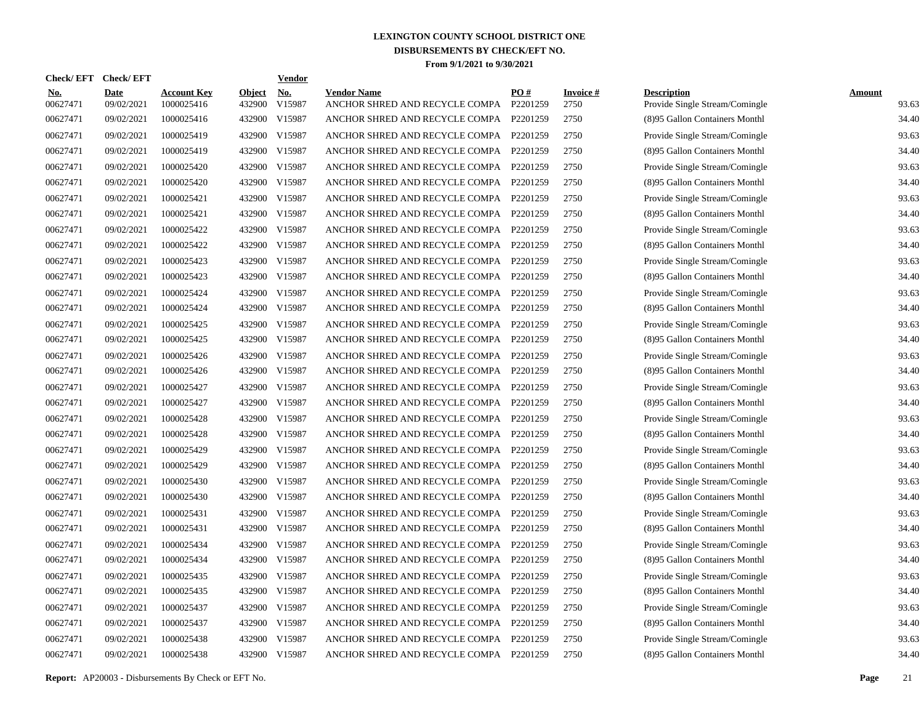| <b>Check/EFT</b>       | <b>Check/EFT</b>          |                                  |                         | <b>Vendor</b> |                                                      |                 |                         |                                                      |                        |
|------------------------|---------------------------|----------------------------------|-------------------------|---------------|------------------------------------------------------|-----------------|-------------------------|------------------------------------------------------|------------------------|
| <u>No.</u><br>00627471 | <b>Date</b><br>09/02/2021 | <b>Account Key</b><br>1000025416 | <b>Object</b><br>432900 | No.<br>V15987 | <b>Vendor Name</b><br>ANCHOR SHRED AND RECYCLE COMPA | PO#<br>P2201259 | <b>Invoice#</b><br>2750 | <b>Description</b><br>Provide Single Stream/Comingle | <b>Amount</b><br>93.63 |
| 00627471               | 09/02/2021                | 1000025416                       | 432900                  | V15987        | ANCHOR SHRED AND RECYCLE COMPA                       | P2201259        | 2750                    | (8)95 Gallon Containers Monthl                       | 34.40                  |
| 00627471               | 09/02/2021                | 1000025419                       | 432900                  | V15987        | ANCHOR SHRED AND RECYCLE COMPA                       | P2201259        | 2750                    | Provide Single Stream/Comingle                       | 93.63                  |
| 00627471               | 09/02/2021                | 1000025419                       | 432900 V15987           |               | ANCHOR SHRED AND RECYCLE COMPA                       | P2201259        | 2750                    | (8)95 Gallon Containers Monthl                       | 34.40                  |
| 00627471               | 09/02/2021                | 1000025420                       | 432900                  | V15987        | ANCHOR SHRED AND RECYCLE COMPA                       | P2201259        | 2750                    | Provide Single Stream/Comingle                       | 93.63                  |
| 00627471               | 09/02/2021                | 1000025420                       | 432900 V15987           |               | ANCHOR SHRED AND RECYCLE COMPA                       | P2201259        | 2750                    | (8)95 Gallon Containers Monthl                       | 34.40                  |
| 00627471               | 09/02/2021                | 1000025421                       | 432900 V15987           |               | ANCHOR SHRED AND RECYCLE COMPA                       | P2201259        | 2750                    | Provide Single Stream/Comingle                       | 93.63                  |
| 00627471               | 09/02/2021                | 1000025421                       | 432900 V15987           |               | ANCHOR SHRED AND RECYCLE COMPA                       | P2201259        | 2750                    | (8)95 Gallon Containers Monthl                       | 34.40                  |
| 00627471               | 09/02/2021                | 1000025422                       | 432900 V15987           |               | ANCHOR SHRED AND RECYCLE COMPA                       | P2201259        | 2750                    | Provide Single Stream/Comingle                       | 93.63                  |
| 00627471               | 09/02/2021                | 1000025422                       | 432900 V15987           |               | ANCHOR SHRED AND RECYCLE COMPA                       | P2201259        | 2750                    | (8)95 Gallon Containers Monthl                       | 34.40                  |
| 00627471               | 09/02/2021                | 1000025423                       | 432900 V15987           |               | ANCHOR SHRED AND RECYCLE COMPA                       | P2201259        | 2750                    | Provide Single Stream/Comingle                       | 93.63                  |
| 00627471               | 09/02/2021                | 1000025423                       | 432900 V15987           |               | ANCHOR SHRED AND RECYCLE COMPA                       | P2201259        | 2750                    | (8)95 Gallon Containers Monthl                       | 34.40                  |
| 00627471               | 09/02/2021                | 1000025424                       | 432900 V15987           |               | ANCHOR SHRED AND RECYCLE COMPA                       | P2201259        | 2750                    | Provide Single Stream/Comingle                       | 93.63                  |
| 00627471               | 09/02/2021                | 1000025424                       | 432900 V15987           |               | ANCHOR SHRED AND RECYCLE COMPA                       | P2201259        | 2750                    | (8)95 Gallon Containers Monthl                       | 34.40                  |
| 00627471               | 09/02/2021                | 1000025425                       | 432900 V15987           |               | ANCHOR SHRED AND RECYCLE COMPA                       | P2201259        | 2750                    | Provide Single Stream/Comingle                       | 93.63                  |
| 00627471               | 09/02/2021                | 1000025425                       | 432900 V15987           |               | ANCHOR SHRED AND RECYCLE COMPA                       | P2201259        | 2750                    | (8)95 Gallon Containers Monthl                       | 34.40                  |
| 00627471               | 09/02/2021                | 1000025426                       | 432900 V15987           |               | ANCHOR SHRED AND RECYCLE COMPA                       | P2201259        | 2750                    | Provide Single Stream/Comingle                       | 93.63                  |
| 00627471               | 09/02/2021                | 1000025426                       | 432900 V15987           |               | ANCHOR SHRED AND RECYCLE COMPA                       | P2201259        | 2750                    | (8)95 Gallon Containers Monthl                       | 34.40                  |
| 00627471               | 09/02/2021                | 1000025427                       | 432900 V15987           |               | ANCHOR SHRED AND RECYCLE COMPA                       | P2201259        | 2750                    | Provide Single Stream/Comingle                       | 93.63                  |
| 00627471               | 09/02/2021                | 1000025427                       | 432900 V15987           |               | ANCHOR SHRED AND RECYCLE COMPA                       | P2201259        | 2750                    | (8)95 Gallon Containers Monthl                       | 34.40                  |
| 00627471               | 09/02/2021                | 1000025428                       | 432900 V15987           |               | ANCHOR SHRED AND RECYCLE COMPA                       | P2201259        | 2750                    | Provide Single Stream/Comingle                       | 93.63                  |
| 00627471               | 09/02/2021                | 1000025428                       | 432900 V15987           |               | ANCHOR SHRED AND RECYCLE COMPA                       | P2201259        | 2750                    | (8)95 Gallon Containers Monthl                       | 34.40                  |
| 00627471               | 09/02/2021                | 1000025429                       | 432900 V15987           |               | ANCHOR SHRED AND RECYCLE COMPA                       | P2201259        | 2750                    | Provide Single Stream/Comingle                       | 93.63                  |
| 00627471               | 09/02/2021                | 1000025429                       | 432900 V15987           |               | ANCHOR SHRED AND RECYCLE COMPA                       | P2201259        | 2750                    | (8)95 Gallon Containers Monthl                       | 34.40                  |
| 00627471               | 09/02/2021                | 1000025430                       | 432900 V15987           |               | ANCHOR SHRED AND RECYCLE COMPA                       | P2201259        | 2750                    | Provide Single Stream/Comingle                       | 93.63                  |
| 00627471               | 09/02/2021                | 1000025430                       | 432900 V15987           |               | ANCHOR SHRED AND RECYCLE COMPA                       | P2201259        | 2750                    | (8)95 Gallon Containers Monthl                       | 34.40                  |
| 00627471               | 09/02/2021                | 1000025431                       | 432900 V15987           |               | ANCHOR SHRED AND RECYCLE COMPA                       | P2201259        | 2750                    | Provide Single Stream/Comingle                       | 93.63                  |
| 00627471               | 09/02/2021                | 1000025431                       | 432900 V15987           |               | ANCHOR SHRED AND RECYCLE COMPA                       | P2201259        | 2750                    | (8)95 Gallon Containers Monthl                       | 34.40                  |
| 00627471               | 09/02/2021                | 1000025434                       | 432900 V15987           |               | ANCHOR SHRED AND RECYCLE COMPA                       | P2201259        | 2750                    | Provide Single Stream/Comingle                       | 93.63                  |
| 00627471               | 09/02/2021                | 1000025434                       | 432900 V15987           |               | ANCHOR SHRED AND RECYCLE COMPA                       | P2201259        | 2750                    | (8)95 Gallon Containers Monthl                       | 34.40                  |
| 00627471               | 09/02/2021                | 1000025435                       | 432900 V15987           |               | ANCHOR SHRED AND RECYCLE COMPA                       | P2201259        | 2750                    | Provide Single Stream/Comingle                       | 93.63                  |
| 00627471               | 09/02/2021                | 1000025435                       | 432900 V15987           |               | ANCHOR SHRED AND RECYCLE COMPA                       | P2201259        | 2750                    | (8)95 Gallon Containers Monthl                       | 34.40                  |
| 00627471               | 09/02/2021                | 1000025437                       | 432900 V15987           |               | ANCHOR SHRED AND RECYCLE COMPA                       | P2201259        | 2750                    | Provide Single Stream/Comingle                       | 93.63                  |
| 00627471               | 09/02/2021                | 1000025437                       | 432900 V15987           |               | ANCHOR SHRED AND RECYCLE COMPA                       | P2201259        | 2750                    | (8)95 Gallon Containers Monthl                       | 34.40                  |
| 00627471               | 09/02/2021                | 1000025438                       | 432900 V15987           |               | ANCHOR SHRED AND RECYCLE COMPA                       | P2201259        | 2750                    | Provide Single Stream/Comingle                       | 93.63                  |
| 00627471               | 09/02/2021                | 1000025438                       | 432900 V15987           |               | ANCHOR SHRED AND RECYCLE COMPA                       | P2201259        | 2750                    | (8)95 Gallon Containers Monthl                       | 34.40                  |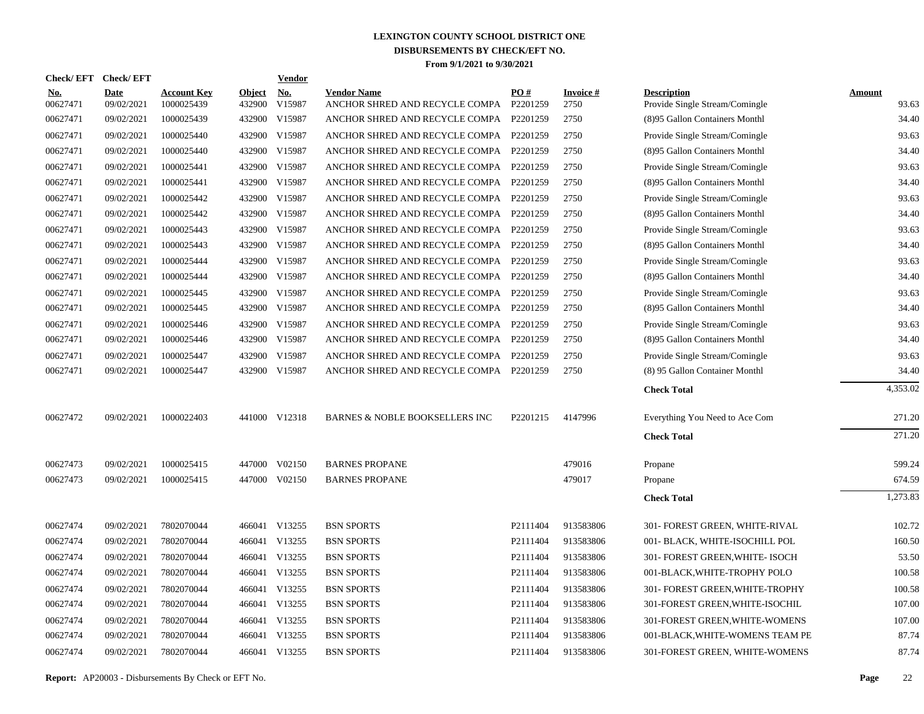| Check/EFT Check/EFT    |                           |                                  |                         | <b>Vendor</b> |                                                               |          |                         |                                                      |                        |
|------------------------|---------------------------|----------------------------------|-------------------------|---------------|---------------------------------------------------------------|----------|-------------------------|------------------------------------------------------|------------------------|
| <u>No.</u><br>00627471 | <b>Date</b><br>09/02/2021 | <b>Account Key</b><br>1000025439 | <b>Object</b><br>432900 | No.<br>V15987 | <b>Vendor Name</b><br>ANCHOR SHRED AND RECYCLE COMPA P2201259 | PO#      | <b>Invoice#</b><br>2750 | <b>Description</b><br>Provide Single Stream/Comingle | <b>Amount</b><br>93.63 |
| 00627471               | 09/02/2021                | 1000025439                       | 432900                  | V15987        | ANCHOR SHRED AND RECYCLE COMPA P2201259                       |          | 2750                    | (8)95 Gallon Containers Monthl                       | 34.40                  |
| 00627471               | 09/02/2021                | 1000025440                       | 432900                  | V15987        | ANCHOR SHRED AND RECYCLE COMPA P2201259                       |          | 2750                    | Provide Single Stream/Comingle                       | 93.63                  |
| 00627471               | 09/02/2021                | 1000025440                       | 432900                  | V15987        | ANCHOR SHRED AND RECYCLE COMPA P2201259                       |          | 2750                    | (8)95 Gallon Containers Monthl                       | 34.40                  |
| 00627471               | 09/02/2021                | 1000025441                       | 432900                  | V15987        | ANCHOR SHRED AND RECYCLE COMPA P2201259                       |          | 2750                    | Provide Single Stream/Comingle                       | 93.63                  |
| 00627471               | 09/02/2021                | 1000025441                       | 432900                  | V15987        | ANCHOR SHRED AND RECYCLE COMPA P2201259                       |          | 2750                    | (8)95 Gallon Containers Monthl                       | 34.40                  |
| 00627471               | 09/02/2021                | 1000025442                       |                         | 432900 V15987 | ANCHOR SHRED AND RECYCLE COMPA P2201259                       |          | 2750                    | Provide Single Stream/Comingle                       | 93.63                  |
| 00627471               | 09/02/2021                | 1000025442                       |                         | 432900 V15987 | ANCHOR SHRED AND RECYCLE COMPA P2201259                       |          | 2750                    | (8)95 Gallon Containers Monthl                       | 34.40                  |
| 00627471               | 09/02/2021                | 1000025443                       | 432900                  | V15987        | ANCHOR SHRED AND RECYCLE COMPA P2201259                       |          | 2750                    | Provide Single Stream/Comingle                       | 93.63                  |
| 00627471               | 09/02/2021                | 1000025443                       |                         | 432900 V15987 | ANCHOR SHRED AND RECYCLE COMPA P2201259                       |          | 2750                    | (8)95 Gallon Containers Monthl                       | 34.40                  |
| 00627471               | 09/02/2021                | 1000025444                       |                         | 432900 V15987 | ANCHOR SHRED AND RECYCLE COMPA P2201259                       |          | 2750                    | Provide Single Stream/Comingle                       | 93.63                  |
| 00627471               | 09/02/2021                | 1000025444                       |                         | 432900 V15987 | ANCHOR SHRED AND RECYCLE COMPA P2201259                       |          | 2750                    | (8)95 Gallon Containers Monthl                       | 34.40                  |
| 00627471               | 09/02/2021                | 1000025445                       |                         | 432900 V15987 | ANCHOR SHRED AND RECYCLE COMPA P2201259                       |          | 2750                    | Provide Single Stream/Comingle                       | 93.63                  |
| 00627471               | 09/02/2021                | 1000025445                       |                         | 432900 V15987 | ANCHOR SHRED AND RECYCLE COMPA P2201259                       |          | 2750                    | (8)95 Gallon Containers Monthl                       | 34.40                  |
| 00627471               | 09/02/2021                | 1000025446                       |                         | 432900 V15987 | ANCHOR SHRED AND RECYCLE COMPA P2201259                       |          | 2750                    | Provide Single Stream/Comingle                       | 93.63                  |
| 00627471               | 09/02/2021                | 1000025446                       |                         | 432900 V15987 | ANCHOR SHRED AND RECYCLE COMPA P2201259                       |          | 2750                    | (8)95 Gallon Containers Monthl                       | 34.40                  |
| 00627471               | 09/02/2021                | 1000025447                       |                         | 432900 V15987 | ANCHOR SHRED AND RECYCLE COMPA P2201259                       |          | 2750                    | Provide Single Stream/Comingle                       | 93.63                  |
| 00627471               | 09/02/2021                | 1000025447                       |                         | 432900 V15987 | ANCHOR SHRED AND RECYCLE COMPA P2201259                       |          | 2750                    | (8) 95 Gallon Container Monthl                       | 34.40                  |
|                        |                           |                                  |                         |               |                                                               |          |                         | <b>Check Total</b>                                   | 4,353.02               |
| 00627472               | 09/02/2021                | 1000022403                       |                         | 441000 V12318 | <b>BARNES &amp; NOBLE BOOKSELLERS INC</b>                     | P2201215 | 4147996                 | Everything You Need to Ace Com                       | 271.20                 |
|                        |                           |                                  |                         |               |                                                               |          |                         | <b>Check Total</b>                                   | 271.20                 |
| 00627473               | 09/02/2021                | 1000025415                       |                         | 447000 V02150 | <b>BARNES PROPANE</b>                                         |          | 479016                  | Propane                                              | 599.24                 |
| 00627473               | 09/02/2021                | 1000025415                       |                         | 447000 V02150 | <b>BARNES PROPANE</b>                                         |          | 479017                  | Propane                                              | 674.59                 |
|                        |                           |                                  |                         |               |                                                               |          |                         | <b>Check Total</b>                                   | 1,273.83               |
| 00627474               | 09/02/2021                | 7802070044                       |                         | 466041 V13255 | <b>BSN SPORTS</b>                                             | P2111404 | 913583806               | 301- FOREST GREEN, WHITE-RIVAL                       | 102.72                 |
| 00627474               | 09/02/2021                | 7802070044                       |                         | 466041 V13255 | <b>BSN SPORTS</b>                                             | P2111404 | 913583806               | 001- BLACK, WHITE-ISOCHILL POL                       | 160.50                 |
| 00627474               | 09/02/2021                | 7802070044                       |                         | 466041 V13255 | <b>BSN SPORTS</b>                                             | P2111404 | 913583806               | 301- FOREST GREEN, WHITE- ISOCH                      | 53.50                  |
| 00627474               | 09/02/2021                | 7802070044                       |                         | 466041 V13255 | <b>BSN SPORTS</b>                                             | P2111404 | 913583806               | 001-BLACK, WHITE-TROPHY POLO                         | 100.58                 |
| 00627474               | 09/02/2021                | 7802070044                       |                         | 466041 V13255 | <b>BSN SPORTS</b>                                             | P2111404 | 913583806               | 301- FOREST GREEN, WHITE-TROPHY                      | 100.58                 |
| 00627474               | 09/02/2021                | 7802070044                       |                         | 466041 V13255 | <b>BSN SPORTS</b>                                             | P2111404 | 913583806               | 301-FOREST GREEN, WHITE-ISOCHIL                      | 107.00                 |
| 00627474               | 09/02/2021                | 7802070044                       |                         | 466041 V13255 | <b>BSN SPORTS</b>                                             | P2111404 | 913583806               | 301-FOREST GREEN, WHITE-WOMENS                       | 107.00                 |
| 00627474               | 09/02/2021                | 7802070044                       |                         | 466041 V13255 | <b>BSN SPORTS</b>                                             | P2111404 | 913583806               | 001-BLACK, WHITE-WOMENS TEAM PE                      | 87.74                  |
| 00627474               | 09/02/2021                | 7802070044                       |                         | 466041 V13255 | <b>BSN SPORTS</b>                                             | P2111404 | 913583806               | 301-FOREST GREEN, WHITE-WOMENS                       | 87.74                  |
|                        |                           |                                  |                         |               |                                                               |          |                         |                                                      |                        |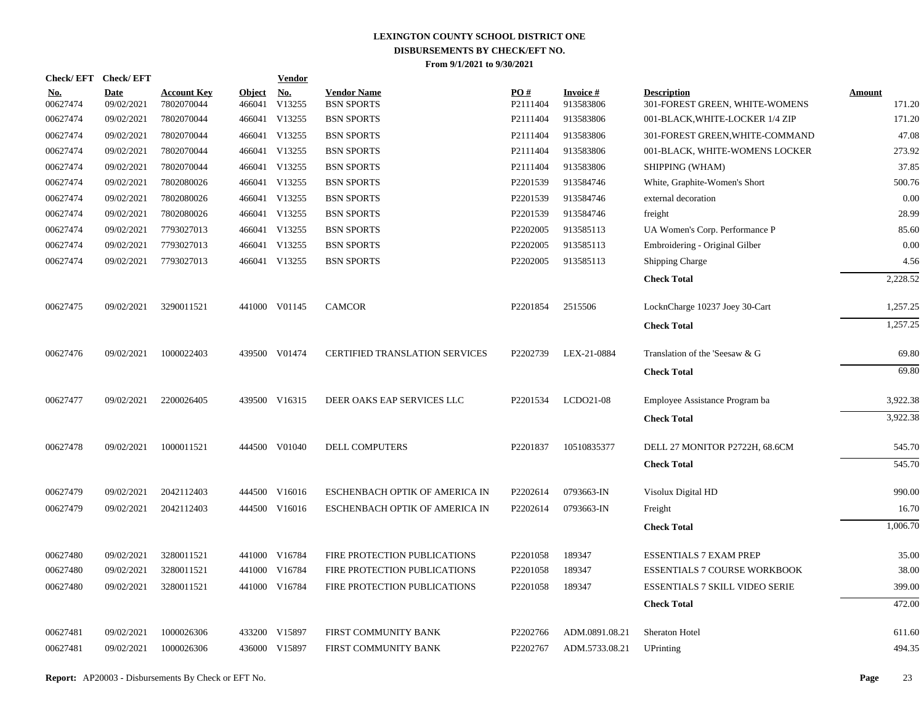| <b>Check/EFT</b>       | <b>Check/EFT</b>          |                                  |                         | Vendor               |                                         |                 |                              |                                                      |                         |
|------------------------|---------------------------|----------------------------------|-------------------------|----------------------|-----------------------------------------|-----------------|------------------------------|------------------------------------------------------|-------------------------|
| <u>No.</u><br>00627474 | <b>Date</b><br>09/02/2021 | <b>Account Key</b><br>7802070044 | <b>Object</b><br>466041 | <u>No.</u><br>V13255 | <b>Vendor Name</b><br><b>BSN SPORTS</b> | PO#<br>P2111404 | <b>Invoice#</b><br>913583806 | <b>Description</b><br>301-FOREST GREEN, WHITE-WOMENS | <b>Amount</b><br>171.20 |
| 00627474               | 09/02/2021                | 7802070044                       |                         | 466041 V13255        | <b>BSN SPORTS</b>                       | P2111404        | 913583806                    | 001-BLACK, WHITE-LOCKER 1/4 ZIP                      | 171.20                  |
| 00627474               | 09/02/2021                | 7802070044                       |                         | 466041 V13255        | <b>BSN SPORTS</b>                       | P2111404        | 913583806                    | 301-FOREST GREEN, WHITE-COMMAND                      | 47.08                   |
| 00627474               | 09/02/2021                | 7802070044                       |                         | 466041 V13255        | <b>BSN SPORTS</b>                       | P2111404        | 913583806                    | 001-BLACK, WHITE-WOMENS LOCKER                       | 273.92                  |
| 00627474               | 09/02/2021                | 7802070044                       |                         | 466041 V13255        | <b>BSN SPORTS</b>                       | P2111404        | 913583806                    | SHIPPING (WHAM)                                      | 37.85                   |
| 00627474               | 09/02/2021                | 7802080026                       |                         | 466041 V13255        | <b>BSN SPORTS</b>                       | P2201539        | 913584746                    | White, Graphite-Women's Short                        | 500.76                  |
| 00627474               | 09/02/2021                | 7802080026                       |                         | 466041 V13255        | <b>BSN SPORTS</b>                       | P2201539        | 913584746                    | external decoration                                  | 0.00                    |
| 00627474               | 09/02/2021                | 7802080026                       |                         | 466041 V13255        | <b>BSN SPORTS</b>                       | P2201539        | 913584746                    | freight                                              | 28.99                   |
| 00627474               | 09/02/2021                | 7793027013                       |                         | 466041 V13255        | <b>BSN SPORTS</b>                       | P2202005        | 913585113                    | UA Women's Corp. Performance P                       | 85.60                   |
| 00627474               | 09/02/2021                | 7793027013                       |                         | 466041 V13255        | <b>BSN SPORTS</b>                       | P2202005        | 913585113                    | Embroidering - Original Gilber                       | 0.00                    |
| 00627474               | 09/02/2021                | 7793027013                       |                         | 466041 V13255        | <b>BSN SPORTS</b>                       | P2202005        | 913585113                    | <b>Shipping Charge</b>                               | 4.56                    |
|                        |                           |                                  |                         |                      |                                         |                 |                              | <b>Check Total</b>                                   | 2,228.52                |
| 00627475               | 09/02/2021                | 3290011521                       |                         | 441000 V01145        | <b>CAMCOR</b>                           | P2201854        | 2515506                      | LocknCharge 10237 Joey 30-Cart                       | 1,257.25                |
|                        |                           |                                  |                         |                      |                                         |                 |                              | <b>Check Total</b>                                   | 1,257.25                |
| 00627476               | 09/02/2021                | 1000022403                       |                         | 439500 V01474        | <b>CERTIFIED TRANSLATION SERVICES</b>   | P2202739        | LEX-21-0884                  | Translation of the 'Seesaw & G                       | 69.80                   |
|                        |                           |                                  |                         |                      |                                         |                 |                              | <b>Check Total</b>                                   | 69.80                   |
| 00627477               | 09/02/2021                | 2200026405                       |                         | 439500 V16315        | DEER OAKS EAP SERVICES LLC              | P2201534        | LCDO21-08                    | Employee Assistance Program ba                       | 3,922.38                |
|                        |                           |                                  |                         |                      |                                         |                 |                              | <b>Check Total</b>                                   | 3,922.38                |
| 00627478               | 09/02/2021                | 1000011521                       |                         | 444500 V01040        | <b>DELL COMPUTERS</b>                   | P2201837        | 10510835377                  | DELL 27 MONITOR P2722H, 68.6CM                       | 545.70                  |
|                        |                           |                                  |                         |                      |                                         |                 |                              | <b>Check Total</b>                                   | 545.70                  |
| 00627479               | 09/02/2021                | 2042112403                       |                         | 444500 V16016        | ESCHENBACH OPTIK OF AMERICA IN          | P2202614        | 0793663-IN                   | Visolux Digital HD                                   | 990.00                  |
| 00627479               | 09/02/2021                | 2042112403                       |                         | 444500 V16016        | ESCHENBACH OPTIK OF AMERICA IN          | P2202614        | 0793663-IN                   | Freight                                              | 16.70                   |
|                        |                           |                                  |                         |                      |                                         |                 |                              | <b>Check Total</b>                                   | 1,006.70                |
| 00627480               | 09/02/2021                | 3280011521                       |                         | 441000 V16784        | FIRE PROTECTION PUBLICATIONS            | P2201058        | 189347                       | <b>ESSENTIALS 7 EXAM PREP</b>                        | 35.00                   |
| 00627480               | 09/02/2021                | 3280011521                       |                         | 441000 V16784        | FIRE PROTECTION PUBLICATIONS            | P2201058        | 189347                       | <b>ESSENTIALS 7 COURSE WORKBOOK</b>                  | 38.00                   |
| 00627480               | 09/02/2021                | 3280011521                       |                         | 441000 V16784        | FIRE PROTECTION PUBLICATIONS            | P2201058        | 189347                       | <b>ESSENTIALS 7 SKILL VIDEO SERIE</b>                | 399.00                  |
|                        |                           |                                  |                         |                      |                                         |                 |                              | <b>Check Total</b>                                   | 472.00                  |
| 00627481               | 09/02/2021                | 1000026306                       |                         | 433200 V15897        | FIRST COMMUNITY BANK                    | P2202766        | ADM.0891.08.21               | Sheraton Hotel                                       | 611.60                  |
| 00627481               | 09/02/2021                | 1000026306                       |                         | 436000 V15897        | FIRST COMMUNITY BANK                    | P2202767        | ADM.5733.08.21               | <b>UPrinting</b>                                     | 494.35                  |
|                        |                           |                                  |                         |                      |                                         |                 |                              |                                                      |                         |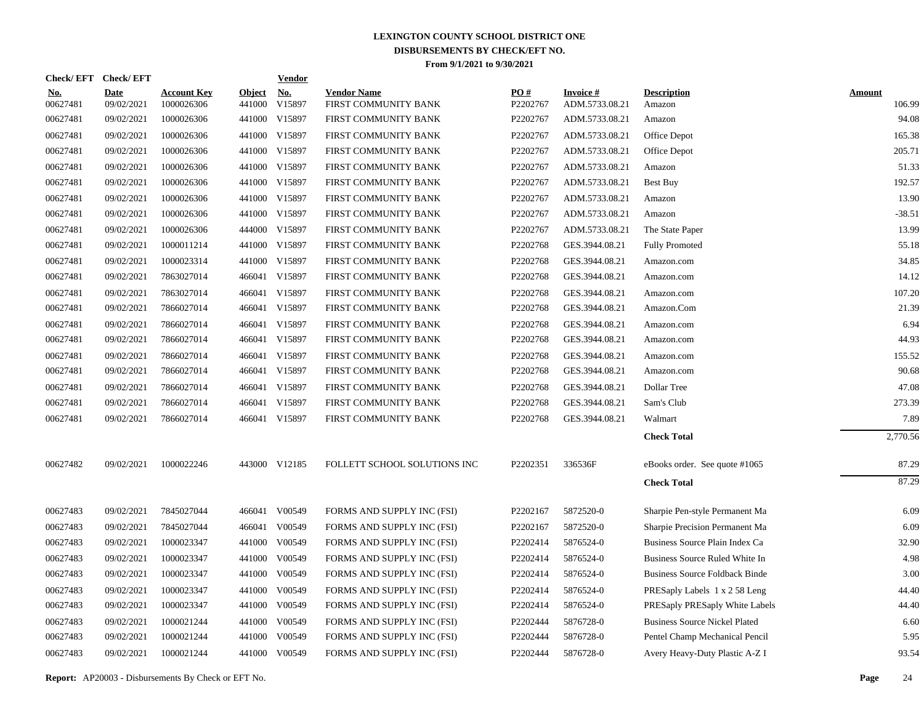| Check/EFT Check/EFT    |                           |                                  |                         | <b>Vendor</b> |                                            |                 |                                   |                                       |                         |
|------------------------|---------------------------|----------------------------------|-------------------------|---------------|--------------------------------------------|-----------------|-----------------------------------|---------------------------------------|-------------------------|
| <u>No.</u><br>00627481 | <b>Date</b><br>09/02/2021 | <b>Account Key</b><br>1000026306 | <b>Object</b><br>441000 | No.<br>V15897 | <b>Vendor Name</b><br>FIRST COMMUNITY BANK | PO#<br>P2202767 | <b>Invoice#</b><br>ADM.5733.08.21 | <b>Description</b><br>Amazon          | <b>Amount</b><br>106.99 |
| 00627481               | 09/02/2021                | 1000026306                       |                         | 441000 V15897 | FIRST COMMUNITY BANK                       | P2202767        | ADM.5733.08.21                    | Amazon                                | 94.08                   |
| 00627481               | 09/02/2021                | 1000026306                       |                         | 441000 V15897 | FIRST COMMUNITY BANK                       | P2202767        | ADM.5733.08.21                    | Office Depot                          | 165.38                  |
| 00627481               | 09/02/2021                | 1000026306                       |                         | 441000 V15897 | FIRST COMMUNITY BANK                       | P2202767        | ADM.5733.08.21                    | Office Depot                          | 205.71                  |
| 00627481               | 09/02/2021                | 1000026306                       |                         | 441000 V15897 | FIRST COMMUNITY BANK                       | P2202767        | ADM.5733.08.21                    | Amazon                                | 51.33                   |
| 00627481               | 09/02/2021                | 1000026306                       |                         | 441000 V15897 | FIRST COMMUNITY BANK                       | P2202767        | ADM.5733.08.21                    | Best Buy                              | 192.57                  |
| 00627481               | 09/02/2021                | 1000026306                       |                         | 441000 V15897 | FIRST COMMUNITY BANK                       | P2202767        | ADM.5733.08.21                    | Amazon                                | 13.90                   |
| 00627481               | 09/02/2021                | 1000026306                       |                         | 441000 V15897 | FIRST COMMUNITY BANK                       | P2202767        | ADM.5733.08.21                    | Amazon                                | $-38.51$                |
| 00627481               | 09/02/2021                | 1000026306                       |                         | 444000 V15897 | FIRST COMMUNITY BANK                       | P2202767        | ADM.5733.08.21                    | The State Paper                       | 13.99                   |
| 00627481               | 09/02/2021                | 1000011214                       |                         | 441000 V15897 | FIRST COMMUNITY BANK                       | P2202768        | GES.3944.08.21                    | <b>Fully Promoted</b>                 | 55.18                   |
| 00627481               | 09/02/2021                | 1000023314                       |                         | 441000 V15897 | FIRST COMMUNITY BANK                       | P2202768        | GES.3944.08.21                    | Amazon.com                            | 34.85                   |
| 00627481               | 09/02/2021                | 7863027014                       |                         | 466041 V15897 | FIRST COMMUNITY BANK                       | P2202768        | GES.3944.08.21                    | Amazon.com                            | 14.12                   |
| 00627481               | 09/02/2021                | 7863027014                       | 466041                  | V15897        | FIRST COMMUNITY BANK                       | P2202768        | GES.3944.08.21                    | Amazon.com                            | 107.20                  |
| 00627481               | 09/02/2021                | 7866027014                       | 466041                  | V15897        | FIRST COMMUNITY BANK                       | P2202768        | GES.3944.08.21                    | Amazon.Com                            | 21.39                   |
| 00627481               | 09/02/2021                | 7866027014                       | 466041                  | V15897        | FIRST COMMUNITY BANK                       | P2202768        | GES.3944.08.21                    | Amazon.com                            | 6.94                    |
| 00627481               | 09/02/2021                | 7866027014                       |                         | 466041 V15897 | FIRST COMMUNITY BANK                       | P2202768        | GES.3944.08.21                    | Amazon.com                            | 44.93                   |
| 00627481               | 09/02/2021                | 7866027014                       | 466041                  | V15897        | FIRST COMMUNITY BANK                       | P2202768        | GES.3944.08.21                    | Amazon.com                            | 155.52                  |
| 00627481               | 09/02/2021                | 7866027014                       |                         | 466041 V15897 | FIRST COMMUNITY BANK                       | P2202768        | GES.3944.08.21                    | Amazon.com                            | 90.68                   |
| 00627481               | 09/02/2021                | 7866027014                       | 466041                  | V15897        | FIRST COMMUNITY BANK                       | P2202768        | GES.3944.08.21                    | Dollar Tree                           | 47.08                   |
| 00627481               | 09/02/2021                | 7866027014                       |                         | 466041 V15897 | FIRST COMMUNITY BANK                       | P2202768        | GES.3944.08.21                    | Sam's Club                            | 273.39                  |
| 00627481               | 09/02/2021                | 7866027014                       |                         | 466041 V15897 | FIRST COMMUNITY BANK                       | P2202768        | GES.3944.08.21                    | Walmart                               | 7.89                    |
|                        |                           |                                  |                         |               |                                            |                 |                                   | <b>Check Total</b>                    | 2,770.56                |
| 00627482               | 09/02/2021                | 1000022246                       |                         | 443000 V12185 | FOLLETT SCHOOL SOLUTIONS INC               | P2202351        | 336536F                           | eBooks order. See quote #1065         | 87.29                   |
|                        |                           |                                  |                         |               |                                            |                 |                                   | <b>Check Total</b>                    | 87.29                   |
| 00627483               | 09/02/2021                | 7845027044                       |                         | 466041 V00549 | FORMS AND SUPPLY INC (FSI)                 | P2202167        | 5872520-0                         | Sharpie Pen-style Permanent Ma        | 6.09                    |
| 00627483               | 09/02/2021                | 7845027044                       |                         | 466041 V00549 | FORMS AND SUPPLY INC (FSI)                 | P2202167        | 5872520-0                         | Sharpie Precision Permanent Ma        | 6.09                    |
| 00627483               | 09/02/2021                | 1000023347                       |                         | 441000 V00549 | FORMS AND SUPPLY INC (FSI)                 | P2202414        | 5876524-0                         | Business Source Plain Index Ca        | 32.90                   |
| 00627483               | 09/02/2021                | 1000023347                       |                         | 441000 V00549 | FORMS AND SUPPLY INC (FSI)                 | P2202414        | 5876524-0                         | Business Source Ruled White In        | 4.98                    |
| 00627483               | 09/02/2021                | 1000023347                       |                         | 441000 V00549 | FORMS AND SUPPLY INC (FSI)                 | P2202414        | 5876524-0                         | <b>Business Source Foldback Binde</b> | 3.00                    |
| 00627483               | 09/02/2021                | 1000023347                       |                         | 441000 V00549 | FORMS AND SUPPLY INC (FSI)                 | P2202414        | 5876524-0                         | PRESaply Labels 1 x 2 58 Leng         | 44.40                   |
| 00627483               | 09/02/2021                | 1000023347                       |                         | 441000 V00549 | FORMS AND SUPPLY INC (FSI)                 | P2202414        | 5876524-0                         | PRESaply PRESaply White Labels        | 44.40                   |
| 00627483               | 09/02/2021                | 1000021244                       |                         | 441000 V00549 | FORMS AND SUPPLY INC (FSI)                 | P2202444        | 5876728-0                         | <b>Business Source Nickel Plated</b>  | 6.60                    |
| 00627483               | 09/02/2021                | 1000021244                       |                         | 441000 V00549 | FORMS AND SUPPLY INC (FSI)                 | P2202444        | 5876728-0                         | Pentel Champ Mechanical Pencil        | 5.95                    |
| 00627483               | 09/02/2021                | 1000021244                       |                         | 441000 V00549 | FORMS AND SUPPLY INC (FSI)                 | P2202444        | 5876728-0                         | Avery Heavy-Duty Plastic A-Z I        | 93.54                   |
|                        |                           |                                  |                         |               |                                            |                 |                                   |                                       |                         |

**Report:** AP20003 - Disbursements By Check or EFT No. **Page** 24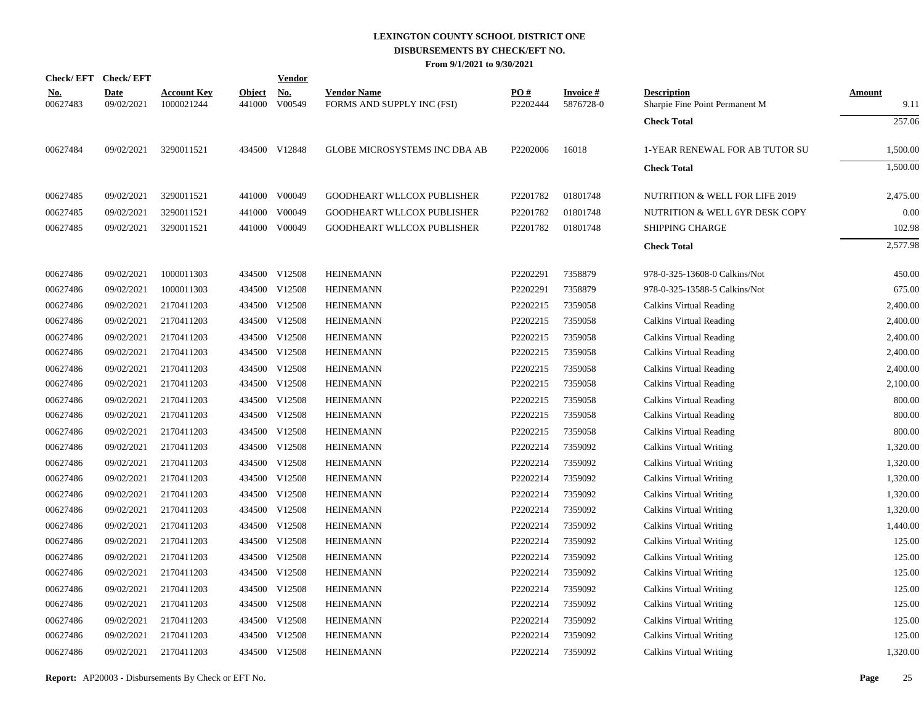|                        | Check/EFT Check/EFT       |                                  |                         | <b>Vendor</b>        |                                                  |                 |                              |                                                      |                       |
|------------------------|---------------------------|----------------------------------|-------------------------|----------------------|--------------------------------------------------|-----------------|------------------------------|------------------------------------------------------|-----------------------|
| <u>No.</u><br>00627483 | <b>Date</b><br>09/02/2021 | <b>Account Key</b><br>1000021244 | <u>Object</u><br>441000 | <u>No.</u><br>V00549 | <b>Vendor Name</b><br>FORMS AND SUPPLY INC (FSI) | PO#<br>P2202444 | <b>Invoice#</b><br>5876728-0 | <b>Description</b><br>Sharpie Fine Point Permanent M | <b>Amount</b><br>9.11 |
|                        |                           |                                  |                         |                      |                                                  |                 |                              | <b>Check Total</b>                                   | 257.06                |
| 00627484               | 09/02/2021                | 3290011521                       |                         | 434500 V12848        | <b>GLOBE MICROSYSTEMS INC DBA AB</b>             | P2202006        | 16018                        | 1-YEAR RENEWAL FOR AB TUTOR SU                       | 1,500.00              |
|                        |                           |                                  |                         |                      |                                                  |                 |                              | <b>Check Total</b>                                   | 1.500.00              |
| 00627485               | 09/02/2021                | 3290011521                       |                         | 441000 V00049        | GOODHEART WLLCOX PUBLISHER                       | P2201782        | 01801748                     | NUTRITION & WELL FOR LIFE 2019                       | 2,475.00              |
| 00627485               | 09/02/2021                | 3290011521                       | 441000                  | V00049               | GOODHEART WLLCOX PUBLISHER                       | P2201782        | 01801748                     | NUTRITION & WELL 6YR DESK COPY                       | 0.00                  |
| 00627485               | 09/02/2021                | 3290011521                       |                         | 441000 V00049        | GOODHEART WLLCOX PUBLISHER                       | P2201782        | 01801748                     | <b>SHIPPING CHARGE</b>                               | 102.98                |
|                        |                           |                                  |                         |                      |                                                  |                 |                              | <b>Check Total</b>                                   | 2,577.98              |
| 00627486               | 09/02/2021                | 1000011303                       |                         | 434500 V12508        | <b>HEINEMANN</b>                                 | P2202291        | 7358879                      | 978-0-325-13608-0 Calkins/Not                        | 450.00                |
| 00627486               | 09/02/2021                | 1000011303                       |                         | 434500 V12508        | <b>HEINEMANN</b>                                 | P2202291        | 7358879                      | 978-0-325-13588-5 Calkins/Not                        | 675.00                |
| 00627486               | 09/02/2021                | 2170411203                       |                         | 434500 V12508        | <b>HEINEMANN</b>                                 | P2202215        | 7359058                      | Calkins Virtual Reading                              | 2,400.00              |
| 00627486               | 09/02/2021                | 2170411203                       |                         | 434500 V12508        | <b>HEINEMANN</b>                                 | P2202215        | 7359058                      | Calkins Virtual Reading                              | 2,400.00              |
| 00627486               | 09/02/2021                | 2170411203                       |                         | 434500 V12508        | <b>HEINEMANN</b>                                 | P2202215        | 7359058                      | Calkins Virtual Reading                              | 2,400.00              |
| 00627486               | 09/02/2021                | 2170411203                       |                         | 434500 V12508        | <b>HEINEMANN</b>                                 | P2202215        | 7359058                      | Calkins Virtual Reading                              | 2,400.00              |
| 00627486               | 09/02/2021                | 2170411203                       |                         | 434500 V12508        | <b>HEINEMANN</b>                                 | P2202215        | 7359058                      | Calkins Virtual Reading                              | 2,400.00              |
| 00627486               | 09/02/2021                | 2170411203                       |                         | 434500 V12508        | <b>HEINEMANN</b>                                 | P2202215        | 7359058                      | Calkins Virtual Reading                              | 2,100.00              |
| 00627486               | 09/02/2021                | 2170411203                       |                         | 434500 V12508        | <b>HEINEMANN</b>                                 | P2202215        | 7359058                      | Calkins Virtual Reading                              | 800.00                |
| 00627486               | 09/02/2021                | 2170411203                       |                         | 434500 V12508        | <b>HEINEMANN</b>                                 | P2202215        | 7359058                      | Calkins Virtual Reading                              | 800.00                |
| 00627486               | 09/02/2021                | 2170411203                       |                         | 434500 V12508        | <b>HEINEMANN</b>                                 | P2202215        | 7359058                      | Calkins Virtual Reading                              | 800.00                |
| 00627486               | 09/02/2021                | 2170411203                       |                         | 434500 V12508        | <b>HEINEMANN</b>                                 | P2202214        | 7359092                      | Calkins Virtual Writing                              | 1.320.00              |
| 00627486               | 09/02/2021                | 2170411203                       |                         | 434500 V12508        | <b>HEINEMANN</b>                                 | P2202214        | 7359092                      | Calkins Virtual Writing                              | 1,320.00              |
| 00627486               | 09/02/2021                | 2170411203                       |                         | 434500 V12508        | <b>HEINEMANN</b>                                 | P2202214        | 7359092                      | Calkins Virtual Writing                              | 1.320.00              |
| 00627486               | 09/02/2021                | 2170411203                       |                         | 434500 V12508        | <b>HEINEMANN</b>                                 | P2202214        | 7359092                      | Calkins Virtual Writing                              | 1,320.00              |
| 00627486               | 09/02/2021                | 2170411203                       |                         | 434500 V12508        | <b>HEINEMANN</b>                                 | P2202214        | 7359092                      | Calkins Virtual Writing                              | 1.320.00              |
| 00627486               | 09/02/2021                | 2170411203                       |                         | 434500 V12508        | <b>HEINEMANN</b>                                 | P2202214        | 7359092                      | Calkins Virtual Writing                              | 1,440.00              |
| 00627486               | 09/02/2021                | 2170411203                       |                         | 434500 V12508        | <b>HEINEMANN</b>                                 | P2202214        | 7359092                      | Calkins Virtual Writing                              | 125.00                |
| 00627486               | 09/02/2021                | 2170411203                       |                         | 434500 V12508        | <b>HEINEMANN</b>                                 | P2202214        | 7359092                      | <b>Calkins Virtual Writing</b>                       | 125.00                |
| 00627486               | 09/02/2021                | 2170411203                       |                         | 434500 V12508        | <b>HEINEMANN</b>                                 | P2202214        | 7359092                      | Calkins Virtual Writing                              | 125.00                |
| 00627486               | 09/02/2021                | 2170411203                       |                         | 434500 V12508        | <b>HEINEMANN</b>                                 | P2202214        | 7359092                      | <b>Calkins Virtual Writing</b>                       | 125.00                |
| 00627486               | 09/02/2021                | 2170411203                       |                         | 434500 V12508        | <b>HEINEMANN</b>                                 | P2202214        | 7359092                      | Calkins Virtual Writing                              | 125.00                |
| 00627486               | 09/02/2021                | 2170411203                       |                         | 434500 V12508        | <b>HEINEMANN</b>                                 | P2202214        | 7359092                      | <b>Calkins Virtual Writing</b>                       | 125.00                |
| 00627486               | 09/02/2021                | 2170411203                       |                         | 434500 V12508        | <b>HEINEMANN</b>                                 | P2202214        | 7359092                      | Calkins Virtual Writing                              | 125.00                |
| 00627486               | 09/02/2021                | 2170411203                       |                         | 434500 V12508        | <b>HEINEMANN</b>                                 | P2202214        | 7359092                      | Calkins Virtual Writing                              | 1,320.00              |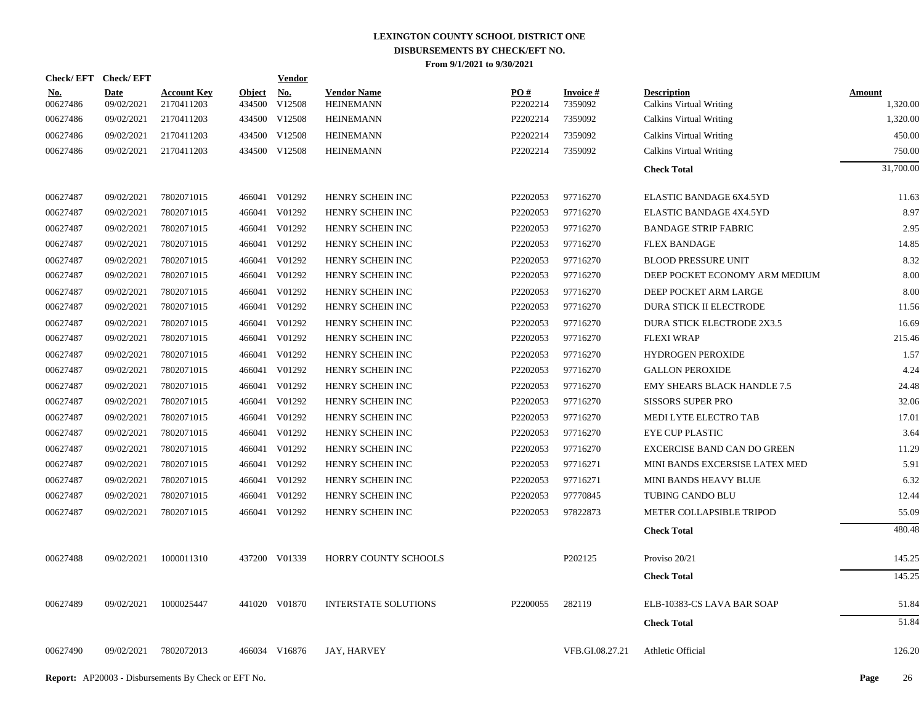| <b>Check/EFT</b>       | <b>Check/EFT</b>          |                                  |                         | <b>Vendor</b>        |                                        |                               |                               |                                               |                           |
|------------------------|---------------------------|----------------------------------|-------------------------|----------------------|----------------------------------------|-------------------------------|-------------------------------|-----------------------------------------------|---------------------------|
| <u>No.</u><br>00627486 | <b>Date</b><br>09/02/2021 | <b>Account Key</b><br>2170411203 | <b>Object</b><br>434500 | <u>No.</u><br>V12508 | <b>Vendor Name</b><br><b>HEINEMANN</b> | $\underline{PO#}$<br>P2202214 | <b>Invoice</b> $#$<br>7359092 | <b>Description</b><br>Calkins Virtual Writing | <b>Amount</b><br>1,320.00 |
| 00627486               | 09/02/2021                | 2170411203                       |                         | 434500 V12508        | <b>HEINEMANN</b>                       | P2202214                      | 7359092                       | <b>Calkins Virtual Writing</b>                | 1,320.00                  |
| 00627486               | 09/02/2021                | 2170411203                       | 434500                  | V12508               | <b>HEINEMANN</b>                       | P2202214                      | 7359092                       | Calkins Virtual Writing                       | 450.00                    |
| 00627486               | 09/02/2021                | 2170411203                       |                         | 434500 V12508        | <b>HEINEMANN</b>                       | P2202214                      | 7359092                       | <b>Calkins Virtual Writing</b>                | 750.00                    |
|                        |                           |                                  |                         |                      |                                        |                               |                               | <b>Check Total</b>                            | 31,700.00                 |
| 00627487               | 09/02/2021                | 7802071015                       |                         | 466041 V01292        | HENRY SCHEIN INC                       | P2202053                      | 97716270                      | ELASTIC BANDAGE 6X4.5YD                       | 11.63                     |
| 00627487               | 09/02/2021                | 7802071015                       |                         | 466041 V01292        | HENRY SCHEIN INC                       | P2202053                      | 97716270                      | ELASTIC BANDAGE 4X4.5YD                       | 8.97                      |
| 00627487               | 09/02/2021                | 7802071015                       |                         | 466041 V01292        | HENRY SCHEIN INC                       | P2202053                      | 97716270                      | <b>BANDAGE STRIP FABRIC</b>                   | 2.95                      |
| 00627487               | 09/02/2021                | 7802071015                       |                         | 466041 V01292        | HENRY SCHEIN INC                       | P2202053                      | 97716270                      | <b>FLEX BANDAGE</b>                           | 14.85                     |
| 00627487               | 09/02/2021                | 7802071015                       |                         | 466041 V01292        | HENRY SCHEIN INC                       | P2202053                      | 97716270                      | <b>BLOOD PRESSURE UNIT</b>                    | 8.32                      |
| 00627487               | 09/02/2021                | 7802071015                       |                         | 466041 V01292        | HENRY SCHEIN INC                       | P2202053                      | 97716270                      | DEEP POCKET ECONOMY ARM MEDIUM                | 8.00                      |
| 00627487               | 09/02/2021                | 7802071015                       |                         | 466041 V01292        | HENRY SCHEIN INC                       | P2202053                      | 97716270                      | DEEP POCKET ARM LARGE                         | 8.00                      |
| 00627487               | 09/02/2021                | 7802071015                       |                         | 466041 V01292        | HENRY SCHEIN INC                       | P2202053                      | 97716270                      | <b>DURA STICK II ELECTRODE</b>                | 11.56                     |
| 00627487               | 09/02/2021                | 7802071015                       |                         | 466041 V01292        | HENRY SCHEIN INC                       | P2202053                      | 97716270                      | <b>DURA STICK ELECTRODE 2X3.5</b>             | 16.69                     |
| 00627487               | 09/02/2021                | 7802071015                       |                         | 466041 V01292        | HENRY SCHEIN INC                       | P2202053                      | 97716270                      | <b>FLEXI WRAP</b>                             | 215.46                    |
| 00627487               | 09/02/2021                | 7802071015                       |                         | 466041 V01292        | HENRY SCHEIN INC                       | P2202053                      | 97716270                      | <b>HYDROGEN PEROXIDE</b>                      | 1.57                      |
| 00627487               | 09/02/2021                | 7802071015                       |                         | 466041 V01292        | HENRY SCHEIN INC                       | P2202053                      | 97716270                      | <b>GALLON PEROXIDE</b>                        | 4.24                      |
| 00627487               | 09/02/2021                | 7802071015                       |                         | 466041 V01292        | HENRY SCHEIN INC                       | P2202053                      | 97716270                      | <b>EMY SHEARS BLACK HANDLE 7.5</b>            | 24.48                     |
| 00627487               | 09/02/2021                | 7802071015                       |                         | 466041 V01292        | HENRY SCHEIN INC                       | P2202053                      | 97716270                      | <b>SISSORS SUPER PRO</b>                      | 32.06                     |
| 00627487               | 09/02/2021                | 7802071015                       |                         | 466041 V01292        | HENRY SCHEIN INC                       | P2202053                      | 97716270                      | MEDI LYTE ELECTRO TAB                         | 17.01                     |
| 00627487               | 09/02/2021                | 7802071015                       |                         | 466041 V01292        | HENRY SCHEIN INC                       | P2202053                      | 97716270                      | EYE CUP PLASTIC                               | 3.64                      |
| 00627487               | 09/02/2021                | 7802071015                       |                         | 466041 V01292        | HENRY SCHEIN INC                       | P2202053                      | 97716270                      | <b>EXCERCISE BAND CAN DO GREEN</b>            | 11.29                     |
| 00627487               | 09/02/2021                | 7802071015                       |                         | 466041 V01292        | HENRY SCHEIN INC                       | P2202053                      | 97716271                      | MINI BANDS EXCERSISE LATEX MED                | 5.91                      |
| 00627487               | 09/02/2021                | 7802071015                       |                         | 466041 V01292        | HENRY SCHEIN INC                       | P2202053                      | 97716271                      | MINI BANDS HEAVY BLUE                         | 6.32                      |
| 00627487               | 09/02/2021                | 7802071015                       |                         | 466041 V01292        | HENRY SCHEIN INC                       | P2202053                      | 97770845                      | TUBING CANDO BLU                              | 12.44                     |
| 00627487               | 09/02/2021                | 7802071015                       |                         | 466041 V01292        | HENRY SCHEIN INC                       | P2202053                      | 97822873                      | METER COLLAPSIBLE TRIPOD                      | 55.09                     |
|                        |                           |                                  |                         |                      |                                        |                               |                               | <b>Check Total</b>                            | 480.48                    |
| 00627488               | 09/02/2021                | 1000011310                       |                         | 437200 V01339        | HORRY COUNTY SCHOOLS                   |                               | P202125                       | Proviso 20/21                                 | 145.25                    |
|                        |                           |                                  |                         |                      |                                        |                               |                               | <b>Check Total</b>                            | 145.25                    |
| 00627489               | 09/02/2021                | 1000025447                       |                         | 441020 V01870        | <b>INTERSTATE SOLUTIONS</b>            | P2200055                      | 282119                        | ELB-10383-CS LAVA BAR SOAP                    | 51.84                     |
|                        |                           |                                  |                         |                      |                                        |                               |                               | <b>Check Total</b>                            | 51.84                     |
| 00627490               | 09/02/2021                | 7802072013                       |                         | 466034 V16876        | <b>JAY, HARVEY</b>                     |                               | VFB.GI.08.27.21               | Athletic Official                             | 126.20                    |
|                        |                           |                                  |                         |                      |                                        |                               |                               |                                               |                           |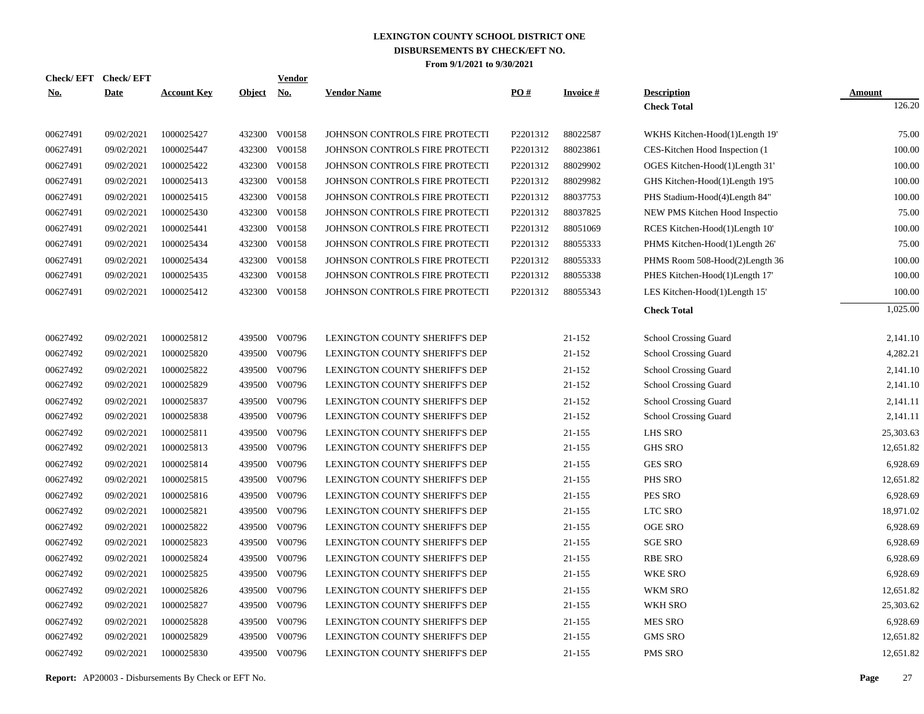| <b>Check/EFT</b> | <b>Check/EFT</b> |                    |            | Vendor        |                                       |          |                 |                                 |               |
|------------------|------------------|--------------------|------------|---------------|---------------------------------------|----------|-----------------|---------------------------------|---------------|
| <u>No.</u>       | <b>Date</b>      | <b>Account Key</b> | Object No. |               | <b>Vendor Name</b>                    | PO#      | <b>Invoice#</b> | <b>Description</b>              | <b>Amount</b> |
|                  |                  |                    |            |               |                                       |          |                 | <b>Check Total</b>              | 126.20        |
| 00627491         | 09/02/2021       | 1000025427         |            | 432300 V00158 | JOHNSON CONTROLS FIRE PROTECTI        | P2201312 | 88022587        | WKHS Kitchen-Hood(1)Length 19'  | 75.00         |
| 00627491         | 09/02/2021       | 1000025447         | 432300     | V00158        | JOHNSON CONTROLS FIRE PROTECTI        | P2201312 | 88023861        | CES-Kitchen Hood Inspection (1) | 100.00        |
| 00627491         | 09/02/2021       | 1000025422         | 432300     | V00158        | JOHNSON CONTROLS FIRE PROTECTI        | P2201312 | 88029902        | OGES Kitchen-Hood(1)Length 31'  | 100.00        |
| 00627491         | 09/02/2021       | 1000025413         | 432300     | V00158        | JOHNSON CONTROLS FIRE PROTECTI        | P2201312 | 88029982        | GHS Kitchen-Hood(1)Length 19'5  | 100.00        |
| 00627491         | 09/02/2021       | 1000025415         | 432300     | V00158        | JOHNSON CONTROLS FIRE PROTECTI        | P2201312 | 88037753        | PHS Stadium-Hood(4)Length 84"   | 100.00        |
| 00627491         | 09/02/2021       | 1000025430         | 432300     | V00158        | JOHNSON CONTROLS FIRE PROTECTI        | P2201312 | 88037825        | NEW PMS Kitchen Hood Inspectio  | 75.00         |
| 00627491         | 09/02/2021       | 1000025441         | 432300     | V00158        | JOHNSON CONTROLS FIRE PROTECTI        | P2201312 | 88051069        | RCES Kitchen-Hood(1)Length 10'  | 100.00        |
| 00627491         | 09/02/2021       | 1000025434         | 432300     | V00158        | JOHNSON CONTROLS FIRE PROTECTI        | P2201312 | 88055333        | PHMS Kitchen-Hood(1)Length 26'  | 75.00         |
| 00627491         | 09/02/2021       | 1000025434         | 432300     | V00158        | JOHNSON CONTROLS FIRE PROTECTI        | P2201312 | 88055333        | PHMS Room 508-Hood(2)Length 36  | 100.00        |
| 00627491         | 09/02/2021       | 1000025435         | 432300     | V00158        | JOHNSON CONTROLS FIRE PROTECTI        | P2201312 | 88055338        | PHES Kitchen-Hood(1)Length 17'  | 100.00        |
| 00627491         | 09/02/2021       | 1000025412         |            | 432300 V00158 | JOHNSON CONTROLS FIRE PROTECTI        | P2201312 | 88055343        | LES Kitchen-Hood(1)Length 15'   | 100.00        |
|                  |                  |                    |            |               |                                       |          |                 | <b>Check Total</b>              | 1,025.00      |
| 00627492         | 09/02/2021       | 1000025812         | 439500     | V00796        | LEXINGTON COUNTY SHERIFF'S DEP        |          | 21-152          | School Crossing Guard           | 2,141.10      |
| 00627492         | 09/02/2021       | 1000025820         | 439500     | V00796        | LEXINGTON COUNTY SHERIFF'S DEP        |          | 21-152          | School Crossing Guard           | 4,282.21      |
| 00627492         | 09/02/2021       | 1000025822         | 439500     | V00796        | LEXINGTON COUNTY SHERIFF'S DEP        |          | 21-152          | School Crossing Guard           | 2,141.10      |
| 00627492         | 09/02/2021       | 1000025829         | 439500     | V00796        | LEXINGTON COUNTY SHERIFF'S DEP        |          | 21-152          | School Crossing Guard           | 2,141.10      |
| 00627492         | 09/02/2021       | 1000025837         | 439500     | V00796        | LEXINGTON COUNTY SHERIFF'S DEP        |          | 21-152          | School Crossing Guard           | 2,141.11      |
| 00627492         | 09/02/2021       | 1000025838         | 439500     | V00796        | LEXINGTON COUNTY SHERIFF'S DEP        |          | 21-152          | School Crossing Guard           | 2,141.11      |
| 00627492         | 09/02/2021       | 1000025811         | 439500     | V00796        | LEXINGTON COUNTY SHERIFF'S DEP        |          | 21-155          | LHS SRO                         | 25,303.63     |
| 00627492         | 09/02/2021       | 1000025813         | 439500     | V00796        | <b>LEXINGTON COUNTY SHERIFF'S DEP</b> |          | 21-155          | <b>GHS SRO</b>                  | 12,651.82     |
| 00627492         | 09/02/2021       | 1000025814         | 439500     | V00796        | LEXINGTON COUNTY SHERIFF'S DEP        |          | $21 - 155$      | <b>GES SRO</b>                  | 6,928.69      |
| 00627492         | 09/02/2021       | 1000025815         | 439500     | V00796        | LEXINGTON COUNTY SHERIFF'S DEP        |          | 21-155          | PHS SRO                         | 12,651.82     |
| 00627492         | 09/02/2021       | 1000025816         | 439500     | V00796        | LEXINGTON COUNTY SHERIFF'S DEP        |          | 21-155          | PES SRO                         | 6,928.69      |
| 00627492         | 09/02/2021       | 1000025821         | 439500     | V00796        | <b>LEXINGTON COUNTY SHERIFF'S DEP</b> |          | $21 - 155$      | LTC SRO                         | 18,971.02     |
| 00627492         | 09/02/2021       | 1000025822         | 439500     | V00796        | <b>LEXINGTON COUNTY SHERIFF'S DEP</b> |          | 21-155          | <b>OGE SRO</b>                  | 6,928.69      |
| 00627492         | 09/02/2021       | 1000025823         | 439500     | V00796        | LEXINGTON COUNTY SHERIFF'S DEP        |          | 21-155          | <b>SGE SRO</b>                  | 6,928.69      |
| 00627492         | 09/02/2021       | 1000025824         | 439500     | V00796        | LEXINGTON COUNTY SHERIFF'S DEP        |          | 21-155          | <b>RBE SRO</b>                  | 6,928.69      |
| 00627492         | 09/02/2021       | 1000025825         | 439500     | V00796        | LEXINGTON COUNTY SHERIFF'S DEP        |          | 21-155          | <b>WKE SRO</b>                  | 6,928.69      |
| 00627492         | 09/02/2021       | 1000025826         | 439500     | V00796        | LEXINGTON COUNTY SHERIFF'S DEP        |          | 21-155          | WKM SRO                         | 12,651.82     |
| 00627492         | 09/02/2021       | 1000025827         | 439500     | V00796        | LEXINGTON COUNTY SHERIFF'S DEP        |          | $21 - 155$      | WKH SRO                         | 25,303.62     |
| 00627492         | 09/02/2021       | 1000025828         | 439500     | V00796        | <b>LEXINGTON COUNTY SHERIFF'S DEP</b> |          | 21-155          | <b>MES SRO</b>                  | 6,928.69      |
| 00627492         | 09/02/2021       | 1000025829         | 439500     | V00796        | LEXINGTON COUNTY SHERIFF'S DEP        |          | $21 - 155$      | <b>GMS SRO</b>                  | 12,651.82     |
| 00627492         | 09/02/2021       | 1000025830         | 439500     | V00796        | LEXINGTON COUNTY SHERIFF'S DEP        |          | 21-155          | <b>PMS SRO</b>                  | 12,651.82     |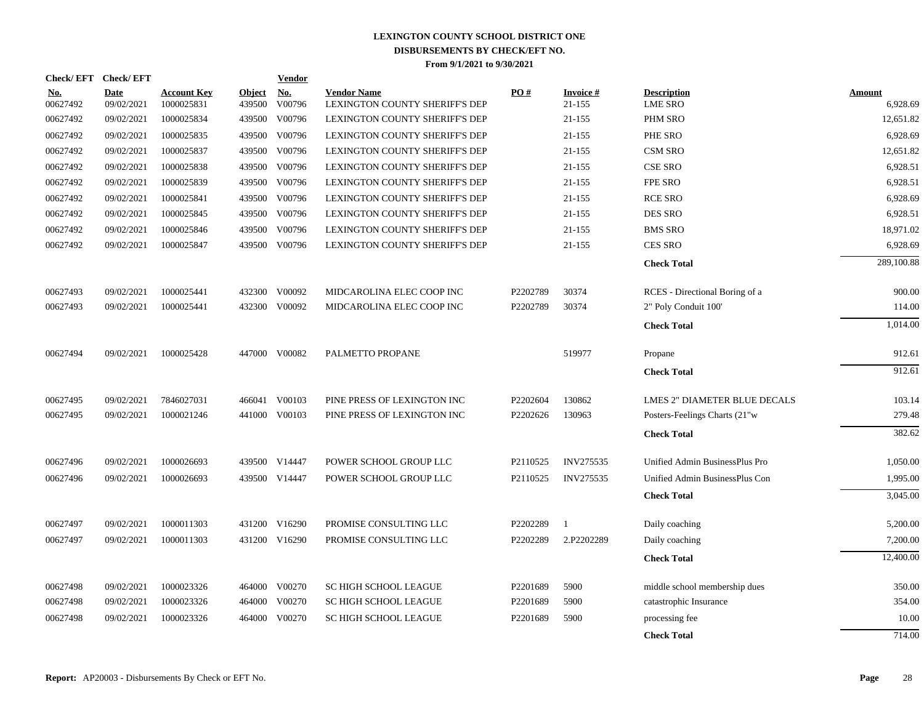| <b>Check/EFT</b>       | <b>Check/EFT</b>   |                                  |                         | <b>Vendor</b>                       |                                                      |          |                     |                                      |                    |
|------------------------|--------------------|----------------------------------|-------------------------|-------------------------------------|------------------------------------------------------|----------|---------------------|--------------------------------------|--------------------|
| <u>No.</u><br>00627492 | Date<br>09/02/2021 | <b>Account Key</b><br>1000025831 | <b>Object</b><br>439500 | $\underline{\textbf{No}}$<br>V00796 | <b>Vendor Name</b><br>LEXINGTON COUNTY SHERIFF'S DEP | PO#      | Invoice #<br>21-155 | <b>Description</b><br><b>LME SRO</b> | Amount<br>6,928.69 |
| 00627492               | 09/02/2021         | 1000025834                       | 439500                  | V00796                              | <b>LEXINGTON COUNTY SHERIFF'S DEP</b>                |          | 21-155              | PHM SRO                              | 12,651.82          |
| 00627492               | 09/02/2021         | 1000025835                       | 439500                  | V00796                              | LEXINGTON COUNTY SHERIFF'S DEP                       |          | 21-155              | PHE SRO                              | 6,928.69           |
| 00627492               | 09/02/2021         | 1000025837                       | 439500                  | V00796                              | LEXINGTON COUNTY SHERIFF'S DEP                       |          | 21-155              | <b>CSM SRO</b>                       | 12,651.82          |
| 00627492               | 09/02/2021         | 1000025838                       | 439500                  | V00796                              | LEXINGTON COUNTY SHERIFF'S DEP                       |          | 21-155              | <b>CSE SRO</b>                       | 6,928.51           |
| 00627492               | 09/02/2021         | 1000025839                       | 439500                  | V00796                              | LEXINGTON COUNTY SHERIFF'S DEP                       |          | 21-155              | FPE SRO                              | 6,928.51           |
| 00627492               | 09/02/2021         | 1000025841                       |                         | 439500 V00796                       | <b>LEXINGTON COUNTY SHERIFF'S DEP</b>                |          | 21-155              | <b>RCE SRO</b>                       | 6,928.69           |
| 00627492               | 09/02/2021         | 1000025845                       |                         | 439500 V00796                       | LEXINGTON COUNTY SHERIFF'S DEP                       |          | 21-155              | DES SRO                              | 6,928.51           |
| 00627492               | 09/02/2021         | 1000025846                       | 439500                  | V00796                              | LEXINGTON COUNTY SHERIFF'S DEP                       |          | 21-155              | <b>BMS SRO</b>                       | 18,971.02          |
| 00627492               | 09/02/2021         | 1000025847                       | 439500                  | V00796                              | LEXINGTON COUNTY SHERIFF'S DEP                       |          | 21-155              | <b>CES SRO</b>                       | 6,928.69           |
|                        |                    |                                  |                         |                                     |                                                      |          |                     | <b>Check Total</b>                   | 289,100.88         |
| 00627493               | 09/02/2021         | 1000025441                       | 432300                  | V00092                              | MIDCAROLINA ELEC COOP INC                            | P2202789 | 30374               | RCES - Directional Boring of a       | 900.00             |
| 00627493               | 09/02/2021         | 1000025441                       | 432300                  | V00092                              | MIDCAROLINA ELEC COOP INC                            | P2202789 | 30374               | 2" Poly Conduit 100"                 | 114.00             |
|                        |                    |                                  |                         |                                     |                                                      |          |                     | <b>Check Total</b>                   | 1,014.00           |
| 00627494               | 09/02/2021         | 1000025428                       |                         | 447000 V00082                       | PALMETTO PROPANE                                     |          | 519977              | Propane                              | 912.61             |
|                        |                    |                                  |                         |                                     |                                                      |          |                     | <b>Check Total</b>                   | 912.61             |
| 00627495               | 09/02/2021         | 7846027031                       | 466041                  | V00103                              | PINE PRESS OF LEXINGTON INC                          | P2202604 | 130862              | <b>LMES 2" DIAMETER BLUE DECALS</b>  | 103.14             |
| 00627495               | 09/02/2021         | 1000021246                       |                         | 441000 V00103                       | PINE PRESS OF LEXINGTON INC                          | P2202626 | 130963              | Posters-Feelings Charts (21"w        | 279.48             |
|                        |                    |                                  |                         |                                     |                                                      |          |                     | <b>Check Total</b>                   | 382.62             |
| 00627496               | 09/02/2021         | 1000026693                       |                         | 439500 V14447                       | POWER SCHOOL GROUP LLC                               | P2110525 | <b>INV275535</b>    | Unified Admin BusinessPlus Pro       | 1,050.00           |
| 00627496               | 09/02/2021         | 1000026693                       |                         | 439500 V14447                       | POWER SCHOOL GROUP LLC                               | P2110525 | <b>INV275535</b>    | Unified Admin BusinessPlus Con       | 1,995.00           |
|                        |                    |                                  |                         |                                     |                                                      |          |                     | <b>Check Total</b>                   | 3,045.00           |
| 00627497               | 09/02/2021         | 1000011303                       |                         | 431200 V16290                       | PROMISE CONSULTING LLC                               | P2202289 | $\overline{1}$      | Daily coaching                       | 5,200.00           |
| 00627497               | 09/02/2021         | 1000011303                       |                         | 431200 V16290                       | PROMISE CONSULTING LLC                               | P2202289 | 2.P2202289          | Daily coaching                       | 7,200.00           |
|                        |                    |                                  |                         |                                     |                                                      |          |                     | <b>Check Total</b>                   | 12,400.00          |
| 00627498               | 09/02/2021         | 1000023326                       |                         | 464000 V00270                       | <b>SC HIGH SCHOOL LEAGUE</b>                         | P2201689 | 5900                | middle school membership dues        | 350.00             |
| 00627498               | 09/02/2021         | 1000023326                       | 464000                  | V00270                              | <b>SC HIGH SCHOOL LEAGUE</b>                         | P2201689 | 5900                | catastrophic Insurance               | 354.00             |
| 00627498               | 09/02/2021         | 1000023326                       | 464000                  | V00270                              | <b>SC HIGH SCHOOL LEAGUE</b>                         | P2201689 | 5900                | processing fee                       | 10.00              |
|                        |                    |                                  |                         |                                     |                                                      |          |                     | <b>Check Total</b>                   | 714.00             |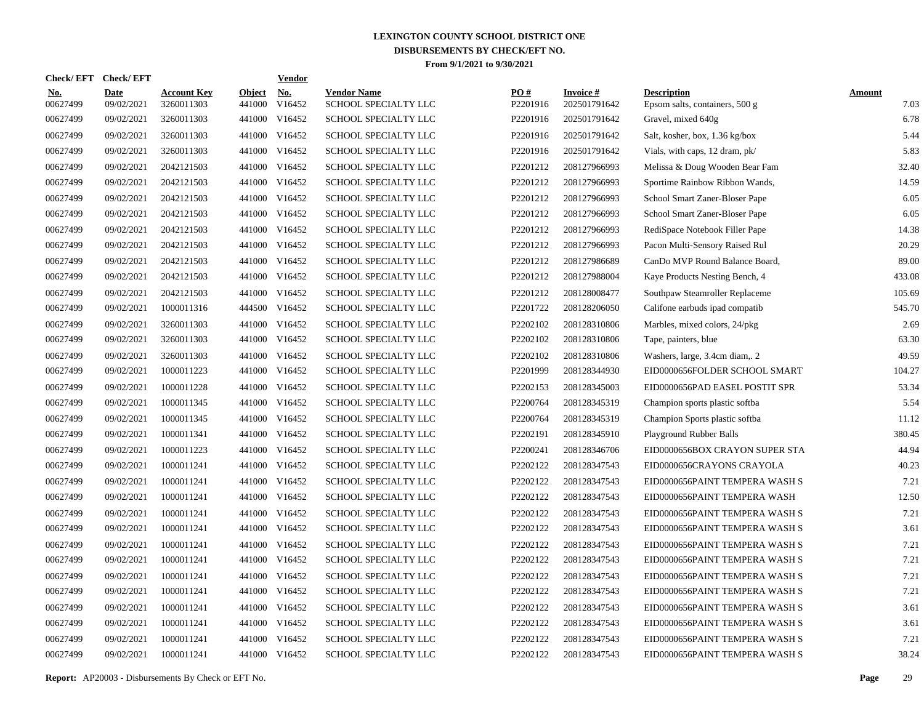|                        | Check/EFT Check/EFT       |                                  |                         | <b>Vendor</b>        |                                            |                 |                                 |                                                      |                       |
|------------------------|---------------------------|----------------------------------|-------------------------|----------------------|--------------------------------------------|-----------------|---------------------------------|------------------------------------------------------|-----------------------|
| <u>No.</u><br>00627499 | <b>Date</b><br>09/02/2021 | <b>Account Key</b><br>3260011303 | <b>Object</b><br>441000 | <u>No.</u><br>V16452 | <b>Vendor Name</b><br>SCHOOL SPECIALTY LLC | PQ#<br>P2201916 | <b>Invoice#</b><br>202501791642 | <b>Description</b><br>Epsom salts, containers, 500 g | <b>Amount</b><br>7.03 |
| 00627499               | 09/02/2021                | 3260011303                       | 441000                  | V16452               | SCHOOL SPECIALTY LLC                       | P2201916        | 202501791642                    | Gravel, mixed 640g                                   | 6.78                  |
| 00627499               | 09/02/2021                | 3260011303                       | 441000                  | V16452               | SCHOOL SPECIALTY LLC                       | P2201916        | 202501791642                    | Salt, kosher, box, 1.36 kg/box                       | 5.44                  |
| 00627499               | 09/02/2021                | 3260011303                       | 441000                  | V16452               | <b>SCHOOL SPECIALTY LLC</b>                | P2201916        | 202501791642                    | Vials, with caps, 12 dram, pk/                       | 5.83                  |
| 00627499               | 09/02/2021                | 2042121503                       | 441000                  | V16452               | SCHOOL SPECIALTY LLC                       | P2201212        | 208127966993                    | Melissa & Doug Wooden Bear Fam                       | 32.40                 |
| 00627499               | 09/02/2021                | 2042121503                       |                         | 441000 V16452        | SCHOOL SPECIALTY LLC                       | P2201212        | 208127966993                    | Sportime Rainbow Ribbon Wands,                       | 14.59                 |
| 00627499               | 09/02/2021                | 2042121503                       |                         | 441000 V16452        | SCHOOL SPECIALTY LLC                       | P2201212        | 208127966993                    | School Smart Zaner-Bloser Pape                       | 6.05                  |
| 00627499               | 09/02/2021                | 2042121503                       |                         | 441000 V16452        | SCHOOL SPECIALTY LLC                       | P2201212        | 208127966993                    | School Smart Zaner-Bloser Pape                       | 6.05                  |
| 00627499               | 09/02/2021                | 2042121503                       |                         | 441000 V16452        | SCHOOL SPECIALTY LLC                       | P2201212        | 208127966993                    | RediSpace Notebook Filler Pape                       | 14.38                 |
| 00627499               | 09/02/2021                | 2042121503                       |                         | 441000 V16452        | SCHOOL SPECIALTY LLC                       | P2201212        | 208127966993                    | Pacon Multi-Sensory Raised Rul                       | 20.29                 |
| 00627499               | 09/02/2021                | 2042121503                       |                         | 441000 V16452        | SCHOOL SPECIALTY LLC                       | P2201212        | 208127986689                    | CanDo MVP Round Balance Board,                       | 89.00                 |
| 00627499               | 09/02/2021                | 2042121503                       |                         | 441000 V16452        | <b>SCHOOL SPECIALTY LLC</b>                | P2201212        | 208127988004                    | Kaye Products Nesting Bench, 4                       | 433.08                |
| 00627499               | 09/02/2021                | 2042121503                       |                         | 441000 V16452        | <b>SCHOOL SPECIALTY LLC</b>                | P2201212        | 208128008477                    | Southpaw Steamroller Replaceme                       | 105.69                |
| 00627499               | 09/02/2021                | 1000011316                       |                         | 444500 V16452        | SCHOOL SPECIALTY LLC                       | P2201722        | 208128206050                    | Califone earbuds ipad compatib                       | 545.70                |
| 00627499               | 09/02/2021                | 3260011303                       | 441000                  | V16452               | SCHOOL SPECIALTY LLC                       | P2202102        | 208128310806                    | Marbles, mixed colors, 24/pkg                        | 2.69                  |
| 00627499               | 09/02/2021                | 3260011303                       |                         | 441000 V16452        | SCHOOL SPECIALTY LLC                       | P2202102        | 208128310806                    | Tape, painters, blue                                 | 63.30                 |
| 00627499               | 09/02/2021                | 3260011303                       | 441000                  | V16452               | SCHOOL SPECIALTY LLC                       | P2202102        | 208128310806                    | Washers, large, 3.4cm diam,. 2                       | 49.59                 |
| 00627499               | 09/02/2021                | 1000011223                       |                         | 441000 V16452        | SCHOOL SPECIALTY LLC                       | P2201999        | 208128344930                    | EID0000656FOLDER SCHOOL SMART                        | 104.27                |
| 00627499               | 09/02/2021                | 1000011228                       | 441000                  | V16452               | SCHOOL SPECIALTY LLC                       | P2202153        | 208128345003                    | EID0000656PAD EASEL POSTIT SPR                       | 53.34                 |
| 00627499               | 09/02/2021                | 1000011345                       |                         | 441000 V16452        | <b>SCHOOL SPECIALTY LLC</b>                | P2200764        | 208128345319                    | Champion sports plastic softba                       | 5.54                  |
| 00627499               | 09/02/2021                | 1000011345                       | 441000                  | V16452               | <b>SCHOOL SPECIALTY LLC</b>                | P2200764        | 208128345319                    | Champion Sports plastic softba                       | 11.12                 |
| 00627499               | 09/02/2021                | 1000011341                       |                         | 441000 V16452        | SCHOOL SPECIALTY LLC                       | P2202191        | 208128345910                    | Playground Rubber Balls                              | 380.45                |
| 00627499               | 09/02/2021                | 1000011223                       | 441000                  | V16452               | SCHOOL SPECIALTY LLC                       | P2200241        | 208128346706                    | EID0000656BOX CRAYON SUPER STA                       | 44.94                 |
| 00627499               | 09/02/2021                | 1000011241                       | 441000                  | V16452               | SCHOOL SPECIALTY LLC                       | P2202122        | 208128347543                    | EID0000656CRAYONS CRAYOLA                            | 40.23                 |
| 00627499               | 09/02/2021                | 1000011241                       | 441000                  | V16452               | SCHOOL SPECIALTY LLC                       | P2202122        | 208128347543                    | EID0000656PAINT TEMPERA WASH S                       | 7.21                  |
| 00627499               | 09/02/2021                | 1000011241                       | 441000                  | V16452               | SCHOOL SPECIALTY LLC                       | P2202122        | 208128347543                    | EID0000656PAINT TEMPERA WASH                         | 12.50                 |
| 00627499               | 09/02/2021                | 1000011241                       | 441000                  | V16452               | SCHOOL SPECIALTY LLC                       | P2202122        | 208128347543                    | EID0000656PAINT TEMPERA WASH S                       | 7.21                  |
| 00627499               | 09/02/2021                | 1000011241                       | 441000                  | V16452               | <b>SCHOOL SPECIALTY LLC</b>                | P2202122        | 208128347543                    | EID0000656PAINT TEMPERA WASH S                       | 3.61                  |
| 00627499               | 09/02/2021                | 1000011241                       | 441000                  | V16452               | <b>SCHOOL SPECIALTY LLC</b>                | P2202122        | 208128347543                    | EID0000656PAINT TEMPERA WASH S                       | 7.21                  |
| 00627499               | 09/02/2021                | 1000011241                       | 441000                  | V16452               | SCHOOL SPECIALTY LLC                       | P2202122        | 208128347543                    | EID0000656PAINT TEMPERA WASH S                       | 7.21                  |
| 00627499               | 09/02/2021                | 1000011241                       | 441000                  | V16452               | SCHOOL SPECIALTY LLC                       | P2202122        | 208128347543                    | EID0000656PAINT TEMPERA WASH S                       | 7.21                  |
| 00627499               | 09/02/2021                | 1000011241                       | 441000                  | V16452               | SCHOOL SPECIALTY LLC                       | P2202122        | 208128347543                    | EID0000656PAINT TEMPERA WASH S                       | 7.21                  |
| 00627499               | 09/02/2021                | 1000011241                       | 441000                  | V16452               | SCHOOL SPECIALTY LLC                       | P2202122        | 208128347543                    | EID0000656PAINT TEMPERA WASH S                       | 3.61                  |
| 00627499               | 09/02/2021                | 1000011241                       | 441000                  | V16452               | SCHOOL SPECIALTY LLC                       | P2202122        | 208128347543                    | EID0000656PAINT TEMPERA WASH S                       | 3.61                  |
| 00627499               | 09/02/2021                | 1000011241                       | 441000                  | V16452               | SCHOOL SPECIALTY LLC                       | P2202122        | 208128347543                    | EID0000656PAINT TEMPERA WASH S                       | 7.21                  |
| 00627499               | 09/02/2021                | 1000011241                       |                         | 441000 V16452        | SCHOOL SPECIALTY LLC                       | P2202122        | 208128347543                    | EID0000656PAINT TEMPERA WASH S                       | 38.24                 |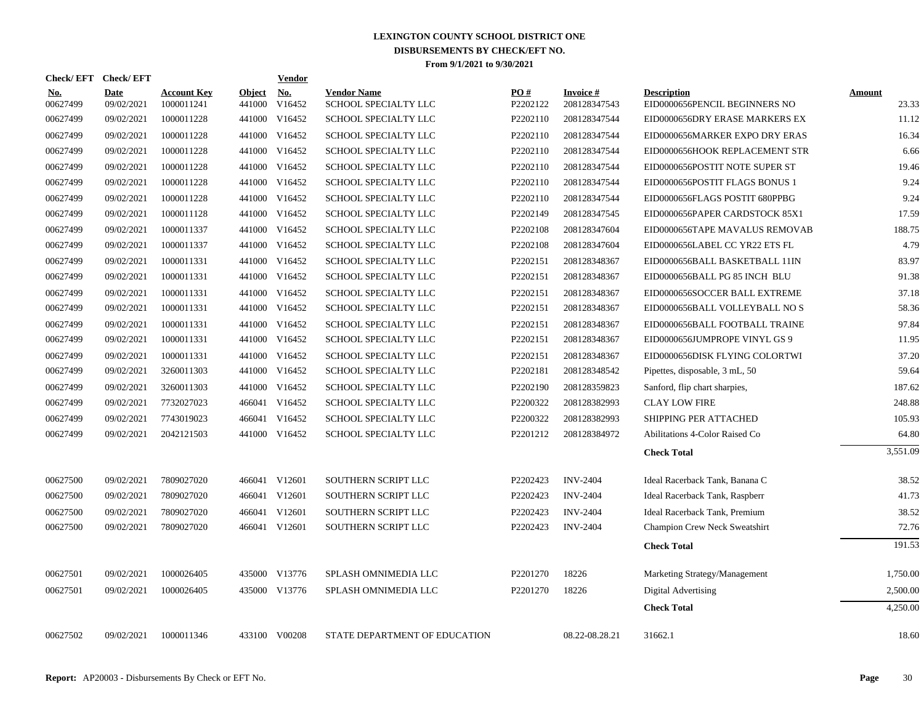| Check/EFT Check/EFT    |                           |                                  |                      | Vendor        |                                            |                 |                                 |                                                     |                        |
|------------------------|---------------------------|----------------------------------|----------------------|---------------|--------------------------------------------|-----------------|---------------------------------|-----------------------------------------------------|------------------------|
| <u>No.</u><br>00627499 | <b>Date</b><br>09/02/2021 | <b>Account Key</b><br>1000011241 | Object No.<br>441000 | V16452        | <b>Vendor Name</b><br>SCHOOL SPECIALTY LLC | PO#<br>P2202122 | <b>Invoice#</b><br>208128347543 | <b>Description</b><br>EID0000656PENCIL BEGINNERS NO | <b>Amount</b><br>23.33 |
| 00627499               | 09/02/2021                | 1000011228                       | 441000               | V16452        | SCHOOL SPECIALTY LLC                       | P2202110        | 208128347544                    | EID0000656DRY ERASE MARKERS EX                      | 11.12                  |
| 00627499               | 09/02/2021                | 1000011228                       | 441000               | V16452        | SCHOOL SPECIALTY LLC                       | P2202110        | 208128347544                    | EID0000656MARKER EXPO DRY ERAS                      | 16.34                  |
| 00627499               | 09/02/2021                | 1000011228                       |                      | 441000 V16452 | SCHOOL SPECIALTY LLC                       | P2202110        | 208128347544                    | EID0000656HOOK REPLACEMENT STR                      | 6.66                   |
| 00627499               | 09/02/2021                | 1000011228                       | 441000               | V16452        | SCHOOL SPECIALTY LLC                       | P2202110        | 208128347544                    | EID0000656POSTIT NOTE SUPER ST                      | 19.46                  |
| 00627499               | 09/02/2021                | 1000011228                       |                      | 441000 V16452 | <b>SCHOOL SPECIALTY LLC</b>                | P2202110        | 208128347544                    | EID0000656POSTIT FLAGS BONUS 1                      | 9.24                   |
| 00627499               | 09/02/2021                | 1000011228                       | 441000               | V16452        | SCHOOL SPECIALTY LLC                       | P2202110        | 208128347544                    | EID0000656FLAGS POSTIT 680PPBG                      | 9.24                   |
| 00627499               | 09/02/2021                | 1000011128                       | 441000               | V16452        | SCHOOL SPECIALTY LLC                       | P2202149        | 208128347545                    | EID0000656PAPER CARDSTOCK 85X1                      | 17.59                  |
| 00627499               | 09/02/2021                | 1000011337                       | 441000               | V16452        | SCHOOL SPECIALTY LLC                       | P2202108        | 208128347604                    | EID0000656TAPE MAVALUS REMOVAB                      | 188.75                 |
| 00627499               | 09/02/2021                | 1000011337                       | 441000               | V16452        | <b>SCHOOL SPECIALTY LLC</b>                | P2202108        | 208128347604                    | EID0000656LABEL CC YR22 ETS FL                      | 4.79                   |
| 00627499               | 09/02/2021                | 1000011331                       |                      | 441000 V16452 | SCHOOL SPECIALTY LLC                       | P2202151        | 208128348367                    | EID0000656BALL BASKETBALL 11IN                      | 83.97                  |
| 00627499               | 09/02/2021                | 1000011331                       | 441000               | V16452        | SCHOOL SPECIALTY LLC                       | P2202151        | 208128348367                    | EID0000656BALL PG 85 INCH BLU                       | 91.38                  |
| 00627499               | 09/02/2021                | 1000011331                       |                      | 441000 V16452 | SCHOOL SPECIALTY LLC                       | P2202151        | 208128348367                    | EID0000656SOCCER BALL EXTREME                       | 37.18                  |
| 00627499               | 09/02/2021                | 1000011331                       | 441000               | V16452        | SCHOOL SPECIALTY LLC                       | P2202151        | 208128348367                    | EID0000656BALL VOLLEYBALL NO S                      | 58.36                  |
| 00627499               | 09/02/2021                | 1000011331                       | 441000               | V16452        | SCHOOL SPECIALTY LLC                       | P2202151        | 208128348367                    | EID0000656BALL FOOTBALL TRAINE                      | 97.84                  |
| 00627499               | 09/02/2021                | 1000011331                       | 441000               | V16452        | SCHOOL SPECIALTY LLC                       | P2202151        | 208128348367                    | EID0000656JUMPROPE VINYL GS 9                       | 11.95                  |
| 00627499               | 09/02/2021                | 1000011331                       |                      | 441000 V16452 | SCHOOL SPECIALTY LLC                       | P2202151        | 208128348367                    | EID0000656DISK FLYING COLORTWI                      | 37.20                  |
| 00627499               | 09/02/2021                | 3260011303                       |                      | 441000 V16452 | SCHOOL SPECIALTY LLC                       | P2202181        | 208128348542                    | Pipettes, disposable, 3 mL, 50                      | 59.64                  |
| 00627499               | 09/02/2021                | 3260011303                       |                      | 441000 V16452 | SCHOOL SPECIALTY LLC                       | P2202190        | 208128359823                    | Sanford, flip chart sharpies,                       | 187.62                 |
| 00627499               | 09/02/2021                | 7732027023                       |                      | 466041 V16452 | SCHOOL SPECIALTY LLC                       | P2200322        | 208128382993                    | <b>CLAY LOW FIRE</b>                                | 248.88                 |
| 00627499               | 09/02/2021                | 7743019023                       |                      | 466041 V16452 | SCHOOL SPECIALTY LLC                       | P2200322        | 208128382993                    | <b>SHIPPING PER ATTACHED</b>                        | 105.93                 |
| 00627499               | 09/02/2021                | 2042121503                       |                      | 441000 V16452 | SCHOOL SPECIALTY LLC                       | P2201212        | 208128384972                    | Abilitations 4-Color Raised Co                      | 64.80                  |
|                        |                           |                                  |                      |               |                                            |                 |                                 | <b>Check Total</b>                                  | 3,551.09               |
| 00627500               | 09/02/2021                | 7809027020                       |                      | 466041 V12601 | <b>SOUTHERN SCRIPT LLC</b>                 | P2202423        | <b>INV-2404</b>                 | Ideal Racerback Tank, Banana C                      | 38.52                  |
| 00627500               | 09/02/2021                | 7809027020                       |                      | 466041 V12601 | <b>SOUTHERN SCRIPT LLC</b>                 | P2202423        | <b>INV-2404</b>                 | Ideal Racerback Tank, Raspberr                      | 41.73                  |
| 00627500               | 09/02/2021                | 7809027020                       |                      | 466041 V12601 | SOUTHERN SCRIPT LLC                        | P2202423        | <b>INV-2404</b>                 | Ideal Racerback Tank, Premium                       | 38.52                  |
| 00627500               | 09/02/2021                | 7809027020                       |                      | 466041 V12601 | SOUTHERN SCRIPT LLC                        | P2202423        | <b>INV-2404</b>                 | Champion Crew Neck Sweatshirt                       | 72.76                  |
|                        |                           |                                  |                      |               |                                            |                 |                                 | <b>Check Total</b>                                  | 191.53                 |
| 00627501               | 09/02/2021                | 1000026405                       |                      | 435000 V13776 | SPLASH OMNIMEDIA LLC                       | P2201270        | 18226                           | Marketing Strategy/Management                       | 1,750.00               |
| 00627501               | 09/02/2021                | 1000026405                       |                      | 435000 V13776 | SPLASH OMNIMEDIA LLC                       | P2201270        | 18226                           | Digital Advertising                                 | 2,500.00               |
|                        |                           |                                  |                      |               |                                            |                 |                                 | <b>Check Total</b>                                  | 4,250.00               |
| 00627502               | 09/02/2021                | 1000011346                       |                      | 433100 V00208 | STATE DEPARTMENT OF EDUCATION              |                 | 08.22-08.28.21                  | 31662.1                                             | 18.60                  |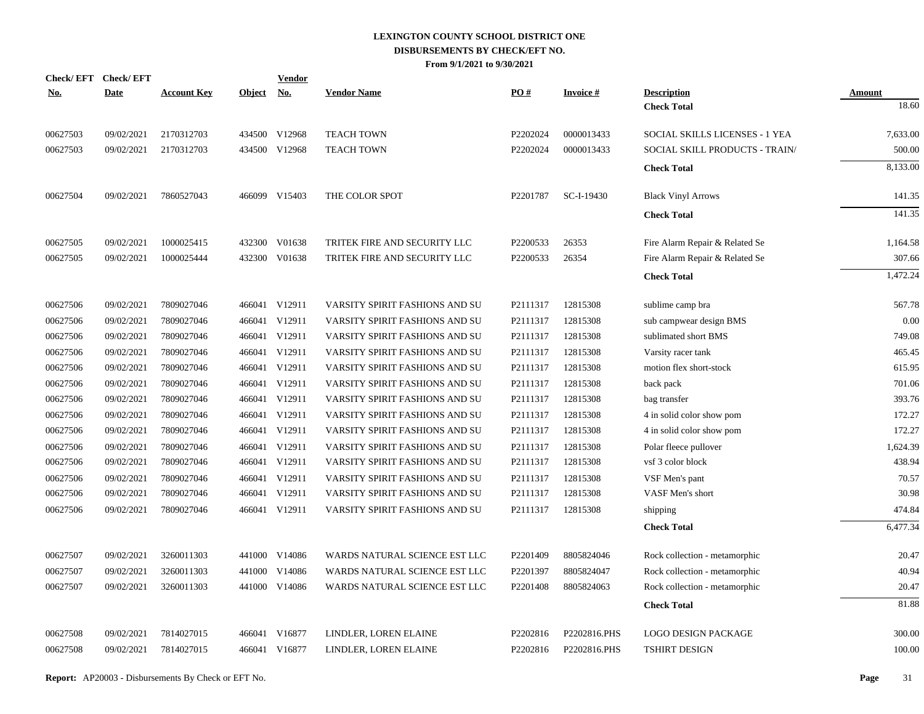| No.      | Check/EFT Check/EFT<br><b>Date</b> | <b>Account Key</b> | <b>Object</b> | <b>Vendor</b><br><u>No.</u> | <b>Vendor Name</b>             | PO#      | <b>Invoice#</b> | <b>Description</b>             | Amount   |
|----------|------------------------------------|--------------------|---------------|-----------------------------|--------------------------------|----------|-----------------|--------------------------------|----------|
|          |                                    |                    |               |                             |                                |          |                 | <b>Check Total</b>             | 18.60    |
| 00627503 | 09/02/2021                         | 2170312703         |               | 434500 V12968               | <b>TEACH TOWN</b>              | P2202024 | 0000013433      | SOCIAL SKILLS LICENSES - 1 YEA | 7,633.00 |
| 00627503 | 09/02/2021                         | 2170312703         |               | 434500 V12968               | <b>TEACH TOWN</b>              | P2202024 | 0000013433      | SOCIAL SKILL PRODUCTS - TRAIN/ | 500.00   |
|          |                                    |                    |               |                             |                                |          |                 | <b>Check Total</b>             | 8,133.00 |
| 00627504 | 09/02/2021                         | 7860527043         |               | 466099 V15403               | THE COLOR SPOT                 | P2201787 | SC-I-19430      | <b>Black Vinyl Arrows</b>      | 141.35   |
|          |                                    |                    |               |                             |                                |          |                 | <b>Check Total</b>             | 141.35   |
| 00627505 | 09/02/2021                         | 1000025415         |               | 432300 V01638               | TRITEK FIRE AND SECURITY LLC   | P2200533 | 26353           | Fire Alarm Repair & Related Se | 1,164.58 |
| 00627505 | 09/02/2021                         | 1000025444         |               | 432300 V01638               | TRITEK FIRE AND SECURITY LLC   | P2200533 | 26354           | Fire Alarm Repair & Related Se | 307.66   |
|          |                                    |                    |               |                             |                                |          |                 | <b>Check Total</b>             | 1,472.24 |
| 00627506 | 09/02/2021                         | 7809027046         |               | 466041 V12911               | VARSITY SPIRIT FASHIONS AND SU | P2111317 | 12815308        | sublime camp bra               | 567.78   |
| 00627506 | 09/02/2021                         | 7809027046         |               | 466041 V12911               | VARSITY SPIRIT FASHIONS AND SU | P2111317 | 12815308        | sub campwear design BMS        | 0.00     |
| 00627506 | 09/02/2021                         | 7809027046         |               | 466041 V12911               | VARSITY SPIRIT FASHIONS AND SU | P2111317 | 12815308        | sublimated short BMS           | 749.08   |
| 00627506 | 09/02/2021                         | 7809027046         |               | 466041 V12911               | VARSITY SPIRIT FASHIONS AND SU | P2111317 | 12815308        | Varsity racer tank             | 465.45   |
| 00627506 | 09/02/2021                         | 7809027046         |               | 466041 V12911               | VARSITY SPIRIT FASHIONS AND SU | P2111317 | 12815308        | motion flex short-stock        | 615.95   |
| 00627506 | 09/02/2021                         | 7809027046         |               | 466041 V12911               | VARSITY SPIRIT FASHIONS AND SU | P2111317 | 12815308        | back pack                      | 701.06   |
| 00627506 | 09/02/2021                         | 7809027046         |               | 466041 V12911               | VARSITY SPIRIT FASHIONS AND SU | P2111317 | 12815308        | bag transfer                   | 393.76   |
| 00627506 | 09/02/2021                         | 7809027046         |               | 466041 V12911               | VARSITY SPIRIT FASHIONS AND SU | P2111317 | 12815308        | 4 in solid color show pom      | 172.27   |
| 00627506 | 09/02/2021                         | 7809027046         |               | 466041 V12911               | VARSITY SPIRIT FASHIONS AND SU | P2111317 | 12815308        | 4 in solid color show pom      | 172.27   |
| 00627506 | 09/02/2021                         | 7809027046         |               | 466041 V12911               | VARSITY SPIRIT FASHIONS AND SU | P2111317 | 12815308        | Polar fleece pullover          | 1,624.39 |
| 00627506 | 09/02/2021                         | 7809027046         |               | 466041 V12911               | VARSITY SPIRIT FASHIONS AND SU | P2111317 | 12815308        | vsf 3 color block              | 438.94   |
| 00627506 | 09/02/2021                         | 7809027046         |               | 466041 V12911               | VARSITY SPIRIT FASHIONS AND SU | P2111317 | 12815308        | VSF Men's pant                 | 70.57    |
| 00627506 | 09/02/2021                         | 7809027046         |               | 466041 V12911               | VARSITY SPIRIT FASHIONS AND SU | P2111317 | 12815308        | VASF Men's short               | 30.98    |
| 00627506 | 09/02/2021                         | 7809027046         |               | 466041 V12911               | VARSITY SPIRIT FASHIONS AND SU | P2111317 | 12815308        | shipping                       | 474.84   |
|          |                                    |                    |               |                             |                                |          |                 | <b>Check Total</b>             | 6,477.34 |
| 00627507 | 09/02/2021                         | 3260011303         |               | 441000 V14086               | WARDS NATURAL SCIENCE EST LLC  | P2201409 | 8805824046      | Rock collection - metamorphic  | 20.47    |
| 00627507 | 09/02/2021                         | 3260011303         |               | 441000 V14086               | WARDS NATURAL SCIENCE EST LLC  | P2201397 | 8805824047      | Rock collection - metamorphic  | 40.94    |
| 00627507 | 09/02/2021                         | 3260011303         |               | 441000 V14086               | WARDS NATURAL SCIENCE EST LLC  | P2201408 | 8805824063      | Rock collection - metamorphic  | 20.47    |
|          |                                    |                    |               |                             |                                |          |                 | <b>Check Total</b>             | 81.88    |
| 00627508 | 09/02/2021                         | 7814027015         |               | 466041 V16877               | LINDLER, LOREN ELAINE          | P2202816 | P2202816.PHS    | <b>LOGO DESIGN PACKAGE</b>     | 300.00   |
| 00627508 | 09/02/2021                         | 7814027015         |               | 466041 V16877               | LINDLER, LOREN ELAINE          | P2202816 | P2202816.PHS    | TSHIRT DESIGN                  | 100.00   |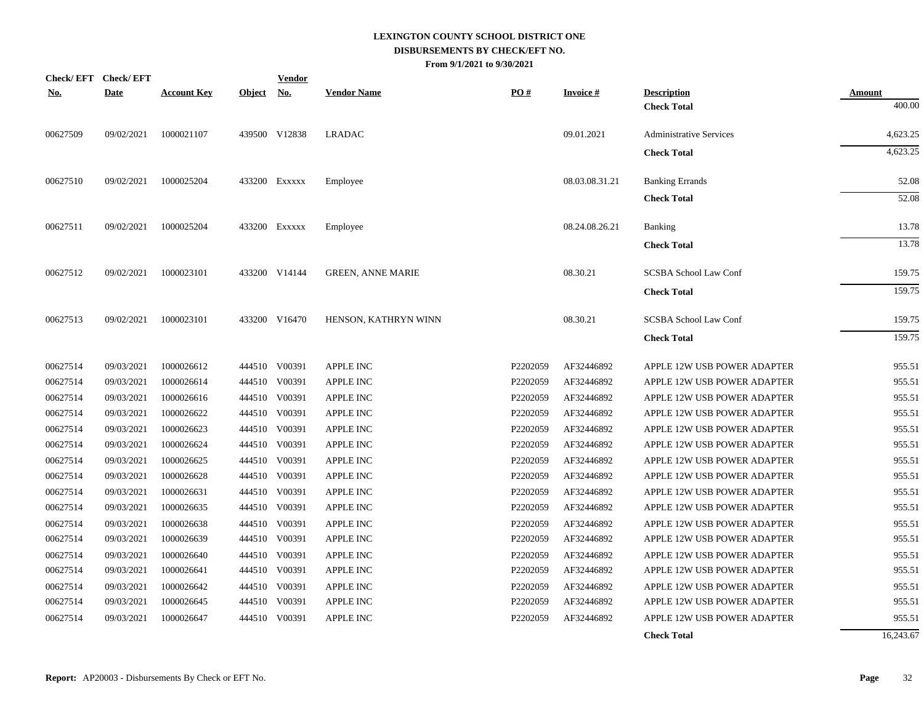| <b>No.</b> | Check/EFT Check/EFT<br><b>Date</b> | <b>Account Key</b> | Object No. | <b>Vendor</b> | <b>Vendor Name</b>       | PO#      | <b>Invoice#</b> | <b>Description</b>             | <b>Amount</b> |
|------------|------------------------------------|--------------------|------------|---------------|--------------------------|----------|-----------------|--------------------------------|---------------|
|            |                                    |                    |            |               |                          |          |                 | <b>Check Total</b>             | 400.00        |
| 00627509   | 09/02/2021                         | 1000021107         |            | 439500 V12838 | <b>LRADAC</b>            |          | 09.01.2021      | <b>Administrative Services</b> | 4,623.25      |
|            |                                    |                    |            |               |                          |          |                 | <b>Check Total</b>             | 4,623.25      |
| 00627510   | 09/02/2021                         | 1000025204         |            | 433200 EXXXXX | Employee                 |          | 08.03.08.31.21  | <b>Banking Errands</b>         | 52.08         |
|            |                                    |                    |            |               |                          |          |                 | <b>Check Total</b>             | 52.08         |
| 00627511   | 09/02/2021                         | 1000025204         |            | 433200 Exxxxx | Employee                 |          | 08.24.08.26.21  | <b>Banking</b>                 | 13.78         |
|            |                                    |                    |            |               |                          |          |                 | <b>Check Total</b>             | 13.78         |
| 00627512   | 09/02/2021                         | 1000023101         |            | 433200 V14144 | <b>GREEN, ANNE MARIE</b> |          | 08.30.21        | SCSBA School Law Conf          | 159.75        |
|            |                                    |                    |            |               |                          |          |                 | <b>Check Total</b>             | 159.75        |
| 00627513   | 09/02/2021                         | 1000023101         |            | 433200 V16470 | HENSON, KATHRYN WINN     |          | 08.30.21        | SCSBA School Law Conf          | 159.75        |
|            |                                    |                    |            |               |                          |          |                 | <b>Check Total</b>             | 159.75        |
| 00627514   | 09/03/2021                         | 1000026612         |            | 444510 V00391 | <b>APPLE INC</b>         | P2202059 | AF32446892      | APPLE 12W USB POWER ADAPTER    | 955.51        |
| 00627514   | 09/03/2021                         | 1000026614         |            | 444510 V00391 | <b>APPLE INC</b>         | P2202059 | AF32446892      | APPLE 12W USB POWER ADAPTER    | 955.51        |
| 00627514   | 09/03/2021                         | 1000026616         |            | 444510 V00391 | <b>APPLE INC</b>         | P2202059 | AF32446892      | APPLE 12W USB POWER ADAPTER    | 955.51        |
| 00627514   | 09/03/2021                         | 1000026622         |            | 444510 V00391 | <b>APPLE INC</b>         | P2202059 | AF32446892      | APPLE 12W USB POWER ADAPTER    | 955.51        |
| 00627514   | 09/03/2021                         | 1000026623         |            | 444510 V00391 | <b>APPLE INC</b>         | P2202059 | AF32446892      | APPLE 12W USB POWER ADAPTER    | 955.51        |
| 00627514   | 09/03/2021                         | 1000026624         |            | 444510 V00391 | <b>APPLE INC</b>         | P2202059 | AF32446892      | APPLE 12W USB POWER ADAPTER    | 955.51        |
| 00627514   | 09/03/2021                         | 1000026625         |            | 444510 V00391 | <b>APPLE INC</b>         | P2202059 | AF32446892      | APPLE 12W USB POWER ADAPTER    | 955.51        |
| 00627514   | 09/03/2021                         | 1000026628         |            | 444510 V00391 | <b>APPLE INC</b>         | P2202059 | AF32446892      | APPLE 12W USB POWER ADAPTER    | 955.51        |
| 00627514   | 09/03/2021                         | 1000026631         |            | 444510 V00391 | <b>APPLE INC</b>         | P2202059 | AF32446892      | APPLE 12W USB POWER ADAPTER    | 955.51        |
| 00627514   | 09/03/2021                         | 1000026635         |            | 444510 V00391 | <b>APPLE INC</b>         | P2202059 | AF32446892      | APPLE 12W USB POWER ADAPTER    | 955.51        |
| 00627514   | 09/03/2021                         | 1000026638         |            | 444510 V00391 | <b>APPLE INC</b>         | P2202059 | AF32446892      | APPLE 12W USB POWER ADAPTER    | 955.51        |
| 00627514   | 09/03/2021                         | 1000026639         |            | 444510 V00391 | <b>APPLE INC</b>         | P2202059 | AF32446892      | APPLE 12W USB POWER ADAPTER    | 955.51        |
| 00627514   | 09/03/2021                         | 1000026640         |            | 444510 V00391 | <b>APPLE INC</b>         | P2202059 | AF32446892      | APPLE 12W USB POWER ADAPTER    | 955.51        |
| 00627514   | 09/03/2021                         | 1000026641         |            | 444510 V00391 | <b>APPLE INC</b>         | P2202059 | AF32446892      | APPLE 12W USB POWER ADAPTER    | 955.51        |
| 00627514   | 09/03/2021                         | 1000026642         |            | 444510 V00391 | <b>APPLE INC</b>         | P2202059 | AF32446892      | APPLE 12W USB POWER ADAPTER    | 955.51        |
| 00627514   | 09/03/2021                         | 1000026645         |            | 444510 V00391 | <b>APPLE INC</b>         | P2202059 | AF32446892      | APPLE 12W USB POWER ADAPTER    | 955.51        |
| 00627514   | 09/03/2021                         | 1000026647         |            | 444510 V00391 | <b>APPLE INC</b>         | P2202059 | AF32446892      | APPLE 12W USB POWER ADAPTER    | 955.51        |
|            |                                    |                    |            |               |                          |          |                 | <b>Check Total</b>             | 16,243.67     |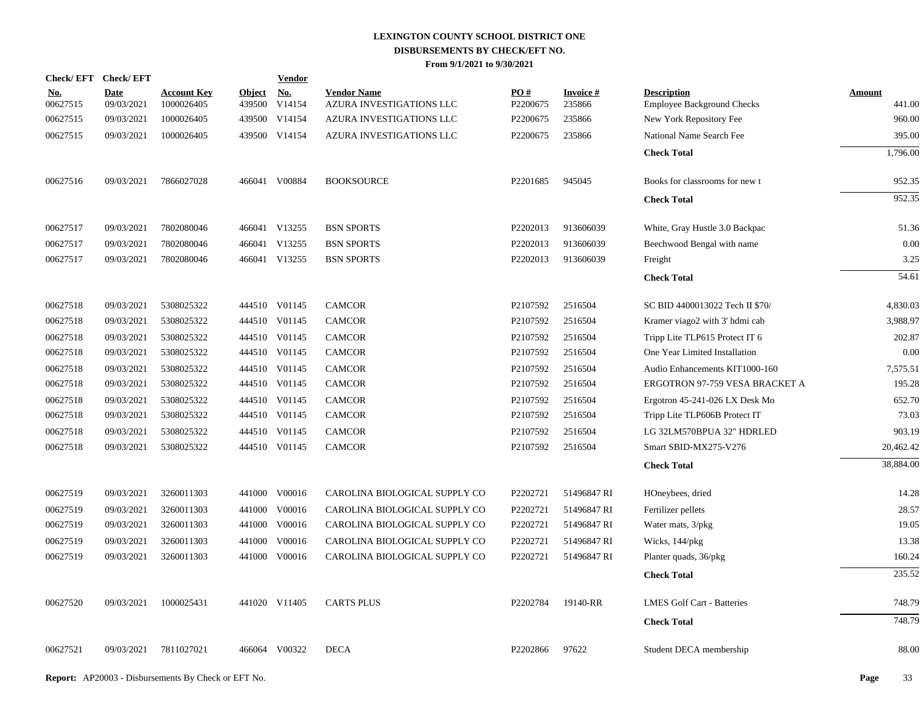| Check/EFT Check/EFT    |                    |                                  |                         | <b>Vendor</b> |                                                |                 |                           |                                                         |                  |
|------------------------|--------------------|----------------------------------|-------------------------|---------------|------------------------------------------------|-----------------|---------------------------|---------------------------------------------------------|------------------|
| <u>No.</u><br>00627515 | Date<br>09/03/2021 | <b>Account Key</b><br>1000026405 | <b>Object</b><br>439500 | No.<br>V14154 | <b>Vendor Name</b><br>AZURA INVESTIGATIONS LLC | PO#<br>P2200675 | <b>Invoice#</b><br>235866 | <b>Description</b><br><b>Employee Background Checks</b> | Amount<br>441.00 |
| 00627515               | 09/03/2021         | 1000026405                       |                         | 439500 V14154 | AZURA INVESTIGATIONS LLC                       | P2200675        | 235866                    | New York Repository Fee                                 | 960.00           |
| 00627515               | 09/03/2021         | 1000026405                       |                         | 439500 V14154 | AZURA INVESTIGATIONS LLC                       | P2200675        | 235866                    | National Name Search Fee                                | 395.00           |
|                        |                    |                                  |                         |               |                                                |                 |                           | <b>Check Total</b>                                      | 1,796.00         |
| 00627516               | 09/03/2021         | 7866027028                       |                         | 466041 V00884 | <b>BOOKSOURCE</b>                              | P2201685        | 945045                    | Books for classrooms for new t                          | 952.35           |
|                        |                    |                                  |                         |               |                                                |                 |                           | <b>Check Total</b>                                      | 952.35           |
| 00627517               | 09/03/2021         | 7802080046                       |                         | 466041 V13255 | <b>BSN SPORTS</b>                              | P2202013        | 913606039                 | White, Gray Hustle 3.0 Backpac                          | 51.36            |
| 00627517               | 09/03/2021         | 7802080046                       |                         | 466041 V13255 | <b>BSN SPORTS</b>                              | P2202013        | 913606039                 | Beechwood Bengal with name                              | 0.00             |
| 00627517               | 09/03/2021         | 7802080046                       |                         | 466041 V13255 | <b>BSN SPORTS</b>                              | P2202013        | 913606039                 | Freight                                                 | 3.25             |
|                        |                    |                                  |                         |               |                                                |                 |                           | <b>Check Total</b>                                      | 54.61            |
| 00627518               | 09/03/2021         | 5308025322                       |                         | 444510 V01145 | <b>CAMCOR</b>                                  | P2107592        | 2516504                   | SC BID 4400013022 Tech II \$70/                         | 4,830.03         |
| 00627518               | 09/03/2021         | 5308025322                       |                         | 444510 V01145 | <b>CAMCOR</b>                                  | P2107592        | 2516504                   | Kramer viago2 with 3' hdmi cab                          | 3,988.97         |
| 00627518               | 09/03/2021         | 5308025322                       |                         | 444510 V01145 | <b>CAMCOR</b>                                  | P2107592        | 2516504                   | Tripp Lite TLP615 Protect IT 6                          | 202.87           |
| 00627518               | 09/03/2021         | 5308025322                       |                         | 444510 V01145 | <b>CAMCOR</b>                                  | P2107592        | 2516504                   | One Year Limited Installation                           | 0.00             |
| 00627518               | 09/03/2021         | 5308025322                       |                         | 444510 V01145 | <b>CAMCOR</b>                                  | P2107592        | 2516504                   | Audio Enhancements KIT1000-160                          | 7,575.51         |
| 00627518               | 09/03/2021         | 5308025322                       |                         | 444510 V01145 | <b>CAMCOR</b>                                  | P2107592        | 2516504                   | ERGOTRON 97-759 VESA BRACKET A                          | 195.28           |
| 00627518               | 09/03/2021         | 5308025322                       |                         | 444510 V01145 | <b>CAMCOR</b>                                  | P2107592        | 2516504                   | Ergotron 45-241-026 LX Desk Mo                          | 652.70           |
| 00627518               | 09/03/2021         | 5308025322                       |                         | 444510 V01145 | <b>CAMCOR</b>                                  | P2107592        | 2516504                   | Tripp Lite TLP606B Protect IT                           | 73.03            |
| 00627518               | 09/03/2021         | 5308025322                       |                         | 444510 V01145 | <b>CAMCOR</b>                                  | P2107592        | 2516504                   | LG 32LM570BPUA 32" HDRLED                               | 903.19           |
| 00627518               | 09/03/2021         | 5308025322                       |                         | 444510 V01145 | <b>CAMCOR</b>                                  | P2107592        | 2516504                   | Smart SBID-MX275-V276                                   | 20,462.42        |
|                        |                    |                                  |                         |               |                                                |                 |                           | <b>Check Total</b>                                      | 38,884.00        |
| 00627519               | 09/03/2021         | 3260011303                       |                         | 441000 V00016 | CAROLINA BIOLOGICAL SUPPLY CO                  | P2202721        | 51496847 RI               | HOneybees, dried                                        | 14.28            |
| 00627519               | 09/03/2021         | 3260011303                       |                         | 441000 V00016 | CAROLINA BIOLOGICAL SUPPLY CO                  | P2202721        | 51496847 RI               | Fertilizer pellets                                      | 28.57            |
| 00627519               | 09/03/2021         | 3260011303                       |                         | 441000 V00016 | CAROLINA BIOLOGICAL SUPPLY CO                  | P2202721        | 51496847 RI               | Water mats, 3/pkg                                       | 19.05            |
| 00627519               | 09/03/2021         | 3260011303                       |                         | 441000 V00016 | CAROLINA BIOLOGICAL SUPPLY CO                  | P2202721        | 51496847 RI               | Wicks, 144/pkg                                          | 13.38            |
| 00627519               | 09/03/2021         | 3260011303                       |                         | 441000 V00016 | CAROLINA BIOLOGICAL SUPPLY CO                  | P2202721        | 51496847 RI               | Planter quads, 36/pkg                                   | 160.24           |
|                        |                    |                                  |                         |               |                                                |                 |                           | <b>Check Total</b>                                      | 235.52           |
| 00627520               | 09/03/2021         | 1000025431                       |                         | 441020 V11405 | <b>CARTS PLUS</b>                              | P2202784        | 19140-RR                  | <b>LMES Golf Cart - Batteries</b>                       | 748.79           |
|                        |                    |                                  |                         |               |                                                |                 |                           | <b>Check Total</b>                                      | 748.79           |
| 00627521               | 09/03/2021         | 7811027021                       |                         | 466064 V00322 | <b>DECA</b>                                    | P2202866        | 97622                     | Student DECA membership                                 | 88.00            |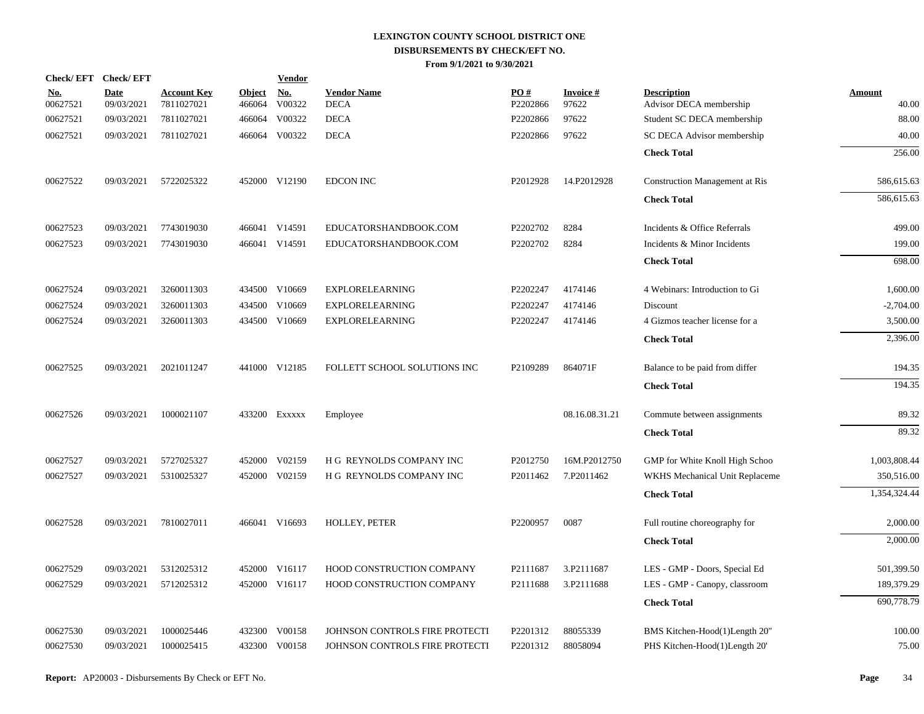| Check/EFT Check/EFT    |                           |                                  |                         | <b>Vendor</b>        |                                   |                 |                             |                                               |                        |
|------------------------|---------------------------|----------------------------------|-------------------------|----------------------|-----------------------------------|-----------------|-----------------------------|-----------------------------------------------|------------------------|
| <u>No.</u><br>00627521 | <b>Date</b><br>09/03/2021 | <b>Account Key</b><br>7811027021 | <b>Object</b><br>466064 | <u>No.</u><br>V00322 | <b>Vendor Name</b><br><b>DECA</b> | PO#<br>P2202866 | <b>Invoice</b> $#$<br>97622 | <b>Description</b><br>Advisor DECA membership | <b>Amount</b><br>40.00 |
| 00627521               | 09/03/2021                | 7811027021                       | 466064                  | V00322               | <b>DECA</b>                       | P2202866        | 97622                       | Student SC DECA membership                    | 88.00                  |
| 00627521               | 09/03/2021                | 7811027021                       |                         | 466064 V00322        | <b>DECA</b>                       | P2202866        | 97622                       | SC DECA Advisor membership                    | 40.00                  |
|                        |                           |                                  |                         |                      |                                   |                 |                             | <b>Check Total</b>                            | 256.00                 |
|                        |                           |                                  |                         |                      |                                   |                 |                             |                                               |                        |
| 00627522               | 09/03/2021                | 5722025322                       |                         | 452000 V12190        | <b>EDCON INC</b>                  | P2012928        | 14.P2012928                 | <b>Construction Management at Ris</b>         | 586,615.63             |
|                        |                           |                                  |                         |                      |                                   |                 |                             | <b>Check Total</b>                            | 586,615.63             |
| 00627523               | 09/03/2021                | 7743019030                       |                         | 466041 V14591        | EDUCATORSHANDBOOK.COM             | P2202702        | 8284                        | Incidents & Office Referrals                  | 499.00                 |
| 00627523               | 09/03/2021                | 7743019030                       |                         | 466041 V14591        | EDUCATORSHANDBOOK.COM             | P2202702        | 8284                        | Incidents & Minor Incidents                   | 199.00                 |
|                        |                           |                                  |                         |                      |                                   |                 |                             | <b>Check Total</b>                            | 698.00                 |
| 00627524               | 09/03/2021                | 3260011303                       |                         | 434500 V10669        | <b>EXPLORELEARNING</b>            | P2202247        | 4174146                     | 4 Webinars: Introduction to Gi                | 1,600.00               |
| 00627524               | 09/03/2021                | 3260011303                       | 434500                  | V10669               | <b>EXPLORELEARNING</b>            | P2202247        | 4174146                     | Discount                                      | $-2,704.00$            |
| 00627524               | 09/03/2021                | 3260011303                       |                         | 434500 V10669        | <b>EXPLORELEARNING</b>            | P2202247        | 4174146                     | 4 Gizmos teacher license for a                | 3,500.00               |
|                        |                           |                                  |                         |                      |                                   |                 |                             | <b>Check Total</b>                            | 2,396.00               |
| 00627525               | 09/03/2021                | 2021011247                       |                         | 441000 V12185        | FOLLETT SCHOOL SOLUTIONS INC      | P2109289        | 864071F                     | Balance to be paid from differ                | 194.35                 |
|                        |                           |                                  |                         |                      |                                   |                 |                             |                                               | 194.35                 |
|                        |                           |                                  |                         |                      |                                   |                 |                             | <b>Check Total</b>                            |                        |
| 00627526               | 09/03/2021                | 1000021107                       |                         | 433200 Exxxxx        | Employee                          |                 | 08.16.08.31.21              | Commute between assignments                   | 89.32                  |
|                        |                           |                                  |                         |                      |                                   |                 |                             | <b>Check Total</b>                            | 89.32                  |
| 00627527               | 09/03/2021                | 5727025327                       |                         | 452000 V02159        | H G REYNOLDS COMPANY INC          | P2012750        | 16M.P2012750                | GMP for White Knoll High Schoo                | 1,003,808.44           |
| 00627527               | 09/03/2021                | 5310025327                       |                         | 452000 V02159        | H G REYNOLDS COMPANY INC          | P2011462        | 7.P2011462                  | WKHS Mechanical Unit Replaceme                | 350,516.00             |
|                        |                           |                                  |                         |                      |                                   |                 |                             | <b>Check Total</b>                            | 1,354,324.44           |
| 00627528               | 09/03/2021                | 7810027011                       |                         | 466041 V16693        | HOLLEY, PETER                     | P2200957        | 0087                        | Full routine choreography for                 | 2,000.00               |
|                        |                           |                                  |                         |                      |                                   |                 |                             | <b>Check Total</b>                            | 2,000.00               |
| 00627529               | 09/03/2021                | 5312025312                       |                         | 452000 V16117        | HOOD CONSTRUCTION COMPANY         | P2111687        | 3.P2111687                  | LES - GMP - Doors, Special Ed                 | 501,399.50             |
| 00627529               | 09/03/2021                | 5712025312                       |                         | 452000 V16117        | HOOD CONSTRUCTION COMPANY         | P2111688        | 3.P2111688                  | LES - GMP - Canopy, classroom                 | 189,379.29             |
|                        |                           |                                  |                         |                      |                                   |                 |                             | <b>Check Total</b>                            | 690,778.79             |
| 00627530               | 09/03/2021                | 1000025446                       | 432300                  | V00158               | JOHNSON CONTROLS FIRE PROTECTI    | P2201312        | 88055339                    | BMS Kitchen-Hood(1)Length 20"                 | 100.00                 |
| 00627530               | 09/03/2021                | 1000025415                       |                         | 432300 V00158        | JOHNSON CONTROLS FIRE PROTECTI    | P2201312        | 88058094                    | PHS Kitchen-Hood(1)Length 20'                 | 75.00                  |
|                        |                           |                                  |                         |                      |                                   |                 |                             |                                               |                        |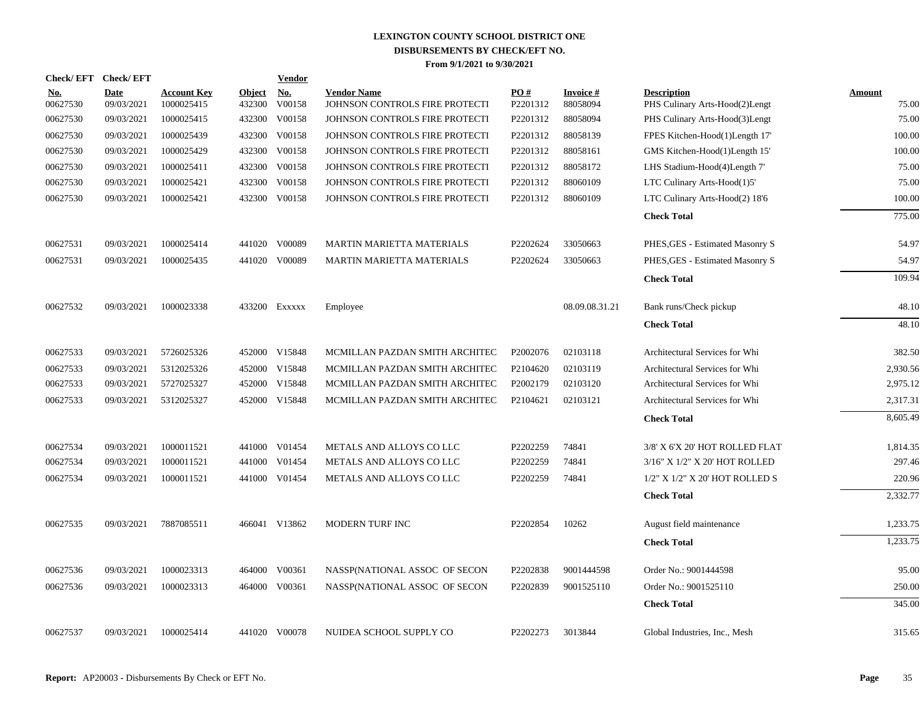| Check/EFT Check/EFT    |                           |                                  |                         | <b>Vendor</b> |                                                      |                 |                             |                                                      |                 |
|------------------------|---------------------------|----------------------------------|-------------------------|---------------|------------------------------------------------------|-----------------|-----------------------------|------------------------------------------------------|-----------------|
| <u>No.</u><br>00627530 | <b>Date</b><br>09/03/2021 | <b>Account Key</b><br>1000025415 | <b>Object</b><br>432300 | No.<br>V00158 | <b>Vendor Name</b><br>JOHNSON CONTROLS FIRE PROTECTI | PO#<br>P2201312 | <b>Invoice#</b><br>88058094 | <b>Description</b><br>PHS Culinary Arts-Hood(2)Lengt | Amount<br>75.00 |
| 00627530               | 09/03/2021                | 1000025415                       | 432300                  | V00158        | JOHNSON CONTROLS FIRE PROTECTI                       | P2201312        | 88058094                    | PHS Culinary Arts-Hood(3)Lengt                       | 75.00           |
| 00627530               | 09/03/2021                | 1000025439                       | 432300                  | V00158        | JOHNSON CONTROLS FIRE PROTECTI                       | P2201312        | 88058139                    | FPES Kitchen-Hood(1)Length 17'                       | 100.00          |
| 00627530               | 09/03/2021                | 1000025429                       | 432300                  | V00158        | JOHNSON CONTROLS FIRE PROTECTI                       | P2201312        | 88058161                    | GMS Kitchen-Hood(1)Length 15'                        | 100.00          |
| 00627530               | 09/03/2021                | 1000025411                       | 432300                  | V00158        | JOHNSON CONTROLS FIRE PROTECTI                       | P2201312        | 88058172                    | LHS Stadium-Hood(4)Length 7'                         | 75.00           |
| 00627530               | 09/03/2021                | 1000025421                       | 432300                  | V00158        | JOHNSON CONTROLS FIRE PROTECTI                       | P2201312        | 88060109                    | LTC Culinary Arts-Hood(1)5'                          | 75.00           |
| 00627530               | 09/03/2021                | 1000025421                       |                         | 432300 V00158 | JOHNSON CONTROLS FIRE PROTECTI                       | P2201312        | 88060109                    | LTC Culinary Arts-Hood(2) 18'6                       | 100.00          |
|                        |                           |                                  |                         |               |                                                      |                 |                             | <b>Check Total</b>                                   | 775.00          |
| 00627531               | 09/03/2021                | 1000025414                       | 441020                  | V00089        | MARTIN MARIETTA MATERIALS                            | P2202624        | 33050663                    | PHES, GES - Estimated Masonry S                      | 54.97           |
| 00627531               | 09/03/2021                | 1000025435                       |                         | 441020 V00089 | <b>MARTIN MARIETTA MATERIALS</b>                     | P2202624        | 33050663                    | PHES, GES - Estimated Masonry S                      | 54.97           |
|                        |                           |                                  |                         |               |                                                      |                 |                             | <b>Check Total</b>                                   | 109.94          |
| 00627532               | 09/03/2021                | 1000023338                       |                         | 433200 Exxxxx | Employee                                             |                 | 08.09.08.31.21              | Bank runs/Check pickup                               | 48.10           |
|                        |                           |                                  |                         |               |                                                      |                 |                             | <b>Check Total</b>                                   | 48.10           |
| 00627533               | 09/03/2021                | 5726025326                       |                         | 452000 V15848 | MCMILLAN PAZDAN SMITH ARCHITEC                       | P2002076        | 02103118                    | Architectural Services for Whi                       | 382.50          |
| 00627533               | 09/03/2021                | 5312025326                       |                         | 452000 V15848 | MCMILLAN PAZDAN SMITH ARCHITEC                       | P2104620        | 02103119                    | Architectural Services for Whi                       | 2,930.56        |
| 00627533               | 09/03/2021                | 5727025327                       |                         | 452000 V15848 | MCMILLAN PAZDAN SMITH ARCHITEC                       | P2002179        | 02103120                    | Architectural Services for Whi                       | 2,975.12        |
| 00627533               | 09/03/2021                | 5312025327                       |                         | 452000 V15848 | MCMILLAN PAZDAN SMITH ARCHITEC                       | P2104621        | 02103121                    | Architectural Services for Whi                       | 2,317.31        |
|                        |                           |                                  |                         |               |                                                      |                 |                             | <b>Check Total</b>                                   | 8,605.49        |
| 00627534               | 09/03/2021                | 1000011521                       |                         | 441000 V01454 | METALS AND ALLOYS CO LLC                             | P2202259        | 74841                       | 3/8' X 6'X 20' HOT ROLLED FLAT                       | 1,814.35        |
| 00627534               | 09/03/2021                | 1000011521                       |                         | 441000 V01454 | METALS AND ALLOYS CO LLC                             | P2202259        | 74841                       | 3/16" X 1/2" X 20' HOT ROLLED                        | 297.46          |
| 00627534               | 09/03/2021                | 1000011521                       |                         | 441000 V01454 | METALS AND ALLOYS CO LLC                             | P2202259        | 74841                       | 1/2" X 1/2" X 20' HOT ROLLED S                       | 220.96          |
|                        |                           |                                  |                         |               |                                                      |                 |                             | <b>Check Total</b>                                   | 2,332.77        |
| 00627535               | 09/03/2021                | 7887085511                       |                         | 466041 V13862 | MODERN TURF INC                                      | P2202854        | 10262                       | August field maintenance                             | 1,233.75        |
|                        |                           |                                  |                         |               |                                                      |                 |                             | <b>Check Total</b>                                   | 1,233.75        |
| 00627536               | 09/03/2021                | 1000023313                       |                         | 464000 V00361 | NASSP(NATIONAL ASSOC OF SECON                        | P2202838        | 9001444598                  | Order No.: 9001444598                                | 95.00           |
| 00627536               | 09/03/2021                | 1000023313                       | 464000                  | V00361        | NASSP(NATIONAL ASSOC OF SECON                        | P2202839        | 9001525110                  | Order No.: 9001525110                                | 250.00          |
|                        |                           |                                  |                         |               |                                                      |                 |                             | <b>Check Total</b>                                   | 345.00          |
| 00627537               | 09/03/2021                | 1000025414                       |                         | 441020 V00078 | NUIDEA SCHOOL SUPPLY CO                              | P2202273        | 3013844                     | Global Industries, Inc., Mesh                        | 315.65          |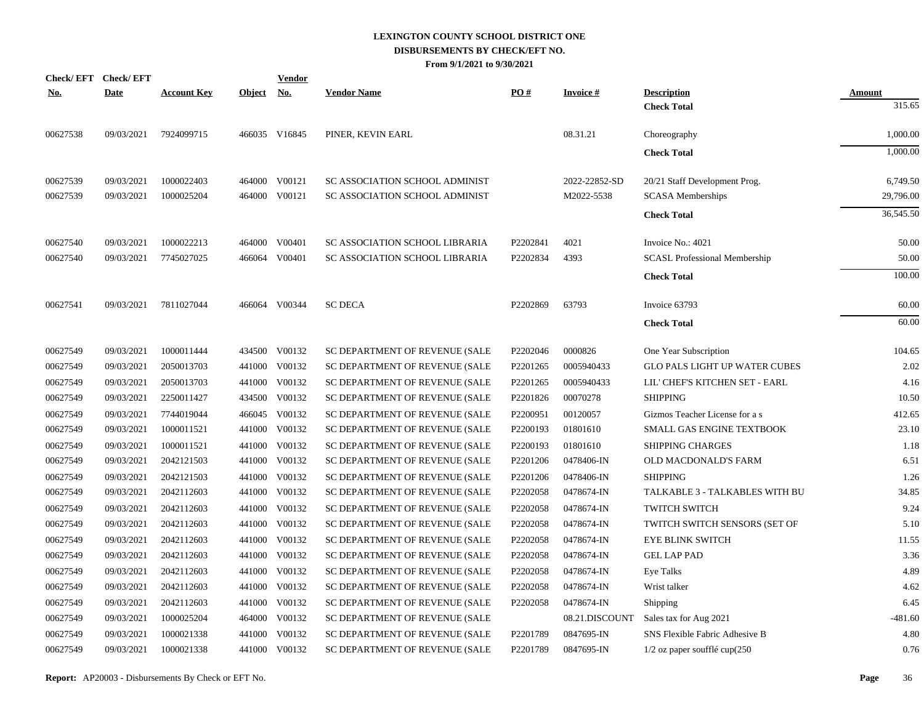| Check/EFT Check/EFT |             |                    |               | <u>Vendor</u> |                                |          |                 |                                      |               |
|---------------------|-------------|--------------------|---------------|---------------|--------------------------------|----------|-----------------|--------------------------------------|---------------|
| <u>No.</u>          | <b>Date</b> | <b>Account Key</b> | <b>Object</b> | <u>No.</u>    | <b>Vendor Name</b>             | PO#      | <b>Invoice#</b> | <b>Description</b>                   | <b>Amount</b> |
|                     |             |                    |               |               |                                |          |                 | <b>Check Total</b>                   | 315.65        |
| 00627538            | 09/03/2021  | 7924099715         |               | 466035 V16845 | PINER, KEVIN EARL              |          | 08.31.21        | Choreography                         | 1,000.00      |
|                     |             |                    |               |               |                                |          |                 | <b>Check Total</b>                   | 1.000.00      |
| 00627539            | 09/03/2021  | 1000022403         |               | 464000 V00121 | SC ASSOCIATION SCHOOL ADMINIST |          | 2022-22852-SD   | 20/21 Staff Development Prog.        | 6,749.50      |
| 00627539            | 09/03/2021  | 1000025204         | 464000        | V00121        | SC ASSOCIATION SCHOOL ADMINIST |          | M2022-5538      | <b>SCASA</b> Memberships             | 29,796.00     |
|                     |             |                    |               |               |                                |          |                 | <b>Check Total</b>                   | 36,545.50     |
| 00627540            | 09/03/2021  | 1000022213         |               | 464000 V00401 | SC ASSOCIATION SCHOOL LIBRARIA | P2202841 | 4021            | Invoice No.: 4021                    | 50.00         |
| 00627540            | 09/03/2021  | 7745027025         |               | 466064 V00401 | SC ASSOCIATION SCHOOL LIBRARIA | P2202834 | 4393            | <b>SCASL Professional Membership</b> | 50.00         |
|                     |             |                    |               |               |                                |          |                 | <b>Check Total</b>                   | 100.00        |
| 00627541            | 09/03/2021  | 7811027044         |               | 466064 V00344 | <b>SC DECA</b>                 | P2202869 | 63793           | Invoice 63793                        | 60.00         |
|                     |             |                    |               |               |                                |          |                 | <b>Check Total</b>                   | 60.00         |
| 00627549            | 09/03/2021  | 1000011444         |               | 434500 V00132 | SC DEPARTMENT OF REVENUE (SALE | P2202046 | 0000826         | One Year Subscription                | 104.65        |
| 00627549            | 09/03/2021  | 2050013703         | 441000        | V00132        | SC DEPARTMENT OF REVENUE (SALE | P2201265 | 0005940433      | <b>GLO PALS LIGHT UP WATER CUBES</b> | 2.02          |
| 00627549            | 09/03/2021  | 2050013703         | 441000        | V00132        | SC DEPARTMENT OF REVENUE (SALE | P2201265 | 0005940433      | LIL' CHEF'S KITCHEN SET - EARL       | 4.16          |
| 00627549            | 09/03/2021  | 2250011427         |               | 434500 V00132 | SC DEPARTMENT OF REVENUE (SALE | P2201826 | 00070278        | <b>SHIPPING</b>                      | 10.50         |
| 00627549            | 09/03/2021  | 7744019044         |               | 466045 V00132 | SC DEPARTMENT OF REVENUE (SALE | P2200951 | 00120057        | Gizmos Teacher License for a s       | 412.65        |
| 00627549            | 09/03/2021  | 1000011521         | 441000        | V00132        | SC DEPARTMENT OF REVENUE (SALE | P2200193 | 01801610        | SMALL GAS ENGINE TEXTBOOK            | 23.10         |
| 00627549            | 09/03/2021  | 1000011521         | 441000        | V00132        | SC DEPARTMENT OF REVENUE (SALE | P2200193 | 01801610        | <b>SHIPPING CHARGES</b>              | 1.18          |
| 00627549            | 09/03/2021  | 2042121503         |               | 441000 V00132 | SC DEPARTMENT OF REVENUE (SALE | P2201206 | 0478406-IN      | OLD MACDONALD'S FARM                 | 6.51          |
| 00627549            | 09/03/2021  | 2042121503         | 441000        | V00132        | SC DEPARTMENT OF REVENUE (SALE | P2201206 | 0478406-IN      | <b>SHIPPING</b>                      | 1.26          |
| 00627549            | 09/03/2021  | 2042112603         |               | 441000 V00132 | SC DEPARTMENT OF REVENUE (SALE | P2202058 | 0478674-IN      | TALKABLE 3 - TALKABLES WITH BU       | 34.85         |
| 00627549            | 09/03/2021  | 2042112603         |               | 441000 V00132 | SC DEPARTMENT OF REVENUE (SALE | P2202058 | 0478674-IN      | <b>TWITCH SWITCH</b>                 | 9.24          |
| 00627549            | 09/03/2021  | 2042112603         |               | 441000 V00132 | SC DEPARTMENT OF REVENUE (SALE | P2202058 | 0478674-IN      | TWITCH SWITCH SENSORS (SET OF        | 5.10          |
| 00627549            | 09/03/2021  | 2042112603         | 441000        | V00132        | SC DEPARTMENT OF REVENUE (SALE | P2202058 | 0478674-IN      | <b>EYE BLINK SWITCH</b>              | 11.55         |
| 00627549            | 09/03/2021  | 2042112603         |               | 441000 V00132 | SC DEPARTMENT OF REVENUE (SALE | P2202058 | 0478674-IN      | <b>GEL LAP PAD</b>                   | 3.36          |
| 00627549            | 09/03/2021  | 2042112603         | 441000        | V00132        | SC DEPARTMENT OF REVENUE (SALE | P2202058 | 0478674-IN      | Eye Talks                            | 4.89          |
| 00627549            | 09/03/2021  | 2042112603         |               | 441000 V00132 | SC DEPARTMENT OF REVENUE (SALE | P2202058 | 0478674-IN      | Wrist talker                         | 4.62          |
| 00627549            | 09/03/2021  | 2042112603         | 441000        | V00132        | SC DEPARTMENT OF REVENUE (SALE | P2202058 | 0478674-IN      | Shipping                             | 6.45          |
| 00627549            | 09/03/2021  | 1000025204         | 464000        | V00132        | SC DEPARTMENT OF REVENUE (SALE |          | 08.21.DISCOUNT  | Sales tax for Aug 2021               | $-481.60$     |
| 00627549            | 09/03/2021  | 1000021338         | 441000        | V00132        | SC DEPARTMENT OF REVENUE (SALE | P2201789 | 0847695-IN      | SNS Flexible Fabric Adhesive B       | 4.80          |
| 00627549            | 09/03/2021  | 1000021338         |               | 441000 V00132 | SC DEPARTMENT OF REVENUE (SALE | P2201789 | 0847695-IN      | $1/2$ oz paper soufflé cup $(250)$   | 0.76          |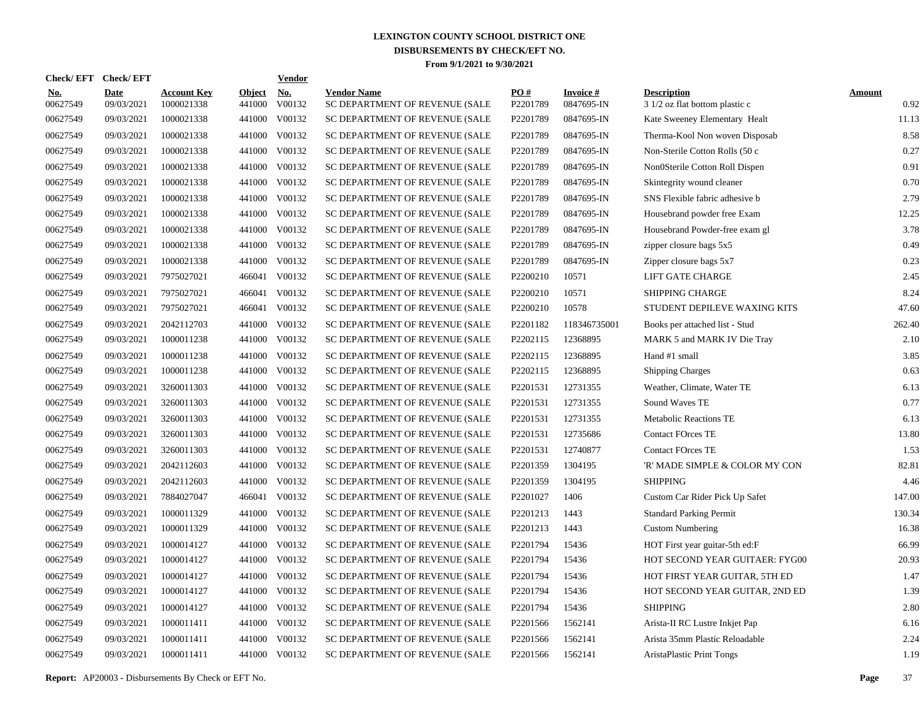| <b>Check/EFT</b>       | <b>Check/EFT</b>          |                                  |                         | <b>Vendor</b> |                                                      |                      |                               |                                                      |                       |
|------------------------|---------------------------|----------------------------------|-------------------------|---------------|------------------------------------------------------|----------------------|-------------------------------|------------------------------------------------------|-----------------------|
| <b>No.</b><br>00627549 | <b>Date</b><br>09/03/2021 | <b>Account Key</b><br>1000021338 | <b>Object</b><br>441000 | No.<br>V00132 | <b>Vendor Name</b><br>SC DEPARTMENT OF REVENUE (SALE | PO#<br>P2201789      | <b>Invoice#</b><br>0847695-IN | <b>Description</b><br>3 1/2 oz flat bottom plastic c | <b>Amount</b><br>0.92 |
| 00627549               | 09/03/2021                | 1000021338                       | 441000                  | V00132        | SC DEPARTMENT OF REVENUE (SALE                       | P2201789             | 0847695-IN                    | Kate Sweeney Elementary Healt                        | 11.13                 |
| 00627549               | 09/03/2021                | 1000021338                       | 441000                  | V00132        | SC DEPARTMENT OF REVENUE (SALE                       | P2201789             | 0847695-IN                    | Therma-Kool Non woven Disposab                       | 8.58                  |
| 00627549               | 09/03/2021                | 1000021338                       | 441000                  | V00132        | SC DEPARTMENT OF REVENUE (SALE                       | P2201789             | 0847695-IN                    | Non-Sterile Cotton Rolls (50 c                       | 0.27                  |
| 00627549               | 09/03/2021                | 1000021338                       |                         | 441000 V00132 | SC DEPARTMENT OF REVENUE (SALE                       | P2201789             | 0847695-IN                    | Non0Sterile Cotton Roll Dispen                       | 0.91                  |
| 00627549               | 09/03/2021                | 1000021338                       |                         | 441000 V00132 | SC DEPARTMENT OF REVENUE (SALE                       | P2201789             | 0847695-IN                    | Skintegrity wound cleaner                            | 0.70                  |
| 00627549               | 09/03/2021                | 1000021338                       |                         | 441000 V00132 | SC DEPARTMENT OF REVENUE (SALE                       | P2201789             | 0847695-IN                    | SNS Flexible fabric adhesive b                       | 2.79                  |
| 00627549               | 09/03/2021                | 1000021338                       |                         | 441000 V00132 | SC DEPARTMENT OF REVENUE (SALE                       | P2201789             | 0847695-IN                    | Housebrand powder free Exam                          | 12.25                 |
| 00627549               | 09/03/2021                | 1000021338                       |                         | 441000 V00132 | SC DEPARTMENT OF REVENUE (SALE                       | P2201789             | 0847695-IN                    | Housebrand Powder-free exam gl                       | 3.78                  |
| 00627549               | 09/03/2021                | 1000021338                       |                         | 441000 V00132 | SC DEPARTMENT OF REVENUE (SALE                       | P2201789             | 0847695-IN                    | zipper closure bags 5x5                              | 0.49                  |
| 00627549               | 09/03/2021                | 1000021338                       |                         | 441000 V00132 | SC DEPARTMENT OF REVENUE (SALE                       | P2201789             | 0847695-IN                    | Zipper closure bags 5x7                              | 0.23                  |
| 00627549               | 09/03/2021                | 7975027021                       | 466041                  | V00132        | SC DEPARTMENT OF REVENUE (SALE                       | P2200210             | 10571                         | LIFT GATE CHARGE                                     | 2.45                  |
| 00627549               | 09/03/2021                | 7975027021                       | 466041                  | V00132        | SC DEPARTMENT OF REVENUE (SALE                       | P2200210             | 10571                         | <b>SHIPPING CHARGE</b>                               | 8.24                  |
| 00627549               | 09/03/2021                | 7975027021                       | 466041                  | V00132        | SC DEPARTMENT OF REVENUE (SALE                       | P2200210             | 10578                         | STUDENT DEPILEVE WAXING KITS                         | 47.60                 |
| 00627549               | 09/03/2021                | 2042112703                       | 441000                  | V00132        | SC DEPARTMENT OF REVENUE (SALE                       | P <sub>2201182</sub> | 118346735001                  | Books per attached list - Stud                       | 262.40                |
| 00627549               | 09/03/2021                | 1000011238                       |                         | 441000 V00132 | SC DEPARTMENT OF REVENUE (SALE                       | P2202115             | 12368895                      | MARK 5 and MARK IV Die Tray                          | 2.10                  |
| 00627549               | 09/03/2021                | 1000011238                       |                         | 441000 V00132 | SC DEPARTMENT OF REVENUE (SALE                       | P2202115             | 12368895                      | Hand #1 small                                        | 3.85                  |
| 00627549               | 09/03/2021                | 1000011238                       |                         | 441000 V00132 | SC DEPARTMENT OF REVENUE (SALE                       | P2202115             | 12368895                      | <b>Shipping Charges</b>                              | 0.63                  |
| 00627549               | 09/03/2021                | 3260011303                       |                         | 441000 V00132 | SC DEPARTMENT OF REVENUE (SALE                       | P2201531             | 12731355                      | Weather, Climate, Water TE                           | 6.13                  |
| 00627549               | 09/03/2021                | 3260011303                       |                         | 441000 V00132 | SC DEPARTMENT OF REVENUE (SALE                       | P2201531             | 12731355                      | Sound Waves TE                                       | 0.77                  |
| 00627549               | 09/03/2021                | 3260011303                       |                         | 441000 V00132 | SC DEPARTMENT OF REVENUE (SALE                       | P2201531             | 12731355                      | <b>Metabolic Reactions TE</b>                        | 6.13                  |
| 00627549               | 09/03/2021                | 3260011303                       |                         | 441000 V00132 | SC DEPARTMENT OF REVENUE (SALE                       | P2201531             | 12735686                      | <b>Contact FOrces TE</b>                             | 13.80                 |
| 00627549               | 09/03/2021                | 3260011303                       |                         | 441000 V00132 | SC DEPARTMENT OF REVENUE (SALE                       | P2201531             | 12740877                      | <b>Contact FOrces TE</b>                             | 1.53                  |
| 00627549               | 09/03/2021                | 2042112603                       |                         | 441000 V00132 | SC DEPARTMENT OF REVENUE (SALE                       | P2201359             | 1304195                       | 'R' MADE SIMPLE & COLOR MY CON                       | 82.81                 |
| 00627549               | 09/03/2021                | 2042112603                       |                         | 441000 V00132 | SC DEPARTMENT OF REVENUE (SALE                       | P <sub>2201359</sub> | 1304195                       | <b>SHIPPING</b>                                      | 4.46                  |
| 00627549               | 09/03/2021                | 7884027047                       |                         | 466041 V00132 | SC DEPARTMENT OF REVENUE (SALE                       | P2201027             | 1406                          | Custom Car Rider Pick Up Safet                       | 147.00                |
| 00627549               | 09/03/2021                | 1000011329                       | 441000                  | V00132        | SC DEPARTMENT OF REVENUE (SALE                       | P2201213             | 1443                          | <b>Standard Parking Permit</b>                       | 130.34                |
| 00627549               | 09/03/2021                | 1000011329                       |                         | 441000 V00132 | SC DEPARTMENT OF REVENUE (SALE                       | P2201213             | 1443                          | <b>Custom Numbering</b>                              | 16.38                 |
| 00627549               | 09/03/2021                | 1000014127                       |                         | 441000 V00132 | SC DEPARTMENT OF REVENUE (SALE                       | P2201794             | 15436                         | HOT First year guitar-5th ed:F                       | 66.99                 |
| 00627549               | 09/03/2021                | 1000014127                       |                         | 441000 V00132 | SC DEPARTMENT OF REVENUE (SALE                       | P2201794             | 15436                         | HOT SECOND YEAR GUITAER: FYG00                       | 20.93                 |
| 00627549               | 09/03/2021                | 1000014127                       |                         | 441000 V00132 | SC DEPARTMENT OF REVENUE (SALE                       | P2201794             | 15436                         | HOT FIRST YEAR GUITAR, 5TH ED                        | 1.47                  |
| 00627549               | 09/03/2021                | 1000014127                       |                         | 441000 V00132 | SC DEPARTMENT OF REVENUE (SALE                       | P2201794             | 15436                         | HOT SECOND YEAR GUITAR, 2ND ED                       | 1.39                  |
| 00627549               | 09/03/2021                | 1000014127                       |                         | 441000 V00132 | SC DEPARTMENT OF REVENUE (SALE                       | P2201794             | 15436                         | <b>SHIPPING</b>                                      | 2.80                  |
| 00627549               | 09/03/2021                | 1000011411                       |                         | 441000 V00132 | SC DEPARTMENT OF REVENUE (SALE                       | P2201566             | 1562141                       | Arista-II RC Lustre Inkjet Pap                       | 6.16                  |
| 00627549               | 09/03/2021                | 1000011411                       | 441000                  | V00132        | SC DEPARTMENT OF REVENUE (SALE                       | P2201566             | 1562141                       | Arista 35mm Plastic Reloadable                       | 2.24                  |
| 00627549               | 09/03/2021                | 1000011411                       |                         | 441000 V00132 | SC DEPARTMENT OF REVENUE (SALE                       | P2201566             | 1562141                       | <b>AristaPlastic Print Tongs</b>                     | 1.19                  |

**Report:** AP20003 - Disbursements By Check or EFT No. **Page** 37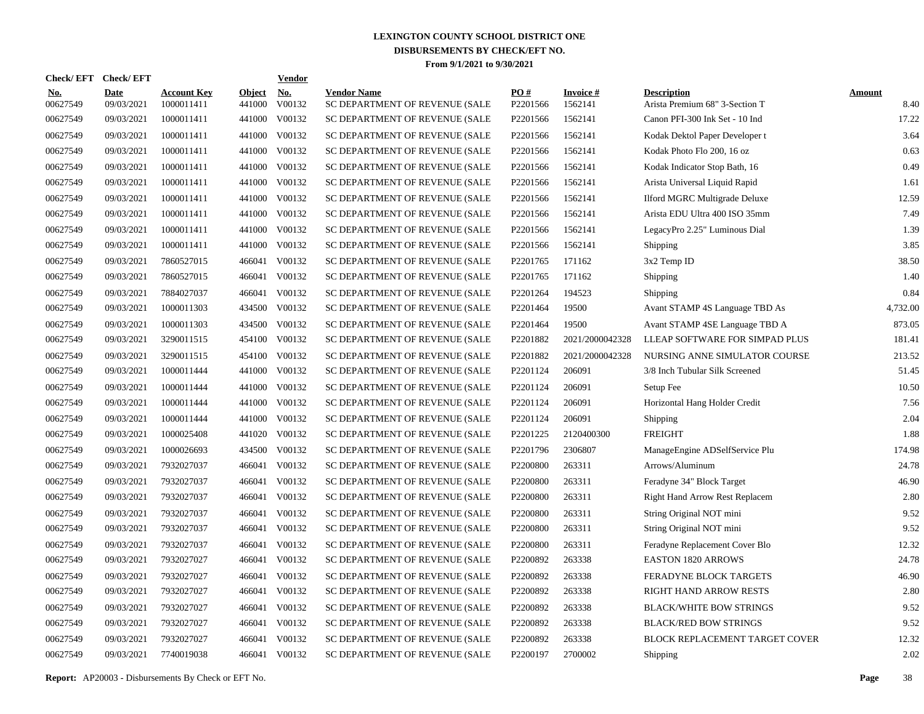| <b>Check/EFT</b>       | <b>Check/EFT</b>          |                                  |                         | <b>Vendor</b> |                                                      |                 |                            |                                                      |                       |
|------------------------|---------------------------|----------------------------------|-------------------------|---------------|------------------------------------------------------|-----------------|----------------------------|------------------------------------------------------|-----------------------|
| <u>No.</u><br>00627549 | <b>Date</b><br>09/03/2021 | <b>Account Key</b><br>1000011411 | <b>Object</b><br>441000 | No.<br>V00132 | <b>Vendor Name</b><br>SC DEPARTMENT OF REVENUE (SALE | PO#<br>P2201566 | <b>Invoice#</b><br>1562141 | <b>Description</b><br>Arista Premium 68" 3-Section T | <b>Amount</b><br>8.40 |
| 00627549               | 09/03/2021                | 1000011411                       | 441000                  | V00132        | SC DEPARTMENT OF REVENUE (SALE                       | P2201566        | 1562141                    | Canon PFI-300 Ink Set - 10 Ind                       | 17.22                 |
| 00627549               | 09/03/2021                | 1000011411                       | 441000                  | V00132        | SC DEPARTMENT OF REVENUE (SALE                       | P2201566        | 1562141                    | Kodak Dektol Paper Developer t                       | 3.64                  |
| 00627549               | 09/03/2021                | 1000011411                       | 441000                  | V00132        | SC DEPARTMENT OF REVENUE (SALE                       | P2201566        | 1562141                    | Kodak Photo Flo 200, 16 oz                           | 0.63                  |
| 00627549               | 09/03/2021                | 1000011411                       | 441000                  | V00132        | SC DEPARTMENT OF REVENUE (SALE                       | P2201566        | 1562141                    | Kodak Indicator Stop Bath, 16                        | 0.49                  |
| 00627549               | 09/03/2021                | 1000011411                       | 441000                  | V00132        | SC DEPARTMENT OF REVENUE (SALE                       | P2201566        | 1562141                    | Arista Universal Liquid Rapid                        | 1.61                  |
| 00627549               | 09/03/2021                | 1000011411                       | 441000                  | V00132        | SC DEPARTMENT OF REVENUE (SALE                       | P2201566        | 1562141                    | Ilford MGRC Multigrade Deluxe                        | 12.59                 |
| 00627549               | 09/03/2021                | 1000011411                       | 441000                  | V00132        | SC DEPARTMENT OF REVENUE (SALE                       | P2201566        | 1562141                    | Arista EDU Ultra 400 ISO 35mm                        | 7.49                  |
| 00627549               | 09/03/2021                | 1000011411                       | 441000                  | V00132        | SC DEPARTMENT OF REVENUE (SALE                       | P2201566        | 1562141                    | LegacyPro 2.25" Luminous Dial                        | 1.39                  |
| 00627549               | 09/03/2021                | 1000011411                       | 441000                  | V00132        | SC DEPARTMENT OF REVENUE (SALE                       | P2201566        | 1562141                    | Shipping                                             | 3.85                  |
| 00627549               | 09/03/2021                | 7860527015                       |                         | 466041 V00132 | SC DEPARTMENT OF REVENUE (SALE                       | P2201765        | 171162                     | 3x2 Temp ID                                          | 38.50                 |
| 00627549               | 09/03/2021                | 7860527015                       | 466041                  | V00132        | SC DEPARTMENT OF REVENUE (SALE                       | P2201765        | 171162                     | Shipping                                             | 1.40                  |
| 00627549               | 09/03/2021                | 7884027037                       |                         | 466041 V00132 | SC DEPARTMENT OF REVENUE (SALE                       | P2201264        | 194523                     | Shipping                                             | 0.84                  |
| 00627549               | 09/03/2021                | 1000011303                       | 434500                  | V00132        | SC DEPARTMENT OF REVENUE (SALE                       | P2201464        | 19500                      | Avant STAMP 4S Language TBD As                       | 4,732.00              |
| 00627549               | 09/03/2021                | 1000011303                       | 434500                  | V00132        | SC DEPARTMENT OF REVENUE (SALE                       | P2201464        | 19500                      | Avant STAMP 4SE Language TBD A                       | 873.05                |
| 00627549               | 09/03/2021                | 3290011515                       | 454100                  | V00132        | SC DEPARTMENT OF REVENUE (SALE                       | P2201882        | 2021/2000042328            | LLEAP SOFTWARE FOR SIMPAD PLUS                       | 181.41                |
| 00627549               | 09/03/2021                | 3290011515                       |                         | 454100 V00132 | SC DEPARTMENT OF REVENUE (SALE                       | P2201882        | 2021/2000042328            | NURSING ANNE SIMULATOR COURSE                        | 213.52                |
| 00627549               | 09/03/2021                | 1000011444                       | 441000                  | V00132        | SC DEPARTMENT OF REVENUE (SALE                       | P2201124        | 206091                     | 3/8 Inch Tubular Silk Screened                       | 51.45                 |
| 00627549               | 09/03/2021                | 1000011444                       |                         | 441000 V00132 | SC DEPARTMENT OF REVENUE (SALE                       | P2201124        | 206091                     | Setup Fee                                            | 10.50                 |
| 00627549               | 09/03/2021                | 1000011444                       |                         | 441000 V00132 | SC DEPARTMENT OF REVENUE (SALE                       | P2201124        | 206091                     | Horizontal Hang Holder Credit                        | 7.56                  |
| 00627549               | 09/03/2021                | 1000011444                       |                         | 441000 V00132 | SC DEPARTMENT OF REVENUE (SALE                       | P2201124        | 206091                     | Shipping                                             | 2.04                  |
| 00627549               | 09/03/2021                | 1000025408                       |                         | 441020 V00132 | SC DEPARTMENT OF REVENUE (SALE                       | P2201225        | 2120400300                 | <b>FREIGHT</b>                                       | 1.88                  |
| 00627549               | 09/03/2021                | 1000026693                       |                         | 434500 V00132 | SC DEPARTMENT OF REVENUE (SALE                       | P2201796        | 2306807                    | ManageEngine ADSelfService Plu                       | 174.98                |
| 00627549               | 09/03/2021                | 7932027037                       |                         | 466041 V00132 | SC DEPARTMENT OF REVENUE (SALE                       | P2200800        | 263311                     | Arrows/Aluminum                                      | 24.78                 |
| 00627549               | 09/03/2021                | 7932027037                       |                         | 466041 V00132 | SC DEPARTMENT OF REVENUE (SALE                       | P2200800        | 263311                     | Feradyne 34" Block Target                            | 46.90                 |
| 00627549               | 09/03/2021                | 7932027037                       | 466041                  | V00132        | SC DEPARTMENT OF REVENUE (SALE                       | P2200800        | 263311                     | Right Hand Arrow Rest Replacem                       | 2.80                  |
| 00627549               | 09/03/2021                | 7932027037                       | 466041                  | V00132        | SC DEPARTMENT OF REVENUE (SALE                       | P2200800        | 263311                     | String Original NOT mini                             | 9.52                  |
| 00627549               | 09/03/2021                | 7932027037                       | 466041                  | V00132        | SC DEPARTMENT OF REVENUE (SALE                       | P2200800        | 263311                     | String Original NOT mini                             | 9.52                  |
| 00627549               | 09/03/2021                | 7932027037                       | 466041                  | V00132        | SC DEPARTMENT OF REVENUE (SALE                       | P2200800        | 263311                     | Feradyne Replacement Cover Blo                       | 12.32                 |
| 00627549               | 09/03/2021                | 7932027027                       | 466041                  | V00132        | SC DEPARTMENT OF REVENUE (SALE                       | P2200892        | 263338                     | <b>EASTON 1820 ARROWS</b>                            | 24.78                 |
| 00627549               | 09/03/2021                | 7932027027                       | 466041                  | V00132        | SC DEPARTMENT OF REVENUE (SALE                       | P2200892        | 263338                     | FERADYNE BLOCK TARGETS                               | 46.90                 |
| 00627549               | 09/03/2021                | 7932027027                       | 466041                  | V00132        | SC DEPARTMENT OF REVENUE (SALE                       | P2200892        | 263338                     | RIGHT HAND ARROW RESTS                               | 2.80                  |
| 00627549               | 09/03/2021                | 7932027027                       | 466041                  | V00132        | SC DEPARTMENT OF REVENUE (SALE                       | P2200892        | 263338                     | <b>BLACK/WHITE BOW STRINGS</b>                       | 9.52                  |
| 00627549               | 09/03/2021                | 7932027027                       | 466041                  | V00132        | SC DEPARTMENT OF REVENUE (SALE                       | P2200892        | 263338                     | <b>BLACK/RED BOW STRINGS</b>                         | 9.52                  |
| 00627549               | 09/03/2021                | 7932027027                       | 466041                  | V00132        | SC DEPARTMENT OF REVENUE (SALE                       | P2200892        | 263338                     | BLOCK REPLACEMENT TARGET COVER                       | 12.32                 |
| 00627549               | 09/03/2021                | 7740019038                       |                         | 466041 V00132 | SC DEPARTMENT OF REVENUE (SALE                       | P2200197        | 2700002                    | Shipping                                             | 2.02                  |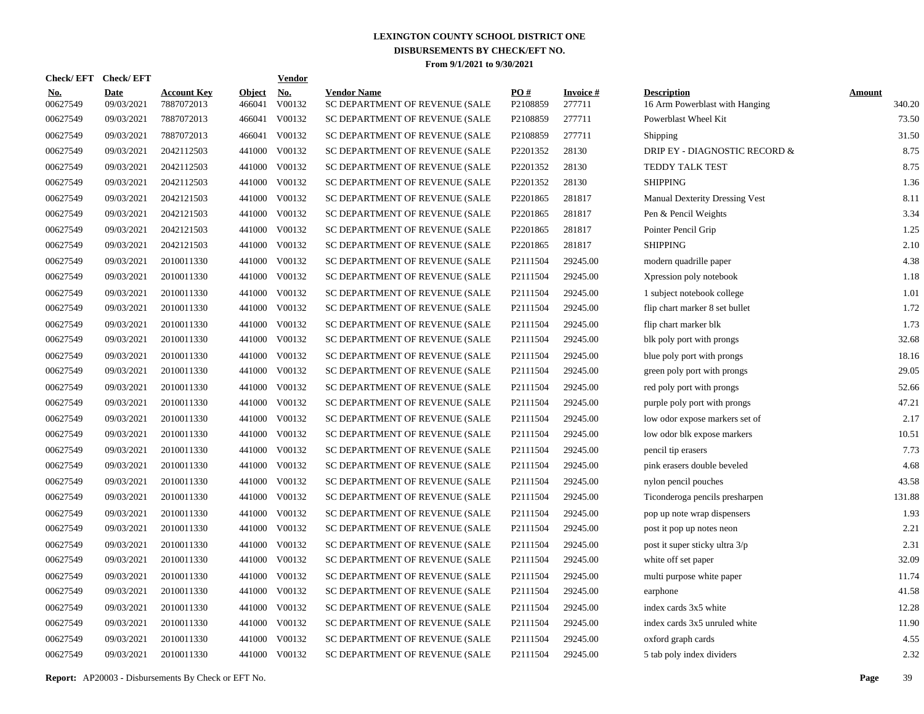| <b>Check/EFT</b>       | <b>Check/EFT</b>          |                                  |                         | <b>Vendor</b> |                                                      |                 |                           |                                                      |                         |
|------------------------|---------------------------|----------------------------------|-------------------------|---------------|------------------------------------------------------|-----------------|---------------------------|------------------------------------------------------|-------------------------|
| <u>No.</u><br>00627549 | <b>Date</b><br>09/03/2021 | <b>Account Key</b><br>7887072013 | <b>Object</b><br>466041 | No.<br>V00132 | <b>Vendor Name</b><br>SC DEPARTMENT OF REVENUE (SALE | PO#<br>P2108859 | <b>Invoice#</b><br>277711 | <b>Description</b><br>16 Arm Powerblast with Hanging | <b>Amount</b><br>340.20 |
| 00627549               | 09/03/2021                | 7887072013                       | 466041                  | V00132        | SC DEPARTMENT OF REVENUE (SALE                       | P2108859        | 277711                    | Powerblast Wheel Kit                                 | 73.50                   |
| 00627549               | 09/03/2021                | 7887072013                       | 466041                  | V00132        | SC DEPARTMENT OF REVENUE (SALE                       | P2108859        | 277711                    | Shipping                                             | 31.50                   |
| 00627549               | 09/03/2021                | 2042112503                       | 441000                  | V00132        | SC DEPARTMENT OF REVENUE (SALE                       | P2201352        | 28130                     | DRIP EY - DIAGNOSTIC RECORD &                        | 8.75                    |
| 00627549               | 09/03/2021                | 2042112503                       |                         | 441000 V00132 | SC DEPARTMENT OF REVENUE (SALE                       | P2201352        | 28130                     | TEDDY TALK TEST                                      | 8.75                    |
| 00627549               | 09/03/2021                | 2042112503                       |                         | 441000 V00132 | SC DEPARTMENT OF REVENUE (SALE                       | P2201352        | 28130                     | <b>SHIPPING</b>                                      | 1.36                    |
| 00627549               | 09/03/2021                | 2042121503                       |                         | 441000 V00132 | SC DEPARTMENT OF REVENUE (SALE                       | P2201865        | 281817                    | <b>Manual Dexterity Dressing Vest</b>                | 8.11                    |
| 00627549               | 09/03/2021                | 2042121503                       |                         | 441000 V00132 | SC DEPARTMENT OF REVENUE (SALE                       | P2201865        | 281817                    | Pen & Pencil Weights                                 | 3.34                    |
| 00627549               | 09/03/2021                | 2042121503                       |                         | 441000 V00132 | SC DEPARTMENT OF REVENUE (SALE                       | P2201865        | 281817                    | Pointer Pencil Grip                                  | 1.25                    |
| 00627549               | 09/03/2021                | 2042121503                       |                         | 441000 V00132 | SC DEPARTMENT OF REVENUE (SALE                       | P2201865        | 281817                    | <b>SHIPPING</b>                                      | 2.10                    |
| 00627549               | 09/03/2021                | 2010011330                       |                         | 441000 V00132 | SC DEPARTMENT OF REVENUE (SALE                       | P2111504        | 29245.00                  | modern quadrille paper                               | 4.38                    |
| 00627549               | 09/03/2021                | 2010011330                       |                         | 441000 V00132 | SC DEPARTMENT OF REVENUE (SALE                       | P2111504        | 29245.00                  | Xpression poly notebook                              | 1.18                    |
| 00627549               | 09/03/2021                | 2010011330                       |                         | 441000 V00132 | SC DEPARTMENT OF REVENUE (SALE                       | P2111504        | 29245.00                  | 1 subject notebook college                           | 1.01                    |
| 00627549               | 09/03/2021                | 2010011330                       |                         | 441000 V00132 | SC DEPARTMENT OF REVENUE (SALE                       | P2111504        | 29245.00                  | flip chart marker 8 set bullet                       | 1.72                    |
| 00627549               | 09/03/2021                | 2010011330                       |                         | 441000 V00132 | SC DEPARTMENT OF REVENUE (SALE                       | P2111504        | 29245.00                  | flip chart marker blk                                | 1.73                    |
| 00627549               | 09/03/2021                | 2010011330                       |                         | 441000 V00132 | SC DEPARTMENT OF REVENUE (SALE                       | P2111504        | 29245.00                  | blk poly port with prongs                            | 32.68                   |
| 00627549               | 09/03/2021                | 2010011330                       |                         | 441000 V00132 | SC DEPARTMENT OF REVENUE (SALE                       | P2111504        | 29245.00                  | blue poly port with prongs                           | 18.16                   |
| 00627549               | 09/03/2021                | 2010011330                       |                         | 441000 V00132 | SC DEPARTMENT OF REVENUE (SALE                       | P2111504        | 29245.00                  | green poly port with prongs                          | 29.05                   |
| 00627549               | 09/03/2021                | 2010011330                       |                         | 441000 V00132 | SC DEPARTMENT OF REVENUE (SALE                       | P2111504        | 29245.00                  | red poly port with prongs                            | 52.66                   |
| 00627549               | 09/03/2021                | 2010011330                       |                         | 441000 V00132 | SC DEPARTMENT OF REVENUE (SALE                       | P2111504        | 29245.00                  | purple poly port with prongs                         | 47.21                   |
| 00627549               | 09/03/2021                | 2010011330                       |                         | 441000 V00132 | SC DEPARTMENT OF REVENUE (SALE                       | P2111504        | 29245.00                  | low odor expose markers set of                       | 2.17                    |
| 00627549               | 09/03/2021                | 2010011330                       |                         | 441000 V00132 | SC DEPARTMENT OF REVENUE (SALE                       | P2111504        | 29245.00                  | low odor blk expose markers                          | 10.51                   |
| 00627549               | 09/03/2021                | 2010011330                       |                         | 441000 V00132 | SC DEPARTMENT OF REVENUE (SALE                       | P2111504        | 29245.00                  | pencil tip erasers                                   | 7.73                    |
| 00627549               | 09/03/2021                | 2010011330                       |                         | 441000 V00132 | SC DEPARTMENT OF REVENUE (SALE                       | P2111504        | 29245.00                  | pink erasers double beveled                          | 4.68                    |
| 00627549               | 09/03/2021                | 2010011330                       |                         | 441000 V00132 | SC DEPARTMENT OF REVENUE (SALE                       | P2111504        | 29245.00                  | nylon pencil pouches                                 | 43.58                   |
| 00627549               | 09/03/2021                | 2010011330                       |                         | 441000 V00132 | SC DEPARTMENT OF REVENUE (SALE                       | P2111504        | 29245.00                  | Ticonderoga pencils presharpen                       | 131.88                  |
| 00627549               | 09/03/2021                | 2010011330                       |                         | 441000 V00132 | SC DEPARTMENT OF REVENUE (SALE                       | P2111504        | 29245.00                  | pop up note wrap dispensers                          | 1.93                    |
| 00627549               | 09/03/2021                | 2010011330                       |                         | 441000 V00132 | SC DEPARTMENT OF REVENUE (SALE                       | P2111504        | 29245.00                  | post it pop up notes neon                            | 2.21                    |
| 00627549               | 09/03/2021                | 2010011330                       |                         | 441000 V00132 | SC DEPARTMENT OF REVENUE (SALE                       | P2111504        | 29245.00                  | post it super sticky ultra 3/p                       | 2.31                    |
| 00627549               | 09/03/2021                | 2010011330                       |                         | 441000 V00132 | SC DEPARTMENT OF REVENUE (SALE                       | P2111504        | 29245.00                  | white off set paper                                  | 32.09                   |
| 00627549               | 09/03/2021                | 2010011330                       |                         | 441000 V00132 | SC DEPARTMENT OF REVENUE (SALE                       | P2111504        | 29245.00                  | multi purpose white paper                            | 11.74                   |
| 00627549               | 09/03/2021                | 2010011330                       |                         | 441000 V00132 | SC DEPARTMENT OF REVENUE (SALE                       | P2111504        | 29245.00                  | earphone                                             | 41.58                   |
| 00627549               | 09/03/2021                | 2010011330                       |                         | 441000 V00132 | SC DEPARTMENT OF REVENUE (SALE                       | P2111504        | 29245.00                  | index cards 3x5 white                                | 12.28                   |
| 00627549               | 09/03/2021                | 2010011330                       |                         | 441000 V00132 | SC DEPARTMENT OF REVENUE (SALE                       | P2111504        | 29245.00                  | index cards 3x5 unruled white                        | 11.90                   |
| 00627549               | 09/03/2021                | 2010011330                       | 441000                  | V00132        | SC DEPARTMENT OF REVENUE (SALE                       | P2111504        | 29245.00                  | oxford graph cards                                   | 4.55                    |
| 00627549               | 09/03/2021                | 2010011330                       |                         | 441000 V00132 | SC DEPARTMENT OF REVENUE (SALE                       | P2111504        | 29245.00                  | 5 tab poly index dividers                            | 2.32                    |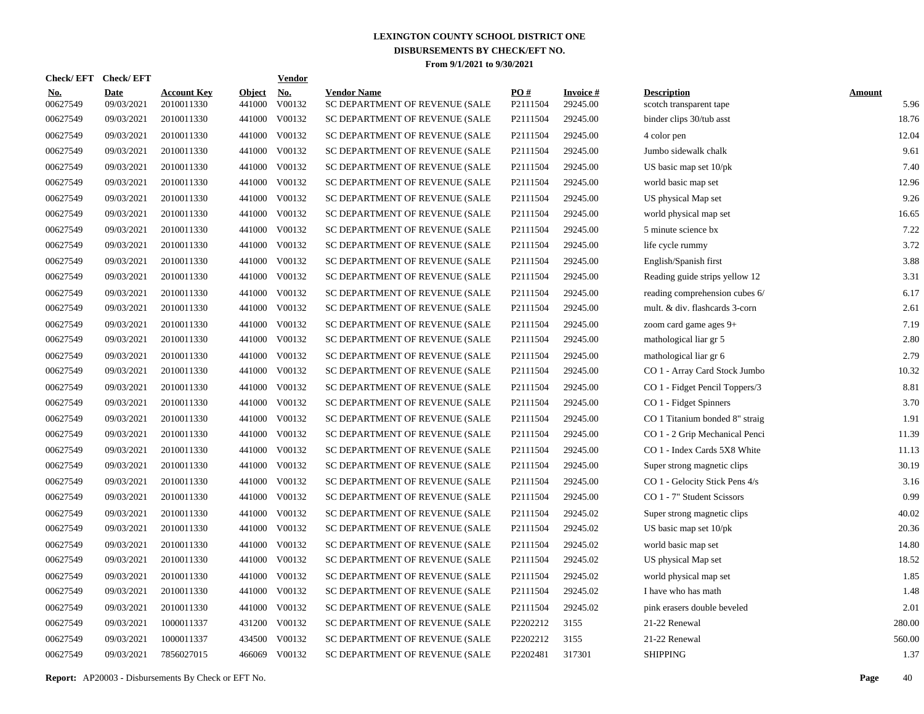| <b>Check/EFT</b>       | <b>Check/EFT</b>          |                                  |                         | <b>Vendor</b> |                                                      |                      |                             |                                               |                       |
|------------------------|---------------------------|----------------------------------|-------------------------|---------------|------------------------------------------------------|----------------------|-----------------------------|-----------------------------------------------|-----------------------|
| <u>No.</u><br>00627549 | <b>Date</b><br>09/03/2021 | <b>Account Key</b><br>2010011330 | <b>Object</b><br>441000 | No.<br>V00132 | <b>Vendor Name</b><br>SC DEPARTMENT OF REVENUE (SALE | PO#<br>P2111504      | <b>Invoice#</b><br>29245.00 | <b>Description</b><br>scotch transparent tape | <b>Amount</b><br>5.96 |
| 00627549               | 09/03/2021                | 2010011330                       | 441000                  | V00132        | SC DEPARTMENT OF REVENUE (SALE                       | P2111504             | 29245.00                    | binder clips 30/tub asst                      | 18.76                 |
| 00627549               | 09/03/2021                | 2010011330                       | 441000                  | V00132        | SC DEPARTMENT OF REVENUE (SALE                       | P2111504             | 29245.00                    | 4 color pen                                   | 12.04                 |
| 00627549               | 09/03/2021                | 2010011330                       | 441000                  | V00132        | SC DEPARTMENT OF REVENUE (SALE                       | P2111504             | 29245.00                    | Jumbo sidewalk chalk                          | 9.61                  |
| 00627549               | 09/03/2021                | 2010011330                       |                         | 441000 V00132 | SC DEPARTMENT OF REVENUE (SALE                       | P2111504             | 29245.00                    | US basic map set 10/pk                        | 7.40                  |
| 00627549               | 09/03/2021                | 2010011330                       | 441000                  | V00132        | SC DEPARTMENT OF REVENUE (SALE                       | P2111504             | 29245.00                    | world basic map set                           | 12.96                 |
| 00627549               | 09/03/2021                | 2010011330                       |                         | 441000 V00132 | SC DEPARTMENT OF REVENUE (SALE                       | P2111504             | 29245.00                    | US physical Map set                           | 9.26                  |
| 00627549               | 09/03/2021                | 2010011330                       | 441000                  | V00132        | SC DEPARTMENT OF REVENUE (SALE                       | P2111504             | 29245.00                    | world physical map set                        | 16.65                 |
| 00627549               | 09/03/2021                | 2010011330                       |                         | 441000 V00132 | SC DEPARTMENT OF REVENUE (SALE                       | P2111504             | 29245.00                    | 5 minute science bx                           | 7.22                  |
| 00627549               | 09/03/2021                | 2010011330                       |                         | 441000 V00132 | SC DEPARTMENT OF REVENUE (SALE                       | P2111504             | 29245.00                    | life cycle rummy                              | 3.72                  |
| 00627549               | 09/03/2021                | 2010011330                       |                         | 441000 V00132 | SC DEPARTMENT OF REVENUE (SALE                       | P2111504             | 29245.00                    | English/Spanish first                         | 3.88                  |
| 00627549               | 09/03/2021                | 2010011330                       |                         | 441000 V00132 | SC DEPARTMENT OF REVENUE (SALE                       | P <sub>2111504</sub> | 29245.00                    | Reading guide strips yellow 12                | 3.31                  |
| 00627549               | 09/03/2021                | 2010011330                       |                         | 441000 V00132 | SC DEPARTMENT OF REVENUE (SALE                       | P <sub>2111504</sub> | 29245.00                    | reading comprehension cubes 6/                | 6.17                  |
| 00627549               | 09/03/2021                | 2010011330                       |                         | 441000 V00132 | SC DEPARTMENT OF REVENUE (SALE                       | P2111504             | 29245.00                    | mult. & div. flashcards 3-corn                | 2.61                  |
| 00627549               | 09/03/2021                | 2010011330                       | 441000                  | V00132        | SC DEPARTMENT OF REVENUE (SALE                       | P2111504             | 29245.00                    | zoom card game ages 9+                        | 7.19                  |
| 00627549               | 09/03/2021                | 2010011330                       |                         | 441000 V00132 | SC DEPARTMENT OF REVENUE (SALE                       | P2111504             | 29245.00                    | mathological liar gr 5                        | 2.80                  |
| 00627549               | 09/03/2021                | 2010011330                       | 441000                  | V00132        | SC DEPARTMENT OF REVENUE (SALE                       | P2111504             | 29245.00                    | mathological liar gr 6                        | 2.79                  |
| 00627549               | 09/03/2021                | 2010011330                       |                         | 441000 V00132 | SC DEPARTMENT OF REVENUE (SALE                       | P2111504             | 29245.00                    | CO 1 - Array Card Stock Jumbo                 | 10.32                 |
| 00627549               | 09/03/2021                | 2010011330                       | 441000                  | V00132        | SC DEPARTMENT OF REVENUE (SALE                       | P2111504             | 29245.00                    | CO 1 - Fidget Pencil Toppers/3                | 8.81                  |
| 00627549               | 09/03/2021                | 2010011330                       | 441000                  | V00132        | SC DEPARTMENT OF REVENUE (SALE                       | P2111504             | 29245.00                    | CO 1 - Fidget Spinners                        | 3.70                  |
| 00627549               | 09/03/2021                | 2010011330                       | 441000                  | V00132        | SC DEPARTMENT OF REVENUE (SALE                       | P2111504             | 29245.00                    | CO 1 Titanium bonded 8" straig                | 1.91                  |
| 00627549               | 09/03/2021                | 2010011330                       | 441000                  | V00132        | SC DEPARTMENT OF REVENUE (SALE                       | P2111504             | 29245.00                    | CO 1 - 2 Grip Mechanical Penci                | 11.39                 |
| 00627549               | 09/03/2021                | 2010011330                       | 441000                  | V00132        | SC DEPARTMENT OF REVENUE (SALE                       | P2111504             | 29245.00                    | CO 1 - Index Cards 5X8 White                  | 11.13                 |
| 00627549               | 09/03/2021                | 2010011330                       | 441000                  | V00132        | SC DEPARTMENT OF REVENUE (SALE                       | P2111504             | 29245.00                    | Super strong magnetic clips                   | 30.19                 |
| 00627549               | 09/03/2021                | 2010011330                       | 441000                  | V00132        | SC DEPARTMENT OF REVENUE (SALE                       | P2111504             | 29245.00                    | CO 1 - Gelocity Stick Pens 4/s                | 3.16                  |
| 00627549               | 09/03/2021                | 2010011330                       | 441000                  | V00132        | SC DEPARTMENT OF REVENUE (SALE                       | P2111504             | 29245.00                    | CO 1 - 7" Student Scissors                    | 0.99                  |
| 00627549               | 09/03/2021                | 2010011330                       | 441000                  | V00132        | SC DEPARTMENT OF REVENUE (SALE                       | P2111504             | 29245.02                    | Super strong magnetic clips                   | 40.02                 |
| 00627549               | 09/03/2021                | 2010011330                       | 441000                  | V00132        | SC DEPARTMENT OF REVENUE (SALE                       | P2111504             | 29245.02                    | US basic map set 10/pk                        | 20.36                 |
| 00627549               | 09/03/2021                | 2010011330                       | 441000                  | V00132        | SC DEPARTMENT OF REVENUE (SALE                       | P2111504             | 29245.02                    | world basic map set                           | 14.80                 |
| 00627549               | 09/03/2021                | 2010011330                       | 441000                  | V00132        | SC DEPARTMENT OF REVENUE (SALE                       | P2111504             | 29245.02                    | US physical Map set                           | 18.52                 |
| 00627549               | 09/03/2021                | 2010011330                       | 441000                  | V00132        | SC DEPARTMENT OF REVENUE (SALE                       | P2111504             | 29245.02                    | world physical map set                        | 1.85                  |
| 00627549               | 09/03/2021                | 2010011330                       | 441000                  | V00132        | SC DEPARTMENT OF REVENUE (SALE                       | P2111504             | 29245.02                    | I have who has math                           | 1.48                  |
| 00627549               | 09/03/2021                | 2010011330                       | 441000                  | V00132        | SC DEPARTMENT OF REVENUE (SALE                       | P2111504             | 29245.02                    | pink erasers double beveled                   | 2.01                  |
| 00627549               | 09/03/2021                | 1000011337                       | 431200                  | V00132        | SC DEPARTMENT OF REVENUE (SALE                       | P2202212             | 3155                        | 21-22 Renewal                                 | 280.00                |
| 00627549               | 09/03/2021                | 1000011337                       | 434500                  | V00132        | SC DEPARTMENT OF REVENUE (SALE                       | P2202212             | 3155                        | 21-22 Renewal                                 | 560.00                |
| 00627549               | 09/03/2021                | 7856027015                       | 466069                  | V00132        | SC DEPARTMENT OF REVENUE (SALE                       | P2202481             | 317301                      | <b>SHIPPING</b>                               | 1.37                  |

**Report:** AP20003 - Disbursements By Check or EFT No. **Page** 40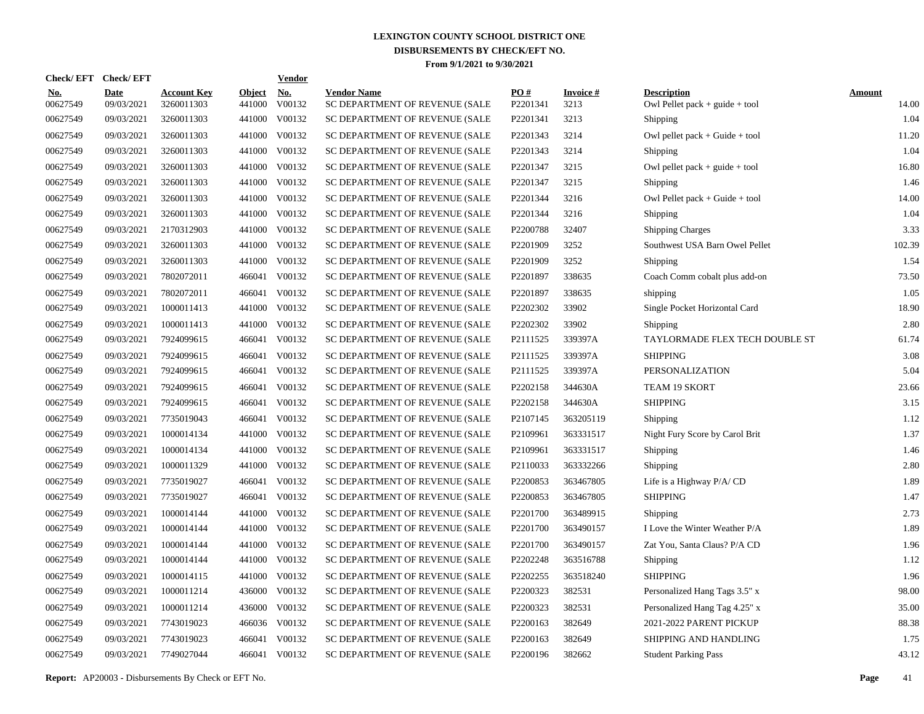| <b>Check/EFT</b>       | <b>Check/EFT</b>          |                                  |                         | <b>Vendor</b> |                                                      |                 |                         |                                                          |                        |
|------------------------|---------------------------|----------------------------------|-------------------------|---------------|------------------------------------------------------|-----------------|-------------------------|----------------------------------------------------------|------------------------|
| <u>No.</u><br>00627549 | <b>Date</b><br>09/03/2021 | <u>Account Key</u><br>3260011303 | <b>Object</b><br>441000 | No.<br>V00132 | <b>Vendor Name</b><br>SC DEPARTMENT OF REVENUE (SALE | PO#<br>P2201341 | <b>Invoice#</b><br>3213 | <b>Description</b><br>Owl Pellet pack $+$ guide $+$ tool | <b>Amount</b><br>14.00 |
| 00627549               | 09/03/2021                | 3260011303                       |                         | 441000 V00132 | SC DEPARTMENT OF REVENUE (SALE                       | P2201341        | 3213                    | Shipping                                                 | 1.04                   |
| 00627549               | 09/03/2021                | 3260011303                       |                         | 441000 V00132 | SC DEPARTMENT OF REVENUE (SALE                       | P2201343        | 3214                    | Owl pellet pack $+$ Guide $+$ tool                       | 11.20                  |
| 00627549               | 09/03/2021                | 3260011303                       |                         | 441000 V00132 | SC DEPARTMENT OF REVENUE (SALE                       | P2201343        | 3214                    | Shipping                                                 | 1.04                   |
| 00627549               | 09/03/2021                | 3260011303                       |                         | 441000 V00132 | SC DEPARTMENT OF REVENUE (SALE                       | P2201347        | 3215                    | Owl pellet pack $+$ guide $+$ tool                       | 16.80                  |
| 00627549               | 09/03/2021                | 3260011303                       |                         | 441000 V00132 | SC DEPARTMENT OF REVENUE (SALE                       | P2201347        | 3215                    | Shipping                                                 | 1.46                   |
| 00627549               | 09/03/2021                | 3260011303                       |                         | 441000 V00132 | SC DEPARTMENT OF REVENUE (SALE                       | P2201344        | 3216                    | Owl Pellet pack $+$ Guide $+$ tool                       | 14.00                  |
| 00627549               | 09/03/2021                | 3260011303                       |                         | 441000 V00132 | SC DEPARTMENT OF REVENUE (SALE                       | P2201344        | 3216                    | Shipping                                                 | 1.04                   |
| 00627549               | 09/03/2021                | 2170312903                       |                         | 441000 V00132 | SC DEPARTMENT OF REVENUE (SALE                       | P2200788        | 32407                   | <b>Shipping Charges</b>                                  | 3.33                   |
| 00627549               | 09/03/2021                | 3260011303                       |                         | 441000 V00132 | SC DEPARTMENT OF REVENUE (SALE                       | P2201909        | 3252                    | Southwest USA Barn Owel Pellet                           | 102.39                 |
| 00627549               | 09/03/2021                | 3260011303                       |                         | 441000 V00132 | SC DEPARTMENT OF REVENUE (SALE                       | P2201909        | 3252                    | Shipping                                                 | 1.54                   |
| 00627549               | 09/03/2021                | 7802072011                       | 466041                  | V00132        | SC DEPARTMENT OF REVENUE (SALE                       | P2201897        | 338635                  | Coach Comm cobalt plus add-on                            | 73.50                  |
| 00627549               | 09/03/2021                | 7802072011                       |                         | 466041 V00132 | SC DEPARTMENT OF REVENUE (SALE                       | P2201897        | 338635                  | shipping                                                 | 1.05                   |
| 00627549               | 09/03/2021                | 1000011413                       |                         | 441000 V00132 | SC DEPARTMENT OF REVENUE (SALE                       | P2202302        | 33902                   | Single Pocket Horizontal Card                            | 18.90                  |
| 00627549               | 09/03/2021                | 1000011413                       |                         | 441000 V00132 | SC DEPARTMENT OF REVENUE (SALE                       | P2202302        | 33902                   | Shipping                                                 | 2.80                   |
| 00627549               | 09/03/2021                | 7924099615                       | 466041                  | V00132        | SC DEPARTMENT OF REVENUE (SALE                       | P2111525        | 339397A                 | TAYLORMADE FLEX TECH DOUBLE ST                           | 61.74                  |
| 00627549               | 09/03/2021                | 7924099615                       |                         | 466041 V00132 | SC DEPARTMENT OF REVENUE (SALE                       | P2111525        | 339397A                 | <b>SHIPPING</b>                                          | 3.08                   |
| 00627549               | 09/03/2021                | 7924099615                       | 466041                  | V00132        | SC DEPARTMENT OF REVENUE (SALE                       | P2111525        | 339397A                 | PERSONALIZATION                                          | 5.04                   |
| 00627549               | 09/03/2021                | 7924099615                       | 466041                  | V00132        | SC DEPARTMENT OF REVENUE (SALE                       | P2202158        | 344630A                 | TEAM 19 SKORT                                            | 23.66                  |
| 00627549               | 09/03/2021                | 7924099615                       |                         | 466041 V00132 | SC DEPARTMENT OF REVENUE (SALE                       | P2202158        | 344630A                 | <b>SHIPPING</b>                                          | 3.15                   |
| 00627549               | 09/03/2021                | 7735019043                       |                         | 466041 V00132 | SC DEPARTMENT OF REVENUE (SALE                       | P2107145        | 363205119               | Shipping                                                 | 1.12                   |
| 00627549               | 09/03/2021                | 1000014134                       |                         | 441000 V00132 | SC DEPARTMENT OF REVENUE (SALE                       | P2109961        | 363331517               | Night Fury Score by Carol Brit                           | 1.37                   |
| 00627549               | 09/03/2021                | 1000014134                       |                         | 441000 V00132 | SC DEPARTMENT OF REVENUE (SALE                       | P2109961        | 363331517               | Shipping                                                 | 1.46                   |
| 00627549               | 09/03/2021                | 1000011329                       |                         | 441000 V00132 | SC DEPARTMENT OF REVENUE (SALE                       | P2110033        | 363332266               | Shipping                                                 | 2.80                   |
| 00627549               | 09/03/2021                | 7735019027                       |                         | 466041 V00132 | SC DEPARTMENT OF REVENUE (SALE                       | P2200853        | 363467805               | Life is a Highway P/A/CD                                 | 1.89                   |
| 00627549               | 09/03/2021                | 7735019027                       |                         | 466041 V00132 | SC DEPARTMENT OF REVENUE (SALE                       | P2200853        | 363467805               | <b>SHIPPING</b>                                          | 1.47                   |
| 00627549               | 09/03/2021                | 1000014144                       |                         | 441000 V00132 | SC DEPARTMENT OF REVENUE (SALE                       | P2201700        | 363489915               | Shipping                                                 | 2.73                   |
| 00627549               | 09/03/2021                | 1000014144                       |                         | 441000 V00132 | SC DEPARTMENT OF REVENUE (SALE                       | P2201700        | 363490157               | I Love the Winter Weather P/A                            | 1.89                   |
| 00627549               | 09/03/2021                | 1000014144                       |                         | 441000 V00132 | SC DEPARTMENT OF REVENUE (SALE                       | P2201700        | 363490157               | Zat You, Santa Claus? P/A CD                             | 1.96                   |
| 00627549               | 09/03/2021                | 1000014144                       |                         | 441000 V00132 | SC DEPARTMENT OF REVENUE (SALE                       | P2202248        | 363516788               | Shipping                                                 | 1.12                   |
| 00627549               | 09/03/2021                | 1000014115                       |                         | 441000 V00132 | SC DEPARTMENT OF REVENUE (SALE                       | P2202255        | 363518240               | <b>SHIPPING</b>                                          | 1.96                   |
| 00627549               | 09/03/2021                | 1000011214                       |                         | 436000 V00132 | SC DEPARTMENT OF REVENUE (SALE                       | P2200323        | 382531                  | Personalized Hang Tags 3.5" x                            | 98.00                  |
| 00627549               | 09/03/2021                | 1000011214                       |                         | 436000 V00132 | SC DEPARTMENT OF REVENUE (SALE                       | P2200323        | 382531                  | Personalized Hang Tag 4.25" x                            | 35.00                  |
| 00627549               | 09/03/2021                | 7743019023                       |                         | 466036 V00132 | SC DEPARTMENT OF REVENUE (SALE                       | P2200163        | 382649                  | 2021-2022 PARENT PICKUP                                  | 88.38                  |
| 00627549               | 09/03/2021                | 7743019023                       | 466041                  | V00132        | SC DEPARTMENT OF REVENUE (SALE                       | P2200163        | 382649                  | SHIPPING AND HANDLING                                    | 1.75                   |
| 00627549               | 09/03/2021                | 7749027044                       |                         | 466041 V00132 | SC DEPARTMENT OF REVENUE (SALE                       | P2200196        | 382662                  | <b>Student Parking Pass</b>                              | 43.12                  |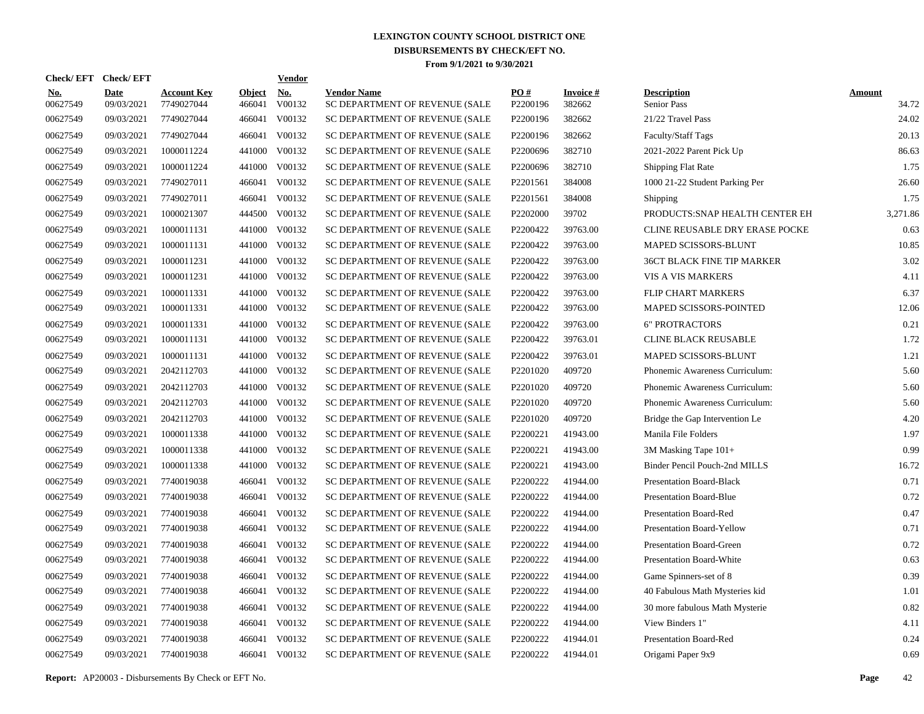| Check/EFT Check/EFT    |                           |                                  |                         | <b>Vendor</b> |                                                      |                 |                           |                                   |                        |
|------------------------|---------------------------|----------------------------------|-------------------------|---------------|------------------------------------------------------|-----------------|---------------------------|-----------------------------------|------------------------|
| <u>No.</u><br>00627549 | <b>Date</b><br>09/03/2021 | <b>Account Key</b><br>7749027044 | <b>Object</b><br>466041 | No.<br>V00132 | <b>Vendor Name</b><br>SC DEPARTMENT OF REVENUE (SALE | PO#<br>P2200196 | <b>Invoice#</b><br>382662 | <b>Description</b><br>Senior Pass | <b>Amount</b><br>34.72 |
| 00627549               | 09/03/2021                | 7749027044                       | 466041                  | V00132        | SC DEPARTMENT OF REVENUE (SALE                       | P2200196        | 382662                    | 21/22 Travel Pass                 | 24.02                  |
| 00627549               | 09/03/2021                | 7749027044                       | 466041                  | V00132        | SC DEPARTMENT OF REVENUE (SALE                       | P2200196        | 382662                    | Faculty/Staff Tags                | 20.13                  |
| 00627549               | 09/03/2021                | 1000011224                       | 441000                  | V00132        | SC DEPARTMENT OF REVENUE (SALE                       | P2200696        | 382710                    | 2021-2022 Parent Pick Up          | 86.63                  |
| 00627549               | 09/03/2021                | 1000011224                       | 441000                  | V00132        | SC DEPARTMENT OF REVENUE (SALE                       | P2200696        | 382710                    | Shipping Flat Rate                | 1.75                   |
| 00627549               | 09/03/2021                | 7749027011                       | 466041                  | V00132        | SC DEPARTMENT OF REVENUE (SALE                       | P2201561        | 384008                    | 1000 21-22 Student Parking Per    | 26.60                  |
| 00627549               | 09/03/2021                | 7749027011                       | 466041                  | V00132        | SC DEPARTMENT OF REVENUE (SALE                       | P2201561        | 384008                    | Shipping                          | 1.75                   |
| 00627549               | 09/03/2021                | 1000021307                       | 444500                  | V00132        | SC DEPARTMENT OF REVENUE (SALE                       | P2202000        | 39702                     | PRODUCTS: SNAP HEALTH CENTER EH   | 3,271.86               |
| 00627549               | 09/03/2021                | 1000011131                       | 441000                  | V00132        | SC DEPARTMENT OF REVENUE (SALE                       | P2200422        | 39763.00                  | CLINE REUSABLE DRY ERASE POCKE    | 0.63                   |
| 00627549               | 09/03/2021                | 1000011131                       | 441000                  | V00132        | SC DEPARTMENT OF REVENUE (SALE                       | P2200422        | 39763.00                  | MAPED SCISSORS-BLUNT              | 10.85                  |
| 00627549               | 09/03/2021                | 1000011231                       | 441000                  | V00132        | SC DEPARTMENT OF REVENUE (SALE                       | P2200422        | 39763.00                  | 36CT BLACK FINE TIP MARKER        | 3.02                   |
| 00627549               | 09/03/2021                | 1000011231                       | 441000                  | V00132        | SC DEPARTMENT OF REVENUE (SALE                       | P2200422        | 39763.00                  | VIS A VIS MARKERS                 | 4.11                   |
| 00627549               | 09/03/2021                | 1000011331                       | 441000                  | V00132        | SC DEPARTMENT OF REVENUE (SALE                       | P2200422        | 39763.00                  | FLIP CHART MARKERS                | 6.37                   |
| 00627549               | 09/03/2021                | 1000011331                       | 441000                  | V00132        | SC DEPARTMENT OF REVENUE (SALE                       | P2200422        | 39763.00                  | MAPED SCISSORS-POINTED            | 12.06                  |
| 00627549               | 09/03/2021                | 1000011331                       | 441000                  | V00132        | SC DEPARTMENT OF REVENUE (SALE                       | P2200422        | 39763.00                  | <b>6" PROTRACTORS</b>             | 0.21                   |
| 00627549               | 09/03/2021                | 1000011131                       | 441000                  | V00132        | SC DEPARTMENT OF REVENUE (SALE                       | P2200422        | 39763.01                  | CLINE BLACK REUSABLE              | 1.72                   |
| 00627549               | 09/03/2021                | 1000011131                       | 441000                  | V00132        | SC DEPARTMENT OF REVENUE (SALE                       | P2200422        | 39763.01                  | MAPED SCISSORS-BLUNT              | 1.21                   |
| 00627549               | 09/03/2021                | 2042112703                       | 441000                  | V00132        | SC DEPARTMENT OF REVENUE (SALE                       | P2201020        | 409720                    | Phonemic Awareness Curriculum:    | 5.60                   |
| 00627549               | 09/03/2021                | 2042112703                       | 441000                  | V00132        | SC DEPARTMENT OF REVENUE (SALE                       | P2201020        | 409720                    | Phonemic Awareness Curriculum:    | 5.60                   |
| 00627549               | 09/03/2021                | 2042112703                       | 441000                  | V00132        | SC DEPARTMENT OF REVENUE (SALE                       | P2201020        | 409720                    | Phonemic Awareness Curriculum:    | 5.60                   |
| 00627549               | 09/03/2021                | 2042112703                       | 441000                  | V00132        | SC DEPARTMENT OF REVENUE (SALE                       | P2201020        | 409720                    | Bridge the Gap Intervention Le    | 4.20                   |
| 00627549               | 09/03/2021                | 1000011338                       | 441000                  | V00132        | SC DEPARTMENT OF REVENUE (SALE                       | P2200221        | 41943.00                  | Manila File Folders               | 1.97                   |
| 00627549               | 09/03/2021                | 1000011338                       | 441000                  | V00132        | SC DEPARTMENT OF REVENUE (SALE                       | P2200221        | 41943.00                  | 3M Masking Tape 101+              | 0.99                   |
| 00627549               | 09/03/2021                | 1000011338                       | 441000                  | V00132        | SC DEPARTMENT OF REVENUE (SALE                       | P2200221        | 41943.00                  | Binder Pencil Pouch-2nd MILLS     | 16.72                  |
| 00627549               | 09/03/2021                | 7740019038                       | 466041                  | V00132        | SC DEPARTMENT OF REVENUE (SALE                       | P2200222        | 41944.00                  | <b>Presentation Board-Black</b>   | 0.71                   |
| 00627549               | 09/03/2021                | 7740019038                       | 466041                  | V00132        | SC DEPARTMENT OF REVENUE (SALE                       | P2200222        | 41944.00                  | <b>Presentation Board-Blue</b>    | 0.72                   |
| 00627549               | 09/03/2021                | 7740019038                       | 466041                  | V00132        | SC DEPARTMENT OF REVENUE (SALE                       | P2200222        | 41944.00                  | <b>Presentation Board-Red</b>     | 0.47                   |
| 00627549               | 09/03/2021                | 7740019038                       | 466041                  | V00132        | SC DEPARTMENT OF REVENUE (SALE                       | P2200222        | 41944.00                  | Presentation Board-Yellow         | 0.71                   |
| 00627549               | 09/03/2021                | 7740019038                       | 466041                  | V00132        | SC DEPARTMENT OF REVENUE (SALE                       | P2200222        | 41944.00                  | <b>Presentation Board-Green</b>   | 0.72                   |
| 00627549               | 09/03/2021                | 7740019038                       | 466041                  | V00132        | SC DEPARTMENT OF REVENUE (SALE                       | P2200222        | 41944.00                  | Presentation Board-White          | 0.63                   |
| 00627549               | 09/03/2021                | 7740019038                       | 466041                  | V00132        | SC DEPARTMENT OF REVENUE (SALE                       | P2200222        | 41944.00                  | Game Spinners-set of 8            | 0.39                   |
| 00627549               | 09/03/2021                | 7740019038                       | 466041                  | V00132        | SC DEPARTMENT OF REVENUE (SALE                       | P2200222        | 41944.00                  | 40 Fabulous Math Mysteries kid    | 1.01                   |
| 00627549               | 09/03/2021                | 7740019038                       | 466041                  | V00132        | SC DEPARTMENT OF REVENUE (SALE                       | P2200222        | 41944.00                  | 30 more fabulous Math Mysterie    | 0.82                   |
| 00627549               | 09/03/2021                | 7740019038                       | 466041                  | V00132        | SC DEPARTMENT OF REVENUE (SALE                       | P2200222        | 41944.00                  | View Binders 1"                   | 4.11                   |
| 00627549               | 09/03/2021                | 7740019038                       | 466041                  | V00132        | SC DEPARTMENT OF REVENUE (SALE                       | P2200222        | 41944.01                  | Presentation Board-Red            | 0.24                   |
| 00627549               | 09/03/2021                | 7740019038                       |                         | 466041 V00132 | SC DEPARTMENT OF REVENUE (SALE                       | P2200222        | 41944.01                  | Origami Paper 9x9                 | 0.69                   |

**Report:** AP20003 - Disbursements By Check or EFT No. **Page** 42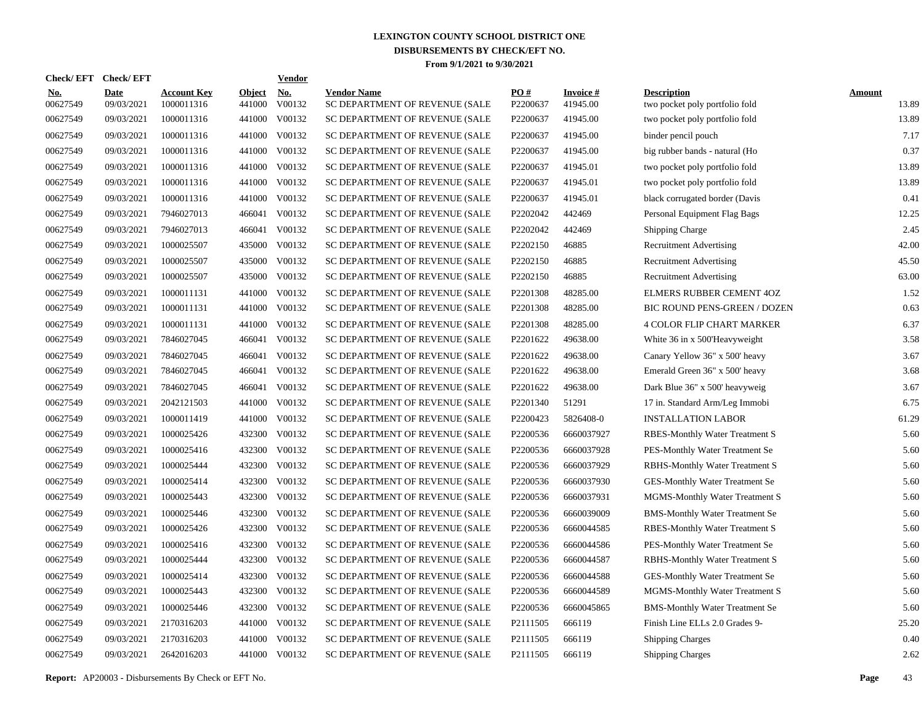| <b>Check/EFT</b>       | <b>Check/EFT</b>          |                                  |                         | <b>Vendor</b> |                                                      |                      |                             |                                                      |                        |
|------------------------|---------------------------|----------------------------------|-------------------------|---------------|------------------------------------------------------|----------------------|-----------------------------|------------------------------------------------------|------------------------|
| <u>No.</u><br>00627549 | <b>Date</b><br>09/03/2021 | <b>Account Key</b><br>1000011316 | <b>Object</b><br>441000 | No.<br>V00132 | <b>Vendor Name</b><br>SC DEPARTMENT OF REVENUE (SALE | PO#<br>P2200637      | <b>Invoice#</b><br>41945.00 | <b>Description</b><br>two pocket poly portfolio fold | <b>Amount</b><br>13.89 |
| 00627549               | 09/03/2021                | 1000011316                       | 441000                  | V00132        | SC DEPARTMENT OF REVENUE (SALE                       | P2200637             | 41945.00                    | two pocket poly portfolio fold                       | 13.89                  |
| 00627549               | 09/03/2021                | 1000011316                       | 441000                  | V00132        | SC DEPARTMENT OF REVENUE (SALE                       | P2200637             | 41945.00                    | binder pencil pouch                                  | 7.17                   |
| 00627549               | 09/03/2021                | 1000011316                       | 441000                  | V00132        | SC DEPARTMENT OF REVENUE (SALE                       | P2200637             | 41945.00                    | big rubber bands - natural (Ho                       | 0.37                   |
| 00627549               | 09/03/2021                | 1000011316                       | 441000                  | V00132        | SC DEPARTMENT OF REVENUE (SALE                       | P2200637             | 41945.01                    | two pocket poly portfolio fold                       | 13.89                  |
| 00627549               | 09/03/2021                | 1000011316                       | 441000                  | V00132        | SC DEPARTMENT OF REVENUE (SALE                       | P2200637             | 41945.01                    | two pocket poly portfolio fold                       | 13.89                  |
| 00627549               | 09/03/2021                | 1000011316                       | 441000                  | V00132        | SC DEPARTMENT OF REVENUE (SALE                       | P2200637             | 41945.01                    | black corrugated border (Davis                       | 0.41                   |
| 00627549               | 09/03/2021                | 7946027013                       | 466041                  | V00132        | SC DEPARTMENT OF REVENUE (SALE                       | P2202042             | 442469                      | Personal Equipment Flag Bags                         | 12.25                  |
| 00627549               | 09/03/2021                | 7946027013                       | 466041                  | V00132        | SC DEPARTMENT OF REVENUE (SALE                       | P2202042             | 442469                      | Shipping Charge                                      | 2.45                   |
| 00627549               | 09/03/2021                | 1000025507                       | 435000                  | V00132        | SC DEPARTMENT OF REVENUE (SALE                       | P2202150             | 46885                       | <b>Recruitment Advertising</b>                       | 42.00                  |
| 00627549               | 09/03/2021                | 1000025507                       |                         | 435000 V00132 | SC DEPARTMENT OF REVENUE (SALE                       | P2202150             | 46885                       | <b>Recruitment Advertising</b>                       | 45.50                  |
| 00627549               | 09/03/2021                | 1000025507                       | 435000                  | V00132        | SC DEPARTMENT OF REVENUE (SALE                       | P2202150             | 46885                       | <b>Recruitment Advertising</b>                       | 63.00                  |
| 00627549               | 09/03/2021                | 1000011131                       |                         | 441000 V00132 | SC DEPARTMENT OF REVENUE (SALE                       | P2201308             | 48285.00                    | ELMERS RUBBER CEMENT 4OZ                             | 1.52                   |
| 00627549               | 09/03/2021                | 1000011131                       | 441000                  | V00132        | SC DEPARTMENT OF REVENUE (SALE                       | P2201308             | 48285.00                    | BIC ROUND PENS-GREEN / DOZEN                         | 0.63                   |
| 00627549               | 09/03/2021                | 1000011131                       |                         | 441000 V00132 | SC DEPARTMENT OF REVENUE (SALE                       | P2201308             | 48285.00                    | <b>4 COLOR FLIP CHART MARKER</b>                     | 6.37                   |
| 00627549               | 09/03/2021                | 7846027045                       | 466041                  | V00132        | SC DEPARTMENT OF REVENUE (SALE                       | P2201622             | 49638.00                    | White 36 in x 500'Heavyweight                        | 3.58                   |
| 00627549               | 09/03/2021                | 7846027045                       | 466041                  | V00132        | SC DEPARTMENT OF REVENUE (SALE                       | P2201622             | 49638.00                    | Canary Yellow 36" x 500' heavy                       | 3.67                   |
| 00627549               | 09/03/2021                | 7846027045                       | 466041                  | V00132        | SC DEPARTMENT OF REVENUE (SALE                       | P2201622             | 49638.00                    | Emerald Green 36" x 500' heavy                       | 3.68                   |
| 00627549               | 09/03/2021                | 7846027045                       | 466041                  | V00132        | SC DEPARTMENT OF REVENUE (SALE                       | P2201622             | 49638.00                    | Dark Blue 36" x 500' heavyweig                       | 3.67                   |
| 00627549               | 09/03/2021                | 2042121503                       | 441000                  | V00132        | SC DEPARTMENT OF REVENUE (SALE                       | P2201340             | 51291                       | 17 in. Standard Arm/Leg Immobi                       | 6.75                   |
| 00627549               | 09/03/2021                | 1000011419                       | 441000                  | V00132        | SC DEPARTMENT OF REVENUE (SALE                       | P2200423             | 5826408-0                   | <b>INSTALLATION LABOR</b>                            | 61.29                  |
| 00627549               | 09/03/2021                | 1000025426                       | 432300                  | V00132        | SC DEPARTMENT OF REVENUE (SALE                       | P2200536             | 6660037927                  | <b>RBES-Monthly Water Treatment S</b>                | 5.60                   |
| 00627549               | 09/03/2021                | 1000025416                       | 432300                  | V00132        | SC DEPARTMENT OF REVENUE (SALE                       | P2200536             | 6660037928                  | PES-Monthly Water Treatment Se                       | 5.60                   |
| 00627549               | 09/03/2021                | 1000025444                       | 432300                  | V00132        | SC DEPARTMENT OF REVENUE (SALE                       | P2200536             | 6660037929                  | <b>RBHS-Monthly Water Treatment S</b>                | 5.60                   |
| 00627549               | 09/03/2021                | 1000025414                       | 432300                  | V00132        | SC DEPARTMENT OF REVENUE (SALE                       | P2200536             | 6660037930                  | GES-Monthly Water Treatment Se                       | 5.60                   |
| 00627549               | 09/03/2021                | 1000025443                       | 432300                  | V00132        | SC DEPARTMENT OF REVENUE (SALE                       | P2200536             | 6660037931                  | MGMS-Monthly Water Treatment S                       | 5.60                   |
| 00627549               | 09/03/2021                | 1000025446                       | 432300                  | V00132        | SC DEPARTMENT OF REVENUE (SALE                       | P2200536             | 6660039009                  | <b>BMS-Monthly Water Treatment Se</b>                | 5.60                   |
| 00627549               | 09/03/2021                | 1000025426                       | 432300                  | V00132        | SC DEPARTMENT OF REVENUE (SALE                       | P2200536             | 6660044585                  | RBES-Monthly Water Treatment S                       | 5.60                   |
| 00627549               | 09/03/2021                | 1000025416                       | 432300                  | V00132        | SC DEPARTMENT OF REVENUE (SALE                       | P2200536             | 6660044586                  | PES-Monthly Water Treatment Se                       | 5.60                   |
| 00627549               | 09/03/2021                | 1000025444                       | 432300                  | V00132        | SC DEPARTMENT OF REVENUE (SALE                       | P2200536             | 6660044587                  | <b>RBHS-Monthly Water Treatment S</b>                | 5.60                   |
| 00627549               | 09/03/2021                | 1000025414                       | 432300                  | V00132        | SC DEPARTMENT OF REVENUE (SALE                       | P2200536             | 6660044588                  | <b>GES-Monthly Water Treatment Se</b>                | 5.60                   |
| 00627549               | 09/03/2021                | 1000025443                       | 432300                  | V00132        | SC DEPARTMENT OF REVENUE (SALE                       | P2200536             | 6660044589                  | MGMS-Monthly Water Treatment S                       | 5.60                   |
| 00627549               | 09/03/2021                | 1000025446                       | 432300                  | V00132        | SC DEPARTMENT OF REVENUE (SALE                       | P2200536             | 6660045865                  | <b>BMS-Monthly Water Treatment Se</b>                | 5.60                   |
| 00627549               | 09/03/2021                | 2170316203                       | 441000                  | V00132        | SC DEPARTMENT OF REVENUE (SALE                       | P <sub>2111505</sub> | 666119                      | Finish Line ELLs 2.0 Grades 9-                       | 25.20                  |
| 00627549               | 09/03/2021                | 2170316203                       | 441000                  | V00132        | SC DEPARTMENT OF REVENUE (SALE                       | P <sub>2111505</sub> | 666119                      | <b>Shipping Charges</b>                              | 0.40                   |
| 00627549               | 09/03/2021                | 2642016203                       |                         | 441000 V00132 | SC DEPARTMENT OF REVENUE (SALE                       | P2111505             | 666119                      | <b>Shipping Charges</b>                              | 2.62                   |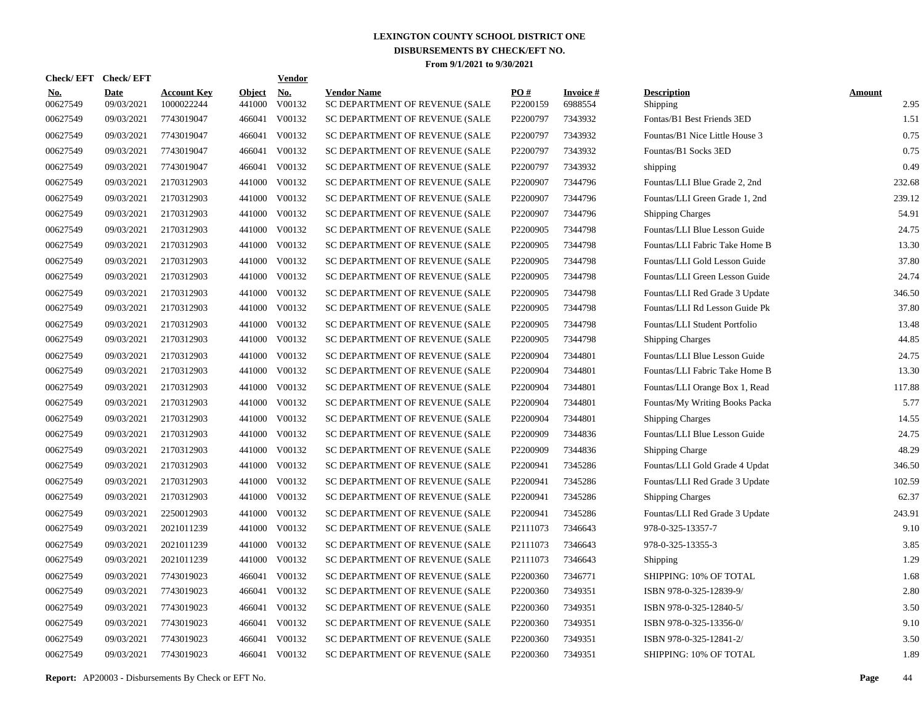| Check/EFT Check/EFT    |                           |                                  |                         | <b>Vendor</b> |                                                      |                 |                            |                                |                       |
|------------------------|---------------------------|----------------------------------|-------------------------|---------------|------------------------------------------------------|-----------------|----------------------------|--------------------------------|-----------------------|
| <u>No.</u><br>00627549 | <b>Date</b><br>09/03/2021 | <b>Account Key</b><br>1000022244 | <b>Object</b><br>441000 | No.<br>V00132 | <b>Vendor Name</b><br>SC DEPARTMENT OF REVENUE (SALE | PO#<br>P2200159 | <b>Invoice#</b><br>6988554 | <b>Description</b><br>Shipping | <b>Amount</b><br>2.95 |
| 00627549               | 09/03/2021                | 7743019047                       | 466041                  | V00132        | SC DEPARTMENT OF REVENUE (SALE                       | P2200797        | 7343932                    | Fontas/B1 Best Friends 3ED     | 1.51                  |
| 00627549               | 09/03/2021                | 7743019047                       | 466041                  | V00132        | SC DEPARTMENT OF REVENUE (SALE                       | P2200797        | 7343932                    | Fountas/B1 Nice Little House 3 | 0.75                  |
| 00627549               | 09/03/2021                | 7743019047                       | 466041                  | V00132        | SC DEPARTMENT OF REVENUE (SALE                       | P2200797        | 7343932                    | Fountas/B1 Socks 3ED           | 0.75                  |
| 00627549               | 09/03/2021                | 7743019047                       | 466041                  | V00132        | SC DEPARTMENT OF REVENUE (SALE                       | P2200797        | 7343932                    | shipping                       | 0.49                  |
| 00627549               | 09/03/2021                | 2170312903                       |                         | 441000 V00132 | SC DEPARTMENT OF REVENUE (SALE                       | P2200907        | 7344796                    | Fountas/LLI Blue Grade 2, 2nd  | 232.68                |
| 00627549               | 09/03/2021                | 2170312903                       |                         | 441000 V00132 | SC DEPARTMENT OF REVENUE (SALE                       | P2200907        | 7344796                    | Fountas/LLI Green Grade 1, 2nd | 239.12                |
| 00627549               | 09/03/2021                | 2170312903                       |                         | 441000 V00132 | SC DEPARTMENT OF REVENUE (SALE                       | P2200907        | 7344796                    | <b>Shipping Charges</b>        | 54.91                 |
| 00627549               | 09/03/2021                | 2170312903                       |                         | 441000 V00132 | SC DEPARTMENT OF REVENUE (SALE                       | P2200905        | 7344798                    | Fountas/LLI Blue Lesson Guide  | 24.75                 |
| 00627549               | 09/03/2021                | 2170312903                       |                         | 441000 V00132 | SC DEPARTMENT OF REVENUE (SALE                       | P2200905        | 7344798                    | Fountas/LLI Fabric Take Home B | 13.30                 |
| 00627549               | 09/03/2021                | 2170312903                       |                         | 441000 V00132 | SC DEPARTMENT OF REVENUE (SALE                       | P2200905        | 7344798                    | Fountas/LLI Gold Lesson Guide  | 37.80                 |
| 00627549               | 09/03/2021                | 2170312903                       |                         | 441000 V00132 | SC DEPARTMENT OF REVENUE (SALE                       | P2200905        | 7344798                    | Fountas/LLI Green Lesson Guide | 24.74                 |
| 00627549               | 09/03/2021                | 2170312903                       |                         | 441000 V00132 | SC DEPARTMENT OF REVENUE (SALE                       | P2200905        | 7344798                    | Fountas/LLI Red Grade 3 Update | 346.50                |
| 00627549               | 09/03/2021                | 2170312903                       |                         | 441000 V00132 | SC DEPARTMENT OF REVENUE (SALE                       | P2200905        | 7344798                    | Fountas/LLI Rd Lesson Guide Pk | 37.80                 |
| 00627549               | 09/03/2021                | 2170312903                       |                         | 441000 V00132 | SC DEPARTMENT OF REVENUE (SALE                       | P2200905        | 7344798                    | Fountas/LLI Student Portfolio  | 13.48                 |
| 00627549               | 09/03/2021                | 2170312903                       |                         | 441000 V00132 | SC DEPARTMENT OF REVENUE (SALE                       | P2200905        | 7344798                    | Shipping Charges               | 44.85                 |
| 00627549               | 09/03/2021                | 2170312903                       |                         | 441000 V00132 | SC DEPARTMENT OF REVENUE (SALE                       | P2200904        | 7344801                    | Fountas/LLI Blue Lesson Guide  | 24.75                 |
| 00627549               | 09/03/2021                | 2170312903                       |                         | 441000 V00132 | SC DEPARTMENT OF REVENUE (SALE                       | P2200904        | 7344801                    | Fountas/LLI Fabric Take Home B | 13.30                 |
| 00627549               | 09/03/2021                | 2170312903                       |                         | 441000 V00132 | SC DEPARTMENT OF REVENUE (SALE                       | P2200904        | 7344801                    | Fountas/LLI Orange Box 1, Read | 117.88                |
| 00627549               | 09/03/2021                | 2170312903                       |                         | 441000 V00132 | SC DEPARTMENT OF REVENUE (SALE                       | P2200904        | 7344801                    | Fountas/My Writing Books Packa | 5.77                  |
| 00627549               | 09/03/2021                | 2170312903                       |                         | 441000 V00132 | SC DEPARTMENT OF REVENUE (SALE                       | P2200904        | 7344801                    | <b>Shipping Charges</b>        | 14.55                 |
| 00627549               | 09/03/2021                | 2170312903                       |                         | 441000 V00132 | SC DEPARTMENT OF REVENUE (SALE                       | P2200909        | 7344836                    | Fountas/LLI Blue Lesson Guide  | 24.75                 |
| 00627549               | 09/03/2021                | 2170312903                       |                         | 441000 V00132 | SC DEPARTMENT OF REVENUE (SALE                       | P2200909        | 7344836                    | <b>Shipping Charge</b>         | 48.29                 |
| 00627549               | 09/03/2021                | 2170312903                       |                         | 441000 V00132 | SC DEPARTMENT OF REVENUE (SALE                       | P2200941        | 7345286                    | Fountas/LLI Gold Grade 4 Updat | 346.50                |
| 00627549               | 09/03/2021                | 2170312903                       | 441000                  | V00132        | SC DEPARTMENT OF REVENUE (SALE                       | P2200941        | 7345286                    | Fountas/LLI Red Grade 3 Update | 102.59                |
| 00627549               | 09/03/2021                | 2170312903                       |                         | 441000 V00132 | SC DEPARTMENT OF REVENUE (SALE                       | P2200941        | 7345286                    | <b>Shipping Charges</b>        | 62.37                 |
| 00627549               | 09/03/2021                | 2250012903                       | 441000                  | V00132        | SC DEPARTMENT OF REVENUE (SALE                       | P2200941        | 7345286                    | Fountas/LLI Red Grade 3 Update | 243.91                |
| 00627549               | 09/03/2021                | 2021011239                       |                         | 441000 V00132 | SC DEPARTMENT OF REVENUE (SALE                       | P2111073        | 7346643                    | 978-0-325-13357-7              | 9.10                  |
| 00627549               | 09/03/2021                | 2021011239                       | 441000                  | V00132        | SC DEPARTMENT OF REVENUE (SALE                       | P2111073        | 7346643                    | 978-0-325-13355-3              | 3.85                  |
| 00627549               | 09/03/2021                | 2021011239                       |                         | 441000 V00132 | SC DEPARTMENT OF REVENUE (SALE                       | P2111073        | 7346643                    | Shipping                       | 1.29                  |
| 00627549               | 09/03/2021                | 7743019023                       |                         | 466041 V00132 | SC DEPARTMENT OF REVENUE (SALE                       | P2200360        | 7346771                    | SHIPPING: 10% OF TOTAL         | 1.68                  |
| 00627549               | 09/03/2021                | 7743019023                       |                         | 466041 V00132 | SC DEPARTMENT OF REVENUE (SALE                       | P2200360        | 7349351                    | ISBN 978-0-325-12839-9/        | 2.80                  |
| 00627549               | 09/03/2021                | 7743019023                       |                         | 466041 V00132 | SC DEPARTMENT OF REVENUE (SALE                       | P2200360        | 7349351                    | ISBN 978-0-325-12840-5/        | 3.50                  |
| 00627549               | 09/03/2021                | 7743019023                       |                         | 466041 V00132 | SC DEPARTMENT OF REVENUE (SALE                       | P2200360        | 7349351                    | ISBN 978-0-325-13356-0/        | 9.10                  |
| 00627549               | 09/03/2021                | 7743019023                       | 466041                  | V00132        | SC DEPARTMENT OF REVENUE (SALE                       | P2200360        | 7349351                    | ISBN 978-0-325-12841-2/        | 3.50                  |
| 00627549               | 09/03/2021                | 7743019023                       |                         | 466041 V00132 | SC DEPARTMENT OF REVENUE (SALE                       | P2200360        | 7349351                    | SHIPPING: 10% OF TOTAL         | 1.89                  |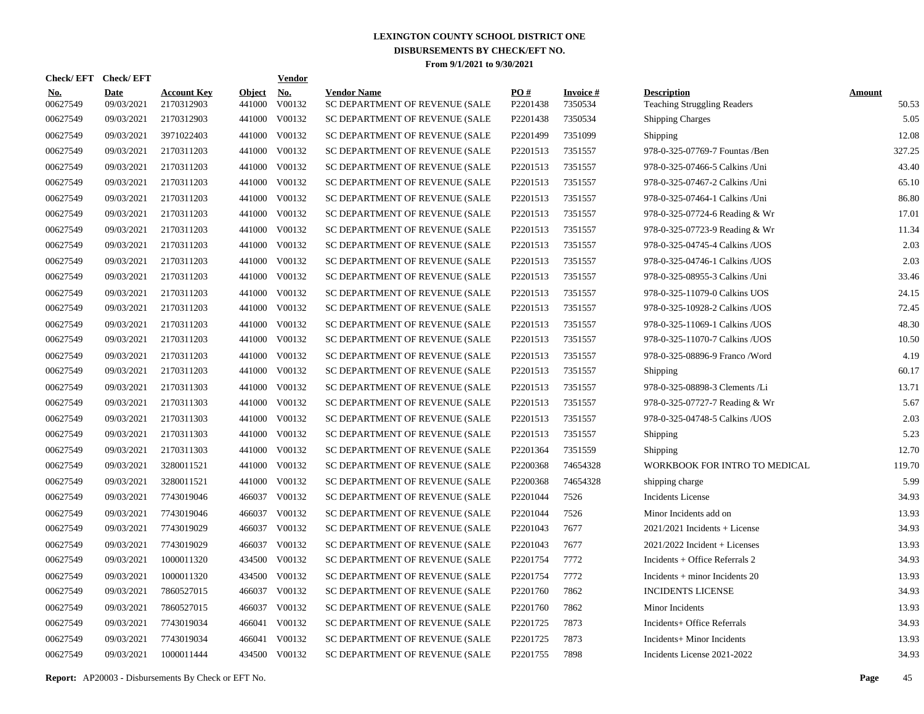| Check/EFT Check/EFT    |                           |                                  |                         | <b>Vendor</b> |                                                      |                 |                            |                                                          |                        |
|------------------------|---------------------------|----------------------------------|-------------------------|---------------|------------------------------------------------------|-----------------|----------------------------|----------------------------------------------------------|------------------------|
| <u>No.</u><br>00627549 | <b>Date</b><br>09/03/2021 | <b>Account Key</b><br>2170312903 | <b>Object</b><br>441000 | No.<br>V00132 | <b>Vendor Name</b><br>SC DEPARTMENT OF REVENUE (SALE | PO#<br>P2201438 | <b>Invoice#</b><br>7350534 | <b>Description</b><br><b>Teaching Struggling Readers</b> | <b>Amount</b><br>50.53 |
| 00627549               | 09/03/2021                | 2170312903                       |                         | 441000 V00132 | SC DEPARTMENT OF REVENUE (SALE                       | P2201438        | 7350534                    | <b>Shipping Charges</b>                                  | 5.05                   |
| 00627549               | 09/03/2021                | 3971022403                       |                         | 441000 V00132 | SC DEPARTMENT OF REVENUE (SALE                       | P2201499        | 7351099                    | Shipping                                                 | 12.08                  |
| 00627549               | 09/03/2021                | 2170311203                       |                         | 441000 V00132 | SC DEPARTMENT OF REVENUE (SALE                       | P2201513        | 7351557                    | 978-0-325-07769-7 Fountas /Ben                           | 327.25                 |
| 00627549               | 09/03/2021                | 2170311203                       |                         | 441000 V00132 | SC DEPARTMENT OF REVENUE (SALE                       | P2201513        | 7351557                    | 978-0-325-07466-5 Calkins / Uni                          | 43.40                  |
| 00627549               | 09/03/2021                | 2170311203                       |                         | 441000 V00132 | SC DEPARTMENT OF REVENUE (SALE                       | P2201513        | 7351557                    | 978-0-325-07467-2 Calkins /Uni                           | 65.10                  |
| 00627549               | 09/03/2021                | 2170311203                       |                         | 441000 V00132 | SC DEPARTMENT OF REVENUE (SALE                       | P2201513        | 7351557                    | 978-0-325-07464-1 Calkins /Uni                           | 86.80                  |
| 00627549               | 09/03/2021                | 2170311203                       |                         | 441000 V00132 | SC DEPARTMENT OF REVENUE (SALE                       | P2201513        | 7351557                    | 978-0-325-07724-6 Reading & Wr                           | 17.01                  |
| 00627549               | 09/03/2021                | 2170311203                       |                         | 441000 V00132 | SC DEPARTMENT OF REVENUE (SALE                       | P2201513        | 7351557                    | 978-0-325-07723-9 Reading & Wr                           | 11.34                  |
| 00627549               | 09/03/2021                | 2170311203                       |                         | 441000 V00132 | SC DEPARTMENT OF REVENUE (SALE                       | P2201513        | 7351557                    | 978-0-325-04745-4 Calkins /UOS                           | 2.03                   |
| 00627549               | 09/03/2021                | 2170311203                       |                         | 441000 V00132 | SC DEPARTMENT OF REVENUE (SALE                       | P2201513        | 7351557                    | 978-0-325-04746-1 Calkins / UOS                          | 2.03                   |
| 00627549               | 09/03/2021                | 2170311203                       |                         | 441000 V00132 | SC DEPARTMENT OF REVENUE (SALE                       | P2201513        | 7351557                    | 978-0-325-08955-3 Calkins /Uni                           | 33.46                  |
| 00627549               | 09/03/2021                | 2170311203                       |                         | 441000 V00132 | SC DEPARTMENT OF REVENUE (SALE                       | P2201513        | 7351557                    | 978-0-325-11079-0 Calkins UOS                            | 24.15                  |
| 00627549               | 09/03/2021                | 2170311203                       |                         | 441000 V00132 | SC DEPARTMENT OF REVENUE (SALE                       | P2201513        | 7351557                    | 978-0-325-10928-2 Calkins / UOS                          | 72.45                  |
| 00627549               | 09/03/2021                | 2170311203                       |                         | 441000 V00132 | SC DEPARTMENT OF REVENUE (SALE                       | P2201513        | 7351557                    | 978-0-325-11069-1 Calkins / UOS                          | 48.30                  |
| 00627549               | 09/03/2021                | 2170311203                       |                         | 441000 V00132 | SC DEPARTMENT OF REVENUE (SALE                       | P2201513        | 7351557                    | 978-0-325-11070-7 Calkins / UOS                          | 10.50                  |
| 00627549               | 09/03/2021                | 2170311203                       |                         | 441000 V00132 | SC DEPARTMENT OF REVENUE (SALE                       | P2201513        | 7351557                    | 978-0-325-08896-9 Franco /Word                           | 4.19                   |
| 00627549               | 09/03/2021                | 2170311203                       |                         | 441000 V00132 | SC DEPARTMENT OF REVENUE (SALE                       | P2201513        | 7351557                    | Shipping                                                 | 60.17                  |
| 00627549               | 09/03/2021                | 2170311303                       |                         | 441000 V00132 | SC DEPARTMENT OF REVENUE (SALE                       | P2201513        | 7351557                    | 978-0-325-08898-3 Clements /Li                           | 13.71                  |
| 00627549               | 09/03/2021                | 2170311303                       |                         | 441000 V00132 | SC DEPARTMENT OF REVENUE (SALE                       | P2201513        | 7351557                    | 978-0-325-07727-7 Reading & Wr                           | 5.67                   |
| 00627549               | 09/03/2021                | 2170311303                       |                         | 441000 V00132 | SC DEPARTMENT OF REVENUE (SALE                       | P2201513        | 7351557                    | 978-0-325-04748-5 Calkins / UOS                          | 2.03                   |
| 00627549               | 09/03/2021                | 2170311303                       |                         | 441000 V00132 | SC DEPARTMENT OF REVENUE (SALE                       | P2201513        | 7351557                    | Shipping                                                 | 5.23                   |
| 00627549               | 09/03/2021                | 2170311303                       | 441000                  | V00132        | SC DEPARTMENT OF REVENUE (SALE                       | P2201364        | 7351559                    | Shipping                                                 | 12.70                  |
| 00627549               | 09/03/2021                | 3280011521                       |                         | 441000 V00132 | SC DEPARTMENT OF REVENUE (SALE                       | P2200368        | 74654328                   | WORKBOOK FOR INTRO TO MEDICAL                            | 119.70                 |
| 00627549               | 09/03/2021                | 3280011521                       | 441000                  | V00132        | SC DEPARTMENT OF REVENUE (SALE                       | P2200368        | 74654328                   | shipping charge                                          | 5.99                   |
| 00627549               | 09/03/2021                | 7743019046                       |                         | 466037 V00132 | SC DEPARTMENT OF REVENUE (SALE                       | P2201044        | 7526                       | <b>Incidents License</b>                                 | 34.93                  |
| 00627549               | 09/03/2021                | 7743019046                       |                         | 466037 V00132 | SC DEPARTMENT OF REVENUE (SALE                       | P2201044        | 7526                       | Minor Incidents add on                                   | 13.93                  |
| 00627549               | 09/03/2021                | 7743019029                       |                         | 466037 V00132 | SC DEPARTMENT OF REVENUE (SALE                       | P2201043        | 7677                       | $2021/2021$ Incidents + License                          | 34.93                  |
| 00627549               | 09/03/2021                | 7743019029                       |                         | 466037 V00132 | SC DEPARTMENT OF REVENUE (SALE                       | P2201043        | 7677                       | $2021/2022$ Incident + Licenses                          | 13.93                  |
| 00627549               | 09/03/2021                | 1000011320                       |                         | 434500 V00132 | SC DEPARTMENT OF REVENUE (SALE                       | P2201754        | 7772                       | $Incidents + Office Refervals 2$                         | 34.93                  |
| 00627549               | 09/03/2021                | 1000011320                       | 434500                  | V00132        | SC DEPARTMENT OF REVENUE (SALE                       | P2201754        | 7772                       | $Incidents + minor Incidents 20$                         | 13.93                  |
| 00627549               | 09/03/2021                | 7860527015                       |                         | 466037 V00132 | SC DEPARTMENT OF REVENUE (SALE                       | P2201760        | 7862                       | <b>INCIDENTS LICENSE</b>                                 | 34.93                  |
| 00627549               | 09/03/2021                | 7860527015                       | 466037                  | V00132        | SC DEPARTMENT OF REVENUE (SALE                       | P2201760        | 7862                       | Minor Incidents                                          | 13.93                  |
| 00627549               | 09/03/2021                | 7743019034                       |                         | 466041 V00132 | SC DEPARTMENT OF REVENUE (SALE                       | P2201725        | 7873                       | Incidents+ Office Referrals                              | 34.93                  |
| 00627549               | 09/03/2021                | 7743019034                       | 466041                  | V00132        | SC DEPARTMENT OF REVENUE (SALE                       | P2201725        | 7873                       | Incidents+ Minor Incidents                               | 13.93                  |
| 00627549               | 09/03/2021                | 1000011444                       |                         | 434500 V00132 | <b>SC DEPARTMENT OF REVENUE (SALE</b>                | P2201755        | 7898                       | Incidents License 2021-2022                              | 34.93                  |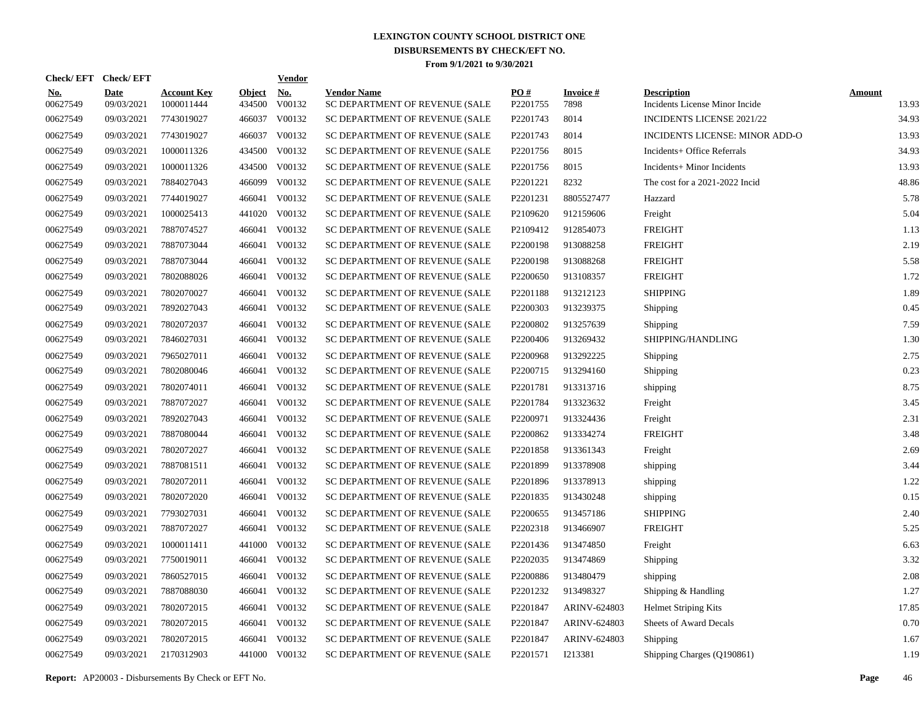| Check/EFT Check/EFT |                    |                                  |                         | <b>Vendor</b> |                                                      |                      |                         |                                                      |                        |
|---------------------|--------------------|----------------------------------|-------------------------|---------------|------------------------------------------------------|----------------------|-------------------------|------------------------------------------------------|------------------------|
| No.<br>00627549     | Date<br>09/03/2021 | <b>Account Key</b><br>1000011444 | <b>Object</b><br>434500 | No.<br>V00132 | <b>Vendor Name</b><br>SC DEPARTMENT OF REVENUE (SALE | PO#<br>P2201755      | <b>Invoice#</b><br>7898 | <b>Description</b><br>Incidents License Minor Incide | <b>Amount</b><br>13.93 |
| 00627549            | 09/03/2021         | 7743019027                       |                         | 466037 V00132 | SC DEPARTMENT OF REVENUE (SALE                       | P2201743             | 8014                    | <b>INCIDENTS LICENSE 2021/22</b>                     | 34.93                  |
| 00627549            | 09/03/2021         | 7743019027                       | 466037                  | V00132        | SC DEPARTMENT OF REVENUE (SALE                       | P2201743             | 8014                    | INCIDENTS LICENSE: MINOR ADD-O                       | 13.93                  |
| 00627549            | 09/03/2021         | 1000011326                       |                         | 434500 V00132 | SC DEPARTMENT OF REVENUE (SALE                       | P2201756             | 8015                    | Incidents+ Office Referrals                          | 34.93                  |
| 00627549            | 09/03/2021         | 1000011326                       |                         | 434500 V00132 | SC DEPARTMENT OF REVENUE (SALE                       | P2201756             | 8015                    | Incidents+ Minor Incidents                           | 13.93                  |
| 00627549            | 09/03/2021         | 7884027043                       |                         | 466099 V00132 | SC DEPARTMENT OF REVENUE (SALE                       | P2201221             | 8232                    | The cost for a 2021-2022 Incid                       | 48.86                  |
| 00627549            | 09/03/2021         | 7744019027                       | 466041                  | V00132        | SC DEPARTMENT OF REVENUE (SALE                       | P2201231             | 8805527477              | Hazzard                                              | 5.78                   |
| 00627549            | 09/03/2021         | 1000025413                       |                         | 441020 V00132 | SC DEPARTMENT OF REVENUE (SALE                       | P2109620             | 912159606               | Freight                                              | 5.04                   |
| 00627549            | 09/03/2021         | 7887074527                       | 466041                  | V00132        | SC DEPARTMENT OF REVENUE (SALE                       | P2109412             | 912854073               | <b>FREIGHT</b>                                       | 1.13                   |
| 00627549            | 09/03/2021         | 7887073044                       | 466041                  | V00132        | SC DEPARTMENT OF REVENUE (SALE                       | P2200198             | 913088258               | <b>FREIGHT</b>                                       | 2.19                   |
| 00627549            | 09/03/2021         | 7887073044                       | 466041                  | V00132        | SC DEPARTMENT OF REVENUE (SALE                       | P2200198             | 913088268               | <b>FREIGHT</b>                                       | 5.58                   |
| 00627549            | 09/03/2021         | 7802088026                       | 466041                  | V00132        | SC DEPARTMENT OF REVENUE (SALE                       | P2200650             | 913108357               | <b>FREIGHT</b>                                       | 1.72                   |
| 00627549            | 09/03/2021         | 7802070027                       | 466041                  | V00132        | SC DEPARTMENT OF REVENUE (SALE                       | P2201188             | 913212123               | <b>SHIPPING</b>                                      | 1.89                   |
| 00627549            | 09/03/2021         | 7892027043                       | 466041                  | V00132        | SC DEPARTMENT OF REVENUE (SALE                       | P2200303             | 913239375               | Shipping                                             | 0.45                   |
| 00627549            | 09/03/2021         | 7802072037                       | 466041                  | V00132        | SC DEPARTMENT OF REVENUE (SALE                       | P2200802             | 913257639               | Shipping                                             | 7.59                   |
| 00627549            | 09/03/2021         | 7846027031                       | 466041                  | V00132        | SC DEPARTMENT OF REVENUE (SALE                       | P2200406             | 913269432               | SHIPPING/HANDLING                                    | 1.30                   |
| 00627549            | 09/03/2021         | 7965027011                       | 466041                  | V00132        | SC DEPARTMENT OF REVENUE (SALE                       | P2200968             | 913292225               | Shipping                                             | 2.75                   |
| 00627549            | 09/03/2021         | 7802080046                       | 466041                  | V00132        | SC DEPARTMENT OF REVENUE (SALE                       | P2200715             | 913294160               | Shipping                                             | 0.23                   |
| 00627549            | 09/03/2021         | 7802074011                       | 466041                  | V00132        | SC DEPARTMENT OF REVENUE (SALE                       | P2201781             | 913313716               | shipping                                             | 8.75                   |
| 00627549            | 09/03/2021         | 7887072027                       | 466041                  | V00132        | SC DEPARTMENT OF REVENUE (SALE                       | P2201784             | 913323632               | Freight                                              | 3.45                   |
| 00627549            | 09/03/2021         | 7892027043                       | 466041                  | V00132        | SC DEPARTMENT OF REVENUE (SALE                       | P2200971             | 913324436               | Freight                                              | 2.31                   |
| 00627549            | 09/03/2021         | 7887080044                       | 466041                  | V00132        | SC DEPARTMENT OF REVENUE (SALE                       | P2200862             | 913334274               | <b>FREIGHT</b>                                       | 3.48                   |
| 00627549            | 09/03/2021         | 7802072027                       | 466041                  | V00132        | SC DEPARTMENT OF REVENUE (SALE                       | P <sub>2201858</sub> | 913361343               | Freight                                              | 2.69                   |
| 00627549            | 09/03/2021         | 7887081511                       | 466041                  | V00132        | SC DEPARTMENT OF REVENUE (SALE                       | P2201899             | 913378908               | shipping                                             | 3.44                   |
| 00627549            | 09/03/2021         | 7802072011                       | 466041                  | V00132        | SC DEPARTMENT OF REVENUE (SALE                       | P <sub>2201896</sub> | 913378913               | shipping                                             | 1.22                   |
| 00627549            | 09/03/2021         | 7802072020                       | 466041                  | V00132        | SC DEPARTMENT OF REVENUE (SALE                       | P2201835             | 913430248               | shipping                                             | 0.15                   |
| 00627549            | 09/03/2021         | 7793027031                       | 466041                  | V00132        | SC DEPARTMENT OF REVENUE (SALE                       | P <sub>2200655</sub> | 913457186               | <b>SHIPPING</b>                                      | 2.40                   |
| 00627549            | 09/03/2021         | 7887072027                       | 466041                  | V00132        | SC DEPARTMENT OF REVENUE (SALE                       | P2202318             | 913466907               | <b>FREIGHT</b>                                       | 5.25                   |
| 00627549            | 09/03/2021         | 1000011411                       | 441000                  | V00132        | SC DEPARTMENT OF REVENUE (SALE                       | P2201436             | 913474850               | Freight                                              | 6.63                   |
| 00627549            | 09/03/2021         | 7750019011                       | 466041                  | V00132        | SC DEPARTMENT OF REVENUE (SALE                       | P2202035             | 913474869               | Shipping                                             | 3.32                   |
| 00627549            | 09/03/2021         | 7860527015                       | 466041                  | V00132        | SC DEPARTMENT OF REVENUE (SALE                       | P2200886             | 913480479               | shipping                                             | 2.08                   |
| 00627549            | 09/03/2021         | 7887088030                       | 466041                  | V00132        | SC DEPARTMENT OF REVENUE (SALE                       | P2201232             | 913498327               | Shipping & Handling                                  | 1.27                   |
| 00627549            | 09/03/2021         | 7802072015                       | 466041                  | V00132        | SC DEPARTMENT OF REVENUE (SALE                       | P2201847             | ARINV-624803            | <b>Helmet Striping Kits</b>                          | 17.85                  |
| 00627549            | 09/03/2021         | 7802072015                       | 466041                  | V00132        | SC DEPARTMENT OF REVENUE (SALE                       | P2201847             | ARINV-624803            | <b>Sheets of Award Decals</b>                        | 0.70                   |
| 00627549            | 09/03/2021         | 7802072015                       | 466041                  | V00132        | SC DEPARTMENT OF REVENUE (SALE                       | P2201847             | ARINV-624803            | Shipping                                             | 1.67                   |
| 00627549            | 09/03/2021         | 2170312903                       |                         | 441000 V00132 | SC DEPARTMENT OF REVENUE (SALE                       | P2201571             | I213381                 | Shipping Charges (Q190861)                           | 1.19                   |

**Report:** AP20003 - Disbursements By Check or EFT No. **Page** 46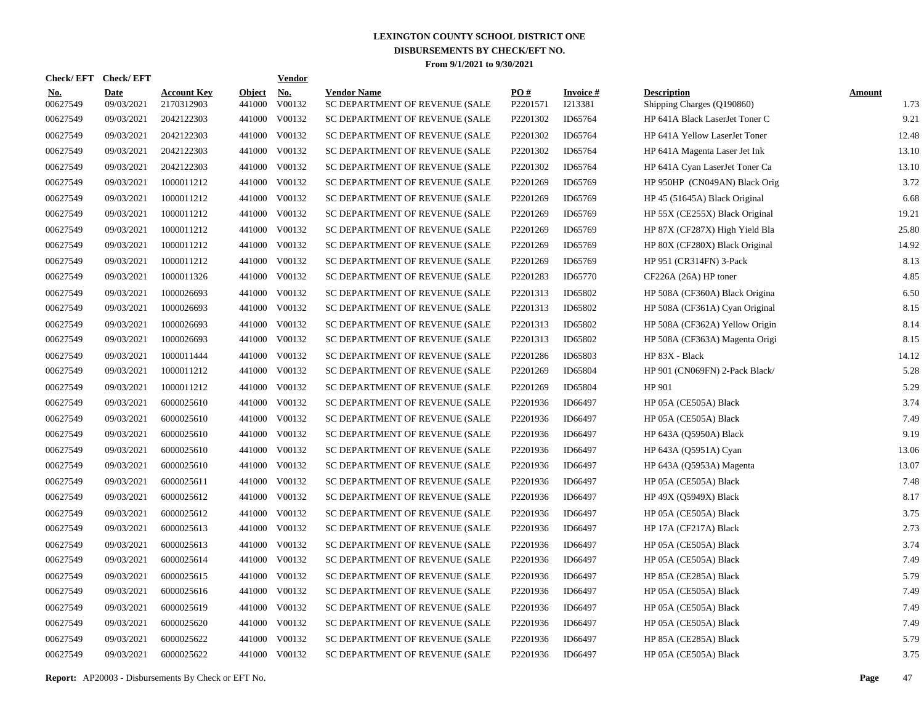| Check/EFT Check/EFT    |                           |                                  |                         | Vendor               |                                                      |                      |                            |                                                  |                       |
|------------------------|---------------------------|----------------------------------|-------------------------|----------------------|------------------------------------------------------|----------------------|----------------------------|--------------------------------------------------|-----------------------|
| <u>No.</u><br>00627549 | <b>Date</b><br>09/03/2021 | <b>Account Key</b><br>2170312903 | <b>Object</b><br>441000 | <b>No.</b><br>V00132 | <b>Vendor Name</b><br>SC DEPARTMENT OF REVENUE (SALE | PO#<br>P2201571      | <b>Invoice#</b><br>I213381 | <b>Description</b><br>Shipping Charges (Q190860) | <b>Amount</b><br>1.73 |
| 00627549               | 09/03/2021                | 2042122303                       |                         | 441000 V00132        | SC DEPARTMENT OF REVENUE (SALE                       | P <sub>2201302</sub> | ID65764                    | HP 641A Black LaserJet Toner C                   | 9.21                  |
| 00627549               | 09/03/2021                | 2042122303                       |                         | 441000 V00132        | SC DEPARTMENT OF REVENUE (SALE                       | P2201302             | ID65764                    | HP 641A Yellow LaserJet Toner                    | 12.48                 |
| 00627549               | 09/03/2021                | 2042122303                       |                         | 441000 V00132        | SC DEPARTMENT OF REVENUE (SALE                       | P2201302             | ID65764                    | HP 641A Magenta Laser Jet Ink                    | 13.10                 |
| 00627549               | 09/03/2021                | 2042122303                       |                         | 441000 V00132        | SC DEPARTMENT OF REVENUE (SALE                       | P <sub>2201302</sub> | ID65764                    | HP 641A Cyan LaserJet Toner Ca                   | 13.10                 |
| 00627549               | 09/03/2021                | 1000011212                       |                         | 441000 V00132        | SC DEPARTMENT OF REVENUE (SALE                       | P2201269             | ID65769                    | HP 950HP (CN049AN) Black Orig                    | 3.72                  |
| 00627549               | 09/03/2021                | 1000011212                       |                         | 441000 V00132        | SC DEPARTMENT OF REVENUE (SALE                       | P2201269             | ID65769                    | HP 45 (51645A) Black Original                    | 6.68                  |
| 00627549               | 09/03/2021                | 1000011212                       |                         | 441000 V00132        | SC DEPARTMENT OF REVENUE (SALE                       | P2201269             | ID65769                    | HP 55X (CE255X) Black Original                   | 19.21                 |
| 00627549               | 09/03/2021                | 1000011212                       |                         | 441000 V00132        | SC DEPARTMENT OF REVENUE (SALE                       | P2201269             | ID65769                    | HP 87X (CF287X) High Yield Bla                   | 25.80                 |
| 00627549               | 09/03/2021                | 1000011212                       |                         | 441000 V00132        | SC DEPARTMENT OF REVENUE (SALE                       | P2201269             | ID65769                    | HP 80X (CF280X) Black Original                   | 14.92                 |
| 00627549               | 09/03/2021                | 1000011212                       | 441000                  | V00132               | SC DEPARTMENT OF REVENUE (SALE                       | P2201269             | ID65769                    | HP 951 (CR314FN) 3-Pack                          | 8.13                  |
| 00627549               | 09/03/2021                | 1000011326                       |                         | 441000 V00132        | SC DEPARTMENT OF REVENUE (SALE                       | P2201283             | ID65770                    | CF226A (26A) HP toner                            | 4.85                  |
| 00627549               | 09/03/2021                | 1000026693                       | 441000                  | V00132               | SC DEPARTMENT OF REVENUE (SALE                       | P2201313             | ID65802                    | HP 508A (CF360A) Black Origina                   | 6.50                  |
| 00627549               | 09/03/2021                | 1000026693                       | 441000                  | V00132               | SC DEPARTMENT OF REVENUE (SALE                       | P2201313             | ID65802                    | HP 508A (CF361A) Cyan Original                   | 8.15                  |
| 00627549               | 09/03/2021                | 1000026693                       | 441000                  | V00132               | SC DEPARTMENT OF REVENUE (SALE                       | P2201313             | ID65802                    | HP 508A (CF362A) Yellow Origin                   | 8.14                  |
| 00627549               | 09/03/2021                | 1000026693                       | 441000                  | V00132               | SC DEPARTMENT OF REVENUE (SALE                       | P2201313             | ID65802                    | HP 508A (CF363A) Magenta Origi                   | 8.15                  |
| 00627549               | 09/03/2021                | 1000011444                       | 441000                  | V00132               | SC DEPARTMENT OF REVENUE (SALE                       | P2201286             | ID65803                    | HP 83X - Black                                   | 14.12                 |
| 00627549               | 09/03/2021                | 1000011212                       | 441000                  | V00132               | SC DEPARTMENT OF REVENUE (SALE                       | P2201269             | ID65804                    | HP 901 (CN069FN) 2-Pack Black/                   | 5.28                  |
| 00627549               | 09/03/2021                | 1000011212                       | 441000                  | V00132               | SC DEPARTMENT OF REVENUE (SALE                       | P2201269             | ID65804                    | HP 901                                           | 5.29                  |
| 00627549               | 09/03/2021                | 6000025610                       | 441000                  | V00132               | SC DEPARTMENT OF REVENUE (SALE                       | P2201936             | ID66497                    | HP 05A (CE505A) Black                            | 3.74                  |
| 00627549               | 09/03/2021                | 6000025610                       | 441000                  | V00132               | SC DEPARTMENT OF REVENUE (SALE                       | P2201936             | ID66497                    | HP 05A (CE505A) Black                            | 7.49                  |
| 00627549               | 09/03/2021                | 6000025610                       | 441000                  | V00132               | SC DEPARTMENT OF REVENUE (SALE                       | P2201936             | ID66497                    | HP 643A (Q5950A) Black                           | 9.19                  |
| 00627549               | 09/03/2021                | 6000025610                       | 441000                  | V00132               | SC DEPARTMENT OF REVENUE (SALE                       | P2201936             | ID66497                    | HP 643A (Q5951A) Cyan                            | 13.06                 |
| 00627549               | 09/03/2021                | 6000025610                       | 441000                  | V00132               | SC DEPARTMENT OF REVENUE (SALE                       | P2201936             | ID66497                    | HP 643A (Q5953A) Magenta                         | 13.07                 |
| 00627549               | 09/03/2021                | 6000025611                       | 441000                  | V00132               | SC DEPARTMENT OF REVENUE (SALE                       | P2201936             | ID66497                    | HP 05A (CE505A) Black                            | 7.48                  |
| 00627549               | 09/03/2021                | 6000025612                       | 441000                  | V00132               | SC DEPARTMENT OF REVENUE (SALE                       | P2201936             | ID66497                    | HP 49X (Q5949X) Black                            | 8.17                  |
| 00627549               | 09/03/2021                | 6000025612                       | 441000                  | V00132               | SC DEPARTMENT OF REVENUE (SALE                       | P2201936             | ID66497                    | HP 05A (CE505A) Black                            | 3.75                  |
| 00627549               | 09/03/2021                | 6000025613                       | 441000                  | V00132               | SC DEPARTMENT OF REVENUE (SALE                       | P2201936             | ID66497                    | HP 17A (CF217A) Black                            | 2.73                  |
| 00627549               | 09/03/2021                | 6000025613                       | 441000                  | V00132               | SC DEPARTMENT OF REVENUE (SALE                       | P2201936             | ID66497                    | HP 05A (CE505A) Black                            | 3.74                  |
| 00627549               | 09/03/2021                | 6000025614                       | 441000                  | V00132               | SC DEPARTMENT OF REVENUE (SALE                       | P2201936             | ID66497                    | HP 05A (CE505A) Black                            | 7.49                  |
| 00627549               | 09/03/2021                | 6000025615                       | 441000                  | V00132               | SC DEPARTMENT OF REVENUE (SALE                       | P2201936             | ID66497                    | HP 85A (CE285A) Black                            | 5.79                  |
| 00627549               | 09/03/2021                | 6000025616                       | 441000                  | V00132               | SC DEPARTMENT OF REVENUE (SALE                       | P2201936             | ID66497                    | HP 05A (CE505A) Black                            | 7.49                  |
| 00627549               | 09/03/2021                | 6000025619                       | 441000                  | V00132               | SC DEPARTMENT OF REVENUE (SALE                       | P2201936             | ID66497                    | HP 05A (CE505A) Black                            | 7.49                  |
| 00627549               | 09/03/2021                | 6000025620                       | 441000                  | V00132               | SC DEPARTMENT OF REVENUE (SALE                       | P2201936             | ID66497                    | HP 05A (CE505A) Black                            | 7.49                  |
| 00627549               | 09/03/2021                | 6000025622                       | 441000                  | V00132               | SC DEPARTMENT OF REVENUE (SALE                       | P2201936             | ID66497                    | HP 85A (CE285A) Black                            | 5.79                  |
| 00627549               | 09/03/2021                | 6000025622                       |                         | 441000 V00132        | SC DEPARTMENT OF REVENUE (SALE                       | P2201936             | ID66497                    | HP 05A (CE505A) Black                            | 3.75                  |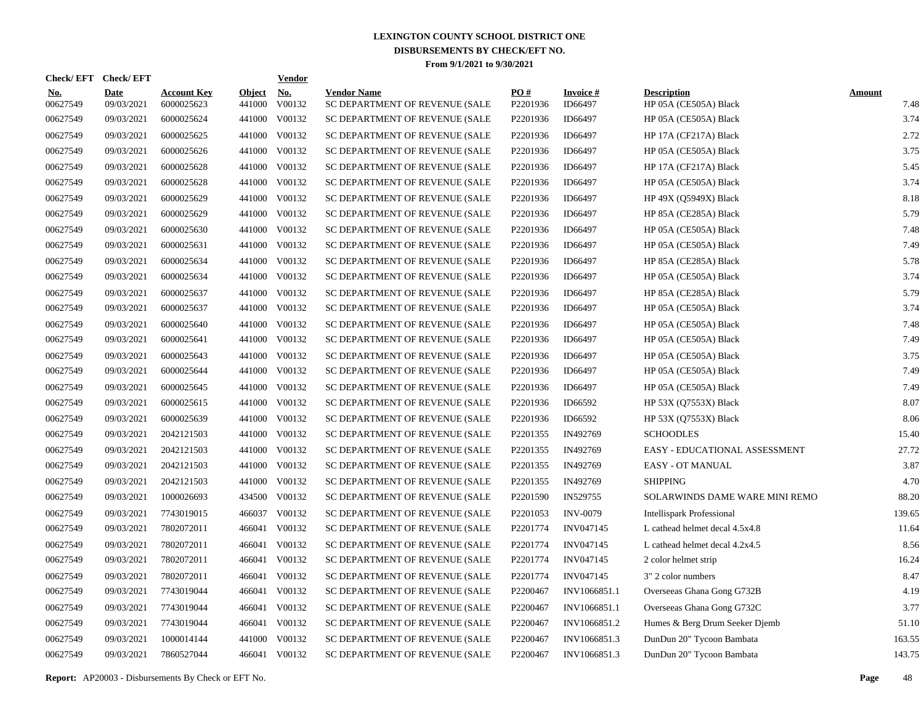| Check/EFT Check/EFT    |                           |                                  |                         | <b>Vendor</b> |                                                      |                      |                            |                                             |                       |
|------------------------|---------------------------|----------------------------------|-------------------------|---------------|------------------------------------------------------|----------------------|----------------------------|---------------------------------------------|-----------------------|
| <u>No.</u><br>00627549 | <b>Date</b><br>09/03/2021 | <b>Account Key</b><br>6000025623 | <b>Object</b><br>441000 | No.<br>V00132 | <b>Vendor Name</b><br>SC DEPARTMENT OF REVENUE (SALE | PO#<br>P2201936      | <b>Invoice#</b><br>ID66497 | <b>Description</b><br>HP 05A (CE505A) Black | <b>Amount</b><br>7.48 |
| 00627549               | 09/03/2021                | 6000025624                       |                         | 441000 V00132 | SC DEPARTMENT OF REVENUE (SALE                       | P2201936             | ID66497                    | HP 05A (CE505A) Black                       | 3.74                  |
| 00627549               | 09/03/2021                | 6000025625                       |                         | 441000 V00132 | SC DEPARTMENT OF REVENUE (SALE                       | P2201936             | ID66497                    | HP 17A (CF217A) Black                       | 2.72                  |
| 00627549               | 09/03/2021                | 6000025626                       |                         | 441000 V00132 | SC DEPARTMENT OF REVENUE (SALE                       | P2201936             | ID66497                    | HP 05A (CE505A) Black                       | 3.75                  |
| 00627549               | 09/03/2021                | 6000025628                       |                         | 441000 V00132 | SC DEPARTMENT OF REVENUE (SALE                       | P2201936             | ID66497                    | HP 17A (CF217A) Black                       | 5.45                  |
| 00627549               | 09/03/2021                | 6000025628                       |                         | 441000 V00132 | SC DEPARTMENT OF REVENUE (SALE                       | P2201936             | ID66497                    | HP 05A (CE505A) Black                       | 3.74                  |
| 00627549               | 09/03/2021                | 6000025629                       |                         | 441000 V00132 | SC DEPARTMENT OF REVENUE (SALE                       | P2201936             | ID66497                    | HP 49X (Q5949X) Black                       | 8.18                  |
| 00627549               | 09/03/2021                | 6000025629                       |                         | 441000 V00132 | SC DEPARTMENT OF REVENUE (SALE                       | P2201936             | ID66497                    | HP 85A (CE285A) Black                       | 5.79                  |
| 00627549               | 09/03/2021                | 6000025630                       |                         | 441000 V00132 | SC DEPARTMENT OF REVENUE (SALE                       | P2201936             | ID66497                    | HP 05A (CE505A) Black                       | 7.48                  |
| 00627549               | 09/03/2021                | 6000025631                       |                         | 441000 V00132 | SC DEPARTMENT OF REVENUE (SALE                       | P2201936             | ID66497                    | HP 05A (CE505A) Black                       | 7.49                  |
| 00627549               | 09/03/2021                | 6000025634                       |                         | 441000 V00132 | SC DEPARTMENT OF REVENUE (SALE                       | P2201936             | ID66497                    | HP 85A (CE285A) Black                       | 5.78                  |
| 00627549               | 09/03/2021                | 6000025634                       |                         | 441000 V00132 | SC DEPARTMENT OF REVENUE (SALE                       | P2201936             | ID66497                    | HP 05A (CE505A) Black                       | 3.74                  |
| 00627549               | 09/03/2021                | 6000025637                       |                         | 441000 V00132 | SC DEPARTMENT OF REVENUE (SALE                       | P2201936             | ID66497                    | HP 85A (CE285A) Black                       | 5.79                  |
| 00627549               | 09/03/2021                | 6000025637                       |                         | 441000 V00132 | SC DEPARTMENT OF REVENUE (SALE                       | P2201936             | ID66497                    | HP 05A (CE505A) Black                       | 3.74                  |
| 00627549               | 09/03/2021                | 6000025640                       |                         | 441000 V00132 | SC DEPARTMENT OF REVENUE (SALE                       | P2201936             | ID66497                    | HP 05A (CE505A) Black                       | 7.48                  |
| 00627549               | 09/03/2021                | 6000025641                       |                         | 441000 V00132 | SC DEPARTMENT OF REVENUE (SALE                       | P2201936             | ID66497                    | HP 05A (CE505A) Black                       | 7.49                  |
| 00627549               | 09/03/2021                | 6000025643                       |                         | 441000 V00132 | SC DEPARTMENT OF REVENUE (SALE                       | P2201936             | ID66497                    | HP 05A (CE505A) Black                       | 3.75                  |
| 00627549               | 09/03/2021                | 6000025644                       |                         | 441000 V00132 | SC DEPARTMENT OF REVENUE (SALE                       | P2201936             | ID66497                    | HP 05A (CE505A) Black                       | 7.49                  |
| 00627549               | 09/03/2021                | 6000025645                       |                         | 441000 V00132 | SC DEPARTMENT OF REVENUE (SALE                       | P2201936             | ID66497                    | HP 05A (CE505A) Black                       | 7.49                  |
| 00627549               | 09/03/2021                | 6000025615                       |                         | 441000 V00132 | SC DEPARTMENT OF REVENUE (SALE                       | P2201936             | ID66592                    | HP 53X (Q7553X) Black                       | 8.07                  |
| 00627549               | 09/03/2021                | 6000025639                       |                         | 441000 V00132 | SC DEPARTMENT OF REVENUE (SALE                       | P2201936             | ID66592                    | HP 53X (Q7553X) Black                       | 8.06                  |
| 00627549               | 09/03/2021                | 2042121503                       |                         | 441000 V00132 | SC DEPARTMENT OF REVENUE (SALE                       | P2201355             | IN492769                   | <b>SCHOODLES</b>                            | 15.40                 |
| 00627549               | 09/03/2021                | 2042121503                       |                         | 441000 V00132 | SC DEPARTMENT OF REVENUE (SALE                       | P2201355             | IN492769                   | EASY - EDUCATIONAL ASSESSMENT               | 27.72                 |
| 00627549               | 09/03/2021                | 2042121503                       |                         | 441000 V00132 | SC DEPARTMENT OF REVENUE (SALE                       | P2201355             | IN492769                   | <b>EASY - OT MANUAL</b>                     | 3.87                  |
| 00627549               | 09/03/2021                | 2042121503                       | 441000                  | V00132        | SC DEPARTMENT OF REVENUE (SALE                       | P2201355             | IN492769                   | <b>SHIPPING</b>                             | 4.70                  |
| 00627549               | 09/03/2021                | 1000026693                       |                         | 434500 V00132 | SC DEPARTMENT OF REVENUE (SALE                       | P <sub>2201590</sub> | IN529755                   | SOLARWINDS DAME WARE MINI REMO              | 88.20                 |
| 00627549               | 09/03/2021                | 7743019015                       |                         | 466037 V00132 | SC DEPARTMENT OF REVENUE (SALE                       | P2201053             | <b>INV-0079</b>            | <b>Intellispark Professional</b>            | 139.65                |
| 00627549               | 09/03/2021                | 7802072011                       |                         | 466041 V00132 | SC DEPARTMENT OF REVENUE (SALE                       | P2201774             | INV047145                  | L cathead helmet decal 4.5x4.8              | 11.64                 |
| 00627549               | 09/03/2021                | 7802072011                       |                         | 466041 V00132 | SC DEPARTMENT OF REVENUE (SALE                       | P2201774             | INV047145                  | L cathead helmet decal 4.2x4.5              | 8.56                  |
| 00627549               | 09/03/2021                | 7802072011                       |                         | 466041 V00132 | SC DEPARTMENT OF REVENUE (SALE                       | P2201774             | INV047145                  | 2 color helmet strip                        | 16.24                 |
| 00627549               | 09/03/2021                | 7802072011                       | 466041                  | V00132        | SC DEPARTMENT OF REVENUE (SALE                       | P2201774             | INV047145                  | 3" 2 color numbers                          | 8.47                  |
| 00627549               | 09/03/2021                | 7743019044                       |                         | 466041 V00132 | SC DEPARTMENT OF REVENUE (SALE                       | P2200467             | INV1066851.1               | Overseeas Ghana Gong G732B                  | 4.19                  |
| 00627549               | 09/03/2021                | 7743019044                       | 466041                  | V00132        | SC DEPARTMENT OF REVENUE (SALE                       | P2200467             | INV1066851.1               | Overseeas Ghana Gong G732C                  | 3.77                  |
| 00627549               | 09/03/2021                | 7743019044                       |                         | 466041 V00132 | SC DEPARTMENT OF REVENUE (SALE                       | P2200467             | INV1066851.2               | Humes & Berg Drum Seeker Djemb              | 51.10                 |
| 00627549               | 09/03/2021                | 1000014144                       | 441000                  | V00132        | SC DEPARTMENT OF REVENUE (SALE                       | P2200467             | INV1066851.3               | DunDun 20" Tycoon Bambata                   | 163.55                |
| 00627549               | 09/03/2021                | 7860527044                       |                         | 466041 V00132 | SC DEPARTMENT OF REVENUE (SALE                       | P2200467             | INV1066851.3               | DunDun 20" Tycoon Bambata                   | 143.75                |

**Report:** AP20003 - Disbursements By Check or EFT No. **Page** 48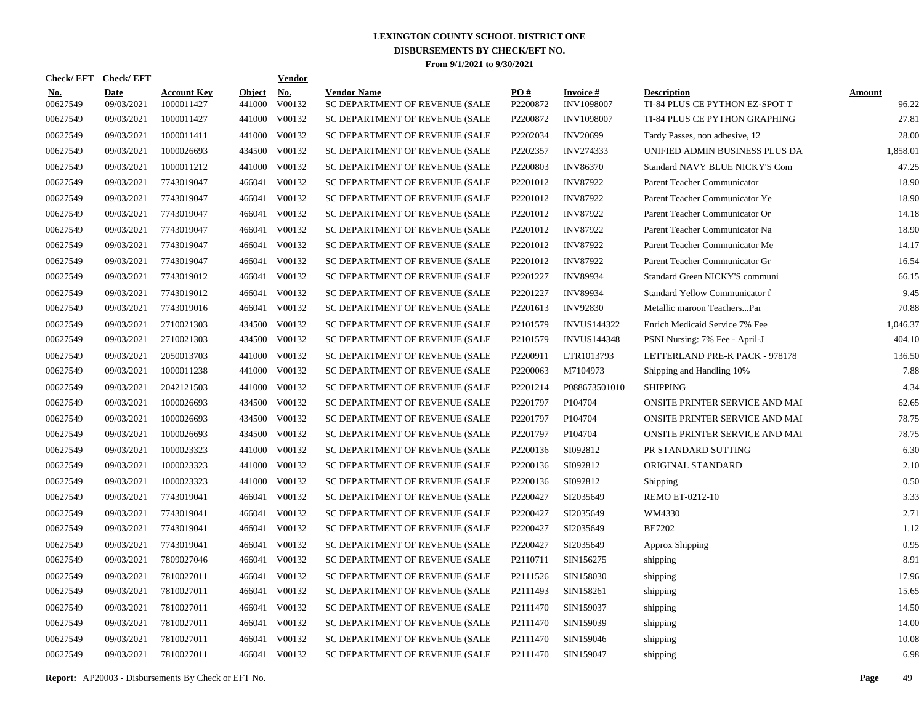| <b>Check/EFT</b><br><b>Check/EFT</b> |                                  |        | <b>Vendor</b> |                                                                                                                                              |                      |                               |                                                      |                        |
|--------------------------------------|----------------------------------|--------|---------------|----------------------------------------------------------------------------------------------------------------------------------------------|----------------------|-------------------------------|------------------------------------------------------|------------------------|
| Date<br>00627549<br>09/03/2021       | <b>Account Key</b><br>1000011427 | 441000 | No.<br>V00132 | <b>Vendor Name</b><br>SC DEPARTMENT OF REVENUE (SALE                                                                                         | PO#<br>P2200872      | <b>Invoice#</b><br>INV1098007 | <b>Description</b><br>TI-84 PLUS CE PYTHON EZ-SPOT T | <b>Amount</b><br>96.22 |
| 00627549<br>09/03/2021               | 1000011427                       | 441000 | V00132        | SC DEPARTMENT OF REVENUE (SALE                                                                                                               | P2200872             | <b>INV1098007</b>             | TI-84 PLUS CE PYTHON GRAPHING                        | 27.81                  |
| 00627549<br>09/03/2021               | 1000011411                       | 441000 | V00132        | SC DEPARTMENT OF REVENUE (SALE                                                                                                               | P2202034             | <b>INV20699</b>               | Tardy Passes, non adhesive, 12                       | 28.00                  |
| 00627549<br>09/03/2021               | 1000026693                       |        | V00132        | SC DEPARTMENT OF REVENUE (SALE                                                                                                               | P2202357             | INV274333                     | UNIFIED ADMIN BUSINESS PLUS DA                       | 1,858.01               |
| 00627549<br>09/03/2021               | 1000011212                       |        | V00132        | SC DEPARTMENT OF REVENUE (SALE                                                                                                               | P2200803             | <b>INV86370</b>               | Standard NAVY BLUE NICKY'S Com                       | 47.25                  |
| 00627549<br>09/03/2021               | 7743019047                       | 466041 | V00132        | SC DEPARTMENT OF REVENUE (SALE                                                                                                               | P2201012             | <b>INV87922</b>               | Parent Teacher Communicator                          | 18.90                  |
| 00627549<br>09/03/2021               | 7743019047                       | 466041 | V00132        | SC DEPARTMENT OF REVENUE (SALE                                                                                                               | P2201012             | <b>INV87922</b>               | Parent Teacher Communicator Ye                       | 18.90                  |
| 00627549<br>09/03/2021               | 7743019047                       | 466041 | V00132        | SC DEPARTMENT OF REVENUE (SALE                                                                                                               | P2201012             | <b>INV87922</b>               | Parent Teacher Communicator Or                       | 14.18                  |
| 00627549<br>09/03/2021               | 7743019047                       | 466041 | V00132        | SC DEPARTMENT OF REVENUE (SALE                                                                                                               | P2201012             | <b>INV87922</b>               | Parent Teacher Communicator Na                       | 18.90                  |
| 00627549<br>09/03/2021               | 7743019047                       | 466041 | V00132        | SC DEPARTMENT OF REVENUE (SALE                                                                                                               | P2201012             | <b>INV87922</b>               | Parent Teacher Communicator Me                       | 14.17                  |
| 00627549<br>09/03/2021               | 7743019047                       | 466041 | V00132        | SC DEPARTMENT OF REVENUE (SALE                                                                                                               | P2201012             | <b>INV87922</b>               | Parent Teacher Communicator Gr                       | 16.54                  |
| 00627549<br>09/03/2021               | 7743019012                       | 466041 | V00132        | SC DEPARTMENT OF REVENUE (SALE                                                                                                               | P2201227             | <b>INV89934</b>               | Standard Green NICKY'S communi                       | 66.15                  |
| 00627549<br>09/03/2021               | 7743019012                       | 466041 | V00132        | SC DEPARTMENT OF REVENUE (SALE                                                                                                               | P2201227             | <b>INV89934</b>               | Standard Yellow Communicator f                       | 9.45                   |
| 00627549<br>09/03/2021               | 7743019016                       | 466041 | V00132        | SC DEPARTMENT OF REVENUE (SALE                                                                                                               | P2201613             | <b>INV92830</b>               | Metallic maroon TeachersPar                          | 70.88                  |
| 00627549<br>09/03/2021               | 2710021303                       | 434500 | V00132        | SC DEPARTMENT OF REVENUE (SALE                                                                                                               | P <sub>2101579</sub> | <b>INVUS144322</b>            | Enrich Medicaid Service 7% Fee                       | 1,046.37               |
| 00627549<br>09/03/2021               | 2710021303                       | 434500 | V00132        | SC DEPARTMENT OF REVENUE (SALE                                                                                                               | P2101579             | <b>INVUS144348</b>            | PSNI Nursing: 7% Fee - April-J                       | 404.10                 |
| 00627549<br>09/03/2021               | 2050013703                       |        | V00132        | SC DEPARTMENT OF REVENUE (SALE                                                                                                               | P2200911             | LTR1013793                    | LETTERLAND PRE-K PACK - 978178                       | 136.50                 |
| 00627549<br>09/03/2021               | 1000011238                       |        | V00132        | SC DEPARTMENT OF REVENUE (SALE                                                                                                               | P2200063             | M7104973                      | Shipping and Handling 10%                            | 7.88                   |
| 00627549<br>09/03/2021               | 2042121503                       |        | V00132        | SC DEPARTMENT OF REVENUE (SALE                                                                                                               | P2201214             | P088673501010                 | <b>SHIPPING</b>                                      | 4.34                   |
| 00627549<br>09/03/2021               | 1000026693                       |        | V00132        | SC DEPARTMENT OF REVENUE (SALE                                                                                                               | P2201797             | P104704                       | ONSITE PRINTER SERVICE AND MAI                       | 62.65                  |
| 00627549<br>09/03/2021               | 1000026693                       |        | V00132        | SC DEPARTMENT OF REVENUE (SALE                                                                                                               | P2201797             | P104704                       | ONSITE PRINTER SERVICE AND MAI                       | 78.75                  |
| 00627549<br>09/03/2021               | 1000026693                       |        | V00132        | SC DEPARTMENT OF REVENUE (SALE                                                                                                               | P2201797             | P104704                       | ONSITE PRINTER SERVICE AND MAI                       | 78.75                  |
| 00627549<br>09/03/2021               | 1000023323                       |        | V00132        | SC DEPARTMENT OF REVENUE (SALE                                                                                                               | P2200136             | SI092812                      | PR STANDARD SUTTING                                  | 6.30                   |
| 00627549<br>09/03/2021               | 1000023323                       |        | V00132        | SC DEPARTMENT OF REVENUE (SALE                                                                                                               | P2200136             | SI092812                      | ORIGINAL STANDARD                                    | 2.10                   |
| 00627549<br>09/03/2021               | 1000023323                       |        | V00132        | SC DEPARTMENT OF REVENUE (SALE                                                                                                               | P2200136             | SI092812                      | Shipping                                             | 0.50                   |
| 00627549<br>09/03/2021               | 7743019041                       | 466041 | V00132        | SC DEPARTMENT OF REVENUE (SALE                                                                                                               | P2200427             | SI2035649                     |                                                      | 3.33                   |
| 00627549<br>09/03/2021               | 7743019041                       | 466041 | V00132        | SC DEPARTMENT OF REVENUE (SALE                                                                                                               | P2200427             | SI2035649                     | WM4330                                               | 2.71                   |
| 00627549<br>09/03/2021               | 7743019041                       | 466041 | V00132        | SC DEPARTMENT OF REVENUE (SALE                                                                                                               | P2200427             | SI2035649                     | <b>BE7202</b>                                        | 1.12                   |
| 00627549<br>09/03/2021               | 7743019041                       | 466041 | V00132        | SC DEPARTMENT OF REVENUE (SALE                                                                                                               | P2200427             | SI2035649                     | Approx Shipping                                      | 0.95                   |
| 00627549<br>09/03/2021               | 7809027046                       | 466041 | V00132        | SC DEPARTMENT OF REVENUE (SALE                                                                                                               | P2110711             | SIN156275                     | shipping                                             | 8.91                   |
| 00627549<br>09/03/2021               | 7810027011                       | 466041 | V00132        | SC DEPARTMENT OF REVENUE (SALE                                                                                                               | P2111526             | SIN158030                     | shipping                                             | 17.96                  |
| 00627549<br>09/03/2021               | 7810027011                       | 466041 | V00132        | SC DEPARTMENT OF REVENUE (SALE                                                                                                               | P2111493             | SIN158261                     | shipping                                             | 15.65                  |
| 00627549<br>09/03/2021               | 7810027011                       | 466041 | V00132        | SC DEPARTMENT OF REVENUE (SALE                                                                                                               | P2111470             | SIN159037                     | shipping                                             | 14.50                  |
| 00627549<br>09/03/2021               | 7810027011                       | 466041 | V00132        | SC DEPARTMENT OF REVENUE (SALE                                                                                                               | P2111470             | SIN159039                     | shipping                                             | 14.00                  |
| 00627549<br>09/03/2021               | 7810027011                       | 466041 | V00132        | SC DEPARTMENT OF REVENUE (SALE                                                                                                               | P2111470             | SIN159046                     | shipping                                             | 10.08                  |
| 00627549<br>09/03/2021               | 7810027011                       |        |               | SC DEPARTMENT OF REVENUE (SALE                                                                                                               | P2111470             | SIN159047                     | shipping                                             | 6.98                   |
|                                      |                                  |        |               | <b>Object</b><br>434500<br>441000<br>441000<br>441000<br>441000<br>434500<br>434500<br>434500<br>441000<br>441000<br>441000<br>466041 V00132 |                      |                               |                                                      | REMO ET-0212-10        |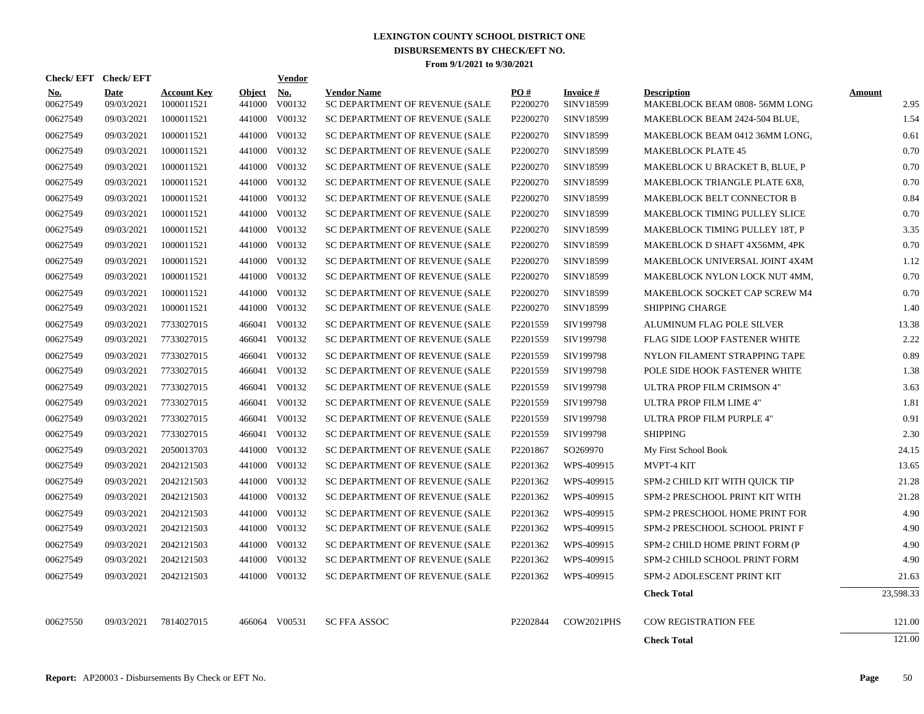| Check/EFT Check/EFT    |                    |                                  |                         | <b>Vendor</b>        |                                                      |                      |                              |                                                     |                       |
|------------------------|--------------------|----------------------------------|-------------------------|----------------------|------------------------------------------------------|----------------------|------------------------------|-----------------------------------------------------|-----------------------|
| <u>No.</u><br>00627549 | Date<br>09/03/2021 | <b>Account Key</b><br>1000011521 | <b>Object</b><br>441000 | <u>No.</u><br>V00132 | <b>Vendor Name</b><br>SC DEPARTMENT OF REVENUE (SALE | PO#<br>P2200270      | <b>Invoice#</b><br>SINV18599 | <b>Description</b><br>MAKEBLOCK BEAM 0808-56MM LONG | <b>Amount</b><br>2.95 |
| 00627549               | 09/03/2021         | 1000011521                       | 441000                  | V00132               | SC DEPARTMENT OF REVENUE (SALE                       | P2200270             | SINV18599                    | MAKEBLOCK BEAM 2424-504 BLUE,                       | 1.54                  |
| 00627549               | 09/03/2021         | 1000011521                       | 441000                  | V00132               | SC DEPARTMENT OF REVENUE (SALE                       | P2200270             | SINV18599                    | MAKEBLOCK BEAM 0412 36MM LONG,                      | 0.61                  |
| 00627549               | 09/03/2021         | 1000011521                       | 441000                  | V00132               | SC DEPARTMENT OF REVENUE (SALE                       | P2200270             | SINV18599                    | <b>MAKEBLOCK PLATE 45</b>                           | 0.70                  |
| 00627549               | 09/03/2021         | 1000011521                       | 441000                  | V00132               | SC DEPARTMENT OF REVENUE (SALE                       | P2200270             | SINV18599                    | MAKEBLOCK U BRACKET B, BLUE, P                      | 0.70                  |
| 00627549               | 09/03/2021         | 1000011521                       | 441000                  | V00132               | SC DEPARTMENT OF REVENUE (SALE                       | P2200270             | SINV18599                    | MAKEBLOCK TRIANGLE PLATE 6X8,                       | 0.70                  |
| 00627549               | 09/03/2021         | 1000011521                       | 441000                  | V00132               | SC DEPARTMENT OF REVENUE (SALE                       | P2200270             | SINV18599                    | <b>MAKEBLOCK BELT CONNECTOR B</b>                   | 0.84                  |
| 00627549               | 09/03/2021         | 1000011521                       | 441000                  | V00132               | SC DEPARTMENT OF REVENUE (SALE                       | P2200270             | SINV18599                    | MAKEBLOCK TIMING PULLEY SLICE                       | 0.70                  |
| 00627549               | 09/03/2021         | 1000011521                       | 441000                  | V00132               | SC DEPARTMENT OF REVENUE (SALE                       | P2200270             | SINV18599                    | MAKEBLOCK TIMING PULLEY 18T, P                      | 3.35                  |
| 00627549               | 09/03/2021         | 1000011521                       | 441000                  | V00132               | SC DEPARTMENT OF REVENUE (SALE                       | P2200270             | SINV18599                    | MAKEBLOCK D SHAFT 4X56MM, 4PK                       | 0.70                  |
| 00627549               | 09/03/2021         | 1000011521                       | 441000                  | V00132               | SC DEPARTMENT OF REVENUE (SALE                       | P2200270             | SINV18599                    | MAKEBLOCK UNIVERSAL JOINT 4X4M                      | 1.12                  |
| 00627549               | 09/03/2021         | 1000011521                       | 441000                  | V00132               | SC DEPARTMENT OF REVENUE (SALE                       | P2200270             | SINV18599                    | MAKEBLOCK NYLON LOCK NUT 4MM,                       | 0.70                  |
| 00627549               | 09/03/2021         | 1000011521                       | 441000                  | V00132               | SC DEPARTMENT OF REVENUE (SALE                       | P2200270             | SINV18599                    | MAKEBLOCK SOCKET CAP SCREW M4                       | 0.70                  |
| 00627549               | 09/03/2021         | 1000011521                       | 441000                  | V00132               | SC DEPARTMENT OF REVENUE (SALE                       | P2200270             | SINV18599                    | <b>SHIPPING CHARGE</b>                              | 1.40                  |
| 00627549               | 09/03/2021         | 7733027015                       |                         | 466041 V00132        | SC DEPARTMENT OF REVENUE (SALE                       | P2201559             | SIV199798                    | ALUMINUM FLAG POLE SILVER                           | 13.38                 |
| 00627549               | 09/03/2021         | 7733027015                       |                         | 466041 V00132        | SC DEPARTMENT OF REVENUE (SALE                       | P <sub>2201559</sub> | SIV199798                    | FLAG SIDE LOOP FASTENER WHITE                       | 2.22                  |
| 00627549               | 09/03/2021         | 7733027015                       |                         | 466041 V00132        | SC DEPARTMENT OF REVENUE (SALE                       | P2201559             | SIV199798                    | NYLON FILAMENT STRAPPING TAPE                       | 0.89                  |
| 00627549               | 09/03/2021         | 7733027015                       |                         | 466041 V00132        | SC DEPARTMENT OF REVENUE (SALE                       | P <sub>2201559</sub> | SIV199798                    | POLE SIDE HOOK FASTENER WHITE                       | 1.38                  |
| 00627549               | 09/03/2021         | 7733027015                       |                         | 466041 V00132        | SC DEPARTMENT OF REVENUE (SALE                       | P2201559             | SIV199798                    | ULTRA PROP FILM CRIMSON 4"                          | 3.63                  |
| 00627549               | 09/03/2021         | 7733027015                       |                         | 466041 V00132        | SC DEPARTMENT OF REVENUE (SALE                       | P <sub>2201559</sub> | SIV199798                    | ULTRA PROP FILM LIME 4"                             | 1.81                  |
| 00627549               | 09/03/2021         | 7733027015                       |                         | 466041 V00132        | SC DEPARTMENT OF REVENUE (SALE                       | P2201559             | SIV199798                    | ULTRA PROP FILM PURPLE 4"                           | 0.91                  |
| 00627549               | 09/03/2021         | 7733027015                       |                         | 466041 V00132        | SC DEPARTMENT OF REVENUE (SALE                       | P2201559             | SIV199798                    | <b>SHIPPING</b>                                     | 2.30                  |
| 00627549               | 09/03/2021         | 2050013703                       | 441000                  | V00132               | SC DEPARTMENT OF REVENUE (SALE                       | P2201867             | SO269970                     | My First School Book                                | 24.15                 |
| 00627549               | 09/03/2021         | 2042121503                       |                         | 441000 V00132        | SC DEPARTMENT OF REVENUE (SALE                       | P2201362             | WPS-409915                   | MVPT-4 KIT                                          | 13.65                 |
| 00627549               | 09/03/2021         | 2042121503                       | 441000                  | V00132               | SC DEPARTMENT OF REVENUE (SALE                       | P2201362             | WPS-409915                   | SPM-2 CHILD KIT WITH QUICK TIP                      | 21.28                 |
| 00627549               | 09/03/2021         | 2042121503                       |                         | 441000 V00132        | SC DEPARTMENT OF REVENUE (SALE                       | P2201362             | WPS-409915                   | SPM-2 PRESCHOOL PRINT KIT WITH                      | 21.28                 |
| 00627549               | 09/03/2021         | 2042121503                       |                         | 441000 V00132        | SC DEPARTMENT OF REVENUE (SALE                       | P2201362             | WPS-409915                   | SPM-2 PRESCHOOL HOME PRINT FOR                      | 4.90                  |
| 00627549               | 09/03/2021         | 2042121503                       |                         | 441000 V00132        | SC DEPARTMENT OF REVENUE (SALE                       | P2201362             | WPS-409915                   | SPM-2 PRESCHOOL SCHOOL PRINT F                      | 4.90                  |
| 00627549               | 09/03/2021         | 2042121503                       |                         | 441000 V00132        | SC DEPARTMENT OF REVENUE (SALE                       | P2201362             | WPS-409915                   | SPM-2 CHILD HOME PRINT FORM (P                      | 4.90                  |
| 00627549               | 09/03/2021         | 2042121503                       |                         | 441000 V00132        | SC DEPARTMENT OF REVENUE (SALE                       | P2201362             | WPS-409915                   | SPM-2 CHILD SCHOOL PRINT FORM                       | 4.90                  |
| 00627549               | 09/03/2021         | 2042121503                       |                         | 441000 V00132        | SC DEPARTMENT OF REVENUE (SALE                       | P2201362             | WPS-409915                   | SPM-2 ADOLESCENT PRINT KIT                          | 21.63                 |
|                        |                    |                                  |                         |                      |                                                      |                      |                              | <b>Check Total</b>                                  | 23,598.33             |
| 00627550               | 09/03/2021         | 7814027015                       |                         | 466064 V00531        | <b>SC FFA ASSOC</b>                                  | P2202844             | COW2021PHS                   | <b>COW REGISTRATION FEE</b>                         | 121.00                |
|                        |                    |                                  |                         |                      |                                                      |                      |                              | <b>Check Total</b>                                  | 121.00                |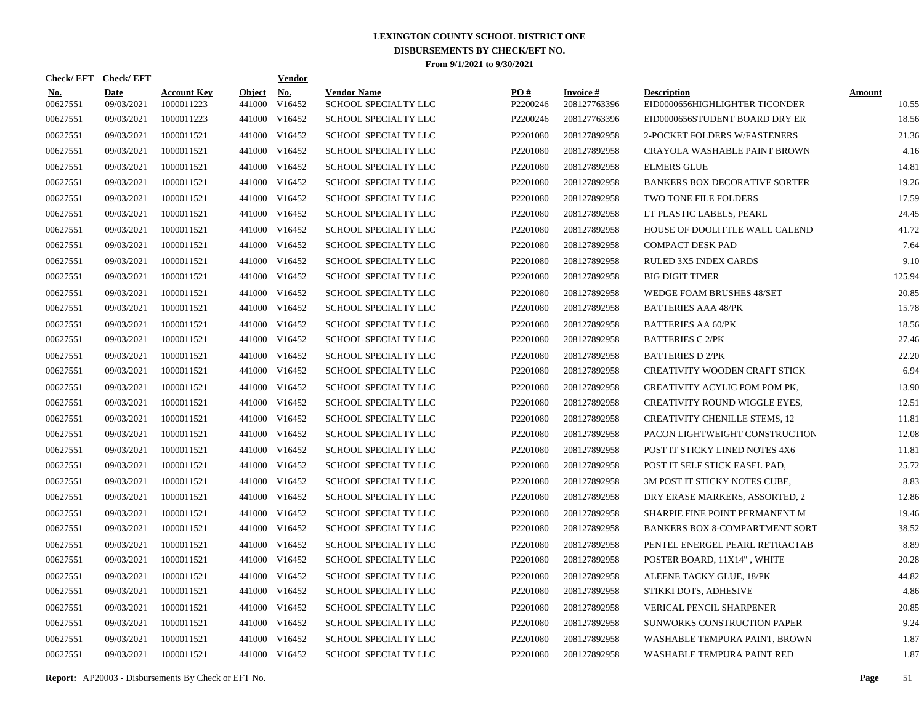|                        | Check/EFT Check/EFT       |                                  |                         | <u>Vendor</u>        |                                            |                      |                                 |                                                      |                        |
|------------------------|---------------------------|----------------------------------|-------------------------|----------------------|--------------------------------------------|----------------------|---------------------------------|------------------------------------------------------|------------------------|
| <b>No.</b><br>00627551 | <b>Date</b><br>09/03/2021 | <b>Account Key</b><br>1000011223 | <b>Object</b><br>441000 | <u>No.</u><br>V16452 | <b>Vendor Name</b><br>SCHOOL SPECIALTY LLC | PQ#<br>P2200246      | <b>Invoice#</b><br>208127763396 | <b>Description</b><br>EID0000656HIGHLIGHTER TICONDER | <b>Amount</b><br>10.55 |
| 00627551               | 09/03/2021                | 1000011223                       | 441000                  | V16452               | <b>SCHOOL SPECIALTY LLC</b>                | P2200246             | 208127763396                    | EID0000656STUDENT BOARD DRY ER                       | 18.56                  |
| 00627551               | 09/03/2021                | 1000011521                       |                         | 441000 V16452        | SCHOOL SPECIALTY LLC                       | P2201080             | 208127892958                    | 2-POCKET FOLDERS W/FASTENERS                         | 21.36                  |
| 00627551               | 09/03/2021                | 1000011521                       |                         | 441000 V16452        | <b>SCHOOL SPECIALTY LLC</b>                | P2201080             | 208127892958                    | CRAYOLA WASHABLE PAINT BROWN                         | 4.16                   |
| 00627551               | 09/03/2021                | 1000011521                       |                         | 441000 V16452        | SCHOOL SPECIALTY LLC                       | P2201080             | 208127892958                    | <b>ELMERS GLUE</b>                                   | 14.81                  |
| 00627551               | 09/03/2021                | 1000011521                       |                         | 441000 V16452        | SCHOOL SPECIALTY LLC                       | P2201080             | 208127892958                    | <b>BANKERS BOX DECORATIVE SORTER</b>                 | 19.26                  |
| 00627551               | 09/03/2021                | 1000011521                       |                         | 441000 V16452        | SCHOOL SPECIALTY LLC                       | P2201080             | 208127892958                    | TWO TONE FILE FOLDERS                                | 17.59                  |
| 00627551               | 09/03/2021                | 1000011521                       |                         | 441000 V16452        | SCHOOL SPECIALTY LLC                       | P2201080             | 208127892958                    | LT PLASTIC LABELS, PEARL                             | 24.45                  |
| 00627551               | 09/03/2021                | 1000011521                       |                         | 441000 V16452        | SCHOOL SPECIALTY LLC                       | P2201080             | 208127892958                    | HOUSE OF DOOLITTLE WALL CALEND                       | 41.72                  |
| 00627551               | 09/03/2021                | 1000011521                       |                         | 441000 V16452        | SCHOOL SPECIALTY LLC                       | P2201080             | 208127892958                    | <b>COMPACT DESK PAD</b>                              | 7.64                   |
| 00627551               | 09/03/2021                | 1000011521                       |                         | 441000 V16452        | SCHOOL SPECIALTY LLC                       | P2201080             | 208127892958                    | RULED 3X5 INDEX CARDS                                | 9.10                   |
| 00627551               | 09/03/2021                | 1000011521                       |                         | 441000 V16452        | <b>SCHOOL SPECIALTY LLC</b>                | P <sub>2201080</sub> | 208127892958                    | <b>BIG DIGIT TIMER</b>                               | 125.94                 |
| 00627551               | 09/03/2021                | 1000011521                       |                         | 441000 V16452        | <b>SCHOOL SPECIALTY LLC</b>                | P2201080             | 208127892958                    | WEDGE FOAM BRUSHES 48/SET                            | 20.85                  |
| 00627551               | 09/03/2021                | 1000011521                       |                         | 441000 V16452        | SCHOOL SPECIALTY LLC                       | P2201080             | 208127892958                    | <b>BATTERIES AAA 48/PK</b>                           | 15.78                  |
| 00627551               | 09/03/2021                | 1000011521                       |                         | 441000 V16452        | SCHOOL SPECIALTY LLC                       | P2201080             | 208127892958                    | <b>BATTERIES AA 60/PK</b>                            | 18.56                  |
| 00627551               | 09/03/2021                | 1000011521                       |                         | 441000 V16452        | SCHOOL SPECIALTY LLC                       | P2201080             | 208127892958                    | <b>BATTERIES C 2/PK</b>                              | 27.46                  |
| 00627551               | 09/03/2021                | 1000011521                       |                         | 441000 V16452        | SCHOOL SPECIALTY LLC                       | P2201080             | 208127892958                    | <b>BATTERIES D 2/PK</b>                              | 22.20                  |
| 00627551               | 09/03/2021                | 1000011521                       |                         | 441000 V16452        | SCHOOL SPECIALTY LLC                       | P2201080             | 208127892958                    | CREATIVITY WOODEN CRAFT STICK                        | 6.94                   |
| 00627551               | 09/03/2021                | 1000011521                       |                         | 441000 V16452        | SCHOOL SPECIALTY LLC                       | P2201080             | 208127892958                    | CREATIVITY ACYLIC POM POM PK,                        | 13.90                  |
| 00627551               | 09/03/2021                | 1000011521                       |                         | 441000 V16452        | <b>SCHOOL SPECIALTY LLC</b>                | P2201080             | 208127892958                    | <b>CREATIVITY ROUND WIGGLE EYES,</b>                 | 12.51                  |
| 00627551               | 09/03/2021                | 1000011521                       |                         | 441000 V16452        | <b>SCHOOL SPECIALTY LLC</b>                | P2201080             | 208127892958                    | <b>CREATIVITY CHENILLE STEMS, 12</b>                 | 11.81                  |
| 00627551               | 09/03/2021                | 1000011521                       |                         | 441000 V16452        | SCHOOL SPECIALTY LLC                       | P2201080             | 208127892958                    | PACON LIGHTWEIGHT CONSTRUCTION                       | 12.08                  |
| 00627551               | 09/03/2021                | 1000011521                       | 441000                  | V16452               | SCHOOL SPECIALTY LLC                       | P2201080             | 208127892958                    | POST IT STICKY LINED NOTES 4X6                       | 11.81                  |
| 00627551               | 09/03/2021                | 1000011521                       |                         | 441000 V16452        | <b>SCHOOL SPECIALTY LLC</b>                | P2201080             | 208127892958                    | POST IT SELF STICK EASEL PAD.                        | 25.72                  |
| 00627551               | 09/03/2021                | 1000011521                       | 441000                  | V16452               | <b>SCHOOL SPECIALTY LLC</b>                | P2201080             | 208127892958                    | 3M POST IT STICKY NOTES CUBE,                        | 8.83                   |
| 00627551               | 09/03/2021                | 1000011521                       |                         | 441000 V16452        | SCHOOL SPECIALTY LLC                       | P2201080             | 208127892958                    | DRY ERASE MARKERS, ASSORTED, 2                       | 12.86                  |
| 00627551               | 09/03/2021                | 1000011521                       | 441000                  | V16452               | <b>SCHOOL SPECIALTY LLC</b>                | P2201080             | 208127892958                    | SHARPIE FINE POINT PERMANENT M                       | 19.46                  |
| 00627551               | 09/03/2021                | 1000011521                       |                         | 441000 V16452        | <b>SCHOOL SPECIALTY LLC</b>                | P <sub>2201080</sub> | 208127892958                    | BANKERS BOX 8-COMPARTMENT SORT                       | 38.52                  |
| 00627551               | 09/03/2021                | 1000011521                       | 441000                  | V16452               | <b>SCHOOL SPECIALTY LLC</b>                | P <sub>2201080</sub> | 208127892958                    | PENTEL ENERGEL PEARL RETRACTAB                       | 8.89                   |
| 00627551               | 09/03/2021                | 1000011521                       |                         | 441000 V16452        | SCHOOL SPECIALTY LLC                       | P2201080             | 208127892958                    | POSTER BOARD, 11X14", WHITE                          | 20.28                  |
| 00627551               | 09/03/2021                | 1000011521                       | 441000                  | V16452               | SCHOOL SPECIALTY LLC                       | P2201080             | 208127892958                    | ALEENE TACKY GLUE, 18/PK                             | 44.82                  |
| 00627551               | 09/03/2021                | 1000011521                       | 441000                  | V16452               | <b>SCHOOL SPECIALTY LLC</b>                | P2201080             | 208127892958                    | STIKKI DOTS, ADHESIVE                                | 4.86                   |
| 00627551               | 09/03/2021                | 1000011521                       | 441000                  | V16452               | SCHOOL SPECIALTY LLC                       | P2201080             | 208127892958                    | VERICAL PENCIL SHARPENER                             | 20.85                  |
| 00627551               | 09/03/2021                | 1000011521                       |                         | 441000 V16452        | SCHOOL SPECIALTY LLC                       | P2201080             | 208127892958                    | <b>SUNWORKS CONSTRUCTION PAPER</b>                   | 9.24                   |
| 00627551               | 09/03/2021                | 1000011521                       | 441000                  | V16452               | <b>SCHOOL SPECIALTY LLC</b>                | P2201080             | 208127892958                    | WASHABLE TEMPURA PAINT, BROWN                        | 1.87                   |
| 00627551               | 09/03/2021                | 1000011521                       |                         | 441000 V16452        | <b>SCHOOL SPECIALTY LLC</b>                | P2201080             | 208127892958                    | <b>WASHABLE TEMPURA PAINT RED</b>                    | 1.87                   |

**Report:** AP20003 - Disbursements By Check or EFT No. **Page** 51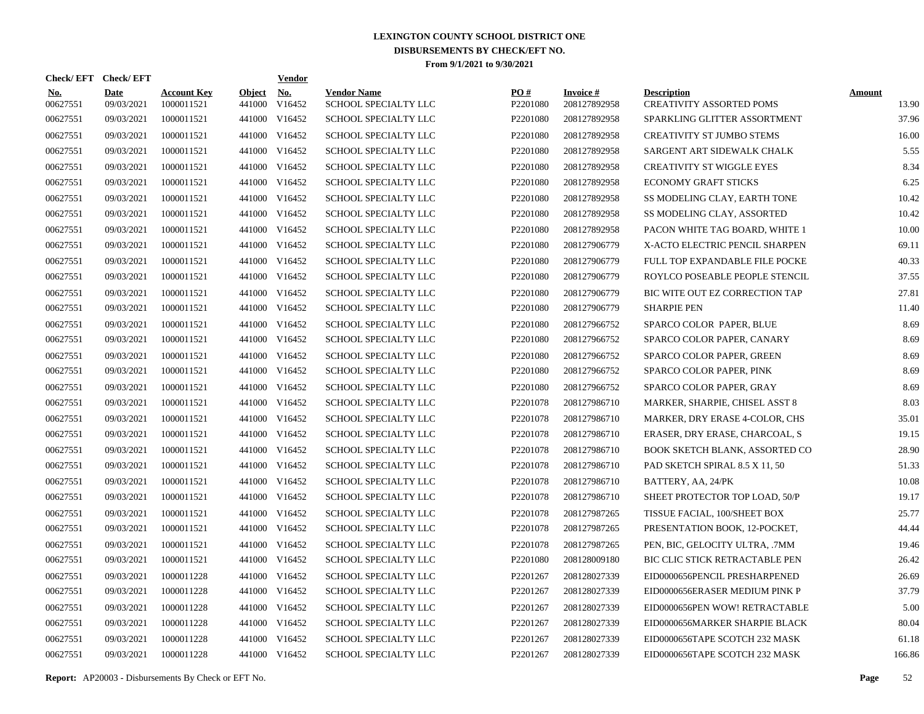|                        | Check/EFT Check/EFT       |                                  |                         | <b>Vendor</b>        |                                            |                      |                                 |                                                |                        |
|------------------------|---------------------------|----------------------------------|-------------------------|----------------------|--------------------------------------------|----------------------|---------------------------------|------------------------------------------------|------------------------|
| <u>No.</u><br>00627551 | <b>Date</b><br>09/03/2021 | <b>Account Key</b><br>1000011521 | <b>Object</b><br>441000 | <u>No.</u><br>V16452 | <b>Vendor Name</b><br>SCHOOL SPECIALTY LLC | PO#<br>P2201080      | <b>Invoice#</b><br>208127892958 | <b>Description</b><br>CREATIVITY ASSORTED POMS | <b>Amount</b><br>13.90 |
| 00627551               | 09/03/2021                | 1000011521                       | 441000                  | V16452               | <b>SCHOOL SPECIALTY LLC</b>                | P2201080             | 208127892958                    | SPARKLING GLITTER ASSORTMENT                   | 37.96                  |
| 00627551               | 09/03/2021                | 1000011521                       | 441000                  | V16452               | SCHOOL SPECIALTY LLC                       | P2201080             | 208127892958                    | CREATIVITY ST JUMBO STEMS                      | 16.00                  |
| 00627551               | 09/03/2021                | 1000011521                       | 441000                  | V16452               | <b>SCHOOL SPECIALTY LLC</b>                | P2201080             | 208127892958                    | SARGENT ART SIDEWALK CHALK                     | 5.55                   |
| 00627551               | 09/03/2021                | 1000011521                       | 441000                  | V16452               | SCHOOL SPECIALTY LLC                       | P2201080             | 208127892958                    | <b>CREATIVITY ST WIGGLE EYES</b>               | 8.34                   |
| 00627551               | 09/03/2021                | 1000011521                       | 441000                  | V16452               | SCHOOL SPECIALTY LLC                       | P2201080             | 208127892958                    | <b>ECONOMY GRAFT STICKS</b>                    | 6.25                   |
| 00627551               | 09/03/2021                | 1000011521                       |                         | 441000 V16452        | SCHOOL SPECIALTY LLC                       | P2201080             | 208127892958                    | SS MODELING CLAY, EARTH TONE                   | 10.42                  |
| 00627551               | 09/03/2021                | 1000011521                       |                         | 441000 V16452        | SCHOOL SPECIALTY LLC                       | P2201080             | 208127892958                    | SS MODELING CLAY, ASSORTED                     | 10.42                  |
| 00627551               | 09/03/2021                | 1000011521                       |                         | 441000 V16452        | SCHOOL SPECIALTY LLC                       | P2201080             | 208127892958                    | PACON WHITE TAG BOARD, WHITE 1                 | 10.00                  |
| 00627551               | 09/03/2021                | 1000011521                       |                         | 441000 V16452        | SCHOOL SPECIALTY LLC                       | P2201080             | 208127906779                    | X-ACTO ELECTRIC PENCIL SHARPEN                 | 69.11                  |
| 00627551               | 09/03/2021                | 1000011521                       |                         | 441000 V16452        | SCHOOL SPECIALTY LLC                       | P2201080             | 208127906779                    | FULL TOP EXPANDABLE FILE POCKE                 | 40.33                  |
| 00627551               | 09/03/2021                | 1000011521                       |                         | 441000 V16452        | <b>SCHOOL SPECIALTY LLC</b>                | P <sub>2201080</sub> | 208127906779                    | ROYLCO POSEABLE PEOPLE STENCIL                 | 37.55                  |
| 00627551               | 09/03/2021                | 1000011521                       |                         | 441000 V16452        | <b>SCHOOL SPECIALTY LLC</b>                | P <sub>2201080</sub> | 208127906779                    | BIC WITE OUT EZ CORRECTION TAP                 | 27.81                  |
| 00627551               | 09/03/2021                | 1000011521                       |                         | 441000 V16452        | SCHOOL SPECIALTY LLC                       | P2201080             | 208127906779                    | <b>SHARPIE PEN</b>                             | 11.40                  |
| 00627551               | 09/03/2021                | 1000011521                       | 441000                  | V16452               | SCHOOL SPECIALTY LLC                       | P2201080             | 208127966752                    | SPARCO COLOR PAPER, BLUE                       | 8.69                   |
| 00627551               | 09/03/2021                | 1000011521                       |                         | 441000 V16452        | SCHOOL SPECIALTY LLC                       | P2201080             | 208127966752                    | SPARCO COLOR PAPER, CANARY                     | 8.69                   |
| 00627551               | 09/03/2021                | 1000011521                       | 441000                  | V16452               | SCHOOL SPECIALTY LLC                       | P2201080             | 208127966752                    | SPARCO COLOR PAPER, GREEN                      | 8.69                   |
| 00627551               | 09/03/2021                | 1000011521                       |                         | 441000 V16452        | SCHOOL SPECIALTY LLC                       | P2201080             | 208127966752                    | SPARCO COLOR PAPER, PINK                       | 8.69                   |
| 00627551               | 09/03/2021                | 1000011521                       | 441000                  | V16452               | SCHOOL SPECIALTY LLC                       | P2201080             | 208127966752                    | SPARCO COLOR PAPER, GRAY                       | 8.69                   |
| 00627551               | 09/03/2021                | 1000011521                       |                         | 441000 V16452        | <b>SCHOOL SPECIALTY LLC</b>                | P <sub>2201078</sub> | 208127986710                    | MARKER, SHARPIE, CHISEL ASST 8                 | 8.03                   |
| 00627551               | 09/03/2021                | 1000011521                       | 441000                  | V16452               | <b>SCHOOL SPECIALTY LLC</b>                | P2201078             | 208127986710                    | MARKER, DRY ERASE 4-COLOR, CHS                 | 35.01                  |
| 00627551               | 09/03/2021                | 1000011521                       | 441000                  | V16452               | SCHOOL SPECIALTY LLC                       | P2201078             | 208127986710                    | ERASER, DRY ERASE, CHARCOAL, S                 | 19.15                  |
| 00627551               | 09/03/2021                | 1000011521                       | 441000                  | V16452               | SCHOOL SPECIALTY LLC                       | P2201078             | 208127986710                    | BOOK SKETCH BLANK, ASSORTED CO                 | 28.90                  |
| 00627551               | 09/03/2021                | 1000011521                       | 441000                  | V16452               | SCHOOL SPECIALTY LLC                       | P2201078             | 208127986710                    | PAD SKETCH SPIRAL 8.5 X 11, 50                 | 51.33                  |
| 00627551               | 09/03/2021                | 1000011521                       | 441000                  | V16452               | SCHOOL SPECIALTY LLC                       | P2201078             | 208127986710                    | BATTERY, AA, 24/PK                             | 10.08                  |
| 00627551               | 09/03/2021                | 1000011521                       | 441000                  | V16452               | SCHOOL SPECIALTY LLC                       | P2201078             | 208127986710                    | SHEET PROTECTOR TOP LOAD, 50/P                 | 19.17                  |
| 00627551               | 09/03/2021                | 1000011521                       | 441000                  | V16452               | <b>SCHOOL SPECIALTY LLC</b>                | P2201078             | 208127987265                    | TISSUE FACIAL, 100/SHEET BOX                   | 25.77                  |
| 00627551               | 09/03/2021                | 1000011521                       | 441000                  | V16452               | <b>SCHOOL SPECIALTY LLC</b>                | P2201078             | 208127987265                    | PRESENTATION BOOK, 12-POCKET,                  | 44.44                  |
| 00627551               | 09/03/2021                | 1000011521                       | 441000                  | V16452               | <b>SCHOOL SPECIALTY LLC</b>                | P2201078             | 208127987265                    | PEN, BIC, GELOCITY ULTRA, .7MM                 | 19.46                  |
| 00627551               | 09/03/2021                | 1000011521                       | 441000                  | V16452               | SCHOOL SPECIALTY LLC                       | P2201080             | 208128009180                    | BIC CLIC STICK RETRACTABLE PEN                 | 26.42                  |
| 00627551               | 09/03/2021                | 1000011228                       | 441000                  | V16452               | SCHOOL SPECIALTY LLC                       | P2201267             | 208128027339                    | EID0000656PENCIL PRESHARPENED                  | 26.69                  |
| 00627551               | 09/03/2021                | 1000011228                       | 441000                  | V16452               | SCHOOL SPECIALTY LLC                       | P2201267             | 208128027339                    | EID0000656ERASER MEDIUM PINK P                 | 37.79                  |
| 00627551               | 09/03/2021                | 1000011228                       | 441000                  | V16452               | SCHOOL SPECIALTY LLC                       | P2201267             | 208128027339                    | EID0000656PEN WOW! RETRACTABLE                 | 5.00                   |
| 00627551               | 09/03/2021                | 1000011228                       | 441000                  | V16452               | SCHOOL SPECIALTY LLC                       | P2201267             | 208128027339                    | EID0000656MARKER SHARPIE BLACK                 | 80.04                  |
| 00627551               | 09/03/2021                | 1000011228                       | 441000                  | V16452               | SCHOOL SPECIALTY LLC                       | P2201267             | 208128027339                    | EID0000656TAPE SCOTCH 232 MASK                 | 61.18                  |
| 00627551               | 09/03/2021                | 1000011228                       |                         | 441000 V16452        | <b>SCHOOL SPECIALTY LLC</b>                | P2201267             | 208128027339                    | EID0000656TAPE SCOTCH 232 MASK                 | 166.86                 |

**Report:** AP20003 - Disbursements By Check or EFT No. **Page** 52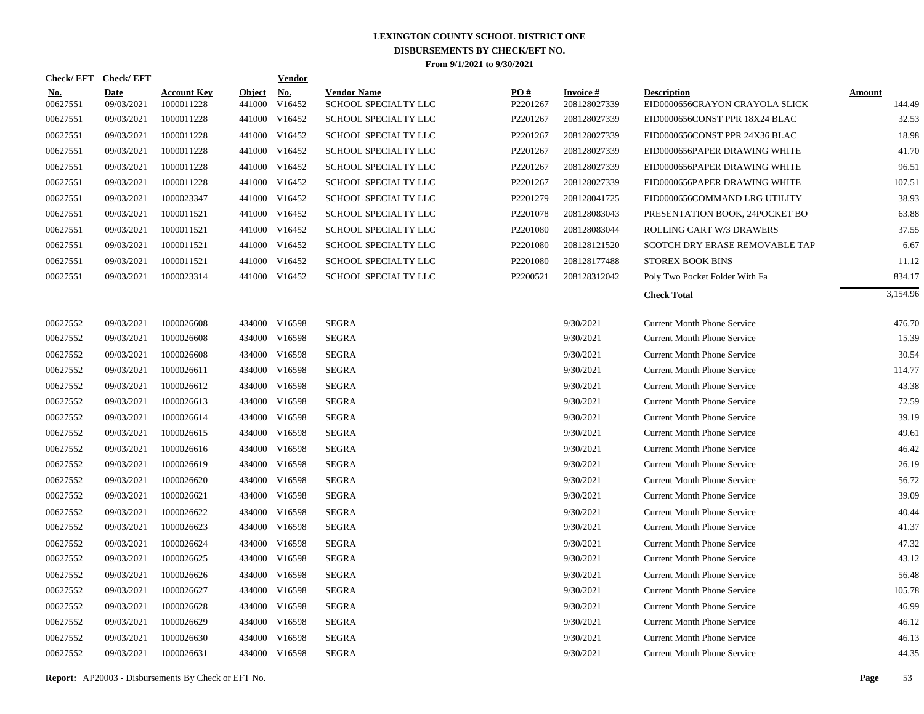| Check/EFT Check/EFT    |                           |                                  |                         | <b>Vendor</b>                         |                                            |                 |                                 |                                                      |                         |
|------------------------|---------------------------|----------------------------------|-------------------------|---------------------------------------|--------------------------------------------|-----------------|---------------------------------|------------------------------------------------------|-------------------------|
| <u>No.</u><br>00627551 | <b>Date</b><br>09/03/2021 | <b>Account Key</b><br>1000011228 | <b>Object</b><br>441000 | $\underline{\textbf{No}}$ .<br>V16452 | <b>Vendor Name</b><br>SCHOOL SPECIALTY LLC | PO#<br>P2201267 | <b>Invoice#</b><br>208128027339 | <b>Description</b><br>EID0000656CRAYON CRAYOLA SLICK | <b>Amount</b><br>144.49 |
| 00627551               | 09/03/2021                | 1000011228                       |                         | 441000 V16452                         | <b>SCHOOL SPECIALTY LLC</b>                | P2201267        | 208128027339                    | EID0000656CONST PPR 18X24 BLAC                       | 32.53                   |
| 00627551               | 09/03/2021                | 1000011228                       |                         | 441000 V16452                         | SCHOOL SPECIALTY LLC                       | P2201267        | 208128027339                    | EID0000656CONST PPR 24X36 BLAC                       | 18.98                   |
| 00627551               | 09/03/2021                | 1000011228                       |                         | 441000 V16452                         | SCHOOL SPECIALTY LLC                       | P2201267        | 208128027339                    | EID0000656PAPER DRAWING WHITE                        | 41.70                   |
| 00627551               | 09/03/2021                | 1000011228                       |                         | 441000 V16452                         | SCHOOL SPECIALTY LLC                       | P2201267        | 208128027339                    | EID0000656PAPER DRAWING WHITE                        | 96.51                   |
| 00627551               | 09/03/2021                | 1000011228                       |                         | 441000 V16452                         | SCHOOL SPECIALTY LLC                       | P2201267        | 208128027339                    | EID0000656PAPER DRAWING WHITE                        | 107.51                  |
| 00627551               | 09/03/2021                | 1000023347                       |                         | 441000 V16452                         | SCHOOL SPECIALTY LLC                       | P2201279        | 208128041725                    | EID0000656COMMAND LRG UTILITY                        | 38.93                   |
| 00627551               | 09/03/2021                | 1000011521                       |                         | 441000 V16452                         | SCHOOL SPECIALTY LLC                       | P2201078        | 208128083043                    | PRESENTATION BOOK, 24POCKET BO                       | 63.88                   |
| 00627551               | 09/03/2021                | 1000011521                       |                         | 441000 V16452                         | SCHOOL SPECIALTY LLC                       | P2201080        | 208128083044                    | ROLLING CART W/3 DRAWERS                             | 37.55                   |
| 00627551               | 09/03/2021                | 1000011521                       |                         | 441000 V16452                         | SCHOOL SPECIALTY LLC                       | P2201080        | 208128121520                    | SCOTCH DRY ERASE REMOVABLE TAP                       | 6.67                    |
| 00627551               | 09/03/2021                | 1000011521                       |                         | 441000 V16452                         | SCHOOL SPECIALTY LLC                       | P2201080        | 208128177488                    | <b>STOREX BOOK BINS</b>                              | 11.12                   |
| 00627551               | 09/03/2021                | 1000023314                       |                         | 441000 V16452                         | SCHOOL SPECIALTY LLC                       | P2200521        | 208128312042                    | Poly Two Pocket Folder With Fa                       | 834.17                  |
|                        |                           |                                  |                         |                                       |                                            |                 |                                 | <b>Check Total</b>                                   | 3,154.96                |
| 00627552               | 09/03/2021                | 1000026608                       |                         | 434000 V16598                         | <b>SEGRA</b>                               |                 | 9/30/2021                       | <b>Current Month Phone Service</b>                   | 476.70                  |
| 00627552               | 09/03/2021                | 1000026608                       |                         | 434000 V16598                         | <b>SEGRA</b>                               |                 | 9/30/2021                       | <b>Current Month Phone Service</b>                   | 15.39                   |
| 00627552               | 09/03/2021                | 1000026608                       |                         | 434000 V16598                         | <b>SEGRA</b>                               |                 | 9/30/2021                       | <b>Current Month Phone Service</b>                   | 30.54                   |
| 00627552               | 09/03/2021                | 1000026611                       |                         | 434000 V16598                         | <b>SEGRA</b>                               |                 | 9/30/2021                       | <b>Current Month Phone Service</b>                   | 114.77                  |
| 00627552               | 09/03/2021                | 1000026612                       |                         | 434000 V16598                         | <b>SEGRA</b>                               |                 | 9/30/2021                       | <b>Current Month Phone Service</b>                   | 43.38                   |
| 00627552               | 09/03/2021                | 1000026613                       |                         | 434000 V16598                         | <b>SEGRA</b>                               |                 | 9/30/2021                       | <b>Current Month Phone Service</b>                   | 72.59                   |
| 00627552               | 09/03/2021                | 1000026614                       |                         | 434000 V16598                         | <b>SEGRA</b>                               |                 | 9/30/2021                       | <b>Current Month Phone Service</b>                   | 39.19                   |
| 00627552               | 09/03/2021                | 1000026615                       |                         | 434000 V16598                         | <b>SEGRA</b>                               |                 | 9/30/2021                       | <b>Current Month Phone Service</b>                   | 49.61                   |
| 00627552               | 09/03/2021                | 1000026616                       |                         | 434000 V16598                         | <b>SEGRA</b>                               |                 | 9/30/2021                       | <b>Current Month Phone Service</b>                   | 46.42                   |
| 00627552               | 09/03/2021                | 1000026619                       |                         | 434000 V16598                         | <b>SEGRA</b>                               |                 | 9/30/2021                       | <b>Current Month Phone Service</b>                   | 26.19                   |
| 00627552               | 09/03/2021                | 1000026620                       |                         | 434000 V16598                         | <b>SEGRA</b>                               |                 | 9/30/2021                       | <b>Current Month Phone Service</b>                   | 56.72                   |
| 00627552               | 09/03/2021                | 1000026621                       |                         | 434000 V16598                         | <b>SEGRA</b>                               |                 | 9/30/2021                       | <b>Current Month Phone Service</b>                   | 39.09                   |
| 00627552               | 09/03/2021                | 1000026622                       |                         | 434000 V16598                         | <b>SEGRA</b>                               |                 | 9/30/2021                       | <b>Current Month Phone Service</b>                   | 40.44                   |
| 00627552               | 09/03/2021                | 1000026623                       |                         | 434000 V16598                         | <b>SEGRA</b>                               |                 | 9/30/2021                       | <b>Current Month Phone Service</b>                   | 41.37                   |
| 00627552               | 09/03/2021                | 1000026624                       |                         | 434000 V16598                         | <b>SEGRA</b>                               |                 | 9/30/2021                       | <b>Current Month Phone Service</b>                   | 47.32                   |
| 00627552               | 09/03/2021                | 1000026625                       |                         | 434000 V16598                         | <b>SEGRA</b>                               |                 | 9/30/2021                       | <b>Current Month Phone Service</b>                   | 43.12                   |
| 00627552               | 09/03/2021                | 1000026626                       |                         | 434000 V16598                         | <b>SEGRA</b>                               |                 | 9/30/2021                       | <b>Current Month Phone Service</b>                   | 56.48                   |
| 00627552               | 09/03/2021                | 1000026627                       |                         | 434000 V16598                         | <b>SEGRA</b>                               |                 | 9/30/2021                       | <b>Current Month Phone Service</b>                   | 105.78                  |
| 00627552               | 09/03/2021                | 1000026628                       |                         | 434000 V16598                         | <b>SEGRA</b>                               |                 | 9/30/2021                       | <b>Current Month Phone Service</b>                   | 46.99                   |
| 00627552               | 09/03/2021                | 1000026629                       |                         | 434000 V16598                         | <b>SEGRA</b>                               |                 | 9/30/2021                       | <b>Current Month Phone Service</b>                   | 46.12                   |
| 00627552               | 09/03/2021                | 1000026630                       |                         | 434000 V16598                         | <b>SEGRA</b>                               |                 | 9/30/2021                       | <b>Current Month Phone Service</b>                   | 46.13                   |
| 00627552               | 09/03/2021                | 1000026631                       |                         | 434000 V16598                         | <b>SEGRA</b>                               |                 | 9/30/2021                       | <b>Current Month Phone Service</b>                   | 44.35                   |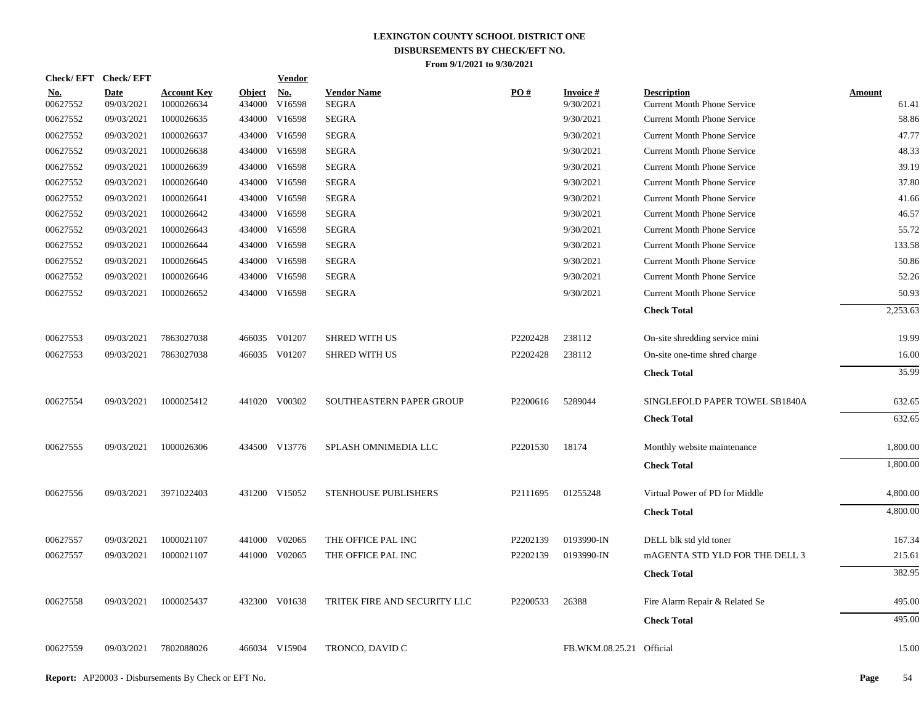| <b>Check/EFT</b> | <b>Check/EFT</b>          |                                  |                         | <b>Vendor</b>        |                                    |          |                              |                                                          |                        |
|------------------|---------------------------|----------------------------------|-------------------------|----------------------|------------------------------------|----------|------------------------------|----------------------------------------------------------|------------------------|
| No.<br>00627552  | <b>Date</b><br>09/03/2021 | <b>Account Key</b><br>1000026634 | <b>Object</b><br>434000 | <b>No.</b><br>V16598 | <b>Vendor Name</b><br><b>SEGRA</b> | PO#      | <b>Invoice#</b><br>9/30/2021 | <b>Description</b><br><b>Current Month Phone Service</b> | <b>Amount</b><br>61.41 |
| 00627552         | 09/03/2021                | 1000026635                       | 434000                  | V16598               | <b>SEGRA</b>                       |          | 9/30/2021                    | <b>Current Month Phone Service</b>                       | 58.86                  |
| 00627552         | 09/03/2021                | 1000026637                       | 434000                  | V16598               | <b>SEGRA</b>                       |          | 9/30/2021                    | <b>Current Month Phone Service</b>                       | 47.77                  |
| 00627552         | 09/03/2021                | 1000026638                       | 434000                  | V16598               | <b>SEGRA</b>                       |          | 9/30/2021                    | <b>Current Month Phone Service</b>                       | 48.33                  |
| 00627552         | 09/03/2021                | 1000026639                       | 434000                  | V16598               | <b>SEGRA</b>                       |          | 9/30/2021                    | <b>Current Month Phone Service</b>                       | 39.19                  |
| 00627552         | 09/03/2021                | 1000026640                       | 434000                  | V16598               | <b>SEGRA</b>                       |          | 9/30/2021                    | <b>Current Month Phone Service</b>                       | 37.80                  |
| 00627552         | 09/03/2021                | 1000026641                       | 434000                  | V16598               | <b>SEGRA</b>                       |          | 9/30/2021                    | <b>Current Month Phone Service</b>                       | 41.66                  |
| 00627552         | 09/03/2021                | 1000026642                       | 434000                  | V16598               | <b>SEGRA</b>                       |          | 9/30/2021                    | <b>Current Month Phone Service</b>                       | 46.57                  |
| 00627552         | 09/03/2021                | 1000026643                       | 434000                  | V16598               | <b>SEGRA</b>                       |          | 9/30/2021                    | <b>Current Month Phone Service</b>                       | 55.72                  |
| 00627552         | 09/03/2021                | 1000026644                       | 434000                  | V16598               | <b>SEGRA</b>                       |          | 9/30/2021                    | <b>Current Month Phone Service</b>                       | 133.58                 |
| 00627552         | 09/03/2021                | 1000026645                       | 434000                  | V16598               | <b>SEGRA</b>                       |          | 9/30/2021                    | <b>Current Month Phone Service</b>                       | 50.86                  |
| 00627552         | 09/03/2021                | 1000026646                       | 434000                  | V16598               | <b>SEGRA</b>                       |          | 9/30/2021                    | <b>Current Month Phone Service</b>                       | 52.26                  |
| 00627552         | 09/03/2021                | 1000026652                       |                         | 434000 V16598        | <b>SEGRA</b>                       |          | 9/30/2021                    | <b>Current Month Phone Service</b>                       | 50.93                  |
|                  |                           |                                  |                         |                      |                                    |          |                              | <b>Check Total</b>                                       | 2,253.63               |
| 00627553         | 09/03/2021                | 7863027038                       |                         | 466035 V01207        | <b>SHRED WITH US</b>               | P2202428 | 238112                       | On-site shredding service mini                           | 19.99                  |
| 00627553         | 09/03/2021                | 7863027038                       |                         | 466035 V01207        | <b>SHRED WITH US</b>               | P2202428 | 238112                       | On-site one-time shred charge                            | 16.00                  |
|                  |                           |                                  |                         |                      |                                    |          |                              | <b>Check Total</b>                                       | 35.99                  |
| 00627554         | 09/03/2021                | 1000025412                       |                         | 441020 V00302        | SOUTHEASTERN PAPER GROUP           | P2200616 | 5289044                      | SINGLEFOLD PAPER TOWEL SB1840A                           | 632.65                 |
|                  |                           |                                  |                         |                      |                                    |          |                              | <b>Check Total</b>                                       | 632.65                 |
| 00627555         | 09/03/2021                | 1000026306                       |                         | 434500 V13776        | SPLASH OMNIMEDIA LLC               | P2201530 | 18174                        | Monthly website maintenance                              | 1,800.00               |
|                  |                           |                                  |                         |                      |                                    |          |                              | <b>Check Total</b>                                       | 1,800.00               |
| 00627556         | 09/03/2021                | 3971022403                       |                         | 431200 V15052        | STENHOUSE PUBLISHERS               | P2111695 | 01255248                     | Virtual Power of PD for Middle                           | 4,800.00               |
|                  |                           |                                  |                         |                      |                                    |          |                              | <b>Check Total</b>                                       | 4,800.00               |
| 00627557         | 09/03/2021                | 1000021107                       | 441000                  | V02065               | THE OFFICE PAL INC                 | P2202139 | 0193990-IN                   | DELL blk std yld toner                                   | 167.34                 |
| 00627557         | 09/03/2021                | 1000021107                       |                         | 441000 V02065        | THE OFFICE PAL INC                 | P2202139 | 0193990-IN                   | mAGENTA STD YLD FOR THE DELL 3                           | 215.61                 |
|                  |                           |                                  |                         |                      |                                    |          |                              | <b>Check Total</b>                                       | 382.95                 |
| 00627558         | 09/03/2021                | 1000025437                       |                         | 432300 V01638        | TRITEK FIRE AND SECURITY LLC       | P2200533 | 26388                        | Fire Alarm Repair & Related Se                           | 495.00                 |
|                  |                           |                                  |                         |                      |                                    |          |                              | <b>Check Total</b>                                       | 495.00                 |
| 00627559         | 09/03/2021                | 7802088026                       |                         | 466034 V15904        | TRONCO, DAVID C                    |          | FB.WKM.08.25.21 Official     |                                                          | 15.00                  |
|                  |                           |                                  |                         |                      |                                    |          |                              |                                                          |                        |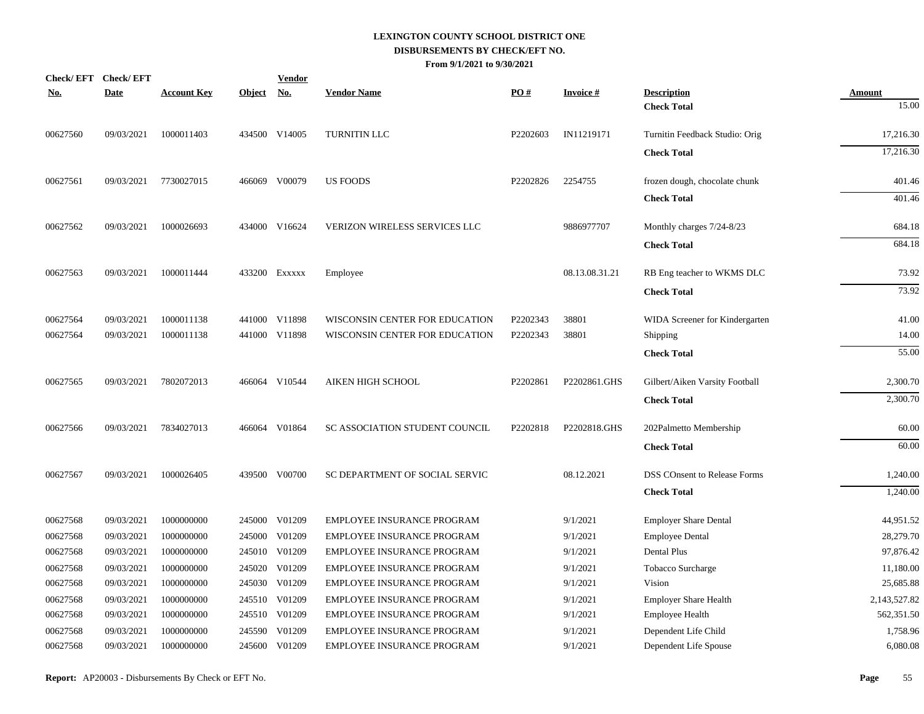| <b>Check/EFT</b> | <b>Check/EFT</b> |                    |               | <b>Vendor</b> |                                   |          |                 |                                     |               |
|------------------|------------------|--------------------|---------------|---------------|-----------------------------------|----------|-----------------|-------------------------------------|---------------|
| <u>No.</u>       | <b>Date</b>      | <b>Account Key</b> | <b>Object</b> | <u>No.</u>    | <b>Vendor Name</b>                | PO#      | <b>Invoice#</b> | <b>Description</b>                  | <b>Amount</b> |
|                  |                  |                    |               |               |                                   |          |                 | <b>Check Total</b>                  | 15.00         |
| 00627560         | 09/03/2021       | 1000011403         |               | 434500 V14005 | TURNITIN LLC                      | P2202603 | IN11219171      | Turnitin Feedback Studio: Orig      | 17,216.30     |
|                  |                  |                    |               |               |                                   |          |                 | <b>Check Total</b>                  | 17,216.30     |
| 00627561         | 09/03/2021       | 7730027015         |               | 466069 V00079 | <b>US FOODS</b>                   | P2202826 | 2254755         | frozen dough, chocolate chunk       | 401.46        |
|                  |                  |                    |               |               |                                   |          |                 | <b>Check Total</b>                  | 401.46        |
| 00627562         | 09/03/2021       | 1000026693         |               | 434000 V16624 | VERIZON WIRELESS SERVICES LLC     |          | 9886977707      | Monthly charges 7/24-8/23           | 684.18        |
|                  |                  |                    |               |               |                                   |          |                 | <b>Check Total</b>                  | 684.18        |
| 00627563         | 09/03/2021       | 1000011444         |               | 433200 Exxxxx | Employee                          |          | 08.13.08.31.21  | RB Eng teacher to WKMS DLC          | 73.92         |
|                  |                  |                    |               |               |                                   |          |                 | <b>Check Total</b>                  | 73.92         |
| 00627564         | 09/03/2021       | 1000011138         |               | 441000 V11898 | WISCONSIN CENTER FOR EDUCATION    | P2202343 | 38801           | WIDA Screener for Kindergarten      | 41.00         |
| 00627564         | 09/03/2021       | 1000011138         |               | 441000 V11898 | WISCONSIN CENTER FOR EDUCATION    | P2202343 | 38801           | Shipping                            | 14.00         |
|                  |                  |                    |               |               |                                   |          |                 | <b>Check Total</b>                  | 55.00         |
| 00627565         | 09/03/2021       | 7802072013         |               | 466064 V10544 | AIKEN HIGH SCHOOL                 | P2202861 | P2202861.GHS    | Gilbert/Aiken Varsity Football      | 2,300.70      |
|                  |                  |                    |               |               |                                   |          |                 | <b>Check Total</b>                  | 2,300.70      |
| 00627566         | 09/03/2021       | 7834027013         |               | 466064 V01864 | SC ASSOCIATION STUDENT COUNCIL    | P2202818 | P2202818.GHS    | 202Palmetto Membership              | 60.00         |
|                  |                  |                    |               |               |                                   |          |                 | <b>Check Total</b>                  | 60.00         |
| 00627567         | 09/03/2021       | 1000026405         |               | 439500 V00700 | SC DEPARTMENT OF SOCIAL SERVIC    |          | 08.12.2021      | <b>DSS COnsent to Release Forms</b> | 1,240.00      |
|                  |                  |                    |               |               |                                   |          |                 | <b>Check Total</b>                  | 1,240.00      |
| 00627568         | 09/03/2021       | 1000000000         |               | 245000 V01209 | <b>EMPLOYEE INSURANCE PROGRAM</b> |          | 9/1/2021        | <b>Employer Share Dental</b>        | 44,951.52     |
| 00627568         | 09/03/2021       | 1000000000         |               | 245000 V01209 | EMPLOYEE INSURANCE PROGRAM        |          | 9/1/2021        | <b>Employee Dental</b>              | 28,279.70     |
| 00627568         | 09/03/2021       | 1000000000         |               | 245010 V01209 | EMPLOYEE INSURANCE PROGRAM        |          | 9/1/2021        | Dental Plus                         | 97,876.42     |
| 00627568         | 09/03/2021       | 1000000000         |               | 245020 V01209 | <b>EMPLOYEE INSURANCE PROGRAM</b> |          | 9/1/2021        | Tobacco Surcharge                   | 11,180.00     |
| 00627568         | 09/03/2021       | 1000000000         |               | 245030 V01209 | EMPLOYEE INSURANCE PROGRAM        |          | 9/1/2021        | Vision                              | 25,685.88     |
| 00627568         | 09/03/2021       | 1000000000         |               | 245510 V01209 | EMPLOYEE INSURANCE PROGRAM        |          | 9/1/2021        | <b>Employer Share Health</b>        | 2,143,527.82  |
| 00627568         | 09/03/2021       | 1000000000         |               | 245510 V01209 | <b>EMPLOYEE INSURANCE PROGRAM</b> |          | 9/1/2021        | <b>Employee Health</b>              | 562,351.50    |
| 00627568         | 09/03/2021       | 1000000000         |               | 245590 V01209 | EMPLOYEE INSURANCE PROGRAM        |          | 9/1/2021        | Dependent Life Child                | 1,758.96      |
| 00627568         | 09/03/2021       | 1000000000         |               | 245600 V01209 | <b>EMPLOYEE INSURANCE PROGRAM</b> |          | 9/1/2021        | Dependent Life Spouse               | 6,080.08      |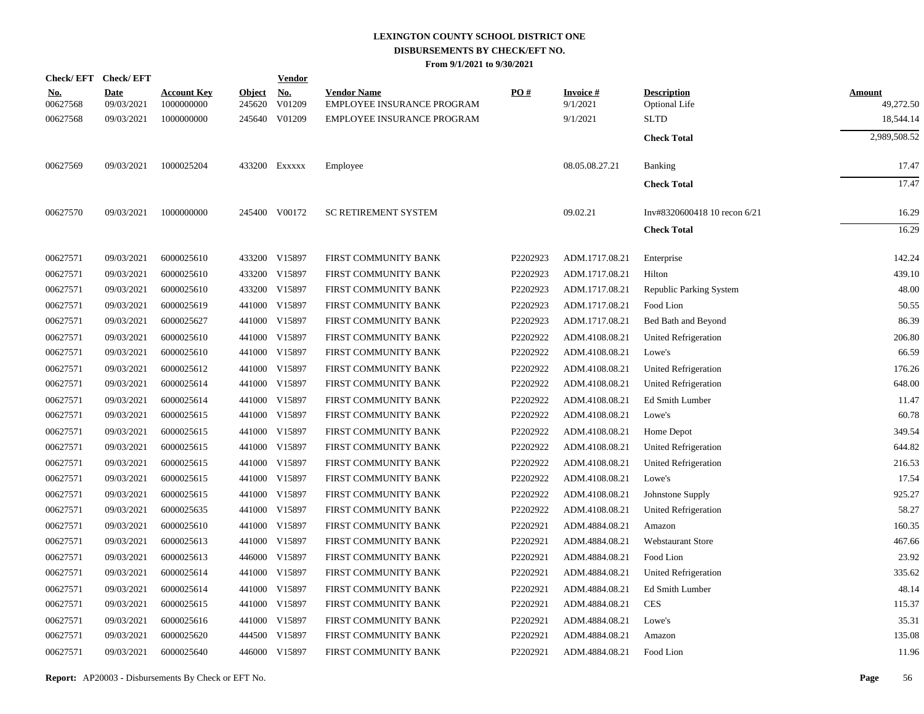|                        | Check/EFT Check/EFT |                                  |                      | <b>Vendor</b> |                                                  |          |                             |                                            |                     |
|------------------------|---------------------|----------------------------------|----------------------|---------------|--------------------------------------------------|----------|-----------------------------|--------------------------------------------|---------------------|
| <u>No.</u><br>00627568 | Date<br>09/03/2021  | <b>Account Key</b><br>1000000000 | Object No.<br>245620 | V01209        | <b>Vendor Name</b><br>EMPLOYEE INSURANCE PROGRAM | PO#      | <b>Invoice#</b><br>9/1/2021 | <b>Description</b><br><b>Optional Life</b> | Amount<br>49,272.50 |
| 00627568               | 09/03/2021          | 1000000000                       |                      | 245640 V01209 | EMPLOYEE INSURANCE PROGRAM                       |          | 9/1/2021                    | <b>SLTD</b>                                | 18,544.14           |
|                        |                     |                                  |                      |               |                                                  |          |                             | <b>Check Total</b>                         | 2,989,508.52        |
| 00627569               | 09/03/2021          | 1000025204                       |                      | 433200 Exxxxx | Employee                                         |          | 08.05.08.27.21              | Banking                                    | 17.47               |
|                        |                     |                                  |                      |               |                                                  |          |                             | <b>Check Total</b>                         | 17.47               |
| 00627570               | 09/03/2021          | 1000000000                       |                      | 245400 V00172 | <b>SC RETIREMENT SYSTEM</b>                      |          | 09.02.21                    | Inv#8320600418 10 recon 6/21               | 16.29               |
|                        |                     |                                  |                      |               |                                                  |          |                             | <b>Check Total</b>                         | 16.29               |
| 00627571               | 09/03/2021          | 6000025610                       |                      | 433200 V15897 | FIRST COMMUNITY BANK                             | P2202923 | ADM.1717.08.21              | Enterprise                                 | 142.24              |
| 00627571               | 09/03/2021          | 6000025610                       |                      | 433200 V15897 | FIRST COMMUNITY BANK                             | P2202923 | ADM.1717.08.21              | Hilton                                     | 439.10              |
| 00627571               | 09/03/2021          | 6000025610                       |                      | 433200 V15897 | FIRST COMMUNITY BANK                             | P2202923 | ADM.1717.08.21              | Republic Parking System                    | 48.00               |
| 00627571               | 09/03/2021          | 6000025619                       |                      | 441000 V15897 | FIRST COMMUNITY BANK                             | P2202923 | ADM.1717.08.21              | Food Lion                                  | 50.55               |
| 00627571               | 09/03/2021          | 6000025627                       |                      | 441000 V15897 | FIRST COMMUNITY BANK                             | P2202923 | ADM.1717.08.21              | Bed Bath and Beyond                        | 86.39               |
| 00627571               | 09/03/2021          | 6000025610                       | 441000               | V15897        | FIRST COMMUNITY BANK                             | P2202922 | ADM.4108.08.21              | United Refrigeration                       | 206.80              |
| 00627571               | 09/03/2021          | 6000025610                       |                      | 441000 V15897 | FIRST COMMUNITY BANK                             | P2202922 | ADM.4108.08.21              | Lowe's                                     | 66.59               |
| 00627571               | 09/03/2021          | 6000025612                       | 441000               | V15897        | FIRST COMMUNITY BANK                             | P2202922 | ADM.4108.08.21              | United Refrigeration                       | 176.26              |
| 00627571               | 09/03/2021          | 6000025614                       |                      | 441000 V15897 | FIRST COMMUNITY BANK                             | P2202922 | ADM.4108.08.21              | United Refrigeration                       | 648.00              |
| 00627571               | 09/03/2021          | 6000025614                       | 441000               | V15897        | FIRST COMMUNITY BANK                             | P2202922 | ADM.4108.08.21              | Ed Smith Lumber                            | 11.47               |
| 00627571               | 09/03/2021          | 6000025615                       |                      | 441000 V15897 | FIRST COMMUNITY BANK                             | P2202922 | ADM.4108.08.21              | Lowe's                                     | 60.78               |
| 00627571               | 09/03/2021          | 6000025615                       | 441000               | V15897        | FIRST COMMUNITY BANK                             | P2202922 | ADM.4108.08.21              | Home Depot                                 | 349.54              |
| 00627571               | 09/03/2021          | 6000025615                       |                      | 441000 V15897 | FIRST COMMUNITY BANK                             | P2202922 | ADM.4108.08.21              | <b>United Refrigeration</b>                | 644.82              |
| 00627571               | 09/03/2021          | 6000025615                       | 441000               | V15897        | FIRST COMMUNITY BANK                             | P2202922 | ADM.4108.08.21              | <b>United Refrigeration</b>                | 216.53              |
| 00627571               | 09/03/2021          | 6000025615                       |                      | 441000 V15897 | FIRST COMMUNITY BANK                             | P2202922 | ADM.4108.08.21              | Lowe's                                     | 17.54               |
| 00627571               | 09/03/2021          | 6000025615                       | 441000               | V15897        | FIRST COMMUNITY BANK                             | P2202922 | ADM.4108.08.21              | Johnstone Supply                           | 925.27              |
| 00627571               | 09/03/2021          | 6000025635                       |                      | 441000 V15897 | FIRST COMMUNITY BANK                             | P2202922 | ADM.4108.08.21              | United Refrigeration                       | 58.27               |
| 00627571               | 09/03/2021          | 6000025610                       | 441000               | V15897        | FIRST COMMUNITY BANK                             | P2202921 | ADM.4884.08.21              | Amazon                                     | 160.35              |
| 00627571               | 09/03/2021          | 6000025613                       |                      | 441000 V15897 | FIRST COMMUNITY BANK                             | P2202921 | ADM.4884.08.21              | <b>Webstaurant Store</b>                   | 467.66              |
| 00627571               | 09/03/2021          | 6000025613                       |                      | 446000 V15897 | FIRST COMMUNITY BANK                             | P2202921 | ADM.4884.08.21              | Food Lion                                  | 23.92               |
| 00627571               | 09/03/2021          | 6000025614                       |                      | 441000 V15897 | FIRST COMMUNITY BANK                             | P2202921 | ADM.4884.08.21              | United Refrigeration                       | 335.62              |
| 00627571               | 09/03/2021          | 6000025614                       | 441000               | V15897        | FIRST COMMUNITY BANK                             | P2202921 | ADM.4884.08.21              | Ed Smith Lumber                            | 48.14               |
| 00627571               | 09/03/2021          | 6000025615                       |                      | 441000 V15897 | FIRST COMMUNITY BANK                             | P2202921 | ADM.4884.08.21              | <b>CES</b>                                 | 115.37              |
| 00627571               | 09/03/2021          | 6000025616                       |                      | 441000 V15897 | FIRST COMMUNITY BANK                             | P2202921 | ADM.4884.08.21              | Lowe's                                     | 35.31               |
| 00627571               | 09/03/2021          | 6000025620                       |                      | 444500 V15897 | FIRST COMMUNITY BANK                             | P2202921 | ADM.4884.08.21              | Amazon                                     | 135.08              |
| 00627571               | 09/03/2021          | 6000025640                       |                      | 446000 V15897 | FIRST COMMUNITY BANK                             | P2202921 | ADM.4884.08.21              | Food Lion                                  | 11.96               |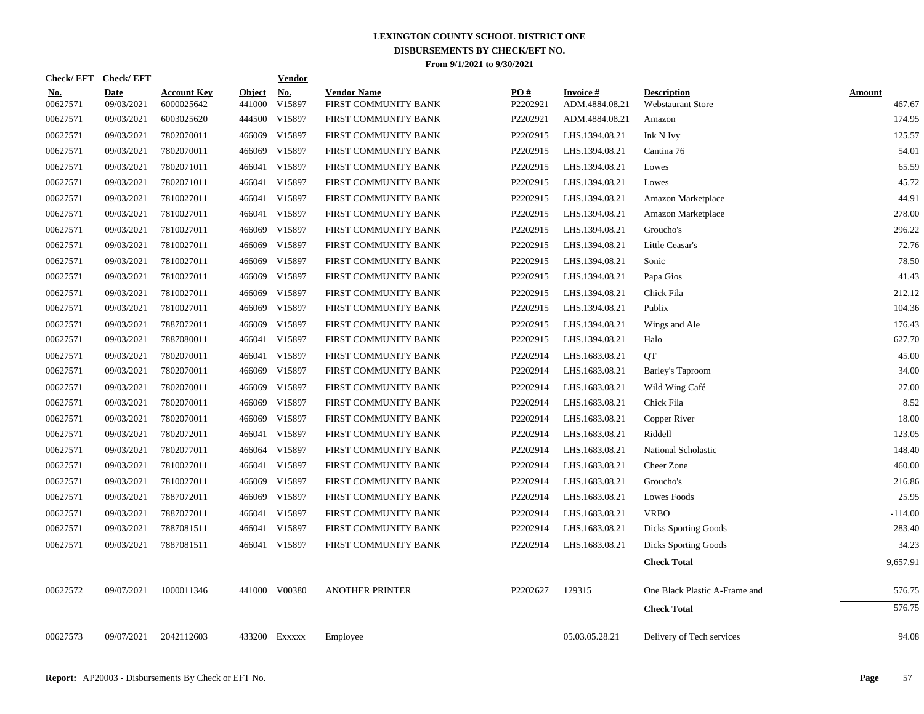| <b>Check/EFT</b>       | <b>Check/EFT</b>          |                                  |                         | <b>Vendor</b>        |                                            |                 |                             |                                                |                         |
|------------------------|---------------------------|----------------------------------|-------------------------|----------------------|--------------------------------------------|-----------------|-----------------------------|------------------------------------------------|-------------------------|
| <u>No.</u><br>00627571 | <b>Date</b><br>09/03/2021 | <b>Account Key</b><br>6000025642 | <b>Object</b><br>441000 | <b>No.</b><br>V15897 | <b>Vendor Name</b><br>FIRST COMMUNITY BANK | PO#<br>P2202921 | Invoice #<br>ADM.4884.08.21 | <b>Description</b><br><b>Webstaurant Store</b> | <b>Amount</b><br>467.67 |
| 00627571               | 09/03/2021                | 6003025620                       |                         | 444500 V15897        | FIRST COMMUNITY BANK                       | P2202921        | ADM.4884.08.21              | Amazon                                         | 174.95                  |
| 00627571               | 09/03/2021                | 7802070011                       |                         | 466069 V15897        | FIRST COMMUNITY BANK                       | P2202915        | LHS.1394.08.21              | Ink N Ivy                                      | 125.57                  |
| 00627571               | 09/03/2021                | 7802070011                       | 466069                  | V15897               | FIRST COMMUNITY BANK                       | P2202915        | LHS.1394.08.21              | Cantina 76                                     | 54.01                   |
| 00627571               | 09/03/2021                | 7802071011                       |                         | 466041 V15897        | FIRST COMMUNITY BANK                       | P2202915        | LHS.1394.08.21              | Lowes                                          | 65.59                   |
| 00627571               | 09/03/2021                | 7802071011                       |                         | 466041 V15897        | FIRST COMMUNITY BANK                       | P2202915        | LHS.1394.08.21              | Lowes                                          | 45.72                   |
| 00627571               | 09/03/2021                | 7810027011                       |                         | 466041 V15897        | FIRST COMMUNITY BANK                       | P2202915        | LHS.1394.08.21              | Amazon Marketplace                             | 44.91                   |
| 00627571               | 09/03/2021                | 7810027011                       |                         | 466041 V15897        | FIRST COMMUNITY BANK                       | P2202915        | LHS.1394.08.21              | Amazon Marketplace                             | 278.00                  |
| 00627571               | 09/03/2021                | 7810027011                       |                         | 466069 V15897        | FIRST COMMUNITY BANK                       | P2202915        | LHS.1394.08.21              | Groucho's                                      | 296.22                  |
| 00627571               | 09/03/2021                | 7810027011                       |                         | 466069 V15897        | FIRST COMMUNITY BANK                       | P2202915        | LHS.1394.08.21              | Little Ceasar's                                | 72.76                   |
| 00627571               | 09/03/2021                | 7810027011                       |                         | 466069 V15897        | FIRST COMMUNITY BANK                       | P2202915        | LHS.1394.08.21              | Sonic                                          | 78.50                   |
| 00627571               | 09/03/2021                | 7810027011                       |                         | 466069 V15897        | FIRST COMMUNITY BANK                       | P2202915        | LHS.1394.08.21              | Papa Gios                                      | 41.43                   |
| 00627571               | 09/03/2021                | 7810027011                       |                         | 466069 V15897        | FIRST COMMUNITY BANK                       | P2202915        | LHS.1394.08.21              | Chick Fila                                     | 212.12                  |
| 00627571               | 09/03/2021                | 7810027011                       |                         | 466069 V15897        | FIRST COMMUNITY BANK                       | P2202915        | LHS.1394.08.21              | Publix                                         | 104.36                  |
| 00627571               | 09/03/2021                | 7887072011                       | 466069                  | V15897               | FIRST COMMUNITY BANK                       | P2202915        | LHS.1394.08.21              | Wings and Ale                                  | 176.43                  |
| 00627571               | 09/03/2021                | 7887080011                       |                         | 466041 V15897        | FIRST COMMUNITY BANK                       | P2202915        | LHS.1394.08.21              | Halo                                           | 627.70                  |
| 00627571               | 09/03/2021                | 7802070011                       |                         | 466041 V15897        | FIRST COMMUNITY BANK                       | P2202914        | LHS.1683.08.21              | QT                                             | 45.00                   |
| 00627571               | 09/03/2021                | 7802070011                       |                         | 466069 V15897        | FIRST COMMUNITY BANK                       | P2202914        | LHS.1683.08.21              | Barley's Taproom                               | 34.00                   |
| 00627571               | 09/03/2021                | 7802070011                       | 466069                  | V15897               | FIRST COMMUNITY BANK                       | P2202914        | LHS.1683.08.21              | Wild Wing Café                                 | 27.00                   |
| 00627571               | 09/03/2021                | 7802070011                       | 466069                  | V15897               | FIRST COMMUNITY BANK                       | P2202914        | LHS.1683.08.21              | Chick Fila                                     | 8.52                    |
| 00627571               | 09/03/2021                | 7802070011                       |                         | 466069 V15897        | FIRST COMMUNITY BANK                       | P2202914        | LHS.1683.08.21              | Copper River                                   | 18.00                   |
| 00627571               | 09/03/2021                | 7802072011                       |                         | 466041 V15897        | FIRST COMMUNITY BANK                       | P2202914        | LHS.1683.08.21              | Riddell                                        | 123.05                  |
| 00627571               | 09/03/2021                | 7802077011                       |                         | 466064 V15897        | FIRST COMMUNITY BANK                       | P2202914        | LHS.1683.08.21              | National Scholastic                            | 148.40                  |
| 00627571               | 09/03/2021                | 7810027011                       |                         | 466041 V15897        | FIRST COMMUNITY BANK                       | P2202914        | LHS.1683.08.21              | Cheer Zone                                     | 460.00                  |
| 00627571               | 09/03/2021                | 7810027011                       |                         | 466069 V15897        | FIRST COMMUNITY BANK                       | P2202914        | LHS.1683.08.21              | Groucho's                                      | 216.86                  |
| 00627571               | 09/03/2021                | 7887072011                       |                         | 466069 V15897        | FIRST COMMUNITY BANK                       | P2202914        | LHS.1683.08.21              | Lowes Foods                                    | 25.95                   |
| 00627571               | 09/03/2021                | 7887077011                       |                         | 466041 V15897        | FIRST COMMUNITY BANK                       | P2202914        | LHS.1683.08.21              | <b>VRBO</b>                                    | $-114.00$               |
| 00627571               | 09/03/2021                | 7887081511                       |                         | 466041 V15897        | FIRST COMMUNITY BANK                       | P2202914        | LHS.1683.08.21              | <b>Dicks Sporting Goods</b>                    | 283.40                  |
| 00627571               | 09/03/2021                | 7887081511                       |                         | 466041 V15897        | FIRST COMMUNITY BANK                       | P2202914        | LHS.1683.08.21              | <b>Dicks Sporting Goods</b>                    | 34.23                   |
|                        |                           |                                  |                         |                      |                                            |                 |                             | <b>Check Total</b>                             | 9,657.91                |
| 00627572               | 09/07/2021                | 1000011346                       |                         | 441000 V00380        | <b>ANOTHER PRINTER</b>                     | P2202627        | 129315                      | One Black Plastic A-Frame and                  | 576.75                  |
|                        |                           |                                  |                         |                      |                                            |                 |                             | <b>Check Total</b>                             | 576.75                  |
| 00627573               | 09/07/2021                | 2042112603                       |                         | 433200 Exxxxx        | Employee                                   |                 | 05.03.05.28.21              | Delivery of Tech services                      | 94.08                   |
|                        |                           |                                  |                         |                      |                                            |                 |                             |                                                |                         |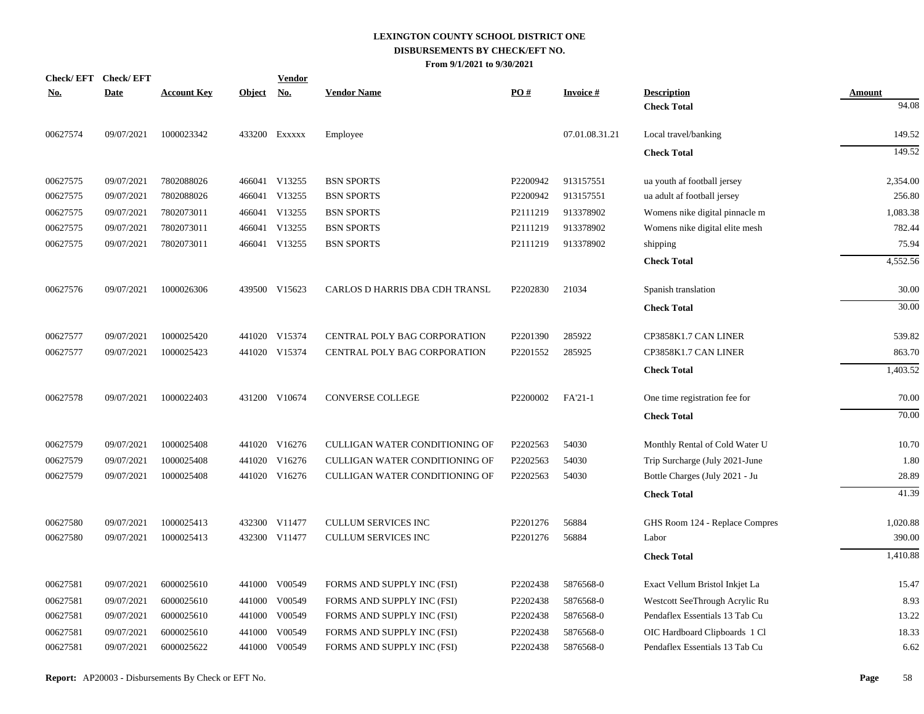|             |                                      |        | <b>Vendor</b> |                                                                                                                                                                                                                                                                                                                                    |          |                 |                                |               |
|-------------|--------------------------------------|--------|---------------|------------------------------------------------------------------------------------------------------------------------------------------------------------------------------------------------------------------------------------------------------------------------------------------------------------------------------------|----------|-----------------|--------------------------------|---------------|
| <b>Date</b> | <b>Account Key</b>                   |        | <u>No.</u>    | <b>Vendor Name</b>                                                                                                                                                                                                                                                                                                                 | PO#      | <b>Invoice#</b> | <b>Description</b>             | <b>Amount</b> |
|             |                                      |        |               |                                                                                                                                                                                                                                                                                                                                    |          |                 | <b>Check Total</b>             | 94.08         |
| 09/07/2021  | 1000023342                           |        |               | Employee                                                                                                                                                                                                                                                                                                                           |          | 07.01.08.31.21  | Local travel/banking           | 149.52        |
|             |                                      |        |               |                                                                                                                                                                                                                                                                                                                                    |          |                 | <b>Check Total</b>             | 149.52        |
| 09/07/2021  | 7802088026                           |        |               | <b>BSN SPORTS</b>                                                                                                                                                                                                                                                                                                                  | P2200942 | 913157551       | ua youth af football jersey    | 2,354.00      |
| 09/07/2021  | 7802088026                           |        | V13255        | <b>BSN SPORTS</b>                                                                                                                                                                                                                                                                                                                  | P2200942 | 913157551       | ua adult af football jersey    | 256.80        |
| 09/07/2021  | 7802073011                           |        |               | <b>BSN SPORTS</b>                                                                                                                                                                                                                                                                                                                  | P2111219 | 913378902       | Womens nike digital pinnacle m | 1,083.38      |
| 09/07/2021  | 7802073011                           |        |               | <b>BSN SPORTS</b>                                                                                                                                                                                                                                                                                                                  | P2111219 | 913378902       | Womens nike digital elite mesh | 782.44        |
| 09/07/2021  | 7802073011                           |        |               | <b>BSN SPORTS</b>                                                                                                                                                                                                                                                                                                                  | P2111219 | 913378902       | shipping                       | 75.94         |
|             |                                      |        |               |                                                                                                                                                                                                                                                                                                                                    |          |                 | <b>Check Total</b>             | 4,552.56      |
| 09/07/2021  | 1000026306                           |        |               | CARLOS D HARRIS DBA CDH TRANSL                                                                                                                                                                                                                                                                                                     | P2202830 | 21034           | Spanish translation            | 30.00         |
|             |                                      |        |               |                                                                                                                                                                                                                                                                                                                                    |          |                 | <b>Check Total</b>             | 30.00         |
| 09/07/2021  | 1000025420                           |        |               | CENTRAL POLY BAG CORPORATION                                                                                                                                                                                                                                                                                                       | P2201390 | 285922          | CP3858K1.7 CAN LINER           | 539.82        |
| 09/07/2021  | 1000025423                           |        |               | CENTRAL POLY BAG CORPORATION                                                                                                                                                                                                                                                                                                       | P2201552 | 285925          | CP3858K1.7 CAN LINER           | 863.70        |
|             |                                      |        |               |                                                                                                                                                                                                                                                                                                                                    |          |                 | <b>Check Total</b>             | 1,403.52      |
| 09/07/2021  | 1000022403                           |        |               | <b>CONVERSE COLLEGE</b>                                                                                                                                                                                                                                                                                                            | P2200002 | FA'21-1         | One time registration fee for  | 70.00         |
|             |                                      |        |               |                                                                                                                                                                                                                                                                                                                                    |          |                 | <b>Check Total</b>             | 70.00         |
| 09/07/2021  | 1000025408                           |        |               | <b>CULLIGAN WATER CONDITIONING OF</b>                                                                                                                                                                                                                                                                                              | P2202563 | 54030           | Monthly Rental of Cold Water U | 10.70         |
| 09/07/2021  | 1000025408                           |        |               | <b>CULLIGAN WATER CONDITIONING OF</b>                                                                                                                                                                                                                                                                                              | P2202563 | 54030           | Trip Surcharge (July 2021-June | 1.80          |
| 09/07/2021  | 1000025408                           |        |               | CULLIGAN WATER CONDITIONING OF                                                                                                                                                                                                                                                                                                     | P2202563 | 54030           | Bottle Charges (July 2021 - Ju | 28.89         |
|             |                                      |        |               |                                                                                                                                                                                                                                                                                                                                    |          |                 | <b>Check Total</b>             | 41.39         |
| 09/07/2021  | 1000025413                           |        |               | <b>CULLUM SERVICES INC</b>                                                                                                                                                                                                                                                                                                         | P2201276 | 56884           | GHS Room 124 - Replace Compres | 1,020.88      |
| 09/07/2021  | 1000025413                           |        |               | <b>CULLUM SERVICES INC</b>                                                                                                                                                                                                                                                                                                         | P2201276 | 56884           | Labor                          | 390.00        |
|             |                                      |        |               |                                                                                                                                                                                                                                                                                                                                    |          |                 | <b>Check Total</b>             | 1,410.88      |
| 09/07/2021  | 6000025610                           |        |               | FORMS AND SUPPLY INC (FSI)                                                                                                                                                                                                                                                                                                         | P2202438 | 5876568-0       | Exact Vellum Bristol Inkjet La | 15.47         |
| 09/07/2021  | 6000025610                           |        | V00549        | FORMS AND SUPPLY INC (FSI)                                                                                                                                                                                                                                                                                                         | P2202438 | 5876568-0       | Westcott SeeThrough Acrylic Ru | 8.93          |
| 09/07/2021  | 6000025610                           |        |               | FORMS AND SUPPLY INC (FSI)                                                                                                                                                                                                                                                                                                         | P2202438 | 5876568-0       | Pendaflex Essentials 13 Tab Cu | 13.22         |
| 09/07/2021  | 6000025610                           | 441000 | V00549        | FORMS AND SUPPLY INC (FSI)                                                                                                                                                                                                                                                                                                         | P2202438 | 5876568-0       | OIC Hardboard Clipboards 1 Cl  | 18.33         |
| 09/07/2021  | 6000025622                           |        |               | FORMS AND SUPPLY INC (FSI)                                                                                                                                                                                                                                                                                                         | P2202438 | 5876568-0       | Pendaflex Essentials 13 Tab Cu | 6.62          |
|             | <b>Check/EFT</b><br><b>Check/EFT</b> |        |               | <b>Object</b><br>433200 Exxxxx<br>466041 V13255<br>466041<br>466041 V13255<br>466041 V13255<br>466041 V13255<br>439500 V15623<br>441020 V15374<br>441020 V15374<br>431200 V10674<br>441020 V16276<br>441020 V16276<br>441020 V16276<br>432300 V11477<br>432300 V11477<br>441000 V00549<br>441000<br>441000 V00549<br>441000 V00549 |          |                 |                                |               |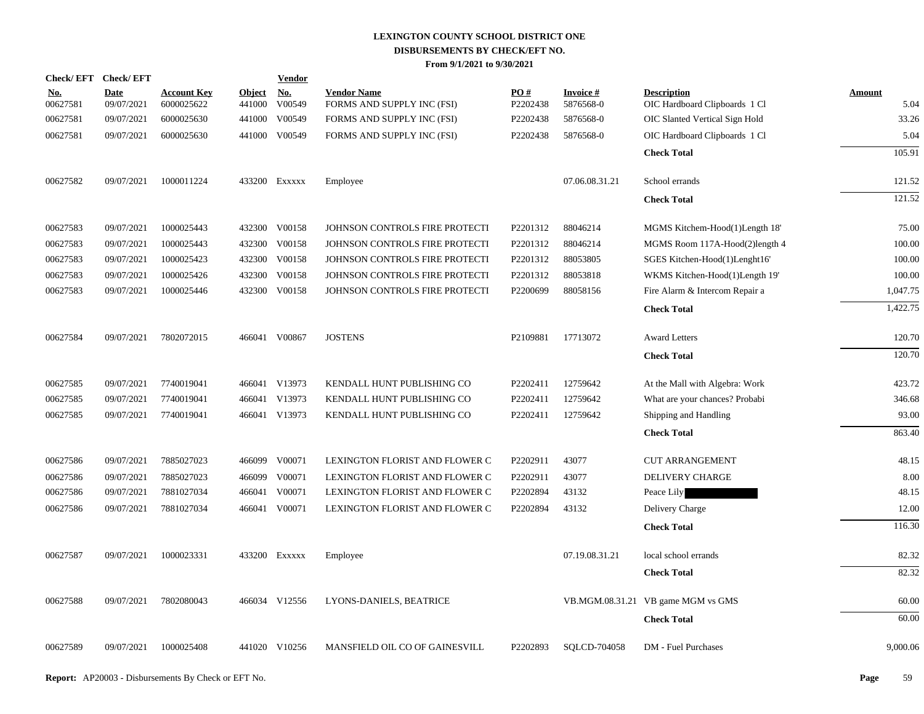| Check/EFT Check/EFT    |                           |                                  |                         | <b>Vendor</b>        |                                                  |                 |                              |                                                     |                       |
|------------------------|---------------------------|----------------------------------|-------------------------|----------------------|--------------------------------------------------|-----------------|------------------------------|-----------------------------------------------------|-----------------------|
| <u>No.</u><br>00627581 | <b>Date</b><br>09/07/2021 | <b>Account Key</b><br>6000025622 | <b>Object</b><br>441000 | <u>No.</u><br>V00549 | <b>Vendor Name</b><br>FORMS AND SUPPLY INC (FSI) | PQ#<br>P2202438 | <b>Invoice#</b><br>5876568-0 | <b>Description</b><br>OIC Hardboard Clipboards 1 Cl | <b>Amount</b><br>5.04 |
| 00627581               | 09/07/2021                | 6000025630                       | 441000                  | V00549               | FORMS AND SUPPLY INC (FSI)                       | P2202438        | 5876568-0                    | OIC Slanted Vertical Sign Hold                      | 33.26                 |
| 00627581               | 09/07/2021                | 6000025630                       |                         | 441000 V00549        | FORMS AND SUPPLY INC (FSI)                       | P2202438        | 5876568-0                    | OIC Hardboard Clipboards 1 Cl                       | 5.04                  |
|                        |                           |                                  |                         |                      |                                                  |                 |                              | <b>Check Total</b>                                  | 105.91                |
|                        |                           |                                  |                         |                      |                                                  |                 |                              |                                                     |                       |
| 00627582               | 09/07/2021                | 1000011224                       |                         | 433200 Exxxxx        | Employee                                         |                 | 07.06.08.31.21               | School errands                                      | 121.52                |
|                        |                           |                                  |                         |                      |                                                  |                 |                              | <b>Check Total</b>                                  | 121.52                |
| 00627583               | 09/07/2021                | 1000025443                       |                         | 432300 V00158        | JOHNSON CONTROLS FIRE PROTECTI                   | P2201312        | 88046214                     | MGMS Kitchem-Hood(1)Length 18'                      | 75.00                 |
| 00627583               | 09/07/2021                | 1000025443                       | 432300                  | V00158               | JOHNSON CONTROLS FIRE PROTECTI                   | P2201312        | 88046214                     | MGMS Room 117A-Hood(2)length 4                      | 100.00                |
| 00627583               | 09/07/2021                | 1000025423                       | 432300                  | V00158               | JOHNSON CONTROLS FIRE PROTECTI                   | P2201312        | 88053805                     | SGES Kitchen-Hood(1)Lenght16'                       | 100.00                |
| 00627583               | 09/07/2021                | 1000025426                       | 432300                  | V00158               | JOHNSON CONTROLS FIRE PROTECTI                   | P2201312        | 88053818                     | WKMS Kitchen-Hood(1)Length 19'                      | 100.00                |
| 00627583               | 09/07/2021                | 1000025446                       |                         | 432300 V00158        | JOHNSON CONTROLS FIRE PROTECTI                   | P2200699        | 88058156                     | Fire Alarm & Intercom Repair a                      | 1.047.75              |
|                        |                           |                                  |                         |                      |                                                  |                 |                              | <b>Check Total</b>                                  | 1,422.75              |
| 00627584               | 09/07/2021                | 7802072015                       |                         | 466041 V00867        | <b>JOSTENS</b>                                   | P2109881        | 17713072                     | <b>Award Letters</b>                                | 120.70                |
|                        |                           |                                  |                         |                      |                                                  |                 |                              | <b>Check Total</b>                                  | 120.70                |
| 00627585               | 09/07/2021                | 7740019041                       |                         | 466041 V13973        | KENDALL HUNT PUBLISHING CO                       | P2202411        | 12759642                     | At the Mall with Algebra: Work                      | 423.72                |
| 00627585               | 09/07/2021                | 7740019041                       | 466041                  | V13973               | KENDALL HUNT PUBLISHING CO                       | P2202411        | 12759642                     | What are your chances? Probabi                      | 346.68                |
| 00627585               | 09/07/2021                | 7740019041                       |                         | 466041 V13973        | KENDALL HUNT PUBLISHING CO                       | P2202411        | 12759642                     | Shipping and Handling                               | 93.00                 |
|                        |                           |                                  |                         |                      |                                                  |                 |                              | <b>Check Total</b>                                  | 863.40                |
| 00627586               | 09/07/2021                | 7885027023                       |                         | 466099 V00071        | LEXINGTON FLORIST AND FLOWER C                   | P2202911        | 43077                        | <b>CUT ARRANGEMENT</b>                              | 48.15                 |
| 00627586               | 09/07/2021                | 7885027023                       | 466099                  | V00071               | LEXINGTON FLORIST AND FLOWER C                   | P2202911        | 43077                        | DELIVERY CHARGE                                     | 8.00                  |
| 00627586               | 09/07/2021                | 7881027034                       | 466041                  | V00071               | LEXINGTON FLORIST AND FLOWER C                   | P2202894        | 43132                        | Peace Lily                                          | 48.15                 |
| 00627586               | 09/07/2021                | 7881027034                       | 466041                  | V00071               | LEXINGTON FLORIST AND FLOWER C                   | P2202894        | 43132                        | Delivery Charge                                     | 12.00                 |
|                        |                           |                                  |                         |                      |                                                  |                 |                              | <b>Check Total</b>                                  | 116.30                |
| 00627587               | 09/07/2021                | 1000023331                       |                         | 433200 Exxxxx        | Employee                                         |                 | 07.19.08.31.21               | local school errands                                | 82.32                 |
|                        |                           |                                  |                         |                      |                                                  |                 |                              | <b>Check Total</b>                                  | 82.32                 |
| 00627588               | 09/07/2021                | 7802080043                       |                         | 466034 V12556        | LYONS-DANIELS, BEATRICE                          |                 |                              | VB.MGM.08.31.21 VB game MGM vs GMS                  | 60.00                 |
|                        |                           |                                  |                         |                      |                                                  |                 |                              | <b>Check Total</b>                                  | 60.00                 |
| 00627589               | 09/07/2021                | 1000025408                       |                         | 441020 V10256        | MANSFIELD OIL CO OF GAINESVILL                   | P2202893        | SQLCD-704058                 | DM - Fuel Purchases                                 | 9,000.06              |
|                        |                           |                                  |                         |                      |                                                  |                 |                              |                                                     |                       |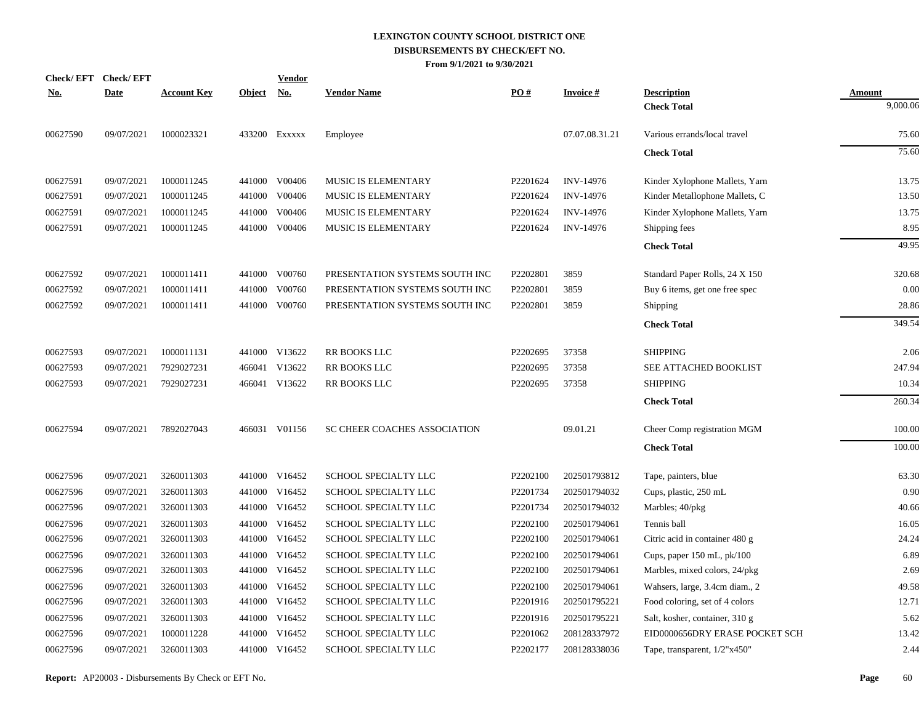|            | Check/EFT Check/EFT |                    |               | <b>Vendor</b> |                                |          |                  |                                |               |
|------------|---------------------|--------------------|---------------|---------------|--------------------------------|----------|------------------|--------------------------------|---------------|
| <u>No.</u> | <b>Date</b>         | <b>Account Key</b> | <b>Object</b> | <u>No.</u>    | <b>Vendor Name</b>             | PO#      | <b>Invoice#</b>  | <b>Description</b>             | <b>Amount</b> |
|            |                     |                    |               |               |                                |          |                  | <b>Check Total</b>             | 9,000.06      |
| 00627590   | 09/07/2021          | 1000023321         |               | 433200 Exxxxx | Employee                       |          | 07.07.08.31.21   | Various errands/local travel   | 75.60         |
|            |                     |                    |               |               |                                |          |                  | <b>Check Total</b>             | 75.60         |
| 00627591   | 09/07/2021          | 1000011245         |               | 441000 V00406 | MUSIC IS ELEMENTARY            | P2201624 | INV-14976        | Kinder Xylophone Mallets, Yarn | 13.75         |
| 00627591   | 09/07/2021          | 1000011245         | 441000        | V00406        | <b>MUSIC IS ELEMENTARY</b>     | P2201624 | <b>INV-14976</b> | Kinder Metallophone Mallets, C | 13.50         |
| 00627591   | 09/07/2021          | 1000011245         | 441000        | V00406        | MUSIC IS ELEMENTARY            | P2201624 | INV-14976        | Kinder Xylophone Mallets, Yarn | 13.75         |
| 00627591   | 09/07/2021          | 1000011245         |               | 441000 V00406 | MUSIC IS ELEMENTARY            | P2201624 | <b>INV-14976</b> | Shipping fees                  | 8.95          |
|            |                     |                    |               |               |                                |          |                  | <b>Check Total</b>             | 49.95         |
| 00627592   | 09/07/2021          | 1000011411         |               | 441000 V00760 | PRESENTATION SYSTEMS SOUTH INC | P2202801 | 3859             | Standard Paper Rolls, 24 X 150 | 320.68        |
| 00627592   | 09/07/2021          | 1000011411         |               | 441000 V00760 | PRESENTATION SYSTEMS SOUTH INC | P2202801 | 3859             | Buy 6 items, get one free spec | 0.00          |
| 00627592   | 09/07/2021          | 1000011411         |               | 441000 V00760 | PRESENTATION SYSTEMS SOUTH INC | P2202801 | 3859             | Shipping                       | 28.86         |
|            |                     |                    |               |               |                                |          |                  | <b>Check Total</b>             | 349.54        |
| 00627593   | 09/07/2021          | 1000011131         |               | 441000 V13622 | RR BOOKS LLC                   | P2202695 | 37358            | <b>SHIPPING</b>                | 2.06          |
| 00627593   | 09/07/2021          | 7929027231         |               | 466041 V13622 | RR BOOKS LLC                   | P2202695 | 37358            | SEE ATTACHED BOOKLIST          | 247.94        |
| 00627593   | 09/07/2021          | 7929027231         |               | 466041 V13622 | RR BOOKS LLC                   | P2202695 | 37358            | <b>SHIPPING</b>                | 10.34         |
|            |                     |                    |               |               |                                |          |                  | <b>Check Total</b>             | 260.34        |
| 00627594   | 09/07/2021          | 7892027043         |               | 466031 V01156 | SC CHEER COACHES ASSOCIATION   |          | 09.01.21         | Cheer Comp registration MGM    | 100.00        |
|            |                     |                    |               |               |                                |          |                  | <b>Check Total</b>             | 100.00        |
|            |                     |                    |               |               |                                |          |                  |                                |               |
| 00627596   | 09/07/2021          | 3260011303         |               | 441000 V16452 | SCHOOL SPECIALTY LLC           | P2202100 | 202501793812     | Tape, painters, blue           | 63.30         |
| 00627596   | 09/07/2021          | 3260011303         |               | 441000 V16452 | SCHOOL SPECIALTY LLC           | P2201734 | 202501794032     | Cups, plastic, 250 mL          | 0.90          |
| 00627596   | 09/07/2021          | 3260011303         |               | 441000 V16452 | SCHOOL SPECIALTY LLC           | P2201734 | 202501794032     | Marbles; 40/pkg                | 40.66         |
| 00627596   | 09/07/2021          | 3260011303         |               | 441000 V16452 | SCHOOL SPECIALTY LLC           | P2202100 | 202501794061     | Tennis ball                    | 16.05         |
| 00627596   | 09/07/2021          | 3260011303         |               | 441000 V16452 | SCHOOL SPECIALTY LLC           | P2202100 | 202501794061     | Citric acid in container 480 g | 24.24         |
| 00627596   | 09/07/2021          | 3260011303         |               | 441000 V16452 | SCHOOL SPECIALTY LLC           | P2202100 | 202501794061     | Cups, paper $150$ mL, $pk/100$ | 6.89          |
| 00627596   | 09/07/2021          | 3260011303         |               | 441000 V16452 | SCHOOL SPECIALTY LLC           | P2202100 | 202501794061     | Marbles, mixed colors, 24/pkg  | 2.69          |
| 00627596   | 09/07/2021          | 3260011303         |               | 441000 V16452 | SCHOOL SPECIALTY LLC           | P2202100 | 202501794061     | Wahsers, large, 3.4cm diam., 2 | 49.58         |
| 00627596   | 09/07/2021          | 3260011303         |               | 441000 V16452 | SCHOOL SPECIALTY LLC           | P2201916 | 202501795221     | Food coloring, set of 4 colors | 12.71         |
| 00627596   | 09/07/2021          | 3260011303         |               | 441000 V16452 | SCHOOL SPECIALTY LLC           | P2201916 | 202501795221     | Salt, kosher, container, 310 g | 5.62          |
| 00627596   | 09/07/2021          | 1000011228         |               | 441000 V16452 | SCHOOL SPECIALTY LLC           | P2201062 | 208128337972     | EID0000656DRY ERASE POCKET SCH | 13.42         |
| 00627596   | 09/07/2021          | 3260011303         |               | 441000 V16452 | SCHOOL SPECIALTY LLC           | P2202177 | 208128338036     | Tape, transparent, 1/2"x450"   | 2.44          |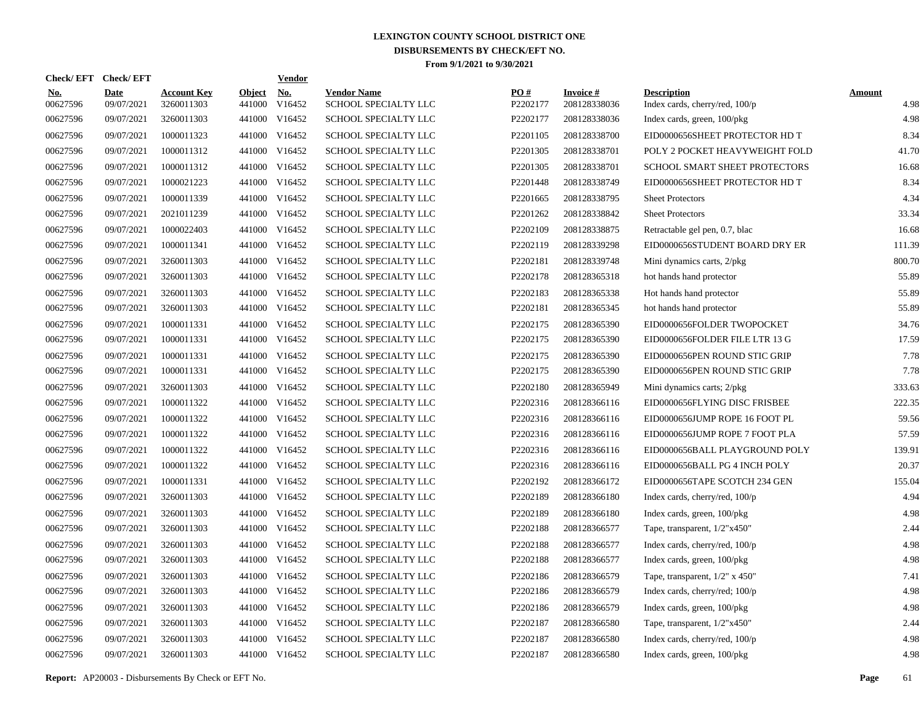|                        | Check/EFT Check/EFT       |                                  |                         | Vendor               |                                            |                 |                           |                                                      |                       |
|------------------------|---------------------------|----------------------------------|-------------------------|----------------------|--------------------------------------------|-----------------|---------------------------|------------------------------------------------------|-----------------------|
| <u>No.</u><br>00627596 | <b>Date</b><br>09/07/2021 | <b>Account Key</b><br>3260011303 | <b>Object</b><br>441000 | <u>No.</u><br>V16452 | <b>Vendor Name</b><br>SCHOOL SPECIALTY LLC | PO#<br>P2202177 | Invoice #<br>208128338036 | <b>Description</b><br>Index cards, cherry/red, 100/p | <b>Amount</b><br>4.98 |
| 00627596               | 09/07/2021                | 3260011303                       |                         | 441000 V16452        | SCHOOL SPECIALTY LLC                       | P2202177        | 208128338036              | Index cards, green, 100/pkg                          | 4.98                  |
| 00627596               | 09/07/2021                | 1000011323                       |                         | 441000 V16452        | SCHOOL SPECIALTY LLC                       | P2201105        | 208128338700              | EID0000656SHEET PROTECTOR HD T                       | 8.34                  |
| 00627596               | 09/07/2021                | 1000011312                       |                         | 441000 V16452        | SCHOOL SPECIALTY LLC                       | P2201305        | 208128338701              | POLY 2 POCKET HEAVYWEIGHT FOLD                       | 41.70                 |
| 00627596               | 09/07/2021                | 1000011312                       |                         | 441000 V16452        | SCHOOL SPECIALTY LLC                       | P2201305        | 208128338701              | SCHOOL SMART SHEET PROTECTORS                        | 16.68                 |
| 00627596               | 09/07/2021                | 1000021223                       |                         | 441000 V16452        | SCHOOL SPECIALTY LLC                       | P2201448        | 208128338749              | EID0000656SHEET PROTECTOR HD T                       | 8.34                  |
| 00627596               | 09/07/2021                | 1000011339                       |                         | 441000 V16452        | SCHOOL SPECIALTY LLC                       | P2201665        | 208128338795              | <b>Sheet Protectors</b>                              | 4.34                  |
| 00627596               | 09/07/2021                | 2021011239                       |                         | 441000 V16452        | SCHOOL SPECIALTY LLC                       | P2201262        | 208128338842              | <b>Sheet Protectors</b>                              | 33.34                 |
| 00627596               | 09/07/2021                | 1000022403                       |                         | 441000 V16452        | SCHOOL SPECIALTY LLC                       | P2202109        | 208128338875              | Retractable gel pen, 0.7, blac                       | 16.68                 |
| 00627596               | 09/07/2021                | 1000011341                       |                         | 441000 V16452        | SCHOOL SPECIALTY LLC                       | P2202119        | 208128339298              | EID0000656STUDENT BOARD DRY ER                       | 111.39                |
| 00627596               | 09/07/2021                | 3260011303                       | 441000                  | V16452               | SCHOOL SPECIALTY LLC                       | P2202181        | 208128339748              | Mini dynamics carts, 2/pkg                           | 800.70                |
| 00627596               | 09/07/2021                | 3260011303                       |                         | 441000 V16452        | SCHOOL SPECIALTY LLC                       | P2202178        | 208128365318              | hot hands hand protector                             | 55.89                 |
| 00627596               | 09/07/2021                | 3260011303                       | 441000                  | V16452               | SCHOOL SPECIALTY LLC                       | P2202183        | 208128365338              | Hot hands hand protector                             | 55.89                 |
| 00627596               | 09/07/2021                | 3260011303                       | 441000                  | V16452               | SCHOOL SPECIALTY LLC                       | P2202181        | 208128365345              | hot hands hand protector                             | 55.89                 |
| 00627596               | 09/07/2021                | 1000011331                       | 441000                  | V16452               | SCHOOL SPECIALTY LLC                       | P2202175        | 208128365390              | EID0000656FOLDER TWOPOCKET                           | 34.76                 |
| 00627596               | 09/07/2021                | 1000011331                       |                         | 441000 V16452        | SCHOOL SPECIALTY LLC                       | P2202175        | 208128365390              | EID0000656FOLDER FILE LTR 13 G                       | 17.59                 |
| 00627596               | 09/07/2021                | 1000011331                       | 441000                  | V16452               | SCHOOL SPECIALTY LLC                       | P2202175        | 208128365390              | EID0000656PEN ROUND STIC GRIP                        | 7.78                  |
| 00627596               | 09/07/2021                | 1000011331                       |                         | 441000 V16452        | SCHOOL SPECIALTY LLC                       | P2202175        | 208128365390              | EID0000656PEN ROUND STIC GRIP                        | 7.78                  |
| 00627596               | 09/07/2021                | 3260011303                       | 441000                  | V16452               | SCHOOL SPECIALTY LLC                       | P2202180        | 208128365949              | Mini dynamics carts; 2/pkg                           | 333.63                |
| 00627596               | 09/07/2021                | 1000011322                       |                         | 441000 V16452        | SCHOOL SPECIALTY LLC                       | P2202316        | 208128366116              | EID0000656FLYING DISC FRISBEE                        | 222.35                |
| 00627596               | 09/07/2021                | 1000011322                       | 441000                  | V16452               | SCHOOL SPECIALTY LLC                       | P2202316        | 208128366116              | EID0000656JUMP ROPE 16 FOOT PL                       | 59.56                 |
| 00627596               | 09/07/2021                | 1000011322                       |                         | 441000 V16452        | SCHOOL SPECIALTY LLC                       | P2202316        | 208128366116              | EID0000656JUMP ROPE 7 FOOT PLA                       | 57.59                 |
| 00627596               | 09/07/2021                | 1000011322                       |                         | 441000 V16452        | SCHOOL SPECIALTY LLC                       | P2202316        | 208128366116              | EID0000656BALL PLAYGROUND POLY                       | 139.91                |
| 00627596               | 09/07/2021                | 1000011322                       | 441000                  | V16452               | SCHOOL SPECIALTY LLC                       | P2202316        | 208128366116              | EID0000656BALL PG 4 INCH POLY                        | 20.37                 |
| 00627596               | 09/07/2021                | 1000011331                       | 441000                  | V16452               | SCHOOL SPECIALTY LLC                       | P2202192        | 208128366172              | EID0000656TAPE SCOTCH 234 GEN                        | 155.04                |
| 00627596               | 09/07/2021                | 3260011303                       | 441000                  | V16452               | SCHOOL SPECIALTY LLC                       | P2202189        | 208128366180              | Index cards, cherry/red, 100/p                       | 4.94                  |
| 00627596               | 09/07/2021                | 3260011303                       | 441000                  | V16452               | SCHOOL SPECIALTY LLC                       | P2202189        | 208128366180              | Index cards, green, 100/pkg                          | 4.98                  |
| 00627596               | 09/07/2021                | 3260011303                       | 441000                  | V16452               | SCHOOL SPECIALTY LLC                       | P2202188        | 208128366577              | Tape, transparent, 1/2"x450"                         | 2.44                  |
| 00627596               | 09/07/2021                | 3260011303                       | 441000                  | V16452               | SCHOOL SPECIALTY LLC                       | P2202188        | 208128366577              | Index cards, cherry/red, 100/p                       | 4.98                  |
| 00627596               | 09/07/2021                | 3260011303                       | 441000                  | V16452               | <b>SCHOOL SPECIALTY LLC</b>                | P2202188        | 208128366577              | Index cards, green, 100/pkg                          | 4.98                  |
| 00627596               | 09/07/2021                | 3260011303                       | 441000                  | V16452               | SCHOOL SPECIALTY LLC                       | P2202186        | 208128366579              | Tape, transparent, $1/2$ " x 450"                    | 7.41                  |
| 00627596               | 09/07/2021                | 3260011303                       | 441000                  | V16452               | SCHOOL SPECIALTY LLC                       | P2202186        | 208128366579              | Index cards, cherry/red; 100/p                       | 4.98                  |
| 00627596               | 09/07/2021                | 3260011303                       | 441000                  | V16452               | SCHOOL SPECIALTY LLC                       | P2202186        | 208128366579              | Index cards, green, 100/pkg                          | 4.98                  |
| 00627596               | 09/07/2021                | 3260011303                       | 441000                  | V16452               | SCHOOL SPECIALTY LLC                       | P2202187        | 208128366580              | Tape, transparent, 1/2"x450"                         | 2.44                  |
| 00627596               | 09/07/2021                | 3260011303                       | 441000                  | V16452               | SCHOOL SPECIALTY LLC                       | P2202187        | 208128366580              | Index cards, cherry/red, 100/p                       | 4.98                  |
| 00627596               | 09/07/2021                | 3260011303                       |                         | 441000 V16452        | SCHOOL SPECIALTY LLC                       | P2202187        | 208128366580              | Index cards, green, 100/pkg                          | 4.98                  |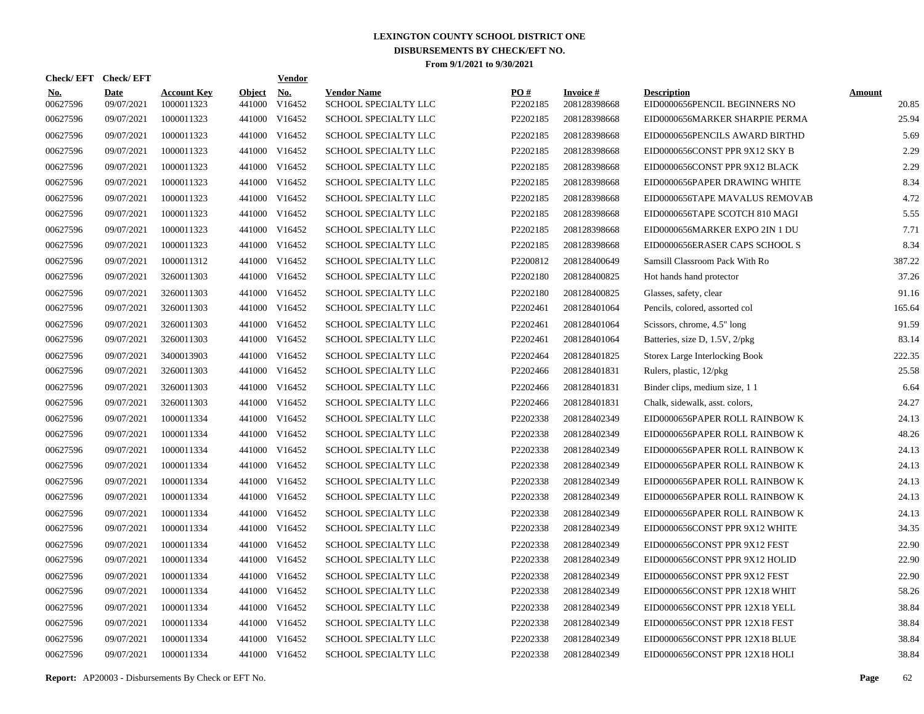|                        | Check/EFT Check/EFT       |                                  |                         | <b>Vendor</b>        |                                            |                 |                                 |                                                     |                        |
|------------------------|---------------------------|----------------------------------|-------------------------|----------------------|--------------------------------------------|-----------------|---------------------------------|-----------------------------------------------------|------------------------|
| <u>No.</u><br>00627596 | <b>Date</b><br>09/07/2021 | <b>Account Key</b><br>1000011323 | <b>Object</b><br>441000 | <u>No.</u><br>V16452 | <b>Vendor Name</b><br>SCHOOL SPECIALTY LLC | PQ#<br>P2202185 | <b>Invoice#</b><br>208128398668 | <b>Description</b><br>EID0000656PENCIL BEGINNERS NO | <b>Amount</b><br>20.85 |
| 00627596               | 09/07/2021                | 1000011323                       | 441000                  | V16452               | SCHOOL SPECIALTY LLC                       | P2202185        | 208128398668                    | EID0000656MARKER SHARPIE PERMA                      | 25.94                  |
| 00627596               | 09/07/2021                | 1000011323                       | 441000                  | V16452               | SCHOOL SPECIALTY LLC                       | P2202185        | 208128398668                    | EID0000656PENCILS AWARD BIRTHD                      | 5.69                   |
| 00627596               | 09/07/2021                | 1000011323                       |                         | 441000 V16452        | <b>SCHOOL SPECIALTY LLC</b>                | P2202185        | 208128398668                    | EID0000656CONST PPR 9X12 SKY B                      | 2.29                   |
| 00627596               | 09/07/2021                | 1000011323                       |                         | 441000 V16452        | <b>SCHOOL SPECIALTY LLC</b>                | P2202185        | 208128398668                    | EID0000656CONST PPR 9X12 BLACK                      | 2.29                   |
| 00627596               | 09/07/2021                | 1000011323                       |                         | 441000 V16452        | SCHOOL SPECIALTY LLC                       | P2202185        | 208128398668                    | EID0000656PAPER DRAWING WHITE                       | 8.34                   |
| 00627596               | 09/07/2021                | 1000011323                       |                         | 441000 V16452        | SCHOOL SPECIALTY LLC                       | P2202185        | 208128398668                    | EID0000656TAPE MAVALUS REMOVAB                      | 4.72                   |
| 00627596               | 09/07/2021                | 1000011323                       |                         | 441000 V16452        | SCHOOL SPECIALTY LLC                       | P2202185        | 208128398668                    | EID0000656TAPE SCOTCH 810 MAGI                      | 5.55                   |
| 00627596               | 09/07/2021                | 1000011323                       |                         | 441000 V16452        | SCHOOL SPECIALTY LLC                       | P2202185        | 208128398668                    | EID0000656MARKER EXPO 2IN 1 DU                      | 7.71                   |
| 00627596               | 09/07/2021                | 1000011323                       |                         | 441000 V16452        | SCHOOL SPECIALTY LLC                       | P2202185        | 208128398668                    | EID0000656ERASER CAPS SCHOOL S                      | 8.34                   |
| 00627596               | 09/07/2021                | 1000011312                       |                         | 441000 V16452        | SCHOOL SPECIALTY LLC                       | P2200812        | 208128400649                    | Samsill Classroom Pack With Ro                      | 387.22                 |
| 00627596               | 09/07/2021                | 3260011303                       |                         | 441000 V16452        | SCHOOL SPECIALTY LLC                       | P2202180        | 208128400825                    | Hot hands hand protector                            | 37.26                  |
| 00627596               | 09/07/2021                | 3260011303                       |                         | 441000 V16452        | SCHOOL SPECIALTY LLC                       | P2202180        | 208128400825                    | Glasses, safety, clear                              | 91.16                  |
| 00627596               | 09/07/2021                | 3260011303                       |                         | 441000 V16452        | SCHOOL SPECIALTY LLC                       | P2202461        | 208128401064                    | Pencils, colored, assorted col                      | 165.64                 |
| 00627596               | 09/07/2021                | 3260011303                       |                         | 441000 V16452        | SCHOOL SPECIALTY LLC                       | P2202461        | 208128401064                    | Scissors, chrome, 4.5" long                         | 91.59                  |
| 00627596               | 09/07/2021                | 3260011303                       |                         | 441000 V16452        | SCHOOL SPECIALTY LLC                       | P2202461        | 208128401064                    | Batteries, size D, 1.5V, 2/pkg                      | 83.14                  |
| 00627596               | 09/07/2021                | 3400013903                       |                         | 441000 V16452        | SCHOOL SPECIALTY LLC                       | P2202464        | 208128401825                    | Storex Large Interlocking Book                      | 222.35                 |
| 00627596               | 09/07/2021                | 3260011303                       |                         | 441000 V16452        | SCHOOL SPECIALTY LLC                       | P2202466        | 208128401831                    | Rulers, plastic, 12/pkg                             | 25.58                  |
| 00627596               | 09/07/2021                | 3260011303                       |                         | 441000 V16452        | SCHOOL SPECIALTY LLC                       | P2202466        | 208128401831                    | Binder clips, medium size, 11                       | 6.64                   |
| 00627596               | 09/07/2021                | 3260011303                       |                         | 441000 V16452        | SCHOOL SPECIALTY LLC                       | P2202466        | 208128401831                    | Chalk, sidewalk, asst. colors,                      | 24.27                  |
| 00627596               | 09/07/2021                | 1000011334                       |                         | 441000 V16452        | SCHOOL SPECIALTY LLC                       | P2202338        | 208128402349                    | EID0000656PAPER ROLL RAINBOW K                      | 24.13                  |
| 00627596               | 09/07/2021                | 1000011334                       |                         | 441000 V16452        | SCHOOL SPECIALTY LLC                       | P2202338        | 208128402349                    | EID0000656PAPER ROLL RAINBOW K                      | 48.26                  |
| 00627596               | 09/07/2021                | 1000011334                       |                         | 441000 V16452        | SCHOOL SPECIALTY LLC                       | P2202338        | 208128402349                    | EID0000656PAPER ROLL RAINBOW K                      | 24.13                  |
| 00627596               | 09/07/2021                | 1000011334                       |                         | 441000 V16452        | SCHOOL SPECIALTY LLC                       | P2202338        | 208128402349                    | EID0000656PAPER ROLL RAINBOW K                      | 24.13                  |
| 00627596               | 09/07/2021                | 1000011334                       |                         | 441000 V16452        | SCHOOL SPECIALTY LLC                       | P2202338        | 208128402349                    | EID0000656PAPER ROLL RAINBOW K                      | 24.13                  |
| 00627596               | 09/07/2021                | 1000011334                       |                         | 441000 V16452        | <b>SCHOOL SPECIALTY LLC</b>                | P2202338        | 208128402349                    | EID0000656PAPER ROLL RAINBOW K                      | 24.13                  |
| 00627596               | 09/07/2021                | 1000011334                       | 441000                  | V16452               | <b>SCHOOL SPECIALTY LLC</b>                | P2202338        | 208128402349                    | EID0000656PAPER ROLL RAINBOW K                      | 24.13                  |
| 00627596               | 09/07/2021                | 1000011334                       |                         | 441000 V16452        | SCHOOL SPECIALTY LLC                       | P2202338        | 208128402349                    | EID0000656CONST PPR 9X12 WHITE                      | 34.35                  |
| 00627596               | 09/07/2021                | 1000011334                       | 441000                  | V16452               | SCHOOL SPECIALTY LLC                       | P2202338        | 208128402349                    | EID0000656CONST PPR 9X12 FEST                       | 22.90                  |
| 00627596               | 09/07/2021                | 1000011334                       |                         | 441000 V16452        | SCHOOL SPECIALTY LLC                       | P2202338        | 208128402349                    | EID0000656CONST PPR 9X12 HOLID                      | 22.90                  |
| 00627596               | 09/07/2021                | 1000011334                       | 441000                  | V16452               | SCHOOL SPECIALTY LLC                       | P2202338        | 208128402349                    | EID0000656CONST PPR 9X12 FEST                       | 22.90                  |
| 00627596               | 09/07/2021                | 1000011334                       |                         | 441000 V16452        | SCHOOL SPECIALTY LLC                       | P2202338        | 208128402349                    | EID0000656CONST PPR 12X18 WHIT                      | 58.26                  |
| 00627596               | 09/07/2021                | 1000011334                       | 441000                  | V16452               | SCHOOL SPECIALTY LLC                       | P2202338        | 208128402349                    | EID0000656CONST PPR 12X18 YELL                      | 38.84                  |
| 00627596               | 09/07/2021                | 1000011334                       |                         | 441000 V16452        | SCHOOL SPECIALTY LLC                       | P2202338        | 208128402349                    | EID0000656CONST PPR 12X18 FEST                      | 38.84                  |
| 00627596               | 09/07/2021                | 1000011334                       | 441000                  | V16452               | SCHOOL SPECIALTY LLC                       | P2202338        | 208128402349                    | EID0000656CONST PPR 12X18 BLUE                      | 38.84                  |
| 00627596               | 09/07/2021                | 1000011334                       |                         | 441000 V16452        | SCHOOL SPECIALTY LLC                       | P2202338        | 208128402349                    | EID0000656CONST PPR 12X18 HOLI                      | 38.84                  |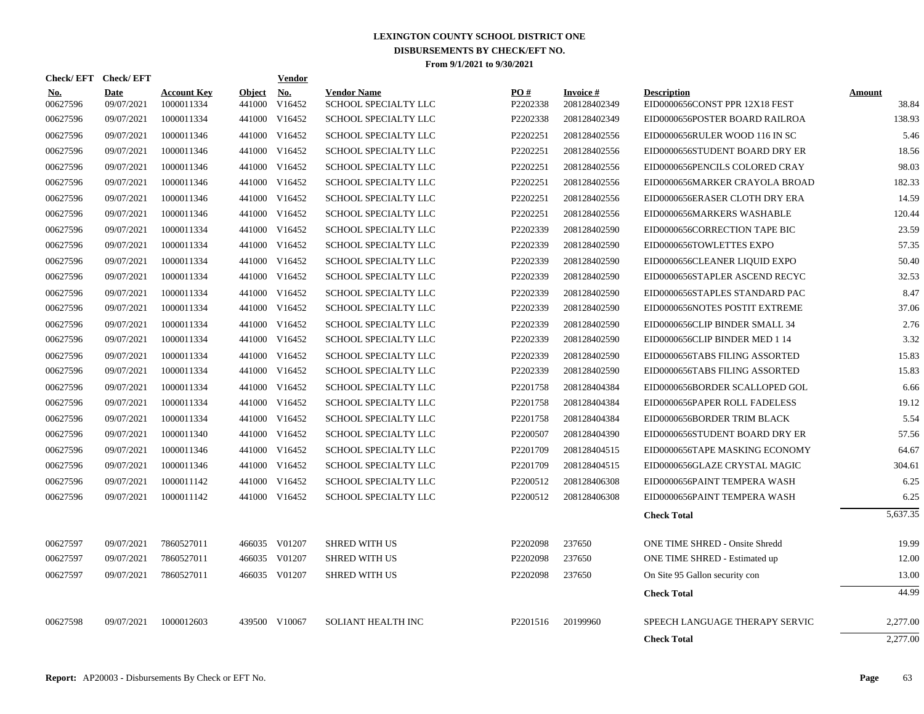| Check/EFT Check/EFT    |                           |                                  |                      | Vendor        |                                            |                      |                           |                                                      |                 |
|------------------------|---------------------------|----------------------------------|----------------------|---------------|--------------------------------------------|----------------------|---------------------------|------------------------------------------------------|-----------------|
| <b>No.</b><br>00627596 | <b>Date</b><br>09/07/2021 | <b>Account Key</b><br>1000011334 | Object No.<br>441000 | V16452        | <b>Vendor Name</b><br>SCHOOL SPECIALTY LLC | PO#<br>P2202338      | Invoice #<br>208128402349 | <b>Description</b><br>EID0000656CONST PPR 12X18 FEST | Amount<br>38.84 |
| 00627596               | 09/07/2021                | 1000011334                       |                      | 441000 V16452 | <b>SCHOOL SPECIALTY LLC</b>                | P2202338             | 208128402349              | EID0000656POSTER BOARD RAILROA                       | 138.93          |
| 00627596               | 09/07/2021                | 1000011346                       | 441000               | V16452        | SCHOOL SPECIALTY LLC                       | P2202251             | 208128402556              | EID0000656RULER WOOD 116 IN SC                       | 5.46            |
| 00627596               | 09/07/2021                | 1000011346                       |                      | 441000 V16452 | SCHOOL SPECIALTY LLC                       | P2202251             | 208128402556              | EID0000656STUDENT BOARD DRY ER                       | 18.56           |
| 00627596               | 09/07/2021                | 1000011346                       | 441000               | V16452        | SCHOOL SPECIALTY LLC                       | P2202251             | 208128402556              | EID0000656PENCILS COLORED CRAY                       | 98.03           |
| 00627596               | 09/07/2021                | 1000011346                       | 441000               | V16452        | SCHOOL SPECIALTY LLC                       | P2202251             | 208128402556              | EID0000656MARKER CRAYOLA BROAD                       | 182.33          |
| 00627596               | 09/07/2021                | 1000011346                       | 441000               | V16452        | SCHOOL SPECIALTY LLC                       | P2202251             | 208128402556              | EID0000656ERASER CLOTH DRY ERA                       | 14.59           |
| 00627596               | 09/07/2021                | 1000011346                       | 441000               | V16452        | <b>SCHOOL SPECIALTY LLC</b>                | P2202251             | 208128402556              | EID0000656MARKERS WASHABLE                           | 120.44          |
| 00627596               | 09/07/2021                | 1000011334                       | 441000               | V16452        | SCHOOL SPECIALTY LLC                       | P2202339             | 208128402590              | EID0000656CORRECTION TAPE BIC                        | 23.59           |
| 00627596               | 09/07/2021                | 1000011334                       |                      | 441000 V16452 | SCHOOL SPECIALTY LLC                       | P2202339             | 208128402590              | EID0000656TOWLETTES EXPO                             | 57.35           |
| 00627596               | 09/07/2021                | 1000011334                       |                      | 441000 V16452 | SCHOOL SPECIALTY LLC                       | P2202339             | 208128402590              | EID0000656CLEANER LIQUID EXPO                        | 50.40           |
| 00627596               | 09/07/2021                | 1000011334                       |                      | 441000 V16452 | SCHOOL SPECIALTY LLC                       | P2202339             | 208128402590              | EID0000656STAPLER ASCEND RECYC                       | 32.53           |
| 00627596               | 09/07/2021                | 1000011334                       |                      | 441000 V16452 | <b>SCHOOL SPECIALTY LLC</b>                | P2202339             | 208128402590              | EID0000656STAPLES STANDARD PAC                       | 8.47            |
| 00627596               | 09/07/2021                | 1000011334                       | 441000               | V16452        | SCHOOL SPECIALTY LLC                       | P2202339             | 208128402590              | EID0000656NOTES POSTIT EXTREME                       | 37.06           |
| 00627596               | 09/07/2021                | 1000011334                       |                      | 441000 V16452 | SCHOOL SPECIALTY LLC                       | P2202339             | 208128402590              | EID0000656CLIP BINDER SMALL 34                       | 2.76            |
| 00627596               | 09/07/2021                | 1000011334                       |                      | 441000 V16452 | <b>SCHOOL SPECIALTY LLC</b>                | P2202339             | 208128402590              | EID0000656CLIP BINDER MED 1 14                       | 3.32            |
| 00627596               | 09/07/2021                | 1000011334                       |                      | 441000 V16452 | SCHOOL SPECIALTY LLC                       | P2202339             | 208128402590              | EID0000656TABS FILING ASSORTED                       | 15.83           |
| 00627596               | 09/07/2021                | 1000011334                       |                      | 441000 V16452 | SCHOOL SPECIALTY LLC                       | P2202339             | 208128402590              | EID0000656TABS FILING ASSORTED                       | 15.83           |
| 00627596               | 09/07/2021                | 1000011334                       |                      | 441000 V16452 | SCHOOL SPECIALTY LLC                       | P2201758             | 208128404384              | EID0000656BORDER SCALLOPED GOL                       | 6.66            |
| 00627596               | 09/07/2021                | 1000011334                       |                      | 441000 V16452 | SCHOOL SPECIALTY LLC                       | P2201758             | 208128404384              | EID0000656PAPER ROLL FADELESS                        | 19.12           |
| 00627596               | 09/07/2021                | 1000011334                       |                      | 441000 V16452 | <b>SCHOOL SPECIALTY LLC</b>                | P <sub>2201758</sub> | 208128404384              | EID0000656BORDER TRIM BLACK                          | 5.54            |
| 00627596               | 09/07/2021                | 1000011340                       |                      | 441000 V16452 | SCHOOL SPECIALTY LLC                       | P2200507             | 208128404390              | EID0000656STUDENT BOARD DRY ER                       | 57.56           |
| 00627596               | 09/07/2021                | 1000011346                       |                      | 441000 V16452 | SCHOOL SPECIALTY LLC                       | P2201709             | 208128404515              | EID0000656TAPE MASKING ECONOMY                       | 64.67           |
| 00627596               | 09/07/2021                | 1000011346                       |                      | 441000 V16452 | <b>SCHOOL SPECIALTY LLC</b>                | P2201709             | 208128404515              | EID0000656GLAZE CRYSTAL MAGIC                        | 304.61          |
| 00627596               | 09/07/2021                | 1000011142                       |                      | 441000 V16452 | SCHOOL SPECIALTY LLC                       | P2200512             | 208128406308              | EID0000656PAINT TEMPERA WASH                         | 6.25            |
| 00627596               | 09/07/2021                | 1000011142                       |                      | 441000 V16452 | SCHOOL SPECIALTY LLC                       | P2200512             | 208128406308              | EID0000656PAINT TEMPERA WASH                         | 6.25            |
|                        |                           |                                  |                      |               |                                            |                      |                           | <b>Check Total</b>                                   | 5,637.35        |
| 00627597               | 09/07/2021                | 7860527011                       |                      | 466035 V01207 | <b>SHRED WITH US</b>                       | P2202098             | 237650                    | ONE TIME SHRED - Onsite Shredd                       | 19.99           |
| 00627597               | 09/07/2021                | 7860527011                       |                      | 466035 V01207 | <b>SHRED WITH US</b>                       | P2202098             | 237650                    | ONE TIME SHRED - Estimated up                        | 12.00           |
| 00627597               | 09/07/2021                | 7860527011                       |                      | 466035 V01207 | <b>SHRED WITH US</b>                       | P2202098             | 237650                    | On Site 95 Gallon security con                       | 13.00           |
|                        |                           |                                  |                      |               |                                            |                      |                           | <b>Check Total</b>                                   | 44.99           |
| 00627598               | 09/07/2021                | 1000012603                       |                      | 439500 V10067 | SOLIANT HEALTH INC                         | P2201516             | 20199960                  | SPEECH LANGUAGE THERAPY SERVIC                       | 2,277.00        |
|                        |                           |                                  |                      |               |                                            |                      |                           | <b>Check Total</b>                                   | 2,277.00        |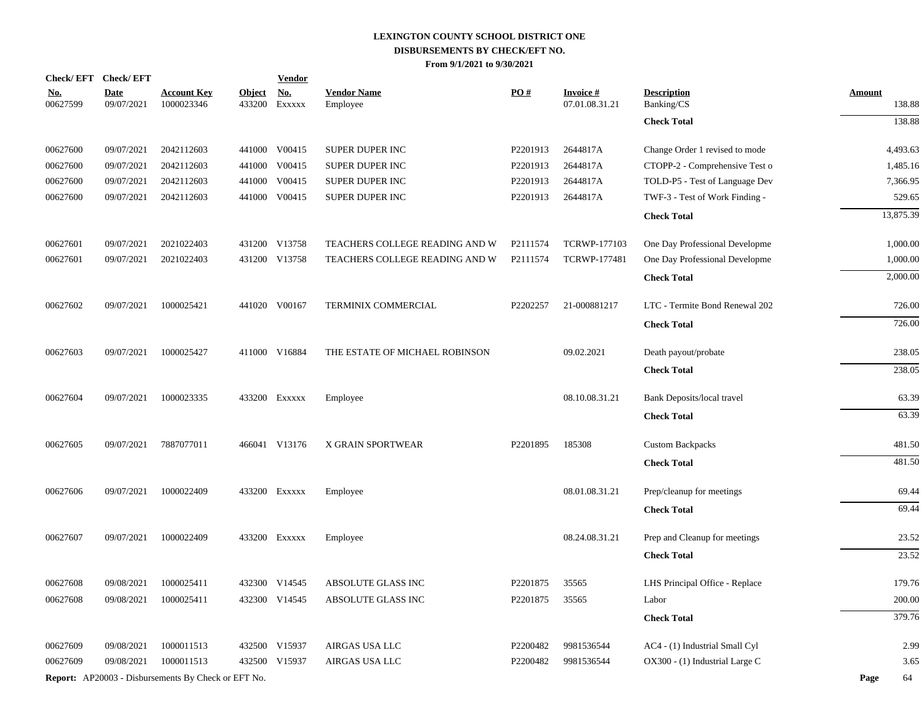|                        | Check/EFT Check/EFT       |                                                     |                         | <b>Vendor</b>        |                                |          |                                   |                                  |                         |
|------------------------|---------------------------|-----------------------------------------------------|-------------------------|----------------------|--------------------------------|----------|-----------------------------------|----------------------------------|-------------------------|
| <u>No.</u><br>00627599 | <b>Date</b><br>09/07/2021 | <b>Account Key</b><br>1000023346                    | <b>Object</b><br>433200 | <u>No.</u><br>EXXXXX | <b>Vendor Name</b><br>Employee | PO#      | <b>Invoice#</b><br>07.01.08.31.21 | <b>Description</b><br>Banking/CS | <b>Amount</b><br>138.88 |
|                        |                           |                                                     |                         |                      |                                |          |                                   | <b>Check Total</b>               | 138.88                  |
| 00627600               | 09/07/2021                | 2042112603                                          |                         | 441000 V00415        | SUPER DUPER INC                | P2201913 | 2644817A                          | Change Order 1 revised to mode   | 4,493.63                |
| 00627600               | 09/07/2021                | 2042112603                                          | 441000                  | V00415               | SUPER DUPER INC                | P2201913 | 2644817A                          | CTOPP-2 - Comprehensive Test o   | 1,485.16                |
| 00627600               | 09/07/2021                | 2042112603                                          | 441000                  | V00415               | SUPER DUPER INC                | P2201913 | 2644817A                          | TOLD-P5 - Test of Language Dev   | 7,366.95                |
| 00627600               | 09/07/2021                | 2042112603                                          |                         | 441000 V00415        | SUPER DUPER INC                | P2201913 | 2644817A                          | TWF-3 - Test of Work Finding -   | 529.65                  |
|                        |                           |                                                     |                         |                      |                                |          |                                   | <b>Check Total</b>               | 13,875.39               |
| 00627601               | 09/07/2021                | 2021022403                                          |                         | 431200 V13758        | TEACHERS COLLEGE READING AND W | P2111574 | <b>TCRWP-177103</b>               | One Day Professional Developme   | 1,000.00                |
| 00627601               | 09/07/2021                | 2021022403                                          |                         | 431200 V13758        | TEACHERS COLLEGE READING AND W | P2111574 | <b>TCRWP-177481</b>               | One Day Professional Developme   | 1,000.00                |
|                        |                           |                                                     |                         |                      |                                |          |                                   | <b>Check Total</b>               | 2,000.00                |
| 00627602               | 09/07/2021                | 1000025421                                          |                         | 441020 V00167        | TERMINIX COMMERCIAL            | P2202257 | 21-000881217                      | LTC - Termite Bond Renewal 202   | 726.00                  |
|                        |                           |                                                     |                         |                      |                                |          |                                   | <b>Check Total</b>               | 726.00                  |
| 00627603               | 09/07/2021                | 1000025427                                          |                         | 411000 V16884        | THE ESTATE OF MICHAEL ROBINSON |          | 09.02.2021                        | Death payout/probate             | 238.05                  |
|                        |                           |                                                     |                         |                      |                                |          |                                   | <b>Check Total</b>               | 238.05                  |
| 00627604               | 09/07/2021                | 1000023335                                          |                         | 433200 EXXXXX        | Employee                       |          | 08.10.08.31.21                    | Bank Deposits/local travel       | 63.39                   |
|                        |                           |                                                     |                         |                      |                                |          |                                   | <b>Check Total</b>               | 63.39                   |
| 00627605               | 09/07/2021                | 7887077011                                          |                         | 466041 V13176        | X GRAIN SPORTWEAR              | P2201895 | 185308                            | <b>Custom Backpacks</b>          | 481.50                  |
|                        |                           |                                                     |                         |                      |                                |          |                                   | <b>Check Total</b>               | 481.50                  |
| 00627606               | 09/07/2021                | 1000022409                                          |                         | 433200 EXXXXX        | Employee                       |          | 08.01.08.31.21                    | Prep/cleanup for meetings        | 69.44                   |
|                        |                           |                                                     |                         |                      |                                |          |                                   | <b>Check Total</b>               | 69.44                   |
| 00627607               | 09/07/2021                | 1000022409                                          |                         | 433200 EXXXXX        | Employee                       |          | 08.24.08.31.21                    | Prep and Cleanup for meetings    | 23.52                   |
|                        |                           |                                                     |                         |                      |                                |          |                                   | <b>Check Total</b>               | 23.52                   |
| 00627608               | 09/08/2021                | 1000025411                                          |                         | 432300 V14545        | ABSOLUTE GLASS INC             | P2201875 | 35565                             | LHS Principal Office - Replace   | 179.76                  |
| 00627608               | 09/08/2021                | 1000025411                                          |                         | 432300 V14545        | ABSOLUTE GLASS INC             | P2201875 | 35565                             | Labor                            | 200.00                  |
|                        |                           |                                                     |                         |                      |                                |          |                                   | <b>Check Total</b>               | 379.76                  |
| 00627609               | 09/08/2021                | 1000011513                                          |                         | 432500 V15937        | AIRGAS USA LLC                 | P2200482 | 9981536544                        | AC4 - (1) Industrial Small Cyl   | 2.99                    |
| 00627609               | 09/08/2021                | 1000011513                                          |                         | 432500 V15937        | AIRGAS USA LLC                 | P2200482 | 9981536544                        | OX300 - (1) Industrial Large C   | 3.65                    |
|                        |                           | Report: AP20003 - Disbursements By Check or EFT No. |                         |                      |                                |          |                                   |                                  | Page<br>64              |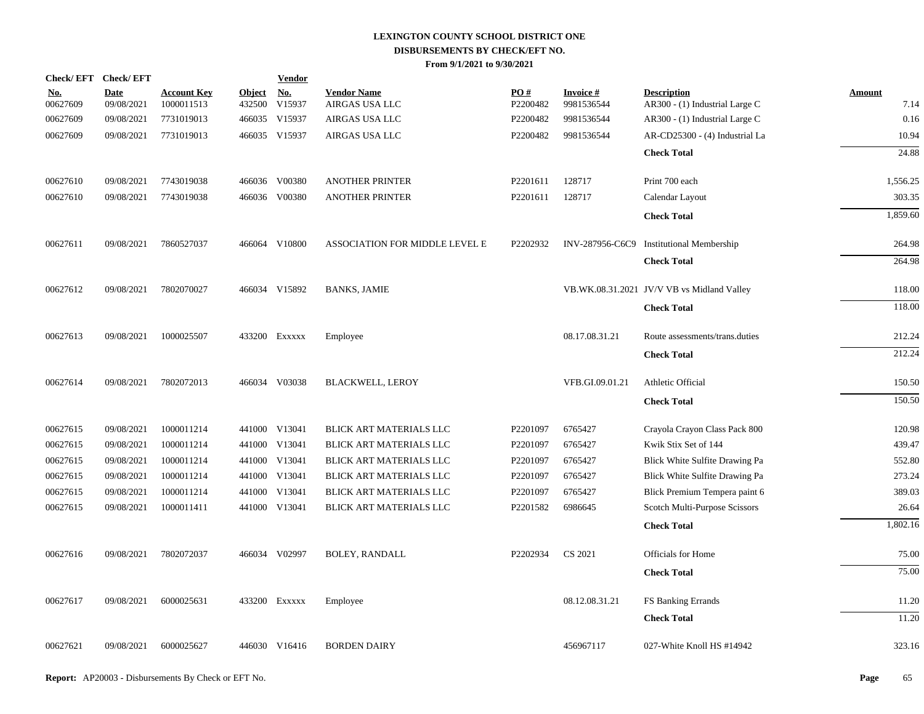| Check/EFT Check/EFT    |                           |                                  |                         | <b>Vendor</b>        |                                      |                               |                         |                                                      |                |
|------------------------|---------------------------|----------------------------------|-------------------------|----------------------|--------------------------------------|-------------------------------|-------------------------|------------------------------------------------------|----------------|
| <u>No.</u><br>00627609 | <b>Date</b><br>09/08/2021 | <b>Account Key</b><br>1000011513 | <b>Object</b><br>432500 | <b>No.</b><br>V15937 | <b>Vendor Name</b><br>AIRGAS USA LLC | $\underline{PO#}$<br>P2200482 | Invoice #<br>9981536544 | <b>Description</b><br>AR300 - (1) Industrial Large C | Amount<br>7.14 |
| 00627609               | 09/08/2021                | 7731019013                       |                         | 466035 V15937        | AIRGAS USA LLC                       | P2200482                      | 9981536544              | AR300 - (1) Industrial Large C                       | 0.16           |
| 00627609               | 09/08/2021                | 7731019013                       |                         | 466035 V15937        | AIRGAS USA LLC                       | P2200482                      | 9981536544              | AR-CD25300 - (4) Industrial La                       | 10.94          |
|                        |                           |                                  |                         |                      |                                      |                               |                         | <b>Check Total</b>                                   | 24.88          |
| 00627610               | 09/08/2021                | 7743019038                       |                         | 466036 V00380        | <b>ANOTHER PRINTER</b>               | P2201611                      | 128717                  | Print 700 each                                       | 1,556.25       |
| 00627610               | 09/08/2021                | 7743019038                       |                         | 466036 V00380        | <b>ANOTHER PRINTER</b>               | P2201611                      | 128717                  | Calendar Layout                                      | 303.35         |
|                        |                           |                                  |                         |                      |                                      |                               |                         | <b>Check Total</b>                                   | 1,859.60       |
| 00627611               | 09/08/2021                | 7860527037                       |                         | 466064 V10800        | ASSOCIATION FOR MIDDLE LEVEL E       | P2202932                      |                         | INV-287956-C6C9 Institutional Membership             | 264.98         |
|                        |                           |                                  |                         |                      |                                      |                               |                         | <b>Check Total</b>                                   | 264.98         |
| 00627612               | 09/08/2021                | 7802070027                       |                         | 466034 V15892        | <b>BANKS, JAMIE</b>                  |                               |                         | VB.WK.08.31.2021 JV/V VB vs Midland Valley           | 118.00         |
|                        |                           |                                  |                         |                      |                                      |                               |                         | <b>Check Total</b>                                   | 118.00         |
| 00627613               | 09/08/2021                | 1000025507                       |                         | 433200 Exxxxx        | Employee                             |                               | 08.17.08.31.21          | Route assessments/trans.duties                       | 212.24         |
|                        |                           |                                  |                         |                      |                                      |                               |                         | <b>Check Total</b>                                   | 212.24         |
| 00627614               | 09/08/2021                | 7802072013                       |                         | 466034 V03038        | <b>BLACKWELL, LEROY</b>              |                               | VFB.GI.09.01.21         | Athletic Official                                    | 150.50         |
|                        |                           |                                  |                         |                      |                                      |                               |                         | <b>Check Total</b>                                   | 150.50         |
| 00627615               | 09/08/2021                | 1000011214                       |                         | 441000 V13041        | BLICK ART MATERIALS LLC              | P2201097                      | 6765427                 | Crayola Crayon Class Pack 800                        | 120.98         |
| 00627615               | 09/08/2021                | 1000011214                       |                         | 441000 V13041        | BLICK ART MATERIALS LLC              | P2201097                      | 6765427                 | Kwik Stix Set of 144                                 | 439.47         |
| 00627615               | 09/08/2021                | 1000011214                       |                         | 441000 V13041        | BLICK ART MATERIALS LLC              | P2201097                      | 6765427                 | Blick White Sulfite Drawing Pa                       | 552.80         |
| 00627615               | 09/08/2021                | 1000011214                       |                         | 441000 V13041        | BLICK ART MATERIALS LLC              | P2201097                      | 6765427                 | Blick White Sulfite Drawing Pa                       | 273.24         |
| 00627615               | 09/08/2021                | 1000011214                       |                         | 441000 V13041        | BLICK ART MATERIALS LLC              | P2201097                      | 6765427                 | Blick Premium Tempera paint 6                        | 389.03         |
| 00627615               | 09/08/2021                | 1000011411                       |                         | 441000 V13041        | BLICK ART MATERIALS LLC              | P2201582                      | 6986645                 | Scotch Multi-Purpose Scissors                        | 26.64          |
|                        |                           |                                  |                         |                      |                                      |                               |                         | <b>Check Total</b>                                   | 1,802.16       |
| 00627616               | 09/08/2021                | 7802072037                       |                         | 466034 V02997        | <b>BOLEY, RANDALL</b>                | P2202934                      | CS 2021                 | <b>Officials for Home</b>                            | 75.00          |
|                        |                           |                                  |                         |                      |                                      |                               |                         | <b>Check Total</b>                                   | 75.00          |
| 00627617               | 09/08/2021                | 6000025631                       |                         | 433200 Exxxxx        | Employee                             |                               | 08.12.08.31.21          | FS Banking Errands                                   | 11.20          |
|                        |                           |                                  |                         |                      |                                      |                               |                         | <b>Check Total</b>                                   | 11.20          |
| 00627621               | 09/08/2021                | 6000025627                       |                         | 446030 V16416        | <b>BORDEN DAIRY</b>                  |                               | 456967117               | 027-White Knoll HS #14942                            | 323.16         |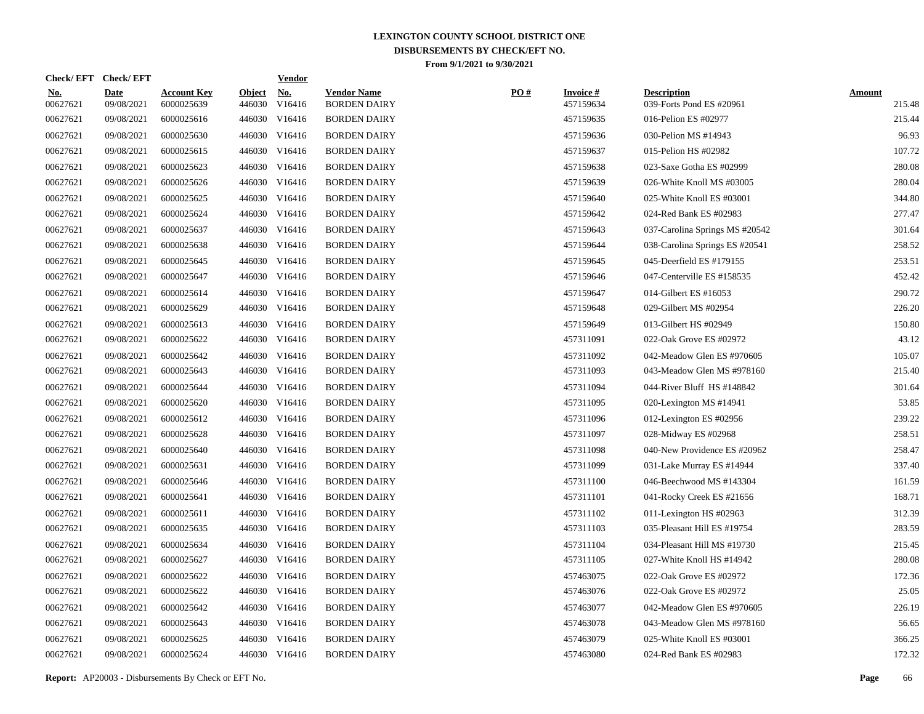| Check/EFT Check/EFT    |                           |                                  |                         | <u>Vendor</u>        |                                           |     |                              |                                                |                         |
|------------------------|---------------------------|----------------------------------|-------------------------|----------------------|-------------------------------------------|-----|------------------------------|------------------------------------------------|-------------------------|
| <u>No.</u><br>00627621 | <b>Date</b><br>09/08/2021 | <b>Account Key</b><br>6000025639 | <b>Object</b><br>446030 | <u>No.</u><br>V16416 | <b>Vendor Name</b><br><b>BORDEN DAIRY</b> | PO# | <b>Invoice#</b><br>457159634 | <b>Description</b><br>039-Forts Pond ES #20961 | <b>Amount</b><br>215.48 |
| 00627621               | 09/08/2021                | 6000025616                       |                         | 446030 V16416        | <b>BORDEN DAIRY</b>                       |     | 457159635                    | 016-Pelion ES #02977                           | 215.44                  |
| 00627621               | 09/08/2021                | 6000025630                       |                         | 446030 V16416        | <b>BORDEN DAIRY</b>                       |     | 457159636                    | 030-Pelion MS #14943                           | 96.93                   |
| 00627621               | 09/08/2021                | 6000025615                       |                         | 446030 V16416        | <b>BORDEN DAIRY</b>                       |     | 457159637                    | 015-Pelion HS #02982                           | 107.72                  |
| 00627621               | 09/08/2021                | 6000025623                       |                         | 446030 V16416        | <b>BORDEN DAIRY</b>                       |     | 457159638                    | 023-Saxe Gotha ES #02999                       | 280.08                  |
| 00627621               | 09/08/2021                | 6000025626                       |                         | 446030 V16416        | <b>BORDEN DAIRY</b>                       |     | 457159639                    | 026-White Knoll MS #03005                      | 280.04                  |
| 00627621               | 09/08/2021                | 6000025625                       |                         | 446030 V16416        | <b>BORDEN DAIRY</b>                       |     | 457159640                    | 025-White Knoll ES #03001                      | 344.80                  |
| 00627621               | 09/08/2021                | 6000025624                       |                         | 446030 V16416        | <b>BORDEN DAIRY</b>                       |     | 457159642                    | 024-Red Bank ES #02983                         | 277.47                  |
| 00627621               | 09/08/2021                | 6000025637                       |                         | 446030 V16416        | <b>BORDEN DAIRY</b>                       |     | 457159643                    | 037-Carolina Springs MS #20542                 | 301.64                  |
| 00627621               | 09/08/2021                | 6000025638                       |                         | 446030 V16416        | <b>BORDEN DAIRY</b>                       |     | 457159644                    | 038-Carolina Springs ES #20541                 | 258.52                  |
| 00627621               | 09/08/2021                | 6000025645                       |                         | 446030 V16416        | <b>BORDEN DAIRY</b>                       |     | 457159645                    | 045-Deerfield ES #179155                       | 253.51                  |
| 00627621               | 09/08/2021                | 6000025647                       |                         | 446030 V16416        | <b>BORDEN DAIRY</b>                       |     | 457159646                    | 047-Centerville ES #158535                     | 452.42                  |
| 00627621               | 09/08/2021                | 6000025614                       |                         | 446030 V16416        | <b>BORDEN DAIRY</b>                       |     | 457159647                    | 014-Gilbert ES #16053                          | 290.72                  |
| 00627621               | 09/08/2021                | 6000025629                       |                         | 446030 V16416        | <b>BORDEN DAIRY</b>                       |     | 457159648                    | 029-Gilbert MS #02954                          | 226.20                  |
| 00627621               | 09/08/2021                | 6000025613                       |                         | 446030 V16416        | <b>BORDEN DAIRY</b>                       |     | 457159649                    | 013-Gilbert HS #02949                          | 150.80                  |
| 00627621               | 09/08/2021                | 6000025622                       |                         | 446030 V16416        | <b>BORDEN DAIRY</b>                       |     | 457311091                    | 022-Oak Grove ES #02972                        | 43.12                   |
| 00627621               | 09/08/2021                | 6000025642                       |                         | 446030 V16416        | <b>BORDEN DAIRY</b>                       |     | 457311092                    | 042-Meadow Glen ES #970605                     | 105.07                  |
| 00627621               | 09/08/2021                | 6000025643                       |                         | 446030 V16416        | <b>BORDEN DAIRY</b>                       |     | 457311093                    | 043-Meadow Glen MS #978160                     | 215.40                  |
| 00627621               | 09/08/2021                | 6000025644                       |                         | 446030 V16416        | <b>BORDEN DAIRY</b>                       |     | 457311094                    | 044-River Bluff HS #148842                     | 301.64                  |
| 00627621               | 09/08/2021                | 6000025620                       |                         | 446030 V16416        | <b>BORDEN DAIRY</b>                       |     | 457311095                    | 020-Lexington MS #14941                        | 53.85                   |
| 00627621               | 09/08/2021                | 6000025612                       |                         | 446030 V16416        | <b>BORDEN DAIRY</b>                       |     | 457311096                    | 012-Lexington ES #02956                        | 239.22                  |
| 00627621               | 09/08/2021                | 6000025628                       |                         | 446030 V16416        | <b>BORDEN DAIRY</b>                       |     | 457311097                    | 028-Midway ES #02968                           | 258.51                  |
| 00627621               | 09/08/2021                | 6000025640                       |                         | 446030 V16416        | <b>BORDEN DAIRY</b>                       |     | 457311098                    | 040-New Providence ES #20962                   | 258.47                  |
| 00627621               | 09/08/2021                | 6000025631                       |                         | 446030 V16416        | <b>BORDEN DAIRY</b>                       |     | 457311099                    | 031-Lake Murray ES #14944                      | 337.40                  |
| 00627621               | 09/08/2021                | 6000025646                       |                         | 446030 V16416        | <b>BORDEN DAIRY</b>                       |     | 457311100                    | 046-Beechwood MS #143304                       | 161.59                  |
| 00627621               | 09/08/2021                | 6000025641                       |                         | 446030 V16416        | <b>BORDEN DAIRY</b>                       |     | 457311101                    | 041-Rocky Creek ES #21656                      | 168.71                  |
| 00627621               | 09/08/2021                | 6000025611                       |                         | 446030 V16416        | <b>BORDEN DAIRY</b>                       |     | 457311102                    | 011-Lexington HS #02963                        | 312.39                  |
| 00627621               | 09/08/2021                | 6000025635                       |                         | 446030 V16416        | <b>BORDEN DAIRY</b>                       |     | 457311103                    | 035-Pleasant Hill ES #19754                    | 283.59                  |
| 00627621               | 09/08/2021                | 6000025634                       |                         | 446030 V16416        | <b>BORDEN DAIRY</b>                       |     | 457311104                    | 034-Pleasant Hill MS #19730                    | 215.45                  |
| 00627621               | 09/08/2021                | 6000025627                       |                         | 446030 V16416        | <b>BORDEN DAIRY</b>                       |     | 457311105                    | 027-White Knoll HS #14942                      | 280.08                  |
| 00627621               | 09/08/2021                | 6000025622                       |                         | 446030 V16416        | <b>BORDEN DAIRY</b>                       |     | 457463075                    | 022-Oak Grove ES #02972                        | 172.36                  |
| 00627621               | 09/08/2021                | 6000025622                       |                         | 446030 V16416        | <b>BORDEN DAIRY</b>                       |     | 457463076                    | 022-Oak Grove ES #02972                        | 25.05                   |
| 00627621               | 09/08/2021                | 6000025642                       |                         | 446030 V16416        | <b>BORDEN DAIRY</b>                       |     | 457463077                    | 042-Meadow Glen ES #970605                     | 226.19                  |
| 00627621               | 09/08/2021                | 6000025643                       |                         | 446030 V16416        | <b>BORDEN DAIRY</b>                       |     | 457463078                    | 043-Meadow Glen MS #978160                     | 56.65                   |
| 00627621               | 09/08/2021                | 6000025625                       |                         | 446030 V16416        | <b>BORDEN DAIRY</b>                       |     | 457463079                    | 025-White Knoll ES #03001                      | 366.25                  |
| 00627621               | 09/08/2021                | 6000025624                       |                         | 446030 V16416        | <b>BORDEN DAIRY</b>                       |     | 457463080                    | 024-Red Bank ES #02983                         | 172.32                  |
|                        |                           |                                  |                         |                      |                                           |     |                              |                                                |                         |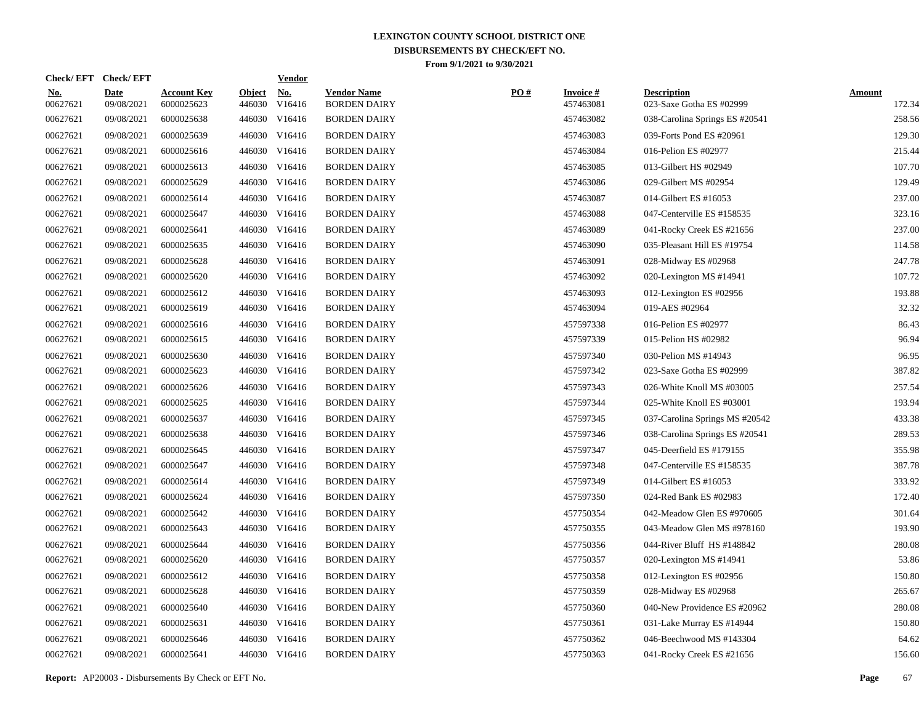|                        | Check/EFT Check/EFT       |                                  |                         | <b>Vendor</b>        |                                           |     |                               |                                                |                         |
|------------------------|---------------------------|----------------------------------|-------------------------|----------------------|-------------------------------------------|-----|-------------------------------|------------------------------------------------|-------------------------|
| <u>No.</u><br>00627621 | <b>Date</b><br>09/08/2021 | <b>Account Key</b><br>6000025623 | <b>Object</b><br>446030 | <u>No.</u><br>V16416 | <b>Vendor Name</b><br><b>BORDEN DAIRY</b> | PO# | <b>Invoice #</b><br>457463081 | <b>Description</b><br>023-Saxe Gotha ES #02999 | <b>Amount</b><br>172.34 |
| 00627621               | 09/08/2021                | 6000025638                       |                         | 446030 V16416        | <b>BORDEN DAIRY</b>                       |     | 457463082                     | 038-Carolina Springs ES #20541                 | 258.56                  |
| 00627621               | 09/08/2021                | 6000025639                       |                         | 446030 V16416        | <b>BORDEN DAIRY</b>                       |     | 457463083                     | 039-Forts Pond ES #20961                       | 129.30                  |
| 00627621               | 09/08/2021                | 6000025616                       |                         | 446030 V16416        | <b>BORDEN DAIRY</b>                       |     | 457463084                     | 016-Pelion ES #02977                           | 215.44                  |
| 00627621               | 09/08/2021                | 6000025613                       |                         | 446030 V16416        | <b>BORDEN DAIRY</b>                       |     | 457463085                     | 013-Gilbert HS #02949                          | 107.70                  |
| 00627621               | 09/08/2021                | 6000025629                       |                         | 446030 V16416        | <b>BORDEN DAIRY</b>                       |     | 457463086                     | 029-Gilbert MS #02954                          | 129.49                  |
| 00627621               | 09/08/2021                | 6000025614                       |                         | 446030 V16416        | <b>BORDEN DAIRY</b>                       |     | 457463087                     | 014-Gilbert ES #16053                          | 237.00                  |
| 00627621               | 09/08/2021                | 6000025647                       |                         | 446030 V16416        | <b>BORDEN DAIRY</b>                       |     | 457463088                     | 047-Centerville ES #158535                     | 323.16                  |
| 00627621               | 09/08/2021                | 6000025641                       |                         | 446030 V16416        | <b>BORDEN DAIRY</b>                       |     | 457463089                     | 041-Rocky Creek ES #21656                      | 237.00                  |
| 00627621               | 09/08/2021                | 6000025635                       |                         | 446030 V16416        | <b>BORDEN DAIRY</b>                       |     | 457463090                     | 035-Pleasant Hill ES #19754                    | 114.58                  |
| 00627621               | 09/08/2021                | 6000025628                       |                         | 446030 V16416        | <b>BORDEN DAIRY</b>                       |     | 457463091                     | 028-Midway ES #02968                           | 247.78                  |
| 00627621               | 09/08/2021                | 6000025620                       |                         | 446030 V16416        | <b>BORDEN DAIRY</b>                       |     | 457463092                     | 020-Lexington MS #14941                        | 107.72                  |
| 00627621               | 09/08/2021                | 6000025612                       |                         | 446030 V16416        | <b>BORDEN DAIRY</b>                       |     | 457463093                     | 012-Lexington ES #02956                        | 193.88                  |
| 00627621               | 09/08/2021                | 6000025619                       |                         | 446030 V16416        | <b>BORDEN DAIRY</b>                       |     | 457463094                     | 019-AES #02964                                 | 32.32                   |
| 00627621               | 09/08/2021                | 6000025616                       |                         | 446030 V16416        | <b>BORDEN DAIRY</b>                       |     | 457597338                     | 016-Pelion ES #02977                           | 86.43                   |
| 00627621               | 09/08/2021                | 6000025615                       |                         | 446030 V16416        | <b>BORDEN DAIRY</b>                       |     | 457597339                     | 015-Pelion HS #02982                           | 96.94                   |
| 00627621               | 09/08/2021                | 6000025630                       |                         | 446030 V16416        | <b>BORDEN DAIRY</b>                       |     | 457597340                     | 030-Pelion MS #14943                           | 96.95                   |
| 00627621               | 09/08/2021                | 6000025623                       |                         | 446030 V16416        | <b>BORDEN DAIRY</b>                       |     | 457597342                     | 023-Saxe Gotha ES #02999                       | 387.82                  |
| 00627621               | 09/08/2021                | 6000025626                       |                         | 446030 V16416        | <b>BORDEN DAIRY</b>                       |     | 457597343                     | 026-White Knoll MS #03005                      | 257.54                  |
| 00627621               | 09/08/2021                | 6000025625                       |                         | 446030 V16416        | <b>BORDEN DAIRY</b>                       |     | 457597344                     | 025-White Knoll ES #03001                      | 193.94                  |
| 00627621               | 09/08/2021                | 6000025637                       |                         | 446030 V16416        | <b>BORDEN DAIRY</b>                       |     | 457597345                     | 037-Carolina Springs MS #20542                 | 433.38                  |
| 00627621               | 09/08/2021                | 6000025638                       |                         | 446030 V16416        | <b>BORDEN DAIRY</b>                       |     | 457597346                     | 038-Carolina Springs ES #20541                 | 289.53                  |
| 00627621               | 09/08/2021                | 6000025645                       |                         | 446030 V16416        | <b>BORDEN DAIRY</b>                       |     | 457597347                     | 045-Deerfield ES #179155                       | 355.98                  |
| 00627621               | 09/08/2021                | 6000025647                       |                         | 446030 V16416        | <b>BORDEN DAIRY</b>                       |     | 457597348                     | 047-Centerville ES #158535                     | 387.78                  |
| 00627621               | 09/08/2021                | 6000025614                       |                         | 446030 V16416        | <b>BORDEN DAIRY</b>                       |     | 457597349                     | 014-Gilbert ES #16053                          | 333.92                  |
| 00627621               | 09/08/2021                | 6000025624                       |                         | 446030 V16416        | <b>BORDEN DAIRY</b>                       |     | 457597350                     | 024-Red Bank ES #02983                         | 172.40                  |
| 00627621               | 09/08/2021                | 6000025642                       |                         | 446030 V16416        | <b>BORDEN DAIRY</b>                       |     | 457750354                     | 042-Meadow Glen ES #970605                     | 301.64                  |
| 00627621               | 09/08/2021                | 6000025643                       |                         | 446030 V16416        | <b>BORDEN DAIRY</b>                       |     | 457750355                     | 043-Meadow Glen MS #978160                     | 193.90                  |
| 00627621               | 09/08/2021                | 6000025644                       |                         | 446030 V16416        | <b>BORDEN DAIRY</b>                       |     | 457750356                     | 044-River Bluff HS #148842                     | 280.08                  |
| 00627621               | 09/08/2021                | 6000025620                       |                         | 446030 V16416        | <b>BORDEN DAIRY</b>                       |     | 457750357                     | 020-Lexington MS #14941                        | 53.86                   |
| 00627621               | 09/08/2021                | 6000025612                       |                         | 446030 V16416        | <b>BORDEN DAIRY</b>                       |     | 457750358                     | 012-Lexington ES #02956                        | 150.80                  |
| 00627621               | 09/08/2021                | 6000025628                       |                         | 446030 V16416        | <b>BORDEN DAIRY</b>                       |     | 457750359                     | 028-Midway ES #02968                           | 265.67                  |
| 00627621               | 09/08/2021                | 6000025640                       |                         | 446030 V16416        | <b>BORDEN DAIRY</b>                       |     | 457750360                     | 040-New Providence ES #20962                   | 280.08                  |
| 00627621               | 09/08/2021                | 6000025631                       |                         | 446030 V16416        | <b>BORDEN DAIRY</b>                       |     | 457750361                     | 031-Lake Murray ES #14944                      | 150.80                  |
| 00627621               | 09/08/2021                | 6000025646                       |                         | 446030 V16416        | <b>BORDEN DAIRY</b>                       |     | 457750362                     | 046-Beechwood MS #143304                       | 64.62                   |
| 00627621               | 09/08/2021                | 6000025641                       |                         | 446030 V16416        | <b>BORDEN DAIRY</b>                       |     | 457750363                     | 041-Rocky Creek ES #21656                      | 156.60                  |
|                        |                           |                                  |                         |                      |                                           |     |                               |                                                |                         |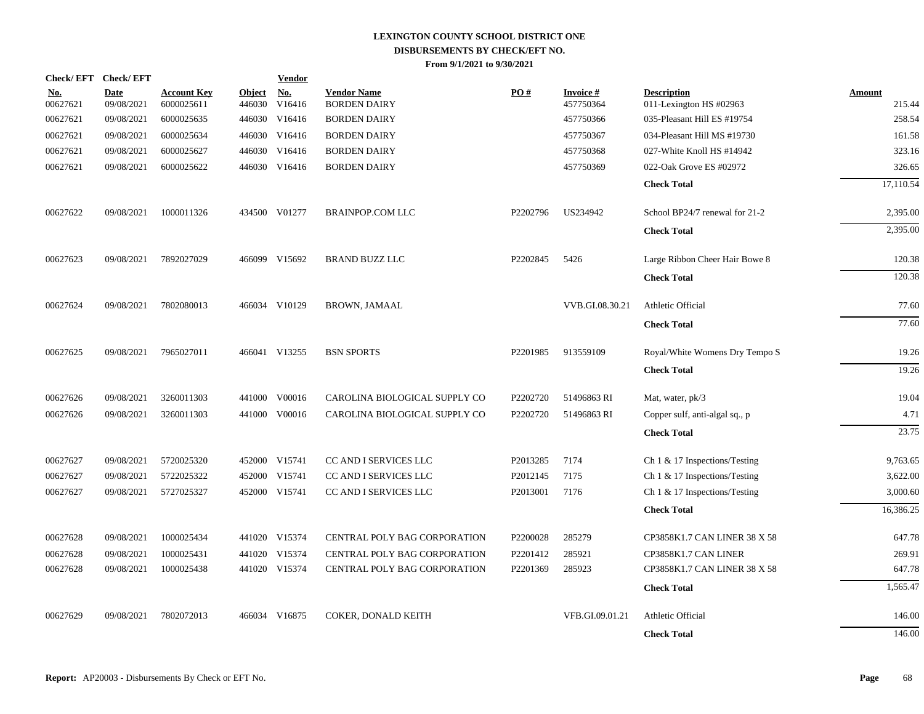| Check/EFT Check/EFT    |                           |                                  |                  | <b>Vendor</b>                         |                                           |          |                              |                                               |                         |
|------------------------|---------------------------|----------------------------------|------------------|---------------------------------------|-------------------------------------------|----------|------------------------------|-----------------------------------------------|-------------------------|
| <u>No.</u><br>00627621 | <b>Date</b><br>09/08/2021 | <b>Account Key</b><br>6000025611 | Object<br>446030 | $\underline{\mathrm{No}}$ .<br>V16416 | <b>Vendor Name</b><br><b>BORDEN DAIRY</b> | PO#      | <b>Invoice#</b><br>457750364 | <b>Description</b><br>011-Lexington HS #02963 | <b>Amount</b><br>215.44 |
| 00627621               | 09/08/2021                | 6000025635                       | 446030           | V16416                                | <b>BORDEN DAIRY</b>                       |          | 457750366                    | 035-Pleasant Hill ES #19754                   | 258.54                  |
| 00627621               | 09/08/2021                | 6000025634                       | 446030           | V16416                                | <b>BORDEN DAIRY</b>                       |          | 457750367                    | 034-Pleasant Hill MS #19730                   | 161.58                  |
| 00627621               | 09/08/2021                | 6000025627                       | 446030           | V16416                                | <b>BORDEN DAIRY</b>                       |          | 457750368                    | 027-White Knoll HS #14942                     | 323.16                  |
| 00627621               | 09/08/2021                | 6000025622                       |                  | 446030 V16416                         | <b>BORDEN DAIRY</b>                       |          | 457750369                    | 022-Oak Grove ES #02972                       | 326.65                  |
|                        |                           |                                  |                  |                                       |                                           |          |                              | <b>Check Total</b>                            | 17,110.54               |
| 00627622               | 09/08/2021                | 1000011326                       |                  | 434500 V01277                         | <b>BRAINPOP.COM LLC</b>                   | P2202796 | US234942                     | School BP24/7 renewal for 21-2                | 2,395.00                |
|                        |                           |                                  |                  |                                       |                                           |          |                              | <b>Check Total</b>                            | 2,395.00                |
| 00627623               | 09/08/2021                | 7892027029                       |                  | 466099 V15692                         | <b>BRAND BUZZ LLC</b>                     | P2202845 | 5426                         | Large Ribbon Cheer Hair Bowe 8                | 120.38                  |
|                        |                           |                                  |                  |                                       |                                           |          |                              | <b>Check Total</b>                            | 120.38                  |
| 00627624               | 09/08/2021                | 7802080013                       |                  | 466034 V10129                         | <b>BROWN, JAMAAL</b>                      |          | VVB.GI.08.30.21              | Athletic Official                             | 77.60                   |
|                        |                           |                                  |                  |                                       |                                           |          |                              | <b>Check Total</b>                            | 77.60                   |
| 00627625               | 09/08/2021                | 7965027011                       |                  | 466041 V13255                         | <b>BSN SPORTS</b>                         | P2201985 | 913559109                    | Royal/White Womens Dry Tempo S                | 19.26                   |
|                        |                           |                                  |                  |                                       |                                           |          |                              | <b>Check Total</b>                            | 19.26                   |
| 00627626               | 09/08/2021                | 3260011303                       |                  | 441000 V00016                         | CAROLINA BIOLOGICAL SUPPLY CO             | P2202720 | 51496863 RI                  | Mat, water, pk/3                              | 19.04                   |
| 00627626               | 09/08/2021                | 3260011303                       |                  | 441000 V00016                         | CAROLINA BIOLOGICAL SUPPLY CO             | P2202720 | 51496863 RI                  | Copper sulf, anti-algal sq., p                | 4.71                    |
|                        |                           |                                  |                  |                                       |                                           |          |                              | <b>Check Total</b>                            | 23.75                   |
| 00627627               | 09/08/2021                | 5720025320                       |                  | 452000 V15741                         | CC AND I SERVICES LLC                     | P2013285 | 7174                         | Ch 1 & 17 Inspections/Testing                 | 9,763.65                |
| 00627627               | 09/08/2021                | 5722025322                       |                  | 452000 V15741                         | CC AND I SERVICES LLC                     | P2012145 | 7175                         | Ch 1 & 17 Inspections/Testing                 | 3,622.00                |
| 00627627               | 09/08/2021                | 5727025327                       |                  | 452000 V15741                         | CC AND I SERVICES LLC                     | P2013001 | 7176                         | Ch 1 & 17 Inspections/Testing                 | 3,000.60                |
|                        |                           |                                  |                  |                                       |                                           |          |                              | <b>Check Total</b>                            | 16,386.25               |
| 00627628               | 09/08/2021                | 1000025434                       |                  | 441020 V15374                         | <b>CENTRAL POLY BAG CORPORATION</b>       | P2200028 | 285279                       | CP3858K1.7 CAN LINER 38 X 58                  | 647.78                  |
| 00627628               | 09/08/2021                | 1000025431                       |                  | 441020 V15374                         | <b>CENTRAL POLY BAG CORPORATION</b>       | P2201412 | 285921                       | CP3858K1.7 CAN LINER                          | 269.91                  |
| 00627628               | 09/08/2021                | 1000025438                       |                  | 441020 V15374                         | <b>CENTRAL POLY BAG CORPORATION</b>       | P2201369 | 285923                       | CP3858K1.7 CAN LINER 38 X 58                  | 647.78                  |
|                        |                           |                                  |                  |                                       |                                           |          |                              | <b>Check Total</b>                            | 1,565.47                |
| 00627629               | 09/08/2021                | 7802072013                       |                  | 466034 V16875                         | COKER, DONALD KEITH                       |          | VFB.GI.09.01.21              | Athletic Official                             | 146.00                  |
|                        |                           |                                  |                  |                                       |                                           |          |                              | <b>Check Total</b>                            | 146.00                  |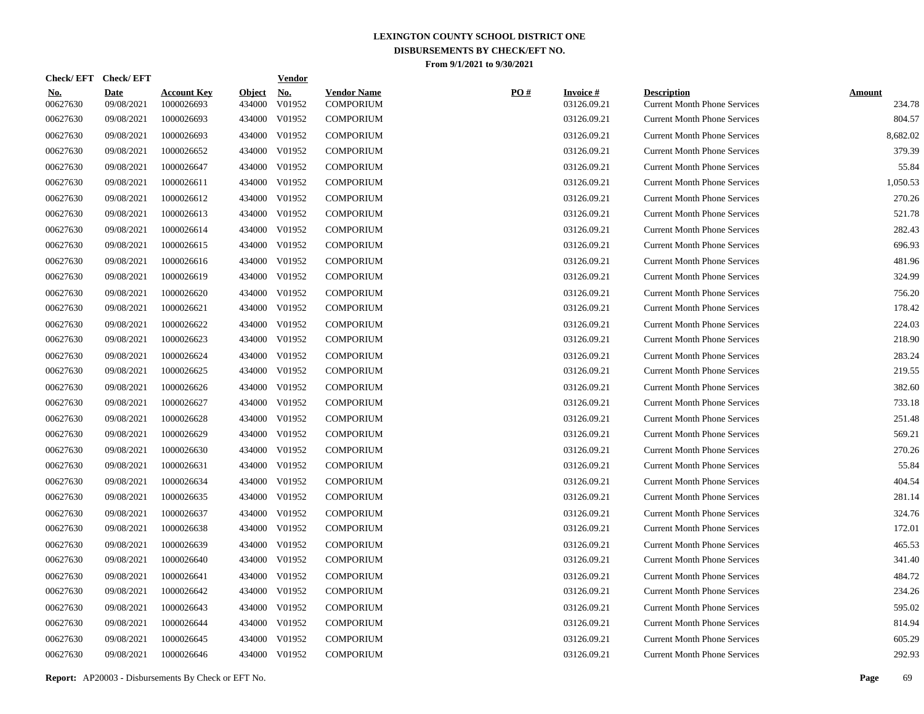| Check/EFT Check/EFT    |                           |                                  |                         | <b>Vendor</b>        |                                        |     |                                |                                                           |                         |
|------------------------|---------------------------|----------------------------------|-------------------------|----------------------|----------------------------------------|-----|--------------------------------|-----------------------------------------------------------|-------------------------|
| <u>No.</u><br>00627630 | <b>Date</b><br>09/08/2021 | <b>Account Key</b><br>1000026693 | <b>Object</b><br>434000 | <u>No.</u><br>V01952 | <b>Vendor Name</b><br><b>COMPORIUM</b> | PO# | <b>Invoice#</b><br>03126.09.21 | <b>Description</b><br><b>Current Month Phone Services</b> | <b>Amount</b><br>234.78 |
| 00627630               | 09/08/2021                | 1000026693                       | 434000                  | V01952               | <b>COMPORIUM</b>                       |     | 03126.09.21                    | <b>Current Month Phone Services</b>                       | 804.57                  |
| 00627630               | 09/08/2021                | 1000026693                       | 434000                  | V01952               | <b>COMPORIUM</b>                       |     | 03126.09.21                    | <b>Current Month Phone Services</b>                       | 8,682.02                |
| 00627630               | 09/08/2021                | 1000026652                       | 434000                  | V01952               | <b>COMPORIUM</b>                       |     | 03126.09.21                    | <b>Current Month Phone Services</b>                       | 379.39                  |
| 00627630               | 09/08/2021                | 1000026647                       | 434000                  | V01952               | <b>COMPORIUM</b>                       |     | 03126.09.21                    | <b>Current Month Phone Services</b>                       | 55.84                   |
| 00627630               | 09/08/2021                | 1000026611                       | 434000                  | V01952               | <b>COMPORIUM</b>                       |     | 03126.09.21                    | <b>Current Month Phone Services</b>                       | 1,050.53                |
| 00627630               | 09/08/2021                | 1000026612                       | 434000                  | V01952               | <b>COMPORIUM</b>                       |     | 03126.09.21                    | <b>Current Month Phone Services</b>                       | 270.26                  |
| 00627630               | 09/08/2021                | 1000026613                       | 434000                  | V01952               | <b>COMPORIUM</b>                       |     | 03126.09.21                    | <b>Current Month Phone Services</b>                       | 521.78                  |
| 00627630               | 09/08/2021                | 1000026614                       | 434000                  | V01952               | <b>COMPORIUM</b>                       |     | 03126.09.21                    | <b>Current Month Phone Services</b>                       | 282.43                  |
| 00627630               | 09/08/2021                | 1000026615                       | 434000                  | V01952               | <b>COMPORIUM</b>                       |     | 03126.09.21                    | <b>Current Month Phone Services</b>                       | 696.93                  |
| 00627630               | 09/08/2021                | 1000026616                       | 434000                  | V01952               | <b>COMPORIUM</b>                       |     | 03126.09.21                    | <b>Current Month Phone Services</b>                       | 481.96                  |
| 00627630               | 09/08/2021                | 1000026619                       | 434000                  | V01952               | <b>COMPORIUM</b>                       |     | 03126.09.21                    | <b>Current Month Phone Services</b>                       | 324.99                  |
| 00627630               | 09/08/2021                | 1000026620                       | 434000                  | V01952               | <b>COMPORIUM</b>                       |     | 03126.09.21                    | <b>Current Month Phone Services</b>                       | 756.20                  |
| 00627630               | 09/08/2021                | 1000026621                       | 434000                  | V01952               | <b>COMPORIUM</b>                       |     | 03126.09.21                    | <b>Current Month Phone Services</b>                       | 178.42                  |
| 00627630               | 09/08/2021                | 1000026622                       | 434000                  | V01952               | <b>COMPORIUM</b>                       |     | 03126.09.21                    | <b>Current Month Phone Services</b>                       | 224.03                  |
| 00627630               | 09/08/2021                | 1000026623                       | 434000                  | V01952               | <b>COMPORIUM</b>                       |     | 03126.09.21                    | <b>Current Month Phone Services</b>                       | 218.90                  |
| 00627630               | 09/08/2021                | 1000026624                       | 434000                  | V01952               | <b>COMPORIUM</b>                       |     | 03126.09.21                    | <b>Current Month Phone Services</b>                       | 283.24                  |
| 00627630               | 09/08/2021                | 1000026625                       | 434000                  | V01952               | <b>COMPORIUM</b>                       |     | 03126.09.21                    | <b>Current Month Phone Services</b>                       | 219.55                  |
| 00627630               | 09/08/2021                | 1000026626                       | 434000                  | V01952               | <b>COMPORIUM</b>                       |     | 03126.09.21                    | <b>Current Month Phone Services</b>                       | 382.60                  |
| 00627630               | 09/08/2021                | 1000026627                       | 434000                  | V01952               | <b>COMPORIUM</b>                       |     | 03126.09.21                    | <b>Current Month Phone Services</b>                       | 733.18                  |
| 00627630               | 09/08/2021                | 1000026628                       | 434000                  | V01952               | <b>COMPORIUM</b>                       |     | 03126.09.21                    | <b>Current Month Phone Services</b>                       | 251.48                  |
| 00627630               | 09/08/2021                | 1000026629                       | 434000                  | V01952               | <b>COMPORIUM</b>                       |     | 03126.09.21                    | <b>Current Month Phone Services</b>                       | 569.21                  |
| 00627630               | 09/08/2021                | 1000026630                       | 434000                  | V01952               | <b>COMPORIUM</b>                       |     | 03126.09.21                    | <b>Current Month Phone Services</b>                       | 270.26                  |
| 00627630               | 09/08/2021                | 1000026631                       | 434000                  | V01952               | <b>COMPORIUM</b>                       |     | 03126.09.21                    | <b>Current Month Phone Services</b>                       | 55.84                   |
| 00627630               | 09/08/2021                | 1000026634                       | 434000                  | V01952               | <b>COMPORIUM</b>                       |     | 03126.09.21                    | <b>Current Month Phone Services</b>                       | 404.54                  |
| 00627630               | 09/08/2021                | 1000026635                       | 434000                  | V01952               | <b>COMPORIUM</b>                       |     | 03126.09.21                    | <b>Current Month Phone Services</b>                       | 281.14                  |
| 00627630               | 09/08/2021                | 1000026637                       | 434000                  | V01952               | <b>COMPORIUM</b>                       |     | 03126.09.21                    | <b>Current Month Phone Services</b>                       | 324.76                  |
| 00627630               | 09/08/2021                | 1000026638                       | 434000                  | V01952               | <b>COMPORIUM</b>                       |     | 03126.09.21                    | <b>Current Month Phone Services</b>                       | 172.01                  |
| 00627630               | 09/08/2021                | 1000026639                       | 434000                  | V01952               | <b>COMPORIUM</b>                       |     | 03126.09.21                    | <b>Current Month Phone Services</b>                       | 465.53                  |
| 00627630               | 09/08/2021                | 1000026640                       | 434000                  | V01952               | <b>COMPORIUM</b>                       |     | 03126.09.21                    | <b>Current Month Phone Services</b>                       | 341.40                  |
| 00627630               | 09/08/2021                | 1000026641                       | 434000                  | V01952               | <b>COMPORIUM</b>                       |     | 03126.09.21                    | <b>Current Month Phone Services</b>                       | 484.72                  |
| 00627630               | 09/08/2021                | 1000026642                       | 434000                  | V01952               | <b>COMPORIUM</b>                       |     | 03126.09.21                    | <b>Current Month Phone Services</b>                       | 234.26                  |
| 00627630               | 09/08/2021                | 1000026643                       | 434000                  | V01952               | <b>COMPORIUM</b>                       |     | 03126.09.21                    | <b>Current Month Phone Services</b>                       | 595.02                  |
| 00627630               | 09/08/2021                | 1000026644                       | 434000                  | V01952               | <b>COMPORIUM</b>                       |     | 03126.09.21                    | <b>Current Month Phone Services</b>                       | 814.94                  |
| 00627630               | 09/08/2021                | 1000026645                       | 434000                  | V01952               | <b>COMPORIUM</b>                       |     | 03126.09.21                    | <b>Current Month Phone Services</b>                       | 605.29                  |
| 00627630               | 09/08/2021                | 1000026646                       |                         | 434000 V01952        | <b>COMPORIUM</b>                       |     | 03126.09.21                    | <b>Current Month Phone Services</b>                       | 292.93                  |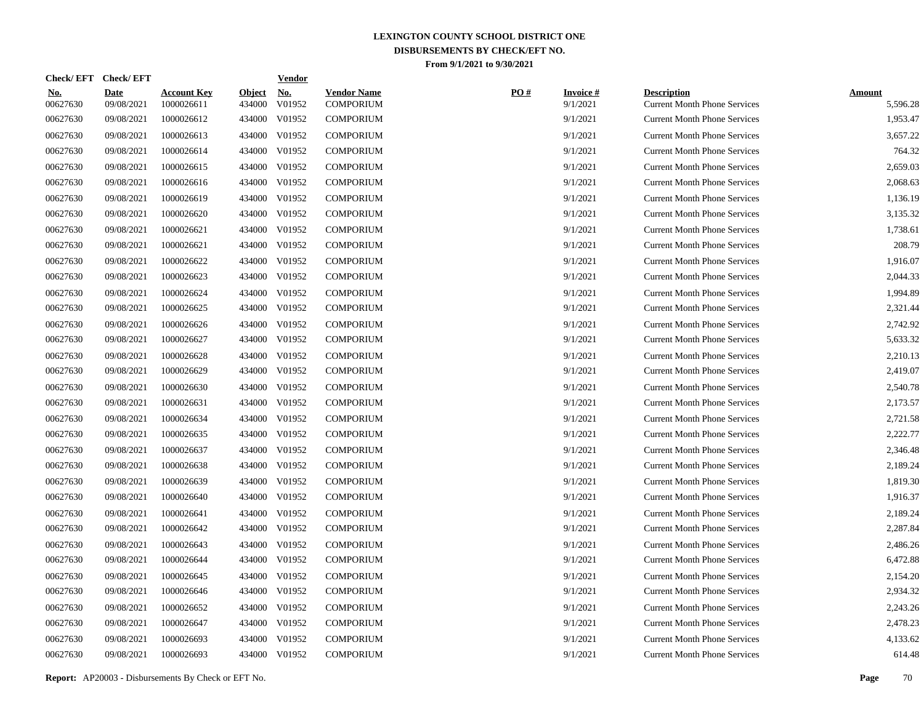| Check/EFT Check/EFT    |                           |                                  |                         | <b>Vendor</b>        |                                        |     |                             |                                                           |                           |
|------------------------|---------------------------|----------------------------------|-------------------------|----------------------|----------------------------------------|-----|-----------------------------|-----------------------------------------------------------|---------------------------|
| <u>No.</u><br>00627630 | <b>Date</b><br>09/08/2021 | <b>Account Key</b><br>1000026611 | <b>Object</b><br>434000 | <u>No.</u><br>V01952 | <b>Vendor Name</b><br><b>COMPORIUM</b> | PO# | <b>Invoice#</b><br>9/1/2021 | <b>Description</b><br><b>Current Month Phone Services</b> | <b>Amount</b><br>5,596.28 |
| 00627630               | 09/08/2021                | 1000026612                       | 434000                  | V01952               | <b>COMPORIUM</b>                       |     | 9/1/2021                    | <b>Current Month Phone Services</b>                       | 1.953.47                  |
| 00627630               | 09/08/2021                | 1000026613                       | 434000                  | V01952               | <b>COMPORIUM</b>                       |     | 9/1/2021                    | <b>Current Month Phone Services</b>                       | 3,657.22                  |
| 00627630               | 09/08/2021                | 1000026614                       | 434000                  | V01952               | <b>COMPORIUM</b>                       |     | 9/1/2021                    | <b>Current Month Phone Services</b>                       | 764.32                    |
| 00627630               | 09/08/2021                | 1000026615                       | 434000                  | V01952               | <b>COMPORIUM</b>                       |     | 9/1/2021                    | <b>Current Month Phone Services</b>                       | 2,659.03                  |
| 00627630               | 09/08/2021                | 1000026616                       | 434000                  | V01952               | <b>COMPORIUM</b>                       |     | 9/1/2021                    | <b>Current Month Phone Services</b>                       | 2,068.63                  |
| 00627630               | 09/08/2021                | 1000026619                       |                         | 434000 V01952        | <b>COMPORIUM</b>                       |     | 9/1/2021                    | <b>Current Month Phone Services</b>                       | 1,136.19                  |
| 00627630               | 09/08/2021                | 1000026620                       | 434000                  | V01952               | <b>COMPORIUM</b>                       |     | 9/1/2021                    | <b>Current Month Phone Services</b>                       | 3,135.32                  |
| 00627630               | 09/08/2021                | 1000026621                       | 434000                  | V01952               | <b>COMPORIUM</b>                       |     | 9/1/2021                    | <b>Current Month Phone Services</b>                       | 1,738.61                  |
| 00627630               | 09/08/2021                | 1000026621                       | 434000                  | V01952               | <b>COMPORIUM</b>                       |     | 9/1/2021                    | <b>Current Month Phone Services</b>                       | 208.79                    |
| 00627630               | 09/08/2021                | 1000026622                       | 434000                  | V01952               | <b>COMPORIUM</b>                       |     | 9/1/2021                    | <b>Current Month Phone Services</b>                       | 1,916.07                  |
| 00627630               | 09/08/2021                | 1000026623                       | 434000                  | V01952               | <b>COMPORIUM</b>                       |     | 9/1/2021                    | <b>Current Month Phone Services</b>                       | 2,044.33                  |
| 00627630               | 09/08/2021                | 1000026624                       | 434000                  | V01952               | <b>COMPORIUM</b>                       |     | 9/1/2021                    | <b>Current Month Phone Services</b>                       | 1,994.89                  |
| 00627630               | 09/08/2021                | 1000026625                       | 434000                  | V01952               | <b>COMPORIUM</b>                       |     | 9/1/2021                    | <b>Current Month Phone Services</b>                       | 2,321.44                  |
| 00627630               | 09/08/2021                | 1000026626                       | 434000                  | V01952               | <b>COMPORIUM</b>                       |     | 9/1/2021                    | <b>Current Month Phone Services</b>                       | 2,742.92                  |
| 00627630               | 09/08/2021                | 1000026627                       | 434000                  | V01952               | <b>COMPORIUM</b>                       |     | 9/1/2021                    | <b>Current Month Phone Services</b>                       | 5,633.32                  |
| 00627630               | 09/08/2021                | 1000026628                       | 434000                  | V01952               | <b>COMPORIUM</b>                       |     | 9/1/2021                    | <b>Current Month Phone Services</b>                       | 2,210.13                  |
| 00627630               | 09/08/2021                | 1000026629                       | 434000                  | V01952               | <b>COMPORIUM</b>                       |     | 9/1/2021                    | <b>Current Month Phone Services</b>                       | 2,419.07                  |
| 00627630               | 09/08/2021                | 1000026630                       | 434000                  | V01952               | <b>COMPORIUM</b>                       |     | 9/1/2021                    | <b>Current Month Phone Services</b>                       | 2,540.78                  |
| 00627630               | 09/08/2021                | 1000026631                       | 434000                  | V01952               | <b>COMPORIUM</b>                       |     | 9/1/2021                    | <b>Current Month Phone Services</b>                       | 2,173.57                  |
| 00627630               | 09/08/2021                | 1000026634                       | 434000                  | V01952               | <b>COMPORIUM</b>                       |     | 9/1/2021                    | <b>Current Month Phone Services</b>                       | 2,721.58                  |
| 00627630               | 09/08/2021                | 1000026635                       | 434000                  | V01952               | <b>COMPORIUM</b>                       |     | 9/1/2021                    | <b>Current Month Phone Services</b>                       | 2,222.77                  |
| 00627630               | 09/08/2021                | 1000026637                       | 434000                  | V01952               | <b>COMPORIUM</b>                       |     | 9/1/2021                    | <b>Current Month Phone Services</b>                       | 2,346.48                  |
| 00627630               | 09/08/2021                | 1000026638                       | 434000                  | V01952               | <b>COMPORIUM</b>                       |     | 9/1/2021                    | <b>Current Month Phone Services</b>                       | 2,189.24                  |
| 00627630               | 09/08/2021                | 1000026639                       | 434000                  | V01952               | <b>COMPORIUM</b>                       |     | 9/1/2021                    | <b>Current Month Phone Services</b>                       | 1,819.30                  |
| 00627630               | 09/08/2021                | 1000026640                       | 434000                  | V01952               | <b>COMPORIUM</b>                       |     | 9/1/2021                    | <b>Current Month Phone Services</b>                       | 1,916.37                  |
| 00627630               | 09/08/2021                | 1000026641                       | 434000                  | V01952               | <b>COMPORIUM</b>                       |     | 9/1/2021                    | <b>Current Month Phone Services</b>                       | 2,189.24                  |
| 00627630               | 09/08/2021                | 1000026642                       | 434000                  | V01952               | <b>COMPORIUM</b>                       |     | 9/1/2021                    | <b>Current Month Phone Services</b>                       | 2,287.84                  |
| 00627630               | 09/08/2021                | 1000026643                       | 434000                  | V01952               | <b>COMPORIUM</b>                       |     | 9/1/2021                    | <b>Current Month Phone Services</b>                       | 2,486.26                  |
| 00627630               | 09/08/2021                | 1000026644                       | 434000                  | V01952               | <b>COMPORIUM</b>                       |     | 9/1/2021                    | <b>Current Month Phone Services</b>                       | 6,472.88                  |
| 00627630               | 09/08/2021                | 1000026645                       | 434000                  | V01952               | <b>COMPORIUM</b>                       |     | 9/1/2021                    | <b>Current Month Phone Services</b>                       | 2,154.20                  |
| 00627630               | 09/08/2021                | 1000026646                       | 434000                  | V01952               | <b>COMPORIUM</b>                       |     | 9/1/2021                    | <b>Current Month Phone Services</b>                       | 2,934.32                  |
| 00627630               | 09/08/2021                | 1000026652                       | 434000                  | V01952               | <b>COMPORIUM</b>                       |     | 9/1/2021                    | <b>Current Month Phone Services</b>                       | 2,243.26                  |
| 00627630               | 09/08/2021                | 1000026647                       | 434000                  | V01952               | <b>COMPORIUM</b>                       |     | 9/1/2021                    | <b>Current Month Phone Services</b>                       | 2,478.23                  |
| 00627630               | 09/08/2021                | 1000026693                       | 434000                  | V01952               | <b>COMPORIUM</b>                       |     | 9/1/2021                    | <b>Current Month Phone Services</b>                       | 4,133.62                  |
| 00627630               | 09/08/2021                | 1000026693                       |                         | 434000 V01952        | <b>COMPORIUM</b>                       |     | 9/1/2021                    | <b>Current Month Phone Services</b>                       | 614.48                    |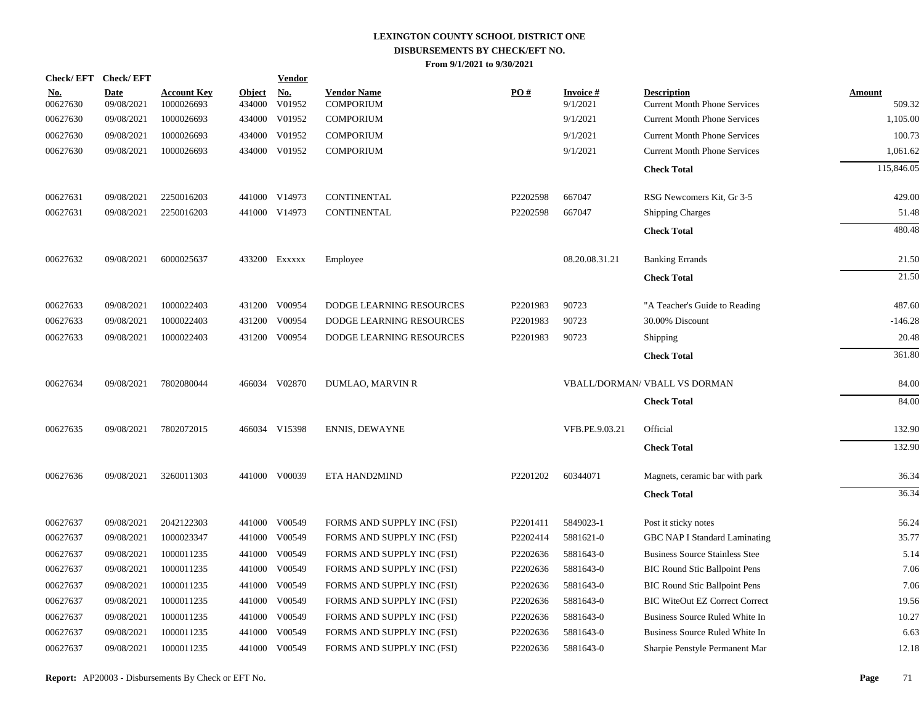| Check/EFT Check/EFT    |                           |                                  |                         | <b>Vendor</b>        |                                        |          |                             |                                                           |                  |
|------------------------|---------------------------|----------------------------------|-------------------------|----------------------|----------------------------------------|----------|-----------------------------|-----------------------------------------------------------|------------------|
| <u>No.</u><br>00627630 | <b>Date</b><br>09/08/2021 | <b>Account Key</b><br>1000026693 | <b>Object</b><br>434000 | <b>No.</b><br>V01952 | <b>Vendor Name</b><br><b>COMPORIUM</b> | PO#      | <b>Invoice#</b><br>9/1/2021 | <b>Description</b><br><b>Current Month Phone Services</b> | Amount<br>509.32 |
| 00627630               | 09/08/2021                | 1000026693                       | 434000                  | V01952               | <b>COMPORIUM</b>                       |          | 9/1/2021                    | <b>Current Month Phone Services</b>                       | 1,105.00         |
| 00627630               | 09/08/2021                | 1000026693                       | 434000                  | V01952               | <b>COMPORIUM</b>                       |          | 9/1/2021                    | <b>Current Month Phone Services</b>                       | 100.73           |
| 00627630               | 09/08/2021                | 1000026693                       |                         | 434000 V01952        | <b>COMPORIUM</b>                       |          | 9/1/2021                    | <b>Current Month Phone Services</b>                       | 1,061.62         |
|                        |                           |                                  |                         |                      |                                        |          |                             | <b>Check Total</b>                                        | 115,846.05       |
| 00627631               | 09/08/2021                | 2250016203                       |                         | 441000 V14973        | <b>CONTINENTAL</b>                     | P2202598 | 667047                      | RSG Newcomers Kit, Gr 3-5                                 | 429.00           |
| 00627631               | 09/08/2021                | 2250016203                       |                         | 441000 V14973        | CONTINENTAL                            | P2202598 | 667047                      | <b>Shipping Charges</b>                                   | 51.48            |
|                        |                           |                                  |                         |                      |                                        |          |                             | <b>Check Total</b>                                        | 480.48           |
| 00627632               | 09/08/2021                | 6000025637                       |                         | 433200 Exxxxx        | Employee                               |          | 08.20.08.31.21              | <b>Banking Errands</b>                                    | 21.50            |
|                        |                           |                                  |                         |                      |                                        |          |                             | <b>Check Total</b>                                        | 21.50            |
| 00627633               | 09/08/2021                | 1000022403                       | 431200                  | V00954               | <b>DODGE LEARNING RESOURCES</b>        | P2201983 | 90723                       | "A Teacher's Guide to Reading                             | 487.60           |
| 00627633               | 09/08/2021                | 1000022403                       |                         | 431200 V00954        | DODGE LEARNING RESOURCES               | P2201983 | 90723                       | 30.00% Discount                                           | $-146.28$        |
| 00627633               | 09/08/2021                | 1000022403                       |                         | 431200 V00954        | DODGE LEARNING RESOURCES               | P2201983 | 90723                       | Shipping                                                  | 20.48            |
|                        |                           |                                  |                         |                      |                                        |          |                             | <b>Check Total</b>                                        | 361.80           |
| 00627634               | 09/08/2021                | 7802080044                       |                         | 466034 V02870        | <b>DUMLAO, MARVIN R</b>                |          |                             | <b>VBALL/DORMAN/ VBALL VS DORMAN</b>                      | 84.00            |
|                        |                           |                                  |                         |                      |                                        |          |                             | <b>Check Total</b>                                        | 84.00            |
| 00627635               | 09/08/2021                | 7802072015                       |                         | 466034 V15398        | <b>ENNIS, DEWAYNE</b>                  |          | VFB.PE.9.03.21              | Official                                                  | 132.90           |
|                        |                           |                                  |                         |                      |                                        |          |                             | <b>Check Total</b>                                        | 132.90           |
| 00627636               | 09/08/2021                | 3260011303                       |                         | 441000 V00039        | ETA HAND2MIND                          | P2201202 | 60344071                    | Magnets, ceramic bar with park                            | 36.34            |
|                        |                           |                                  |                         |                      |                                        |          |                             | <b>Check Total</b>                                        | 36.34            |
| 00627637               | 09/08/2021                | 2042122303                       | 441000                  | V00549               | FORMS AND SUPPLY INC (FSI)             | P2201411 | 5849023-1                   | Post it sticky notes                                      | 56.24            |
| 00627637               | 09/08/2021                | 1000023347                       | 441000                  | V00549               | FORMS AND SUPPLY INC (FSI)             | P2202414 | 5881621-0                   | GBC NAP I Standard Laminating                             | 35.77            |
| 00627637               | 09/08/2021                | 1000011235                       | 441000                  | V00549               | FORMS AND SUPPLY INC (FSI)             | P2202636 | 5881643-0                   | <b>Business Source Stainless Stee</b>                     | 5.14             |
| 00627637               | 09/08/2021                | 1000011235                       | 441000                  | V00549               | FORMS AND SUPPLY INC (FSI)             | P2202636 | 5881643-0                   | <b>BIC Round Stic Ballpoint Pens</b>                      | 7.06             |
| 00627637               | 09/08/2021                | 1000011235                       | 441000                  | V00549               | FORMS AND SUPPLY INC (FSI)             | P2202636 | 5881643-0                   | <b>BIC Round Stic Ballpoint Pens</b>                      | 7.06             |
| 00627637               | 09/08/2021                | 1000011235                       | 441000                  | V00549               | FORMS AND SUPPLY INC (FSI)             | P2202636 | 5881643-0                   | <b>BIC WiteOut EZ Correct Correct</b>                     | 19.56            |
| 00627637               | 09/08/2021                | 1000011235                       | 441000                  | V00549               | FORMS AND SUPPLY INC (FSI)             | P2202636 | 5881643-0                   | Business Source Ruled White In                            | 10.27            |
| 00627637               | 09/08/2021                | 1000011235                       | 441000                  | V00549               | FORMS AND SUPPLY INC (FSI)             | P2202636 | 5881643-0                   | Business Source Ruled White In                            | 6.63             |
| 00627637               | 09/08/2021                | 1000011235                       | 441000                  | V00549               | FORMS AND SUPPLY INC (FSI)             | P2202636 | 5881643-0                   | Sharpie Penstyle Permanent Mar                            | 12.18            |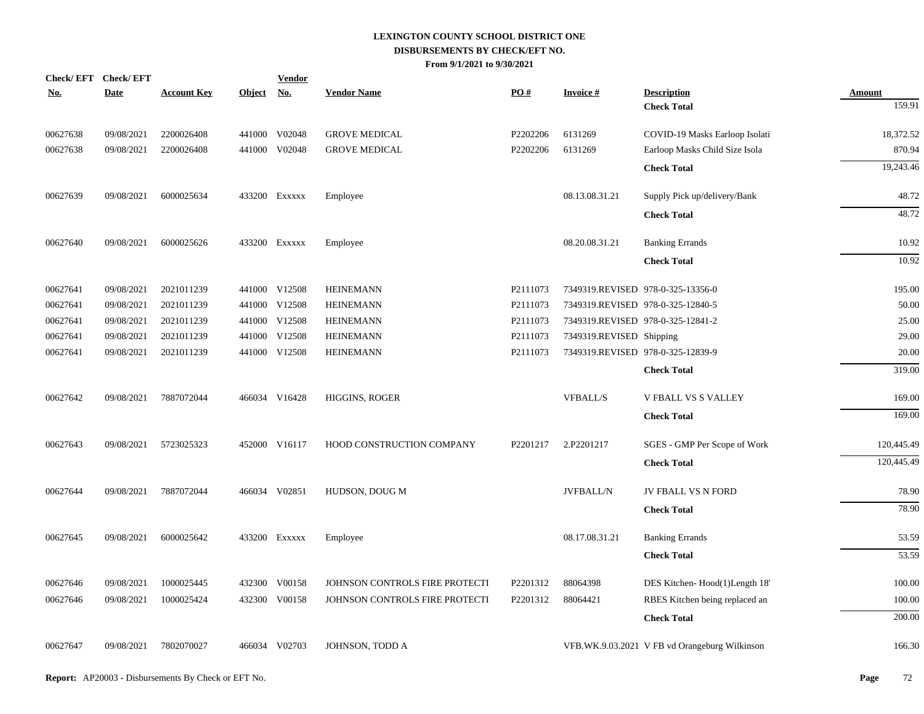| Check/EFT Check/EFT<br><u>No.</u> | <b>Date</b> | <b>Account Key</b> | Object No. | <b>Vendor</b> | <b>Vendor Name</b>             | PO#      | <b>Invoice#</b>                   | <b>Description</b>                            | <b>Amount</b> |
|-----------------------------------|-------------|--------------------|------------|---------------|--------------------------------|----------|-----------------------------------|-----------------------------------------------|---------------|
|                                   |             |                    |            |               |                                |          |                                   | <b>Check Total</b>                            | 159.91        |
| 00627638                          | 09/08/2021  | 2200026408         |            | 441000 V02048 | <b>GROVE MEDICAL</b>           | P2202206 | 6131269                           | COVID-19 Masks Earloop Isolati                | 18,372.52     |
| 00627638                          | 09/08/2021  | 2200026408         |            | 441000 V02048 | <b>GROVE MEDICAL</b>           | P2202206 | 6131269                           | Earloop Masks Child Size Isola                | 870.94        |
|                                   |             |                    |            |               |                                |          |                                   | <b>Check Total</b>                            | 19,243.46     |
| 00627639                          | 09/08/2021  | 6000025634         |            | 433200 EXXXXX | Employee                       |          | 08.13.08.31.21                    | Supply Pick up/delivery/Bank                  | 48.72         |
|                                   |             |                    |            |               |                                |          |                                   | <b>Check Total</b>                            | 48.72         |
| 00627640                          | 09/08/2021  | 6000025626         |            | 433200 EXXXXX | Employee                       |          | 08.20.08.31.21                    | <b>Banking Errands</b>                        | 10.92         |
|                                   |             |                    |            |               |                                |          |                                   | <b>Check Total</b>                            | 10.92         |
| 00627641                          | 09/08/2021  | 2021011239         |            | 441000 V12508 | <b>HEINEMANN</b>               | P2111073 | 7349319.REVISED 978-0-325-13356-0 |                                               | 195.00        |
| 00627641                          | 09/08/2021  | 2021011239         |            | 441000 V12508 | <b>HEINEMANN</b>               | P2111073 | 7349319.REVISED 978-0-325-12840-5 |                                               | 50.00         |
| 00627641                          | 09/08/2021  | 2021011239         |            | 441000 V12508 | <b>HEINEMANN</b>               | P2111073 | 7349319.REVISED 978-0-325-12841-2 |                                               | 25.00         |
| 00627641                          | 09/08/2021  | 2021011239         |            | 441000 V12508 | <b>HEINEMANN</b>               | P2111073 | 7349319.REVISED Shipping          |                                               | 29.00         |
| 00627641                          | 09/08/2021  | 2021011239         |            | 441000 V12508 | <b>HEINEMANN</b>               | P2111073 | 7349319.REVISED 978-0-325-12839-9 |                                               | 20.00         |
|                                   |             |                    |            |               |                                |          |                                   | <b>Check Total</b>                            | 319.00        |
| 00627642                          | 09/08/2021  | 7887072044         |            | 466034 V16428 | HIGGINS, ROGER                 |          | <b>VFBALL/S</b>                   | V FBALL VS S VALLEY                           | 169.00        |
|                                   |             |                    |            |               |                                |          |                                   | <b>Check Total</b>                            | 169.00        |
| 00627643                          | 09/08/2021  | 5723025323         |            | 452000 V16117 | HOOD CONSTRUCTION COMPANY      | P2201217 | 2.P2201217                        | SGES - GMP Per Scope of Work                  | 120,445.49    |
|                                   |             |                    |            |               |                                |          |                                   | <b>Check Total</b>                            | 120,445.49    |
| 00627644                          | 09/08/2021  | 7887072044         |            | 466034 V02851 | HUDSON, DOUG M                 |          | <b>JVFBALL/N</b>                  | JV FBALL VS N FORD                            | 78.90         |
|                                   |             |                    |            |               |                                |          |                                   | <b>Check Total</b>                            | 78.90         |
| 00627645                          | 09/08/2021  | 6000025642         |            | 433200 EXXXXX | Employee                       |          | 08.17.08.31.21                    | <b>Banking Errands</b>                        | 53.59         |
|                                   |             |                    |            |               |                                |          |                                   | <b>Check Total</b>                            | 53.59         |
| 00627646                          | 09/08/2021  | 1000025445         |            | 432300 V00158 | JOHNSON CONTROLS FIRE PROTECTI | P2201312 | 88064398                          | DES Kitchen-Hood(1)Length 18'                 | 100.00        |
| 00627646                          | 09/08/2021  | 1000025424         |            | 432300 V00158 | JOHNSON CONTROLS FIRE PROTECTI | P2201312 | 88064421                          | RBES Kitchen being replaced an                | 100.00        |
|                                   |             |                    |            |               |                                |          |                                   | <b>Check Total</b>                            | 200.00        |
| 00627647                          | 09/08/2021  | 7802070027         |            | 466034 V02703 | JOHNSON, TODD A                |          |                                   | VFB.WK.9.03.2021 V FB vd Orangeburg Wilkinson | 166.30        |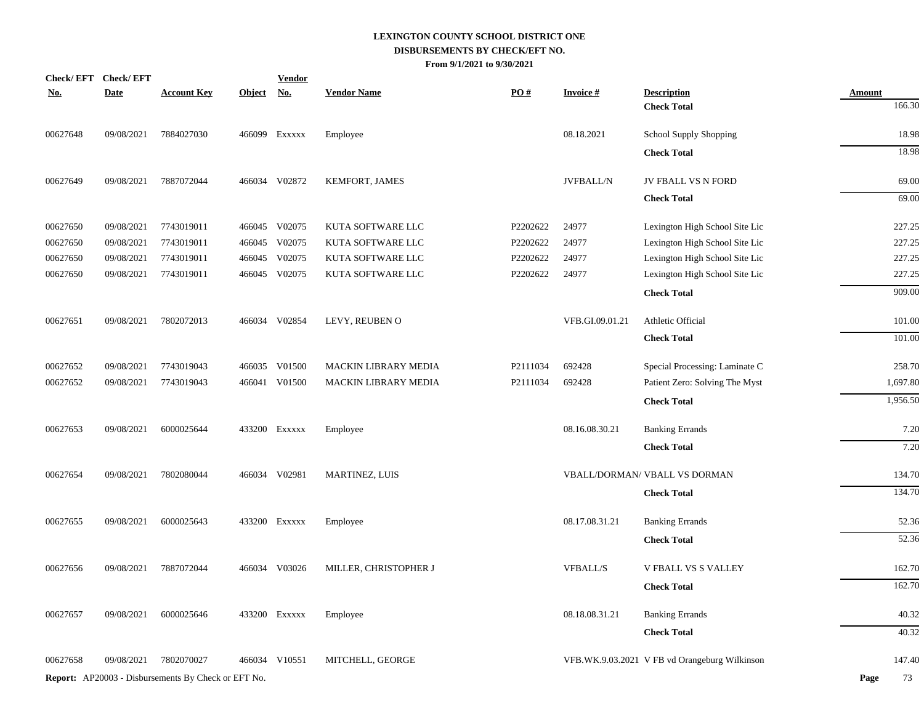| Check/EFT Check/EFT |            |                    | <b>Vendor</b>                                              |                                                                                                                                                                                                                                                                           |                    |                  |                                |                                                                                                                                                      |
|---------------------|------------|--------------------|------------------------------------------------------------|---------------------------------------------------------------------------------------------------------------------------------------------------------------------------------------------------------------------------------------------------------------------------|--------------------|------------------|--------------------------------|------------------------------------------------------------------------------------------------------------------------------------------------------|
| <b>Date</b>         |            |                    |                                                            |                                                                                                                                                                                                                                                                           |                    |                  |                                | <b>Amount</b><br>166.30                                                                                                                              |
|                     |            |                    |                                                            |                                                                                                                                                                                                                                                                           |                    |                  |                                |                                                                                                                                                      |
| 09/08/2021          | 7884027030 |                    |                                                            | Employee                                                                                                                                                                                                                                                                  |                    | 08.18.2021       | <b>School Supply Shopping</b>  | 18.98                                                                                                                                                |
|                     |            |                    |                                                            |                                                                                                                                                                                                                                                                           |                    |                  | <b>Check Total</b>             | 18.98                                                                                                                                                |
| 09/08/2021          | 7887072044 |                    |                                                            | KEMFORT, JAMES                                                                                                                                                                                                                                                            |                    | <b>JVFBALL/N</b> | JV FBALL VS N FORD             | 69.00                                                                                                                                                |
|                     |            |                    |                                                            |                                                                                                                                                                                                                                                                           |                    |                  | <b>Check Total</b>             | 69.00                                                                                                                                                |
| 09/08/2021          | 7743019011 |                    |                                                            | KUTA SOFTWARE LLC                                                                                                                                                                                                                                                         | P2202622           | 24977            | Lexington High School Site Lic | 227.25                                                                                                                                               |
| 09/08/2021          | 7743019011 |                    |                                                            | KUTA SOFTWARE LLC                                                                                                                                                                                                                                                         | P2202622           | 24977            | Lexington High School Site Lic | 227.25                                                                                                                                               |
| 09/08/2021          | 7743019011 |                    |                                                            | KUTA SOFTWARE LLC                                                                                                                                                                                                                                                         | P2202622           | 24977            | Lexington High School Site Lic | 227.25                                                                                                                                               |
| 09/08/2021          | 7743019011 |                    |                                                            | KUTA SOFTWARE LLC                                                                                                                                                                                                                                                         | P2202622           | 24977            | Lexington High School Site Lic | 227.25                                                                                                                                               |
|                     |            |                    |                                                            |                                                                                                                                                                                                                                                                           |                    |                  | <b>Check Total</b>             | 909.00                                                                                                                                               |
| 09/08/2021          | 7802072013 |                    |                                                            | LEVY, REUBEN O                                                                                                                                                                                                                                                            |                    | VFB.GI.09.01.21  | Athletic Official              | 101.00                                                                                                                                               |
|                     |            |                    |                                                            |                                                                                                                                                                                                                                                                           |                    |                  | <b>Check Total</b>             | 101.00                                                                                                                                               |
| 09/08/2021          | 7743019043 |                    |                                                            | <b>MACKIN LIBRARY MEDIA</b>                                                                                                                                                                                                                                               | P2111034           | 692428           | Special Processing: Laminate C | 258.70                                                                                                                                               |
| 09/08/2021          | 7743019043 |                    |                                                            | <b>MACKIN LIBRARY MEDIA</b>                                                                                                                                                                                                                                               | P2111034           | 692428           | Patient Zero: Solving The Myst | 1,697.80                                                                                                                                             |
|                     |            |                    |                                                            |                                                                                                                                                                                                                                                                           |                    |                  | <b>Check Total</b>             | 1,956.50                                                                                                                                             |
| 09/08/2021          | 6000025644 |                    |                                                            | Employee                                                                                                                                                                                                                                                                  |                    | 08.16.08.30.21   | <b>Banking Errands</b>         | 7.20                                                                                                                                                 |
|                     |            |                    |                                                            |                                                                                                                                                                                                                                                                           |                    |                  | <b>Check Total</b>             | 7.20                                                                                                                                                 |
| 09/08/2021          | 7802080044 |                    |                                                            | <b>MARTINEZ, LUIS</b>                                                                                                                                                                                                                                                     |                    |                  |                                | 134.70                                                                                                                                               |
|                     |            |                    |                                                            |                                                                                                                                                                                                                                                                           |                    |                  | <b>Check Total</b>             | 134.70                                                                                                                                               |
| 09/08/2021          | 6000025643 |                    |                                                            | Employee                                                                                                                                                                                                                                                                  |                    | 08.17.08.31.21   | <b>Banking Errands</b>         | 52.36                                                                                                                                                |
|                     |            |                    |                                                            |                                                                                                                                                                                                                                                                           |                    |                  | <b>Check Total</b>             | 52.36                                                                                                                                                |
| 09/08/2021          | 7887072044 |                    |                                                            | MILLER, CHRISTOPHER J                                                                                                                                                                                                                                                     |                    | <b>VFBALL/S</b>  | V FBALL VS S VALLEY            | 162.70                                                                                                                                               |
|                     |            |                    |                                                            |                                                                                                                                                                                                                                                                           |                    |                  | <b>Check Total</b>             | 162.70                                                                                                                                               |
| 09/08/2021          | 6000025646 |                    |                                                            | Employee                                                                                                                                                                                                                                                                  |                    | 08.18.08.31.21   |                                | 40.32                                                                                                                                                |
|                     |            |                    |                                                            |                                                                                                                                                                                                                                                                           |                    |                  | <b>Check Total</b>             | 40.32                                                                                                                                                |
| 09/08/2021          | 7802070027 |                    |                                                            | MITCHELL, GEORGE                                                                                                                                                                                                                                                          |                    |                  |                                | 147.40                                                                                                                                               |
|                     |            |                    |                                                            |                                                                                                                                                                                                                                                                           |                    |                  |                                | Page<br>73                                                                                                                                           |
|                     |            | <b>Account Key</b> | <b>Report:</b> AP20003 - Disbursements By Check or EFT No. | Object No.<br>466099 Exxxxx<br>466034 V02872<br>466045 V02075<br>466045 V02075<br>466045 V02075<br>466045 V02075<br>466034 V02854<br>466035 V01500<br>466041 V01500<br>433200 EXXXXX<br>466034 V02981<br>433200 Exxxxx<br>466034 V03026<br>433200 Exxxxx<br>466034 V10551 | <b>Vendor Name</b> | PO#              | <b>Invoice#</b>                | <b>Description</b><br><b>Check Total</b><br>VBALL/DORMAN/ VBALL VS DORMAN<br><b>Banking Errands</b><br>VFB.WK.9.03.2021 V FB vd Orangeburg Wilkinson |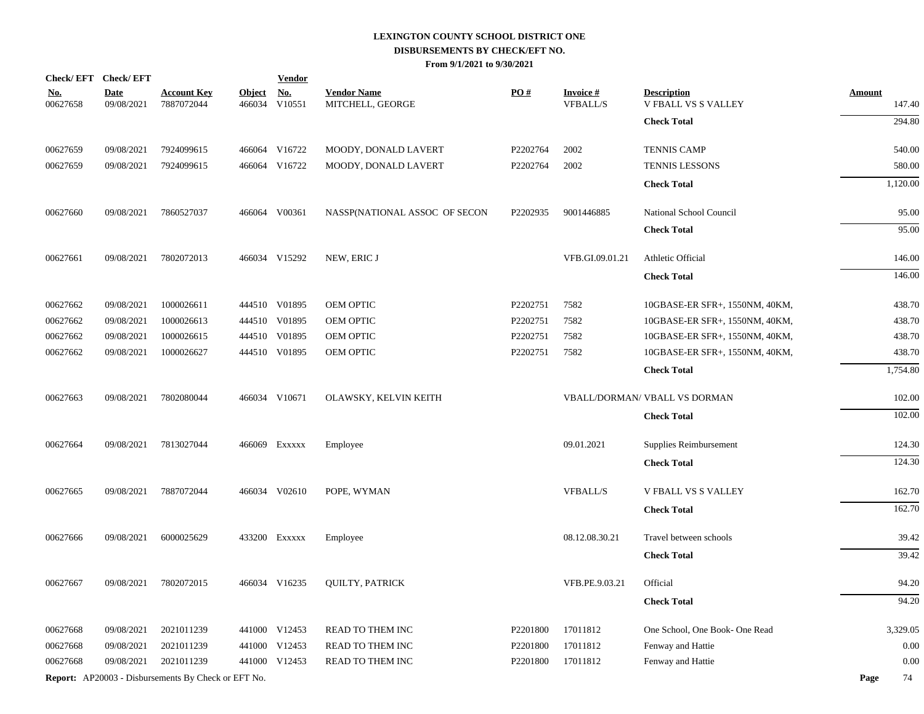|                        | Check/EFT Check/EFT       |                                                     |                         | <b>Vendor</b>        |                                        |                      |                                    |                                                  |                         |
|------------------------|---------------------------|-----------------------------------------------------|-------------------------|----------------------|----------------------------------------|----------------------|------------------------------------|--------------------------------------------------|-------------------------|
| <u>No.</u><br>00627658 | <b>Date</b><br>09/08/2021 | <u>Account Key</u><br>7887072044                    | <b>Object</b><br>466034 | <u>No.</u><br>V10551 | <b>Vendor Name</b><br>MITCHELL, GEORGE | PO#                  | <b>Invoice#</b><br><b>VFBALL/S</b> | <b>Description</b><br><b>V FBALL VS S VALLEY</b> | <b>Amount</b><br>147.40 |
|                        |                           |                                                     |                         |                      |                                        |                      |                                    | <b>Check Total</b>                               | 294.80                  |
| 00627659               | 09/08/2021                | 7924099615                                          |                         | 466064 V16722        | MOODY, DONALD LAVERT                   | P2202764             | 2002                               | <b>TENNIS CAMP</b>                               | 540.00                  |
| 00627659               | 09/08/2021                | 7924099615                                          |                         | 466064 V16722        | MOODY, DONALD LAVERT                   | P2202764             | 2002                               | <b>TENNIS LESSONS</b>                            | 580.00                  |
|                        |                           |                                                     |                         |                      |                                        |                      |                                    | <b>Check Total</b>                               | 1,120.00                |
| 00627660               | 09/08/2021                | 7860527037                                          |                         | 466064 V00361        | NASSP(NATIONAL ASSOC OF SECON          | P2202935             | 9001446885                         | National School Council                          | 95.00                   |
|                        |                           |                                                     |                         |                      |                                        |                      |                                    | <b>Check Total</b>                               | 95.00                   |
| 00627661               | 09/08/2021                | 7802072013                                          |                         | 466034 V15292        | NEW, ERIC J                            |                      | VFB.GI.09.01.21                    | Athletic Official                                | 146.00                  |
|                        |                           |                                                     |                         |                      |                                        |                      |                                    | <b>Check Total</b>                               | 146.00                  |
| 00627662               | 09/08/2021                | 1000026611                                          |                         | 444510 V01895        | OEM OPTIC                              | P2202751             | 7582                               | 10GBASE-ER SFR+, 1550NM, 40KM,                   | 438.70                  |
| 00627662               | 09/08/2021                | 1000026613                                          |                         | 444510 V01895        | OEM OPTIC                              | P2202751             | 7582                               | 10GBASE-ER SFR+, 1550NM, 40KM,                   | 438.70                  |
| 00627662               | 09/08/2021                | 1000026615                                          |                         | 444510 V01895        | OEM OPTIC                              | P2202751             | 7582                               | 10GBASE-ER SFR+, 1550NM, 40KM,                   | 438.70                  |
| 00627662               | 09/08/2021                | 1000026627                                          |                         | 444510 V01895        | OEM OPTIC                              | P2202751             | 7582                               | 10GBASE-ER SFR+, 1550NM, 40KM,                   | 438.70                  |
|                        |                           |                                                     |                         |                      |                                        |                      |                                    | <b>Check Total</b>                               | 1,754.80                |
| 00627663               | 09/08/2021                | 7802080044                                          |                         | 466034 V10671        | OLAWSKY, KELVIN KEITH                  |                      |                                    | <b>VBALL/DORMAN/ VBALL VS DORMAN</b>             | 102.00                  |
|                        |                           |                                                     |                         |                      |                                        |                      |                                    | <b>Check Total</b>                               | 102.00                  |
| 00627664               | 09/08/2021                | 7813027044                                          |                         | 466069 Exxxxx        | Employee                               |                      | 09.01.2021                         | Supplies Reimbursement                           | 124.30                  |
|                        |                           |                                                     |                         |                      |                                        |                      |                                    | <b>Check Total</b>                               | 124.30                  |
| 00627665               | 09/08/2021                | 7887072044                                          |                         | 466034 V02610        | POPE, WYMAN                            |                      | <b>VFBALL/S</b>                    | <b>V FBALL VS S VALLEY</b>                       | 162.70                  |
|                        |                           |                                                     |                         |                      |                                        |                      |                                    | <b>Check Total</b>                               | 162.70                  |
| 00627666               | 09/08/2021                | 6000025629                                          |                         | 433200 Exxxxx        | Employee                               |                      | 08.12.08.30.21                     | Travel between schools                           | 39.42                   |
|                        |                           |                                                     |                         |                      |                                        |                      |                                    | <b>Check Total</b>                               | 39.42                   |
| 00627667               | 09/08/2021                | 7802072015                                          |                         | 466034 V16235        | <b>QUILTY, PATRICK</b>                 |                      | VFB.PE.9.03.21                     | Official                                         | 94.20                   |
|                        |                           |                                                     |                         |                      |                                        |                      |                                    | <b>Check Total</b>                               | 94.20                   |
| 00627668               | 09/08/2021                | 2021011239                                          |                         | 441000 V12453        | READ TO THEM INC                       | P <sub>2201800</sub> | 17011812                           | One School, One Book- One Read                   | 3,329.05                |
| 00627668               | 09/08/2021                | 2021011239                                          |                         | 441000 V12453        | READ TO THEM INC                       | P <sub>2201800</sub> | 17011812                           | Fenway and Hattie                                | 0.00                    |
| 00627668               | 09/08/2021                | 2021011239                                          |                         | 441000 V12453        | READ TO THEM INC                       | P <sub>2201800</sub> | 17011812                           | Fenway and Hattie                                | 0.00                    |
|                        |                           | Report: AP20003 - Disbursements By Check or EFT No. |                         |                      |                                        |                      |                                    |                                                  | Page<br>74              |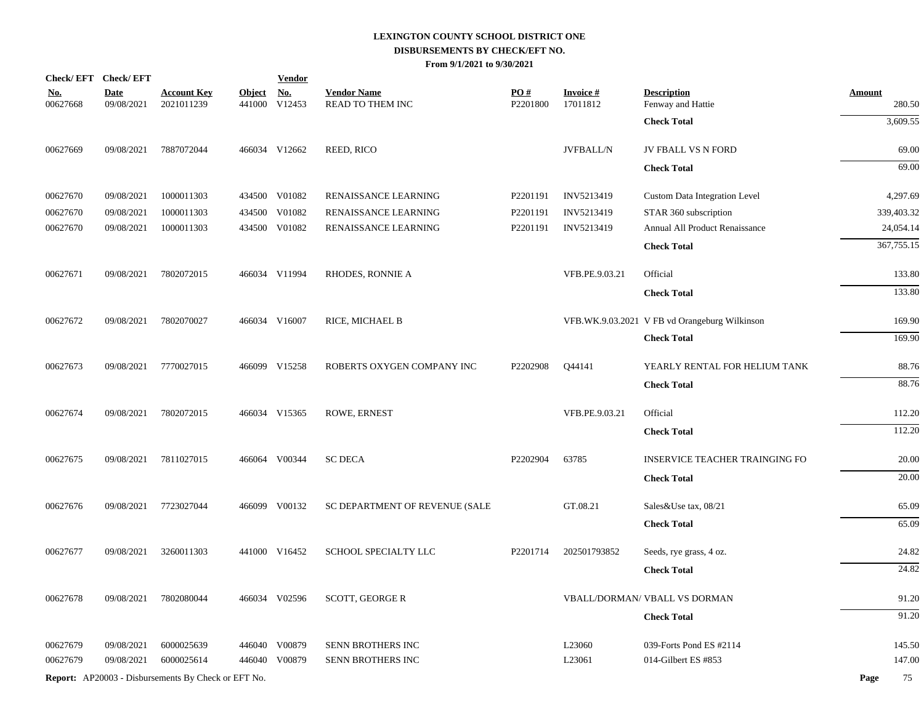|                        | Check/EFT Check/EFT       |                                                            |                         | <b>Vendor</b>        |                                        |                 |                                 |                                               |                         |
|------------------------|---------------------------|------------------------------------------------------------|-------------------------|----------------------|----------------------------------------|-----------------|---------------------------------|-----------------------------------------------|-------------------------|
| <b>No.</b><br>00627668 | <b>Date</b><br>09/08/2021 | <b>Account Key</b><br>2021011239                           | <b>Object</b><br>441000 | <u>No.</u><br>V12453 | <b>Vendor Name</b><br>READ TO THEM INC | PQ#<br>P2201800 | <b>Invoice#</b><br>17011812     | <b>Description</b><br>Fenway and Hattie       | <b>Amount</b><br>280.50 |
|                        |                           |                                                            |                         |                      |                                        |                 |                                 | <b>Check Total</b>                            | 3,609.55                |
| 00627669               | 09/08/2021                | 7887072044                                                 |                         | 466034 V12662        | REED, RICO                             |                 | $\ensuremath{\text{JVFBALL/N}}$ | JV FBALL VS N FORD                            | 69.00                   |
|                        |                           |                                                            |                         |                      |                                        |                 |                                 | <b>Check Total</b>                            | 69.00                   |
| 00627670               | 09/08/2021                | 1000011303                                                 |                         | 434500 V01082        | RENAISSANCE LEARNING                   | P2201191        | INV5213419                      | <b>Custom Data Integration Level</b>          | 4,297.69                |
| 00627670               | 09/08/2021                | 1000011303                                                 | 434500                  | V01082               | RENAISSANCE LEARNING                   | P2201191        | INV5213419                      | STAR 360 subscription                         | 339,403.32              |
| 00627670               | 09/08/2021                | 1000011303                                                 |                         | 434500 V01082        | RENAISSANCE LEARNING                   | P2201191        | INV5213419                      | Annual All Product Renaissance                | 24,054.14               |
|                        |                           |                                                            |                         |                      |                                        |                 |                                 | <b>Check Total</b>                            | 367,755.15              |
| 00627671               | 09/08/2021                | 7802072015                                                 |                         | 466034 V11994        | <b>RHODES, RONNIE A</b>                |                 | VFB.PE.9.03.21                  | Official                                      | 133.80                  |
|                        |                           |                                                            |                         |                      |                                        |                 |                                 | <b>Check Total</b>                            | 133.80                  |
| 00627672               | 09/08/2021                | 7802070027                                                 |                         | 466034 V16007        | RICE, MICHAEL B                        |                 |                                 | VFB.WK.9.03.2021 V FB vd Orangeburg Wilkinson | 169.90                  |
|                        |                           |                                                            |                         |                      |                                        |                 |                                 | <b>Check Total</b>                            | 169.90                  |
| 00627673               | 09/08/2021                | 7770027015                                                 |                         | 466099 V15258        | ROBERTS OXYGEN COMPANY INC             | P2202908        | Q44141                          | YEARLY RENTAL FOR HELIUM TANK                 | 88.76                   |
|                        |                           |                                                            |                         |                      |                                        |                 |                                 | <b>Check Total</b>                            | 88.76                   |
| 00627674               | 09/08/2021                | 7802072015                                                 |                         | 466034 V15365        | ROWE, ERNEST                           |                 | VFB.PE.9.03.21                  | Official                                      | 112.20                  |
|                        |                           |                                                            |                         |                      |                                        |                 |                                 | <b>Check Total</b>                            | 112.20                  |
| 00627675               | 09/08/2021                | 7811027015                                                 |                         | 466064 V00344        | <b>SC DECA</b>                         | P2202904        | 63785                           | <b>INSERVICE TEACHER TRAINGING FO</b>         | 20.00                   |
|                        |                           |                                                            |                         |                      |                                        |                 |                                 | <b>Check Total</b>                            | 20.00                   |
| 00627676               | 09/08/2021                | 7723027044                                                 |                         | 466099 V00132        | SC DEPARTMENT OF REVENUE (SALE         |                 | GT.08.21                        | Sales&Use tax, 08/21                          | 65.09                   |
|                        |                           |                                                            |                         |                      |                                        |                 |                                 | <b>Check Total</b>                            | 65.09                   |
| 00627677               | 09/08/2021                | 3260011303                                                 |                         | 441000 V16452        | SCHOOL SPECIALTY LLC                   | P2201714        | 202501793852                    | Seeds, rye grass, 4 oz.                       | 24.82                   |
|                        |                           |                                                            |                         |                      |                                        |                 |                                 | <b>Check Total</b>                            | 24.82                   |
| 00627678               | 09/08/2021                | 7802080044                                                 |                         | 466034 V02596        | <b>SCOTT, GEORGE R</b>                 |                 |                                 | VBALL/DORMAN/ VBALL VS DORMAN                 | 91.20                   |
|                        |                           |                                                            |                         |                      |                                        |                 |                                 | <b>Check Total</b>                            | 91.20                   |
| 00627679               | 09/08/2021                | 6000025639                                                 | 446040                  | V00879               | SENN BROTHERS INC                      |                 | L23060                          | 039-Forts Pond ES #2114                       | 145.50                  |
| 00627679               | 09/08/2021                | 6000025614                                                 |                         | 446040 V00879        | SENN BROTHERS INC                      |                 | L23061                          | 014-Gilbert ES #853                           | 147.00                  |
|                        |                           | <b>Report:</b> AP20003 - Disbursements By Check or EFT No. |                         |                      |                                        |                 |                                 |                                               | Page<br>75              |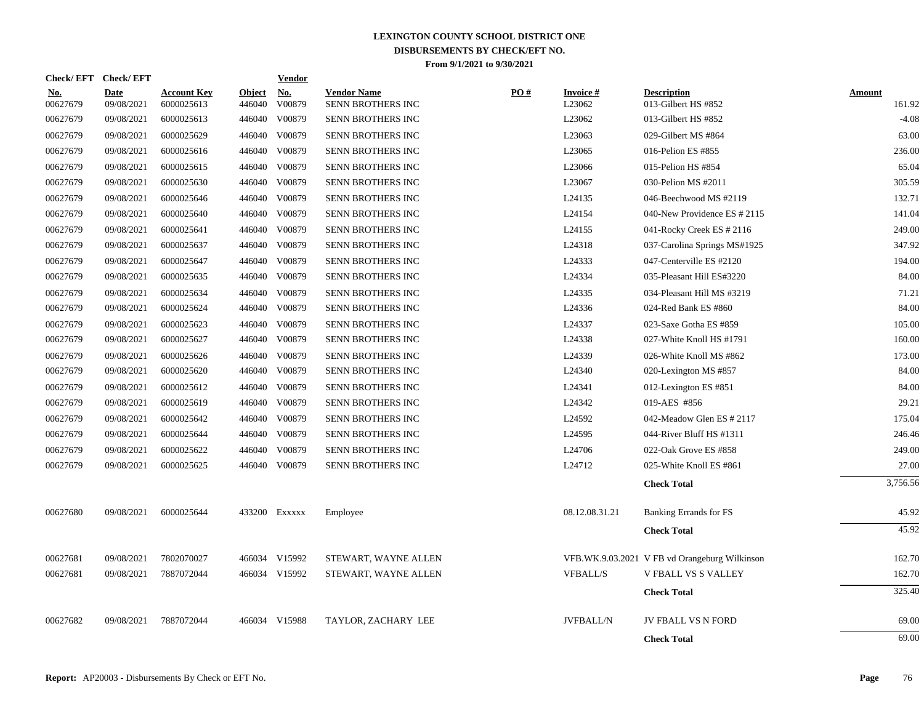| <b>Check/EFT</b>       | <b>Check/EFT</b>          |                                  |                         | <b>Vendor</b>        |                                         |     |                           |                                               |                         |
|------------------------|---------------------------|----------------------------------|-------------------------|----------------------|-----------------------------------------|-----|---------------------------|-----------------------------------------------|-------------------------|
| <u>No.</u><br>00627679 | <b>Date</b><br>09/08/2021 | <b>Account Key</b><br>6000025613 | <b>Object</b><br>446040 | <b>No.</b><br>V00879 | <b>Vendor Name</b><br>SENN BROTHERS INC | PO# | <b>Invoice#</b><br>L23062 | <b>Description</b><br>013-Gilbert HS #852     | <b>Amount</b><br>161.92 |
| 00627679               | 09/08/2021                | 6000025613                       |                         | 446040 V00879        | SENN BROTHERS INC                       |     | L <sub>23062</sub>        | 013-Gilbert HS #852                           | $-4.08$                 |
| 00627679               | 09/08/2021                | 6000025629                       | 446040                  | V00879               | SENN BROTHERS INC                       |     | L23063                    | 029-Gilbert MS #864                           | 63.00                   |
| 00627679               | 09/08/2021                | 6000025616                       | 446040                  | V00879               | SENN BROTHERS INC                       |     | L23065                    | 016-Pelion ES #855                            | 236.00                  |
| 00627679               | 09/08/2021                | 6000025615                       |                         | 446040 V00879        | SENN BROTHERS INC                       |     | L23066                    | 015-Pelion HS #854                            | 65.04                   |
| 00627679               | 09/08/2021                | 6000025630                       |                         | 446040 V00879        | SENN BROTHERS INC                       |     | L23067                    | 030-Pelion MS #2011                           | 305.59                  |
| 00627679               | 09/08/2021                | 6000025646                       |                         | 446040 V00879        | SENN BROTHERS INC                       |     | L24135                    | 046-Beechwood MS #2119                        | 132.71                  |
| 00627679               | 09/08/2021                | 6000025640                       |                         | 446040 V00879        | SENN BROTHERS INC                       |     | L24154                    | 040-New Providence ES # 2115                  | 141.04                  |
| 00627679               | 09/08/2021                | 6000025641                       |                         | 446040 V00879        | SENN BROTHERS INC                       |     | L24155                    | 041-Rocky Creek ES # 2116                     | 249.00                  |
| 00627679               | 09/08/2021                | 6000025637                       |                         | 446040 V00879        | SENN BROTHERS INC                       |     | L24318                    | 037-Carolina Springs MS#1925                  | 347.92                  |
| 00627679               | 09/08/2021                | 6000025647                       |                         | 446040 V00879        | SENN BROTHERS INC                       |     | L24333                    | 047-Centerville ES #2120                      | 194.00                  |
| 00627679               | 09/08/2021                | 6000025635                       |                         | 446040 V00879        | SENN BROTHERS INC                       |     | L24334                    | 035-Pleasant Hill ES#3220                     | 84.00                   |
| 00627679               | 09/08/2021                | 6000025634                       |                         | 446040 V00879        | SENN BROTHERS INC                       |     | L24335                    | 034-Pleasant Hill MS #3219                    | 71.21                   |
| 00627679               | 09/08/2021                | 6000025624                       |                         | 446040 V00879        | SENN BROTHERS INC                       |     | L24336                    | 024-Red Bank ES #860                          | 84.00                   |
| 00627679               | 09/08/2021                | 6000025623                       |                         | 446040 V00879        | SENN BROTHERS INC                       |     | L24337                    | 023-Saxe Gotha ES #859                        | 105.00                  |
| 00627679               | 09/08/2021                | 6000025627                       |                         | 446040 V00879        | SENN BROTHERS INC                       |     | L24338                    | 027-White Knoll HS #1791                      | 160.00                  |
| 00627679               | 09/08/2021                | 6000025626                       |                         | 446040 V00879        | <b>SENN BROTHERS INC</b>                |     | L24339                    | 026-White Knoll MS #862                       | 173.00                  |
| 00627679               | 09/08/2021                | 6000025620                       |                         | 446040 V00879        | <b>SENN BROTHERS INC</b>                |     | L24340                    | 020-Lexington MS #857                         | 84.00                   |
| 00627679               | 09/08/2021                | 6000025612                       |                         | 446040 V00879        | SENN BROTHERS INC                       |     | L24341                    | 012-Lexington ES #851                         | 84.00                   |
| 00627679               | 09/08/2021                | 6000025619                       |                         | 446040 V00879        | SENN BROTHERS INC                       |     | L <sub>24342</sub>        | 019-AES #856                                  | 29.21                   |
| 00627679               | 09/08/2021                | 6000025642                       |                         | 446040 V00879        | SENN BROTHERS INC                       |     | L24592                    | 042-Meadow Glen ES # 2117                     | 175.04                  |
| 00627679               | 09/08/2021                | 6000025644                       |                         | 446040 V00879        | SENN BROTHERS INC                       |     | L24595                    | 044-River Bluff HS #1311                      | 246.46                  |
| 00627679               | 09/08/2021                | 6000025622                       |                         | 446040 V00879        | SENN BROTHERS INC                       |     | L24706                    | 022-Oak Grove ES #858                         | 249.00                  |
| 00627679               | 09/08/2021                | 6000025625                       |                         | 446040 V00879        | SENN BROTHERS INC                       |     | L24712                    | 025-White Knoll ES #861                       | 27.00                   |
|                        |                           |                                  |                         |                      |                                         |     |                           | <b>Check Total</b>                            | 3,756.56                |
| 00627680               | 09/08/2021                | 6000025644                       |                         | 433200 Exxxxx        | Employee                                |     | 08.12.08.31.21            | Banking Errands for FS                        | 45.92                   |
|                        |                           |                                  |                         |                      |                                         |     |                           | <b>Check Total</b>                            | 45.92                   |
| 00627681               | 09/08/2021                | 7802070027                       |                         | 466034 V15992        | STEWART, WAYNE ALLEN                    |     |                           | VFB.WK.9.03.2021 V FB vd Orangeburg Wilkinson | 162.70                  |
| 00627681               | 09/08/2021                | 7887072044                       |                         | 466034 V15992        | STEWART, WAYNE ALLEN                    |     | <b>VFBALL/S</b>           | <b>V FBALL VS S VALLEY</b>                    | 162.70                  |
|                        |                           |                                  |                         |                      |                                         |     |                           | <b>Check Total</b>                            | 325.40                  |
| 00627682               | 09/08/2021                | 7887072044                       |                         | 466034 V15988        | TAYLOR, ZACHARY LEE                     |     | <b>JVFBALL/N</b>          | <b>JV FBALL VS N FORD</b>                     | 69.00                   |
|                        |                           |                                  |                         |                      |                                         |     |                           | <b>Check Total</b>                            | 69.00                   |
|                        |                           |                                  |                         |                      |                                         |     |                           |                                               |                         |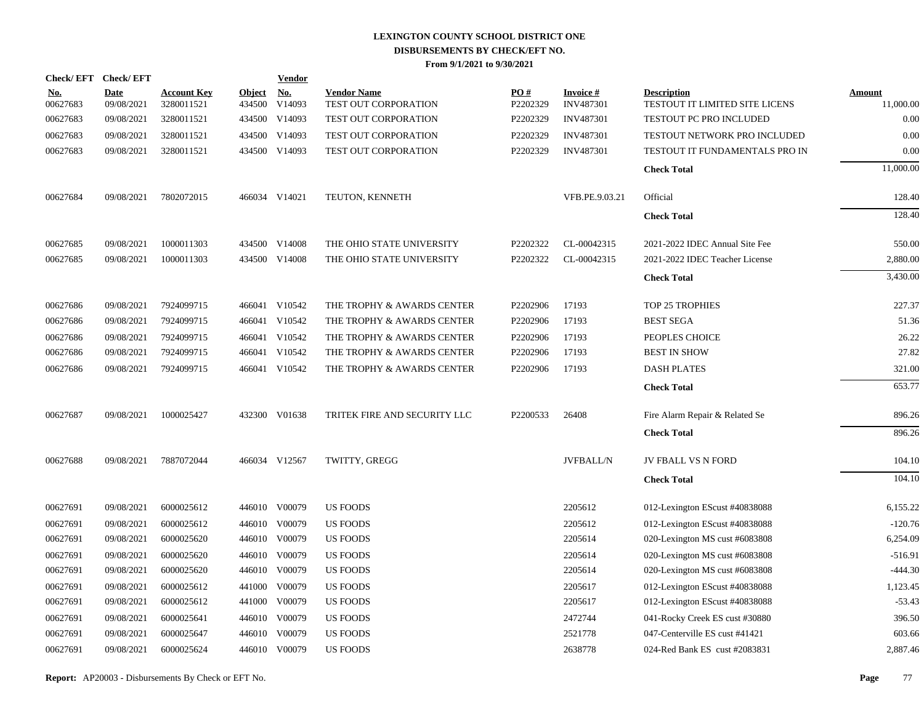|                        | Check/EFT Check/EFT       |                                  |                         | <b>Vendor</b>                         |                                            |                 |                                     |                                                      |                            |
|------------------------|---------------------------|----------------------------------|-------------------------|---------------------------------------|--------------------------------------------|-----------------|-------------------------------------|------------------------------------------------------|----------------------------|
| <u>No.</u><br>00627683 | <b>Date</b><br>09/08/2021 | <b>Account Key</b><br>3280011521 | <b>Object</b><br>434500 | $\underline{\textbf{No}}$ .<br>V14093 | <b>Vendor Name</b><br>TEST OUT CORPORATION | PO#<br>P2202329 | <b>Invoice#</b><br><b>INV487301</b> | <b>Description</b><br>TESTOUT IT LIMITED SITE LICENS | <b>Amount</b><br>11,000.00 |
| 00627683               | 09/08/2021                | 3280011521                       |                         | 434500 V14093                         | TEST OUT CORPORATION                       | P2202329        | <b>INV487301</b>                    | TESTOUT PC PRO INCLUDED                              | 0.00                       |
| 00627683               | 09/08/2021                | 3280011521                       |                         | 434500 V14093                         | TEST OUT CORPORATION                       | P2202329        | INV487301                           | TESTOUT NETWORK PRO INCLUDED                         | 0.00                       |
| 00627683               | 09/08/2021                | 3280011521                       |                         | 434500 V14093                         | TEST OUT CORPORATION                       | P2202329        | <b>INV487301</b>                    | TESTOUT IT FUNDAMENTALS PRO IN                       | 0.00                       |
|                        |                           |                                  |                         |                                       |                                            |                 |                                     | <b>Check Total</b>                                   | 11,000.00                  |
| 00627684               | 09/08/2021                | 7802072015                       |                         | 466034 V14021                         | TEUTON, KENNETH                            |                 | VFB.PE.9.03.21                      | Official                                             | 128.40                     |
|                        |                           |                                  |                         |                                       |                                            |                 |                                     | <b>Check Total</b>                                   | 128.40                     |
| 00627685               | 09/08/2021                | 1000011303                       |                         | 434500 V14008                         | THE OHIO STATE UNIVERSITY                  | P2202322        | CL-00042315                         | 2021-2022 IDEC Annual Site Fee                       | 550.00                     |
| 00627685               | 09/08/2021                | 1000011303                       |                         | 434500 V14008                         | THE OHIO STATE UNIVERSITY                  | P2202322        | CL-00042315                         | 2021-2022 IDEC Teacher License                       | 2,880.00                   |
|                        |                           |                                  |                         |                                       |                                            |                 |                                     | <b>Check Total</b>                                   | 3,430.00                   |
| 00627686               | 09/08/2021                | 7924099715                       |                         | 466041 V10542                         | THE TROPHY & AWARDS CENTER                 | P2202906        | 17193                               | TOP 25 TROPHIES                                      | 227.37                     |
| 00627686               | 09/08/2021                | 7924099715                       |                         | 466041 V10542                         | THE TROPHY & AWARDS CENTER                 | P2202906        | 17193                               | <b>BEST SEGA</b>                                     | 51.36                      |
| 00627686               | 09/08/2021                | 7924099715                       |                         | 466041 V10542                         | THE TROPHY & AWARDS CENTER                 | P2202906        | 17193                               | PEOPLES CHOICE                                       | 26.22                      |
| 00627686               | 09/08/2021                | 7924099715                       |                         | 466041 V10542                         | THE TROPHY & AWARDS CENTER                 | P2202906        | 17193                               | <b>BEST IN SHOW</b>                                  | 27.82                      |
| 00627686               | 09/08/2021                | 7924099715                       |                         | 466041 V10542                         | THE TROPHY & AWARDS CENTER                 | P2202906        | 17193                               | <b>DASH PLATES</b>                                   | 321.00                     |
|                        |                           |                                  |                         |                                       |                                            |                 |                                     | <b>Check Total</b>                                   | 653.77                     |
| 00627687               | 09/08/2021                | 1000025427                       |                         | 432300 V01638                         | TRITEK FIRE AND SECURITY LLC               | P2200533        | 26408                               | Fire Alarm Repair & Related Se                       | 896.26                     |
|                        |                           |                                  |                         |                                       |                                            |                 |                                     | <b>Check Total</b>                                   | 896.26                     |
| 00627688               | 09/08/2021                | 7887072044                       |                         | 466034 V12567                         | TWITTY, GREGG                              |                 | <b>JVFBALL/N</b>                    | <b>JV FBALL VS N FORD</b>                            | 104.10                     |
|                        |                           |                                  |                         |                                       |                                            |                 |                                     | <b>Check Total</b>                                   | 104.10                     |
| 00627691               | 09/08/2021                | 6000025612                       |                         | 446010 V00079                         | <b>US FOODS</b>                            |                 | 2205612                             | 012-Lexington EScust #40838088                       | 6,155.22                   |
| 00627691               | 09/08/2021                | 6000025612                       |                         | 446010 V00079                         | <b>US FOODS</b>                            |                 | 2205612                             | 012-Lexington EScust #40838088                       | $-120.76$                  |
| 00627691               | 09/08/2021                | 6000025620                       |                         | 446010 V00079                         | US FOODS                                   |                 | 2205614                             | 020-Lexington MS cust #6083808                       | 6,254.09                   |
| 00627691               | 09/08/2021                | 6000025620                       |                         | 446010 V00079                         | <b>US FOODS</b>                            |                 | 2205614                             | 020-Lexington MS cust #6083808                       | $-516.91$                  |
| 00627691               | 09/08/2021                | 6000025620                       |                         | 446010 V00079                         | <b>US FOODS</b>                            |                 | 2205614                             | 020-Lexington MS cust #6083808                       | $-444.30$                  |
| 00627691               | 09/08/2021                | 6000025612                       |                         | 441000 V00079                         | <b>US FOODS</b>                            |                 | 2205617                             | 012-Lexington EScust #40838088                       | 1,123.45                   |
| 00627691               | 09/08/2021                | 6000025612                       |                         | 441000 V00079                         | <b>US FOODS</b>                            |                 | 2205617                             | 012-Lexington EScust #40838088                       | $-53.43$                   |
| 00627691               | 09/08/2021                | 6000025641                       |                         | 446010 V00079                         | <b>US FOODS</b>                            |                 | 2472744                             | 041-Rocky Creek ES cust #30880                       | 396.50                     |
| 00627691               | 09/08/2021                | 6000025647                       |                         | 446010 V00079                         | <b>US FOODS</b>                            |                 | 2521778                             | 047-Centerville ES cust #41421                       | 603.66                     |
| 00627691               | 09/08/2021                | 6000025624                       |                         | 446010 V00079                         | <b>US FOODS</b>                            |                 | 2638778                             | 024-Red Bank ES cust #2083831                        | 2,887.46                   |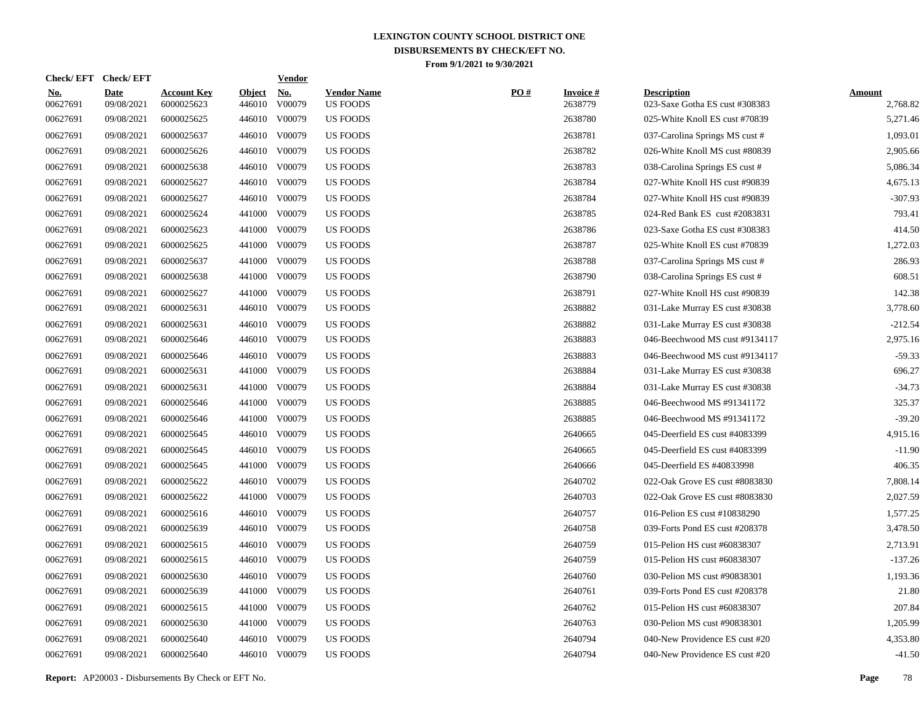| Check/EFT Check/EFT    |                           |                                  |                         | <b>Vendor</b> |                                       |     |                            |                                                      |                           |
|------------------------|---------------------------|----------------------------------|-------------------------|---------------|---------------------------------------|-----|----------------------------|------------------------------------------------------|---------------------------|
| <u>No.</u><br>00627691 | <b>Date</b><br>09/08/2021 | <b>Account Key</b><br>6000025623 | <b>Object</b><br>446010 | No.<br>V00079 | <b>Vendor Name</b><br><b>US FOODS</b> | PO# | <b>Invoice#</b><br>2638779 | <b>Description</b><br>023-Saxe Gotha ES cust #308383 | <b>Amount</b><br>2,768.82 |
| 00627691               | 09/08/2021                | 6000025625                       | 446010                  | V00079        | <b>US FOODS</b>                       |     | 2638780                    | 025-White Knoll ES cust #70839                       | 5,271.46                  |
| 00627691               | 09/08/2021                | 6000025637                       | 446010                  | V00079        | <b>US FOODS</b>                       |     | 2638781                    | 037-Carolina Springs MS cust #                       | 1,093.01                  |
| 00627691               | 09/08/2021                | 6000025626                       | 446010                  | V00079        | <b>US FOODS</b>                       |     | 2638782                    | 026-White Knoll MS cust #80839                       | 2,905.66                  |
| 00627691               | 09/08/2021                | 6000025638                       | 446010                  | V00079        | <b>US FOODS</b>                       |     | 2638783                    | 038-Carolina Springs ES cust #                       | 5,086.34                  |
| 00627691               | 09/08/2021                | 6000025627                       | 446010                  | V00079        | <b>US FOODS</b>                       |     | 2638784                    | 027-White Knoll HS cust #90839                       | 4,675.13                  |
| 00627691               | 09/08/2021                | 6000025627                       | 446010                  | V00079        | <b>US FOODS</b>                       |     | 2638784                    | 027-White Knoll HS cust #90839                       | $-307.93$                 |
| 00627691               | 09/08/2021                | 6000025624                       | 441000                  | V00079        | <b>US FOODS</b>                       |     | 2638785                    | 024-Red Bank ES cust #2083831                        | 793.41                    |
| 00627691               | 09/08/2021                | 6000025623                       | 441000                  | V00079        | <b>US FOODS</b>                       |     | 2638786                    | 023-Saxe Gotha ES cust #308383                       | 414.50                    |
| 00627691               | 09/08/2021                | 6000025625                       | 441000                  | V00079        | <b>US FOODS</b>                       |     | 2638787                    | 025-White Knoll ES cust #70839                       | 1,272.03                  |
| 00627691               | 09/08/2021                | 6000025637                       | 441000                  | V00079        | <b>US FOODS</b>                       |     | 2638788                    | 037-Carolina Springs MS cust #                       | 286.93                    |
| 00627691               | 09/08/2021                | 6000025638                       | 441000                  | V00079        | <b>US FOODS</b>                       |     | 2638790                    | 038-Carolina Springs ES cust #                       | 608.51                    |
| 00627691               | 09/08/2021                | 6000025627                       | 441000                  | V00079        | <b>US FOODS</b>                       |     | 2638791                    | 027-White Knoll HS cust #90839                       | 142.38                    |
| 00627691               | 09/08/2021                | 6000025631                       | 446010                  | V00079        | <b>US FOODS</b>                       |     | 2638882                    | 031-Lake Murray ES cust #30838                       | 3,778.60                  |
| 00627691               | 09/08/2021                | 6000025631                       | 446010                  | V00079        | <b>US FOODS</b>                       |     | 2638882                    | 031-Lake Murray ES cust #30838                       | $-212.54$                 |
| 00627691               | 09/08/2021                | 6000025646                       | 446010                  | V00079        | <b>US FOODS</b>                       |     | 2638883                    | 046-Beechwood MS cust #9134117                       | 2,975.16                  |
| 00627691               | 09/08/2021                | 6000025646                       | 446010                  | V00079        | <b>US FOODS</b>                       |     | 2638883                    | 046-Beechwood MS cust #9134117                       | $-59.33$                  |
| 00627691               | 09/08/2021                | 6000025631                       | 441000                  | V00079        | <b>US FOODS</b>                       |     | 2638884                    | 031-Lake Murray ES cust #30838                       | 696.27                    |
| 00627691               | 09/08/2021                | 6000025631                       | 441000                  | V00079        | <b>US FOODS</b>                       |     | 2638884                    | 031-Lake Murray ES cust #30838                       | $-34.73$                  |
| 00627691               | 09/08/2021                | 6000025646                       | 441000                  | V00079        | <b>US FOODS</b>                       |     | 2638885                    | 046-Beechwood MS #91341172                           | 325.37                    |
| 00627691               | 09/08/2021                | 6000025646                       | 441000                  | V00079        | <b>US FOODS</b>                       |     | 2638885                    | 046-Beechwood MS #91341172                           | $-39.20$                  |
| 00627691               | 09/08/2021                | 6000025645                       |                         | 446010 V00079 | <b>US FOODS</b>                       |     | 2640665                    | 045-Deerfield ES cust #4083399                       | 4,915.16                  |
| 00627691               | 09/08/2021                | 6000025645                       | 446010                  | V00079        | <b>US FOODS</b>                       |     | 2640665                    | 045-Deerfield ES cust #4083399                       | $-11.90$                  |
| 00627691               | 09/08/2021                | 6000025645                       | 441000                  | V00079        | <b>US FOODS</b>                       |     | 2640666                    | 045-Deerfield ES #40833998                           | 406.35                    |
| 00627691               | 09/08/2021                | 6000025622                       | 446010                  | V00079        | <b>US FOODS</b>                       |     | 2640702                    | 022-Oak Grove ES cust #8083830                       | 7,808.14                  |
| 00627691               | 09/08/2021                | 6000025622                       | 441000                  | V00079        | <b>US FOODS</b>                       |     | 2640703                    | 022-Oak Grove ES cust #8083830                       | 2,027.59                  |
| 00627691               | 09/08/2021                | 6000025616                       | 446010                  | V00079        | <b>US FOODS</b>                       |     | 2640757                    | 016-Pelion ES cust #10838290                         | 1,577.25                  |
| 00627691               | 09/08/2021                | 6000025639                       | 446010                  | V00079        | <b>US FOODS</b>                       |     | 2640758                    | 039-Forts Pond ES cust #208378                       | 3,478.50                  |
| 00627691               | 09/08/2021                | 6000025615                       | 446010                  | V00079        | <b>US FOODS</b>                       |     | 2640759                    | 015-Pelion HS cust #60838307                         | 2,713.91                  |
| 00627691               | 09/08/2021                | 6000025615                       | 446010                  | V00079        | <b>US FOODS</b>                       |     | 2640759                    | 015-Pelion HS cust #60838307                         | $-137.26$                 |
| 00627691               | 09/08/2021                | 6000025630                       | 446010                  | V00079        | <b>US FOODS</b>                       |     | 2640760                    | 030-Pelion MS cust #90838301                         | 1,193.36                  |
| 00627691               | 09/08/2021                | 6000025639                       | 441000                  | V00079        | <b>US FOODS</b>                       |     | 2640761                    | 039-Forts Pond ES cust #208378                       | 21.80                     |
| 00627691               | 09/08/2021                | 6000025615                       | 441000                  | V00079        | <b>US FOODS</b>                       |     | 2640762                    | 015-Pelion HS cust #60838307                         | 207.84                    |
| 00627691               | 09/08/2021                | 6000025630                       | 441000                  | V00079        | <b>US FOODS</b>                       |     | 2640763                    | 030-Pelion MS cust #90838301                         | 1,205.99                  |
| 00627691               | 09/08/2021                | 6000025640                       | 446010                  | V00079        | <b>US FOODS</b>                       |     | 2640794                    | 040-New Providence ES cust #20                       | 4,353.80                  |
| 00627691               | 09/08/2021                | 6000025640                       |                         | 446010 V00079 | <b>US FOODS</b>                       |     | 2640794                    | 040-New Providence ES cust #20                       | $-41.50$                  |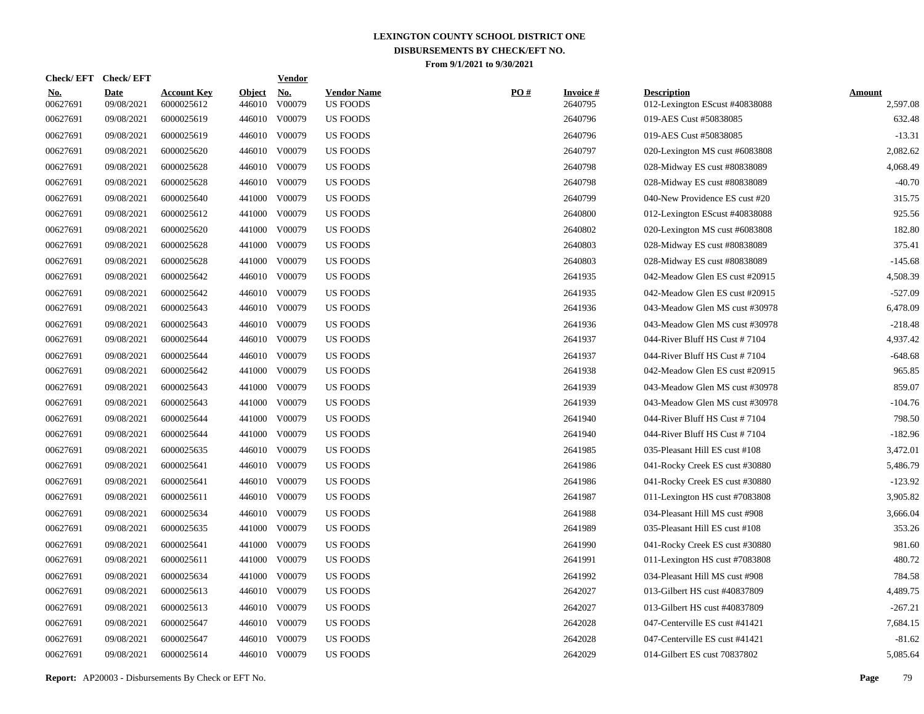| <b>Check/EFT</b>       | <b>Check/EFT</b>          |                                  |                         | <u>Vendor</u>        |                                       |     |                            |                                                      |                           |
|------------------------|---------------------------|----------------------------------|-------------------------|----------------------|---------------------------------------|-----|----------------------------|------------------------------------------------------|---------------------------|
| <u>No.</u><br>00627691 | <b>Date</b><br>09/08/2021 | <b>Account Key</b><br>6000025612 | <b>Object</b><br>446010 | <u>No.</u><br>V00079 | <b>Vendor Name</b><br><b>US FOODS</b> | PO# | <b>Invoice#</b><br>2640795 | <b>Description</b><br>012-Lexington EScust #40838088 | <b>Amount</b><br>2,597.08 |
| 00627691               | 09/08/2021                | 6000025619                       | 446010                  | V00079               | <b>US FOODS</b>                       |     | 2640796                    | 019-AES Cust #50838085                               | 632.48                    |
| 00627691               | 09/08/2021                | 6000025619                       | 446010                  | V00079               | US FOODS                              |     | 2640796                    | 019-AES Cust #50838085                               | $-13.31$                  |
| 00627691               | 09/08/2021                | 6000025620                       | 446010                  | V00079               | <b>US FOODS</b>                       |     | 2640797                    | 020-Lexington MS cust #6083808                       | 2,082.62                  |
| 00627691               | 09/08/2021                | 6000025628                       | 446010                  | V00079               | <b>US FOODS</b>                       |     | 2640798                    | 028-Midway ES cust #80838089                         | 4,068.49                  |
| 00627691               | 09/08/2021                | 6000025628                       | 446010                  | V00079               | <b>US FOODS</b>                       |     | 2640798                    | 028-Midway ES cust #80838089                         | $-40.70$                  |
| 00627691               | 09/08/2021                | 6000025640                       | 441000                  | V00079               | <b>US FOODS</b>                       |     | 2640799                    | 040-New Providence ES cust #20                       | 315.75                    |
| 00627691               | 09/08/2021                | 6000025612                       | 441000                  | V00079               | US FOODS                              |     | 2640800                    | 012-Lexington EScust #40838088                       | 925.56                    |
| 00627691               | 09/08/2021                | 6000025620                       | 441000                  | V00079               | US FOODS                              |     | 2640802                    | 020-Lexington MS cust #6083808                       | 182.80                    |
| 00627691               | 09/08/2021                | 6000025628                       | 441000                  | V00079               | US FOODS                              |     | 2640803                    | 028-Midway ES cust #80838089                         | 375.41                    |
| 00627691               | 09/08/2021                | 6000025628                       | 441000                  | V00079               | US FOODS                              |     | 2640803                    | 028-Midway ES cust #80838089                         | $-145.68$                 |
| 00627691               | 09/08/2021                | 6000025642                       | 446010                  | V00079               | <b>US FOODS</b>                       |     | 2641935                    | 042-Meadow Glen ES cust #20915                       | 4,508.39                  |
| 00627691               | 09/08/2021                | 6000025642                       |                         | 446010 V00079        | <b>US FOODS</b>                       |     | 2641935                    | 042-Meadow Glen ES cust #20915                       | $-527.09$                 |
| 00627691               | 09/08/2021                | 6000025643                       | 446010                  | V00079               | <b>US FOODS</b>                       |     | 2641936                    | 043-Meadow Glen MS cust #30978                       | 6,478.09                  |
| 00627691               | 09/08/2021                | 6000025643                       | 446010                  | V00079               | US FOODS                              |     | 2641936                    | 043-Meadow Glen MS cust #30978                       | $-218.48$                 |
| 00627691               | 09/08/2021                | 6000025644                       |                         | 446010 V00079        | US FOODS                              |     | 2641937                    | 044-River Bluff HS Cust #7104                        | 4,937.42                  |
| 00627691               | 09/08/2021                | 6000025644                       | 446010                  | V00079               | US FOODS                              |     | 2641937                    | 044-River Bluff HS Cust $#7104$                      | -648.68                   |
| 00627691               | 09/08/2021                | 6000025642                       | 441000                  | V00079               | <b>US FOODS</b>                       |     | 2641938                    | 042-Meadow Glen ES cust #20915                       | 965.85                    |
| 00627691               | 09/08/2021                | 6000025643                       | 441000                  | V00079               | <b>US FOODS</b>                       |     | 2641939                    | 043-Meadow Glen MS cust #30978                       | 859.07                    |
| 00627691               | 09/08/2021                | 6000025643                       | 441000                  | V00079               | <b>US FOODS</b>                       |     | 2641939                    | 043-Meadow Glen MS cust #30978                       | $-104.76$                 |
| 00627691               | 09/08/2021                | 6000025644                       | 441000                  | V00079               | <b>US FOODS</b>                       |     | 2641940                    | 044-River Bluff HS Cust #7104                        | 798.50                    |
| 00627691               | 09/08/2021                | 6000025644                       | 441000                  | V00079               | US FOODS                              |     | 2641940                    | 044-River Bluff HS Cust #7104                        | $-182.96$                 |
| 00627691               | 09/08/2021                | 6000025635                       | 446010                  | V00079               | US FOODS                              |     | 2641985                    | 035-Pleasant Hill ES cust #108                       | 3,472.01                  |
| 00627691               | 09/08/2021                | 6000025641                       | 446010                  | V00079               | US FOODS                              |     | 2641986                    | 041-Rocky Creek ES cust #30880                       | 5,486.79                  |
| 00627691               | 09/08/2021                | 6000025641                       | 446010                  | V00079               | US FOODS                              |     | 2641986                    | 041-Rocky Creek ES cust #30880                       | $-123.92$                 |
| 00627691               | 09/08/2021                | 6000025611                       | 446010                  | V00079               | <b>US FOODS</b>                       |     | 2641987                    | 011-Lexington HS cust #7083808                       | 3,905.82                  |
| 00627691               | 09/08/2021                | 6000025634                       | 446010                  | V00079               | <b>US FOODS</b>                       |     | 2641988                    | 034-Pleasant Hill MS cust #908                       | 3,666.04                  |
| 00627691               | 09/08/2021                | 6000025635                       | 441000                  | V00079               | <b>US FOODS</b>                       |     | 2641989                    | 035-Pleasant Hill ES cust #108                       | 353.26                    |
| 00627691               | 09/08/2021                | 6000025641                       | 441000                  | V00079               | US FOODS                              |     | 2641990                    | 041-Rocky Creek ES cust #30880                       | 981.60                    |
| 00627691               | 09/08/2021                | 6000025611                       | 441000                  | V00079               | <b>US FOODS</b>                       |     | 2641991                    | 011-Lexington HS cust #7083808                       | 480.72                    |
| 00627691               | 09/08/2021                | 6000025634                       | 441000                  | V00079               | US FOODS                              |     | 2641992                    | 034-Pleasant Hill MS cust #908                       | 784.58                    |
| 00627691               | 09/08/2021                | 6000025613                       | 446010                  | V00079               | <b>US FOODS</b>                       |     | 2642027                    | 013-Gilbert HS cust #40837809                        | 4,489.75                  |
| 00627691               | 09/08/2021                | 6000025613                       |                         | 446010 V00079        | <b>US FOODS</b>                       |     | 2642027                    | 013-Gilbert HS cust #40837809                        | $-267.21$                 |
| 00627691               | 09/08/2021                | 6000025647                       |                         | 446010 V00079        | <b>US FOODS</b>                       |     | 2642028                    | 047-Centerville ES cust #41421                       | 7,684.15                  |
| 00627691               | 09/08/2021                | 6000025647                       | 446010                  | V00079               | <b>US FOODS</b>                       |     | 2642028                    | 047-Centerville ES cust #41421                       | $-81.62$                  |
| 00627691               | 09/08/2021                | 6000025614                       |                         | 446010 V00079        | <b>US FOODS</b>                       |     | 2642029                    | 014-Gilbert ES cust 70837802                         | 5,085.64                  |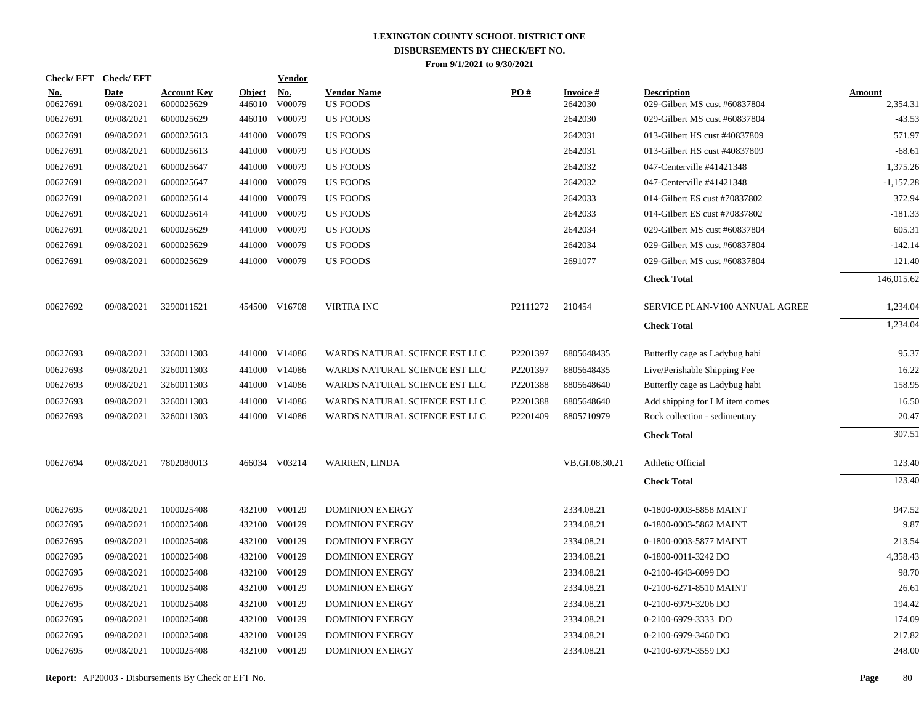|                   | Check/EFT Check/EFT       |                                  |                         | <u>Vendor</u>        |                                       |          |                            |                                                     |                           |
|-------------------|---------------------------|----------------------------------|-------------------------|----------------------|---------------------------------------|----------|----------------------------|-----------------------------------------------------|---------------------------|
| $No.$<br>00627691 | <b>Date</b><br>09/08/2021 | <b>Account Key</b><br>6000025629 | <b>Object</b><br>446010 | <u>No.</u><br>V00079 | <b>Vendor Name</b><br><b>US FOODS</b> | PO#      | <b>Invoice#</b><br>2642030 | <b>Description</b><br>029-Gilbert MS cust #60837804 | <b>Amount</b><br>2,354.31 |
| 00627691          | 09/08/2021                | 6000025629                       |                         | 446010 V00079        | <b>US FOODS</b>                       |          | 2642030                    | 029-Gilbert MS cust #60837804                       | $-43.53$                  |
| 00627691          | 09/08/2021                | 6000025613                       |                         | 441000 V00079        | <b>US FOODS</b>                       |          | 2642031                    | 013-Gilbert HS cust #40837809                       | 571.97                    |
| 00627691          | 09/08/2021                | 6000025613                       |                         | 441000 V00079        | US FOODS                              |          | 2642031                    | 013-Gilbert HS cust #40837809                       | $-68.61$                  |
| 00627691          | 09/08/2021                | 6000025647                       |                         | 441000 V00079        | US FOODS                              |          | 2642032                    | 047-Centerville #41421348                           | 1,375.26                  |
| 00627691          | 09/08/2021                | 6000025647                       |                         | 441000 V00079        | <b>US FOODS</b>                       |          | 2642032                    | 047-Centerville #41421348                           | $-1,157.28$               |
| 00627691          | 09/08/2021                | 6000025614                       |                         | 441000 V00079        | <b>US FOODS</b>                       |          | 2642033                    | 014-Gilbert ES cust #70837802                       | 372.94                    |
| 00627691          | 09/08/2021                | 6000025614                       |                         | 441000 V00079        | <b>US FOODS</b>                       |          | 2642033                    | 014-Gilbert ES cust #70837802                       | $-181.33$                 |
| 00627691          | 09/08/2021                | 6000025629                       |                         | 441000 V00079        | US FOODS                              |          | 2642034                    | 029-Gilbert MS cust #60837804                       | 605.31                    |
| 00627691          | 09/08/2021                | 6000025629                       |                         | 441000 V00079        | <b>US FOODS</b>                       |          | 2642034                    | 029-Gilbert MS cust #60837804                       | $-142.14$                 |
| 00627691          | 09/08/2021                | 6000025629                       |                         | 441000 V00079        | <b>US FOODS</b>                       |          | 2691077                    | 029-Gilbert MS cust #60837804                       | 121.40                    |
|                   |                           |                                  |                         |                      |                                       |          |                            | <b>Check Total</b>                                  | 146,015.62                |
| 00627692          | 09/08/2021                | 3290011521                       |                         | 454500 V16708        | <b>VIRTRA INC</b>                     | P2111272 | 210454                     | SERVICE PLAN-V100 ANNUAL AGREE                      | 1,234.04                  |
|                   |                           |                                  |                         |                      |                                       |          |                            | <b>Check Total</b>                                  | 1,234.04                  |
| 00627693          | 09/08/2021                | 3260011303                       |                         | 441000 V14086        | WARDS NATURAL SCIENCE EST LLC         | P2201397 | 8805648435                 | Butterfly cage as Ladybug habi                      | 95.37                     |
| 00627693          | 09/08/2021                | 3260011303                       |                         | 441000 V14086        | WARDS NATURAL SCIENCE EST LLC         | P2201397 | 8805648435                 | Live/Perishable Shipping Fee                        | 16.22                     |
| 00627693          | 09/08/2021                | 3260011303                       |                         | 441000 V14086        | WARDS NATURAL SCIENCE EST LLC         | P2201388 | 8805648640                 | Butterfly cage as Ladybug habi                      | 158.95                    |
| 00627693          | 09/08/2021                | 3260011303                       |                         | 441000 V14086        | WARDS NATURAL SCIENCE EST LLC         | P2201388 | 8805648640                 | Add shipping for LM item comes                      | 16.50                     |
| 00627693          | 09/08/2021                | 3260011303                       |                         | 441000 V14086        | WARDS NATURAL SCIENCE EST LLC         | P2201409 | 8805710979                 | Rock collection - sedimentary                       | 20.47                     |
|                   |                           |                                  |                         |                      |                                       |          |                            | <b>Check Total</b>                                  | 307.51                    |
| 00627694          | 09/08/2021                | 7802080013                       |                         | 466034 V03214        | WARREN, LINDA                         |          | VB.GI.08.30.21             | Athletic Official                                   | 123.40                    |
|                   |                           |                                  |                         |                      |                                       |          |                            | <b>Check Total</b>                                  | 123.40                    |
| 00627695          | 09/08/2021                | 1000025408                       |                         | 432100 V00129        | <b>DOMINION ENERGY</b>                |          | 2334.08.21                 | 0-1800-0003-5858 MAINT                              | 947.52                    |
| 00627695          | 09/08/2021                | 1000025408                       |                         | 432100 V00129        | <b>DOMINION ENERGY</b>                |          | 2334.08.21                 | 0-1800-0003-5862 MAINT                              | 9.87                      |
| 00627695          | 09/08/2021                | 1000025408                       |                         | 432100 V00129        | <b>DOMINION ENERGY</b>                |          | 2334.08.21                 | 0-1800-0003-5877 MAINT                              | 213.54                    |
| 00627695          | 09/08/2021                | 1000025408                       |                         | 432100 V00129        | <b>DOMINION ENERGY</b>                |          | 2334.08.21                 | 0-1800-0011-3242 DO                                 | 4,358.43                  |
| 00627695          | 09/08/2021                | 1000025408                       |                         | 432100 V00129        | <b>DOMINION ENERGY</b>                |          | 2334.08.21                 | 0-2100-4643-6099 DO                                 | 98.70                     |
| 00627695          | 09/08/2021                | 1000025408                       |                         | 432100 V00129        | DOMINION ENERGY                       |          | 2334.08.21                 | 0-2100-6271-8510 MAINT                              | 26.61                     |
| 00627695          | 09/08/2021                | 1000025408                       |                         | 432100 V00129        | <b>DOMINION ENERGY</b>                |          | 2334.08.21                 | 0-2100-6979-3206 DO                                 | 194.42                    |
| 00627695          | 09/08/2021                | 1000025408                       |                         | 432100 V00129        | <b>DOMINION ENERGY</b>                |          | 2334.08.21                 | 0-2100-6979-3333 DO                                 | 174.09                    |
| 00627695          | 09/08/2021                | 1000025408                       | 432100                  | V00129               | <b>DOMINION ENERGY</b>                |          | 2334.08.21                 | 0-2100-6979-3460 DO                                 | 217.82                    |
| 00627695          | 09/08/2021                | 1000025408                       |                         | 432100 V00129        | <b>DOMINION ENERGY</b>                |          | 2334.08.21                 | 0-2100-6979-3559 DO                                 | 248.00                    |
|                   |                           |                                  |                         |                      |                                       |          |                            |                                                     |                           |

**Report:** AP20003 - Disbursements By Check or EFT No. **Page** 80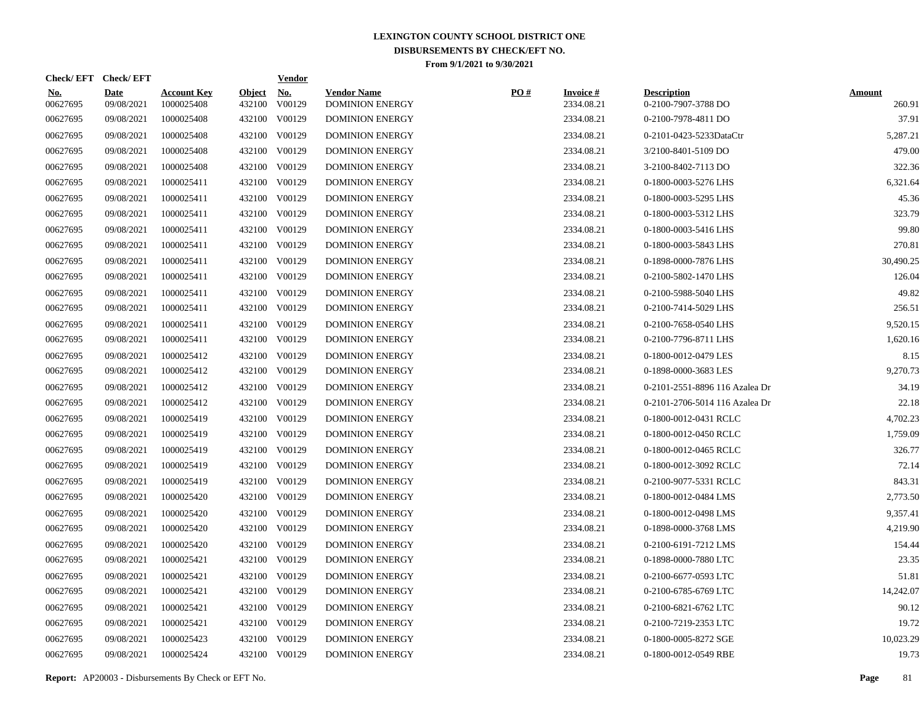| <b>Check/EFT</b>  | <b>Check/EFT</b>          |                                  |                         | <b>Vendor</b>        |                                              |     |                               |                                           |                         |
|-------------------|---------------------------|----------------------------------|-------------------------|----------------------|----------------------------------------------|-----|-------------------------------|-------------------------------------------|-------------------------|
| $No.$<br>00627695 | <b>Date</b><br>09/08/2021 | <b>Account Key</b><br>1000025408 | <b>Object</b><br>432100 | <u>No.</u><br>V00129 | <b>Vendor Name</b><br><b>DOMINION ENERGY</b> | PO# | <b>Invoice#</b><br>2334.08.21 | <b>Description</b><br>0-2100-7907-3788 DO | <b>Amount</b><br>260.91 |
| 00627695          | 09/08/2021                | 1000025408                       | 432100                  | V00129               | <b>DOMINION ENERGY</b>                       |     | 2334.08.21                    | 0-2100-7978-4811 DO                       | 37.91                   |
| 00627695          | 09/08/2021                | 1000025408                       | 432100                  | V00129               | <b>DOMINION ENERGY</b>                       |     | 2334.08.21                    | 0-2101-0423-5233DataCtr                   | 5,287.21                |
| 00627695          | 09/08/2021                | 1000025408                       | 432100                  | V00129               | <b>DOMINION ENERGY</b>                       |     | 2334.08.21                    | 3/2100-8401-5109 DO                       | 479.00                  |
| 00627695          | 09/08/2021                | 1000025408                       |                         | 432100 V00129        | <b>DOMINION ENERGY</b>                       |     | 2334.08.21                    | 3-2100-8402-7113 DO                       | 322.36                  |
| 00627695          | 09/08/2021                | 1000025411                       | 432100                  | V00129               | <b>DOMINION ENERGY</b>                       |     | 2334.08.21                    | 0-1800-0003-5276 LHS                      | 6,321.64                |
| 00627695          | 09/08/2021                | 1000025411                       |                         | 432100 V00129        | <b>DOMINION ENERGY</b>                       |     | 2334.08.21                    | 0-1800-0003-5295 LHS                      | 45.36                   |
| 00627695          | 09/08/2021                | 1000025411                       | 432100                  | V00129               | <b>DOMINION ENERGY</b>                       |     | 2334.08.21                    | 0-1800-0003-5312 LHS                      | 323.79                  |
| 00627695          | 09/08/2021                | 1000025411                       |                         | 432100 V00129        | <b>DOMINION ENERGY</b>                       |     | 2334.08.21                    | 0-1800-0003-5416 LHS                      | 99.80                   |
| 00627695          | 09/08/2021                | 1000025411                       | 432100                  | V00129               | <b>DOMINION ENERGY</b>                       |     | 2334.08.21                    | 0-1800-0003-5843 LHS                      | 270.81                  |
| 00627695          | 09/08/2021                | 1000025411                       | 432100                  | V00129               | <b>DOMINION ENERGY</b>                       |     | 2334.08.21                    | 0-1898-0000-7876 LHS                      | 30,490.25               |
| 00627695          | 09/08/2021                | 1000025411                       |                         | 432100 V00129        | <b>DOMINION ENERGY</b>                       |     | 2334.08.21                    | 0-2100-5802-1470 LHS                      | 126.04                  |
| 00627695          | 09/08/2021                | 1000025411                       | 432100                  | V00129               | <b>DOMINION ENERGY</b>                       |     | 2334.08.21                    | 0-2100-5988-5040 LHS                      | 49.82                   |
| 00627695          | 09/08/2021                | 1000025411                       |                         | 432100 V00129        | <b>DOMINION ENERGY</b>                       |     | 2334.08.21                    | 0-2100-7414-5029 LHS                      | 256.51                  |
| 00627695          | 09/08/2021                | 1000025411                       | 432100                  | V00129               | <b>DOMINION ENERGY</b>                       |     | 2334.08.21                    | 0-2100-7658-0540 LHS                      | 9,520.15                |
| 00627695          | 09/08/2021                | 1000025411                       |                         | 432100 V00129        | <b>DOMINION ENERGY</b>                       |     | 2334.08.21                    | 0-2100-7796-8711 LHS                      | 1,620.16                |
| 00627695          | 09/08/2021                | 1000025412                       | 432100                  | V00129               | <b>DOMINION ENERGY</b>                       |     | 2334.08.21                    | 0-1800-0012-0479 LES                      | 8.15                    |
| 00627695          | 09/08/2021                | 1000025412                       | 432100                  | V00129               | <b>DOMINION ENERGY</b>                       |     | 2334.08.21                    | 0-1898-0000-3683 LES                      | 9,270.73                |
| 00627695          | 09/08/2021                | 1000025412                       | 432100                  | V00129               | <b>DOMINION ENERGY</b>                       |     | 2334.08.21                    | 0-2101-2551-8896 116 Azalea Dr            | 34.19                   |
| 00627695          | 09/08/2021                | 1000025412                       | 432100                  | V00129               | <b>DOMINION ENERGY</b>                       |     | 2334.08.21                    | 0-2101-2706-5014 116 Azalea Dr            | 22.18                   |
| 00627695          | 09/08/2021                | 1000025419                       | 432100                  | V00129               | <b>DOMINION ENERGY</b>                       |     | 2334.08.21                    | 0-1800-0012-0431 RCLC                     | 4,702.23                |
| 00627695          | 09/08/2021                | 1000025419                       | 432100                  | V00129               | <b>DOMINION ENERGY</b>                       |     | 2334.08.21                    | 0-1800-0012-0450 RCLC                     | 1,759.09                |
| 00627695          | 09/08/2021                | 1000025419                       | 432100                  | V00129               | <b>DOMINION ENERGY</b>                       |     | 2334.08.21                    | 0-1800-0012-0465 RCLC                     | 326.77                  |
| 00627695          | 09/08/2021                | 1000025419                       | 432100                  | V00129               | <b>DOMINION ENERGY</b>                       |     | 2334.08.21                    | 0-1800-0012-3092 RCLC                     | 72.14                   |
| 00627695          | 09/08/2021                | 1000025419                       | 432100                  | V00129               | <b>DOMINION ENERGY</b>                       |     | 2334.08.21                    | 0-2100-9077-5331 RCLC                     | 843.31                  |
| 00627695          | 09/08/2021                | 1000025420                       | 432100                  | V00129               | <b>DOMINION ENERGY</b>                       |     | 2334.08.21                    | 0-1800-0012-0484 LMS                      | 2,773.50                |
| 00627695          | 09/08/2021                | 1000025420                       | 432100                  | V00129               | <b>DOMINION ENERGY</b>                       |     | 2334.08.21                    | 0-1800-0012-0498 LMS                      | 9,357.41                |
| 00627695          | 09/08/2021                | 1000025420                       | 432100                  | V00129               | <b>DOMINION ENERGY</b>                       |     | 2334.08.21                    | 0-1898-0000-3768 LMS                      | 4,219.90                |
| 00627695          | 09/08/2021                | 1000025420                       | 432100                  | V00129               | <b>DOMINION ENERGY</b>                       |     | 2334.08.21                    | 0-2100-6191-7212 LMS                      | 154.44                  |
| 00627695          | 09/08/2021                | 1000025421                       | 432100                  | V00129               | <b>DOMINION ENERGY</b>                       |     | 2334.08.21                    | 0-1898-0000-7880 LTC                      | 23.35                   |
| 00627695          | 09/08/2021                | 1000025421                       | 432100                  | V00129               | <b>DOMINION ENERGY</b>                       |     | 2334.08.21                    | 0-2100-6677-0593 LTC                      | 51.81                   |
| 00627695          | 09/08/2021                | 1000025421                       | 432100                  | V00129               | <b>DOMINION ENERGY</b>                       |     | 2334.08.21                    | 0-2100-6785-6769 LTC                      | 14,242.07               |
| 00627695          | 09/08/2021                | 1000025421                       | 432100                  | V00129               | <b>DOMINION ENERGY</b>                       |     | 2334.08.21                    | 0-2100-6821-6762 LTC                      | 90.12                   |
| 00627695          | 09/08/2021                | 1000025421                       | 432100                  | V00129               | <b>DOMINION ENERGY</b>                       |     | 2334.08.21                    | 0-2100-7219-2353 LTC                      | 19.72                   |
| 00627695          | 09/08/2021                | 1000025423                       | 432100                  | V00129               | <b>DOMINION ENERGY</b>                       |     | 2334.08.21                    | 0-1800-0005-8272 SGE                      | 10,023.29               |
| 00627695          | 09/08/2021                | 1000025424                       |                         | 432100 V00129        | <b>DOMINION ENERGY</b>                       |     | 2334.08.21                    | 0-1800-0012-0549 RBE                      | 19.73                   |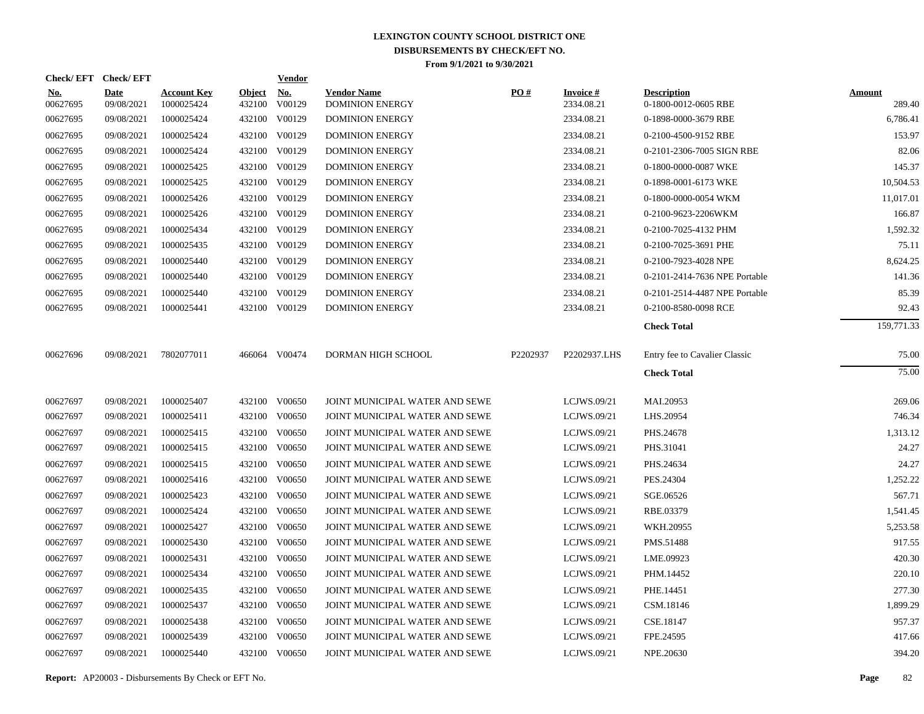| Check/EFT Check/EFT    |                           |                                  |                         | <b>Vendor</b>        |                                              |          |                               |                                            |                         |
|------------------------|---------------------------|----------------------------------|-------------------------|----------------------|----------------------------------------------|----------|-------------------------------|--------------------------------------------|-------------------------|
| <u>No.</u><br>00627695 | <b>Date</b><br>09/08/2021 | <b>Account Key</b><br>1000025424 | <b>Object</b><br>432100 | <u>No.</u><br>V00129 | <b>Vendor Name</b><br><b>DOMINION ENERGY</b> | PO#      | <b>Invoice#</b><br>2334.08.21 | <b>Description</b><br>0-1800-0012-0605 RBE | <b>Amount</b><br>289.40 |
| 00627695               | 09/08/2021                | 1000025424                       |                         | 432100 V00129        | <b>DOMINION ENERGY</b>                       |          | 2334.08.21                    | 0-1898-0000-3679 RBE                       | 6,786.41                |
| 00627695               | 09/08/2021                | 1000025424                       |                         | 432100 V00129        | <b>DOMINION ENERGY</b>                       |          | 2334.08.21                    | 0-2100-4500-9152 RBE                       | 153.97                  |
| 00627695               | 09/08/2021                | 1000025424                       |                         | 432100 V00129        | <b>DOMINION ENERGY</b>                       |          | 2334.08.21                    | 0-2101-2306-7005 SIGN RBE                  | 82.06                   |
| 00627695               | 09/08/2021                | 1000025425                       |                         | 432100 V00129        | <b>DOMINION ENERGY</b>                       |          | 2334.08.21                    | 0-1800-0000-0087 WKE                       | 145.37                  |
| 00627695               | 09/08/2021                | 1000025425                       |                         | 432100 V00129        | <b>DOMINION ENERGY</b>                       |          | 2334.08.21                    | 0-1898-0001-6173 WKE                       | 10,504.53               |
| 00627695               | 09/08/2021                | 1000025426                       |                         | 432100 V00129        | <b>DOMINION ENERGY</b>                       |          | 2334.08.21                    | 0-1800-0000-0054 WKM                       | 11,017.01               |
| 00627695               | 09/08/2021                | 1000025426                       |                         | 432100 V00129        | <b>DOMINION ENERGY</b>                       |          | 2334.08.21                    | 0-2100-9623-2206WKM                        | 166.87                  |
| 00627695               | 09/08/2021                | 1000025434                       |                         | 432100 V00129        | <b>DOMINION ENERGY</b>                       |          | 2334.08.21                    | 0-2100-7025-4132 PHM                       | 1,592.32                |
| 00627695               | 09/08/2021                | 1000025435                       |                         | 432100 V00129        | <b>DOMINION ENERGY</b>                       |          | 2334.08.21                    | 0-2100-7025-3691 PHE                       | 75.11                   |
| 00627695               | 09/08/2021                | 1000025440                       |                         | 432100 V00129        | <b>DOMINION ENERGY</b>                       |          | 2334.08.21                    | 0-2100-7923-4028 NPE                       | 8,624.25                |
| 00627695               | 09/08/2021                | 1000025440                       |                         | 432100 V00129        | <b>DOMINION ENERGY</b>                       |          | 2334.08.21                    | 0-2101-2414-7636 NPE Portable              | 141.36                  |
| 00627695               | 09/08/2021                | 1000025440                       |                         | 432100 V00129        | <b>DOMINION ENERGY</b>                       |          | 2334.08.21                    | 0-2101-2514-4487 NPE Portable              | 85.39                   |
| 00627695               | 09/08/2021                | 1000025441                       |                         | 432100 V00129        | <b>DOMINION ENERGY</b>                       |          | 2334.08.21                    | 0-2100-8580-0098 RCE                       | 92.43                   |
|                        |                           |                                  |                         |                      |                                              |          |                               | <b>Check Total</b>                         | 159,771.33              |
| 00627696               | 09/08/2021                | 7802077011                       |                         | 466064 V00474        | DORMAN HIGH SCHOOL                           | P2202937 | P2202937.LHS                  | Entry fee to Cavalier Classic              | 75.00                   |
|                        |                           |                                  |                         |                      |                                              |          |                               | <b>Check Total</b>                         | 75.00                   |
| 00627697               | 09/08/2021                | 1000025407                       |                         | 432100 V00650        | JOINT MUNICIPAL WATER AND SEWE               |          | LCJWS.09/21                   | MAI.20953                                  | 269.06                  |
| 00627697               | 09/08/2021                | 1000025411                       |                         | 432100 V00650        | JOINT MUNICIPAL WATER AND SEWE               |          | LCJWS.09/21                   | LHS.20954                                  | 746.34                  |
| 00627697               | 09/08/2021                | 1000025415                       |                         | 432100 V00650        | JOINT MUNICIPAL WATER AND SEWE               |          | LCJWS.09/21                   | PHS.24678                                  | 1,313.12                |
| 00627697               | 09/08/2021                | 1000025415                       |                         | 432100 V00650        | JOINT MUNICIPAL WATER AND SEWE               |          | LCJWS.09/21                   | PHS.31041                                  | 24.27                   |
| 00627697               | 09/08/2021                | 1000025415                       |                         | 432100 V00650        | JOINT MUNICIPAL WATER AND SEWE               |          | LCJWS.09/21                   | PHS.24634                                  | 24.27                   |
| 00627697               | 09/08/2021                | 1000025416                       |                         | 432100 V00650        | JOINT MUNICIPAL WATER AND SEWE               |          | LCJWS.09/21                   | PES.24304                                  | 1,252.22                |
| 00627697               | 09/08/2021                | 1000025423                       |                         | 432100 V00650        | JOINT MUNICIPAL WATER AND SEWE               |          | LCJWS.09/21                   | SGE.06526                                  | 567.71                  |
| 00627697               | 09/08/2021                | 1000025424                       |                         | 432100 V00650        | JOINT MUNICIPAL WATER AND SEWE               |          | LCJWS.09/21                   | RBE.03379                                  | 1,541.45                |
| 00627697               | 09/08/2021                | 1000025427                       |                         | 432100 V00650        | JOINT MUNICIPAL WATER AND SEWE               |          | LCJWS.09/21                   | WKH.20955                                  | 5,253.58                |
| 00627697               | 09/08/2021                | 1000025430                       |                         | 432100 V00650        | JOINT MUNICIPAL WATER AND SEWE               |          | LCJWS.09/21                   | PMS.51488                                  | 917.55                  |
| 00627697               | 09/08/2021                | 1000025431                       |                         | 432100 V00650        | JOINT MUNICIPAL WATER AND SEWE               |          | LCJWS.09/21                   | LME.09923                                  | 420.30                  |
| 00627697               | 09/08/2021                | 1000025434                       |                         | 432100 V00650        | JOINT MUNICIPAL WATER AND SEWE               |          | LCJWS.09/21                   | PHM.14452                                  | 220.10                  |
| 00627697               | 09/08/2021                | 1000025435                       |                         | 432100 V00650        | JOINT MUNICIPAL WATER AND SEWE               |          | LCJWS.09/21                   | PHE.14451                                  | 277.30                  |
| 00627697               | 09/08/2021                | 1000025437                       |                         | 432100 V00650        | JOINT MUNICIPAL WATER AND SEWE               |          | LCJWS.09/21                   | CSM.18146                                  | 1,899.29                |
| 00627697               | 09/08/2021                | 1000025438                       |                         | 432100 V00650        | JOINT MUNICIPAL WATER AND SEWE               |          | LCJWS.09/21                   | CSE.18147                                  | 957.37                  |
| 00627697               | 09/08/2021                | 1000025439                       |                         | 432100 V00650        | JOINT MUNICIPAL WATER AND SEWE               |          | LCJWS.09/21                   | FPE.24595                                  | 417.66                  |
| 00627697               | 09/08/2021                | 1000025440                       |                         | 432100 V00650        | JOINT MUNICIPAL WATER AND SEWE               |          | LCJWS.09/21                   | NPE.20630                                  | 394.20                  |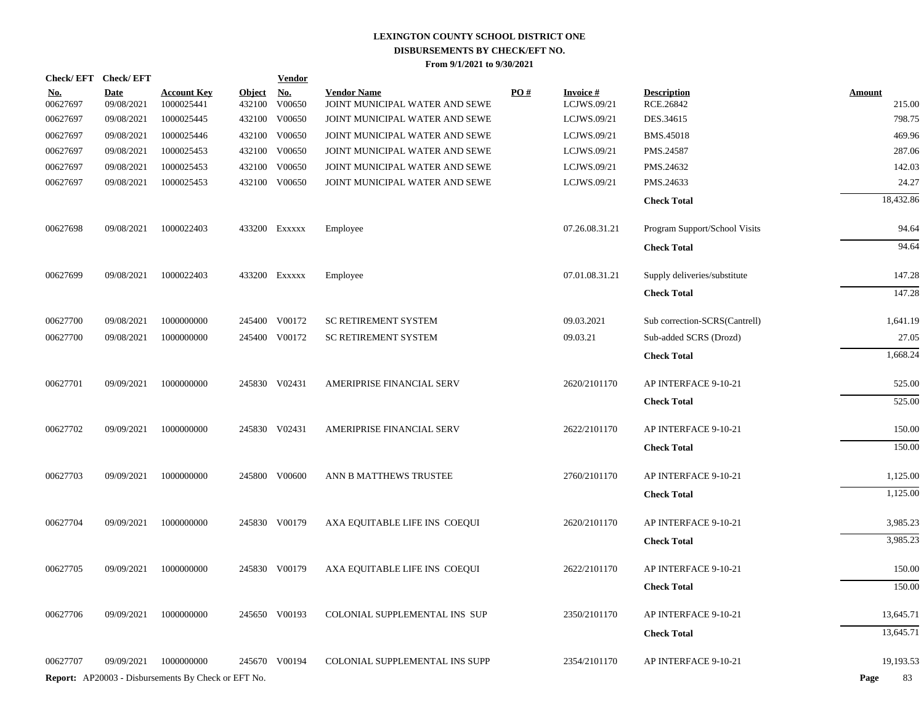|                        | Check/EFT Check/EFT       |                                                            |                         | <b>Vendor</b>        |                                                      |                   |                                |                                 |                         |
|------------------------|---------------------------|------------------------------------------------------------|-------------------------|----------------------|------------------------------------------------------|-------------------|--------------------------------|---------------------------------|-------------------------|
| <u>No.</u><br>00627697 | <b>Date</b><br>09/08/2021 | <u>Account Key</u><br>1000025441                           | <b>Object</b><br>432100 | <u>No.</u><br>V00650 | <b>Vendor Name</b><br>JOINT MUNICIPAL WATER AND SEWE | $\underline{PO#}$ | <b>Invoice#</b><br>LCJWS.09/21 | <b>Description</b><br>RCE.26842 | <b>Amount</b><br>215.00 |
| 00627697               | 09/08/2021                | 1000025445                                                 |                         | 432100 V00650        | JOINT MUNICIPAL WATER AND SEWE                       |                   | LCJWS.09/21                    | DES.34615                       | 798.75                  |
| 00627697               | 09/08/2021                | 1000025446                                                 |                         | 432100 V00650        | JOINT MUNICIPAL WATER AND SEWE                       |                   | LCJWS.09/21                    | BMS.45018                       | 469.96                  |
| 00627697               | 09/08/2021                | 1000025453                                                 |                         | 432100 V00650        | JOINT MUNICIPAL WATER AND SEWE                       |                   | LCJWS.09/21                    | PMS.24587                       | 287.06                  |
| 00627697               | 09/08/2021                | 1000025453                                                 | 432100                  | V00650               | JOINT MUNICIPAL WATER AND SEWE                       |                   | LCJWS.09/21                    | PMS.24632                       | 142.03                  |
| 00627697               | 09/08/2021                | 1000025453                                                 |                         | 432100 V00650        | JOINT MUNICIPAL WATER AND SEWE                       |                   | LCJWS.09/21                    | PMS.24633                       | 24.27                   |
|                        |                           |                                                            |                         |                      |                                                      |                   |                                | <b>Check Total</b>              | 18,432.86               |
| 00627698               | 09/08/2021                | 1000022403                                                 |                         | 433200 Exxxxx        | Employee                                             |                   | 07.26.08.31.21                 | Program Support/School Visits   | 94.64                   |
|                        |                           |                                                            |                         |                      |                                                      |                   |                                | <b>Check Total</b>              | 94.64                   |
| 00627699               | 09/08/2021                | 1000022403                                                 |                         | 433200 Exxxxx        | Employee                                             |                   | 07.01.08.31.21                 | Supply deliveries/substitute    | 147.28                  |
|                        |                           |                                                            |                         |                      |                                                      |                   |                                | <b>Check Total</b>              | 147.28                  |
| 00627700               | 09/08/2021                | 1000000000                                                 |                         | 245400 V00172        | SC RETIREMENT SYSTEM                                 |                   | 09.03.2021                     | Sub correction-SCRS(Cantrell)   | 1,641.19                |
| 00627700               | 09/08/2021                | 1000000000                                                 |                         | 245400 V00172        | <b>SC RETIREMENT SYSTEM</b>                          |                   | 09.03.21                       | Sub-added SCRS (Drozd)          | 27.05                   |
|                        |                           |                                                            |                         |                      |                                                      |                   |                                | <b>Check Total</b>              | 1,668.24                |
| 00627701               | 09/09/2021                | 1000000000                                                 |                         | 245830 V02431        | AMERIPRISE FINANCIAL SERV                            |                   | 2620/2101170                   | AP INTERFACE 9-10-21            | 525.00                  |
|                        |                           |                                                            |                         |                      |                                                      |                   |                                | <b>Check Total</b>              | 525.00                  |
| 00627702               | 09/09/2021                | 1000000000                                                 |                         | 245830 V02431        | AMERIPRISE FINANCIAL SERV                            |                   | 2622/2101170                   | AP INTERFACE 9-10-21            | 150.00                  |
|                        |                           |                                                            |                         |                      |                                                      |                   |                                | <b>Check Total</b>              | 150.00                  |
| 00627703               | 09/09/2021                | 1000000000                                                 |                         | 245800 V00600        | ANN B MATTHEWS TRUSTEE                               |                   | 2760/2101170                   | AP INTERFACE 9-10-21            | 1,125.00                |
|                        |                           |                                                            |                         |                      |                                                      |                   |                                | <b>Check Total</b>              | 1,125.00                |
| 00627704               | 09/09/2021                | 1000000000                                                 |                         | 245830 V00179        | AXA EQUITABLE LIFE INS COEQUI                        |                   | 2620/2101170                   | AP INTERFACE 9-10-21            | 3,985.23                |
|                        |                           |                                                            |                         |                      |                                                      |                   |                                | <b>Check Total</b>              | 3,985.23                |
| 00627705               | 09/09/2021                | 1000000000                                                 |                         | 245830 V00179        | AXA EQUITABLE LIFE INS COEQUI                        |                   | 2622/2101170                   | AP INTERFACE 9-10-21            | 150.00                  |
|                        |                           |                                                            |                         |                      |                                                      |                   |                                | <b>Check Total</b>              | 150.00                  |
| 00627706               | 09/09/2021                | 1000000000                                                 |                         | 245650 V00193        | COLONIAL SUPPLEMENTAL INS SUP                        |                   | 2350/2101170                   | AP INTERFACE 9-10-21            | 13,645.71               |
|                        |                           |                                                            |                         |                      |                                                      |                   |                                | <b>Check Total</b>              | 13,645.71               |
| 00627707               | 09/09/2021                | 1000000000                                                 |                         | 245670 V00194        | COLONIAL SUPPLEMENTAL INS SUPP                       |                   | 2354/2101170                   | AP INTERFACE 9-10-21            | 19,193.53               |
|                        |                           | <b>Report:</b> AP20003 - Disbursements By Check or EFT No. |                         |                      |                                                      |                   |                                |                                 | Page<br>83              |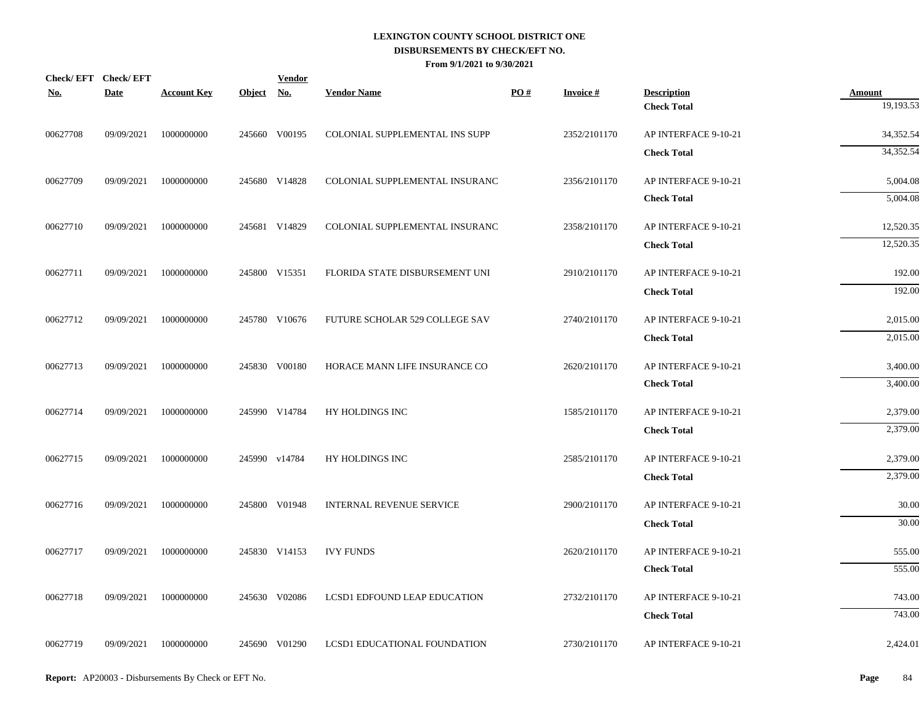| <b>No.</b> | Check/EFT Check/EFT<br><b>Date</b> | <b>Account Key</b> | Object No. | <b>Vendor</b> | <b>Vendor Name</b>              | PO# | <b>Invoice#</b> | <b>Description</b>   | <b>Amount</b> |
|------------|------------------------------------|--------------------|------------|---------------|---------------------------------|-----|-----------------|----------------------|---------------|
|            |                                    |                    |            |               |                                 |     |                 | <b>Check Total</b>   | 19,193.53     |
| 00627708   | 09/09/2021                         | 1000000000         |            | 245660 V00195 | COLONIAL SUPPLEMENTAL INS SUPP  |     | 2352/2101170    | AP INTERFACE 9-10-21 | 34,352.54     |
|            |                                    |                    |            |               |                                 |     |                 | <b>Check Total</b>   | 34,352.54     |
| 00627709   | 09/09/2021                         | 1000000000         |            | 245680 V14828 | COLONIAL SUPPLEMENTAL INSURANC  |     | 2356/2101170    | AP INTERFACE 9-10-21 | 5,004.08      |
|            |                                    |                    |            |               |                                 |     |                 | <b>Check Total</b>   | 5,004.08      |
| 00627710   | 09/09/2021                         | 1000000000         |            | 245681 V14829 | COLONIAL SUPPLEMENTAL INSURANC  |     | 2358/2101170    | AP INTERFACE 9-10-21 | 12,520.35     |
|            |                                    |                    |            |               |                                 |     |                 | <b>Check Total</b>   | 12,520.35     |
| 00627711   | 09/09/2021                         | 1000000000         |            | 245800 V15351 | FLORIDA STATE DISBURSEMENT UNI  |     | 2910/2101170    | AP INTERFACE 9-10-21 | 192.00        |
|            |                                    |                    |            |               |                                 |     |                 | <b>Check Total</b>   | 192.00        |
| 00627712   | 09/09/2021                         | 1000000000         |            | 245780 V10676 | FUTURE SCHOLAR 529 COLLEGE SAV  |     | 2740/2101170    | AP INTERFACE 9-10-21 | 2,015.00      |
|            |                                    |                    |            |               |                                 |     |                 | <b>Check Total</b>   | 2,015.00      |
| 00627713   | 09/09/2021                         | 1000000000         |            | 245830 V00180 | HORACE MANN LIFE INSURANCE CO   |     | 2620/2101170    | AP INTERFACE 9-10-21 | 3,400.00      |
|            |                                    |                    |            |               |                                 |     |                 | <b>Check Total</b>   | 3,400.00      |
| 00627714   | 09/09/2021                         | 1000000000         |            | 245990 V14784 | HY HOLDINGS INC                 |     | 1585/2101170    | AP INTERFACE 9-10-21 | 2,379.00      |
|            |                                    |                    |            |               |                                 |     |                 | <b>Check Total</b>   | 2,379.00      |
| 00627715   | 09/09/2021                         | 1000000000         |            | 245990 v14784 | HY HOLDINGS INC                 |     | 2585/2101170    | AP INTERFACE 9-10-21 | 2,379.00      |
|            |                                    |                    |            |               |                                 |     |                 | <b>Check Total</b>   | 2,379.00      |
| 00627716   | 09/09/2021                         | 1000000000         |            | 245800 V01948 | <b>INTERNAL REVENUE SERVICE</b> |     | 2900/2101170    | AP INTERFACE 9-10-21 | 30.00         |
|            |                                    |                    |            |               |                                 |     |                 | <b>Check Total</b>   | 30.00         |
| 00627717   | 09/09/2021                         | 1000000000         |            | 245830 V14153 | <b>IVY FUNDS</b>                |     | 2620/2101170    | AP INTERFACE 9-10-21 | 555.00        |
|            |                                    |                    |            |               |                                 |     |                 | <b>Check Total</b>   | 555.00        |
| 00627718   | 09/09/2021                         | 1000000000         |            | 245630 V02086 | LCSD1 EDFOUND LEAP EDUCATION    |     | 2732/2101170    | AP INTERFACE 9-10-21 | 743.00        |
|            |                                    |                    |            |               |                                 |     |                 | <b>Check Total</b>   | 743.00        |
| 00627719   | 09/09/2021                         | 1000000000         |            | 245690 V01290 | LCSD1 EDUCATIONAL FOUNDATION    |     | 2730/2101170    | AP INTERFACE 9-10-21 | 2,424.01      |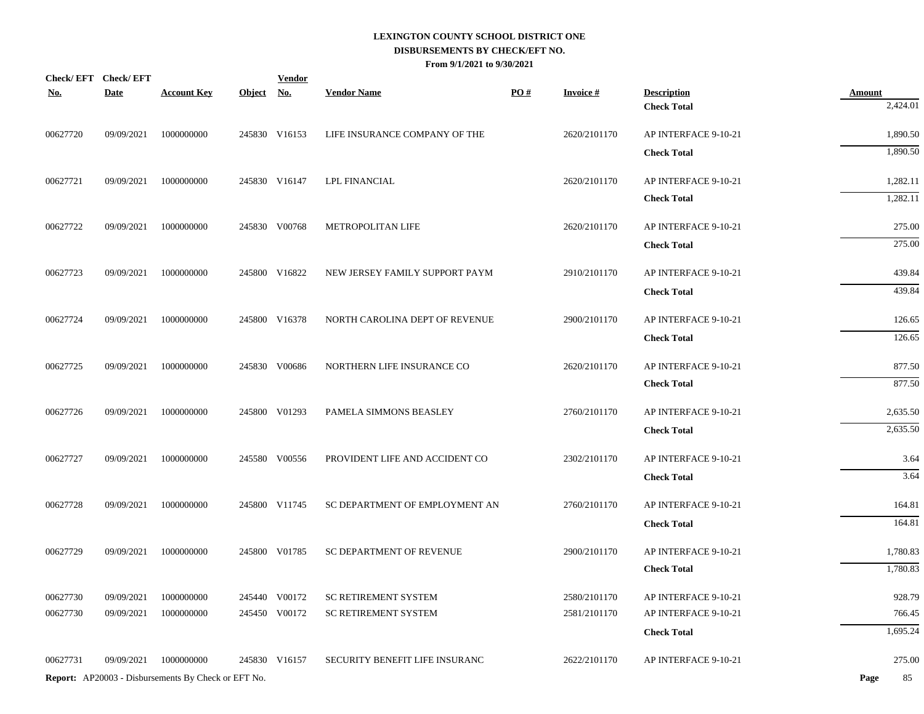| <b>No.</b> | Check/EFT Check/EFT<br><b>Date</b> | <b>Account Key</b>                                  | Object No. | <b>Vendor</b> | <b>Vendor Name</b>             | PO# | <b>Invoice#</b> | <b>Description</b>   | <b>Amount</b> |
|------------|------------------------------------|-----------------------------------------------------|------------|---------------|--------------------------------|-----|-----------------|----------------------|---------------|
|            |                                    |                                                     |            |               |                                |     |                 | <b>Check Total</b>   | 2,424.01      |
| 00627720   | 09/09/2021                         | 1000000000                                          |            | 245830 V16153 | LIFE INSURANCE COMPANY OF THE  |     | 2620/2101170    | AP INTERFACE 9-10-21 | 1,890.50      |
|            |                                    |                                                     |            |               |                                |     |                 | <b>Check Total</b>   | 1,890.50      |
| 00627721   | 09/09/2021                         | 1000000000                                          |            | 245830 V16147 | <b>LPL FINANCIAL</b>           |     | 2620/2101170    | AP INTERFACE 9-10-21 | 1,282.11      |
|            |                                    |                                                     |            |               |                                |     |                 | <b>Check Total</b>   | 1,282.11      |
| 00627722   | 09/09/2021                         | 1000000000                                          |            | 245830 V00768 | METROPOLITAN LIFE              |     | 2620/2101170    | AP INTERFACE 9-10-21 | 275.00        |
|            |                                    |                                                     |            |               |                                |     |                 | <b>Check Total</b>   | 275.00        |
| 00627723   | 09/09/2021                         | 1000000000                                          |            | 245800 V16822 | NEW JERSEY FAMILY SUPPORT PAYM |     | 2910/2101170    | AP INTERFACE 9-10-21 | 439.84        |
|            |                                    |                                                     |            |               |                                |     |                 | <b>Check Total</b>   | 439.84        |
| 00627724   | 09/09/2021                         | 1000000000                                          |            | 245800 V16378 | NORTH CAROLINA DEPT OF REVENUE |     | 2900/2101170    | AP INTERFACE 9-10-21 | 126.65        |
|            |                                    |                                                     |            |               |                                |     |                 | <b>Check Total</b>   | 126.65        |
| 00627725   | 09/09/2021                         | 1000000000                                          |            | 245830 V00686 | NORTHERN LIFE INSURANCE CO     |     | 2620/2101170    | AP INTERFACE 9-10-21 | 877.50        |
|            |                                    |                                                     |            |               |                                |     |                 | <b>Check Total</b>   | 877.50        |
| 00627726   | 09/09/2021                         | 1000000000                                          |            | 245800 V01293 | PAMELA SIMMONS BEASLEY         |     | 2760/2101170    | AP INTERFACE 9-10-21 | 2,635.50      |
|            |                                    |                                                     |            |               |                                |     |                 | <b>Check Total</b>   | 2,635.50      |
| 00627727   | 09/09/2021                         | 1000000000                                          |            | 245580 V00556 | PROVIDENT LIFE AND ACCIDENT CO |     | 2302/2101170    | AP INTERFACE 9-10-21 | 3.64          |
|            |                                    |                                                     |            |               |                                |     |                 | <b>Check Total</b>   | 3.64          |
| 00627728   | 09/09/2021                         | 1000000000                                          |            | 245800 V11745 | SC DEPARTMENT OF EMPLOYMENT AN |     | 2760/2101170    | AP INTERFACE 9-10-21 | 164.81        |
|            |                                    |                                                     |            |               |                                |     |                 | <b>Check Total</b>   | 164.81        |
| 00627729   | 09/09/2021                         | 1000000000                                          |            | 245800 V01785 | SC DEPARTMENT OF REVENUE       |     | 2900/2101170    | AP INTERFACE 9-10-21 | 1,780.83      |
|            |                                    |                                                     |            |               |                                |     |                 | <b>Check Total</b>   | 1,780.83      |
| 00627730   | 09/09/2021                         | 1000000000                                          |            | 245440 V00172 | SC RETIREMENT SYSTEM           |     | 2580/2101170    | AP INTERFACE 9-10-21 | 928.79        |
| 00627730   | 09/09/2021                         | 1000000000                                          |            | 245450 V00172 | <b>SC RETIREMENT SYSTEM</b>    |     | 2581/2101170    | AP INTERFACE 9-10-21 | 766.45        |
|            |                                    |                                                     |            |               |                                |     |                 | <b>Check Total</b>   | 1,695.24      |
| 00627731   | 09/09/2021                         | 1000000000                                          |            | 245830 V16157 | SECURITY BENEFIT LIFE INSURANC |     | 2622/2101170    | AP INTERFACE 9-10-21 | 275.00        |
|            |                                    | Report: AP20003 - Disbursements By Check or EFT No. |            |               |                                |     |                 |                      | Page<br>85    |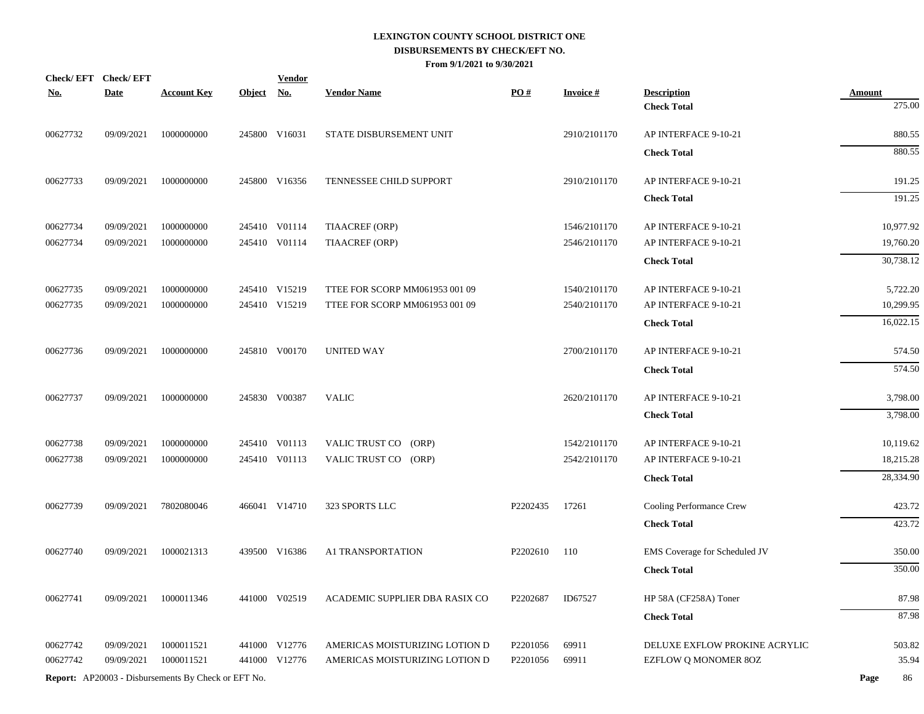|            | Check/EFT Check/EFT |                                                            |            | <b>Vendor</b> |                                |          |                 |                               |                         |
|------------|---------------------|------------------------------------------------------------|------------|---------------|--------------------------------|----------|-----------------|-------------------------------|-------------------------|
| <b>No.</b> | <b>Date</b>         | <b>Account Key</b>                                         | Object No. |               | <b>Vendor Name</b>             | PO#      | <b>Invoice#</b> | <b>Description</b>            | <b>Amount</b><br>275.00 |
|            |                     |                                                            |            |               |                                |          |                 | <b>Check Total</b>            |                         |
| 00627732   | 09/09/2021          | 1000000000                                                 |            | 245800 V16031 | STATE DISBURSEMENT UNIT        |          | 2910/2101170    | AP INTERFACE 9-10-21          | 880.55                  |
|            |                     |                                                            |            |               |                                |          |                 | <b>Check Total</b>            | 880.55                  |
| 00627733   | 09/09/2021          | 1000000000                                                 |            | 245800 V16356 | TENNESSEE CHILD SUPPORT        |          | 2910/2101170    | AP INTERFACE 9-10-21          | 191.25                  |
|            |                     |                                                            |            |               |                                |          |                 | <b>Check Total</b>            | 191.25                  |
| 00627734   | 09/09/2021          | 1000000000                                                 |            | 245410 V01114 | <b>TIAACREF (ORP)</b>          |          | 1546/2101170    | AP INTERFACE 9-10-21          | 10,977.92               |
| 00627734   | 09/09/2021          | 1000000000                                                 |            | 245410 V01114 | <b>TIAACREF (ORP)</b>          |          | 2546/2101170    | AP INTERFACE 9-10-21          | 19,760.20               |
|            |                     |                                                            |            |               |                                |          |                 | <b>Check Total</b>            | 30,738.12               |
| 00627735   | 09/09/2021          | 1000000000                                                 |            | 245410 V15219 | TTEE FOR SCORP MM061953 001 09 |          | 1540/2101170    | AP INTERFACE 9-10-21          | 5,722.20                |
| 00627735   | 09/09/2021          | 1000000000                                                 |            | 245410 V15219 | TTEE FOR SCORP MM061953 001 09 |          | 2540/2101170    | AP INTERFACE 9-10-21          | 10,299.95               |
|            |                     |                                                            |            |               |                                |          |                 | <b>Check Total</b>            | 16,022.15               |
| 00627736   | 09/09/2021          | 1000000000                                                 |            | 245810 V00170 | UNITED WAY                     |          | 2700/2101170    | AP INTERFACE 9-10-21          | 574.50                  |
|            |                     |                                                            |            |               |                                |          |                 | <b>Check Total</b>            | 574.50                  |
| 00627737   | 09/09/2021          | 1000000000                                                 |            | 245830 V00387 | VALIC                          |          | 2620/2101170    | AP INTERFACE 9-10-21          | 3,798.00                |
|            |                     |                                                            |            |               |                                |          |                 | <b>Check Total</b>            | 3,798.00                |
| 00627738   | 09/09/2021          | 1000000000                                                 |            | 245410 V01113 | VALIC TRUST CO (ORP)           |          | 1542/2101170    | AP INTERFACE 9-10-21          | 10,119.62               |
| 00627738   | 09/09/2021          | 1000000000                                                 |            | 245410 V01113 | VALIC TRUST CO (ORP)           |          | 2542/2101170    | AP INTERFACE 9-10-21          | 18,215.28               |
|            |                     |                                                            |            |               |                                |          |                 | <b>Check Total</b>            | 28,334.90               |
| 00627739   | 09/09/2021          | 7802080046                                                 |            | 466041 V14710 | 323 SPORTS LLC                 | P2202435 | 17261           | Cooling Performance Crew      | 423.72                  |
|            |                     |                                                            |            |               |                                |          |                 | <b>Check Total</b>            | 423.72                  |
| 00627740   | 09/09/2021          | 1000021313                                                 |            | 439500 V16386 | A1 TRANSPORTATION              | P2202610 | 110             | EMS Coverage for Scheduled JV | 350.00                  |
|            |                     |                                                            |            |               |                                |          |                 | <b>Check Total</b>            | 350.00                  |
| 00627741   | 09/09/2021          | 1000011346                                                 |            | 441000 V02519 | ACADEMIC SUPPLIER DBA RASIX CO | P2202687 | ID67527         | HP 58A (CF258A) Toner         | 87.98                   |
|            |                     |                                                            |            |               |                                |          |                 | <b>Check Total</b>            | 87.98                   |
| 00627742   | 09/09/2021          | 1000011521                                                 |            | 441000 V12776 | AMERICAS MOISTURIZING LOTION D | P2201056 | 69911           | DELUXE EXFLOW PROKINE ACRYLIC | 503.82                  |
| 00627742   | 09/09/2021          | 1000011521                                                 |            | 441000 V12776 | AMERICAS MOISTURIZING LOTION D | P2201056 | 69911           | EZFLOW Q MONOMER 8OZ          | 35.94                   |
|            |                     | <b>Report:</b> AP20003 - Disbursements By Check or EFT No. |            |               |                                |          |                 |                               | Page<br>86              |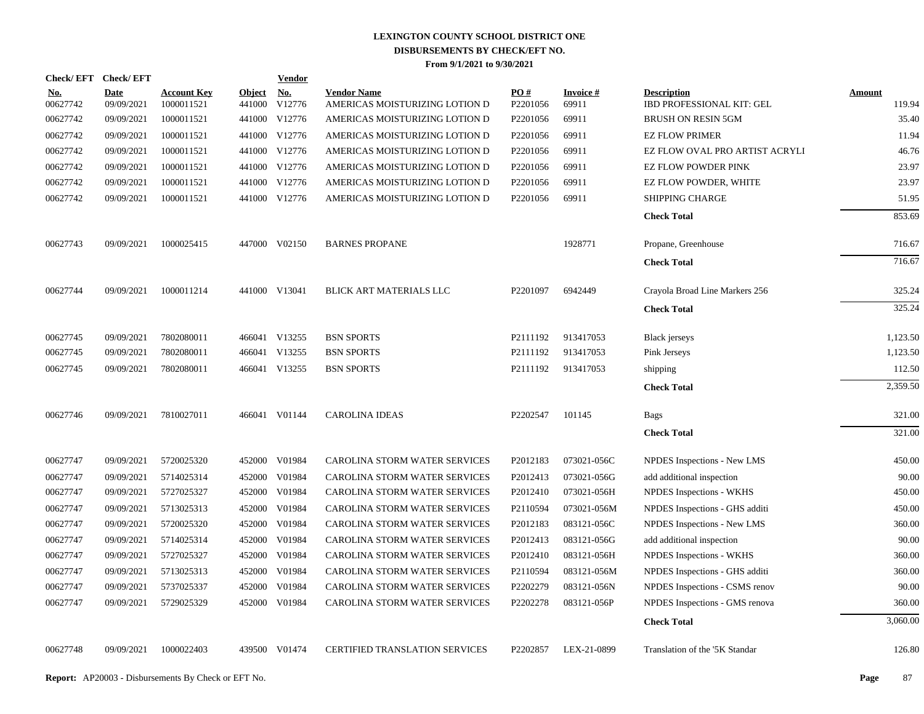| Check/EFT Check/EFT    |                           |                                  |                         | <b>Vendor</b> |                                                      |                      |                          |                                                 |                  |
|------------------------|---------------------------|----------------------------------|-------------------------|---------------|------------------------------------------------------|----------------------|--------------------------|-------------------------------------------------|------------------|
| <u>No.</u><br>00627742 | <b>Date</b><br>09/09/2021 | <b>Account Key</b><br>1000011521 | <b>Object</b><br>441000 | No.<br>V12776 | <b>Vendor Name</b><br>AMERICAS MOISTURIZING LOTION D | PO#<br>P2201056      | <b>Invoice#</b><br>69911 | <b>Description</b><br>IBD PROFESSIONAL KIT: GEL | Amount<br>119.94 |
| 00627742               | 09/09/2021                | 1000011521                       |                         | 441000 V12776 | AMERICAS MOISTURIZING LOTION D                       | P2201056             | 69911                    | <b>BRUSH ON RESIN 5GM</b>                       | 35.40            |
| 00627742               | 09/09/2021                | 1000011521                       |                         | 441000 V12776 | AMERICAS MOISTURIZING LOTION D                       | P2201056             | 69911                    | <b>EZ FLOW PRIMER</b>                           | 11.94            |
| 00627742               | 09/09/2021                | 1000011521                       |                         | 441000 V12776 | AMERICAS MOISTURIZING LOTION D                       | P <sub>2201056</sub> | 69911                    | EZ FLOW OVAL PRO ARTIST ACRYLI                  | 46.76            |
| 00627742               | 09/09/2021                | 1000011521                       |                         | 441000 V12776 | AMERICAS MOISTURIZING LOTION D                       | P2201056             | 69911                    | <b>EZ FLOW POWDER PINK</b>                      | 23.97            |
| 00627742               | 09/09/2021                | 1000011521                       |                         | 441000 V12776 | AMERICAS MOISTURIZING LOTION D                       | P2201056             | 69911                    | EZ FLOW POWDER, WHITE                           | 23.97            |
| 00627742               | 09/09/2021                | 1000011521                       |                         | 441000 V12776 | AMERICAS MOISTURIZING LOTION D                       | P2201056             | 69911                    | <b>SHIPPING CHARGE</b>                          | 51.95            |
|                        |                           |                                  |                         |               |                                                      |                      |                          | <b>Check Total</b>                              | 853.69           |
| 00627743               | 09/09/2021                | 1000025415                       |                         | 447000 V02150 | <b>BARNES PROPANE</b>                                |                      | 1928771                  | Propane, Greenhouse                             | 716.67           |
|                        |                           |                                  |                         |               |                                                      |                      |                          | <b>Check Total</b>                              | 716.67           |
| 00627744               | 09/09/2021                | 1000011214                       |                         | 441000 V13041 | BLICK ART MATERIALS LLC                              | P2201097             | 6942449                  | Crayola Broad Line Markers 256                  | 325.24           |
|                        |                           |                                  |                         |               |                                                      |                      |                          | <b>Check Total</b>                              | 325.24           |
| 00627745               | 09/09/2021                | 7802080011                       |                         | 466041 V13255 | <b>BSN SPORTS</b>                                    | P2111192             | 913417053                | <b>Black</b> jerseys                            | 1,123.50         |
| 00627745               | 09/09/2021                | 7802080011                       |                         | 466041 V13255 | <b>BSN SPORTS</b>                                    | P2111192             | 913417053                | Pink Jerseys                                    | 1,123.50         |
| 00627745               | 09/09/2021                | 7802080011                       |                         | 466041 V13255 | <b>BSN SPORTS</b>                                    | P2111192             | 913417053                | shipping                                        | 112.50           |
|                        |                           |                                  |                         |               |                                                      |                      |                          | <b>Check Total</b>                              | 2,359.50         |
| 00627746               | 09/09/2021                | 7810027011                       |                         | 466041 V01144 | <b>CAROLINA IDEAS</b>                                | P2202547             | 101145                   | <b>Bags</b>                                     | 321.00           |
|                        |                           |                                  |                         |               |                                                      |                      |                          | <b>Check Total</b>                              | 321.00           |
| 00627747               | 09/09/2021                | 5720025320                       |                         | 452000 V01984 | CAROLINA STORM WATER SERVICES                        | P2012183             | 073021-056C              | NPDES Inspections - New LMS                     | 450.00           |
| 00627747               | 09/09/2021                | 5714025314                       |                         | 452000 V01984 | CAROLINA STORM WATER SERVICES                        | P2012413             | 073021-056G              | add additional inspection                       | 90.00            |
| 00627747               | 09/09/2021                | 5727025327                       |                         | 452000 V01984 | CAROLINA STORM WATER SERVICES                        | P2012410             | 073021-056H              | NPDES Inspections - WKHS                        | 450.00           |
| 00627747               | 09/09/2021                | 5713025313                       |                         | 452000 V01984 | CAROLINA STORM WATER SERVICES                        | P2110594             | 073021-056M              | NPDES Inspections - GHS additi                  | 450.00           |
| 00627747               | 09/09/2021                | 5720025320                       |                         | 452000 V01984 | CAROLINA STORM WATER SERVICES                        | P2012183             | 083121-056C              | NPDES Inspections - New LMS                     | 360.00           |
| 00627747               | 09/09/2021                | 5714025314                       |                         | 452000 V01984 | CAROLINA STORM WATER SERVICES                        | P2012413             | 083121-056G              | add additional inspection                       | 90.00            |
| 00627747               | 09/09/2021                | 5727025327                       |                         | 452000 V01984 | CAROLINA STORM WATER SERVICES                        | P2012410             | 083121-056H              | NPDES Inspections - WKHS                        | 360.00           |
| 00627747               | 09/09/2021                | 5713025313                       |                         | 452000 V01984 | CAROLINA STORM WATER SERVICES                        | P2110594             | 083121-056M              | NPDES Inspections - GHS additi                  | 360.00           |
| 00627747               | 09/09/2021                | 5737025337                       |                         | 452000 V01984 | CAROLINA STORM WATER SERVICES                        | P2202279             | 083121-056N              | NPDES Inspections - CSMS renov                  | 90.00            |
| 00627747               | 09/09/2021                | 5729025329                       |                         | 452000 V01984 | CAROLINA STORM WATER SERVICES                        | P2202278             | 083121-056P              | NPDES Inspections - GMS renova                  | 360.00           |
|                        |                           |                                  |                         |               |                                                      |                      |                          | <b>Check Total</b>                              | 3,060.00         |
| 00627748               | 09/09/2021                | 1000022403                       |                         | 439500 V01474 | <b>CERTIFIED TRANSLATION SERVICES</b>                | P2202857             | LEX-21-0899              | Translation of the '5K Standar                  | 126.80           |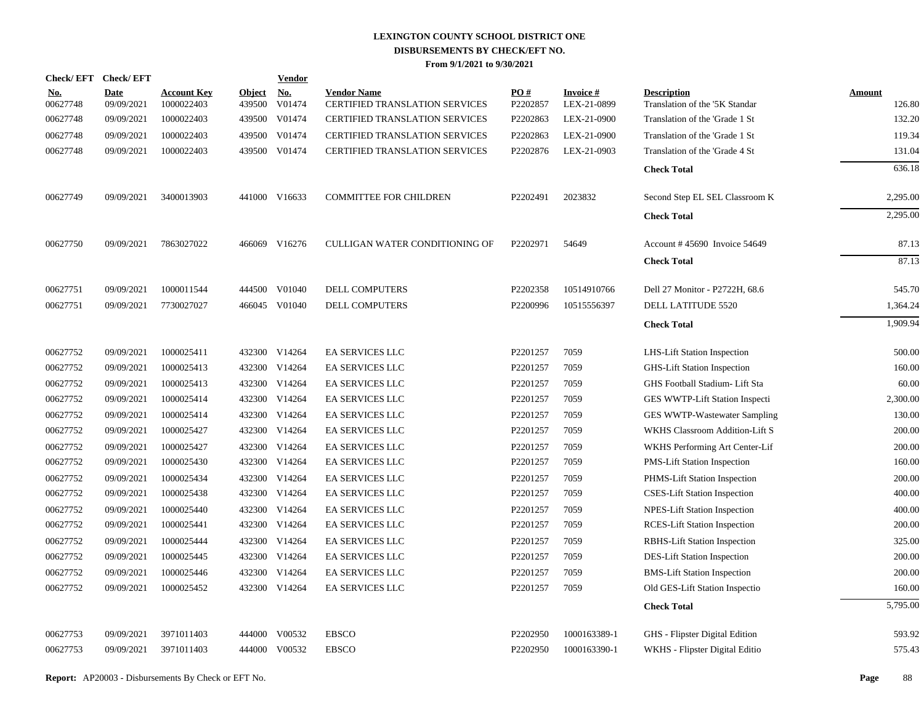| Check/EFT Check/EFT    |                           |                                  |                         | Vendor        |                                                      |                 |                          |                                                      |                  |
|------------------------|---------------------------|----------------------------------|-------------------------|---------------|------------------------------------------------------|-----------------|--------------------------|------------------------------------------------------|------------------|
| <u>No.</u><br>00627748 | <b>Date</b><br>09/09/2021 | <b>Account Key</b><br>1000022403 | <b>Object</b><br>439500 | No.<br>V01474 | <b>Vendor Name</b><br>CERTIFIED TRANSLATION SERVICES | PO#<br>P2202857 | Invoice #<br>LEX-21-0899 | <b>Description</b><br>Translation of the '5K Standar | Amount<br>126.80 |
| 00627748               | 09/09/2021                | 1000022403                       | 439500                  | V01474        | <b>CERTIFIED TRANSLATION SERVICES</b>                | P2202863        | LEX-21-0900              | Translation of the 'Grade 1 St                       | 132.20           |
| 00627748               | 09/09/2021                | 1000022403                       | 439500                  | V01474        | <b>CERTIFIED TRANSLATION SERVICES</b>                | P2202863        | LEX-21-0900              | Translation of the 'Grade 1 St                       | 119.34           |
| 00627748               | 09/09/2021                | 1000022403                       | 439500                  | V01474        | <b>CERTIFIED TRANSLATION SERVICES</b>                | P2202876        | LEX-21-0903              | Translation of the 'Grade 4 St                       | 131.04           |
|                        |                           |                                  |                         |               |                                                      |                 |                          | <b>Check Total</b>                                   | 636.18           |
| 00627749               | 09/09/2021                | 3400013903                       |                         | 441000 V16633 | <b>COMMITTEE FOR CHILDREN</b>                        | P2202491        | 2023832                  | Second Step EL SEL Classroom K                       | 2,295.00         |
|                        |                           |                                  |                         |               |                                                      |                 |                          | <b>Check Total</b>                                   | 2,295.00         |
| 00627750               | 09/09/2021                | 7863027022                       | 466069                  | V16276        | CULLIGAN WATER CONDITIONING OF                       | P2202971        | 54649                    | Account #45690 Invoice 54649                         | 87.13            |
|                        |                           |                                  |                         |               |                                                      |                 |                          | <b>Check Total</b>                                   | 87.13            |
| 00627751               | 09/09/2021                | 1000011544                       | 444500                  | V01040        | <b>DELL COMPUTERS</b>                                | P2202358        | 10514910766              | Dell 27 Monitor - P2722H, 68.6                       | 545.70           |
| 00627751               | 09/09/2021                | 7730027027                       |                         | 466045 V01040 | DELL COMPUTERS                                       | P2200996        | 10515556397              | DELL LATITUDE 5520                                   | 1,364.24         |
|                        |                           |                                  |                         |               |                                                      |                 |                          | <b>Check Total</b>                                   | 1,909.94         |
| 00627752               | 09/09/2021                | 1000025411                       |                         | 432300 V14264 | <b>EA SERVICES LLC</b>                               | P2201257        | 7059                     | LHS-Lift Station Inspection                          | 500.00           |
| 00627752               | 09/09/2021                | 1000025413                       | 432300                  | V14264        | EA SERVICES LLC                                      | P2201257        | 7059                     | GHS-Lift Station Inspection                          | 160.00           |
| 00627752               | 09/09/2021                | 1000025413                       | 432300                  | V14264        | <b>EA SERVICES LLC</b>                               | P2201257        | 7059                     | GHS Football Stadium- Lift Sta                       | 60.00            |
| 00627752               | 09/09/2021                | 1000025414                       | 432300                  | V14264        | EA SERVICES LLC                                      | P2201257        | 7059                     | GES WWTP-Lift Station Inspecti                       | 2,300.00         |
| 00627752               | 09/09/2021                | 1000025414                       | 432300                  | V14264        | EA SERVICES LLC                                      | P2201257        | 7059                     | GES WWTP-Wastewater Sampling                         | 130.00           |
| 00627752               | 09/09/2021                | 1000025427                       | 432300                  | V14264        | EA SERVICES LLC                                      | P2201257        | 7059                     | WKHS Classroom Addition-Lift S                       | 200.00           |
| 00627752               | 09/09/2021                | 1000025427                       | 432300                  | V14264        | <b>EA SERVICES LLC</b>                               | P2201257        | 7059                     | WKHS Performing Art Center-Lif                       | 200.00           |
| 00627752               | 09/09/2021                | 1000025430                       |                         | 432300 V14264 | EA SERVICES LLC                                      | P2201257        | 7059                     | PMS-Lift Station Inspection                          | 160.00           |
| 00627752               | 09/09/2021                | 1000025434                       | 432300                  | V14264        | EA SERVICES LLC                                      | P2201257        | 7059                     | PHMS-Lift Station Inspection                         | 200.00           |
| 00627752               | 09/09/2021                | 1000025438                       |                         | 432300 V14264 | EA SERVICES LLC                                      | P2201257        | 7059                     | <b>CSES-Lift Station Inspection</b>                  | 400.00           |
| 00627752               | 09/09/2021                | 1000025440                       |                         | 432300 V14264 | <b>EA SERVICES LLC</b>                               | P2201257        | 7059                     | NPES-Lift Station Inspection                         | 400.00           |
| 00627752               | 09/09/2021                | 1000025441                       |                         | 432300 V14264 | EA SERVICES LLC                                      | P2201257        | 7059                     | <b>RCES-Lift Station Inspection</b>                  | 200.00           |
| 00627752               | 09/09/2021                | 1000025444                       |                         | 432300 V14264 | EA SERVICES LLC                                      | P2201257        | 7059                     | RBHS-Lift Station Inspection                         | 325.00           |
| 00627752               | 09/09/2021                | 1000025445                       |                         | 432300 V14264 | EA SERVICES LLC                                      | P2201257        | 7059                     | DES-Lift Station Inspection                          | 200.00           |
| 00627752               | 09/09/2021                | 1000025446                       | 432300                  | V14264        | <b>EA SERVICES LLC</b>                               | P2201257        | 7059                     | <b>BMS-Lift Station Inspection</b>                   | 200.00           |
| 00627752               | 09/09/2021                | 1000025452                       |                         | 432300 V14264 | EA SERVICES LLC                                      | P2201257        | 7059                     | Old GES-Lift Station Inspectio                       | 160.00           |
|                        |                           |                                  |                         |               |                                                      |                 |                          | <b>Check Total</b>                                   | 5,795.00         |
| 00627753               | 09/09/2021                | 3971011403                       | 444000                  | V00532        | <b>EBSCO</b>                                         | P2202950        | 1000163389-1             | GHS - Flipster Digital Edition                       | 593.92           |
| 00627753               | 09/09/2021                | 3971011403                       |                         | 444000 V00532 | <b>EBSCO</b>                                         | P2202950        | 1000163390-1             | WKHS - Flipster Digital Editio                       | 575.43           |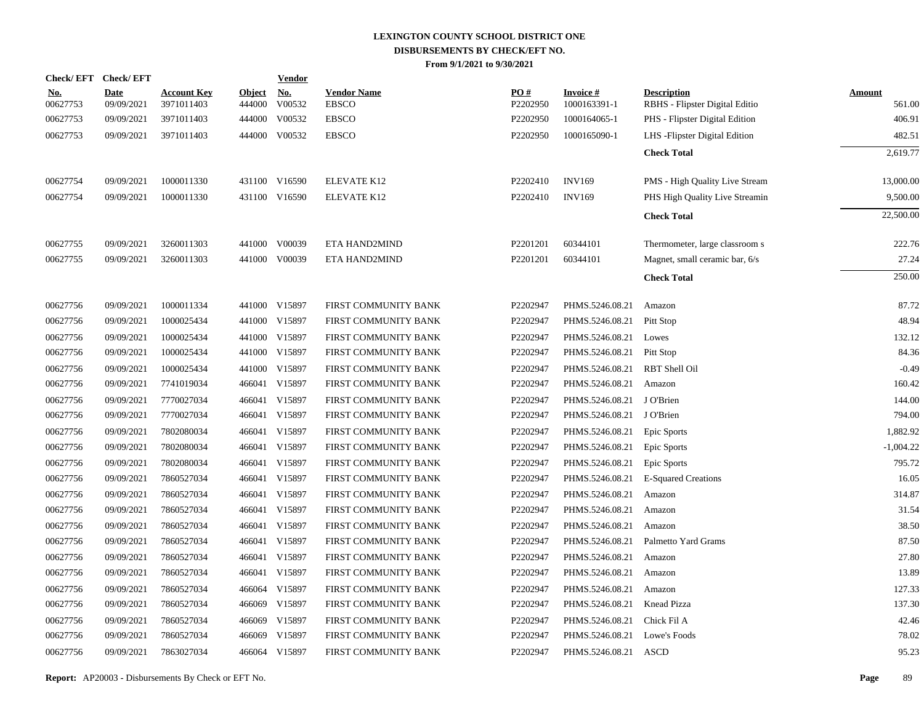| Check/EFT Check/EFT    |                           |                                  |                         | <b>Vendor</b>        |                                    |                 |                                 |                                                      |                         |
|------------------------|---------------------------|----------------------------------|-------------------------|----------------------|------------------------------------|-----------------|---------------------------------|------------------------------------------------------|-------------------------|
| <u>No.</u><br>00627753 | <b>Date</b><br>09/09/2021 | <b>Account Key</b><br>3971011403 | <b>Object</b><br>444000 | <u>No.</u><br>V00532 | <b>Vendor Name</b><br><b>EBSCO</b> | PO#<br>P2202950 | <b>Invoice#</b><br>1000163391-1 | <b>Description</b><br>RBHS - Flipster Digital Editio | <b>Amount</b><br>561.00 |
| 00627753               | 09/09/2021                | 3971011403                       |                         | 444000 V00532        | <b>EBSCO</b>                       | P2202950        | 1000164065-1                    | PHS - Flipster Digital Edition                       | 406.91                  |
|                        | 09/09/2021                | 3971011403                       |                         | 444000 V00532        | <b>EBSCO</b>                       | P2202950        | 1000165090-1                    |                                                      |                         |
| 00627753               |                           |                                  |                         |                      |                                    |                 |                                 | LHS - Flipster Digital Edition                       | 482.51                  |
|                        |                           |                                  |                         |                      |                                    |                 |                                 | <b>Check Total</b>                                   | 2,619.77                |
| 00627754               | 09/09/2021                | 1000011330                       |                         | 431100 V16590        | ELEVATE K12                        | P2202410        | <b>INV169</b>                   | PMS - High Quality Live Stream                       | 13,000.00               |
| 00627754               | 09/09/2021                | 1000011330                       |                         | 431100 V16590        | ELEVATE K12                        | P2202410        | <b>INV169</b>                   | PHS High Quality Live Streamin                       | 9,500.00                |
|                        |                           |                                  |                         |                      |                                    |                 |                                 | <b>Check Total</b>                                   | 22,500.00               |
| 00627755               | 09/09/2021                | 3260011303                       |                         | 441000 V00039        | ETA HAND2MIND                      | P2201201        | 60344101                        | Thermometer, large classroom s                       | 222.76                  |
| 00627755               | 09/09/2021                | 3260011303                       |                         | 441000 V00039        | ETA HAND2MIND                      | P2201201        | 60344101                        | Magnet, small ceramic bar, 6/s                       | 27.24                   |
|                        |                           |                                  |                         |                      |                                    |                 |                                 | <b>Check Total</b>                                   | 250.00                  |
| 00627756               | 09/09/2021                | 1000011334                       |                         | 441000 V15897        | FIRST COMMUNITY BANK               | P2202947        | PHMS.5246.08.21                 | Amazon                                               | 87.72                   |
| 00627756               | 09/09/2021                | 1000025434                       |                         | 441000 V15897        | FIRST COMMUNITY BANK               | P2202947        | PHMS.5246.08.21                 | Pitt Stop                                            | 48.94                   |
| 00627756               | 09/09/2021                | 1000025434                       |                         | 441000 V15897        | FIRST COMMUNITY BANK               | P2202947        | PHMS.5246.08.21                 | Lowes                                                | 132.12                  |
| 00627756               | 09/09/2021                | 1000025434                       |                         | 441000 V15897        | FIRST COMMUNITY BANK               | P2202947        | PHMS.5246.08.21                 | Pitt Stop                                            | 84.36                   |
| 00627756               | 09/09/2021                | 1000025434                       |                         | 441000 V15897        | FIRST COMMUNITY BANK               | P2202947        | PHMS.5246.08.21                 | RBT Shell Oil                                        | $-0.49$                 |
| 00627756               | 09/09/2021                | 7741019034                       |                         | 466041 V15897        | FIRST COMMUNITY BANK               | P2202947        | PHMS.5246.08.21                 | Amazon                                               | 160.42                  |
| 00627756               | 09/09/2021                | 7770027034                       |                         | 466041 V15897        | FIRST COMMUNITY BANK               | P2202947        | PHMS.5246.08.21                 | J O'Brien                                            | 144.00                  |
| 00627756               | 09/09/2021                | 7770027034                       |                         | 466041 V15897        | FIRST COMMUNITY BANK               | P2202947        | PHMS.5246.08.21                 | J O'Brien                                            | 794.00                  |
| 00627756               | 09/09/2021                | 7802080034                       |                         | 466041 V15897        | FIRST COMMUNITY BANK               | P2202947        | PHMS.5246.08.21                 | Epic Sports                                          | 1,882.92                |
| 00627756               | 09/09/2021                | 7802080034                       |                         | 466041 V15897        | FIRST COMMUNITY BANK               | P2202947        | PHMS.5246.08.21                 | Epic Sports                                          | $-1,004.22$             |
| 00627756               | 09/09/2021                | 7802080034                       |                         | 466041 V15897        | FIRST COMMUNITY BANK               | P2202947        | PHMS.5246.08.21                 | <b>Epic Sports</b>                                   | 795.72                  |
| 00627756               | 09/09/2021                | 7860527034                       |                         | 466041 V15897        | FIRST COMMUNITY BANK               | P2202947        | PHMS.5246.08.21                 | <b>E-Squared Creations</b>                           | 16.05                   |
| 00627756               | 09/09/2021                | 7860527034                       |                         | 466041 V15897        | FIRST COMMUNITY BANK               | P2202947        | PHMS.5246.08.21                 | Amazon                                               | 314.87                  |
| 00627756               | 09/09/2021                | 7860527034                       |                         | 466041 V15897        | FIRST COMMUNITY BANK               | P2202947        | PHMS.5246.08.21                 | Amazon                                               | 31.54                   |
| 00627756               | 09/09/2021                | 7860527034                       |                         | 466041 V15897        | FIRST COMMUNITY BANK               | P2202947        | PHMS.5246.08.21                 | Amazon                                               | 38.50                   |
| 00627756               | 09/09/2021                | 7860527034                       |                         | 466041 V15897        | FIRST COMMUNITY BANK               | P2202947        | PHMS.5246.08.21                 | Palmetto Yard Grams                                  | 87.50                   |
| 00627756               | 09/09/2021                | 7860527034                       |                         | 466041 V15897        | FIRST COMMUNITY BANK               | P2202947        | PHMS.5246.08.21                 | Amazon                                               | 27.80                   |
| 00627756               | 09/09/2021                | 7860527034                       |                         | 466041 V15897        | FIRST COMMUNITY BANK               | P2202947        | PHMS.5246.08.21                 | Amazon                                               | 13.89                   |
| 00627756               | 09/09/2021                | 7860527034                       |                         | 466064 V15897        | FIRST COMMUNITY BANK               | P2202947        | PHMS.5246.08.21                 | Amazon                                               | 127.33                  |
| 00627756               | 09/09/2021                | 7860527034                       |                         | 466069 V15897        | FIRST COMMUNITY BANK               | P2202947        | PHMS.5246.08.21                 | Knead Pizza                                          | 137.30                  |
| 00627756               | 09/09/2021                | 7860527034                       |                         | 466069 V15897        | FIRST COMMUNITY BANK               | P2202947        | PHMS.5246.08.21                 | Chick Fil A                                          | 42.46                   |
| 00627756               | 09/09/2021                | 7860527034                       |                         | 466069 V15897        | FIRST COMMUNITY BANK               | P2202947        | PHMS.5246.08.21                 | Lowe's Foods                                         | 78.02                   |
| 00627756               | 09/09/2021                | 7863027034                       |                         | 466064 V15897        | FIRST COMMUNITY BANK               | P2202947        | PHMS.5246.08.21 ASCD            |                                                      | 95.23                   |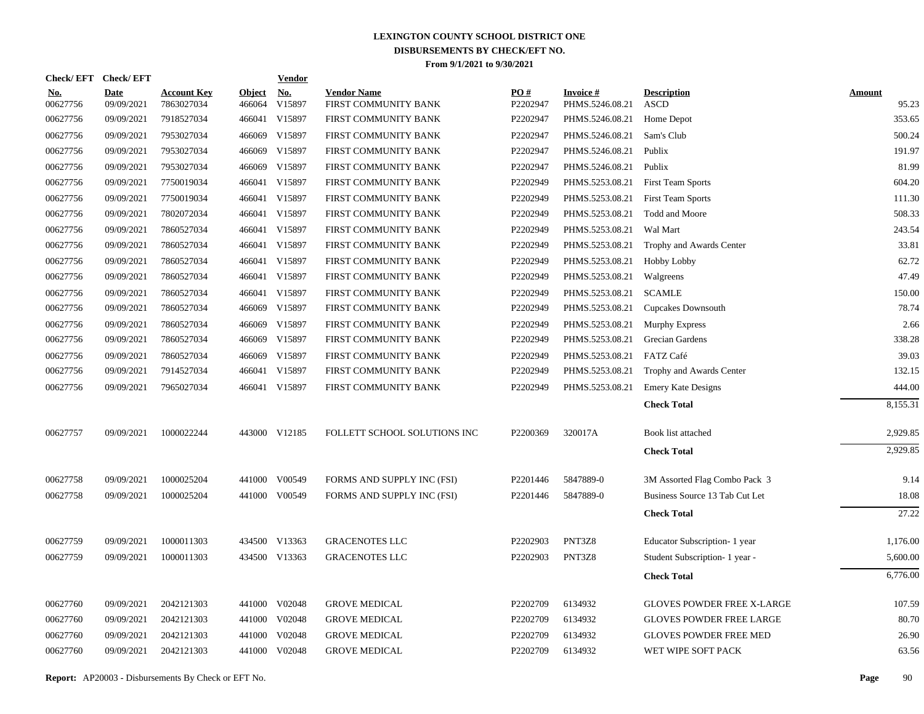| Check/EFT Check/EFT    |                           |                                  |                         | <b>Vendor</b>                         |                                            |                        |                              |                                   |                 |
|------------------------|---------------------------|----------------------------------|-------------------------|---------------------------------------|--------------------------------------------|------------------------|------------------------------|-----------------------------------|-----------------|
| <u>No.</u><br>00627756 | <b>Date</b><br>09/09/2021 | <b>Account Key</b><br>7863027034 | <b>Object</b><br>466064 | $\underline{\mathrm{No}}$ .<br>V15897 | <b>Vendor Name</b><br>FIRST COMMUNITY BANK | <b>PO#</b><br>P2202947 | Invoice #<br>PHMS.5246.08.21 | <b>Description</b><br><b>ASCD</b> | Amount<br>95.23 |
| 00627756               | 09/09/2021                | 7918527034                       |                         | 466041 V15897                         | FIRST COMMUNITY BANK                       | P2202947               | PHMS.5246.08.21              | Home Depot                        | 353.65          |
| 00627756               | 09/09/2021                | 7953027034                       |                         | 466069 V15897                         | FIRST COMMUNITY BANK                       | P2202947               | PHMS.5246.08.21              | Sam's Club                        | 500.24          |
| 00627756               | 09/09/2021                | 7953027034                       | 466069                  | V15897                                | FIRST COMMUNITY BANK                       | P2202947               | PHMS.5246.08.21              | Publix                            | 191.97          |
| 00627756               | 09/09/2021                | 7953027034                       | 466069                  | V15897                                | FIRST COMMUNITY BANK                       | P2202947               | PHMS.5246.08.21              | Publix                            | 81.99           |
| 00627756               | 09/09/2021                | 7750019034                       |                         | 466041 V15897                         | FIRST COMMUNITY BANK                       | P2202949               | PHMS.5253.08.21              | <b>First Team Sports</b>          | 604.20          |
| 00627756               | 09/09/2021                | 7750019034                       |                         | 466041 V15897                         | FIRST COMMUNITY BANK                       | P2202949               | PHMS.5253.08.21              | <b>First Team Sports</b>          | 111.30          |
| 00627756               | 09/09/2021                | 7802072034                       |                         | 466041 V15897                         | FIRST COMMUNITY BANK                       | P2202949               | PHMS.5253.08.21              | Todd and Moore                    | 508.33          |
| 00627756               | 09/09/2021                | 7860527034                       |                         | 466041 V15897                         | FIRST COMMUNITY BANK                       | P2202949               | PHMS.5253.08.21              | Wal Mart                          | 243.54          |
| 00627756               | 09/09/2021                | 7860527034                       |                         | 466041 V15897                         | FIRST COMMUNITY BANK                       | P2202949               | PHMS.5253.08.21              | Trophy and Awards Center          | 33.81           |
| 00627756               | 09/09/2021                | 7860527034                       |                         | 466041 V15897                         | FIRST COMMUNITY BANK                       | P2202949               | PHMS.5253.08.21              | Hobby Lobby                       | 62.72           |
| 00627756               | 09/09/2021                | 7860527034                       |                         | 466041 V15897                         | FIRST COMMUNITY BANK                       | P2202949               | PHMS.5253.08.21              | Walgreens                         | 47.49           |
| 00627756               | 09/09/2021                | 7860527034                       |                         | 466041 V15897                         | FIRST COMMUNITY BANK                       | P2202949               | PHMS.5253.08.21              | <b>SCAMLE</b>                     | 150.00          |
| 00627756               | 09/09/2021                | 7860527034                       |                         | 466069 V15897                         | FIRST COMMUNITY BANK                       | P2202949               | PHMS.5253.08.21              | <b>Cupcakes Downsouth</b>         | 78.74           |
| 00627756               | 09/09/2021                | 7860527034                       |                         | 466069 V15897                         | FIRST COMMUNITY BANK                       | P2202949               | PHMS.5253.08.21              | <b>Murphy Express</b>             | 2.66            |
| 00627756               | 09/09/2021                | 7860527034                       | 466069                  | V15897                                | FIRST COMMUNITY BANK                       | P2202949               | PHMS.5253.08.21              | Grecian Gardens                   | 338.28          |
| 00627756               | 09/09/2021                | 7860527034                       | 466069                  | V15897                                | FIRST COMMUNITY BANK                       | P2202949               | PHMS.5253.08.21              | <b>FATZ Café</b>                  | 39.03           |
| 00627756               | 09/09/2021                | 7914527034                       |                         | 466041 V15897                         | FIRST COMMUNITY BANK                       | P2202949               | PHMS.5253.08.21              | Trophy and Awards Center          | 132.15          |
| 00627756               | 09/09/2021                | 7965027034                       |                         | 466041 V15897                         | FIRST COMMUNITY BANK                       | P2202949               | PHMS.5253.08.21              | <b>Emery Kate Designs</b>         | 444.00          |
|                        |                           |                                  |                         |                                       |                                            |                        |                              | <b>Check Total</b>                | 8,155.31        |
| 00627757               | 09/09/2021                | 1000022244                       |                         | 443000 V12185                         | FOLLETT SCHOOL SOLUTIONS INC               | P2200369               | 320017A                      | Book list attached                | 2,929.85        |
|                        |                           |                                  |                         |                                       |                                            |                        |                              | <b>Check Total</b>                | 2,929.85        |
| 00627758               | 09/09/2021                | 1000025204                       |                         | 441000 V00549                         | FORMS AND SUPPLY INC (FSI)                 | P2201446               | 5847889-0                    | 3M Assorted Flag Combo Pack 3     | 9.14            |
| 00627758               | 09/09/2021                | 1000025204                       |                         | 441000 V00549                         | FORMS AND SUPPLY INC (FSI)                 | P2201446               | 5847889-0                    | Business Source 13 Tab Cut Let    | 18.08           |
|                        |                           |                                  |                         |                                       |                                            |                        |                              | <b>Check Total</b>                | 27.22           |
| 00627759               | 09/09/2021                | 1000011303                       |                         | 434500 V13363                         | <b>GRACENOTES LLC</b>                      | P2202903               | PNT3Z8                       | Educator Subscription- 1 year     | 1,176.00        |
| 00627759               | 09/09/2021                | 1000011303                       |                         | 434500 V13363                         | <b>GRACENOTES LLC</b>                      | P2202903               | PNT3Z8                       | Student Subscription- 1 year -    | 5,600.00        |
|                        |                           |                                  |                         |                                       |                                            |                        |                              | <b>Check Total</b>                | 6,776.00        |
| 00627760               | 09/09/2021                | 2042121303                       |                         | 441000 V02048                         | <b>GROVE MEDICAL</b>                       | P2202709               | 6134932                      | <b>GLOVES POWDER FREE X-LARGE</b> | 107.59          |
| 00627760               | 09/09/2021                | 2042121303                       |                         | 441000 V02048                         | <b>GROVE MEDICAL</b>                       | P2202709               | 6134932                      | <b>GLOVES POWDER FREE LARGE</b>   | 80.70           |
| 00627760               | 09/09/2021                | 2042121303                       | 441000                  | V02048                                | <b>GROVE MEDICAL</b>                       | P2202709               | 6134932                      | <b>GLOVES POWDER FREE MED</b>     | 26.90           |
| 00627760               | 09/09/2021                | 2042121303                       |                         | 441000 V02048                         | <b>GROVE MEDICAL</b>                       | P2202709               | 6134932                      | WET WIPE SOFT PACK                | 63.56           |
|                        |                           |                                  |                         |                                       |                                            |                        |                              |                                   |                 |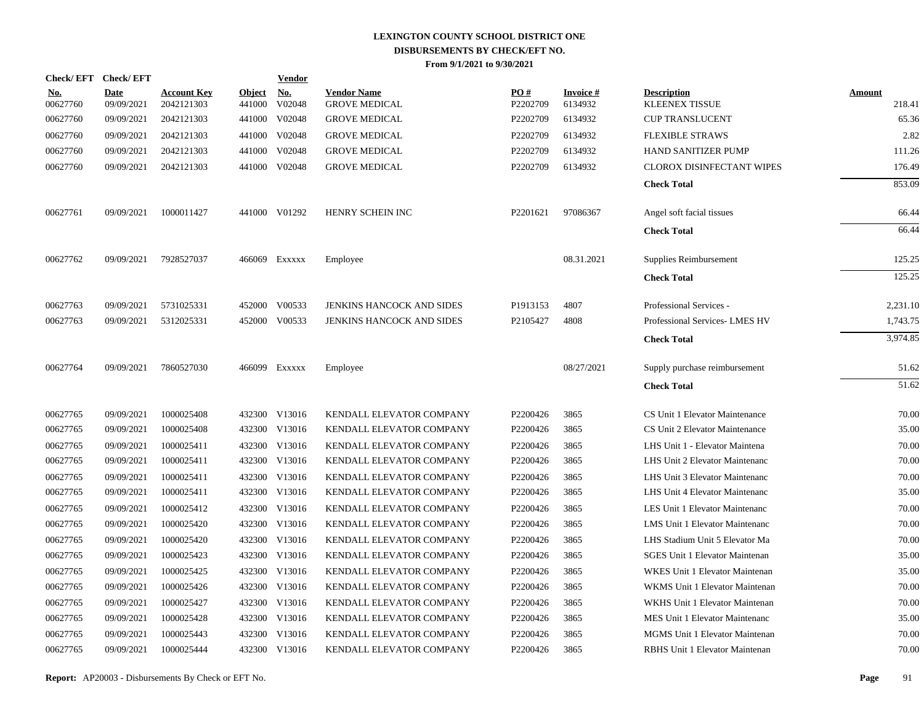|                        | Check/EFT Check/EFT       |                                  |                      | <b>Vendor</b> |                                            |                      |                            |                                             |                  |
|------------------------|---------------------------|----------------------------------|----------------------|---------------|--------------------------------------------|----------------------|----------------------------|---------------------------------------------|------------------|
| <u>No.</u><br>00627760 | <b>Date</b><br>09/09/2021 | <b>Account Key</b><br>2042121303 | Object No.<br>441000 | V02048        | <b>Vendor Name</b><br><b>GROVE MEDICAL</b> | PO#<br>P2202709      | <b>Invoice#</b><br>6134932 | <b>Description</b><br><b>KLEENEX TISSUE</b> | Amount<br>218.41 |
| 00627760               | 09/09/2021                | 2042121303                       | 441000               | V02048        | <b>GROVE MEDICAL</b>                       | P2202709             | 6134932                    | <b>CUP TRANSLUCENT</b>                      | 65.36            |
| 00627760               | 09/09/2021                | 2042121303                       | 441000               | V02048        | <b>GROVE MEDICAL</b>                       | P2202709             | 6134932                    | <b>FLEXIBLE STRAWS</b>                      | 2.82             |
| 00627760               | 09/09/2021                | 2042121303                       | 441000               | V02048        | <b>GROVE MEDICAL</b>                       | P2202709             | 6134932                    | <b>HAND SANITIZER PUMP</b>                  | 111.26           |
| 00627760               | 09/09/2021                | 2042121303                       |                      | 441000 V02048 | <b>GROVE MEDICAL</b>                       | P2202709             | 6134932                    | <b>CLOROX DISINFECTANT WIPES</b>            | 176.49           |
|                        |                           |                                  |                      |               |                                            |                      |                            | <b>Check Total</b>                          | 853.09           |
| 00627761               | 09/09/2021                | 1000011427                       |                      | 441000 V01292 | HENRY SCHEIN INC                           | P2201621             | 97086367                   | Angel soft facial tissues                   | 66.44            |
|                        |                           |                                  |                      |               |                                            |                      |                            | <b>Check Total</b>                          | 66.44            |
| 00627762               | 09/09/2021                | 7928527037                       |                      | 466069 Exxxxx | Employee                                   |                      | 08.31.2021                 | Supplies Reimbursement                      | 125.25           |
|                        |                           |                                  |                      |               |                                            |                      |                            | <b>Check Total</b>                          | 125.25           |
| 00627763               | 09/09/2021                | 5731025331                       | 452000               | V00533        | JENKINS HANCOCK AND SIDES                  | P1913153             | 4807                       | Professional Services -                     | 2,231.10         |
| 00627763               | 09/09/2021                | 5312025331                       |                      | 452000 V00533 | JENKINS HANCOCK AND SIDES                  | P2105427             | 4808                       | Professional Services-LMES HV               | 1,743.75         |
|                        |                           |                                  |                      |               |                                            |                      |                            | <b>Check Total</b>                          | 3,974.85         |
| 00627764               | 09/09/2021                | 7860527030                       |                      | 466099 Exxxxx | Employee                                   |                      | 08/27/2021                 | Supply purchase reimbursement               | 51.62            |
|                        |                           |                                  |                      |               |                                            |                      |                            | <b>Check Total</b>                          | 51.62            |
| 00627765               | 09/09/2021                | 1000025408                       | 432300               | V13016        | KENDALL ELEVATOR COMPANY                   | P2200426             | 3865                       | CS Unit 1 Elevator Maintenance              | 70.00            |
| 00627765               | 09/09/2021                | 1000025408                       | 432300               | V13016        | KENDALL ELEVATOR COMPANY                   | P2200426             | 3865                       | CS Unit 2 Elevator Maintenance              | 35.00            |
| 00627765               | 09/09/2021                | 1000025411                       | 432300               | V13016        | KENDALL ELEVATOR COMPANY                   | P <sub>2200426</sub> | 3865                       | LHS Unit 1 - Elevator Maintena              | 70.00            |
| 00627765               | 09/09/2021                | 1000025411                       |                      | 432300 V13016 | KENDALL ELEVATOR COMPANY                   | P2200426             | 3865                       | LHS Unit 2 Elevator Maintenanc              | 70.00            |
| 00627765               | 09/09/2021                | 1000025411                       | 432300               | V13016        | KENDALL ELEVATOR COMPANY                   | P2200426             | 3865                       | LHS Unit 3 Elevator Maintenanc              | 70.00            |
| 00627765               | 09/09/2021                | 1000025411                       |                      | 432300 V13016 | KENDALL ELEVATOR COMPANY                   | P2200426             | 3865                       | LHS Unit 4 Elevator Maintenanc              | 35.00            |
| 00627765               | 09/09/2021                | 1000025412                       | 432300               | V13016        | KENDALL ELEVATOR COMPANY                   | P2200426             | 3865                       | LES Unit 1 Elevator Maintenanc              | 70.00            |
| 00627765               | 09/09/2021                | 1000025420                       |                      | 432300 V13016 | KENDALL ELEVATOR COMPANY                   | P2200426             | 3865                       | <b>LMS Unit 1 Elevator Maintenanc</b>       | 70.00            |
| 00627765               | 09/09/2021                | 1000025420                       | 432300               | V13016        | KENDALL ELEVATOR COMPANY                   | P2200426             | 3865                       | LHS Stadium Unit 5 Elevator Ma              | 70.00            |
| 00627765               | 09/09/2021                | 1000025423                       |                      | 432300 V13016 | KENDALL ELEVATOR COMPANY                   | P2200426             | 3865                       | <b>SGES Unit 1 Elevator Maintenan</b>       | 35.00            |
| 00627765               | 09/09/2021                | 1000025425                       | 432300               | V13016        | KENDALL ELEVATOR COMPANY                   | P2200426             | 3865                       | WKES Unit 1 Elevator Maintenan              | 35.00            |
| 00627765               | 09/09/2021                | 1000025426                       |                      | 432300 V13016 | KENDALL ELEVATOR COMPANY                   | P2200426             | 3865                       | WKMS Unit 1 Elevator Maintenan              | 70.00            |
| 00627765               | 09/09/2021                | 1000025427                       | 432300               | V13016        | KENDALL ELEVATOR COMPANY                   | P2200426             | 3865                       | WKHS Unit 1 Elevator Maintenan              | 70.00            |
| 00627765               | 09/09/2021                | 1000025428                       |                      | 432300 V13016 | KENDALL ELEVATOR COMPANY                   | P2200426             | 3865                       | MES Unit 1 Elevator Maintenanc              | 35.00            |
| 00627765               | 09/09/2021                | 1000025443                       | 432300               | V13016        | KENDALL ELEVATOR COMPANY                   | P2200426             | 3865                       | MGMS Unit 1 Elevator Maintenan              | 70.00            |
| 00627765               | 09/09/2021                | 1000025444                       |                      | 432300 V13016 | KENDALL ELEVATOR COMPANY                   | P2200426             | 3865                       | RBHS Unit 1 Elevator Maintenan              | 70.00            |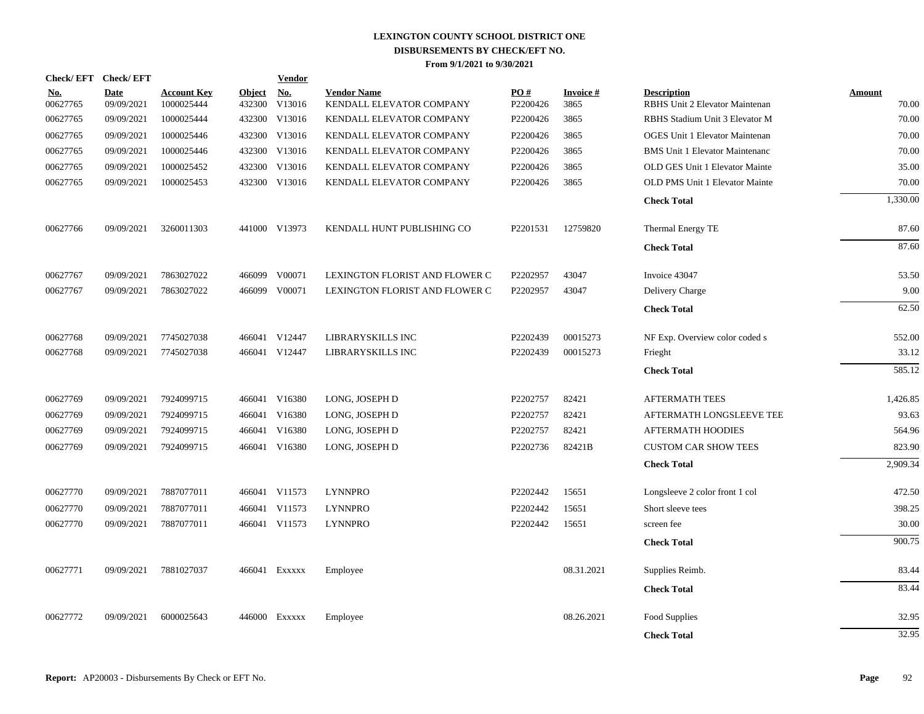|                        | Check/EFT Check/EFT       |                                  |                         | <b>Vendor</b>        |                                                |                 |                         |                                                      |                        |
|------------------------|---------------------------|----------------------------------|-------------------------|----------------------|------------------------------------------------|-----------------|-------------------------|------------------------------------------------------|------------------------|
| <u>No.</u><br>00627765 | <b>Date</b><br>09/09/2021 | <b>Account Key</b><br>1000025444 | <b>Object</b><br>432300 | <u>No.</u><br>V13016 | <b>Vendor Name</b><br>KENDALL ELEVATOR COMPANY | PO#<br>P2200426 | <b>Invoice#</b><br>3865 | <b>Description</b><br>RBHS Unit 2 Elevator Maintenan | <b>Amount</b><br>70.00 |
| 00627765               | 09/09/2021                | 1000025444                       | 432300                  | V13016               | KENDALL ELEVATOR COMPANY                       | P2200426        | 3865                    | RBHS Stadium Unit 3 Elevator M                       | 70.00                  |
| 00627765               | 09/09/2021                | 1000025446                       | 432300                  | V13016               | KENDALL ELEVATOR COMPANY                       | P2200426        | 3865                    | <b>OGES Unit 1 Elevator Maintenan</b>                | 70.00                  |
| 00627765               | 09/09/2021                | 1000025446                       | 432300                  | V13016               | KENDALL ELEVATOR COMPANY                       | P2200426        | 3865                    | <b>BMS</b> Unit 1 Elevator Maintenanc                | 70.00                  |
| 00627765               | 09/09/2021                | 1000025452                       | 432300                  | V13016               | KENDALL ELEVATOR COMPANY                       | P2200426        | 3865                    | OLD GES Unit 1 Elevator Mainte                       | 35.00                  |
| 00627765               | 09/09/2021                | 1000025453                       |                         | 432300 V13016        | KENDALL ELEVATOR COMPANY                       | P2200426        | 3865                    | OLD PMS Unit 1 Elevator Mainte                       | 70.00                  |
|                        |                           |                                  |                         |                      |                                                |                 |                         | <b>Check Total</b>                                   | 1,330.00               |
| 00627766               | 09/09/2021                | 3260011303                       |                         | 441000 V13973        | KENDALL HUNT PUBLISHING CO                     | P2201531        | 12759820                | Thermal Energy TE                                    | 87.60                  |
|                        |                           |                                  |                         |                      |                                                |                 |                         | <b>Check Total</b>                                   | 87.60                  |
| 00627767               | 09/09/2021                | 7863027022                       | 466099                  | V00071               | LEXINGTON FLORIST AND FLOWER C                 | P2202957        | 43047                   | Invoice 43047                                        | 53.50                  |
| 00627767               | 09/09/2021                | 7863027022                       |                         | 466099 V00071        | LEXINGTON FLORIST AND FLOWER C                 | P2202957        | 43047                   | Delivery Charge                                      | 9.00                   |
|                        |                           |                                  |                         |                      |                                                |                 |                         | <b>Check Total</b>                                   | 62.50                  |
| 00627768               | 09/09/2021                | 7745027038                       |                         | 466041 V12447        | LIBRARYSKILLS INC                              | P2202439        | 00015273                | NF Exp. Overview color coded s                       | 552.00                 |
| 00627768               | 09/09/2021                | 7745027038                       |                         | 466041 V12447        | LIBRARYSKILLS INC                              | P2202439        | 00015273                | Frieght                                              | 33.12                  |
|                        |                           |                                  |                         |                      |                                                |                 |                         | <b>Check Total</b>                                   | 585.12                 |
| 00627769               | 09/09/2021                | 7924099715                       |                         | 466041 V16380        | LONG, JOSEPH D                                 | P2202757        | 82421                   | <b>AFTERMATH TEES</b>                                | 1,426.85               |
| 00627769               | 09/09/2021                | 7924099715                       |                         | 466041 V16380        | LONG, JOSEPH D                                 | P2202757        | 82421                   | AFTERMATH LONGSLEEVE TEE                             | 93.63                  |
| 00627769               | 09/09/2021                | 7924099715                       | 466041                  | V16380               | LONG, JOSEPH D                                 | P2202757        | 82421                   | AFTERMATH HOODIES                                    | 564.96                 |
| 00627769               | 09/09/2021                | 7924099715                       |                         | 466041 V16380        | LONG, JOSEPH D                                 | P2202736        | 82421B                  | <b>CUSTOM CAR SHOW TEES</b>                          | 823.90                 |
|                        |                           |                                  |                         |                      |                                                |                 |                         | <b>Check Total</b>                                   | 2,909.34               |
| 00627770               | 09/09/2021                | 7887077011                       |                         | 466041 V11573        | <b>LYNNPRO</b>                                 | P2202442        | 15651                   | Longsleeve 2 color front 1 col                       | 472.50                 |
| 00627770               | 09/09/2021                | 7887077011                       | 466041                  | V11573               | <b>LYNNPRO</b>                                 | P2202442        | 15651                   | Short sleeve tees                                    | 398.25                 |
| 00627770               | 09/09/2021                | 7887077011                       |                         | 466041 V11573        | <b>LYNNPRO</b>                                 | P2202442        | 15651                   | screen fee                                           | 30.00                  |
|                        |                           |                                  |                         |                      |                                                |                 |                         | <b>Check Total</b>                                   | 900.75                 |
| 00627771               | 09/09/2021                | 7881027037                       |                         | 466041 Exxxxx        | Employee                                       |                 | 08.31.2021              | Supplies Reimb.                                      | 83.44                  |
|                        |                           |                                  |                         |                      |                                                |                 |                         | <b>Check Total</b>                                   | 83.44                  |
| 00627772               | 09/09/2021                | 6000025643                       |                         | 446000 Exxxxx        | Employee                                       |                 | 08.26.2021              | Food Supplies                                        | 32.95                  |
|                        |                           |                                  |                         |                      |                                                |                 |                         | <b>Check Total</b>                                   | 32.95                  |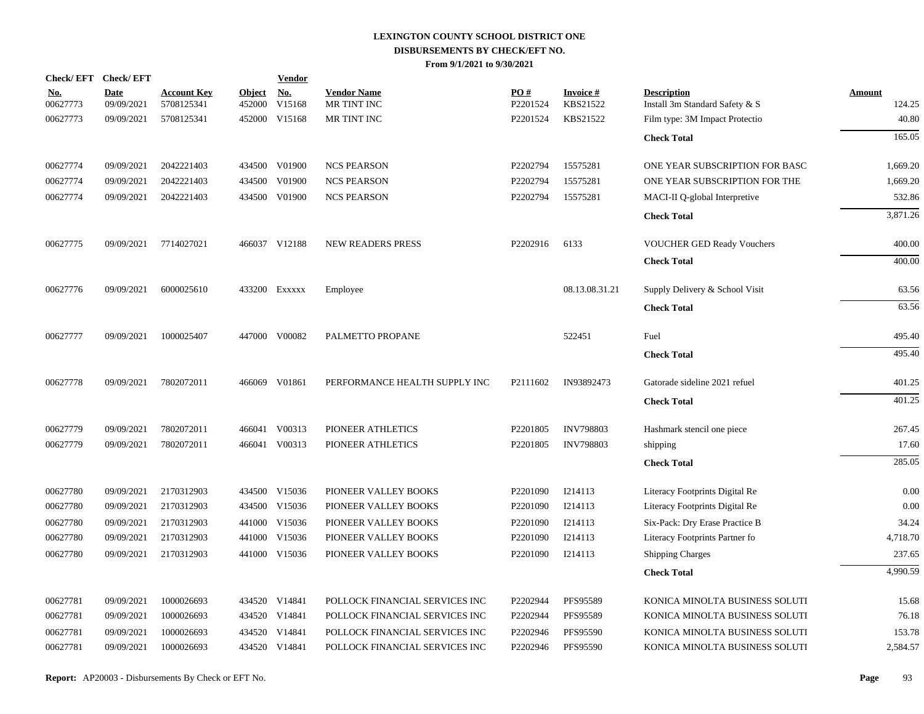|                        | Check/EFT Check/EFT       |                                  |                         | <b>Vendor</b>                    |                                   |                        |                       |                                                      |                  |
|------------------------|---------------------------|----------------------------------|-------------------------|----------------------------------|-----------------------------------|------------------------|-----------------------|------------------------------------------------------|------------------|
| <u>No.</u><br>00627773 | <b>Date</b><br>09/09/2021 | <b>Account Key</b><br>5708125341 | <b>Object</b><br>452000 | $\mathbf{N}\mathbf{o}$<br>V15168 | <b>Vendor Name</b><br>MR TINT INC | <b>PO#</b><br>P2201524 | Invoice #<br>KBS21522 | <b>Description</b><br>Install 3m Standard Safety & S | Amount<br>124.25 |
| 00627773               | 09/09/2021                | 5708125341                       |                         | 452000 V15168                    | MR TINT INC                       | P2201524               | KBS21522              | Film type: 3M Impact Protectio                       | 40.80            |
|                        |                           |                                  |                         |                                  |                                   |                        |                       | <b>Check Total</b>                                   | 165.05           |
| 00627774               | 09/09/2021                | 2042221403                       |                         | 434500 V01900                    | <b>NCS PEARSON</b>                | P2202794               | 15575281              | ONE YEAR SUBSCRIPTION FOR BASC                       | 1,669.20         |
| 00627774               | 09/09/2021                | 2042221403                       |                         | 434500 V01900                    | <b>NCS PEARSON</b>                | P2202794               | 15575281              | ONE YEAR SUBSCRIPTION FOR THE                        | 1,669.20         |
| 00627774               | 09/09/2021                | 2042221403                       |                         | 434500 V01900                    | <b>NCS PEARSON</b>                | P2202794               | 15575281              | MACI-II Q-global Interpretive                        | 532.86           |
|                        |                           |                                  |                         |                                  |                                   |                        |                       | <b>Check Total</b>                                   | 3,871.26         |
| 00627775               | 09/09/2021                | 7714027021                       |                         | 466037 V12188                    | <b>NEW READERS PRESS</b>          | P2202916               | 6133                  | <b>VOUCHER GED Ready Vouchers</b>                    | 400.00           |
|                        |                           |                                  |                         |                                  |                                   |                        |                       | <b>Check Total</b>                                   | 400.00           |
| 00627776               | 09/09/2021                | 6000025610                       |                         | 433200 Exxxxx                    | Employee                          |                        | 08.13.08.31.21        | Supply Delivery & School Visit                       | 63.56            |
|                        |                           |                                  |                         |                                  |                                   |                        |                       | <b>Check Total</b>                                   | 63.56            |
| 00627777               | 09/09/2021                | 1000025407                       |                         | 447000 V00082                    | PALMETTO PROPANE                  |                        | 522451                | Fuel                                                 | 495.40           |
|                        |                           |                                  |                         |                                  |                                   |                        |                       | <b>Check Total</b>                                   | 495.40           |
| 00627778               | 09/09/2021                | 7802072011                       |                         | 466069 V01861                    | PERFORMANCE HEALTH SUPPLY INC     | P2111602               | IN93892473            | Gatorade sideline 2021 refuel                        | 401.25           |
|                        |                           |                                  |                         |                                  |                                   |                        |                       | <b>Check Total</b>                                   | 401.25           |
| 00627779               | 09/09/2021                | 7802072011                       |                         | 466041 V00313                    | PIONEER ATHLETICS                 | P2201805               | <b>INV798803</b>      | Hashmark stencil one piece                           | 267.45           |
| 00627779               | 09/09/2021                | 7802072011                       |                         | 466041 V00313                    | PIONEER ATHLETICS                 | P2201805               | <b>INV798803</b>      | shipping                                             | 17.60            |
|                        |                           |                                  |                         |                                  |                                   |                        |                       | <b>Check Total</b>                                   | 285.05           |
| 00627780               | 09/09/2021                | 2170312903                       |                         | 434500 V15036                    | PIONEER VALLEY BOOKS              | P2201090               | I214113               | Literacy Footprints Digital Re                       | 0.00             |
| 00627780               | 09/09/2021                | 2170312903                       |                         | 434500 V15036                    | PIONEER VALLEY BOOKS              | P2201090               | I214113               | Literacy Footprints Digital Re                       | 0.00             |
| 00627780               | 09/09/2021                | 2170312903                       | 441000                  | V15036                           | PIONEER VALLEY BOOKS              | P2201090               | I214113               | Six-Pack: Dry Erase Practice B                       | 34.24            |
| 00627780               | 09/09/2021                | 2170312903                       |                         | 441000 V15036                    | PIONEER VALLEY BOOKS              | P2201090               | I214113               | Literacy Footprints Partner fo                       | 4,718.70         |
| 00627780               | 09/09/2021                | 2170312903                       |                         | 441000 V15036                    | PIONEER VALLEY BOOKS              | P2201090               | I214113               | Shipping Charges                                     | 237.65           |
|                        |                           |                                  |                         |                                  |                                   |                        |                       | <b>Check Total</b>                                   | 4,990.59         |
| 00627781               | 09/09/2021                | 1000026693                       |                         | 434520 V14841                    | POLLOCK FINANCIAL SERVICES INC    | P2202944               | PFS95589              | KONICA MINOLTA BUSINESS SOLUTI                       | 15.68            |
| 00627781               | 09/09/2021                | 1000026693                       |                         | 434520 V14841                    | POLLOCK FINANCIAL SERVICES INC    | P2202944               | PFS95589              | KONICA MINOLTA BUSINESS SOLUTI                       | 76.18            |
| 00627781               | 09/09/2021                | 1000026693                       |                         | 434520 V14841                    | POLLOCK FINANCIAL SERVICES INC    | P2202946               | PFS95590              | KONICA MINOLTA BUSINESS SOLUTI                       | 153.78           |
| 00627781               | 09/09/2021                | 1000026693                       |                         | 434520 V14841                    | POLLOCK FINANCIAL SERVICES INC    | P2202946               | PFS95590              | KONICA MINOLTA BUSINESS SOLUTI                       | 2,584.57         |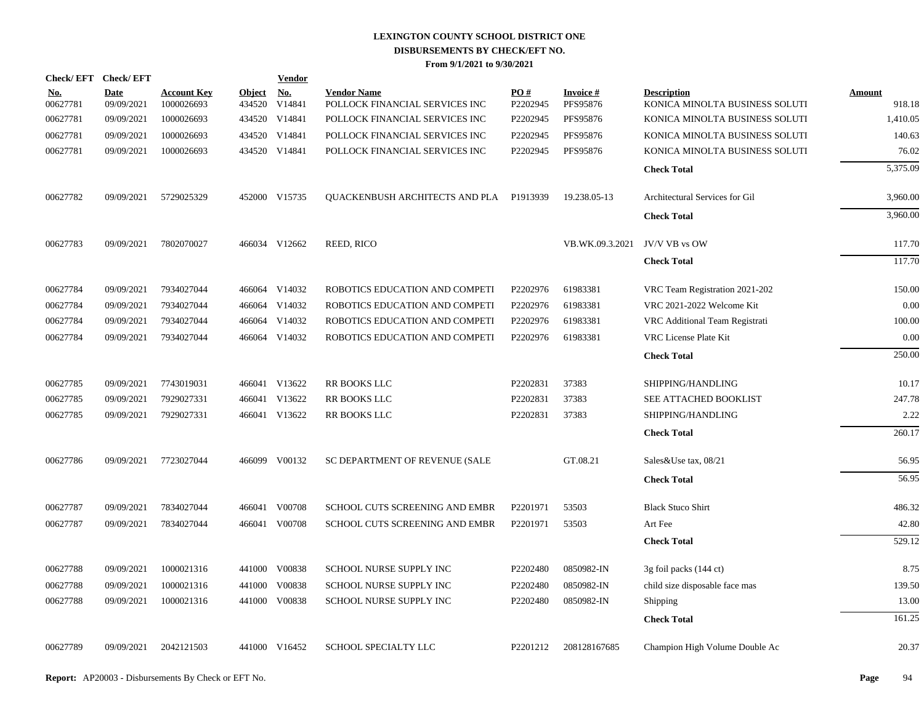| Check/EFT Check/EFT    |                           |                                  |                      | <b>Vendor</b> |                                                      |                 |                             |                                                      |                         |
|------------------------|---------------------------|----------------------------------|----------------------|---------------|------------------------------------------------------|-----------------|-----------------------------|------------------------------------------------------|-------------------------|
| <u>No.</u><br>00627781 | <b>Date</b><br>09/09/2021 | <b>Account Key</b><br>1000026693 | Object No.<br>434520 | V14841        | <b>Vendor Name</b><br>POLLOCK FINANCIAL SERVICES INC | PO#<br>P2202945 | <b>Invoice#</b><br>PFS95876 | <b>Description</b><br>KONICA MINOLTA BUSINESS SOLUTI | <b>Amount</b><br>918.18 |
| 00627781               | 09/09/2021                | 1000026693                       |                      | 434520 V14841 | POLLOCK FINANCIAL SERVICES INC                       | P2202945        | PFS95876                    | KONICA MINOLTA BUSINESS SOLUTI                       | 1,410.05                |
| 00627781               | 09/09/2021                | 1000026693                       |                      | 434520 V14841 | POLLOCK FINANCIAL SERVICES INC                       | P2202945        | PFS95876                    | KONICA MINOLTA BUSINESS SOLUTI                       | 140.63                  |
| 00627781               | 09/09/2021                | 1000026693                       |                      | 434520 V14841 | POLLOCK FINANCIAL SERVICES INC                       | P2202945        | PFS95876                    | KONICA MINOLTA BUSINESS SOLUTI                       | 76.02                   |
|                        |                           |                                  |                      |               |                                                      |                 |                             | <b>Check Total</b>                                   | 5,375.09                |
| 00627782               | 09/09/2021                | 5729025329                       |                      | 452000 V15735 | QUACKENBUSH ARCHITECTS AND PLA P1913939              |                 | 19.238.05-13                | Architectural Services for Gil                       | 3,960.00                |
|                        |                           |                                  |                      |               |                                                      |                 |                             | <b>Check Total</b>                                   | 3,960.00                |
| 00627783               | 09/09/2021                | 7802070027                       |                      | 466034 V12662 | REED, RICO                                           |                 | VB.WK.09.3.2021             | JV/V VB vs OW                                        | 117.70                  |
|                        |                           |                                  |                      |               |                                                      |                 |                             | <b>Check Total</b>                                   | 117.70                  |
| 00627784               | 09/09/2021                | 7934027044                       |                      | 466064 V14032 | ROBOTICS EDUCATION AND COMPETI                       | P2202976        | 61983381                    | VRC Team Registration 2021-202                       | 150.00                  |
| 00627784               | 09/09/2021                | 7934027044                       |                      | 466064 V14032 | ROBOTICS EDUCATION AND COMPETI                       | P2202976        | 61983381                    | VRC 2021-2022 Welcome Kit                            | 0.00                    |
| 00627784               | 09/09/2021                | 7934027044                       | 466064               | V14032        | ROBOTICS EDUCATION AND COMPETI                       | P2202976        | 61983381                    | VRC Additional Team Registrati                       | 100.00                  |
| 00627784               | 09/09/2021                | 7934027044                       |                      | 466064 V14032 | ROBOTICS EDUCATION AND COMPETI                       | P2202976        | 61983381                    | VRC License Plate Kit                                | 0.00                    |
|                        |                           |                                  |                      |               |                                                      |                 |                             | <b>Check Total</b>                                   | 250.00                  |
| 00627785               | 09/09/2021                | 7743019031                       |                      | 466041 V13622 | RR BOOKS LLC                                         | P2202831        | 37383                       | SHIPPING/HANDLING                                    | 10.17                   |
| 00627785               | 09/09/2021                | 7929027331                       | 466041               | V13622        | RR BOOKS LLC                                         | P2202831        | 37383                       | SEE ATTACHED BOOKLIST                                | 247.78                  |
| 00627785               | 09/09/2021                | 7929027331                       |                      | 466041 V13622 | <b>RR BOOKS LLC</b>                                  | P2202831        | 37383                       | SHIPPING/HANDLING                                    | 2.22                    |
|                        |                           |                                  |                      |               |                                                      |                 |                             | <b>Check Total</b>                                   | 260.17                  |
| 00627786               | 09/09/2021                | 7723027044                       |                      | 466099 V00132 | SC DEPARTMENT OF REVENUE (SALE                       |                 | GT.08.21                    | Sales&Use tax, 08/21                                 | 56.95                   |
|                        |                           |                                  |                      |               |                                                      |                 |                             | <b>Check Total</b>                                   | 56.95                   |
| 00627787               | 09/09/2021                | 7834027044                       |                      | 466041 V00708 | SCHOOL CUTS SCREENING AND EMBR                       | P2201971        | 53503                       | <b>Black Stuco Shirt</b>                             | 486.32                  |
| 00627787               | 09/09/2021                | 7834027044                       | 466041               | V00708        | SCHOOL CUTS SCREENING AND EMBR                       | P2201971        | 53503                       | Art Fee                                              | 42.80                   |
|                        |                           |                                  |                      |               |                                                      |                 |                             | <b>Check Total</b>                                   | 529.12                  |
| 00627788               | 09/09/2021                | 1000021316                       |                      | 441000 V00838 | SCHOOL NURSE SUPPLY INC                              | P2202480        | 0850982-IN                  | 3g foil packs (144 ct)                               | 8.75                    |
| 00627788               | 09/09/2021                | 1000021316                       | 441000               | V00838        | SCHOOL NURSE SUPPLY INC                              | P2202480        | 0850982-IN                  | child size disposable face mas                       | 139.50                  |
| 00627788               | 09/09/2021                | 1000021316                       |                      | 441000 V00838 | <b>SCHOOL NURSE SUPPLY INC</b>                       | P2202480        | 0850982-IN                  | Shipping                                             | 13.00                   |
|                        |                           |                                  |                      |               |                                                      |                 |                             | <b>Check Total</b>                                   | 161.25                  |
| 00627789               | 09/09/2021                | 2042121503                       |                      | 441000 V16452 | SCHOOL SPECIALTY LLC                                 | P2201212        | 208128167685                | Champion High Volume Double Ac                       | 20.37                   |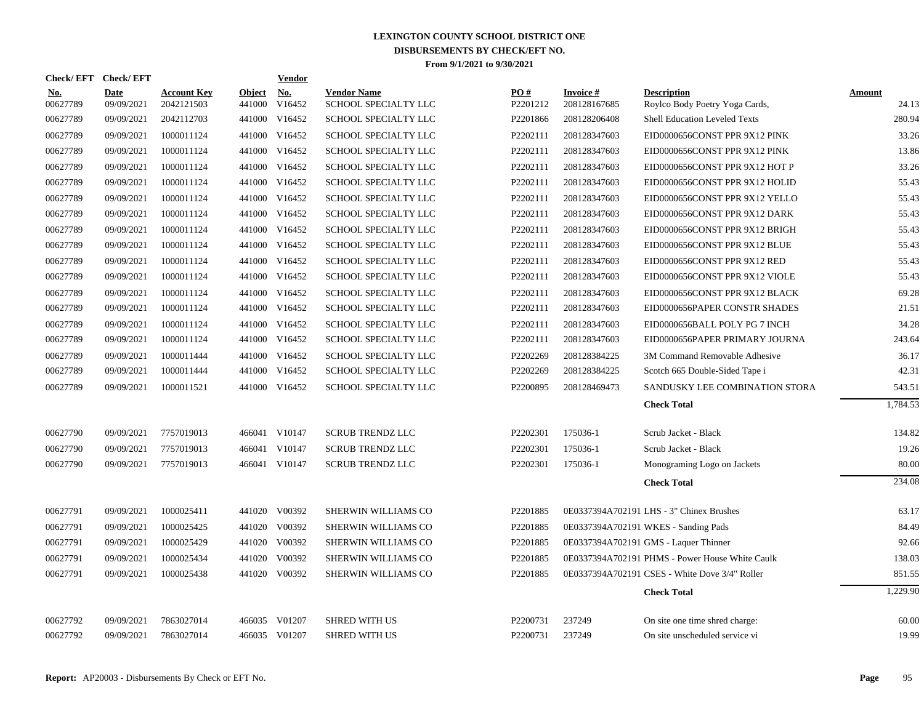| Check/EFT Check/EFT    |                           |                                  |                         | Vendor        |                                            |                 |                           |                                                      |                 |
|------------------------|---------------------------|----------------------------------|-------------------------|---------------|--------------------------------------------|-----------------|---------------------------|------------------------------------------------------|-----------------|
| <b>No.</b><br>00627789 | <b>Date</b><br>09/09/2021 | <b>Account Key</b><br>2042121503 | <b>Object</b><br>441000 | No.<br>V16452 | <b>Vendor Name</b><br>SCHOOL SPECIALTY LLC | PO#<br>P2201212 | Invoice #<br>208128167685 | <b>Description</b><br>Roylco Body Poetry Yoga Cards, | Amount<br>24.13 |
| 00627789               | 09/09/2021                | 2042112703                       |                         | 441000 V16452 | SCHOOL SPECIALTY LLC                       | P2201866        | 208128206408              | Shell Education Leveled Texts                        | 280.94          |
| 00627789               | 09/09/2021                | 1000011124                       | 441000                  | V16452        | SCHOOL SPECIALTY LLC                       | P2202111        | 208128347603              | EID0000656CONST PPR 9X12 PINK                        | 33.26           |
| 00627789               | 09/09/2021                | 1000011124                       |                         | 441000 V16452 | SCHOOL SPECIALTY LLC                       | P2202111        | 208128347603              | EID0000656CONST PPR 9X12 PINK                        | 13.86           |
| 00627789               | 09/09/2021                | 1000011124                       |                         | 441000 V16452 | SCHOOL SPECIALTY LLC                       | P2202111        | 208128347603              | EID0000656CONST PPR 9X12 HOT P                       | 33.26           |
| 00627789               | 09/09/2021                | 1000011124                       |                         | 441000 V16452 | SCHOOL SPECIALTY LLC                       | P2202111        | 208128347603              | EID0000656CONST PPR 9X12 HOLID                       | 55.43           |
| 00627789               | 09/09/2021                | 1000011124                       |                         | 441000 V16452 | SCHOOL SPECIALTY LLC                       | P2202111        | 208128347603              | EID0000656CONST PPR 9X12 YELLO                       | 55.43           |
| 00627789               | 09/09/2021                | 1000011124                       |                         | 441000 V16452 | SCHOOL SPECIALTY LLC                       | P2202111        | 208128347603              | EID0000656CONST PPR 9X12 DARK                        | 55.43           |
| 00627789               | 09/09/2021                | 1000011124                       |                         | 441000 V16452 | SCHOOL SPECIALTY LLC                       | P2202111        | 208128347603              | EID0000656CONST PPR 9X12 BRIGH                       | 55.43           |
| 00627789               | 09/09/2021                | 1000011124                       |                         | 441000 V16452 | <b>SCHOOL SPECIALTY LLC</b>                | P2202111        | 208128347603              | EID0000656CONST PPR 9X12 BLUE                        | 55.43           |
| 00627789               | 09/09/2021                | 1000011124                       | 441000                  | V16452        | SCHOOL SPECIALTY LLC                       | P2202111        | 208128347603              | EID0000656CONST PPR 9X12 RED                         | 55.43           |
| 00627789               | 09/09/2021                | 1000011124                       | 441000                  | V16452        | SCHOOL SPECIALTY LLC                       | P2202111        | 208128347603              | EID0000656CONST PPR 9X12 VIOLE                       | 55.43           |
| 00627789               | 09/09/2021                | 1000011124                       |                         | 441000 V16452 | <b>SCHOOL SPECIALTY LLC</b>                | P2202111        | 208128347603              | EID0000656CONST PPR 9X12 BLACK                       | 69.28           |
| 00627789               | 09/09/2021                | 1000011124                       |                         | 441000 V16452 | SCHOOL SPECIALTY LLC                       | P2202111        | 208128347603              | EID0000656PAPER CONSTR SHADES                        | 21.51           |
| 00627789               | 09/09/2021                | 1000011124                       |                         | 441000 V16452 | SCHOOL SPECIALTY LLC                       | P2202111        | 208128347603              | EID0000656BALL POLY PG 7 INCH                        | 34.28           |
| 00627789               | 09/09/2021                | 1000011124                       |                         | 441000 V16452 | SCHOOL SPECIALTY LLC                       | P2202111        | 208128347603              | EID0000656PAPER PRIMARY JOURNA                       | 243.64          |
| 00627789               | 09/09/2021                | 1000011444                       |                         | 441000 V16452 | SCHOOL SPECIALTY LLC                       | P2202269        | 208128384225              | 3M Command Removable Adhesive                        | 36.17           |
| 00627789               | 09/09/2021                | 1000011444                       |                         | 441000 V16452 | SCHOOL SPECIALTY LLC                       | P2202269        | 208128384225              | Scotch 665 Double-Sided Tape i                       | 42.31           |
| 00627789               | 09/09/2021                | 1000011521                       |                         | 441000 V16452 | SCHOOL SPECIALTY LLC                       | P2200895        | 208128469473              | SANDUSKY LEE COMBINATION STORA                       | 543.51          |
|                        |                           |                                  |                         |               |                                            |                 |                           | <b>Check Total</b>                                   | 1,784.53        |
| 00627790               | 09/09/2021                | 7757019013                       |                         | 466041 V10147 | <b>SCRUB TRENDZ LLC</b>                    | P2202301        | 175036-1                  | Scrub Jacket - Black                                 | 134.82          |
| 00627790               | 09/09/2021                | 7757019013                       |                         | 466041 V10147 | <b>SCRUB TRENDZ LLC</b>                    | P2202301        | 175036-1                  | Scrub Jacket - Black                                 | 19.26           |
| 00627790               | 09/09/2021                | 7757019013                       |                         | 466041 V10147 | <b>SCRUB TRENDZ LLC</b>                    | P2202301        | 175036-1                  | Monograming Logo on Jackets                          | 80.00           |
|                        |                           |                                  |                         |               |                                            |                 |                           | <b>Check Total</b>                                   | 234.08          |
| 00627791               | 09/09/2021                | 1000025411                       |                         | 441020 V00392 | SHERWIN WILLIAMS CO                        | P2201885        |                           | 0E0337394A702191 LHS - 3" Chinex Brushes             | 63.17           |
| 00627791               | 09/09/2021                | 1000025425                       |                         | 441020 V00392 | SHERWIN WILLIAMS CO                        | P2201885        |                           | 0E0337394A702191 WKES - Sanding Pads                 | 84.49           |
| 00627791               | 09/09/2021                | 1000025429                       |                         | 441020 V00392 | SHERWIN WILLIAMS CO                        | P2201885        |                           | 0E0337394A702191 GMS - Laquer Thinner                | 92.66           |
| 00627791               | 09/09/2021                | 1000025434                       |                         | 441020 V00392 | SHERWIN WILLIAMS CO                        | P2201885        |                           | 0E0337394A702191 PHMS - Power House White Caulk      | 138.03          |
| 00627791               | 09/09/2021                | 1000025438                       |                         | 441020 V00392 | SHERWIN WILLIAMS CO                        | P2201885        |                           | 0E0337394A702191 CSES - White Dove 3/4" Roller       | 851.55          |
|                        |                           |                                  |                         |               |                                            |                 |                           | <b>Check Total</b>                                   | 1,229.90        |
| 00627792               | 09/09/2021                | 7863027014                       |                         | 466035 V01207 | <b>SHRED WITH US</b>                       | P2200731        | 237249                    | On site one time shred charge:                       | 60.00           |
| 00627792               | 09/09/2021                | 7863027014                       |                         | 466035 V01207 | <b>SHRED WITH US</b>                       | P2200731        | 237249                    | On site unscheduled service vi                       | 19.99           |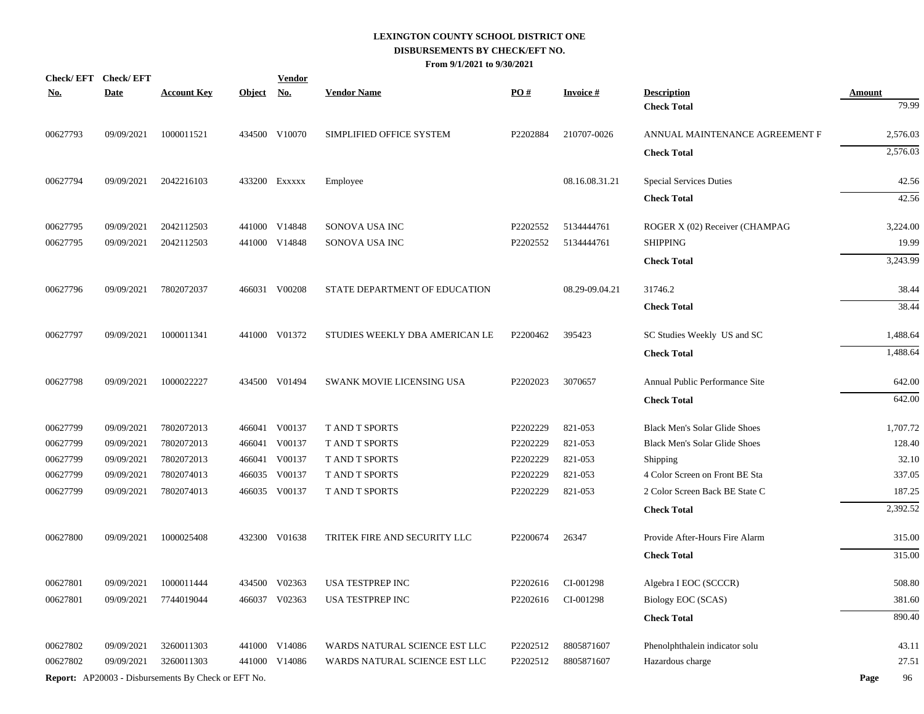| <u>No.</u> | Check/EFT Check/EFT<br><b>Date</b> | <b>Account Key</b>                                         | <b>Object</b> | <b>Vendor</b><br>No. | <b>Vendor Name</b>             | $\underline{PO#}$ | <b>Invoice#</b> | <b>Description</b>                   | <b>Amount</b> |
|------------|------------------------------------|------------------------------------------------------------|---------------|----------------------|--------------------------------|-------------------|-----------------|--------------------------------------|---------------|
|            |                                    |                                                            |               |                      |                                |                   |                 | <b>Check Total</b>                   | 79.99         |
| 00627793   | 09/09/2021                         | 1000011521                                                 |               | 434500 V10070        | SIMPLIFIED OFFICE SYSTEM       | P2202884          | 210707-0026     | ANNUAL MAINTENANCE AGREEMENT F       | 2,576.03      |
|            |                                    |                                                            |               |                      |                                |                   |                 | <b>Check Total</b>                   | 2,576.03      |
| 00627794   | 09/09/2021                         | 2042216103                                                 |               | 433200 EXXXXX        | Employee                       |                   | 08.16.08.31.21  | <b>Special Services Duties</b>       | 42.56         |
|            |                                    |                                                            |               |                      |                                |                   |                 | <b>Check Total</b>                   | 42.56         |
| 00627795   | 09/09/2021                         | 2042112503                                                 |               | 441000 V14848        | SONOVA USA INC                 | P2202552          | 5134444761      | ROGER X (02) Receiver (CHAMPAG       | 3,224.00      |
| 00627795   | 09/09/2021                         | 2042112503                                                 |               | 441000 V14848        | SONOVA USA INC                 | P2202552          | 5134444761      | <b>SHIPPING</b>                      | 19.99         |
|            |                                    |                                                            |               |                      |                                |                   |                 | <b>Check Total</b>                   | 3,243.99      |
| 00627796   | 09/09/2021                         | 7802072037                                                 |               | 466031 V00208        | STATE DEPARTMENT OF EDUCATION  |                   | 08.29-09.04.21  | 31746.2                              | 38.44         |
|            |                                    |                                                            |               |                      |                                |                   |                 | <b>Check Total</b>                   | 38.44         |
| 00627797   | 09/09/2021                         | 1000011341                                                 |               | 441000 V01372        | STUDIES WEEKLY DBA AMERICAN LE | P2200462          | 395423          | SC Studies Weekly US and SC          | 1,488.64      |
|            |                                    |                                                            |               |                      |                                |                   |                 | <b>Check Total</b>                   | 1,488.64      |
| 00627798   | 09/09/2021                         | 1000022227                                                 |               | 434500 V01494        | SWANK MOVIE LICENSING USA      | P2202023          | 3070657         | Annual Public Performance Site       | 642.00        |
|            |                                    |                                                            |               |                      |                                |                   |                 | <b>Check Total</b>                   | 642.00        |
| 00627799   | 09/09/2021                         | 7802072013                                                 |               | 466041 V00137        | <b>T AND T SPORTS</b>          | P2202229          | 821-053         | <b>Black Men's Solar Glide Shoes</b> | 1,707.72      |
| 00627799   | 09/09/2021                         | 7802072013                                                 |               | 466041 V00137        | T AND T SPORTS                 | P2202229          | 821-053         | <b>Black Men's Solar Glide Shoes</b> | 128.40        |
| 00627799   | 09/09/2021                         | 7802072013                                                 |               | 466041 V00137        | <b>T AND T SPORTS</b>          | P2202229          | 821-053         | Shipping                             | 32.10         |
| 00627799   | 09/09/2021                         | 7802074013                                                 |               | 466035 V00137        | T AND T SPORTS                 | P2202229          | 821-053         | 4 Color Screen on Front BE Sta       | 337.05        |
| 00627799   | 09/09/2021                         | 7802074013                                                 |               | 466035 V00137        | T AND T SPORTS                 | P2202229          | 821-053         | 2 Color Screen Back BE State C       | 187.25        |
|            |                                    |                                                            |               |                      |                                |                   |                 | <b>Check Total</b>                   | 2,392.52      |
| 00627800   | 09/09/2021                         | 1000025408                                                 |               | 432300 V01638        | TRITEK FIRE AND SECURITY LLC   | P2200674          | 26347           | Provide After-Hours Fire Alarm       | 315.00        |
|            |                                    |                                                            |               |                      |                                |                   |                 | <b>Check Total</b>                   | 315.00        |
| 00627801   | 09/09/2021                         | 1000011444                                                 |               | 434500 V02363        | <b>USA TESTPREP INC</b>        | P2202616          | CI-001298       | Algebra I EOC (SCCCR)                | 508.80        |
| 00627801   | 09/09/2021                         | 7744019044                                                 |               | 466037 V02363        | USA TESTPREP INC               | P2202616          | CI-001298       | Biology EOC (SCAS)                   | 381.60        |
|            |                                    |                                                            |               |                      |                                |                   |                 | <b>Check Total</b>                   | 890.40        |
| 00627802   | 09/09/2021                         | 3260011303                                                 |               | 441000 V14086        | WARDS NATURAL SCIENCE EST LLC  | P2202512          | 8805871607      | Phenolphthalein indicator solu       | 43.11         |
| 00627802   | 09/09/2021                         | 3260011303                                                 |               | 441000 V14086        | WARDS NATURAL SCIENCE EST LLC  | P2202512          | 8805871607      | Hazardous charge                     | 27.51         |
|            |                                    | <b>Report:</b> AP20003 - Disbursements By Check or EFT No. |               |                      |                                |                   |                 |                                      | 96<br>Page    |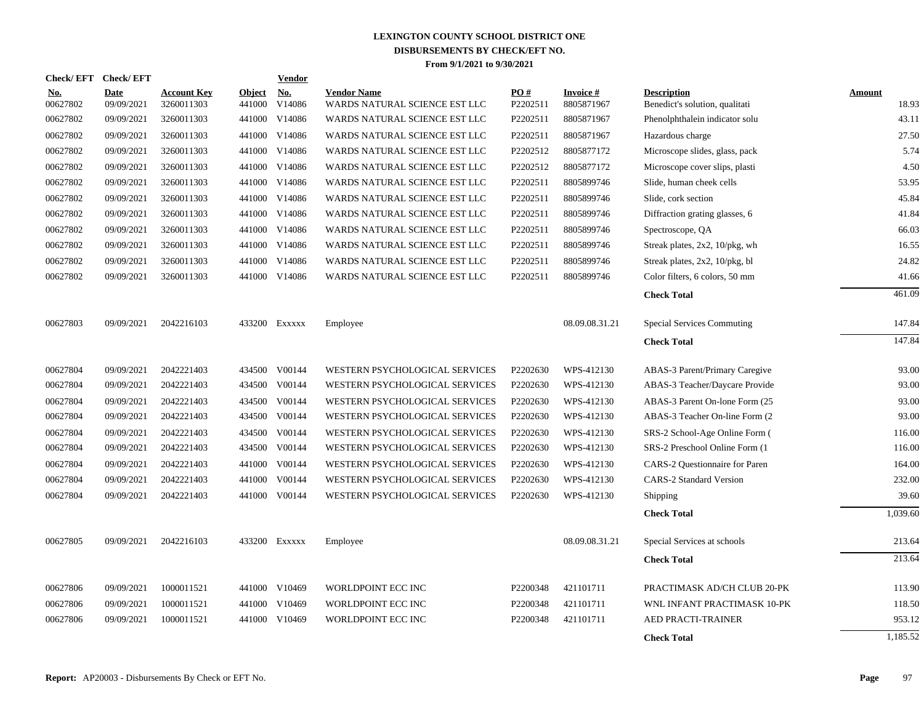|                        | Check/EFT Check/EFT       |                                  |                         | <b>Vendor</b>     |                                                     |                 |                               |                                                      |                        |
|------------------------|---------------------------|----------------------------------|-------------------------|-------------------|-----------------------------------------------------|-----------------|-------------------------------|------------------------------------------------------|------------------------|
| <b>No.</b><br>00627802 | <b>Date</b><br>09/09/2021 | <b>Account Key</b><br>3260011303 | <b>Object</b><br>441000 | $N_{0}$<br>V14086 | <b>Vendor Name</b><br>WARDS NATURAL SCIENCE EST LLC | PO#<br>P2202511 | <b>Invoice#</b><br>8805871967 | <b>Description</b><br>Benedict's solution, qualitati | <b>Amount</b><br>18.93 |
| 00627802               | 09/09/2021                | 3260011303                       | 441000                  | V14086            | WARDS NATURAL SCIENCE EST LLC                       | P2202511        | 8805871967                    | Phenolphthalein indicator solu                       | 43.11                  |
| 00627802               | 09/09/2021                | 3260011303                       | 441000                  | V14086            | WARDS NATURAL SCIENCE EST LLC                       | P2202511        | 8805871967                    | Hazardous charge                                     | 27.50                  |
| 00627802               | 09/09/2021                | 3260011303                       | 441000                  | V14086            | WARDS NATURAL SCIENCE EST LLC                       | P2202512        | 8805877172                    | Microscope slides, glass, pack                       | 5.74                   |
| 00627802               | 09/09/2021                | 3260011303                       | 441000                  | V14086            | WARDS NATURAL SCIENCE EST LLC                       | P2202512        | 8805877172                    | Microscope cover slips, plasti                       | 4.50                   |
| 00627802               | 09/09/2021                | 3260011303                       | 441000                  | V14086            | WARDS NATURAL SCIENCE EST LLC                       | P2202511        | 8805899746                    | Slide, human cheek cells                             | 53.95                  |
| 00627802               | 09/09/2021                | 3260011303                       | 441000                  | V14086            | WARDS NATURAL SCIENCE EST LLC                       | P2202511        | 8805899746                    | Slide, cork section                                  | 45.84                  |
| 00627802               | 09/09/2021                | 3260011303                       | 441000                  | V14086            | WARDS NATURAL SCIENCE EST LLC                       | P2202511        | 8805899746                    | Diffraction grating glasses, 6                       | 41.84                  |
| 00627802               | 09/09/2021                | 3260011303                       | 441000                  | V14086            | WARDS NATURAL SCIENCE EST LLC                       | P2202511        | 8805899746                    | Spectroscope, QA                                     | 66.03                  |
| 00627802               | 09/09/2021                | 3260011303                       | 441000                  | V14086            | WARDS NATURAL SCIENCE EST LLC                       | P2202511        | 8805899746                    | Streak plates, 2x2, 10/pkg, wh                       | 16.55                  |
| 00627802               | 09/09/2021                | 3260011303                       | 441000                  | V14086            | WARDS NATURAL SCIENCE EST LLC                       | P2202511        | 8805899746                    | Streak plates, 2x2, 10/pkg, bl                       | 24.82                  |
| 00627802               | 09/09/2021                | 3260011303                       |                         | 441000 V14086     | WARDS NATURAL SCIENCE EST LLC                       | P2202511        | 8805899746                    | Color filters, 6 colors, 50 mm                       | 41.66                  |
|                        |                           |                                  |                         |                   |                                                     |                 |                               | <b>Check Total</b>                                   | 461.09                 |
| 00627803               | 09/09/2021                | 2042216103                       |                         | 433200 Exxxxx     | Employee                                            |                 | 08.09.08.31.21                | <b>Special Services Commuting</b>                    | 147.84                 |
|                        |                           |                                  |                         |                   |                                                     |                 |                               | <b>Check Total</b>                                   | 147.84                 |
| 00627804               | 09/09/2021                | 2042221403                       |                         | 434500 V00144     | WESTERN PSYCHOLOGICAL SERVICES                      | P2202630        | WPS-412130                    | ABAS-3 Parent/Primary Caregive                       | 93.00                  |
| 00627804               | 09/09/2021                | 2042221403                       |                         | 434500 V00144     | WESTERN PSYCHOLOGICAL SERVICES                      | P2202630        | WPS-412130                    | ABAS-3 Teacher/Daycare Provide                       | 93.00                  |
| 00627804               | 09/09/2021                | 2042221403                       |                         | 434500 V00144     | WESTERN PSYCHOLOGICAL SERVICES                      | P2202630        | WPS-412130                    | ABAS-3 Parent On-lone Form (25                       | 93.00                  |
| 00627804               | 09/09/2021                | 2042221403                       |                         | 434500 V00144     | WESTERN PSYCHOLOGICAL SERVICES                      | P2202630        | WPS-412130                    | ABAS-3 Teacher On-line Form (2)                      | 93.00                  |
| 00627804               | 09/09/2021                | 2042221403                       | 434500                  | V00144            | WESTERN PSYCHOLOGICAL SERVICES                      | P2202630        | WPS-412130                    | SRS-2 School-Age Online Form (                       | 116.00                 |
| 00627804               | 09/09/2021                | 2042221403                       | 434500                  | V00144            | WESTERN PSYCHOLOGICAL SERVICES                      | P2202630        | WPS-412130                    | SRS-2 Preschool Online Form (1                       | 116.00                 |
| 00627804               | 09/09/2021                | 2042221403                       | 441000                  | V00144            | WESTERN PSYCHOLOGICAL SERVICES                      | P2202630        | WPS-412130                    | CARS-2 Questionnaire for Paren                       | 164.00                 |
| 00627804               | 09/09/2021                | 2042221403                       | 441000                  | V00144            | WESTERN PSYCHOLOGICAL SERVICES                      | P2202630        | WPS-412130                    | <b>CARS-2 Standard Version</b>                       | 232.00                 |
| 00627804               | 09/09/2021                | 2042221403                       | 441000                  | V00144            | WESTERN PSYCHOLOGICAL SERVICES                      | P2202630        | WPS-412130                    | <b>Shipping</b>                                      | 39.60                  |
|                        |                           |                                  |                         |                   |                                                     |                 |                               | <b>Check Total</b>                                   | 1,039.60               |
| 00627805               | 09/09/2021                | 2042216103                       |                         | 433200 Exxxxx     | Employee                                            |                 | 08.09.08.31.21                | Special Services at schools                          | 213.64                 |
|                        |                           |                                  |                         |                   |                                                     |                 |                               | <b>Check Total</b>                                   | 213.64                 |
| 00627806               | 09/09/2021                | 1000011521                       |                         | 441000 V10469     | WORLDPOINT ECC INC                                  | P2200348        | 421101711                     | PRACTIMASK AD/CH CLUB 20-PK                          | 113.90                 |
| 00627806               | 09/09/2021                | 1000011521                       | 441000                  | V10469            | WORLDPOINT ECC INC                                  | P2200348        | 421101711                     | WNL INFANT PRACTIMASK 10-PK                          | 118.50                 |
| 00627806               | 09/09/2021                | 1000011521                       | 441000                  | V10469            | WORLDPOINT ECC INC                                  | P2200348        | 421101711                     | AED PRACTI-TRAINER                                   | 953.12                 |
|                        |                           |                                  |                         |                   |                                                     |                 |                               | <b>Check Total</b>                                   | 1,185.52               |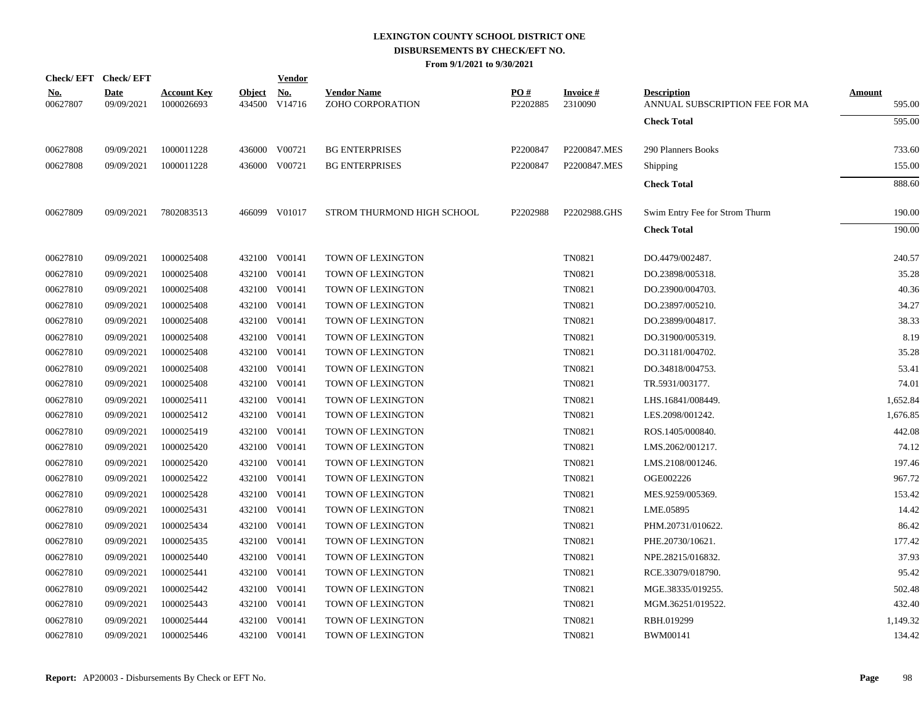|                        | Check/EFT Check/EFT       |                                  |                         | <b>Vendor</b>        |                                        |                 |                            |                                                      |                         |
|------------------------|---------------------------|----------------------------------|-------------------------|----------------------|----------------------------------------|-----------------|----------------------------|------------------------------------------------------|-------------------------|
| <u>No.</u><br>00627807 | <b>Date</b><br>09/09/2021 | <b>Account Key</b><br>1000026693 | <b>Object</b><br>434500 | <u>No.</u><br>V14716 | <b>Vendor Name</b><br>ZOHO CORPORATION | PO#<br>P2202885 | <b>Invoice#</b><br>2310090 | <b>Description</b><br>ANNUAL SUBSCRIPTION FEE FOR MA | <b>Amount</b><br>595.00 |
|                        |                           |                                  |                         |                      |                                        |                 |                            | <b>Check Total</b>                                   | 595.00                  |
| 00627808               | 09/09/2021                | 1000011228                       |                         | 436000 V00721        | <b>BG ENTERPRISES</b>                  | P2200847        | P2200847.MES               | 290 Planners Books                                   | 733.60                  |
| 00627808               | 09/09/2021                | 1000011228                       |                         | 436000 V00721        | <b>BG ENTERPRISES</b>                  | P2200847        | P2200847.MES               | <b>Shipping</b>                                      | 155.00                  |
|                        |                           |                                  |                         |                      |                                        |                 |                            | <b>Check Total</b>                                   | 888.60                  |
| 00627809               | 09/09/2021                | 7802083513                       |                         | 466099 V01017        | STROM THURMOND HIGH SCHOOL             | P2202988        | P2202988.GHS               | Swim Entry Fee for Strom Thurm                       | 190.00                  |
|                        |                           |                                  |                         |                      |                                        |                 |                            | <b>Check Total</b>                                   | 190.00                  |
| 00627810               | 09/09/2021                | 1000025408                       |                         | 432100 V00141        | <b>TOWN OF LEXINGTON</b>               |                 | <b>TN0821</b>              | DO.4479/002487.                                      | 240.57                  |
| 00627810               | 09/09/2021                | 1000025408                       |                         | 432100 V00141        | <b>TOWN OF LEXINGTON</b>               |                 | <b>TN0821</b>              | DO.23898/005318.                                     | 35.28                   |
| 00627810               | 09/09/2021                | 1000025408                       | 432100                  | V00141               | TOWN OF LEXINGTON                      |                 | <b>TN0821</b>              | DO.23900/004703.                                     | 40.36                   |
| 00627810               | 09/09/2021                | 1000025408                       |                         | 432100 V00141        | TOWN OF LEXINGTON                      |                 | <b>TN0821</b>              | DO.23897/005210.                                     | 34.27                   |
| 00627810               | 09/09/2021                | 1000025408                       |                         | 432100 V00141        | TOWN OF LEXINGTON                      |                 | TN0821                     | DO.23899/004817.                                     | 38.33                   |
| 00627810               | 09/09/2021                | 1000025408                       |                         | 432100 V00141        | TOWN OF LEXINGTON                      |                 | <b>TN0821</b>              | DO.31900/005319.                                     | 8.19                    |
| 00627810               | 09/09/2021                | 1000025408                       | 432100                  | V00141               | TOWN OF LEXINGTON                      |                 | <b>TN0821</b>              | DO.31181/004702.                                     | 35.28                   |
| 00627810               | 09/09/2021                | 1000025408                       |                         | 432100 V00141        | TOWN OF LEXINGTON                      |                 | <b>TN0821</b>              | DO.34818/004753.                                     | 53.41                   |
| 00627810               | 09/09/2021                | 1000025408                       |                         | 432100 V00141        | TOWN OF LEXINGTON                      |                 | <b>TN0821</b>              | TR.5931/003177.                                      | 74.01                   |
| 00627810               | 09/09/2021                | 1000025411                       |                         | 432100 V00141        | TOWN OF LEXINGTON                      |                 | <b>TN0821</b>              | LHS.16841/008449.                                    | 1,652.84                |
| 00627810               | 09/09/2021                | 1000025412                       |                         | 432100 V00141        | TOWN OF LEXINGTON                      |                 | <b>TN0821</b>              | LES.2098/001242.                                     | 1,676.85                |
| 00627810               | 09/09/2021                | 1000025419                       |                         | 432100 V00141        | TOWN OF LEXINGTON                      |                 | <b>TN0821</b>              | ROS.1405/000840.                                     | 442.08                  |
| 00627810               | 09/09/2021                | 1000025420                       |                         | 432100 V00141        | TOWN OF LEXINGTON                      |                 | <b>TN0821</b>              | LMS.2062/001217.                                     | 74.12                   |
| 00627810               | 09/09/2021                | 1000025420                       | 432100                  | V00141               | TOWN OF LEXINGTON                      |                 | <b>TN0821</b>              | LMS.2108/001246.                                     | 197.46                  |
| 00627810               | 09/09/2021                | 1000025422                       | 432100                  | V00141               | TOWN OF LEXINGTON                      |                 | <b>TN0821</b>              | OGE002226                                            | 967.72                  |
| 00627810               | 09/09/2021                | 1000025428                       |                         | 432100 V00141        | TOWN OF LEXINGTON                      |                 | TN0821                     | MES.9259/005369.                                     | 153.42                  |
| 00627810               | 09/09/2021                | 1000025431                       |                         | 432100 V00141        | <b>TOWN OF LEXINGTON</b>               |                 | <b>TN0821</b>              | LME.05895                                            | 14.42                   |
| 00627810               | 09/09/2021                | 1000025434                       | 432100                  | V00141               | TOWN OF LEXINGTON                      |                 | <b>TN0821</b>              | PHM.20731/010622.                                    | 86.42                   |
| 00627810               | 09/09/2021                | 1000025435                       |                         | 432100 V00141        | <b>TOWN OF LEXINGTON</b>               |                 | <b>TN0821</b>              | PHE.20730/10621.                                     | 177.42                  |
| 00627810               | 09/09/2021                | 1000025440                       | 432100                  | V00141               | TOWN OF LEXINGTON                      |                 | <b>TN0821</b>              | NPE.28215/016832.                                    | 37.93                   |
| 00627810               | 09/09/2021                | 1000025441                       |                         | 432100 V00141        | TOWN OF LEXINGTON                      |                 | <b>TN0821</b>              | RCE.33079/018790.                                    | 95.42                   |
| 00627810               | 09/09/2021                | 1000025442                       |                         | 432100 V00141        | TOWN OF LEXINGTON                      |                 | <b>TN0821</b>              | MGE.38335/019255.                                    | 502.48                  |
| 00627810               | 09/09/2021                | 1000025443                       | 432100                  | V00141               | TOWN OF LEXINGTON                      |                 | <b>TN0821</b>              | MGM.36251/019522.                                    | 432.40                  |
| 00627810               | 09/09/2021                | 1000025444                       |                         | 432100 V00141        | TOWN OF LEXINGTON                      |                 | <b>TN0821</b>              | RBH.019299                                           | 1,149.32                |
| 00627810               | 09/09/2021                | 1000025446                       |                         | 432100 V00141        | <b>TOWN OF LEXINGTON</b>               |                 | <b>TN0821</b>              | <b>BWM00141</b>                                      | 134.42                  |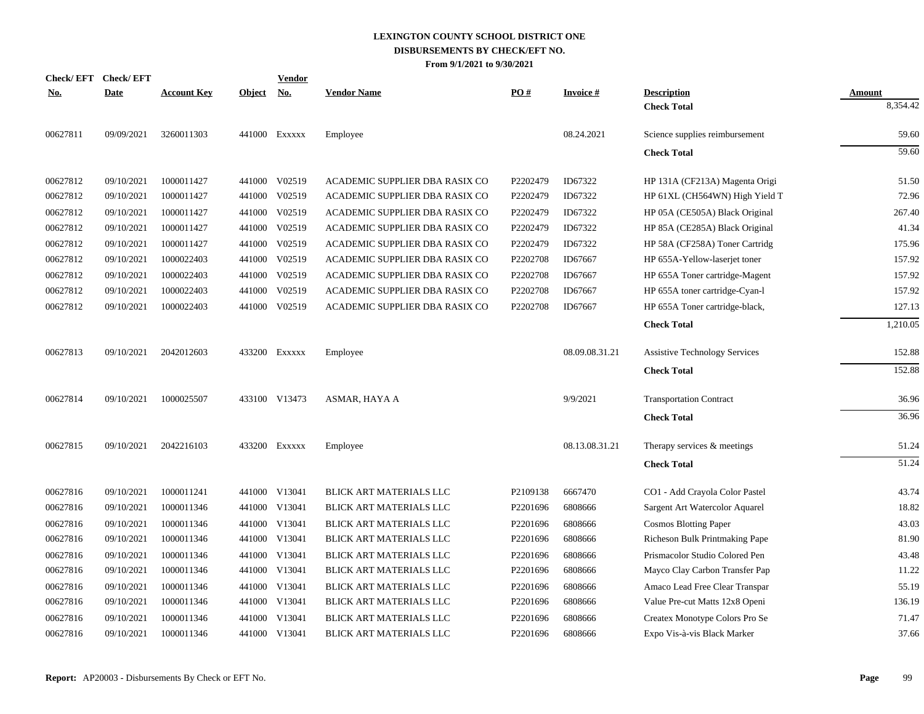| <b>Check/EFT</b> | <b>Check/EFT</b> |                    |               | <u>Vendor</u> |                                |          |                 |                                          |                    |
|------------------|------------------|--------------------|---------------|---------------|--------------------------------|----------|-----------------|------------------------------------------|--------------------|
| <u>No.</u>       | <b>Date</b>      | <b>Account Key</b> | <b>Object</b> | <u>No.</u>    | <b>Vendor Name</b>             | PO#      | <b>Invoice#</b> | <b>Description</b><br><b>Check Total</b> | Amount<br>8,354.42 |
| 00627811         | 09/09/2021       | 3260011303         |               | 441000 Exxxxx | Employee                       |          | 08.24.2021      | Science supplies reimbursement           | 59.60              |
|                  |                  |                    |               |               |                                |          |                 | <b>Check Total</b>                       | $\overline{59.60}$ |
| 00627812         | 09/10/2021       | 1000011427         |               | 441000 V02519 | ACADEMIC SUPPLIER DBA RASIX CO | P2202479 | ID67322         | HP 131A (CF213A) Magenta Origi           | 51.50              |
| 00627812         | 09/10/2021       | 1000011427         |               | 441000 V02519 | ACADEMIC SUPPLIER DBA RASIX CO | P2202479 | ID67322         | HP 61XL (CH564WN) High Yield T           | 72.96              |
| 00627812         | 09/10/2021       | 1000011427         |               | 441000 V02519 | ACADEMIC SUPPLIER DBA RASIX CO | P2202479 | ID67322         | HP 05A (CE505A) Black Original           | 267.40             |
| 00627812         | 09/10/2021       | 1000011427         |               | 441000 V02519 | ACADEMIC SUPPLIER DBA RASIX CO | P2202479 | ID67322         | HP 85A (CE285A) Black Original           | 41.34              |
| 00627812         | 09/10/2021       | 1000011427         | 441000        | V02519        | ACADEMIC SUPPLIER DBA RASIX CO | P2202479 | ID67322         | HP 58A (CF258A) Toner Cartridg           | 175.96             |
| 00627812         | 09/10/2021       | 1000022403         | 441000        | V02519        | ACADEMIC SUPPLIER DBA RASIX CO | P2202708 | ID67667         | HP 655A-Yellow-laserjet toner            | 157.92             |
| 00627812         | 09/10/2021       | 1000022403         |               | 441000 V02519 | ACADEMIC SUPPLIER DBA RASIX CO | P2202708 | ID67667         | HP 655A Toner cartridge-Magent           | 157.92             |
| 00627812         | 09/10/2021       | 1000022403         | 441000        | V02519        | ACADEMIC SUPPLIER DBA RASIX CO | P2202708 | ID67667         | HP 655A toner cartridge-Cyan-1           | 157.92             |
| 00627812         | 09/10/2021       | 1000022403         |               | 441000 V02519 | ACADEMIC SUPPLIER DBA RASIX CO | P2202708 | ID67667         | HP 655A Toner cartridge-black,           | 127.13             |
|                  |                  |                    |               |               |                                |          |                 | <b>Check Total</b>                       | 1,210.05           |
| 00627813         | 09/10/2021       | 2042012603         |               | 433200 EXXXXX | Employee                       |          | 08.09.08.31.21  | <b>Assistive Technology Services</b>     | 152.88             |
|                  |                  |                    |               |               |                                |          |                 | <b>Check Total</b>                       | 152.88             |
| 00627814         | 09/10/2021       | 1000025507         |               | 433100 V13473 | ASMAR, HAYA A                  |          | 9/9/2021        | <b>Transportation Contract</b>           | 36.96              |
|                  |                  |                    |               |               |                                |          |                 | <b>Check Total</b>                       | 36.96              |
| 00627815         | 09/10/2021       | 2042216103         |               | 433200 EXXXXX | Employee                       |          | 08.13.08.31.21  | Therapy services & meetings              | 51.24              |
|                  |                  |                    |               |               |                                |          |                 | <b>Check Total</b>                       | 51.24              |
| 00627816         | 09/10/2021       | 1000011241         |               | 441000 V13041 | BLICK ART MATERIALS LLC        | P2109138 | 6667470         | CO1 - Add Crayola Color Pastel           | 43.74              |
| 00627816         | 09/10/2021       | 1000011346         |               | 441000 V13041 | BLICK ART MATERIALS LLC        | P2201696 | 6808666         | Sargent Art Watercolor Aquarel           | 18.82              |
| 00627816         | 09/10/2021       | 1000011346         |               | 441000 V13041 | BLICK ART MATERIALS LLC        | P2201696 | 6808666         | <b>Cosmos Blotting Paper</b>             | 43.03              |
| 00627816         | 09/10/2021       | 1000011346         |               | 441000 V13041 | BLICK ART MATERIALS LLC        | P2201696 | 6808666         | Richeson Bulk Printmaking Pape           | 81.90              |
| 00627816         | 09/10/2021       | 1000011346         |               | 441000 V13041 | BLICK ART MATERIALS LLC        | P2201696 | 6808666         | Prismacolor Studio Colored Pen           | 43.48              |
| 00627816         | 09/10/2021       | 1000011346         |               | 441000 V13041 | BLICK ART MATERIALS LLC        | P2201696 | 6808666         | Mayco Clay Carbon Transfer Pap           | 11.22              |
| 00627816         | 09/10/2021       | 1000011346         | 441000        | V13041        | BLICK ART MATERIALS LLC        | P2201696 | 6808666         | Amaco Lead Free Clear Transpar           | 55.19              |
| 00627816         | 09/10/2021       | 1000011346         |               | 441000 V13041 | BLICK ART MATERIALS LLC        | P2201696 | 6808666         | Value Pre-cut Matts 12x8 Openi           | 136.19             |
| 00627816         | 09/10/2021       | 1000011346         |               | 441000 V13041 | BLICK ART MATERIALS LLC        | P2201696 | 6808666         | Createx Monotype Colors Pro Se           | 71.47              |
| 00627816         | 09/10/2021       | 1000011346         |               | 441000 V13041 | <b>BLICK ART MATERIALS LLC</b> | P2201696 | 6808666         | Expo Vis-à-vis Black Marker              | 37.66              |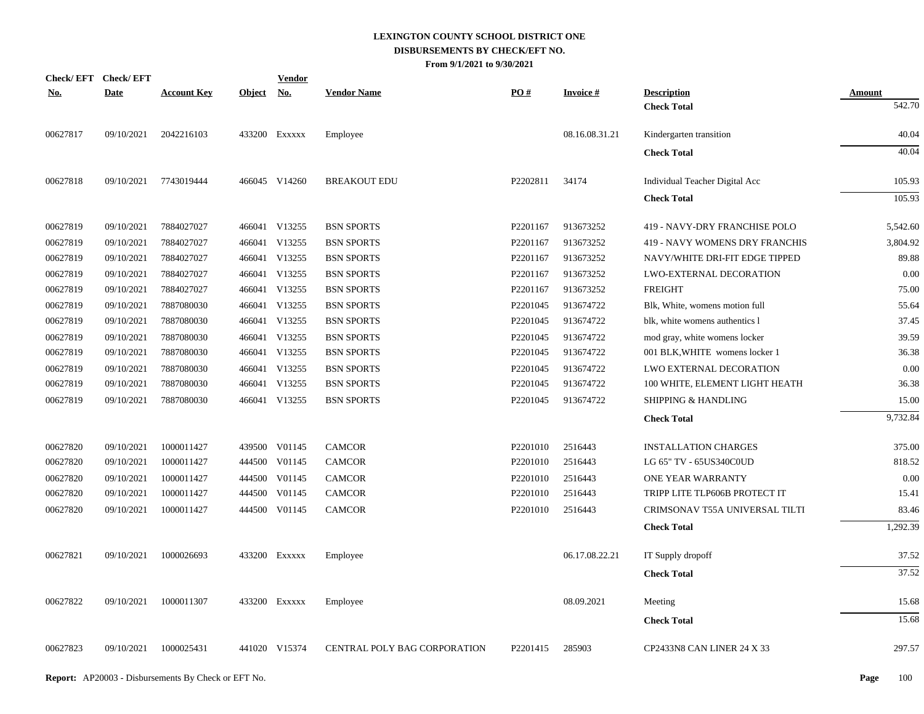| Check/EFT Check/EFT |             |                    |               | <u>Vendor</u>             |                              |          |                 |                                |               |
|---------------------|-------------|--------------------|---------------|---------------------------|------------------------------|----------|-----------------|--------------------------------|---------------|
| <u>No.</u>          | <b>Date</b> | <b>Account Key</b> | <b>Object</b> | $\underline{\textbf{No}}$ | <b>Vendor Name</b>           | PO#      | <b>Invoice#</b> | <b>Description</b>             | <b>Amount</b> |
|                     |             |                    |               |                           |                              |          |                 | <b>Check Total</b>             | 542.70        |
| 00627817            | 09/10/2021  | 2042216103         |               | 433200 Exxxxx             | Employee                     |          | 08.16.08.31.21  | Kindergarten transition        | 40.04         |
|                     |             |                    |               |                           |                              |          |                 | <b>Check Total</b>             | 40.04         |
| 00627818            | 09/10/2021  | 7743019444         |               | 466045 V14260             | <b>BREAKOUT EDU</b>          | P2202811 | 34174           | Individual Teacher Digital Acc | 105.93        |
|                     |             |                    |               |                           |                              |          |                 | <b>Check Total</b>             | 105.93        |
| 00627819            | 09/10/2021  | 7884027027         |               | 466041 V13255             | <b>BSN SPORTS</b>            | P2201167 | 913673252       | 419 - NAVY-DRY FRANCHISE POLO  | 5,542.60      |
| 00627819            | 09/10/2021  | 7884027027         |               | 466041 V13255             | <b>BSN SPORTS</b>            | P2201167 | 913673252       | 419 - NAVY WOMENS DRY FRANCHIS | 3,804.92      |
| 00627819            | 09/10/2021  | 7884027027         |               | 466041 V13255             | <b>BSN SPORTS</b>            | P2201167 | 913673252       | NAVY/WHITE DRI-FIT EDGE TIPPED | 89.88         |
| 00627819            | 09/10/2021  | 7884027027         |               | 466041 V13255             | <b>BSN SPORTS</b>            | P2201167 | 913673252       | <b>LWO-EXTERNAL DECORATION</b> | 0.00          |
| 00627819            | 09/10/2021  | 7884027027         |               | 466041 V13255             | <b>BSN SPORTS</b>            | P2201167 | 913673252       | <b>FREIGHT</b>                 | 75.00         |
| 00627819            | 09/10/2021  | 7887080030         |               | 466041 V13255             | <b>BSN SPORTS</b>            | P2201045 | 913674722       | Blk, White, womens motion full | 55.64         |
| 00627819            | 09/10/2021  | 7887080030         |               | 466041 V13255             | <b>BSN SPORTS</b>            | P2201045 | 913674722       | blk, white womens authentics 1 | 37.45         |
| 00627819            | 09/10/2021  | 7887080030         |               | 466041 V13255             | <b>BSN SPORTS</b>            | P2201045 | 913674722       | mod gray, white womens locker  | 39.59         |
| 00627819            | 09/10/2021  | 7887080030         |               | 466041 V13255             | <b>BSN SPORTS</b>            | P2201045 | 913674722       | 001 BLK, WHITE womens locker 1 | 36.38         |
| 00627819            | 09/10/2021  | 7887080030         |               | 466041 V13255             | <b>BSN SPORTS</b>            | P2201045 | 913674722       | LWO EXTERNAL DECORATION        | 0.00          |
| 00627819            | 09/10/2021  | 7887080030         |               | 466041 V13255             | <b>BSN SPORTS</b>            | P2201045 | 913674722       | 100 WHITE, ELEMENT LIGHT HEATH | 36.38         |
| 00627819            | 09/10/2021  | 7887080030         |               | 466041 V13255             | <b>BSN SPORTS</b>            | P2201045 | 913674722       | <b>SHIPPING &amp; HANDLING</b> | 15.00         |
|                     |             |                    |               |                           |                              |          |                 | <b>Check Total</b>             | 9,732.84      |
| 00627820            | 09/10/2021  | 1000011427         |               | 439500 V01145             | <b>CAMCOR</b>                | P2201010 | 2516443         | <b>INSTALLATION CHARGES</b>    | 375.00        |
| 00627820            | 09/10/2021  | 1000011427         |               | 444500 V01145             | <b>CAMCOR</b>                | P2201010 | 2516443         | LG 65" TV - 65US340C0UD        | 818.52        |
| 00627820            | 09/10/2021  | 1000011427         |               | 444500 V01145             | <b>CAMCOR</b>                | P2201010 | 2516443         | ONE YEAR WARRANTY              | 0.00          |
| 00627820            | 09/10/2021  | 1000011427         |               | 444500 V01145             | <b>CAMCOR</b>                | P2201010 | 2516443         | TRIPP LITE TLP606B PROTECT IT  | 15.41         |
| 00627820            | 09/10/2021  | 1000011427         |               | 444500 V01145             | <b>CAMCOR</b>                | P2201010 | 2516443         | CRIMSONAV T55A UNIVERSAL TILTI | 83.46         |
|                     |             |                    |               |                           |                              |          |                 | <b>Check Total</b>             | 1,292.39      |
| 00627821            | 09/10/2021  | 1000026693         |               | 433200 Exxxxx             | Employee                     |          | 06.17.08.22.21  | IT Supply dropoff              | 37.52         |
|                     |             |                    |               |                           |                              |          |                 |                                | 37.52         |
|                     |             |                    |               |                           |                              |          |                 | <b>Check Total</b>             |               |
| 00627822            | 09/10/2021  | 1000011307         |               | 433200 EXXXXX             | Employee                     |          | 08.09.2021      | Meeting                        | 15.68         |
|                     |             |                    |               |                           |                              |          |                 | <b>Check Total</b>             | 15.68         |
| 00627823            | 09/10/2021  | 1000025431         |               | 441020 V15374             | CENTRAL POLY BAG CORPORATION | P2201415 | 285903          | CP2433N8 CAN LINER 24 X 33     | 297.57        |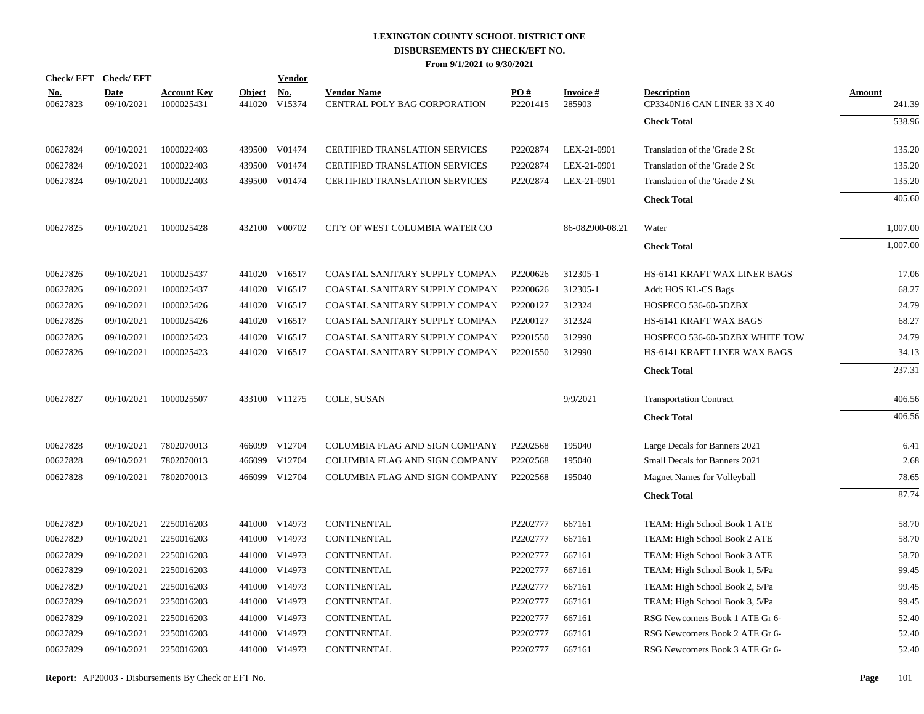|                        | Check/EFT Check/EFT       |                                  |               | <b>Vendor</b>                              |                                                    |                 |                     |                                                   |                  |
|------------------------|---------------------------|----------------------------------|---------------|--------------------------------------------|----------------------------------------------------|-----------------|---------------------|---------------------------------------------------|------------------|
| <u>No.</u><br>00627823 | <b>Date</b><br>09/10/2021 | <b>Account Key</b><br>1000025431 | <b>Object</b> | $\underline{\textbf{No}}$<br>441020 V15374 | <b>Vendor Name</b><br>CENTRAL POLY BAG CORPORATION | PO#<br>P2201415 | Invoice #<br>285903 | <b>Description</b><br>CP3340N16 CAN LINER 33 X 40 | Amount<br>241.39 |
|                        |                           |                                  |               |                                            |                                                    |                 |                     | <b>Check Total</b>                                | 538.96           |
| 00627824               | 09/10/2021                | 1000022403                       |               | 439500 V01474                              | <b>CERTIFIED TRANSLATION SERVICES</b>              | P2202874        | LEX-21-0901         | Translation of the 'Grade 2 St                    | 135.20           |
| 00627824               | 09/10/2021                | 1000022403                       |               | 439500 V01474                              | <b>CERTIFIED TRANSLATION SERVICES</b>              | P2202874        | LEX-21-0901         | Translation of the 'Grade 2 St                    | 135.20           |
| 00627824               | 09/10/2021                | 1000022403                       |               | 439500 V01474                              | CERTIFIED TRANSLATION SERVICES                     | P2202874        | LEX-21-0901         | Translation of the 'Grade 2 St                    | 135.20           |
|                        |                           |                                  |               |                                            |                                                    |                 |                     | <b>Check Total</b>                                | 405.60           |
| 00627825               | 09/10/2021                | 1000025428                       |               | 432100 V00702                              | CITY OF WEST COLUMBIA WATER CO                     |                 | 86-082900-08.21     | Water                                             | 1,007.00         |
|                        |                           |                                  |               |                                            |                                                    |                 |                     | <b>Check Total</b>                                | 1,007.00         |
| 00627826               | 09/10/2021                | 1000025437                       |               | 441020 V16517                              | COASTAL SANITARY SUPPLY COMPAN                     | P2200626        | 312305-1            | <b>HS-6141 KRAFT WAX LINER BAGS</b>               | 17.06            |
| 00627826               | 09/10/2021                | 1000025437                       |               | 441020 V16517                              | COASTAL SANITARY SUPPLY COMPAN                     | P2200626        | 312305-1            | Add: HOS KL-CS Bags                               | 68.27            |
| 00627826               | 09/10/2021                | 1000025426                       |               | 441020 V16517                              | COASTAL SANITARY SUPPLY COMPAN                     | P2200127        | 312324              | HOSPECO 536-60-5DZBX                              | 24.79            |
| 00627826               | 09/10/2021                | 1000025426                       |               | 441020 V16517                              | COASTAL SANITARY SUPPLY COMPAN                     | P2200127        | 312324              | HS-6141 KRAFT WAX BAGS                            | 68.27            |
| 00627826               | 09/10/2021                | 1000025423                       |               | 441020 V16517                              | COASTAL SANITARY SUPPLY COMPAN                     | P2201550        | 312990              | HOSPECO 536-60-5DZBX WHITE TOW                    | 24.79            |
| 00627826               | 09/10/2021                | 1000025423                       |               | 441020 V16517                              | COASTAL SANITARY SUPPLY COMPAN                     | P2201550        | 312990              | HS-6141 KRAFT LINER WAX BAGS                      | 34.13            |
|                        |                           |                                  |               |                                            |                                                    |                 |                     | <b>Check Total</b>                                | 237.31           |
| 00627827               | 09/10/2021                | 1000025507                       |               | 433100 V11275                              | COLE, SUSAN                                        |                 | 9/9/2021            | <b>Transportation Contract</b>                    | 406.56           |
|                        |                           |                                  |               |                                            |                                                    |                 |                     | <b>Check Total</b>                                | 406.56           |
| 00627828               | 09/10/2021                | 7802070013                       |               | 466099 V12704                              | COLUMBIA FLAG AND SIGN COMPANY                     | P2202568        | 195040              | Large Decals for Banners 2021                     | 6.41             |
| 00627828               | 09/10/2021                | 7802070013                       |               | 466099 V12704                              | COLUMBIA FLAG AND SIGN COMPANY                     | P2202568        | 195040              | Small Decals for Banners 2021                     | 2.68             |
| 00627828               | 09/10/2021                | 7802070013                       |               | 466099 V12704                              | COLUMBIA FLAG AND SIGN COMPANY                     | P2202568        | 195040              | <b>Magnet Names for Volleyball</b>                | 78.65            |
|                        |                           |                                  |               |                                            |                                                    |                 |                     | <b>Check Total</b>                                | 87.74            |
| 00627829               | 09/10/2021                | 2250016203                       |               | 441000 V14973                              | <b>CONTINENTAL</b>                                 | P2202777        | 667161              | TEAM: High School Book 1 ATE                      | 58.70            |
| 00627829               | 09/10/2021                | 2250016203                       |               | 441000 V14973                              | CONTINENTAL                                        | P2202777        | 667161              | TEAM: High School Book 2 ATE                      | 58.70            |
| 00627829               | 09/10/2021                | 2250016203                       |               | 441000 V14973                              | <b>CONTINENTAL</b>                                 | P2202777        | 667161              | TEAM: High School Book 3 ATE                      | 58.70            |
| 00627829               | 09/10/2021                | 2250016203                       |               | 441000 V14973                              | CONTINENTAL                                        | P2202777        | 667161              | TEAM: High School Book 1, 5/Pa                    | 99.45            |
| 00627829               | 09/10/2021                | 2250016203                       |               | 441000 V14973                              | <b>CONTINENTAL</b>                                 | P2202777        | 667161              | TEAM: High School Book 2, 5/Pa                    | 99.45            |
| 00627829               | 09/10/2021                | 2250016203                       |               | 441000 V14973                              | CONTINENTAL                                        | P2202777        | 667161              | TEAM: High School Book 3, 5/Pa                    | 99.45            |
| 00627829               | 09/10/2021                | 2250016203                       |               | 441000 V14973                              | CONTINENTAL                                        | P2202777        | 667161              | RSG Newcomers Book 1 ATE Gr 6-                    | 52.40            |
| 00627829               | 09/10/2021                | 2250016203                       |               | 441000 V14973                              | CONTINENTAL                                        | P2202777        | 667161              | RSG Newcomers Book 2 ATE Gr 6-                    | 52.40            |
| 00627829               | 09/10/2021                | 2250016203                       |               | 441000 V14973                              | <b>CONTINENTAL</b>                                 | P2202777        | 667161              | RSG Newcomers Book 3 ATE Gr 6-                    | 52.40            |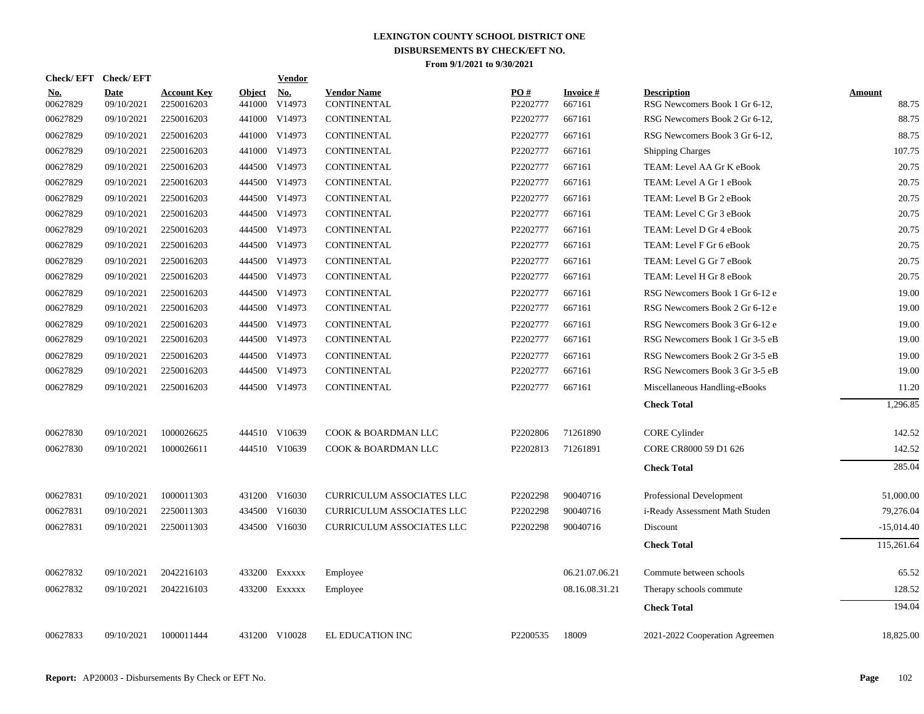| Check/ EFT             | <b>Check/EFT</b>          |                                  |                         | <b>Vendor</b> |                                   |                 |                           |                                                     |                        |
|------------------------|---------------------------|----------------------------------|-------------------------|---------------|-----------------------------------|-----------------|---------------------------|-----------------------------------------------------|------------------------|
| <u>No.</u><br>00627829 | <b>Date</b><br>09/10/2021 | <b>Account Key</b><br>2250016203 | <b>Object</b><br>441000 | No.<br>V14973 | <b>Vendor Name</b><br>CONTINENTAL | PO#<br>P2202777 | <b>Invoice#</b><br>667161 | <b>Description</b><br>RSG Newcomers Book 1 Gr 6-12, | <b>Amount</b><br>88.75 |
| 00627829               | 09/10/2021                | 2250016203                       |                         | 441000 V14973 | <b>CONTINENTAL</b>                | P2202777        | 667161                    | RSG Newcomers Book 2 Gr 6-12,                       | 88.75                  |
| 00627829               | 09/10/2021                | 2250016203                       |                         | 441000 V14973 | <b>CONTINENTAL</b>                | P2202777        | 667161                    | RSG Newcomers Book 3 Gr 6-12,                       | 88.75                  |
| 00627829               | 09/10/2021                | 2250016203                       |                         | 441000 V14973 | CONTINENTAL                       | P2202777        | 667161                    | <b>Shipping Charges</b>                             | 107.75                 |
| 00627829               | 09/10/2021                | 2250016203                       |                         | 444500 V14973 | <b>CONTINENTAL</b>                | P2202777        | 667161                    | TEAM: Level AA Gr K eBook                           | 20.75                  |
| 00627829               | 09/10/2021                | 2250016203                       |                         | 444500 V14973 | CONTINENTAL                       | P2202777        | 667161                    | TEAM: Level A Gr 1 eBook                            | 20.75                  |
| 00627829               | 09/10/2021                | 2250016203                       |                         | 444500 V14973 | CONTINENTAL                       | P2202777        | 667161                    | TEAM: Level B Gr 2 eBook                            | 20.75                  |
| 00627829               | 09/10/2021                | 2250016203                       |                         | 444500 V14973 | CONTINENTAL                       | P2202777        | 667161                    | TEAM: Level C Gr 3 eBook                            | 20.75                  |
| 00627829               | 09/10/2021                | 2250016203                       |                         | 444500 V14973 | <b>CONTINENTAL</b>                | P2202777        | 667161                    | TEAM: Level D Gr 4 eBook                            | 20.75                  |
| 00627829               | 09/10/2021                | 2250016203                       |                         | 444500 V14973 | CONTINENTAL                       | P2202777        | 667161                    | TEAM: Level F Gr 6 eBook                            | 20.75                  |
| 00627829               | 09/10/2021                | 2250016203                       |                         | 444500 V14973 | CONTINENTAL                       | P2202777        | 667161                    | TEAM: Level G Gr 7 eBook                            | 20.75                  |
| 00627829               | 09/10/2021                | 2250016203                       |                         | 444500 V14973 | <b>CONTINENTAL</b>                | P2202777        | 667161                    | TEAM: Level H Gr 8 eBook                            | 20.75                  |
| 00627829               | 09/10/2021                | 2250016203                       |                         | 444500 V14973 | CONTINENTAL                       | P2202777        | 667161                    | RSG Newcomers Book 1 Gr 6-12 e                      | 19.00                  |
| 00627829               | 09/10/2021                | 2250016203                       |                         | 444500 V14973 | CONTINENTAL                       | P2202777        | 667161                    | RSG Newcomers Book 2 Gr 6-12 e                      | 19.00                  |
| 00627829               | 09/10/2021                | 2250016203                       |                         | 444500 V14973 | CONTINENTAL                       | P2202777        | 667161                    | RSG Newcomers Book 3 Gr 6-12 e                      | 19.00                  |
| 00627829               | 09/10/2021                | 2250016203                       |                         | 444500 V14973 | CONTINENTAL                       | P2202777        | 667161                    | RSG Newcomers Book 1 Gr 3-5 eB                      | 19.00                  |
| 00627829               | 09/10/2021                | 2250016203                       |                         | 444500 V14973 | CONTINENTAL                       | P2202777        | 667161                    | RSG Newcomers Book 2 Gr 3-5 eB                      | 19.00                  |
| 00627829               | 09/10/2021                | 2250016203                       |                         | 444500 V14973 | CONTINENTAL                       | P2202777        | 667161                    | RSG Newcomers Book 3 Gr 3-5 eB                      | 19.00                  |
| 00627829               | 09/10/2021                | 2250016203                       |                         | 444500 V14973 | <b>CONTINENTAL</b>                | P2202777        | 667161                    | Miscellaneous Handling-eBooks                       | 11.20                  |
|                        |                           |                                  |                         |               |                                   |                 |                           | <b>Check Total</b>                                  | 1,296.85               |
| 00627830               | 09/10/2021                | 1000026625                       |                         | 444510 V10639 | COOK & BOARDMAN LLC               | P2202806        | 71261890                  | <b>CORE</b> Cylinder                                | 142.52                 |
| 00627830               | 09/10/2021                | 1000026611                       |                         | 444510 V10639 | COOK & BOARDMAN LLC               | P2202813        | 71261891                  | CORE CR8000 59 D1 626                               | 142.52                 |
|                        |                           |                                  |                         |               |                                   |                 |                           | <b>Check Total</b>                                  | 285.04                 |
| 00627831               | 09/10/2021                | 1000011303                       |                         | 431200 V16030 | CURRICULUM ASSOCIATES LLC         | P2202298        | 90040716                  | Professional Development                            | 51,000.00              |
| 00627831               | 09/10/2021                | 2250011303                       |                         | 434500 V16030 | CURRICULUM ASSOCIATES LLC         | P2202298        | 90040716                  | i-Ready Assessment Math Studen                      | 79,276.04              |
| 00627831               | 09/10/2021                | 2250011303                       |                         | 434500 V16030 | CURRICULUM ASSOCIATES LLC         | P2202298        | 90040716                  | Discount                                            | $-15,014.40$           |
|                        |                           |                                  |                         |               |                                   |                 |                           | <b>Check Total</b>                                  | 115,261.64             |
| 00627832               | 09/10/2021                | 2042216103                       |                         | 433200 EXXXXX | Employee                          |                 | 06.21.07.06.21            | Commute between schools                             | 65.52                  |
| 00627832               | 09/10/2021                | 2042216103                       |                         | 433200 Exxxxx | Employee                          |                 | 08.16.08.31.21            | Therapy schools commute                             | 128.52                 |
|                        |                           |                                  |                         |               |                                   |                 |                           | <b>Check Total</b>                                  | 194.04                 |
| 00627833               | 09/10/2021                | 1000011444                       |                         | 431200 V10028 | EL EDUCATION INC                  | P2200535        | 18009                     | 2021-2022 Cooperation Agreemen                      | 18,825.00              |
|                        |                           |                                  |                         |               |                                   |                 |                           |                                                     |                        |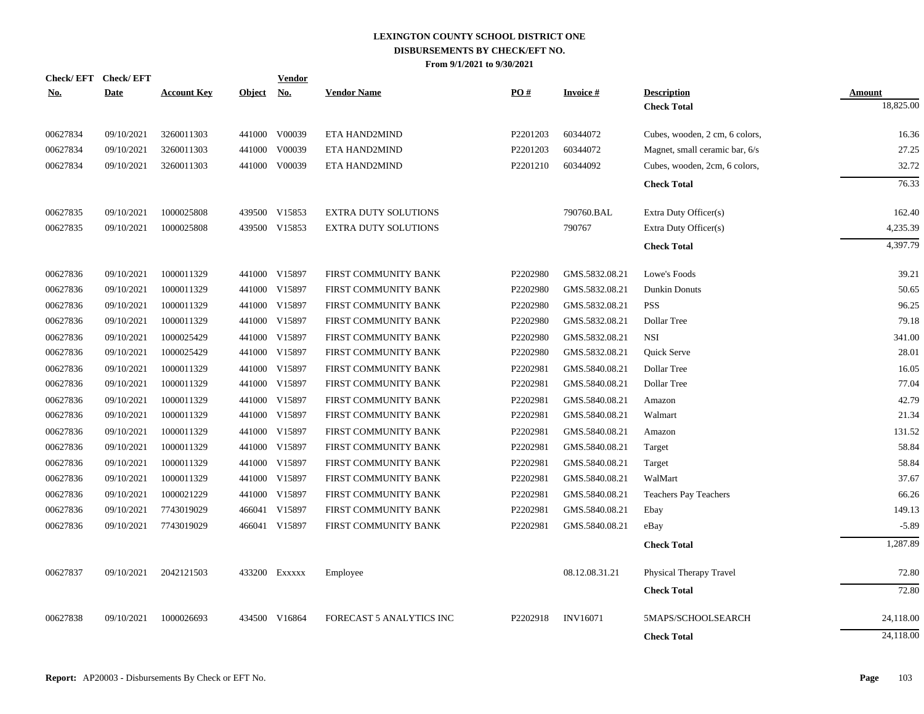|            | Check/EFT Check/EFT |                    |               | <b>Vendor</b> |                                 |          |                 |                                |               |
|------------|---------------------|--------------------|---------------|---------------|---------------------------------|----------|-----------------|--------------------------------|---------------|
| <u>No.</u> | <b>Date</b>         | <b>Account Key</b> | <b>Object</b> | <u>No.</u>    | <b>Vendor Name</b>              | PO#      | <b>Invoice#</b> | <b>Description</b>             | <b>Amount</b> |
|            |                     |                    |               |               |                                 |          |                 | <b>Check Total</b>             | 18,825.00     |
| 00627834   | 09/10/2021          | 3260011303         |               | 441000 V00039 | ETA HAND2MIND                   | P2201203 | 60344072        | Cubes, wooden, 2 cm, 6 colors, | 16.36         |
| 00627834   | 09/10/2021          | 3260011303         | 441000        | V00039        | ETA HAND2MIND                   | P2201203 | 60344072        | Magnet, small ceramic bar, 6/s | 27.25         |
| 00627834   | 09/10/2021          | 3260011303         | 441000        | V00039        | ETA HAND2MIND                   | P2201210 | 60344092        | Cubes, wooden, 2cm, 6 colors,  | 32.72         |
|            |                     |                    |               |               |                                 |          |                 | <b>Check Total</b>             | 76.33         |
| 00627835   | 09/10/2021          | 1000025808         |               | 439500 V15853 | <b>EXTRA DUTY SOLUTIONS</b>     |          | 790760.BAL      | Extra Duty Officer(s)          | 162.40        |
| 00627835   | 09/10/2021          | 1000025808         |               | 439500 V15853 | <b>EXTRA DUTY SOLUTIONS</b>     |          | 790767          | Extra Duty Officer(s)          | 4,235.39      |
|            |                     |                    |               |               |                                 |          |                 | <b>Check Total</b>             | 4,397.79      |
| 00627836   | 09/10/2021          | 1000011329         |               | 441000 V15897 | FIRST COMMUNITY BANK            | P2202980 | GMS.5832.08.21  | Lowe's Foods                   | 39.21         |
| 00627836   | 09/10/2021          | 1000011329         |               | 441000 V15897 | FIRST COMMUNITY BANK            | P2202980 | GMS.5832.08.21  | Dunkin Donuts                  | 50.65         |
| 00627836   | 09/10/2021          | 1000011329         |               | 441000 V15897 | FIRST COMMUNITY BANK            | P2202980 | GMS.5832.08.21  | <b>PSS</b>                     | 96.25         |
| 00627836   | 09/10/2021          | 1000011329         | 441000        | V15897        | FIRST COMMUNITY BANK            | P2202980 | GMS.5832.08.21  | Dollar Tree                    | 79.18         |
| 00627836   | 09/10/2021          | 1000025429         |               | 441000 V15897 | FIRST COMMUNITY BANK            | P2202980 | GMS.5832.08.21  | <b>NSI</b>                     | 341.00        |
| 00627836   | 09/10/2021          | 1000025429         |               | 441000 V15897 | FIRST COMMUNITY BANK            | P2202980 | GMS.5832.08.21  | Quick Serve                    | 28.01         |
| 00627836   | 09/10/2021          | 1000011329         |               | 441000 V15897 | FIRST COMMUNITY BANK            | P2202981 | GMS.5840.08.21  | Dollar Tree                    | 16.05         |
| 00627836   | 09/10/2021          | 1000011329         |               | 441000 V15897 | FIRST COMMUNITY BANK            | P2202981 | GMS.5840.08.21  | Dollar Tree                    | 77.04         |
| 00627836   | 09/10/2021          | 1000011329         |               | 441000 V15897 | FIRST COMMUNITY BANK            | P2202981 | GMS.5840.08.21  | Amazon                         | 42.79         |
| 00627836   | 09/10/2021          | 1000011329         |               | 441000 V15897 | FIRST COMMUNITY BANK            | P2202981 | GMS.5840.08.21  | Walmart                        | 21.34         |
| 00627836   | 09/10/2021          | 1000011329         |               | 441000 V15897 | FIRST COMMUNITY BANK            | P2202981 | GMS.5840.08.21  | Amazon                         | 131.52        |
| 00627836   | 09/10/2021          | 1000011329         |               | 441000 V15897 | FIRST COMMUNITY BANK            | P2202981 | GMS.5840.08.21  | Target                         | 58.84         |
| 00627836   | 09/10/2021          | 1000011329         |               | 441000 V15897 | FIRST COMMUNITY BANK            | P2202981 | GMS.5840.08.21  | Target                         | 58.84         |
| 00627836   | 09/10/2021          | 1000011329         |               | 441000 V15897 | FIRST COMMUNITY BANK            | P2202981 | GMS.5840.08.21  | WalMart                        | 37.67         |
| 00627836   | 09/10/2021          | 1000021229         |               | 441000 V15897 | FIRST COMMUNITY BANK            | P2202981 | GMS.5840.08.21  | <b>Teachers Pay Teachers</b>   | 66.26         |
| 00627836   | 09/10/2021          | 7743019029         |               | 466041 V15897 | FIRST COMMUNITY BANK            | P2202981 | GMS.5840.08.21  | Ebay                           | 149.13        |
| 00627836   | 09/10/2021          | 7743019029         |               | 466041 V15897 | FIRST COMMUNITY BANK            | P2202981 | GMS.5840.08.21  | eBay                           | $-5.89$       |
|            |                     |                    |               |               |                                 |          |                 | <b>Check Total</b>             | 1,287.89      |
| 00627837   | 09/10/2021          | 2042121503         |               | 433200 Exxxxx | Employee                        |          | 08.12.08.31.21  | Physical Therapy Travel        | 72.80         |
|            |                     |                    |               |               |                                 |          |                 | <b>Check Total</b>             | 72.80         |
| 00627838   | 09/10/2021          | 1000026693         | 434500        | V16864        | <b>FORECAST 5 ANALYTICS INC</b> | P2202918 | <b>INV16071</b> | 5MAPS/SCHOOLSEARCH             | 24,118.00     |
|            |                     |                    |               |               |                                 |          |                 | <b>Check Total</b>             | 24,118.00     |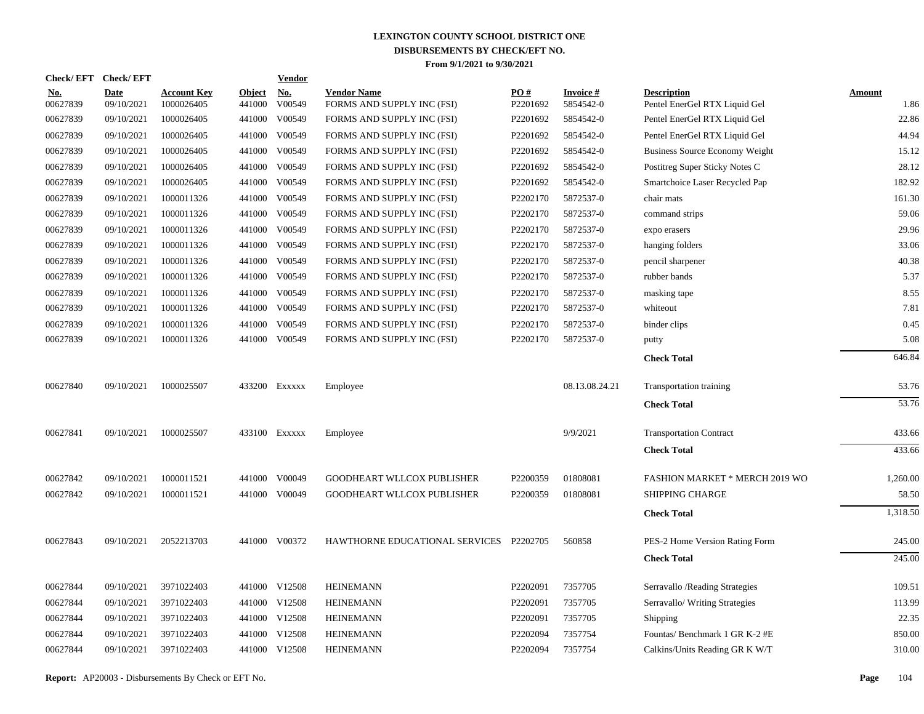| Check/ EFT             | <b>Check/EFT</b>          |                                  |                         | <b>Vendor</b> |                                                  |                 |                              |                                                     |                       |
|------------------------|---------------------------|----------------------------------|-------------------------|---------------|--------------------------------------------------|-----------------|------------------------------|-----------------------------------------------------|-----------------------|
| <u>No.</u><br>00627839 | <b>Date</b><br>09/10/2021 | <b>Account Key</b><br>1000026405 | <b>Object</b><br>441000 | No.<br>V00549 | <b>Vendor Name</b><br>FORMS AND SUPPLY INC (FSI) | PO#<br>P2201692 | <b>Invoice#</b><br>5854542-0 | <b>Description</b><br>Pentel EnerGel RTX Liquid Gel | <b>Amount</b><br>1.86 |
| 00627839               | 09/10/2021                | 1000026405                       | 441000                  | V00549        | FORMS AND SUPPLY INC (FSI)                       | P2201692        | 5854542-0                    | Pentel EnerGel RTX Liquid Gel                       | 22.86                 |
| 00627839               | 09/10/2021                | 1000026405                       | 441000                  | V00549        | FORMS AND SUPPLY INC (FSI)                       | P2201692        | 5854542-0                    | Pentel EnerGel RTX Liquid Gel                       | 44.94                 |
| 00627839               | 09/10/2021                | 1000026405                       | 441000                  | V00549        | FORMS AND SUPPLY INC (FSI)                       | P2201692        | 5854542-0                    | Business Source Economy Weight                      | 15.12                 |
| 00627839               | 09/10/2021                | 1000026405                       | 441000                  | V00549        | FORMS AND SUPPLY INC (FSI)                       | P2201692        | 5854542-0                    | Postitreg Super Sticky Notes C                      | 28.12                 |
| 00627839               | 09/10/2021                | 1000026405                       | 441000                  | V00549        | FORMS AND SUPPLY INC (FSI)                       | P2201692        | 5854542-0                    | Smartchoice Laser Recycled Pap                      | 182.92                |
| 00627839               | 09/10/2021                | 1000011326                       | 441000                  | V00549        | FORMS AND SUPPLY INC (FSI)                       | P2202170        | 5872537-0                    | chair mats                                          | 161.30                |
| 00627839               | 09/10/2021                | 1000011326                       | 441000                  | V00549        | FORMS AND SUPPLY INC (FSI)                       | P2202170        | 5872537-0                    | command strips                                      | 59.06                 |
| 00627839               | 09/10/2021                | 1000011326                       | 441000                  | V00549        | FORMS AND SUPPLY INC (FSI)                       | P2202170        | 5872537-0                    | expo erasers                                        | 29.96                 |
| 00627839               | 09/10/2021                | 1000011326                       | 441000                  | V00549        | FORMS AND SUPPLY INC (FSI)                       | P2202170        | 5872537-0                    | hanging folders                                     | 33.06                 |
| 00627839               | 09/10/2021                | 1000011326                       | 441000                  | V00549        | FORMS AND SUPPLY INC (FSI)                       | P2202170        | 5872537-0                    | pencil sharpener                                    | 40.38                 |
| 00627839               | 09/10/2021                | 1000011326                       | 441000                  | V00549        | FORMS AND SUPPLY INC (FSI)                       | P2202170        | 5872537-0                    | rubber bands                                        | 5.37                  |
| 00627839               | 09/10/2021                | 1000011326                       | 441000                  | V00549        | FORMS AND SUPPLY INC (FSI)                       | P2202170        | 5872537-0                    | masking tape                                        | 8.55                  |
| 00627839               | 09/10/2021                | 1000011326                       | 441000                  | V00549        | FORMS AND SUPPLY INC (FSI)                       | P2202170        | 5872537-0                    | whiteout                                            | 7.81                  |
| 00627839               | 09/10/2021                | 1000011326                       | 441000                  | V00549        | FORMS AND SUPPLY INC (FSI)                       | P2202170        | 5872537-0                    | binder clips                                        | 0.45                  |
| 00627839               | 09/10/2021                | 1000011326                       |                         | 441000 V00549 | FORMS AND SUPPLY INC (FSI)                       | P2202170        | 5872537-0                    | putty                                               | 5.08                  |
|                        |                           |                                  |                         |               |                                                  |                 |                              | <b>Check Total</b>                                  | 646.84                |
| 00627840               | 09/10/2021                | 1000025507                       |                         | 433200 Exxxxx | Employee                                         |                 | 08.13.08.24.21               | Transportation training                             | 53.76                 |
|                        |                           |                                  |                         |               |                                                  |                 |                              | <b>Check Total</b>                                  | 53.76                 |
| 00627841               | 09/10/2021                | 1000025507                       |                         | 433100 Exxxxx | Employee                                         |                 | 9/9/2021                     | <b>Transportation Contract</b>                      | 433.66                |
|                        |                           |                                  |                         |               |                                                  |                 |                              | <b>Check Total</b>                                  | 433.66                |
| 00627842               | 09/10/2021                | 1000011521                       |                         | 441000 V00049 | <b>GOODHEART WLLCOX PUBLISHER</b>                | P2200359        | 01808081                     | FASHION MARKET * MERCH 2019 WO                      | 1,260.00              |
| 00627842               | 09/10/2021                | 1000011521                       |                         | 441000 V00049 | GOODHEART WLLCOX PUBLISHER                       | P2200359        | 01808081                     | <b>SHIPPING CHARGE</b>                              | 58.50                 |
|                        |                           |                                  |                         |               |                                                  |                 |                              | <b>Check Total</b>                                  | 1,318.50              |
| 00627843               | 09/10/2021                | 2052213703                       |                         | 441000 V00372 | HAWTHORNE EDUCATIONAL SERVICES P2202705          |                 | 560858                       | PES-2 Home Version Rating Form                      | 245.00                |
|                        |                           |                                  |                         |               |                                                  |                 |                              | <b>Check Total</b>                                  | 245.00                |
| 00627844               | 09/10/2021                | 3971022403                       |                         | 441000 V12508 | <b>HEINEMANN</b>                                 | P2202091        | 7357705                      | Serravallo / Reading Strategies                     | 109.51                |
| 00627844               | 09/10/2021                | 3971022403                       |                         | 441000 V12508 | <b>HEINEMANN</b>                                 | P2202091        | 7357705                      | Serravallo/ Writing Strategies                      | 113.99                |
| 00627844               | 09/10/2021                | 3971022403                       |                         | 441000 V12508 | <b>HEINEMANN</b>                                 | P2202091        | 7357705                      | Shipping                                            | 22.35                 |
| 00627844               | 09/10/2021                | 3971022403                       |                         | 441000 V12508 | <b>HEINEMANN</b>                                 | P2202094        | 7357754                      | Fountas/Benchmark 1 GR K-2 #E                       | 850.00                |
| 00627844               | 09/10/2021                | 3971022403                       |                         | 441000 V12508 | <b>HEINEMANN</b>                                 | P2202094        | 7357754                      | Calkins/Units Reading GR K W/T                      | 310.00                |
|                        |                           |                                  |                         |               |                                                  |                 |                              |                                                     |                       |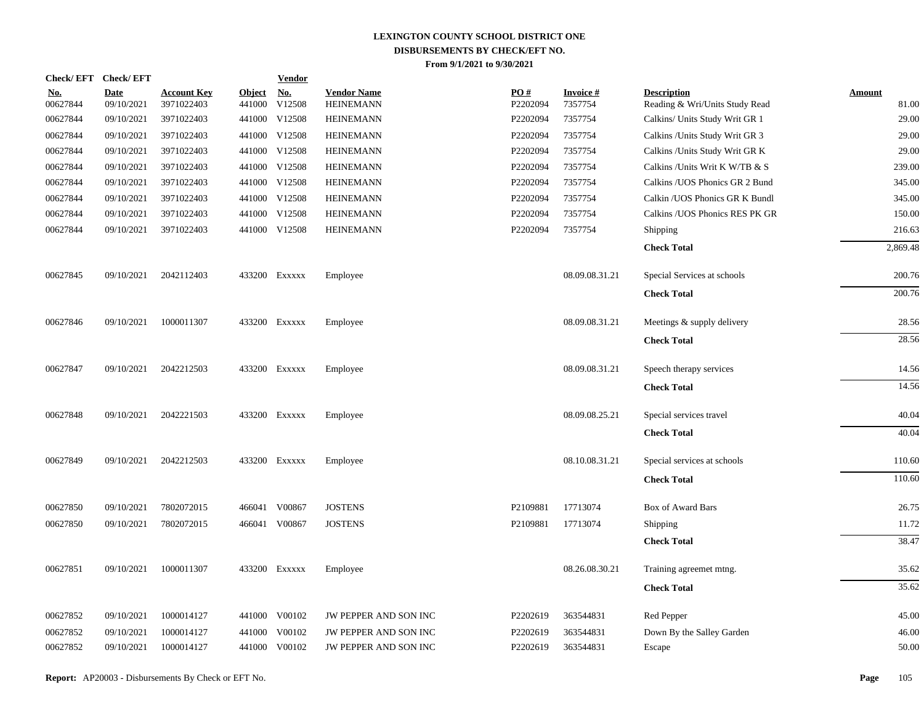| <b>Check/EFT</b>       | <b>Check/EFT</b>          |                                  |                         | <b>Vendor</b>        |                                        |                 |                            |                                                      |                        |
|------------------------|---------------------------|----------------------------------|-------------------------|----------------------|----------------------------------------|-----------------|----------------------------|------------------------------------------------------|------------------------|
| <u>No.</u><br>00627844 | <b>Date</b><br>09/10/2021 | <b>Account Key</b><br>3971022403 | <b>Object</b><br>441000 | <u>No.</u><br>V12508 | <b>Vendor Name</b><br><b>HEINEMANN</b> | PO#<br>P2202094 | <b>Invoice#</b><br>7357754 | <b>Description</b><br>Reading & Wri/Units Study Read | <b>Amount</b><br>81.00 |
| 00627844               | 09/10/2021                | 3971022403                       |                         | 441000 V12508        | <b>HEINEMANN</b>                       | P2202094        | 7357754                    | Calkins/ Units Study Writ GR 1                       | 29.00                  |
| 00627844               | 09/10/2021                | 3971022403                       |                         | 441000 V12508        | <b>HEINEMANN</b>                       | P2202094        | 7357754                    | Calkins / Units Study Writ GR 3                      | 29.00                  |
| 00627844               | 09/10/2021                | 3971022403                       |                         | 441000 V12508        | <b>HEINEMANN</b>                       | P2202094        | 7357754                    | Calkins / Units Study Writ GR K                      | 29.00                  |
| 00627844               | 09/10/2021                | 3971022403                       |                         | 441000 V12508        | <b>HEINEMANN</b>                       | P2202094        | 7357754                    | Calkins / Units Writ K W/TB & S                      | 239.00                 |
| 00627844               | 09/10/2021                | 3971022403                       |                         | 441000 V12508        | <b>HEINEMANN</b>                       | P2202094        | 7357754                    | Calkins / UOS Phonics GR 2 Bund                      | 345.00                 |
| 00627844               | 09/10/2021                | 3971022403                       |                         | 441000 V12508        | <b>HEINEMANN</b>                       | P2202094        | 7357754                    | Calkin / UOS Phonics GR K Bundl                      | 345.00                 |
| 00627844               | 09/10/2021                | 3971022403                       |                         | 441000 V12508        | <b>HEINEMANN</b>                       | P2202094        | 7357754                    | Calkins / UOS Phonics RES PK GR                      | 150.00                 |
| 00627844               | 09/10/2021                | 3971022403                       |                         | 441000 V12508        | <b>HEINEMANN</b>                       | P2202094        | 7357754                    | Shipping                                             | 216.63                 |
|                        |                           |                                  |                         |                      |                                        |                 |                            | <b>Check Total</b>                                   | 2,869.48               |
| 00627845               | 09/10/2021                | 2042112403                       |                         | 433200 Exxxxx        | Employee                               |                 | 08.09.08.31.21             | Special Services at schools                          | 200.76                 |
|                        |                           |                                  |                         |                      |                                        |                 |                            | <b>Check Total</b>                                   | 200.76                 |
| 00627846               | 09/10/2021                | 1000011307                       |                         | 433200 Exxxxx        | Employee                               |                 | 08.09.08.31.21             | Meetings & supply delivery                           | 28.56                  |
|                        |                           |                                  |                         |                      |                                        |                 |                            | <b>Check Total</b>                                   | 28.56                  |
| 00627847               | 09/10/2021                | 2042212503                       |                         | 433200 Exxxxx        | Employee                               |                 | 08.09.08.31.21             | Speech therapy services                              | 14.56                  |
|                        |                           |                                  |                         |                      |                                        |                 |                            | <b>Check Total</b>                                   | 14.56                  |
| 00627848               | 09/10/2021                | 2042221503                       |                         | 433200 Exxxxx        | Employee                               |                 | 08.09.08.25.21             | Special services travel                              | 40.04                  |
|                        |                           |                                  |                         |                      |                                        |                 |                            | <b>Check Total</b>                                   | 40.04                  |
| 00627849               | 09/10/2021                | 2042212503                       |                         | 433200 Exxxxx        | Employee                               |                 | 08.10.08.31.21             | Special services at schools                          | 110.60                 |
|                        |                           |                                  |                         |                      |                                        |                 |                            | <b>Check Total</b>                                   | 110.60                 |
| 00627850               | 09/10/2021                | 7802072015                       |                         | 466041 V00867        | <b>JOSTENS</b>                         | P2109881        | 17713074                   | Box of Award Bars                                    | 26.75                  |
| 00627850               | 09/10/2021                | 7802072015                       |                         | 466041 V00867        | <b>JOSTENS</b>                         | P2109881        | 17713074                   | Shipping                                             | 11.72                  |
|                        |                           |                                  |                         |                      |                                        |                 |                            | <b>Check Total</b>                                   | 38.47                  |
| 00627851               | 09/10/2021                | 1000011307                       |                         | 433200 Exxxxx        | Employee                               |                 | 08.26.08.30.21             | Training agreemet mtng.                              | 35.62                  |
|                        |                           |                                  |                         |                      |                                        |                 |                            | <b>Check Total</b>                                   | 35.62                  |
| 00627852               | 09/10/2021                | 1000014127                       |                         | 441000 V00102        | JW PEPPER AND SON INC                  | P2202619        | 363544831                  | Red Pepper                                           | 45.00                  |
| 00627852               | 09/10/2021                | 1000014127                       |                         | 441000 V00102        | JW PEPPER AND SON INC                  | P2202619        | 363544831                  | Down By the Salley Garden                            | 46.00                  |
| 00627852               | 09/10/2021                | 1000014127                       |                         | 441000 V00102        | JW PEPPER AND SON INC                  | P2202619        | 363544831                  | Escape                                               | 50.00                  |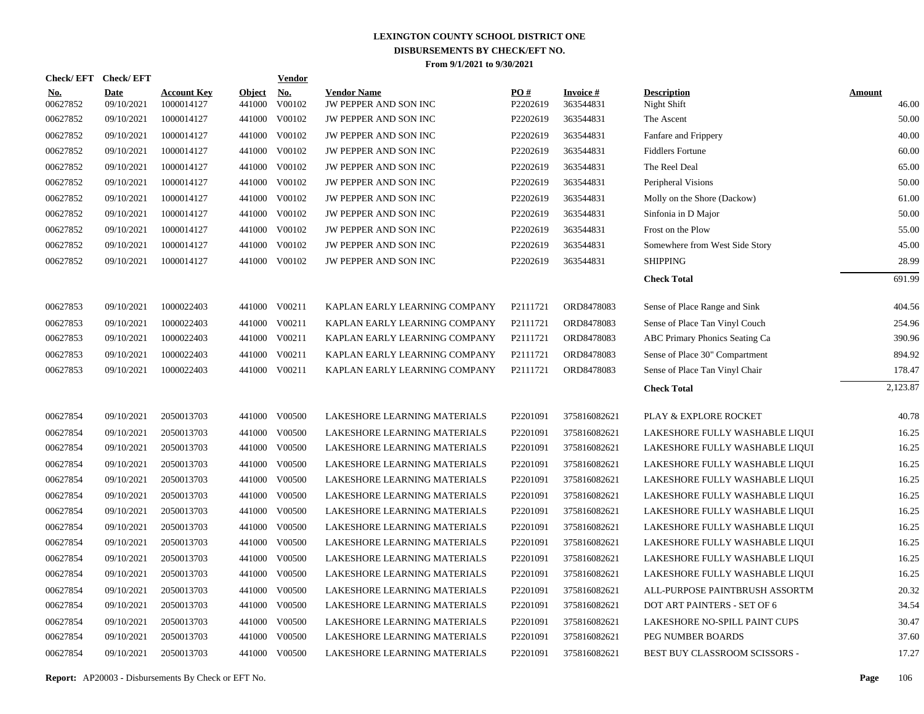| Check/ EFT             | <b>Check/EFT</b>          |                                  |                         | <b>Vendor</b>        |                                             |                 |                              |                                   |                        |
|------------------------|---------------------------|----------------------------------|-------------------------|----------------------|---------------------------------------------|-----------------|------------------------------|-----------------------------------|------------------------|
| <u>No.</u><br>00627852 | <b>Date</b><br>09/10/2021 | <b>Account Key</b><br>1000014127 | <b>Object</b><br>441000 | <u>No.</u><br>V00102 | <b>Vendor Name</b><br>JW PEPPER AND SON INC | PQ#<br>P2202619 | <b>Invoice#</b><br>363544831 | <b>Description</b><br>Night Shift | <b>Amount</b><br>46.00 |
| 00627852               | 09/10/2021                | 1000014127                       | 441000                  | V00102               | JW PEPPER AND SON INC                       | P2202619        | 363544831                    | The Ascent                        | 50.00                  |
| 00627852               | 09/10/2021                | 1000014127                       | 441000                  | V00102               | JW PEPPER AND SON INC                       | P2202619        | 363544831                    | Fanfare and Frippery              | 40.00                  |
| 00627852               | 09/10/2021                | 1000014127                       | 441000                  | V00102               | JW PEPPER AND SON INC                       | P2202619        | 363544831                    | <b>Fiddlers Fortune</b>           | 60.00                  |
| 00627852               | 09/10/2021                | 1000014127                       | 441000                  | V00102               | JW PEPPER AND SON INC                       | P2202619        | 363544831                    | The Reel Deal                     | 65.00                  |
| 00627852               | 09/10/2021                | 1000014127                       |                         | 441000 V00102        | JW PEPPER AND SON INC                       | P2202619        | 363544831                    | Peripheral Visions                | 50.00                  |
| 00627852               | 09/10/2021                | 1000014127                       | 441000                  | V00102               | JW PEPPER AND SON INC                       | P2202619        | 363544831                    | Molly on the Shore (Dackow)       | 61.00                  |
| 00627852               | 09/10/2021                | 1000014127                       |                         | 441000 V00102        | JW PEPPER AND SON INC                       | P2202619        | 363544831                    | Sinfonia in D Major               | 50.00                  |
| 00627852               | 09/10/2021                | 1000014127                       |                         | 441000 V00102        | JW PEPPER AND SON INC                       | P2202619        | 363544831                    | Frost on the Plow                 | 55.00                  |
| 00627852               | 09/10/2021                | 1000014127                       |                         | 441000 V00102        | JW PEPPER AND SON INC                       | P2202619        | 363544831                    | Somewhere from West Side Story    | 45.00                  |
| 00627852               | 09/10/2021                | 1000014127                       |                         | 441000 V00102        | <b>JW PEPPER AND SON INC</b>                | P2202619        | 363544831                    | <b>SHIPPING</b>                   | 28.99                  |
|                        |                           |                                  |                         |                      |                                             |                 |                              | <b>Check Total</b>                | 691.99                 |
| 00627853               | 09/10/2021                | 1000022403                       |                         | 441000 V00211        | KAPLAN EARLY LEARNING COMPANY               | P2111721        | ORD8478083                   | Sense of Place Range and Sink     | 404.56                 |
| 00627853               | 09/10/2021                | 1000022403                       | 441000                  | V00211               | KAPLAN EARLY LEARNING COMPANY               | P2111721        | ORD8478083                   | Sense of Place Tan Vinyl Couch    | 254.96                 |
| 00627853               | 09/10/2021                | 1000022403                       |                         | 441000 V00211        | KAPLAN EARLY LEARNING COMPANY               | P2111721        | ORD8478083                   | ABC Primary Phonics Seating Ca    | 390.96                 |
| 00627853               | 09/10/2021                | 1000022403                       | 441000                  | V00211               | KAPLAN EARLY LEARNING COMPANY               | P2111721        | ORD8478083                   | Sense of Place 30" Compartment    | 894.92                 |
| 00627853               | 09/10/2021                | 1000022403                       |                         | 441000 V00211        | KAPLAN EARLY LEARNING COMPANY               | P2111721        | ORD8478083                   | Sense of Place Tan Vinyl Chair    | 178.47                 |
|                        |                           |                                  |                         |                      |                                             |                 |                              | <b>Check Total</b>                | 2,123.87               |
| 00627854               | 09/10/2021                | 2050013703                       |                         | 441000 V00500        | LAKESHORE LEARNING MATERIALS                | P2201091        | 375816082621                 | PLAY & EXPLORE ROCKET             | 40.78                  |
| 00627854               | 09/10/2021                | 2050013703                       |                         | 441000 V00500        | LAKESHORE LEARNING MATERIALS                | P2201091        | 375816082621                 | LAKESHORE FULLY WASHABLE LIQUI    | 16.25                  |
| 00627854               | 09/10/2021                | 2050013703                       |                         | 441000 V00500        | LAKESHORE LEARNING MATERIALS                | P2201091        | 375816082621                 | LAKESHORE FULLY WASHABLE LIQUI    | 16.25                  |
| 00627854               | 09/10/2021                | 2050013703                       | 441000                  | V00500               | LAKESHORE LEARNING MATERIALS                | P2201091        | 375816082621                 | LAKESHORE FULLY WASHABLE LIQUI    | 16.25                  |
| 00627854               | 09/10/2021                | 2050013703                       |                         | 441000 V00500        | LAKESHORE LEARNING MATERIALS                | P2201091        | 375816082621                 | LAKESHORE FULLY WASHABLE LIQUI    | 16.25                  |
| 00627854               | 09/10/2021                | 2050013703                       | 441000                  | V00500               | LAKESHORE LEARNING MATERIALS                | P2201091        | 375816082621                 | LAKESHORE FULLY WASHABLE LIQUI    | 16.25                  |
| 00627854               | 09/10/2021                | 2050013703                       |                         | 441000 V00500        | LAKESHORE LEARNING MATERIALS                | P2201091        | 375816082621                 | LAKESHORE FULLY WASHABLE LIQUI    | 16.25                  |
| 00627854               | 09/10/2021                | 2050013703                       | 441000                  | V00500               | LAKESHORE LEARNING MATERIALS                | P2201091        | 375816082621                 | LAKESHORE FULLY WASHABLE LIQUI    | 16.25                  |
| 00627854               | 09/10/2021                | 2050013703                       |                         | 441000 V00500        | LAKESHORE LEARNING MATERIALS                | P2201091        | 375816082621                 | LAKESHORE FULLY WASHABLE LIQUI    | 16.25                  |
| 00627854               | 09/10/2021                | 2050013703                       | 441000                  | V00500               | LAKESHORE LEARNING MATERIALS                | P2201091        | 375816082621                 | LAKESHORE FULLY WASHABLE LIQUI    | 16.25                  |
| 00627854               | 09/10/2021                | 2050013703                       |                         | 441000 V00500        | LAKESHORE LEARNING MATERIALS                | P2201091        | 375816082621                 | LAKESHORE FULLY WASHABLE LIQUI    | 16.25                  |
| 00627854               | 09/10/2021                | 2050013703                       | 441000                  | V00500               | LAKESHORE LEARNING MATERIALS                | P2201091        | 375816082621                 | ALL-PURPOSE PAINTBRUSH ASSORTM    | 20.32                  |
| 00627854               | 09/10/2021                | 2050013703                       |                         | 441000 V00500        | LAKESHORE LEARNING MATERIALS                | P2201091        | 375816082621                 | DOT ART PAINTERS - SET OF 6       | 34.54                  |
| 00627854               | 09/10/2021                | 2050013703                       | 441000                  | V00500               | LAKESHORE LEARNING MATERIALS                | P2201091        | 375816082621                 | LAKESHORE NO-SPILL PAINT CUPS     | 30.47                  |
| 00627854               | 09/10/2021                | 2050013703                       | 441000                  | V00500               | LAKESHORE LEARNING MATERIALS                | P2201091        | 375816082621                 | PEG NUMBER BOARDS                 | 37.60                  |
| 00627854               | 09/10/2021                | 2050013703                       |                         | 441000 V00500        | LAKESHORE LEARNING MATERIALS                | P2201091        | 375816082621                 | BEST BUY CLASSROOM SCISSORS -     | 17.27                  |
|                        |                           |                                  |                         |                      |                                             |                 |                              |                                   |                        |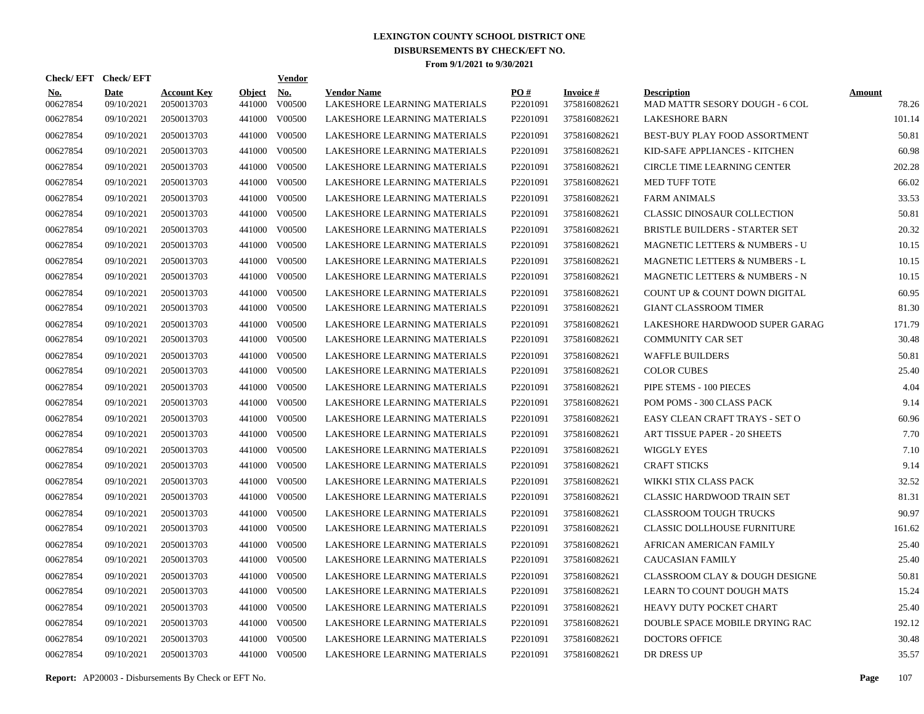| Check/EFT Check/EFT    |                           |                                  |                         | <b>Vendor</b>        |                                                    |                      |                                 |                                                      |                        |
|------------------------|---------------------------|----------------------------------|-------------------------|----------------------|----------------------------------------------------|----------------------|---------------------------------|------------------------------------------------------|------------------------|
| <b>No.</b><br>00627854 | <b>Date</b><br>09/10/2021 | <b>Account Key</b><br>2050013703 | <b>Object</b><br>441000 | <b>No.</b><br>V00500 | <b>Vendor Name</b><br>LAKESHORE LEARNING MATERIALS | PO#<br>P2201091      | <b>Invoice#</b><br>375816082621 | <b>Description</b><br>MAD MATTR SESORY DOUGH - 6 COL | <b>Amount</b><br>78.26 |
| 00627854               | 09/10/2021                | 2050013703                       | 441000                  | V00500               | LAKESHORE LEARNING MATERIALS                       | P2201091             | 375816082621                    | <b>LAKESHORE BARN</b>                                | 101.14                 |
| 00627854               | 09/10/2021                | 2050013703                       | 441000                  | V00500               | LAKESHORE LEARNING MATERIALS                       | P2201091             | 375816082621                    | BEST-BUY PLAY FOOD ASSORTMENT                        | 50.81                  |
| 00627854               | 09/10/2021                | 2050013703                       | 441000                  | V00500               | LAKESHORE LEARNING MATERIALS                       | P <sub>2201091</sub> | 375816082621                    | KID-SAFE APPLIANCES - KITCHEN                        | 60.98                  |
| 00627854               | 09/10/2021                | 2050013703                       | 441000                  | V00500               | LAKESHORE LEARNING MATERIALS                       | P <sub>2201091</sub> | 375816082621                    | <b>CIRCLE TIME LEARNING CENTER</b>                   | 202.28                 |
| 00627854               | 09/10/2021                | 2050013703                       | 441000                  | V00500               | LAKESHORE LEARNING MATERIALS                       | P2201091             | 375816082621                    | <b>MED TUFF TOTE</b>                                 | 66.02                  |
| 00627854               | 09/10/2021                | 2050013703                       | 441000                  | V00500               | LAKESHORE LEARNING MATERIALS                       | P2201091             | 375816082621                    | <b>FARM ANIMALS</b>                                  | 33.53                  |
| 00627854               | 09/10/2021                | 2050013703                       | 441000                  | V00500               | LAKESHORE LEARNING MATERIALS                       | P2201091             | 375816082621                    | <b>CLASSIC DINOSAUR COLLECTION</b>                   | 50.81                  |
| 00627854               | 09/10/2021                | 2050013703                       | 441000                  | V00500               | LAKESHORE LEARNING MATERIALS                       | P2201091             | 375816082621                    | <b>BRISTLE BUILDERS - STARTER SET</b>                | 20.32                  |
| 00627854               | 09/10/2021                | 2050013703                       | 441000                  | V00500               | LAKESHORE LEARNING MATERIALS                       | P2201091             | 375816082621                    | <b>MAGNETIC LETTERS &amp; NUMBERS - U</b>            | 10.15                  |
| 00627854               | 09/10/2021                | 2050013703                       | 441000                  | V00500               | LAKESHORE LEARNING MATERIALS                       | P2201091             | 375816082621                    | MAGNETIC LETTERS & NUMBERS - L                       | 10.15                  |
| 00627854               | 09/10/2021                | 2050013703                       | 441000                  | V00500               | LAKESHORE LEARNING MATERIALS                       | P2201091             | 375816082621                    | MAGNETIC LETTERS & NUMBERS - N                       | 10.15                  |
| 00627854               | 09/10/2021                | 2050013703                       | 441000                  | V00500               | LAKESHORE LEARNING MATERIALS                       | P2201091             | 375816082621                    | COUNT UP & COUNT DOWN DIGITAL                        | 60.95                  |
| 00627854               | 09/10/2021                | 2050013703                       | 441000                  | V00500               | LAKESHORE LEARNING MATERIALS                       | P <sub>2201091</sub> | 375816082621                    | <b>GIANT CLASSROOM TIMER</b>                         | 81.30                  |
| 00627854               | 09/10/2021                | 2050013703                       | 441000                  | V00500               | LAKESHORE LEARNING MATERIALS                       | P <sub>2201091</sub> | 375816082621                    | LAKESHORE HARDWOOD SUPER GARAG                       | 171.79                 |
| 00627854               | 09/10/2021                | 2050013703                       | 441000                  | V00500               | LAKESHORE LEARNING MATERIALS                       | P2201091             | 375816082621                    | <b>COMMUNITY CAR SET</b>                             | 30.48                  |
| 00627854               | 09/10/2021                | 2050013703                       | 441000                  | V00500               | LAKESHORE LEARNING MATERIALS                       | P2201091             | 375816082621                    | <b>WAFFLE BUILDERS</b>                               | 50.81                  |
| 00627854               | 09/10/2021                | 2050013703                       | 441000                  | V00500               | LAKESHORE LEARNING MATERIALS                       | P2201091             | 375816082621                    | <b>COLOR CUBES</b>                                   | 25.40                  |
| 00627854               | 09/10/2021                | 2050013703                       | 441000                  | V00500               | LAKESHORE LEARNING MATERIALS                       | P2201091             | 375816082621                    | PIPE STEMS - 100 PIECES                              | 4.04                   |
| 00627854               | 09/10/2021                | 2050013703                       | 441000                  | V00500               | LAKESHORE LEARNING MATERIALS                       | P2201091             | 375816082621                    | POM POMS - 300 CLASS PACK                            | 9.14                   |
| 00627854               | 09/10/2021                | 2050013703                       | 441000                  | V00500               | LAKESHORE LEARNING MATERIALS                       | P2201091             | 375816082621                    | EASY CLEAN CRAFT TRAYS - SET O                       | 60.96                  |
| 00627854               | 09/10/2021                | 2050013703                       | 441000                  | V00500               | LAKESHORE LEARNING MATERIALS                       | P2201091             | 375816082621                    | ART TISSUE PAPER - 20 SHEETS                         | 7.70                   |
| 00627854               | 09/10/2021                | 2050013703                       | 441000                  | V00500               | LAKESHORE LEARNING MATERIALS                       | P2201091             | 375816082621                    | WIGGLY EYES                                          | 7.10                   |
| 00627854               | 09/10/2021                | 2050013703                       | 441000                  | V00500               | LAKESHORE LEARNING MATERIALS                       | P2201091             | 375816082621                    | <b>CRAFT STICKS</b>                                  | 9.14                   |
| 00627854               | 09/10/2021                | 2050013703                       | 441000                  | V00500               | LAKESHORE LEARNING MATERIALS                       | P <sub>2201091</sub> | 375816082621                    | WIKKI STIX CLASS PACK                                | 32.52                  |
| 00627854               | 09/10/2021                | 2050013703                       | 441000                  | V00500               | LAKESHORE LEARNING MATERIALS                       | P2201091             | 375816082621                    | <b>CLASSIC HARDWOOD TRAIN SET</b>                    | 81.31                  |
| 00627854               | 09/10/2021                | 2050013703                       | 441000                  | V00500               | LAKESHORE LEARNING MATERIALS                       | P <sub>2201091</sub> | 375816082621                    | <b>CLASSROOM TOUGH TRUCKS</b>                        | 90.97                  |
| 00627854               | 09/10/2021                | 2050013703                       | 441000                  | V00500               | LAKESHORE LEARNING MATERIALS                       | P2201091             | 375816082621                    | <b>CLASSIC DOLLHOUSE FURNITURE</b>                   | 161.62                 |
| 00627854               | 09/10/2021                | 2050013703                       | 441000                  | V00500               | LAKESHORE LEARNING MATERIALS                       | P2201091             | 375816082621                    | AFRICAN AMERICAN FAMILY                              | 25.40                  |
| 00627854               | 09/10/2021                | 2050013703                       | 441000                  | V00500               | LAKESHORE LEARNING MATERIALS                       | P2201091             | 375816082621                    | <b>CAUCASIAN FAMILY</b>                              | 25.40                  |
| 00627854               | 09/10/2021                | 2050013703                       | 441000                  | V00500               | LAKESHORE LEARNING MATERIALS                       | P2201091             | 375816082621                    | CLASSROOM CLAY & DOUGH DESIGNE                       | 50.81                  |
| 00627854               | 09/10/2021                | 2050013703                       | 441000                  | V00500               | LAKESHORE LEARNING MATERIALS                       | P2201091             | 375816082621                    | LEARN TO COUNT DOUGH MATS                            | 15.24                  |
| 00627854               | 09/10/2021                | 2050013703                       | 441000                  | V00500               | LAKESHORE LEARNING MATERIALS                       | P2201091             | 375816082621                    | HEAVY DUTY POCKET CHART                              | 25.40                  |
| 00627854               | 09/10/2021                | 2050013703                       | 441000                  | V00500               | LAKESHORE LEARNING MATERIALS                       | P <sub>2201091</sub> | 375816082621                    | DOUBLE SPACE MOBILE DRYING RAC                       | 192.12                 |
| 00627854               | 09/10/2021                | 2050013703                       | 441000                  | V00500               | LAKESHORE LEARNING MATERIALS                       | P2201091             | 375816082621                    | <b>DOCTORS OFFICE</b>                                | 30.48                  |
| 00627854               | 09/10/2021                | 2050013703                       |                         | 441000 V00500        | LAKESHORE LEARNING MATERIALS                       | P2201091             | 375816082621                    | DR DRESS UP                                          | 35.57                  |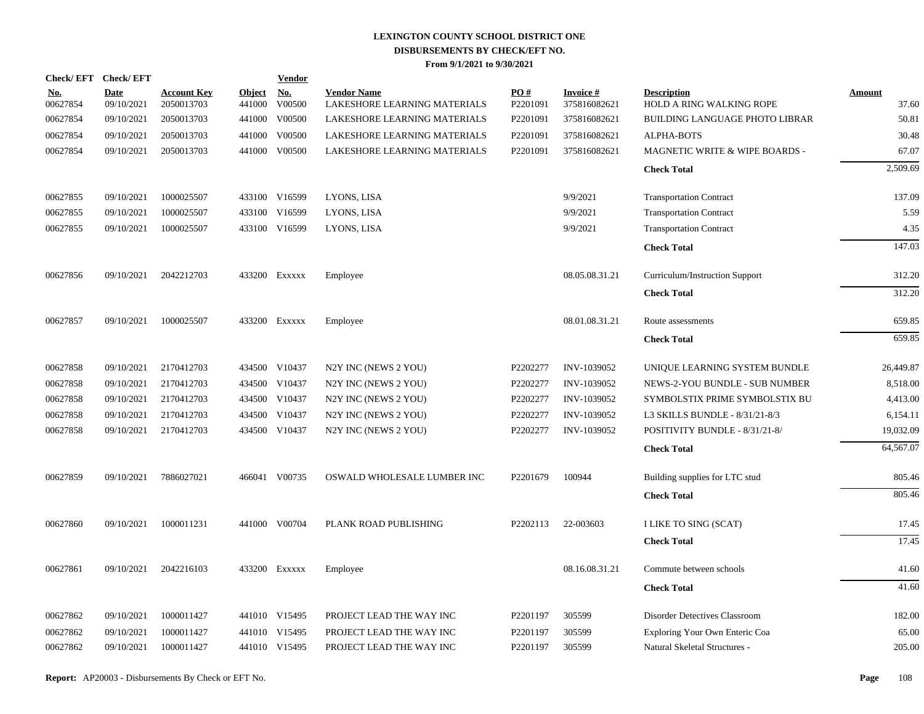| <b>Check/EFT</b>          |                                  |        | <u>Vendor</u>        |                                                                                                                                                                                                                                                                                                        |                 |                                 |                                                       |                        |
|---------------------------|----------------------------------|--------|----------------------|--------------------------------------------------------------------------------------------------------------------------------------------------------------------------------------------------------------------------------------------------------------------------------------------------------|-----------------|---------------------------------|-------------------------------------------------------|------------------------|
| <b>Date</b><br>09/10/2021 | <b>Account Key</b><br>2050013703 | 441000 | <u>No.</u><br>V00500 | <b>Vendor Name</b><br>LAKESHORE LEARNING MATERIALS                                                                                                                                                                                                                                                     | PO#<br>P2201091 | <b>Invoice#</b><br>375816082621 | <b>Description</b><br><b>HOLD A RING WALKING ROPE</b> | <b>Amount</b><br>37.60 |
| 09/10/2021                | 2050013703                       |        | V00500               | LAKESHORE LEARNING MATERIALS                                                                                                                                                                                                                                                                           | P2201091        | 375816082621                    | BUILDING LANGUAGE PHOTO LIBRAR                        | 50.81                  |
| 09/10/2021                | 2050013703                       |        | V00500               | LAKESHORE LEARNING MATERIALS                                                                                                                                                                                                                                                                           | P2201091        | 375816082621                    | <b>ALPHA-BOTS</b>                                     | 30.48                  |
| 09/10/2021                | 2050013703                       |        | V00500               | LAKESHORE LEARNING MATERIALS                                                                                                                                                                                                                                                                           | P2201091        | 375816082621                    | MAGNETIC WRITE & WIPE BOARDS -                        | 67.07                  |
|                           |                                  |        |                      |                                                                                                                                                                                                                                                                                                        |                 |                                 | <b>Check Total</b>                                    | 2,509.69               |
| 09/10/2021                | 1000025507                       |        |                      | LYONS, LISA                                                                                                                                                                                                                                                                                            |                 | 9/9/2021                        | <b>Transportation Contract</b>                        | 137.09                 |
| 09/10/2021                | 1000025507                       |        | V16599               | LYONS, LISA                                                                                                                                                                                                                                                                                            |                 | 9/9/2021                        | <b>Transportation Contract</b>                        | 5.59                   |
| 09/10/2021                | 1000025507                       |        |                      | LYONS, LISA                                                                                                                                                                                                                                                                                            |                 | 9/9/2021                        | <b>Transportation Contract</b>                        | 4.35                   |
|                           |                                  |        |                      |                                                                                                                                                                                                                                                                                                        |                 |                                 | <b>Check Total</b>                                    | 147.03                 |
| 09/10/2021                | 2042212703                       |        |                      | Employee                                                                                                                                                                                                                                                                                               |                 | 08.05.08.31.21                  | Curriculum/Instruction Support                        | 312.20                 |
|                           |                                  |        |                      |                                                                                                                                                                                                                                                                                                        |                 |                                 | <b>Check Total</b>                                    | 312.20                 |
| 09/10/2021                | 1000025507                       |        |                      | Employee                                                                                                                                                                                                                                                                                               |                 | 08.01.08.31.21                  | Route assessments                                     | 659.85                 |
|                           |                                  |        |                      |                                                                                                                                                                                                                                                                                                        |                 |                                 | <b>Check Total</b>                                    | 659.85                 |
| 09/10/2021                | 2170412703                       |        |                      | N2Y INC (NEWS 2 YOU)                                                                                                                                                                                                                                                                                   | P2202277        | INV-1039052                     | UNIQUE LEARNING SYSTEM BUNDLE                         | 26,449.87              |
| 09/10/2021                | 2170412703                       |        | V10437               | N2Y INC (NEWS 2 YOU)                                                                                                                                                                                                                                                                                   | P2202277        | INV-1039052                     | NEWS-2-YOU BUNDLE - SUB NUMBER                        | 8,518.00               |
| 09/10/2021                | 2170412703                       |        |                      | N2Y INC (NEWS 2 YOU)                                                                                                                                                                                                                                                                                   | P2202277        | INV-1039052                     | SYMBOLSTIX PRIME SYMBOLSTIX BU                        | 4,413.00               |
| 09/10/2021                | 2170412703                       |        | V10437               | N2Y INC (NEWS 2 YOU)                                                                                                                                                                                                                                                                                   | P2202277        | INV-1039052                     | L3 SKILLS BUNDLE - 8/31/21-8/3                        | 6,154.11               |
| 09/10/2021                | 2170412703                       |        |                      | N2Y INC (NEWS 2 YOU)                                                                                                                                                                                                                                                                                   | P2202277        | INV-1039052                     | POSITIVITY BUNDLE - 8/31/21-8/                        | 19,032.09              |
|                           |                                  |        |                      |                                                                                                                                                                                                                                                                                                        |                 |                                 | <b>Check Total</b>                                    | 64,567.07              |
| 09/10/2021                | 7886027021                       |        |                      | OSWALD WHOLESALE LUMBER INC                                                                                                                                                                                                                                                                            | P2201679        | 100944                          | Building supplies for LTC stud                        | 805.46                 |
|                           |                                  |        |                      |                                                                                                                                                                                                                                                                                                        |                 |                                 | <b>Check Total</b>                                    | 805.46                 |
| 09/10/2021                | 1000011231                       |        |                      | PLANK ROAD PUBLISHING                                                                                                                                                                                                                                                                                  | P2202113        | 22-003603                       | I LIKE TO SING (SCAT)                                 | 17.45                  |
|                           |                                  |        |                      |                                                                                                                                                                                                                                                                                                        |                 |                                 | <b>Check Total</b>                                    | 17.45                  |
| 09/10/2021                | 2042216103                       |        |                      | Employee                                                                                                                                                                                                                                                                                               |                 | 08.16.08.31.21                  | Commute between schools                               | 41.60                  |
|                           |                                  |        |                      |                                                                                                                                                                                                                                                                                                        |                 |                                 | <b>Check Total</b>                                    | 41.60                  |
| 09/10/2021                | 1000011427                       |        |                      | PROJECT LEAD THE WAY INC                                                                                                                                                                                                                                                                               | P2201197        | 305599                          | Disorder Detectives Classroom                         | 182.00                 |
| 09/10/2021                | 1000011427                       |        |                      | PROJECT LEAD THE WAY INC                                                                                                                                                                                                                                                                               | P2201197        | 305599                          | Exploring Your Own Enteric Coa                        | 65.00                  |
| 09/10/2021                | 1000011427                       |        |                      | PROJECT LEAD THE WAY INC                                                                                                                                                                                                                                                                               | P2201197        | 305599                          | Natural Skeletal Structures -                         | 205.00                 |
| <b>Check/EFT</b>          |                                  |        |                      | <b>Object</b><br>441000<br>441000<br>441000<br>433100 V16599<br>433100<br>433100 V16599<br>433200 Exxxxx<br>433200 Exxxxx<br>434500 V10437<br>434500<br>434500 V10437<br>434500<br>434500 V10437<br>466041 V00735<br>441000 V00704<br>433200 Exxxxx<br>441010 V15495<br>441010 V15495<br>441010 V15495 |                 |                                 |                                                       |                        |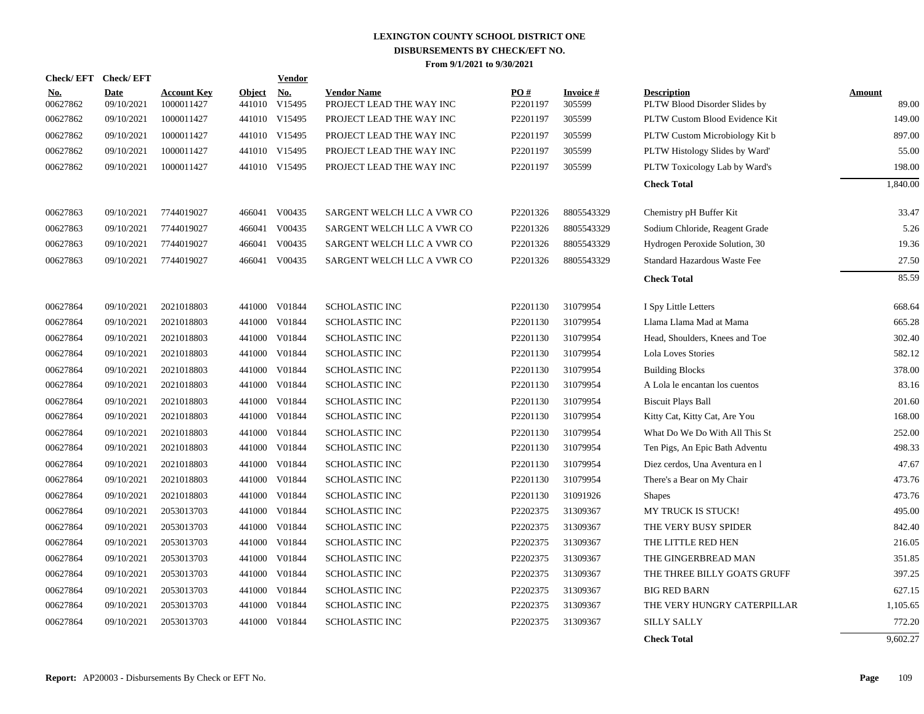|                        | Check/EFT Check/EFT       |                                  |                         | <b>Vendor</b>                       |                                                |                      |                           |                                                     |                        |
|------------------------|---------------------------|----------------------------------|-------------------------|-------------------------------------|------------------------------------------------|----------------------|---------------------------|-----------------------------------------------------|------------------------|
| <u>No.</u><br>00627862 | <b>Date</b><br>09/10/2021 | <b>Account Key</b><br>1000011427 | <b>Object</b><br>441010 | $\underline{\mathrm{No}}$<br>V15495 | <b>Vendor Name</b><br>PROJECT LEAD THE WAY INC | PO#<br>P2201197      | <b>Invoice#</b><br>305599 | <b>Description</b><br>PLTW Blood Disorder Slides by | <b>Amount</b><br>89.00 |
| 00627862               | 09/10/2021                | 1000011427                       |                         | 441010 V15495                       | PROJECT LEAD THE WAY INC                       | P2201197             | 305599                    | PLTW Custom Blood Evidence Kit                      | 149.00                 |
| 00627862               | 09/10/2021                | 1000011427                       |                         | 441010 V15495                       | PROJECT LEAD THE WAY INC                       | P2201197             | 305599                    | PLTW Custom Microbiology Kit b                      | 897.00                 |
| 00627862               | 09/10/2021                | 1000011427                       |                         | 441010 V15495                       | PROJECT LEAD THE WAY INC                       | P2201197             | 305599                    | PLTW Histology Slides by Ward'                      | 55.00                  |
| 00627862               | 09/10/2021                | 1000011427                       |                         | 441010 V15495                       | PROJECT LEAD THE WAY INC                       | P2201197             | 305599                    | PLTW Toxicology Lab by Ward's                       | 198.00                 |
|                        |                           |                                  |                         |                                     |                                                |                      |                           | <b>Check Total</b>                                  | 1,840.00               |
| 00627863               | 09/10/2021                | 7744019027                       | 466041                  | V00435                              | SARGENT WELCH LLC A VWR CO                     | P2201326             | 8805543329                | Chemistry pH Buffer Kit                             | 33.47                  |
| 00627863               | 09/10/2021                | 7744019027                       | 466041                  | V00435                              | SARGENT WELCH LLC A VWR CO                     | P2201326             | 8805543329                | Sodium Chloride, Reagent Grade                      | 5.26                   |
| 00627863               | 09/10/2021                | 7744019027                       | 466041                  | V00435                              | SARGENT WELCH LLC A VWR CO                     | P2201326             | 8805543329                | Hydrogen Peroxide Solution, 30                      | 19.36                  |
| 00627863               | 09/10/2021                | 7744019027                       | 466041                  | V00435                              | SARGENT WELCH LLC A VWR CO                     | P2201326             | 8805543329                | Standard Hazardous Waste Fee                        | 27.50                  |
|                        |                           |                                  |                         |                                     |                                                |                      |                           | <b>Check Total</b>                                  | 85.59                  |
| 00627864               | 09/10/2021                | 2021018803                       |                         | 441000 V01844                       | SCHOLASTIC INC                                 | P2201130             | 31079954                  | I Spy Little Letters                                | 668.64                 |
| 00627864               | 09/10/2021                | 2021018803                       |                         | 441000 V01844                       | <b>SCHOLASTIC INC</b>                          | P2201130             | 31079954                  | Llama Llama Mad at Mama                             | 665.28                 |
| 00627864               | 09/10/2021                | 2021018803                       | 441000                  | V01844                              | <b>SCHOLASTIC INC</b>                          | P2201130             | 31079954                  | Head, Shoulders, Knees and Toe                      | 302.40                 |
| 00627864               | 09/10/2021                | 2021018803                       | 441000                  | V01844                              | <b>SCHOLASTIC INC</b>                          | P2201130             | 31079954                  | Lola Loves Stories                                  | 582.12                 |
| 00627864               | 09/10/2021                | 2021018803                       | 441000                  | V01844                              | <b>SCHOLASTIC INC</b>                          | P2201130             | 31079954                  | <b>Building Blocks</b>                              | 378.00                 |
| 00627864               | 09/10/2021                | 2021018803                       | 441000                  | V01844                              | <b>SCHOLASTIC INC</b>                          | P <sub>2201130</sub> | 31079954                  | A Lola le encantan los cuentos                      | 83.16                  |
| 00627864               | 09/10/2021                | 2021018803                       | 441000                  | V01844                              | SCHOLASTIC INC                                 | P <sub>2201130</sub> | 31079954                  | <b>Biscuit Plays Ball</b>                           | 201.60                 |
| 00627864               | 09/10/2021                | 2021018803                       | 441000                  | V01844                              | SCHOLASTIC INC                                 | P2201130             | 31079954                  | Kitty Cat, Kitty Cat, Are You                       | 168.00                 |
| 00627864               | 09/10/2021                | 2021018803                       |                         | 441000 V01844                       | SCHOLASTIC INC                                 | P2201130             | 31079954                  | What Do We Do With All This St                      | 252.00                 |
| 00627864               | 09/10/2021                | 2021018803                       |                         | 441000 V01844                       | <b>SCHOLASTIC INC</b>                          | P2201130             | 31079954                  | Ten Pigs, An Epic Bath Adventu                      | 498.33                 |
| 00627864               | 09/10/2021                | 2021018803                       |                         | 441000 V01844                       | SCHOLASTIC INC                                 | P2201130             | 31079954                  | Diez cerdos, Una Aventura en l                      | 47.67                  |
| 00627864               | 09/10/2021                | 2021018803                       |                         | 441000 V01844                       | <b>SCHOLASTIC INC</b>                          | P <sub>2201130</sub> | 31079954                  | There's a Bear on My Chair                          | 473.76                 |
| 00627864               | 09/10/2021                | 2021018803                       |                         | 441000 V01844                       | <b>SCHOLASTIC INC</b>                          | P2201130             | 31091926                  | <b>Shapes</b>                                       | 473.76                 |
| 00627864               | 09/10/2021                | 2053013703                       |                         | 441000 V01844                       | <b>SCHOLASTIC INC</b>                          | P2202375             | 31309367                  | MY TRUCK IS STUCK!                                  | 495.00                 |
| 00627864               | 09/10/2021                | 2053013703                       |                         | 441000 V01844                       | SCHOLASTIC INC                                 | P2202375             | 31309367                  | THE VERY BUSY SPIDER                                | 842.40                 |
| 00627864               | 09/10/2021                | 2053013703                       |                         | 441000 V01844                       | SCHOLASTIC INC                                 | P2202375             | 31309367                  | THE LITTLE RED HEN                                  | 216.05                 |
| 00627864               | 09/10/2021                | 2053013703                       | 441000                  | V01844                              | SCHOLASTIC INC                                 | P2202375             | 31309367                  | THE GINGERBREAD MAN                                 | 351.85                 |
| 00627864               | 09/10/2021                | 2053013703                       | 441000                  | V01844                              | <b>SCHOLASTIC INC</b>                          | P2202375             | 31309367                  | THE THREE BILLY GOATS GRUFF                         | 397.25                 |
| 00627864               | 09/10/2021                | 2053013703                       | 441000                  | V01844                              | <b>SCHOLASTIC INC</b>                          | P2202375             | 31309367                  | <b>BIG RED BARN</b>                                 | 627.15                 |
| 00627864               | 09/10/2021                | 2053013703                       |                         | 441000 V01844                       | <b>SCHOLASTIC INC</b>                          | P2202375             | 31309367                  | THE VERY HUNGRY CATERPILLAR                         | 1,105.65               |
| 00627864               | 09/10/2021                | 2053013703                       | 441000                  | V01844                              | <b>SCHOLASTIC INC</b>                          | P2202375             | 31309367                  | <b>SILLY SALLY</b>                                  | 772.20                 |
|                        |                           |                                  |                         |                                     |                                                |                      |                           | <b>Check Total</b>                                  | 9,602.27               |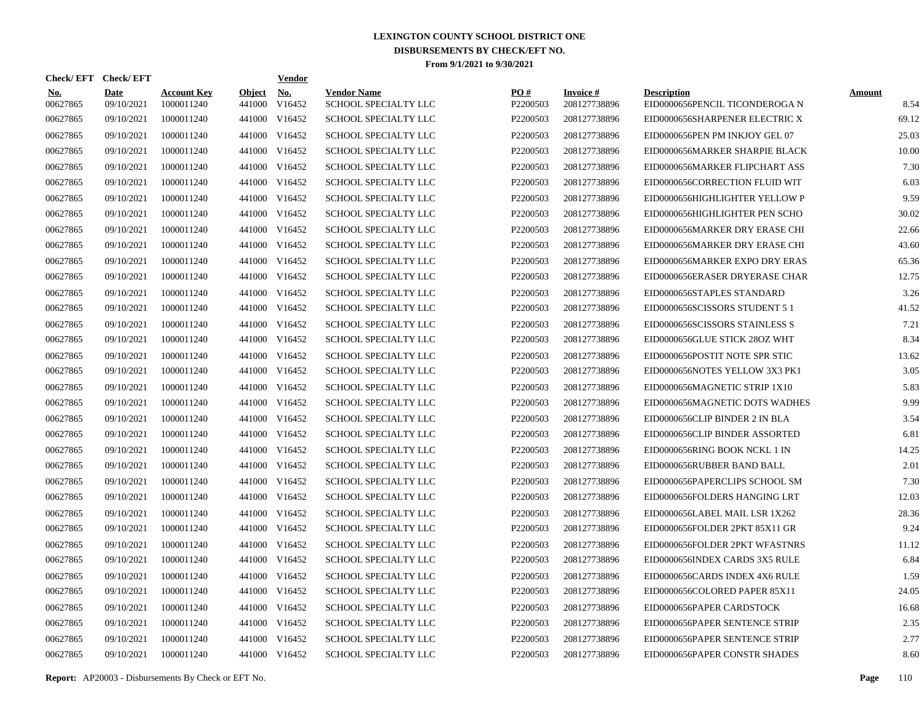| <b>Check/EFT</b>       | <b>Check/EFT</b>   |                                  |                         | <b>Vendor</b>        |                                            |                      |                                 |                                                      |                       |
|------------------------|--------------------|----------------------------------|-------------------------|----------------------|--------------------------------------------|----------------------|---------------------------------|------------------------------------------------------|-----------------------|
| <b>No.</b><br>00627865 | Date<br>09/10/2021 | <b>Account Key</b><br>1000011240 | <b>Object</b><br>441000 | <b>No.</b><br>V16452 | <b>Vendor Name</b><br>SCHOOL SPECIALTY LLC | PO#<br>P2200503      | <b>Invoice#</b><br>208127738896 | <b>Description</b><br>EID0000656PENCIL TICONDEROGA N | <b>Amount</b><br>8.54 |
| 00627865               | 09/10/2021         | 1000011240                       | 441000                  | V16452               | <b>SCHOOL SPECIALTY LLC</b>                | P2200503             | 208127738896                    | EID0000656SHARPENER ELECTRIC X                       | 69.12                 |
| 00627865               | 09/10/2021         | 1000011240                       | 441000                  | V16452               | <b>SCHOOL SPECIALTY LLC</b>                | P2200503             | 208127738896                    | EID0000656PEN PM INKJOY GEL 07                       | 25.03                 |
| 00627865               | 09/10/2021         | 1000011240                       | 441000                  | V16452               | SCHOOL SPECIALTY LLC                       | P2200503             | 208127738896                    | EID0000656MARKER SHARPIE BLACK                       | 10.00                 |
| 00627865               | 09/10/2021         | 1000011240                       | 441000                  | V16452               | <b>SCHOOL SPECIALTY LLC</b>                | P2200503             | 208127738896                    | EID0000656MARKER FLIPCHART ASS                       | 7.30                  |
| 00627865               | 09/10/2021         | 1000011240                       | 441000                  | V16452               | <b>SCHOOL SPECIALTY LLC</b>                | P2200503             | 208127738896                    | EID0000656CORRECTION FLUID WIT                       | 6.03                  |
| 00627865               | 09/10/2021         | 1000011240                       | 441000                  | V16452               | <b>SCHOOL SPECIALTY LLC</b>                | P2200503             | 208127738896                    | EID0000656HIGHLIGHTER YELLOW P                       | 9.59                  |
| 00627865               | 09/10/2021         | 1000011240                       | 441000                  | V16452               | <b>SCHOOL SPECIALTY LLC</b>                | P2200503             | 208127738896                    | EID0000656HIGHLIGHTER PEN SCHO                       | 30.02                 |
| 00627865               | 09/10/2021         | 1000011240                       | 441000                  | V16452               | <b>SCHOOL SPECIALTY LLC</b>                | P2200503             | 208127738896                    | EID0000656MARKER DRY ERASE CHI                       | 22.66                 |
| 00627865               | 09/10/2021         | 1000011240                       | 441000                  | V16452               | SCHOOL SPECIALTY LLC                       | P2200503             | 208127738896                    | EID0000656MARKER DRY ERASE CHI                       | 43.60                 |
| 00627865               | 09/10/2021         | 1000011240                       | 441000                  | V16452               | SCHOOL SPECIALTY LLC                       | P2200503             | 208127738896                    | EID0000656MARKER EXPO DRY ERAS                       | 65.36                 |
| 00627865               | 09/10/2021         | 1000011240                       | 441000                  | V16452               | <b>SCHOOL SPECIALTY LLC</b>                | P <sub>2200503</sub> | 208127738896                    | EID0000656ERASER DRYERASE CHAR                       | 12.75                 |
| 00627865               | 09/10/2021         | 1000011240                       | 441000                  | V16452               | <b>SCHOOL SPECIALTY LLC</b>                | P2200503             | 208127738896                    | EID0000656STAPLES STANDARD                           | 3.26                  |
| 00627865               | 09/10/2021         | 1000011240                       | 441000                  | V16452               | <b>SCHOOL SPECIALTY LLC</b>                | P2200503             | 208127738896                    | EID0000656SCISSORS STUDENT 5 1                       | 41.52                 |
| 00627865               | 09/10/2021         | 1000011240                       | 441000                  | V16452               | <b>SCHOOL SPECIALTY LLC</b>                | P2200503             | 208127738896                    | EID0000656SCISSORS STAINLESS S                       | 7.21                  |
| 00627865               | 09/10/2021         | 1000011240                       | 441000                  | V16452               | <b>SCHOOL SPECIALTY LLC</b>                | P2200503             | 208127738896                    | EID0000656GLUE STICK 28OZ WHT                        | 8.34                  |
| 00627865               | 09/10/2021         | 1000011240                       | 441000                  | V16452               | <b>SCHOOL SPECIALTY LLC</b>                | P2200503             | 208127738896                    | EID0000656POSTIT NOTE SPR STIC                       | 13.62                 |
| 00627865               | 09/10/2021         | 1000011240                       | 441000                  | V16452               | SCHOOL SPECIALTY LLC                       | P2200503             | 208127738896                    | EID0000656NOTES YELLOW 3X3 PK1                       | 3.05                  |
| 00627865               | 09/10/2021         | 1000011240                       | 441000                  | V16452               | <b>SCHOOL SPECIALTY LLC</b>                | P2200503             | 208127738896                    | EID0000656MAGNETIC STRIP 1X10                        | 5.83                  |
| 00627865               | 09/10/2021         | 1000011240                       | 441000                  | V16452               | <b>SCHOOL SPECIALTY LLC</b>                | P <sub>2200503</sub> | 208127738896                    | EID0000656MAGNETIC DOTS WADHES                       | 9.99                  |
| 00627865               | 09/10/2021         | 1000011240                       | 441000                  | V16452               | <b>SCHOOL SPECIALTY LLC</b>                | P2200503             | 208127738896                    | EID0000656CLIP BINDER 2 IN BLA                       | 3.54                  |
| 00627865               | 09/10/2021         | 1000011240                       | 441000                  | V16452               | SCHOOL SPECIALTY LLC                       | P2200503             | 208127738896                    | EID0000656CLIP BINDER ASSORTED                       | 6.81                  |
| 00627865               | 09/10/2021         | 1000011240                       | 441000                  | V16452               | SCHOOL SPECIALTY LLC                       | P2200503             | 208127738896                    | EID0000656RING BOOK NCKL 1 IN                        | 14.25                 |
| 00627865               | 09/10/2021         | 1000011240                       | 441000                  | V16452               | <b>SCHOOL SPECIALTY LLC</b>                | P2200503             | 208127738896                    | EID0000656RUBBER BAND BALL                           | 2.01                  |
| 00627865               | 09/10/2021         | 1000011240                       | 441000                  | V16452               | <b>SCHOOL SPECIALTY LLC</b>                | P2200503             | 208127738896                    | EID0000656PAPERCLIPS SCHOOL SM                       | 7.30                  |
| 00627865               | 09/10/2021         | 1000011240                       | 441000                  | V16452               | <b>SCHOOL SPECIALTY LLC</b>                | P2200503             | 208127738896                    | EID0000656FOLDERS HANGING LRT                        | 12.03                 |
| 00627865               | 09/10/2021         | 1000011240                       | 441000                  | V16452               | <b>SCHOOL SPECIALTY LLC</b>                | P2200503             | 208127738896                    | EID0000656LABEL MAIL LSR 1X262                       | 28.36                 |
| 00627865               | 09/10/2021         | 1000011240                       | 441000                  | V16452               | <b>SCHOOL SPECIALTY LLC</b>                | P <sub>2200503</sub> | 208127738896                    | EID0000656FOLDER 2PKT 85X11 GR                       | 9.24                  |
| 00627865               | 09/10/2021         | 1000011240                       | 441000                  | V16452               | <b>SCHOOL SPECIALTY LLC</b>                | P2200503             | 208127738896                    | EID0000656FOLDER 2PKT WFASTNRS                       | 11.12                 |
| 00627865               | 09/10/2021         | 1000011240                       | 441000                  | V16452               | SCHOOL SPECIALTY LLC                       | P2200503             | 208127738896                    | EID0000656INDEX CARDS 3X5 RULE                       | 6.84                  |
| 00627865               | 09/10/2021         | 1000011240                       | 441000                  | V16452               | <b>SCHOOL SPECIALTY LLC</b>                | P2200503             | 208127738896                    | EID0000656CARDS INDEX 4X6 RULE                       | 1.59                  |
| 00627865               | 09/10/2021         | 1000011240                       | 441000                  | V16452               | SCHOOL SPECIALTY LLC                       | P2200503             | 208127738896                    | EID0000656COLORED PAPER 85X11                        | 24.05                 |
| 00627865               | 09/10/2021         | 1000011240                       | 441000                  | V16452               | <b>SCHOOL SPECIALTY LLC</b>                | P2200503             | 208127738896                    | EID0000656PAPER CARDSTOCK                            | 16.68                 |
| 00627865               | 09/10/2021         | 1000011240                       | 441000                  | V16452               | <b>SCHOOL SPECIALTY LLC</b>                | P2200503             | 208127738896                    | EID0000656PAPER SENTENCE STRIP                       | 2.35                  |
| 00627865               | 09/10/2021         | 1000011240                       | 441000                  | V16452               | <b>SCHOOL SPECIALTY LLC</b>                | P2200503             | 208127738896                    | EID0000656PAPER SENTENCE STRIP                       | 2.77                  |
| 00627865               | 09/10/2021         | 1000011240                       |                         | 441000 V16452        | <b>SCHOOL SPECIALTY LLC</b>                | P2200503             | 208127738896                    | EID0000656PAPER CONSTR SHADES                        | 8.60                  |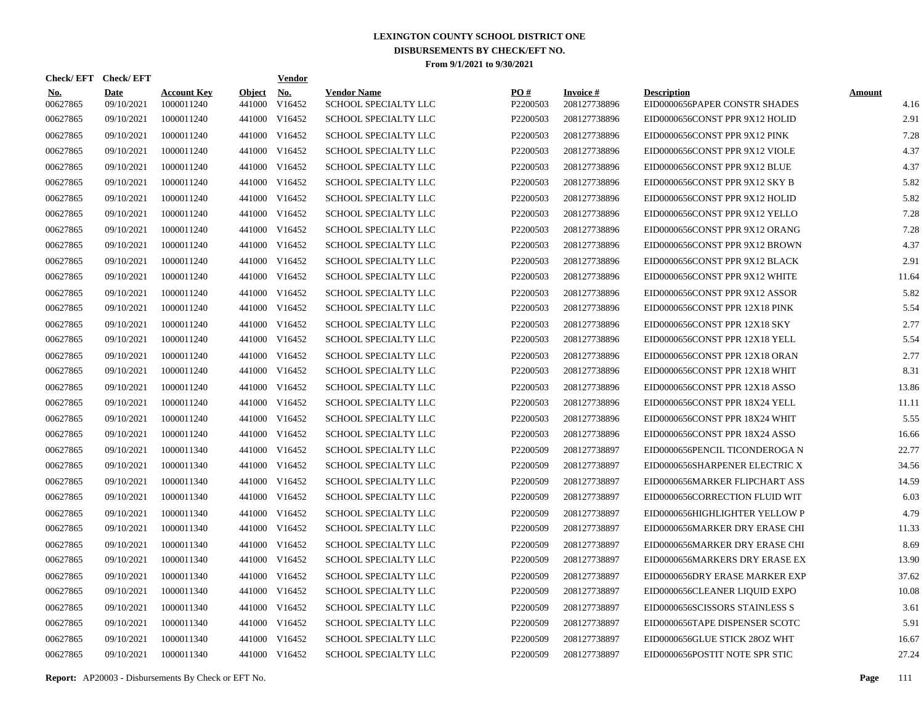| Check/EFT Check/EFT    |                           |                                  |                         | <u>Vendor</u>        |                                            |                      |                                 |                                                     |                       |
|------------------------|---------------------------|----------------------------------|-------------------------|----------------------|--------------------------------------------|----------------------|---------------------------------|-----------------------------------------------------|-----------------------|
| <b>No.</b><br>00627865 | <b>Date</b><br>09/10/2021 | <b>Account Key</b><br>1000011240 | <b>Object</b><br>441000 | <u>No.</u><br>V16452 | <b>Vendor Name</b><br>SCHOOL SPECIALTY LLC | PQ#<br>P2200503      | <b>Invoice#</b><br>208127738896 | <b>Description</b><br>EID0000656PAPER CONSTR SHADES | <b>Amount</b><br>4.16 |
| 00627865               | 09/10/2021                | 1000011240                       | 441000                  | V16452               | <b>SCHOOL SPECIALTY LLC</b>                | P2200503             | 208127738896                    | EID0000656CONST PPR 9X12 HOLID                      | 2.91                  |
| 00627865               | 09/10/2021                | 1000011240                       | 441000                  | V16452               | SCHOOL SPECIALTY LLC                       | P2200503             | 208127738896                    | EID0000656CONST PPR 9X12 PINK                       | 7.28                  |
| 00627865               | 09/10/2021                | 1000011240                       |                         | 441000 V16452        | <b>SCHOOL SPECIALTY LLC</b>                | P2200503             | 208127738896                    | EID0000656CONST PPR 9X12 VIOLE                      | 4.37                  |
| 00627865               | 09/10/2021                | 1000011240                       | 441000                  | V16452               | <b>SCHOOL SPECIALTY LLC</b>                | P2200503             | 208127738896                    | EID0000656CONST PPR 9X12 BLUE                       | 4.37                  |
| 00627865               | 09/10/2021                | 1000011240                       |                         | 441000 V16452        | SCHOOL SPECIALTY LLC                       | P2200503             | 208127738896                    | EID0000656CONST PPR 9X12 SKY B                      | 5.82                  |
| 00627865               | 09/10/2021                | 1000011240                       |                         | 441000 V16452        | SCHOOL SPECIALTY LLC                       | P2200503             | 208127738896                    | EID0000656CONST PPR 9X12 HOLID                      | 5.82                  |
| 00627865               | 09/10/2021                | 1000011240                       |                         | 441000 V16452        | SCHOOL SPECIALTY LLC                       | P2200503             | 208127738896                    | EID0000656CONST PPR 9X12 YELLO                      | 7.28                  |
| 00627865               | 09/10/2021                | 1000011240                       |                         | 441000 V16452        | SCHOOL SPECIALTY LLC                       | P2200503             | 208127738896                    | EID0000656CONST PPR 9X12 ORANG                      | 7.28                  |
| 00627865               | 09/10/2021                | 1000011240                       |                         | 441000 V16452        | SCHOOL SPECIALTY LLC                       | P2200503             | 208127738896                    | EID0000656CONST PPR 9X12 BROWN                      | 4.37                  |
| 00627865               | 09/10/2021                | 1000011240                       |                         | 441000 V16452        | SCHOOL SPECIALTY LLC                       | P2200503             | 208127738896                    | EID0000656CONST PPR 9X12 BLACK                      | 2.91                  |
| 00627865               | 09/10/2021                | 1000011240                       |                         | 441000 V16452        | SCHOOL SPECIALTY LLC                       | P2200503             | 208127738896                    | EID0000656CONST PPR 9X12 WHITE                      | 11.64                 |
| 00627865               | 09/10/2021                | 1000011240                       |                         | 441000 V16452        | SCHOOL SPECIALTY LLC                       | P2200503             | 208127738896                    | EID0000656CONST PPR 9X12 ASSOR                      | 5.82                  |
| 00627865               | 09/10/2021                | 1000011240                       |                         | 441000 V16452        | SCHOOL SPECIALTY LLC                       | P <sub>2200503</sub> | 208127738896                    | EID0000656CONST PPR 12X18 PINK                      | 5.54                  |
| 00627865               | 09/10/2021                | 1000011240                       |                         | 441000 V16452        | SCHOOL SPECIALTY LLC                       | P2200503             | 208127738896                    | EID0000656CONST PPR 12X18 SKY                       | 2.77                  |
| 00627865               | 09/10/2021                | 1000011240                       |                         | 441000 V16452        | SCHOOL SPECIALTY LLC                       | P2200503             | 208127738896                    | EID0000656CONST PPR 12X18 YELL                      | 5.54                  |
| 00627865               | 09/10/2021                | 1000011240                       |                         | 441000 V16452        | SCHOOL SPECIALTY LLC                       | P2200503             | 208127738896                    | EID0000656CONST PPR 12X18 ORAN                      | 2.77                  |
| 00627865               | 09/10/2021                | 1000011240                       |                         | 441000 V16452        | SCHOOL SPECIALTY LLC                       | P2200503             | 208127738896                    | EID0000656CONST PPR 12X18 WHIT                      | 8.31                  |
| 00627865               | 09/10/2021                | 1000011240                       |                         | 441000 V16452        | SCHOOL SPECIALTY LLC                       | P2200503             | 208127738896                    | EID0000656CONST PPR 12X18 ASSO                      | 13.86                 |
| 00627865               | 09/10/2021                | 1000011240                       |                         | 441000 V16452        | SCHOOL SPECIALTY LLC                       | P2200503             | 208127738896                    | EID0000656CONST PPR 18X24 YELL                      | 11.11                 |
| 00627865               | 09/10/2021                | 1000011240                       |                         | 441000 V16452        | SCHOOL SPECIALTY LLC                       | P2200503             | 208127738896                    | EID0000656CONST PPR 18X24 WHIT                      | 5.55                  |
| 00627865               | 09/10/2021                | 1000011240                       |                         | 441000 V16452        | SCHOOL SPECIALTY LLC                       | P2200503             | 208127738896                    | EID0000656CONST PPR 18X24 ASSO                      | 16.66                 |
| 00627865               | 09/10/2021                | 1000011340                       |                         | 441000 V16452        | <b>SCHOOL SPECIALTY LLC</b>                | P2200509             | 208127738897                    | EID0000656PENCIL TICONDEROGA N                      | 22.77                 |
| 00627865               | 09/10/2021                | 1000011340                       |                         | 441000 V16452        | SCHOOL SPECIALTY LLC                       | P <sub>2200509</sub> | 208127738897                    | EID0000656SHARPENER ELECTRIC X                      | 34.56                 |
| 00627865               | 09/10/2021                | 1000011340                       | 441000                  | V16452               | <b>SCHOOL SPECIALTY LLC</b>                | P <sub>2200509</sub> | 208127738897                    | EID0000656MARKER FLIPCHART ASS                      | 14.59                 |
| 00627865               | 09/10/2021                | 1000011340                       |                         | 441000 V16452        | <b>SCHOOL SPECIALTY LLC</b>                | P <sub>2200509</sub> | 208127738897                    | EID0000656CORRECTION FLUID WIT                      | 6.03                  |
| 00627865               | 09/10/2021                | 1000011340                       | 441000                  | V16452               | <b>SCHOOL SPECIALTY LLC</b>                | P2200509             | 208127738897                    | EID0000656HIGHLIGHTER YELLOW P                      | 4.79                  |
| 00627865               | 09/10/2021                | 1000011340                       |                         | 441000 V16452        | SCHOOL SPECIALTY LLC                       | P2200509             | 208127738897                    | EID0000656MARKER DRY ERASE CHI                      | 11.33                 |
| 00627865               | 09/10/2021                | 1000011340                       | 441000                  | V16452               | SCHOOL SPECIALTY LLC                       | P <sub>2200509</sub> | 208127738897                    | EID0000656MARKER DRY ERASE CHI                      | 8.69                  |
| 00627865               | 09/10/2021                | 1000011340                       |                         | 441000 V16452        | SCHOOL SPECIALTY LLC                       | P2200509             | 208127738897                    | EID0000656MARKERS DRY ERASE EX                      | 13.90                 |
| 00627865               | 09/10/2021                | 1000011340                       | 441000                  | V16452               | SCHOOL SPECIALTY LLC                       | P <sub>2200509</sub> | 208127738897                    | EID0000656DRY ERASE MARKER EXP                      | 37.62                 |
| 00627865               | 09/10/2021                | 1000011340                       |                         | 441000 V16452        | SCHOOL SPECIALTY LLC                       | P2200509             | 208127738897                    | EID0000656CLEANER LIQUID EXPO                       | 10.08                 |
| 00627865               | 09/10/2021                | 1000011340                       | 441000                  | V16452               | SCHOOL SPECIALTY LLC                       | P2200509             | 208127738897                    | EID0000656SCISSORS STAINLESS S                      | 3.61                  |
| 00627865               | 09/10/2021                | 1000011340                       |                         | 441000 V16452        | SCHOOL SPECIALTY LLC                       | P <sub>2200509</sub> | 208127738897                    | EID0000656TAPE DISPENSER SCOTC                      | 5.91                  |
| 00627865               | 09/10/2021                | 1000011340                       | 441000                  | V16452               | SCHOOL SPECIALTY LLC                       | P2200509             | 208127738897                    | EID0000656GLUE STICK 28OZ WHT                       | 16.67                 |
| 00627865               | 09/10/2021                | 1000011340                       |                         | 441000 V16452        | <b>SCHOOL SPECIALTY LLC</b>                | P2200509             | 208127738897                    | EID0000656POSTIT NOTE SPR STIC                      | 27.24                 |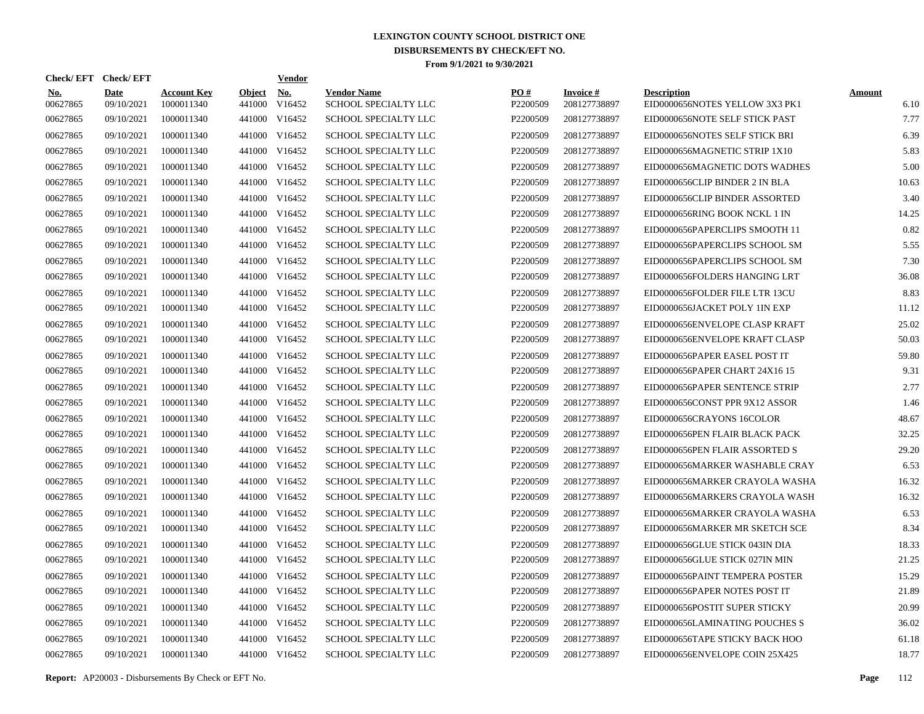| Check/EFT Check/EFT    |                           |                                  |                         | <u>Vendor</u>        |                                            |                      |                                 |                                                      |                       |
|------------------------|---------------------------|----------------------------------|-------------------------|----------------------|--------------------------------------------|----------------------|---------------------------------|------------------------------------------------------|-----------------------|
| <b>No.</b><br>00627865 | <b>Date</b><br>09/10/2021 | <b>Account Key</b><br>1000011340 | <b>Object</b><br>441000 | <b>No.</b><br>V16452 | <b>Vendor Name</b><br>SCHOOL SPECIALTY LLC | PO#<br>P2200509      | <b>Invoice#</b><br>208127738897 | <b>Description</b><br>EID0000656NOTES YELLOW 3X3 PK1 | <b>Amount</b><br>6.10 |
| 00627865               | 09/10/2021                | 1000011340                       | 441000                  | V16452               | <b>SCHOOL SPECIALTY LLC</b>                | P <sub>2200509</sub> | 208127738897                    | EID0000656NOTE SELF STICK PAST                       | 7.77                  |
| 00627865               | 09/10/2021                | 1000011340                       | 441000                  | V16452               | SCHOOL SPECIALTY LLC                       | P2200509             | 208127738897                    | EID0000656NOTES SELF STICK BRI                       | 6.39                  |
| 00627865               | 09/10/2021                | 1000011340                       | 441000                  | V16452               | <b>SCHOOL SPECIALTY LLC</b>                | P2200509             | 208127738897                    | EID0000656MAGNETIC STRIP 1X10                        | 5.83                  |
| 00627865               | 09/10/2021                | 1000011340                       | 441000                  | V16452               | SCHOOL SPECIALTY LLC                       | P2200509             | 208127738897                    | EID0000656MAGNETIC DOTS WADHES                       | 5.00                  |
| 00627865               | 09/10/2021                | 1000011340                       | 441000                  | V16452               | SCHOOL SPECIALTY LLC                       | P2200509             | 208127738897                    | EID0000656CLIP BINDER 2 IN BLA                       | 10.63                 |
| 00627865               | 09/10/2021                | 1000011340                       | 441000                  | V16452               | SCHOOL SPECIALTY LLC                       | P2200509             | 208127738897                    | EID0000656CLIP BINDER ASSORTED                       | 3.40                  |
| 00627865               | 09/10/2021                | 1000011340                       | 441000                  | V16452               | SCHOOL SPECIALTY LLC                       | P2200509             | 208127738897                    | EID0000656RING BOOK NCKL 1 IN                        | 14.25                 |
| 00627865               | 09/10/2021                | 1000011340                       | 441000                  | V16452               | SCHOOL SPECIALTY LLC                       | P2200509             | 208127738897                    | EID0000656PAPERCLIPS SMOOTH 11                       | 0.82                  |
| 00627865               | 09/10/2021                | 1000011340                       | 441000                  | V16452               | SCHOOL SPECIALTY LLC                       | P2200509             | 208127738897                    | EID0000656PAPERCLIPS SCHOOL SM                       | 5.55                  |
| 00627865               | 09/10/2021                | 1000011340                       | 441000                  | V16452               | SCHOOL SPECIALTY LLC                       | P2200509             | 208127738897                    | EID0000656PAPERCLIPS SCHOOL SM                       | 7.30                  |
| 00627865               | 09/10/2021                | 1000011340                       | 441000                  | V16452               | <b>SCHOOL SPECIALTY LLC</b>                | P <sub>2200509</sub> | 208127738897                    | EID0000656FOLDERS HANGING LRT                        | 36.08                 |
| 00627865               | 09/10/2021                | 1000011340                       | 441000                  | V16452               | <b>SCHOOL SPECIALTY LLC</b>                | P2200509             | 208127738897                    | EID0000656FOLDER FILE LTR 13CU                       | 8.83                  |
| 00627865               | 09/10/2021                | 1000011340                       | 441000                  | V16452               | SCHOOL SPECIALTY LLC                       | P2200509             | 208127738897                    | EID0000656JACKET POLY 1IN EXP                        | 11.12                 |
| 00627865               | 09/10/2021                | 1000011340                       | 441000                  | V16452               | SCHOOL SPECIALTY LLC                       | P2200509             | 208127738897                    | EID0000656ENVELOPE CLASP KRAFT                       | 25.02                 |
| 00627865               | 09/10/2021                | 1000011340                       |                         | 441000 V16452        | <b>SCHOOL SPECIALTY LLC</b>                | P2200509             | 208127738897                    | EID0000656ENVELOPE KRAFT CLASP                       | 50.03                 |
| 00627865               | 09/10/2021                | 1000011340                       | 441000                  | V16452               | SCHOOL SPECIALTY LLC                       | P2200509             | 208127738897                    | EID0000656PAPER EASEL POST IT                        | 59.80                 |
| 00627865               | 09/10/2021                | 1000011340                       |                         | 441000 V16452        | SCHOOL SPECIALTY LLC                       | P2200509             | 208127738897                    | EID0000656PAPER CHART 24X16 15                       | 9.31                  |
| 00627865               | 09/10/2021                | 1000011340                       | 441000                  | V16452               | <b>SCHOOL SPECIALTY LLC</b>                | P2200509             | 208127738897                    | EID0000656PAPER SENTENCE STRIP                       | 2.77                  |
| 00627865               | 09/10/2021                | 1000011340                       |                         | 441000 V16452        | <b>SCHOOL SPECIALTY LLC</b>                | P <sub>2200509</sub> | 208127738897                    | EID0000656CONST PPR 9X12 ASSOR                       | 1.46                  |
| 00627865               | 09/10/2021                | 1000011340                       | 441000                  | V16452               | <b>SCHOOL SPECIALTY LLC</b>                | P2200509             | 208127738897                    | EID0000656CRAYONS 16COLOR                            | 48.67                 |
| 00627865               | 09/10/2021                | 1000011340                       | 441000                  | V16452               | SCHOOL SPECIALTY LLC                       | P2200509             | 208127738897                    | EID0000656PEN FLAIR BLACK PACK                       | 32.25                 |
| 00627865               | 09/10/2021                | 1000011340                       | 441000                  | V16452               | SCHOOL SPECIALTY LLC                       | P <sub>2200509</sub> | 208127738897                    | EID0000656PEN FLAIR ASSORTED S                       | 29.20                 |
| 00627865               | 09/10/2021                | 1000011340                       | 441000                  | V16452               | <b>SCHOOL SPECIALTY LLC</b>                | P2200509             | 208127738897                    | EID0000656MARKER WASHABLE CRAY                       | 6.53                  |
| 00627865               | 09/10/2021                | 1000011340                       | 441000                  | V16452               | <b>SCHOOL SPECIALTY LLC</b>                | P2200509             | 208127738897                    | EID0000656MARKER CRAYOLA WASHA                       | 16.32                 |
| 00627865               | 09/10/2021                | 1000011340                       | 441000                  | V16452               | SCHOOL SPECIALTY LLC                       | P2200509             | 208127738897                    | EID0000656MARKERS CRAYOLA WASH                       | 16.32                 |
| 00627865               | 09/10/2021                | 1000011340                       | 441000                  | V16452               | <b>SCHOOL SPECIALTY LLC</b>                | P2200509             | 208127738897                    | EID0000656MARKER CRAYOLA WASHA                       | 6.53                  |
| 00627865               | 09/10/2021                | 1000011340                       | 441000                  | V16452               | <b>SCHOOL SPECIALTY LLC</b>                | P <sub>2200509</sub> | 208127738897                    | EID0000656MARKER MR SKETCH SCE                       | 8.34                  |
| 00627865               | 09/10/2021                | 1000011340                       | 441000                  | V16452               | <b>SCHOOL SPECIALTY LLC</b>                | P <sub>2200509</sub> | 208127738897                    | EID0000656GLUE STICK 043IN DIA                       | 18.33                 |
| 00627865               | 09/10/2021                | 1000011340                       | 441000                  | V16452               | SCHOOL SPECIALTY LLC                       | P2200509             | 208127738897                    | EID0000656GLUE STICK 027IN MIN                       | 21.25                 |
| 00627865               | 09/10/2021                | 1000011340                       | 441000                  | V16452               | SCHOOL SPECIALTY LLC                       | P2200509             | 208127738897                    | EID0000656PAINT TEMPERA POSTER                       | 15.29                 |
| 00627865               | 09/10/2021                | 1000011340                       | 441000                  | V16452               | <b>SCHOOL SPECIALTY LLC</b>                | P2200509             | 208127738897                    | EID0000656PAPER NOTES POST IT                        | 21.89                 |
| 00627865               | 09/10/2021                | 1000011340                       | 441000                  | V16452               | <b>SCHOOL SPECIALTY LLC</b>                | P2200509             | 208127738897                    | EID0000656POSTIT SUPER STICKY                        | 20.99                 |
| 00627865               | 09/10/2021                | 1000011340                       | 441000                  | V16452               | <b>SCHOOL SPECIALTY LLC</b>                | P2200509             | 208127738897                    | EID0000656LAMINATING POUCHES S                       | 36.02                 |
| 00627865               | 09/10/2021                | 1000011340                       | 441000                  | V16452               | <b>SCHOOL SPECIALTY LLC</b>                | P2200509             | 208127738897                    | EID0000656TAPE STICKY BACK HOO                       | 61.18                 |
| 00627865               | 09/10/2021                | 1000011340                       |                         | 441000 V16452        | <b>SCHOOL SPECIALTY LLC</b>                | P2200509             | 208127738897                    | EID0000656ENVELOPE COIN 25X425                       | 18.77                 |

**Report:** AP20003 - Disbursements By Check or EFT No. **Page** 112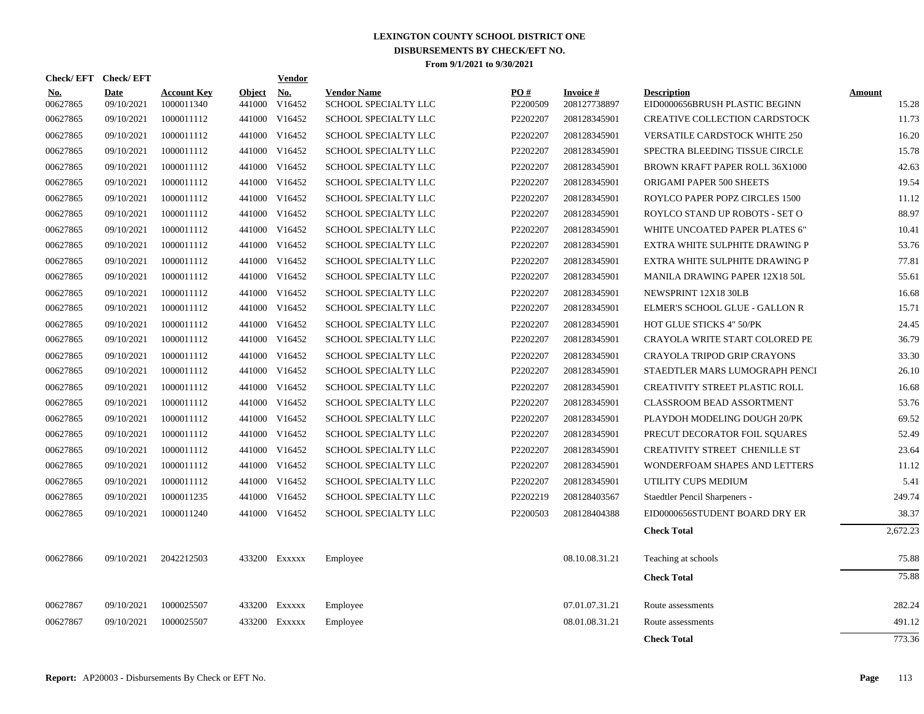| Check/EFT Check/EFT    |                           |                                  |                         | Vendor        |                                            |                 |                           |                                                      |                 |
|------------------------|---------------------------|----------------------------------|-------------------------|---------------|--------------------------------------------|-----------------|---------------------------|------------------------------------------------------|-----------------|
| <b>No.</b><br>00627865 | <b>Date</b><br>09/10/2021 | <b>Account Key</b><br>1000011340 | <b>Object</b><br>441000 | No.<br>V16452 | <b>Vendor Name</b><br>SCHOOL SPECIALTY LLC | PO#<br>P2200509 | Invoice #<br>208127738897 | <b>Description</b><br>EID0000656BRUSH PLASTIC BEGINN | Amount<br>15.28 |
| 00627865               | 09/10/2021                | 1000011112                       |                         | 441000 V16452 | SCHOOL SPECIALTY LLC                       | P2202207        | 208128345901              | CREATIVE COLLECTION CARDSTOCK                        | 11.73           |
| 00627865               | 09/10/2021                | 1000011112                       |                         | 441000 V16452 | SCHOOL SPECIALTY LLC                       | P2202207        | 208128345901              | <b>VERSATILE CARDSTOCK WHITE 250</b>                 | 16.20           |
| 00627865               | 09/10/2021                | 1000011112                       |                         | 441000 V16452 | SCHOOL SPECIALTY LLC                       | P2202207        | 208128345901              | SPECTRA BLEEDING TISSUE CIRCLE                       | 15.78           |
| 00627865               | 09/10/2021                | 1000011112                       |                         | 441000 V16452 | SCHOOL SPECIALTY LLC                       | P2202207        | 208128345901              | BROWN KRAFT PAPER ROLL 36X1000                       | 42.63           |
| 00627865               | 09/10/2021                | 1000011112                       |                         | 441000 V16452 | SCHOOL SPECIALTY LLC                       | P2202207        | 208128345901              | ORIGAMI PAPER 500 SHEETS                             | 19.54           |
| 00627865               | 09/10/2021                | 1000011112                       | 441000                  | V16452        | SCHOOL SPECIALTY LLC                       | P2202207        | 208128345901              | ROYLCO PAPER POPZ CIRCLES 1500                       | 11.12           |
| 00627865               | 09/10/2021                | 1000011112                       | 441000                  | V16452        | SCHOOL SPECIALTY LLC                       | P2202207        | 208128345901              | ROYLCO STAND UP ROBOTS - SET O                       | 88.97           |
| 00627865               | 09/10/2021                | 1000011112                       |                         | 441000 V16452 | <b>SCHOOL SPECIALTY LLC</b>                | P2202207        | 208128345901              | WHITE UNCOATED PAPER PLATES 6"                       | 10.41           |
| 00627865               | 09/10/2021                | 1000011112                       | 441000                  | V16452        | SCHOOL SPECIALTY LLC                       | P2202207        | 208128345901              | EXTRA WHITE SULPHITE DRAWING P                       | 53.76           |
| 00627865               | 09/10/2021                | 1000011112                       | 441000                  | V16452        | SCHOOL SPECIALTY LLC                       | P2202207        | 208128345901              | EXTRA WHITE SULPHITE DRAWING P                       | 77.81           |
| 00627865               | 09/10/2021                | 1000011112                       | 441000                  | V16452        | <b>SCHOOL SPECIALTY LLC</b>                | P2202207        | 208128345901              | <b>MANILA DRAWING PAPER 12X18 50L</b>                | 55.61           |
| 00627865               | 09/10/2021                | 1000011112                       |                         | 441000 V16452 | SCHOOL SPECIALTY LLC                       | P2202207        | 208128345901              | NEWSPRINT 12X18 30LB                                 | 16.68           |
| 00627865               | 09/10/2021                | 1000011112                       | 441000                  | V16452        | SCHOOL SPECIALTY LLC                       | P2202207        | 208128345901              | ELMER'S SCHOOL GLUE - GALLON R                       | 15.71           |
| 00627865               | 09/10/2021                | 1000011112                       |                         | 441000 V16452 | SCHOOL SPECIALTY LLC                       | P2202207        | 208128345901              | HOT GLUE STICKS 4" 50/PK                             | 24.45           |
| 00627865               | 09/10/2021                | 1000011112                       |                         | 441000 V16452 | <b>SCHOOL SPECIALTY LLC</b>                | P2202207        | 208128345901              | CRAYOLA WRITE START COLORED PE                       | 36.79           |
| 00627865               | 09/10/2021                | 1000011112                       |                         | 441000 V16452 | SCHOOL SPECIALTY LLC                       | P2202207        | 208128345901              | CRAYOLA TRIPOD GRIP CRAYONS                          | 33.30           |
| 00627865               | 09/10/2021                | 1000011112                       |                         | 441000 V16452 | SCHOOL SPECIALTY LLC                       | P2202207        | 208128345901              | STAEDTLER MARS LUMOGRAPH PENCI                       | 26.10           |
| 00627865               | 09/10/2021                | 1000011112                       |                         | 441000 V16452 | SCHOOL SPECIALTY LLC                       | P2202207        | 208128345901              | CREATIVITY STREET PLASTIC ROLL                       | 16.68           |
| 00627865               | 09/10/2021                | 1000011112                       |                         | 441000 V16452 | SCHOOL SPECIALTY LLC                       | P2202207        | 208128345901              | <b>CLASSROOM BEAD ASSORTMENT</b>                     | 53.76           |
| 00627865               | 09/10/2021                | 1000011112                       |                         | 441000 V16452 | SCHOOL SPECIALTY LLC                       | P2202207        | 208128345901              | PLAYDOH MODELING DOUGH 20/PK                         | 69.52           |
| 00627865               | 09/10/2021                | 1000011112                       |                         | 441000 V16452 | <b>SCHOOL SPECIALTY LLC</b>                | P2202207        | 208128345901              | PRECUT DECORATOR FOIL SQUARES                        | 52.49           |
| 00627865               | 09/10/2021                | 1000011112                       |                         | 441000 V16452 | SCHOOL SPECIALTY LLC                       | P2202207        | 208128345901              | CREATIVITY STREET CHENILLE ST                        | 23.64           |
| 00627865               | 09/10/2021                | 1000011112                       |                         | 441000 V16452 | SCHOOL SPECIALTY LLC                       | P2202207        | 208128345901              | WONDERFOAM SHAPES AND LETTERS                        | 11.12           |
| 00627865               | 09/10/2021                | 1000011112                       |                         | 441000 V16452 | SCHOOL SPECIALTY LLC                       | P2202207        | 208128345901              | UTILITY CUPS MEDIUM                                  | 5.41            |
| 00627865               | 09/10/2021                | 1000011235                       |                         | 441000 V16452 | SCHOOL SPECIALTY LLC                       | P2202219        | 208128403567              | Staedtler Pencil Sharpeners -                        | 249.74          |
| 00627865               | 09/10/2021                | 1000011240                       |                         | 441000 V16452 | <b>SCHOOL SPECIALTY LLC</b>                | P2200503        | 208128404388              | EID0000656STUDENT BOARD DRY ER                       | 38.37           |
|                        |                           |                                  |                         |               |                                            |                 |                           | <b>Check Total</b>                                   | 2,672.23        |
| 00627866               | 09/10/2021                | 2042212503                       |                         | 433200 Exxxxx | Employee                                   |                 | 08.10.08.31.21            | Teaching at schools                                  | 75.88           |
|                        |                           |                                  |                         |               |                                            |                 |                           | <b>Check Total</b>                                   | 75.88           |
| 00627867               | 09/10/2021                | 1000025507                       |                         | 433200 Exxxxx | Employee                                   |                 | 07.01.07.31.21            | Route assessments                                    | 282.24          |
| 00627867               | 09/10/2021                | 1000025507                       | 433200                  | EXXXXX        | Employee                                   |                 | 08.01.08.31.21            | Route assessments                                    | 491.12          |
|                        |                           |                                  |                         |               |                                            |                 |                           | <b>Check Total</b>                                   | 773.36          |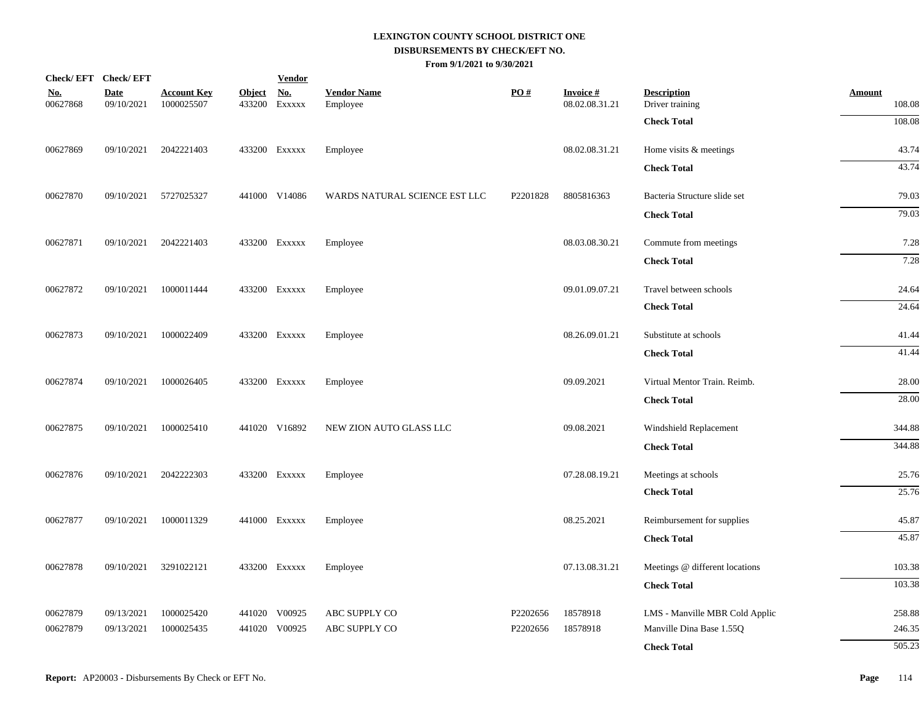|                        | Check/EFT Check/EFT       |                                  |               | <b>Vendor</b>               |                                |          |                                   |                                       |                         |
|------------------------|---------------------------|----------------------------------|---------------|-----------------------------|--------------------------------|----------|-----------------------------------|---------------------------------------|-------------------------|
| <u>No.</u><br>00627868 | <b>Date</b><br>09/10/2021 | <b>Account Key</b><br>1000025507 | <b>Object</b> | <u>No.</u><br>433200 Exxxxx | <b>Vendor Name</b><br>Employee | PO#      | <b>Invoice#</b><br>08.02.08.31.21 | <b>Description</b><br>Driver training | <b>Amount</b><br>108.08 |
|                        |                           |                                  |               |                             |                                |          |                                   | <b>Check Total</b>                    | 108.08                  |
| 00627869               | 09/10/2021                | 2042221403                       |               | 433200 Exxxxx               | Employee                       |          | 08.02.08.31.21                    | Home visits & meetings                | 43.74                   |
|                        |                           |                                  |               |                             |                                |          |                                   | <b>Check Total</b>                    | 43.74                   |
| 00627870               | 09/10/2021                | 5727025327                       |               | 441000 V14086               | WARDS NATURAL SCIENCE EST LLC  | P2201828 | 8805816363                        | Bacteria Structure slide set          | 79.03                   |
|                        |                           |                                  |               |                             |                                |          |                                   | <b>Check Total</b>                    | 79.03                   |
| 00627871               | 09/10/2021                | 2042221403                       |               | 433200 EXXXXX               | Employee                       |          | 08.03.08.30.21                    | Commute from meetings                 | 7.28                    |
|                        |                           |                                  |               |                             |                                |          |                                   | <b>Check Total</b>                    | 7.28                    |
| 00627872               | 09/10/2021                | 1000011444                       |               | 433200 Exxxxx               | Employee                       |          | 09.01.09.07.21                    | Travel between schools                | 24.64                   |
|                        |                           |                                  |               |                             |                                |          |                                   | <b>Check Total</b>                    | 24.64                   |
| 00627873               | 09/10/2021                | 1000022409                       |               | 433200 EXXXXX               | Employee                       |          | 08.26.09.01.21                    | Substitute at schools                 | 41.44                   |
|                        |                           |                                  |               |                             |                                |          |                                   | <b>Check Total</b>                    | 41.44                   |
| 00627874               | 09/10/2021                | 1000026405                       |               | 433200 EXXXXX               | Employee                       |          | 09.09.2021                        | Virtual Mentor Train. Reimb.          | 28.00                   |
|                        |                           |                                  |               |                             |                                |          |                                   | <b>Check Total</b>                    | 28.00                   |
| 00627875               | 09/10/2021                | 1000025410                       |               | 441020 V16892               | NEW ZION AUTO GLASS LLC        |          | 09.08.2021                        | Windshield Replacement                | 344.88                  |
|                        |                           |                                  |               |                             |                                |          |                                   | <b>Check Total</b>                    | 344.88                  |
| 00627876               | 09/10/2021                | 2042222303                       |               | 433200 Exxxxx               | Employee                       |          | 07.28.08.19.21                    | Meetings at schools                   | 25.76                   |
|                        |                           |                                  |               |                             |                                |          |                                   | <b>Check Total</b>                    | 25.76                   |
| 00627877               | 09/10/2021                | 1000011329                       |               | 441000 Exxxxx               | Employee                       |          | 08.25.2021                        | Reimbursement for supplies            | 45.87                   |
|                        |                           |                                  |               |                             |                                |          |                                   | <b>Check Total</b>                    | 45.87                   |
| 00627878               | 09/10/2021                | 3291022121                       |               | 433200 Exxxxx               | Employee                       |          | 07.13.08.31.21                    | Meetings @ different locations        | 103.38                  |
|                        |                           |                                  |               |                             |                                |          |                                   | <b>Check Total</b>                    | 103.38                  |
| 00627879               | 09/13/2021                | 1000025420                       |               | 441020 V00925               | ABC SUPPLY CO                  | P2202656 | 18578918                          | LMS - Manville MBR Cold Applic        | 258.88                  |
| 00627879               | 09/13/2021                | 1000025435                       |               | 441020 V00925               | ABC SUPPLY CO                  | P2202656 | 18578918                          | Manville Dina Base 1.55Q              | 246.35                  |
|                        |                           |                                  |               |                             |                                |          |                                   | <b>Check Total</b>                    | 505.23                  |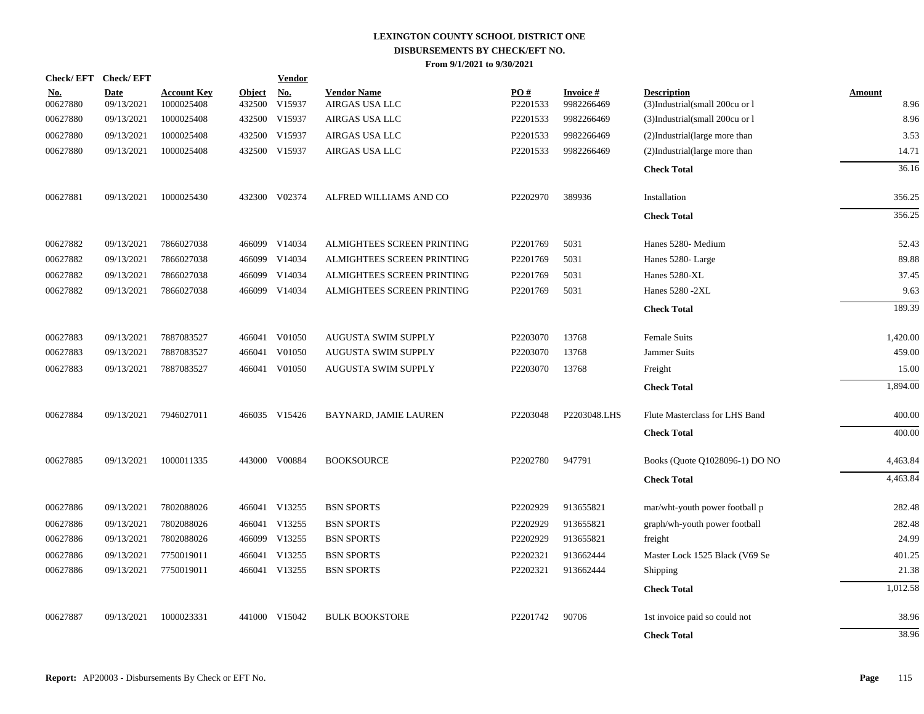|                        | Check/EFT Check/EFT       |                                  |                         | <b>Vendor</b>        |                                      |                 |                               |                                                      |                       |
|------------------------|---------------------------|----------------------------------|-------------------------|----------------------|--------------------------------------|-----------------|-------------------------------|------------------------------------------------------|-----------------------|
| <u>No.</u><br>00627880 | <b>Date</b><br>09/13/2021 | <b>Account Key</b><br>1000025408 | <b>Object</b><br>432500 | <u>No.</u><br>V15937 | <b>Vendor Name</b><br>AIRGAS USA LLC | PO#<br>P2201533 | <b>Invoice#</b><br>9982266469 | <b>Description</b><br>(3)Industrial(small 200cu or l | <b>Amount</b><br>8.96 |
| 00627880               | 09/13/2021                | 1000025408                       | 432500                  | V15937               | AIRGAS USA LLC                       | P2201533        | 9982266469                    | (3)Industrial(small 200cu or 1                       | 8.96                  |
| 00627880               | 09/13/2021                | 1000025408                       | 432500                  | V15937               | AIRGAS USA LLC                       | P2201533        | 9982266469                    | (2)Industrial(large more than                        | 3.53                  |
| 00627880               | 09/13/2021                | 1000025408                       | 432500                  | V15937               | AIRGAS USA LLC                       | P2201533        | 9982266469                    | (2)Industrial(large more than                        | 14.71                 |
|                        |                           |                                  |                         |                      |                                      |                 |                               | <b>Check Total</b>                                   | 36.16                 |
| 00627881               | 09/13/2021                | 1000025430                       | 432300                  | V02374               | ALFRED WILLIAMS AND CO               | P2202970        | 389936                        | Installation                                         | 356.25                |
|                        |                           |                                  |                         |                      |                                      |                 |                               | <b>Check Total</b>                                   | 356.25                |
| 00627882               | 09/13/2021                | 7866027038                       | 466099                  | V14034               | ALMIGHTEES SCREEN PRINTING           | P2201769        | 5031                          | Hanes 5280- Medium                                   | 52.43                 |
| 00627882               | 09/13/2021                | 7866027038                       | 466099                  | V14034               | ALMIGHTEES SCREEN PRINTING           | P2201769        | 5031                          | Hanes 5280-Large                                     | 89.88                 |
| 00627882               | 09/13/2021                | 7866027038                       | 466099                  | V14034               | ALMIGHTEES SCREEN PRINTING           | P2201769        | 5031                          | Hanes 5280-XL                                        | 37.45                 |
| 00627882               | 09/13/2021                | 7866027038                       | 466099                  | V14034               | ALMIGHTEES SCREEN PRINTING           | P2201769        | 5031                          | Hanes 5280 -2XL                                      | 9.63                  |
|                        |                           |                                  |                         |                      |                                      |                 |                               | <b>Check Total</b>                                   | 189.39                |
| 00627883               | 09/13/2021                | 7887083527                       |                         | 466041 V01050        | AUGUSTA SWIM SUPPLY                  | P2203070        | 13768                         | Female Suits                                         | 1,420.00              |
| 00627883               | 09/13/2021                | 7887083527                       | 466041                  | V01050               | AUGUSTA SWIM SUPPLY                  | P2203070        | 13768                         | Jammer Suits                                         | 459.00                |
| 00627883               | 09/13/2021                | 7887083527                       |                         | 466041 V01050        | AUGUSTA SWIM SUPPLY                  | P2203070        | 13768                         | Freight                                              | 15.00                 |
|                        |                           |                                  |                         |                      |                                      |                 |                               | <b>Check Total</b>                                   | 1,894.00              |
| 00627884               | 09/13/2021                | 7946027011                       |                         | 466035 V15426        | BAYNARD, JAMIE LAUREN                | P2203048        | P2203048.LHS                  | Flute Masterclass for LHS Band                       | 400.00                |
|                        |                           |                                  |                         |                      |                                      |                 |                               | <b>Check Total</b>                                   | 400.00                |
| 00627885               | 09/13/2021                | 1000011335                       |                         | 443000 V00884        | <b>BOOKSOURCE</b>                    | P2202780        | 947791                        | Books (Quote Q1028096-1) DO NO                       | 4,463.84              |
|                        |                           |                                  |                         |                      |                                      |                 |                               | <b>Check Total</b>                                   | 4,463.84              |
| 00627886               | 09/13/2021                | 7802088026                       |                         | 466041 V13255        | <b>BSN SPORTS</b>                    | P2202929        | 913655821                     | mar/wht-youth power football p                       | 282.48                |
| 00627886               | 09/13/2021                | 7802088026                       |                         | 466041 V13255        | <b>BSN SPORTS</b>                    | P2202929        | 913655821                     | graph/wh-youth power football                        | 282.48                |
| 00627886               | 09/13/2021                | 7802088026                       |                         | 466099 V13255        | <b>BSN SPORTS</b>                    | P2202929        | 913655821                     | freight                                              | 24.99                 |
| 00627886               | 09/13/2021                | 7750019011                       |                         | 466041 V13255        | <b>BSN SPORTS</b>                    | P2202321        | 913662444                     | Master Lock 1525 Black (V69 Se                       | 401.25                |
| 00627886               | 09/13/2021                | 7750019011                       |                         | 466041 V13255        | <b>BSN SPORTS</b>                    | P2202321        | 913662444                     | <b>Shipping</b>                                      | 21.38                 |
|                        |                           |                                  |                         |                      |                                      |                 |                               | <b>Check Total</b>                                   | 1,012.58              |
| 00627887               | 09/13/2021                | 1000023331                       |                         | 441000 V15042        | <b>BULK BOOKSTORE</b>                | P2201742        | 90706                         | 1st invoice paid so could not                        | 38.96                 |
|                        |                           |                                  |                         |                      |                                      |                 |                               | <b>Check Total</b>                                   | 38.96                 |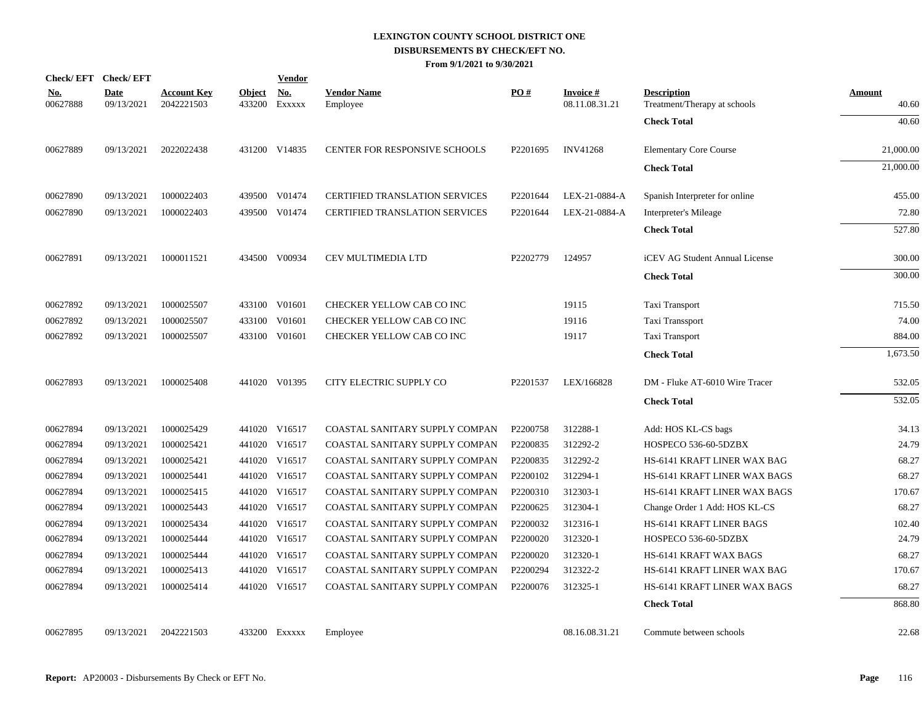| <b>Check/EFT</b>       | <b>Check/EFT</b>          |                                  |                         | <b>Vendor</b> |                                       |          |                             |                                                    |                 |
|------------------------|---------------------------|----------------------------------|-------------------------|---------------|---------------------------------------|----------|-----------------------------|----------------------------------------------------|-----------------|
| <u>No.</u><br>00627888 | <b>Date</b><br>09/13/2021 | <b>Account Key</b><br>2042221503 | <b>Object</b><br>433200 | No.<br>EXXXXX | <b>Vendor Name</b><br>Employee        | PO#      | Invoice #<br>08.11.08.31.21 | <b>Description</b><br>Treatment/Therapy at schools | Amount<br>40.60 |
|                        |                           |                                  |                         |               |                                       |          |                             | <b>Check Total</b>                                 | 40.60           |
| 00627889               | 09/13/2021                | 2022022438                       |                         | 431200 V14835 | CENTER FOR RESPONSIVE SCHOOLS         | P2201695 | <b>INV41268</b>             | <b>Elementary Core Course</b>                      | 21,000.00       |
|                        |                           |                                  |                         |               |                                       |          |                             | <b>Check Total</b>                                 | 21,000.00       |
| 00627890               | 09/13/2021                | 1000022403                       |                         | 439500 V01474 | <b>CERTIFIED TRANSLATION SERVICES</b> | P2201644 | LEX-21-0884-A               | Spanish Interpreter for online                     | 455.00          |
| 00627890               | 09/13/2021                | 1000022403                       |                         | 439500 V01474 | <b>CERTIFIED TRANSLATION SERVICES</b> | P2201644 | LEX-21-0884-A               | Interpreter's Mileage                              | 72.80           |
|                        |                           |                                  |                         |               |                                       |          |                             | <b>Check Total</b>                                 | 527.80          |
| 00627891               | 09/13/2021                | 1000011521                       |                         | 434500 V00934 | CEV MULTIMEDIA LTD                    | P2202779 | 124957                      | iCEV AG Student Annual License                     | 300.00          |
|                        |                           |                                  |                         |               |                                       |          |                             | <b>Check Total</b>                                 | 300.00          |
| 00627892               | 09/13/2021                | 1000025507                       |                         | 433100 V01601 | CHECKER YELLOW CAB CO INC             |          | 19115                       | Taxi Transport                                     | 715.50          |
| 00627892               | 09/13/2021                | 1000025507                       | 433100                  | V01601        | CHECKER YELLOW CAB CO INC             |          | 19116                       | Taxi Transsport                                    | 74.00           |
| 00627892               | 09/13/2021                | 1000025507                       |                         | 433100 V01601 | CHECKER YELLOW CAB CO INC             |          | 19117                       | Taxi Transport                                     | 884.00          |
|                        |                           |                                  |                         |               |                                       |          |                             | <b>Check Total</b>                                 | 1,673.50        |
| 00627893               | 09/13/2021                | 1000025408                       |                         | 441020 V01395 | CITY ELECTRIC SUPPLY CO               | P2201537 | LEX/166828                  | DM - Fluke AT-6010 Wire Tracer                     | 532.05          |
|                        |                           |                                  |                         |               |                                       |          |                             | <b>Check Total</b>                                 | 532.05          |
| 00627894               | 09/13/2021                | 1000025429                       |                         | 441020 V16517 | COASTAL SANITARY SUPPLY COMPAN        | P2200758 | 312288-1                    | Add: HOS KL-CS bags                                | 34.13           |
| 00627894               | 09/13/2021                | 1000025421                       |                         | 441020 V16517 | COASTAL SANITARY SUPPLY COMPAN        | P2200835 | 312292-2                    | HOSPECO 536-60-5DZBX                               | 24.79           |
| 00627894               | 09/13/2021                | 1000025421                       |                         | 441020 V16517 | COASTAL SANITARY SUPPLY COMPAN        | P2200835 | 312292-2                    | HS-6141 KRAFT LINER WAX BAG                        | 68.27           |
| 00627894               | 09/13/2021                | 1000025441                       |                         | 441020 V16517 | COASTAL SANITARY SUPPLY COMPAN        | P2200102 | 312294-1                    | HS-6141 KRAFT LINER WAX BAGS                       | 68.27           |
| 00627894               | 09/13/2021                | 1000025415                       |                         | 441020 V16517 | COASTAL SANITARY SUPPLY COMPAN        | P2200310 | 312303-1                    | HS-6141 KRAFT LINER WAX BAGS                       | 170.67          |
| 00627894               | 09/13/2021                | 1000025443                       |                         | 441020 V16517 | COASTAL SANITARY SUPPLY COMPAN        | P2200625 | 312304-1                    | Change Order 1 Add: HOS KL-CS                      | 68.27           |
| 00627894               | 09/13/2021                | 1000025434                       |                         | 441020 V16517 | COASTAL SANITARY SUPPLY COMPAN        | P2200032 | 312316-1                    | HS-6141 KRAFT LINER BAGS                           | 102.40          |
| 00627894               | 09/13/2021                | 1000025444                       |                         | 441020 V16517 | COASTAL SANITARY SUPPLY COMPAN        | P2200020 | 312320-1                    | HOSPECO 536-60-5DZBX                               | 24.79           |
| 00627894               | 09/13/2021                | 1000025444                       |                         | 441020 V16517 | COASTAL SANITARY SUPPLY COMPAN        | P2200020 | 312320-1                    | HS-6141 KRAFT WAX BAGS                             | 68.27           |
| 00627894               | 09/13/2021                | 1000025413                       |                         | 441020 V16517 | COASTAL SANITARY SUPPLY COMPAN        | P2200294 | 312322-2                    | HS-6141 KRAFT LINER WAX BAG                        | 170.67          |
| 00627894               | 09/13/2021                | 1000025414                       |                         | 441020 V16517 | COASTAL SANITARY SUPPLY COMPAN        | P2200076 | 312325-1                    | HS-6141 KRAFT LINER WAX BAGS                       | 68.27           |
|                        |                           |                                  |                         |               |                                       |          |                             | <b>Check Total</b>                                 | 868.80          |
| 00627895               | 09/13/2021                | 2042221503                       |                         | 433200 EXXXXX | Employee                              |          | 08.16.08.31.21              | Commute between schools                            | 22.68           |
|                        |                           |                                  |                         |               |                                       |          |                             |                                                    |                 |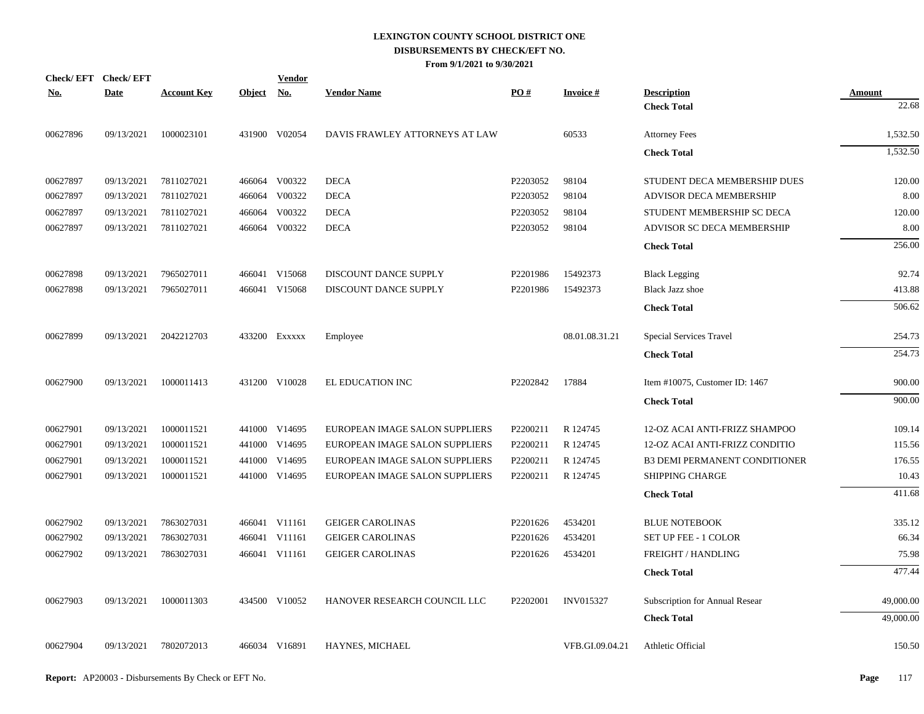|            | Check/EFT Check/EFT |                    |            | <b>Vendor</b> |                                |          |                  |                                |           |
|------------|---------------------|--------------------|------------|---------------|--------------------------------|----------|------------------|--------------------------------|-----------|
| <u>No.</u> | <b>Date</b>         | <b>Account Key</b> | Object No. |               | <b>Vendor Name</b>             | PO#      | <b>Invoice#</b>  | <b>Description</b>             | Amount    |
|            |                     |                    |            |               |                                |          |                  | <b>Check Total</b>             | 22.68     |
| 00627896   | 09/13/2021          | 1000023101         |            | 431900 V02054 | DAVIS FRAWLEY ATTORNEYS AT LAW |          | 60533            | <b>Attorney Fees</b>           | 1,532.50  |
|            |                     |                    |            |               |                                |          |                  | <b>Check Total</b>             | 1,532.50  |
| 00627897   | 09/13/2021          | 7811027021         |            | 466064 V00322 | <b>DECA</b>                    | P2203052 | 98104            | STUDENT DECA MEMBERSHIP DUES   | 120.00    |
| 00627897   | 09/13/2021          | 7811027021         |            | 466064 V00322 | <b>DECA</b>                    | P2203052 | 98104            | <b>ADVISOR DECA MEMBERSHIP</b> | 8.00      |
| 00627897   | 09/13/2021          | 7811027021         |            | 466064 V00322 | <b>DECA</b>                    | P2203052 | 98104            | STUDENT MEMBERSHIP SC DECA     | 120.00    |
| 00627897   | 09/13/2021          | 7811027021         |            | 466064 V00322 | <b>DECA</b>                    | P2203052 | 98104            | ADVISOR SC DECA MEMBERSHIP     | 8.00      |
|            |                     |                    |            |               |                                |          |                  | <b>Check Total</b>             | 256.00    |
| 00627898   | 09/13/2021          | 7965027011         |            | 466041 V15068 | DISCOUNT DANCE SUPPLY          | P2201986 | 15492373         | <b>Black Legging</b>           | 92.74     |
| 00627898   | 09/13/2021          | 7965027011         |            | 466041 V15068 | DISCOUNT DANCE SUPPLY          | P2201986 | 15492373         | <b>Black Jazz shoe</b>         | 413.88    |
|            |                     |                    |            |               |                                |          |                  | <b>Check Total</b>             | 506.62    |
| 00627899   | 09/13/2021          | 2042212703         |            | 433200 EXXXXX | Employee                       |          | 08.01.08.31.21   | Special Services Travel        | 254.73    |
|            |                     |                    |            |               |                                |          |                  | <b>Check Total</b>             | 254.73    |
| 00627900   | 09/13/2021          | 1000011413         |            | 431200 V10028 | EL EDUCATION INC               | P2202842 | 17884            | Item #10075, Customer ID: 1467 | 900.00    |
|            |                     |                    |            |               |                                |          |                  | <b>Check Total</b>             | 900.00    |
| 00627901   | 09/13/2021          | 1000011521         |            | 441000 V14695 | EUROPEAN IMAGE SALON SUPPLIERS | P2200211 | R 124745         | 12-OZ ACAI ANTI-FRIZZ SHAMPOO  | 109.14    |
| 00627901   | 09/13/2021          | 1000011521         |            | 441000 V14695 | EUROPEAN IMAGE SALON SUPPLIERS | P2200211 | R 124745         | 12-OZ ACAI ANTI-FRIZZ CONDITIO | 115.56    |
| 00627901   | 09/13/2021          | 1000011521         |            | 441000 V14695 | EUROPEAN IMAGE SALON SUPPLIERS | P2200211 | R 124745         | B3 DEMI PERMANENT CONDITIONER  | 176.55    |
| 00627901   | 09/13/2021          | 1000011521         |            | 441000 V14695 | EUROPEAN IMAGE SALON SUPPLIERS | P2200211 | R 124745         | <b>SHIPPING CHARGE</b>         | 10.43     |
|            |                     |                    |            |               |                                |          |                  | <b>Check Total</b>             | 411.68    |
| 00627902   | 09/13/2021          | 7863027031         |            | 466041 V11161 | <b>GEIGER CAROLINAS</b>        | P2201626 | 4534201          | <b>BLUE NOTEBOOK</b>           | 335.12    |
| 00627902   | 09/13/2021          | 7863027031         |            | 466041 V11161 | <b>GEIGER CAROLINAS</b>        | P2201626 | 4534201          | SET UP FEE - 1 COLOR           | 66.34     |
| 00627902   | 09/13/2021          | 7863027031         |            | 466041 V11161 | <b>GEIGER CAROLINAS</b>        | P2201626 | 4534201          | FREIGHT / HANDLING             | 75.98     |
|            |                     |                    |            |               |                                |          |                  | <b>Check Total</b>             | 477.44    |
| 00627903   | 09/13/2021          | 1000011303         |            | 434500 V10052 | HANOVER RESEARCH COUNCIL LLC   | P2202001 | <b>INV015327</b> | Subscription for Annual Resear | 49,000.00 |
|            |                     |                    |            |               |                                |          |                  | <b>Check Total</b>             | 49,000.00 |
| 00627904   | 09/13/2021          | 7802072013         |            | 466034 V16891 | HAYNES, MICHAEL                |          | VFB.GI.09.04.21  | Athletic Official              | 150.50    |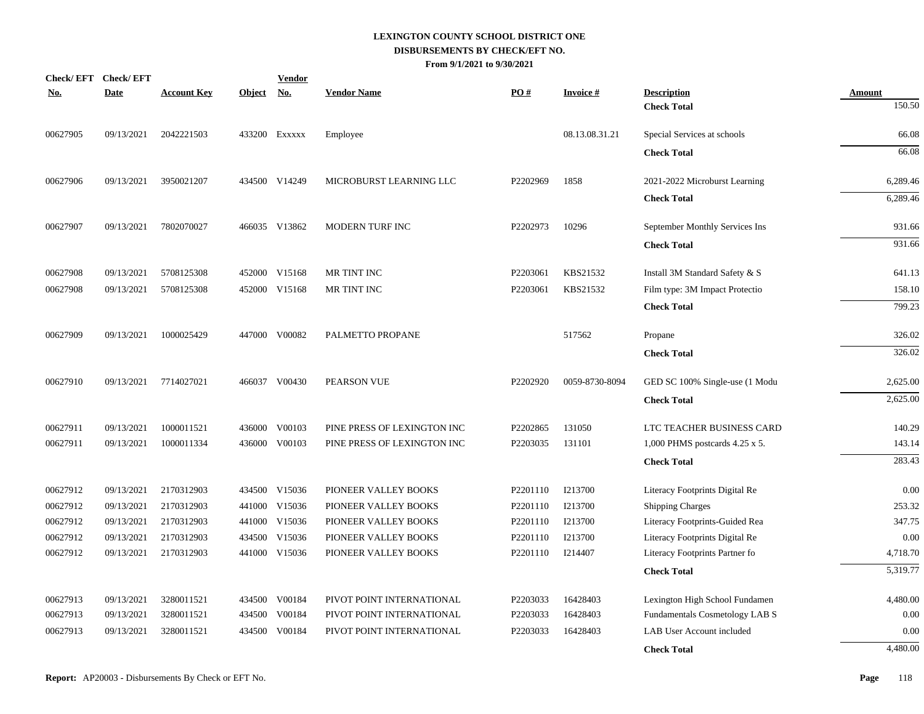| No.      | Check/EFT Check/EFT<br><b>Date</b> | <b>Account Key</b> | Object No. | <b>Vendor</b> | <b>Vendor Name</b>          | PO#      | <b>Invoice#</b> | <b>Description</b>             | <b>Amount</b> |
|----------|------------------------------------|--------------------|------------|---------------|-----------------------------|----------|-----------------|--------------------------------|---------------|
|          |                                    |                    |            |               |                             |          |                 | <b>Check Total</b>             | 150.50        |
| 00627905 | 09/13/2021                         | 2042221503         |            | 433200 EXXXXX | Employee                    |          | 08.13.08.31.21  | Special Services at schools    | 66.08         |
|          |                                    |                    |            |               |                             |          |                 | <b>Check Total</b>             | 66.08         |
| 00627906 | 09/13/2021                         | 3950021207         |            | 434500 V14249 | MICROBURST LEARNING LLC     | P2202969 | 1858            | 2021-2022 Microburst Learning  | 6,289.46      |
|          |                                    |                    |            |               |                             |          |                 | <b>Check Total</b>             | 6,289.46      |
| 00627907 | 09/13/2021                         | 7802070027         |            | 466035 V13862 | MODERN TURF INC             | P2202973 | 10296           | September Monthly Services Ins | 931.66        |
|          |                                    |                    |            |               |                             |          |                 | <b>Check Total</b>             | 931.66        |
| 00627908 | 09/13/2021                         | 5708125308         |            | 452000 V15168 | MR TINT INC                 | P2203061 | KBS21532        | Install 3M Standard Safety & S | 641.13        |
| 00627908 | 09/13/2021                         | 5708125308         |            | 452000 V15168 | MR TINT INC                 | P2203061 | KBS21532        | Film type: 3M Impact Protectio | 158.10        |
|          |                                    |                    |            |               |                             |          |                 | <b>Check Total</b>             | 799.23        |
| 00627909 | 09/13/2021                         | 1000025429         |            | 447000 V00082 | PALMETTO PROPANE            |          | 517562          | Propane                        | 326.02        |
|          |                                    |                    |            |               |                             |          |                 | <b>Check Total</b>             | 326.02        |
| 00627910 | 09/13/2021                         | 7714027021         |            | 466037 V00430 | PEARSON VUE                 | P2202920 | 0059-8730-8094  | GED SC 100% Single-use (1 Modu | 2,625.00      |
|          |                                    |                    |            |               |                             |          |                 | <b>Check Total</b>             | 2,625.00      |
| 00627911 | 09/13/2021                         | 1000011521         |            | 436000 V00103 | PINE PRESS OF LEXINGTON INC | P2202865 | 131050          | LTC TEACHER BUSINESS CARD      | 140.29        |
| 00627911 | 09/13/2021                         | 1000011334         |            | 436000 V00103 | PINE PRESS OF LEXINGTON INC | P2203035 | 131101          | 1,000 PHMS postcards 4.25 x 5. | 143.14        |
|          |                                    |                    |            |               |                             |          |                 | <b>Check Total</b>             | 283.43        |
| 00627912 | 09/13/2021                         | 2170312903         |            | 434500 V15036 | PIONEER VALLEY BOOKS        | P2201110 | I213700         | Literacy Footprints Digital Re | 0.00          |
| 00627912 | 09/13/2021                         | 2170312903         |            | 441000 V15036 | PIONEER VALLEY BOOKS        | P2201110 | I213700         | <b>Shipping Charges</b>        | 253.32        |
| 00627912 | 09/13/2021                         | 2170312903         |            | 441000 V15036 | PIONEER VALLEY BOOKS        | P2201110 | I213700         | Literacy Footprints-Guided Rea | 347.75        |
| 00627912 | 09/13/2021                         | 2170312903         |            | 434500 V15036 | PIONEER VALLEY BOOKS        | P2201110 | I213700         | Literacy Footprints Digital Re | 0.00          |
| 00627912 | 09/13/2021                         | 2170312903         |            | 441000 V15036 | PIONEER VALLEY BOOKS        | P2201110 | I214407         | Literacy Footprints Partner fo | 4,718.70      |
|          |                                    |                    |            |               |                             |          |                 | <b>Check Total</b>             | 5,319.77      |
| 00627913 | 09/13/2021                         | 3280011521         |            | 434500 V00184 | PIVOT POINT INTERNATIONAL   | P2203033 | 16428403        | Lexington High School Fundamen | 4,480.00      |
| 00627913 | 09/13/2021                         | 3280011521         |            | 434500 V00184 | PIVOT POINT INTERNATIONAL   | P2203033 | 16428403        | Fundamentals Cosmetology LAB S | 0.00          |
| 00627913 | 09/13/2021                         | 3280011521         | 434500     | V00184        | PIVOT POINT INTERNATIONAL   | P2203033 | 16428403        | LAB User Account included      | 0.00          |
|          |                                    |                    |            |               |                             |          |                 | <b>Check Total</b>             | 4,480.00      |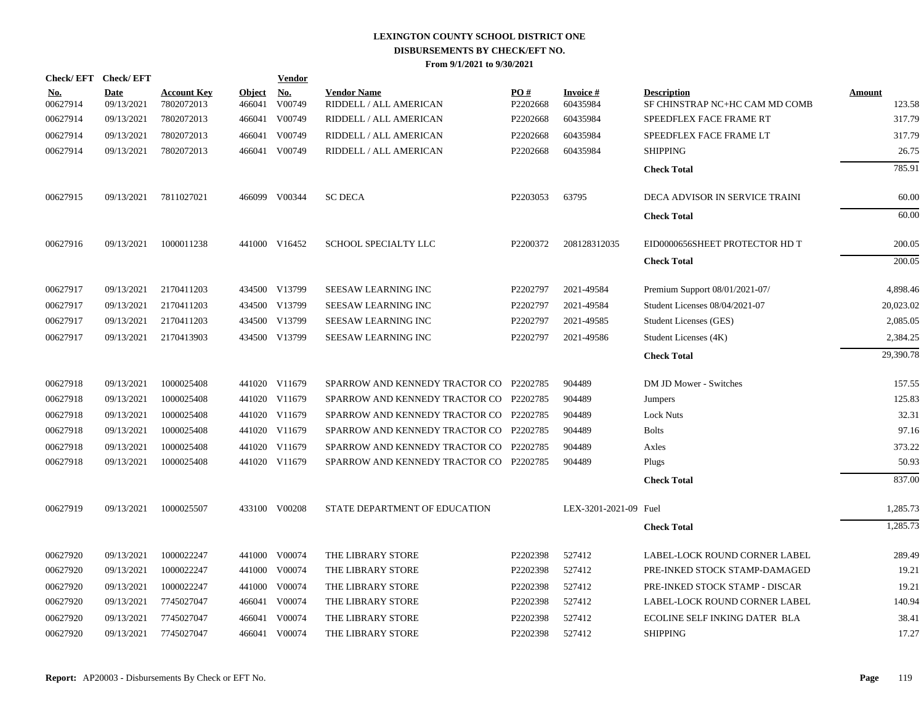|                        | Check/EFT Check/EFT       |                                  |                         | <b>Vendor</b>        |                                              |                 |                             |                                                      |                         |
|------------------------|---------------------------|----------------------------------|-------------------------|----------------------|----------------------------------------------|-----------------|-----------------------------|------------------------------------------------------|-------------------------|
| <u>No.</u><br>00627914 | <b>Date</b><br>09/13/2021 | <b>Account Key</b><br>7802072013 | <b>Object</b><br>466041 | <u>No.</u><br>V00749 | <b>Vendor Name</b><br>RIDDELL / ALL AMERICAN | PO#<br>P2202668 | <b>Invoice#</b><br>60435984 | <b>Description</b><br>SF CHINSTRAP NC+HC CAM MD COMB | <b>Amount</b><br>123.58 |
| 00627914               | 09/13/2021                | 7802072013                       | 466041                  | V00749               | RIDDELL / ALL AMERICAN                       | P2202668        | 60435984                    | SPEEDFLEX FACE FRAME RT                              | 317.79                  |
| 00627914               | 09/13/2021                | 7802072013                       | 466041                  | V00749               | RIDDELL / ALL AMERICAN                       | P2202668        | 60435984                    | SPEEDFLEX FACE FRAME LT                              | 317.79                  |
| 00627914               | 09/13/2021                | 7802072013                       | 466041                  | V00749               | RIDDELL / ALL AMERICAN                       | P2202668        | 60435984                    | <b>SHIPPING</b>                                      | 26.75                   |
|                        |                           |                                  |                         |                      |                                              |                 |                             | <b>Check Total</b>                                   | 785.91                  |
| 00627915               | 09/13/2021                | 7811027021                       |                         | 466099 V00344        | <b>SC DECA</b>                               | P2203053        | 63795                       | DECA ADVISOR IN SERVICE TRAINI                       | 60.00                   |
|                        |                           |                                  |                         |                      |                                              |                 |                             | <b>Check Total</b>                                   | 60.00                   |
| 00627916               | 09/13/2021                | 1000011238                       |                         | 441000 V16452        | SCHOOL SPECIALTY LLC                         | P2200372        | 208128312035                | EID0000656SHEET PROTECTOR HD T                       | 200.05                  |
|                        |                           |                                  |                         |                      |                                              |                 |                             | <b>Check Total</b>                                   | 200.05                  |
| 00627917               | 09/13/2021                | 2170411203                       |                         | 434500 V13799        | <b>SEESAW LEARNING INC</b>                   | P2202797        | 2021-49584                  | Premium Support 08/01/2021-07/                       | 4,898.46                |
| 00627917               | 09/13/2021                | 2170411203                       |                         | 434500 V13799        | SEESAW LEARNING INC                          | P2202797        | 2021-49584                  | Student Licenses 08/04/2021-07                       | 20,023.02               |
| 00627917               | 09/13/2021                | 2170411203                       | 434500                  | V13799               | <b>SEESAW LEARNING INC</b>                   | P2202797        | 2021-49585                  | Student Licenses (GES)                               | 2,085.05                |
| 00627917               | 09/13/2021                | 2170413903                       |                         | 434500 V13799        | SEESAW LEARNING INC                          | P2202797        | 2021-49586                  | Student Licenses (4K)                                | 2,384.25                |
|                        |                           |                                  |                         |                      |                                              |                 |                             | <b>Check Total</b>                                   | 29,390.78               |
| 00627918               | 09/13/2021                | 1000025408                       |                         | 441020 V11679        | SPARROW AND KENNEDY TRACTOR CO P2202785      |                 | 904489                      | DM JD Mower - Switches                               | 157.55                  |
| 00627918               | 09/13/2021                | 1000025408                       |                         | 441020 V11679        | SPARROW AND KENNEDY TRACTOR CO P2202785      |                 | 904489                      | <b>Jumpers</b>                                       | 125.83                  |
| 00627918               | 09/13/2021                | 1000025408                       |                         | 441020 V11679        | SPARROW AND KENNEDY TRACTOR CO P2202785      |                 | 904489                      | <b>Lock Nuts</b>                                     | 32.31                   |
| 00627918               | 09/13/2021                | 1000025408                       |                         | 441020 V11679        | SPARROW AND KENNEDY TRACTOR CO P2202785      |                 | 904489                      | <b>Bolts</b>                                         | 97.16                   |
| 00627918               | 09/13/2021                | 1000025408                       |                         | 441020 V11679        | SPARROW AND KENNEDY TRACTOR CO P2202785      |                 | 904489                      | Axles                                                | 373.22                  |
| 00627918               | 09/13/2021                | 1000025408                       |                         | 441020 V11679        | SPARROW AND KENNEDY TRACTOR CO P2202785      |                 | 904489                      | Plugs                                                | 50.93                   |
|                        |                           |                                  |                         |                      |                                              |                 |                             | <b>Check Total</b>                                   | 837.00                  |
| 00627919               | 09/13/2021                | 1000025507                       |                         | 433100 V00208        | STATE DEPARTMENT OF EDUCATION                |                 | LEX-3201-2021-09 Fuel       |                                                      | 1,285.73                |
|                        |                           |                                  |                         |                      |                                              |                 |                             | <b>Check Total</b>                                   | 1,285.73                |
| 00627920               | 09/13/2021                | 1000022247                       |                         | 441000 V00074        | THE LIBRARY STORE                            | P2202398        | 527412                      | LABEL-LOCK ROUND CORNER LABEL                        | 289.49                  |
| 00627920               | 09/13/2021                | 1000022247                       |                         | 441000 V00074        | THE LIBRARY STORE                            | P2202398        | 527412                      | PRE-INKED STOCK STAMP-DAMAGED                        | 19.21                   |
| 00627920               | 09/13/2021                | 1000022247                       |                         | 441000 V00074        | THE LIBRARY STORE                            | P2202398        | 527412                      | PRE-INKED STOCK STAMP - DISCAR                       | 19.21                   |
| 00627920               | 09/13/2021                | 7745027047                       | 466041                  | V00074               | THE LIBRARY STORE                            | P2202398        | 527412                      | LABEL-LOCK ROUND CORNER LABEL                        | 140.94                  |
| 00627920               | 09/13/2021                | 7745027047                       | 466041                  | V00074               | THE LIBRARY STORE                            | P2202398        | 527412                      | ECOLINE SELF INKING DATER BLA                        | 38.41                   |
| 00627920               | 09/13/2021                | 7745027047                       |                         | 466041 V00074        | THE LIBRARY STORE                            | P2202398        | 527412                      | <b>SHIPPING</b>                                      | 17.27                   |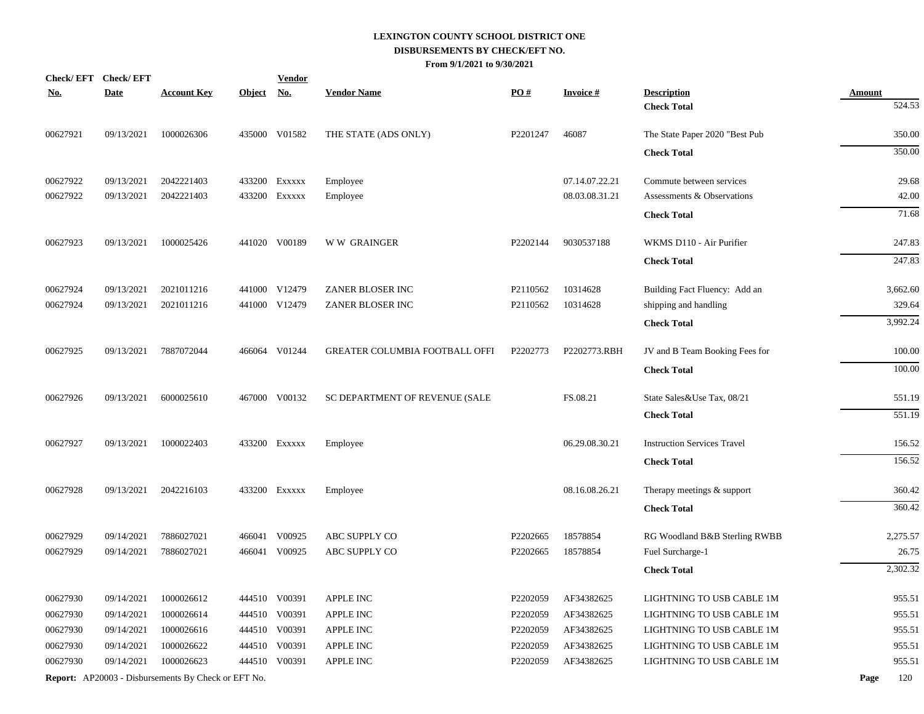|            | Check/EFT Check/EFT |                                                            |            | <b>Vendor</b> |                                       |                   |                 |                                    |               |
|------------|---------------------|------------------------------------------------------------|------------|---------------|---------------------------------------|-------------------|-----------------|------------------------------------|---------------|
| <u>No.</u> | <b>Date</b>         | <b>Account Key</b>                                         | Object No. |               | <b>Vendor Name</b>                    | $\underline{PO#}$ | <b>Invoice#</b> | <b>Description</b>                 | <b>Amount</b> |
|            |                     |                                                            |            |               |                                       |                   |                 | <b>Check Total</b>                 | 524.53        |
| 00627921   | 09/13/2021          | 1000026306                                                 |            | 435000 V01582 | THE STATE (ADS ONLY)                  | P2201247          | 46087           | The State Paper 2020 "Best Pub     | 350.00        |
|            |                     |                                                            |            |               |                                       |                   |                 | <b>Check Total</b>                 | 350.00        |
| 00627922   | 09/13/2021          | 2042221403                                                 |            | 433200 Exxxxx | Employee                              |                   | 07.14.07.22.21  | Commute between services           | 29.68         |
| 00627922   | 09/13/2021          | 2042221403                                                 |            | 433200 Exxxxx | Employee                              |                   | 08.03.08.31.21  | Assessments & Observations         | 42.00         |
|            |                     |                                                            |            |               |                                       |                   |                 | <b>Check Total</b>                 | 71.68         |
| 00627923   | 09/13/2021          | 1000025426                                                 |            | 441020 V00189 | <b>WW GRAINGER</b>                    | P2202144          | 9030537188      | WKMS D110 - Air Purifier           | 247.83        |
|            |                     |                                                            |            |               |                                       |                   |                 | <b>Check Total</b>                 | 247.83        |
| 00627924   | 09/13/2021          | 2021011216                                                 |            | 441000 V12479 | ZANER BLOSER INC                      | P2110562          | 10314628        | Building Fact Fluency: Add an      | 3,662.60      |
| 00627924   | 09/13/2021          | 2021011216                                                 |            | 441000 V12479 | ZANER BLOSER INC                      | P2110562          | 10314628        | shipping and handling              | 329.64        |
|            |                     |                                                            |            |               |                                       |                   |                 | <b>Check Total</b>                 | 3,992.24      |
| 00627925   | 09/13/2021          | 7887072044                                                 |            | 466064 V01244 | <b>GREATER COLUMBIA FOOTBALL OFFI</b> | P2202773          | P2202773.RBH    | JV and B Team Booking Fees for     | 100.00        |
|            |                     |                                                            |            |               |                                       |                   |                 | <b>Check Total</b>                 | 100.00        |
| 00627926   | 09/13/2021          | 6000025610                                                 |            | 467000 V00132 | SC DEPARTMENT OF REVENUE (SALE        |                   | FS.08.21        | State Sales&Use Tax, 08/21         | 551.19        |
|            |                     |                                                            |            |               |                                       |                   |                 | <b>Check Total</b>                 | 551.19        |
| 00627927   | 09/13/2021          | 1000022403                                                 |            | 433200 Exxxxx | Employee                              |                   | 06.29.08.30.21  | <b>Instruction Services Travel</b> | 156.52        |
|            |                     |                                                            |            |               |                                       |                   |                 | <b>Check Total</b>                 | 156.52        |
| 00627928   | 09/13/2021          | 2042216103                                                 |            | 433200 Exxxxx | Employee                              |                   | 08.16.08.26.21  | Therapy meetings & support         | 360.42        |
|            |                     |                                                            |            |               |                                       |                   |                 | <b>Check Total</b>                 | 360.42        |
| 00627929   | 09/14/2021          | 7886027021                                                 | 466041     | V00925        | ABC SUPPLY CO                         | P2202665          | 18578854        | RG Woodland B&B Sterling RWBB      | 2,275.57      |
| 00627929   | 09/14/2021          | 7886027021                                                 |            | 466041 V00925 | ABC SUPPLY CO                         | P2202665          | 18578854        | Fuel Surcharge-1                   | 26.75         |
|            |                     |                                                            |            |               |                                       |                   |                 | <b>Check Total</b>                 | 2,302.32      |
| 00627930   | 09/14/2021          | 1000026612                                                 |            | 444510 V00391 | <b>APPLE INC</b>                      | P2202059          | AF34382625      | LIGHTNING TO USB CABLE 1M          | 955.51        |
| 00627930   | 09/14/2021          | 1000026614                                                 |            | 444510 V00391 | APPLE INC                             | P2202059          | AF34382625      | LIGHTNING TO USB CABLE 1M          | 955.51        |
| 00627930   | 09/14/2021          | 1000026616                                                 |            | 444510 V00391 | <b>APPLE INC</b>                      | P2202059          | AF34382625      | LIGHTNING TO USB CABLE 1M          | 955.51        |
| 00627930   | 09/14/2021          | 1000026622                                                 |            | 444510 V00391 | APPLE INC                             | P2202059          | AF34382625      | LIGHTNING TO USB CABLE 1M          | 955.51        |
| 00627930   | 09/14/2021          | 1000026623                                                 |            | 444510 V00391 | APPLE INC                             | P2202059          | AF34382625      | LIGHTNING TO USB CABLE 1M          | 955.51        |
|            |                     | <b>Report:</b> AP20003 - Disbursements By Check or EFT No. |            |               |                                       |                   |                 |                                    | 120<br>Page   |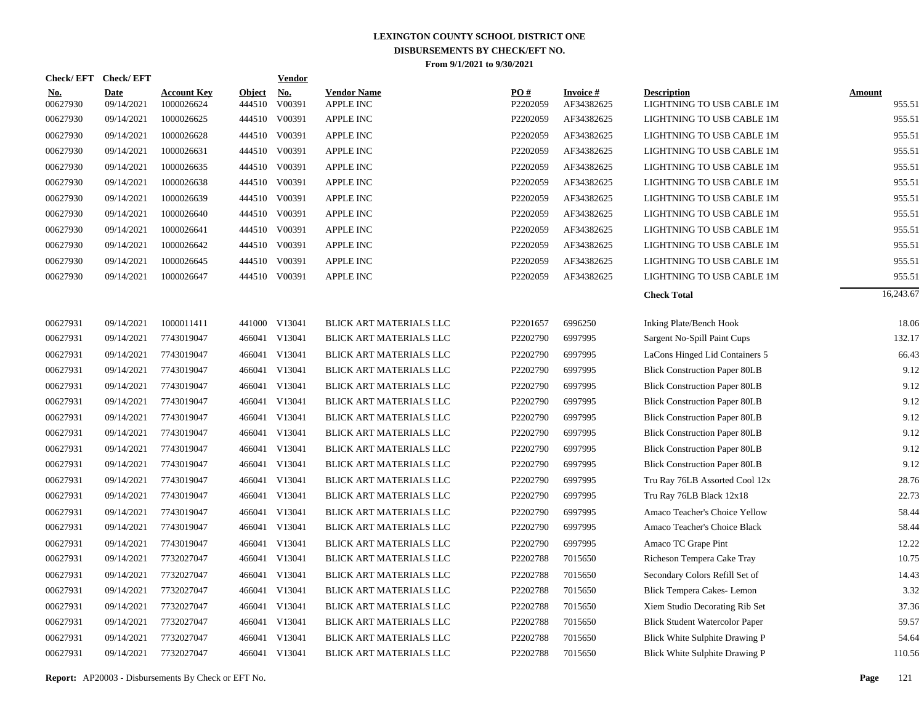| <b>Check/EFT</b>       | <b>Check/EFT</b>   |                                  |                         | <b>Vendor</b> |                                        |                 |                               |                                                 |                         |
|------------------------|--------------------|----------------------------------|-------------------------|---------------|----------------------------------------|-----------------|-------------------------------|-------------------------------------------------|-------------------------|
| <u>No.</u><br>00627930 | Date<br>09/14/2021 | <b>Account Key</b><br>1000026624 | <b>Object</b><br>444510 | No.<br>V00391 | <b>Vendor Name</b><br><b>APPLE INC</b> | PQ#<br>P2202059 | <b>Invoice#</b><br>AF34382625 | <b>Description</b><br>LIGHTNING TO USB CABLE 1M | <b>Amount</b><br>955.51 |
| 00627930               | 09/14/2021         | 1000026625                       | 444510                  | V00391        | <b>APPLE INC</b>                       | P2202059        | AF34382625                    | LIGHTNING TO USB CABLE 1M                       | 955.51                  |
| 00627930               | 09/14/2021         | 1000026628                       | 444510                  | V00391        | <b>APPLE INC</b>                       | P2202059        | AF34382625                    | LIGHTNING TO USB CABLE 1M                       | 955.51                  |
| 00627930               | 09/14/2021         | 1000026631                       | 444510                  | V00391        | <b>APPLE INC</b>                       | P2202059        | AF34382625                    | LIGHTNING TO USB CABLE 1M                       | 955.51                  |
| 00627930               | 09/14/2021         | 1000026635                       | 444510                  | V00391        | <b>APPLE INC</b>                       | P2202059        | AF34382625                    | LIGHTNING TO USB CABLE 1M                       | 955.51                  |
| 00627930               | 09/14/2021         | 1000026638                       | 444510                  | V00391        | <b>APPLE INC</b>                       | P2202059        | AF34382625                    | LIGHTNING TO USB CABLE 1M                       | 955.51                  |
| 00627930               | 09/14/2021         | 1000026639                       |                         | 444510 V00391 | <b>APPLE INC</b>                       | P2202059        | AF34382625                    | LIGHTNING TO USB CABLE 1M                       | 955.51                  |
| 00627930               | 09/14/2021         | 1000026640                       | 444510                  | V00391        | <b>APPLE INC</b>                       | P2202059        | AF34382625                    | LIGHTNING TO USB CABLE 1M                       | 955.51                  |
| 00627930               | 09/14/2021         | 1000026641                       |                         | 444510 V00391 | <b>APPLE INC</b>                       | P2202059        | AF34382625                    | LIGHTNING TO USB CABLE 1M                       | 955.51                  |
| 00627930               | 09/14/2021         | 1000026642                       |                         | 444510 V00391 | <b>APPLE INC</b>                       | P2202059        | AF34382625                    | LIGHTNING TO USB CABLE 1M                       | 955.51                  |
| 00627930               | 09/14/2021         | 1000026645                       |                         | 444510 V00391 | <b>APPLE INC</b>                       | P2202059        | AF34382625                    | LIGHTNING TO USB CABLE 1M                       | 955.51                  |
| 00627930               | 09/14/2021         | 1000026647                       |                         | 444510 V00391 | <b>APPLE INC</b>                       | P2202059        | AF34382625                    | LIGHTNING TO USB CABLE 1M                       | 955.51                  |
|                        |                    |                                  |                         |               |                                        |                 |                               | <b>Check Total</b>                              | 16,243.67               |
| 00627931               | 09/14/2021         | 1000011411                       |                         | 441000 V13041 | BLICK ART MATERIALS LLC                | P2201657        | 6996250                       | <b>Inking Plate/Bench Hook</b>                  | 18.06                   |
| 00627931               | 09/14/2021         | 7743019047                       | 466041                  | V13041        | BLICK ART MATERIALS LLC                | P2202790        | 6997995                       | Sargent No-Spill Paint Cups                     | 132.17                  |
| 00627931               | 09/14/2021         | 7743019047                       | 466041                  | V13041        | BLICK ART MATERIALS LLC                | P2202790        | 6997995                       | LaCons Hinged Lid Containers 5                  | 66.43                   |
| 00627931               | 09/14/2021         | 7743019047                       | 466041                  | V13041        | BLICK ART MATERIALS LLC                | P2202790        | 6997995                       | <b>Blick Construction Paper 80LB</b>            | 9.12                    |
| 00627931               | 09/14/2021         | 7743019047                       | 466041                  | V13041        | BLICK ART MATERIALS LLC                | P2202790        | 6997995                       | <b>Blick Construction Paper 80LB</b>            | 9.12                    |
| 00627931               | 09/14/2021         | 7743019047                       | 466041                  | V13041        | BLICK ART MATERIALS LLC                | P2202790        | 6997995                       | <b>Blick Construction Paper 80LB</b>            | 9.12                    |
| 00627931               | 09/14/2021         | 7743019047                       | 466041                  | V13041        | BLICK ART MATERIALS LLC                | P2202790        | 6997995                       | <b>Blick Construction Paper 80LB</b>            | 9.12                    |
| 00627931               | 09/14/2021         | 7743019047                       | 466041                  | V13041        | BLICK ART MATERIALS LLC                | P2202790        | 6997995                       | <b>Blick Construction Paper 80LB</b>            | 9.12                    |
| 00627931               | 09/14/2021         | 7743019047                       | 466041                  | V13041        | BLICK ART MATERIALS LLC                | P2202790        | 6997995                       | <b>Blick Construction Paper 80LB</b>            | 9.12                    |
| 00627931               | 09/14/2021         | 7743019047                       | 466041                  | V13041        | BLICK ART MATERIALS LLC                | P2202790        | 6997995                       | <b>Blick Construction Paper 80LB</b>            | 9.12                    |
| 00627931               | 09/14/2021         | 7743019047                       | 466041                  | V13041        | BLICK ART MATERIALS LLC                | P2202790        | 6997995                       | Tru Ray 76LB Assorted Cool 12x                  | 28.76                   |
| 00627931               | 09/14/2021         | 7743019047                       | 466041                  | V13041        | BLICK ART MATERIALS LLC                | P2202790        | 6997995                       | Tru Ray 76LB Black 12x18                        | 22.73                   |
| 00627931               | 09/14/2021         | 7743019047                       | 466041                  | V13041        | BLICK ART MATERIALS LLC                | P2202790        | 6997995                       | Amaco Teacher's Choice Yellow                   | 58.44                   |
| 00627931               | 09/14/2021         | 7743019047                       | 466041                  | V13041        | BLICK ART MATERIALS LLC                | P2202790        | 6997995                       | Amaco Teacher's Choice Black                    | 58.44                   |
| 00627931               | 09/14/2021         | 7743019047                       | 466041                  | V13041        | BLICK ART MATERIALS LLC                | P2202790        | 6997995                       | Amaco TC Grape Pint                             | 12.22                   |
| 00627931               | 09/14/2021         | 7732027047                       | 466041                  | V13041        | BLICK ART MATERIALS LLC                | P2202788        | 7015650                       | Richeson Tempera Cake Tray                      | 10.75                   |
| 00627931               | 09/14/2021         | 7732027047                       | 466041                  | V13041        | BLICK ART MATERIALS LLC                | P2202788        | 7015650                       | Secondary Colors Refill Set of                  | 14.43                   |
| 00627931               | 09/14/2021         | 7732027047                       | 466041                  | V13041        | BLICK ART MATERIALS LLC                | P2202788        | 7015650                       | Blick Tempera Cakes-Lemon                       | 3.32                    |
| 00627931               | 09/14/2021         | 7732027047                       | 466041                  | V13041        | BLICK ART MATERIALS LLC                | P2202788        | 7015650                       | Xiem Studio Decorating Rib Set                  | 37.36                   |
| 00627931               | 09/14/2021         | 7732027047                       | 466041                  | V13041        | BLICK ART MATERIALS LLC                | P2202788        | 7015650                       | <b>Blick Student Watercolor Paper</b>           | 59.57                   |
| 00627931               | 09/14/2021         | 7732027047                       | 466041                  | V13041        | BLICK ART MATERIALS LLC                | P2202788        | 7015650                       | Blick White Sulphite Drawing P                  | 54.64                   |
| 00627931               | 09/14/2021         | 7732027047                       |                         | 466041 V13041 | BLICK ART MATERIALS LLC                | P2202788        | 7015650                       | Blick White Sulphite Drawing P                  | 110.56                  |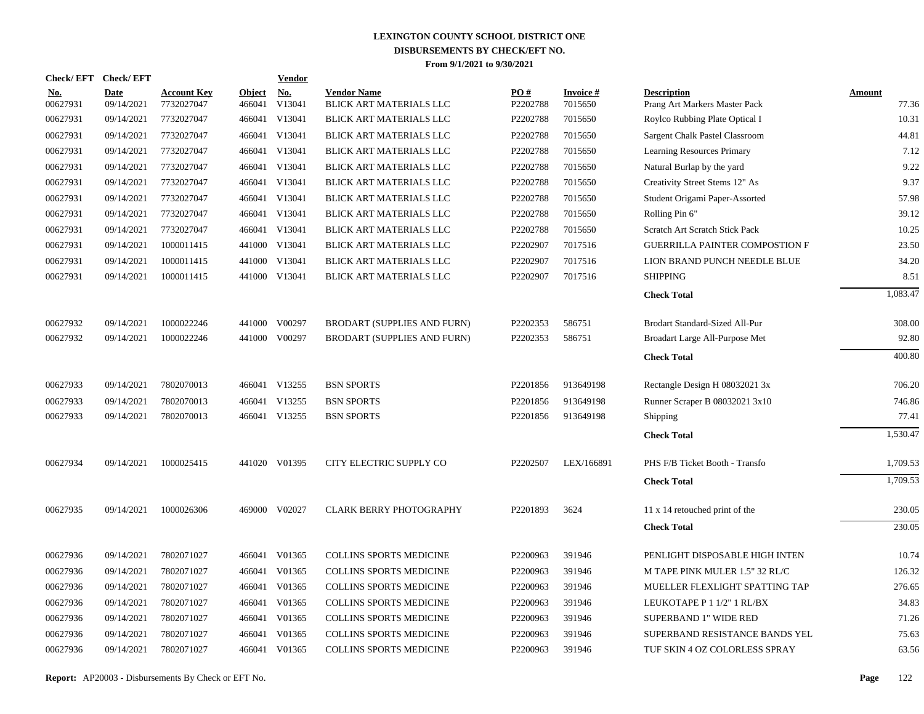| <b>Check/EFT</b>       | <b>Check/EFT</b>          |                                  |                         | <b>Vendor</b>        |                                               |                      |                            |                                                     |                        |
|------------------------|---------------------------|----------------------------------|-------------------------|----------------------|-----------------------------------------------|----------------------|----------------------------|-----------------------------------------------------|------------------------|
| <u>No.</u><br>00627931 | <b>Date</b><br>09/14/2021 | <b>Account Key</b><br>7732027047 | <b>Object</b><br>466041 | <u>No.</u><br>V13041 | <b>Vendor Name</b><br>BLICK ART MATERIALS LLC | PO#<br>P2202788      | <b>Invoice#</b><br>7015650 | <b>Description</b><br>Prang Art Markers Master Pack | <b>Amount</b><br>77.36 |
| 00627931               | 09/14/2021                | 7732027047                       |                         | 466041 V13041        | BLICK ART MATERIALS LLC                       | P2202788             | 7015650                    | Roylco Rubbing Plate Optical I                      | 10.31                  |
| 00627931               | 09/14/2021                | 7732027047                       |                         | 466041 V13041        | BLICK ART MATERIALS LLC                       | P2202788             | 7015650                    | Sargent Chalk Pastel Classroom                      | 44.81                  |
| 00627931               | 09/14/2021                | 7732027047                       |                         | 466041 V13041        | BLICK ART MATERIALS LLC                       | P2202788             | 7015650                    | Learning Resources Primary                          | 7.12                   |
| 00627931               | 09/14/2021                | 7732027047                       |                         | 466041 V13041        | BLICK ART MATERIALS LLC                       | P2202788             | 7015650                    | Natural Burlap by the yard                          | 9.22                   |
| 00627931               | 09/14/2021                | 7732027047                       |                         | 466041 V13041        | BLICK ART MATERIALS LLC                       | P2202788             | 7015650                    | Creativity Street Stems 12" As                      | 9.37                   |
| 00627931               | 09/14/2021                | 7732027047                       |                         | 466041 V13041        | BLICK ART MATERIALS LLC                       | P2202788             | 7015650                    | Student Origami Paper-Assorted                      | 57.98                  |
| 00627931               | 09/14/2021                | 7732027047                       |                         | 466041 V13041        | BLICK ART MATERIALS LLC                       | P2202788             | 7015650                    | Rolling Pin 6"                                      | 39.12                  |
| 00627931               | 09/14/2021                | 7732027047                       |                         | 466041 V13041        | BLICK ART MATERIALS LLC                       | P2202788             | 7015650                    | Scratch Art Scratch Stick Pack                      | 10.25                  |
| 00627931               | 09/14/2021                | 1000011415                       |                         | 441000 V13041        | BLICK ART MATERIALS LLC                       | P2202907             | 7017516                    | <b>GUERRILLA PAINTER COMPOSTION F</b>               | 23.50                  |
| 00627931               | 09/14/2021                | 1000011415                       |                         | 441000 V13041        | BLICK ART MATERIALS LLC                       | P2202907             | 7017516                    | LION BRAND PUNCH NEEDLE BLUE                        | 34.20                  |
| 00627931               | 09/14/2021                | 1000011415                       |                         | 441000 V13041        | BLICK ART MATERIALS LLC                       | P2202907             | 7017516                    | <b>SHIPPING</b>                                     | 8.51                   |
|                        |                           |                                  |                         |                      |                                               |                      |                            | <b>Check Total</b>                                  | 1,083.47               |
| 00627932               | 09/14/2021                | 1000022246                       |                         | 441000 V00297        | BRODART (SUPPLIES AND FURN)                   | P2202353             | 586751                     | Brodart Standard-Sized All-Pur                      | 308.00                 |
| 00627932               | 09/14/2021                | 1000022246                       |                         | 441000 V00297        | BRODART (SUPPLIES AND FURN)                   | P2202353             | 586751                     | Broadart Large All-Purpose Met                      | 92.80                  |
|                        |                           |                                  |                         |                      |                                               |                      |                            | <b>Check Total</b>                                  | 400.80                 |
| 00627933               | 09/14/2021                | 7802070013                       |                         | 466041 V13255        | <b>BSN SPORTS</b>                             | P2201856             | 913649198                  | Rectangle Design H 08032021 3x                      | 706.20                 |
| 00627933               | 09/14/2021                | 7802070013                       |                         | 466041 V13255        | <b>BSN SPORTS</b>                             | P2201856             | 913649198                  | Runner Scraper B 08032021 3x10                      | 746.86                 |
| 00627933               | 09/14/2021                | 7802070013                       |                         | 466041 V13255        | <b>BSN SPORTS</b>                             | P <sub>2201856</sub> | 913649198                  | Shipping                                            | 77.41                  |
|                        |                           |                                  |                         |                      |                                               |                      |                            | <b>Check Total</b>                                  | 1,530.47               |
| 00627934               | 09/14/2021                | 1000025415                       |                         | 441020 V01395        | CITY ELECTRIC SUPPLY CO                       | P2202507             | LEX/166891                 | PHS F/B Ticket Booth - Transfo                      | 1,709.53               |
|                        |                           |                                  |                         |                      |                                               |                      |                            | <b>Check Total</b>                                  | 1,709.53               |
| 00627935               | 09/14/2021                | 1000026306                       |                         | 469000 V02027        | <b>CLARK BERRY PHOTOGRAPHY</b>                | P2201893             | 3624                       | 11 x 14 retouched print of the                      | 230.05                 |
|                        |                           |                                  |                         |                      |                                               |                      |                            | <b>Check Total</b>                                  | 230.05                 |
| 00627936               | 09/14/2021                | 7802071027                       |                         | 466041 V01365        | <b>COLLINS SPORTS MEDICINE</b>                | P2200963             | 391946                     | PENLIGHT DISPOSABLE HIGH INTEN                      | 10.74                  |
| 00627936               | 09/14/2021                | 7802071027                       |                         | 466041 V01365        | COLLINS SPORTS MEDICINE                       | P2200963             | 391946                     | M TAPE PINK MULER 1.5" 32 RL/C                      | 126.32                 |
| 00627936               | 09/14/2021                | 7802071027                       |                         | 466041 V01365        | <b>COLLINS SPORTS MEDICINE</b>                | P2200963             | 391946                     | MUELLER FLEXLIGHT SPATTING TAP                      | 276.65                 |
| 00627936               | 09/14/2021                | 7802071027                       |                         | 466041 V01365        | <b>COLLINS SPORTS MEDICINE</b>                | P2200963             | 391946                     | LEUKOTAPE P 1 1/2" 1 RL/BX                          | 34.83                  |
| 00627936               | 09/14/2021                | 7802071027                       |                         | 466041 V01365        | COLLINS SPORTS MEDICINE                       | P2200963             | 391946                     | SUPERBAND 1" WIDE RED                               | 71.26                  |
| 00627936               | 09/14/2021                | 7802071027                       | 466041                  | V01365               | <b>COLLINS SPORTS MEDICINE</b>                | P2200963             | 391946                     | SUPERBAND RESISTANCE BANDS YEL                      | 75.63                  |
| 00627936               | 09/14/2021                | 7802071027                       |                         | 466041 V01365        | COLLINS SPORTS MEDICINE                       | P2200963             | 391946                     | TUF SKIN 4 OZ COLORLESS SPRAY                       | 63.56                  |
|                        |                           |                                  |                         |                      |                                               |                      |                            |                                                     |                        |

**Report:** AP20003 - Disbursements By Check or EFT No. **Page** 122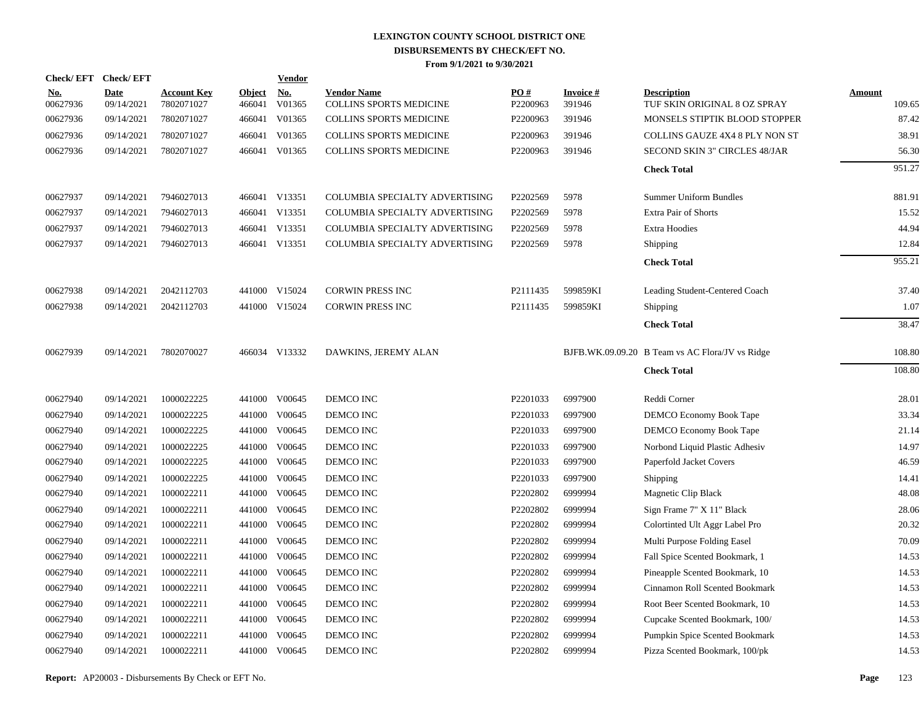|                        | Check/EFT Check/EFT       |                                  |                         | <b>Vendor</b>        |                                                      |                               |                           |                                                    |                         |
|------------------------|---------------------------|----------------------------------|-------------------------|----------------------|------------------------------------------------------|-------------------------------|---------------------------|----------------------------------------------------|-------------------------|
| <u>No.</u><br>00627936 | <b>Date</b><br>09/14/2021 | <b>Account Key</b><br>7802071027 | <b>Object</b><br>466041 | <u>No.</u><br>V01365 | <b>Vendor Name</b><br><b>COLLINS SPORTS MEDICINE</b> | $\underline{PO#}$<br>P2200963 | <b>Invoice#</b><br>391946 | <b>Description</b><br>TUF SKIN ORIGINAL 8 OZ SPRAY | <b>Amount</b><br>109.65 |
| 00627936               | 09/14/2021                | 7802071027                       | 466041                  | V01365               | COLLINS SPORTS MEDICINE                              | P2200963                      | 391946                    | MONSELS STIPTIK BLOOD STOPPER                      | 87.42                   |
| 00627936               | 09/14/2021                | 7802071027                       | 466041                  | V01365               | <b>COLLINS SPORTS MEDICINE</b>                       | P2200963                      | 391946                    | <b>COLLINS GAUZE 4X4 8 PLY NON ST</b>              | 38.91                   |
| 00627936               | 09/14/2021                | 7802071027                       | 466041                  | V01365               | <b>COLLINS SPORTS MEDICINE</b>                       | P2200963                      | 391946                    | SECOND SKIN 3" CIRCLES 48/JAR                      | 56.30                   |
|                        |                           |                                  |                         |                      |                                                      |                               |                           | <b>Check Total</b>                                 | 951.27                  |
| 00627937               | 09/14/2021                | 7946027013                       |                         | 466041 V13351        | COLUMBIA SPECIALTY ADVERTISING                       | P2202569                      | 5978                      | <b>Summer Uniform Bundles</b>                      | 881.91                  |
| 00627937               | 09/14/2021                | 7946027013                       |                         | 466041 V13351        | COLUMBIA SPECIALTY ADVERTISING                       | P2202569                      | 5978                      | Extra Pair of Shorts                               | 15.52                   |
| 00627937               | 09/14/2021                | 7946027013                       |                         | 466041 V13351        | COLUMBIA SPECIALTY ADVERTISING                       | P2202569                      | 5978                      | <b>Extra Hoodies</b>                               | 44.94                   |
| 00627937               | 09/14/2021                | 7946027013                       |                         | 466041 V13351        | COLUMBIA SPECIALTY ADVERTISING                       | P2202569                      | 5978                      | Shipping                                           | 12.84                   |
|                        |                           |                                  |                         |                      |                                                      |                               |                           | <b>Check Total</b>                                 | 955.21                  |
| 00627938               | 09/14/2021                | 2042112703                       |                         | 441000 V15024        | CORWIN PRESS INC                                     | P2111435                      | 599859KI                  | Leading Student-Centered Coach                     | 37.40                   |
| 00627938               | 09/14/2021                | 2042112703                       |                         | 441000 V15024        | <b>CORWIN PRESS INC</b>                              | P2111435                      | 599859KI                  | Shipping                                           | 1.07                    |
|                        |                           |                                  |                         |                      |                                                      |                               |                           | <b>Check Total</b>                                 | 38.47                   |
| 00627939               | 09/14/2021                | 7802070027                       |                         | 466034 V13332        | DAWKINS, JEREMY ALAN                                 |                               |                           | BJFB.WK.09.09.20 B Team vs AC Flora/JV vs Ridge    | 108.80                  |
|                        |                           |                                  |                         |                      |                                                      |                               |                           | <b>Check Total</b>                                 | 108.80                  |
| 00627940               | 09/14/2021                | 1000022225                       |                         | 441000 V00645        | DEMCO INC                                            | P2201033                      | 6997900                   | Reddi Corner                                       | 28.01                   |
| 00627940               | 09/14/2021                | 1000022225                       | 441000                  | V00645               | DEMCO INC                                            | P2201033                      | 6997900                   | DEMCO Economy Book Tape                            | 33.34                   |
| 00627940               | 09/14/2021                | 1000022225                       | 441000                  | V00645               | DEMCO INC                                            | P2201033                      | 6997900                   | DEMCO Economy Book Tape                            | 21.14                   |
| 00627940               | 09/14/2021                | 1000022225                       | 441000                  | V00645               | DEMCO INC                                            | P2201033                      | 6997900                   | Norbond Liquid Plastic Adhesiv                     | 14.97                   |
| 00627940               | 09/14/2021                | 1000022225                       | 441000                  | V00645               | DEMCO INC                                            | P2201033                      | 6997900                   | Paperfold Jacket Covers                            | 46.59                   |
| 00627940               | 09/14/2021                | 1000022225                       | 441000                  | V00645               | DEMCO INC                                            | P2201033                      | 6997900                   | Shipping                                           | 14.41                   |
| 00627940               | 09/14/2021                | 1000022211                       | 441000                  | V00645               | DEMCO INC                                            | P2202802                      | 6999994                   | Magnetic Clip Black                                | 48.08                   |
| 00627940               | 09/14/2021                | 1000022211                       | 441000                  | V00645               | DEMCO INC                                            | P2202802                      | 6999994                   | Sign Frame 7" X 11" Black                          | 28.06                   |
| 00627940               | 09/14/2021                | 1000022211                       | 441000                  | V00645               | DEMCO INC                                            | P2202802                      | 6999994                   | Colortinted Ult Aggr Label Pro                     | 20.32                   |
| 00627940               | 09/14/2021                | 1000022211                       | 441000                  | V00645               | DEMCO INC                                            | P2202802                      | 6999994                   | Multi Purpose Folding Easel                        | 70.09                   |
| 00627940               | 09/14/2021                | 1000022211                       | 441000                  | V00645               | DEMCO INC                                            | P2202802                      | 6999994                   | Fall Spice Scented Bookmark, 1                     | 14.53                   |
| 00627940               | 09/14/2021                | 1000022211                       | 441000                  | V00645               | DEMCO INC                                            | P2202802                      | 6999994                   | Pineapple Scented Bookmark, 10                     | 14.53                   |
| 00627940               | 09/14/2021                | 1000022211                       | 441000                  | V00645               | DEMCO INC                                            | P2202802                      | 6999994                   | Cinnamon Roll Scented Bookmark                     | 14.53                   |
| 00627940               | 09/14/2021                | 1000022211                       | 441000                  | V00645               | DEMCO INC                                            | P2202802                      | 6999994                   | Root Beer Scented Bookmark, 10                     | 14.53                   |
| 00627940               | 09/14/2021                | 1000022211                       | 441000                  | V00645               | DEMCO INC                                            | P2202802                      | 6999994                   | Cupcake Scented Bookmark, 100/                     | 14.53                   |
| 00627940               | 09/14/2021                | 1000022211                       | 441000                  | V00645               | <b>DEMCO INC</b>                                     | P2202802                      | 6999994                   | Pumpkin Spice Scented Bookmark                     | 14.53                   |
| 00627940               | 09/14/2021                | 1000022211                       |                         | 441000 V00645        | DEMCO INC                                            | P2202802                      | 6999994                   | Pizza Scented Bookmark, 100/pk                     | 14.53                   |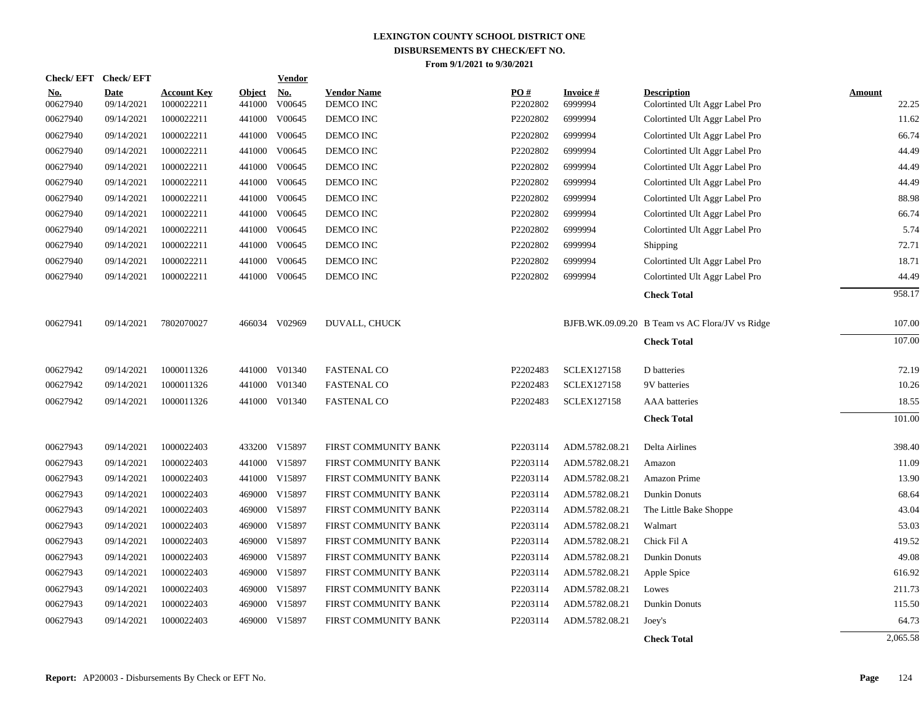| <b>Check/EFT</b>       | <b>Check/EFT</b>   |                                  |                         | <b>Vendor</b>        |                                 |                 |                            |                                                      |                        |
|------------------------|--------------------|----------------------------------|-------------------------|----------------------|---------------------------------|-----------------|----------------------------|------------------------------------------------------|------------------------|
| <u>No.</u><br>00627940 | Date<br>09/14/2021 | <b>Account Key</b><br>1000022211 | <b>Object</b><br>441000 | <u>No.</u><br>V00645 | <b>Vendor Name</b><br>DEMCO INC | PO#<br>P2202802 | <b>Invoice#</b><br>6999994 | <b>Description</b><br>Colortinted Ult Aggr Label Pro | <b>Amount</b><br>22.25 |
| 00627940               | 09/14/2021         | 1000022211                       | 441000                  | V00645               | DEMCO INC                       | P2202802        | 6999994                    | Colortinted Ult Aggr Label Pro                       | 11.62                  |
| 00627940               | 09/14/2021         | 1000022211                       | 441000                  | V00645               | DEMCO INC                       | P2202802        | 6999994                    | Colortinted Ult Aggr Label Pro                       | 66.74                  |
| 00627940               | 09/14/2021         | 1000022211                       | 441000                  | V00645               | DEMCO INC                       | P2202802        | 6999994                    | Colortinted Ult Aggr Label Pro                       | 44.49                  |
| 00627940               | 09/14/2021         | 1000022211                       | 441000                  | V00645               | DEMCO INC                       | P2202802        | 6999994                    | Colortinted Ult Aggr Label Pro                       | 44.49                  |
| 00627940               | 09/14/2021         | 1000022211                       |                         | 441000 V00645        | DEMCO INC                       | P2202802        | 6999994                    | Colortinted Ult Aggr Label Pro                       | 44.49                  |
| 00627940               | 09/14/2021         | 1000022211                       |                         | 441000 V00645        | DEMCO INC                       | P2202802        | 6999994                    | Colortinted Ult Aggr Label Pro                       | 88.98                  |
| 00627940               | 09/14/2021         | 1000022211                       |                         | 441000 V00645        | DEMCO INC                       | P2202802        | 6999994                    | Colortinted Ult Aggr Label Pro                       | 66.74                  |
| 00627940               | 09/14/2021         | 1000022211                       | 441000                  | V00645               | DEMCO INC                       | P2202802        | 6999994                    | Colortinted Ult Aggr Label Pro                       | 5.74                   |
| 00627940               | 09/14/2021         | 1000022211                       |                         | 441000 V00645        | DEMCO INC                       | P2202802        | 6999994                    | Shipping                                             | 72.71                  |
| 00627940               | 09/14/2021         | 1000022211                       | 441000                  | V00645               | DEMCO INC                       | P2202802        | 6999994                    | Colortinted Ult Aggr Label Pro                       | 18.71                  |
| 00627940               | 09/14/2021         | 1000022211                       | 441000                  | V00645               | DEMCO INC                       | P2202802        | 6999994                    | Colortinted Ult Aggr Label Pro                       | 44.49                  |
|                        |                    |                                  |                         |                      |                                 |                 |                            | <b>Check Total</b>                                   | 958.17                 |
| 00627941               | 09/14/2021         | 7802070027                       |                         | 466034 V02969        | DUVALL, CHUCK                   |                 |                            | BJFB.WK.09.09.20 B Team vs AC Flora/JV vs Ridge      | 107.00                 |
|                        |                    |                                  |                         |                      |                                 |                 |                            | <b>Check Total</b>                                   | 107.00                 |
| 00627942               | 09/14/2021         | 1000011326                       |                         | 441000 V01340        | <b>FASTENAL CO</b>              | P2202483        | <b>SCLEX127158</b>         | D batteries                                          | 72.19                  |
| 00627942               | 09/14/2021         | 1000011326                       | 441000                  | V01340               | <b>FASTENAL CO</b>              | P2202483        | <b>SCLEX127158</b>         | 9V batteries                                         | 10.26                  |
| 00627942               | 09/14/2021         | 1000011326                       |                         | 441000 V01340        | <b>FASTENAL CO</b>              | P2202483        | <b>SCLEX127158</b>         | AAA batteries                                        | 18.55                  |
|                        |                    |                                  |                         |                      |                                 |                 |                            | <b>Check Total</b>                                   | 101.00                 |
| 00627943               | 09/14/2021         | 1000022403                       |                         | 433200 V15897        | FIRST COMMUNITY BANK            | P2203114        | ADM.5782.08.21             | Delta Airlines                                       | 398.40                 |
| 00627943               | 09/14/2021         | 1000022403                       |                         | 441000 V15897        | FIRST COMMUNITY BANK            | P2203114        | ADM.5782.08.21             | Amazon                                               | 11.09                  |
| 00627943               | 09/14/2021         | 1000022403                       |                         | 441000 V15897        | FIRST COMMUNITY BANK            | P2203114        | ADM.5782.08.21             | Amazon Prime                                         | 13.90                  |
| 00627943               | 09/14/2021         | 1000022403                       |                         | 469000 V15897        | FIRST COMMUNITY BANK            | P2203114        | ADM.5782.08.21             | <b>Dunkin Donuts</b>                                 | 68.64                  |
| 00627943               | 09/14/2021         | 1000022403                       |                         | 469000 V15897        | FIRST COMMUNITY BANK            | P2203114        | ADM.5782.08.21             | The Little Bake Shoppe                               | 43.04                  |
| 00627943               | 09/14/2021         | 1000022403                       | 469000                  | V15897               | FIRST COMMUNITY BANK            | P2203114        | ADM.5782.08.21             | Walmart                                              | 53.03                  |
| 00627943               | 09/14/2021         | 1000022403                       |                         | 469000 V15897        | FIRST COMMUNITY BANK            | P2203114        | ADM.5782.08.21             | Chick Fil A                                          | 419.52                 |
| 00627943               | 09/14/2021         | 1000022403                       | 469000                  | V15897               | FIRST COMMUNITY BANK            | P2203114        | ADM.5782.08.21             | Dunkin Donuts                                        | 49.08                  |
| 00627943               | 09/14/2021         | 1000022403                       |                         | 469000 V15897        | FIRST COMMUNITY BANK            | P2203114        | ADM.5782.08.21             | Apple Spice                                          | 616.92                 |
| 00627943               | 09/14/2021         | 1000022403                       | 469000                  | V15897               | FIRST COMMUNITY BANK            | P2203114        | ADM.5782.08.21             | Lowes                                                | 211.73                 |
| 00627943               | 09/14/2021         | 1000022403                       |                         | 469000 V15897        | FIRST COMMUNITY BANK            | P2203114        | ADM.5782.08.21             | Dunkin Donuts                                        | 115.50                 |
| 00627943               | 09/14/2021         | 1000022403                       | 469000                  | V15897               | FIRST COMMUNITY BANK            | P2203114        | ADM.5782.08.21             | Joey's                                               | 64.73                  |
|                        |                    |                                  |                         |                      |                                 |                 |                            | <b>Check Total</b>                                   | 2,065.58               |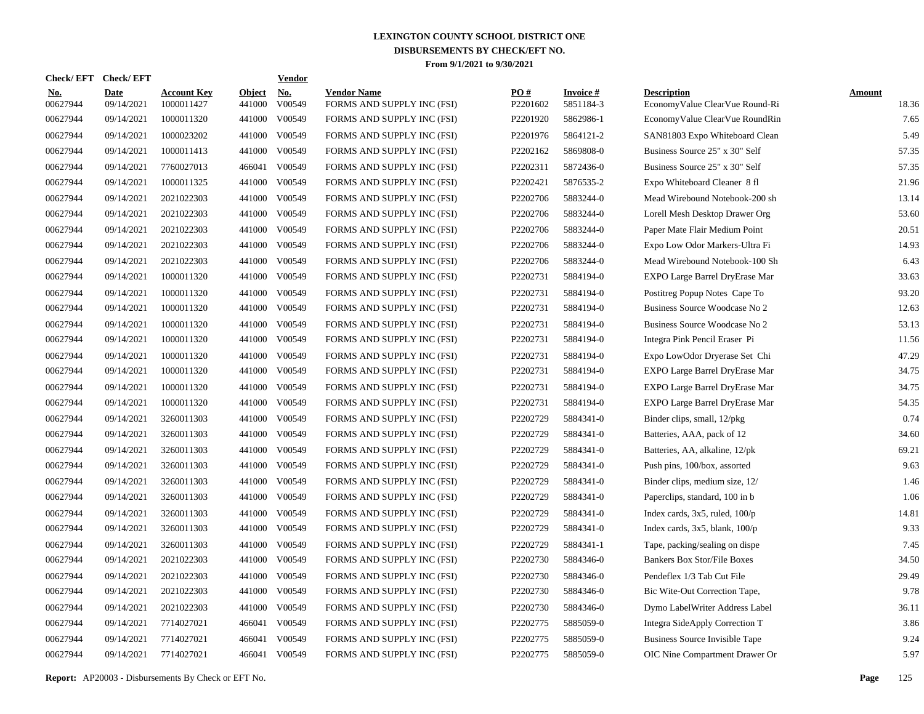| Check/ EFT             | <b>Check/EFT</b>          |                                  |                         | <b>Vendor</b>        |                                                  |                 |                              |                                                      |                        |
|------------------------|---------------------------|----------------------------------|-------------------------|----------------------|--------------------------------------------------|-----------------|------------------------------|------------------------------------------------------|------------------------|
| <u>No.</u><br>00627944 | <b>Date</b><br>09/14/2021 | <b>Account Key</b><br>1000011427 | <b>Object</b><br>441000 | <u>No.</u><br>V00549 | <b>Vendor Name</b><br>FORMS AND SUPPLY INC (FSI) | PO#<br>P2201602 | <b>Invoice#</b><br>5851184-3 | <b>Description</b><br>EconomyValue ClearVue Round-Ri | <b>Amount</b><br>18.36 |
| 00627944               | 09/14/2021                | 1000011320                       | 441000                  | V00549               | FORMS AND SUPPLY INC (FSI)                       | P2201920        | 5862986-1                    | EconomyValue ClearVue RoundRin                       | 7.65                   |
| 00627944               | 09/14/2021                | 1000023202                       | 441000                  | V00549               | FORMS AND SUPPLY INC (FSI)                       | P2201976        | 5864121-2                    | SAN81803 Expo Whiteboard Clean                       | 5.49                   |
| 00627944               | 09/14/2021                | 1000011413                       | 441000                  | V00549               | FORMS AND SUPPLY INC (FSI)                       | P2202162        | 5869808-0                    | Business Source 25" x 30" Self                       | 57.35                  |
| 00627944               | 09/14/2021                | 7760027013                       |                         | 466041 V00549        | FORMS AND SUPPLY INC (FSI)                       | P2202311        | 5872436-0                    | Business Source 25" x 30" Self                       | 57.35                  |
| 00627944               | 09/14/2021                | 1000011325                       |                         | 441000 V00549        | FORMS AND SUPPLY INC (FSI)                       | P2202421        | 5876535-2                    | Expo Whiteboard Cleaner 8 fl                         | 21.96                  |
| 00627944               | 09/14/2021                | 2021022303                       | 441000                  | V00549               | FORMS AND SUPPLY INC (FSI)                       | P2202706        | 5883244-0                    | Mead Wirebound Notebook-200 sh                       | 13.14                  |
| 00627944               | 09/14/2021                | 2021022303                       |                         | 441000 V00549        | FORMS AND SUPPLY INC (FSI)                       | P2202706        | 5883244-0                    | Lorell Mesh Desktop Drawer Org                       | 53.60                  |
| 00627944               | 09/14/2021                | 2021022303                       |                         | 441000 V00549        | FORMS AND SUPPLY INC (FSI)                       | P2202706        | 5883244-0                    | Paper Mate Flair Medium Point                        | 20.51                  |
| 00627944               | 09/14/2021                | 2021022303                       |                         | 441000 V00549        | FORMS AND SUPPLY INC (FSI)                       | P2202706        | 5883244-0                    | Expo Low Odor Markers-Ultra Fi                       | 14.93                  |
| 00627944               | 09/14/2021                | 2021022303                       |                         | 441000 V00549        | FORMS AND SUPPLY INC (FSI)                       | P2202706        | 5883244-0                    | Mead Wirebound Notebook-100 Sh                       | 6.43                   |
| 00627944               | 09/14/2021                | 1000011320                       |                         | 441000 V00549        | FORMS AND SUPPLY INC (FSI)                       | P2202731        | 5884194-0                    | EXPO Large Barrel DryErase Mar                       | 33.63                  |
| 00627944               | 09/14/2021                | 1000011320                       |                         | 441000 V00549        | FORMS AND SUPPLY INC (FSI)                       | P2202731        | 5884194-0                    | Postitreg Popup Notes Cape To                        | 93.20                  |
| 00627944               | 09/14/2021                | 1000011320                       | 441000                  | V00549               | FORMS AND SUPPLY INC (FSI)                       | P2202731        | 5884194-0                    | Business Source Woodcase No 2                        | 12.63                  |
| 00627944               | 09/14/2021                | 1000011320                       | 441000                  | V00549               | FORMS AND SUPPLY INC (FSI)                       | P2202731        | 5884194-0                    | Business Source Woodcase No 2                        | 53.13                  |
| 00627944               | 09/14/2021                | 1000011320                       | 441000                  | V00549               | FORMS AND SUPPLY INC (FSI)                       | P2202731        | 5884194-0                    | Integra Pink Pencil Eraser Pi                        | 11.56                  |
| 00627944               | 09/14/2021                | 1000011320                       | 441000                  | V00549               | FORMS AND SUPPLY INC (FSI)                       | P2202731        | 5884194-0                    | Expo LowOdor Dryerase Set Chi                        | 47.29                  |
| 00627944               | 09/14/2021                | 1000011320                       | 441000                  | V00549               | FORMS AND SUPPLY INC (FSI)                       | P2202731        | 5884194-0                    | EXPO Large Barrel DryErase Mar                       | 34.75                  |
| 00627944               | 09/14/2021                | 1000011320                       | 441000                  | V00549               | FORMS AND SUPPLY INC (FSI)                       | P2202731        | 5884194-0                    | EXPO Large Barrel DryErase Mar                       | 34.75                  |
| 00627944               | 09/14/2021                | 1000011320                       | 441000                  | V00549               | FORMS AND SUPPLY INC (FSI)                       | P2202731        | 5884194-0                    | EXPO Large Barrel DryErase Mar                       | 54.35                  |
| 00627944               | 09/14/2021                | 3260011303                       | 441000                  | V00549               | FORMS AND SUPPLY INC (FSI)                       | P2202729        | 5884341-0                    | Binder clips, small, 12/pkg                          | 0.74                   |
| 00627944               | 09/14/2021                | 3260011303                       | 441000                  | V00549               | FORMS AND SUPPLY INC (FSI)                       | P2202729        | 5884341-0                    | Batteries, AAA, pack of 12                           | 34.60                  |
| 00627944               | 09/14/2021                | 3260011303                       | 441000                  | V00549               | FORMS AND SUPPLY INC (FSI)                       | P2202729        | 5884341-0                    | Batteries, AA, alkaline, 12/pk                       | 69.21                  |
| 00627944               | 09/14/2021                | 3260011303                       | 441000                  | V00549               | FORMS AND SUPPLY INC (FSI)                       | P2202729        | 5884341-0                    | Push pins, 100/box, assorted                         | 9.63                   |
| 00627944               | 09/14/2021                | 3260011303                       | 441000                  | V00549               | FORMS AND SUPPLY INC (FSI)                       | P2202729        | 5884341-0                    | Binder clips, medium size, 12/                       | 1.46                   |
| 00627944               | 09/14/2021                | 3260011303                       | 441000                  | V00549               | FORMS AND SUPPLY INC (FSI)                       | P2202729        | 5884341-0                    | Paperclips, standard, 100 in b                       | 1.06                   |
| 00627944               | 09/14/2021                | 3260011303                       | 441000                  | V00549               | FORMS AND SUPPLY INC (FSI)                       | P2202729        | 5884341-0                    | Index cards, $3x5$ , ruled, $100/p$                  | 14.81                  |
| 00627944               | 09/14/2021                | 3260011303                       | 441000                  | V00549               | FORMS AND SUPPLY INC (FSI)                       | P2202729        | 5884341-0                    | Index cards, $3x5$ , blank, $100/p$                  | 9.33                   |
| 00627944               | 09/14/2021                | 3260011303                       | 441000                  | V00549               | FORMS AND SUPPLY INC (FSI)                       | P2202729        | 5884341-1                    | Tape, packing/sealing on dispe                       | 7.45                   |
| 00627944               | 09/14/2021                | 2021022303                       | 441000                  | V00549               | FORMS AND SUPPLY INC (FSI)                       | P2202730        | 5884346-0                    | <b>Bankers Box Stor/File Boxes</b>                   | 34.50                  |
| 00627944               | 09/14/2021                | 2021022303                       | 441000                  | V00549               | FORMS AND SUPPLY INC (FSI)                       | P2202730        | 5884346-0                    | Pendeflex 1/3 Tab Cut File                           | 29.49                  |
| 00627944               | 09/14/2021                | 2021022303                       | 441000                  | V00549               | FORMS AND SUPPLY INC (FSI)                       | P2202730        | 5884346-0                    | Bic Wite-Out Correction Tape,                        | 9.78                   |
| 00627944               | 09/14/2021                | 2021022303                       | 441000                  | V00549               | FORMS AND SUPPLY INC (FSI)                       | P2202730        | 5884346-0                    | Dymo LabelWriter Address Label                       | 36.11                  |
| 00627944               | 09/14/2021                | 7714027021                       |                         | 466041 V00549        | FORMS AND SUPPLY INC (FSI)                       | P2202775        | 5885059-0                    | Integra SideApply Correction T                       | 3.86                   |
| 00627944               | 09/14/2021                | 7714027021                       | 466041                  | V00549               | FORMS AND SUPPLY INC (FSI)                       | P2202775        | 5885059-0                    | Business Source Invisible Tape                       | 9.24                   |
| 00627944               | 09/14/2021                | 7714027021                       |                         | 466041 V00549        | FORMS AND SUPPLY INC (FSI)                       | P2202775        | 5885059-0                    | OIC Nine Compartment Drawer Or                       | 5.97                   |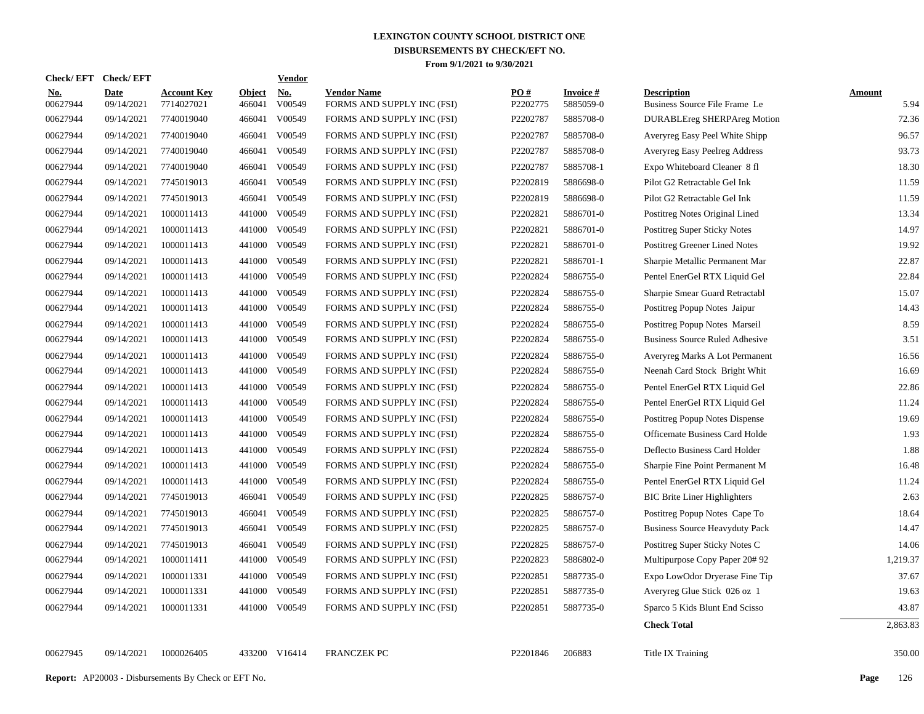| <b>Check/EFT</b>       | <b>Check/EFT</b>          |                                  |                         | <b>Vendor</b>        |                                                  |                               |                              |                                                     |                       |
|------------------------|---------------------------|----------------------------------|-------------------------|----------------------|--------------------------------------------------|-------------------------------|------------------------------|-----------------------------------------------------|-----------------------|
| <u>No.</u><br>00627944 | <b>Date</b><br>09/14/2021 | <b>Account Key</b><br>7714027021 | <b>Object</b><br>466041 | <u>No.</u><br>V00549 | <b>Vendor Name</b><br>FORMS AND SUPPLY INC (FSI) | $\underline{PO#}$<br>P2202775 | <b>Invoice#</b><br>5885059-0 | <b>Description</b><br>Business Source File Frame Le | <b>Amount</b><br>5.94 |
| 00627944               | 09/14/2021                | 7740019040                       | 466041                  | V00549               | FORMS AND SUPPLY INC (FSI)                       | P2202787                      | 5885708-0                    | <b>DURABLEreg SHERPAreg Motion</b>                  | 72.36                 |
| 00627944               | 09/14/2021                | 7740019040                       | 466041                  | V00549               | FORMS AND SUPPLY INC (FSI)                       | P2202787                      | 5885708-0                    | Averyreg Easy Peel White Shipp                      | 96.57                 |
| 00627944               | 09/14/2021                | 7740019040                       | 466041                  | V00549               | FORMS AND SUPPLY INC (FSI)                       | P2202787                      | 5885708-0                    | Averyreg Easy Peelreg Address                       | 93.73                 |
| 00627944               | 09/14/2021                | 7740019040                       | 466041                  | V00549               | FORMS AND SUPPLY INC (FSI)                       | P2202787                      | 5885708-1                    | Expo Whiteboard Cleaner 8 fl                        | 18.30                 |
| 00627944               | 09/14/2021                | 7745019013                       | 466041                  | V00549               | FORMS AND SUPPLY INC (FSI)                       | P2202819                      | 5886698-0                    | Pilot G2 Retractable Gel Ink                        | 11.59                 |
| 00627944               | 09/14/2021                | 7745019013                       | 466041                  | V00549               | FORMS AND SUPPLY INC (FSI)                       | P2202819                      | 5886698-0                    | Pilot G2 Retractable Gel Ink                        | 11.59                 |
| 00627944               | 09/14/2021                | 1000011413                       | 441000                  | V00549               | FORMS AND SUPPLY INC (FSI)                       | P2202821                      | 5886701-0                    | Postitreg Notes Original Lined                      | 13.34                 |
| 00627944               | 09/14/2021                | 1000011413                       | 441000                  | V00549               | FORMS AND SUPPLY INC (FSI)                       | P2202821                      | 5886701-0                    | Postitreg Super Sticky Notes                        | 14.97                 |
| 00627944               | 09/14/2021                | 1000011413                       |                         | 441000 V00549        | FORMS AND SUPPLY INC (FSI)                       | P2202821                      | 5886701-0                    | Postitreg Greener Lined Notes                       | 19.92                 |
| 00627944               | 09/14/2021                | 1000011413                       |                         | 441000 V00549        | FORMS AND SUPPLY INC (FSI)                       | P2202821                      | 5886701-1                    | Sharpie Metallic Permanent Mar                      | 22.87                 |
| 00627944               | 09/14/2021                | 1000011413                       |                         | 441000 V00549        | FORMS AND SUPPLY INC (FSI)                       | P2202824                      | 5886755-0                    | Pentel EnerGel RTX Liquid Gel                       | 22.84                 |
| 00627944               | 09/14/2021                | 1000011413                       |                         | 441000 V00549        | FORMS AND SUPPLY INC (FSI)                       | P2202824                      | 5886755-0                    | Sharpie Smear Guard Retractabl                      | 15.07                 |
| 00627944               | 09/14/2021                | 1000011413                       |                         | 441000 V00549        | FORMS AND SUPPLY INC (FSI)                       | P2202824                      | 5886755-0                    | Postitreg Popup Notes Jaipur                        | 14.43                 |
| 00627944               | 09/14/2021                | 1000011413                       |                         | 441000 V00549        | FORMS AND SUPPLY INC (FSI)                       | P2202824                      | 5886755-0                    | Postitreg Popup Notes Marseil                       | 8.59                  |
| 00627944               | 09/14/2021                | 1000011413                       | 441000                  | V00549               | FORMS AND SUPPLY INC (FSI)                       | P2202824                      | 5886755-0                    | <b>Business Source Ruled Adhesive</b>               | 3.51                  |
| 00627944               | 09/14/2021                | 1000011413                       | 441000                  | V00549               | FORMS AND SUPPLY INC (FSI)                       | P2202824                      | 5886755-0                    | Averyreg Marks A Lot Permanent                      | 16.56                 |
| 00627944               | 09/14/2021                | 1000011413                       | 441000                  | V00549               | FORMS AND SUPPLY INC (FSI)                       | P2202824                      | 5886755-0                    | Neenah Card Stock Bright Whit                       | 16.69                 |
| 00627944               | 09/14/2021                | 1000011413                       | 441000                  | V00549               | FORMS AND SUPPLY INC (FSI)                       | P2202824                      | 5886755-0                    | Pentel EnerGel RTX Liquid Gel                       | 22.86                 |
| 00627944               | 09/14/2021                | 1000011413                       | 441000                  | V00549               | FORMS AND SUPPLY INC (FSI)                       | P2202824                      | 5886755-0                    | Pentel EnerGel RTX Liquid Gel                       | 11.24                 |
| 00627944               | 09/14/2021                | 1000011413                       | 441000                  | V00549               | FORMS AND SUPPLY INC (FSI)                       | P2202824                      | 5886755-0                    | Postitreg Popup Notes Dispense                      | 19.69                 |
| 00627944               | 09/14/2021                | 1000011413                       | 441000                  | V00549               | FORMS AND SUPPLY INC (FSI)                       | P2202824                      | 5886755-0                    | Officemate Business Card Holde                      | 1.93                  |
| 00627944               | 09/14/2021                | 1000011413                       | 441000                  | V00549               | FORMS AND SUPPLY INC (FSI)                       | P2202824                      | 5886755-0                    | Deflecto Business Card Holder                       | 1.88                  |
| 00627944               | 09/14/2021                | 1000011413                       | 441000                  | V00549               | FORMS AND SUPPLY INC (FSI)                       | P2202824                      | 5886755-0                    | Sharpie Fine Point Permanent M                      | 16.48                 |
| 00627944               | 09/14/2021                | 1000011413                       | 441000                  | V00549               | FORMS AND SUPPLY INC (FSI)                       | P2202824                      | 5886755-0                    | Pentel EnerGel RTX Liquid Gel                       | 11.24                 |
| 00627944               | 09/14/2021                | 7745019013                       | 466041                  | V00549               | FORMS AND SUPPLY INC (FSI)                       | P2202825                      | 5886757-0                    | <b>BIC Brite Liner Highlighters</b>                 | 2.63                  |
| 00627944               | 09/14/2021                | 7745019013                       | 466041                  | V00549               | FORMS AND SUPPLY INC (FSI)                       | P2202825                      | 5886757-0                    | Postitreg Popup Notes Cape To                       | 18.64                 |
| 00627944               | 09/14/2021                | 7745019013                       | 466041                  | V00549               | FORMS AND SUPPLY INC (FSI)                       | P2202825                      | 5886757-0                    | <b>Business Source Heavyduty Pack</b>               | 14.47                 |
| 00627944               | 09/14/2021                | 7745019013                       | 466041                  | V00549               | FORMS AND SUPPLY INC (FSI)                       | P2202825                      | 5886757-0                    | Postitreg Super Sticky Notes C                      | 14.06                 |
| 00627944               | 09/14/2021                | 1000011411                       | 441000                  | V00549               | FORMS AND SUPPLY INC (FSI)                       | P2202823                      | 5886802-0                    | Multipurpose Copy Paper 20# 92                      | 1,219.37              |
| 00627944               | 09/14/2021                | 1000011331                       | 441000                  | V00549               | FORMS AND SUPPLY INC (FSI)                       | P2202851                      | 5887735-0                    | Expo LowOdor Dryerase Fine Tip                      | 37.67                 |
| 00627944               | 09/14/2021                | 1000011331                       | 441000                  | V00549               | FORMS AND SUPPLY INC (FSI)                       | P2202851                      | 5887735-0                    | Averyreg Glue Stick 026 oz 1                        | 19.63                 |
| 00627944               | 09/14/2021                | 1000011331                       |                         | 441000 V00549        | FORMS AND SUPPLY INC (FSI)                       | P2202851                      | 5887735-0                    | Sparco 5 Kids Blunt End Scisso                      | 43.87                 |
|                        |                           |                                  |                         |                      |                                                  |                               |                              | <b>Check Total</b>                                  | 2,863.83              |
| 00627945               | 09/14/2021                | 1000026405                       |                         | 433200 V16414        | <b>FRANCZEK PC</b>                               | P2201846                      | 206883                       | Title IX Training                                   | 350.00                |
|                        |                           |                                  |                         |                      |                                                  |                               |                              |                                                     |                       |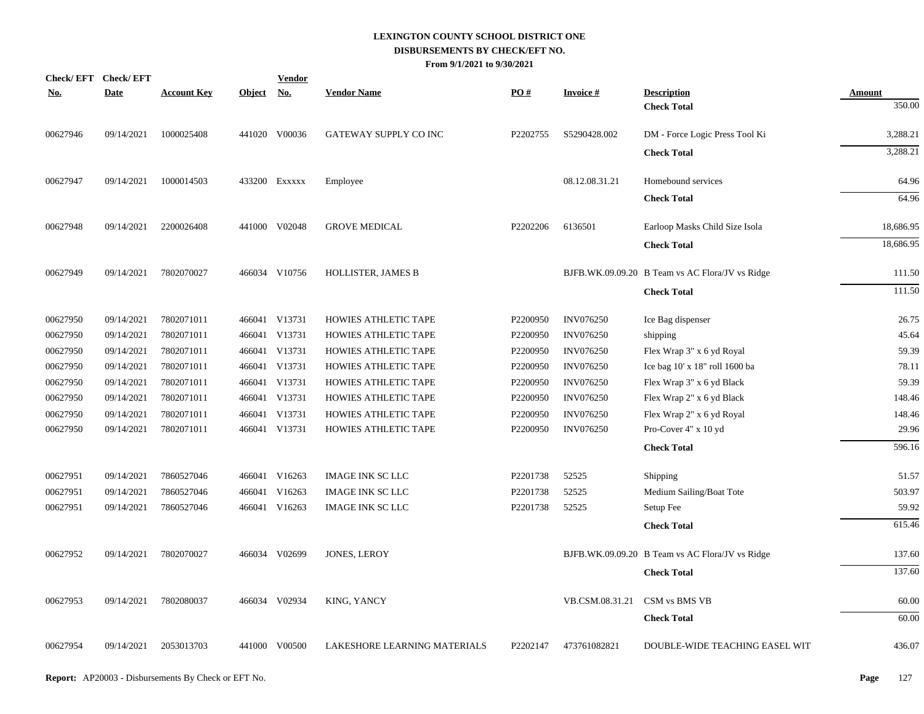| <u>No.</u> | Check/EFT Check/EFT<br><b>Date</b> | <b>Account Key</b> | Object No. | <b>Vendor</b> | <b>Vendor Name</b>           | PO#      | <b>Invoice#</b>  | <b>Description</b>                              | <b>Amount</b> |
|------------|------------------------------------|--------------------|------------|---------------|------------------------------|----------|------------------|-------------------------------------------------|---------------|
|            |                                    |                    |            |               |                              |          |                  | <b>Check Total</b>                              | 350.00        |
| 00627946   | 09/14/2021                         | 1000025408         |            | 441020 V00036 | GATEWAY SUPPLY CO INC        | P2202755 | S5290428.002     | DM - Force Logic Press Tool Ki                  | 3,288.21      |
|            |                                    |                    |            |               |                              |          |                  | <b>Check Total</b>                              | 3,288.21      |
| 00627947   | 09/14/2021                         | 1000014503         |            | 433200 EXXXXX | Employee                     |          | 08.12.08.31.21   | Homebound services                              | 64.96         |
|            |                                    |                    |            |               |                              |          |                  | <b>Check Total</b>                              | 64.96         |
| 00627948   | 09/14/2021                         | 2200026408         |            | 441000 V02048 | <b>GROVE MEDICAL</b>         | P2202206 | 6136501          | Earloop Masks Child Size Isola                  | 18,686.95     |
|            |                                    |                    |            |               |                              |          |                  | <b>Check Total</b>                              | 18,686.95     |
| 00627949   | 09/14/2021                         | 7802070027         |            | 466034 V10756 | HOLLISTER, JAMES B           |          |                  | BJFB.WK.09.09.20 B Team vs AC Flora/JV vs Ridge | 111.50        |
|            |                                    |                    |            |               |                              |          |                  | <b>Check Total</b>                              | 111.50        |
| 00627950   | 09/14/2021                         | 7802071011         |            | 466041 V13731 | HOWIES ATHLETIC TAPE         | P2200950 | <b>INV076250</b> | Ice Bag dispenser                               | 26.75         |
| 00627950   | 09/14/2021                         | 7802071011         |            | 466041 V13731 | HOWIES ATHLETIC TAPE         | P2200950 | <b>INV076250</b> | shipping                                        | 45.64         |
| 00627950   | 09/14/2021                         | 7802071011         |            | 466041 V13731 | HOWIES ATHLETIC TAPE         | P2200950 | <b>INV076250</b> | Flex Wrap 3" x 6 yd Royal                       | 59.39         |
| 00627950   | 09/14/2021                         | 7802071011         |            | 466041 V13731 | HOWIES ATHLETIC TAPE         | P2200950 | INV076250        | Ice bag 10' x 18" roll 1600 ba                  | 78.11         |
| 00627950   | 09/14/2021                         | 7802071011         |            | 466041 V13731 | HOWIES ATHLETIC TAPE         | P2200950 | <b>INV076250</b> | Flex Wrap 3" x 6 yd Black                       | 59.39         |
| 00627950   | 09/14/2021                         | 7802071011         |            | 466041 V13731 | HOWIES ATHLETIC TAPE         | P2200950 | <b>INV076250</b> | Flex Wrap 2" x 6 yd Black                       | 148.46        |
| 00627950   | 09/14/2021                         | 7802071011         |            | 466041 V13731 | HOWIES ATHLETIC TAPE         | P2200950 | <b>INV076250</b> | Flex Wrap 2" x 6 yd Royal                       | 148.46        |
| 00627950   | 09/14/2021                         | 7802071011         |            | 466041 V13731 | HOWIES ATHLETIC TAPE         | P2200950 | <b>INV076250</b> | Pro-Cover 4" x 10 yd                            | 29.96         |
|            |                                    |                    |            |               |                              |          |                  | <b>Check Total</b>                              | 596.16        |
| 00627951   | 09/14/2021                         | 7860527046         |            | 466041 V16263 | <b>IMAGE INK SC LLC</b>      | P2201738 | 52525            | Shipping                                        | 51.57         |
| 00627951   | 09/14/2021                         | 7860527046         | 466041     | V16263        | <b>IMAGE INK SC LLC</b>      | P2201738 | 52525            | Medium Sailing/Boat Tote                        | 503.97        |
| 00627951   | 09/14/2021                         | 7860527046         | 466041     | V16263        | <b>IMAGE INK SC LLC</b>      | P2201738 | 52525            | Setup Fee                                       | 59.92         |
|            |                                    |                    |            |               |                              |          |                  | <b>Check Total</b>                              | 615.46        |
| 00627952   | 09/14/2021                         | 7802070027         |            | 466034 V02699 | JONES, LEROY                 |          |                  | BJFB.WK.09.09.20 B Team vs AC Flora/JV vs Ridge | 137.60        |
|            |                                    |                    |            |               |                              |          |                  | <b>Check Total</b>                              | 137.60        |
| 00627953   | 09/14/2021                         | 7802080037         |            | 466034 V02934 | KING, YANCY                  |          | VB.CSM.08.31.21  | CSM vs BMS VB                                   | 60.00         |
|            |                                    |                    |            |               |                              |          |                  | <b>Check Total</b>                              | 60.00         |
| 00627954   | 09/14/2021                         | 2053013703         |            | 441000 V00500 | LAKESHORE LEARNING MATERIALS | P2202147 | 473761082821     | DOUBLE-WIDE TEACHING EASEL WIT                  | 436.07        |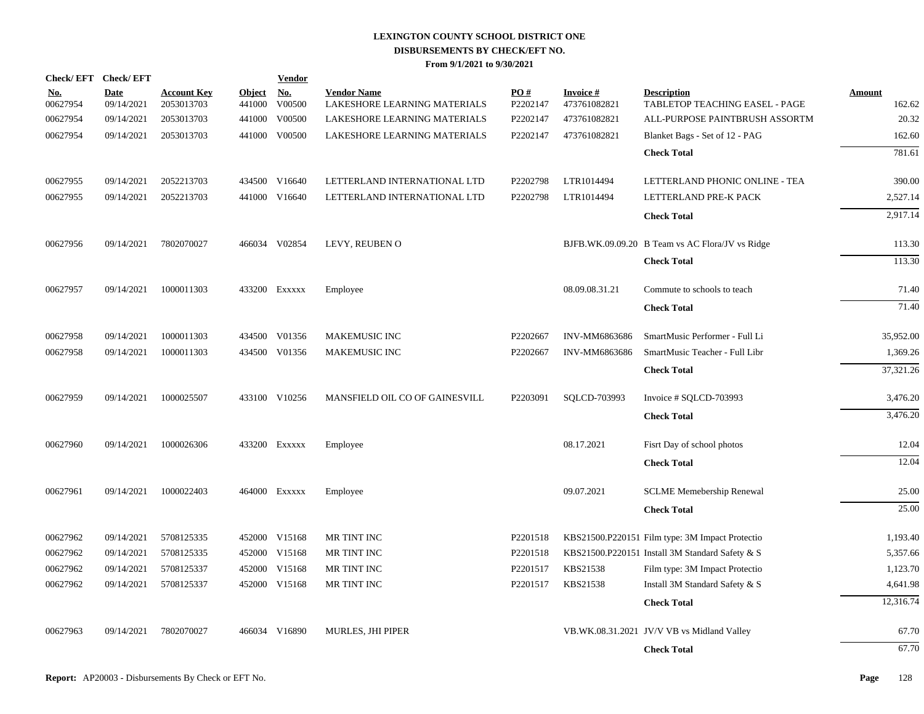| <b>Check/EFT</b>       | <b>Check/EFT</b>          |                                  |                         | <u>Vendor</u>        |                                                    |                 |                                 |                                                      |                         |
|------------------------|---------------------------|----------------------------------|-------------------------|----------------------|----------------------------------------------------|-----------------|---------------------------------|------------------------------------------------------|-------------------------|
| <u>No.</u><br>00627954 | <b>Date</b><br>09/14/2021 | <b>Account Key</b><br>2053013703 | <b>Object</b><br>441000 | <u>No.</u><br>V00500 | <b>Vendor Name</b><br>LAKESHORE LEARNING MATERIALS | PO#<br>P2202147 | <b>Invoice#</b><br>473761082821 | <b>Description</b><br>TABLETOP TEACHING EASEL - PAGE | <b>Amount</b><br>162.62 |
| 00627954               | 09/14/2021                | 2053013703                       | 441000                  | V00500               | LAKESHORE LEARNING MATERIALS                       | P2202147        | 473761082821                    | ALL-PURPOSE PAINTBRUSH ASSORTM                       | 20.32                   |
| 00627954               | 09/14/2021                | 2053013703                       |                         | 441000 V00500        | LAKESHORE LEARNING MATERIALS                       | P2202147        | 473761082821                    | Blanket Bags - Set of 12 - PAG                       | 162.60                  |
|                        |                           |                                  |                         |                      |                                                    |                 |                                 | <b>Check Total</b>                                   | 781.61                  |
| 00627955               | 09/14/2021                | 2052213703                       |                         | 434500 V16640        | LETTERLAND INTERNATIONAL LTD                       | P2202798        | LTR1014494                      | LETTERLAND PHONIC ONLINE - TEA                       | 390.00                  |
| 00627955               | 09/14/2021                | 2052213703                       |                         | 441000 V16640        | LETTERLAND INTERNATIONAL LTD                       | P2202798        | LTR1014494                      | LETTERLAND PRE-K PACK                                | 2,527.14                |
|                        |                           |                                  |                         |                      |                                                    |                 |                                 | <b>Check Total</b>                                   | 2,917.14                |
| 00627956               | 09/14/2021                | 7802070027                       |                         | 466034 V02854        | LEVY, REUBEN O                                     |                 |                                 | BJFB.WK.09.09.20 B Team vs AC Flora/JV vs Ridge      | 113.30                  |
|                        |                           |                                  |                         |                      |                                                    |                 |                                 | <b>Check Total</b>                                   | 113.30                  |
| 00627957               | 09/14/2021                | 1000011303                       |                         | 433200 Exxxxx        | Employee                                           |                 | 08.09.08.31.21                  | Commute to schools to teach                          | 71.40                   |
|                        |                           |                                  |                         |                      |                                                    |                 |                                 | <b>Check Total</b>                                   | 71.40                   |
| 00627958               | 09/14/2021                | 1000011303                       |                         | 434500 V01356        | <b>MAKEMUSIC INC</b>                               | P2202667        | INV-MM6863686                   | SmartMusic Performer - Full Li                       | 35,952.00               |
| 00627958               | 09/14/2021                | 1000011303                       |                         | 434500 V01356        | <b>MAKEMUSIC INC</b>                               | P2202667        | INV-MM6863686                   | SmartMusic Teacher - Full Libr                       | 1,369.26                |
|                        |                           |                                  |                         |                      |                                                    |                 |                                 | <b>Check Total</b>                                   | 37,321.26               |
| 00627959               | 09/14/2021                | 1000025507                       |                         | 433100 V10256        | MANSFIELD OIL CO OF GAINESVILL                     | P2203091        | SQLCD-703993                    | Invoice # SQLCD-703993                               | 3,476.20                |
|                        |                           |                                  |                         |                      |                                                    |                 |                                 | <b>Check Total</b>                                   | 3,476.20                |
| 00627960               | 09/14/2021                | 1000026306                       |                         | 433200 Exxxxx        | Employee                                           |                 | 08.17.2021                      | Fisrt Day of school photos                           | 12.04                   |
|                        |                           |                                  |                         |                      |                                                    |                 |                                 | <b>Check Total</b>                                   | 12.04                   |
| 00627961               | 09/14/2021                | 1000022403                       |                         | 464000 Exxxxx        | Employee                                           |                 | 09.07.2021                      | <b>SCLME Memebership Renewal</b>                     | 25.00                   |
|                        |                           |                                  |                         |                      |                                                    |                 |                                 | <b>Check Total</b>                                   | 25.00                   |
| 00627962               | 09/14/2021                | 5708125335                       |                         | 452000 V15168        | MR TINT INC                                        | P2201518        |                                 | KBS21500.P220151 Film type: 3M Impact Protectio      | 1,193.40                |
| 00627962               | 09/14/2021                | 5708125335                       |                         | 452000 V15168        | MR TINT INC                                        | P2201518        |                                 | KBS21500.P220151 Install 3M Standard Safety & S      | 5,357.66                |
| 00627962               | 09/14/2021                | 5708125337                       |                         | 452000 V15168        | MR TINT INC                                        | P2201517        | KBS21538                        | Film type: 3M Impact Protectio                       | 1,123.70                |
| 00627962               | 09/14/2021                | 5708125337                       |                         | 452000 V15168        | MR TINT INC                                        | P2201517        | KBS21538                        | Install 3M Standard Safety & S                       | 4,641.98                |
|                        |                           |                                  |                         |                      |                                                    |                 |                                 | <b>Check Total</b>                                   | 12,316.74               |
| 00627963               | 09/14/2021                | 7802070027                       |                         | 466034 V16890        | MURLES, JHI PIPER                                  |                 |                                 | VB.WK.08.31.2021 JV/V VB vs Midland Valley           | 67.70                   |
|                        |                           |                                  |                         |                      |                                                    |                 |                                 | <b>Check Total</b>                                   | 67.70                   |
|                        |                           |                                  |                         |                      |                                                    |                 |                                 |                                                      |                         |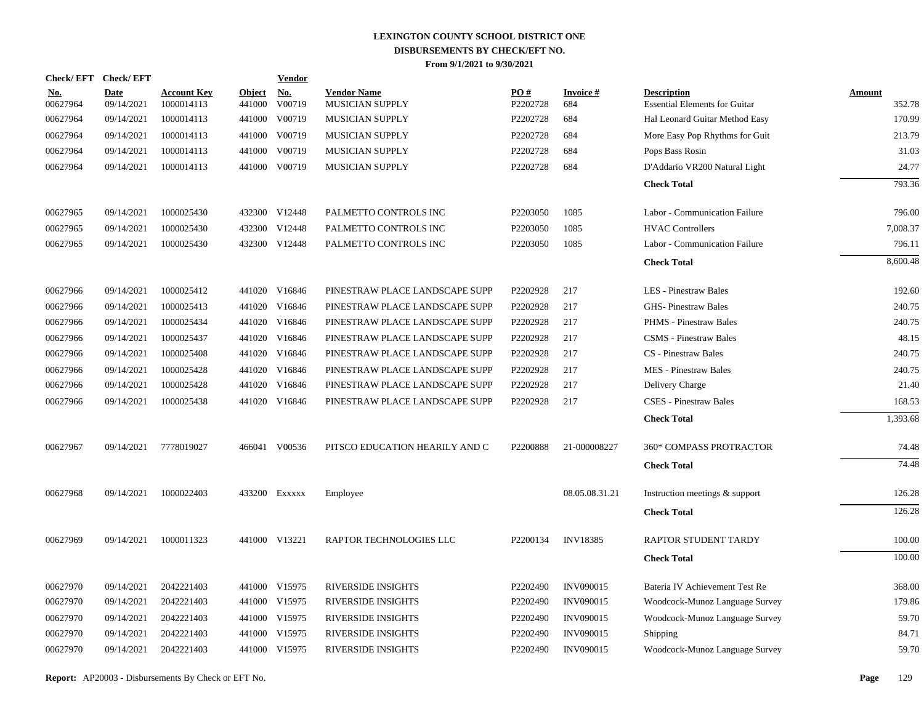| Check/EFT Check/EFT    |                           |                                  |                         | Vendor        |                                              |                 |                        |                                                            |                  |
|------------------------|---------------------------|----------------------------------|-------------------------|---------------|----------------------------------------------|-----------------|------------------------|------------------------------------------------------------|------------------|
| <u>No.</u><br>00627964 | <b>Date</b><br>09/14/2021 | <b>Account Key</b><br>1000014113 | <b>Object</b><br>441000 | No.<br>V00719 | <b>Vendor Name</b><br><b>MUSICIAN SUPPLY</b> | PO#<br>P2202728 | <b>Invoice#</b><br>684 | <b>Description</b><br><b>Essential Elements for Guitar</b> | Amount<br>352.78 |
| 00627964               | 09/14/2021                | 1000014113                       | 441000                  | V00719        | MUSICIAN SUPPLY                              | P2202728        | 684                    | Hal Leonard Guitar Method Easy                             | 170.99           |
| 00627964               | 09/14/2021                | 1000014113                       |                         | 441000 V00719 | <b>MUSICIAN SUPPLY</b>                       | P2202728        | 684                    | More Easy Pop Rhythms for Guit                             | 213.79           |
| 00627964               | 09/14/2021                | 1000014113                       | 441000                  | V00719        | <b>MUSICIAN SUPPLY</b>                       | P2202728        | 684                    | Pops Bass Rosin                                            | 31.03            |
| 00627964               | 09/14/2021                | 1000014113                       |                         | 441000 V00719 | MUSICIAN SUPPLY                              | P2202728        | 684                    | D'Addario VR200 Natural Light                              | 24.77            |
|                        |                           |                                  |                         |               |                                              |                 |                        | <b>Check Total</b>                                         | 793.36           |
| 00627965               | 09/14/2021                | 1000025430                       |                         | 432300 V12448 | PALMETTO CONTROLS INC                        | P2203050        | 1085                   | Labor - Communication Failure                              | 796.00           |
| 00627965               | 09/14/2021                | 1000025430                       | 432300                  | V12448        | PALMETTO CONTROLS INC                        | P2203050        | 1085                   | <b>HVAC Controllers</b>                                    | 7,008.37         |
| 00627965               | 09/14/2021                | 1000025430                       |                         | 432300 V12448 | PALMETTO CONTROLS INC                        | P2203050        | 1085                   | Labor - Communication Failure                              | 796.11           |
|                        |                           |                                  |                         |               |                                              |                 |                        | <b>Check Total</b>                                         | 8,600.48         |
| 00627966               | 09/14/2021                | 1000025412                       |                         | 441020 V16846 | PINESTRAW PLACE LANDSCAPE SUPP               | P2202928        | 217                    | <b>LES</b> - Pinestraw Bales                               | 192.60           |
| 00627966               | 09/14/2021                | 1000025413                       |                         | 441020 V16846 | PINESTRAW PLACE LANDSCAPE SUPP               | P2202928        | 217                    | <b>GHS-Pinestraw Bales</b>                                 | 240.75           |
| 00627966               | 09/14/2021                | 1000025434                       |                         | 441020 V16846 | PINESTRAW PLACE LANDSCAPE SUPP               | P2202928        | 217                    | <b>PHMS</b> - Pinestraw Bales                              | 240.75           |
| 00627966               | 09/14/2021                | 1000025437                       | 441020                  | V16846        | PINESTRAW PLACE LANDSCAPE SUPP               | P2202928        | 217                    | <b>CSMS</b> - Pinestraw Bales                              | 48.15            |
| 00627966               | 09/14/2021                | 1000025408                       |                         | 441020 V16846 | PINESTRAW PLACE LANDSCAPE SUPP               | P2202928        | 217                    | <b>CS</b> - Pinestraw Bales                                | 240.75           |
| 00627966               | 09/14/2021                | 1000025428                       | 441020                  | V16846        | PINESTRAW PLACE LANDSCAPE SUPP               | P2202928        | 217                    | <b>MES</b> - Pinestraw Bales                               | 240.75           |
| 00627966               | 09/14/2021                | 1000025428                       |                         | 441020 V16846 | PINESTRAW PLACE LANDSCAPE SUPP               | P2202928        | 217                    | Delivery Charge                                            | 21.40            |
| 00627966               | 09/14/2021                | 1000025438                       |                         | 441020 V16846 | PINESTRAW PLACE LANDSCAPE SUPP               | P2202928        | 217                    | <b>CSES</b> - Pinestraw Bales                              | 168.53           |
|                        |                           |                                  |                         |               |                                              |                 |                        | <b>Check Total</b>                                         | 1,393.68         |
| 00627967               | 09/14/2021                | 7778019027                       |                         | 466041 V00536 | PITSCO EDUCATION HEARILY AND C               | P2200888        | 21-000008227           | 360* COMPASS PROTRACTOR                                    | 74.48            |
|                        |                           |                                  |                         |               |                                              |                 |                        | <b>Check Total</b>                                         | 74.48            |
| 00627968               | 09/14/2021                | 1000022403                       |                         | 433200 Exxxxx | Employee                                     |                 | 08.05.08.31.21         | Instruction meetings & support                             | 126.28           |
|                        |                           |                                  |                         |               |                                              |                 |                        | <b>Check Total</b>                                         | 126.28           |
| 00627969               | 09/14/2021                | 1000011323                       |                         | 441000 V13221 | <b>RAPTOR TECHNOLOGIES LLC</b>               | P2200134        | <b>INV18385</b>        | <b>RAPTOR STUDENT TARDY</b>                                | 100.00           |
|                        |                           |                                  |                         |               |                                              |                 |                        | <b>Check Total</b>                                         | 100.00           |
| 00627970               | 09/14/2021                | 2042221403                       |                         | 441000 V15975 | RIVERSIDE INSIGHTS                           | P2202490        | <b>INV090015</b>       | Bateria IV Achievement Test Re                             | 368.00           |
| 00627970               | 09/14/2021                | 2042221403                       |                         | 441000 V15975 | <b>RIVERSIDE INSIGHTS</b>                    | P2202490        | <b>INV090015</b>       | Woodcock-Munoz Language Survey                             | 179.86           |
| 00627970               | 09/14/2021                | 2042221403                       |                         | 441000 V15975 | <b>RIVERSIDE INSIGHTS</b>                    | P2202490        | <b>INV090015</b>       | Woodcock-Munoz Language Survey                             | 59.70            |
| 00627970               | 09/14/2021                | 2042221403                       | 441000                  | V15975        | <b>RIVERSIDE INSIGHTS</b>                    | P2202490        | <b>INV090015</b>       | Shipping                                                   | 84.71            |
| 00627970               | 09/14/2021                | 2042221403                       |                         | 441000 V15975 | <b>RIVERSIDE INSIGHTS</b>                    | P2202490        | <b>INV090015</b>       | Woodcock-Munoz Language Survey                             | 59.70            |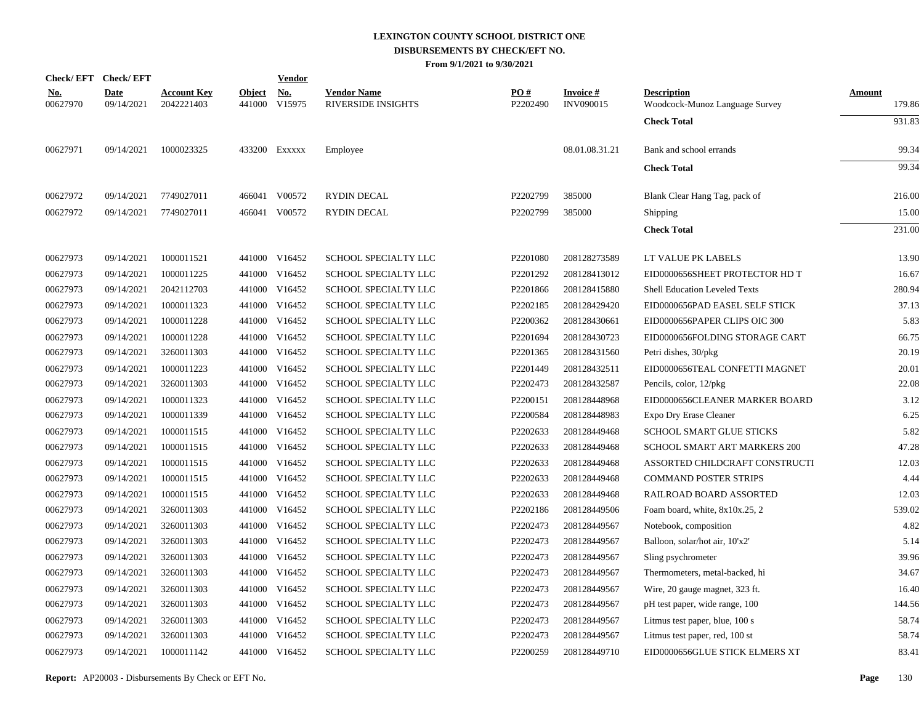|                        | Check/EFT Check/EFT       |                                  |               | <b>Vendor</b>               |                                                 |                 |                                     |                                                      |                  |
|------------------------|---------------------------|----------------------------------|---------------|-----------------------------|-------------------------------------------------|-----------------|-------------------------------------|------------------------------------------------------|------------------|
| <u>No.</u><br>00627970 | <b>Date</b><br>09/14/2021 | <b>Account Key</b><br>2042221403 | <b>Object</b> | <u>No.</u><br>441000 V15975 | <b>Vendor Name</b><br><b>RIVERSIDE INSIGHTS</b> | PO#<br>P2202490 | <b>Invoice#</b><br><b>INV090015</b> | <b>Description</b><br>Woodcock-Munoz Language Survey | Amount<br>179.86 |
|                        |                           |                                  |               |                             |                                                 |                 |                                     | <b>Check Total</b>                                   | 931.83           |
| 00627971               | 09/14/2021                | 1000023325                       |               | 433200 Exxxxx               | Employee                                        |                 | 08.01.08.31.21                      | Bank and school errands                              | 99.34            |
|                        |                           |                                  |               |                             |                                                 |                 |                                     | <b>Check Total</b>                                   | 99.34            |
| 00627972               | 09/14/2021                | 7749027011                       |               | 466041 V00572               | <b>RYDIN DECAL</b>                              | P2202799        | 385000                              | Blank Clear Hang Tag, pack of                        | 216.00           |
| 00627972               | 09/14/2021                | 7749027011                       |               | 466041 V00572               | <b>RYDIN DECAL</b>                              | P2202799        | 385000                              | Shipping                                             | 15.00            |
|                        |                           |                                  |               |                             |                                                 |                 |                                     | <b>Check Total</b>                                   | 231.00           |
| 00627973               | 09/14/2021                | 1000011521                       |               | 441000 V16452               | SCHOOL SPECIALTY LLC                            | P2201080        | 208128273589                        | LT VALUE PK LABELS                                   | 13.90            |
| 00627973               | 09/14/2021                | 1000011225                       |               | 441000 V16452               | SCHOOL SPECIALTY LLC                            | P2201292        | 208128413012                        | EID0000656SHEET PROTECTOR HD T                       | 16.67            |
| 00627973               | 09/14/2021                | 2042112703                       |               | 441000 V16452               | SCHOOL SPECIALTY LLC                            | P2201866        | 208128415880                        | <b>Shell Education Leveled Texts</b>                 | 280.94           |
| 00627973               | 09/14/2021                | 1000011323                       |               | 441000 V16452               | SCHOOL SPECIALTY LLC                            | P2202185        | 208128429420                        | EID0000656PAD EASEL SELF STICK                       | 37.13            |
| 00627973               | 09/14/2021                | 1000011228                       |               | 441000 V16452               | SCHOOL SPECIALTY LLC                            | P2200362        | 208128430661                        | EID0000656PAPER CLIPS OIC 300                        | 5.83             |
| 00627973               | 09/14/2021                | 1000011228                       |               | 441000 V16452               | SCHOOL SPECIALTY LLC                            | P2201694        | 208128430723                        | EID0000656FOLDING STORAGE CART                       | 66.75            |
| 00627973               | 09/14/2021                | 3260011303                       |               | 441000 V16452               | SCHOOL SPECIALTY LLC                            | P2201365        | 208128431560                        | Petri dishes, 30/pkg                                 | 20.19            |
| 00627973               | 09/14/2021                | 1000011223                       |               | 441000 V16452               | SCHOOL SPECIALTY LLC                            | P2201449        | 208128432511                        | EID0000656TEAL CONFETTI MAGNET                       | 20.01            |
| 00627973               | 09/14/2021                | 3260011303                       |               | 441000 V16452               | SCHOOL SPECIALTY LLC                            | P2202473        | 208128432587                        | Pencils, color, 12/pkg                               | 22.08            |
| 00627973               | 09/14/2021                | 1000011323                       |               | 441000 V16452               | SCHOOL SPECIALTY LLC                            | P2200151        | 208128448968                        | EID0000656CLEANER MARKER BOARD                       | 3.12             |
| 00627973               | 09/14/2021                | 1000011339                       |               | 441000 V16452               | SCHOOL SPECIALTY LLC                            | P2200584        | 208128448983                        | Expo Dry Erase Cleaner                               | 6.25             |
| 00627973               | 09/14/2021                | 1000011515                       |               | 441000 V16452               | SCHOOL SPECIALTY LLC                            | P2202633        | 208128449468                        | <b>SCHOOL SMART GLUE STICKS</b>                      | 5.82             |
| 00627973               | 09/14/2021                | 1000011515                       |               | 441000 V16452               | SCHOOL SPECIALTY LLC                            | P2202633        | 208128449468                        | SCHOOL SMART ART MARKERS 200                         | 47.28            |
| 00627973               | 09/14/2021                | 1000011515                       |               | 441000 V16452               | SCHOOL SPECIALTY LLC                            | P2202633        | 208128449468                        | ASSORTED CHILDCRAFT CONSTRUCTI                       | 12.03            |
| 00627973               | 09/14/2021                | 1000011515                       |               | 441000 V16452               | SCHOOL SPECIALTY LLC                            | P2202633        | 208128449468                        | <b>COMMAND POSTER STRIPS</b>                         | 4.44             |
| 00627973               | 09/14/2021                | 1000011515                       |               | 441000 V16452               | SCHOOL SPECIALTY LLC                            | P2202633        | 208128449468                        | RAILROAD BOARD ASSORTED                              | 12.03            |
| 00627973               | 09/14/2021                | 3260011303                       |               | 441000 V16452               | SCHOOL SPECIALTY LLC                            | P2202186        | 208128449506                        | Foam board, white, 8x10x.25, 2                       | 539.02           |
| 00627973               | 09/14/2021                | 3260011303                       |               | 441000 V16452               | SCHOOL SPECIALTY LLC                            | P2202473        | 208128449567                        | Notebook, composition                                | 4.82             |
| 00627973               | 09/14/2021                | 3260011303                       |               | 441000 V16452               | SCHOOL SPECIALTY LLC                            | P2202473        | 208128449567                        | Balloon, solar/hot air, 10'x2'                       | 5.14             |
| 00627973               | 09/14/2021                | 3260011303                       |               | 441000 V16452               | SCHOOL SPECIALTY LLC                            | P2202473        | 208128449567                        | Sling psychrometer                                   | 39.96            |
| 00627973               | 09/14/2021                | 3260011303                       |               | 441000 V16452               | SCHOOL SPECIALTY LLC                            | P2202473        | 208128449567                        | Thermometers, metal-backed, hi                       | 34.67            |
| 00627973               | 09/14/2021                | 3260011303                       |               | 441000 V16452               | SCHOOL SPECIALTY LLC                            | P2202473        | 208128449567                        | Wire, 20 gauge magnet, 323 ft.                       | 16.40            |
| 00627973               | 09/14/2021                | 3260011303                       |               | 441000 V16452               | SCHOOL SPECIALTY LLC                            | P2202473        | 208128449567                        | pH test paper, wide range, 100                       | 144.56           |
| 00627973               | 09/14/2021                | 3260011303                       |               | 441000 V16452               | SCHOOL SPECIALTY LLC                            | P2202473        | 208128449567                        | Litmus test paper, blue, 100 s                       | 58.74            |
| 00627973               | 09/14/2021                | 3260011303                       |               | 441000 V16452               | SCHOOL SPECIALTY LLC                            | P2202473        | 208128449567                        | Litmus test paper, red, 100 st                       | 58.74            |
| 00627973               | 09/14/2021                | 1000011142                       |               | 441000 V16452               | SCHOOL SPECIALTY LLC                            | P2200259        | 208128449710                        | EID0000656GLUE STICK ELMERS XT                       | 83.41            |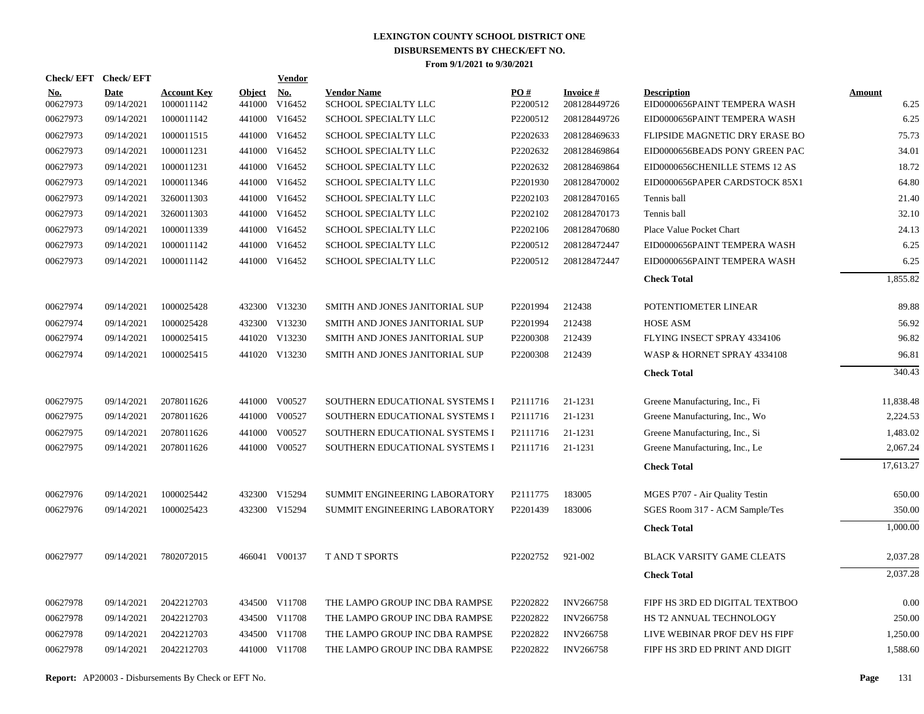|                        | Check/EFT Check/EFT       |                                  |                         | <b>Vendor</b>        |                                            |                 |                                 |                                                    |                       |
|------------------------|---------------------------|----------------------------------|-------------------------|----------------------|--------------------------------------------|-----------------|---------------------------------|----------------------------------------------------|-----------------------|
| <b>No.</b><br>00627973 | <b>Date</b><br>09/14/2021 | <b>Account Key</b><br>1000011142 | <b>Object</b><br>441000 | <u>No.</u><br>V16452 | <b>Vendor Name</b><br>SCHOOL SPECIALTY LLC | PQ#<br>P2200512 | <b>Invoice#</b><br>208128449726 | <b>Description</b><br>EID0000656PAINT TEMPERA WASH | <b>Amount</b><br>6.25 |
| 00627973               | 09/14/2021                | 1000011142                       | 441000                  | V16452               | SCHOOL SPECIALTY LLC                       | P2200512        | 208128449726                    | EID0000656PAINT TEMPERA WASH                       | 6.25                  |
| 00627973               | 09/14/2021                | 1000011515                       |                         | 441000 V16452        | SCHOOL SPECIALTY LLC                       | P2202633        | 208128469633                    | FLIPSIDE MAGNETIC DRY ERASE BO                     | 75.73                 |
| 00627973               | 09/14/2021                | 1000011231                       |                         | 441000 V16452        | SCHOOL SPECIALTY LLC                       | P2202632        | 208128469864                    | EID0000656BEADS PONY GREEN PAC                     | 34.01                 |
| 00627973               | 09/14/2021                | 1000011231                       |                         | 441000 V16452        | SCHOOL SPECIALTY LLC                       | P2202632        | 208128469864                    | EID0000656CHENILLE STEMS 12 AS                     | 18.72                 |
| 00627973               | 09/14/2021                | 1000011346                       |                         | 441000 V16452        | SCHOOL SPECIALTY LLC                       | P2201930        | 208128470002                    | EID0000656PAPER CARDSTOCK 85X1                     | 64.80                 |
| 00627973               | 09/14/2021                | 3260011303                       |                         | 441000 V16452        | SCHOOL SPECIALTY LLC                       | P2202103        | 208128470165                    | Tennis ball                                        | 21.40                 |
| 00627973               | 09/14/2021                | 3260011303                       |                         | 441000 V16452        | SCHOOL SPECIALTY LLC                       | P2202102        | 208128470173                    | Tennis ball                                        | 32.10                 |
| 00627973               | 09/14/2021                | 1000011339                       |                         | 441000 V16452        | SCHOOL SPECIALTY LLC                       | P2202106        | 208128470680                    | Place Value Pocket Chart                           | 24.13                 |
| 00627973               | 09/14/2021                | 1000011142                       |                         | 441000 V16452        | SCHOOL SPECIALTY LLC                       | P2200512        | 208128472447                    | EID0000656PAINT TEMPERA WASH                       | 6.25                  |
| 00627973               | 09/14/2021                | 1000011142                       |                         | 441000 V16452        | SCHOOL SPECIALTY LLC                       | P2200512        | 208128472447                    | EID0000656PAINT TEMPERA WASH                       | 6.25                  |
|                        |                           |                                  |                         |                      |                                            |                 |                                 | <b>Check Total</b>                                 | 1,855.82              |
| 00627974               | 09/14/2021                | 1000025428                       |                         | 432300 V13230        | SMITH AND JONES JANITORIAL SUP             | P2201994        | 212438                          | POTENTIOMETER LINEAR                               | 89.88                 |
| 00627974               | 09/14/2021                | 1000025428                       |                         | 432300 V13230        | SMITH AND JONES JANITORIAL SUP             | P2201994        | 212438                          | <b>HOSE ASM</b>                                    | 56.92                 |
| 00627974               | 09/14/2021                | 1000025415                       |                         | 441020 V13230        | SMITH AND JONES JANITORIAL SUP             | P2200308        | 212439                          | FLYING INSECT SPRAY 4334106                        | 96.82                 |
| 00627974               | 09/14/2021                | 1000025415                       |                         | 441020 V13230        | SMITH AND JONES JANITORIAL SUP             | P2200308        | 212439                          | WASP & HORNET SPRAY 4334108                        | 96.81                 |
|                        |                           |                                  |                         |                      |                                            |                 |                                 | <b>Check Total</b>                                 | 340.43                |
| 00627975               | 09/14/2021                | 2078011626                       |                         | 441000 V00527        | SOUTHERN EDUCATIONAL SYSTEMS I             | P2111716        | 21-1231                         | Greene Manufacturing, Inc., Fi                     | 11,838.48             |
| 00627975               | 09/14/2021                | 2078011626                       |                         | 441000 V00527        | SOUTHERN EDUCATIONAL SYSTEMS I             | P2111716        | 21-1231                         | Greene Manufacturing, Inc., Wo                     | 2,224.53              |
| 00627975               | 09/14/2021                | 2078011626                       |                         | 441000 V00527        | SOUTHERN EDUCATIONAL SYSTEMS I             | P2111716        | 21-1231                         | Greene Manufacturing, Inc., Si                     | 1,483.02              |
| 00627975               | 09/14/2021                | 2078011626                       |                         | 441000 V00527        | SOUTHERN EDUCATIONAL SYSTEMS I             | P2111716        | 21-1231                         | Greene Manufacturing, Inc., Le                     | 2,067.24              |
|                        |                           |                                  |                         |                      |                                            |                 |                                 | <b>Check Total</b>                                 | 17,613.27             |
| 00627976               | 09/14/2021                | 1000025442                       |                         | 432300 V15294        | SUMMIT ENGINEERING LABORATORY              | P2111775        | 183005                          | MGES P707 - Air Quality Testin                     | 650.00                |
| 00627976               | 09/14/2021                | 1000025423                       |                         | 432300 V15294        | SUMMIT ENGINEERING LABORATORY              | P2201439        | 183006                          | SGES Room 317 - ACM Sample/Tes                     | 350.00                |
|                        |                           |                                  |                         |                      |                                            |                 |                                 | <b>Check Total</b>                                 | 1,000.00              |
| 00627977               | 09/14/2021                | 7802072015                       |                         | 466041 V00137        | <b>TAND T SPORTS</b>                       | P2202752        | 921-002                         | BLACK VARSITY GAME CLEATS                          | 2,037.28              |
|                        |                           |                                  |                         |                      |                                            |                 |                                 | <b>Check Total</b>                                 | 2,037.28              |
| 00627978               | 09/14/2021                | 2042212703                       |                         | 434500 V11708        | THE LAMPO GROUP INC DBA RAMPSE             | P2202822        | <b>INV266758</b>                | FIPF HS 3RD ED DIGITAL TEXTBOO                     | 0.00                  |
| 00627978               | 09/14/2021                | 2042212703                       |                         | 434500 V11708        | THE LAMPO GROUP INC DBA RAMPSE             | P2202822        | <b>INV266758</b>                | HS T2 ANNUAL TECHNOLOGY                            | 250.00                |
| 00627978               | 09/14/2021                | 2042212703                       |                         | 434500 V11708        | THE LAMPO GROUP INC DBA RAMPSE             | P2202822        | <b>INV266758</b>                | LIVE WEBINAR PROF DEV HS FIPF                      | 1,250.00              |
| 00627978               | 09/14/2021                | 2042212703                       |                         | 441000 V11708        | THE LAMPO GROUP INC DBA RAMPSE             | P2202822        | <b>INV266758</b>                | FIPF HS 3RD ED PRINT AND DIGIT                     | 1,588.60              |
|                        |                           |                                  |                         |                      |                                            |                 |                                 |                                                    |                       |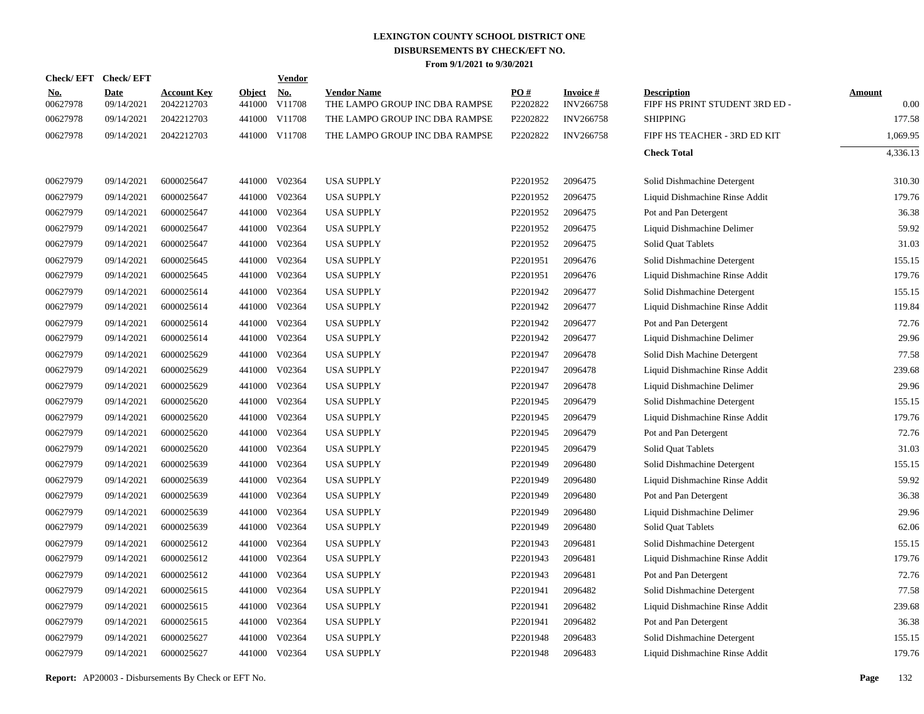|                        | Check/EFT Check/EFT       |                                  |                         | Vendor               |                                                      |                      |                                     |                                                      |                       |
|------------------------|---------------------------|----------------------------------|-------------------------|----------------------|------------------------------------------------------|----------------------|-------------------------------------|------------------------------------------------------|-----------------------|
| <u>No.</u><br>00627978 | <b>Date</b><br>09/14/2021 | <b>Account Key</b><br>2042212703 | <b>Object</b><br>441000 | <u>No.</u><br>V11708 | <b>Vendor Name</b><br>THE LAMPO GROUP INC DBA RAMPSE | PO#<br>P2202822      | <b>Invoice#</b><br><b>INV266758</b> | <b>Description</b><br>FIPF HS PRINT STUDENT 3RD ED - | <b>Amount</b><br>0.00 |
| 00627978               | 09/14/2021                | 2042212703                       |                         | 441000 V11708        | THE LAMPO GROUP INC DBA RAMPSE                       | P2202822             | <b>INV266758</b>                    | <b>SHIPPING</b>                                      | 177.58                |
| 00627978               | 09/14/2021                | 2042212703                       |                         | 441000 V11708        | THE LAMPO GROUP INC DBA RAMPSE                       | P2202822             | <b>INV266758</b>                    | FIPF HS TEACHER - 3RD ED KIT                         | 1,069.95              |
|                        |                           |                                  |                         |                      |                                                      |                      |                                     | <b>Check Total</b>                                   | 4,336.13              |
| 00627979               | 09/14/2021                | 6000025647                       |                         | 441000 V02364        | <b>USA SUPPLY</b>                                    | P <sub>2201952</sub> | 2096475                             | Solid Dishmachine Detergent                          | 310.30                |
| 00627979               | 09/14/2021                | 6000025647                       | 441000                  | V02364               | <b>USA SUPPLY</b>                                    | P2201952             | 2096475                             | Liquid Dishmachine Rinse Addit                       | 179.76                |
| 00627979               | 09/14/2021                | 6000025647                       | 441000                  | V02364               | <b>USA SUPPLY</b>                                    | P2201952             | 2096475                             | Pot and Pan Detergent                                | 36.38                 |
| 00627979               | 09/14/2021                | 6000025647                       | 441000                  | V02364               | <b>USA SUPPLY</b>                                    | P2201952             | 2096475                             | Liquid Dishmachine Delimer                           | 59.92                 |
| 00627979               | 09/14/2021                | 6000025647                       | 441000                  | V02364               | <b>USA SUPPLY</b>                                    | P2201952             | 2096475                             | Solid Quat Tablets                                   | 31.03                 |
| 00627979               | 09/14/2021                | 6000025645                       | 441000                  | V02364               | <b>USA SUPPLY</b>                                    | P2201951             | 2096476                             | Solid Dishmachine Detergent                          | 155.15                |
| 00627979               | 09/14/2021                | 6000025645                       | 441000                  | V02364               | <b>USA SUPPLY</b>                                    | P2201951             | 2096476                             | Liquid Dishmachine Rinse Addit                       | 179.76                |
| 00627979               | 09/14/2021                | 6000025614                       | 441000                  | V02364               | <b>USA SUPPLY</b>                                    | P2201942             | 2096477                             | Solid Dishmachine Detergent                          | 155.15                |
| 00627979               | 09/14/2021                | 6000025614                       | 441000                  | V02364               | <b>USA SUPPLY</b>                                    | P2201942             | 2096477                             | Liquid Dishmachine Rinse Addit                       | 119.84                |
| 00627979               | 09/14/2021                | 6000025614                       | 441000                  | V02364               | <b>USA SUPPLY</b>                                    | P2201942             | 2096477                             | Pot and Pan Detergent                                | 72.76                 |
| 00627979               | 09/14/2021                | 6000025614                       | 441000                  | V02364               | <b>USA SUPPLY</b>                                    | P2201942             | 2096477                             | Liquid Dishmachine Delimer                           | 29.96                 |
| 00627979               | 09/14/2021                | 6000025629                       | 441000                  | V02364               | <b>USA SUPPLY</b>                                    | P2201947             | 2096478                             | Solid Dish Machine Detergent                         | 77.58                 |
| 00627979               | 09/14/2021                | 6000025629                       | 441000                  | V02364               | <b>USA SUPPLY</b>                                    | P2201947             | 2096478                             | Liquid Dishmachine Rinse Addit                       | 239.68                |
| 00627979               | 09/14/2021                | 6000025629                       | 441000                  | V02364               | <b>USA SUPPLY</b>                                    | P2201947             | 2096478                             | Liquid Dishmachine Delimer                           | 29.96                 |
| 00627979               | 09/14/2021                | 6000025620                       | 441000                  | V02364               | <b>USA SUPPLY</b>                                    | P2201945             | 2096479                             | Solid Dishmachine Detergent                          | 155.15                |
| 00627979               | 09/14/2021                | 6000025620                       | 441000                  | V02364               | <b>USA SUPPLY</b>                                    | P2201945             | 2096479                             | Liquid Dishmachine Rinse Addit                       | 179.76                |
| 00627979               | 09/14/2021                | 6000025620                       | 441000                  | V02364               | <b>USA SUPPLY</b>                                    | P2201945             | 2096479                             | Pot and Pan Detergent                                | 72.76                 |
| 00627979               | 09/14/2021                | 6000025620                       | 441000                  | V02364               | <b>USA SUPPLY</b>                                    | P2201945             | 2096479                             | Solid Quat Tablets                                   | 31.03                 |
| 00627979               | 09/14/2021                | 6000025639                       | 441000                  | V02364               | <b>USA SUPPLY</b>                                    | P2201949             | 2096480                             | Solid Dishmachine Detergent                          | 155.15                |
| 00627979               | 09/14/2021                | 6000025639                       | 441000                  | V02364               | <b>USA SUPPLY</b>                                    | P2201949             | 2096480                             | Liquid Dishmachine Rinse Addit                       | 59.92                 |
| 00627979               | 09/14/2021                | 6000025639                       | 441000                  | V02364               | <b>USA SUPPLY</b>                                    | P2201949             | 2096480                             | Pot and Pan Detergent                                | 36.38                 |
| 00627979               | 09/14/2021                | 6000025639                       | 441000                  | V02364               | <b>USA SUPPLY</b>                                    | P2201949             | 2096480                             | Liquid Dishmachine Delimer                           | 29.96                 |
| 00627979               | 09/14/2021                | 6000025639                       | 441000                  | V02364               | <b>USA SUPPLY</b>                                    | P2201949             | 2096480                             | Solid Quat Tablets                                   | 62.06                 |
| 00627979               | 09/14/2021                | 6000025612                       | 441000                  | V02364               | <b>USA SUPPLY</b>                                    | P2201943             | 2096481                             | Solid Dishmachine Detergent                          | 155.15                |
| 00627979               | 09/14/2021                | 6000025612                       | 441000                  | V02364               | <b>USA SUPPLY</b>                                    | P2201943             | 2096481                             | Liquid Dishmachine Rinse Addit                       | 179.76                |
| 00627979               | 09/14/2021                | 6000025612                       | 441000                  | V02364               | <b>USA SUPPLY</b>                                    | P2201943             | 2096481                             | Pot and Pan Detergent                                | 72.76                 |
| 00627979               | 09/14/2021                | 6000025615                       | 441000                  | V02364               | <b>USA SUPPLY</b>                                    | P2201941             | 2096482                             | Solid Dishmachine Detergent                          | 77.58                 |
| 00627979               | 09/14/2021                | 6000025615                       | 441000                  | V02364               | <b>USA SUPPLY</b>                                    | P2201941             | 2096482                             | Liquid Dishmachine Rinse Addit                       | 239.68                |
| 00627979               | 09/14/2021                | 6000025615                       |                         | 441000 V02364        | <b>USA SUPPLY</b>                                    | P2201941             | 2096482                             | Pot and Pan Detergent                                | 36.38                 |
| 00627979               | 09/14/2021                | 6000025627                       | 441000                  | V02364               | <b>USA SUPPLY</b>                                    | P2201948             | 2096483                             | Solid Dishmachine Detergent                          | 155.15                |
| 00627979               | 09/14/2021                | 6000025627                       |                         | 441000 V02364        | <b>USA SUPPLY</b>                                    | P2201948             | 2096483                             | Liquid Dishmachine Rinse Addit                       | 179.76                |
|                        |                           |                                  |                         |                      |                                                      |                      |                                     |                                                      |                       |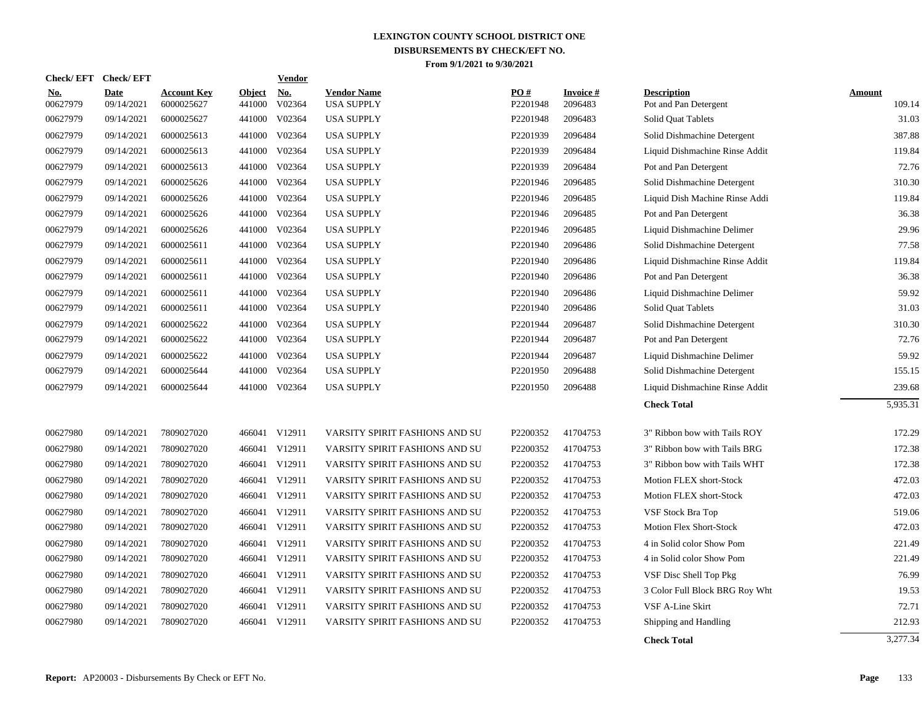| <b>Check/EFT</b>       | <b>Check/EFT</b>          |                                  |                         | <b>Vendor</b>                       |                                         |                 |                            |                                             |                         |
|------------------------|---------------------------|----------------------------------|-------------------------|-------------------------------------|-----------------------------------------|-----------------|----------------------------|---------------------------------------------|-------------------------|
| <u>No.</u><br>00627979 | <b>Date</b><br>09/14/2021 | <b>Account Key</b><br>6000025627 | <b>Object</b><br>441000 | $\underline{\textbf{No}}$<br>V02364 | <b>Vendor Name</b><br><b>USA SUPPLY</b> | PO#<br>P2201948 | <b>Invoice#</b><br>2096483 | <b>Description</b><br>Pot and Pan Detergent | <b>Amount</b><br>109.14 |
| 00627979               | 09/14/2021                | 6000025627                       | 441000                  | V02364                              | <b>USA SUPPLY</b>                       | P2201948        | 2096483                    | Solid Quat Tablets                          | 31.03                   |
| 00627979               | 09/14/2021                | 6000025613                       | 441000                  | V02364                              | <b>USA SUPPLY</b>                       | P2201939        | 2096484                    | Solid Dishmachine Detergent                 | 387.88                  |
| 00627979               | 09/14/2021                | 6000025613                       | 441000                  | V02364                              | <b>USA SUPPLY</b>                       | P2201939        | 2096484                    | Liquid Dishmachine Rinse Addit              | 119.84                  |
| 00627979               | 09/14/2021                | 6000025613                       | 441000                  | V02364                              | <b>USA SUPPLY</b>                       | P2201939        | 2096484                    | Pot and Pan Detergent                       | 72.76                   |
| 00627979               | 09/14/2021                | 6000025626                       |                         | 441000 V02364                       | <b>USA SUPPLY</b>                       | P2201946        | 2096485                    | Solid Dishmachine Detergent                 | 310.30                  |
| 00627979               | 09/14/2021                | 6000025626                       | 441000                  | V02364                              | <b>USA SUPPLY</b>                       | P2201946        | 2096485                    | Liquid Dish Machine Rinse Addi              | 119.84                  |
| 00627979               | 09/14/2021                | 6000025626                       |                         | 441000 V02364                       | <b>USA SUPPLY</b>                       | P2201946        | 2096485                    | Pot and Pan Detergent                       | 36.38                   |
| 00627979               | 09/14/2021                | 6000025626                       |                         | 441000 V02364                       | <b>USA SUPPLY</b>                       | P2201946        | 2096485                    | Liquid Dishmachine Delimer                  | 29.96                   |
| 00627979               | 09/14/2021                | 6000025611                       |                         | 441000 V02364                       | <b>USA SUPPLY</b>                       | P2201940        | 2096486                    | Solid Dishmachine Detergent                 | 77.58                   |
| 00627979               | 09/14/2021                | 6000025611                       | 441000                  | V02364                              | <b>USA SUPPLY</b>                       | P2201940        | 2096486                    | Liquid Dishmachine Rinse Addit              | 119.84                  |
| 00627979               | 09/14/2021                | 6000025611                       | 441000                  | V02364                              | <b>USA SUPPLY</b>                       | P2201940        | 2096486                    | Pot and Pan Detergent                       | 36.38                   |
| 00627979               | 09/14/2021                | 6000025611                       | 441000                  | V02364                              | <b>USA SUPPLY</b>                       | P2201940        | 2096486                    | Liquid Dishmachine Delimer                  | 59.92                   |
| 00627979               | 09/14/2021                | 6000025611                       | 441000                  | V02364                              | <b>USA SUPPLY</b>                       | P2201940        | 2096486                    | Solid Quat Tablets                          | 31.03                   |
| 00627979               | 09/14/2021                | 6000025622                       | 441000                  | V02364                              | <b>USA SUPPLY</b>                       | P2201944        | 2096487                    | Solid Dishmachine Detergent                 | 310.30                  |
| 00627979               | 09/14/2021                | 6000025622                       | 441000                  | V02364                              | <b>USA SUPPLY</b>                       | P2201944        | 2096487                    | Pot and Pan Detergent                       | 72.76                   |
| 00627979               | 09/14/2021                | 6000025622                       | 441000                  | V02364                              | <b>USA SUPPLY</b>                       | P2201944        | 2096487                    | Liquid Dishmachine Delimer                  | 59.92                   |
| 00627979               | 09/14/2021                | 6000025644                       | 441000                  | V02364                              | <b>USA SUPPLY</b>                       | P2201950        | 2096488                    | Solid Dishmachine Detergent                 | 155.15                  |
| 00627979               | 09/14/2021                | 6000025644                       |                         | 441000 V02364                       | <b>USA SUPPLY</b>                       | P2201950        | 2096488                    | Liquid Dishmachine Rinse Addit              | 239.68                  |
|                        |                           |                                  |                         |                                     |                                         |                 |                            | <b>Check Total</b>                          | 5,935.31                |
| 00627980               | 09/14/2021                | 7809027020                       |                         | 466041 V12911                       | VARSITY SPIRIT FASHIONS AND SU          | P2200352        | 41704753                   | 3" Ribbon bow with Tails ROY                | 172.29                  |
| 00627980               | 09/14/2021                | 7809027020                       |                         | 466041 V12911                       | VARSITY SPIRIT FASHIONS AND SU          | P2200352        | 41704753                   | 3" Ribbon bow with Tails BRG                | 172.38                  |
| 00627980               | 09/14/2021                | 7809027020                       |                         | 466041 V12911                       | VARSITY SPIRIT FASHIONS AND SU          | P2200352        | 41704753                   | 3" Ribbon bow with Tails WHT                | 172.38                  |
| 00627980               | 09/14/2021                | 7809027020                       |                         | 466041 V12911                       | VARSITY SPIRIT FASHIONS AND SU          | P2200352        | 41704753                   | Motion FLEX short-Stock                     | 472.03                  |
| 00627980               | 09/14/2021                | 7809027020                       |                         | 466041 V12911                       | VARSITY SPIRIT FASHIONS AND SU          | P2200352        | 41704753                   | Motion FLEX short-Stock                     | 472.03                  |
| 00627980               | 09/14/2021                | 7809027020                       |                         | 466041 V12911                       | VARSITY SPIRIT FASHIONS AND SU          | P2200352        | 41704753                   | VSF Stock Bra Top                           | 519.06                  |
| 00627980               | 09/14/2021                | 7809027020                       |                         | 466041 V12911                       | VARSITY SPIRIT FASHIONS AND SU          | P2200352        | 41704753                   | <b>Motion Flex Short-Stock</b>              | 472.03                  |
| 00627980               | 09/14/2021                | 7809027020                       |                         | 466041 V12911                       | VARSITY SPIRIT FASHIONS AND SU          | P2200352        | 41704753                   | 4 in Solid color Show Pom                   | 221.49                  |
| 00627980               | 09/14/2021                | 7809027020                       |                         | 466041 V12911                       | VARSITY SPIRIT FASHIONS AND SU          | P2200352        | 41704753                   | 4 in Solid color Show Pom                   | 221.49                  |
| 00627980               | 09/14/2021                | 7809027020                       |                         | 466041 V12911                       | VARSITY SPIRIT FASHIONS AND SU          | P2200352        | 41704753                   | VSF Disc Shell Top Pkg                      | 76.99                   |
| 00627980               | 09/14/2021                | 7809027020                       |                         | 466041 V12911                       | VARSITY SPIRIT FASHIONS AND SU          | P2200352        | 41704753                   | 3 Color Full Block BRG Roy Wht              | 19.53                   |
| 00627980               | 09/14/2021                | 7809027020                       |                         | 466041 V12911                       | VARSITY SPIRIT FASHIONS AND SU          | P2200352        | 41704753                   | VSF A-Line Skirt                            | 72.71                   |
| 00627980               | 09/14/2021                | 7809027020                       |                         | 466041 V12911                       | VARSITY SPIRIT FASHIONS AND SU          | P2200352        | 41704753                   | Shipping and Handling                       | 212.93                  |
|                        |                           |                                  |                         |                                     |                                         |                 |                            | <b>Check Total</b>                          | 3,277.34                |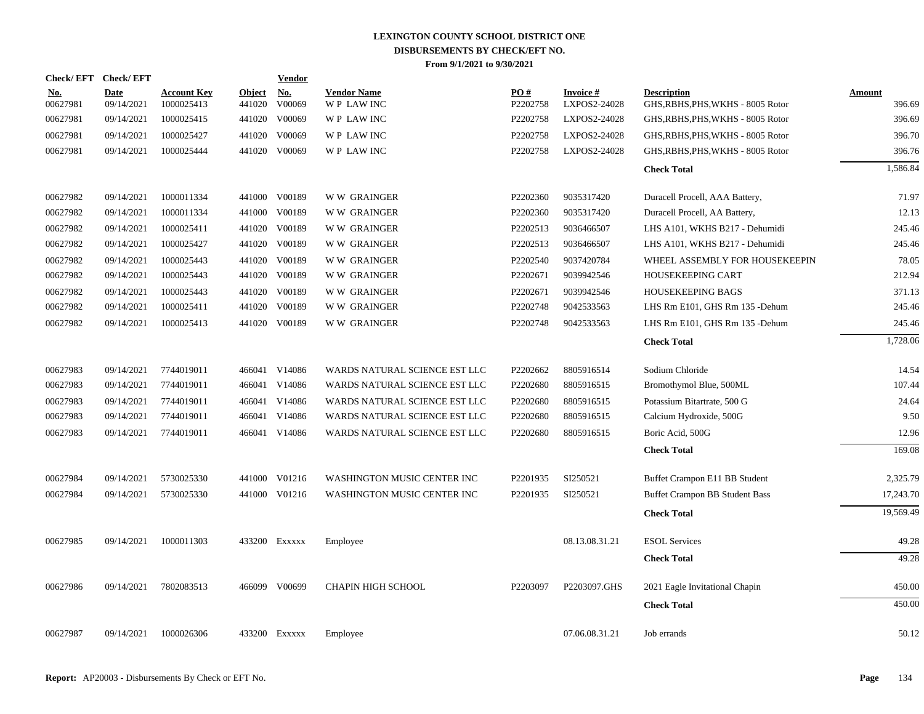| Check/EFT Check/EFT    |                           |                                  |                         | <b>Vendor</b> |                                        |                 |                                  |                                                         |                         |
|------------------------|---------------------------|----------------------------------|-------------------------|---------------|----------------------------------------|-----------------|----------------------------------|---------------------------------------------------------|-------------------------|
| <b>No.</b><br>00627981 | <b>Date</b><br>09/14/2021 | <b>Account Key</b><br>1000025413 | <b>Object</b><br>441020 | No.<br>V00069 | <b>Vendor Name</b><br><b>WP LAWINC</b> | PO#<br>P2202758 | <b>Invoice #</b><br>LXPOS2-24028 | <b>Description</b><br>GHS, RBHS, PHS, WKHS - 8005 Rotor | <b>Amount</b><br>396.69 |
| 00627981               | 09/14/2021                | 1000025415                       | 441020                  | V00069        | WP LAW INC                             | P2202758        | LXPOS2-24028                     | GHS, RBHS, PHS, WKHS - 8005 Rotor                       | 396.69                  |
| 00627981               | 09/14/2021                | 1000025427                       | 441020                  | V00069        | <b>WP LAWINC</b>                       | P2202758        | LXPOS2-24028                     | GHS, RBHS, PHS, WKHS - 8005 Rotor                       | 396.70                  |
| 00627981               | 09/14/2021                | 1000025444                       | 441020                  | V00069        | WP LAW INC                             | P2202758        | LXPOS2-24028                     | GHS, RBHS, PHS, WKHS - 8005 Rotor                       | 396.76                  |
|                        |                           |                                  |                         |               |                                        |                 |                                  | <b>Check Total</b>                                      | 1,586.84                |
| 00627982               | 09/14/2021                | 1000011334                       |                         | 441000 V00189 | <b>WW GRAINGER</b>                     | P2202360        | 9035317420                       | Duracell Procell, AAA Battery,                          | 71.97                   |
| 00627982               | 09/14/2021                | 1000011334                       | 441000                  | V00189        | <b>WW GRAINGER</b>                     | P2202360        | 9035317420                       | Duracell Procell, AA Battery,                           | 12.13                   |
| 00627982               | 09/14/2021                | 1000025411                       | 441020                  | V00189        | <b>WW GRAINGER</b>                     | P2202513        | 9036466507                       | LHS A101, WKHS B217 - Dehumidi                          | 245.46                  |
| 00627982               | 09/14/2021                | 1000025427                       | 441020                  | V00189        | <b>WW GRAINGER</b>                     | P2202513        | 9036466507                       | LHS A101, WKHS B217 - Dehumidi                          | 245.46                  |
| 00627982               | 09/14/2021                | 1000025443                       | 441020                  | V00189        | <b>WW GRAINGER</b>                     | P2202540        | 9037420784                       | WHEEL ASSEMBLY FOR HOUSEKEEPIN                          | 78.05                   |
| 00627982               | 09/14/2021                | 1000025443                       | 441020                  | V00189        | <b>WW GRAINGER</b>                     | P2202671        | 9039942546                       | HOUSEKEEPING CART                                       | 212.94                  |
| 00627982               | 09/14/2021                | 1000025443                       |                         | 441020 V00189 | <b>WW GRAINGER</b>                     | P2202671        | 9039942546                       | HOUSEKEEPING BAGS                                       | 371.13                  |
| 00627982               | 09/14/2021                | 1000025411                       | 441020                  | V00189        | <b>WW GRAINGER</b>                     | P2202748        | 9042533563                       | LHS Rm E101, GHS Rm 135 -Dehum                          | 245.46                  |
| 00627982               | 09/14/2021                | 1000025413                       |                         | 441020 V00189 | <b>WW GRAINGER</b>                     | P2202748        | 9042533563                       | LHS Rm E101, GHS Rm 135 - Dehum                         | 245.46                  |
|                        |                           |                                  |                         |               |                                        |                 |                                  | <b>Check Total</b>                                      | 1,728.06                |
| 00627983               | 09/14/2021                | 7744019011                       | 466041                  | V14086        | WARDS NATURAL SCIENCE EST LLC          | P2202662        | 8805916514                       | Sodium Chloride                                         | 14.54                   |
| 00627983               | 09/14/2021                | 7744019011                       | 466041                  | V14086        | WARDS NATURAL SCIENCE EST LLC          | P2202680        | 8805916515                       | Bromothymol Blue, 500ML                                 | 107.44                  |
| 00627983               | 09/14/2021                | 7744019011                       |                         | 466041 V14086 | WARDS NATURAL SCIENCE EST LLC          | P2202680        | 8805916515                       | Potassium Bitartrate, 500 G                             | 24.64                   |
| 00627983               | 09/14/2021                | 7744019011                       | 466041                  | V14086        | WARDS NATURAL SCIENCE EST LLC          | P2202680        | 8805916515                       | Calcium Hydroxide, 500G                                 | 9.50                    |
| 00627983               | 09/14/2021                | 7744019011                       |                         | 466041 V14086 | WARDS NATURAL SCIENCE EST LLC          | P2202680        | 8805916515                       | Boric Acid, 500G                                        | 12.96                   |
|                        |                           |                                  |                         |               |                                        |                 |                                  | <b>Check Total</b>                                      | 169.08                  |
| 00627984               | 09/14/2021                | 5730025330                       |                         | 441000 V01216 | WASHINGTON MUSIC CENTER INC            | P2201935        | SI250521                         | Buffet Crampon E11 BB Student                           | 2,325.79                |
| 00627984               | 09/14/2021                | 5730025330                       |                         | 441000 V01216 | WASHINGTON MUSIC CENTER INC            | P2201935        | SI250521                         | Buffet Crampon BB Student Bass                          | 17,243.70               |
|                        |                           |                                  |                         |               |                                        |                 |                                  | <b>Check Total</b>                                      | 19,569.49               |
| 00627985               | 09/14/2021                | 1000011303                       |                         | 433200 Exxxxx | Employee                               |                 | 08.13.08.31.21                   | <b>ESOL Services</b>                                    | 49.28                   |
|                        |                           |                                  |                         |               |                                        |                 |                                  | <b>Check Total</b>                                      | 49.28                   |
| 00627986               | 09/14/2021                | 7802083513                       |                         | 466099 V00699 | <b>CHAPIN HIGH SCHOOL</b>              | P2203097        | P2203097.GHS                     | 2021 Eagle Invitational Chapin                          | 450.00                  |
|                        |                           |                                  |                         |               |                                        |                 |                                  | <b>Check Total</b>                                      | 450.00                  |
| 00627987               | 09/14/2021                | 1000026306                       |                         | 433200 Exxxxx | Employee                               |                 | 07.06.08.31.21                   | Job errands                                             | 50.12                   |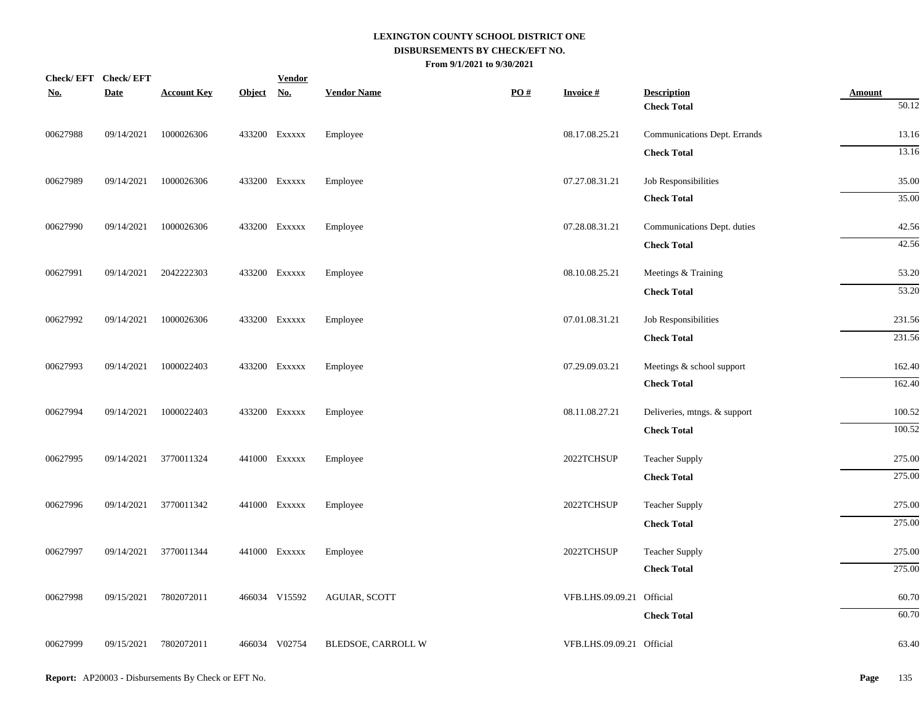| <u>No.</u> | Check/EFT Check/EFT<br><b>Date</b> | <b>Account Key</b> | Object No. | <b>Vendor</b> | <b>Vendor Name</b> | $\underline{PO}$ # | <b>Invoice#</b>           | <b>Description</b>           | <b>Amount</b>     |
|------------|------------------------------------|--------------------|------------|---------------|--------------------|--------------------|---------------------------|------------------------------|-------------------|
|            |                                    |                    |            |               |                    |                    |                           | <b>Check Total</b>           | $\frac{1}{50.12}$ |
| 00627988   | 09/14/2021                         | 1000026306         |            | 433200 Exxxxx | Employee           |                    | 08.17.08.25.21            | Communications Dept. Errands | 13.16             |
|            |                                    |                    |            |               |                    |                    |                           | <b>Check Total</b>           | 13.16             |
| 00627989   | 09/14/2021                         | 1000026306         |            | 433200 EXXXXX | Employee           |                    | 07.27.08.31.21            | Job Responsibilities         | 35.00             |
|            |                                    |                    |            |               |                    |                    |                           | <b>Check Total</b>           | 35.00             |
| 00627990   | 09/14/2021                         | 1000026306         |            | 433200 EXXXXX | Employee           |                    | 07.28.08.31.21            | Communications Dept. duties  | 42.56             |
|            |                                    |                    |            |               |                    |                    |                           | <b>Check Total</b>           | 42.56             |
| 00627991   | 09/14/2021                         | 2042222303         |            | 433200 Exxxxx | Employee           |                    | 08.10.08.25.21            | Meetings & Training          | 53.20             |
|            |                                    |                    |            |               |                    |                    |                           | <b>Check Total</b>           | 53.20             |
| 00627992   | 09/14/2021                         | 1000026306         |            | 433200 EXXXXX | Employee           |                    | 07.01.08.31.21            | Job Responsibilities         | 231.56            |
|            |                                    |                    |            |               |                    |                    |                           | <b>Check Total</b>           | 231.56            |
| 00627993   | 09/14/2021                         | 1000022403         |            | 433200 EXXXXX | Employee           |                    | 07.29.09.03.21            | Meetings & school support    | 162.40            |
|            |                                    |                    |            |               |                    |                    |                           | <b>Check Total</b>           | 162.40            |
| 00627994   | 09/14/2021                         | 1000022403         |            | 433200 EXXXXX | Employee           |                    | 08.11.08.27.21            | Deliveries, mtngs. & support | 100.52            |
|            |                                    |                    |            |               |                    |                    |                           | <b>Check Total</b>           | 100.52            |
| 00627995   | 09/14/2021                         | 3770011324         |            | 441000 Exxxxx | Employee           |                    | 2022TCHSUP                | <b>Teacher Supply</b>        | 275.00            |
|            |                                    |                    |            |               |                    |                    |                           | <b>Check Total</b>           | 275.00            |
| 00627996   | 09/14/2021                         | 3770011342         |            | 441000 Exxxxx | Employee           |                    | 2022TCHSUP                | <b>Teacher Supply</b>        | 275.00            |
|            |                                    |                    |            |               |                    |                    |                           | <b>Check Total</b>           | 275.00            |
| 00627997   | 09/14/2021                         | 3770011344         |            | 441000 Exxxxx | Employee           |                    | 2022TCHSUP                | <b>Teacher Supply</b>        | 275.00            |
|            |                                    |                    |            |               |                    |                    |                           | <b>Check Total</b>           | 275.00            |
| 00627998   | 09/15/2021                         | 7802072011         |            | 466034 V15592 | AGUIAR, SCOTT      |                    | VFB.LHS.09.09.21 Official |                              | 60.70             |
|            |                                    |                    |            |               |                    |                    |                           | <b>Check Total</b>           | 60.70             |
| 00627999   | 09/15/2021                         | 7802072011         |            | 466034 V02754 | BLEDSOE, CARROLL W |                    | VFB.LHS.09.09.21 Official |                              | 63.40             |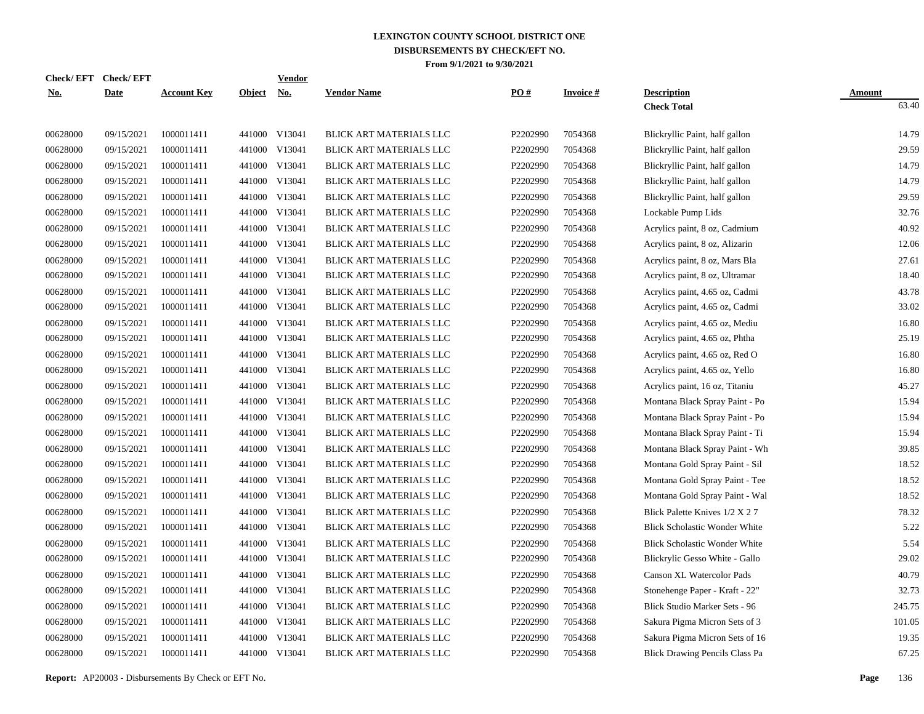|            | Check/EFT Check/EFT |                    |               | <b>Vendor</b> |                         |          |                 |                                      |               |
|------------|---------------------|--------------------|---------------|---------------|-------------------------|----------|-----------------|--------------------------------------|---------------|
| <u>No.</u> | <b>Date</b>         | <b>Account Key</b> | <u>Object</u> | <u>No.</u>    | <b>Vendor Name</b>      | PO#      | <b>Invoice#</b> | <b>Description</b>                   | <b>Amount</b> |
|            |                     |                    |               |               |                         |          |                 | <b>Check Total</b>                   | 63.40         |
| 00628000   | 09/15/2021          | 1000011411         |               | 441000 V13041 | BLICK ART MATERIALS LLC | P2202990 | 7054368         | Blickryllic Paint, half gallon       | 14.79         |
| 00628000   | 09/15/2021          | 1000011411         |               | 441000 V13041 | BLICK ART MATERIALS LLC | P2202990 | 7054368         | Blickryllic Paint, half gallon       | 29.59         |
| 00628000   | 09/15/2021          | 1000011411         |               | 441000 V13041 | BLICK ART MATERIALS LLC | P2202990 | 7054368         | Blickryllic Paint, half gallon       | 14.79         |
| 00628000   | 09/15/2021          | 1000011411         |               | 441000 V13041 | BLICK ART MATERIALS LLC | P2202990 | 7054368         | Blickryllic Paint, half gallon       | 14.79         |
| 00628000   | 09/15/2021          | 1000011411         | 441000        | V13041        | BLICK ART MATERIALS LLC | P2202990 | 7054368         | Blickryllic Paint, half gallon       | 29.59         |
| 00628000   | 09/15/2021          | 1000011411         |               | 441000 V13041 | BLICK ART MATERIALS LLC | P2202990 | 7054368         | Lockable Pump Lids                   | 32.76         |
| 00628000   | 09/15/2021          | 1000011411         | 441000        | V13041        | BLICK ART MATERIALS LLC | P2202990 | 7054368         | Acrylics paint, 8 oz, Cadmium        | 40.92         |
| 00628000   | 09/15/2021          | 1000011411         |               | 441000 V13041 | BLICK ART MATERIALS LLC | P2202990 | 7054368         | Acrylics paint, 8 oz, Alizarin       | 12.06         |
| 00628000   | 09/15/2021          | 1000011411         | 441000        | V13041        | BLICK ART MATERIALS LLC | P2202990 | 7054368         | Acrylics paint, 8 oz, Mars Bla       | 27.61         |
| 00628000   | 09/15/2021          | 1000011411         |               | 441000 V13041 | BLICK ART MATERIALS LLC | P2202990 | 7054368         | Acrylics paint, 8 oz, Ultramar       | 18.40         |
| 00628000   | 09/15/2021          | 1000011411         |               | 441000 V13041 | BLICK ART MATERIALS LLC | P2202990 | 7054368         | Acrylics paint, 4.65 oz, Cadmi       | 43.78         |
| 00628000   | 09/15/2021          | 1000011411         |               | 441000 V13041 | BLICK ART MATERIALS LLC | P2202990 | 7054368         | Acrylics paint, 4.65 oz, Cadmi       | 33.02         |
| 00628000   | 09/15/2021          | 1000011411         |               | 441000 V13041 | BLICK ART MATERIALS LLC | P2202990 | 7054368         | Acrylics paint, 4.65 oz, Mediu       | 16.80         |
| 00628000   | 09/15/2021          | 1000011411         |               | 441000 V13041 | BLICK ART MATERIALS LLC | P2202990 | 7054368         | Acrylics paint, 4.65 oz, Phtha       | 25.19         |
| 00628000   | 09/15/2021          | 1000011411         | 441000        | V13041        | BLICK ART MATERIALS LLC | P2202990 | 7054368         | Acrylics paint, 4.65 oz, Red O       | 16.80         |
| 00628000   | 09/15/2021          | 1000011411         |               | 441000 V13041 | BLICK ART MATERIALS LLC | P2202990 | 7054368         | Acrylics paint, 4.65 oz, Yello       | 16.80         |
| 00628000   | 09/15/2021          | 1000011411         | 441000        | V13041        | BLICK ART MATERIALS LLC | P2202990 | 7054368         | Acrylics paint, 16 oz, Titaniu       | 45.27         |
| 00628000   | 09/15/2021          | 1000011411         |               | 441000 V13041 | BLICK ART MATERIALS LLC | P2202990 | 7054368         | Montana Black Spray Paint - Po       | 15.94         |
| 00628000   | 09/15/2021          | 1000011411         | 441000        | V13041        | BLICK ART MATERIALS LLC | P2202990 | 7054368         | Montana Black Spray Paint - Po       | 15.94         |
| 00628000   | 09/15/2021          | 1000011411         |               | 441000 V13041 | BLICK ART MATERIALS LLC | P2202990 | 7054368         | Montana Black Spray Paint - Ti       | 15.94         |
| 00628000   | 09/15/2021          | 1000011411         | 441000        | V13041        | BLICK ART MATERIALS LLC | P2202990 | 7054368         | Montana Black Spray Paint - Wh       | 39.85         |
| 00628000   | 09/15/2021          | 1000011411         |               | 441000 V13041 | BLICK ART MATERIALS LLC | P2202990 | 7054368         | Montana Gold Spray Paint - Sil       | 18.52         |
| 00628000   | 09/15/2021          | 1000011411         | 441000        | V13041        | BLICK ART MATERIALS LLC | P2202990 | 7054368         | Montana Gold Spray Paint - Tee       | 18.52         |
| 00628000   | 09/15/2021          | 1000011411         |               | 441000 V13041 | BLICK ART MATERIALS LLC | P2202990 | 7054368         | Montana Gold Spray Paint - Wal       | 18.52         |
| 00628000   | 09/15/2021          | 1000011411         | 441000        | V13041        | BLICK ART MATERIALS LLC | P2202990 | 7054368         | Blick Palette Knives 1/2 X 2 7       | 78.32         |
| 00628000   | 09/15/2021          | 1000011411         | 441000        | V13041        | BLICK ART MATERIALS LLC | P2202990 | 7054368         | <b>Blick Scholastic Wonder White</b> | 5.22          |
| 00628000   | 09/15/2021          | 1000011411         | 441000        | V13041        | BLICK ART MATERIALS LLC | P2202990 | 7054368         | <b>Blick Scholastic Wonder White</b> | 5.54          |
| 00628000   | 09/15/2021          | 1000011411         | 441000        | V13041        | BLICK ART MATERIALS LLC | P2202990 | 7054368         | Blickrylic Gesso White - Gallo       | 29.02         |
| 00628000   | 09/15/2021          | 1000011411         | 441000        | V13041        | BLICK ART MATERIALS LLC | P2202990 | 7054368         | Canson XL Watercolor Pads            | 40.79         |
| 00628000   | 09/15/2021          | 1000011411         | 441000        | V13041        | BLICK ART MATERIALS LLC | P2202990 | 7054368         | Stonehenge Paper - Kraft - 22"       | 32.73         |
| 00628000   | 09/15/2021          | 1000011411         | 441000        | V13041        | BLICK ART MATERIALS LLC | P2202990 | 7054368         | Blick Studio Marker Sets - 96        | 245.75        |
| 00628000   | 09/15/2021          | 1000011411         |               | 441000 V13041 | BLICK ART MATERIALS LLC | P2202990 | 7054368         | Sakura Pigma Micron Sets of 3        | 101.05        |
| 00628000   | 09/15/2021          | 1000011411         | 441000        | V13041        | BLICK ART MATERIALS LLC | P2202990 | 7054368         | Sakura Pigma Micron Sets of 16       | 19.35         |
| 00628000   | 09/15/2021          | 1000011411         |               | 441000 V13041 | BLICK ART MATERIALS LLC | P2202990 | 7054368         | Blick Drawing Pencils Class Pa       | 67.25         |

**Report:** AP20003 - Disbursements By Check or EFT No. **Page** 136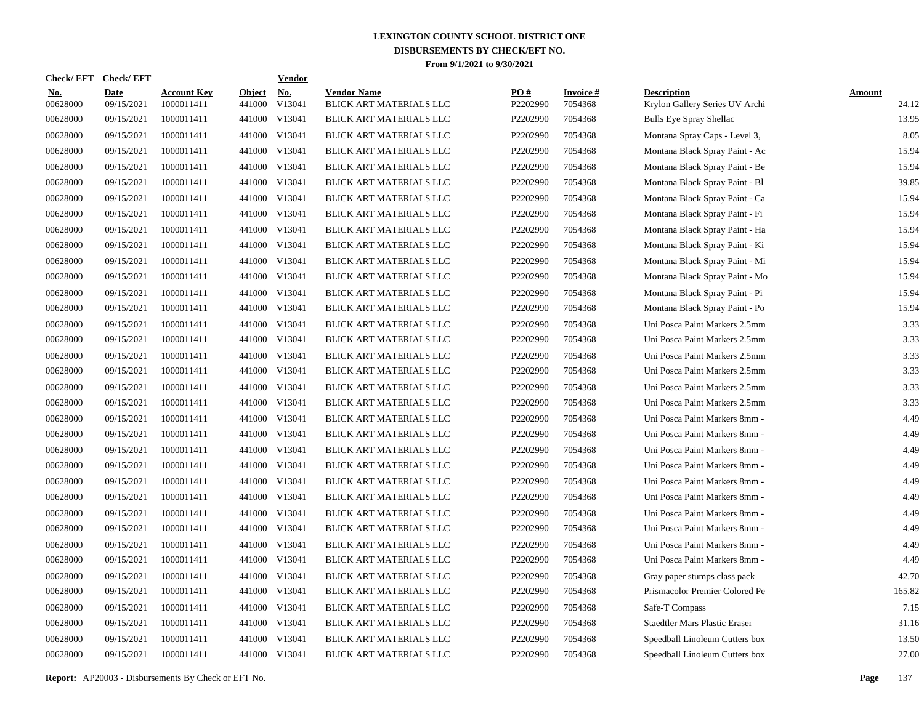| <b>Check/EFT</b>       | <b>Check/EFT</b>          |                                  |                         | <b>Vendor</b>        |                                               |                 |                            |                                                      |                        |
|------------------------|---------------------------|----------------------------------|-------------------------|----------------------|-----------------------------------------------|-----------------|----------------------------|------------------------------------------------------|------------------------|
| <u>No.</u><br>00628000 | <b>Date</b><br>09/15/2021 | <b>Account Key</b><br>1000011411 | <b>Object</b><br>441000 | <u>No.</u><br>V13041 | <b>Vendor Name</b><br>BLICK ART MATERIALS LLC | PO#<br>P2202990 | <b>Invoice#</b><br>7054368 | <b>Description</b><br>Krylon Gallery Series UV Archi | <b>Amount</b><br>24.12 |
| 00628000               | 09/15/2021                | 1000011411                       | 441000                  | V13041               | BLICK ART MATERIALS LLC                       | P2202990        | 7054368                    | <b>Bulls Eye Spray Shellac</b>                       | 13.95                  |
| 00628000               | 09/15/2021                | 1000011411                       | 441000                  | V13041               | BLICK ART MATERIALS LLC                       | P2202990        | 7054368                    | Montana Spray Caps - Level 3,                        | 8.05                   |
| 00628000               | 09/15/2021                | 1000011411                       | 441000                  | V13041               | BLICK ART MATERIALS LLC                       | P2202990        | 7054368                    | Montana Black Spray Paint - Ac                       | 15.94                  |
| 00628000               | 09/15/2021                | 1000011411                       | 441000                  | V13041               | BLICK ART MATERIALS LLC                       | P2202990        | 7054368                    | Montana Black Spray Paint - Be                       | 15.94                  |
| 00628000               | 09/15/2021                | 1000011411                       |                         | 441000 V13041        | BLICK ART MATERIALS LLC                       | P2202990        | 7054368                    | Montana Black Spray Paint - Bl                       | 39.85                  |
| 00628000               | 09/15/2021                | 1000011411                       |                         | 441000 V13041        | BLICK ART MATERIALS LLC                       | P2202990        | 7054368                    | Montana Black Spray Paint - Ca                       | 15.94                  |
| 00628000               | 09/15/2021                | 1000011411                       |                         | 441000 V13041        | BLICK ART MATERIALS LLC                       | P2202990        | 7054368                    | Montana Black Spray Paint - Fi                       | 15.94                  |
| 00628000               | 09/15/2021                | 1000011411                       |                         | 441000 V13041        | BLICK ART MATERIALS LLC                       | P2202990        | 7054368                    | Montana Black Spray Paint - Ha                       | 15.94                  |
| 00628000               | 09/15/2021                | 1000011411                       | 441000                  | V13041               | BLICK ART MATERIALS LLC                       | P2202990        | 7054368                    | Montana Black Spray Paint - Ki                       | 15.94                  |
| 00628000               | 09/15/2021                | 1000011411                       | 441000                  | V13041               | BLICK ART MATERIALS LLC                       | P2202990        | 7054368                    | Montana Black Spray Paint - Mi                       | 15.94                  |
| 00628000               | 09/15/2021                | 1000011411                       | 441000                  | V13041               | BLICK ART MATERIALS LLC                       | P2202990        | 7054368                    | Montana Black Spray Paint - Mo                       | 15.94                  |
| 00628000               | 09/15/2021                | 1000011411                       | 441000                  | V13041               | BLICK ART MATERIALS LLC                       | P2202990        | 7054368                    | Montana Black Spray Paint - Pi                       | 15.94                  |
| 00628000               | 09/15/2021                | 1000011411                       | 441000                  | V13041               | BLICK ART MATERIALS LLC                       | P2202990        | 7054368                    | Montana Black Spray Paint - Po                       | 15.94                  |
| 00628000               | 09/15/2021                | 1000011411                       | 441000                  | V13041               | BLICK ART MATERIALS LLC                       | P2202990        | 7054368                    | Uni Posca Paint Markers 2.5mm                        | 3.33                   |
| 00628000               | 09/15/2021                | 1000011411                       | 441000                  | V13041               | BLICK ART MATERIALS LLC                       | P2202990        | 7054368                    | Uni Posca Paint Markers 2.5mm                        | 3.33                   |
| 00628000               | 09/15/2021                | 1000011411                       | 441000                  | V13041               | BLICK ART MATERIALS LLC                       | P2202990        | 7054368                    | Uni Posca Paint Markers 2.5mm                        | 3.33                   |
| 00628000               | 09/15/2021                | 1000011411                       | 441000                  | V13041               | BLICK ART MATERIALS LLC                       | P2202990        | 7054368                    | Uni Posca Paint Markers 2.5mm                        | 3.33                   |
| 00628000               | 09/15/2021                | 1000011411                       | 441000                  | V13041               | BLICK ART MATERIALS LLC                       | P2202990        | 7054368                    | Uni Posca Paint Markers 2.5mm                        | 3.33                   |
| 00628000               | 09/15/2021                | 1000011411                       | 441000                  | V13041               | BLICK ART MATERIALS LLC                       | P2202990        | 7054368                    | Uni Posca Paint Markers 2.5mm                        | 3.33                   |
| 00628000               | 09/15/2021                | 1000011411                       | 441000                  | V13041               | BLICK ART MATERIALS LLC                       | P2202990        | 7054368                    | Uni Posca Paint Markers 8mm -                        | 4.49                   |
| 00628000               | 09/15/2021                | 1000011411                       | 441000                  | V13041               | BLICK ART MATERIALS LLC                       | P2202990        | 7054368                    | Uni Posca Paint Markers 8mm -                        | 4.49                   |
| 00628000               | 09/15/2021                | 1000011411                       | 441000                  | V13041               | BLICK ART MATERIALS LLC                       | P2202990        | 7054368                    | Uni Posca Paint Markers 8mm -                        | 4.49                   |
| 00628000               | 09/15/2021                | 1000011411                       | 441000                  | V13041               | BLICK ART MATERIALS LLC                       | P2202990        | 7054368                    | Uni Posca Paint Markers 8mm -                        | 4.49                   |
| 00628000               | 09/15/2021                | 1000011411                       | 441000                  | V13041               | BLICK ART MATERIALS LLC                       | P2202990        | 7054368                    | Uni Posca Paint Markers 8mm -                        | 4.49                   |
| 00628000               | 09/15/2021                | 1000011411                       | 441000                  | V13041               | BLICK ART MATERIALS LLC                       | P2202990        | 7054368                    | Uni Posca Paint Markers 8mm -                        | 4.49                   |
| 00628000               | 09/15/2021                | 1000011411                       | 441000                  | V13041               | BLICK ART MATERIALS LLC                       | P2202990        | 7054368                    | Uni Posca Paint Markers 8mm -                        | 4.49                   |
| 00628000               | 09/15/2021                | 1000011411                       | 441000                  | V13041               | BLICK ART MATERIALS LLC                       | P2202990        | 7054368                    | Uni Posca Paint Markers 8mm -                        | 4.49                   |
| 00628000               | 09/15/2021                | 1000011411                       | 441000                  | V13041               | BLICK ART MATERIALS LLC                       | P2202990        | 7054368                    | Uni Posca Paint Markers 8mm -                        | 4.49                   |
| 00628000               | 09/15/2021                | 1000011411                       | 441000                  | V13041               | BLICK ART MATERIALS LLC                       | P2202990        | 7054368                    | Uni Posca Paint Markers 8mm -                        | 4.49                   |
| 00628000               | 09/15/2021                | 1000011411                       | 441000                  | V13041               | BLICK ART MATERIALS LLC                       | P2202990        | 7054368                    | Gray paper stumps class pack                         | 42.70                  |
| 00628000               | 09/15/2021                | 1000011411                       | 441000                  | V13041               | BLICK ART MATERIALS LLC                       | P2202990        | 7054368                    | Prismacolor Premier Colored Pe                       | 165.82                 |
| 00628000               | 09/15/2021                | 1000011411                       | 441000                  | V13041               | BLICK ART MATERIALS LLC                       | P2202990        | 7054368                    | Safe-T Compass                                       | 7.15                   |
| 00628000               | 09/15/2021                | 1000011411                       | 441000                  | V13041               | BLICK ART MATERIALS LLC                       | P2202990        | 7054368                    | <b>Staedtler Mars Plastic Eraser</b>                 | 31.16                  |
| 00628000               | 09/15/2021                | 1000011411                       | 441000                  | V13041               | BLICK ART MATERIALS LLC                       | P2202990        | 7054368                    | Speedball Linoleum Cutters box                       | 13.50                  |
| 00628000               | 09/15/2021                | 1000011411                       |                         | 441000 V13041        | BLICK ART MATERIALS LLC                       | P2202990        | 7054368                    | Speedball Linoleum Cutters box                       | 27.00                  |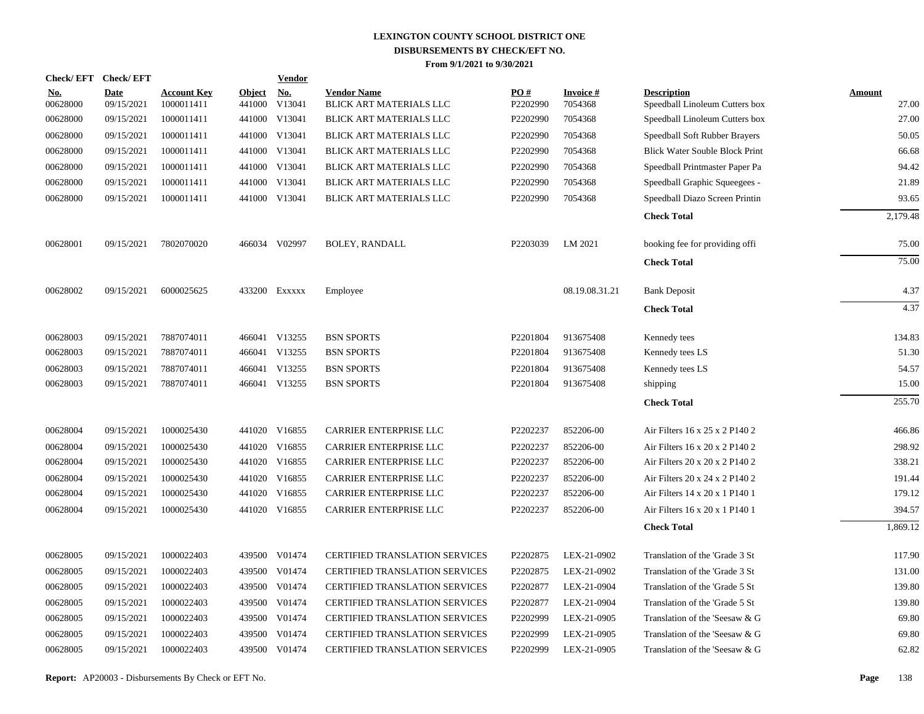|                        | Check/EFT Check/EFT       |                                  |                      | <b>Vendor</b> |                                               |                               |                            |                                                      |                        |
|------------------------|---------------------------|----------------------------------|----------------------|---------------|-----------------------------------------------|-------------------------------|----------------------------|------------------------------------------------------|------------------------|
| <u>No.</u><br>00628000 | <b>Date</b><br>09/15/2021 | <b>Account Key</b><br>1000011411 | Object No.<br>441000 | V13041        | <b>Vendor Name</b><br>BLICK ART MATERIALS LLC | $\underline{PO#}$<br>P2202990 | <b>Invoice#</b><br>7054368 | <b>Description</b><br>Speedball Linoleum Cutters box | <b>Amount</b><br>27.00 |
| 00628000               | 09/15/2021                | 1000011411                       |                      | 441000 V13041 | BLICK ART MATERIALS LLC                       | P2202990                      | 7054368                    | Speedball Linoleum Cutters box                       | 27.00                  |
| 00628000               | 09/15/2021                | 1000011411                       |                      | 441000 V13041 | <b>BLICK ART MATERIALS LLC</b>                | P2202990                      | 7054368                    | Speedball Soft Rubber Brayers                        | 50.05                  |
| 00628000               | 09/15/2021                | 1000011411                       |                      | 441000 V13041 | BLICK ART MATERIALS LLC                       | P2202990                      | 7054368                    | <b>Blick Water Souble Block Print</b>                | 66.68                  |
| 00628000               | 09/15/2021                | 1000011411                       |                      | 441000 V13041 | BLICK ART MATERIALS LLC                       | P2202990                      | 7054368                    | Speedball Printmaster Paper Pa                       | 94.42                  |
| 00628000               | 09/15/2021                | 1000011411                       |                      | 441000 V13041 | BLICK ART MATERIALS LLC                       | P2202990                      | 7054368                    | Speedball Graphic Squeegees -                        | 21.89                  |
| 00628000               | 09/15/2021                | 1000011411                       |                      | 441000 V13041 | <b>BLICK ART MATERIALS LLC</b>                | P2202990                      | 7054368                    | Speedball Diazo Screen Printin                       | 93.65                  |
|                        |                           |                                  |                      |               |                                               |                               |                            | <b>Check Total</b>                                   | 2,179.48               |
| 00628001               | 09/15/2021                | 7802070020                       |                      | 466034 V02997 | <b>BOLEY, RANDALL</b>                         | P2203039                      | LM 2021                    | booking fee for providing offi                       | 75.00                  |
|                        |                           |                                  |                      |               |                                               |                               |                            | <b>Check Total</b>                                   | 75.00                  |
| 00628002               | 09/15/2021                | 6000025625                       |                      | 433200 Exxxxx | Employee                                      |                               | 08.19.08.31.21             | <b>Bank Deposit</b>                                  | 4.37                   |
|                        |                           |                                  |                      |               |                                               |                               |                            | <b>Check Total</b>                                   | 4.37                   |
| 00628003               | 09/15/2021                | 7887074011                       |                      | 466041 V13255 | <b>BSN SPORTS</b>                             | P2201804                      | 913675408                  | Kennedy tees                                         | 134.83                 |
| 00628003               | 09/15/2021                | 7887074011                       |                      | 466041 V13255 | <b>BSN SPORTS</b>                             | P2201804                      | 913675408                  | Kennedy tees LS                                      | 51.30                  |
| 00628003               | 09/15/2021                | 7887074011                       |                      | 466041 V13255 | <b>BSN SPORTS</b>                             | P2201804                      | 913675408                  | Kennedy tees LS                                      | 54.57                  |
| 00628003               | 09/15/2021                | 7887074011                       |                      | 466041 V13255 | <b>BSN SPORTS</b>                             | P2201804                      | 913675408                  | shipping                                             | 15.00                  |
|                        |                           |                                  |                      |               |                                               |                               |                            | <b>Check Total</b>                                   | 255.70                 |
| 00628004               | 09/15/2021                | 1000025430                       |                      | 441020 V16855 | <b>CARRIER ENTERPRISE LLC</b>                 | P2202237                      | 852206-00                  | Air Filters 16 x 25 x 2 P140 2                       | 466.86                 |
| 00628004               | 09/15/2021                | 1000025430                       |                      | 441020 V16855 | CARRIER ENTERPRISE LLC                        | P2202237                      | 852206-00                  | Air Filters 16 x 20 x 2 P140 2                       | 298.92                 |
| 00628004               | 09/15/2021                | 1000025430                       |                      | 441020 V16855 | <b>CARRIER ENTERPRISE LLC</b>                 | P2202237                      | 852206-00                  | Air Filters 20 x 20 x 2 P140 2                       | 338.21                 |
| 00628004               | 09/15/2021                | 1000025430                       | 441020               | V16855        | CARRIER ENTERPRISE LLC                        | P2202237                      | 852206-00                  | Air Filters 20 x 24 x 2 P140 2                       | 191.44                 |
| 00628004               | 09/15/2021                | 1000025430                       |                      | 441020 V16855 | <b>CARRIER ENTERPRISE LLC</b>                 | P2202237                      | 852206-00                  | Air Filters 14 x 20 x 1 P140 1                       | 179.12                 |
| 00628004               | 09/15/2021                | 1000025430                       |                      | 441020 V16855 | CARRIER ENTERPRISE LLC                        | P2202237                      | 852206-00                  | Air Filters 16 x 20 x 1 P140 1                       | 394.57                 |
|                        |                           |                                  |                      |               |                                               |                               |                            | <b>Check Total</b>                                   | 1,869.12               |
| 00628005               | 09/15/2021                | 1000022403                       |                      | 439500 V01474 | <b>CERTIFIED TRANSLATION SERVICES</b>         | P2202875                      | LEX-21-0902                | Translation of the 'Grade 3 St                       | 117.90                 |
| 00628005               | 09/15/2021                | 1000022403                       | 439500               | V01474        | <b>CERTIFIED TRANSLATION SERVICES</b>         | P2202875                      | LEX-21-0902                | Translation of the 'Grade 3 St                       | 131.00                 |
| 00628005               | 09/15/2021                | 1000022403                       |                      | 439500 V01474 | <b>CERTIFIED TRANSLATION SERVICES</b>         | P2202877                      | LEX-21-0904                | Translation of the 'Grade 5 St                       | 139.80                 |
| 00628005               | 09/15/2021                | 1000022403                       | 439500               | V01474        | <b>CERTIFIED TRANSLATION SERVICES</b>         | P2202877                      | LEX-21-0904                | Translation of the 'Grade 5 St                       | 139.80                 |
| 00628005               | 09/15/2021                | 1000022403                       |                      | 439500 V01474 | <b>CERTIFIED TRANSLATION SERVICES</b>         | P2202999                      | LEX-21-0905                | Translation of the 'Seesaw & G                       | 69.80                  |
| 00628005               | 09/15/2021                | 1000022403                       | 439500               | V01474        | <b>CERTIFIED TRANSLATION SERVICES</b>         | P2202999                      | LEX-21-0905                | Translation of the 'Seesaw & G                       | 69.80                  |
| 00628005               | 09/15/2021                | 1000022403                       |                      | 439500 V01474 | <b>CERTIFIED TRANSLATION SERVICES</b>         | P2202999                      | LEX-21-0905                | Translation of the 'Seesaw & G                       | 62.82                  |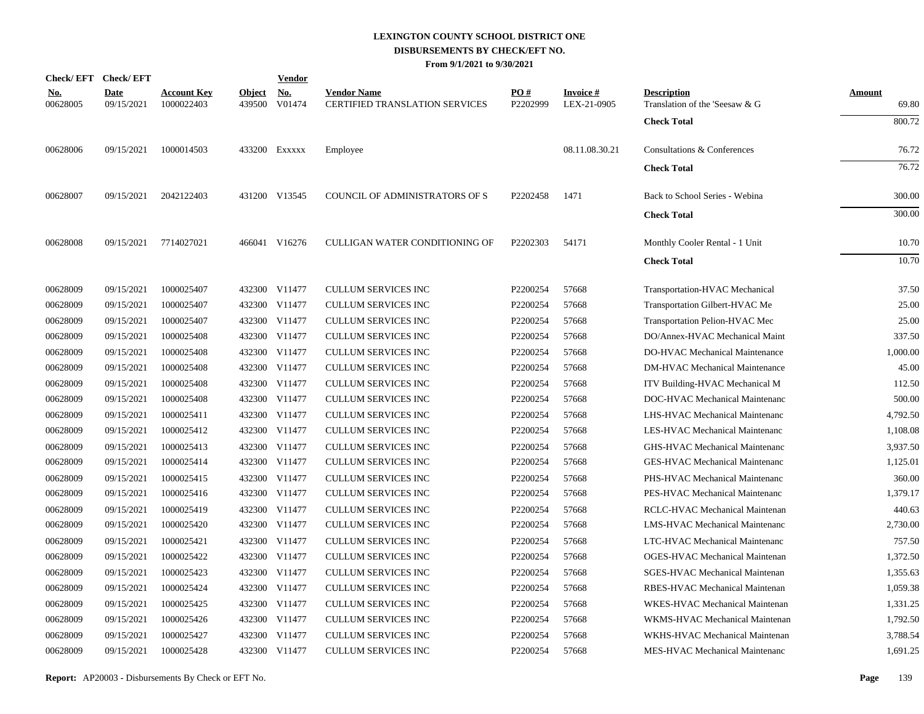|                        | Check/EFT Check/EFT       |                                  |                         | <b>Vendor</b> |                                                             |                 |                          |                                                      |                 |
|------------------------|---------------------------|----------------------------------|-------------------------|---------------|-------------------------------------------------------------|-----------------|--------------------------|------------------------------------------------------|-----------------|
| <u>No.</u><br>00628005 | <b>Date</b><br>09/15/2021 | <b>Account Key</b><br>1000022403 | <b>Object</b><br>439500 | No.<br>V01474 | <b>Vendor Name</b><br><b>CERTIFIED TRANSLATION SERVICES</b> | PO#<br>P2202999 | Invoice #<br>LEX-21-0905 | <b>Description</b><br>Translation of the 'Seesaw & G | Amount<br>69.80 |
|                        |                           |                                  |                         |               |                                                             |                 |                          | <b>Check Total</b>                                   | 800.72          |
| 00628006               | 09/15/2021                | 1000014503                       |                         | 433200 Exxxxx | Employee                                                    |                 | 08.11.08.30.21           | Consultations & Conferences                          | 76.72           |
|                        |                           |                                  |                         |               |                                                             |                 |                          | <b>Check Total</b>                                   | 76.72           |
| 00628007               | 09/15/2021                | 2042122403                       |                         | 431200 V13545 | COUNCIL OF ADMINISTRATORS OF S                              | P2202458        | 1471                     | Back to School Series - Webina                       | 300.00          |
|                        |                           |                                  |                         |               |                                                             |                 |                          | <b>Check Total</b>                                   | 300.00          |
| 00628008               | 09/15/2021                | 7714027021                       |                         | 466041 V16276 | CULLIGAN WATER CONDITIONING OF                              | P2202303        | 54171                    | Monthly Cooler Rental - 1 Unit                       | 10.70           |
|                        |                           |                                  |                         |               |                                                             |                 |                          | <b>Check Total</b>                                   | 10.70           |
| 00628009               | 09/15/2021                | 1000025407                       |                         | 432300 V11477 | <b>CULLUM SERVICES INC</b>                                  | P2200254        | 57668                    | Transportation-HVAC Mechanical                       | 37.50           |
| 00628009               | 09/15/2021                | 1000025407                       |                         | 432300 V11477 | <b>CULLUM SERVICES INC</b>                                  | P2200254        | 57668                    | Transportation Gilbert-HVAC Me                       | 25.00           |
| 00628009               | 09/15/2021                | 1000025407                       |                         | 432300 V11477 | <b>CULLUM SERVICES INC</b>                                  | P2200254        | 57668                    | Transportation Pelion-HVAC Mec                       | 25.00           |
| 00628009               | 09/15/2021                | 1000025408                       |                         | 432300 V11477 | <b>CULLUM SERVICES INC</b>                                  | P2200254        | 57668                    | DO/Annex-HVAC Mechanical Maint                       | 337.50          |
| 00628009               | 09/15/2021                | 1000025408                       |                         | 432300 V11477 | <b>CULLUM SERVICES INC</b>                                  | P2200254        | 57668                    | DO-HVAC Mechanical Maintenance                       | 1,000.00        |
| 00628009               | 09/15/2021                | 1000025408                       | 432300                  | V11477        | <b>CULLUM SERVICES INC</b>                                  | P2200254        | 57668                    | <b>DM-HVAC</b> Mechanical Maintenance                | 45.00           |
| 00628009               | 09/15/2021                | 1000025408                       | 432300                  | V11477        | <b>CULLUM SERVICES INC</b>                                  | P2200254        | 57668                    | ITV Building-HVAC Mechanical M                       | 112.50          |
| 00628009               | 09/15/2021                | 1000025408                       | 432300                  | V11477        | <b>CULLUM SERVICES INC</b>                                  | P2200254        | 57668                    | DOC-HVAC Mechanical Maintenanc                       | 500.00          |
| 00628009               | 09/15/2021                | 1000025411                       |                         | 432300 V11477 | <b>CULLUM SERVICES INC</b>                                  | P2200254        | 57668                    | LHS-HVAC Mechanical Maintenanc                       | 4,792.50        |
| 00628009               | 09/15/2021                | 1000025412                       | 432300                  | V11477        | <b>CULLUM SERVICES INC</b>                                  | P2200254        | 57668                    | LES-HVAC Mechanical Maintenanc                       | 1,108.08        |
| 00628009               | 09/15/2021                | 1000025413                       |                         | 432300 V11477 | <b>CULLUM SERVICES INC</b>                                  | P2200254        | 57668                    | GHS-HVAC Mechanical Maintenanc                       | 3,937.50        |
| 00628009               | 09/15/2021                | 1000025414                       |                         | 432300 V11477 | <b>CULLUM SERVICES INC</b>                                  | P2200254        | 57668                    | <b>GES-HVAC Mechanical Maintenanc</b>                | 1,125.01        |
| 00628009               | 09/15/2021                | 1000025415                       |                         | 432300 V11477 | <b>CULLUM SERVICES INC</b>                                  | P2200254        | 57668                    | PHS-HVAC Mechanical Maintenanc                       | 360.00          |
| 00628009               | 09/15/2021                | 1000025416                       | 432300                  | V11477        | <b>CULLUM SERVICES INC</b>                                  | P2200254        | 57668                    | PES-HVAC Mechanical Maintenanc                       | 1,379.17        |
| 00628009               | 09/15/2021                | 1000025419                       | 432300                  | V11477        | <b>CULLUM SERVICES INC</b>                                  | P2200254        | 57668                    | RCLC-HVAC Mechanical Maintenan                       | 440.63          |
| 00628009               | 09/15/2021                | 1000025420                       |                         | 432300 V11477 | <b>CULLUM SERVICES INC</b>                                  | P2200254        | 57668                    | <b>LMS-HVAC Mechanical Maintenanc</b>                | 2,730.00        |
| 00628009               | 09/15/2021                | 1000025421                       | 432300                  | V11477        | <b>CULLUM SERVICES INC</b>                                  | P2200254        | 57668                    | LTC-HVAC Mechanical Maintenanc                       | 757.50          |
| 00628009               | 09/15/2021                | 1000025422                       |                         | 432300 V11477 | <b>CULLUM SERVICES INC</b>                                  | P2200254        | 57668                    | OGES-HVAC Mechanical Maintenan                       | 1,372.50        |
| 00628009               | 09/15/2021                | 1000025423                       | 432300                  | V11477        | <b>CULLUM SERVICES INC</b>                                  | P2200254        | 57668                    | <b>SGES-HVAC Mechanical Maintenan</b>                | 1,355.63        |
| 00628009               | 09/15/2021                | 1000025424                       |                         | 432300 V11477 | <b>CULLUM SERVICES INC</b>                                  | P2200254        | 57668                    | RBES-HVAC Mechanical Maintenan                       | 1,059.38        |
| 00628009               | 09/15/2021                | 1000025425                       | 432300                  | V11477        | <b>CULLUM SERVICES INC</b>                                  | P2200254        | 57668                    | WKES-HVAC Mechanical Maintenan                       | 1,331.25        |
| 00628009               | 09/15/2021                | 1000025426                       |                         | 432300 V11477 | <b>CULLUM SERVICES INC</b>                                  | P2200254        | 57668                    | WKMS-HVAC Mechanical Maintenan                       | 1,792.50        |
| 00628009               | 09/15/2021                | 1000025427                       | 432300                  | V11477        | <b>CULLUM SERVICES INC</b>                                  | P2200254        | 57668                    | WKHS-HVAC Mechanical Maintenan                       | 3,788.54        |
| 00628009               | 09/15/2021                | 1000025428                       |                         | 432300 V11477 | <b>CULLUM SERVICES INC</b>                                  | P2200254        | 57668                    | MES-HVAC Mechanical Maintenanc                       | 1,691.25        |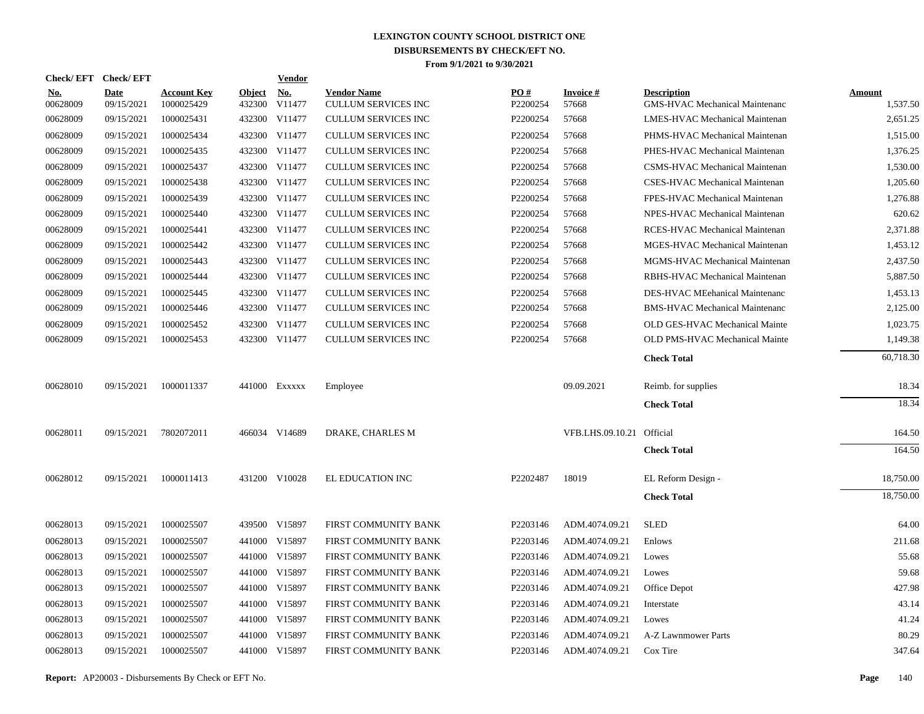|                        | Check/EFT Check/EFT       |                                  |                         | <b>Vendor</b>        |                                                  |                 |                           |                                                             |                           |
|------------------------|---------------------------|----------------------------------|-------------------------|----------------------|--------------------------------------------------|-----------------|---------------------------|-------------------------------------------------------------|---------------------------|
| <u>No.</u><br>00628009 | <b>Date</b><br>09/15/2021 | <b>Account Key</b><br>1000025429 | <b>Object</b><br>432300 | <u>No.</u><br>V11477 | <b>Vendor Name</b><br><b>CULLUM SERVICES INC</b> | PO#<br>P2200254 | <b>Invoice#</b><br>57668  | <b>Description</b><br><b>GMS-HVAC Mechanical Maintenanc</b> | <b>Amount</b><br>1,537.50 |
| 00628009               | 09/15/2021                | 1000025431                       |                         | 432300 V11477        | <b>CULLUM SERVICES INC</b>                       | P2200254        | 57668                     | LMES-HVAC Mechanical Maintenan                              | 2,651.25                  |
| 00628009               | 09/15/2021                | 1000025434                       |                         | 432300 V11477        | <b>CULLUM SERVICES INC</b>                       | P2200254        | 57668                     | PHMS-HVAC Mechanical Maintenan                              | 1,515.00                  |
| 00628009               | 09/15/2021                | 1000025435                       |                         | 432300 V11477        | <b>CULLUM SERVICES INC</b>                       | P2200254        | 57668                     | PHES-HVAC Mechanical Maintenan                              | 1,376.25                  |
| 00628009               | 09/15/2021                | 1000025437                       |                         | 432300 V11477        | <b>CULLUM SERVICES INC</b>                       | P2200254        | 57668                     | CSMS-HVAC Mechanical Maintenan                              | 1,530.00                  |
| 00628009               | 09/15/2021                | 1000025438                       |                         | 432300 V11477        | <b>CULLUM SERVICES INC</b>                       | P2200254        | 57668                     | CSES-HVAC Mechanical Maintenan                              | 1,205.60                  |
| 00628009               | 09/15/2021                | 1000025439                       |                         | 432300 V11477        | <b>CULLUM SERVICES INC</b>                       | P2200254        | 57668                     | FPES-HVAC Mechanical Maintenan                              | 1,276.88                  |
| 00628009               | 09/15/2021                | 1000025440                       |                         | 432300 V11477        | <b>CULLUM SERVICES INC</b>                       | P2200254        | 57668                     | NPES-HVAC Mechanical Maintenan                              | 620.62                    |
| 00628009               | 09/15/2021                | 1000025441                       |                         | 432300 V11477        | <b>CULLUM SERVICES INC</b>                       | P2200254        | 57668                     | RCES-HVAC Mechanical Maintenan                              | 2,371.88                  |
| 00628009               | 09/15/2021                | 1000025442                       |                         | 432300 V11477        | <b>CULLUM SERVICES INC</b>                       | P2200254        | 57668                     | MGES-HVAC Mechanical Maintenan                              | 1,453.12                  |
| 00628009               | 09/15/2021                | 1000025443                       |                         | 432300 V11477        | <b>CULLUM SERVICES INC</b>                       | P2200254        | 57668                     | MGMS-HVAC Mechanical Maintenan                              | 2,437.50                  |
| 00628009               | 09/15/2021                | 1000025444                       |                         | 432300 V11477        | <b>CULLUM SERVICES INC</b>                       | P2200254        | 57668                     | RBHS-HVAC Mechanical Maintenan                              | 5,887.50                  |
| 00628009               | 09/15/2021                | 1000025445                       |                         | 432300 V11477        | <b>CULLUM SERVICES INC</b>                       | P2200254        | 57668                     | DES-HVAC MEehanical Maintenanc                              | 1,453.13                  |
| 00628009               | 09/15/2021                | 1000025446                       |                         | 432300 V11477        | <b>CULLUM SERVICES INC</b>                       | P2200254        | 57668                     | <b>BMS-HVAC Mechanical Maintenanc</b>                       | 2,125.00                  |
| 00628009               | 09/15/2021                | 1000025452                       | 432300                  | V11477               | <b>CULLUM SERVICES INC</b>                       | P2200254        | 57668                     | OLD GES-HVAC Mechanical Mainte                              | 1,023.75                  |
| 00628009               | 09/15/2021                | 1000025453                       |                         | 432300 V11477        | <b>CULLUM SERVICES INC</b>                       | P2200254        | 57668                     | OLD PMS-HVAC Mechanical Mainte                              | 1,149.38                  |
|                        |                           |                                  |                         |                      |                                                  |                 |                           | <b>Check Total</b>                                          | 60,718.30                 |
| 00628010               | 09/15/2021                | 1000011337                       |                         | 441000 Exxxxx        | Employee                                         |                 | 09.09.2021                | Reimb. for supplies                                         | 18.34                     |
|                        |                           |                                  |                         |                      |                                                  |                 |                           | <b>Check Total</b>                                          | 18.34                     |
| 00628011               | 09/15/2021                | 7802072011                       |                         | 466034 V14689        | DRAKE, CHARLES M                                 |                 | VFB.LHS.09.10.21 Official |                                                             | 164.50                    |
|                        |                           |                                  |                         |                      |                                                  |                 |                           | <b>Check Total</b>                                          | 164.50                    |
| 00628012               | 09/15/2021                | 1000011413                       |                         | 431200 V10028        | EL EDUCATION INC                                 | P2202487        | 18019                     | EL Reform Design -                                          | 18,750.00                 |
|                        |                           |                                  |                         |                      |                                                  |                 |                           | <b>Check Total</b>                                          | 18,750.00                 |
| 00628013               | 09/15/2021                | 1000025507                       |                         | 439500 V15897        | FIRST COMMUNITY BANK                             | P2203146        | ADM.4074.09.21            | <b>SLED</b>                                                 | 64.00                     |
| 00628013               | 09/15/2021                | 1000025507                       | 441000                  | V15897               | FIRST COMMUNITY BANK                             | P2203146        | ADM.4074.09.21            | Enlows                                                      | 211.68                    |
| 00628013               | 09/15/2021                | 1000025507                       |                         | 441000 V15897        | FIRST COMMUNITY BANK                             | P2203146        | ADM.4074.09.21            | Lowes                                                       | 55.68                     |
| 00628013               | 09/15/2021                | 1000025507                       | 441000                  | V15897               | FIRST COMMUNITY BANK                             | P2203146        | ADM.4074.09.21            | Lowes                                                       | 59.68                     |
| 00628013               | 09/15/2021                | 1000025507                       |                         | 441000 V15897        | FIRST COMMUNITY BANK                             | P2203146        | ADM.4074.09.21            | Office Depot                                                | 427.98                    |
| 00628013               | 09/15/2021                | 1000025507                       | 441000                  | V15897               | FIRST COMMUNITY BANK                             | P2203146        | ADM.4074.09.21            | Interstate                                                  | 43.14                     |
| 00628013               | 09/15/2021                | 1000025507                       |                         | 441000 V15897        | FIRST COMMUNITY BANK                             | P2203146        | ADM.4074.09.21            | Lowes                                                       | 41.24                     |
| 00628013               | 09/15/2021                | 1000025507                       | 441000                  | V15897               | FIRST COMMUNITY BANK                             | P2203146        | ADM.4074.09.21            | A-Z Lawnmower Parts                                         | 80.29                     |
| 00628013               | 09/15/2021                | 1000025507                       |                         | 441000 V15897        | FIRST COMMUNITY BANK                             | P2203146        | ADM.4074.09.21            | Cox Tire                                                    | 347.64                    |

**Report:** AP20003 - Disbursements By Check or EFT No. **Page** 140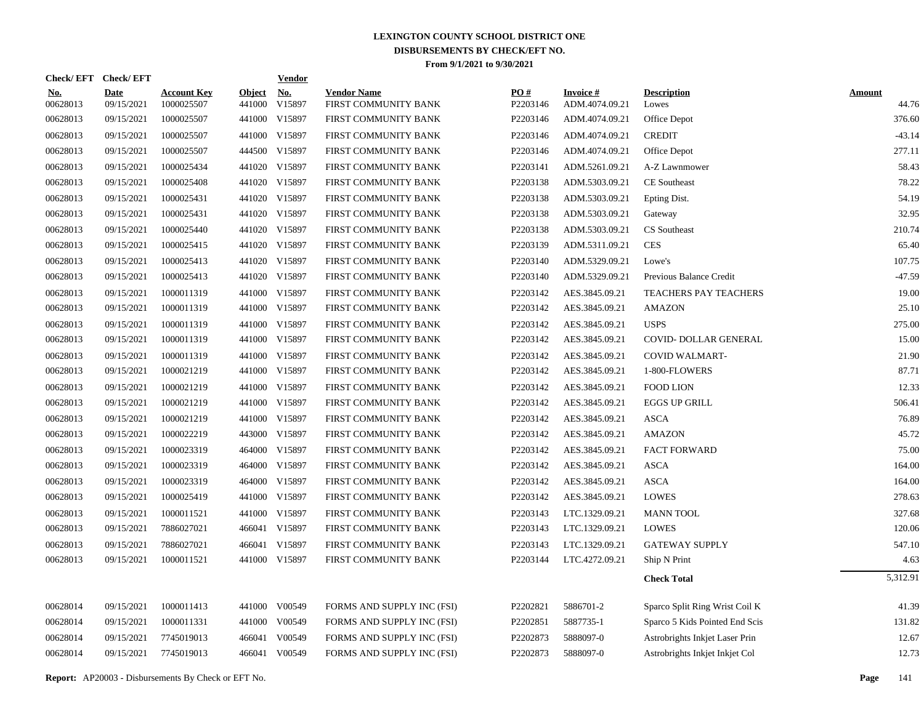| PO#<br><b>Account Key</b><br>Object No.<br><b>Vendor Name</b><br><b>Invoice#</b><br><b>Description</b><br><u>No.</u><br><b>Date</b><br>00628013<br>09/15/2021<br>1000025507<br>441000<br>V15897<br>FIRST COMMUNITY BANK<br>P2203146<br>ADM.4074.09.21<br>Lowes<br>00628013<br>09/15/2021<br>1000025507<br>441000 V15897<br>P2203146<br>ADM.4074.09.21<br>Office Depot<br>FIRST COMMUNITY BANK<br>00628013<br>09/15/2021<br>1000025507<br>441000 V15897<br>P2203146<br>ADM.4074.09.21<br><b>CREDIT</b><br>FIRST COMMUNITY BANK<br>00628013<br>09/15/2021<br>1000025507<br>444500 V15897<br>FIRST COMMUNITY BANK<br>P2203146<br>ADM.4074.09.21<br>Office Depot<br>00628013<br>09/15/2021<br>1000025434<br>441020 V15897<br>P2203141<br>FIRST COMMUNITY BANK<br>ADM.5261.09.21<br>A-Z Lawnmower<br>441020 V15897<br>00628013<br>09/15/2021<br>1000025408<br>FIRST COMMUNITY BANK<br>P2203138<br>ADM.5303.09.21<br><b>CE</b> Southeast<br>00628013<br>09/15/2021<br>1000025431<br>441020 V15897<br>P2203138<br>FIRST COMMUNITY BANK<br>ADM.5303.09.21<br>Epting Dist.<br>1000025431<br>441020 V15897<br>P2203138<br>00628013<br>09/15/2021<br>FIRST COMMUNITY BANK<br>ADM.5303.09.21<br>Gateway<br>00628013<br>09/15/2021<br>1000025440<br>441020 V15897<br>P2203138<br>ADM.5303.09.21<br>CS Southeast<br>FIRST COMMUNITY BANK<br><b>CES</b><br>00628013<br>09/15/2021<br>1000025415<br>441020 V15897<br>FIRST COMMUNITY BANK<br>P2203139<br>ADM.5311.09.21<br>00628013<br>09/15/2021<br>1000025413<br>441020 V15897<br>P2203140<br>FIRST COMMUNITY BANK<br>ADM.5329.09.21<br>Lowe's<br>00628013<br>09/15/2021<br>1000025413<br>441020 V15897<br>FIRST COMMUNITY BANK<br>P2203140<br>ADM.5329.09.21<br>Previous Balance Credit<br>00628013<br>09/15/2021<br>1000011319<br>441000 V15897<br>P2203142<br>FIRST COMMUNITY BANK<br>AES.3845.09.21<br><b>TEACHERS PAY TEACHERS</b><br>00628013<br>09/15/2021<br>1000011319<br>441000 V15897<br>P2203142<br>FIRST COMMUNITY BANK<br>AES.3845.09.21<br><b>AMAZON</b><br>1000011319<br>P2203142<br>00628013<br>09/15/2021<br>441000 V15897<br>FIRST COMMUNITY BANK<br>AES.3845.09.21<br><b>USPS</b><br>P2203142<br>00628013<br>09/15/2021<br>1000011319<br>441000 V15897<br>FIRST COMMUNITY BANK<br>AES.3845.09.21<br>COVID-DOLLAR GENERAL<br>00628013<br>1000011319<br>441000 V15897<br>P2203142<br>09/15/2021<br>FIRST COMMUNITY BANK<br>AES.3845.09.21<br>COVID WALMART-<br>00628013<br>09/15/2021<br>1000021219<br>441000 V15897<br>P2203142<br>FIRST COMMUNITY BANK<br>AES.3845.09.21<br>1-800-FLOWERS<br>00628013<br>1000021219<br>441000 V15897<br>P2203142<br>09/15/2021<br>FIRST COMMUNITY BANK<br>AES.3845.09.21<br><b>FOOD LION</b><br>00628013<br>09/15/2021<br>1000021219<br>441000 V15897<br>P2203142<br>FIRST COMMUNITY BANK<br>AES.3845.09.21<br><b>EGGS UP GRILL</b><br>441000 V15897<br>P2203142<br>00628013<br>09/15/2021<br>1000021219<br>FIRST COMMUNITY BANK<br>AES.3845.09.21<br><b>ASCA</b><br>1000022219<br>443000 V15897<br>P2203142<br>00628013<br>09/15/2021<br>FIRST COMMUNITY BANK<br>AES.3845.09.21<br><b>AMAZON</b><br>00628013<br>09/15/2021<br>1000023319<br>464000 V15897<br>FIRST COMMUNITY BANK<br>P2203142<br>AES.3845.09.21<br><b>FACT FORWARD</b><br>00628013<br>1000023319<br>464000 V15897<br>P2203142<br>09/15/2021<br>FIRST COMMUNITY BANK<br>AES.3845.09.21<br>ASCA<br><b>ASCA</b><br>00628013<br>09/15/2021<br>1000023319<br>464000 V15897<br>FIRST COMMUNITY BANK<br>P2203142<br>AES.3845.09.21<br>00628013<br>1000025419<br>441000 V15897<br>P2203142<br><b>LOWES</b><br>09/15/2021<br>FIRST COMMUNITY BANK<br>AES.3845.09.21<br>441000 V15897<br>P2203143<br>00628013<br>09/15/2021<br>1000011521<br>FIRST COMMUNITY BANK<br>LTC.1329.09.21<br><b>MANN TOOL</b><br>7886027021<br>466041 V15897<br>P2203143<br>00628013<br>09/15/2021<br>FIRST COMMUNITY BANK<br>LTC.1329.09.21<br><b>LOWES</b><br>P2203143<br>00628013<br>09/15/2021<br>7886027021<br>466041 V15897<br>FIRST COMMUNITY BANK<br>LTC.1329.09.21<br><b>GATEWAY SUPPLY</b><br>00628013<br>09/15/2021<br>1000011521<br>441000 V15897<br>FIRST COMMUNITY BANK<br>P2203144<br>LTC.4272.09.21<br>Ship N Print<br><b>Check Total</b><br>00628014<br>09/15/2021<br>1000011413<br>441000 V00549<br>P2202821<br>5886701-2<br>FORMS AND SUPPLY INC (FSI)<br>Sparco Split Ring Wrist Coil K<br>00628014<br>09/15/2021<br>1000011331<br>441000 V00549<br>P2202851<br>5887735-1<br>FORMS AND SUPPLY INC (FSI)<br>Sparco 5 Kids Pointed End Scis<br>00628014<br>09/15/2021<br>7745019013<br>466041<br>V00549<br>FORMS AND SUPPLY INC (FSI)<br>P2202873<br>5888097-0<br>Astrobrights Inkjet Laser Prin<br>00628014<br>09/15/2021<br>7745019013<br>466041<br>V00549<br>FORMS AND SUPPLY INC (FSI)<br>P2202873<br>5888097-0<br>Astrobrights Inkjet Inkjet Col | Check/EFT Check/EFT |  | <b>Vendor</b> |  |  |                        |
|------------------------------------------------------------------------------------------------------------------------------------------------------------------------------------------------------------------------------------------------------------------------------------------------------------------------------------------------------------------------------------------------------------------------------------------------------------------------------------------------------------------------------------------------------------------------------------------------------------------------------------------------------------------------------------------------------------------------------------------------------------------------------------------------------------------------------------------------------------------------------------------------------------------------------------------------------------------------------------------------------------------------------------------------------------------------------------------------------------------------------------------------------------------------------------------------------------------------------------------------------------------------------------------------------------------------------------------------------------------------------------------------------------------------------------------------------------------------------------------------------------------------------------------------------------------------------------------------------------------------------------------------------------------------------------------------------------------------------------------------------------------------------------------------------------------------------------------------------------------------------------------------------------------------------------------------------------------------------------------------------------------------------------------------------------------------------------------------------------------------------------------------------------------------------------------------------------------------------------------------------------------------------------------------------------------------------------------------------------------------------------------------------------------------------------------------------------------------------------------------------------------------------------------------------------------------------------------------------------------------------------------------------------------------------------------------------------------------------------------------------------------------------------------------------------------------------------------------------------------------------------------------------------------------------------------------------------------------------------------------------------------------------------------------------------------------------------------------------------------------------------------------------------------------------------------------------------------------------------------------------------------------------------------------------------------------------------------------------------------------------------------------------------------------------------------------------------------------------------------------------------------------------------------------------------------------------------------------------------------------------------------------------------------------------------------------------------------------------------------------------------------------------------------------------------------------------------------------------------------------------------------------------------------------------------------------------------------------------------------------------------------------------------------------------------------------------------------------------------------------------------------------------------------------------------------------------------------------------------------------------------------------------------------------------------------------------------------------------------------------------------------------------------------------------------------------------------------------------------------------------------------------------------------------------------------------------------------------------------------------------------------------------------------------------------------------------------------------------------------------------------------------------------------------|---------------------|--|---------------|--|--|------------------------|
|                                                                                                                                                                                                                                                                                                                                                                                                                                                                                                                                                                                                                                                                                                                                                                                                                                                                                                                                                                                                                                                                                                                                                                                                                                                                                                                                                                                                                                                                                                                                                                                                                                                                                                                                                                                                                                                                                                                                                                                                                                                                                                                                                                                                                                                                                                                                                                                                                                                                                                                                                                                                                                                                                                                                                                                                                                                                                                                                                                                                                                                                                                                                                                                                                                                                                                                                                                                                                                                                                                                                                                                                                                                                                                                                                                                                                                                                                                                                                                                                                                                                                                                                                                                                                                                                                                                                                                                                                                                                                                                                                                                                                                                                                                                                                                                                |                     |  |               |  |  | <b>Amount</b><br>44.76 |
|                                                                                                                                                                                                                                                                                                                                                                                                                                                                                                                                                                                                                                                                                                                                                                                                                                                                                                                                                                                                                                                                                                                                                                                                                                                                                                                                                                                                                                                                                                                                                                                                                                                                                                                                                                                                                                                                                                                                                                                                                                                                                                                                                                                                                                                                                                                                                                                                                                                                                                                                                                                                                                                                                                                                                                                                                                                                                                                                                                                                                                                                                                                                                                                                                                                                                                                                                                                                                                                                                                                                                                                                                                                                                                                                                                                                                                                                                                                                                                                                                                                                                                                                                                                                                                                                                                                                                                                                                                                                                                                                                                                                                                                                                                                                                                                                |                     |  |               |  |  | 376.60                 |
|                                                                                                                                                                                                                                                                                                                                                                                                                                                                                                                                                                                                                                                                                                                                                                                                                                                                                                                                                                                                                                                                                                                                                                                                                                                                                                                                                                                                                                                                                                                                                                                                                                                                                                                                                                                                                                                                                                                                                                                                                                                                                                                                                                                                                                                                                                                                                                                                                                                                                                                                                                                                                                                                                                                                                                                                                                                                                                                                                                                                                                                                                                                                                                                                                                                                                                                                                                                                                                                                                                                                                                                                                                                                                                                                                                                                                                                                                                                                                                                                                                                                                                                                                                                                                                                                                                                                                                                                                                                                                                                                                                                                                                                                                                                                                                                                |                     |  |               |  |  | $-43.14$               |
|                                                                                                                                                                                                                                                                                                                                                                                                                                                                                                                                                                                                                                                                                                                                                                                                                                                                                                                                                                                                                                                                                                                                                                                                                                                                                                                                                                                                                                                                                                                                                                                                                                                                                                                                                                                                                                                                                                                                                                                                                                                                                                                                                                                                                                                                                                                                                                                                                                                                                                                                                                                                                                                                                                                                                                                                                                                                                                                                                                                                                                                                                                                                                                                                                                                                                                                                                                                                                                                                                                                                                                                                                                                                                                                                                                                                                                                                                                                                                                                                                                                                                                                                                                                                                                                                                                                                                                                                                                                                                                                                                                                                                                                                                                                                                                                                |                     |  |               |  |  | 277.11                 |
|                                                                                                                                                                                                                                                                                                                                                                                                                                                                                                                                                                                                                                                                                                                                                                                                                                                                                                                                                                                                                                                                                                                                                                                                                                                                                                                                                                                                                                                                                                                                                                                                                                                                                                                                                                                                                                                                                                                                                                                                                                                                                                                                                                                                                                                                                                                                                                                                                                                                                                                                                                                                                                                                                                                                                                                                                                                                                                                                                                                                                                                                                                                                                                                                                                                                                                                                                                                                                                                                                                                                                                                                                                                                                                                                                                                                                                                                                                                                                                                                                                                                                                                                                                                                                                                                                                                                                                                                                                                                                                                                                                                                                                                                                                                                                                                                |                     |  |               |  |  | 58.43                  |
|                                                                                                                                                                                                                                                                                                                                                                                                                                                                                                                                                                                                                                                                                                                                                                                                                                                                                                                                                                                                                                                                                                                                                                                                                                                                                                                                                                                                                                                                                                                                                                                                                                                                                                                                                                                                                                                                                                                                                                                                                                                                                                                                                                                                                                                                                                                                                                                                                                                                                                                                                                                                                                                                                                                                                                                                                                                                                                                                                                                                                                                                                                                                                                                                                                                                                                                                                                                                                                                                                                                                                                                                                                                                                                                                                                                                                                                                                                                                                                                                                                                                                                                                                                                                                                                                                                                                                                                                                                                                                                                                                                                                                                                                                                                                                                                                |                     |  |               |  |  | 78.22                  |
|                                                                                                                                                                                                                                                                                                                                                                                                                                                                                                                                                                                                                                                                                                                                                                                                                                                                                                                                                                                                                                                                                                                                                                                                                                                                                                                                                                                                                                                                                                                                                                                                                                                                                                                                                                                                                                                                                                                                                                                                                                                                                                                                                                                                                                                                                                                                                                                                                                                                                                                                                                                                                                                                                                                                                                                                                                                                                                                                                                                                                                                                                                                                                                                                                                                                                                                                                                                                                                                                                                                                                                                                                                                                                                                                                                                                                                                                                                                                                                                                                                                                                                                                                                                                                                                                                                                                                                                                                                                                                                                                                                                                                                                                                                                                                                                                |                     |  |               |  |  | 54.19                  |
|                                                                                                                                                                                                                                                                                                                                                                                                                                                                                                                                                                                                                                                                                                                                                                                                                                                                                                                                                                                                                                                                                                                                                                                                                                                                                                                                                                                                                                                                                                                                                                                                                                                                                                                                                                                                                                                                                                                                                                                                                                                                                                                                                                                                                                                                                                                                                                                                                                                                                                                                                                                                                                                                                                                                                                                                                                                                                                                                                                                                                                                                                                                                                                                                                                                                                                                                                                                                                                                                                                                                                                                                                                                                                                                                                                                                                                                                                                                                                                                                                                                                                                                                                                                                                                                                                                                                                                                                                                                                                                                                                                                                                                                                                                                                                                                                |                     |  |               |  |  | 32.95                  |
|                                                                                                                                                                                                                                                                                                                                                                                                                                                                                                                                                                                                                                                                                                                                                                                                                                                                                                                                                                                                                                                                                                                                                                                                                                                                                                                                                                                                                                                                                                                                                                                                                                                                                                                                                                                                                                                                                                                                                                                                                                                                                                                                                                                                                                                                                                                                                                                                                                                                                                                                                                                                                                                                                                                                                                                                                                                                                                                                                                                                                                                                                                                                                                                                                                                                                                                                                                                                                                                                                                                                                                                                                                                                                                                                                                                                                                                                                                                                                                                                                                                                                                                                                                                                                                                                                                                                                                                                                                                                                                                                                                                                                                                                                                                                                                                                |                     |  |               |  |  | 210.74                 |
|                                                                                                                                                                                                                                                                                                                                                                                                                                                                                                                                                                                                                                                                                                                                                                                                                                                                                                                                                                                                                                                                                                                                                                                                                                                                                                                                                                                                                                                                                                                                                                                                                                                                                                                                                                                                                                                                                                                                                                                                                                                                                                                                                                                                                                                                                                                                                                                                                                                                                                                                                                                                                                                                                                                                                                                                                                                                                                                                                                                                                                                                                                                                                                                                                                                                                                                                                                                                                                                                                                                                                                                                                                                                                                                                                                                                                                                                                                                                                                                                                                                                                                                                                                                                                                                                                                                                                                                                                                                                                                                                                                                                                                                                                                                                                                                                |                     |  |               |  |  | 65.40                  |
|                                                                                                                                                                                                                                                                                                                                                                                                                                                                                                                                                                                                                                                                                                                                                                                                                                                                                                                                                                                                                                                                                                                                                                                                                                                                                                                                                                                                                                                                                                                                                                                                                                                                                                                                                                                                                                                                                                                                                                                                                                                                                                                                                                                                                                                                                                                                                                                                                                                                                                                                                                                                                                                                                                                                                                                                                                                                                                                                                                                                                                                                                                                                                                                                                                                                                                                                                                                                                                                                                                                                                                                                                                                                                                                                                                                                                                                                                                                                                                                                                                                                                                                                                                                                                                                                                                                                                                                                                                                                                                                                                                                                                                                                                                                                                                                                |                     |  |               |  |  | 107.75                 |
|                                                                                                                                                                                                                                                                                                                                                                                                                                                                                                                                                                                                                                                                                                                                                                                                                                                                                                                                                                                                                                                                                                                                                                                                                                                                                                                                                                                                                                                                                                                                                                                                                                                                                                                                                                                                                                                                                                                                                                                                                                                                                                                                                                                                                                                                                                                                                                                                                                                                                                                                                                                                                                                                                                                                                                                                                                                                                                                                                                                                                                                                                                                                                                                                                                                                                                                                                                                                                                                                                                                                                                                                                                                                                                                                                                                                                                                                                                                                                                                                                                                                                                                                                                                                                                                                                                                                                                                                                                                                                                                                                                                                                                                                                                                                                                                                |                     |  |               |  |  | $-47.59$               |
|                                                                                                                                                                                                                                                                                                                                                                                                                                                                                                                                                                                                                                                                                                                                                                                                                                                                                                                                                                                                                                                                                                                                                                                                                                                                                                                                                                                                                                                                                                                                                                                                                                                                                                                                                                                                                                                                                                                                                                                                                                                                                                                                                                                                                                                                                                                                                                                                                                                                                                                                                                                                                                                                                                                                                                                                                                                                                                                                                                                                                                                                                                                                                                                                                                                                                                                                                                                                                                                                                                                                                                                                                                                                                                                                                                                                                                                                                                                                                                                                                                                                                                                                                                                                                                                                                                                                                                                                                                                                                                                                                                                                                                                                                                                                                                                                |                     |  |               |  |  | 19.00                  |
|                                                                                                                                                                                                                                                                                                                                                                                                                                                                                                                                                                                                                                                                                                                                                                                                                                                                                                                                                                                                                                                                                                                                                                                                                                                                                                                                                                                                                                                                                                                                                                                                                                                                                                                                                                                                                                                                                                                                                                                                                                                                                                                                                                                                                                                                                                                                                                                                                                                                                                                                                                                                                                                                                                                                                                                                                                                                                                                                                                                                                                                                                                                                                                                                                                                                                                                                                                                                                                                                                                                                                                                                                                                                                                                                                                                                                                                                                                                                                                                                                                                                                                                                                                                                                                                                                                                                                                                                                                                                                                                                                                                                                                                                                                                                                                                                |                     |  |               |  |  | 25.10                  |
|                                                                                                                                                                                                                                                                                                                                                                                                                                                                                                                                                                                                                                                                                                                                                                                                                                                                                                                                                                                                                                                                                                                                                                                                                                                                                                                                                                                                                                                                                                                                                                                                                                                                                                                                                                                                                                                                                                                                                                                                                                                                                                                                                                                                                                                                                                                                                                                                                                                                                                                                                                                                                                                                                                                                                                                                                                                                                                                                                                                                                                                                                                                                                                                                                                                                                                                                                                                                                                                                                                                                                                                                                                                                                                                                                                                                                                                                                                                                                                                                                                                                                                                                                                                                                                                                                                                                                                                                                                                                                                                                                                                                                                                                                                                                                                                                |                     |  |               |  |  | 275.00                 |
|                                                                                                                                                                                                                                                                                                                                                                                                                                                                                                                                                                                                                                                                                                                                                                                                                                                                                                                                                                                                                                                                                                                                                                                                                                                                                                                                                                                                                                                                                                                                                                                                                                                                                                                                                                                                                                                                                                                                                                                                                                                                                                                                                                                                                                                                                                                                                                                                                                                                                                                                                                                                                                                                                                                                                                                                                                                                                                                                                                                                                                                                                                                                                                                                                                                                                                                                                                                                                                                                                                                                                                                                                                                                                                                                                                                                                                                                                                                                                                                                                                                                                                                                                                                                                                                                                                                                                                                                                                                                                                                                                                                                                                                                                                                                                                                                |                     |  |               |  |  | 15.00                  |
|                                                                                                                                                                                                                                                                                                                                                                                                                                                                                                                                                                                                                                                                                                                                                                                                                                                                                                                                                                                                                                                                                                                                                                                                                                                                                                                                                                                                                                                                                                                                                                                                                                                                                                                                                                                                                                                                                                                                                                                                                                                                                                                                                                                                                                                                                                                                                                                                                                                                                                                                                                                                                                                                                                                                                                                                                                                                                                                                                                                                                                                                                                                                                                                                                                                                                                                                                                                                                                                                                                                                                                                                                                                                                                                                                                                                                                                                                                                                                                                                                                                                                                                                                                                                                                                                                                                                                                                                                                                                                                                                                                                                                                                                                                                                                                                                |                     |  |               |  |  | 21.90                  |
|                                                                                                                                                                                                                                                                                                                                                                                                                                                                                                                                                                                                                                                                                                                                                                                                                                                                                                                                                                                                                                                                                                                                                                                                                                                                                                                                                                                                                                                                                                                                                                                                                                                                                                                                                                                                                                                                                                                                                                                                                                                                                                                                                                                                                                                                                                                                                                                                                                                                                                                                                                                                                                                                                                                                                                                                                                                                                                                                                                                                                                                                                                                                                                                                                                                                                                                                                                                                                                                                                                                                                                                                                                                                                                                                                                                                                                                                                                                                                                                                                                                                                                                                                                                                                                                                                                                                                                                                                                                                                                                                                                                                                                                                                                                                                                                                |                     |  |               |  |  | 87.71                  |
|                                                                                                                                                                                                                                                                                                                                                                                                                                                                                                                                                                                                                                                                                                                                                                                                                                                                                                                                                                                                                                                                                                                                                                                                                                                                                                                                                                                                                                                                                                                                                                                                                                                                                                                                                                                                                                                                                                                                                                                                                                                                                                                                                                                                                                                                                                                                                                                                                                                                                                                                                                                                                                                                                                                                                                                                                                                                                                                                                                                                                                                                                                                                                                                                                                                                                                                                                                                                                                                                                                                                                                                                                                                                                                                                                                                                                                                                                                                                                                                                                                                                                                                                                                                                                                                                                                                                                                                                                                                                                                                                                                                                                                                                                                                                                                                                |                     |  |               |  |  | 12.33                  |
|                                                                                                                                                                                                                                                                                                                                                                                                                                                                                                                                                                                                                                                                                                                                                                                                                                                                                                                                                                                                                                                                                                                                                                                                                                                                                                                                                                                                                                                                                                                                                                                                                                                                                                                                                                                                                                                                                                                                                                                                                                                                                                                                                                                                                                                                                                                                                                                                                                                                                                                                                                                                                                                                                                                                                                                                                                                                                                                                                                                                                                                                                                                                                                                                                                                                                                                                                                                                                                                                                                                                                                                                                                                                                                                                                                                                                                                                                                                                                                                                                                                                                                                                                                                                                                                                                                                                                                                                                                                                                                                                                                                                                                                                                                                                                                                                |                     |  |               |  |  | 506.41                 |
|                                                                                                                                                                                                                                                                                                                                                                                                                                                                                                                                                                                                                                                                                                                                                                                                                                                                                                                                                                                                                                                                                                                                                                                                                                                                                                                                                                                                                                                                                                                                                                                                                                                                                                                                                                                                                                                                                                                                                                                                                                                                                                                                                                                                                                                                                                                                                                                                                                                                                                                                                                                                                                                                                                                                                                                                                                                                                                                                                                                                                                                                                                                                                                                                                                                                                                                                                                                                                                                                                                                                                                                                                                                                                                                                                                                                                                                                                                                                                                                                                                                                                                                                                                                                                                                                                                                                                                                                                                                                                                                                                                                                                                                                                                                                                                                                |                     |  |               |  |  | 76.89                  |
|                                                                                                                                                                                                                                                                                                                                                                                                                                                                                                                                                                                                                                                                                                                                                                                                                                                                                                                                                                                                                                                                                                                                                                                                                                                                                                                                                                                                                                                                                                                                                                                                                                                                                                                                                                                                                                                                                                                                                                                                                                                                                                                                                                                                                                                                                                                                                                                                                                                                                                                                                                                                                                                                                                                                                                                                                                                                                                                                                                                                                                                                                                                                                                                                                                                                                                                                                                                                                                                                                                                                                                                                                                                                                                                                                                                                                                                                                                                                                                                                                                                                                                                                                                                                                                                                                                                                                                                                                                                                                                                                                                                                                                                                                                                                                                                                |                     |  |               |  |  | 45.72                  |
|                                                                                                                                                                                                                                                                                                                                                                                                                                                                                                                                                                                                                                                                                                                                                                                                                                                                                                                                                                                                                                                                                                                                                                                                                                                                                                                                                                                                                                                                                                                                                                                                                                                                                                                                                                                                                                                                                                                                                                                                                                                                                                                                                                                                                                                                                                                                                                                                                                                                                                                                                                                                                                                                                                                                                                                                                                                                                                                                                                                                                                                                                                                                                                                                                                                                                                                                                                                                                                                                                                                                                                                                                                                                                                                                                                                                                                                                                                                                                                                                                                                                                                                                                                                                                                                                                                                                                                                                                                                                                                                                                                                                                                                                                                                                                                                                |                     |  |               |  |  | 75.00                  |
|                                                                                                                                                                                                                                                                                                                                                                                                                                                                                                                                                                                                                                                                                                                                                                                                                                                                                                                                                                                                                                                                                                                                                                                                                                                                                                                                                                                                                                                                                                                                                                                                                                                                                                                                                                                                                                                                                                                                                                                                                                                                                                                                                                                                                                                                                                                                                                                                                                                                                                                                                                                                                                                                                                                                                                                                                                                                                                                                                                                                                                                                                                                                                                                                                                                                                                                                                                                                                                                                                                                                                                                                                                                                                                                                                                                                                                                                                                                                                                                                                                                                                                                                                                                                                                                                                                                                                                                                                                                                                                                                                                                                                                                                                                                                                                                                |                     |  |               |  |  | 164.00                 |
|                                                                                                                                                                                                                                                                                                                                                                                                                                                                                                                                                                                                                                                                                                                                                                                                                                                                                                                                                                                                                                                                                                                                                                                                                                                                                                                                                                                                                                                                                                                                                                                                                                                                                                                                                                                                                                                                                                                                                                                                                                                                                                                                                                                                                                                                                                                                                                                                                                                                                                                                                                                                                                                                                                                                                                                                                                                                                                                                                                                                                                                                                                                                                                                                                                                                                                                                                                                                                                                                                                                                                                                                                                                                                                                                                                                                                                                                                                                                                                                                                                                                                                                                                                                                                                                                                                                                                                                                                                                                                                                                                                                                                                                                                                                                                                                                |                     |  |               |  |  | 164.00                 |
|                                                                                                                                                                                                                                                                                                                                                                                                                                                                                                                                                                                                                                                                                                                                                                                                                                                                                                                                                                                                                                                                                                                                                                                                                                                                                                                                                                                                                                                                                                                                                                                                                                                                                                                                                                                                                                                                                                                                                                                                                                                                                                                                                                                                                                                                                                                                                                                                                                                                                                                                                                                                                                                                                                                                                                                                                                                                                                                                                                                                                                                                                                                                                                                                                                                                                                                                                                                                                                                                                                                                                                                                                                                                                                                                                                                                                                                                                                                                                                                                                                                                                                                                                                                                                                                                                                                                                                                                                                                                                                                                                                                                                                                                                                                                                                                                |                     |  |               |  |  | 278.63                 |
|                                                                                                                                                                                                                                                                                                                                                                                                                                                                                                                                                                                                                                                                                                                                                                                                                                                                                                                                                                                                                                                                                                                                                                                                                                                                                                                                                                                                                                                                                                                                                                                                                                                                                                                                                                                                                                                                                                                                                                                                                                                                                                                                                                                                                                                                                                                                                                                                                                                                                                                                                                                                                                                                                                                                                                                                                                                                                                                                                                                                                                                                                                                                                                                                                                                                                                                                                                                                                                                                                                                                                                                                                                                                                                                                                                                                                                                                                                                                                                                                                                                                                                                                                                                                                                                                                                                                                                                                                                                                                                                                                                                                                                                                                                                                                                                                |                     |  |               |  |  | 327.68                 |
|                                                                                                                                                                                                                                                                                                                                                                                                                                                                                                                                                                                                                                                                                                                                                                                                                                                                                                                                                                                                                                                                                                                                                                                                                                                                                                                                                                                                                                                                                                                                                                                                                                                                                                                                                                                                                                                                                                                                                                                                                                                                                                                                                                                                                                                                                                                                                                                                                                                                                                                                                                                                                                                                                                                                                                                                                                                                                                                                                                                                                                                                                                                                                                                                                                                                                                                                                                                                                                                                                                                                                                                                                                                                                                                                                                                                                                                                                                                                                                                                                                                                                                                                                                                                                                                                                                                                                                                                                                                                                                                                                                                                                                                                                                                                                                                                |                     |  |               |  |  | 120.06                 |
|                                                                                                                                                                                                                                                                                                                                                                                                                                                                                                                                                                                                                                                                                                                                                                                                                                                                                                                                                                                                                                                                                                                                                                                                                                                                                                                                                                                                                                                                                                                                                                                                                                                                                                                                                                                                                                                                                                                                                                                                                                                                                                                                                                                                                                                                                                                                                                                                                                                                                                                                                                                                                                                                                                                                                                                                                                                                                                                                                                                                                                                                                                                                                                                                                                                                                                                                                                                                                                                                                                                                                                                                                                                                                                                                                                                                                                                                                                                                                                                                                                                                                                                                                                                                                                                                                                                                                                                                                                                                                                                                                                                                                                                                                                                                                                                                |                     |  |               |  |  | 547.10                 |
|                                                                                                                                                                                                                                                                                                                                                                                                                                                                                                                                                                                                                                                                                                                                                                                                                                                                                                                                                                                                                                                                                                                                                                                                                                                                                                                                                                                                                                                                                                                                                                                                                                                                                                                                                                                                                                                                                                                                                                                                                                                                                                                                                                                                                                                                                                                                                                                                                                                                                                                                                                                                                                                                                                                                                                                                                                                                                                                                                                                                                                                                                                                                                                                                                                                                                                                                                                                                                                                                                                                                                                                                                                                                                                                                                                                                                                                                                                                                                                                                                                                                                                                                                                                                                                                                                                                                                                                                                                                                                                                                                                                                                                                                                                                                                                                                |                     |  |               |  |  | 4.63                   |
|                                                                                                                                                                                                                                                                                                                                                                                                                                                                                                                                                                                                                                                                                                                                                                                                                                                                                                                                                                                                                                                                                                                                                                                                                                                                                                                                                                                                                                                                                                                                                                                                                                                                                                                                                                                                                                                                                                                                                                                                                                                                                                                                                                                                                                                                                                                                                                                                                                                                                                                                                                                                                                                                                                                                                                                                                                                                                                                                                                                                                                                                                                                                                                                                                                                                                                                                                                                                                                                                                                                                                                                                                                                                                                                                                                                                                                                                                                                                                                                                                                                                                                                                                                                                                                                                                                                                                                                                                                                                                                                                                                                                                                                                                                                                                                                                |                     |  |               |  |  | 5,312.91               |
|                                                                                                                                                                                                                                                                                                                                                                                                                                                                                                                                                                                                                                                                                                                                                                                                                                                                                                                                                                                                                                                                                                                                                                                                                                                                                                                                                                                                                                                                                                                                                                                                                                                                                                                                                                                                                                                                                                                                                                                                                                                                                                                                                                                                                                                                                                                                                                                                                                                                                                                                                                                                                                                                                                                                                                                                                                                                                                                                                                                                                                                                                                                                                                                                                                                                                                                                                                                                                                                                                                                                                                                                                                                                                                                                                                                                                                                                                                                                                                                                                                                                                                                                                                                                                                                                                                                                                                                                                                                                                                                                                                                                                                                                                                                                                                                                |                     |  |               |  |  | 41.39                  |
|                                                                                                                                                                                                                                                                                                                                                                                                                                                                                                                                                                                                                                                                                                                                                                                                                                                                                                                                                                                                                                                                                                                                                                                                                                                                                                                                                                                                                                                                                                                                                                                                                                                                                                                                                                                                                                                                                                                                                                                                                                                                                                                                                                                                                                                                                                                                                                                                                                                                                                                                                                                                                                                                                                                                                                                                                                                                                                                                                                                                                                                                                                                                                                                                                                                                                                                                                                                                                                                                                                                                                                                                                                                                                                                                                                                                                                                                                                                                                                                                                                                                                                                                                                                                                                                                                                                                                                                                                                                                                                                                                                                                                                                                                                                                                                                                |                     |  |               |  |  | 131.82                 |
|                                                                                                                                                                                                                                                                                                                                                                                                                                                                                                                                                                                                                                                                                                                                                                                                                                                                                                                                                                                                                                                                                                                                                                                                                                                                                                                                                                                                                                                                                                                                                                                                                                                                                                                                                                                                                                                                                                                                                                                                                                                                                                                                                                                                                                                                                                                                                                                                                                                                                                                                                                                                                                                                                                                                                                                                                                                                                                                                                                                                                                                                                                                                                                                                                                                                                                                                                                                                                                                                                                                                                                                                                                                                                                                                                                                                                                                                                                                                                                                                                                                                                                                                                                                                                                                                                                                                                                                                                                                                                                                                                                                                                                                                                                                                                                                                |                     |  |               |  |  | 12.67                  |
|                                                                                                                                                                                                                                                                                                                                                                                                                                                                                                                                                                                                                                                                                                                                                                                                                                                                                                                                                                                                                                                                                                                                                                                                                                                                                                                                                                                                                                                                                                                                                                                                                                                                                                                                                                                                                                                                                                                                                                                                                                                                                                                                                                                                                                                                                                                                                                                                                                                                                                                                                                                                                                                                                                                                                                                                                                                                                                                                                                                                                                                                                                                                                                                                                                                                                                                                                                                                                                                                                                                                                                                                                                                                                                                                                                                                                                                                                                                                                                                                                                                                                                                                                                                                                                                                                                                                                                                                                                                                                                                                                                                                                                                                                                                                                                                                |                     |  |               |  |  | 12.73                  |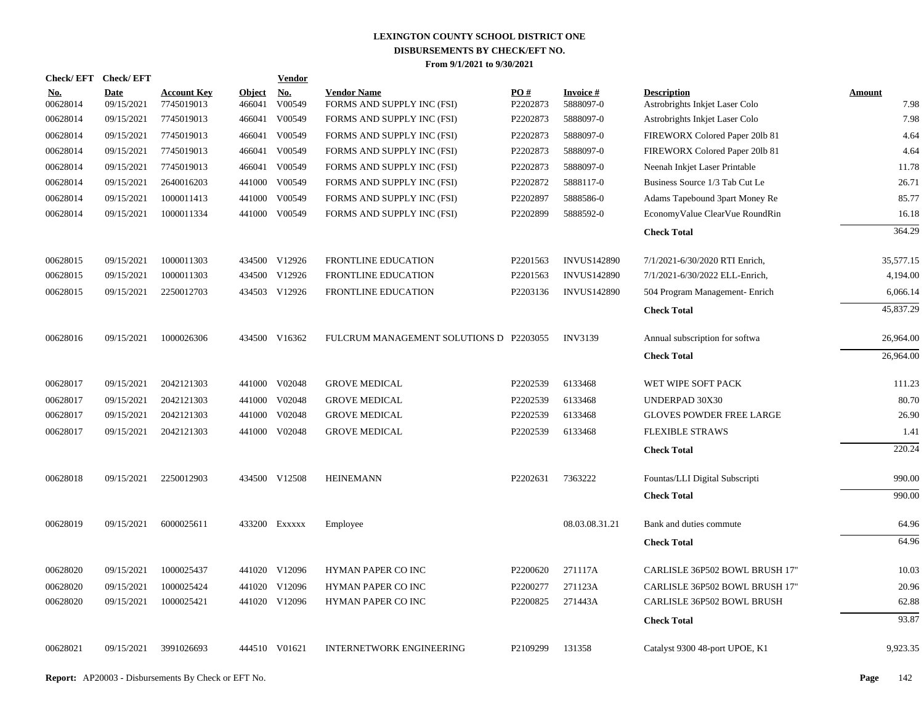| Check/EFT Check/EFT    |                           |                                  |                         | <u>Vendor</u>        |                                                  |                 |                              |                                                      |                       |
|------------------------|---------------------------|----------------------------------|-------------------------|----------------------|--------------------------------------------------|-----------------|------------------------------|------------------------------------------------------|-----------------------|
| <u>No.</u><br>00628014 | <b>Date</b><br>09/15/2021 | <b>Account Key</b><br>7745019013 | <b>Object</b><br>466041 | <u>No.</u><br>V00549 | <b>Vendor Name</b><br>FORMS AND SUPPLY INC (FSI) | PO#<br>P2202873 | <b>Invoice#</b><br>5888097-0 | <b>Description</b><br>Astrobrights Inkjet Laser Colo | <b>Amount</b><br>7.98 |
| 00628014               | 09/15/2021                | 7745019013                       | 466041                  | V00549               | FORMS AND SUPPLY INC (FSI)                       | P2202873        | 5888097-0                    | Astrobrights Inkjet Laser Colo                       | 7.98                  |
| 00628014               | 09/15/2021                | 7745019013                       |                         | 466041 V00549        | FORMS AND SUPPLY INC (FSI)                       | P2202873        | 5888097-0                    | FIREWORX Colored Paper 201b 81                       | 4.64                  |
| 00628014               | 09/15/2021                | 7745019013                       |                         | 466041 V00549        | FORMS AND SUPPLY INC (FSI)                       | P2202873        | 5888097-0                    | FIREWORX Colored Paper 201b 81                       | 4.64                  |
| 00628014               | 09/15/2021                | 7745019013                       |                         | 466041 V00549        | FORMS AND SUPPLY INC (FSI)                       | P2202873        | 5888097-0                    | Neenah Inkjet Laser Printable                        | 11.78                 |
| 00628014               | 09/15/2021                | 2640016203                       |                         | 441000 V00549        | FORMS AND SUPPLY INC (FSI)                       | P2202872        | 5888117-0                    | Business Source 1/3 Tab Cut Le                       | 26.71                 |
| 00628014               | 09/15/2021                | 1000011413                       |                         | 441000 V00549        | FORMS AND SUPPLY INC (FSI)                       | P2202897        | 5888586-0                    | Adams Tapebound 3part Money Re                       | 85.77                 |
| 00628014               | 09/15/2021                | 1000011334                       |                         | 441000 V00549        | FORMS AND SUPPLY INC (FSI)                       | P2202899        | 5888592-0                    | EconomyValue ClearVue RoundRin                       | 16.18                 |
|                        |                           |                                  |                         |                      |                                                  |                 |                              | <b>Check Total</b>                                   | 364.29                |
| 00628015               | 09/15/2021                | 1000011303                       |                         | 434500 V12926        | <b>FRONTLINE EDUCATION</b>                       | P2201563        | <b>INVUS142890</b>           | 7/1/2021-6/30/2020 RTI Enrich,                       | 35,577.15             |
| 00628015               | 09/15/2021                | 1000011303                       |                         | 434500 V12926        | FRONTLINE EDUCATION                              | P2201563        | <b>INVUS142890</b>           | 7/1/2021-6/30/2022 ELL-Enrich,                       | 4,194.00              |
| 00628015               | 09/15/2021                | 2250012703                       |                         | 434503 V12926        | FRONTLINE EDUCATION                              | P2203136        | <b>INVUS142890</b>           | 504 Program Management- Enrich                       | 6,066.14              |
|                        |                           |                                  |                         |                      |                                                  |                 |                              | <b>Check Total</b>                                   | 45,837.29             |
| 00628016               | 09/15/2021                | 1000026306                       |                         | 434500 V16362        | FULCRUM MANAGEMENT SOLUTIONS D P2203055          |                 | <b>INV3139</b>               | Annual subscription for softwa                       | 26,964.00             |
|                        |                           |                                  |                         |                      |                                                  |                 |                              | <b>Check Total</b>                                   | 26,964.00             |
| 00628017               | 09/15/2021                | 2042121303                       |                         | 441000 V02048        | <b>GROVE MEDICAL</b>                             | P2202539        | 6133468                      | WET WIPE SOFT PACK                                   | 111.23                |
| 00628017               | 09/15/2021                | 2042121303                       |                         | 441000 V02048        | <b>GROVE MEDICAL</b>                             | P2202539        | 6133468                      | UNDERPAD 30X30                                       | 80.70                 |
| 00628017               | 09/15/2021                | 2042121303                       |                         | 441000 V02048        | <b>GROVE MEDICAL</b>                             | P2202539        | 6133468                      | <b>GLOVES POWDER FREE LARGE</b>                      | 26.90                 |
| 00628017               | 09/15/2021                | 2042121303                       |                         | 441000 V02048        | <b>GROVE MEDICAL</b>                             | P2202539        | 6133468                      | <b>FLEXIBLE STRAWS</b>                               | 1.41                  |
|                        |                           |                                  |                         |                      |                                                  |                 |                              | <b>Check Total</b>                                   | 220.24                |
| 00628018               | 09/15/2021                | 2250012903                       |                         | 434500 V12508        | <b>HEINEMANN</b>                                 | P2202631        | 7363222                      | Fountas/LLI Digital Subscripti                       | 990.00                |
|                        |                           |                                  |                         |                      |                                                  |                 |                              | <b>Check Total</b>                                   | 990.00                |
| 00628019               | 09/15/2021                | 6000025611                       |                         | 433200 EXXXXX        | Employee                                         |                 | 08.03.08.31.21               | Bank and duties commute                              | 64.96                 |
|                        |                           |                                  |                         |                      |                                                  |                 |                              | <b>Check Total</b>                                   | 64.96                 |
| 00628020               | 09/15/2021                | 1000025437                       |                         | 441020 V12096        | HYMAN PAPER CO INC                               | P2200620        | 271117A                      | CARLISLE 36P502 BOWL BRUSH 17"                       | 10.03                 |
| 00628020               | 09/15/2021                | 1000025424                       |                         | 441020 V12096        | HYMAN PAPER CO INC                               | P2200277        | 271123A                      | CARLISLE 36P502 BOWL BRUSH 17"                       | 20.96                 |
| 00628020               | 09/15/2021                | 1000025421                       |                         | 441020 V12096        | HYMAN PAPER CO INC                               | P2200825        | 271443A                      | CARLISLE 36P502 BOWL BRUSH                           | 62.88                 |
|                        |                           |                                  |                         |                      |                                                  |                 |                              | <b>Check Total</b>                                   | 93.87                 |
| 00628021               | 09/15/2021                | 3991026693                       |                         | 444510 V01621        | <b>INTERNETWORK ENGINEERING</b>                  | P2109299        | 131358                       | Catalyst 9300 48-port UPOE, K1                       | 9,923.35              |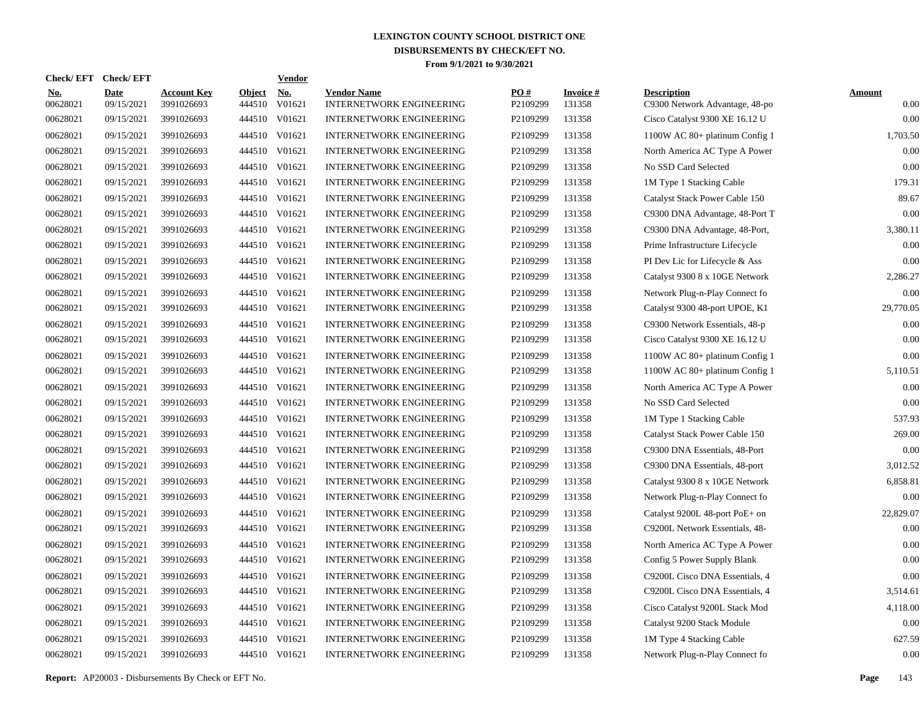| Check/ EFT             | <b>Check/EFT</b>          |                                  |                         | <b>Vendor</b>        |                                                       |                      |                           |                                                      |                       |
|------------------------|---------------------------|----------------------------------|-------------------------|----------------------|-------------------------------------------------------|----------------------|---------------------------|------------------------------------------------------|-----------------------|
| <u>No.</u><br>00628021 | <b>Date</b><br>09/15/2021 | <b>Account Key</b><br>3991026693 | <b>Object</b><br>444510 | <u>No.</u><br>V01621 | <b>Vendor Name</b><br><b>INTERNETWORK ENGINEERING</b> | PO#<br>P2109299      | <b>Invoice#</b><br>131358 | <b>Description</b><br>C9300 Network Advantage, 48-po | <b>Amount</b><br>0.00 |
| 00628021               | 09/15/2021                | 3991026693                       | 444510                  | V01621               | <b>INTERNETWORK ENGINEERING</b>                       | P2109299             | 131358                    | Cisco Catalyst 9300 XE 16.12 U                       | 0.00                  |
| 00628021               | 09/15/2021                | 3991026693                       |                         | 444510 V01621        | <b>INTERNETWORK ENGINEERING</b>                       | P2109299             | 131358                    | 1100W AC 80+ platinum Config 1                       | 1,703.50              |
| 00628021               | 09/15/2021                | 3991026693                       |                         | 444510 V01621        | <b>INTERNETWORK ENGINEERING</b>                       | P2109299             | 131358                    | North America AC Type A Power                        | 0.00                  |
| 00628021               | 09/15/2021                | 3991026693                       |                         | 444510 V01621        | <b>INTERNETWORK ENGINEERING</b>                       | P2109299             | 131358                    | No SSD Card Selected                                 | 0.00                  |
| 00628021               | 09/15/2021                | 3991026693                       |                         | 444510 V01621        | <b>INTERNETWORK ENGINEERING</b>                       | P2109299             | 131358                    | 1M Type 1 Stacking Cable                             | 179.31                |
| 00628021               | 09/15/2021                | 3991026693                       |                         | 444510 V01621        | <b>INTERNETWORK ENGINEERING</b>                       | P2109299             | 131358                    | Catalyst Stack Power Cable 150                       | 89.67                 |
| 00628021               | 09/15/2021                | 3991026693                       |                         | 444510 V01621        | <b>INTERNETWORK ENGINEERING</b>                       | P2109299             | 131358                    | C9300 DNA Advantage, 48-Port T                       | 0.00                  |
| 00628021               | 09/15/2021                | 3991026693                       |                         | 444510 V01621        | <b>INTERNETWORK ENGINEERING</b>                       | P2109299             | 131358                    | C9300 DNA Advantage, 48-Port,                        | 3,380.11              |
| 00628021               | 09/15/2021                | 3991026693                       |                         | 444510 V01621        | <b>INTERNETWORK ENGINEERING</b>                       | P2109299             | 131358                    | Prime Infrastructure Lifecycle                       | 0.00                  |
| 00628021               | 09/15/2021                | 3991026693                       |                         | 444510 V01621        | <b>INTERNETWORK ENGINEERING</b>                       | P2109299             | 131358                    | PI Dev Lic for Lifecycle & Ass                       | 0.00                  |
| 00628021               | 09/15/2021                | 3991026693                       |                         | 444510 V01621        | <b>INTERNETWORK ENGINEERING</b>                       | P2109299             | 131358                    | Catalyst 9300 8 x 10GE Network                       | 2,286.27              |
| 00628021               | 09/15/2021                | 3991026693                       |                         | 444510 V01621        | <b>INTERNETWORK ENGINEERING</b>                       | P2109299             | 131358                    | Network Plug-n-Play Connect fo                       | 0.00                  |
| 00628021               | 09/15/2021                | 3991026693                       |                         | 444510 V01621        | <b>INTERNETWORK ENGINEERING</b>                       | P2109299             | 131358                    | Catalyst 9300 48-port UPOE, K1                       | 29,770.05             |
| 00628021               | 09/15/2021                | 3991026693                       |                         | 444510 V01621        | <b>INTERNETWORK ENGINEERING</b>                       | P <sub>2109299</sub> | 131358                    | C9300 Network Essentials, 48-p                       | 0.00                  |
| 00628021               | 09/15/2021                | 3991026693                       |                         | 444510 V01621        | <b>INTERNETWORK ENGINEERING</b>                       | P2109299             | 131358                    | Cisco Catalyst 9300 XE 16.12 U                       | 0.00                  |
| 00628021               | 09/15/2021                | 3991026693                       |                         | 444510 V01621        | <b>INTERNETWORK ENGINEERING</b>                       | P2109299             | 131358                    | 1100W AC 80+ platinum Config 1                       | 0.00                  |
| 00628021               | 09/15/2021                | 3991026693                       |                         | 444510 V01621        | <b>INTERNETWORK ENGINEERING</b>                       | P2109299             | 131358                    | 1100W AC 80+ platinum Config 1                       | 5,110.51              |
| 00628021               | 09/15/2021                | 3991026693                       |                         | 444510 V01621        | <b>INTERNETWORK ENGINEERING</b>                       | P2109299             | 131358                    | North America AC Type A Power                        | 0.00                  |
| 00628021               | 09/15/2021                | 3991026693                       |                         | 444510 V01621        | <b>INTERNETWORK ENGINEERING</b>                       | P2109299             | 131358                    | No SSD Card Selected                                 | 0.00                  |
| 00628021               | 09/15/2021                | 3991026693                       |                         | 444510 V01621        | <b>INTERNETWORK ENGINEERING</b>                       | P2109299             | 131358                    | 1M Type 1 Stacking Cable                             | 537.93                |
| 00628021               | 09/15/2021                | 3991026693                       |                         | 444510 V01621        | <b>INTERNETWORK ENGINEERING</b>                       | P <sub>2109299</sub> | 131358                    | Catalyst Stack Power Cable 150                       | 269.00                |
| 00628021               | 09/15/2021                | 3991026693                       | 444510                  | V01621               | <b>INTERNETWORK ENGINEERING</b>                       | P2109299             | 131358                    | C9300 DNA Essentials, 48-Port                        | 0.00                  |
| 00628021               | 09/15/2021                | 3991026693                       |                         | 444510 V01621        | <b>INTERNETWORK ENGINEERING</b>                       | P <sub>2109299</sub> | 131358                    | C9300 DNA Essentials, 48-port                        | 3,012.52              |
| 00628021               | 09/15/2021                | 3991026693                       | 444510                  | V01621               | <b>INTERNETWORK ENGINEERING</b>                       | P2109299             | 131358                    | Catalyst 9300 8 x 10GE Network                       | 6,858.81              |
| 00628021               | 09/15/2021                | 3991026693                       |                         | 444510 V01621        | <b>INTERNETWORK ENGINEERING</b>                       | P2109299             | 131358                    | Network Plug-n-Play Connect fo                       | 0.00                  |
| 00628021               | 09/15/2021                | 3991026693                       | 444510                  | V01621               | <b>INTERNETWORK ENGINEERING</b>                       | P2109299             | 131358                    | Catalyst 9200L 48-port PoE+ on                       | 22,829.07             |
| 00628021               | 09/15/2021                | 3991026693                       |                         | 444510 V01621        | <b>INTERNETWORK ENGINEERING</b>                       | P2109299             | 131358                    | C9200L Network Essentials, 48-                       | 0.00                  |
| 00628021               | 09/15/2021                | 3991026693                       | 444510                  | V01621               | <b>INTERNETWORK ENGINEERING</b>                       | P2109299             | 131358                    | North America AC Type A Power                        | 0.00                  |
| 00628021               | 09/15/2021                | 3991026693                       |                         | 444510 V01621        | <b>INTERNETWORK ENGINEERING</b>                       | P2109299             | 131358                    | Config 5 Power Supply Blank                          | 0.00                  |
| 00628021               | 09/15/2021                | 3991026693                       | 444510                  | V01621               | <b>INTERNETWORK ENGINEERING</b>                       | P2109299             | 131358                    | C9200L Cisco DNA Essentials, 4                       | 0.00                  |
| 00628021               | 09/15/2021                | 3991026693                       | 444510                  | V01621               | <b>INTERNETWORK ENGINEERING</b>                       | P2109299             | 131358                    | C9200L Cisco DNA Essentials, 4                       | 3,514.61              |
| 00628021               | 09/15/2021                | 3991026693                       | 444510                  | V01621               | <b>INTERNETWORK ENGINEERING</b>                       | P2109299             | 131358                    | Cisco Catalyst 9200L Stack Mod                       | 4,118.00              |
| 00628021               | 09/15/2021                | 3991026693                       | 444510                  | V01621               | <b>INTERNETWORK ENGINEERING</b>                       | P2109299             | 131358                    | Catalyst 9200 Stack Module                           | 0.00                  |
| 00628021               | 09/15/2021                | 3991026693                       | 444510                  | V01621               | <b>INTERNETWORK ENGINEERING</b>                       | P2109299             | 131358                    | 1M Type 4 Stacking Cable                             | 627.59                |
| 00628021               | 09/15/2021                | 3991026693                       |                         | 444510 V01621        | <b>INTERNETWORK ENGINEERING</b>                       | P2109299             | 131358                    | Network Plug-n-Play Connect fo                       | 0.00                  |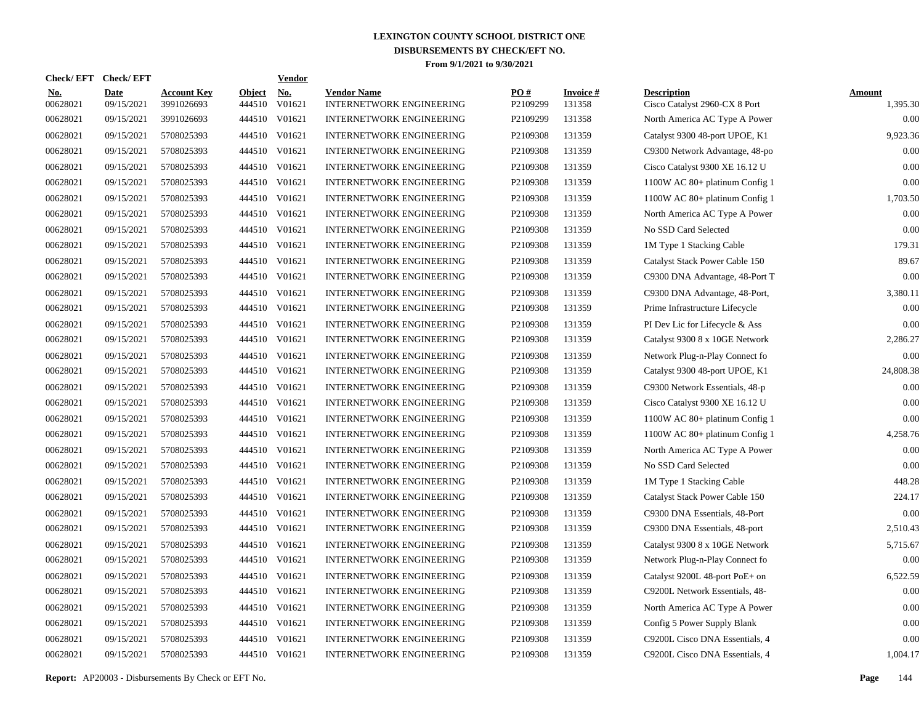|                        | Check/EFT Check/EFT       |                                  |                         | <u>Vendor</u>        |                                                       |                 |                           |                                                     |                           |
|------------------------|---------------------------|----------------------------------|-------------------------|----------------------|-------------------------------------------------------|-----------------|---------------------------|-----------------------------------------------------|---------------------------|
| <u>No.</u><br>00628021 | <b>Date</b><br>09/15/2021 | <b>Account Key</b><br>3991026693 | <b>Object</b><br>444510 | <u>No.</u><br>V01621 | <b>Vendor Name</b><br><b>INTERNETWORK ENGINEERING</b> | PQ#<br>P2109299 | <b>Invoice#</b><br>131358 | <b>Description</b><br>Cisco Catalyst 2960-CX 8 Port | <b>Amount</b><br>1,395.30 |
| 00628021               | 09/15/2021                | 3991026693                       | 444510                  | V01621               | <b>INTERNETWORK ENGINEERING</b>                       | P2109299        | 131358                    | North America AC Type A Power                       | 0.00                      |
| 00628021               | 09/15/2021                | 5708025393                       | 444510                  | V01621               | <b>INTERNETWORK ENGINEERING</b>                       | P2109308        | 131359                    | Catalyst 9300 48-port UPOE, K1                      | 9,923.36                  |
| 00628021               | 09/15/2021                | 5708025393                       | 444510                  | V01621               | <b>INTERNETWORK ENGINEERING</b>                       | P2109308        | 131359                    | C9300 Network Advantage, 48-po                      | 0.00                      |
| 00628021               | 09/15/2021                | 5708025393                       | 444510                  | V01621               | <b>INTERNETWORK ENGINEERING</b>                       | P2109308        | 131359                    | Cisco Catalyst 9300 XE 16.12 U                      | 0.00                      |
| 00628021               | 09/15/2021                | 5708025393                       |                         | 444510 V01621        | <b>INTERNETWORK ENGINEERING</b>                       | P2109308        | 131359                    | 1100W AC 80+ platinum Config 1                      | 0.00                      |
| 00628021               | 09/15/2021                | 5708025393                       |                         | 444510 V01621        | <b>INTERNETWORK ENGINEERING</b>                       | P2109308        | 131359                    | 1100W AC 80+ platinum Config 1                      | 1,703.50                  |
| 00628021               | 09/15/2021                | 5708025393                       |                         | 444510 V01621        | INTERNETWORK ENGINEERING                              | P2109308        | 131359                    | North America AC Type A Power                       | 0.00                      |
| 00628021               | 09/15/2021                | 5708025393                       |                         | 444510 V01621        | <b>INTERNETWORK ENGINEERING</b>                       | P2109308        | 131359                    | No SSD Card Selected                                | 0.00                      |
| 00628021               | 09/15/2021                | 5708025393                       |                         | 444510 V01621        | <b>INTERNETWORK ENGINEERING</b>                       | P2109308        | 131359                    | 1M Type 1 Stacking Cable                            | 179.31                    |
| 00628021               | 09/15/2021                | 5708025393                       |                         | 444510 V01621        | <b>INTERNETWORK ENGINEERING</b>                       | P2109308        | 131359                    | Catalyst Stack Power Cable 150                      | 89.67                     |
| 00628021               | 09/15/2021                | 5708025393                       |                         | 444510 V01621        | <b>INTERNETWORK ENGINEERING</b>                       | P2109308        | 131359                    | C9300 DNA Advantage, 48-Port T                      | 0.00                      |
| 00628021               | 09/15/2021                | 5708025393                       |                         | 444510 V01621        | <b>INTERNETWORK ENGINEERING</b>                       | P2109308        | 131359                    | C9300 DNA Advantage, 48-Port,                       | 3,380.11                  |
| 00628021               | 09/15/2021                | 5708025393                       |                         | 444510 V01621        | <b>INTERNETWORK ENGINEERING</b>                       | P2109308        | 131359                    | Prime Infrastructure Lifecycle                      | 0.00                      |
| 00628021               | 09/15/2021                | 5708025393                       |                         | 444510 V01621        | <b>INTERNETWORK ENGINEERING</b>                       | P2109308        | 131359                    | PI Dev Lic for Lifecycle & Ass                      | 0.00                      |
| 00628021               | 09/15/2021                | 5708025393                       |                         | 444510 V01621        | <b>INTERNETWORK ENGINEERING</b>                       | P2109308        | 131359                    | Catalyst 9300 8 x 10GE Network                      | 2,286.27                  |
| 00628021               | 09/15/2021                | 5708025393                       |                         | 444510 V01621        | <b>INTERNETWORK ENGINEERING</b>                       | P2109308        | 131359                    | Network Plug-n-Play Connect fo                      | 0.00                      |
| 00628021               | 09/15/2021                | 5708025393                       |                         | 444510 V01621        | <b>INTERNETWORK ENGINEERING</b>                       | P2109308        | 131359                    | Catalyst 9300 48-port UPOE, K1                      | 24,808.38                 |
| 00628021               | 09/15/2021                | 5708025393                       |                         | 444510 V01621        | <b>INTERNETWORK ENGINEERING</b>                       | P2109308        | 131359                    | C9300 Network Essentials, 48-p                      | 0.00                      |
| 00628021               | 09/15/2021                | 5708025393                       |                         | 444510 V01621        | <b>INTERNETWORK ENGINEERING</b>                       | P2109308        | 131359                    | Cisco Catalyst 9300 XE 16.12 U                      | 0.00                      |
| 00628021               | 09/15/2021                | 5708025393                       | 444510                  | V01621               | <b>INTERNETWORK ENGINEERING</b>                       | P2109308        | 131359                    | 1100W AC 80+ platinum Config 1                      | 0.00                      |
| 00628021               | 09/15/2021                | 5708025393                       |                         | 444510 V01621        | <b>INTERNETWORK ENGINEERING</b>                       | P2109308        | 131359                    | 1100W AC 80+ platinum Config 1                      | 4,258.76                  |
| 00628021               | 09/15/2021                | 5708025393                       | 444510                  | V01621               | <b>INTERNETWORK ENGINEERING</b>                       | P2109308        | 131359                    | North America AC Type A Power                       | 0.00                      |
| 00628021               | 09/15/2021                | 5708025393                       |                         | 444510 V01621        | <b>INTERNETWORK ENGINEERING</b>                       | P2109308        | 131359                    | No SSD Card Selected                                | 0.00                      |
| 00628021               | 09/15/2021                | 5708025393                       | 444510                  | V01621               | <b>INTERNETWORK ENGINEERING</b>                       | P2109308        | 131359                    | 1M Type 1 Stacking Cable                            | 448.28                    |
| 00628021               | 09/15/2021                | 5708025393                       |                         | 444510 V01621        | <b>INTERNETWORK ENGINEERING</b>                       | P2109308        | 131359                    | Catalyst Stack Power Cable 150                      | 224.17                    |
| 00628021               | 09/15/2021                | 5708025393                       | 444510                  | V01621               | <b>INTERNETWORK ENGINEERING</b>                       | P2109308        | 131359                    | C9300 DNA Essentials, 48-Port                       | 0.00                      |
| 00628021               | 09/15/2021                | 5708025393                       |                         | 444510 V01621        | <b>INTERNETWORK ENGINEERING</b>                       | P2109308        | 131359                    | C9300 DNA Essentials, 48-port                       | 2,510.43                  |
| 00628021               | 09/15/2021                | 5708025393                       | 444510                  | V01621               | <b>INTERNETWORK ENGINEERING</b>                       | P2109308        | 131359                    | Catalyst 9300 8 x 10GE Network                      | 5,715.67                  |
| 00628021               | 09/15/2021                | 5708025393                       |                         | 444510 V01621        | <b>INTERNETWORK ENGINEERING</b>                       | P2109308        | 131359                    | Network Plug-n-Play Connect fo                      | 0.00                      |
| 00628021               | 09/15/2021                | 5708025393                       | 444510                  | V01621               | <b>INTERNETWORK ENGINEERING</b>                       | P2109308        | 131359                    | Catalyst 9200L 48-port PoE+ on                      | 6,522.59                  |
| 00628021               | 09/15/2021                | 5708025393                       | 444510                  | V01621               | <b>INTERNETWORK ENGINEERING</b>                       | P2109308        | 131359                    | C9200L Network Essentials, 48-                      | 0.00                      |
| 00628021               | 09/15/2021                | 5708025393                       | 444510                  | V01621               | <b>INTERNETWORK ENGINEERING</b>                       | P2109308        | 131359                    | North America AC Type A Power                       | 0.00                      |
| 00628021               | 09/15/2021                | 5708025393                       | 444510                  | V01621               | <b>INTERNETWORK ENGINEERING</b>                       | P2109308        | 131359                    | Config 5 Power Supply Blank                         | 0.00                      |
| 00628021               | 09/15/2021                | 5708025393                       | 444510                  | V01621               | <b>INTERNETWORK ENGINEERING</b>                       | P2109308        | 131359                    | C9200L Cisco DNA Essentials, 4                      | 0.00                      |
| 00628021               | 09/15/2021                | 5708025393                       |                         | 444510 V01621        | <b>INTERNETWORK ENGINEERING</b>                       | P2109308        | 131359                    | C9200L Cisco DNA Essentials, 4                      | 1,004.17                  |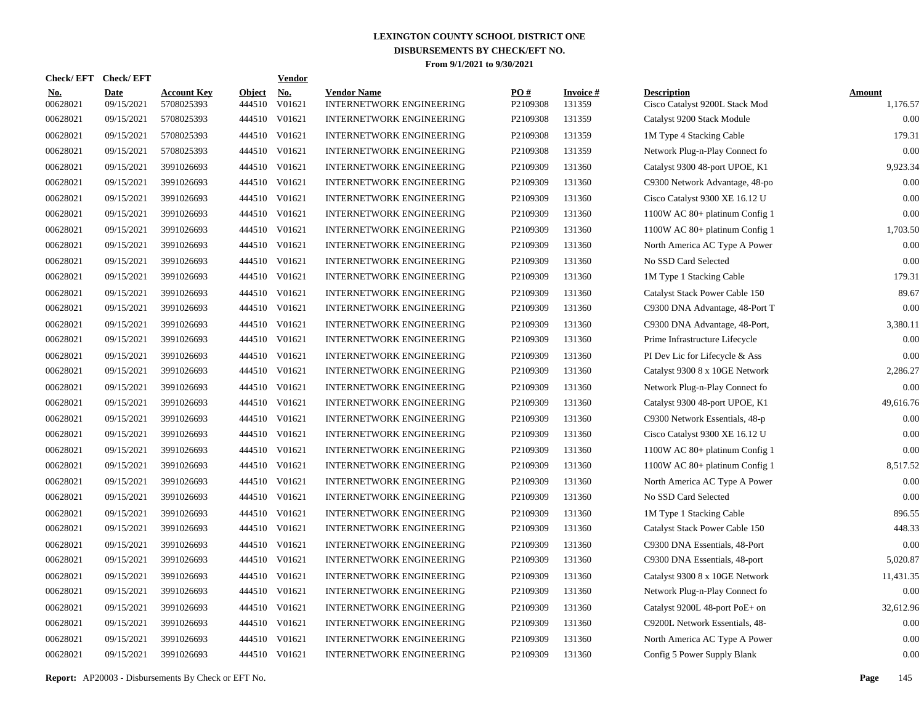| Check/ EFT             | <b>Check/EFT</b>          |                                  |                         | <b>Vendor</b> |                                                |                 |                           |                                                      |                           |
|------------------------|---------------------------|----------------------------------|-------------------------|---------------|------------------------------------------------|-----------------|---------------------------|------------------------------------------------------|---------------------------|
| <u>No.</u><br>00628021 | <b>Date</b><br>09/15/2021 | <b>Account Key</b><br>5708025393 | <b>Object</b><br>444510 | No.<br>V01621 | <b>Vendor Name</b><br>INTERNETWORK ENGINEERING | PO#<br>P2109308 | <b>Invoice#</b><br>131359 | <b>Description</b><br>Cisco Catalyst 9200L Stack Mod | <b>Amount</b><br>1,176.57 |
| 00628021               | 09/15/2021                | 5708025393                       | 444510                  | V01621        | <b>INTERNETWORK ENGINEERING</b>                | P2109308        | 131359                    | Catalyst 9200 Stack Module                           | 0.00                      |
| 00628021               | 09/15/2021                | 5708025393                       | 444510                  | V01621        | <b>INTERNETWORK ENGINEERING</b>                | P2109308        | 131359                    | 1M Type 4 Stacking Cable                             | 179.31                    |
| 00628021               | 09/15/2021                | 5708025393                       | 444510                  | V01621        | <b>INTERNETWORK ENGINEERING</b>                | P2109308        | 131359                    | Network Plug-n-Play Connect fo                       | 0.00                      |
| 00628021               | 09/15/2021                | 3991026693                       | 444510                  | V01621        | <b>INTERNETWORK ENGINEERING</b>                | P2109309        | 131360                    | Catalyst 9300 48-port UPOE, K1                       | 9,923.34                  |
| 00628021               | 09/15/2021                | 3991026693                       | 444510                  | V01621        | <b>INTERNETWORK ENGINEERING</b>                | P2109309        | 131360                    | C9300 Network Advantage, 48-po                       | 0.00                      |
| 00628021               | 09/15/2021                | 3991026693                       | 444510                  | V01621        | <b>INTERNETWORK ENGINEERING</b>                | P2109309        | 131360                    | Cisco Catalyst 9300 XE 16.12 U                       | 0.00                      |
| 00628021               | 09/15/2021                | 3991026693                       | 444510                  | V01621        | <b>INTERNETWORK ENGINEERING</b>                | P2109309        | 131360                    | 1100W AC 80+ platinum Config 1                       | 0.00                      |
| 00628021               | 09/15/2021                | 3991026693                       | 444510                  | V01621        | INTERNETWORK ENGINEERING                       | P2109309        | 131360                    | 1100W AC 80+ platinum Config 1                       | 1,703.50                  |
| 00628021               | 09/15/2021                | 3991026693                       | 444510                  | V01621        | <b>INTERNETWORK ENGINEERING</b>                | P2109309        | 131360                    | North America AC Type A Power                        | 0.00                      |
| 00628021               | 09/15/2021                | 3991026693                       | 444510                  | V01621        | INTERNETWORK ENGINEERING                       | P2109309        | 131360                    | No SSD Card Selected                                 | 0.00                      |
| 00628021               | 09/15/2021                | 3991026693                       | 444510                  | V01621        | <b>INTERNETWORK ENGINEERING</b>                | P2109309        | 131360                    | 1M Type 1 Stacking Cable                             | 179.31                    |
| 00628021               | 09/15/2021                | 3991026693                       | 444510                  | V01621        | <b>INTERNETWORK ENGINEERING</b>                | P2109309        | 131360                    | Catalyst Stack Power Cable 150                       | 89.67                     |
| 00628021               | 09/15/2021                | 3991026693                       | 444510                  | V01621        | <b>INTERNETWORK ENGINEERING</b>                | P2109309        | 131360                    | C9300 DNA Advantage, 48-Port T                       | 0.00                      |
| 00628021               | 09/15/2021                | 3991026693                       | 444510                  | V01621        | <b>INTERNETWORK ENGINEERING</b>                | P2109309        | 131360                    | C9300 DNA Advantage, 48-Port,                        | 3,380.11                  |
| 00628021               | 09/15/2021                | 3991026693                       | 444510                  | V01621        | INTERNETWORK ENGINEERING                       | P2109309        | 131360                    | Prime Infrastructure Lifecycle                       | 0.00                      |
| 00628021               | 09/15/2021                | 3991026693                       | 444510                  | V01621        | <b>INTERNETWORK ENGINEERING</b>                | P2109309        | 131360                    | PI Dev Lic for Lifecycle & Ass                       | 0.00                      |
| 00628021               | 09/15/2021                | 3991026693                       | 444510                  | V01621        | <b>INTERNETWORK ENGINEERING</b>                | P2109309        | 131360                    | Catalyst 9300 8 x 10GE Network                       | 2,286.27                  |
| 00628021               | 09/15/2021                | 3991026693                       | 444510                  | V01621        | <b>INTERNETWORK ENGINEERING</b>                | P2109309        | 131360                    | Network Plug-n-Play Connect fo                       | 0.00                      |
| 00628021               | 09/15/2021                | 3991026693                       | 444510                  | V01621        | <b>INTERNETWORK ENGINEERING</b>                | P2109309        | 131360                    | Catalyst 9300 48-port UPOE, K1                       | 49,616.76                 |
| 00628021               | 09/15/2021                | 3991026693                       | 444510                  | V01621        | <b>INTERNETWORK ENGINEERING</b>                | P2109309        | 131360                    | C9300 Network Essentials, 48-p                       | 0.00                      |
| 00628021               | 09/15/2021                | 3991026693                       | 444510                  | V01621        | <b>INTERNETWORK ENGINEERING</b>                | P2109309        | 131360                    | Cisco Catalyst 9300 XE 16.12 U                       | 0.00                      |
| 00628021               | 09/15/2021                | 3991026693                       | 444510                  | V01621        | <b>INTERNETWORK ENGINEERING</b>                | P2109309        | 131360                    | 1100W AC 80+ platinum Config 1                       | 0.00                      |
| 00628021               | 09/15/2021                | 3991026693                       | 444510                  | V01621        | <b>INTERNETWORK ENGINEERING</b>                | P2109309        | 131360                    | 1100W AC 80+ platinum Config 1                       | 8,517.52                  |
| 00628021               | 09/15/2021                | 3991026693                       | 444510                  | V01621        | <b>INTERNETWORK ENGINEERING</b>                | P2109309        | 131360                    | North America AC Type A Power                        | 0.00                      |
| 00628021               | 09/15/2021                | 3991026693                       | 444510                  | V01621        | <b>INTERNETWORK ENGINEERING</b>                | P2109309        | 131360                    | No SSD Card Selected                                 | 0.00                      |
| 00628021               | 09/15/2021                | 3991026693                       | 444510                  | V01621        | <b>INTERNETWORK ENGINEERING</b>                | P2109309        | 131360                    | 1M Type 1 Stacking Cable                             | 896.55                    |
| 00628021               | 09/15/2021                | 3991026693                       | 444510                  | V01621        | <b>INTERNETWORK ENGINEERING</b>                | P2109309        | 131360                    | Catalyst Stack Power Cable 150                       | 448.33                    |
| 00628021               | 09/15/2021                | 3991026693                       | 444510                  | V01621        | <b>INTERNETWORK ENGINEERING</b>                | P2109309        | 131360                    | C9300 DNA Essentials, 48-Port                        | 0.00                      |
| 00628021               | 09/15/2021                | 3991026693                       | 444510                  | V01621        | <b>INTERNETWORK ENGINEERING</b>                | P2109309        | 131360                    | C9300 DNA Essentials, 48-port                        | 5,020.87                  |
| 00628021               | 09/15/2021                | 3991026693                       | 444510                  | V01621        | <b>INTERNETWORK ENGINEERING</b>                | P2109309        | 131360                    | Catalyst 9300 8 x 10GE Network                       | 11,431.35                 |
| 00628021               | 09/15/2021                | 3991026693                       | 444510                  | V01621        | <b>INTERNETWORK ENGINEERING</b>                | P2109309        | 131360                    | Network Plug-n-Play Connect fo                       | 0.00                      |
| 00628021               | 09/15/2021                | 3991026693                       | 444510                  | V01621        | <b>INTERNETWORK ENGINEERING</b>                | P2109309        | 131360                    | Catalyst 9200L 48-port PoE+ on                       | 32,612.96                 |
| 00628021               | 09/15/2021                | 3991026693                       | 444510                  | V01621        | <b>INTERNETWORK ENGINEERING</b>                | P2109309        | 131360                    | C9200L Network Essentials, 48-                       | 0.00                      |
| 00628021               | 09/15/2021                | 3991026693                       | 444510                  | V01621        | <b>INTERNETWORK ENGINEERING</b>                | P2109309        | 131360                    | North America AC Type A Power                        | 0.00                      |
| 00628021               | 09/15/2021                | 3991026693                       | 444510 V01621           |               | <b>INTERNETWORK ENGINEERING</b>                | P2109309        | 131360                    | Config 5 Power Supply Blank                          | 0.00                      |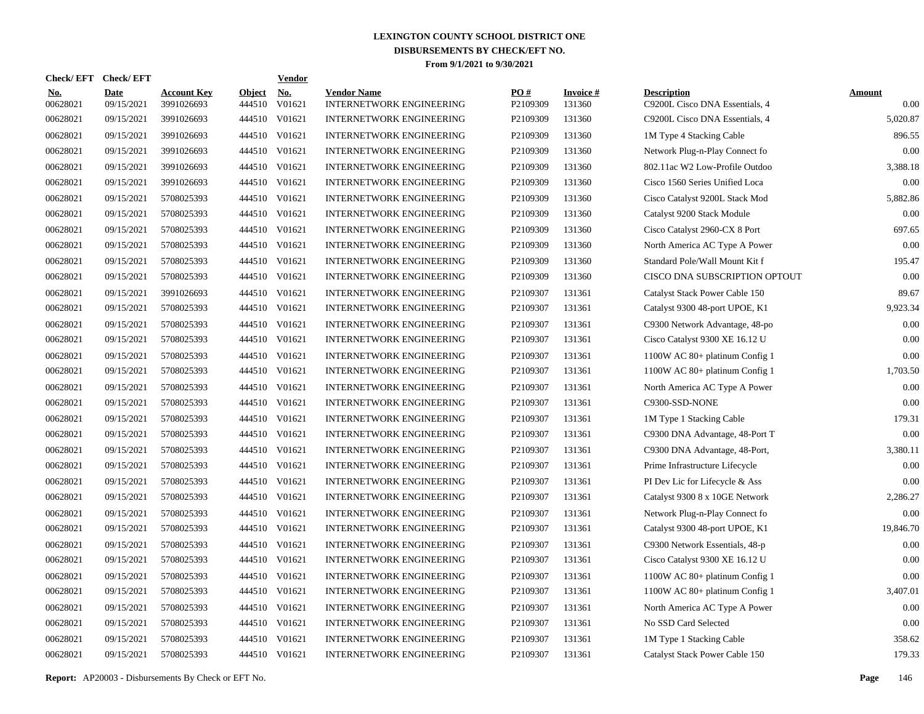| Check/ EFT             | <b>Check/EFT</b>          |                                  |                         | <b>Vendor</b> |                                                       |                 |                           |                                                      |                       |
|------------------------|---------------------------|----------------------------------|-------------------------|---------------|-------------------------------------------------------|-----------------|---------------------------|------------------------------------------------------|-----------------------|
| <u>No.</u><br>00628021 | <b>Date</b><br>09/15/2021 | <b>Account Key</b><br>3991026693 | <b>Object</b><br>444510 | No.<br>V01621 | <b>Vendor Name</b><br><b>INTERNETWORK ENGINEERING</b> | PO#<br>P2109309 | <b>Invoice#</b><br>131360 | <b>Description</b><br>C9200L Cisco DNA Essentials, 4 | <b>Amount</b><br>0.00 |
| 00628021               | 09/15/2021                | 3991026693                       | 444510                  | V01621        | <b>INTERNETWORK ENGINEERING</b>                       | P2109309        | 131360                    | C9200L Cisco DNA Essentials, 4                       | 5,020.87              |
| 00628021               | 09/15/2021                | 3991026693                       | 444510                  | V01621        | <b>INTERNETWORK ENGINEERING</b>                       | P2109309        | 131360                    | 1M Type 4 Stacking Cable                             | 896.55                |
| 00628021               | 09/15/2021                | 3991026693                       | 444510                  | V01621        | <b>INTERNETWORK ENGINEERING</b>                       | P2109309        | 131360                    | Network Plug-n-Play Connect fo                       | 0.00                  |
| 00628021               | 09/15/2021                | 3991026693                       | 444510                  | V01621        | <b>INTERNETWORK ENGINEERING</b>                       | P2109309        | 131360                    | 802.11ac W2 Low-Profile Outdoo                       | 3,388.18              |
| 00628021               | 09/15/2021                | 3991026693                       | 444510                  | V01621        | <b>INTERNETWORK ENGINEERING</b>                       | P2109309        | 131360                    | Cisco 1560 Series Unified Loca                       | 0.00                  |
| 00628021               | 09/15/2021                | 5708025393                       | 444510                  | V01621        | <b>INTERNETWORK ENGINEERING</b>                       | P2109309        | 131360                    | Cisco Catalyst 9200L Stack Mod                       | 5,882.86              |
| 00628021               | 09/15/2021                | 5708025393                       | 444510                  | V01621        | <b>INTERNETWORK ENGINEERING</b>                       | P2109309        | 131360                    | Catalyst 9200 Stack Module                           | 0.00                  |
| 00628021               | 09/15/2021                | 5708025393                       | 444510                  | V01621        | <b>INTERNETWORK ENGINEERING</b>                       | P2109309        | 131360                    | Cisco Catalyst 2960-CX 8 Port                        | 697.65                |
| 00628021               | 09/15/2021                | 5708025393                       | 444510                  | V01621        | <b>INTERNETWORK ENGINEERING</b>                       | P2109309        | 131360                    | North America AC Type A Power                        | 0.00                  |
| 00628021               | 09/15/2021                | 5708025393                       | 444510                  | V01621        | <b>INTERNETWORK ENGINEERING</b>                       | P2109309        | 131360                    | Standard Pole/Wall Mount Kit f                       | 195.47                |
| 00628021               | 09/15/2021                | 5708025393                       | 444510                  | V01621        | <b>INTERNETWORK ENGINEERING</b>                       | P2109309        | 131360                    | CISCO DNA SUBSCRIPTION OPTOUT                        | 0.00                  |
| 00628021               | 09/15/2021                | 3991026693                       | 444510                  | V01621        | <b>INTERNETWORK ENGINEERING</b>                       | P2109307        | 131361                    | Catalyst Stack Power Cable 150                       | 89.67                 |
| 00628021               | 09/15/2021                | 5708025393                       | 444510                  | V01621        | <b>INTERNETWORK ENGINEERING</b>                       | P2109307        | 131361                    | Catalyst 9300 48-port UPOE, K1                       | 9,923.34              |
| 00628021               | 09/15/2021                | 5708025393                       | 444510                  | V01621        | <b>INTERNETWORK ENGINEERING</b>                       | P2109307        | 131361                    | C9300 Network Advantage, 48-po                       | 0.00                  |
| 00628021               | 09/15/2021                | 5708025393                       | 444510                  | V01621        | <b>INTERNETWORK ENGINEERING</b>                       | P2109307        | 131361                    | Cisco Catalyst 9300 XE 16.12 U                       | 0.00                  |
| 00628021               | 09/15/2021                | 5708025393                       | 444510                  | V01621        | <b>INTERNETWORK ENGINEERING</b>                       | P2109307        | 131361                    | 1100W AC 80+ platinum Config 1                       | 0.00                  |
| 00628021               | 09/15/2021                | 5708025393                       | 444510                  | V01621        | <b>INTERNETWORK ENGINEERING</b>                       | P2109307        | 131361                    | 1100W AC 80+ platinum Config 1                       | 1,703.50              |
| 00628021               | 09/15/2021                | 5708025393                       | 444510                  | V01621        | <b>INTERNETWORK ENGINEERING</b>                       | P2109307        | 131361                    | North America AC Type A Power                        | 0.00                  |
| 00628021               | 09/15/2021                | 5708025393                       | 444510                  | V01621        | INTERNETWORK ENGINEERING                              | P2109307        | 131361                    | C9300-SSD-NONE                                       | 0.00                  |
| 00628021               | 09/15/2021                | 5708025393                       | 444510                  | V01621        | <b>INTERNETWORK ENGINEERING</b>                       | P2109307        | 131361                    | 1M Type 1 Stacking Cable                             | 179.31                |
| 00628021               | 09/15/2021                | 5708025393                       | 444510                  | V01621        | <b>INTERNETWORK ENGINEERING</b>                       | P2109307        | 131361                    | C9300 DNA Advantage, 48-Port T                       | 0.00                  |
| 00628021               | 09/15/2021                | 5708025393                       | 444510                  | V01621        | <b>INTERNETWORK ENGINEERING</b>                       | P2109307        | 131361                    | C9300 DNA Advantage, 48-Port,                        | 3,380.11              |
| 00628021               | 09/15/2021                | 5708025393                       | 444510 V01621           |               | <b>INTERNETWORK ENGINEERING</b>                       | P2109307        | 131361                    | Prime Infrastructure Lifecycle                       | 0.00                  |
| 00628021               | 09/15/2021                | 5708025393                       | 444510                  | V01621        | <b>INTERNETWORK ENGINEERING</b>                       | P2109307        | 131361                    | PI Dev Lic for Lifecycle & Ass                       | 0.00                  |
| 00628021               | 09/15/2021                | 5708025393                       | 444510 V01621           |               | <b>INTERNETWORK ENGINEERING</b>                       | P2109307        | 131361                    | Catalyst 9300 8 x 10GE Network                       | 2,286.27              |
| 00628021               | 09/15/2021                | 5708025393                       | 444510                  | V01621        | <b>INTERNETWORK ENGINEERING</b>                       | P2109307        | 131361                    | Network Plug-n-Play Connect fo                       | 0.00                  |
| 00628021               | 09/15/2021                | 5708025393                       | 444510 V01621           |               | <b>INTERNETWORK ENGINEERING</b>                       | P2109307        | 131361                    | Catalyst 9300 48-port UPOE, K1                       | 19,846.70             |
| 00628021               | 09/15/2021                | 5708025393                       | 444510                  | V01621        | <b>INTERNETWORK ENGINEERING</b>                       | P2109307        | 131361                    | C9300 Network Essentials, 48-p                       | 0.00                  |
| 00628021               | 09/15/2021                | 5708025393                       | 444510 V01621           |               | <b>INTERNETWORK ENGINEERING</b>                       | P2109307        | 131361                    | Cisco Catalyst 9300 XE 16.12 U                       | 0.00                  |
| 00628021               | 09/15/2021                | 5708025393                       | 444510                  | V01621        | <b>INTERNETWORK ENGINEERING</b>                       | P2109307        | 131361                    | 1100W AC 80+ platinum Config 1                       | 0.00                  |
| 00628021               | 09/15/2021                | 5708025393                       | 444510                  | V01621        | <b>INTERNETWORK ENGINEERING</b>                       | P2109307        | 131361                    | 1100W AC 80+ platinum Config 1                       | 3,407.01              |
| 00628021               | 09/15/2021                | 5708025393                       | 444510                  | V01621        | <b>INTERNETWORK ENGINEERING</b>                       | P2109307        | 131361                    | North America AC Type A Power                        | 0.00                  |
| 00628021               | 09/15/2021                | 5708025393                       | 444510 V01621           |               | <b>INTERNETWORK ENGINEERING</b>                       | P2109307        | 131361                    | No SSD Card Selected                                 | 0.00                  |
| 00628021               | 09/15/2021                | 5708025393                       | 444510                  | V01621        | <b>INTERNETWORK ENGINEERING</b>                       | P2109307        | 131361                    | 1M Type 1 Stacking Cable                             | 358.62                |
| 00628021               | 09/15/2021                | 5708025393                       | 444510 V01621           |               | <b>INTERNETWORK ENGINEERING</b>                       | P2109307        | 131361                    | Catalyst Stack Power Cable 150                       | 179.33                |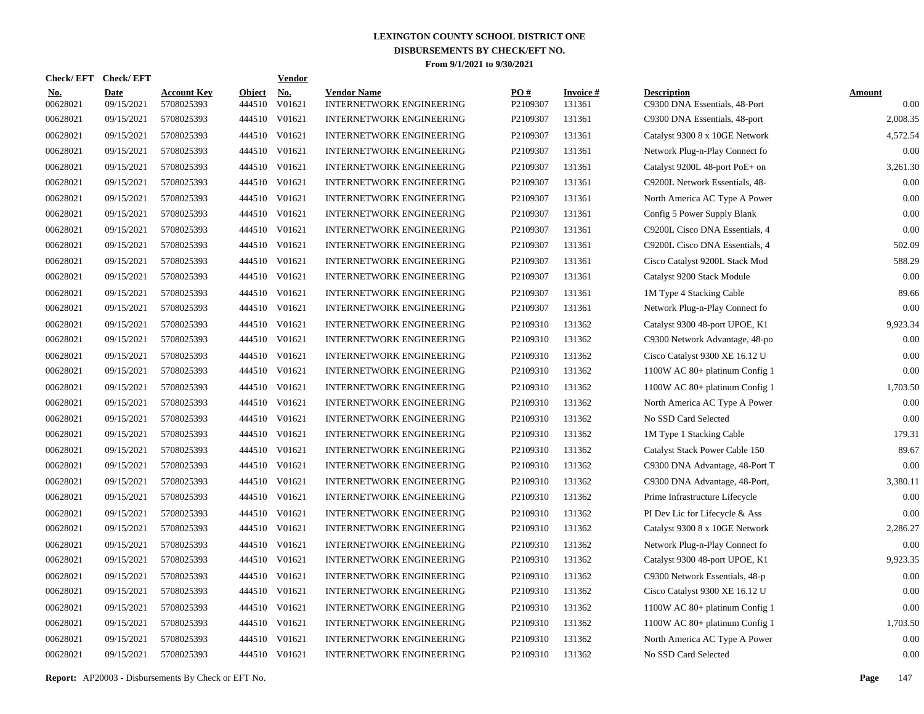| <b>Check/EFT</b>       | <b>Check/EFT</b>          |                                  |                         | <b>Vendor</b>        |                                                       |                 |                           |                                                     |                       |
|------------------------|---------------------------|----------------------------------|-------------------------|----------------------|-------------------------------------------------------|-----------------|---------------------------|-----------------------------------------------------|-----------------------|
| <u>No.</u><br>00628021 | <b>Date</b><br>09/15/2021 | <b>Account Key</b><br>5708025393 | <b>Object</b><br>444510 | <u>No.</u><br>V01621 | <b>Vendor Name</b><br><b>INTERNETWORK ENGINEERING</b> | PO#<br>P2109307 | <b>Invoice#</b><br>131361 | <b>Description</b><br>C9300 DNA Essentials, 48-Port | <b>Amount</b><br>0.00 |
| 00628021               | 09/15/2021                | 5708025393                       | 444510                  | V01621               | <b>INTERNETWORK ENGINEERING</b>                       | P2109307        | 131361                    | C9300 DNA Essentials, 48-port                       | 2,008.35              |
| 00628021               | 09/15/2021                | 5708025393                       |                         | 444510 V01621        | <b>INTERNETWORK ENGINEERING</b>                       | P2109307        | 131361                    | Catalyst 9300 8 x 10GE Network                      | 4,572.54              |
| 00628021               | 09/15/2021                | 5708025393                       |                         | 444510 V01621        | <b>INTERNETWORK ENGINEERING</b>                       | P2109307        | 131361                    | Network Plug-n-Play Connect fo                      | 0.00                  |
| 00628021               | 09/15/2021                | 5708025393                       |                         | 444510 V01621        | <b>INTERNETWORK ENGINEERING</b>                       | P2109307        | 131361                    | Catalyst 9200L 48-port PoE+ on                      | 3,261.30              |
| 00628021               | 09/15/2021                | 5708025393                       |                         | 444510 V01621        | <b>INTERNETWORK ENGINEERING</b>                       | P2109307        | 131361                    | C9200L Network Essentials, 48-                      | 0.00                  |
| 00628021               | 09/15/2021                | 5708025393                       |                         | 444510 V01621        | <b>INTERNETWORK ENGINEERING</b>                       | P2109307        | 131361                    | North America AC Type A Power                       | 0.00                  |
| 00628021               | 09/15/2021                | 5708025393                       |                         | 444510 V01621        | <b>INTERNETWORK ENGINEERING</b>                       | P2109307        | 131361                    | Config 5 Power Supply Blank                         | 0.00                  |
| 00628021               | 09/15/2021                | 5708025393                       |                         | 444510 V01621        | <b>INTERNETWORK ENGINEERING</b>                       | P2109307        | 131361                    | C9200L Cisco DNA Essentials, 4                      | 0.00                  |
| 00628021               | 09/15/2021                | 5708025393                       |                         | 444510 V01621        | <b>INTERNETWORK ENGINEERING</b>                       | P2109307        | 131361                    | C9200L Cisco DNA Essentials, 4                      | 502.09                |
| 00628021               | 09/15/2021                | 5708025393                       |                         | 444510 V01621        | <b>INTERNETWORK ENGINEERING</b>                       | P2109307        | 131361                    | Cisco Catalyst 9200L Stack Mod                      | 588.29                |
| 00628021               | 09/15/2021                | 5708025393                       |                         | 444510 V01621        | <b>INTERNETWORK ENGINEERING</b>                       | P2109307        | 131361                    | Catalyst 9200 Stack Module                          | 0.00                  |
| 00628021               | 09/15/2021                | 5708025393                       |                         | 444510 V01621        | <b>INTERNETWORK ENGINEERING</b>                       | P2109307        | 131361                    | 1M Type 4 Stacking Cable                            | 89.66                 |
| 00628021               | 09/15/2021                | 5708025393                       |                         | 444510 V01621        | <b>INTERNETWORK ENGINEERING</b>                       | P2109307        | 131361                    | Network Plug-n-Play Connect fo                      | 0.00                  |
| 00628021               | 09/15/2021                | 5708025393                       |                         | 444510 V01621        | <b>INTERNETWORK ENGINEERING</b>                       | P2109310        | 131362                    | Catalyst 9300 48-port UPOE, K1                      | 9,923.34              |
| 00628021               | 09/15/2021                | 5708025393                       |                         | 444510 V01621        | <b>INTERNETWORK ENGINEERING</b>                       | P2109310        | 131362                    | C9300 Network Advantage, 48-po                      | 0.00                  |
| 00628021               | 09/15/2021                | 5708025393                       |                         | 444510 V01621        | <b>INTERNETWORK ENGINEERING</b>                       | P2109310        | 131362                    | Cisco Catalyst 9300 XE 16.12 U                      | 0.00                  |
| 00628021               | 09/15/2021                | 5708025393                       |                         | 444510 V01621        | <b>INTERNETWORK ENGINEERING</b>                       | P2109310        | 131362                    | 1100W AC 80+ platinum Config 1                      | 0.00                  |
| 00628021               | 09/15/2021                | 5708025393                       |                         | 444510 V01621        | <b>INTERNETWORK ENGINEERING</b>                       | P2109310        | 131362                    | 1100W AC 80+ platinum Config 1                      | 1,703.50              |
| 00628021               | 09/15/2021                | 5708025393                       |                         | 444510 V01621        | <b>INTERNETWORK ENGINEERING</b>                       | P2109310        | 131362                    | North America AC Type A Power                       | 0.00                  |
| 00628021               | 09/15/2021                | 5708025393                       |                         | 444510 V01621        | <b>INTERNETWORK ENGINEERING</b>                       | P2109310        | 131362                    | No SSD Card Selected                                | 0.00                  |
| 00628021               | 09/15/2021                | 5708025393                       |                         | 444510 V01621        | <b>INTERNETWORK ENGINEERING</b>                       | P2109310        | 131362                    | 1M Type 1 Stacking Cable                            | 179.31                |
| 00628021               | 09/15/2021                | 5708025393                       |                         | 444510 V01621        | <b>INTERNETWORK ENGINEERING</b>                       | P2109310        | 131362                    | Catalyst Stack Power Cable 150                      | 89.67                 |
| 00628021               | 09/15/2021                | 5708025393                       |                         | 444510 V01621        | <b>INTERNETWORK ENGINEERING</b>                       | P2109310        | 131362                    | C9300 DNA Advantage, 48-Port T                      | 0.00                  |
| 00628021               | 09/15/2021                | 5708025393                       |                         | 444510 V01621        | <b>INTERNETWORK ENGINEERING</b>                       | P2109310        | 131362                    | C9300 DNA Advantage, 48-Port,                       | 3,380.11              |
| 00628021               | 09/15/2021                | 5708025393                       |                         | 444510 V01621        | <b>INTERNETWORK ENGINEERING</b>                       | P2109310        | 131362                    | Prime Infrastructure Lifecycle                      | 0.00                  |
| 00628021               | 09/15/2021                | 5708025393                       |                         | 444510 V01621        | <b>INTERNETWORK ENGINEERING</b>                       | P2109310        | 131362                    | PI Dev Lic for Lifecycle & Ass                      | 0.00                  |
| 00628021               | 09/15/2021                | 5708025393                       |                         | 444510 V01621        | <b>INTERNETWORK ENGINEERING</b>                       | P2109310        | 131362                    | Catalyst 9300 8 x 10GE Network                      | 2,286.27              |
| 00628021               | 09/15/2021                | 5708025393                       |                         | 444510 V01621        | <b>INTERNETWORK ENGINEERING</b>                       | P2109310        | 131362                    | Network Plug-n-Play Connect fo                      | 0.00                  |
| 00628021               | 09/15/2021                | 5708025393                       |                         | 444510 V01621        | <b>INTERNETWORK ENGINEERING</b>                       | P2109310        | 131362                    | Catalyst 9300 48-port UPOE, K1                      | 9,923.35              |
| 00628021               | 09/15/2021                | 5708025393                       |                         | 444510 V01621        | <b>INTERNETWORK ENGINEERING</b>                       | P2109310        | 131362                    | C9300 Network Essentials, 48-p                      | 0.00                  |
| 00628021               | 09/15/2021                | 5708025393                       |                         | 444510 V01621        | <b>INTERNETWORK ENGINEERING</b>                       | P2109310        | 131362                    | Cisco Catalyst 9300 XE 16.12 U                      | 0.00                  |
| 00628021               | 09/15/2021                | 5708025393                       |                         | 444510 V01621        | <b>INTERNETWORK ENGINEERING</b>                       | P2109310        | 131362                    | 1100W AC 80+ platinum Config 1                      | 0.00                  |
| 00628021               | 09/15/2021                | 5708025393                       |                         | 444510 V01621        | <b>INTERNETWORK ENGINEERING</b>                       | P2109310        | 131362                    | 1100W AC 80+ platinum Config 1                      | 1,703.50              |
| 00628021               | 09/15/2021                | 5708025393                       | 444510                  | V01621               | <b>INTERNETWORK ENGINEERING</b>                       | P2109310        | 131362                    | North America AC Type A Power                       | 0.00                  |
| 00628021               | 09/15/2021                | 5708025393                       |                         | 444510 V01621        | <b>INTERNETWORK ENGINEERING</b>                       | P2109310        | 131362                    | No SSD Card Selected                                | 0.00                  |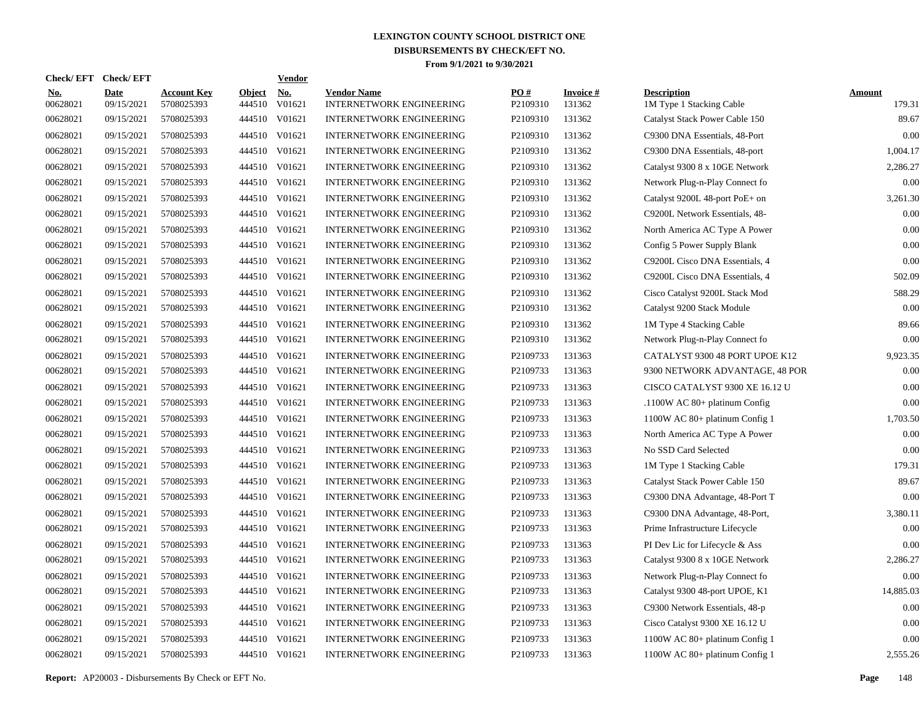|                        | Check/EFT Check/EFT       |                                  |                         | <u>Vendor</u>        |                                                       |                 |                           |                                                |                         |
|------------------------|---------------------------|----------------------------------|-------------------------|----------------------|-------------------------------------------------------|-----------------|---------------------------|------------------------------------------------|-------------------------|
| <u>No.</u><br>00628021 | <b>Date</b><br>09/15/2021 | <b>Account Key</b><br>5708025393 | <b>Object</b><br>444510 | <u>No.</u><br>V01621 | <b>Vendor Name</b><br><b>INTERNETWORK ENGINEERING</b> | PQ#<br>P2109310 | <b>Invoice#</b><br>131362 | <b>Description</b><br>1M Type 1 Stacking Cable | <b>Amount</b><br>179.31 |
| 00628021               | 09/15/2021                | 5708025393                       | 444510                  | V01621               | <b>INTERNETWORK ENGINEERING</b>                       | P2109310        | 131362                    | Catalyst Stack Power Cable 150                 | 89.67                   |
| 00628021               | 09/15/2021                | 5708025393                       | 444510                  | V01621               | <b>INTERNETWORK ENGINEERING</b>                       | P2109310        | 131362                    | C9300 DNA Essentials, 48-Port                  | 0.00                    |
| 00628021               | 09/15/2021                | 5708025393                       | 444510                  | V01621               | <b>INTERNETWORK ENGINEERING</b>                       | P2109310        | 131362                    | C9300 DNA Essentials, 48-port                  | 1,004.17                |
| 00628021               | 09/15/2021                | 5708025393                       |                         | 444510 V01621        | <b>INTERNETWORK ENGINEERING</b>                       | P2109310        | 131362                    | Catalyst 9300 8 x 10GE Network                 | 2,286.27                |
| 00628021               | 09/15/2021                | 5708025393                       |                         | 444510 V01621        | <b>INTERNETWORK ENGINEERING</b>                       | P2109310        | 131362                    | Network Plug-n-Play Connect fo                 | 0.00                    |
| 00628021               | 09/15/2021                | 5708025393                       |                         | 444510 V01621        | <b>INTERNETWORK ENGINEERING</b>                       | P2109310        | 131362                    | Catalyst 9200L 48-port PoE+ on                 | 3,261.30                |
| 00628021               | 09/15/2021                | 5708025393                       |                         | 444510 V01621        | INTERNETWORK ENGINEERING                              | P2109310        | 131362                    | C9200L Network Essentials, 48-                 | 0.00                    |
| 00628021               | 09/15/2021                | 5708025393                       |                         | 444510 V01621        | <b>INTERNETWORK ENGINEERING</b>                       | P2109310        | 131362                    | North America AC Type A Power                  | 0.00                    |
| 00628021               | 09/15/2021                | 5708025393                       |                         | 444510 V01621        | <b>INTERNETWORK ENGINEERING</b>                       | P2109310        | 131362                    | Config 5 Power Supply Blank                    | 0.00                    |
| 00628021               | 09/15/2021                | 5708025393                       |                         | 444510 V01621        | <b>INTERNETWORK ENGINEERING</b>                       | P2109310        | 131362                    | C9200L Cisco DNA Essentials, 4                 | 0.00                    |
| 00628021               | 09/15/2021                | 5708025393                       |                         | 444510 V01621        | <b>INTERNETWORK ENGINEERING</b>                       | P2109310        | 131362                    | C9200L Cisco DNA Essentials, 4                 | 502.09                  |
| 00628021               | 09/15/2021                | 5708025393                       |                         | 444510 V01621        | <b>INTERNETWORK ENGINEERING</b>                       | P2109310        | 131362                    | Cisco Catalyst 9200L Stack Mod                 | 588.29                  |
| 00628021               | 09/15/2021                | 5708025393                       |                         | 444510 V01621        | <b>INTERNETWORK ENGINEERING</b>                       | P2109310        | 131362                    | Catalyst 9200 Stack Module                     | 0.00                    |
| 00628021               | 09/15/2021                | 5708025393                       |                         | 444510 V01621        | <b>INTERNETWORK ENGINEERING</b>                       | P2109310        | 131362                    | 1M Type 4 Stacking Cable                       | 89.66                   |
| 00628021               | 09/15/2021                | 5708025393                       |                         | 444510 V01621        | <b>INTERNETWORK ENGINEERING</b>                       | P2109310        | 131362                    | Network Plug-n-Play Connect fo                 | 0.00                    |
| 00628021               | 09/15/2021                | 5708025393                       |                         | 444510 V01621        | <b>INTERNETWORK ENGINEERING</b>                       | P2109733        | 131363                    | CATALYST 9300 48 PORT UPOE K12                 | 9,923.35                |
| 00628021               | 09/15/2021                | 5708025393                       |                         | 444510 V01621        | <b>INTERNETWORK ENGINEERING</b>                       | P2109733        | 131363                    | 9300 NETWORK ADVANTAGE, 48 POR                 | 0.00                    |
| 00628021               | 09/15/2021                | 5708025393                       |                         | 444510 V01621        | <b>INTERNETWORK ENGINEERING</b>                       | P2109733        | 131363                    | CISCO CATALYST 9300 XE 16.12 U                 | 0.00                    |
| 00628021               | 09/15/2021                | 5708025393                       |                         | 444510 V01621        | <b>INTERNETWORK ENGINEERING</b>                       | P2109733        | 131363                    | .1100W AC 80+ platinum Config                  | 0.00                    |
| 00628021               | 09/15/2021                | 5708025393                       | 444510                  | V01621               | <b>INTERNETWORK ENGINEERING</b>                       | P2109733        | 131363                    | 1100W AC 80+ platinum Config 1                 | 1,703.50                |
| 00628021               | 09/15/2021                | 5708025393                       |                         | 444510 V01621        | <b>INTERNETWORK ENGINEERING</b>                       | P2109733        | 131363                    | North America AC Type A Power                  | 0.00                    |
| 00628021               | 09/15/2021                | 5708025393                       | 444510                  | V01621               | <b>INTERNETWORK ENGINEERING</b>                       | P2109733        | 131363                    | No SSD Card Selected                           | 0.00                    |
| 00628021               | 09/15/2021                | 5708025393                       |                         | 444510 V01621        | <b>INTERNETWORK ENGINEERING</b>                       | P2109733        | 131363                    | 1M Type 1 Stacking Cable                       | 179.31                  |
| 00628021               | 09/15/2021                | 5708025393                       | 444510                  | V01621               | <b>INTERNETWORK ENGINEERING</b>                       | P2109733        | 131363                    | Catalyst Stack Power Cable 150                 | 89.67                   |
| 00628021               | 09/15/2021                | 5708025393                       |                         | 444510 V01621        | <b>INTERNETWORK ENGINEERING</b>                       | P2109733        | 131363                    | C9300 DNA Advantage, 48-Port T                 | 0.00                    |
| 00628021               | 09/15/2021                | 5708025393                       | 444510                  | V01621               | <b>INTERNETWORK ENGINEERING</b>                       | P2109733        | 131363                    | C9300 DNA Advantage, 48-Port,                  | 3,380.11                |
| 00628021               | 09/15/2021                | 5708025393                       |                         | 444510 V01621        | <b>INTERNETWORK ENGINEERING</b>                       | P2109733        | 131363                    | Prime Infrastructure Lifecycle                 | 0.00                    |
| 00628021               | 09/15/2021                | 5708025393                       | 444510                  | V01621               | <b>INTERNETWORK ENGINEERING</b>                       | P2109733        | 131363                    | PI Dev Lic for Lifecycle & Ass                 | 0.00                    |
| 00628021               | 09/15/2021                | 5708025393                       |                         | 444510 V01621        | <b>INTERNETWORK ENGINEERING</b>                       | P2109733        | 131363                    | Catalyst 9300 8 x 10GE Network                 | 2,286.27                |
| 00628021               | 09/15/2021                | 5708025393                       | 444510                  | V01621               | <b>INTERNETWORK ENGINEERING</b>                       | P2109733        | 131363                    | Network Plug-n-Play Connect fo                 | 0.00                    |
| 00628021               | 09/15/2021                | 5708025393                       |                         | 444510 V01621        | <b>INTERNETWORK ENGINEERING</b>                       | P2109733        | 131363                    | Catalyst 9300 48-port UPOE, K1                 | 14,885.03               |
| 00628021               | 09/15/2021                | 5708025393                       | 444510                  | V01621               | <b>INTERNETWORK ENGINEERING</b>                       | P2109733        | 131363                    | C9300 Network Essentials, 48-p                 | 0.00                    |
| 00628021               | 09/15/2021                | 5708025393                       |                         | 444510 V01621        | <b>INTERNETWORK ENGINEERING</b>                       | P2109733        | 131363                    | Cisco Catalyst 9300 XE 16.12 U                 | 0.00                    |
| 00628021               | 09/15/2021                | 5708025393                       | 444510                  | V01621               | <b>INTERNETWORK ENGINEERING</b>                       | P2109733        | 131363                    | 1100W AC 80+ platinum Config 1                 | 0.00                    |
| 00628021               | 09/15/2021                | 5708025393                       |                         | 444510 V01621        | <b>INTERNETWORK ENGINEERING</b>                       | P2109733        | 131363                    | 1100W AC 80+ platinum Config 1                 | 2,555.26                |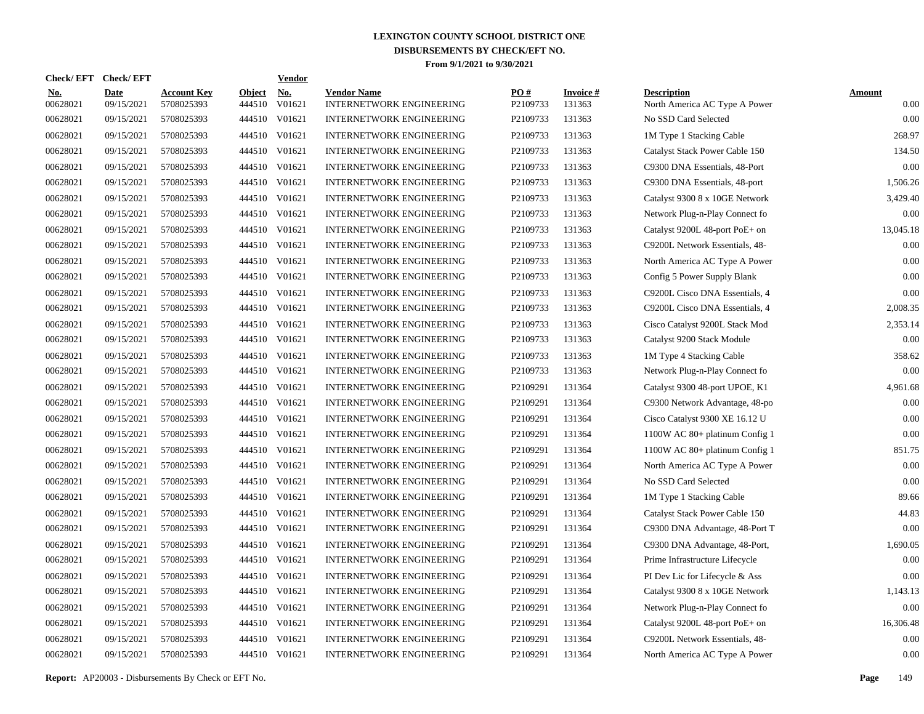| Check/EFT Check/EFT    |                           |                                  |                         | <u>Vendor</u>        |                                                       |                 |                           |                                                     |                       |
|------------------------|---------------------------|----------------------------------|-------------------------|----------------------|-------------------------------------------------------|-----------------|---------------------------|-----------------------------------------------------|-----------------------|
| <u>No.</u><br>00628021 | <b>Date</b><br>09/15/2021 | <b>Account Key</b><br>5708025393 | <b>Object</b><br>444510 | <u>No.</u><br>V01621 | <b>Vendor Name</b><br><b>INTERNETWORK ENGINEERING</b> | PQ#<br>P2109733 | <b>Invoice#</b><br>131363 | <b>Description</b><br>North America AC Type A Power | <b>Amount</b><br>0.00 |
| 00628021               | 09/15/2021                | 5708025393                       | 444510                  | V01621               | <b>INTERNETWORK ENGINEERING</b>                       | P2109733        | 131363                    | No SSD Card Selected                                | 0.00                  |
| 00628021               | 09/15/2021                | 5708025393                       | 444510                  | V01621               | <b>INTERNETWORK ENGINEERING</b>                       | P2109733        | 131363                    | 1M Type 1 Stacking Cable                            | 268.97                |
| 00628021               | 09/15/2021                | 5708025393                       | 444510                  | V01621               | <b>INTERNETWORK ENGINEERING</b>                       | P2109733        | 131363                    | Catalyst Stack Power Cable 150                      | 134.50                |
| 00628021               | 09/15/2021                | 5708025393                       | 444510                  | V01621               | <b>INTERNETWORK ENGINEERING</b>                       | P2109733        | 131363                    | C9300 DNA Essentials, 48-Port                       | 0.00                  |
| 00628021               | 09/15/2021                | 5708025393                       |                         | 444510 V01621        | <b>INTERNETWORK ENGINEERING</b>                       | P2109733        | 131363                    | C9300 DNA Essentials, 48-port                       | 1,506.26              |
| 00628021               | 09/15/2021                | 5708025393                       |                         | 444510 V01621        | <b>INTERNETWORK ENGINEERING</b>                       | P2109733        | 131363                    | Catalyst 9300 8 x 10GE Network                      | 3,429.40              |
| 00628021               | 09/15/2021                | 5708025393                       |                         | 444510 V01621        | <b>INTERNETWORK ENGINEERING</b>                       | P2109733        | 131363                    | Network Plug-n-Play Connect fo                      | 0.00                  |
| 00628021               | 09/15/2021                | 5708025393                       |                         | 444510 V01621        | <b>INTERNETWORK ENGINEERING</b>                       | P2109733        | 131363                    | Catalyst 9200L 48-port PoE+ on                      | 13,045.18             |
| 00628021               | 09/15/2021                | 5708025393                       |                         | 444510 V01621        | <b>INTERNETWORK ENGINEERING</b>                       | P2109733        | 131363                    | C9200L Network Essentials, 48-                      | 0.00                  |
| 00628021               | 09/15/2021                | 5708025393                       |                         | 444510 V01621        | <b>INTERNETWORK ENGINEERING</b>                       | P2109733        | 131363                    | North America AC Type A Power                       | 0.00                  |
| 00628021               | 09/15/2021                | 5708025393                       |                         | 444510 V01621        | <b>INTERNETWORK ENGINEERING</b>                       | P2109733        | 131363                    | Config 5 Power Supply Blank                         | 0.00                  |
| 00628021               | 09/15/2021                | 5708025393                       |                         | 444510 V01621        | <b>INTERNETWORK ENGINEERING</b>                       | P2109733        | 131363                    | C9200L Cisco DNA Essentials, 4                      | 0.00                  |
| 00628021               | 09/15/2021                | 5708025393                       |                         | 444510 V01621        | <b>INTERNETWORK ENGINEERING</b>                       | P2109733        | 131363                    | C9200L Cisco DNA Essentials, 4                      | 2,008.35              |
| 00628021               | 09/15/2021                | 5708025393                       |                         | 444510 V01621        | <b>INTERNETWORK ENGINEERING</b>                       | P2109733        | 131363                    | Cisco Catalyst 9200L Stack Mod                      | 2,353.14              |
| 00628021               | 09/15/2021                | 5708025393                       |                         | 444510 V01621        | <b>INTERNETWORK ENGINEERING</b>                       | P2109733        | 131363                    | Catalyst 9200 Stack Module                          | 0.00                  |
| 00628021               | 09/15/2021                | 5708025393                       |                         | 444510 V01621        | <b>INTERNETWORK ENGINEERING</b>                       | P2109733        | 131363                    | 1M Type 4 Stacking Cable                            | 358.62                |
| 00628021               | 09/15/2021                | 5708025393                       |                         | 444510 V01621        | <b>INTERNETWORK ENGINEERING</b>                       | P2109733        | 131363                    | Network Plug-n-Play Connect fo                      | 0.00                  |
| 00628021               | 09/15/2021                | 5708025393                       |                         | 444510 V01621        | <b>INTERNETWORK ENGINEERING</b>                       | P2109291        | 131364                    | Catalyst 9300 48-port UPOE, K1                      | 4,961.68              |
| 00628021               | 09/15/2021                | 5708025393                       |                         | 444510 V01621        | <b>INTERNETWORK ENGINEERING</b>                       | P2109291        | 131364                    | C9300 Network Advantage, 48-po                      | 0.00                  |
| 00628021               | 09/15/2021                | 5708025393                       |                         | 444510 V01621        | <b>INTERNETWORK ENGINEERING</b>                       | P2109291        | 131364                    | Cisco Catalyst 9300 XE 16.12 U                      | 0.00                  |
| 00628021               | 09/15/2021                | 5708025393                       |                         | 444510 V01621        | <b>INTERNETWORK ENGINEERING</b>                       | P2109291        | 131364                    | 1100W AC 80+ platinum Config 1                      | 0.00                  |
| 00628021               | 09/15/2021                | 5708025393                       |                         | 444510 V01621        | <b>INTERNETWORK ENGINEERING</b>                       | P2109291        | 131364                    | 1100W AC 80+ platinum Config 1                      | 851.75                |
| 00628021               | 09/15/2021                | 5708025393                       |                         | 444510 V01621        | <b>INTERNETWORK ENGINEERING</b>                       | P2109291        | 131364                    | North America AC Type A Power                       | 0.00                  |
| 00628021               | 09/15/2021                | 5708025393                       |                         | 444510 V01621        | <b>INTERNETWORK ENGINEERING</b>                       | P2109291        | 131364                    | No SSD Card Selected                                | 0.00                  |
| 00628021               | 09/15/2021                | 5708025393                       |                         | 444510 V01621        | <b>INTERNETWORK ENGINEERING</b>                       | P2109291        | 131364                    | 1M Type 1 Stacking Cable                            | 89.66                 |
| 00628021               | 09/15/2021                | 5708025393                       | 444510                  | V01621               | <b>INTERNETWORK ENGINEERING</b>                       | P2109291        | 131364                    | Catalyst Stack Power Cable 150                      | 44.83                 |
| 00628021               | 09/15/2021                | 5708025393                       |                         | 444510 V01621        | <b>INTERNETWORK ENGINEERING</b>                       | P2109291        | 131364                    | C9300 DNA Advantage, 48-Port T                      | 0.00                  |
| 00628021               | 09/15/2021                | 5708025393                       | 444510                  | V01621               | <b>INTERNETWORK ENGINEERING</b>                       | P2109291        | 131364                    | C9300 DNA Advantage, 48-Port,                       | 1,690.05              |
| 00628021               | 09/15/2021                | 5708025393                       |                         | 444510 V01621        | <b>INTERNETWORK ENGINEERING</b>                       | P2109291        | 131364                    | Prime Infrastructure Lifecycle                      | 0.00                  |
| 00628021               | 09/15/2021                | 5708025393                       | 444510                  | V01621               | <b>INTERNETWORK ENGINEERING</b>                       | P2109291        | 131364                    | PI Dev Lic for Lifecycle & Ass                      | 0.00                  |
| 00628021               | 09/15/2021                | 5708025393                       |                         | 444510 V01621        | <b>INTERNETWORK ENGINEERING</b>                       | P2109291        | 131364                    | Catalyst 9300 8 x 10GE Network                      | 1,143.13              |
| 00628021               | 09/15/2021                | 5708025393                       | 444510                  | V01621               | <b>INTERNETWORK ENGINEERING</b>                       | P2109291        | 131364                    | Network Plug-n-Play Connect fo                      | 0.00                  |
| 00628021               | 09/15/2021                | 5708025393                       |                         | 444510 V01621        | INTERNETWORK ENGINEERING                              | P2109291        | 131364                    | Catalyst 9200L 48-port PoE+ on                      | 16,306.48             |
| 00628021               | 09/15/2021                | 5708025393                       | 444510                  | V01621               | <b>INTERNETWORK ENGINEERING</b>                       | P2109291        | 131364                    | C9200L Network Essentials, 48-                      | 0.00                  |
| 00628021               | 09/15/2021                | 5708025393                       |                         | 444510 V01621        | <b>INTERNETWORK ENGINEERING</b>                       | P2109291        | 131364                    | North America AC Type A Power                       | 0.00                  |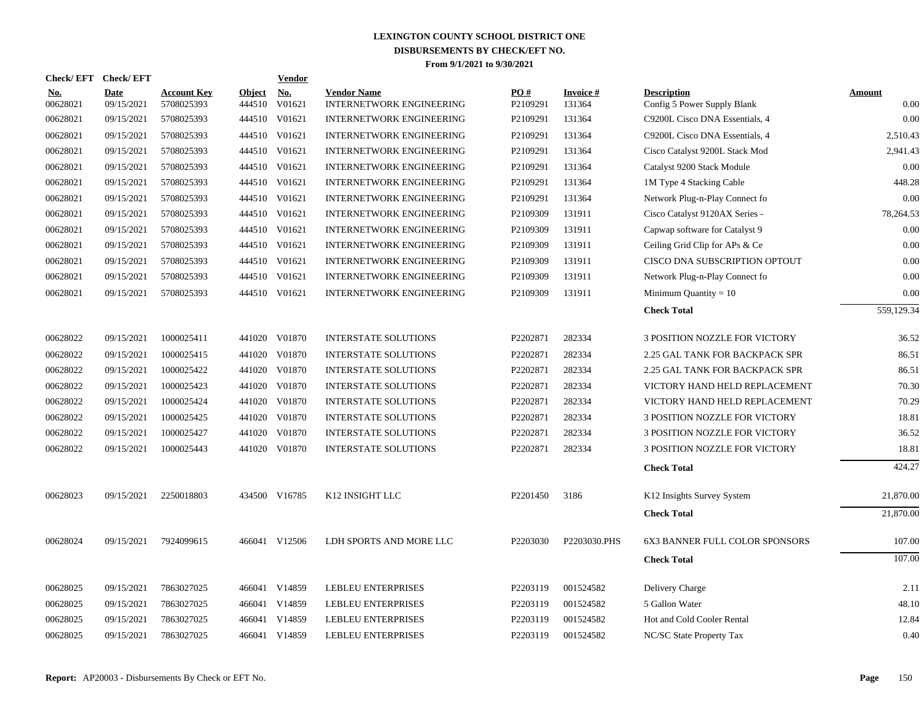|                 | Check/EFT Check/EFT       |                                  |                      | Vendor        |                                                       |                 |                     |                                                   |                |
|-----------------|---------------------------|----------------------------------|----------------------|---------------|-------------------------------------------------------|-----------------|---------------------|---------------------------------------------------|----------------|
| No.<br>00628021 | <b>Date</b><br>09/15/2021 | <b>Account Key</b><br>5708025393 | Object No.<br>444510 | V01621        | <b>Vendor Name</b><br><b>INTERNETWORK ENGINEERING</b> | PO#<br>P2109291 | Invoice #<br>131364 | <b>Description</b><br>Config 5 Power Supply Blank | Amount<br>0.00 |
| 00628021        | 09/15/2021                | 5708025393                       |                      | 444510 V01621 | <b>INTERNETWORK ENGINEERING</b>                       | P2109291        | 131364              | C9200L Cisco DNA Essentials, 4                    | 0.00           |
| 00628021        | 09/15/2021                | 5708025393                       |                      | 444510 V01621 | <b>INTERNETWORK ENGINEERING</b>                       | P2109291        | 131364              | C9200L Cisco DNA Essentials, 4                    | 2,510.43       |
| 00628021        | 09/15/2021                | 5708025393                       |                      | 444510 V01621 | <b>INTERNETWORK ENGINEERING</b>                       | P2109291        | 131364              | Cisco Catalyst 9200L Stack Mod                    | 2,941.43       |
| 00628021        | 09/15/2021                | 5708025393                       | 444510               | V01621        | <b>INTERNETWORK ENGINEERING</b>                       | P2109291        | 131364              | Catalyst 9200 Stack Module                        | 0.00           |
| 00628021        | 09/15/2021                | 5708025393                       | 444510               | V01621        | <b>INTERNETWORK ENGINEERING</b>                       | P2109291        | 131364              | 1M Type 4 Stacking Cable                          | 448.28         |
| 00628021        | 09/15/2021                | 5708025393                       | 444510               | V01621        | <b>INTERNETWORK ENGINEERING</b>                       | P2109291        | 131364              | Network Plug-n-Play Connect fo                    | 0.00           |
| 00628021        | 09/15/2021                | 5708025393                       | 444510               | V01621        | <b>INTERNETWORK ENGINEERING</b>                       | P2109309        | 131911              | Cisco Catalyst 9120AX Series -                    | 78,264.53      |
| 00628021        | 09/15/2021                | 5708025393                       |                      | 444510 V01621 | <b>INTERNETWORK ENGINEERING</b>                       | P2109309        | 131911              | Capwap software for Catalyst 9                    | 0.00           |
| 00628021        | 09/15/2021                | 5708025393                       | 444510               | V01621        | <b>INTERNETWORK ENGINEERING</b>                       | P2109309        | 131911              | Ceiling Grid Clip for APs & Ce                    | 0.00           |
| 00628021        | 09/15/2021                | 5708025393                       | 444510               | V01621        | <b>INTERNETWORK ENGINEERING</b>                       | P2109309        | 131911              | CISCO DNA SUBSCRIPTION OPTOUT                     | 0.00           |
| 00628021        | 09/15/2021                | 5708025393                       | 444510               | V01621        | <b>INTERNETWORK ENGINEERING</b>                       | P2109309        | 131911              | Network Plug-n-Play Connect fo                    | 0.00           |
| 00628021        | 09/15/2021                | 5708025393                       |                      | 444510 V01621 | <b>INTERNETWORK ENGINEERING</b>                       | P2109309        | 131911              | Minimum Quantity = $10$                           | 0.00           |
|                 |                           |                                  |                      |               |                                                       |                 |                     | <b>Check Total</b>                                | 559,129.34     |
| 00628022        | 09/15/2021                | 1000025411                       | 441020               | V01870        | <b>INTERSTATE SOLUTIONS</b>                           | P2202871        | 282334              | 3 POSITION NOZZLE FOR VICTORY                     | 36.52          |
| 00628022        | 09/15/2021                | 1000025415                       |                      | 441020 V01870 | <b>INTERSTATE SOLUTIONS</b>                           | P2202871        | 282334              | 2.25 GAL TANK FOR BACKPACK SPR                    | 86.51          |
| 00628022        | 09/15/2021                | 1000025422                       |                      | 441020 V01870 | <b>INTERSTATE SOLUTIONS</b>                           | P2202871        | 282334              | 2.25 GAL TANK FOR BACKPACK SPR                    | 86.51          |
| 00628022        | 09/15/2021                | 1000025423                       | 441020               | V01870        | <b>INTERSTATE SOLUTIONS</b>                           | P2202871        | 282334              | VICTORY HAND HELD REPLACEMENT                     | 70.30          |
| 00628022        | 09/15/2021                | 1000025424                       | 441020               | V01870        | <b>INTERSTATE SOLUTIONS</b>                           | P2202871        | 282334              | VICTORY HAND HELD REPLACEMENT                     | 70.29          |
| 00628022        | 09/15/2021                | 1000025425                       | 441020               | V01870        | INTERSTATE SOLUTIONS                                  | P2202871        | 282334              | 3 POSITION NOZZLE FOR VICTORY                     | 18.81          |
| 00628022        | 09/15/2021                | 1000025427                       | 441020               | V01870        | <b>INTERSTATE SOLUTIONS</b>                           | P2202871        | 282334              | 3 POSITION NOZZLE FOR VICTORY                     | 36.52          |
| 00628022        | 09/15/2021                | 1000025443                       |                      | 441020 V01870 | <b>INTERSTATE SOLUTIONS</b>                           | P2202871        | 282334              | 3 POSITION NOZZLE FOR VICTORY                     | 18.81          |
|                 |                           |                                  |                      |               |                                                       |                 |                     | <b>Check Total</b>                                | 424.27         |
| 00628023        | 09/15/2021                | 2250018803                       |                      | 434500 V16785 | K12 INSIGHT LLC                                       | P2201450        | 3186                | K12 Insights Survey System                        | 21,870.00      |
|                 |                           |                                  |                      |               |                                                       |                 |                     | <b>Check Total</b>                                | 21,870.00      |
| 00628024        | 09/15/2021                | 7924099615                       |                      | 466041 V12506 | LDH SPORTS AND MORE LLC                               | P2203030        | P2203030.PHS        | <b>6X3 BANNER FULL COLOR SPONSORS</b>             | 107.00         |
|                 |                           |                                  |                      |               |                                                       |                 |                     |                                                   | 107.00         |
|                 |                           |                                  |                      |               |                                                       |                 |                     | <b>Check Total</b>                                |                |
| 00628025        | 09/15/2021                | 7863027025                       |                      | 466041 V14859 | <b>LEBLEU ENTERPRISES</b>                             | P2203119        | 001524582           | Delivery Charge                                   | 2.11           |
| 00628025        | 09/15/2021                | 7863027025                       |                      | 466041 V14859 | <b>LEBLEU ENTERPRISES</b>                             | P2203119        | 001524582           | 5 Gallon Water                                    | 48.10          |
| 00628025        | 09/15/2021                | 7863027025                       |                      | 466041 V14859 | LEBLEU ENTERPRISES                                    | P2203119        | 001524582           | Hot and Cold Cooler Rental                        | 12.84          |
| 00628025        | 09/15/2021                | 7863027025                       |                      | 466041 V14859 | <b>LEBLEU ENTERPRISES</b>                             | P2203119        | 001524582           | NC/SC State Property Tax                          | 0.40           |
|                 |                           |                                  |                      |               |                                                       |                 |                     |                                                   |                |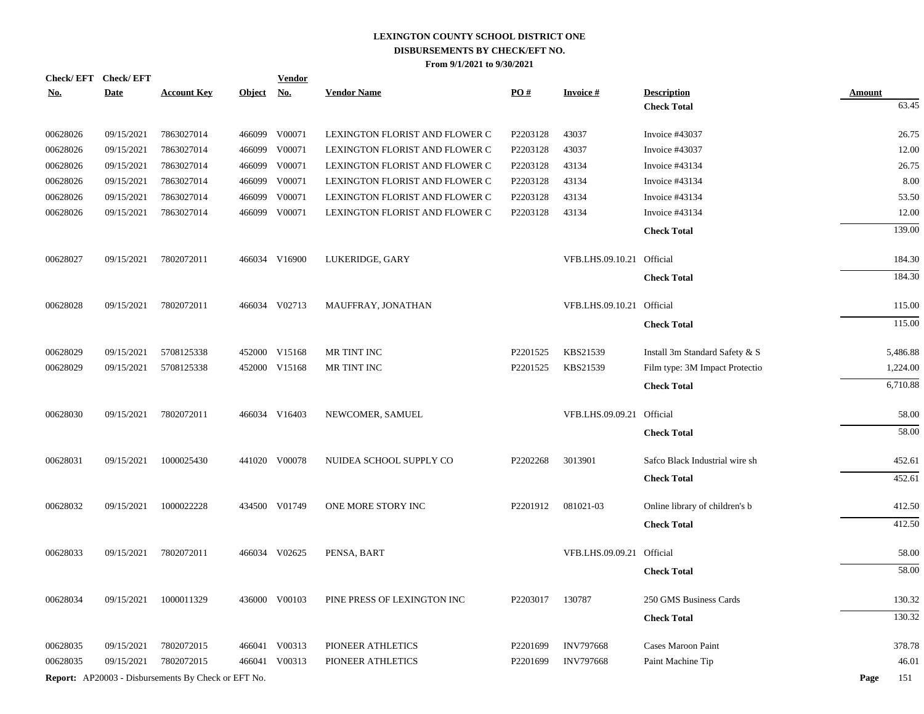| Check/EFT Check/EFT         |             |                                                     |               | <b>Vendor</b> |                                |          |                           |                                          |                        |
|-----------------------------|-------------|-----------------------------------------------------|---------------|---------------|--------------------------------|----------|---------------------------|------------------------------------------|------------------------|
| $\underline{\textbf{No}}$ . | <b>Date</b> | <b>Account Key</b>                                  | <b>Object</b> | <u>No.</u>    | <b>Vendor Name</b>             | PO#      | <b>Invoice#</b>           | <b>Description</b><br><b>Check Total</b> | <b>Amount</b><br>63.45 |
|                             |             |                                                     |               |               |                                |          |                           |                                          |                        |
| 00628026                    | 09/15/2021  | 7863027014                                          |               | 466099 V00071 | LEXINGTON FLORIST AND FLOWER C | P2203128 | 43037                     | Invoice #43037                           | 26.75                  |
| 00628026                    | 09/15/2021  | 7863027014                                          | 466099        | V00071        | LEXINGTON FLORIST AND FLOWER C | P2203128 | 43037                     | Invoice #43037                           | 12.00                  |
| 00628026                    | 09/15/2021  | 7863027014                                          | 466099        | V00071        | LEXINGTON FLORIST AND FLOWER C | P2203128 | 43134                     | Invoice #43134                           | 26.75                  |
| 00628026                    | 09/15/2021  | 7863027014                                          | 466099        | V00071        | LEXINGTON FLORIST AND FLOWER C | P2203128 | 43134                     | Invoice #43134                           | 8.00                   |
| 00628026                    | 09/15/2021  | 7863027014                                          | 466099        | V00071        | LEXINGTON FLORIST AND FLOWER C | P2203128 | 43134                     | Invoice #43134                           | 53.50                  |
| 00628026                    | 09/15/2021  | 7863027014                                          | 466099        | V00071        | LEXINGTON FLORIST AND FLOWER C | P2203128 | 43134                     | Invoice #43134                           | 12.00                  |
|                             |             |                                                     |               |               |                                |          |                           | <b>Check Total</b>                       | 139.00                 |
| 00628027                    | 09/15/2021  | 7802072011                                          |               | 466034 V16900 | LUKERIDGE, GARY                |          | VFB.LHS.09.10.21 Official |                                          | 184.30                 |
|                             |             |                                                     |               |               |                                |          |                           | <b>Check Total</b>                       | 184.30                 |
|                             |             |                                                     |               |               |                                |          |                           |                                          |                        |
| 00628028                    | 09/15/2021  | 7802072011                                          |               | 466034 V02713 | MAUFFRAY, JONATHAN             |          | VFB.LHS.09.10.21 Official |                                          | 115.00                 |
|                             |             |                                                     |               |               |                                |          |                           | <b>Check Total</b>                       | 115.00                 |
| 00628029                    | 09/15/2021  | 5708125338                                          |               | 452000 V15168 | MR TINT INC                    | P2201525 | KBS21539                  | Install 3m Standard Safety & S           | 5,486.88               |
| 00628029                    | 09/15/2021  | 5708125338                                          | 452000        | V15168        | MR TINT INC                    | P2201525 | KBS21539                  | Film type: 3M Impact Protectio           | 1,224.00               |
|                             |             |                                                     |               |               |                                |          |                           | <b>Check Total</b>                       | 6,710.88               |
|                             |             |                                                     |               |               |                                |          |                           |                                          |                        |
| 00628030                    | 09/15/2021  | 7802072011                                          |               | 466034 V16403 | NEWCOMER, SAMUEL               |          | VFB.LHS.09.09.21 Official |                                          | 58.00                  |
|                             |             |                                                     |               |               |                                |          |                           | <b>Check Total</b>                       | 58.00                  |
| 00628031                    | 09/15/2021  | 1000025430                                          |               | 441020 V00078 | NUIDEA SCHOOL SUPPLY CO        | P2202268 | 3013901                   | Safco Black Industrial wire sh           | 452.61                 |
|                             |             |                                                     |               |               |                                |          |                           | <b>Check Total</b>                       | 452.61                 |
| 00628032                    | 09/15/2021  | 1000022228                                          |               | 434500 V01749 | ONE MORE STORY INC             | P2201912 | 081021-03                 | Online library of children's b           | 412.50                 |
|                             |             |                                                     |               |               |                                |          |                           | <b>Check Total</b>                       | 412.50                 |
|                             |             |                                                     |               |               |                                |          |                           |                                          |                        |
| 00628033                    | 09/15/2021  | 7802072011                                          |               | 466034 V02625 | PENSA, BART                    |          | VFB.LHS.09.09.21 Official |                                          | 58.00                  |
|                             |             |                                                     |               |               |                                |          |                           | <b>Check Total</b>                       | 58.00                  |
| 00628034                    | 09/15/2021  | 1000011329                                          |               | 436000 V00103 | PINE PRESS OF LEXINGTON INC    | P2203017 | 130787                    | 250 GMS Business Cards                   | 130.32                 |
|                             |             |                                                     |               |               |                                |          |                           | <b>Check Total</b>                       | 130.32                 |
|                             |             |                                                     |               |               |                                |          |                           |                                          |                        |
| 00628035                    | 09/15/2021  | 7802072015                                          |               | 466041 V00313 | PIONEER ATHLETICS              | P2201699 | <b>INV797668</b>          | Cases Maroon Paint                       | 378.78                 |
| 00628035                    | 09/15/2021  | 7802072015                                          |               | 466041 V00313 | PIONEER ATHLETICS              | P2201699 | <b>INV797668</b>          | Paint Machine Tip                        | 46.01                  |
|                             |             | Report: AP20003 - Disbursements By Check or EFT No. |               |               |                                |          |                           |                                          | Page<br>151            |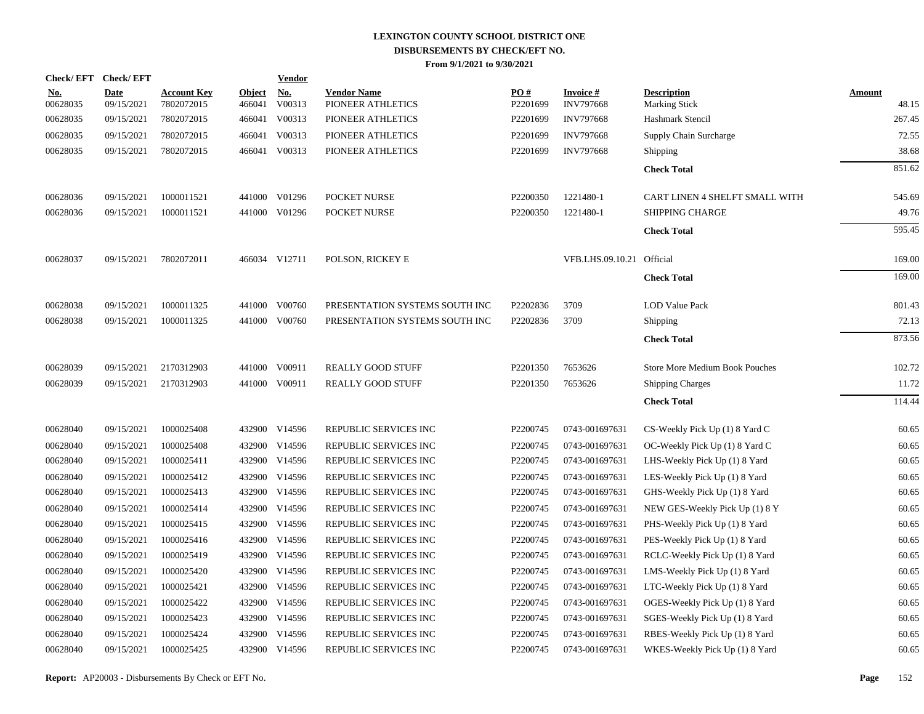| Check/EFT Check/EFT    |                           |                                  |                         | <b>Vendor</b>        |                                         |                      |                                     |                                            |                 |
|------------------------|---------------------------|----------------------------------|-------------------------|----------------------|-----------------------------------------|----------------------|-------------------------------------|--------------------------------------------|-----------------|
| <u>No.</u><br>00628035 | <b>Date</b><br>09/15/2021 | <b>Account Key</b><br>7802072015 | <b>Object</b><br>466041 | <b>No.</b><br>V00313 | <b>Vendor Name</b><br>PIONEER ATHLETICS | PO#<br>P2201699      | <b>Invoice#</b><br><b>INV797668</b> | <b>Description</b><br><b>Marking Stick</b> | Amount<br>48.15 |
| 00628035               | 09/15/2021                | 7802072015                       |                         | 466041 V00313        | PIONEER ATHLETICS                       | P2201699             | <b>INV797668</b>                    | Hashmark Stencil                           | 267.45          |
| 00628035               | 09/15/2021                | 7802072015                       |                         | 466041 V00313        | PIONEER ATHLETICS                       | P2201699             | <b>INV797668</b>                    | Supply Chain Surcharge                     | 72.55           |
| 00628035               | 09/15/2021                | 7802072015                       |                         | 466041 V00313        | PIONEER ATHLETICS                       | P2201699             | <b>INV797668</b>                    | Shipping                                   | 38.68           |
|                        |                           |                                  |                         |                      |                                         |                      |                                     | <b>Check Total</b>                         | 851.62          |
| 00628036               | 09/15/2021                | 1000011521                       |                         | 441000 V01296        | POCKET NURSE                            | P2200350             | 1221480-1                           | CART LINEN 4 SHELFT SMALL WITH             | 545.69          |
| 00628036               | 09/15/2021                | 1000011521                       |                         | 441000 V01296        | POCKET NURSE                            | P2200350             | 1221480-1                           | <b>SHIPPING CHARGE</b>                     | 49.76           |
|                        |                           |                                  |                         |                      |                                         |                      |                                     | <b>Check Total</b>                         | 595.45          |
| 00628037               | 09/15/2021                | 7802072011                       |                         | 466034 V12711        | POLSON, RICKEY E                        |                      | VFB.LHS.09.10.21                    | Official                                   | 169.00          |
|                        |                           |                                  |                         |                      |                                         |                      |                                     | <b>Check Total</b>                         | 169.00          |
| 00628038               | 09/15/2021                | 1000011325                       |                         | 441000 V00760        | PRESENTATION SYSTEMS SOUTH INC          | P2202836             | 3709                                | LOD Value Pack                             | 801.43          |
| 00628038               | 09/15/2021                | 1000011325                       |                         | 441000 V00760        | PRESENTATION SYSTEMS SOUTH INC          | P2202836             | 3709                                | Shipping                                   | 72.13           |
|                        |                           |                                  |                         |                      |                                         |                      |                                     | <b>Check Total</b>                         | 873.56          |
| 00628039               | 09/15/2021                | 2170312903                       | 441000                  | V00911               | <b>REALLY GOOD STUFF</b>                | P <sub>2201350</sub> | 7653626                             | Store More Medium Book Pouches             | 102.72          |
| 00628039               | 09/15/2021                | 2170312903                       |                         | 441000 V00911        | <b>REALLY GOOD STUFF</b>                | P <sub>2201350</sub> | 7653626                             | <b>Shipping Charges</b>                    | 11.72           |
|                        |                           |                                  |                         |                      |                                         |                      |                                     | <b>Check Total</b>                         | 114.44          |
| 00628040               | 09/15/2021                | 1000025408                       |                         | 432900 V14596        | REPUBLIC SERVICES INC                   | P2200745             | 0743-001697631                      | CS-Weekly Pick Up (1) 8 Yard C             | 60.65           |
| 00628040               | 09/15/2021                | 1000025408                       | 432900                  | V14596               | REPUBLIC SERVICES INC                   | P2200745             | 0743-001697631                      | OC-Weekly Pick Up (1) 8 Yard C             | 60.65           |
| 00628040               | 09/15/2021                | 1000025411                       |                         | 432900 V14596        | REPUBLIC SERVICES INC                   | P2200745             | 0743-001697631                      | LHS-Weekly Pick Up (1) 8 Yard              | 60.65           |
| 00628040               | 09/15/2021                | 1000025412                       | 432900                  | V14596               | REPUBLIC SERVICES INC                   | P2200745             | 0743-001697631                      | LES-Weekly Pick Up (1) 8 Yard              | 60.65           |
| 00628040               | 09/15/2021                | 1000025413                       |                         | 432900 V14596        | REPUBLIC SERVICES INC                   | P2200745             | 0743-001697631                      | GHS-Weekly Pick Up (1) 8 Yard              | 60.65           |
| 00628040               | 09/15/2021                | 1000025414                       | 432900                  | V14596               | REPUBLIC SERVICES INC                   | P2200745             | 0743-001697631                      | NEW GES-Weekly Pick Up (1) 8 Y             | 60.65           |
| 00628040               | 09/15/2021                | 1000025415                       |                         | 432900 V14596        | REPUBLIC SERVICES INC                   | P2200745             | 0743-001697631                      | PHS-Weekly Pick Up (1) 8 Yard              | 60.65           |
| 00628040               | 09/15/2021                | 1000025416                       | 432900                  | V14596               | REPUBLIC SERVICES INC                   | P2200745             | 0743-001697631                      | PES-Weekly Pick Up (1) 8 Yard              | 60.65           |
| 00628040               | 09/15/2021                | 1000025419                       |                         | 432900 V14596        | REPUBLIC SERVICES INC                   | P2200745             | 0743-001697631                      | RCLC-Weekly Pick Up (1) 8 Yard             | 60.65           |
| 00628040               | 09/15/2021                | 1000025420                       | 432900                  | V14596               | REPUBLIC SERVICES INC                   | P2200745             | 0743-001697631                      | LMS-Weekly Pick Up (1) 8 Yard              | 60.65           |
| 00628040               | 09/15/2021                | 1000025421                       |                         | 432900 V14596        | REPUBLIC SERVICES INC                   | P2200745             | 0743-001697631                      | LTC-Weekly Pick Up (1) 8 Yard              | 60.65           |
| 00628040               | 09/15/2021                | 1000025422                       | 432900                  | V14596               | REPUBLIC SERVICES INC                   | P2200745             | 0743-001697631                      | OGES-Weekly Pick Up (1) 8 Yard             | 60.65           |
| 00628040               | 09/15/2021                | 1000025423                       |                         | 432900 V14596        | REPUBLIC SERVICES INC                   | P2200745             | 0743-001697631                      | SGES-Weekly Pick Up (1) 8 Yard             | 60.65           |
| 00628040               | 09/15/2021                | 1000025424                       | 432900                  | V14596               | REPUBLIC SERVICES INC                   | P2200745             | 0743-001697631                      | RBES-Weekly Pick Up (1) 8 Yard             | 60.65           |
| 00628040               | 09/15/2021                | 1000025425                       |                         | 432900 V14596        | REPUBLIC SERVICES INC                   | P2200745             | 0743-001697631                      | WKES-Weekly Pick Up (1) 8 Yard             | 60.65           |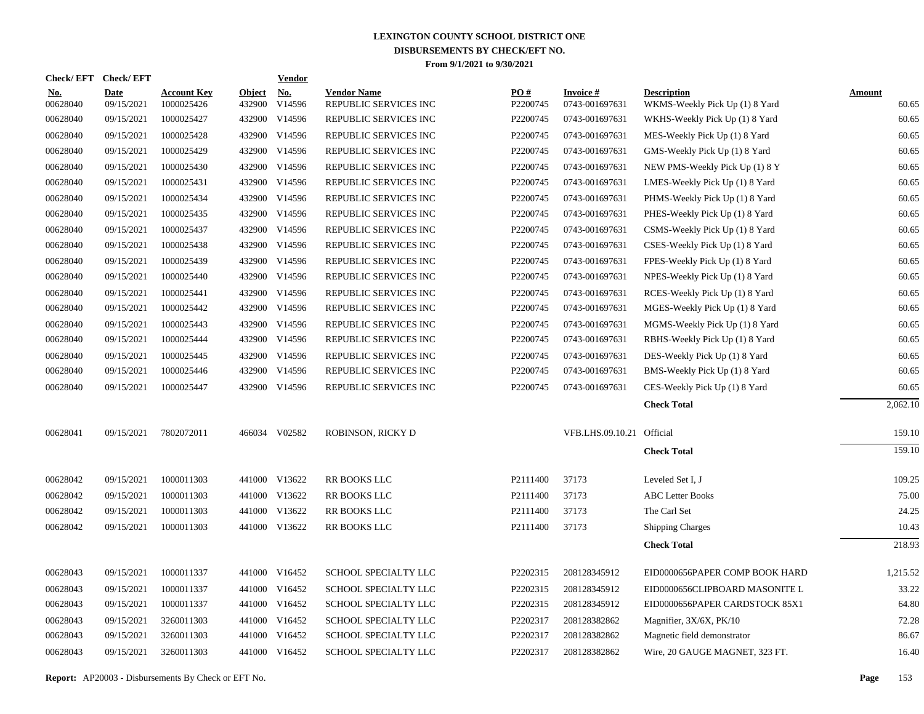| Check/EFT Check/EFT    |                    |                                  |                         | Vendor        |                                             |                      |                             |                                                      |                 |
|------------------------|--------------------|----------------------------------|-------------------------|---------------|---------------------------------------------|----------------------|-----------------------------|------------------------------------------------------|-----------------|
| <u>No.</u><br>00628040 | Date<br>09/15/2021 | <b>Account Key</b><br>1000025426 | <b>Object</b><br>432900 | No.<br>V14596 | <b>Vendor Name</b><br>REPUBLIC SERVICES INC | PO#<br>P2200745      | Invoice #<br>0743-001697631 | <b>Description</b><br>WKMS-Weekly Pick Up (1) 8 Yard | Amount<br>60.65 |
| 00628040               | 09/15/2021         | 1000025427                       |                         | 432900 V14596 | REPUBLIC SERVICES INC                       | P2200745             | 0743-001697631              | WKHS-Weekly Pick Up (1) 8 Yard                       | 60.65           |
| 00628040               | 09/15/2021         | 1000025428                       |                         | 432900 V14596 | REPUBLIC SERVICES INC                       | P2200745             | 0743-001697631              | MES-Weekly Pick Up (1) 8 Yard                        | 60.65           |
| 00628040               | 09/15/2021         | 1000025429                       |                         | 432900 V14596 | REPUBLIC SERVICES INC                       | P2200745             | 0743-001697631              | GMS-Weekly Pick Up (1) 8 Yard                        | 60.65           |
| 00628040               | 09/15/2021         | 1000025430                       |                         | 432900 V14596 | REPUBLIC SERVICES INC                       | P2200745             | 0743-001697631              | NEW PMS-Weekly Pick Up (1) 8 Y                       | 60.65           |
| 00628040               | 09/15/2021         | 1000025431                       |                         | 432900 V14596 | REPUBLIC SERVICES INC                       | P2200745             | 0743-001697631              | LMES-Weekly Pick Up (1) 8 Yard                       | 60.65           |
| 00628040               | 09/15/2021         | 1000025434                       |                         | 432900 V14596 | REPUBLIC SERVICES INC                       | P2200745             | 0743-001697631              | PHMS-Weekly Pick Up (1) 8 Yard                       | 60.65           |
| 00628040               | 09/15/2021         | 1000025435                       |                         | 432900 V14596 | REPUBLIC SERVICES INC                       | P2200745             | 0743-001697631              | PHES-Weekly Pick Up (1) 8 Yard                       | 60.65           |
| 00628040               | 09/15/2021         | 1000025437                       |                         | 432900 V14596 | REPUBLIC SERVICES INC                       | P2200745             | 0743-001697631              | CSMS-Weekly Pick Up (1) 8 Yard                       | 60.65           |
| 00628040               | 09/15/2021         | 1000025438                       |                         | 432900 V14596 | REPUBLIC SERVICES INC                       | P2200745             | 0743-001697631              | CSES-Weekly Pick Up (1) 8 Yard                       | 60.65           |
| 00628040               | 09/15/2021         | 1000025439                       |                         | 432900 V14596 | REPUBLIC SERVICES INC                       | P2200745             | 0743-001697631              | FPES-Weekly Pick Up (1) 8 Yard                       | 60.65           |
| 00628040               | 09/15/2021         | 1000025440                       |                         | 432900 V14596 | REPUBLIC SERVICES INC                       | P2200745             | 0743-001697631              | NPES-Weekly Pick Up (1) 8 Yard                       | 60.65           |
| 00628040               | 09/15/2021         | 1000025441                       |                         | 432900 V14596 | REPUBLIC SERVICES INC                       | P <sub>2200745</sub> | 0743-001697631              | RCES-Weekly Pick Up (1) 8 Yard                       | 60.65           |
| 00628040               | 09/15/2021         | 1000025442                       |                         | 432900 V14596 | REPUBLIC SERVICES INC                       | P2200745             | 0743-001697631              | MGES-Weekly Pick Up (1) 8 Yard                       | 60.65           |
| 00628040               | 09/15/2021         | 1000025443                       |                         | 432900 V14596 | REPUBLIC SERVICES INC                       | P2200745             | 0743-001697631              | MGMS-Weekly Pick Up (1) 8 Yard                       | 60.65           |
| 00628040               | 09/15/2021         | 1000025444                       |                         | 432900 V14596 | REPUBLIC SERVICES INC                       | P2200745             | 0743-001697631              | RBHS-Weekly Pick Up (1) 8 Yard                       | 60.65           |
| 00628040               | 09/15/2021         | 1000025445                       |                         | 432900 V14596 | REPUBLIC SERVICES INC                       | P2200745             | 0743-001697631              | DES-Weekly Pick Up (1) 8 Yard                        | 60.65           |
| 00628040               | 09/15/2021         | 1000025446                       |                         | 432900 V14596 | REPUBLIC SERVICES INC                       | P2200745             | 0743-001697631              | BMS-Weekly Pick Up (1) 8 Yard                        | 60.65           |
| 00628040               | 09/15/2021         | 1000025447                       |                         | 432900 V14596 | REPUBLIC SERVICES INC                       | P2200745             | 0743-001697631              | CES-Weekly Pick Up (1) 8 Yard                        | 60.65           |
|                        |                    |                                  |                         |               |                                             |                      |                             | <b>Check Total</b>                                   | 2,062.10        |
| 00628041               | 09/15/2021         | 7802072011                       |                         | 466034 V02582 | ROBINSON, RICKY D                           |                      | VFB.LHS.09.10.21 Official   |                                                      | 159.10          |
|                        |                    |                                  |                         |               |                                             |                      |                             | <b>Check Total</b>                                   | 159.10          |
| 00628042               | 09/15/2021         | 1000011303                       |                         | 441000 V13622 | RR BOOKS LLC                                | P2111400             | 37173                       | Leveled Set I, J                                     | 109.25          |
| 00628042               | 09/15/2021         | 1000011303                       |                         | 441000 V13622 | RR BOOKS LLC                                | P2111400             | 37173                       | <b>ABC</b> Letter Books                              | 75.00           |
| 00628042               | 09/15/2021         | 1000011303                       |                         | 441000 V13622 | RR BOOKS LLC                                | P2111400             | 37173                       | The Carl Set                                         | 24.25           |
| 00628042               | 09/15/2021         | 1000011303                       |                         | 441000 V13622 | RR BOOKS LLC                                | P2111400             | 37173                       | <b>Shipping Charges</b>                              | 10.43           |
|                        |                    |                                  |                         |               |                                             |                      |                             | <b>Check Total</b>                                   | 218.93          |
| 00628043               | 09/15/2021         | 1000011337                       |                         | 441000 V16452 | SCHOOL SPECIALTY LLC                        | P2202315             | 208128345912                | EID0000656PAPER COMP BOOK HARD                       | 1,215.52        |
| 00628043               | 09/15/2021         | 1000011337                       |                         | 441000 V16452 | <b>SCHOOL SPECIALTY LLC</b>                 | P2202315             | 208128345912                | EID0000656CLIPBOARD MASONITE L                       | 33.22           |
| 00628043               | 09/15/2021         | 1000011337                       |                         | 441000 V16452 | SCHOOL SPECIALTY LLC                        | P2202315             | 208128345912                | EID0000656PAPER CARDSTOCK 85X1                       | 64.80           |
| 00628043               | 09/15/2021         | 3260011303                       |                         | 441000 V16452 | SCHOOL SPECIALTY LLC                        | P2202317             | 208128382862                | Magnifier, 3X/6X, PK/10                              | 72.28           |
| 00628043               | 09/15/2021         | 3260011303                       | 441000                  | V16452        | SCHOOL SPECIALTY LLC                        | P2202317             | 208128382862                | Magnetic field demonstrator                          | 86.67           |
| 00628043               | 09/15/2021         | 3260011303                       |                         | 441000 V16452 | <b>SCHOOL SPECIALTY LLC</b>                 | P2202317             | 208128382862                | Wire, 20 GAUGE MAGNET, 323 FT.                       | 16.40           |
|                        |                    |                                  |                         |               |                                             |                      |                             |                                                      |                 |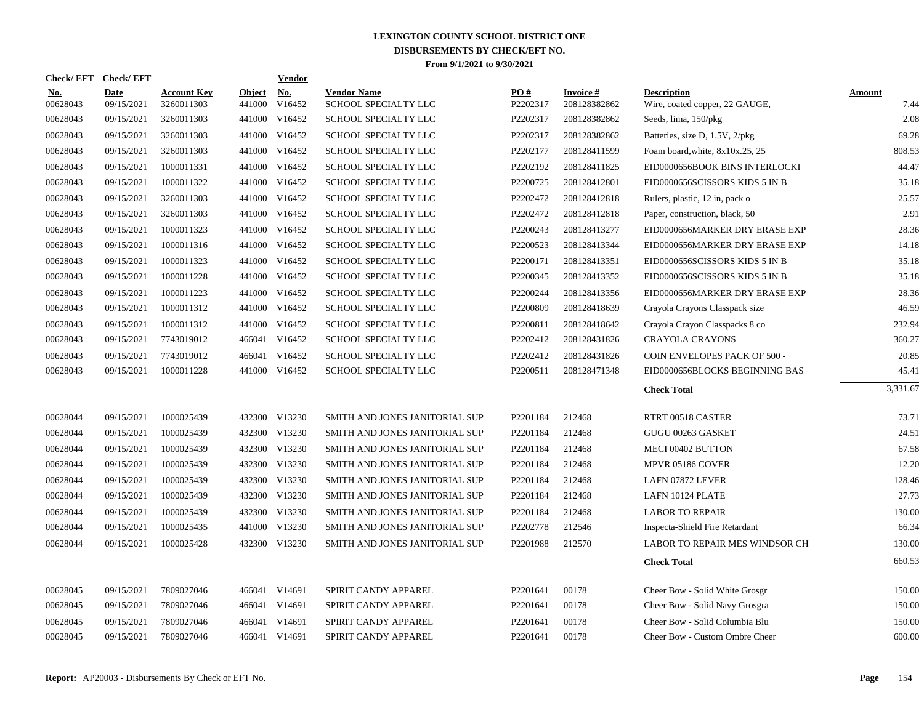|                        | Check/EFT Check/EFT       |                                  |                      | <b>Vendor</b> |                                            |                 |                                 |                                                      |                       |
|------------------------|---------------------------|----------------------------------|----------------------|---------------|--------------------------------------------|-----------------|---------------------------------|------------------------------------------------------|-----------------------|
| <u>No.</u><br>00628043 | <b>Date</b><br>09/15/2021 | <b>Account Key</b><br>3260011303 | Object No.<br>441000 | V16452        | <b>Vendor Name</b><br>SCHOOL SPECIALTY LLC | PO#<br>P2202317 | <b>Invoice#</b><br>208128382862 | <b>Description</b><br>Wire, coated copper, 22 GAUGE, | <b>Amount</b><br>7.44 |
| 00628043               | 09/15/2021                | 3260011303                       | 441000               | V16452        | SCHOOL SPECIALTY LLC                       | P2202317        | 208128382862                    | Seeds, lima, 150/pkg                                 | 2.08                  |
| 00628043               | 09/15/2021                | 3260011303                       | 441000               | V16452        | SCHOOL SPECIALTY LLC                       | P2202317        | 208128382862                    | Batteries, size D, 1.5V, 2/pkg                       | 69.28                 |
| 00628043               | 09/15/2021                | 3260011303                       |                      | 441000 V16452 | SCHOOL SPECIALTY LLC                       | P2202177        | 208128411599                    | Foam board, white, 8x10x.25, 25                      | 808.53                |
| 00628043               | 09/15/2021                | 1000011331                       |                      | 441000 V16452 | SCHOOL SPECIALTY LLC                       | P2202192        | 208128411825                    | EID0000656BOOK BINS INTERLOCKI                       | 44.47                 |
| 00628043               | 09/15/2021                | 1000011322                       |                      | 441000 V16452 | SCHOOL SPECIALTY LLC                       | P2200725        | 208128412801                    | EID0000656SCISSORS KIDS 5 IN B                       | 35.18                 |
| 00628043               | 09/15/2021                | 3260011303                       |                      | 441000 V16452 | SCHOOL SPECIALTY LLC                       | P2202472        | 208128412818                    | Rulers, plastic, 12 in, pack o                       | 25.57                 |
| 00628043               | 09/15/2021                | 3260011303                       |                      | 441000 V16452 | SCHOOL SPECIALTY LLC                       | P2202472        | 208128412818                    | Paper, construction, black, 50                       | 2.91                  |
| 00628043               | 09/15/2021                | 1000011323                       | 441000               | V16452        | SCHOOL SPECIALTY LLC                       | P2200243        | 208128413277                    | EID0000656MARKER DRY ERASE EXP                       | 28.36                 |
| 00628043               | 09/15/2021                | 1000011316                       | 441000               | V16452        | SCHOOL SPECIALTY LLC                       | P2200523        | 208128413344                    | EID0000656MARKER DRY ERASE EXP                       | 14.18                 |
| 00628043               | 09/15/2021                | 1000011323                       |                      | 441000 V16452 | SCHOOL SPECIALTY LLC                       | P2200171        | 208128413351                    | EID0000656SCISSORS KIDS 5 IN B                       | 35.18                 |
| 00628043               | 09/15/2021                | 1000011228                       |                      | 441000 V16452 | <b>SCHOOL SPECIALTY LLC</b>                | P2200345        | 208128413352                    | EID0000656SCISSORS KIDS 5 IN B                       | 35.18                 |
| 00628043               | 09/15/2021                | 1000011223                       |                      | 441000 V16452 | SCHOOL SPECIALTY LLC                       | P2200244        | 208128413356                    | EID0000656MARKER DRY ERASE EXP                       | 28.36                 |
| 00628043               | 09/15/2021                | 1000011312                       |                      | 441000 V16452 | <b>SCHOOL SPECIALTY LLC</b>                | P2200809        | 208128418639                    | Crayola Crayons Classpack size                       | 46.59                 |
| 00628043               | 09/15/2021                | 1000011312                       |                      | 441000 V16452 | SCHOOL SPECIALTY LLC                       | P2200811        | 208128418642                    | Crayola Crayon Classpacks 8 co                       | 232.94                |
| 00628043               | 09/15/2021                | 7743019012                       | 466041               | V16452        | <b>SCHOOL SPECIALTY LLC</b>                | P2202412        | 208128431826                    | <b>CRAYOLA CRAYONS</b>                               | 360.27                |
| 00628043               | 09/15/2021                | 7743019012                       |                      | 466041 V16452 | SCHOOL SPECIALTY LLC                       | P2202412        | 208128431826                    | COIN ENVELOPES PACK OF 500 -                         | 20.85                 |
| 00628043               | 09/15/2021                | 1000011228                       |                      | 441000 V16452 | SCHOOL SPECIALTY LLC                       | P2200511        | 208128471348                    | EID0000656BLOCKS BEGINNING BAS                       | 45.41                 |
|                        |                           |                                  |                      |               |                                            |                 |                                 | <b>Check Total</b>                                   | 3,331.67              |
| 00628044               | 09/15/2021                | 1000025439                       |                      | 432300 V13230 | SMITH AND JONES JANITORIAL SUP             | P2201184        | 212468                          | RTRT 00518 CASTER                                    | 73.71                 |
| 00628044               | 09/15/2021                | 1000025439                       | 432300               | V13230        | SMITH AND JONES JANITORIAL SUP             | P2201184        | 212468                          | GUGU 00263 GASKET                                    | 24.51                 |
| 00628044               | 09/15/2021                | 1000025439                       |                      | 432300 V13230 | SMITH AND JONES JANITORIAL SUP             | P2201184        | 212468                          | MECI 00402 BUTTON                                    | 67.58                 |
| 00628044               | 09/15/2021                | 1000025439                       |                      | 432300 V13230 | SMITH AND JONES JANITORIAL SUP             | P2201184        | 212468                          | MPVR 05186 COVER                                     | 12.20                 |
| 00628044               | 09/15/2021                | 1000025439                       |                      | 432300 V13230 | SMITH AND JONES JANITORIAL SUP             | P2201184        | 212468                          | LAFN 07872 LEVER                                     | 128.46                |
| 00628044               | 09/15/2021                | 1000025439                       |                      | 432300 V13230 | SMITH AND JONES JANITORIAL SUP             | P2201184        | 212468                          | LAFN 10124 PLATE                                     | 27.73                 |
| 00628044               | 09/15/2021                | 1000025439                       |                      | 432300 V13230 | SMITH AND JONES JANITORIAL SUP             | P2201184        | 212468                          | <b>LABOR TO REPAIR</b>                               | 130.00                |
| 00628044               | 09/15/2021                | 1000025435                       |                      | 441000 V13230 | SMITH AND JONES JANITORIAL SUP             | P2202778        | 212546                          | Inspecta-Shield Fire Retardant                       | 66.34                 |
| 00628044               | 09/15/2021                | 1000025428                       |                      | 432300 V13230 | SMITH AND JONES JANITORIAL SUP             | P2201988        | 212570                          | LABOR TO REPAIR MES WINDSOR CH                       | 130.00                |
|                        |                           |                                  |                      |               |                                            |                 |                                 | <b>Check Total</b>                                   | 660.53                |
| 00628045               | 09/15/2021                | 7809027046                       |                      | 466041 V14691 | SPIRIT CANDY APPAREL                       | P2201641        | 00178                           | Cheer Bow - Solid White Grosgr                       | 150.00                |
| 00628045               | 09/15/2021                | 7809027046                       |                      | 466041 V14691 | SPIRIT CANDY APPAREL                       | P2201641        | 00178                           | Cheer Bow - Solid Navy Grosgra                       | 150.00                |
| 00628045               | 09/15/2021                | 7809027046                       |                      | 466041 V14691 | SPIRIT CANDY APPAREL                       | P2201641        | 00178                           | Cheer Bow - Solid Columbia Blu                       | 150.00                |
| 00628045               | 09/15/2021                | 7809027046                       |                      | 466041 V14691 | SPIRIT CANDY APPAREL                       | P2201641        | 00178                           | Cheer Bow - Custom Ombre Cheer                       | 600.00                |
|                        |                           |                                  |                      |               |                                            |                 |                                 |                                                      |                       |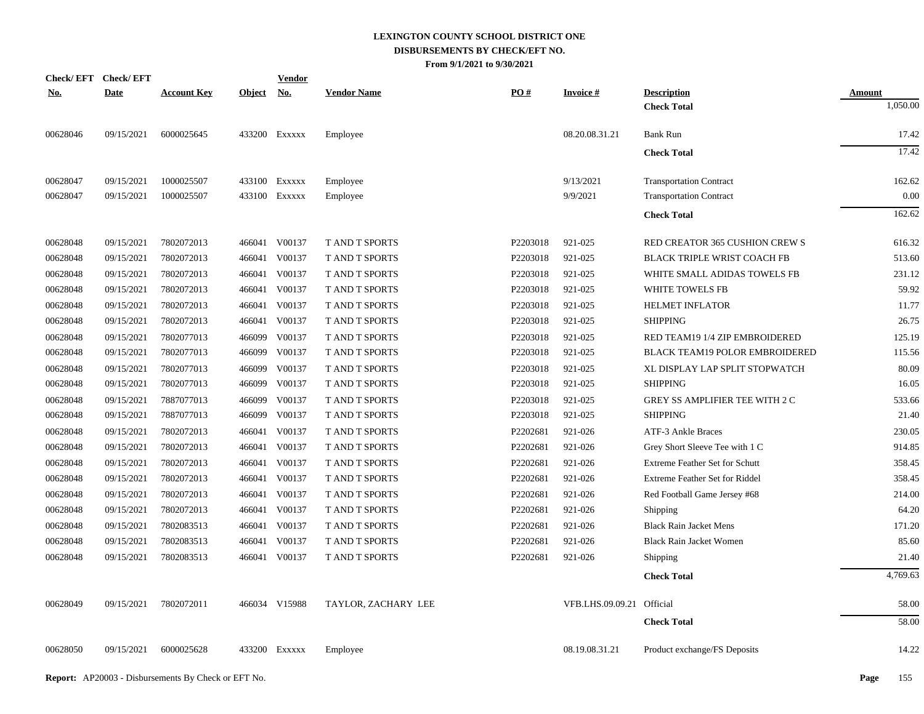| Check/EFT Check/EFT |             |                    |               | <b>Vendor</b> |                       |                   |                           |                                       |               |
|---------------------|-------------|--------------------|---------------|---------------|-----------------------|-------------------|---------------------------|---------------------------------------|---------------|
| <u>No.</u>          | <b>Date</b> | <b>Account Key</b> | <u>Object</u> | <u>No.</u>    | <b>Vendor Name</b>    | $\underline{PO#}$ | <b>Invoice#</b>           | <b>Description</b>                    | <b>Amount</b> |
|                     |             |                    |               |               |                       |                   |                           | <b>Check Total</b>                    | 1,050.00      |
| 00628046            | 09/15/2021  | 6000025645         |               | 433200 Exxxxx | Employee              |                   | 08.20.08.31.21            | <b>Bank Run</b>                       | 17.42         |
|                     |             |                    |               |               |                       |                   |                           | <b>Check Total</b>                    | 17.42         |
| 00628047            | 09/15/2021  | 1000025507         |               | 433100 Exxxxx | Employee              |                   | 9/13/2021                 | <b>Transportation Contract</b>        | 162.62        |
| 00628047            | 09/15/2021  | 1000025507         |               | 433100 EXXXXX | Employee              |                   | 9/9/2021                  | <b>Transportation Contract</b>        | 0.00          |
|                     |             |                    |               |               |                       |                   |                           | <b>Check Total</b>                    | 162.62        |
| 00628048            | 09/15/2021  | 7802072013         |               | 466041 V00137 | T AND T SPORTS        | P2203018          | 921-025                   | RED CREATOR 365 CUSHION CREW S        | 616.32        |
| 00628048            | 09/15/2021  | 7802072013         | 466041        | V00137        | <b>T AND T SPORTS</b> | P2203018          | 921-025                   | <b>BLACK TRIPLE WRIST COACH FB</b>    | 513.60        |
| 00628048            | 09/15/2021  | 7802072013         |               | 466041 V00137 | <b>TAND T SPORTS</b>  | P2203018          | 921-025                   | WHITE SMALL ADIDAS TOWELS FB          | 231.12        |
| 00628048            | 09/15/2021  | 7802072013         | 466041        | V00137        | T AND T SPORTS        | P2203018          | 921-025                   | WHITE TOWELS FB                       | 59.92         |
| 00628048            | 09/15/2021  | 7802072013         | 466041        | V00137        | <b>TAND T SPORTS</b>  | P2203018          | 921-025                   | <b>HELMET INFLATOR</b>                | 11.77         |
| 00628048            | 09/15/2021  | 7802072013         | 466041        | V00137        | T AND T SPORTS        | P2203018          | 921-025                   | <b>SHIPPING</b>                       | 26.75         |
| 00628048            | 09/15/2021  | 7802077013         |               | 466099 V00137 | <b>T AND T SPORTS</b> | P2203018          | 921-025                   | RED TEAM19 1/4 ZIP EMBROIDERED        | 125.19        |
| 00628048            | 09/15/2021  | 7802077013         | 466099        | V00137        | T AND T SPORTS        | P2203018          | 921-025                   | BLACK TEAM19 POLOR EMBROIDERED        | 115.56        |
| 00628048            | 09/15/2021  | 7802077013         |               | 466099 V00137 | <b>TAND T SPORTS</b>  | P2203018          | 921-025                   | XL DISPLAY LAP SPLIT STOPWATCH        | 80.09         |
| 00628048            | 09/15/2021  | 7802077013         | 466099        | V00137        | <b>T AND T SPORTS</b> | P2203018          | 921-025                   | <b>SHIPPING</b>                       | 16.05         |
| 00628048            | 09/15/2021  | 7887077013         | 466099        | V00137        | <b>T AND T SPORTS</b> | P2203018          | 921-025                   | GREY SS AMPLIFIER TEE WITH 2 C        | 533.66        |
| 00628048            | 09/15/2021  | 7887077013         | 466099        | V00137        | <b>T AND T SPORTS</b> | P2203018          | 921-025                   | <b>SHIPPING</b>                       | 21.40         |
| 00628048            | 09/15/2021  | 7802072013         | 466041        | V00137        | <b>T AND T SPORTS</b> | P2202681          | 921-026                   | <b>ATF-3 Ankle Braces</b>             | 230.05        |
| 00628048            | 09/15/2021  | 7802072013         |               | 466041 V00137 | <b>T AND T SPORTS</b> | P2202681          | 921-026                   | Grey Short Sleeve Tee with 1 C        | 914.85        |
| 00628048            | 09/15/2021  | 7802072013         | 466041        | V00137        | <b>T AND T SPORTS</b> | P2202681          | 921-026                   | <b>Extreme Feather Set for Schutt</b> | 358.45        |
| 00628048            | 09/15/2021  | 7802072013         |               | 466041 V00137 | T AND T SPORTS        | P2202681          | 921-026                   | Extreme Feather Set for Riddel        | 358.45        |
| 00628048            | 09/15/2021  | 7802072013         | 466041        | V00137        | T AND T SPORTS        | P2202681          | 921-026                   | Red Football Game Jersey #68          | 214.00        |
| 00628048            | 09/15/2021  | 7802072013         |               | 466041 V00137 | T AND T SPORTS        | P2202681          | 921-026                   | <b>Shipping</b>                       | 64.20         |
| 00628048            | 09/15/2021  | 7802083513         |               | 466041 V00137 | T AND T SPORTS        | P2202681          | 921-026                   | <b>Black Rain Jacket Mens</b>         | 171.20        |
| 00628048            | 09/15/2021  | 7802083513         |               | 466041 V00137 | T AND T SPORTS        | P2202681          | 921-026                   | <b>Black Rain Jacket Women</b>        | 85.60         |
| 00628048            | 09/15/2021  | 7802083513         |               | 466041 V00137 | T AND T SPORTS        | P2202681          | 921-026                   | <b>Shipping</b>                       | 21.40         |
|                     |             |                    |               |               |                       |                   |                           | <b>Check Total</b>                    | 4,769.63      |
| 00628049            | 09/15/2021  | 7802072011         |               | 466034 V15988 | TAYLOR, ZACHARY LEE   |                   | VFB.LHS.09.09.21 Official |                                       | 58.00         |
|                     |             |                    |               |               |                       |                   |                           | <b>Check Total</b>                    | 58.00         |
| 00628050            | 09/15/2021  | 6000025628         |               | 433200 Exxxxx | Employee              |                   | 08.19.08.31.21            | Product exchange/FS Deposits          | 14.22         |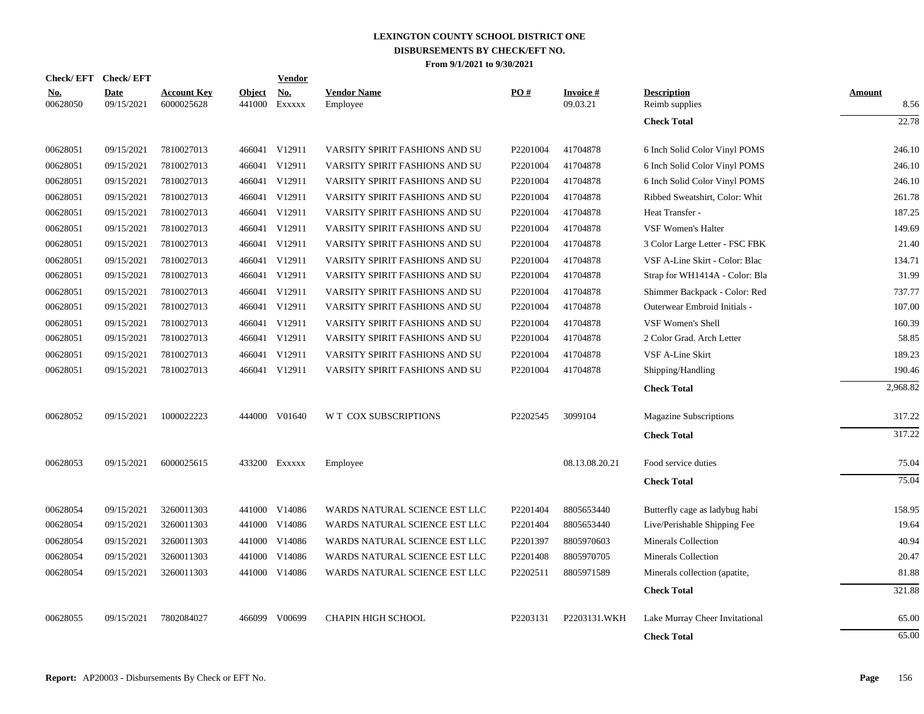| Check/EFT Check/EFT    |                    |                                  |                         | <u>Vendor</u> |                                |          |                             |                                      |                       |
|------------------------|--------------------|----------------------------------|-------------------------|---------------|--------------------------------|----------|-----------------------------|--------------------------------------|-----------------------|
| <u>No.</u><br>00628050 | Date<br>09/15/2021 | <b>Account Key</b><br>6000025628 | <b>Object</b><br>441000 | No.<br>EXXXXX | <b>Vendor Name</b><br>Employee | PO#      | <b>Invoice#</b><br>09.03.21 | <b>Description</b><br>Reimb supplies | <b>Amount</b><br>8.56 |
|                        |                    |                                  |                         |               |                                |          |                             | <b>Check Total</b>                   | 22.78                 |
| 00628051               | 09/15/2021         | 7810027013                       |                         | 466041 V12911 | VARSITY SPIRIT FASHIONS AND SU | P2201004 | 41704878                    | 6 Inch Solid Color Vinyl POMS        | 246.10                |
| 00628051               | 09/15/2021         | 7810027013                       |                         | 466041 V12911 | VARSITY SPIRIT FASHIONS AND SU | P2201004 | 41704878                    | 6 Inch Solid Color Vinyl POMS        | 246.10                |
| 00628051               | 09/15/2021         | 7810027013                       |                         | 466041 V12911 | VARSITY SPIRIT FASHIONS AND SU | P2201004 | 41704878                    | 6 Inch Solid Color Vinyl POMS        | 246.10                |
| 00628051               | 09/15/2021         | 7810027013                       |                         | 466041 V12911 | VARSITY SPIRIT FASHIONS AND SU | P2201004 | 41704878                    | Ribbed Sweatshirt, Color: Whit       | 261.78                |
| 00628051               | 09/15/2021         | 7810027013                       |                         | 466041 V12911 | VARSITY SPIRIT FASHIONS AND SU | P2201004 | 41704878                    | Heat Transfer -                      | 187.25                |
| 00628051               | 09/15/2021         | 7810027013                       |                         | 466041 V12911 | VARSITY SPIRIT FASHIONS AND SU | P2201004 | 41704878                    | <b>VSF Women's Halter</b>            | 149.69                |
| 00628051               | 09/15/2021         | 7810027013                       |                         | 466041 V12911 | VARSITY SPIRIT FASHIONS AND SU | P2201004 | 41704878                    | 3 Color Large Letter - FSC FBK       | 21.40                 |
| 00628051               | 09/15/2021         | 7810027013                       |                         | 466041 V12911 | VARSITY SPIRIT FASHIONS AND SU | P2201004 | 41704878                    | VSF A-Line Skirt - Color: Blac       | 134.71                |
| 00628051               | 09/15/2021         | 7810027013                       |                         | 466041 V12911 | VARSITY SPIRIT FASHIONS AND SU | P2201004 | 41704878                    | Strap for WH1414A - Color: Bla       | 31.99                 |
| 00628051               | 09/15/2021         | 7810027013                       |                         | 466041 V12911 | VARSITY SPIRIT FASHIONS AND SU | P2201004 | 41704878                    | Shimmer Backpack - Color: Red        | 737.77                |
| 00628051               | 09/15/2021         | 7810027013                       |                         | 466041 V12911 | VARSITY SPIRIT FASHIONS AND SU | P2201004 | 41704878                    | Outerwear Embroid Initials -         | 107.00                |
| 00628051               | 09/15/2021         | 7810027013                       |                         | 466041 V12911 | VARSITY SPIRIT FASHIONS AND SU | P2201004 | 41704878                    | VSF Women's Shell                    | 160.39                |
| 00628051               | 09/15/2021         | 7810027013                       |                         | 466041 V12911 | VARSITY SPIRIT FASHIONS AND SU | P2201004 | 41704878                    | 2 Color Grad. Arch Letter            | 58.85                 |
| 00628051               | 09/15/2021         | 7810027013                       |                         | 466041 V12911 | VARSITY SPIRIT FASHIONS AND SU | P2201004 | 41704878                    | VSF A-Line Skirt                     | 189.23                |
| 00628051               | 09/15/2021         | 7810027013                       |                         | 466041 V12911 | VARSITY SPIRIT FASHIONS AND SU | P2201004 | 41704878                    | Shipping/Handling                    | 190.46                |
|                        |                    |                                  |                         |               |                                |          |                             | <b>Check Total</b>                   | 2,968.82              |
| 00628052               | 09/15/2021         | 1000022223                       |                         | 444000 V01640 | W T COX SUBSCRIPTIONS          | P2202545 | 3099104                     | <b>Magazine Subscriptions</b>        | 317.22                |
|                        |                    |                                  |                         |               |                                |          |                             | <b>Check Total</b>                   | 317.22                |
| 00628053               | 09/15/2021         | 6000025615                       |                         | 433200 EXXXXX | Employee                       |          | 08.13.08.20.21              | Food service duties                  | 75.04                 |
|                        |                    |                                  |                         |               |                                |          |                             | <b>Check Total</b>                   | 75.04                 |
| 00628054               | 09/15/2021         | 3260011303                       |                         | 441000 V14086 | WARDS NATURAL SCIENCE EST LLC  | P2201404 | 8805653440                  | Butterfly cage as ladybug habi       | 158.95                |
| 00628054               | 09/15/2021         | 3260011303                       |                         | 441000 V14086 | WARDS NATURAL SCIENCE EST LLC  | P2201404 | 8805653440                  | Live/Perishable Shipping Fee         | 19.64                 |
| 00628054               | 09/15/2021         | 3260011303                       |                         | 441000 V14086 | WARDS NATURAL SCIENCE EST LLC  | P2201397 | 8805970603                  | Minerals Collection                  | 40.94                 |
| 00628054               | 09/15/2021         | 3260011303                       |                         | 441000 V14086 | WARDS NATURAL SCIENCE EST LLC  | P2201408 | 8805970705                  | <b>Minerals Collection</b>           | 20.47                 |
| 00628054               | 09/15/2021         | 3260011303                       |                         | 441000 V14086 | WARDS NATURAL SCIENCE EST LLC  | P2202511 | 8805971589                  | Minerals collection (apatite,        | 81.88                 |
|                        |                    |                                  |                         |               |                                |          |                             | <b>Check Total</b>                   | 321.88                |
| 00628055               | 09/15/2021         | 7802084027                       |                         | 466099 V00699 | <b>CHAPIN HIGH SCHOOL</b>      | P2203131 | P2203131.WKH                | Lake Murray Cheer Invitational       | 65.00                 |
|                        |                    |                                  |                         |               |                                |          |                             | <b>Check Total</b>                   | 65.00                 |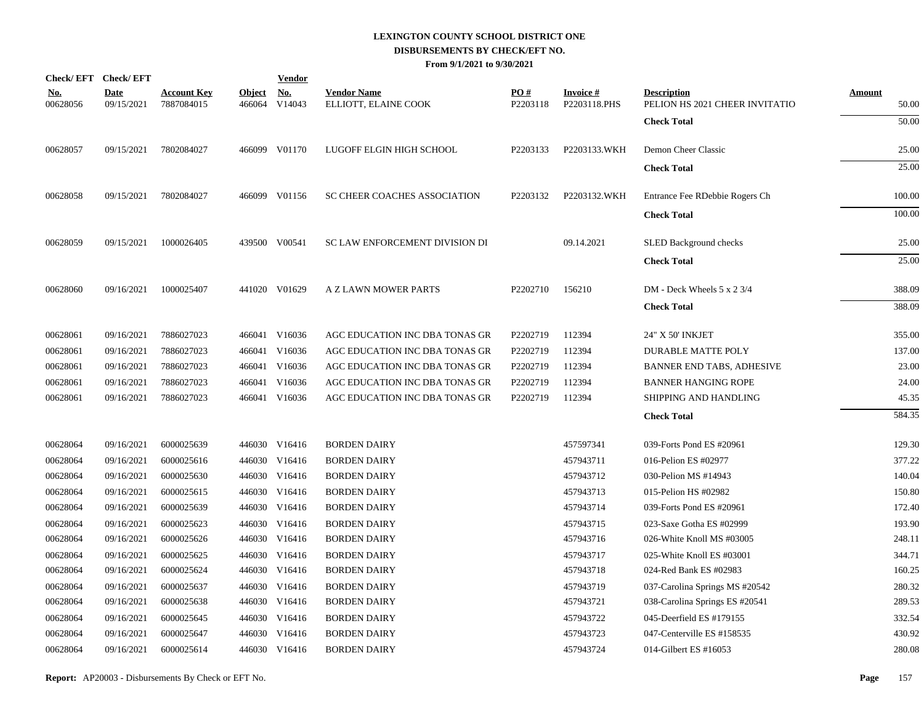|                        | Check/EFT Check/EFT       |                                  |                         | <b>Vendor</b>        |                                            |                 |                                 |                                                      |                        |
|------------------------|---------------------------|----------------------------------|-------------------------|----------------------|--------------------------------------------|-----------------|---------------------------------|------------------------------------------------------|------------------------|
| <u>No.</u><br>00628056 | <b>Date</b><br>09/15/2021 | <b>Account Key</b><br>7887084015 | <b>Object</b><br>466064 | <u>No.</u><br>V14043 | <b>Vendor Name</b><br>ELLIOTT, ELAINE COOK | PO#<br>P2203118 | <b>Invoice#</b><br>P2203118.PHS | <b>Description</b><br>PELION HS 2021 CHEER INVITATIO | <u>Amount</u><br>50.00 |
|                        |                           |                                  |                         |                      |                                            |                 |                                 | <b>Check Total</b>                                   | 50.00                  |
| 00628057               | 09/15/2021                | 7802084027                       |                         | 466099 V01170        | LUGOFF ELGIN HIGH SCHOOL                   | P2203133        | P2203133.WKH                    | Demon Cheer Classic                                  | 25.00                  |
|                        |                           |                                  |                         |                      |                                            |                 |                                 | <b>Check Total</b>                                   | 25.00                  |
| 00628058               | 09/15/2021                | 7802084027                       |                         | 466099 V01156        | SC CHEER COACHES ASSOCIATION               | P2203132        | P2203132.WKH                    | Entrance Fee RDebbie Rogers Ch                       | 100.00                 |
|                        |                           |                                  |                         |                      |                                            |                 |                                 | <b>Check Total</b>                                   | 100.00                 |
| 00628059               | 09/15/2021                | 1000026405                       |                         | 439500 V00541        | SC LAW ENFORCEMENT DIVISION DI             |                 | 09.14.2021                      | <b>SLED Background checks</b>                        | 25.00                  |
|                        |                           |                                  |                         |                      |                                            |                 |                                 | <b>Check Total</b>                                   | 25.00                  |
| 00628060               | 09/16/2021                | 1000025407                       |                         | 441020 V01629        | A Z LAWN MOWER PARTS                       | P2202710        | 156210                          | DM - Deck Wheels 5 x 2 3/4                           | 388.09                 |
|                        |                           |                                  |                         |                      |                                            |                 |                                 | <b>Check Total</b>                                   | 388.09                 |
| 00628061               | 09/16/2021                | 7886027023                       |                         | 466041 V16036        | AGC EDUCATION INC DBA TONAS GR             | P2202719        | 112394                          | 24" X 50' INKJET                                     | 355.00                 |
| 00628061               | 09/16/2021                | 7886027023                       | 466041                  | V16036               | AGC EDUCATION INC DBA TONAS GR             | P2202719        | 112394                          | <b>DURABLE MATTE POLY</b>                            | 137.00                 |
| 00628061               | 09/16/2021                | 7886027023                       |                         | 466041 V16036        | AGC EDUCATION INC DBA TONAS GR             | P2202719        | 112394                          | BANNER END TABS, ADHESIVE                            | 23.00                  |
| 00628061               | 09/16/2021                | 7886027023                       | 466041                  | V16036               | AGC EDUCATION INC DBA TONAS GR             | P2202719        | 112394                          | <b>BANNER HANGING ROPE</b>                           | 24.00                  |
| 00628061               | 09/16/2021                | 7886027023                       |                         | 466041 V16036        | AGC EDUCATION INC DBA TONAS GR             | P2202719        | 112394                          | SHIPPING AND HANDLING                                | 45.35                  |
|                        |                           |                                  |                         |                      |                                            |                 |                                 | <b>Check Total</b>                                   | 584.35                 |
| 00628064               | 09/16/2021                | 6000025639                       |                         | 446030 V16416        | <b>BORDEN DAIRY</b>                        |                 | 457597341                       | 039-Forts Pond ES #20961                             | 129.30                 |
| 00628064               | 09/16/2021                | 6000025616                       |                         | 446030 V16416        | <b>BORDEN DAIRY</b>                        |                 | 457943711                       | 016-Pelion ES #02977                                 | 377.22                 |
| 00628064               | 09/16/2021                | 6000025630                       |                         | 446030 V16416        | <b>BORDEN DAIRY</b>                        |                 | 457943712                       | 030-Pelion MS #14943                                 | 140.04                 |
| 00628064               | 09/16/2021                | 6000025615                       |                         | 446030 V16416        | <b>BORDEN DAIRY</b>                        |                 | 457943713                       | 015-Pelion HS #02982                                 | 150.80                 |
| 00628064               | 09/16/2021                | 6000025639                       |                         | 446030 V16416        | <b>BORDEN DAIRY</b>                        |                 | 457943714                       | 039-Forts Pond ES #20961                             | 172.40                 |
| 00628064               | 09/16/2021                | 6000025623                       |                         | 446030 V16416        | <b>BORDEN DAIRY</b>                        |                 | 457943715                       | 023-Saxe Gotha ES #02999                             | 193.90                 |
| 00628064               | 09/16/2021                | 6000025626                       |                         | 446030 V16416        | <b>BORDEN DAIRY</b>                        |                 | 457943716                       | 026-White Knoll MS #03005                            | 248.11                 |
| 00628064               | 09/16/2021                | 6000025625                       |                         | 446030 V16416        | <b>BORDEN DAIRY</b>                        |                 | 457943717                       | 025-White Knoll ES #03001                            | 344.71                 |
| 00628064               | 09/16/2021                | 6000025624                       |                         | 446030 V16416        | <b>BORDEN DAIRY</b>                        |                 | 457943718                       | 024-Red Bank ES #02983                               | 160.25                 |
| 00628064               | 09/16/2021                | 6000025637                       |                         | 446030 V16416        | <b>BORDEN DAIRY</b>                        |                 | 457943719                       | 037-Carolina Springs MS #20542                       | 280.32                 |
| 00628064               | 09/16/2021                | 6000025638                       |                         | 446030 V16416        | <b>BORDEN DAIRY</b>                        |                 | 457943721                       | 038-Carolina Springs ES #20541                       | 289.53                 |
| 00628064               | 09/16/2021                | 6000025645                       |                         | 446030 V16416        | <b>BORDEN DAIRY</b>                        |                 | 457943722                       | 045-Deerfield ES #179155                             | 332.54                 |
| 00628064               | 09/16/2021                | 6000025647                       |                         | 446030 V16416        | <b>BORDEN DAIRY</b>                        |                 | 457943723                       | 047-Centerville ES #158535                           | 430.92                 |
| 00628064               | 09/16/2021                | 6000025614                       |                         | 446030 V16416        | <b>BORDEN DAIRY</b>                        |                 | 457943724                       | 014-Gilbert ES #16053                                | 280.08                 |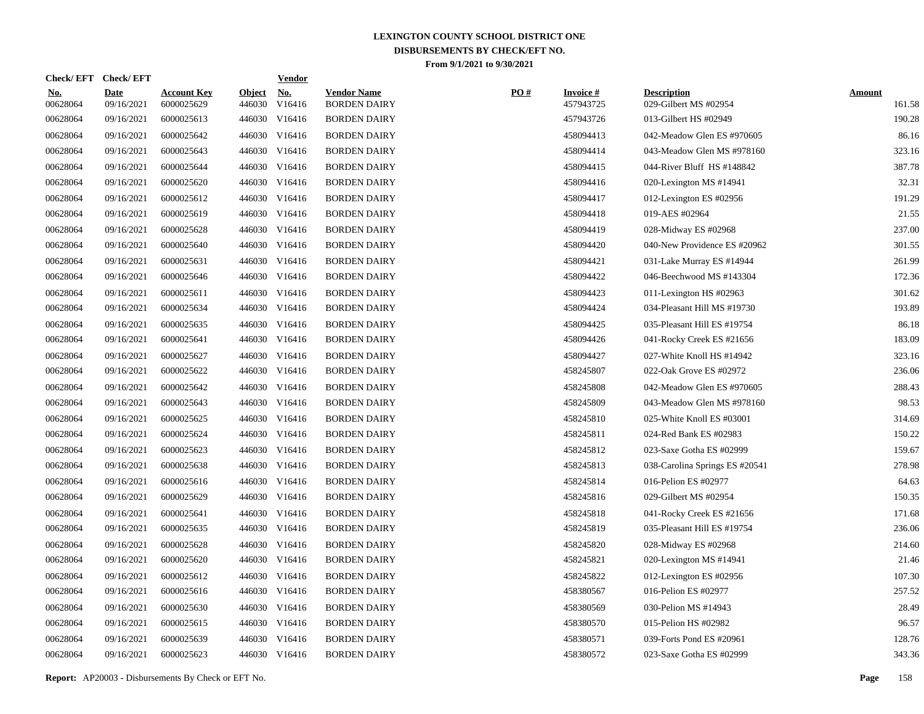| <b>Check/EFT</b>          |                                  |                         | <b>Vendor</b>        |                                                                                                                                                                                                                                                                                                                                                                                                                          |     |                                 |                                             |                         |
|---------------------------|----------------------------------|-------------------------|----------------------|--------------------------------------------------------------------------------------------------------------------------------------------------------------------------------------------------------------------------------------------------------------------------------------------------------------------------------------------------------------------------------------------------------------------------|-----|---------------------------------|---------------------------------------------|-------------------------|
| <b>Date</b><br>09/16/2021 | <b>Account Key</b><br>6000025629 | <b>Object</b><br>446030 | <u>No.</u><br>V16416 | <b>Vendor Name</b><br><b>BORDEN DAIRY</b>                                                                                                                                                                                                                                                                                                                                                                                | PO# | <b>Invoice</b> $#$<br>457943725 | <b>Description</b><br>029-Gilbert MS #02954 | <b>Amount</b><br>161.58 |
| 09/16/2021                | 6000025613                       | 446030                  | V16416               | <b>BORDEN DAIRY</b>                                                                                                                                                                                                                                                                                                                                                                                                      |     | 457943726                       | 013-Gilbert HS #02949                       | 190.28                  |
| 09/16/2021                | 6000025642                       | 446030                  | V16416               | <b>BORDEN DAIRY</b>                                                                                                                                                                                                                                                                                                                                                                                                      |     | 458094413                       | 042-Meadow Glen ES #970605                  | 86.16                   |
| 09/16/2021                | 6000025643                       | 446030                  | V16416               | <b>BORDEN DAIRY</b>                                                                                                                                                                                                                                                                                                                                                                                                      |     | 458094414                       | 043-Meadow Glen MS #978160                  | 323.16                  |
| 09/16/2021                | 6000025644                       | 446030                  | V16416               | <b>BORDEN DAIRY</b>                                                                                                                                                                                                                                                                                                                                                                                                      |     | 458094415                       | 044-River Bluff HS #148842                  | 387.78                  |
| 09/16/2021                | 6000025620                       |                         | V16416               | <b>BORDEN DAIRY</b>                                                                                                                                                                                                                                                                                                                                                                                                      |     | 458094416                       | 020-Lexington MS #14941                     | 32.31                   |
| 09/16/2021                | 6000025612                       |                         | V16416               | <b>BORDEN DAIRY</b>                                                                                                                                                                                                                                                                                                                                                                                                      |     | 458094417                       | 012-Lexington ES #02956                     | 191.29                  |
| 09/16/2021                | 6000025619                       |                         | V16416               | <b>BORDEN DAIRY</b>                                                                                                                                                                                                                                                                                                                                                                                                      |     | 458094418                       | 019-AES #02964                              | 21.55                   |
| 09/16/2021                | 6000025628                       |                         | V16416               | <b>BORDEN DAIRY</b>                                                                                                                                                                                                                                                                                                                                                                                                      |     | 458094419                       | 028-Midway ES #02968                        | 237.00                  |
| 09/16/2021                | 6000025640                       |                         | V16416               | <b>BORDEN DAIRY</b>                                                                                                                                                                                                                                                                                                                                                                                                      |     | 458094420                       | 040-New Providence ES #20962                | 301.55                  |
| 09/16/2021                | 6000025631                       |                         | V16416               | <b>BORDEN DAIRY</b>                                                                                                                                                                                                                                                                                                                                                                                                      |     | 458094421                       | 031-Lake Murray ES #14944                   | 261.99                  |
| 09/16/2021                | 6000025646                       |                         |                      | <b>BORDEN DAIRY</b>                                                                                                                                                                                                                                                                                                                                                                                                      |     | 458094422                       | 046-Beechwood MS #143304                    | 172.36                  |
| 09/16/2021                | 6000025611                       |                         | V16416               | <b>BORDEN DAIRY</b>                                                                                                                                                                                                                                                                                                                                                                                                      |     | 458094423                       | 011-Lexington HS #02963                     | 301.62                  |
| 09/16/2021                | 6000025634                       |                         |                      | <b>BORDEN DAIRY</b>                                                                                                                                                                                                                                                                                                                                                                                                      |     | 458094424                       | 034-Pleasant Hill MS #19730                 | 193.89                  |
| 09/16/2021                | 6000025635                       |                         | V16416               | <b>BORDEN DAIRY</b>                                                                                                                                                                                                                                                                                                                                                                                                      |     | 458094425                       | 035-Pleasant Hill ES #19754                 | 86.18                   |
| 09/16/2021                | 6000025641                       |                         |                      | <b>BORDEN DAIRY</b>                                                                                                                                                                                                                                                                                                                                                                                                      |     | 458094426                       | 041-Rocky Creek ES #21656                   | 183.09                  |
| 09/16/2021                | 6000025627                       |                         |                      | <b>BORDEN DAIRY</b>                                                                                                                                                                                                                                                                                                                                                                                                      |     | 458094427                       | 027-White Knoll HS #14942                   | 323.16                  |
| 09/16/2021                | 6000025622                       |                         |                      | <b>BORDEN DAIRY</b>                                                                                                                                                                                                                                                                                                                                                                                                      |     | 458245807                       | 022-Oak Grove ES #02972                     | 236.06                  |
| 09/16/2021                | 6000025642                       |                         |                      | <b>BORDEN DAIRY</b>                                                                                                                                                                                                                                                                                                                                                                                                      |     | 458245808                       | 042-Meadow Glen ES #970605                  | 288.43                  |
| 09/16/2021                | 6000025643                       |                         |                      | <b>BORDEN DAIRY</b>                                                                                                                                                                                                                                                                                                                                                                                                      |     | 458245809                       | 043-Meadow Glen MS #978160                  | 98.53                   |
| 09/16/2021                | 6000025625                       |                         |                      | <b>BORDEN DAIRY</b>                                                                                                                                                                                                                                                                                                                                                                                                      |     | 458245810                       | 025-White Knoll ES #03001                   | 314.69                  |
| 09/16/2021                | 6000025624                       |                         |                      | <b>BORDEN DAIRY</b>                                                                                                                                                                                                                                                                                                                                                                                                      |     | 458245811                       | 024-Red Bank ES #02983                      | 150.22                  |
| 09/16/2021                | 6000025623                       |                         | V16416               | <b>BORDEN DAIRY</b>                                                                                                                                                                                                                                                                                                                                                                                                      |     | 458245812                       | 023-Saxe Gotha ES #02999                    | 159.67                  |
| 09/16/2021                | 6000025638                       |                         |                      | <b>BORDEN DAIRY</b>                                                                                                                                                                                                                                                                                                                                                                                                      |     | 458245813                       | 038-Carolina Springs ES #20541              | 278.98                  |
| 09/16/2021                | 6000025616                       |                         | V16416               | <b>BORDEN DAIRY</b>                                                                                                                                                                                                                                                                                                                                                                                                      |     | 458245814                       | 016-Pelion ES #02977                        | 64.63                   |
| 09/16/2021                | 6000025629                       |                         |                      | <b>BORDEN DAIRY</b>                                                                                                                                                                                                                                                                                                                                                                                                      |     | 458245816                       | 029-Gilbert MS #02954                       | 150.35                  |
| 09/16/2021                | 6000025641                       |                         | V16416               | <b>BORDEN DAIRY</b>                                                                                                                                                                                                                                                                                                                                                                                                      |     | 458245818                       | 041-Rocky Creek ES #21656                   | 171.68                  |
| 09/16/2021                | 6000025635                       |                         |                      | <b>BORDEN DAIRY</b>                                                                                                                                                                                                                                                                                                                                                                                                      |     | 458245819                       | 035-Pleasant Hill ES #19754                 | 236.06                  |
| 09/16/2021                | 6000025628                       |                         | V16416               | <b>BORDEN DAIRY</b>                                                                                                                                                                                                                                                                                                                                                                                                      |     | 458245820                       | 028-Midway ES #02968                        | 214.60                  |
| 09/16/2021                | 6000025620                       |                         |                      | <b>BORDEN DAIRY</b>                                                                                                                                                                                                                                                                                                                                                                                                      |     | 458245821                       | 020-Lexington MS #14941                     | 21.46                   |
| 09/16/2021                | 6000025612                       |                         | V16416               | <b>BORDEN DAIRY</b>                                                                                                                                                                                                                                                                                                                                                                                                      |     | 458245822                       | 012-Lexington ES #02956                     | 107.30                  |
| 09/16/2021                | 6000025616                       |                         |                      | <b>BORDEN DAIRY</b>                                                                                                                                                                                                                                                                                                                                                                                                      |     | 458380567                       | 016-Pelion ES #02977                        | 257.52                  |
| 09/16/2021                | 6000025630                       |                         | V16416               | <b>BORDEN DAIRY</b>                                                                                                                                                                                                                                                                                                                                                                                                      |     | 458380569                       | 030-Pelion MS #14943                        | 28.49                   |
| 09/16/2021                | 6000025615                       |                         |                      | <b>BORDEN DAIRY</b>                                                                                                                                                                                                                                                                                                                                                                                                      |     | 458380570                       | 015-Pelion HS #02982                        | 96.57                   |
| 09/16/2021                | 6000025639                       | 446030                  | V16416               | <b>BORDEN DAIRY</b>                                                                                                                                                                                                                                                                                                                                                                                                      |     | 458380571                       | 039-Forts Pond ES #20961                    | 128.76                  |
| 09/16/2021                | 6000025623                       |                         |                      | <b>BORDEN DAIRY</b>                                                                                                                                                                                                                                                                                                                                                                                                      |     | 458380572                       | 023-Saxe Gotha ES #02999                    | 343.36                  |
|                           |                                  |                         |                      | 446030<br>446030<br>446030<br>446030<br>446030<br>446030<br>446030 V16416<br>446030<br>446030 V16416<br>446030<br>446030 V16416<br>446030 V16416<br>446030 V16416<br>446030 V16416<br>446030 V16416<br>446030 V16416<br>446030 V16416<br>446030<br>446030 V16416<br>446030<br>446030 V16416<br>446030<br>446030 V16416<br>446030<br>446030 V16416<br>446030<br>446030 V16416<br>446030<br>446030 V16416<br>446030 V16416 |     |                                 |                                             |                         |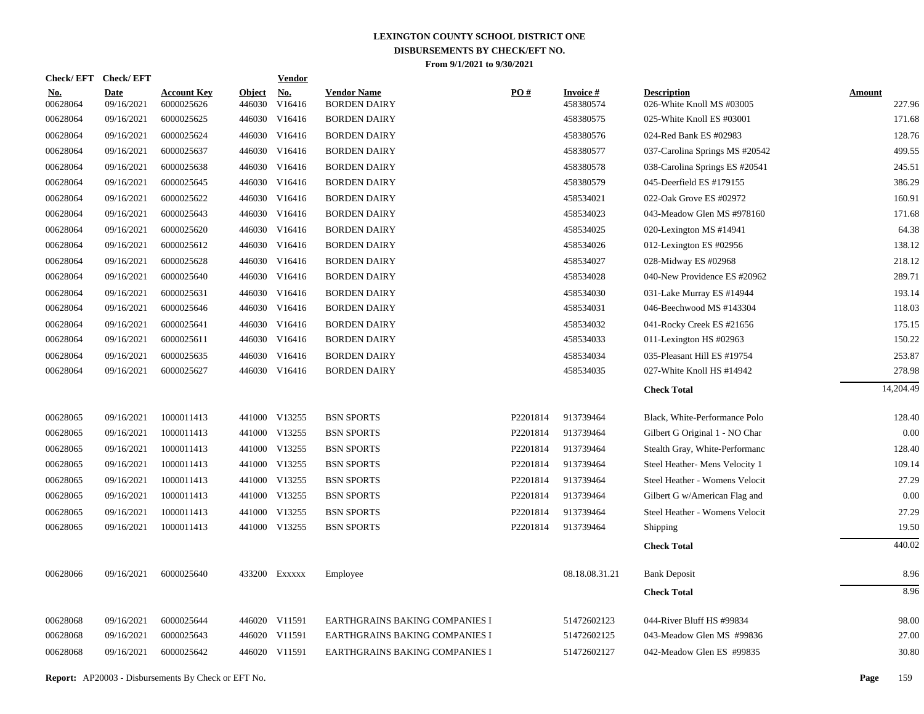| Check/EFT Check/EFT    |                           |                                  |                         | <b>Vendor</b> |                                           |          |                                 |                                                 |                  |
|------------------------|---------------------------|----------------------------------|-------------------------|---------------|-------------------------------------------|----------|---------------------------------|-------------------------------------------------|------------------|
| <u>No.</u><br>00628064 | <b>Date</b><br>09/16/2021 | <b>Account Key</b><br>6000025626 | <b>Object</b><br>446030 | No.<br>V16416 | <b>Vendor Name</b><br><b>BORDEN DAIRY</b> | PO#      | <b>Invoice</b> $#$<br>458380574 | <b>Description</b><br>026-White Knoll MS #03005 | Amount<br>227.96 |
| 00628064               | 09/16/2021                | 6000025625                       | 446030                  | V16416        | <b>BORDEN DAIRY</b>                       |          | 458380575                       | 025-White Knoll ES #03001                       | 171.68           |
| 00628064               | 09/16/2021                | 6000025624                       | 446030                  | V16416        | <b>BORDEN DAIRY</b>                       |          | 458380576                       | 024-Red Bank ES #02983                          | 128.76           |
| 00628064               | 09/16/2021                | 6000025637                       | 446030                  | V16416        | <b>BORDEN DAIRY</b>                       |          | 458380577                       | 037-Carolina Springs MS #20542                  | 499.55           |
| 00628064               | 09/16/2021                | 6000025638                       | 446030                  | V16416        | <b>BORDEN DAIRY</b>                       |          | 458380578                       | 038-Carolina Springs ES #20541                  | 245.51           |
| 00628064               | 09/16/2021                | 6000025645                       | 446030                  | V16416        | <b>BORDEN DAIRY</b>                       |          | 458380579                       | 045-Deerfield ES #179155                        | 386.29           |
| 00628064               | 09/16/2021                | 6000025622                       | 446030                  | V16416        | <b>BORDEN DAIRY</b>                       |          | 458534021                       | 022-Oak Grove ES #02972                         | 160.91           |
| 00628064               | 09/16/2021                | 6000025643                       | 446030                  | V16416        | <b>BORDEN DAIRY</b>                       |          | 458534023                       | 043-Meadow Glen MS #978160                      | 171.68           |
| 00628064               | 09/16/2021                | 6000025620                       | 446030                  | V16416        | <b>BORDEN DAIRY</b>                       |          | 458534025                       | 020-Lexington MS #14941                         | 64.38            |
| 00628064               | 09/16/2021                | 6000025612                       | 446030                  | V16416        | <b>BORDEN DAIRY</b>                       |          | 458534026                       | 012-Lexington ES #02956                         | 138.12           |
| 00628064               | 09/16/2021                | 6000025628                       | 446030                  | V16416        | <b>BORDEN DAIRY</b>                       |          | 458534027                       | 028-Midway ES #02968                            | 218.12           |
| 00628064               | 09/16/2021                | 6000025640                       |                         | 446030 V16416 | <b>BORDEN DAIRY</b>                       |          | 458534028                       | 040-New Providence ES #20962                    | 289.71           |
| 00628064               | 09/16/2021                | 6000025631                       | 446030                  | V16416        | <b>BORDEN DAIRY</b>                       |          | 458534030                       | 031-Lake Murray ES #14944                       | 193.14           |
| 00628064               | 09/16/2021                | 6000025646                       |                         | 446030 V16416 | <b>BORDEN DAIRY</b>                       |          | 458534031                       | 046-Beechwood MS #143304                        | 118.03           |
| 00628064               | 09/16/2021                | 6000025641                       | 446030                  | V16416        | <b>BORDEN DAIRY</b>                       |          | 458534032                       | 041-Rocky Creek ES #21656                       | 175.15           |
| 00628064               | 09/16/2021                | 6000025611                       |                         | 446030 V16416 | <b>BORDEN DAIRY</b>                       |          | 458534033                       | 011-Lexington HS #02963                         | 150.22           |
| 00628064               | 09/16/2021                | 6000025635                       | 446030                  | V16416        | <b>BORDEN DAIRY</b>                       |          | 458534034                       | 035-Pleasant Hill ES #19754                     | 253.87           |
| 00628064               | 09/16/2021                | 6000025627                       |                         | 446030 V16416 | <b>BORDEN DAIRY</b>                       |          | 458534035                       | 027-White Knoll HS #14942                       | 278.98           |
|                        |                           |                                  |                         |               |                                           |          |                                 | <b>Check Total</b>                              | 14,204.49        |
| 00628065               | 09/16/2021                | 1000011413                       |                         | 441000 V13255 | <b>BSN SPORTS</b>                         | P2201814 | 913739464                       | Black, White-Performance Polo                   | 128.40           |
| 00628065               | 09/16/2021                | 1000011413                       |                         | 441000 V13255 | <b>BSN SPORTS</b>                         | P2201814 | 913739464                       | Gilbert G Original 1 - NO Char                  | 0.00             |
| 00628065               | 09/16/2021                | 1000011413                       |                         | 441000 V13255 | <b>BSN SPORTS</b>                         | P2201814 | 913739464                       | Stealth Gray, White-Performanc                  | 128.40           |
| 00628065               | 09/16/2021                | 1000011413                       |                         | 441000 V13255 | <b>BSN SPORTS</b>                         | P2201814 | 913739464                       | Steel Heather- Mens Velocity 1                  | 109.14           |
| 00628065               | 09/16/2021                | 1000011413                       |                         | 441000 V13255 | <b>BSN SPORTS</b>                         | P2201814 | 913739464                       | Steel Heather - Womens Velocit                  | 27.29            |
| 00628065               | 09/16/2021                | 1000011413                       |                         | 441000 V13255 | <b>BSN SPORTS</b>                         | P2201814 | 913739464                       | Gilbert G w/American Flag and                   | 0.00             |
| 00628065               | 09/16/2021                | 1000011413                       |                         | 441000 V13255 | <b>BSN SPORTS</b>                         | P2201814 | 913739464                       | Steel Heather - Womens Velocit                  | 27.29            |
| 00628065               | 09/16/2021                | 1000011413                       |                         | 441000 V13255 | <b>BSN SPORTS</b>                         | P2201814 | 913739464                       | Shipping                                        | 19.50            |
|                        |                           |                                  |                         |               |                                           |          |                                 | <b>Check Total</b>                              | 440.02           |
| 00628066               | 09/16/2021                | 6000025640                       |                         | 433200 EXXXXX | Employee                                  |          | 08.18.08.31.21                  | <b>Bank Deposit</b>                             | 8.96             |
|                        |                           |                                  |                         |               |                                           |          |                                 | <b>Check Total</b>                              | 8.96             |
| 00628068               | 09/16/2021                | 6000025644                       |                         | 446020 V11591 | EARTHGRAINS BAKING COMPANIES I            |          | 51472602123                     | 044-River Bluff HS #99834                       | 98.00            |
| 00628068               | 09/16/2021                | 6000025643                       |                         | 446020 V11591 | EARTHGRAINS BAKING COMPANIES I            |          | 51472602125                     | 043-Meadow Glen MS #99836                       | 27.00            |
| 00628068               | 09/16/2021                | 6000025642                       |                         | 446020 V11591 | EARTHGRAINS BAKING COMPANIES I            |          | 51472602127                     | 042-Meadow Glen ES #99835                       | 30.80            |
|                        |                           |                                  |                         |               |                                           |          |                                 |                                                 |                  |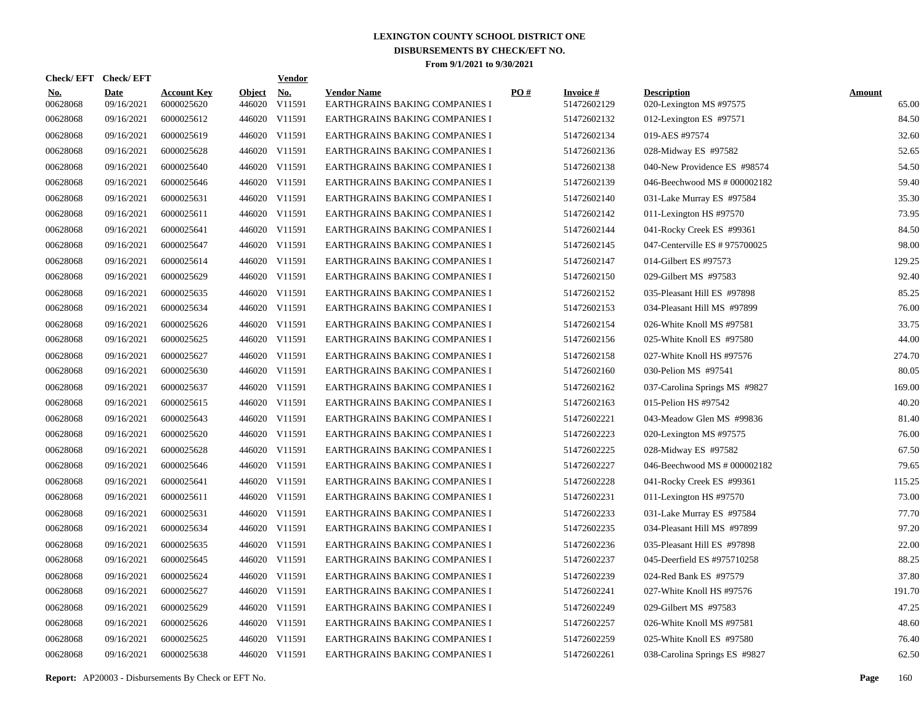| Check/ EFT             | <b>Check/EFT</b>          |                                  |                         | <b>Vendor</b> |                                                      |     |                                |                                               |                        |
|------------------------|---------------------------|----------------------------------|-------------------------|---------------|------------------------------------------------------|-----|--------------------------------|-----------------------------------------------|------------------------|
| <u>No.</u><br>00628068 | <b>Date</b><br>09/16/2021 | <b>Account Key</b><br>6000025620 | <b>Object</b><br>446020 | No.<br>V11591 | <b>Vendor Name</b><br>EARTHGRAINS BAKING COMPANIES I | PO# | <b>Invoice#</b><br>51472602129 | <b>Description</b><br>020-Lexington MS #97575 | <b>Amount</b><br>65.00 |
| 00628068               | 09/16/2021                | 6000025612                       |                         | 446020 V11591 | EARTHGRAINS BAKING COMPANIES I                       |     | 51472602132                    | 012-Lexington ES #97571                       | 84.50                  |
| 00628068               | 09/16/2021                | 6000025619                       |                         | 446020 V11591 | EARTHGRAINS BAKING COMPANIES I                       |     | 51472602134                    | 019-AES #97574                                | 32.60                  |
| 00628068               | 09/16/2021                | 6000025628                       |                         | 446020 V11591 | <b>EARTHGRAINS BAKING COMPANIES I</b>                |     | 51472602136                    | 028-Midway ES #97582                          | 52.65                  |
| 00628068               | 09/16/2021                | 6000025640                       |                         | 446020 V11591 | <b>EARTHGRAINS BAKING COMPANIES I</b>                |     | 51472602138                    | 040-New Providence ES #98574                  | 54.50                  |
| 00628068               | 09/16/2021                | 6000025646                       |                         | 446020 V11591 | EARTHGRAINS BAKING COMPANIES I                       |     | 51472602139                    | 046-Beechwood MS # 000002182                  | 59.40                  |
| 00628068               | 09/16/2021                | 6000025631                       |                         | 446020 V11591 | EARTHGRAINS BAKING COMPANIES I                       |     | 51472602140                    | 031-Lake Murray ES #97584                     | 35.30                  |
| 00628068               | 09/16/2021                | 6000025611                       |                         | 446020 V11591 | EARTHGRAINS BAKING COMPANIES I                       |     | 51472602142                    | 011-Lexington HS #97570                       | 73.95                  |
| 00628068               | 09/16/2021                | 6000025641                       |                         | 446020 V11591 | EARTHGRAINS BAKING COMPANIES I                       |     | 51472602144                    | 041-Rocky Creek ES #99361                     | 84.50                  |
| 00628068               | 09/16/2021                | 6000025647                       |                         | 446020 V11591 | EARTHGRAINS BAKING COMPANIES I                       |     | 51472602145                    | 047-Centerville ES # 975700025                | 98.00                  |
| 00628068               | 09/16/2021                | 6000025614                       |                         | 446020 V11591 | EARTHGRAINS BAKING COMPANIES I                       |     | 51472602147                    | 014-Gilbert ES #97573                         | 129.25                 |
| 00628068               | 09/16/2021                | 6000025629                       |                         | 446020 V11591 | EARTHGRAINS BAKING COMPANIES I                       |     | 51472602150                    | 029-Gilbert MS #97583                         | 92.40                  |
| 00628068               | 09/16/2021                | 6000025635                       |                         | 446020 V11591 | EARTHGRAINS BAKING COMPANIES I                       |     | 51472602152                    | 035-Pleasant Hill ES #97898                   | 85.25                  |
| 00628068               | 09/16/2021                | 6000025634                       |                         | 446020 V11591 | EARTHGRAINS BAKING COMPANIES I                       |     | 51472602153                    | 034-Pleasant Hill MS #97899                   | 76.00                  |
| 00628068               | 09/16/2021                | 6000025626                       |                         | 446020 V11591 | EARTHGRAINS BAKING COMPANIES I                       |     | 51472602154                    | 026-White Knoll MS #97581                     | 33.75                  |
| 00628068               | 09/16/2021                | 6000025625                       |                         | 446020 V11591 | EARTHGRAINS BAKING COMPANIES I                       |     | 51472602156                    | 025-White Knoll ES #97580                     | 44.00                  |
| 00628068               | 09/16/2021                | 6000025627                       |                         | 446020 V11591 | EARTHGRAINS BAKING COMPANIES I                       |     | 51472602158                    | 027-White Knoll HS #97576                     | 274.70                 |
| 00628068               | 09/16/2021                | 6000025630                       |                         | 446020 V11591 | EARTHGRAINS BAKING COMPANIES I                       |     | 51472602160                    | 030-Pelion MS #97541                          | 80.05                  |
| 00628068               | 09/16/2021                | 6000025637                       |                         | 446020 V11591 | <b>EARTHGRAINS BAKING COMPANIES I</b>                |     | 51472602162                    | 037-Carolina Springs MS #9827                 | 169.00                 |
| 00628068               | 09/16/2021                | 6000025615                       |                         | 446020 V11591 | EARTHGRAINS BAKING COMPANIES I                       |     | 51472602163                    | 015-Pelion HS #97542                          | 40.20                  |
| 00628068               | 09/16/2021                | 6000025643                       |                         | 446020 V11591 | EARTHGRAINS BAKING COMPANIES I                       |     | 51472602221                    | 043-Meadow Glen MS #99836                     | 81.40                  |
| 00628068               | 09/16/2021                | 6000025620                       |                         | 446020 V11591 | EARTHGRAINS BAKING COMPANIES I                       |     | 51472602223                    | 020-Lexington MS #97575                       | 76.00                  |
| 00628068               | 09/16/2021                | 6000025628                       |                         | 446020 V11591 | EARTHGRAINS BAKING COMPANIES I                       |     | 51472602225                    | 028-Midway ES #97582                          | 67.50                  |
| 00628068               | 09/16/2021                | 6000025646                       |                         | 446020 V11591 | EARTHGRAINS BAKING COMPANIES I                       |     | 51472602227                    | 046-Beechwood MS # 000002182                  | 79.65                  |
| 00628068               | 09/16/2021                | 6000025641                       |                         | 446020 V11591 | EARTHGRAINS BAKING COMPANIES I                       |     | 51472602228                    | 041-Rocky Creek ES #99361                     | 115.25                 |
| 00628068               | 09/16/2021                | 6000025611                       |                         | 446020 V11591 | <b>EARTHGRAINS BAKING COMPANIES I</b>                |     | 51472602231                    | 011-Lexington HS #97570                       | 73.00                  |
| 00628068               | 09/16/2021                | 6000025631                       |                         | 446020 V11591 | <b>EARTHGRAINS BAKING COMPANIES I</b>                |     | 51472602233                    | 031-Lake Murray ES #97584                     | 77.70                  |
| 00628068               | 09/16/2021                | 6000025634                       |                         | 446020 V11591 | EARTHGRAINS BAKING COMPANIES I                       |     | 51472602235                    | 034-Pleasant Hill MS #97899                   | 97.20                  |
| 00628068               | 09/16/2021                | 6000025635                       |                         | 446020 V11591 | EARTHGRAINS BAKING COMPANIES I                       |     | 51472602236                    | 035-Pleasant Hill ES #97898                   | 22.00                  |
| 00628068               | 09/16/2021                | 6000025645                       |                         | 446020 V11591 | EARTHGRAINS BAKING COMPANIES I                       |     | 51472602237                    | 045-Deerfield ES #975710258                   | 88.25                  |
| 00628068               | 09/16/2021                | 6000025624                       |                         | 446020 V11591 | EARTHGRAINS BAKING COMPANIES I                       |     | 51472602239                    | 024-Red Bank ES #97579                        | 37.80                  |
| 00628068               | 09/16/2021                | 6000025627                       |                         | 446020 V11591 | EARTHGRAINS BAKING COMPANIES I                       |     | 51472602241                    | 027-White Knoll HS #97576                     | 191.70                 |
| 00628068               | 09/16/2021                | 6000025629                       |                         | 446020 V11591 | EARTHGRAINS BAKING COMPANIES I                       |     | 51472602249                    | 029-Gilbert MS #97583                         | 47.25                  |
| 00628068               | 09/16/2021                | 6000025626                       |                         | 446020 V11591 | EARTHGRAINS BAKING COMPANIES I                       |     | 51472602257                    | 026-White Knoll MS #97581                     | 48.60                  |
| 00628068               | 09/16/2021                | 6000025625                       |                         | 446020 V11591 | EARTHGRAINS BAKING COMPANIES I                       |     | 51472602259                    | 025-White Knoll ES #97580                     | 76.40                  |
| 00628068               | 09/16/2021                | 6000025638                       |                         | 446020 V11591 | EARTHGRAINS BAKING COMPANIES I                       |     | 51472602261                    | 038-Carolina Springs ES #9827                 | 62.50                  |

**Report:** AP20003 - Disbursements By Check or EFT No. **Page** 160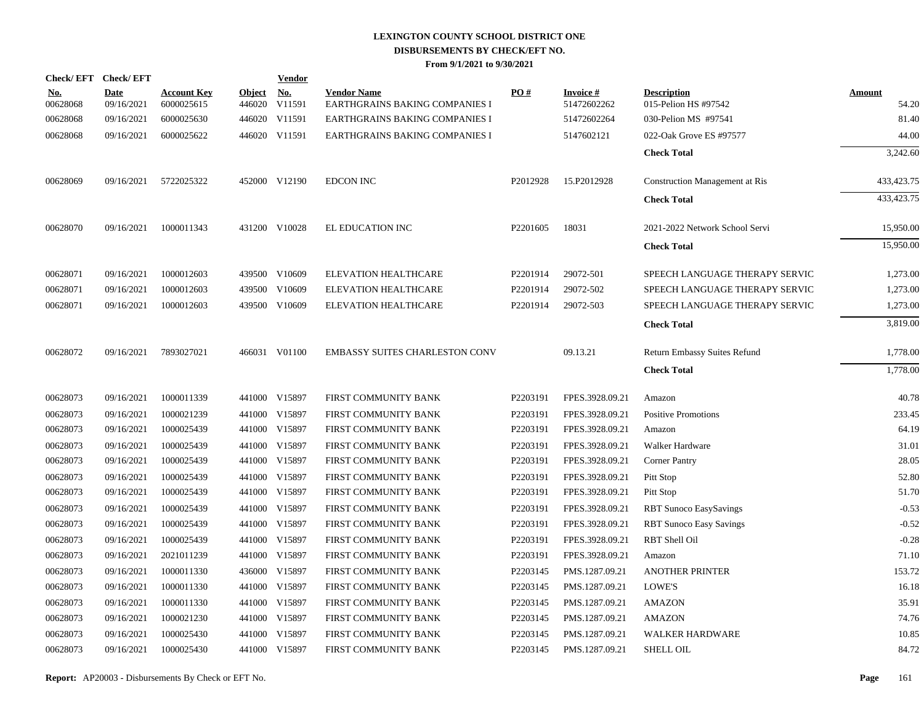|                        | Check/EFT Check/EFT       |                                  |                         | <b>Vendor</b>                         |                                                      |          |                          |                                            |                        |
|------------------------|---------------------------|----------------------------------|-------------------------|---------------------------------------|------------------------------------------------------|----------|--------------------------|--------------------------------------------|------------------------|
| <u>No.</u><br>00628068 | <b>Date</b><br>09/16/2021 | <b>Account Key</b><br>6000025615 | <b>Object</b><br>446020 | $\underline{\textbf{No}}$ .<br>V11591 | <b>Vendor Name</b><br>EARTHGRAINS BAKING COMPANIES I | PO#      | Invoice #<br>51472602262 | <b>Description</b><br>015-Pelion HS #97542 | <b>Amount</b><br>54.20 |
| 00628068               | 09/16/2021                | 6000025630                       |                         | 446020 V11591                         | EARTHGRAINS BAKING COMPANIES I                       |          | 51472602264              | 030-Pelion MS #97541                       | 81.40                  |
| 00628068               | 09/16/2021                | 6000025622                       |                         | 446020 V11591                         | EARTHGRAINS BAKING COMPANIES I                       |          | 5147602121               | 022-Oak Grove ES #97577                    | 44.00                  |
|                        |                           |                                  |                         |                                       |                                                      |          |                          | <b>Check Total</b>                         | 3,242.60               |
| 00628069               | 09/16/2021                | 5722025322                       |                         | 452000 V12190                         | <b>EDCON INC</b>                                     | P2012928 | 15.P2012928              | <b>Construction Management at Ris</b>      | 433, 423. 75           |
|                        |                           |                                  |                         |                                       |                                                      |          |                          | <b>Check Total</b>                         | 433,423.75             |
| 00628070               | 09/16/2021                | 1000011343                       |                         | 431200 V10028                         | EL EDUCATION INC                                     | P2201605 | 18031                    | 2021-2022 Network School Servi             | 15,950.00              |
|                        |                           |                                  |                         |                                       |                                                      |          |                          | <b>Check Total</b>                         | 15,950.00              |
| 00628071               | 09/16/2021                | 1000012603                       |                         | 439500 V10609                         | ELEVATION HEALTHCARE                                 | P2201914 | 29072-501                | SPEECH LANGUAGE THERAPY SERVIC             | 1,273.00               |
| 00628071               | 09/16/2021                | 1000012603                       |                         | 439500 V10609                         | ELEVATION HEALTHCARE                                 | P2201914 | 29072-502                | SPEECH LANGUAGE THERAPY SERVIC             | 1,273.00               |
| 00628071               | 09/16/2021                | 1000012603                       |                         | 439500 V10609                         | ELEVATION HEALTHCARE                                 | P2201914 | 29072-503                | SPEECH LANGUAGE THERAPY SERVIC             | 1,273.00               |
|                        |                           |                                  |                         |                                       |                                                      |          |                          | <b>Check Total</b>                         | 3,819.00               |
| 00628072               | 09/16/2021                | 7893027021                       |                         | 466031 V01100                         | <b>EMBASSY SUITES CHARLESTON CONV</b>                |          | 09.13.21                 | Return Embassy Suites Refund               | 1,778.00               |
|                        |                           |                                  |                         |                                       |                                                      |          |                          | <b>Check Total</b>                         | 1,778.00               |
| 00628073               | 09/16/2021                | 1000011339                       |                         | 441000 V15897                         | FIRST COMMUNITY BANK                                 | P2203191 | FPES.3928.09.21          | Amazon                                     | 40.78                  |
| 00628073               | 09/16/2021                | 1000021239                       |                         | 441000 V15897                         | FIRST COMMUNITY BANK                                 | P2203191 | FPES.3928.09.21          | <b>Positive Promotions</b>                 | 233.45                 |
| 00628073               | 09/16/2021                | 1000025439                       |                         | 441000 V15897                         | FIRST COMMUNITY BANK                                 | P2203191 | FPES.3928.09.21          | Amazon                                     | 64.19                  |
| 00628073               | 09/16/2021                | 1000025439                       |                         | 441000 V15897                         | FIRST COMMUNITY BANK                                 | P2203191 | FPES.3928.09.21          | Walker Hardware                            | 31.01                  |
| 00628073               | 09/16/2021                | 1000025439                       |                         | 441000 V15897                         | FIRST COMMUNITY BANK                                 | P2203191 | FPES.3928.09.21          | <b>Corner Pantry</b>                       | 28.05                  |
| 00628073               | 09/16/2021                | 1000025439                       |                         | 441000 V15897                         | FIRST COMMUNITY BANK                                 | P2203191 | FPES.3928.09.21          | Pitt Stop                                  | 52.80                  |
| 00628073               | 09/16/2021                | 1000025439                       |                         | 441000 V15897                         | FIRST COMMUNITY BANK                                 | P2203191 | FPES.3928.09.21          | Pitt Stop                                  | 51.70                  |
| 00628073               | 09/16/2021                | 1000025439                       |                         | 441000 V15897                         | FIRST COMMUNITY BANK                                 | P2203191 | FPES.3928.09.21          | <b>RBT Sunoco EasySavings</b>              | $-0.53$                |
| 00628073               | 09/16/2021                | 1000025439                       |                         | 441000 V15897                         | FIRST COMMUNITY BANK                                 | P2203191 | FPES.3928.09.21          | <b>RBT Sunoco Easy Savings</b>             | $-0.52$                |
| 00628073               | 09/16/2021                | 1000025439                       |                         | 441000 V15897                         | FIRST COMMUNITY BANK                                 | P2203191 | FPES.3928.09.21          | RBT Shell Oil                              | $-0.28$                |
| 00628073               | 09/16/2021                | 2021011239                       |                         | 441000 V15897                         | FIRST COMMUNITY BANK                                 | P2203191 | FPES.3928.09.21          | Amazon                                     | 71.10                  |
| 00628073               | 09/16/2021                | 1000011330                       |                         | 436000 V15897                         | FIRST COMMUNITY BANK                                 | P2203145 | PMS.1287.09.21           | <b>ANOTHER PRINTER</b>                     | 153.72                 |
| 00628073               | 09/16/2021                | 1000011330                       |                         | 441000 V15897                         | FIRST COMMUNITY BANK                                 | P2203145 | PMS.1287.09.21           | LOWE'S                                     | 16.18                  |
| 00628073               | 09/16/2021                | 1000011330                       |                         | 441000 V15897                         | FIRST COMMUNITY BANK                                 | P2203145 | PMS.1287.09.21           | <b>AMAZON</b>                              | 35.91                  |
| 00628073               | 09/16/2021                | 1000021230                       |                         | 441000 V15897                         | FIRST COMMUNITY BANK                                 | P2203145 | PMS.1287.09.21           | AMAZON                                     | 74.76                  |
| 00628073               | 09/16/2021                | 1000025430                       |                         | 441000 V15897                         | FIRST COMMUNITY BANK                                 | P2203145 | PMS.1287.09.21           | <b>WALKER HARDWARE</b>                     | 10.85                  |
| 00628073               | 09/16/2021                | 1000025430                       |                         | 441000 V15897                         | FIRST COMMUNITY BANK                                 | P2203145 | PMS.1287.09.21           | SHELL OIL                                  | 84.72                  |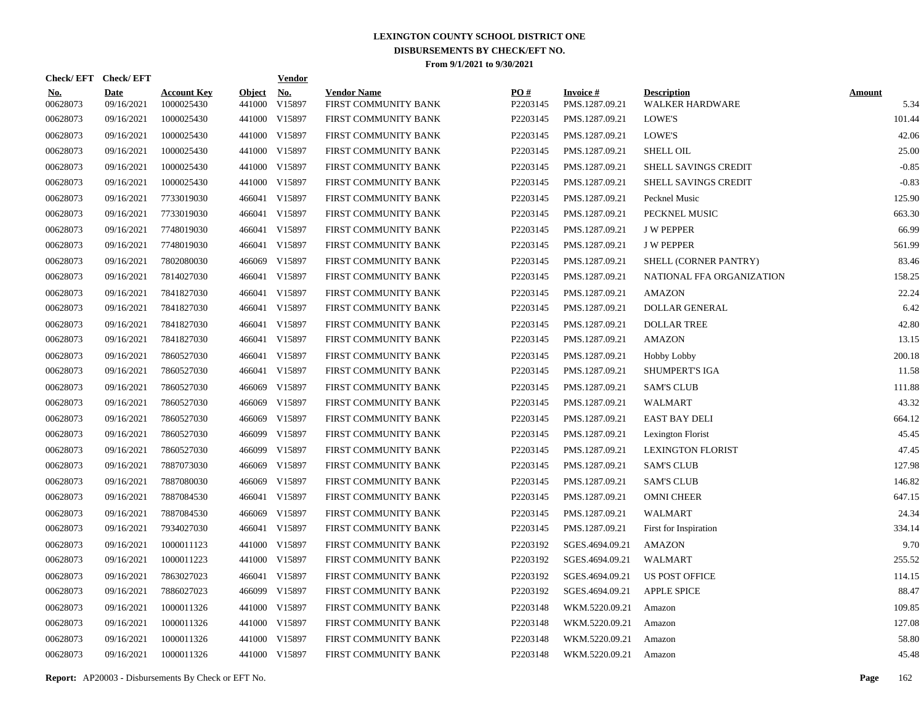| Check/EFT Check/EFT    |                           |                                  |                         | <b>Vendor</b>        |                                            |                 |                                   |                                       |                       |
|------------------------|---------------------------|----------------------------------|-------------------------|----------------------|--------------------------------------------|-----------------|-----------------------------------|---------------------------------------|-----------------------|
| <u>No.</u><br>00628073 | <b>Date</b><br>09/16/2021 | <b>Account Key</b><br>1000025430 | <b>Object</b><br>441000 | <u>No.</u><br>V15897 | <b>Vendor Name</b><br>FIRST COMMUNITY BANK | PQ#<br>P2203145 | <b>Invoice#</b><br>PMS.1287.09.21 | <b>Description</b><br>WALKER HARDWARE | <b>Amount</b><br>5.34 |
| 00628073               | 09/16/2021                | 1000025430                       |                         | 441000 V15897        | FIRST COMMUNITY BANK                       | P2203145        | PMS.1287.09.21                    | LOWE'S                                | 101.44                |
| 00628073               | 09/16/2021                | 1000025430                       |                         | 441000 V15897        | FIRST COMMUNITY BANK                       | P2203145        | PMS.1287.09.21                    | LOWE'S                                | 42.06                 |
| 00628073               | 09/16/2021                | 1000025430                       |                         | 441000 V15897        | FIRST COMMUNITY BANK                       | P2203145        | PMS.1287.09.21                    | <b>SHELL OIL</b>                      | 25.00                 |
| 00628073               | 09/16/2021                | 1000025430                       |                         | 441000 V15897        | FIRST COMMUNITY BANK                       | P2203145        | PMS.1287.09.21                    | <b>SHELL SAVINGS CREDIT</b>           | $-0.85$               |
| 00628073               | 09/16/2021                | 1000025430                       |                         | 441000 V15897        | FIRST COMMUNITY BANK                       | P2203145        | PMS.1287.09.21                    | SHELL SAVINGS CREDIT                  | $-0.83$               |
| 00628073               | 09/16/2021                | 7733019030                       |                         | 466041 V15897        | FIRST COMMUNITY BANK                       | P2203145        | PMS.1287.09.21                    | Pecknel Music                         | 125.90                |
| 00628073               | 09/16/2021                | 7733019030                       |                         | 466041 V15897        | FIRST COMMUNITY BANK                       | P2203145        | PMS.1287.09.21                    | PECKNEL MUSIC                         | 663.30                |
| 00628073               | 09/16/2021                | 7748019030                       |                         | 466041 V15897        | FIRST COMMUNITY BANK                       | P2203145        | PMS.1287.09.21                    | <b>J W PEPPER</b>                     | 66.99                 |
| 00628073               | 09/16/2021                | 7748019030                       |                         | 466041 V15897        | FIRST COMMUNITY BANK                       | P2203145        | PMS.1287.09.21                    | <b>J W PEPPER</b>                     | 561.99                |
| 00628073               | 09/16/2021                | 7802080030                       |                         | 466069 V15897        | FIRST COMMUNITY BANK                       | P2203145        | PMS.1287.09.21                    | SHELL (CORNER PANTRY)                 | 83.46                 |
| 00628073               | 09/16/2021                | 7814027030                       |                         | 466041 V15897        | FIRST COMMUNITY BANK                       | P2203145        | PMS.1287.09.21                    | NATIONAL FFA ORGANIZATION             | 158.25                |
| 00628073               | 09/16/2021                | 7841827030                       |                         | 466041 V15897        | FIRST COMMUNITY BANK                       | P2203145        | PMS.1287.09.21                    | <b>AMAZON</b>                         | 22.24                 |
| 00628073               | 09/16/2021                | 7841827030                       |                         | 466041 V15897        | FIRST COMMUNITY BANK                       | P2203145        | PMS.1287.09.21                    | DOLLAR GENERAL                        | 6.42                  |
| 00628073               | 09/16/2021                | 7841827030                       |                         | 466041 V15897        | FIRST COMMUNITY BANK                       | P2203145        | PMS.1287.09.21                    | <b>DOLLAR TREE</b>                    | 42.80                 |
| 00628073               | 09/16/2021                | 7841827030                       |                         | 466041 V15897        | FIRST COMMUNITY BANK                       | P2203145        | PMS.1287.09.21                    | <b>AMAZON</b>                         | 13.15                 |
| 00628073               | 09/16/2021                | 7860527030                       |                         | 466041 V15897        | FIRST COMMUNITY BANK                       | P2203145        | PMS.1287.09.21                    | Hobby Lobby                           | 200.18                |
| 00628073               | 09/16/2021                | 7860527030                       |                         | 466041 V15897        | FIRST COMMUNITY BANK                       | P2203145        | PMS.1287.09.21                    | <b>SHUMPERT'S IGA</b>                 | 11.58                 |
| 00628073               | 09/16/2021                | 7860527030                       |                         | 466069 V15897        | FIRST COMMUNITY BANK                       | P2203145        | PMS.1287.09.21                    | <b>SAM'S CLUB</b>                     | 111.88                |
| 00628073               | 09/16/2021                | 7860527030                       |                         | 466069 V15897        | FIRST COMMUNITY BANK                       | P2203145        | PMS.1287.09.21                    | WALMART                               | 43.32                 |
| 00628073               | 09/16/2021                | 7860527030                       | 466069                  | V15897               | FIRST COMMUNITY BANK                       | P2203145        | PMS.1287.09.21                    | EAST BAY DELI                         | 664.12                |
| 00628073               | 09/16/2021                | 7860527030                       |                         | 466099 V15897        | FIRST COMMUNITY BANK                       | P2203145        | PMS.1287.09.21                    | Lexington Florist                     | 45.45                 |
| 00628073               | 09/16/2021                | 7860527030                       | 466099                  | V15897               | FIRST COMMUNITY BANK                       | P2203145        | PMS.1287.09.21                    | <b>LEXINGTON FLORIST</b>              | 47.45                 |
| 00628073               | 09/16/2021                | 7887073030                       | 466069                  | V15897               | FIRST COMMUNITY BANK                       | P2203145        | PMS.1287.09.21                    | <b>SAM'S CLUB</b>                     | 127.98                |
| 00628073               | 09/16/2021                | 7887080030                       | 466069                  | V15897               | FIRST COMMUNITY BANK                       | P2203145        | PMS.1287.09.21                    | SAM'S CLUB                            | 146.82                |
| 00628073               | 09/16/2021                | 7887084530                       |                         | 466041 V15897        | FIRST COMMUNITY BANK                       | P2203145        | PMS.1287.09.21                    | <b>OMNI CHEER</b>                     | 647.15                |
| 00628073               | 09/16/2021                | 7887084530                       |                         | 466069 V15897        | FIRST COMMUNITY BANK                       | P2203145        | PMS.1287.09.21                    | <b>WALMART</b>                        | 24.34                 |
| 00628073               | 09/16/2021                | 7934027030                       |                         | 466041 V15897        | FIRST COMMUNITY BANK                       | P2203145        | PMS.1287.09.21                    | First for Inspiration                 | 334.14                |
| 00628073               | 09/16/2021                | 1000011123                       |                         | 441000 V15897        | FIRST COMMUNITY BANK                       | P2203192        | SGES.4694.09.21                   | <b>AMAZON</b>                         | 9.70                  |
| 00628073               | 09/16/2021                | 1000011223                       |                         | 441000 V15897        | FIRST COMMUNITY BANK                       | P2203192        | SGES.4694.09.21                   | WALMART                               | 255.52                |
| 00628073               | 09/16/2021                | 7863027023                       |                         | 466041 V15897        | FIRST COMMUNITY BANK                       | P2203192        | SGES.4694.09.21                   | US POST OFFICE                        | 114.15                |
| 00628073               | 09/16/2021                | 7886027023                       |                         | 466099 V15897        | FIRST COMMUNITY BANK                       | P2203192        | SGES.4694.09.21                   | <b>APPLE SPICE</b>                    | 88.47                 |
| 00628073               | 09/16/2021                | 1000011326                       | 441000                  | V15897               | FIRST COMMUNITY BANK                       | P2203148        | WKM.5220.09.21                    | Amazon                                | 109.85                |
| 00628073               | 09/16/2021                | 1000011326                       |                         | 441000 V15897        | FIRST COMMUNITY BANK                       | P2203148        | WKM.5220.09.21                    | Amazon                                | 127.08                |
| 00628073               | 09/16/2021                | 1000011326                       |                         | 441000 V15897        | FIRST COMMUNITY BANK                       | P2203148        | WKM.5220.09.21                    | Amazon                                | 58.80                 |
| 00628073               | 09/16/2021                | 1000011326                       |                         | 441000 V15897        | FIRST COMMUNITY BANK                       | P2203148        | WKM.5220.09.21                    | Amazon                                | 45.48                 |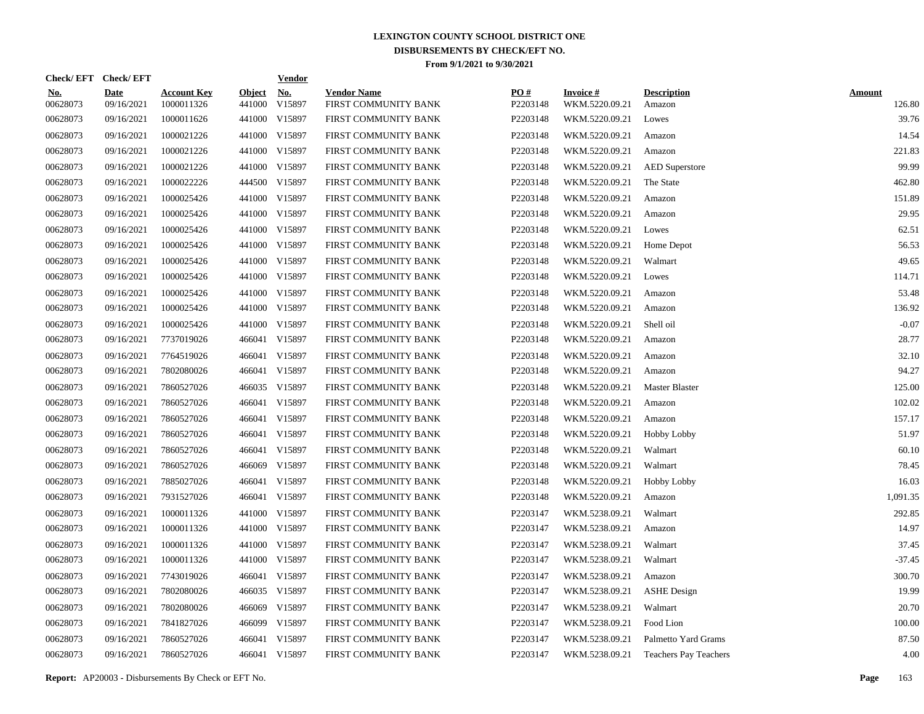|                        | Check/EFT Check/EFT       |                                  |                         | <b>Vendor</b>        |                                            |                 |                                   |                              |                         |
|------------------------|---------------------------|----------------------------------|-------------------------|----------------------|--------------------------------------------|-----------------|-----------------------------------|------------------------------|-------------------------|
| <u>No.</u><br>00628073 | <b>Date</b><br>09/16/2021 | <b>Account Key</b><br>1000011326 | <b>Object</b><br>441000 | <u>No.</u><br>V15897 | <b>Vendor Name</b><br>FIRST COMMUNITY BANK | PQ#<br>P2203148 | <b>Invoice#</b><br>WKM.5220.09.21 | <b>Description</b><br>Amazon | <b>Amount</b><br>126.80 |
| 00628073               | 09/16/2021                | 1000011626                       |                         | 441000 V15897        | FIRST COMMUNITY BANK                       | P2203148        | WKM.5220.09.21                    | Lowes                        | 39.76                   |
| 00628073               | 09/16/2021                | 1000021226                       |                         | 441000 V15897        | FIRST COMMUNITY BANK                       | P2203148        | WKM.5220.09.21                    | Amazon                       | 14.54                   |
| 00628073               | 09/16/2021                | 1000021226                       |                         | 441000 V15897        | FIRST COMMUNITY BANK                       | P2203148        | WKM.5220.09.21                    | Amazon                       | 221.83                  |
| 00628073               | 09/16/2021                | 1000021226                       |                         | 441000 V15897        | FIRST COMMUNITY BANK                       | P2203148        | WKM.5220.09.21                    | <b>AED</b> Superstore        | 99.99                   |
| 00628073               | 09/16/2021                | 1000022226                       |                         | 444500 V15897        | FIRST COMMUNITY BANK                       | P2203148        | WKM.5220.09.21                    | The State                    | 462.80                  |
| 00628073               | 09/16/2021                | 1000025426                       |                         | 441000 V15897        | FIRST COMMUNITY BANK                       | P2203148        | WKM.5220.09.21                    | Amazon                       | 151.89                  |
| 00628073               | 09/16/2021                | 1000025426                       |                         | 441000 V15897        | FIRST COMMUNITY BANK                       | P2203148        | WKM.5220.09.21                    | Amazon                       | 29.95                   |
| 00628073               | 09/16/2021                | 1000025426                       |                         | 441000 V15897        | FIRST COMMUNITY BANK                       | P2203148        | WKM.5220.09.21                    | Lowes                        | 62.51                   |
| 00628073               | 09/16/2021                | 1000025426                       |                         | 441000 V15897        | FIRST COMMUNITY BANK                       | P2203148        | WKM.5220.09.21                    | Home Depot                   | 56.53                   |
| 00628073               | 09/16/2021                | 1000025426                       |                         | 441000 V15897        | FIRST COMMUNITY BANK                       | P2203148        | WKM.5220.09.21                    | Walmart                      | 49.65                   |
| 00628073               | 09/16/2021                | 1000025426                       |                         | 441000 V15897        | FIRST COMMUNITY BANK                       | P2203148        | WKM.5220.09.21                    | Lowes                        | 114.71                  |
| 00628073               | 09/16/2021                | 1000025426                       |                         | 441000 V15897        | FIRST COMMUNITY BANK                       | P2203148        | WKM.5220.09.21                    | Amazon                       | 53.48                   |
| 00628073               | 09/16/2021                | 1000025426                       |                         | 441000 V15897        | FIRST COMMUNITY BANK                       | P2203148        | WKM.5220.09.21                    | Amazon                       | 136.92                  |
| 00628073               | 09/16/2021                | 1000025426                       |                         | 441000 V15897        | FIRST COMMUNITY BANK                       | P2203148        | WKM.5220.09.21                    | Shell oil                    | $-0.07$                 |
| 00628073               | 09/16/2021                | 7737019026                       |                         | 466041 V15897        | FIRST COMMUNITY BANK                       | P2203148        | WKM.5220.09.21                    | Amazon                       | 28.77                   |
| 00628073               | 09/16/2021                | 7764519026                       |                         | 466041 V15897        | FIRST COMMUNITY BANK                       | P2203148        | WKM.5220.09.21                    | Amazon                       | 32.10                   |
| 00628073               | 09/16/2021                | 7802080026                       |                         | 466041 V15897        | FIRST COMMUNITY BANK                       | P2203148        | WKM.5220.09.21                    | Amazon                       | 94.27                   |
| 00628073               | 09/16/2021                | 7860527026                       |                         | 466035 V15897        | FIRST COMMUNITY BANK                       | P2203148        | WKM.5220.09.21                    | Master Blaster               | 125.00                  |
| 00628073               | 09/16/2021                | 7860527026                       |                         | 466041 V15897        | FIRST COMMUNITY BANK                       | P2203148        | WKM.5220.09.21                    | Amazon                       | 102.02                  |
| 00628073               | 09/16/2021                | 7860527026                       |                         | 466041 V15897        | FIRST COMMUNITY BANK                       | P2203148        | WKM.5220.09.21                    | Amazon                       | 157.17                  |
| 00628073               | 09/16/2021                | 7860527026                       |                         | 466041 V15897        | FIRST COMMUNITY BANK                       | P2203148        | WKM.5220.09.21                    | <b>Hobby Lobby</b>           | 51.97                   |
| 00628073               | 09/16/2021                | 7860527026                       |                         | 466041 V15897        | FIRST COMMUNITY BANK                       | P2203148        | WKM.5220.09.21                    | Walmart                      | 60.10                   |
| 00628073               | 09/16/2021                | 7860527026                       |                         | 466069 V15897        | FIRST COMMUNITY BANK                       | P2203148        | WKM.5220.09.21                    | Walmart                      | 78.45                   |
| 00628073               | 09/16/2021                | 7885027026                       |                         | 466041 V15897        | FIRST COMMUNITY BANK                       | P2203148        | WKM.5220.09.21                    | Hobby Lobby                  | 16.03                   |
| 00628073               | 09/16/2021                | 7931527026                       |                         | 466041 V15897        | FIRST COMMUNITY BANK                       | P2203148        | WKM.5220.09.21                    | Amazon                       | 1,091.35                |
| 00628073               | 09/16/2021                | 1000011326                       |                         | 441000 V15897        | FIRST COMMUNITY BANK                       | P2203147        | WKM.5238.09.21                    | Walmart                      | 292.85                  |
| 00628073               | 09/16/2021                | 1000011326                       |                         | 441000 V15897        | FIRST COMMUNITY BANK                       | P2203147        | WKM.5238.09.21                    | Amazon                       | 14.97                   |
| 00628073               | 09/16/2021                | 1000011326                       |                         | 441000 V15897        | FIRST COMMUNITY BANK                       | P2203147        | WKM.5238.09.21                    | Walmart                      | 37.45                   |
| 00628073               | 09/16/2021                | 1000011326                       |                         | 441000 V15897        | FIRST COMMUNITY BANK                       | P2203147        | WKM.5238.09.21                    | Walmart                      | $-37.45$                |
| 00628073               | 09/16/2021                | 7743019026                       |                         | 466041 V15897        | FIRST COMMUNITY BANK                       | P2203147        | WKM.5238.09.21                    | Amazon                       | 300.70                  |
| 00628073               | 09/16/2021                | 7802080026                       |                         | 466035 V15897        | FIRST COMMUNITY BANK                       | P2203147        | WKM.5238.09.21                    | <b>ASHE</b> Design           | 19.99                   |
| 00628073               | 09/16/2021                | 7802080026                       | 466069                  | V15897               | FIRST COMMUNITY BANK                       | P2203147        | WKM.5238.09.21                    | Walmart                      | 20.70                   |
| 00628073               | 09/16/2021                | 7841827026                       |                         | 466099 V15897        | FIRST COMMUNITY BANK                       | P2203147        | WKM.5238.09.21                    | Food Lion                    | 100.00                  |
| 00628073               | 09/16/2021                | 7860527026                       |                         | 466041 V15897        | FIRST COMMUNITY BANK                       | P2203147        | WKM.5238.09.21                    | Palmetto Yard Grams          | 87.50                   |
| 00628073               | 09/16/2021                | 7860527026                       |                         | 466041 V15897        | FIRST COMMUNITY BANK                       | P2203147        | WKM.5238.09.21                    | <b>Teachers Pay Teachers</b> | 4.00                    |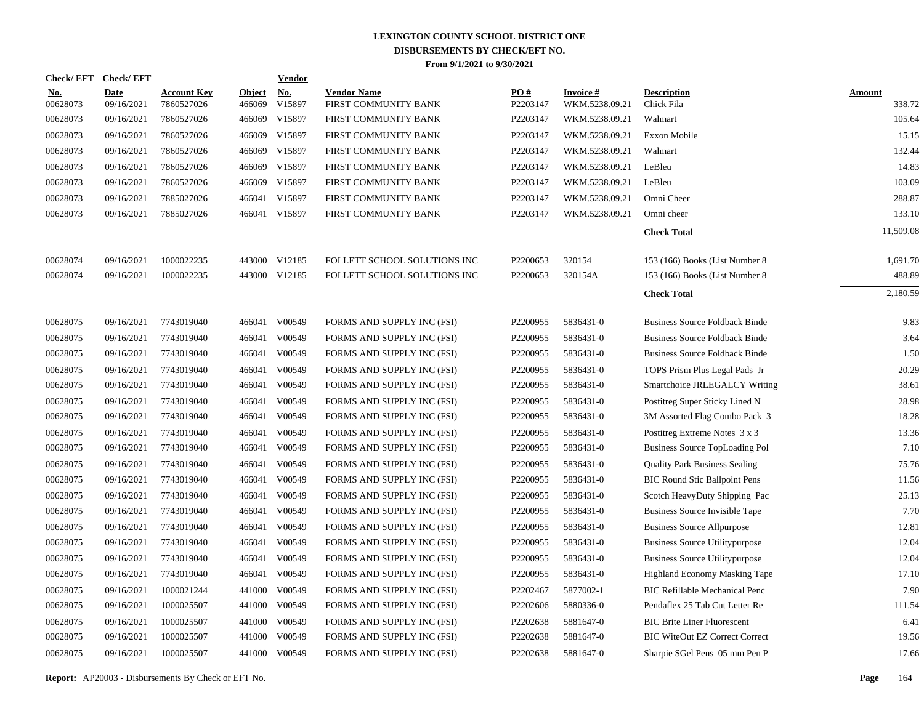| Check/EFT Check/EFT    |                           |                                  |                         | <u>Vendor</u>        |                                            |                 |                                   |                                       |                         |
|------------------------|---------------------------|----------------------------------|-------------------------|----------------------|--------------------------------------------|-----------------|-----------------------------------|---------------------------------------|-------------------------|
| <u>No.</u><br>00628073 | <b>Date</b><br>09/16/2021 | <b>Account Key</b><br>7860527026 | <b>Object</b><br>466069 | <u>No.</u><br>V15897 | <b>Vendor Name</b><br>FIRST COMMUNITY BANK | PO#<br>P2203147 | <b>Invoice#</b><br>WKM.5238.09.21 | <b>Description</b><br>Chick Fila      | <b>Amount</b><br>338.72 |
| 00628073               | 09/16/2021                | 7860527026                       | 466069                  | V15897               | FIRST COMMUNITY BANK                       | P2203147        | WKM.5238.09.21                    | Walmart                               | 105.64                  |
| 00628073               | 09/16/2021                | 7860527026                       | 466069                  | V15897               | FIRST COMMUNITY BANK                       | P2203147        | WKM.5238.09.21                    | Exxon Mobile                          | 15.15                   |
| 00628073               | 09/16/2021                | 7860527026                       | 466069                  | V15897               | FIRST COMMUNITY BANK                       | P2203147        | WKM.5238.09.21                    | Walmart                               | 132.44                  |
| 00628073               | 09/16/2021                | 7860527026                       | 466069                  | V15897               | FIRST COMMUNITY BANK                       | P2203147        | WKM.5238.09.21                    | LeBleu                                | 14.83                   |
| 00628073               | 09/16/2021                | 7860527026                       | 466069                  | V15897               | FIRST COMMUNITY BANK                       | P2203147        | WKM.5238.09.21                    | LeBleu                                | 103.09                  |
| 00628073               | 09/16/2021                | 7885027026                       | 466041                  | V15897               | FIRST COMMUNITY BANK                       | P2203147        | WKM.5238.09.21                    | Omni Cheer                            | 288.87                  |
| 00628073               | 09/16/2021                | 7885027026                       |                         | 466041 V15897        | FIRST COMMUNITY BANK                       | P2203147        | WKM.5238.09.21                    | Omni cheer                            | 133.10                  |
|                        |                           |                                  |                         |                      |                                            |                 |                                   | <b>Check Total</b>                    | 11,509.08               |
| 00628074               | 09/16/2021                | 1000022235                       |                         | 443000 V12185        | FOLLETT SCHOOL SOLUTIONS INC               | P2200653        | 320154                            | 153 (166) Books (List Number 8        | 1,691.70                |
| 00628074               | 09/16/2021                | 1000022235                       |                         | 443000 V12185        | FOLLETT SCHOOL SOLUTIONS INC               | P2200653        | 320154A                           | 153 (166) Books (List Number 8        | 488.89                  |
|                        |                           |                                  |                         |                      |                                            |                 |                                   | <b>Check Total</b>                    | 2,180.59                |
| 00628075               | 09/16/2021                | 7743019040                       |                         | 466041 V00549        | FORMS AND SUPPLY INC (FSI)                 | P2200955        | 5836431-0                         | <b>Business Source Foldback Binde</b> | 9.83                    |
| 00628075               | 09/16/2021                | 7743019040                       | 466041                  | V00549               | FORMS AND SUPPLY INC (FSI)                 | P2200955        | 5836431-0                         | <b>Business Source Foldback Binde</b> | 3.64                    |
| 00628075               | 09/16/2021                | 7743019040                       | 466041                  | V00549               | FORMS AND SUPPLY INC (FSI)                 | P2200955        | 5836431-0                         | <b>Business Source Foldback Binde</b> | 1.50                    |
| 00628075               | 09/16/2021                | 7743019040                       | 466041                  | V00549               | FORMS AND SUPPLY INC (FSI)                 | P2200955        | 5836431-0                         | TOPS Prism Plus Legal Pads Jr         | 20.29                   |
| 00628075               | 09/16/2021                | 7743019040                       | 466041                  | V00549               | FORMS AND SUPPLY INC (FSI)                 | P2200955        | 5836431-0                         | Smartchoice JRLEGALCY Writing         | 38.61                   |
| 00628075               | 09/16/2021                | 7743019040                       | 466041                  | V00549               | FORMS AND SUPPLY INC (FSI)                 | P2200955        | 5836431-0                         | Postitreg Super Sticky Lined N        | 28.98                   |
| 00628075               | 09/16/2021                | 7743019040                       | 466041                  | V00549               | FORMS AND SUPPLY INC (FSI)                 | P2200955        | 5836431-0                         | 3M Assorted Flag Combo Pack 3         | 18.28                   |
| 00628075               | 09/16/2021                | 7743019040                       | 466041                  | V00549               | FORMS AND SUPPLY INC (FSI)                 | P2200955        | 5836431-0                         | Postitreg Extreme Notes 3 x 3         | 13.36                   |
| 00628075               | 09/16/2021                | 7743019040                       | 466041                  | V00549               | FORMS AND SUPPLY INC (FSI)                 | P2200955        | 5836431-0                         | <b>Business Source TopLoading Pol</b> | 7.10                    |
| 00628075               | 09/16/2021                | 7743019040                       | 466041                  | V00549               | FORMS AND SUPPLY INC (FSI)                 | P2200955        | 5836431-0                         | <b>Quality Park Business Sealing</b>  | 75.76                   |
| 00628075               | 09/16/2021                | 7743019040                       | 466041                  | V00549               | FORMS AND SUPPLY INC (FSI)                 | P2200955        | 5836431-0                         | <b>BIC Round Stic Ballpoint Pens</b>  | 11.56                   |
| 00628075               | 09/16/2021                | 7743019040                       | 466041                  | V00549               | FORMS AND SUPPLY INC (FSI)                 | P2200955        | 5836431-0                         | Scotch HeavyDuty Shipping Pac         | 25.13                   |
| 00628075               | 09/16/2021                | 7743019040                       | 466041                  | V00549               | FORMS AND SUPPLY INC (FSI)                 | P2200955        | 5836431-0                         | Business Source Invisible Tape        | 7.70                    |
| 00628075               | 09/16/2021                | 7743019040                       | 466041                  | V00549               | FORMS AND SUPPLY INC (FSI)                 | P2200955        | 5836431-0                         | <b>Business Source Allpurpose</b>     | 12.81                   |
| 00628075               | 09/16/2021                | 7743019040                       | 466041                  | V00549               | FORMS AND SUPPLY INC (FSI)                 | P2200955        | 5836431-0                         | <b>Business Source Utilitypurpose</b> | 12.04                   |
| 00628075               | 09/16/2021                | 7743019040                       | 466041                  | V00549               | FORMS AND SUPPLY INC (FSI)                 | P2200955        | 5836431-0                         | <b>Business Source Utilitypurpose</b> | 12.04                   |
| 00628075               | 09/16/2021                | 7743019040                       | 466041                  | V00549               | FORMS AND SUPPLY INC (FSI)                 | P2200955        | 5836431-0                         | Highland Economy Masking Tape         | 17.10                   |
| 00628075               | 09/16/2021                | 1000021244                       | 441000                  | V00549               | FORMS AND SUPPLY INC (FSI)                 | P2202467        | 5877002-1                         | <b>BIC Refillable Mechanical Penc</b> | 7.90                    |
| 00628075               | 09/16/2021                | 1000025507                       | 441000                  | V00549               | FORMS AND SUPPLY INC (FSI)                 | P2202606        | 5880336-0                         | Pendaflex 25 Tab Cut Letter Re        | 111.54                  |
| 00628075               | 09/16/2021                | 1000025507                       | 441000                  | V00549               | FORMS AND SUPPLY INC (FSI)                 | P2202638        | 5881647-0                         | <b>BIC Brite Liner Fluorescent</b>    | 6.41                    |
| 00628075               | 09/16/2021                | 1000025507                       | 441000                  | V00549               | FORMS AND SUPPLY INC (FSI)                 | P2202638        | 5881647-0                         | <b>BIC WiteOut EZ Correct Correct</b> | 19.56                   |
| 00628075               | 09/16/2021                | 1000025507                       |                         | 441000 V00549        | FORMS AND SUPPLY INC (FSI)                 | P2202638        | 5881647-0                         | Sharpie SGel Pens 05 mm Pen P         | 17.66                   |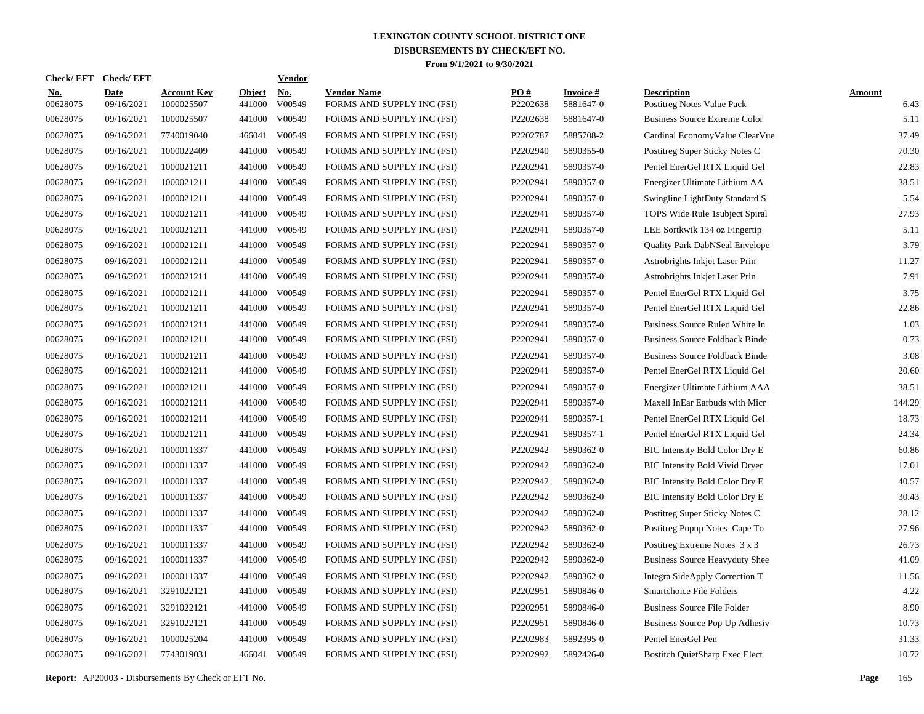| Check/ EFT             | <b>Check/EFT</b>          |                                  |                         | <b>Vendor</b>        |                                                  |                 |                              |                                                  |                       |
|------------------------|---------------------------|----------------------------------|-------------------------|----------------------|--------------------------------------------------|-----------------|------------------------------|--------------------------------------------------|-----------------------|
| <b>No.</b><br>00628075 | <b>Date</b><br>09/16/2021 | <b>Account Key</b><br>1000025507 | <b>Object</b><br>441000 | <u>No.</u><br>V00549 | <b>Vendor Name</b><br>FORMS AND SUPPLY INC (FSI) | PQ#<br>P2202638 | <b>Invoice#</b><br>5881647-0 | <b>Description</b><br>Postitreg Notes Value Pack | <b>Amount</b><br>6.43 |
| 00628075               | 09/16/2021                | 1000025507                       | 441000                  | V00549               | FORMS AND SUPPLY INC (FSI)                       | P2202638        | 5881647-0                    | <b>Business Source Extreme Color</b>             | 5.11                  |
| 00628075               | 09/16/2021                | 7740019040                       | 466041                  | V00549               | FORMS AND SUPPLY INC (FSI)                       | P2202787        | 5885708-2                    | Cardinal EconomyValue ClearVue                   | 37.49                 |
| 00628075               | 09/16/2021                | 1000022409                       | 441000                  | V00549               | FORMS AND SUPPLY INC (FSI)                       | P2202940        | 5890355-0                    | Postitreg Super Sticky Notes C                   | 70.30                 |
| 00628075               | 09/16/2021                | 1000021211                       | 441000                  | V00549               | FORMS AND SUPPLY INC (FSI)                       | P2202941        | 5890357-0                    | Pentel EnerGel RTX Liquid Gel                    | 22.83                 |
| 00628075               | 09/16/2021                | 1000021211                       | 441000                  | V00549               | FORMS AND SUPPLY INC (FSI)                       | P2202941        | 5890357-0                    | Energizer Ultimate Lithium AA                    | 38.51                 |
| 00628075               | 09/16/2021                | 1000021211                       | 441000                  | V00549               | FORMS AND SUPPLY INC (FSI)                       | P2202941        | 5890357-0                    | Swingline LightDuty Standard S                   | 5.54                  |
| 00628075               | 09/16/2021                | 1000021211                       | 441000                  | V00549               | FORMS AND SUPPLY INC (FSI)                       | P2202941        | 5890357-0                    | TOPS Wide Rule 1subject Spiral                   | 27.93                 |
| 00628075               | 09/16/2021                | 1000021211                       | 441000                  | V00549               | FORMS AND SUPPLY INC (FSI)                       | P2202941        | 5890357-0                    | LEE Sortkwik 134 oz Fingertip                    | 5.11                  |
| 00628075               | 09/16/2021                | 1000021211                       | 441000                  | V00549               | FORMS AND SUPPLY INC (FSI)                       | P2202941        | 5890357-0                    | Quality Park DabNSeal Envelope                   | 3.79                  |
| 00628075               | 09/16/2021                | 1000021211                       | 441000                  | V00549               | FORMS AND SUPPLY INC (FSI)                       | P2202941        | 5890357-0                    | Astrobrights Inkjet Laser Prin                   | 11.27                 |
| 00628075               | 09/16/2021                | 1000021211                       | 441000                  | V00549               | FORMS AND SUPPLY INC (FSI)                       | P2202941        | 5890357-0                    | Astrobrights Inkjet Laser Prin                   | 7.91                  |
| 00628075               | 09/16/2021                | 1000021211                       | 441000                  | V00549               | FORMS AND SUPPLY INC (FSI)                       | P2202941        | 5890357-0                    | Pentel EnerGel RTX Liquid Gel                    | 3.75                  |
| 00628075               | 09/16/2021                | 1000021211                       | 441000                  | V00549               | FORMS AND SUPPLY INC (FSI)                       | P2202941        | 5890357-0                    | Pentel EnerGel RTX Liquid Gel                    | 22.86                 |
| 00628075               | 09/16/2021                | 1000021211                       | 441000                  | V00549               | FORMS AND SUPPLY INC (FSI)                       | P2202941        | 5890357-0                    | Business Source Ruled White In                   | 1.03                  |
| 00628075               | 09/16/2021                | 1000021211                       | 441000                  | V00549               | FORMS AND SUPPLY INC (FSI)                       | P2202941        | 5890357-0                    | <b>Business Source Foldback Binde</b>            | 0.73                  |
| 00628075               | 09/16/2021                | 1000021211                       | 441000                  | V00549               | FORMS AND SUPPLY INC (FSI)                       | P2202941        | 5890357-0                    | <b>Business Source Foldback Binde</b>            | 3.08                  |
| 00628075               | 09/16/2021                | 1000021211                       | 441000                  | V00549               | FORMS AND SUPPLY INC (FSI)                       | P2202941        | 5890357-0                    | Pentel EnerGel RTX Liquid Gel                    | 20.60                 |
| 00628075               | 09/16/2021                | 1000021211                       | 441000                  | V00549               | FORMS AND SUPPLY INC (FSI)                       | P2202941        | 5890357-0                    | Energizer Ultimate Lithium AAA                   | 38.51                 |
| 00628075               | 09/16/2021                | 1000021211                       | 441000                  | V00549               | FORMS AND SUPPLY INC (FSI)                       | P2202941        | 5890357-0                    | Maxell InEar Earbuds with Micr                   | 144.29                |
| 00628075               | 09/16/2021                | 1000021211                       | 441000                  | V00549               | FORMS AND SUPPLY INC (FSI)                       | P2202941        | 5890357-1                    | Pentel EnerGel RTX Liquid Gel                    | 18.73                 |
| 00628075               | 09/16/2021                | 1000021211                       | 441000                  | V00549               | FORMS AND SUPPLY INC (FSI)                       | P2202941        | 5890357-1                    | Pentel EnerGel RTX Liquid Gel                    | 24.34                 |
| 00628075               | 09/16/2021                | 1000011337                       | 441000                  | V00549               | FORMS AND SUPPLY INC (FSI)                       | P2202942        | 5890362-0                    | BIC Intensity Bold Color Dry E                   | 60.86                 |
| 00628075               | 09/16/2021                | 1000011337                       | 441000                  | V00549               | FORMS AND SUPPLY INC (FSI)                       | P2202942        | 5890362-0                    | BIC Intensity Bold Vivid Dryer                   | 17.01                 |
| 00628075               | 09/16/2021                | 1000011337                       | 441000                  | V00549               | FORMS AND SUPPLY INC (FSI)                       | P2202942        | 5890362-0                    | BIC Intensity Bold Color Dry E                   | 40.57                 |
| 00628075               | 09/16/2021                | 1000011337                       | 441000                  | V00549               | FORMS AND SUPPLY INC (FSI)                       | P2202942        | 5890362-0                    | BIC Intensity Bold Color Dry E                   | 30.43                 |
| 00628075               | 09/16/2021                | 1000011337                       | 441000                  | V00549               | FORMS AND SUPPLY INC (FSI)                       | P2202942        | 5890362-0                    | Postitreg Super Sticky Notes C                   | 28.12                 |
| 00628075               | 09/16/2021                | 1000011337                       | 441000                  | V00549               | FORMS AND SUPPLY INC (FSI)                       | P2202942        | 5890362-0                    | Postitreg Popup Notes Cape To                    | 27.96                 |
| 00628075               | 09/16/2021                | 1000011337                       | 441000                  | V00549               | FORMS AND SUPPLY INC (FSI)                       | P2202942        | 5890362-0                    | Postitreg Extreme Notes 3 x 3                    | 26.73                 |
| 00628075               | 09/16/2021                | 1000011337                       | 441000                  | V00549               | FORMS AND SUPPLY INC (FSI)                       | P2202942        | 5890362-0                    | Business Source Heavyduty Shee                   | 41.09                 |
| 00628075               | 09/16/2021                | 1000011337                       | 441000                  | V00549               | FORMS AND SUPPLY INC (FSI)                       | P2202942        | 5890362-0                    | Integra SideApply Correction T                   | 11.56                 |
| 00628075               | 09/16/2021                | 3291022121                       | 441000                  | V00549               | FORMS AND SUPPLY INC (FSI)                       | P2202951        | 5890846-0                    | Smartchoice File Folders                         | 4.22                  |
| 00628075               | 09/16/2021                | 3291022121                       | 441000                  | V00549               | FORMS AND SUPPLY INC (FSI)                       | P2202951        | 5890846-0                    | <b>Business Source File Folder</b>               | 8.90                  |
| 00628075               | 09/16/2021                | 3291022121                       | 441000                  | V00549               | FORMS AND SUPPLY INC (FSI)                       | P2202951        | 5890846-0                    | Business Source Pop Up Adhesiv                   | 10.73                 |
| 00628075               | 09/16/2021                | 1000025204                       | 441000                  | V00549               | FORMS AND SUPPLY INC (FSI)                       | P2202983        | 5892395-0                    | Pentel EnerGel Pen                               | 31.33                 |
| 00628075               | 09/16/2021                | 7743019031                       |                         | 466041 V00549        | FORMS AND SUPPLY INC (FSI)                       | P2202992        | 5892426-0                    | <b>Bostitch QuietSharp Exec Elect</b>            | 10.72                 |
|                        |                           |                                  |                         |                      |                                                  |                 |                              |                                                  |                       |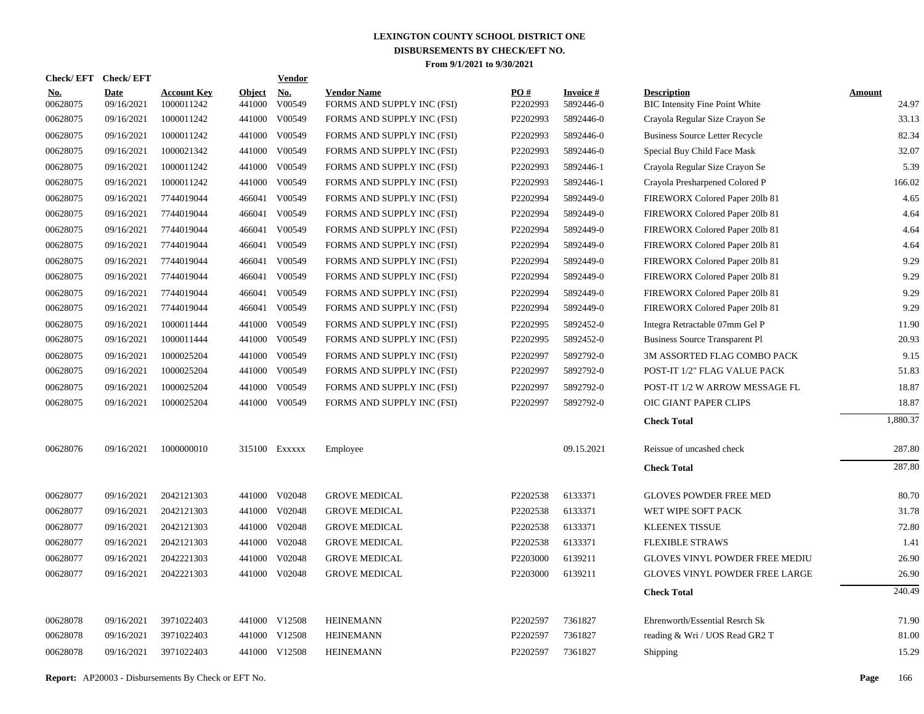| <b>Check/EFT</b>       | <b>Check/EFT</b>          |                                  |                         | <b>Vendor</b>        |                                                  |                 |                              |                                                             |                        |
|------------------------|---------------------------|----------------------------------|-------------------------|----------------------|--------------------------------------------------|-----------------|------------------------------|-------------------------------------------------------------|------------------------|
| <u>No.</u><br>00628075 | <b>Date</b><br>09/16/2021 | <b>Account Key</b><br>1000011242 | <b>Object</b><br>441000 | <u>No.</u><br>V00549 | <b>Vendor Name</b><br>FORMS AND SUPPLY INC (FSI) | PO#<br>P2202993 | <b>Invoice#</b><br>5892446-0 | <b>Description</b><br><b>BIC Intensity Fine Point White</b> | <b>Amount</b><br>24.97 |
| 00628075               | 09/16/2021                | 1000011242                       | 441000                  | V00549               | FORMS AND SUPPLY INC (FSI)                       | P2202993        | 5892446-0                    | Crayola Regular Size Crayon Se                              | 33.13                  |
| 00628075               | 09/16/2021                | 1000011242                       | 441000                  | V00549               | FORMS AND SUPPLY INC (FSI)                       | P2202993        | 5892446-0                    | <b>Business Source Letter Recycle</b>                       | 82.34                  |
| 00628075               | 09/16/2021                | 1000021342                       | 441000                  | V00549               | FORMS AND SUPPLY INC (FSI)                       | P2202993        | 5892446-0                    | Special Buy Child Face Mask                                 | 32.07                  |
| 00628075               | 09/16/2021                | 1000011242                       | 441000                  | V00549               | FORMS AND SUPPLY INC (FSI)                       | P2202993        | 5892446-1                    | Crayola Regular Size Crayon Se                              | 5.39                   |
| 00628075               | 09/16/2021                | 1000011242                       | 441000                  | V00549               | FORMS AND SUPPLY INC (FSI)                       | P2202993        | 5892446-1                    | Crayola Presharpened Colored P                              | 166.02                 |
| 00628075               | 09/16/2021                | 7744019044                       | 466041                  | V00549               | FORMS AND SUPPLY INC (FSI)                       | P2202994        | 5892449-0                    | FIREWORX Colored Paper 201b 81                              | 4.65                   |
| 00628075               | 09/16/2021                | 7744019044                       | 466041                  | V00549               | FORMS AND SUPPLY INC (FSI)                       | P2202994        | 5892449-0                    | FIREWORX Colored Paper 201b 81                              | 4.64                   |
| 00628075               | 09/16/2021                | 7744019044                       | 466041                  | V00549               | FORMS AND SUPPLY INC (FSI)                       | P2202994        | 5892449-0                    | FIREWORX Colored Paper 201b 81                              | 4.64                   |
| 00628075               | 09/16/2021                | 7744019044                       | 466041                  | V00549               | FORMS AND SUPPLY INC (FSI)                       | P2202994        | 5892449-0                    | FIREWORX Colored Paper 201b 81                              | 4.64                   |
| 00628075               | 09/16/2021                | 7744019044                       | 466041                  | V00549               | FORMS AND SUPPLY INC (FSI)                       | P2202994        | 5892449-0                    | FIREWORX Colored Paper 201b 81                              | 9.29                   |
| 00628075               | 09/16/2021                | 7744019044                       | 466041                  | V00549               | FORMS AND SUPPLY INC (FSI)                       | P2202994        | 5892449-0                    | FIREWORX Colored Paper 201b 81                              | 9.29                   |
| 00628075               | 09/16/2021                | 7744019044                       | 466041                  | V00549               | FORMS AND SUPPLY INC (FSI)                       | P2202994        | 5892449-0                    | FIREWORX Colored Paper 201b 81                              | 9.29                   |
| 00628075               | 09/16/2021                | 7744019044                       | 466041                  | V00549               | FORMS AND SUPPLY INC (FSI)                       | P2202994        | 5892449-0                    | FIREWORX Colored Paper 201b 81                              | 9.29                   |
| 00628075               | 09/16/2021                | 1000011444                       | 441000                  | V00549               | FORMS AND SUPPLY INC (FSI)                       | P2202995        | 5892452-0                    | Integra Retractable 07mm Gel P                              | 11.90                  |
| 00628075               | 09/16/2021                | 1000011444                       | 441000                  | V00549               | FORMS AND SUPPLY INC (FSI)                       | P2202995        | 5892452-0                    | Business Source Transparent Pl                              | 20.93                  |
| 00628075               | 09/16/2021                | 1000025204                       | 441000                  | V00549               | FORMS AND SUPPLY INC (FSI)                       | P2202997        | 5892792-0                    | 3M ASSORTED FLAG COMBO PACK                                 | 9.15                   |
| 00628075               | 09/16/2021                | 1000025204                       | 441000                  | V00549               | FORMS AND SUPPLY INC (FSI)                       | P2202997        | 5892792-0                    | POST-IT 1/2" FLAG VALUE PACK                                | 51.83                  |
| 00628075               | 09/16/2021                | 1000025204                       | 441000                  | V00549               | FORMS AND SUPPLY INC (FSI)                       | P2202997        | 5892792-0                    | POST-IT 1/2 W ARROW MESSAGE FL                              | 18.87                  |
| 00628075               | 09/16/2021                | 1000025204                       |                         | 441000 V00549        | FORMS AND SUPPLY INC (FSI)                       | P2202997        | 5892792-0                    | OIC GIANT PAPER CLIPS                                       | 18.87                  |
|                        |                           |                                  |                         |                      |                                                  |                 |                              | <b>Check Total</b>                                          | 1,880.37               |
| 00628076               | 09/16/2021                | 1000000010                       |                         | 315100 EXXXXX        | Employee                                         |                 | 09.15.2021                   | Reissue of uncashed check                                   | 287.80                 |
|                        |                           |                                  |                         |                      |                                                  |                 |                              | <b>Check Total</b>                                          | 287.80                 |
| 00628077               | 09/16/2021                | 2042121303                       | 441000                  | V02048               | <b>GROVE MEDICAL</b>                             | P2202538        | 6133371                      | <b>GLOVES POWDER FREE MED</b>                               | 80.70                  |
| 00628077               | 09/16/2021                | 2042121303                       | 441000                  | V02048               | <b>GROVE MEDICAL</b>                             | P2202538        | 6133371                      | WET WIPE SOFT PACK                                          | 31.78                  |
| 00628077               | 09/16/2021                | 2042121303                       | 441000                  | V02048               | <b>GROVE MEDICAL</b>                             | P2202538        | 6133371                      | KLEENEX TISSUE                                              | 72.80                  |
| 00628077               | 09/16/2021                | 2042121303                       | 441000                  | V02048               | <b>GROVE MEDICAL</b>                             | P2202538        | 6133371                      | <b>FLEXIBLE STRAWS</b>                                      | 1.41                   |
| 00628077               | 09/16/2021                | 2042221303                       | 441000                  | V02048               | <b>GROVE MEDICAL</b>                             | P2203000        | 6139211                      | GLOVES VINYL POWDER FREE MEDIU                              | 26.90                  |
| 00628077               | 09/16/2021                | 2042221303                       | 441000                  | V02048               | <b>GROVE MEDICAL</b>                             | P2203000        | 6139211                      | <b>GLOVES VINYL POWDER FREE LARGE</b>                       | 26.90                  |
|                        |                           |                                  |                         |                      |                                                  |                 |                              | <b>Check Total</b>                                          | 240.49                 |
| 00628078               | 09/16/2021                | 3971022403                       |                         | 441000 V12508        | <b>HEINEMANN</b>                                 | P2202597        | 7361827                      | Ehrenworth/Essential Resrch Sk                              | 71.90                  |
| 00628078               | 09/16/2021                | 3971022403                       |                         | 441000 V12508        | <b>HEINEMANN</b>                                 | P2202597        | 7361827                      | reading & Wri / UOS Read GR2 T                              | 81.00                  |
| 00628078               | 09/16/2021                | 3971022403                       |                         | 441000 V12508        | <b>HEINEMANN</b>                                 | P2202597        | 7361827                      | Shipping                                                    | 15.29                  |
|                        |                           |                                  |                         |                      |                                                  |                 |                              |                                                             |                        |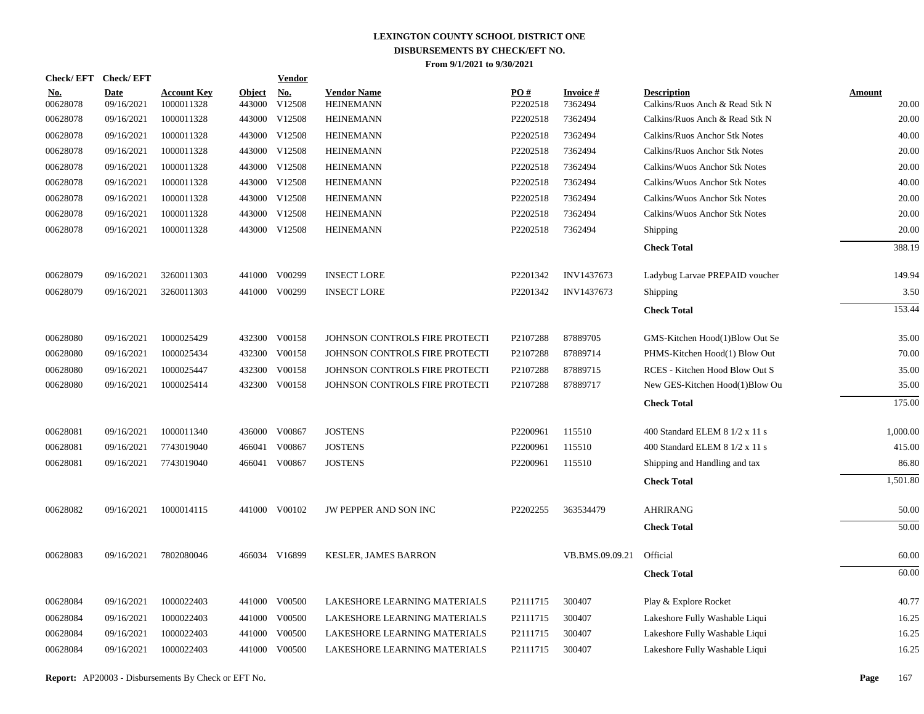| Check/ EFT             | <b>Check/EFT</b>          |                                  |                         | <b>Vendor</b> |                                        |                 |                             |                                                      |                        |
|------------------------|---------------------------|----------------------------------|-------------------------|---------------|----------------------------------------|-----------------|-----------------------------|------------------------------------------------------|------------------------|
| <b>No.</b><br>00628078 | <b>Date</b><br>09/16/2021 | <b>Account Key</b><br>1000011328 | <b>Object</b><br>443000 | No.<br>V12508 | <b>Vendor Name</b><br><b>HEINEMANN</b> | PO#<br>P2202518 | <b>Invoice #</b><br>7362494 | <b>Description</b><br>Calkins/Ruos Anch & Read Stk N | <b>Amount</b><br>20.00 |
| 00628078               | 09/16/2021                | 1000011328                       | 443000                  | V12508        | <b>HEINEMANN</b>                       | P2202518        | 7362494                     | Calkins/Ruos Anch & Read Stk N                       | 20.00                  |
| 00628078               | 09/16/2021                | 1000011328                       | 443000                  | V12508        | <b>HEINEMANN</b>                       | P2202518        | 7362494                     | Calkins/Ruos Anchor Stk Notes                        | 40.00                  |
| 00628078               | 09/16/2021                | 1000011328                       |                         | 443000 V12508 | <b>HEINEMANN</b>                       | P2202518        | 7362494                     | Calkins/Ruos Anchor Stk Notes                        | 20.00                  |
| 00628078               | 09/16/2021                | 1000011328                       | 443000                  | V12508        | <b>HEINEMANN</b>                       | P2202518        | 7362494                     | Calkins/Wuos Anchor Stk Notes                        | 20.00                  |
| 00628078               | 09/16/2021                | 1000011328                       |                         | 443000 V12508 | <b>HEINEMANN</b>                       | P2202518        | 7362494                     | Calkins/Wuos Anchor Stk Notes                        | 40.00                  |
| 00628078               | 09/16/2021                | 1000011328                       |                         | 443000 V12508 | <b>HEINEMANN</b>                       | P2202518        | 7362494                     | Calkins/Wuos Anchor Stk Notes                        | 20.00                  |
| 00628078               | 09/16/2021                | 1000011328                       |                         | 443000 V12508 | <b>HEINEMANN</b>                       | P2202518        | 7362494                     | Calkins/Wuos Anchor Stk Notes                        | 20.00                  |
| 00628078               | 09/16/2021                | 1000011328                       |                         | 443000 V12508 | <b>HEINEMANN</b>                       | P2202518        | 7362494                     | Shipping                                             | 20.00                  |
|                        |                           |                                  |                         |               |                                        |                 |                             | <b>Check Total</b>                                   | 388.19                 |
| 00628079               | 09/16/2021                | 3260011303                       |                         | 441000 V00299 | <b>INSECT LORE</b>                     | P2201342        | INV1437673                  | Ladybug Larvae PREPAID voucher                       | 149.94                 |
| 00628079               | 09/16/2021                | 3260011303                       |                         | 441000 V00299 | <b>INSECT LORE</b>                     | P2201342        | INV1437673                  | Shipping                                             | 3.50                   |
|                        |                           |                                  |                         |               |                                        |                 |                             | <b>Check Total</b>                                   | 153.44                 |
| 00628080               | 09/16/2021                | 1000025429                       |                         | 432300 V00158 | JOHNSON CONTROLS FIRE PROTECTI         | P2107288        | 87889705                    | GMS-Kitchen Hood(1)Blow Out Se                       | 35.00                  |
| 00628080               | 09/16/2021                | 1000025434                       |                         | 432300 V00158 | JOHNSON CONTROLS FIRE PROTECTI         | P2107288        | 87889714                    | PHMS-Kitchen Hood(1) Blow Out                        | 70.00                  |
| 00628080               | 09/16/2021                | 1000025447                       | 432300                  | V00158        | JOHNSON CONTROLS FIRE PROTECTI         | P2107288        | 87889715                    | RCES - Kitchen Hood Blow Out S                       | 35.00                  |
| 00628080               | 09/16/2021                | 1000025414                       |                         | 432300 V00158 | JOHNSON CONTROLS FIRE PROTECTI         | P2107288        | 87889717                    | New GES-Kitchen Hood(1)Blow Ou                       | 35.00                  |
|                        |                           |                                  |                         |               |                                        |                 |                             | <b>Check Total</b>                                   | 175.00                 |
| 00628081               | 09/16/2021                | 1000011340                       |                         | 436000 V00867 | <b>JOSTENS</b>                         | P2200961        | 115510                      | 400 Standard ELEM 8 1/2 x 11 s                       | 1,000.00               |
| 00628081               | 09/16/2021                | 7743019040                       | 466041                  | V00867        | <b>JOSTENS</b>                         | P2200961        | 115510                      | 400 Standard ELEM 8 1/2 x 11 s                       | 415.00                 |
| 00628081               | 09/16/2021                | 7743019040                       | 466041                  | V00867        | <b>JOSTENS</b>                         | P2200961        | 115510                      | Shipping and Handling and tax                        | 86.80                  |
|                        |                           |                                  |                         |               |                                        |                 |                             | <b>Check Total</b>                                   | 1,501.80               |
| 00628082               | 09/16/2021                | 1000014115                       |                         | 441000 V00102 | JW PEPPER AND SON INC                  | P2202255        | 363534479                   | <b>AHRIRANG</b>                                      | 50.00                  |
|                        |                           |                                  |                         |               |                                        |                 |                             | <b>Check Total</b>                                   | 50.00                  |
| 00628083               | 09/16/2021                | 7802080046                       |                         | 466034 V16899 | <b>KESLER, JAMES BARRON</b>            |                 | VB.BMS.09.09.21             | Official                                             | 60.00                  |
|                        |                           |                                  |                         |               |                                        |                 |                             | <b>Check Total</b>                                   | 60.00                  |
| 00628084               | 09/16/2021                | 1000022403                       | 441000                  | V00500        | LAKESHORE LEARNING MATERIALS           | P2111715        | 300407                      | Play & Explore Rocket                                | 40.77                  |
| 00628084               | 09/16/2021                | 1000022403                       |                         | 441000 V00500 | LAKESHORE LEARNING MATERIALS           | P2111715        | 300407                      | Lakeshore Fully Washable Liqui                       | 16.25                  |
| 00628084               | 09/16/2021                | 1000022403                       | 441000                  | V00500        | LAKESHORE LEARNING MATERIALS           | P2111715        | 300407                      | Lakeshore Fully Washable Liqui                       | 16.25                  |
| 00628084               | 09/16/2021                | 1000022403                       |                         | 441000 V00500 | LAKESHORE LEARNING MATERIALS           | P2111715        | 300407                      | Lakeshore Fully Washable Liqui                       | 16.25                  |
|                        |                           |                                  |                         |               |                                        |                 |                             |                                                      |                        |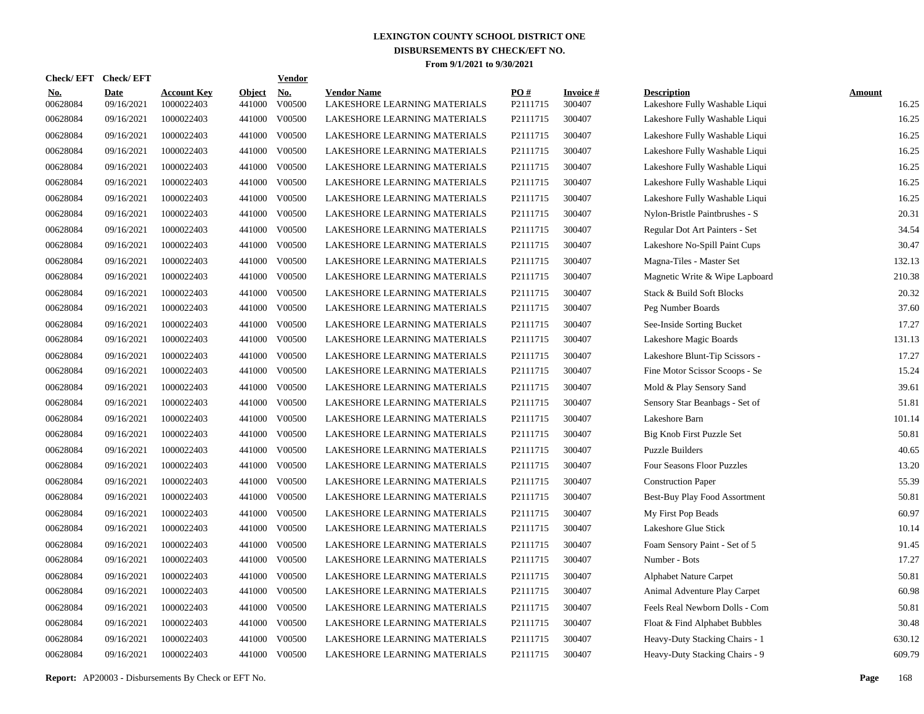| <b>Check/EFT</b>       | <b>Check/EFT</b>          |                                  |                         | <b>Vendor</b>        |                                                    |                 |                           |                                                      |                        |
|------------------------|---------------------------|----------------------------------|-------------------------|----------------------|----------------------------------------------------|-----------------|---------------------------|------------------------------------------------------|------------------------|
| <u>No.</u><br>00628084 | <b>Date</b><br>09/16/2021 | <b>Account Key</b><br>1000022403 | <b>Object</b><br>441000 | <u>No.</u><br>V00500 | <b>Vendor Name</b><br>LAKESHORE LEARNING MATERIALS | PO#<br>P2111715 | <b>Invoice#</b><br>300407 | <b>Description</b><br>Lakeshore Fully Washable Liqui | <b>Amount</b><br>16.25 |
| 00628084               | 09/16/2021                | 1000022403                       | 441000                  | V00500               | LAKESHORE LEARNING MATERIALS                       | P2111715        | 300407                    | Lakeshore Fully Washable Liqui                       | 16.25                  |
| 00628084               | 09/16/2021                | 1000022403                       | 441000                  | V00500               | LAKESHORE LEARNING MATERIALS                       | P2111715        | 300407                    | Lakeshore Fully Washable Liqui                       | 16.25                  |
| 00628084               | 09/16/2021                | 1000022403                       | 441000                  | V00500               | LAKESHORE LEARNING MATERIALS                       | P2111715        | 300407                    | Lakeshore Fully Washable Liqui                       | 16.25                  |
| 00628084               | 09/16/2021                | 1000022403                       | 441000                  | V00500               | LAKESHORE LEARNING MATERIALS                       | P2111715        | 300407                    | Lakeshore Fully Washable Liqui                       | 16.25                  |
| 00628084               | 09/16/2021                | 1000022403                       | 441000                  | V00500               | LAKESHORE LEARNING MATERIALS                       | P2111715        | 300407                    | Lakeshore Fully Washable Liqui                       | 16.25                  |
| 00628084               | 09/16/2021                | 1000022403                       | 441000                  | V00500               | LAKESHORE LEARNING MATERIALS                       | P2111715        | 300407                    | Lakeshore Fully Washable Liqui                       | 16.25                  |
| 00628084               | 09/16/2021                | 1000022403                       | 441000                  | V00500               | LAKESHORE LEARNING MATERIALS                       | P2111715        | 300407                    | Nylon-Bristle Paintbrushes - S                       | 20.31                  |
| 00628084               | 09/16/2021                | 1000022403                       | 441000                  | V00500               | LAKESHORE LEARNING MATERIALS                       | P2111715        | 300407                    | Regular Dot Art Painters - Set                       | 34.54                  |
| 00628084               | 09/16/2021                | 1000022403                       | 441000                  | V00500               | LAKESHORE LEARNING MATERIALS                       | P2111715        | 300407                    | Lakeshore No-Spill Paint Cups                        | 30.47                  |
| 00628084               | 09/16/2021                | 1000022403                       | 441000                  | V00500               | LAKESHORE LEARNING MATERIALS                       | P2111715        | 300407                    | Magna-Tiles - Master Set                             | 132.13                 |
| 00628084               | 09/16/2021                | 1000022403                       | 441000                  | V00500               | LAKESHORE LEARNING MATERIALS                       | P2111715        | 300407                    | Magnetic Write & Wipe Lapboard                       | 210.38                 |
| 00628084               | 09/16/2021                | 1000022403                       | 441000                  | V00500               | LAKESHORE LEARNING MATERIALS                       | P2111715        | 300407                    | Stack & Build Soft Blocks                            | 20.32                  |
| 00628084               | 09/16/2021                | 1000022403                       | 441000                  | V00500               | LAKESHORE LEARNING MATERIALS                       | P2111715        | 300407                    | Peg Number Boards                                    | 37.60                  |
| 00628084               | 09/16/2021                | 1000022403                       | 441000                  | V00500               | LAKESHORE LEARNING MATERIALS                       | P2111715        | 300407                    | See-Inside Sorting Bucket                            | 17.27                  |
| 00628084               | 09/16/2021                | 1000022403                       | 441000                  | V00500               | LAKESHORE LEARNING MATERIALS                       | P2111715        | 300407                    | Lakeshore Magic Boards                               | 131.13                 |
| 00628084               | 09/16/2021                | 1000022403                       | 441000                  | V00500               | LAKESHORE LEARNING MATERIALS                       | P2111715        | 300407                    | Lakeshore Blunt-Tip Scissors -                       | 17.27                  |
| 00628084               | 09/16/2021                | 1000022403                       | 441000                  | V00500               | LAKESHORE LEARNING MATERIALS                       | P2111715        | 300407                    | Fine Motor Scissor Scoops - Se                       | 15.24                  |
| 00628084               | 09/16/2021                | 1000022403                       | 441000                  | V00500               | LAKESHORE LEARNING MATERIALS                       | P2111715        | 300407                    | Mold & Play Sensory Sand                             | 39.61                  |
| 00628084               | 09/16/2021                | 1000022403                       | 441000                  | V00500               | LAKESHORE LEARNING MATERIALS                       | P2111715        | 300407                    | Sensory Star Beanbags - Set of                       | 51.81                  |
| 00628084               | 09/16/2021                | 1000022403                       | 441000                  | V00500               | LAKESHORE LEARNING MATERIALS                       | P2111715        | 300407                    | Lakeshore Barn                                       | 101.14                 |
| 00628084               | 09/16/2021                | 1000022403                       | 441000                  | V00500               | LAKESHORE LEARNING MATERIALS                       | P2111715        | 300407                    | Big Knob First Puzzle Set                            | 50.81                  |
| 00628084               | 09/16/2021                | 1000022403                       | 441000                  | V00500               | LAKESHORE LEARNING MATERIALS                       | P2111715        | 300407                    | <b>Puzzle Builders</b>                               | 40.65                  |
| 00628084               | 09/16/2021                | 1000022403                       | 441000                  | V00500               | LAKESHORE LEARNING MATERIALS                       | P2111715        | 300407                    | Four Seasons Floor Puzzles                           | 13.20                  |
| 00628084               | 09/16/2021                | 1000022403                       | 441000                  | V00500               | LAKESHORE LEARNING MATERIALS                       | P2111715        | 300407                    | <b>Construction Paper</b>                            | 55.39                  |
| 00628084               | 09/16/2021                | 1000022403                       | 441000                  | V00500               | LAKESHORE LEARNING MATERIALS                       | P2111715        | 300407                    | Best-Buy Play Food Assortment                        | 50.81                  |
| 00628084               | 09/16/2021                | 1000022403                       | 441000                  | V00500               | LAKESHORE LEARNING MATERIALS                       | P2111715        | 300407                    | My First Pop Beads                                   | 60.97                  |
| 00628084               | 09/16/2021                | 1000022403                       | 441000                  | V00500               | LAKESHORE LEARNING MATERIALS                       | P2111715        | 300407                    | Lakeshore Glue Stick                                 | 10.14                  |
| 00628084               | 09/16/2021                | 1000022403                       | 441000                  | V00500               | LAKESHORE LEARNING MATERIALS                       | P2111715        | 300407                    | Foam Sensory Paint - Set of 5                        | 91.45                  |
| 00628084               | 09/16/2021                | 1000022403                       | 441000                  | V00500               | LAKESHORE LEARNING MATERIALS                       | P2111715        | 300407                    | Number - Bots                                        | 17.27                  |
| 00628084               | 09/16/2021                | 1000022403                       | 441000                  | V00500               | LAKESHORE LEARNING MATERIALS                       | P2111715        | 300407                    | <b>Alphabet Nature Carpet</b>                        | 50.81                  |
| 00628084               | 09/16/2021                | 1000022403                       | 441000                  | V00500               | LAKESHORE LEARNING MATERIALS                       | P2111715        | 300407                    | Animal Adventure Play Carpet                         | 60.98                  |
| 00628084               | 09/16/2021                | 1000022403                       | 441000                  | V00500               | LAKESHORE LEARNING MATERIALS                       | P2111715        | 300407                    | Feels Real Newborn Dolls - Com                       | 50.81                  |
| 00628084               | 09/16/2021                | 1000022403                       | 441000                  | V00500               | LAKESHORE LEARNING MATERIALS                       | P2111715        | 300407                    | Float & Find Alphabet Bubbles                        | 30.48                  |
| 00628084               | 09/16/2021                | 1000022403                       | 441000                  | V00500               | LAKESHORE LEARNING MATERIALS                       | P2111715        | 300407                    | Heavy-Duty Stacking Chairs - 1                       | 630.12                 |
| 00628084               | 09/16/2021                | 1000022403                       |                         | 441000 V00500        | LAKESHORE LEARNING MATERIALS                       | P2111715        | 300407                    | Heavy-Duty Stacking Chairs - 9                       | 609.79                 |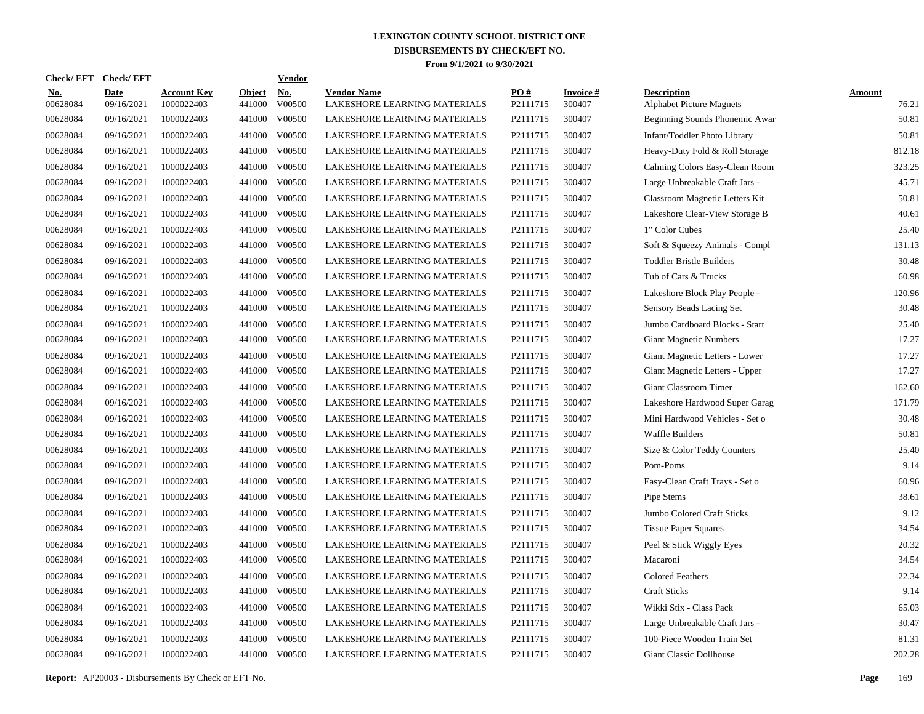| <b>Check/EFT</b>       | <b>Check/EFT</b>          |                                  |                         | <b>Vendor</b>        |                                                    |                 |                           |                                                       |                        |
|------------------------|---------------------------|----------------------------------|-------------------------|----------------------|----------------------------------------------------|-----------------|---------------------------|-------------------------------------------------------|------------------------|
| <u>No.</u><br>00628084 | <b>Date</b><br>09/16/2021 | <b>Account Key</b><br>1000022403 | <b>Object</b><br>441000 | <u>No.</u><br>V00500 | <b>Vendor Name</b><br>LAKESHORE LEARNING MATERIALS | PO#<br>P2111715 | <b>Invoice#</b><br>300407 | <b>Description</b><br><b>Alphabet Picture Magnets</b> | <b>Amount</b><br>76.21 |
| 00628084               | 09/16/2021                | 1000022403                       | 441000                  | V00500               | LAKESHORE LEARNING MATERIALS                       | P2111715        | 300407                    | Beginning Sounds Phonemic Awar                        | 50.81                  |
| 00628084               | 09/16/2021                | 1000022403                       | 441000                  | V00500               | LAKESHORE LEARNING MATERIALS                       | P2111715        | 300407                    | Infant/Toddler Photo Library                          | 50.81                  |
| 00628084               | 09/16/2021                | 1000022403                       | 441000                  | V00500               | LAKESHORE LEARNING MATERIALS                       | P2111715        | 300407                    | Heavy-Duty Fold & Roll Storage                        | 812.18                 |
| 00628084               | 09/16/2021                | 1000022403                       | 441000                  | V00500               | LAKESHORE LEARNING MATERIALS                       | P2111715        | 300407                    | Calming Colors Easy-Clean Room                        | 323.25                 |
| 00628084               | 09/16/2021                | 1000022403                       | 441000                  | V00500               | LAKESHORE LEARNING MATERIALS                       | P2111715        | 300407                    | Large Unbreakable Craft Jars -                        | 45.71                  |
| 00628084               | 09/16/2021                | 1000022403                       | 441000                  | V00500               | LAKESHORE LEARNING MATERIALS                       | P2111715        | 300407                    | Classroom Magnetic Letters Kit                        | 50.81                  |
| 00628084               | 09/16/2021                | 1000022403                       | 441000                  | V00500               | LAKESHORE LEARNING MATERIALS                       | P2111715        | 300407                    | Lakeshore Clear-View Storage B                        | 40.61                  |
| 00628084               | 09/16/2021                | 1000022403                       | 441000                  | V00500               | LAKESHORE LEARNING MATERIALS                       | P2111715        | 300407                    | 1" Color Cubes                                        | 25.40                  |
| 00628084               | 09/16/2021                | 1000022403                       | 441000                  | V00500               | LAKESHORE LEARNING MATERIALS                       | P2111715        | 300407                    | Soft & Squeezy Animals - Compl                        | 131.13                 |
| 00628084               | 09/16/2021                | 1000022403                       | 441000                  | V00500               | LAKESHORE LEARNING MATERIALS                       | P2111715        | 300407                    | <b>Toddler Bristle Builders</b>                       | 30.48                  |
| 00628084               | 09/16/2021                | 1000022403                       | 441000                  | V00500               | LAKESHORE LEARNING MATERIALS                       | P2111715        | 300407                    | Tub of Cars & Trucks                                  | 60.98                  |
| 00628084               | 09/16/2021                | 1000022403                       | 441000                  | V00500               | LAKESHORE LEARNING MATERIALS                       | P2111715        | 300407                    | Lakeshore Block Play People -                         | 120.96                 |
| 00628084               | 09/16/2021                | 1000022403                       | 441000                  | V00500               | LAKESHORE LEARNING MATERIALS                       | P2111715        | 300407                    | Sensory Beads Lacing Set                              | 30.48                  |
| 00628084               | 09/16/2021                | 1000022403                       | 441000                  | V00500               | LAKESHORE LEARNING MATERIALS                       | P2111715        | 300407                    | Jumbo Cardboard Blocks - Start                        | 25.40                  |
| 00628084               | 09/16/2021                | 1000022403                       | 441000                  | V00500               | LAKESHORE LEARNING MATERIALS                       | P2111715        | 300407                    | <b>Giant Magnetic Numbers</b>                         | 17.27                  |
| 00628084               | 09/16/2021                | 1000022403                       | 441000                  | V00500               | LAKESHORE LEARNING MATERIALS                       | P2111715        | 300407                    | Giant Magnetic Letters - Lower                        | 17.27                  |
| 00628084               | 09/16/2021                | 1000022403                       | 441000                  | V00500               | LAKESHORE LEARNING MATERIALS                       | P2111715        | 300407                    | Giant Magnetic Letters - Upper                        | 17.27                  |
| 00628084               | 09/16/2021                | 1000022403                       | 441000                  | V00500               | LAKESHORE LEARNING MATERIALS                       | P2111715        | 300407                    | Giant Classroom Timer                                 | 162.60                 |
| 00628084               | 09/16/2021                | 1000022403                       | 441000                  | V00500               | LAKESHORE LEARNING MATERIALS                       | P2111715        | 300407                    | Lakeshore Hardwood Super Garag                        | 171.79                 |
| 00628084               | 09/16/2021                | 1000022403                       | 441000                  | V00500               | LAKESHORE LEARNING MATERIALS                       | P2111715        | 300407                    | Mini Hardwood Vehicles - Set o                        | 30.48                  |
| 00628084               | 09/16/2021                | 1000022403                       | 441000                  | V00500               | LAKESHORE LEARNING MATERIALS                       | P2111715        | 300407                    | Waffle Builders                                       | 50.81                  |
| 00628084               | 09/16/2021                | 1000022403                       | 441000                  | V00500               | LAKESHORE LEARNING MATERIALS                       | P2111715        | 300407                    | Size & Color Teddy Counters                           | 25.40                  |
| 00628084               | 09/16/2021                | 1000022403                       | 441000                  | V00500               | LAKESHORE LEARNING MATERIALS                       | P2111715        | 300407                    | Pom-Poms                                              | 9.14                   |
| 00628084               | 09/16/2021                | 1000022403                       | 441000                  | V00500               | LAKESHORE LEARNING MATERIALS                       | P2111715        | 300407                    | Easy-Clean Craft Trays - Set o                        | 60.96                  |
| 00628084               | 09/16/2021                | 1000022403                       | 441000                  | V00500               | LAKESHORE LEARNING MATERIALS                       | P2111715        | 300407                    | Pipe Stems                                            | 38.61                  |
| 00628084               | 09/16/2021                | 1000022403                       | 441000                  | V00500               | LAKESHORE LEARNING MATERIALS                       | P2111715        | 300407                    | Jumbo Colored Craft Sticks                            | 9.12                   |
| 00628084               | 09/16/2021                | 1000022403                       | 441000                  | V00500               | LAKESHORE LEARNING MATERIALS                       | P2111715        | 300407                    | <b>Tissue Paper Squares</b>                           | 34.54                  |
| 00628084               | 09/16/2021                | 1000022403                       | 441000                  | V00500               | LAKESHORE LEARNING MATERIALS                       | P2111715        | 300407                    | Peel & Stick Wiggly Eyes                              | 20.32                  |
| 00628084               | 09/16/2021                | 1000022403                       | 441000                  | V00500               | LAKESHORE LEARNING MATERIALS                       | P2111715        | 300407                    | Macaroni                                              | 34.54                  |
| 00628084               | 09/16/2021                | 1000022403                       | 441000                  | V00500               | LAKESHORE LEARNING MATERIALS                       | P2111715        | 300407                    | <b>Colored Feathers</b>                               | 22.34                  |
| 00628084               | 09/16/2021                | 1000022403                       | 441000                  | V00500               | LAKESHORE LEARNING MATERIALS                       | P2111715        | 300407                    | <b>Craft Sticks</b>                                   | 9.14                   |
| 00628084               | 09/16/2021                | 1000022403                       | 441000                  | V00500               | LAKESHORE LEARNING MATERIALS                       | P2111715        | 300407                    | Wikki Stix - Class Pack                               | 65.03                  |
| 00628084               | 09/16/2021                | 1000022403                       | 441000                  | V00500               | LAKESHORE LEARNING MATERIALS                       | P2111715        | 300407                    | Large Unbreakable Craft Jars -                        | 30.47                  |
| 00628084               | 09/16/2021                | 1000022403                       | 441000                  | V00500               | LAKESHORE LEARNING MATERIALS                       | P2111715        | 300407                    | 100-Piece Wooden Train Set                            | 81.31                  |
| 00628084               | 09/16/2021                | 1000022403                       | 441000                  | V00500               | LAKESHORE LEARNING MATERIALS                       | P2111715        | 300407                    | Giant Classic Dollhouse                               | 202.28                 |

**Report:** AP20003 - Disbursements By Check or EFT No. **Page** 169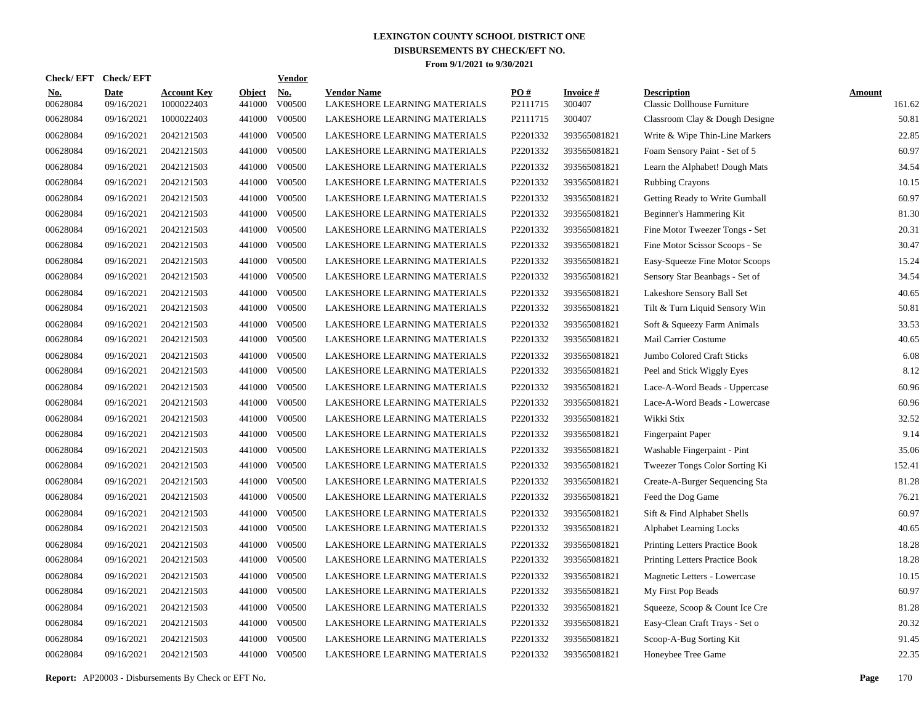| Check/ EFT             | <b>Check/EFT</b>          |                                  |                         | <b>Vendor</b>        |                                                    |                      |                           |                                                   |                         |
|------------------------|---------------------------|----------------------------------|-------------------------|----------------------|----------------------------------------------------|----------------------|---------------------------|---------------------------------------------------|-------------------------|
| <u>No.</u><br>00628084 | <b>Date</b><br>09/16/2021 | <b>Account Key</b><br>1000022403 | <b>Object</b><br>441000 | <u>No.</u><br>V00500 | <b>Vendor Name</b><br>LAKESHORE LEARNING MATERIALS | PQ#<br>P2111715      | <b>Invoice#</b><br>300407 | <b>Description</b><br>Classic Dollhouse Furniture | <b>Amount</b><br>161.62 |
| 00628084               | 09/16/2021                | 1000022403                       | 441000                  | V00500               | LAKESHORE LEARNING MATERIALS                       | P2111715             | 300407                    | Classroom Clay & Dough Designe                    | 50.81                   |
| 00628084               | 09/16/2021                | 2042121503                       | 441000                  | V00500               | LAKESHORE LEARNING MATERIALS                       | P2201332             | 393565081821              | Write & Wipe Thin-Line Markers                    | 22.85                   |
| 00628084               | 09/16/2021                | 2042121503                       | 441000                  | V00500               | LAKESHORE LEARNING MATERIALS                       | P2201332             | 393565081821              | Foam Sensory Paint - Set of 5                     | 60.97                   |
| 00628084               | 09/16/2021                | 2042121503                       | 441000                  | V00500               | LAKESHORE LEARNING MATERIALS                       | P2201332             | 393565081821              | Learn the Alphabet! Dough Mats                    | 34.54                   |
| 00628084               | 09/16/2021                | 2042121503                       | 441000                  | V00500               | LAKESHORE LEARNING MATERIALS                       | P2201332             | 393565081821              | <b>Rubbing Crayons</b>                            | 10.15                   |
| 00628084               | 09/16/2021                | 2042121503                       | 441000                  | V00500               | LAKESHORE LEARNING MATERIALS                       | P2201332             | 393565081821              | Getting Ready to Write Gumball                    | 60.97                   |
| 00628084               | 09/16/2021                | 2042121503                       | 441000                  | V00500               | LAKESHORE LEARNING MATERIALS                       | P2201332             | 393565081821              | Beginner's Hammering Kit                          | 81.30                   |
| 00628084               | 09/16/2021                | 2042121503                       | 441000                  | V00500               | LAKESHORE LEARNING MATERIALS                       | P2201332             | 393565081821              | Fine Motor Tweezer Tongs - Set                    | 20.31                   |
| 00628084               | 09/16/2021                | 2042121503                       | 441000                  | V00500               | LAKESHORE LEARNING MATERIALS                       | P2201332             | 393565081821              | Fine Motor Scissor Scoops - Se                    | 30.47                   |
| 00628084               | 09/16/2021                | 2042121503                       | 441000                  | V00500               | LAKESHORE LEARNING MATERIALS                       | P2201332             | 393565081821              | Easy-Squeeze Fine Motor Scoops                    | 15.24                   |
| 00628084               | 09/16/2021                | 2042121503                       | 441000                  | V00500               | LAKESHORE LEARNING MATERIALS                       | P2201332             | 393565081821              | Sensory Star Beanbags - Set of                    | 34.54                   |
| 00628084               | 09/16/2021                | 2042121503                       | 441000                  | V00500               | LAKESHORE LEARNING MATERIALS                       | P2201332             | 393565081821              | Lakeshore Sensory Ball Set                        | 40.65                   |
| 00628084               | 09/16/2021                | 2042121503                       | 441000                  | V00500               | LAKESHORE LEARNING MATERIALS                       | P2201332             | 393565081821              | Tilt & Turn Liquid Sensory Win                    | 50.81                   |
| 00628084               | 09/16/2021                | 2042121503                       | 441000                  | V00500               | LAKESHORE LEARNING MATERIALS                       | P2201332             | 393565081821              | Soft & Squeezy Farm Animals                       | 33.53                   |
| 00628084               | 09/16/2021                | 2042121503                       | 441000                  | V00500               | LAKESHORE LEARNING MATERIALS                       | P2201332             | 393565081821              | Mail Carrier Costume                              | 40.65                   |
| 00628084               | 09/16/2021                | 2042121503                       | 441000                  | V00500               | LAKESHORE LEARNING MATERIALS                       | P2201332             | 393565081821              | Jumbo Colored Craft Sticks                        | 6.08                    |
| 00628084               | 09/16/2021                | 2042121503                       | 441000                  | V00500               | LAKESHORE LEARNING MATERIALS                       | P2201332             | 393565081821              | Peel and Stick Wiggly Eyes                        | 8.12                    |
| 00628084               | 09/16/2021                | 2042121503                       | 441000                  | V00500               | LAKESHORE LEARNING MATERIALS                       | P2201332             | 393565081821              | Lace-A-Word Beads - Uppercase                     | 60.96                   |
| 00628084               | 09/16/2021                | 2042121503                       | 441000                  | V00500               | LAKESHORE LEARNING MATERIALS                       | P2201332             | 393565081821              | Lace-A-Word Beads - Lowercase                     | 60.96                   |
| 00628084               | 09/16/2021                | 2042121503                       | 441000                  | V00500               | LAKESHORE LEARNING MATERIALS                       | P2201332             | 393565081821              | Wikki Stix                                        | 32.52                   |
| 00628084               | 09/16/2021                | 2042121503                       | 441000                  | V00500               | LAKESHORE LEARNING MATERIALS                       | P2201332             | 393565081821              | <b>Fingerpaint Paper</b>                          | 9.14                    |
| 00628084               | 09/16/2021                | 2042121503                       | 441000                  | V00500               | LAKESHORE LEARNING MATERIALS                       | P2201332             | 393565081821              | Washable Fingerpaint - Pint                       | 35.06                   |
| 00628084               | 09/16/2021                | 2042121503                       | 441000                  | V00500               | LAKESHORE LEARNING MATERIALS                       | P2201332             | 393565081821              | Tweezer Tongs Color Sorting Ki                    | 152.41                  |
| 00628084               | 09/16/2021                | 2042121503                       | 441000                  | V00500               | LAKESHORE LEARNING MATERIALS                       | P2201332             | 393565081821              | Create-A-Burger Sequencing Sta                    | 81.28                   |
| 00628084               | 09/16/2021                | 2042121503                       | 441000                  | V00500               | LAKESHORE LEARNING MATERIALS                       | P <sub>2201332</sub> | 393565081821              | Feed the Dog Game                                 | 76.21                   |
| 00628084               | 09/16/2021                | 2042121503                       | 441000                  | V00500               | LAKESHORE LEARNING MATERIALS                       | P <sub>2201332</sub> | 393565081821              | Sift & Find Alphabet Shells                       | 60.97                   |
| 00628084               | 09/16/2021                | 2042121503                       | 441000                  | V00500               | LAKESHORE LEARNING MATERIALS                       | P2201332             | 393565081821              | <b>Alphabet Learning Locks</b>                    | 40.65                   |
| 00628084               | 09/16/2021                | 2042121503                       | 441000                  | V00500               | LAKESHORE LEARNING MATERIALS                       | P2201332             | 393565081821              | Printing Letters Practice Book                    | 18.28                   |
| 00628084               | 09/16/2021                | 2042121503                       | 441000                  | V00500               | LAKESHORE LEARNING MATERIALS                       | P2201332             | 393565081821              | Printing Letters Practice Book                    | 18.28                   |
| 00628084               | 09/16/2021                | 2042121503                       | 441000                  | V00500               | LAKESHORE LEARNING MATERIALS                       | P2201332             | 393565081821              | Magnetic Letters - Lowercase                      | 10.15                   |
| 00628084               | 09/16/2021                | 2042121503                       | 441000                  | V00500               | LAKESHORE LEARNING MATERIALS                       | P2201332             | 393565081821              | My First Pop Beads                                | 60.97                   |
| 00628084               | 09/16/2021                | 2042121503                       | 441000                  | V00500               | LAKESHORE LEARNING MATERIALS                       | P2201332             | 393565081821              | Squeeze, Scoop & Count Ice Cre                    | 81.28                   |
| 00628084               | 09/16/2021                | 2042121503                       | 441000                  | V00500               | LAKESHORE LEARNING MATERIALS                       | P2201332             | 393565081821              | Easy-Clean Craft Trays - Set o                    | 20.32                   |
| 00628084               | 09/16/2021                | 2042121503                       | 441000                  | V00500               | LAKESHORE LEARNING MATERIALS                       | P2201332             | 393565081821              | Scoop-A-Bug Sorting Kit                           | 91.45                   |
| 00628084               | 09/16/2021                | 2042121503                       |                         | 441000 V00500        | LAKESHORE LEARNING MATERIALS                       | P2201332             | 393565081821              | Honeybee Tree Game                                | 22.35                   |
|                        |                           |                                  |                         |                      |                                                    |                      |                           |                                                   |                         |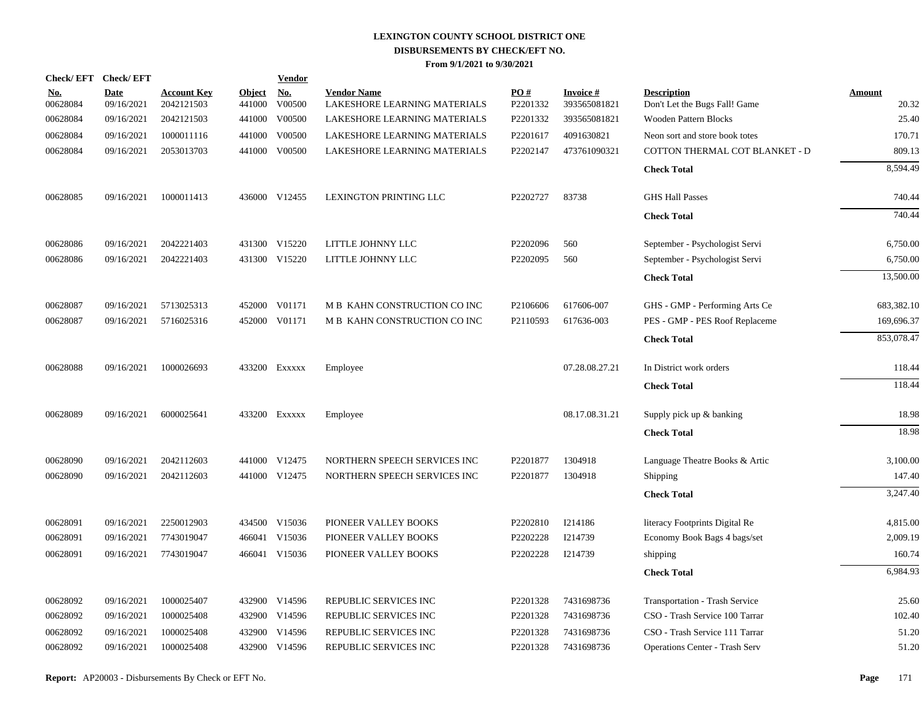| <b>Check/EFT</b>       | <b>Check/EFT</b>          |                                  |                         | <b>Vendor</b>        |                                                    |                 |                                 |                                                     |                        |
|------------------------|---------------------------|----------------------------------|-------------------------|----------------------|----------------------------------------------------|-----------------|---------------------------------|-----------------------------------------------------|------------------------|
| <u>No.</u><br>00628084 | <b>Date</b><br>09/16/2021 | <b>Account Key</b><br>2042121503 | <b>Object</b><br>441000 | <u>No.</u><br>V00500 | <b>Vendor Name</b><br>LAKESHORE LEARNING MATERIALS | PO#<br>P2201332 | <b>Invoice#</b><br>393565081821 | <b>Description</b><br>Don't Let the Bugs Fall! Game | <b>Amount</b><br>20.32 |
| 00628084               | 09/16/2021                | 2042121503                       | 441000                  | V00500               | LAKESHORE LEARNING MATERIALS                       | P2201332        | 393565081821                    | <b>Wooden Pattern Blocks</b>                        | 25.40                  |
| 00628084               | 09/16/2021                | 1000011116                       | 441000                  | V00500               | LAKESHORE LEARNING MATERIALS                       | P2201617        | 4091630821                      | Neon sort and store book totes                      | 170.71                 |
| 00628084               | 09/16/2021                | 2053013703                       |                         | 441000 V00500        | LAKESHORE LEARNING MATERIALS                       | P2202147        | 473761090321                    | COTTON THERMAL COT BLANKET - D                      | 809.13                 |
|                        |                           |                                  |                         |                      |                                                    |                 |                                 | <b>Check Total</b>                                  | 8,594.49               |
| 00628085               | 09/16/2021                | 1000011413                       |                         | 436000 V12455        | LEXINGTON PRINTING LLC                             | P2202727        | 83738                           | <b>GHS Hall Passes</b>                              | 740.44                 |
|                        |                           |                                  |                         |                      |                                                    |                 |                                 | <b>Check Total</b>                                  | 740.44                 |
| 00628086               | 09/16/2021                | 2042221403                       |                         | 431300 V15220        | LITTLE JOHNNY LLC                                  | P2202096        | 560                             | September - Psychologist Servi                      | 6,750.00               |
| 00628086               | 09/16/2021                | 2042221403                       |                         | 431300 V15220        | LITTLE JOHNNY LLC                                  | P2202095        | 560                             | September - Psychologist Servi                      | 6,750.00               |
|                        |                           |                                  |                         |                      |                                                    |                 |                                 | <b>Check Total</b>                                  | 13,500.00              |
| 00628087               | 09/16/2021                | 5713025313                       |                         | 452000 V01171        | M B KAHN CONSTRUCTION CO INC                       | P2106606        | 617606-007                      | GHS - GMP - Performing Arts Ce                      | 683,382.10             |
| 00628087               | 09/16/2021                | 5716025316                       |                         | 452000 V01171        | M B KAHN CONSTRUCTION CO INC                       | P2110593        | 617636-003                      | PES - GMP - PES Roof Replaceme                      | 169,696.37             |
|                        |                           |                                  |                         |                      |                                                    |                 |                                 | <b>Check Total</b>                                  | 853,078.47             |
| 00628088               | 09/16/2021                | 1000026693                       |                         | 433200 Exxxxx        | Employee                                           |                 | 07.28.08.27.21                  | In District work orders                             | 118.44                 |
|                        |                           |                                  |                         |                      |                                                    |                 |                                 | <b>Check Total</b>                                  | 118.44                 |
| 00628089               | 09/16/2021                | 6000025641                       |                         | 433200 Exxxxx        | Employee                                           |                 | 08.17.08.31.21                  | Supply pick up & banking                            | 18.98                  |
|                        |                           |                                  |                         |                      |                                                    |                 |                                 | <b>Check Total</b>                                  | 18.98                  |
| 00628090               | 09/16/2021                | 2042112603                       |                         | 441000 V12475        | NORTHERN SPEECH SERVICES INC                       | P2201877        | 1304918                         | Language Theatre Books & Artic                      | 3,100.00               |
| 00628090               | 09/16/2021                | 2042112603                       |                         | 441000 V12475        | NORTHERN SPEECH SERVICES INC                       | P2201877        | 1304918                         | Shipping                                            | 147.40                 |
|                        |                           |                                  |                         |                      |                                                    |                 |                                 | <b>Check Total</b>                                  | 3,247.40               |
| 00628091               | 09/16/2021                | 2250012903                       |                         | 434500 V15036        | PIONEER VALLEY BOOKS                               | P2202810        | I214186                         | literacy Footprints Digital Re                      | 4,815.00               |
| 00628091               | 09/16/2021                | 7743019047                       |                         | 466041 V15036        | PIONEER VALLEY BOOKS                               | P2202228        | I214739                         | Economy Book Bags 4 bags/set                        | 2,009.19               |
| 00628091               | 09/16/2021                | 7743019047                       |                         | 466041 V15036        | PIONEER VALLEY BOOKS                               | P2202228        | I214739                         | shipping                                            | 160.74                 |
|                        |                           |                                  |                         |                      |                                                    |                 |                                 | <b>Check Total</b>                                  | 6.984.93               |
| 00628092               | 09/16/2021                | 1000025407                       |                         | 432900 V14596        | REPUBLIC SERVICES INC                              | P2201328        | 7431698736                      | Transportation - Trash Service                      | 25.60                  |
| 00628092               | 09/16/2021                | 1000025408                       |                         | 432900 V14596        | REPUBLIC SERVICES INC                              | P2201328        | 7431698736                      | CSO - Trash Service 100 Tarrar                      | 102.40                 |
| 00628092               | 09/16/2021                | 1000025408                       |                         | 432900 V14596        | REPUBLIC SERVICES INC                              | P2201328        | 7431698736                      | CSO - Trash Service 111 Tarrar                      | 51.20                  |
| 00628092               | 09/16/2021                | 1000025408                       |                         | 432900 V14596        | REPUBLIC SERVICES INC                              | P2201328        | 7431698736                      | <b>Operations Center - Trash Serv</b>               | 51.20                  |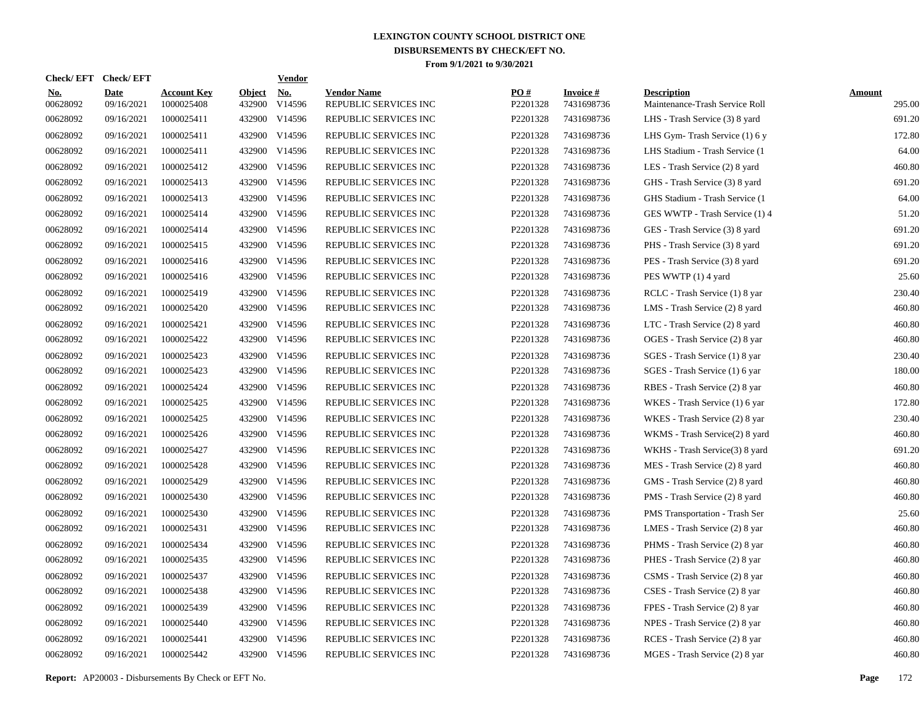| <b>Check/EFT</b>       | <b>Check/EFT</b>          |                                  |                         | <b>Vendor</b> |                                             |                 |                               |                                                      |                         |
|------------------------|---------------------------|----------------------------------|-------------------------|---------------|---------------------------------------------|-----------------|-------------------------------|------------------------------------------------------|-------------------------|
| <u>No.</u><br>00628092 | <b>Date</b><br>09/16/2021 | <b>Account Key</b><br>1000025408 | <b>Object</b><br>432900 | No.<br>V14596 | <b>Vendor Name</b><br>REPUBLIC SERVICES INC | PO#<br>P2201328 | <b>Invoice#</b><br>7431698736 | <b>Description</b><br>Maintenance-Trash Service Roll | <b>Amount</b><br>295.00 |
| 00628092               | 09/16/2021                | 1000025411                       | 432900                  | V14596        | REPUBLIC SERVICES INC                       | P2201328        | 7431698736                    | LHS - Trash Service (3) 8 yard                       | 691.20                  |
| 00628092               | 09/16/2021                | 1000025411                       | 432900                  | V14596        | REPUBLIC SERVICES INC                       | P2201328        | 7431698736                    | LHS Gym-Trash Service (1) 6 y                        | 172.80                  |
| 00628092               | 09/16/2021                | 1000025411                       |                         | 432900 V14596 | REPUBLIC SERVICES INC                       | P2201328        | 7431698736                    | LHS Stadium - Trash Service (1)                      | 64.00                   |
| 00628092               | 09/16/2021                | 1000025412                       |                         | 432900 V14596 | REPUBLIC SERVICES INC                       | P2201328        | 7431698736                    | LES - Trash Service (2) 8 yard                       | 460.80                  |
| 00628092               | 09/16/2021                | 1000025413                       |                         | 432900 V14596 | REPUBLIC SERVICES INC                       | P2201328        | 7431698736                    | GHS - Trash Service (3) 8 yard                       | 691.20                  |
| 00628092               | 09/16/2021                | 1000025413                       |                         | 432900 V14596 | REPUBLIC SERVICES INC                       | P2201328        | 7431698736                    | GHS Stadium - Trash Service (1                       | 64.00                   |
| 00628092               | 09/16/2021                | 1000025414                       |                         | 432900 V14596 | REPUBLIC SERVICES INC                       | P2201328        | 7431698736                    | GES WWTP - Trash Service (1) 4                       | 51.20                   |
| 00628092               | 09/16/2021                | 1000025414                       |                         | 432900 V14596 | REPUBLIC SERVICES INC                       | P2201328        | 7431698736                    | GES - Trash Service (3) 8 yard                       | 691.20                  |
| 00628092               | 09/16/2021                | 1000025415                       |                         | 432900 V14596 | REPUBLIC SERVICES INC                       | P2201328        | 7431698736                    | PHS - Trash Service (3) 8 yard                       | 691.20                  |
| 00628092               | 09/16/2021                | 1000025416                       |                         | 432900 V14596 | REPUBLIC SERVICES INC                       | P2201328        | 7431698736                    | PES - Trash Service (3) 8 yard                       | 691.20                  |
| 00628092               | 09/16/2021                | 1000025416                       |                         | 432900 V14596 | REPUBLIC SERVICES INC                       | P2201328        | 7431698736                    | PES WWTP (1) 4 yard                                  | 25.60                   |
| 00628092               | 09/16/2021                | 1000025419                       |                         | 432900 V14596 | REPUBLIC SERVICES INC                       | P2201328        | 7431698736                    | RCLC - Trash Service (1) 8 yar                       | 230.40                  |
| 00628092               | 09/16/2021                | 1000025420                       |                         | 432900 V14596 | REPUBLIC SERVICES INC                       | P2201328        | 7431698736                    | LMS - Trash Service (2) 8 yard                       | 460.80                  |
| 00628092               | 09/16/2021                | 1000025421                       |                         | 432900 V14596 | REPUBLIC SERVICES INC                       | P2201328        | 7431698736                    | LTC - Trash Service (2) 8 yard                       | 460.80                  |
| 00628092               | 09/16/2021                | 1000025422                       |                         | 432900 V14596 | REPUBLIC SERVICES INC                       | P2201328        | 7431698736                    | OGES - Trash Service (2) 8 yar                       | 460.80                  |
| 00628092               | 09/16/2021                | 1000025423                       | 432900                  | V14596        | REPUBLIC SERVICES INC                       | P2201328        | 7431698736                    | SGES - Trash Service (1) 8 yar                       | 230.40                  |
| 00628092               | 09/16/2021                | 1000025423                       |                         | 432900 V14596 | REPUBLIC SERVICES INC                       | P2201328        | 7431698736                    | SGES - Trash Service (1) 6 yar                       | 180.00                  |
| 00628092               | 09/16/2021                | 1000025424                       | 432900                  | V14596        | REPUBLIC SERVICES INC                       | P2201328        | 7431698736                    | RBES - Trash Service (2) 8 yar                       | 460.80                  |
| 00628092               | 09/16/2021                | 1000025425                       |                         | 432900 V14596 | REPUBLIC SERVICES INC                       | P2201328        | 7431698736                    | WKES - Trash Service (1) 6 yar                       | 172.80                  |
| 00628092               | 09/16/2021                | 1000025425                       | 432900                  | V14596        | REPUBLIC SERVICES INC                       | P2201328        | 7431698736                    | WKES - Trash Service (2) 8 yar                       | 230.40                  |
| 00628092               | 09/16/2021                | 1000025426                       | 432900                  | V14596        | REPUBLIC SERVICES INC                       | P2201328        | 7431698736                    | WKMS - Trash Service(2) 8 yard                       | 460.80                  |
| 00628092               | 09/16/2021                | 1000025427                       | 432900                  | V14596        | REPUBLIC SERVICES INC                       | P2201328        | 7431698736                    | WKHS - Trash Service(3) 8 yard                       | 691.20                  |
| 00628092               | 09/16/2021                | 1000025428                       | 432900                  | V14596        | REPUBLIC SERVICES INC                       | P2201328        | 7431698736                    | MES - Trash Service (2) 8 yard                       | 460.80                  |
| 00628092               | 09/16/2021                | 1000025429                       | 432900                  | V14596        | REPUBLIC SERVICES INC                       | P2201328        | 7431698736                    | GMS - Trash Service (2) 8 yard                       | 460.80                  |
| 00628092               | 09/16/2021                | 1000025430                       | 432900                  | V14596        | REPUBLIC SERVICES INC                       | P2201328        | 7431698736                    | PMS - Trash Service (2) 8 yard                       | 460.80                  |
| 00628092               | 09/16/2021                | 1000025430                       | 432900                  | V14596        | REPUBLIC SERVICES INC                       | P2201328        | 7431698736                    | PMS Transportation - Trash Ser                       | 25.60                   |
| 00628092               | 09/16/2021                | 1000025431                       | 432900                  | V14596        | REPUBLIC SERVICES INC                       | P2201328        | 7431698736                    | LMES - Trash Service (2) 8 yar                       | 460.80                  |
| 00628092               | 09/16/2021                | 1000025434                       | 432900                  | V14596        | REPUBLIC SERVICES INC                       | P2201328        | 7431698736                    | PHMS - Trash Service (2) 8 yar                       | 460.80                  |
| 00628092               | 09/16/2021                | 1000025435                       | 432900                  | V14596        | REPUBLIC SERVICES INC                       | P2201328        | 7431698736                    | PHES - Trash Service (2) 8 yar                       | 460.80                  |
| 00628092               | 09/16/2021                | 1000025437                       | 432900                  | V14596        | REPUBLIC SERVICES INC                       | P2201328        | 7431698736                    | CSMS - Trash Service (2) 8 yar                       | 460.80                  |
| 00628092               | 09/16/2021                | 1000025438                       | 432900                  | V14596        | REPUBLIC SERVICES INC                       | P2201328        | 7431698736                    | CSES - Trash Service (2) 8 yar                       | 460.80                  |
| 00628092               | 09/16/2021                | 1000025439                       | 432900                  | V14596        | REPUBLIC SERVICES INC                       | P2201328        | 7431698736                    | FPES - Trash Service (2) 8 yar                       | 460.80                  |
| 00628092               | 09/16/2021                | 1000025440                       | 432900                  | V14596        | REPUBLIC SERVICES INC                       | P2201328        | 7431698736                    | NPES - Trash Service (2) 8 yar                       | 460.80                  |
| 00628092               | 09/16/2021                | 1000025441                       | 432900                  | V14596        | REPUBLIC SERVICES INC                       | P2201328        | 7431698736                    | RCES - Trash Service (2) 8 yar                       | 460.80                  |
| 00628092               | 09/16/2021                | 1000025442                       |                         | 432900 V14596 | REPUBLIC SERVICES INC                       | P2201328        | 7431698736                    | MGES - Trash Service (2) 8 yar                       | 460.80                  |

**Report:** AP20003 - Disbursements By Check or EFT No. **Page** 172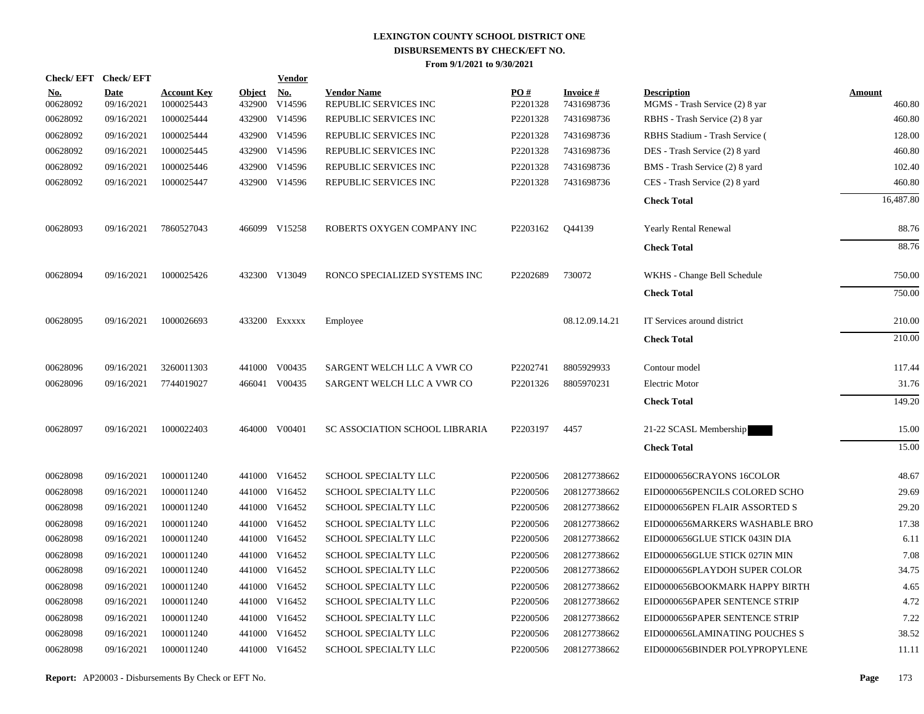| Check/EFT Check/EFT    |                           |                                  |                         | <b>Vendor</b>        |                                             |                      |                               |                                                      |                         |
|------------------------|---------------------------|----------------------------------|-------------------------|----------------------|---------------------------------------------|----------------------|-------------------------------|------------------------------------------------------|-------------------------|
| <u>No.</u><br>00628092 | <b>Date</b><br>09/16/2021 | <b>Account Key</b><br>1000025443 | <b>Object</b><br>432900 | <u>No.</u><br>V14596 | <b>Vendor Name</b><br>REPUBLIC SERVICES INC | PO#<br>P2201328      | <b>Invoice#</b><br>7431698736 | <b>Description</b><br>MGMS - Trash Service (2) 8 yar | <b>Amount</b><br>460.80 |
| 00628092               | 09/16/2021                | 1000025444                       |                         | 432900 V14596        | REPUBLIC SERVICES INC                       | P2201328             | 7431698736                    | RBHS - Trash Service (2) 8 yar                       | 460.80                  |
| 00628092               | 09/16/2021                | 1000025444                       |                         | 432900 V14596        | REPUBLIC SERVICES INC                       | P2201328             | 7431698736                    | RBHS Stadium - Trash Service (                       | 128.00                  |
| 00628092               | 09/16/2021                | 1000025445                       |                         | 432900 V14596        | REPUBLIC SERVICES INC                       | P2201328             | 7431698736                    | DES - Trash Service (2) 8 yard                       | 460.80                  |
| 00628092               | 09/16/2021                | 1000025446                       |                         | 432900 V14596        | REPUBLIC SERVICES INC                       | P2201328             | 7431698736                    | BMS - Trash Service (2) 8 yard                       | 102.40                  |
| 00628092               | 09/16/2021                | 1000025447                       |                         | 432900 V14596        | REPUBLIC SERVICES INC                       | P2201328             | 7431698736                    | CES - Trash Service (2) 8 yard                       | 460.80                  |
|                        |                           |                                  |                         |                      |                                             |                      |                               | <b>Check Total</b>                                   | 16,487.80               |
| 00628093               | 09/16/2021                | 7860527043                       |                         | 466099 V15258        | ROBERTS OXYGEN COMPANY INC                  | P2203162             | Q44139                        | Yearly Rental Renewal                                | 88.76                   |
|                        |                           |                                  |                         |                      |                                             |                      |                               | <b>Check Total</b>                                   | 88.76                   |
| 00628094               | 09/16/2021                | 1000025426                       |                         | 432300 V13049        | RONCO SPECIALIZED SYSTEMS INC               | P2202689             | 730072                        | WKHS - Change Bell Schedule                          | 750.00                  |
|                        |                           |                                  |                         |                      |                                             |                      |                               | <b>Check Total</b>                                   | 750.00                  |
| 00628095               | 09/16/2021                | 1000026693                       |                         | 433200 Exxxxx        | Employee                                    |                      | 08.12.09.14.21                | IT Services around district                          | 210.00                  |
|                        |                           |                                  |                         |                      |                                             |                      |                               | <b>Check Total</b>                                   | 210.00                  |
| 00628096               | 09/16/2021                | 3260011303                       |                         | 441000 V00435        | SARGENT WELCH LLC A VWR CO                  | P2202741             | 8805929933                    | Contour model                                        | 117.44                  |
| 00628096               | 09/16/2021                | 7744019027                       |                         | 466041 V00435        | SARGENT WELCH LLC A VWR CO                  | P <sub>2201326</sub> | 8805970231                    | Electric Motor                                       | 31.76                   |
|                        |                           |                                  |                         |                      |                                             |                      |                               | <b>Check Total</b>                                   | 149.20                  |
| 00628097               | 09/16/2021                | 1000022403                       |                         | 464000 V00401        | SC ASSOCIATION SCHOOL LIBRARIA              | P2203197             | 4457                          | 21-22 SCASL Membership                               | 15.00                   |
|                        |                           |                                  |                         |                      |                                             |                      |                               | <b>Check Total</b>                                   | 15.00                   |
| 00628098               | 09/16/2021                | 1000011240                       |                         | 441000 V16452        | SCHOOL SPECIALTY LLC                        | P2200506             | 208127738662                  | EID0000656CRAYONS 16COLOR                            | 48.67                   |
| 00628098               | 09/16/2021                | 1000011240                       |                         | 441000 V16452        | SCHOOL SPECIALTY LLC                        | P2200506             | 208127738662                  | EID0000656PENCILS COLORED SCHO                       | 29.69                   |
| 00628098               | 09/16/2021                | 1000011240                       |                         | 441000 V16452        | SCHOOL SPECIALTY LLC                        | P2200506             | 208127738662                  | EID0000656PEN FLAIR ASSORTED S                       | 29.20                   |
| 00628098               | 09/16/2021                | 1000011240                       |                         | 441000 V16452        | SCHOOL SPECIALTY LLC                        | P2200506             | 208127738662                  | EID0000656MARKERS WASHABLE BRO                       | 17.38                   |
| 00628098               | 09/16/2021                | 1000011240                       |                         | 441000 V16452        | SCHOOL SPECIALTY LLC                        | P2200506             | 208127738662                  | EID0000656GLUE STICK 043IN DIA                       | 6.11                    |
| 00628098               | 09/16/2021                | 1000011240                       |                         | 441000 V16452        | SCHOOL SPECIALTY LLC                        | P2200506             | 208127738662                  | EID0000656GLUE STICK 027IN MIN                       | 7.08                    |
| 00628098               | 09/16/2021                | 1000011240                       |                         | 441000 V16452        | SCHOOL SPECIALTY LLC                        | P2200506             | 208127738662                  | EID0000656PLAYDOH SUPER COLOR                        | 34.75                   |
| 00628098               | 09/16/2021                | 1000011240                       |                         | 441000 V16452        | SCHOOL SPECIALTY LLC                        | P2200506             | 208127738662                  | EID0000656BOOKMARK HAPPY BIRTH                       | 4.65                    |
| 00628098               | 09/16/2021                | 1000011240                       |                         | 441000 V16452        | SCHOOL SPECIALTY LLC                        | P2200506             | 208127738662                  | EID0000656PAPER SENTENCE STRIP                       | 4.72                    |
| 00628098               | 09/16/2021                | 1000011240                       |                         | 441000 V16452        | SCHOOL SPECIALTY LLC                        | P2200506             | 208127738662                  | EID0000656PAPER SENTENCE STRIP                       | 7.22                    |
| 00628098               | 09/16/2021                | 1000011240                       |                         | 441000 V16452        | SCHOOL SPECIALTY LLC                        | P2200506             | 208127738662                  | EID0000656LAMINATING POUCHES S                       | 38.52                   |
| 00628098               | 09/16/2021                | 1000011240                       |                         | 441000 V16452        | SCHOOL SPECIALTY LLC                        | P2200506             | 208127738662                  | EID0000656BINDER POLYPROPYLENE                       | 11.11                   |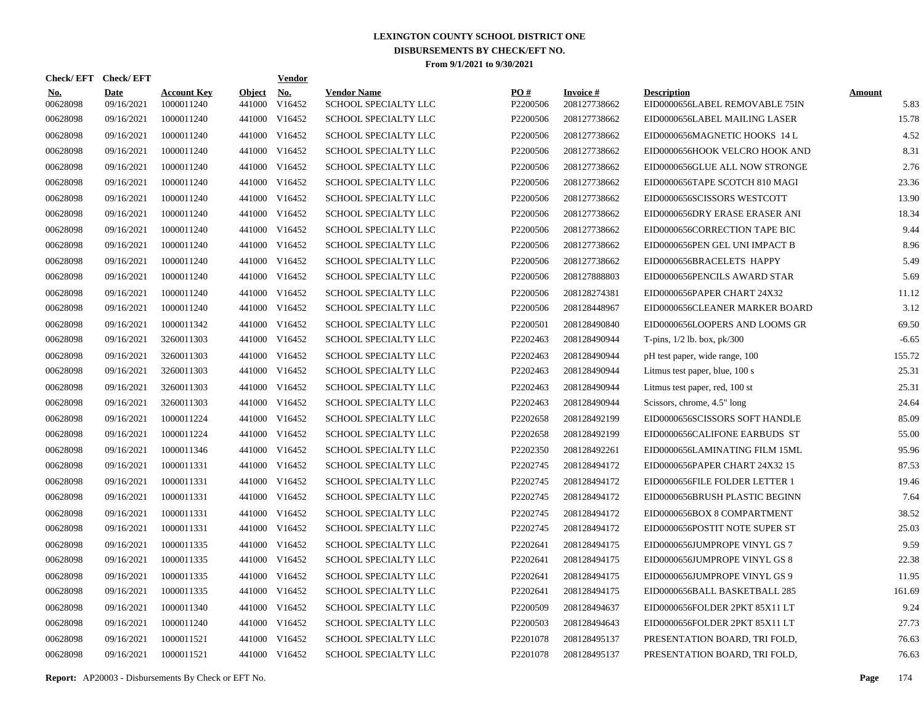| Check/ EFT             | <b>Check/EFT</b>          |                                  |                         | <b>Vendor</b>        |                                            |                 |                                 |                                                      |                       |
|------------------------|---------------------------|----------------------------------|-------------------------|----------------------|--------------------------------------------|-----------------|---------------------------------|------------------------------------------------------|-----------------------|
| <u>No.</u><br>00628098 | <b>Date</b><br>09/16/2021 | <b>Account Key</b><br>1000011240 | <b>Object</b><br>441000 | <u>No.</u><br>V16452 | <b>Vendor Name</b><br>SCHOOL SPECIALTY LLC | PO#<br>P2200506 | <b>Invoice#</b><br>208127738662 | <b>Description</b><br>EID0000656LABEL REMOVABLE 75IN | <b>Amount</b><br>5.83 |
| 00628098               | 09/16/2021                | 1000011240                       | 441000                  | V16452               | SCHOOL SPECIALTY LLC                       | P2200506        | 208127738662                    | EID0000656LABEL MAILING LASER                        | 15.78                 |
| 00628098               | 09/16/2021                | 1000011240                       | 441000                  | V16452               | <b>SCHOOL SPECIALTY LLC</b>                | P2200506        | 208127738662                    | EID0000656MAGNETIC HOOKS 14 L                        | 4.52                  |
| 00628098               | 09/16/2021                | 1000011240                       | 441000                  | V16452               | SCHOOL SPECIALTY LLC                       | P2200506        | 208127738662                    | EID0000656HOOK VELCRO HOOK AND                       | 8.31                  |
| 00628098               | 09/16/2021                | 1000011240                       | 441000                  | V16452               | SCHOOL SPECIALTY LLC                       | P2200506        | 208127738662                    | EID0000656GLUE ALL NOW STRONGE                       | 2.76                  |
| 00628098               | 09/16/2021                | 1000011240                       | 441000                  | V16452               | SCHOOL SPECIALTY LLC                       | P2200506        | 208127738662                    | EID0000656TAPE SCOTCH 810 MAGI                       | 23.36                 |
| 00628098               | 09/16/2021                | 1000011240                       | 441000                  | V16452               | SCHOOL SPECIALTY LLC                       | P2200506        | 208127738662                    | EID0000656SCISSORS WESTCOTT                          | 13.90                 |
| 00628098               | 09/16/2021                | 1000011240                       |                         | 441000 V16452        | SCHOOL SPECIALTY LLC                       | P2200506        | 208127738662                    | EID0000656DRY ERASE ERASER ANI                       | 18.34                 |
| 00628098               | 09/16/2021                | 1000011240                       |                         | 441000 V16452        | SCHOOL SPECIALTY LLC                       | P2200506        | 208127738662                    | EID0000656CORRECTION TAPE BIC                        | 9.44                  |
| 00628098               | 09/16/2021                | 1000011240                       |                         | 441000 V16452        | <b>SCHOOL SPECIALTY LLC</b>                | P2200506        | 208127738662                    | EID0000656PEN GEL UNI IMPACT B                       | 8.96                  |
| 00628098               | 09/16/2021                | 1000011240                       |                         | 441000 V16452        | <b>SCHOOL SPECIALTY LLC</b>                | P2200506        | 208127738662                    | EID0000656BRACELETS HAPPY                            | 5.49                  |
| 00628098               | 09/16/2021                | 1000011240                       |                         | 441000 V16452        | SCHOOL SPECIALTY LLC                       | P2200506        | 208127888803                    | EID0000656PENCILS AWARD STAR                         | 5.69                  |
| 00628098               | 09/16/2021                | 1000011240                       |                         | 441000 V16452        | <b>SCHOOL SPECIALTY LLC</b>                | P2200506        | 208128274381                    | EID0000656PAPER CHART 24X32                          | 11.12                 |
| 00628098               | 09/16/2021                | 1000011240                       |                         | 441000 V16452        | SCHOOL SPECIALTY LLC                       | P2200506        | 208128448967                    | EID0000656CLEANER MARKER BOARD                       | 3.12                  |
| 00628098               | 09/16/2021                | 1000011342                       |                         | 441000 V16452        | <b>SCHOOL SPECIALTY LLC</b>                | P2200501        | 208128490840                    | EID0000656LOOPERS AND LOOMS GR                       | 69.50                 |
| 00628098               | 09/16/2021                | 3260011303                       |                         | 441000 V16452        | <b>SCHOOL SPECIALTY LLC</b>                | P2202463        | 208128490944                    | T-pins, $1/2$ lb. box, $pk/300$                      | $-6.65$               |
| 00628098               | 09/16/2021                | 3260011303                       | 441000                  | V16452               | <b>SCHOOL SPECIALTY LLC</b>                | P2202463        | 208128490944                    | pH test paper, wide range, 100                       | 155.72                |
| 00628098               | 09/16/2021                | 3260011303                       |                         | 441000 V16452        | <b>SCHOOL SPECIALTY LLC</b>                | P2202463        | 208128490944                    | Litmus test paper, blue, 100 s                       | 25.31                 |
| 00628098               | 09/16/2021                | 3260011303                       | 441000                  | V16452               | <b>SCHOOL SPECIALTY LLC</b>                | P2202463        | 208128490944                    | Litmus test paper, red, 100 st                       | 25.31                 |
| 00628098               | 09/16/2021                | 3260011303                       |                         | 441000 V16452        | <b>SCHOOL SPECIALTY LLC</b>                | P2202463        | 208128490944                    | Scissors, chrome, 4.5" long                          | 24.64                 |
| 00628098               | 09/16/2021                | 1000011224                       | 441000                  | V16452               | <b>SCHOOL SPECIALTY LLC</b>                | P2202658        | 208128492199                    | EID0000656SCISSORS SOFT HANDLE                       | 85.09                 |
| 00628098               | 09/16/2021                | 1000011224                       |                         | 441000 V16452        | SCHOOL SPECIALTY LLC                       | P2202658        | 208128492199                    | EID0000656CALIFONE EARBUDS ST                        | 55.00                 |
| 00628098               | 09/16/2021                | 1000011346                       | 441000                  | V16452               | <b>SCHOOL SPECIALTY LLC</b>                | P2202350        | 208128492261                    | EID0000656LAMINATING FILM 15ML                       | 95.96                 |
| 00628098               | 09/16/2021                | 1000011331                       | 441000                  | V16452               | <b>SCHOOL SPECIALTY LLC</b>                | P2202745        | 208128494172                    | EID0000656PAPER CHART 24X32 15                       | 87.53                 |
| 00628098               | 09/16/2021                | 1000011331                       | 441000                  | V16452               | <b>SCHOOL SPECIALTY LLC</b>                | P2202745        | 208128494172                    | EID0000656FILE FOLDER LETTER 1                       | 19.46                 |
| 00628098               | 09/16/2021                | 1000011331                       | 441000                  | V16452               | <b>SCHOOL SPECIALTY LLC</b>                | P2202745        | 208128494172                    | EID0000656BRUSH PLASTIC BEGINN                       | 7.64                  |
| 00628098               | 09/16/2021                | 1000011331                       | 441000                  | V16452               | <b>SCHOOL SPECIALTY LLC</b>                | P2202745        | 208128494172                    | EID0000656BOX 8 COMPARTMENT                          | 38.52                 |
| 00628098               | 09/16/2021                | 1000011331                       | 441000                  | V16452               | <b>SCHOOL SPECIALTY LLC</b>                | P2202745        | 208128494172                    | EID0000656POSTIT NOTE SUPER ST                       | 25.03                 |
| 00628098               | 09/16/2021                | 1000011335                       | 441000                  | V16452               | SCHOOL SPECIALTY LLC                       | P2202641        | 208128494175                    | EID0000656JUMPROPE VINYL GS 7                        | 9.59                  |
| 00628098               | 09/16/2021                | 1000011335                       | 441000                  | V16452               | SCHOOL SPECIALTY LLC                       | P2202641        | 208128494175                    | EID0000656JUMPROPE VINYL GS 8                        | 22.38                 |
| 00628098               | 09/16/2021                | 1000011335                       | 441000                  | V16452               | <b>SCHOOL SPECIALTY LLC</b>                | P2202641        | 208128494175                    | EID0000656JUMPROPE VINYL GS 9                        | 11.95                 |
| 00628098               | 09/16/2021                | 1000011335                       | 441000                  | V16452               | <b>SCHOOL SPECIALTY LLC</b>                | P2202641        | 208128494175                    | EID0000656BALL BASKETBALL 285                        | 161.69                |
| 00628098               | 09/16/2021                | 1000011340                       | 441000                  | V16452               | SCHOOL SPECIALTY LLC                       | P2200509        | 208128494637                    | EID0000656FOLDER 2PKT 85X11 LT                       | 9.24                  |
| 00628098               | 09/16/2021                | 1000011240                       | 441000                  | V16452               | SCHOOL SPECIALTY LLC                       | P2200503        | 208128494643                    | EID0000656FOLDER 2PKT 85X11 LT                       | 27.73                 |
| 00628098               | 09/16/2021                | 1000011521                       | 441000                  | V16452               | <b>SCHOOL SPECIALTY LLC</b>                | P2201078        | 208128495137                    | PRESENTATION BOARD, TRI FOLD,                        | 76.63                 |
| 00628098               | 09/16/2021                | 1000011521                       |                         | 441000 V16452        | SCHOOL SPECIALTY LLC                       | P2201078        | 208128495137                    | PRESENTATION BOARD, TRI FOLD,                        | 76.63                 |

**Report:** AP20003 - Disbursements By Check or EFT No. **Page** 174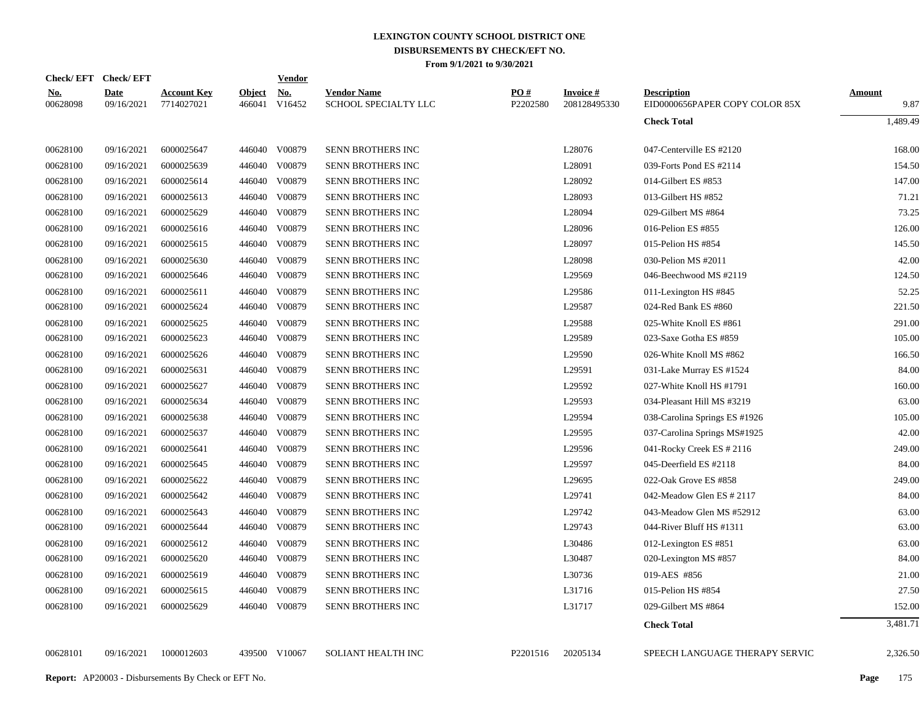| Check/EFT Check/EFT    |                           |                                  |                         | <b>Vendor</b> |                                            |                 |                                  |                                                      |                       |
|------------------------|---------------------------|----------------------------------|-------------------------|---------------|--------------------------------------------|-----------------|----------------------------------|------------------------------------------------------|-----------------------|
| <b>No.</b><br>00628098 | <b>Date</b><br>09/16/2021 | <b>Account Key</b><br>7714027021 | <b>Object</b><br>466041 | No.<br>V16452 | <b>Vendor Name</b><br>SCHOOL SPECIALTY LLC | PO#<br>P2202580 | <b>Invoice #</b><br>208128495330 | <b>Description</b><br>EID0000656PAPER COPY COLOR 85X | <b>Amount</b><br>9.87 |
|                        |                           |                                  |                         |               |                                            |                 |                                  | <b>Check Total</b>                                   | 1,489.49              |
| 00628100               | 09/16/2021                | 6000025647                       |                         | 446040 V00879 | SENN BROTHERS INC                          |                 | L28076                           | 047-Centerville ES #2120                             | 168.00                |
| 00628100               | 09/16/2021                | 6000025639                       | 446040                  | V00879        | SENN BROTHERS INC                          |                 | L28091                           | 039-Forts Pond ES #2114                              | 154.50                |
| 00628100               | 09/16/2021                | 6000025614                       | 446040                  | V00879        | SENN BROTHERS INC                          |                 | L28092                           | 014-Gilbert ES #853                                  | 147.00                |
| 00628100               | 09/16/2021                | 6000025613                       | 446040                  | V00879        | SENN BROTHERS INC                          |                 | L28093                           | 013-Gilbert HS #852                                  | 71.21                 |
| 00628100               | 09/16/2021                | 6000025629                       | 446040                  | V00879        | SENN BROTHERS INC                          |                 | L28094                           | 029-Gilbert MS #864                                  | 73.25                 |
| 00628100               | 09/16/2021                | 6000025616                       | 446040                  | V00879        | <b>SENN BROTHERS INC</b>                   |                 | L28096                           | 016-Pelion ES #855                                   | 126.00                |
| 00628100               | 09/16/2021                | 6000025615                       | 446040                  | V00879        | SENN BROTHERS INC                          |                 | L28097                           | 015-Pelion HS #854                                   | 145.50                |
| 00628100               | 09/16/2021                | 6000025630                       | 446040                  | V00879        | <b>SENN BROTHERS INC</b>                   |                 | L28098                           | 030-Pelion MS #2011                                  | 42.00                 |
| 00628100               | 09/16/2021                | 6000025646                       | 446040                  | V00879        | SENN BROTHERS INC                          |                 | L29569                           | 046-Beechwood MS #2119                               | 124.50                |
| 00628100               | 09/16/2021                | 6000025611                       | 446040                  | V00879        | SENN BROTHERS INC                          |                 | L29586                           | 011-Lexington HS #845                                | 52.25                 |
| 00628100               | 09/16/2021                | 6000025624                       | 446040                  | V00879        | SENN BROTHERS INC                          |                 | L29587                           | 024-Red Bank ES #860                                 | 221.50                |
| 00628100               | 09/16/2021                | 6000025625                       | 446040                  | V00879        | SENN BROTHERS INC                          |                 | L29588                           | 025-White Knoll ES #861                              | 291.00                |
| 00628100               | 09/16/2021                | 6000025623                       | 446040                  | V00879        | SENN BROTHERS INC                          |                 | L29589                           | 023-Saxe Gotha ES #859                               | 105.00                |
| 00628100               | 09/16/2021                | 6000025626                       | 446040                  | V00879        | SENN BROTHERS INC                          |                 | L29590                           | 026-White Knoll MS #862                              | 166.50                |
| 00628100               | 09/16/2021                | 6000025631                       | 446040                  | V00879        | SENN BROTHERS INC                          |                 | L29591                           | 031-Lake Murray ES #1524                             | 84.00                 |
| 00628100               | 09/16/2021                | 6000025627                       | 446040                  | V00879        | SENN BROTHERS INC                          |                 | L29592                           | 027-White Knoll HS #1791                             | 160.00                |
| 00628100               | 09/16/2021                | 6000025634                       | 446040                  | V00879        | SENN BROTHERS INC                          |                 | L29593                           | 034-Pleasant Hill MS #3219                           | 63.00                 |
| 00628100               | 09/16/2021                | 6000025638                       | 446040                  | V00879        | SENN BROTHERS INC                          |                 | L29594                           | 038-Carolina Springs ES #1926                        | 105.00                |
| 00628100               | 09/16/2021                | 6000025637                       | 446040                  | V00879        | SENN BROTHERS INC                          |                 | L29595                           | 037-Carolina Springs MS#1925                         | 42.00                 |
| 00628100               | 09/16/2021                | 6000025641                       | 446040                  | V00879        | SENN BROTHERS INC                          |                 | L29596                           | 041-Rocky Creek ES # 2116                            | 249.00                |
| 00628100               | 09/16/2021                | 6000025645                       | 446040                  | V00879        | SENN BROTHERS INC                          |                 | L29597                           | 045-Deerfield ES #2118                               | 84.00                 |
| 00628100               | 09/16/2021                | 6000025622                       | 446040                  | V00879        | SENN BROTHERS INC                          |                 | L29695                           | 022-Oak Grove ES #858                                | 249.00                |
| 00628100               | 09/16/2021                | 6000025642                       | 446040                  | V00879        | SENN BROTHERS INC                          |                 | L29741                           | 042-Meadow Glen ES # 2117                            | 84.00                 |
| 00628100               | 09/16/2021                | 6000025643                       | 446040                  | V00879        | SENN BROTHERS INC                          |                 | L29742                           | 043-Meadow Glen MS #52912                            | 63.00                 |
| 00628100               | 09/16/2021                | 6000025644                       |                         | 446040 V00879 | SENN BROTHERS INC                          |                 | L29743                           | 044-River Bluff HS #1311                             | 63.00                 |
| 00628100               | 09/16/2021                | 6000025612                       | 446040                  | V00879        | SENN BROTHERS INC                          |                 | L30486                           | 012-Lexington ES #851                                | 63.00                 |
| 00628100               | 09/16/2021                | 6000025620                       | 446040                  | V00879        | SENN BROTHERS INC                          |                 | L30487                           | 020-Lexington MS #857                                | 84.00                 |
| 00628100               | 09/16/2021                | 6000025619                       |                         | 446040 V00879 | SENN BROTHERS INC                          |                 | L30736                           | 019-AES #856                                         | 21.00                 |
| 00628100               | 09/16/2021                | 6000025615                       | 446040                  | V00879        | SENN BROTHERS INC                          |                 | L31716                           | 015-Pelion HS #854                                   | 27.50                 |
| 00628100               | 09/16/2021                | 6000025629                       |                         | 446040 V00879 | SENN BROTHERS INC                          |                 | L31717                           | 029-Gilbert MS #864                                  | 152.00                |
|                        |                           |                                  |                         |               |                                            |                 |                                  | <b>Check Total</b>                                   | 3,481.71              |
| 00628101               | 09/16/2021                | 1000012603                       |                         | 439500 V10067 | SOLIANT HEALTH INC                         | P2201516        | 20205134                         | SPEECH LANGUAGE THERAPY SERVIC                       | 2,326.50              |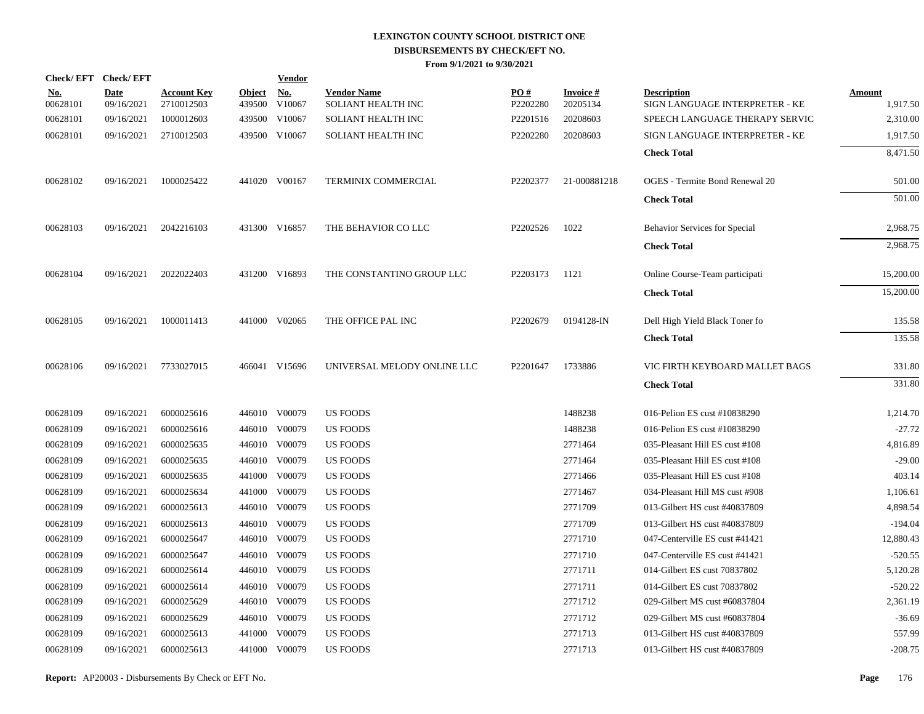|                        | Check/EFT Check/EFT       |                                  |                         | <b>Vendor</b>        |                                          |                 |                             |                                                      |                           |
|------------------------|---------------------------|----------------------------------|-------------------------|----------------------|------------------------------------------|-----------------|-----------------------------|------------------------------------------------------|---------------------------|
| <u>No.</u><br>00628101 | <b>Date</b><br>09/16/2021 | <b>Account Key</b><br>2710012503 | <b>Object</b><br>439500 | <u>No.</u><br>V10067 | <b>Vendor Name</b><br>SOLIANT HEALTH INC | PO#<br>P2202280 | <b>Invoice#</b><br>20205134 | <b>Description</b><br>SIGN LANGUAGE INTERPRETER - KE | <b>Amount</b><br>1,917.50 |
| 00628101               | 09/16/2021                | 1000012603                       |                         | 439500 V10067        | SOLIANT HEALTH INC                       | P2201516        | 20208603                    | SPEECH LANGUAGE THERAPY SERVIC                       | 2,310.00                  |
| 00628101               | 09/16/2021                | 2710012503                       |                         | 439500 V10067        | <b>SOLIANT HEALTH INC</b>                | P2202280        | 20208603                    | SIGN LANGUAGE INTERPRETER - KE                       | 1,917.50                  |
|                        |                           |                                  |                         |                      |                                          |                 |                             | <b>Check Total</b>                                   | 8,471.50                  |
| 00628102               | 09/16/2021                | 1000025422                       |                         | 441020 V00167        | TERMINIX COMMERCIAL                      | P2202377        | 21-000881218                | <b>OGES</b> - Termite Bond Renewal 20                | 501.00                    |
|                        |                           |                                  |                         |                      |                                          |                 |                             | <b>Check Total</b>                                   | 501.00                    |
| 00628103               | 09/16/2021                | 2042216103                       |                         | 431300 V16857        | THE BEHAVIOR CO LLC                      | P2202526        | 1022                        | Behavior Services for Special                        | 2,968.75                  |
|                        |                           |                                  |                         |                      |                                          |                 |                             | <b>Check Total</b>                                   | 2,968.75                  |
| 00628104               | 09/16/2021                | 2022022403                       |                         | 431200 V16893        | THE CONSTANTINO GROUP LLC                | P2203173        | 1121                        | Online Course-Team participati                       | 15,200.00                 |
|                        |                           |                                  |                         |                      |                                          |                 |                             | <b>Check Total</b>                                   | 15,200.00                 |
| 00628105               | 09/16/2021                | 1000011413                       |                         | 441000 V02065        | THE OFFICE PAL INC                       | P2202679        | 0194128-IN                  | Dell High Yield Black Toner fo                       | 135.58                    |
|                        |                           |                                  |                         |                      |                                          |                 |                             | <b>Check Total</b>                                   | 135.58                    |
| 00628106               | 09/16/2021                | 7733027015                       |                         | 466041 V15696        | UNIVERSAL MELODY ONLINE LLC              | P2201647        | 1733886                     | VIC FIRTH KEYBOARD MALLET BAGS                       | 331.80                    |
|                        |                           |                                  |                         |                      |                                          |                 |                             | <b>Check Total</b>                                   | 331.80                    |
| 00628109               | 09/16/2021                | 6000025616                       |                         | 446010 V00079        | <b>US FOODS</b>                          |                 | 1488238                     | 016-Pelion ES cust #10838290                         | 1,214.70                  |
| 00628109               | 09/16/2021                | 6000025616                       |                         | 446010 V00079        | <b>US FOODS</b>                          |                 | 1488238                     | 016-Pelion ES cust #10838290                         | $-27.72$                  |
| 00628109               | 09/16/2021                | 6000025635                       |                         | 446010 V00079        | <b>US FOODS</b>                          |                 | 2771464                     | 035-Pleasant Hill ES cust #108                       | 4,816.89                  |
| 00628109               | 09/16/2021                | 6000025635                       |                         | 446010 V00079        | US FOODS                                 |                 | 2771464                     | 035-Pleasant Hill ES cust #108                       | $-29.00$                  |
| 00628109               | 09/16/2021                | 6000025635                       |                         | 441000 V00079        | <b>US FOODS</b>                          |                 | 2771466                     | 035-Pleasant Hill ES cust #108                       | 403.14                    |
| 00628109               | 09/16/2021                | 6000025634                       |                         | 441000 V00079        | US FOODS                                 |                 | 2771467                     | 034-Pleasant Hill MS cust #908                       | 1,106.61                  |
| 00628109               | 09/16/2021                | 6000025613                       |                         | 446010 V00079        | <b>US FOODS</b>                          |                 | 2771709                     | 013-Gilbert HS cust #40837809                        | 4,898.54                  |
| 00628109               | 09/16/2021                | 6000025613                       |                         | 446010 V00079        | <b>US FOODS</b>                          |                 | 2771709                     | 013-Gilbert HS cust #40837809                        | $-194.04$                 |
| 00628109               | 09/16/2021                | 6000025647                       |                         | 446010 V00079        | <b>US FOODS</b>                          |                 | 2771710                     | 047-Centerville ES cust #41421                       | 12,880.43                 |
| 00628109               | 09/16/2021                | 6000025647                       |                         | 446010 V00079        | <b>US FOODS</b>                          |                 | 2771710                     | 047-Centerville ES cust #41421                       | $-520.55$                 |
| 00628109               | 09/16/2021                | 6000025614                       |                         | 446010 V00079        | <b>US FOODS</b>                          |                 | 2771711                     | 014-Gilbert ES cust 70837802                         | 5,120.28                  |
| 00628109               | 09/16/2021                | 6000025614                       |                         | 446010 V00079        | <b>US FOODS</b>                          |                 | 2771711                     | 014-Gilbert ES cust 70837802                         | $-520.22$                 |
| 00628109               | 09/16/2021                | 6000025629                       |                         | 446010 V00079        | US FOODS                                 |                 | 2771712                     | 029-Gilbert MS cust #60837804                        | 2,361.19                  |
| 00628109               | 09/16/2021                | 6000025629                       |                         | 446010 V00079        | <b>US FOODS</b>                          |                 | 2771712                     | 029-Gilbert MS cust #60837804                        | $-36.69$                  |
| 00628109               | 09/16/2021                | 6000025613                       | 441000                  | V00079               | US FOODS                                 |                 | 2771713                     | 013-Gilbert HS cust #40837809                        | 557.99                    |
| 00628109               | 09/16/2021                | 6000025613                       |                         | 441000 V00079        | <b>US FOODS</b>                          |                 | 2771713                     | 013-Gilbert HS cust #40837809                        | $-208.75$                 |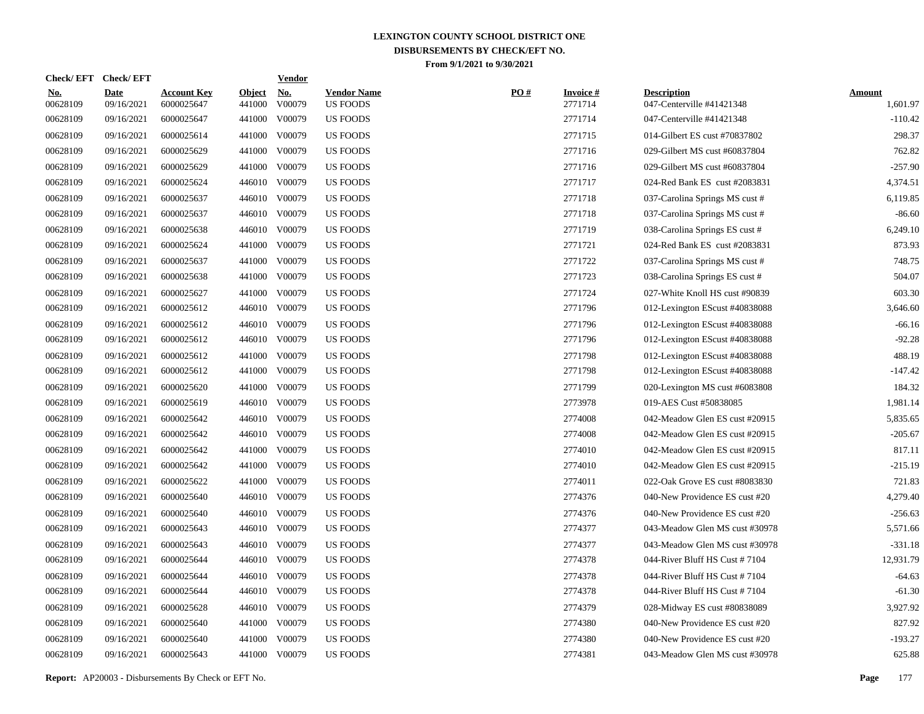| <b>Check/EFT</b>       | <b>Check/EFT</b>          |                                  |                         | <b>Vendor</b>                       |                                       |     |                            |                                                 |                           |
|------------------------|---------------------------|----------------------------------|-------------------------|-------------------------------------|---------------------------------------|-----|----------------------------|-------------------------------------------------|---------------------------|
| <u>No.</u><br>00628109 | <b>Date</b><br>09/16/2021 | <b>Account Key</b><br>6000025647 | <b>Object</b><br>441000 | $\underline{\mathrm{No}}$<br>V00079 | <b>Vendor Name</b><br><b>US FOODS</b> | PO# | <b>Invoice#</b><br>2771714 | <b>Description</b><br>047-Centerville #41421348 | <b>Amount</b><br>1,601.97 |
| 00628109               | 09/16/2021                | 6000025647                       |                         | 441000 V00079                       | <b>US FOODS</b>                       |     | 2771714                    | 047-Centerville #41421348                       | $-110.42$                 |
| 00628109               | 09/16/2021                | 6000025614                       |                         | 441000 V00079                       | <b>US FOODS</b>                       |     | 2771715                    | 014-Gilbert ES cust #70837802                   | 298.37                    |
| 00628109               | 09/16/2021                | 6000025629                       |                         | 441000 V00079                       | <b>US FOODS</b>                       |     | 2771716                    | 029-Gilbert MS cust #60837804                   | 762.82                    |
| 00628109               | 09/16/2021                | 6000025629                       |                         | 441000 V00079                       | <b>US FOODS</b>                       |     | 2771716                    | 029-Gilbert MS cust #60837804                   | $-257.90$                 |
| 00628109               | 09/16/2021                | 6000025624                       |                         | 446010 V00079                       | <b>US FOODS</b>                       |     | 2771717                    | 024-Red Bank ES cust #2083831                   | 4,374.51                  |
| 00628109               | 09/16/2021                | 6000025637                       |                         | 446010 V00079                       | <b>US FOODS</b>                       |     | 2771718                    | 037-Carolina Springs MS cust #                  | 6,119.85                  |
| 00628109               | 09/16/2021                | 6000025637                       |                         | 446010 V00079                       | <b>US FOODS</b>                       |     | 2771718                    | 037-Carolina Springs MS cust #                  | $-86.60$                  |
| 00628109               | 09/16/2021                | 6000025638                       |                         | 446010 V00079                       | <b>US FOODS</b>                       |     | 2771719                    | 038-Carolina Springs ES cust #                  | 6,249.10                  |
| 00628109               | 09/16/2021                | 6000025624                       |                         | 441000 V00079                       | <b>US FOODS</b>                       |     | 2771721                    | 024-Red Bank ES cust #2083831                   | 873.93                    |
| 00628109               | 09/16/2021                | 6000025637                       |                         | 441000 V00079                       | <b>US FOODS</b>                       |     | 2771722                    | 037-Carolina Springs MS cust #                  | 748.75                    |
| 00628109               | 09/16/2021                | 6000025638                       |                         | 441000 V00079                       | <b>US FOODS</b>                       |     | 2771723                    | 038-Carolina Springs ES cust #                  | 504.07                    |
| 00628109               | 09/16/2021                | 6000025627                       |                         | 441000 V00079                       | <b>US FOODS</b>                       |     | 2771724                    | 027-White Knoll HS cust #90839                  | 603.30                    |
| 00628109               | 09/16/2021                | 6000025612                       |                         | 446010 V00079                       | <b>US FOODS</b>                       |     | 2771796                    | 012-Lexington EScust #40838088                  | 3,646.60                  |
| 00628109               | 09/16/2021                | 6000025612                       |                         | 446010 V00079                       | <b>US FOODS</b>                       |     | 2771796                    | 012-Lexington EScust #40838088                  | $-66.16$                  |
| 00628109               | 09/16/2021                | 6000025612                       |                         | 446010 V00079                       | <b>US FOODS</b>                       |     | 2771796                    | 012-Lexington EScust #40838088                  | $-92.28$                  |
| 00628109               | 09/16/2021                | 6000025612                       |                         | 441000 V00079                       | <b>US FOODS</b>                       |     | 2771798                    | 012-Lexington EScust #40838088                  | 488.19                    |
| 00628109               | 09/16/2021                | 6000025612                       |                         | 441000 V00079                       | <b>US FOODS</b>                       |     | 2771798                    | 012-Lexington EScust #40838088                  | $-147.42$                 |
| 00628109               | 09/16/2021                | 6000025620                       |                         | 441000 V00079                       | <b>US FOODS</b>                       |     | 2771799                    | 020-Lexington MS cust #6083808                  | 184.32                    |
| 00628109               | 09/16/2021                | 6000025619                       |                         | 446010 V00079                       | <b>US FOODS</b>                       |     | 2773978                    | 019-AES Cust #50838085                          | 1,981.14                  |
| 00628109               | 09/16/2021                | 6000025642                       |                         | 446010 V00079                       | <b>US FOODS</b>                       |     | 2774008                    | 042-Meadow Glen ES cust #20915                  | 5,835.65                  |
| 00628109               | 09/16/2021                | 6000025642                       |                         | 446010 V00079                       | <b>US FOODS</b>                       |     | 2774008                    | 042-Meadow Glen ES cust #20915                  | $-205.67$                 |
| 00628109               | 09/16/2021                | 6000025642                       |                         | 441000 V00079                       | <b>US FOODS</b>                       |     | 2774010                    | 042-Meadow Glen ES cust #20915                  | 817.11                    |
| 00628109               | 09/16/2021                | 6000025642                       |                         | 441000 V00079                       | US FOODS                              |     | 2774010                    | 042-Meadow Glen ES cust #20915                  | $-215.19$                 |
| 00628109               | 09/16/2021                | 6000025622                       |                         | 441000 V00079                       | <b>US FOODS</b>                       |     | 2774011                    | 022-Oak Grove ES cust #8083830                  | 721.83                    |
| 00628109               | 09/16/2021                | 6000025640                       |                         | 446010 V00079                       | US FOODS                              |     | 2774376                    | 040-New Providence ES cust #20                  | 4,279.40                  |
| 00628109               | 09/16/2021                | 6000025640                       |                         | 446010 V00079                       | US FOODS                              |     | 2774376                    | 040-New Providence ES cust #20                  | $-256.63$                 |
| 00628109               | 09/16/2021                | 6000025643                       |                         | 446010 V00079                       | <b>US FOODS</b>                       |     | 2774377                    | 043-Meadow Glen MS cust #30978                  | 5,571.66                  |
| 00628109               | 09/16/2021                | 6000025643                       |                         | 446010 V00079                       | <b>US FOODS</b>                       |     | 2774377                    | 043-Meadow Glen MS cust #30978                  | $-331.18$                 |
| 00628109               | 09/16/2021                | 6000025644                       |                         | 446010 V00079                       | <b>US FOODS</b>                       |     | 2774378                    | 044-River Bluff HS Cust #7104                   | 12,931.79                 |
| 00628109               | 09/16/2021                | 6000025644                       |                         | 446010 V00079                       | <b>US FOODS</b>                       |     | 2774378                    | 044-River Bluff HS Cust #7104                   | $-64.63$                  |
| 00628109               | 09/16/2021                | 6000025644                       |                         | 446010 V00079                       | <b>US FOODS</b>                       |     | 2774378                    | 044-River Bluff HS Cust #7104                   | $-61.30$                  |
| 00628109               | 09/16/2021                | 6000025628                       |                         | 446010 V00079                       | <b>US FOODS</b>                       |     | 2774379                    | 028-Midway ES cust #80838089                    | 3,927.92                  |
| 00628109               | 09/16/2021                | 6000025640                       |                         | 441000 V00079                       | <b>US FOODS</b>                       |     | 2774380                    | 040-New Providence ES cust #20                  | 827.92                    |
| 00628109               | 09/16/2021                | 6000025640                       | 441000                  | V00079                              | <b>US FOODS</b>                       |     | 2774380                    | 040-New Providence ES cust #20                  | $-193.27$                 |
| 00628109               | 09/16/2021                | 6000025643                       |                         | 441000 V00079                       | US FOODS                              |     | 2774381                    | 043-Meadow Glen MS cust #30978                  | 625.88                    |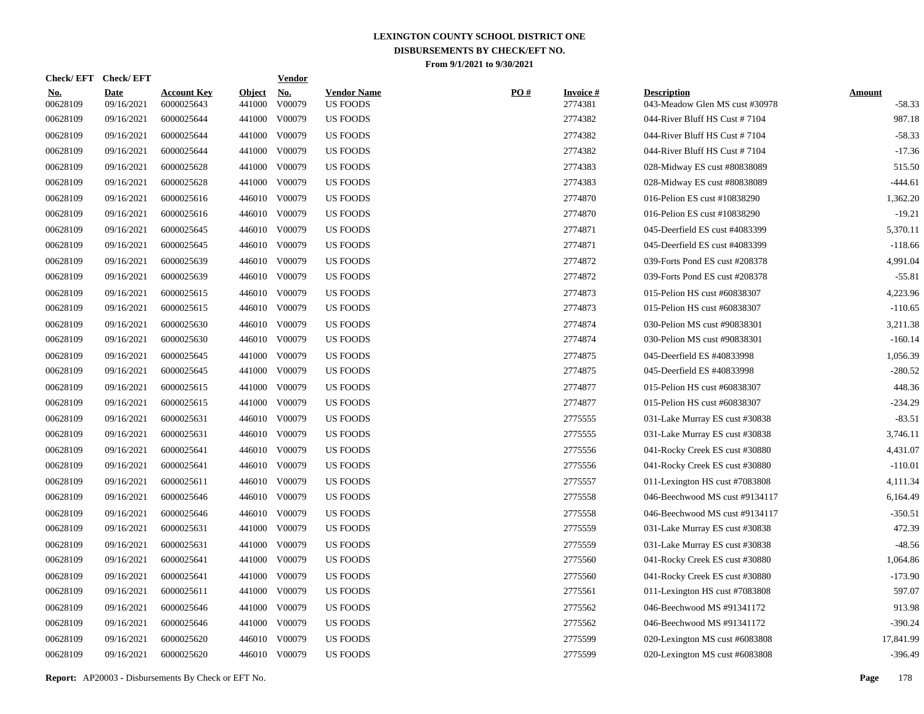| <b>Check/EFT</b>       | <b>Check/EFT</b>          |                                  |                         | <b>Vendor</b>        |                                       |     |                            |                                                      |                           |
|------------------------|---------------------------|----------------------------------|-------------------------|----------------------|---------------------------------------|-----|----------------------------|------------------------------------------------------|---------------------------|
| <u>No.</u><br>00628109 | <b>Date</b><br>09/16/2021 | <b>Account Key</b><br>6000025643 | <b>Object</b><br>441000 | <u>No.</u><br>V00079 | <b>Vendor Name</b><br><b>US FOODS</b> | PO# | <b>Invoice#</b><br>2774381 | <b>Description</b><br>043-Meadow Glen MS cust #30978 | <b>Amount</b><br>$-58.33$ |
| 00628109               | 09/16/2021                | 6000025644                       | 441000                  | V00079               | <b>US FOODS</b>                       |     | 2774382                    | 044-River Bluff HS Cust #7104                        | 987.18                    |
| 00628109               | 09/16/2021                | 6000025644                       | 441000                  | V00079               | <b>US FOODS</b>                       |     | 2774382                    | 044-River Bluff HS Cust #7104                        | $-58.33$                  |
| 00628109               | 09/16/2021                | 6000025644                       | 441000                  | V00079               | <b>US FOODS</b>                       |     | 2774382                    | 044-River Bluff HS Cust #7104                        | $-17.36$                  |
| 00628109               | 09/16/2021                | 6000025628                       | 441000                  | V00079               | <b>US FOODS</b>                       |     | 2774383                    | 028-Midway ES cust #80838089                         | 515.50                    |
| 00628109               | 09/16/2021                | 6000025628                       | 441000                  | V00079               | <b>US FOODS</b>                       |     | 2774383                    | 028-Midway ES cust #80838089                         | $-444.61$                 |
| 00628109               | 09/16/2021                | 6000025616                       | 446010                  | V00079               | <b>US FOODS</b>                       |     | 2774870                    | 016-Pelion ES cust #10838290                         | 1,362.20                  |
| 00628109               | 09/16/2021                | 6000025616                       |                         | 446010 V00079        | <b>US FOODS</b>                       |     | 2774870                    | 016-Pelion ES cust #10838290                         | $-19.21$                  |
| 00628109               | 09/16/2021                | 6000025645                       |                         | 446010 V00079        | <b>US FOODS</b>                       |     | 2774871                    | 045-Deerfield ES cust #4083399                       | 5,370.11                  |
| 00628109               | 09/16/2021                | 6000025645                       |                         | 446010 V00079        | <b>US FOODS</b>                       |     | 2774871                    | 045-Deerfield ES cust #4083399                       | $-118.66$                 |
| 00628109               | 09/16/2021                | 6000025639                       |                         | 446010 V00079        | <b>US FOODS</b>                       |     | 2774872                    | 039-Forts Pond ES cust #208378                       | 4,991.04                  |
| 00628109               | 09/16/2021                | 6000025639                       |                         | 446010 V00079        | US FOODS                              |     | 2774872                    | 039-Forts Pond ES cust #208378                       | $-55.81$                  |
| 00628109               | 09/16/2021                | 6000025615                       |                         | 446010 V00079        | US FOODS                              |     | 2774873                    | 015-Pelion HS cust #60838307                         | 4,223.96                  |
| 00628109               | 09/16/2021                | 6000025615                       |                         | 446010 V00079        | <b>US FOODS</b>                       |     | 2774873                    | 015-Pelion HS cust #60838307                         | $-110.65$                 |
| 00628109               | 09/16/2021                | 6000025630                       |                         | 446010 V00079        | <b>US FOODS</b>                       |     | 2774874                    | 030-Pelion MS cust #90838301                         | 3,211.38                  |
| 00628109               | 09/16/2021                | 6000025630                       |                         | 446010 V00079        | <b>US FOODS</b>                       |     | 2774874                    | 030-Pelion MS cust #90838301                         | $-160.14$                 |
| 00628109               | 09/16/2021                | 6000025645                       | 441000                  | V00079               | <b>US FOODS</b>                       |     | 2774875                    | 045-Deerfield ES #40833998                           | 1,056.39                  |
| 00628109               | 09/16/2021                | 6000025645                       | 441000                  | V00079               | <b>US FOODS</b>                       |     | 2774875                    | 045-Deerfield ES #40833998                           | $-280.52$                 |
| 00628109               | 09/16/2021                | 6000025615                       | 441000                  | V00079               | <b>US FOODS</b>                       |     | 2774877                    | 015-Pelion HS cust #60838307                         | 448.36                    |
| 00628109               | 09/16/2021                | 6000025615                       | 441000                  | V00079               | <b>US FOODS</b>                       |     | 2774877                    | 015-Pelion HS cust #60838307                         | $-234.29$                 |
| 00628109               | 09/16/2021                | 6000025631                       |                         | 446010 V00079        | US FOODS                              |     | 2775555                    | 031-Lake Murray ES cust #30838                       | $-83.51$                  |
| 00628109               | 09/16/2021                | 6000025631                       |                         | 446010 V00079        | <b>US FOODS</b>                       |     | 2775555                    | 031-Lake Murray ES cust #30838                       | 3,746.11                  |
| 00628109               | 09/16/2021                | 6000025641                       |                         | 446010 V00079        | <b>US FOODS</b>                       |     | 2775556                    | 041-Rocky Creek ES cust #30880                       | 4,431.07                  |
| 00628109               | 09/16/2021                | 6000025641                       |                         | 446010 V00079        | <b>US FOODS</b>                       |     | 2775556                    | 041-Rocky Creek ES cust #30880                       | $-110.01$                 |
| 00628109               | 09/16/2021                | 6000025611                       | 446010                  | V00079               | <b>US FOODS</b>                       |     | 2775557                    | 011-Lexington HS cust #7083808                       | 4,111.34                  |
| 00628109               | 09/16/2021                | 6000025646                       |                         | 446010 V00079        | <b>US FOODS</b>                       |     | 2775558                    | 046-Beechwood MS cust #9134117                       | 6,164.49                  |
| 00628109               | 09/16/2021                | 6000025646                       | 446010                  | V00079               | <b>US FOODS</b>                       |     | 2775558                    | 046-Beechwood MS cust #9134117                       | $-350.51$                 |
| 00628109               | 09/16/2021                | 6000025631                       | 441000                  | V00079               | US FOODS                              |     | 2775559                    | 031-Lake Murray ES cust #30838                       | 472.39                    |
| 00628109               | 09/16/2021                | 6000025631                       | 441000                  | V00079               | US FOODS                              |     | 2775559                    | 031-Lake Murray ES cust #30838                       | $-48.56$                  |
| 00628109               | 09/16/2021                | 6000025641                       | 441000                  | V00079               | <b>US FOODS</b>                       |     | 2775560                    | 041-Rocky Creek ES cust #30880                       | 1,064.86                  |
| 00628109               | 09/16/2021                | 6000025641                       | 441000                  | V00079               | <b>US FOODS</b>                       |     | 2775560                    | 041-Rocky Creek ES cust #30880                       | $-173.90$                 |
| 00628109               | 09/16/2021                | 6000025611                       | 441000                  | V00079               | <b>US FOODS</b>                       |     | 2775561                    | 011-Lexington HS cust #7083808                       | 597.07                    |
| 00628109               | 09/16/2021                | 6000025646                       | 441000                  | V00079               | <b>US FOODS</b>                       |     | 2775562                    | 046-Beechwood MS #91341172                           | 913.98                    |
| 00628109               | 09/16/2021                | 6000025646                       | 441000                  | V00079               | <b>US FOODS</b>                       |     | 2775562                    | 046-Beechwood MS #91341172                           | $-390.24$                 |
| 00628109               | 09/16/2021                | 6000025620                       | 446010                  | V00079               | <b>US FOODS</b>                       |     | 2775599                    | 020-Lexington MS cust #6083808                       | 17,841.99                 |
| 00628109               | 09/16/2021                | 6000025620                       |                         | 446010 V00079        | <b>US FOODS</b>                       |     | 2775599                    | 020-Lexington MS cust #6083808                       | $-396.49$                 |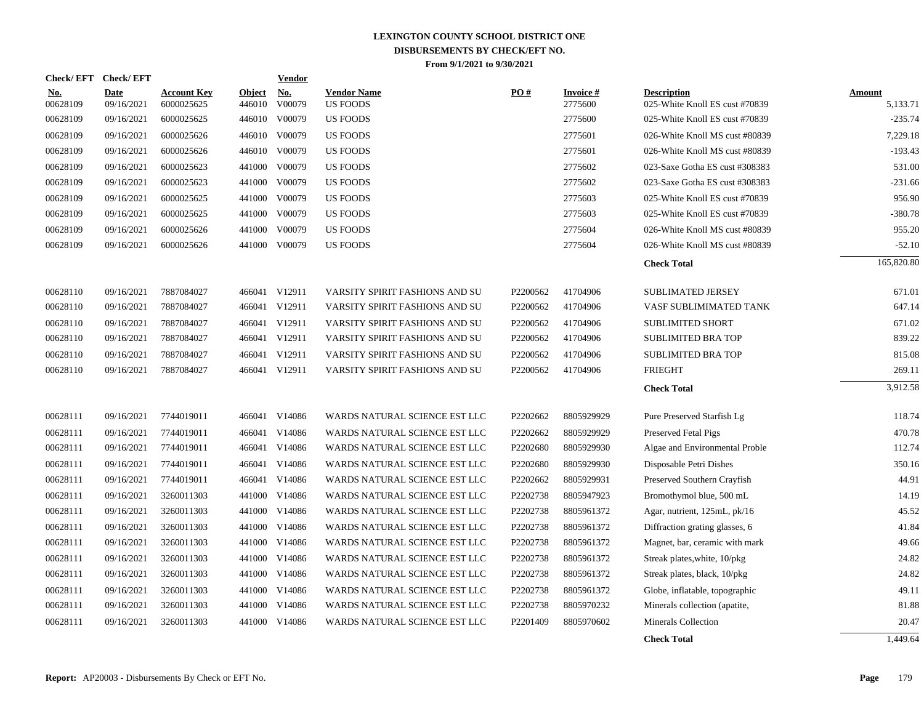| <b>Check/EFT</b>       | <b>Check/EFT</b>   |                                  |                         | <b>Vendor</b>                         |                                       |          |                               |                                                      |                           |
|------------------------|--------------------|----------------------------------|-------------------------|---------------------------------------|---------------------------------------|----------|-------------------------------|------------------------------------------------------|---------------------------|
| <u>No.</u><br>00628109 | Date<br>09/16/2021 | <b>Account Key</b><br>6000025625 | <u>Object</u><br>446010 | $\underline{\mathrm{No}}$ .<br>V00079 | <b>Vendor Name</b><br><b>US FOODS</b> | PO#      | <b>Invoice</b> $#$<br>2775600 | <b>Description</b><br>025-White Knoll ES cust #70839 | <b>Amount</b><br>5,133.71 |
| 00628109               | 09/16/2021         | 6000025625                       |                         | 446010 V00079                         | <b>US FOODS</b>                       |          | 2775600                       | 025-White Knoll ES cust #70839                       | $-235.74$                 |
| 00628109               | 09/16/2021         | 6000025626                       |                         | 446010 V00079                         | US FOODS                              |          | 2775601                       | 026-White Knoll MS cust #80839                       | 7,229.18                  |
| 00628109               | 09/16/2021         | 6000025626                       |                         | 446010 V00079                         | US FOODS                              |          | 2775601                       | 026-White Knoll MS cust #80839                       | $-193.43$                 |
| 00628109               | 09/16/2021         | 6000025623                       | 441000                  | V00079                                | <b>US FOODS</b>                       |          | 2775602                       | 023-Saxe Gotha ES cust #308383                       | 531.00                    |
| 00628109               | 09/16/2021         | 6000025623                       | 441000                  | V00079                                | <b>US FOODS</b>                       |          | 2775602                       | 023-Saxe Gotha ES cust #308383                       | $-231.66$                 |
| 00628109               | 09/16/2021         | 6000025625                       | 441000                  | V00079                                | US FOODS                              |          | 2775603                       | 025-White Knoll ES cust #70839                       | 956.90                    |
| 00628109               | 09/16/2021         | 6000025625                       |                         | 441000 V00079                         | <b>US FOODS</b>                       |          | 2775603                       | 025-White Knoll ES cust #70839                       | -380.78                   |
| 00628109               | 09/16/2021         | 6000025626                       | 441000                  | V00079                                | <b>US FOODS</b>                       |          | 2775604                       | 026-White Knoll MS cust #80839                       | 955.20                    |
| 00628109               | 09/16/2021         | 6000025626                       |                         | 441000 V00079                         | <b>US FOODS</b>                       |          | 2775604                       | 026-White Knoll MS cust #80839                       | $-52.10$                  |
|                        |                    |                                  |                         |                                       |                                       |          |                               | <b>Check Total</b>                                   | 165,820.80                |
| 00628110               | 09/16/2021         | 7887084027                       |                         | 466041 V12911                         | VARSITY SPIRIT FASHIONS AND SU        | P2200562 | 41704906                      | <b>SUBLIMATED JERSEY</b>                             | 671.01                    |
| 00628110               | 09/16/2021         | 7887084027                       |                         | 466041 V12911                         | VARSITY SPIRIT FASHIONS AND SU        | P2200562 | 41704906                      | VASF SUBLIMIMATED TANK                               | 647.14                    |
| 00628110               | 09/16/2021         | 7887084027                       |                         | 466041 V12911                         | VARSITY SPIRIT FASHIONS AND SU        | P2200562 | 41704906                      | <b>SUBLIMITED SHORT</b>                              | 671.02                    |
| 00628110               | 09/16/2021         | 7887084027                       | 466041                  | V12911                                | VARSITY SPIRIT FASHIONS AND SU        | P2200562 | 41704906                      | <b>SUBLIMITED BRA TOP</b>                            | 839.22                    |
| 00628110               | 09/16/2021         | 7887084027                       |                         | 466041 V12911                         | VARSITY SPIRIT FASHIONS AND SU        | P2200562 | 41704906                      | <b>SUBLIMITED BRA TOP</b>                            | 815.08                    |
| 00628110               | 09/16/2021         | 7887084027                       |                         | 466041 V12911                         | VARSITY SPIRIT FASHIONS AND SU        | P2200562 | 41704906                      | <b>FRIEGHT</b>                                       | 269.11                    |
|                        |                    |                                  |                         |                                       |                                       |          |                               | <b>Check Total</b>                                   | 3,912.58                  |
| 00628111               | 09/16/2021         | 7744019011                       |                         | 466041 V14086                         | WARDS NATURAL SCIENCE EST LLC         | P2202662 | 8805929929                    | Pure Preserved Starfish Lg                           | 118.74                    |
| 00628111               | 09/16/2021         | 7744019011                       |                         | 466041 V14086                         | WARDS NATURAL SCIENCE EST LLC         | P2202662 | 8805929929                    | Preserved Fetal Pigs                                 | 470.78                    |
| 00628111               | 09/16/2021         | 7744019011                       |                         | 466041 V14086                         | WARDS NATURAL SCIENCE EST LLC         | P2202680 | 8805929930                    | Algae and Environmental Proble                       | 112.74                    |
| 00628111               | 09/16/2021         | 7744019011                       |                         | 466041 V14086                         | WARDS NATURAL SCIENCE EST LLC         | P2202680 | 8805929930                    | Disposable Petri Dishes                              | 350.16                    |
| 00628111               | 09/16/2021         | 7744019011                       |                         | 466041 V14086                         | WARDS NATURAL SCIENCE EST LLC         | P2202662 | 8805929931                    | Preserved Southern Crayfish                          | 44.91                     |
| 00628111               | 09/16/2021         | 3260011303                       |                         | 441000 V14086                         | WARDS NATURAL SCIENCE EST LLC         | P2202738 | 8805947923                    | Bromothymol blue, 500 mL                             | 14.19                     |
| 00628111               | 09/16/2021         | 3260011303                       |                         | 441000 V14086                         | WARDS NATURAL SCIENCE EST LLC         | P2202738 | 8805961372                    | Agar, nutrient, 125mL, pk/16                         | 45.52                     |
| 00628111               | 09/16/2021         | 3260011303                       | 441000                  | V14086                                | WARDS NATURAL SCIENCE EST LLC         | P2202738 | 8805961372                    | Diffraction grating glasses, 6                       | 41.84                     |
| 00628111               | 09/16/2021         | 3260011303                       |                         | 441000 V14086                         | WARDS NATURAL SCIENCE EST LLC         | P2202738 | 8805961372                    | Magnet, bar, ceramic with mark                       | 49.66                     |
| 00628111               | 09/16/2021         | 3260011303                       | 441000                  | V14086                                | WARDS NATURAL SCIENCE EST LLC         | P2202738 | 8805961372                    | Streak plates, white, 10/pkg                         | 24.82                     |
| 00628111               | 09/16/2021         | 3260011303                       | 441000                  | V14086                                | WARDS NATURAL SCIENCE EST LLC         | P2202738 | 8805961372                    | Streak plates, black, 10/pkg                         | 24.82                     |
| 00628111               | 09/16/2021         | 3260011303                       | 441000                  | V14086                                | WARDS NATURAL SCIENCE EST LLC         | P2202738 | 8805961372                    | Globe, inflatable, topographic                       | 49.11                     |
| 00628111               | 09/16/2021         | 3260011303                       |                         | 441000 V14086                         | WARDS NATURAL SCIENCE EST LLC         | P2202738 | 8805970232                    | Minerals collection (apatite,                        | 81.88                     |
| 00628111               | 09/16/2021         | 3260011303                       | 441000                  | V14086                                | WARDS NATURAL SCIENCE EST LLC         | P2201409 | 8805970602                    | <b>Minerals Collection</b>                           | 20.47                     |
|                        |                    |                                  |                         |                                       |                                       |          |                               | <b>Check Total</b>                                   | 1,449.64                  |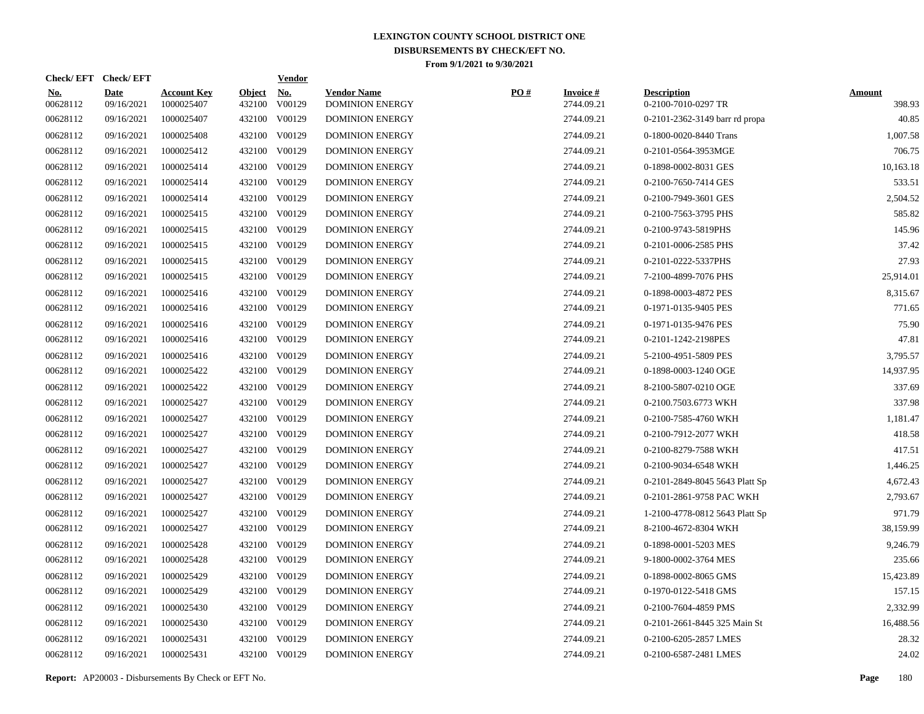| Check/EFT Check/EFT    |                           |                                  |                         | <b>Vendor</b>        |                                              |     |                               |                                           |                         |
|------------------------|---------------------------|----------------------------------|-------------------------|----------------------|----------------------------------------------|-----|-------------------------------|-------------------------------------------|-------------------------|
| <u>No.</u><br>00628112 | <b>Date</b><br>09/16/2021 | <b>Account Key</b><br>1000025407 | <b>Object</b><br>432100 | <u>No.</u><br>V00129 | <b>Vendor Name</b><br><b>DOMINION ENERGY</b> | PO# | <b>Invoice#</b><br>2744.09.21 | <b>Description</b><br>0-2100-7010-0297 TR | <b>Amount</b><br>398.93 |
| 00628112               | 09/16/2021                | 1000025407                       |                         | 432100 V00129        | <b>DOMINION ENERGY</b>                       |     | 2744.09.21                    | 0-2101-2362-3149 barr rd propa            | 40.85                   |
| 00628112               | 09/16/2021                | 1000025408                       |                         | 432100 V00129        | <b>DOMINION ENERGY</b>                       |     | 2744.09.21                    | 0-1800-0020-8440 Trans                    | 1,007.58                |
| 00628112               | 09/16/2021                | 1000025412                       |                         | 432100 V00129        | <b>DOMINION ENERGY</b>                       |     | 2744.09.21                    | 0-2101-0564-3953MGE                       | 706.75                  |
| 00628112               | 09/16/2021                | 1000025414                       |                         | 432100 V00129        | <b>DOMINION ENERGY</b>                       |     | 2744.09.21                    | 0-1898-0002-8031 GES                      | 10,163.18               |
| 00628112               | 09/16/2021                | 1000025414                       |                         | 432100 V00129        | <b>DOMINION ENERGY</b>                       |     | 2744.09.21                    | 0-2100-7650-7414 GES                      | 533.51                  |
| 00628112               | 09/16/2021                | 1000025414                       |                         | 432100 V00129        | <b>DOMINION ENERGY</b>                       |     | 2744.09.21                    | 0-2100-7949-3601 GES                      | 2,504.52                |
| 00628112               | 09/16/2021                | 1000025415                       |                         | 432100 V00129        | <b>DOMINION ENERGY</b>                       |     | 2744.09.21                    | 0-2100-7563-3795 PHS                      | 585.82                  |
| 00628112               | 09/16/2021                | 1000025415                       |                         | 432100 V00129        | <b>DOMINION ENERGY</b>                       |     | 2744.09.21                    | 0-2100-9743-5819PHS                       | 145.96                  |
| 00628112               | 09/16/2021                | 1000025415                       |                         | 432100 V00129        | <b>DOMINION ENERGY</b>                       |     | 2744.09.21                    | 0-2101-0006-2585 PHS                      | 37.42                   |
| 00628112               | 09/16/2021                | 1000025415                       |                         | 432100 V00129        | <b>DOMINION ENERGY</b>                       |     | 2744.09.21                    | 0-2101-0222-5337PHS                       | 27.93                   |
| 00628112               | 09/16/2021                | 1000025415                       |                         | 432100 V00129        | <b>DOMINION ENERGY</b>                       |     | 2744.09.21                    | 7-2100-4899-7076 PHS                      | 25,914.01               |
| 00628112               | 09/16/2021                | 1000025416                       |                         | 432100 V00129        | <b>DOMINION ENERGY</b>                       |     | 2744.09.21                    | 0-1898-0003-4872 PES                      | 8,315.67                |
| 00628112               | 09/16/2021                | 1000025416                       |                         | 432100 V00129        | <b>DOMINION ENERGY</b>                       |     | 2744.09.21                    | 0-1971-0135-9405 PES                      | 771.65                  |
| 00628112               | 09/16/2021                | 1000025416                       |                         | 432100 V00129        | <b>DOMINION ENERGY</b>                       |     | 2744.09.21                    | 0-1971-0135-9476 PES                      | 75.90                   |
| 00628112               | 09/16/2021                | 1000025416                       |                         | 432100 V00129        | <b>DOMINION ENERGY</b>                       |     | 2744.09.21                    | 0-2101-1242-2198PES                       | 47.81                   |
| 00628112               | 09/16/2021                | 1000025416                       |                         | 432100 V00129        | <b>DOMINION ENERGY</b>                       |     | 2744.09.21                    | 5-2100-4951-5809 PES                      | 3.795.57                |
| 00628112               | 09/16/2021                | 1000025422                       |                         | 432100 V00129        | <b>DOMINION ENERGY</b>                       |     | 2744.09.21                    | 0-1898-0003-1240 OGE                      | 14,937.95               |
| 00628112               | 09/16/2021                | 1000025422                       |                         | 432100 V00129        | <b>DOMINION ENERGY</b>                       |     | 2744.09.21                    | 8-2100-5807-0210 OGE                      | 337.69                  |
| 00628112               | 09/16/2021                | 1000025427                       |                         | 432100 V00129        | <b>DOMINION ENERGY</b>                       |     | 2744.09.21                    | 0-2100.7503.6773 WKH                      | 337.98                  |
| 00628112               | 09/16/2021                | 1000025427                       | 432100                  | V00129               | <b>DOMINION ENERGY</b>                       |     | 2744.09.21                    | 0-2100-7585-4760 WKH                      | 1,181.47                |
| 00628112               | 09/16/2021                | 1000025427                       |                         | 432100 V00129        | <b>DOMINION ENERGY</b>                       |     | 2744.09.21                    | 0-2100-7912-2077 WKH                      | 418.58                  |
| 00628112               | 09/16/2021                | 1000025427                       | 432100                  | V00129               | <b>DOMINION ENERGY</b>                       |     | 2744.09.21                    | 0-2100-8279-7588 WKH                      | 417.51                  |
| 00628112               | 09/16/2021                | 1000025427                       |                         | 432100 V00129        | <b>DOMINION ENERGY</b>                       |     | 2744.09.21                    | 0-2100-9034-6548 WKH                      | 1,446.25                |
| 00628112               | 09/16/2021                | 1000025427                       | 432100                  | V00129               | <b>DOMINION ENERGY</b>                       |     | 2744.09.21                    | 0-2101-2849-8045 5643 Platt Sp            | 4,672.43                |
| 00628112               | 09/16/2021                | 1000025427                       |                         | 432100 V00129        | <b>DOMINION ENERGY</b>                       |     | 2744.09.21                    | 0-2101-2861-9758 PAC WKH                  | 2,793.67                |
| 00628112               | 09/16/2021                | 1000025427                       | 432100                  | V00129               | <b>DOMINION ENERGY</b>                       |     | 2744.09.21                    | 1-2100-4778-0812 5643 Platt Sp            | 971.79                  |
| 00628112               | 09/16/2021                | 1000025427                       |                         | 432100 V00129        | <b>DOMINION ENERGY</b>                       |     | 2744.09.21                    | 8-2100-4672-8304 WKH                      | 38,159.99               |
| 00628112               | 09/16/2021                | 1000025428                       | 432100                  | V00129               | <b>DOMINION ENERGY</b>                       |     | 2744.09.21                    | 0-1898-0001-5203 MES                      | 9,246.79                |
| 00628112               | 09/16/2021                | 1000025428                       |                         | 432100 V00129        | <b>DOMINION ENERGY</b>                       |     | 2744.09.21                    | 9-1800-0002-3764 MES                      | 235.66                  |
| 00628112               | 09/16/2021                | 1000025429                       | 432100                  | V00129               | <b>DOMINION ENERGY</b>                       |     | 2744.09.21                    | 0-1898-0002-8065 GMS                      | 15,423.89               |
| 00628112               | 09/16/2021                | 1000025429                       |                         | 432100 V00129        | <b>DOMINION ENERGY</b>                       |     | 2744.09.21                    | 0-1970-0122-5418 GMS                      | 157.15                  |
| 00628112               | 09/16/2021                | 1000025430                       | 432100                  | V00129               | <b>DOMINION ENERGY</b>                       |     | 2744.09.21                    | 0-2100-7604-4859 PMS                      | 2,332.99                |
| 00628112               | 09/16/2021                | 1000025430                       |                         | 432100 V00129        | <b>DOMINION ENERGY</b>                       |     | 2744.09.21                    | 0-2101-2661-8445 325 Main St              | 16,488.56               |
| 00628112               | 09/16/2021                | 1000025431                       | 432100                  | V00129               | <b>DOMINION ENERGY</b>                       |     | 2744.09.21                    | 0-2100-6205-2857 LMES                     | 28.32                   |
| 00628112               | 09/16/2021                | 1000025431                       |                         | 432100 V00129        | <b>DOMINION ENERGY</b>                       |     | 2744.09.21                    | 0-2100-6587-2481 LMES                     | 24.02                   |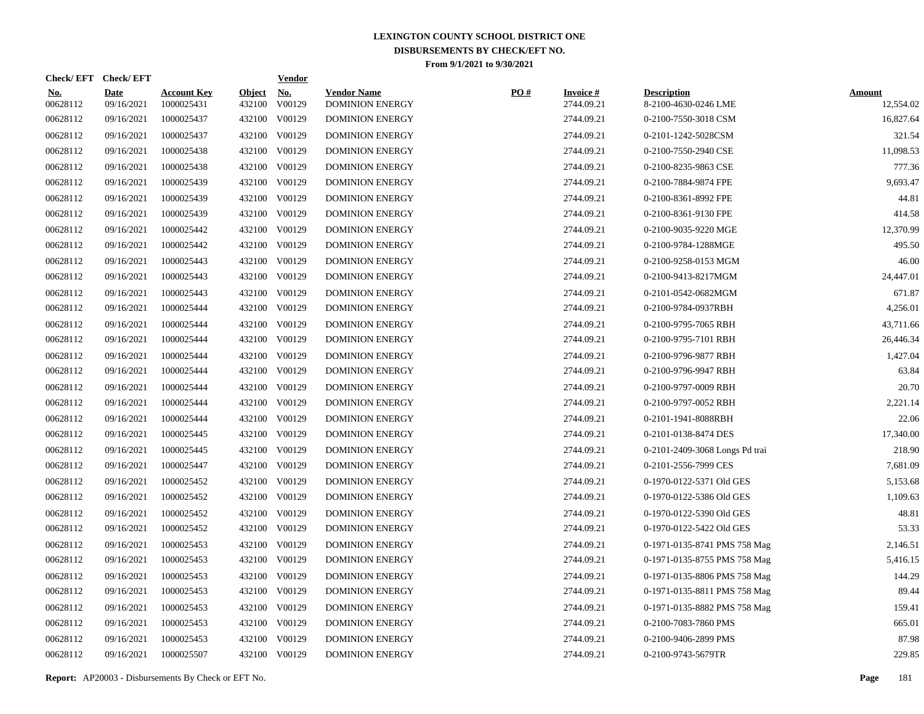| Check/EFT Check/EFT    |                           |                                  |                         | <u>Vendor</u>        |                                              |     |                               |                                            |                            |
|------------------------|---------------------------|----------------------------------|-------------------------|----------------------|----------------------------------------------|-----|-------------------------------|--------------------------------------------|----------------------------|
| <u>No.</u><br>00628112 | <b>Date</b><br>09/16/2021 | <b>Account Key</b><br>1000025431 | <b>Object</b><br>432100 | <u>No.</u><br>V00129 | <b>Vendor Name</b><br><b>DOMINION ENERGY</b> | PO# | <b>Invoice#</b><br>2744.09.21 | <b>Description</b><br>8-2100-4630-0246 LME | <b>Amount</b><br>12,554.02 |
| 00628112               | 09/16/2021                | 1000025437                       |                         | 432100 V00129        | <b>DOMINION ENERGY</b>                       |     | 2744.09.21                    | 0-2100-7550-3018 CSM                       | 16,827.64                  |
| 00628112               | 09/16/2021                | 1000025437                       |                         | 432100 V00129        | <b>DOMINION ENERGY</b>                       |     | 2744.09.21                    | 0-2101-1242-5028CSM                        | 321.54                     |
| 00628112               | 09/16/2021                | 1000025438                       |                         | 432100 V00129        | <b>DOMINION ENERGY</b>                       |     | 2744.09.21                    | 0-2100-7550-2940 CSE                       | 11,098.53                  |
| 00628112               | 09/16/2021                | 1000025438                       |                         | 432100 V00129        | <b>DOMINION ENERGY</b>                       |     | 2744.09.21                    | 0-2100-8235-9863 CSE                       | 777.36                     |
| 00628112               | 09/16/2021                | 1000025439                       |                         | 432100 V00129        | <b>DOMINION ENERGY</b>                       |     | 2744.09.21                    | 0-2100-7884-9874 FPE                       | 9,693.47                   |
| 00628112               | 09/16/2021                | 1000025439                       |                         | 432100 V00129        | <b>DOMINION ENERGY</b>                       |     | 2744.09.21                    | 0-2100-8361-8992 FPE                       | 44.81                      |
| 00628112               | 09/16/2021                | 1000025439                       |                         | 432100 V00129        | <b>DOMINION ENERGY</b>                       |     | 2744.09.21                    | 0-2100-8361-9130 FPE                       | 414.58                     |
| 00628112               | 09/16/2021                | 1000025442                       |                         | 432100 V00129        | <b>DOMINION ENERGY</b>                       |     | 2744.09.21                    | 0-2100-9035-9220 MGE                       | 12,370.99                  |
| 00628112               | 09/16/2021                | 1000025442                       |                         | 432100 V00129        | <b>DOMINION ENERGY</b>                       |     | 2744.09.21                    | 0-2100-9784-1288MGE                        | 495.50                     |
| 00628112               | 09/16/2021                | 1000025443                       |                         | 432100 V00129        | <b>DOMINION ENERGY</b>                       |     | 2744.09.21                    | 0-2100-9258-0153 MGM                       | 46.00                      |
| 00628112               | 09/16/2021                | 1000025443                       |                         | 432100 V00129        | <b>DOMINION ENERGY</b>                       |     | 2744.09.21                    | 0-2100-9413-8217MGM                        | 24,447.01                  |
| 00628112               | 09/16/2021                | 1000025443                       |                         | 432100 V00129        | <b>DOMINION ENERGY</b>                       |     | 2744.09.21                    | 0-2101-0542-0682MGM                        | 671.87                     |
| 00628112               | 09/16/2021                | 1000025444                       |                         | 432100 V00129        | <b>DOMINION ENERGY</b>                       |     | 2744.09.21                    | 0-2100-9784-0937RBH                        | 4,256.01                   |
| 00628112               | 09/16/2021                | 1000025444                       |                         | 432100 V00129        | <b>DOMINION ENERGY</b>                       |     | 2744.09.21                    | 0-2100-9795-7065 RBH                       | 43,711.66                  |
| 00628112               | 09/16/2021                | 1000025444                       |                         | 432100 V00129        | <b>DOMINION ENERGY</b>                       |     | 2744.09.21                    | 0-2100-9795-7101 RBH                       | 26,446.34                  |
| 00628112               | 09/16/2021                | 1000025444                       |                         | 432100 V00129        | <b>DOMINION ENERGY</b>                       |     | 2744.09.21                    | 0-2100-9796-9877 RBH                       | 1,427.04                   |
| 00628112               | 09/16/2021                | 1000025444                       |                         | 432100 V00129        | <b>DOMINION ENERGY</b>                       |     | 2744.09.21                    | 0-2100-9796-9947 RBH                       | 63.84                      |
| 00628112               | 09/16/2021                | 1000025444                       |                         | 432100 V00129        | <b>DOMINION ENERGY</b>                       |     | 2744.09.21                    | 0-2100-9797-0009 RBH                       | 20.70                      |
| 00628112               | 09/16/2021                | 1000025444                       |                         | 432100 V00129        | <b>DOMINION ENERGY</b>                       |     | 2744.09.21                    | 0-2100-9797-0052 RBH                       | 2,221.14                   |
| 00628112               | 09/16/2021                | 1000025444                       |                         | 432100 V00129        | <b>DOMINION ENERGY</b>                       |     | 2744.09.21                    | 0-2101-1941-8088RBH                        | 22.06                      |
| 00628112               | 09/16/2021                | 1000025445                       |                         | 432100 V00129        | <b>DOMINION ENERGY</b>                       |     | 2744.09.21                    | 0-2101-0138-8474 DES                       | 17,340.00                  |
| 00628112               | 09/16/2021                | 1000025445                       |                         | 432100 V00129        | <b>DOMINION ENERGY</b>                       |     | 2744.09.21                    | 0-2101-2409-3068 Longs Pd trai             | 218.90                     |
| 00628112               | 09/16/2021                | 1000025447                       |                         | 432100 V00129        | <b>DOMINION ENERGY</b>                       |     | 2744.09.21                    | 0-2101-2556-7999 CES                       | 7,681.09                   |
| 00628112               | 09/16/2021                | 1000025452                       |                         | 432100 V00129        | <b>DOMINION ENERGY</b>                       |     | 2744.09.21                    | 0-1970-0122-5371 Old GES                   | 5,153.68                   |
| 00628112               | 09/16/2021                | 1000025452                       |                         | 432100 V00129        | <b>DOMINION ENERGY</b>                       |     | 2744.09.21                    | 0-1970-0122-5386 Old GES                   | 1,109.63                   |
| 00628112               | 09/16/2021                | 1000025452                       |                         | 432100 V00129        | <b>DOMINION ENERGY</b>                       |     | 2744.09.21                    | 0-1970-0122-5390 Old GES                   | 48.81                      |
| 00628112               | 09/16/2021                | 1000025452                       |                         | 432100 V00129        | <b>DOMINION ENERGY</b>                       |     | 2744.09.21                    | 0-1970-0122-5422 Old GES                   | 53.33                      |
| 00628112               | 09/16/2021                | 1000025453                       |                         | 432100 V00129        | <b>DOMINION ENERGY</b>                       |     | 2744.09.21                    | 0-1971-0135-8741 PMS 758 Mag               | 2,146.51                   |
| 00628112               | 09/16/2021                | 1000025453                       |                         | 432100 V00129        | <b>DOMINION ENERGY</b>                       |     | 2744.09.21                    | 0-1971-0135-8755 PMS 758 Mag               | 5,416.15                   |
| 00628112               | 09/16/2021                | 1000025453                       |                         | 432100 V00129        | <b>DOMINION ENERGY</b>                       |     | 2744.09.21                    | 0-1971-0135-8806 PMS 758 Mag               | 144.29                     |
| 00628112               | 09/16/2021                | 1000025453                       |                         | 432100 V00129        | <b>DOMINION ENERGY</b>                       |     | 2744.09.21                    | 0-1971-0135-8811 PMS 758 Mag               | 89.44                      |
| 00628112               | 09/16/2021                | 1000025453                       |                         | 432100 V00129        | <b>DOMINION ENERGY</b>                       |     | 2744.09.21                    | 0-1971-0135-8882 PMS 758 Mag               | 159.41                     |
| 00628112               | 09/16/2021                | 1000025453                       |                         | 432100 V00129        | <b>DOMINION ENERGY</b>                       |     | 2744.09.21                    | 0-2100-7083-7860 PMS                       | 665.01                     |
| 00628112               | 09/16/2021                | 1000025453                       |                         | 432100 V00129        | <b>DOMINION ENERGY</b>                       |     | 2744.09.21                    | 0-2100-9406-2899 PMS                       | 87.98                      |
| 00628112               | 09/16/2021                | 1000025507                       |                         | 432100 V00129        | <b>DOMINION ENERGY</b>                       |     | 2744.09.21                    | 0-2100-9743-5679TR                         | 229.85                     |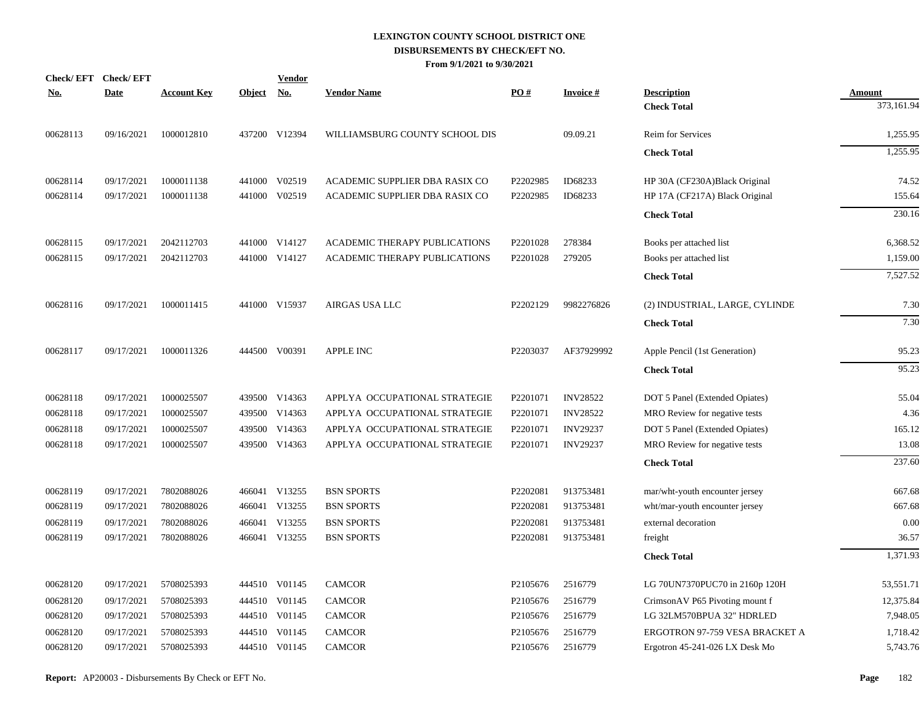| Check/EFT Check/EFT<br><b>No.</b> | <b>Date</b> | <b>Account Key</b> | Object No. | <b>Vendor</b> | <b>Vendor Name</b>             | PO#      | <b>Invoice#</b> | <b>Description</b>             | Amount     |
|-----------------------------------|-------------|--------------------|------------|---------------|--------------------------------|----------|-----------------|--------------------------------|------------|
|                                   |             |                    |            |               |                                |          |                 | <b>Check Total</b>             | 373,161.94 |
| 00628113                          | 09/16/2021  | 1000012810         |            | 437200 V12394 | WILLIAMSBURG COUNTY SCHOOL DIS |          | 09.09.21        | Reim for Services              | 1,255.95   |
|                                   |             |                    |            |               |                                |          |                 | <b>Check Total</b>             | 1,255.95   |
| 00628114                          | 09/17/2021  | 1000011138         | 441000     | V02519        | ACADEMIC SUPPLIER DBA RASIX CO | P2202985 | ID68233         | HP 30A (CF230A)Black Original  | 74.52      |
| 00628114                          | 09/17/2021  | 1000011138         | 441000     | V02519        | ACADEMIC SUPPLIER DBA RASIX CO | P2202985 | ID68233         | HP 17A (CF217A) Black Original | 155.64     |
|                                   |             |                    |            |               |                                |          |                 | <b>Check Total</b>             | 230.16     |
| 00628115                          | 09/17/2021  | 2042112703         |            | 441000 V14127 | ACADEMIC THERAPY PUBLICATIONS  | P2201028 | 278384          | Books per attached list        | 6,368.52   |
| 00628115                          | 09/17/2021  | 2042112703         |            | 441000 V14127 | ACADEMIC THERAPY PUBLICATIONS  | P2201028 | 279205          | Books per attached list        | 1,159.00   |
|                                   |             |                    |            |               |                                |          |                 | <b>Check Total</b>             | 7,527.52   |
| 00628116                          | 09/17/2021  | 1000011415         |            | 441000 V15937 | AIRGAS USA LLC                 | P2202129 | 9982276826      | (2) INDUSTRIAL, LARGE, CYLINDE | 7.30       |
|                                   |             |                    |            |               |                                |          |                 | <b>Check Total</b>             | 7.30       |
| 00628117                          | 09/17/2021  | 1000011326         |            | 444500 V00391 | <b>APPLE INC</b>               | P2203037 | AF37929992      | Apple Pencil (1st Generation)  | 95.23      |
|                                   |             |                    |            |               |                                |          |                 | <b>Check Total</b>             | 95.23      |
| 00628118                          | 09/17/2021  | 1000025507         |            | 439500 V14363 | APPLYA OCCUPATIONAL STRATEGIE  | P2201071 | <b>INV28522</b> | DOT 5 Panel (Extended Opiates) | 55.04      |
| 00628118                          | 09/17/2021  | 1000025507         |            | 439500 V14363 | APPLYA OCCUPATIONAL STRATEGIE  | P2201071 | <b>INV28522</b> | MRO Review for negative tests  | 4.36       |
| 00628118                          | 09/17/2021  | 1000025507         |            | 439500 V14363 | APPLYA OCCUPATIONAL STRATEGIE  | P2201071 | <b>INV29237</b> | DOT 5 Panel (Extended Opiates) | 165.12     |
| 00628118                          | 09/17/2021  | 1000025507         |            | 439500 V14363 | APPLYA OCCUPATIONAL STRATEGIE  | P2201071 | <b>INV29237</b> | MRO Review for negative tests  | 13.08      |
|                                   |             |                    |            |               |                                |          |                 | <b>Check Total</b>             | 237.60     |
| 00628119                          | 09/17/2021  | 7802088026         |            | 466041 V13255 | <b>BSN SPORTS</b>              | P2202081 | 913753481       | mar/wht-youth encounter jersey | 667.68     |
| 00628119                          | 09/17/2021  | 7802088026         |            | 466041 V13255 | <b>BSN SPORTS</b>              | P2202081 | 913753481       | wht/mar-youth encounter jersey | 667.68     |
| 00628119                          | 09/17/2021  | 7802088026         | 466041     | V13255        | <b>BSN SPORTS</b>              | P2202081 | 913753481       | external decoration            | 0.00       |
| 00628119                          | 09/17/2021  | 7802088026         |            | 466041 V13255 | <b>BSN SPORTS</b>              | P2202081 | 913753481       | freight                        | 36.57      |
|                                   |             |                    |            |               |                                |          |                 | <b>Check Total</b>             | 1,371.93   |
| 00628120                          | 09/17/2021  | 5708025393         |            | 444510 V01145 | <b>CAMCOR</b>                  | P2105676 | 2516779         | LG 70UN7370PUC70 in 2160p 120H | 53,551.71  |
| 00628120                          | 09/17/2021  | 5708025393         | 444510     | V01145        | <b>CAMCOR</b>                  | P2105676 | 2516779         | CrimsonAV P65 Pivoting mount f | 12,375.84  |
| 00628120                          | 09/17/2021  | 5708025393         |            | 444510 V01145 | <b>CAMCOR</b>                  | P2105676 | 2516779         | LG 32LM570BPUA 32" HDRLED      | 7,948.05   |
| 00628120                          | 09/17/2021  | 5708025393         | 444510     | V01145        | <b>CAMCOR</b>                  | P2105676 | 2516779         | ERGOTRON 97-759 VESA BRACKET A | 1,718.42   |
| 00628120                          | 09/17/2021  | 5708025393         |            | 444510 V01145 | <b>CAMCOR</b>                  | P2105676 | 2516779         | Ergotron 45-241-026 LX Desk Mo | 5,743.76   |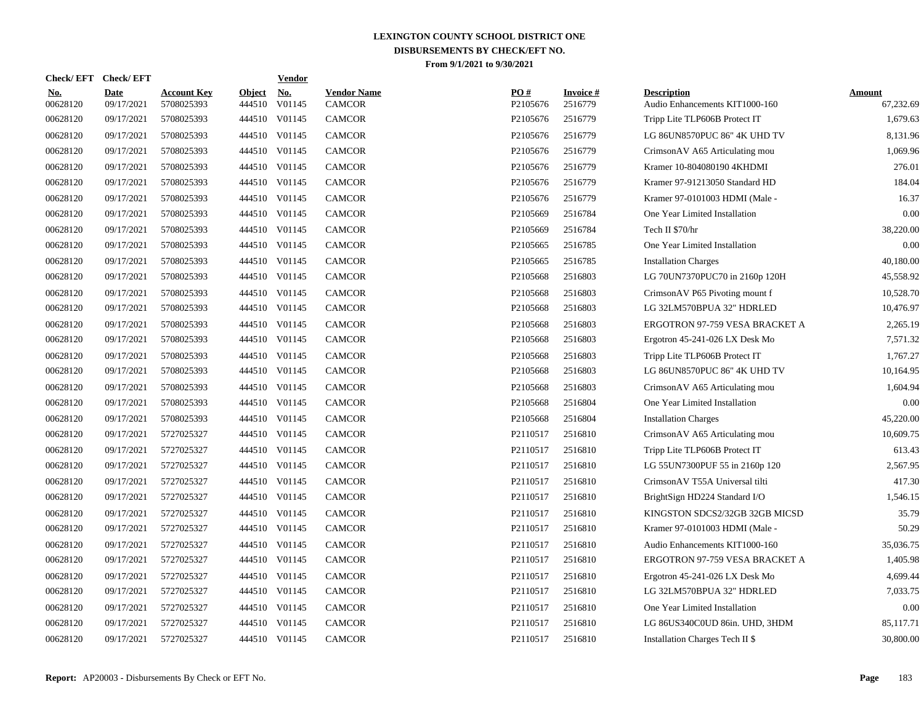| <b>Check/EFT</b>       | <b>Check/EFT</b>          |                                  |                         | <b>Vendor</b>        |                                     |                 |                            |                                                      |                            |
|------------------------|---------------------------|----------------------------------|-------------------------|----------------------|-------------------------------------|-----------------|----------------------------|------------------------------------------------------|----------------------------|
| <u>No.</u><br>00628120 | <b>Date</b><br>09/17/2021 | <b>Account Key</b><br>5708025393 | <b>Object</b><br>444510 | <u>No.</u><br>V01145 | <b>Vendor Name</b><br><b>CAMCOR</b> | PO#<br>P2105676 | <b>Invoice#</b><br>2516779 | <b>Description</b><br>Audio Enhancements KIT1000-160 | <b>Amount</b><br>67,232.69 |
| 00628120               | 09/17/2021                | 5708025393                       | 444510                  | V01145               | <b>CAMCOR</b>                       | P2105676        | 2516779                    | Tripp Lite TLP606B Protect IT                        | 1,679.63                   |
| 00628120               | 09/17/2021                | 5708025393                       |                         | 444510 V01145        | <b>CAMCOR</b>                       | P2105676        | 2516779                    | LG 86UN8570PUC 86" 4K UHD TV                         | 8,131.96                   |
| 00628120               | 09/17/2021                | 5708025393                       |                         | 444510 V01145        | <b>CAMCOR</b>                       | P2105676        | 2516779                    | CrimsonAV A65 Articulating mou                       | 1.069.96                   |
| 00628120               | 09/17/2021                | 5708025393                       |                         | 444510 V01145        | <b>CAMCOR</b>                       | P2105676        | 2516779                    | Kramer 10-804080190 4KHDMI                           | 276.01                     |
| 00628120               | 09/17/2021                | 5708025393                       |                         | 444510 V01145        | <b>CAMCOR</b>                       | P2105676        | 2516779                    | Kramer 97-91213050 Standard HD                       | 184.04                     |
| 00628120               | 09/17/2021                | 5708025393                       |                         | 444510 V01145        | <b>CAMCOR</b>                       | P2105676        | 2516779                    | Kramer 97-0101003 HDMI (Male -                       | 16.37                      |
| 00628120               | 09/17/2021                | 5708025393                       |                         | 444510 V01145        | <b>CAMCOR</b>                       | P2105669        | 2516784                    | One Year Limited Installation                        | 0.00                       |
| 00628120               | 09/17/2021                | 5708025393                       |                         | 444510 V01145        | <b>CAMCOR</b>                       | P2105669        | 2516784                    | Tech II \$70/hr                                      | 38,220.00                  |
| 00628120               | 09/17/2021                | 5708025393                       |                         | 444510 V01145        | <b>CAMCOR</b>                       | P2105665        | 2516785                    | One Year Limited Installation                        | 0.00                       |
| 00628120               | 09/17/2021                | 5708025393                       |                         | 444510 V01145        | <b>CAMCOR</b>                       | P2105665        | 2516785                    | <b>Installation Charges</b>                          | 40,180.00                  |
| 00628120               | 09/17/2021                | 5708025393                       |                         | 444510 V01145        | <b>CAMCOR</b>                       | P2105668        | 2516803                    | LG 70UN7370PUC70 in 2160p 120H                       | 45,558.92                  |
| 00628120               | 09/17/2021                | 5708025393                       |                         | 444510 V01145        | <b>CAMCOR</b>                       | P2105668        | 2516803                    | CrimsonAV P65 Pivoting mount f                       | 10,528.70                  |
| 00628120               | 09/17/2021                | 5708025393                       |                         | 444510 V01145        | <b>CAMCOR</b>                       | P2105668        | 2516803                    | LG 32LM570BPUA 32" HDRLED                            | 10,476.97                  |
| 00628120               | 09/17/2021                | 5708025393                       |                         | 444510 V01145        | <b>CAMCOR</b>                       | P2105668        | 2516803                    | <b>ERGOTRON 97-759 VESA BRACKET A</b>                | 2,265.19                   |
| 00628120               | 09/17/2021                | 5708025393                       |                         | 444510 V01145        | <b>CAMCOR</b>                       | P2105668        | 2516803                    | Ergotron 45-241-026 LX Desk Mo                       | 7,571.32                   |
| 00628120               | 09/17/2021                | 5708025393                       |                         | 444510 V01145        | <b>CAMCOR</b>                       | P2105668        | 2516803                    | Tripp Lite TLP606B Protect IT                        | 1,767.27                   |
| 00628120               | 09/17/2021                | 5708025393                       |                         | 444510 V01145        | <b>CAMCOR</b>                       | P2105668        | 2516803                    | LG 86UN8570PUC 86" 4K UHD TV                         | 10,164.95                  |
| 00628120               | 09/17/2021                | 5708025393                       |                         | 444510 V01145        | <b>CAMCOR</b>                       | P2105668        | 2516803                    | CrimsonAV A65 Articulating mou                       | 1,604.94                   |
| 00628120               | 09/17/2021                | 5708025393                       |                         | 444510 V01145        | <b>CAMCOR</b>                       | P2105668        | 2516804                    | One Year Limited Installation                        | 0.00                       |
| 00628120               | 09/17/2021                | 5708025393                       |                         | 444510 V01145        | <b>CAMCOR</b>                       | P2105668        | 2516804                    | <b>Installation Charges</b>                          | 45,220.00                  |
| 00628120               | 09/17/2021                | 5727025327                       |                         | 444510 V01145        | <b>CAMCOR</b>                       | P2110517        | 2516810                    | CrimsonAV A65 Articulating mou                       | 10,609.75                  |
| 00628120               | 09/17/2021                | 5727025327                       |                         | 444510 V01145        | <b>CAMCOR</b>                       | P2110517        | 2516810                    | Tripp Lite TLP606B Protect IT                        | 613.43                     |
| 00628120               | 09/17/2021                | 5727025327                       |                         | 444510 V01145        | <b>CAMCOR</b>                       | P2110517        | 2516810                    | LG 55UN7300PUF 55 in 2160p 120                       | 2,567.95                   |
| 00628120               | 09/17/2021                | 5727025327                       |                         | 444510 V01145        | <b>CAMCOR</b>                       | P2110517        | 2516810                    | CrimsonAV T55A Universal tilti                       | 417.30                     |
| 00628120               | 09/17/2021                | 5727025327                       |                         | 444510 V01145        | <b>CAMCOR</b>                       | P2110517        | 2516810                    | BrightSign HD224 Standard I/O                        | 1.546.15                   |
| 00628120               | 09/17/2021                | 5727025327                       |                         | 444510 V01145        | <b>CAMCOR</b>                       | P2110517        | 2516810                    | KINGSTON SDCS2/32GB 32GB MICSD                       | 35.79                      |
| 00628120               | 09/17/2021                | 5727025327                       |                         | 444510 V01145        | <b>CAMCOR</b>                       | P2110517        | 2516810                    | Kramer 97-0101003 HDMI (Male -                       | 50.29                      |
| 00628120               | 09/17/2021                | 5727025327                       |                         | 444510 V01145        | <b>CAMCOR</b>                       | P2110517        | 2516810                    | Audio Enhancements KIT1000-160                       | 35,036.75                  |
| 00628120               | 09/17/2021                | 5727025327                       |                         | 444510 V01145        | <b>CAMCOR</b>                       | P2110517        | 2516810                    | ERGOTRON 97-759 VESA BRACKET A                       | 1,405.98                   |
| 00628120               | 09/17/2021                | 5727025327                       |                         | 444510 V01145        | <b>CAMCOR</b>                       | P2110517        | 2516810                    | Ergotron 45-241-026 LX Desk Mo                       | 4,699.44                   |
| 00628120               | 09/17/2021                | 5727025327                       |                         | 444510 V01145        | <b>CAMCOR</b>                       | P2110517        | 2516810                    | LG 32LM570BPUA 32" HDRLED                            | 7,033.75                   |
| 00628120               | 09/17/2021                | 5727025327                       |                         | 444510 V01145        | <b>CAMCOR</b>                       | P2110517        | 2516810                    | One Year Limited Installation                        | 0.00                       |
| 00628120               | 09/17/2021                | 5727025327                       |                         | 444510 V01145        | <b>CAMCOR</b>                       | P2110517        | 2516810                    | LG 86US340C0UD 86in. UHD, 3HDM                       | 85,117.71                  |
| 00628120               | 09/17/2021                | 5727025327                       |                         | 444510 V01145        | <b>CAMCOR</b>                       | P2110517        | 2516810                    | Installation Charges Tech II \$                      | 30,800.00                  |
|                        |                           |                                  |                         |                      |                                     |                 |                            |                                                      |                            |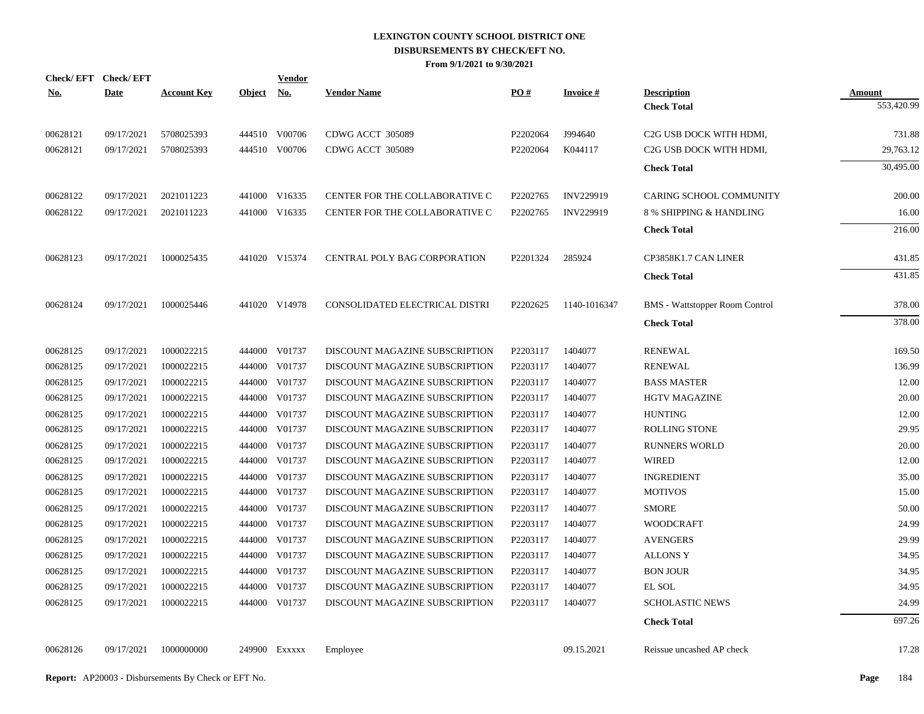| Check/EFT Check/EFT |             |                    |               | <u>Vendor</u> |                                |          |                 |                                       |               |
|---------------------|-------------|--------------------|---------------|---------------|--------------------------------|----------|-----------------|---------------------------------------|---------------|
| <u>No.</u>          | <b>Date</b> | <b>Account Key</b> | <b>Object</b> | <u>No.</u>    | <b>Vendor Name</b>             | PO#      | <b>Invoice#</b> | <b>Description</b>                    | <b>Amount</b> |
|                     |             |                    |               |               |                                |          |                 | <b>Check Total</b>                    | 553,420.99    |
| 00628121            | 09/17/2021  | 5708025393         |               | 444510 V00706 | CDWG ACCT 305089               | P2202064 | J994640         | C2G USB DOCK WITH HDMI,               | 731.88        |
| 00628121            | 09/17/2021  | 5708025393         |               | 444510 V00706 | CDWG ACCT 305089               | P2202064 | K044117         | C <sub>2</sub> G USB DOCK WITH HDMI,  | 29,763.12     |
|                     |             |                    |               |               |                                |          |                 | <b>Check Total</b>                    | 30,495.00     |
| 00628122            | 09/17/2021  | 2021011223         |               | 441000 V16335 | CENTER FOR THE COLLABORATIVE C | P2202765 | INV229919       | CARING SCHOOL COMMUNITY               | 200.00        |
| 00628122            | 09/17/2021  | 2021011223         |               | 441000 V16335 | CENTER FOR THE COLLABORATIVE C | P2202765 | INV229919       | 8 % SHIPPING & HANDLING               | 16.00         |
|                     |             |                    |               |               |                                |          |                 | <b>Check Total</b>                    | 216.00        |
| 00628123            | 09/17/2021  | 1000025435         |               | 441020 V15374 | CENTRAL POLY BAG CORPORATION   | P2201324 | 285924          | CP3858K1.7 CAN LINER                  | 431.85        |
|                     |             |                    |               |               |                                |          |                 | <b>Check Total</b>                    | 431.85        |
| 00628124            | 09/17/2021  | 1000025446         |               | 441020 V14978 | CONSOLIDATED ELECTRICAL DISTRI | P2202625 | 1140-1016347    | <b>BMS</b> - Wattstopper Room Control | 378.00        |
|                     |             |                    |               |               |                                |          |                 | <b>Check Total</b>                    | 378.00        |
| 00628125            | 09/17/2021  | 1000022215         |               | 444000 V01737 | DISCOUNT MAGAZINE SUBSCRIPTION | P2203117 | 1404077         | <b>RENEWAL</b>                        | 169.50        |
| 00628125            | 09/17/2021  | 1000022215         |               | 444000 V01737 | DISCOUNT MAGAZINE SUBSCRIPTION | P2203117 | 1404077         | <b>RENEWAL</b>                        | 136.99        |
| 00628125            | 09/17/2021  | 1000022215         |               | 444000 V01737 | DISCOUNT MAGAZINE SUBSCRIPTION | P2203117 | 1404077         | <b>BASS MASTER</b>                    | 12.00         |
| 00628125            | 09/17/2021  | 1000022215         |               | 444000 V01737 | DISCOUNT MAGAZINE SUBSCRIPTION | P2203117 | 1404077         | <b>HGTV MAGAZINE</b>                  | 20.00         |
| 00628125            | 09/17/2021  | 1000022215         |               | 444000 V01737 | DISCOUNT MAGAZINE SUBSCRIPTION | P2203117 | 1404077         | <b>HUNTING</b>                        | 12.00         |
| 00628125            | 09/17/2021  | 1000022215         |               | 444000 V01737 | DISCOUNT MAGAZINE SUBSCRIPTION | P2203117 | 1404077         | <b>ROLLING STONE</b>                  | 29.95         |
| 00628125            | 09/17/2021  | 1000022215         |               | 444000 V01737 | DISCOUNT MAGAZINE SUBSCRIPTION | P2203117 | 1404077         | <b>RUNNERS WORLD</b>                  | 20.00         |
| 00628125            | 09/17/2021  | 1000022215         |               | 444000 V01737 | DISCOUNT MAGAZINE SUBSCRIPTION | P2203117 | 1404077         | <b>WIRED</b>                          | 12.00         |
| 00628125            | 09/17/2021  | 1000022215         |               | 444000 V01737 | DISCOUNT MAGAZINE SUBSCRIPTION | P2203117 | 1404077         | <b>INGREDIENT</b>                     | 35.00         |
| 00628125            | 09/17/2021  | 1000022215         |               | 444000 V01737 | DISCOUNT MAGAZINE SUBSCRIPTION | P2203117 | 1404077         | <b>MOTIVOS</b>                        | 15.00         |
| 00628125            | 09/17/2021  | 1000022215         |               | 444000 V01737 | DISCOUNT MAGAZINE SUBSCRIPTION | P2203117 | 1404077         | <b>SMORE</b>                          | 50.00         |
| 00628125            | 09/17/2021  | 1000022215         |               | 444000 V01737 | DISCOUNT MAGAZINE SUBSCRIPTION | P2203117 | 1404077         | <b>WOODCRAFT</b>                      | 24.99         |
| 00628125            | 09/17/2021  | 1000022215         |               | 444000 V01737 | DISCOUNT MAGAZINE SUBSCRIPTION | P2203117 | 1404077         | <b>AVENGERS</b>                       | 29.99         |
| 00628125            | 09/17/2021  | 1000022215         |               | 444000 V01737 | DISCOUNT MAGAZINE SUBSCRIPTION | P2203117 | 1404077         | ALLONS Y                              | 34.95         |
| 00628125            | 09/17/2021  | 1000022215         |               | 444000 V01737 | DISCOUNT MAGAZINE SUBSCRIPTION | P2203117 | 1404077         | <b>BON JOUR</b>                       | 34.95         |
| 00628125            | 09/17/2021  | 1000022215         |               | 444000 V01737 | DISCOUNT MAGAZINE SUBSCRIPTION | P2203117 | 1404077         | EL SOL                                | 34.95         |
| 00628125            | 09/17/2021  | 1000022215         |               | 444000 V01737 | DISCOUNT MAGAZINE SUBSCRIPTION | P2203117 | 1404077         | <b>SCHOLASTIC NEWS</b>                | 24.99         |
|                     |             |                    |               |               |                                |          |                 | <b>Check Total</b>                    | 697.26        |
| 00628126            | 09/17/2021  | 1000000000         |               | 249900 Exxxxx | Employee                       |          | 09.15.2021      | Reissue uncashed AP check             | 17.28         |
|                     |             |                    |               |               |                                |          |                 |                                       |               |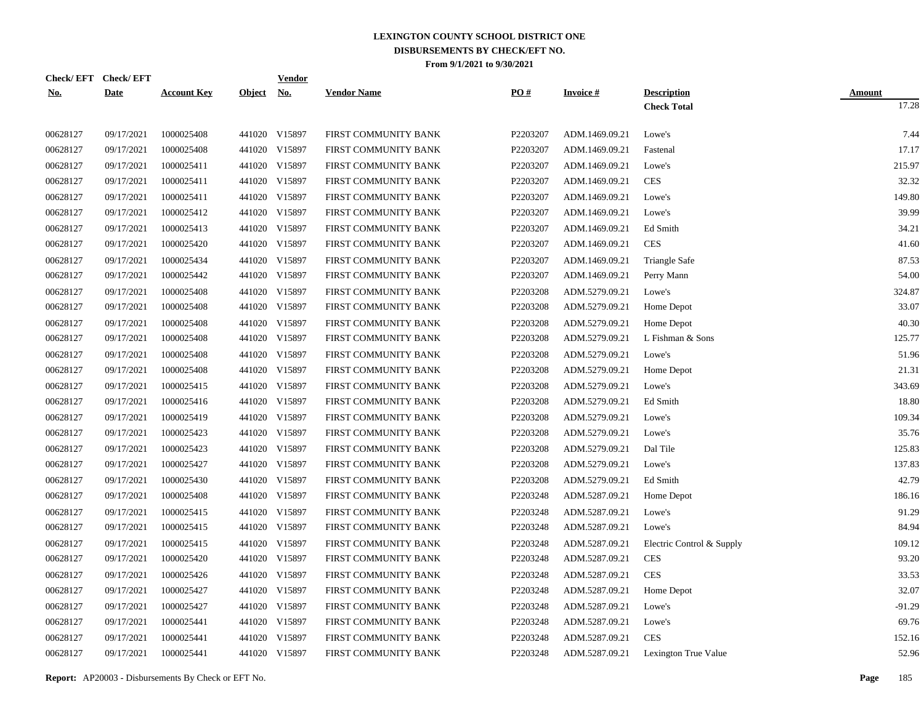| Check/EFT Check/EFT |             |                    |            | <b>Vendor</b> |                      |          |                 |                           |                        |
|---------------------|-------------|--------------------|------------|---------------|----------------------|----------|-----------------|---------------------------|------------------------|
| <u>No.</u>          | <b>Date</b> | <b>Account Key</b> | Object No. |               | <b>Vendor Name</b>   | PO#      | <b>Invoice#</b> | <b>Description</b>        | <b>Amount</b><br>17.28 |
|                     |             |                    |            |               |                      |          |                 | <b>Check Total</b>        |                        |
| 00628127            | 09/17/2021  | 1000025408         |            | 441020 V15897 | FIRST COMMUNITY BANK | P2203207 | ADM.1469.09.21  | Lowe's                    | 7.44                   |
| 00628127            | 09/17/2021  | 1000025408         |            | 441020 V15897 | FIRST COMMUNITY BANK | P2203207 | ADM.1469.09.21  | Fastenal                  | 17.17                  |
| 00628127            | 09/17/2021  | 1000025411         |            | 441020 V15897 | FIRST COMMUNITY BANK | P2203207 | ADM.1469.09.21  | Lowe's                    | 215.97                 |
| 00628127            | 09/17/2021  | 1000025411         |            | 441020 V15897 | FIRST COMMUNITY BANK | P2203207 | ADM.1469.09.21  | <b>CES</b>                | 32.32                  |
| 00628127            | 09/17/2021  | 1000025411         |            | 441020 V15897 | FIRST COMMUNITY BANK | P2203207 | ADM.1469.09.21  | Lowe's                    | 149.80                 |
| 00628127            | 09/17/2021  | 1000025412         |            | 441020 V15897 | FIRST COMMUNITY BANK | P2203207 | ADM.1469.09.21  | Lowe's                    | 39.99                  |
| 00628127            | 09/17/2021  | 1000025413         |            | 441020 V15897 | FIRST COMMUNITY BANK | P2203207 | ADM.1469.09.21  | Ed Smith                  | 34.21                  |
| 00628127            | 09/17/2021  | 1000025420         |            | 441020 V15897 | FIRST COMMUNITY BANK | P2203207 | ADM.1469.09.21  | <b>CES</b>                | 41.60                  |
| 00628127            | 09/17/2021  | 1000025434         |            | 441020 V15897 | FIRST COMMUNITY BANK | P2203207 | ADM.1469.09.21  | Triangle Safe             | 87.53                  |
| 00628127            | 09/17/2021  | 1000025442         |            | 441020 V15897 | FIRST COMMUNITY BANK | P2203207 | ADM.1469.09.21  | Perry Mann                | 54.00                  |
| 00628127            | 09/17/2021  | 1000025408         |            | 441020 V15897 | FIRST COMMUNITY BANK | P2203208 | ADM.5279.09.21  | Lowe's                    | 324.87                 |
| 00628127            | 09/17/2021  | 1000025408         |            | 441020 V15897 | FIRST COMMUNITY BANK | P2203208 | ADM.5279.09.21  | Home Depot                | 33.07                  |
| 00628127            | 09/17/2021  | 1000025408         |            | 441020 V15897 | FIRST COMMUNITY BANK | P2203208 | ADM.5279.09.21  | Home Depot                | 40.30                  |
| 00628127            | 09/17/2021  | 1000025408         |            | 441020 V15897 | FIRST COMMUNITY BANK | P2203208 | ADM.5279.09.21  | L Fishman & Sons          | 125.77                 |
| 00628127            | 09/17/2021  | 1000025408         |            | 441020 V15897 | FIRST COMMUNITY BANK | P2203208 | ADM.5279.09.21  | Lowe's                    | 51.96                  |
| 00628127            | 09/17/2021  | 1000025408         |            | 441020 V15897 | FIRST COMMUNITY BANK | P2203208 | ADM.5279.09.21  | Home Depot                | 21.31                  |
| 00628127            | 09/17/2021  | 1000025415         |            | 441020 V15897 | FIRST COMMUNITY BANK | P2203208 | ADM.5279.09.21  | Lowe's                    | 343.69                 |
| 00628127            | 09/17/2021  | 1000025416         |            | 441020 V15897 | FIRST COMMUNITY BANK | P2203208 | ADM.5279.09.21  | Ed Smith                  | 18.80                  |
| 00628127            | 09/17/2021  | 1000025419         |            | 441020 V15897 | FIRST COMMUNITY BANK | P2203208 | ADM.5279.09.21  | Lowe's                    | 109.34                 |
| 00628127            | 09/17/2021  | 1000025423         |            | 441020 V15897 | FIRST COMMUNITY BANK | P2203208 | ADM.5279.09.21  | Lowe's                    | 35.76                  |
| 00628127            | 09/17/2021  | 1000025423         |            | 441020 V15897 | FIRST COMMUNITY BANK | P2203208 | ADM.5279.09.21  | Dal Tile                  | 125.83                 |
| 00628127            | 09/17/2021  | 1000025427         |            | 441020 V15897 | FIRST COMMUNITY BANK | P2203208 | ADM.5279.09.21  | Lowe's                    | 137.83                 |
| 00628127            | 09/17/2021  | 1000025430         |            | 441020 V15897 | FIRST COMMUNITY BANK | P2203208 | ADM.5279.09.21  | Ed Smith                  | 42.79                  |
| 00628127            | 09/17/2021  | 1000025408         |            | 441020 V15897 | FIRST COMMUNITY BANK | P2203248 | ADM.5287.09.21  | Home Depot                | 186.16                 |
| 00628127            | 09/17/2021  | 1000025415         |            | 441020 V15897 | FIRST COMMUNITY BANK | P2203248 | ADM.5287.09.21  | Lowe's                    | 91.29                  |
| 00628127            | 09/17/2021  | 1000025415         |            | 441020 V15897 | FIRST COMMUNITY BANK | P2203248 | ADM.5287.09.21  | Lowe's                    | 84.94                  |
| 00628127            | 09/17/2021  | 1000025415         |            | 441020 V15897 | FIRST COMMUNITY BANK | P2203248 | ADM.5287.09.21  | Electric Control & Supply | 109.12                 |
| 00628127            | 09/17/2021  | 1000025420         |            | 441020 V15897 | FIRST COMMUNITY BANK | P2203248 | ADM.5287.09.21  | <b>CES</b>                | 93.20                  |
| 00628127            | 09/17/2021  | 1000025426         |            | 441020 V15897 | FIRST COMMUNITY BANK | P2203248 | ADM.5287.09.21  | <b>CES</b>                | 33.53                  |
| 00628127            | 09/17/2021  | 1000025427         |            | 441020 V15897 | FIRST COMMUNITY BANK | P2203248 | ADM.5287.09.21  | Home Depot                | 32.07                  |
| 00628127            | 09/17/2021  | 1000025427         |            | 441020 V15897 | FIRST COMMUNITY BANK | P2203248 | ADM.5287.09.21  | Lowe's                    | $-91.29$               |
| 00628127            | 09/17/2021  | 1000025441         |            | 441020 V15897 | FIRST COMMUNITY BANK | P2203248 | ADM.5287.09.21  | Lowe's                    | 69.76                  |
| 00628127            | 09/17/2021  | 1000025441         |            | 441020 V15897 | FIRST COMMUNITY BANK | P2203248 | ADM.5287.09.21  | <b>CES</b>                | 152.16                 |
| 00628127            | 09/17/2021  | 1000025441         |            | 441020 V15897 | FIRST COMMUNITY BANK | P2203248 | ADM.5287.09.21  | Lexington True Value      | 52.96                  |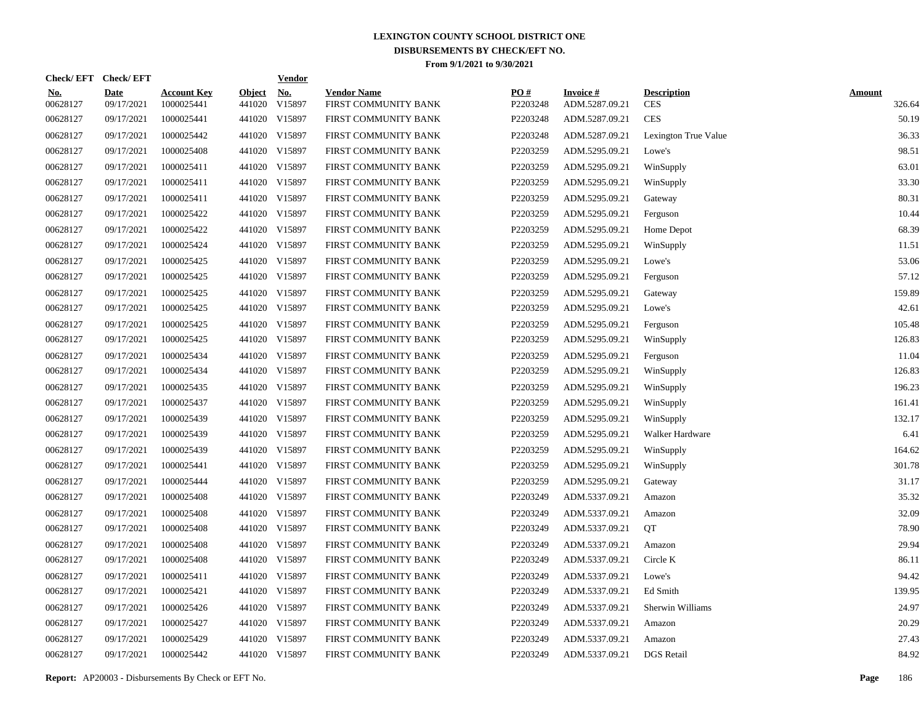|                        | Check/EFT Check/EFT       |                                  |                         | <u>Vendor</u>        |                                            |                 |                                   |                                  |                         |
|------------------------|---------------------------|----------------------------------|-------------------------|----------------------|--------------------------------------------|-----------------|-----------------------------------|----------------------------------|-------------------------|
| <u>No.</u><br>00628127 | <b>Date</b><br>09/17/2021 | <b>Account Key</b><br>1000025441 | <b>Object</b><br>441020 | <u>No.</u><br>V15897 | <b>Vendor Name</b><br>FIRST COMMUNITY BANK | PQ#<br>P2203248 | <b>Invoice#</b><br>ADM.5287.09.21 | <b>Description</b><br><b>CES</b> | <b>Amount</b><br>326.64 |
| 00628127               | 09/17/2021                | 1000025441                       |                         | 441020 V15897        | FIRST COMMUNITY BANK                       | P2203248        | ADM.5287.09.21                    | <b>CES</b>                       | 50.19                   |
| 00628127               | 09/17/2021                | 1000025442                       |                         | 441020 V15897        | FIRST COMMUNITY BANK                       | P2203248        | ADM.5287.09.21                    | Lexington True Value             | 36.33                   |
| 00628127               | 09/17/2021                | 1000025408                       |                         | 441020 V15897        | FIRST COMMUNITY BANK                       | P2203259        | ADM.5295.09.21                    | Lowe's                           | 98.51                   |
| 00628127               | 09/17/2021                | 1000025411                       |                         | 441020 V15897        | FIRST COMMUNITY BANK                       | P2203259        | ADM.5295.09.21                    | WinSupply                        | 63.01                   |
| 00628127               | 09/17/2021                | 1000025411                       |                         | 441020 V15897        | FIRST COMMUNITY BANK                       | P2203259        | ADM.5295.09.21                    | WinSupply                        | 33.30                   |
| 00628127               | 09/17/2021                | 1000025411                       |                         | 441020 V15897        | FIRST COMMUNITY BANK                       | P2203259        | ADM.5295.09.21                    | Gateway                          | 80.31                   |
| 00628127               | 09/17/2021                | 1000025422                       |                         | 441020 V15897        | FIRST COMMUNITY BANK                       | P2203259        | ADM.5295.09.21                    | Ferguson                         | 10.44                   |
| 00628127               | 09/17/2021                | 1000025422                       |                         | 441020 V15897        | FIRST COMMUNITY BANK                       | P2203259        | ADM.5295.09.21                    | Home Depot                       | 68.39                   |
| 00628127               | 09/17/2021                | 1000025424                       |                         | 441020 V15897        | FIRST COMMUNITY BANK                       | P2203259        | ADM.5295.09.21                    | WinSupply                        | 11.51                   |
| 00628127               | 09/17/2021                | 1000025425                       |                         | 441020 V15897        | FIRST COMMUNITY BANK                       | P2203259        | ADM.5295.09.21                    | Lowe's                           | 53.06                   |
| 00628127               | 09/17/2021                | 1000025425                       |                         | 441020 V15897        | FIRST COMMUNITY BANK                       | P2203259        | ADM.5295.09.21                    | Ferguson                         | 57.12                   |
| 00628127               | 09/17/2021                | 1000025425                       |                         | 441020 V15897        | FIRST COMMUNITY BANK                       | P2203259        | ADM.5295.09.21                    | Gateway                          | 159.89                  |
| 00628127               | 09/17/2021                | 1000025425                       |                         | 441020 V15897        | FIRST COMMUNITY BANK                       | P2203259        | ADM.5295.09.21                    | Lowe's                           | 42.61                   |
| 00628127               | 09/17/2021                | 1000025425                       |                         | 441020 V15897        | FIRST COMMUNITY BANK                       | P2203259        | ADM.5295.09.21                    | Ferguson                         | 105.48                  |
| 00628127               | 09/17/2021                | 1000025425                       |                         | 441020 V15897        | FIRST COMMUNITY BANK                       | P2203259        | ADM.5295.09.21                    | WinSupply                        | 126.83                  |
| 00628127               | 09/17/2021                | 1000025434                       |                         | 441020 V15897        | FIRST COMMUNITY BANK                       | P2203259        | ADM.5295.09.21                    | Ferguson                         | 11.04                   |
| 00628127               | 09/17/2021                | 1000025434                       |                         | 441020 V15897        | FIRST COMMUNITY BANK                       | P2203259        | ADM.5295.09.21                    | WinSupply                        | 126.83                  |
| 00628127               | 09/17/2021                | 1000025435                       |                         | 441020 V15897        | FIRST COMMUNITY BANK                       | P2203259        | ADM.5295.09.21                    | WinSupply                        | 196.23                  |
| 00628127               | 09/17/2021                | 1000025437                       |                         | 441020 V15897        | FIRST COMMUNITY BANK                       | P2203259        | ADM.5295.09.21                    | WinSupply                        | 161.41                  |
| 00628127               | 09/17/2021                | 1000025439                       |                         | 441020 V15897        | FIRST COMMUNITY BANK                       | P2203259        | ADM.5295.09.21                    | WinSupply                        | 132.17                  |
| 00628127               | 09/17/2021                | 1000025439                       |                         | 441020 V15897        | FIRST COMMUNITY BANK                       | P2203259        | ADM.5295.09.21                    | Walker Hardware                  | 6.41                    |
| 00628127               | 09/17/2021                | 1000025439                       |                         | 441020 V15897        | FIRST COMMUNITY BANK                       | P2203259        | ADM.5295.09.21                    | WinSupply                        | 164.62                  |
| 00628127               | 09/17/2021                | 1000025441                       |                         | 441020 V15897        | FIRST COMMUNITY BANK                       | P2203259        | ADM.5295.09.21                    | WinSupply                        | 301.78                  |
| 00628127               | 09/17/2021                | 1000025444                       |                         | 441020 V15897        | FIRST COMMUNITY BANK                       | P2203259        | ADM.5295.09.21                    | Gateway                          | 31.17                   |
| 00628127               | 09/17/2021                | 1000025408                       |                         | 441020 V15897        | FIRST COMMUNITY BANK                       | P2203249        | ADM.5337.09.21                    | Amazon                           | 35.32                   |
| 00628127               | 09/17/2021                | 1000025408                       |                         | 441020 V15897        | FIRST COMMUNITY BANK                       | P2203249        | ADM.5337.09.21                    | Amazon                           | 32.09                   |
| 00628127               | 09/17/2021                | 1000025408                       |                         | 441020 V15897        | FIRST COMMUNITY BANK                       | P2203249        | ADM.5337.09.21                    | QT                               | 78.90                   |
| 00628127               | 09/17/2021                | 1000025408                       |                         | 441020 V15897        | FIRST COMMUNITY BANK                       | P2203249        | ADM.5337.09.21                    | Amazon                           | 29.94                   |
| 00628127               | 09/17/2021                | 1000025408                       |                         | 441020 V15897        | FIRST COMMUNITY BANK                       | P2203249        | ADM.5337.09.21                    | Circle K                         | 86.11                   |
| 00628127               | 09/17/2021                | 1000025411                       |                         | 441020 V15897        | FIRST COMMUNITY BANK                       | P2203249        | ADM.5337.09.21                    | Lowe's                           | 94.42                   |
| 00628127               | 09/17/2021                | 1000025421                       |                         | 441020 V15897        | FIRST COMMUNITY BANK                       | P2203249        | ADM.5337.09.21                    | Ed Smith                         | 139.95                  |
| 00628127               | 09/17/2021                | 1000025426                       |                         | 441020 V15897        | FIRST COMMUNITY BANK                       | P2203249        | ADM.5337.09.21                    | Sherwin Williams                 | 24.97                   |
| 00628127               | 09/17/2021                | 1000025427                       |                         | 441020 V15897        | FIRST COMMUNITY BANK                       | P2203249        | ADM.5337.09.21                    | Amazon                           | 20.29                   |
| 00628127               | 09/17/2021                | 1000025429                       |                         | 441020 V15897        | FIRST COMMUNITY BANK                       | P2203249        | ADM.5337.09.21                    | Amazon                           | 27.43                   |
| 00628127               | 09/17/2021                | 1000025442                       |                         | 441020 V15897        | FIRST COMMUNITY BANK                       | P2203249        | ADM.5337.09.21                    | DGS Retail                       | 84.92                   |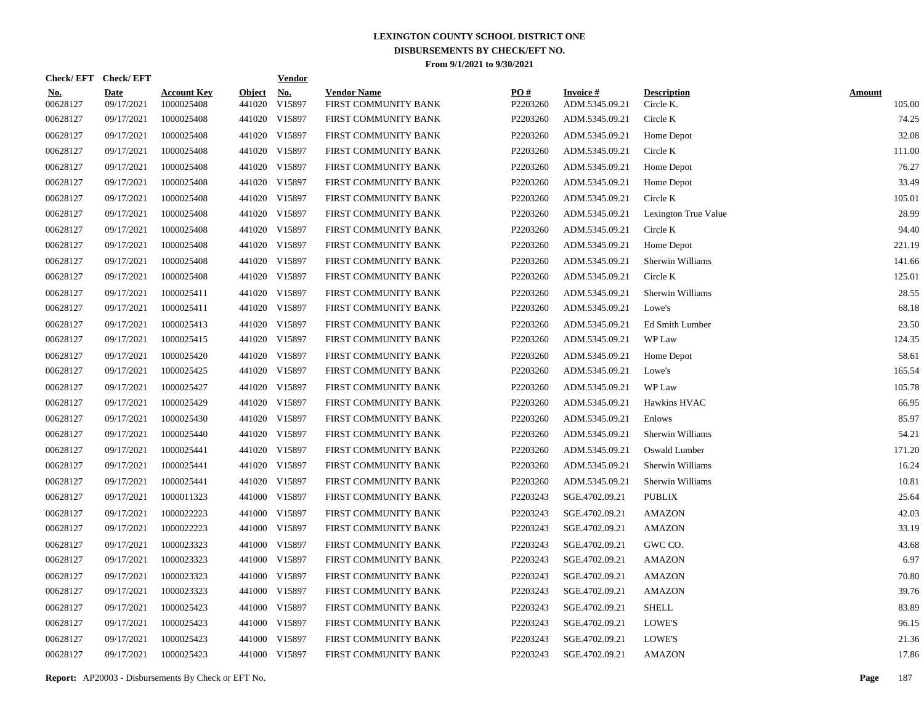|                        | Check/EFT Check/EFT       |                                  |                         | <u>Vendor</u>        |                                            |                 |                                   |                                 |                         |
|------------------------|---------------------------|----------------------------------|-------------------------|----------------------|--------------------------------------------|-----------------|-----------------------------------|---------------------------------|-------------------------|
| <u>No.</u><br>00628127 | <b>Date</b><br>09/17/2021 | <b>Account Key</b><br>1000025408 | <b>Object</b><br>441020 | <u>No.</u><br>V15897 | <b>Vendor Name</b><br>FIRST COMMUNITY BANK | PQ#<br>P2203260 | <b>Invoice#</b><br>ADM.5345.09.21 | <b>Description</b><br>Circle K. | <b>Amount</b><br>105.00 |
| 00628127               | 09/17/2021                | 1000025408                       |                         | 441020 V15897        | FIRST COMMUNITY BANK                       | P2203260        | ADM.5345.09.21                    | Circle K                        | 74.25                   |
| 00628127               | 09/17/2021                | 1000025408                       |                         | 441020 V15897        | FIRST COMMUNITY BANK                       | P2203260        | ADM.5345.09.21                    | Home Depot                      | 32.08                   |
| 00628127               | 09/17/2021                | 1000025408                       |                         | 441020 V15897        | FIRST COMMUNITY BANK                       | P2203260        | ADM.5345.09.21                    | Circle K                        | 111.00                  |
| 00628127               | 09/17/2021                | 1000025408                       |                         | 441020 V15897        | FIRST COMMUNITY BANK                       | P2203260        | ADM.5345.09.21                    | Home Depot                      | 76.27                   |
| 00628127               | 09/17/2021                | 1000025408                       |                         | 441020 V15897        | FIRST COMMUNITY BANK                       | P2203260        | ADM.5345.09.21                    | Home Depot                      | 33.49                   |
| 00628127               | 09/17/2021                | 1000025408                       |                         | 441020 V15897        | FIRST COMMUNITY BANK                       | P2203260        | ADM.5345.09.21                    | Circle K                        | 105.01                  |
| 00628127               | 09/17/2021                | 1000025408                       |                         | 441020 V15897        | FIRST COMMUNITY BANK                       | P2203260        | ADM.5345.09.21                    | Lexington True Value            | 28.99                   |
| 00628127               | 09/17/2021                | 1000025408                       |                         | 441020 V15897        | FIRST COMMUNITY BANK                       | P2203260        | ADM.5345.09.21                    | Circle K                        | 94.40                   |
| 00628127               | 09/17/2021                | 1000025408                       |                         | 441020 V15897        | FIRST COMMUNITY BANK                       | P2203260        | ADM.5345.09.21                    | Home Depot                      | 221.19                  |
| 00628127               | 09/17/2021                | 1000025408                       |                         | 441020 V15897        | FIRST COMMUNITY BANK                       | P2203260        | ADM.5345.09.21                    | Sherwin Williams                | 141.66                  |
| 00628127               | 09/17/2021                | 1000025408                       |                         | 441020 V15897        | FIRST COMMUNITY BANK                       | P2203260        | ADM.5345.09.21                    | Circle K                        | 125.01                  |
| 00628127               | 09/17/2021                | 1000025411                       |                         | 441020 V15897        | FIRST COMMUNITY BANK                       | P2203260        | ADM.5345.09.21                    | Sherwin Williams                | 28.55                   |
| 00628127               | 09/17/2021                | 1000025411                       |                         | 441020 V15897        | FIRST COMMUNITY BANK                       | P2203260        | ADM.5345.09.21                    | Lowe's                          | 68.18                   |
| 00628127               | 09/17/2021                | 1000025413                       |                         | 441020 V15897        | FIRST COMMUNITY BANK                       | P2203260        | ADM.5345.09.21                    | Ed Smith Lumber                 | 23.50                   |
| 00628127               | 09/17/2021                | 1000025415                       |                         | 441020 V15897        | FIRST COMMUNITY BANK                       | P2203260        | ADM.5345.09.21                    | WP Law                          | 124.35                  |
| 00628127               | 09/17/2021                | 1000025420                       |                         | 441020 V15897        | FIRST COMMUNITY BANK                       | P2203260        | ADM.5345.09.21                    | Home Depot                      | 58.61                   |
| 00628127               | 09/17/2021                | 1000025425                       |                         | 441020 V15897        | FIRST COMMUNITY BANK                       | P2203260        | ADM.5345.09.21                    | Lowe's                          | 165.54                  |
| 00628127               | 09/17/2021                | 1000025427                       |                         | 441020 V15897        | FIRST COMMUNITY BANK                       | P2203260        | ADM.5345.09.21                    | WP Law                          | 105.78                  |
| 00628127               | 09/17/2021                | 1000025429                       |                         | 441020 V15897        | FIRST COMMUNITY BANK                       | P2203260        | ADM.5345.09.21                    | Hawkins HVAC                    | 66.95                   |
| 00628127               | 09/17/2021                | 1000025430                       |                         | 441020 V15897        | FIRST COMMUNITY BANK                       | P2203260        | ADM.5345.09.21                    | Enlows                          | 85.97                   |
| 00628127               | 09/17/2021                | 1000025440                       |                         | 441020 V15897        | FIRST COMMUNITY BANK                       | P2203260        | ADM.5345.09.21                    | Sherwin Williams                | 54.21                   |
| 00628127               | 09/17/2021                | 1000025441                       |                         | 441020 V15897        | FIRST COMMUNITY BANK                       | P2203260        | ADM.5345.09.21                    | Oswald Lumber                   | 171.20                  |
| 00628127               | 09/17/2021                | 1000025441                       |                         | 441020 V15897        | FIRST COMMUNITY BANK                       | P2203260        | ADM.5345.09.21                    | Sherwin Williams                | 16.24                   |
| 00628127               | 09/17/2021                | 1000025441                       |                         | 441020 V15897        | FIRST COMMUNITY BANK                       | P2203260        | ADM.5345.09.21                    | Sherwin Williams                | 10.81                   |
| 00628127               | 09/17/2021                | 1000011323                       |                         | 441000 V15897        | FIRST COMMUNITY BANK                       | P2203243        | SGE.4702.09.21                    | <b>PUBLIX</b>                   | 25.64                   |
| 00628127               | 09/17/2021                | 1000022223                       |                         | 441000 V15897        | FIRST COMMUNITY BANK                       | P2203243        | SGE.4702.09.21                    | <b>AMAZON</b>                   | 42.03                   |
| 00628127               | 09/17/2021                | 1000022223                       |                         | 441000 V15897        | FIRST COMMUNITY BANK                       | P2203243        | SGE.4702.09.21                    | <b>AMAZON</b>                   | 33.19                   |
| 00628127               | 09/17/2021                | 1000023323                       |                         | 441000 V15897        | FIRST COMMUNITY BANK                       | P2203243        | SGE.4702.09.21                    | GWC CO.                         | 43.68                   |
| 00628127               | 09/17/2021                | 1000023323                       |                         | 441000 V15897        | FIRST COMMUNITY BANK                       | P2203243        | SGE.4702.09.21                    | <b>AMAZON</b>                   | 6.97                    |
| 00628127               | 09/17/2021                | 1000023323                       |                         | 441000 V15897        | FIRST COMMUNITY BANK                       | P2203243        | SGE.4702.09.21                    | <b>AMAZON</b>                   | 70.80                   |
| 00628127               | 09/17/2021                | 1000023323                       |                         | 441000 V15897        | FIRST COMMUNITY BANK                       | P2203243        | SGE.4702.09.21                    | <b>AMAZON</b>                   | 39.76                   |
| 00628127               | 09/17/2021                | 1000025423                       |                         | 441000 V15897        | FIRST COMMUNITY BANK                       | P2203243        | SGE.4702.09.21                    | <b>SHELL</b>                    | 83.89                   |
| 00628127               | 09/17/2021                | 1000025423                       |                         | 441000 V15897        | FIRST COMMUNITY BANK                       | P2203243        | SGE.4702.09.21                    | LOWE'S                          | 96.15                   |
| 00628127               | 09/17/2021                | 1000025423                       |                         | 441000 V15897        | FIRST COMMUNITY BANK                       | P2203243        | SGE.4702.09.21                    | LOWE'S                          | 21.36                   |
| 00628127               | 09/17/2021                | 1000025423                       |                         | 441000 V15897        | FIRST COMMUNITY BANK                       | P2203243        | SGE.4702.09.21                    | <b>AMAZON</b>                   | 17.86                   |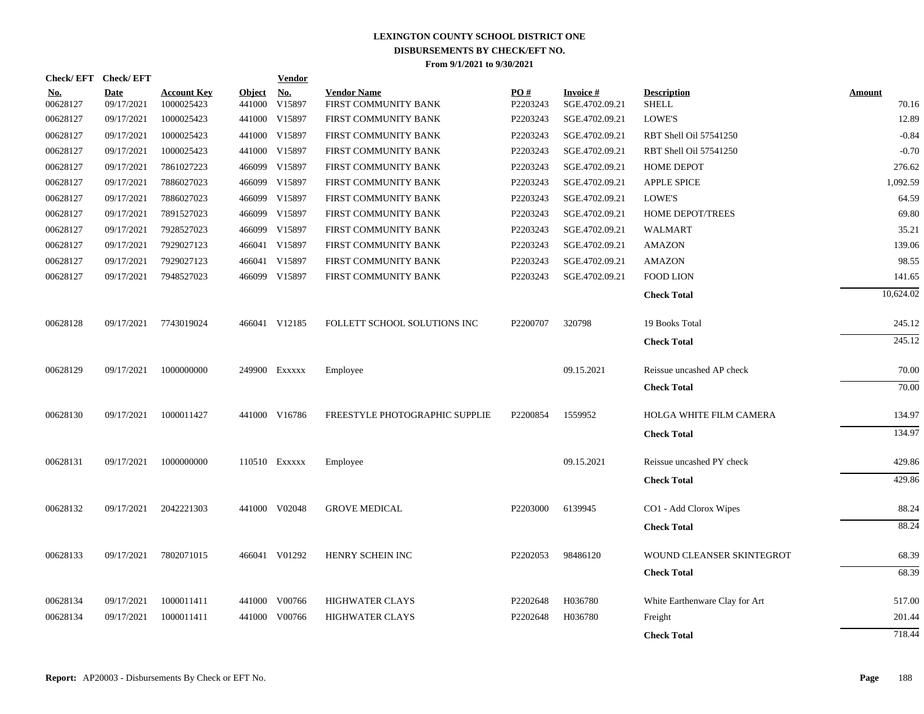| Check/EFT Check/EFT    |                    |                                  |                         | <b>Vendor</b>        |                                            |                 |                             |                                    |                 |
|------------------------|--------------------|----------------------------------|-------------------------|----------------------|--------------------------------------------|-----------------|-----------------------------|------------------------------------|-----------------|
| <u>No.</u><br>00628127 | Date<br>09/17/2021 | <b>Account Key</b><br>1000025423 | <b>Object</b><br>441000 | <b>No.</b><br>V15897 | <b>Vendor Name</b><br>FIRST COMMUNITY BANK | PO#<br>P2203243 | Invoice #<br>SGE.4702.09.21 | <b>Description</b><br><b>SHELL</b> | Amount<br>70.16 |
| 00628127               | 09/17/2021         | 1000025423                       |                         | 441000 V15897        | FIRST COMMUNITY BANK                       | P2203243        | SGE.4702.09.21              | LOWE'S                             | 12.89           |
| 00628127               | 09/17/2021         | 1000025423                       |                         | 441000 V15897        | FIRST COMMUNITY BANK                       | P2203243        | SGE.4702.09.21              | RBT Shell Oil 57541250             | $-0.84$         |
| 00628127               | 09/17/2021         | 1000025423                       |                         | 441000 V15897        | FIRST COMMUNITY BANK                       | P2203243        | SGE.4702.09.21              | RBT Shell Oil 57541250             | $-0.70$         |
| 00628127               | 09/17/2021         | 7861027223                       |                         | 466099 V15897        | FIRST COMMUNITY BANK                       | P2203243        | SGE.4702.09.21              | <b>HOME DEPOT</b>                  | 276.62          |
| 00628127               | 09/17/2021         | 7886027023                       |                         | 466099 V15897        | FIRST COMMUNITY BANK                       | P2203243        | SGE.4702.09.21              | <b>APPLE SPICE</b>                 | 1,092.59        |
| 00628127               | 09/17/2021         | 7886027023                       |                         | 466099 V15897        | FIRST COMMUNITY BANK                       | P2203243        | SGE.4702.09.21              | LOWE'S                             | 64.59           |
| 00628127               | 09/17/2021         | 7891527023                       |                         | 466099 V15897        | FIRST COMMUNITY BANK                       | P2203243        | SGE.4702.09.21              | <b>HOME DEPOT/TREES</b>            | 69.80           |
| 00628127               | 09/17/2021         | 7928527023                       |                         | 466099 V15897        | FIRST COMMUNITY BANK                       | P2203243        | SGE.4702.09.21              | <b>WALMART</b>                     | 35.21           |
| 00628127               | 09/17/2021         | 7929027123                       |                         | 466041 V15897        | FIRST COMMUNITY BANK                       | P2203243        | SGE.4702.09.21              | <b>AMAZON</b>                      | 139.06          |
| 00628127               | 09/17/2021         | 7929027123                       |                         | 466041 V15897        | FIRST COMMUNITY BANK                       | P2203243        | SGE.4702.09.21              | <b>AMAZON</b>                      | 98.55           |
| 00628127               | 09/17/2021         | 7948527023                       |                         | 466099 V15897        | FIRST COMMUNITY BANK                       | P2203243        | SGE.4702.09.21              | FOOD LION                          | 141.65          |
|                        |                    |                                  |                         |                      |                                            |                 |                             | <b>Check Total</b>                 | 10,624.02       |
| 00628128               | 09/17/2021         | 7743019024                       |                         | 466041 V12185        | FOLLETT SCHOOL SOLUTIONS INC               | P2200707        | 320798                      | 19 Books Total                     | 245.12          |
|                        |                    |                                  |                         |                      |                                            |                 |                             | <b>Check Total</b>                 | 245.12          |
| 00628129               | 09/17/2021         | 1000000000                       |                         | 249900 Exxxxx        | Employee                                   |                 | 09.15.2021                  | Reissue uncashed AP check          | 70.00           |
|                        |                    |                                  |                         |                      |                                            |                 |                             | <b>Check Total</b>                 | 70.00           |
| 00628130               | 09/17/2021         | 1000011427                       |                         | 441000 V16786        | FREESTYLE PHOTOGRAPHIC SUPPLIE             | P2200854        | 1559952                     | HOLGA WHITE FILM CAMERA            | 134.97          |
|                        |                    |                                  |                         |                      |                                            |                 |                             | <b>Check Total</b>                 | 134.97          |
| 00628131               | 09/17/2021         | 1000000000                       |                         | 110510 Exxxxx        | Employee                                   |                 | 09.15.2021                  | Reissue uncashed PY check          | 429.86          |
|                        |                    |                                  |                         |                      |                                            |                 |                             | <b>Check Total</b>                 | 429.86          |
| 00628132               | 09/17/2021         | 2042221303                       |                         | 441000 V02048        | <b>GROVE MEDICAL</b>                       | P2203000        | 6139945                     | CO1 - Add Clorox Wipes             | 88.24           |
|                        |                    |                                  |                         |                      |                                            |                 |                             | <b>Check Total</b>                 | 88.24           |
| 00628133               | 09/17/2021         | 7802071015                       |                         | 466041 V01292        | HENRY SCHEIN INC                           | P2202053        | 98486120                    | WOUND CLEANSER SKINTEGROT          | 68.39           |
|                        |                    |                                  |                         |                      |                                            |                 |                             | <b>Check Total</b>                 | 68.39           |
| 00628134               | 09/17/2021         | 1000011411                       |                         | 441000 V00766        | <b>HIGHWATER CLAYS</b>                     | P2202648        | H036780                     | White Earthenware Clay for Art     | 517.00          |
| 00628134               | 09/17/2021         | 1000011411                       |                         | 441000 V00766        | <b>HIGHWATER CLAYS</b>                     | P2202648        | H036780                     | Freight                            | 201.44          |
|                        |                    |                                  |                         |                      |                                            |                 |                             | <b>Check Total</b>                 | 718.44          |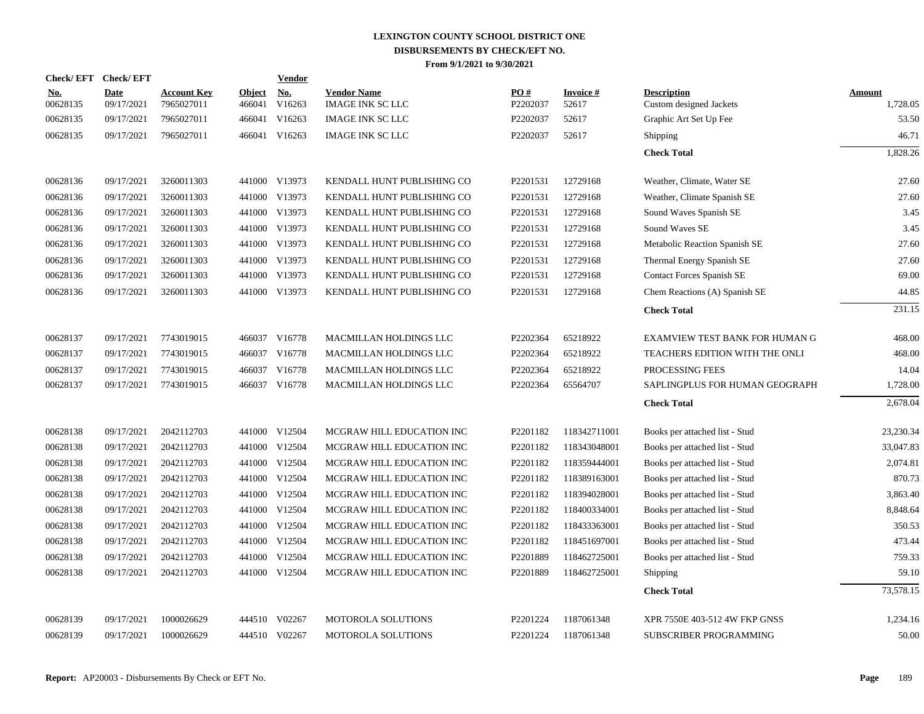| <b>Check/EFT</b>       | <b>Check/EFT</b>          |                                  |                         | <b>Vendor</b>        |                                               |                               |                          |                                               |                           |
|------------------------|---------------------------|----------------------------------|-------------------------|----------------------|-----------------------------------------------|-------------------------------|--------------------------|-----------------------------------------------|---------------------------|
| <u>No.</u><br>00628135 | <b>Date</b><br>09/17/2021 | <b>Account Key</b><br>7965027011 | <b>Object</b><br>466041 | <u>No.</u><br>V16263 | <b>Vendor Name</b><br><b>IMAGE INK SC LLC</b> | $\underline{PO#}$<br>P2202037 | <b>Invoice#</b><br>52617 | <b>Description</b><br>Custom designed Jackets | <b>Amount</b><br>1,728.05 |
| 00628135               | 09/17/2021                | 7965027011                       | 466041                  | V16263               | <b>IMAGE INK SC LLC</b>                       | P2202037                      | 52617                    | Graphic Art Set Up Fee                        | 53.50                     |
| 00628135               | 09/17/2021                | 7965027011                       |                         | 466041 V16263        | <b>IMAGE INK SC LLC</b>                       | P2202037                      | 52617                    | <b>Shipping</b>                               | 46.71                     |
|                        |                           |                                  |                         |                      |                                               |                               |                          | <b>Check Total</b>                            | 1,828.26                  |
| 00628136               | 09/17/2021                | 3260011303                       |                         | 441000 V13973        | KENDALL HUNT PUBLISHING CO                    | P2201531                      | 12729168                 | Weather, Climate, Water SE                    | 27.60                     |
| 00628136               | 09/17/2021                | 3260011303                       |                         | 441000 V13973        | KENDALL HUNT PUBLISHING CO                    | P2201531                      | 12729168                 | Weather, Climate Spanish SE                   | 27.60                     |
| 00628136               | 09/17/2021                | 3260011303                       |                         | 441000 V13973        | KENDALL HUNT PUBLISHING CO                    | P2201531                      | 12729168                 | Sound Waves Spanish SE                        | 3.45                      |
| 00628136               | 09/17/2021                | 3260011303                       |                         | 441000 V13973        | KENDALL HUNT PUBLISHING CO                    | P2201531                      | 12729168                 | Sound Waves SE                                | 3.45                      |
| 00628136               | 09/17/2021                | 3260011303                       |                         | 441000 V13973        | KENDALL HUNT PUBLISHING CO                    | P2201531                      | 12729168                 | Metabolic Reaction Spanish SE                 | 27.60                     |
| 00628136               | 09/17/2021                | 3260011303                       |                         | 441000 V13973        | KENDALL HUNT PUBLISHING CO                    | P2201531                      | 12729168                 | Thermal Energy Spanish SE                     | 27.60                     |
| 00628136               | 09/17/2021                | 3260011303                       |                         | 441000 V13973        | KENDALL HUNT PUBLISHING CO                    | P2201531                      | 12729168                 | Contact Forces Spanish SE                     | 69.00                     |
| 00628136               | 09/17/2021                | 3260011303                       |                         | 441000 V13973        | KENDALL HUNT PUBLISHING CO                    | P2201531                      | 12729168                 | Chem Reactions (A) Spanish SE                 | 44.85                     |
|                        |                           |                                  |                         |                      |                                               |                               |                          | <b>Check Total</b>                            | 231.15                    |
| 00628137               | 09/17/2021                | 7743019015                       |                         | 466037 V16778        | <b>MACMILLAN HOLDINGS LLC</b>                 | P2202364                      | 65218922                 | EXAMVIEW TEST BANK FOR HUMAN G                | 468.00                    |
| 00628137               | 09/17/2021                | 7743019015                       |                         | 466037 V16778        | MACMILLAN HOLDINGS LLC                        | P2202364                      | 65218922                 | TEACHERS EDITION WITH THE ONLI                | 468.00                    |
| 00628137               | 09/17/2021                | 7743019015                       |                         | 466037 V16778        | MACMILLAN HOLDINGS LLC                        | P2202364                      | 65218922                 | PROCESSING FEES                               | 14.04                     |
| 00628137               | 09/17/2021                | 7743019015                       |                         | 466037 V16778        | MACMILLAN HOLDINGS LLC                        | P2202364                      | 65564707                 | SAPLINGPLUS FOR HUMAN GEOGRAPH                | 1,728.00                  |
|                        |                           |                                  |                         |                      |                                               |                               |                          | <b>Check Total</b>                            | 2,678.04                  |
| 00628138               | 09/17/2021                | 2042112703                       |                         | 441000 V12504        | MCGRAW HILL EDUCATION INC                     | P <sub>2201182</sub>          | 118342711001             | Books per attached list - Stud                | 23,230.34                 |
| 00628138               | 09/17/2021                | 2042112703                       |                         | 441000 V12504        | MCGRAW HILL EDUCATION INC                     | P2201182                      | 118343048001             | Books per attached list - Stud                | 33,047.83                 |
| 00628138               | 09/17/2021                | 2042112703                       |                         | 441000 V12504        | MCGRAW HILL EDUCATION INC                     | P2201182                      | 118359444001             | Books per attached list - Stud                | 2,074.81                  |
| 00628138               | 09/17/2021                | 2042112703                       | 441000                  | V12504               | MCGRAW HILL EDUCATION INC                     | P2201182                      | 118389163001             | Books per attached list - Stud                | 870.73                    |
| 00628138               | 09/17/2021                | 2042112703                       |                         | 441000 V12504        | MCGRAW HILL EDUCATION INC                     | P2201182                      | 118394028001             | Books per attached list - Stud                | 3,863.40                  |
| 00628138               | 09/17/2021                | 2042112703                       |                         | 441000 V12504        | MCGRAW HILL EDUCATION INC                     | P2201182                      | 118400334001             | Books per attached list - Stud                | 8,848.64                  |
| 00628138               | 09/17/2021                | 2042112703                       |                         | 441000 V12504        | MCGRAW HILL EDUCATION INC                     | P2201182                      | 118433363001             | Books per attached list - Stud                | 350.53                    |
| 00628138               | 09/17/2021                | 2042112703                       |                         | 441000 V12504        | MCGRAW HILL EDUCATION INC                     | P2201182                      | 118451697001             | Books per attached list - Stud                | 473.44                    |
| 00628138               | 09/17/2021                | 2042112703                       |                         | 441000 V12504        | MCGRAW HILL EDUCATION INC                     | P2201889                      | 118462725001             | Books per attached list - Stud                | 759.33                    |
| 00628138               | 09/17/2021                | 2042112703                       |                         | 441000 V12504        | MCGRAW HILL EDUCATION INC                     | P2201889                      | 118462725001             | <b>Shipping</b>                               | 59.10                     |
|                        |                           |                                  |                         |                      |                                               |                               |                          | <b>Check Total</b>                            | 73,578.15                 |
| 00628139               | 09/17/2021                | 1000026629                       |                         | 444510 V02267        | <b>MOTOROLA SOLUTIONS</b>                     | P2201224                      | 1187061348               | XPR 7550E 403-512 4W FKP GNSS                 | 1,234.16                  |
| 00628139               | 09/17/2021                | 1000026629                       |                         | 444510 V02267        | <b>MOTOROLA SOLUTIONS</b>                     | P2201224                      | 1187061348               | <b>SUBSCRIBER PROGRAMMING</b>                 | 50.00                     |
|                        |                           |                                  |                         |                      |                                               |                               |                          |                                               |                           |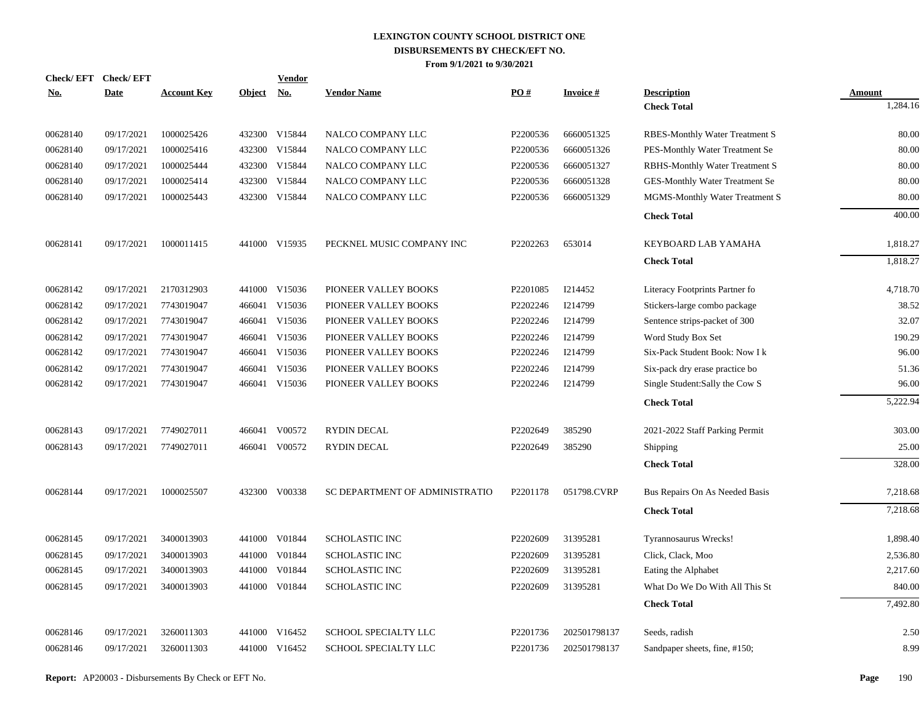| Check/EFT Check/EFT<br><u>No.</u> | Date       | <b>Account Key</b> | Object No. | <b>Vendor</b> | <b>Vendor Name</b>             | PO#      | <b>Invoice#</b> | <b>Description</b>              | Amount   |
|-----------------------------------|------------|--------------------|------------|---------------|--------------------------------|----------|-----------------|---------------------------------|----------|
|                                   |            |                    |            |               |                                |          |                 | <b>Check Total</b>              | 1,284.16 |
| 00628140                          | 09/17/2021 | 1000025426         |            | 432300 V15844 | NALCO COMPANY LLC              | P2200536 | 6660051325      | RBES-Monthly Water Treatment S  | 80.00    |
| 00628140                          | 09/17/2021 | 1000025416         | 432300     | V15844        | NALCO COMPANY LLC              | P2200536 | 6660051326      | PES-Monthly Water Treatment Se  | 80.00    |
| 00628140                          | 09/17/2021 | 1000025444         |            | 432300 V15844 | NALCO COMPANY LLC              | P2200536 | 6660051327      | RBHS-Monthly Water Treatment S  | 80.00    |
| 00628140                          | 09/17/2021 | 1000025414         | 432300     | V15844        | NALCO COMPANY LLC              | P2200536 | 6660051328      | GES-Monthly Water Treatment Se  | 80.00    |
| 00628140                          | 09/17/2021 | 1000025443         |            | 432300 V15844 | NALCO COMPANY LLC              | P2200536 | 6660051329      | MGMS-Monthly Water Treatment S  | 80.00    |
|                                   |            |                    |            |               |                                |          |                 | <b>Check Total</b>              | 400.00   |
| 00628141                          | 09/17/2021 | 1000011415         |            | 441000 V15935 | PECKNEL MUSIC COMPANY INC      | P2202263 | 653014          | KEYBOARD LAB YAMAHA             | 1,818.27 |
|                                   |            |                    |            |               |                                |          |                 | <b>Check Total</b>              | 1,818.27 |
| 00628142                          | 09/17/2021 | 2170312903         |            | 441000 V15036 | PIONEER VALLEY BOOKS           | P2201085 | I214452         | Literacy Footprints Partner fo  | 4,718.70 |
| 00628142                          | 09/17/2021 | 7743019047         | 466041     | V15036        | PIONEER VALLEY BOOKS           | P2202246 | I214799         | Stickers-large combo package    | 38.52    |
| 00628142                          | 09/17/2021 | 7743019047         |            | 466041 V15036 | PIONEER VALLEY BOOKS           | P2202246 | I214799         | Sentence strips-packet of 300   | 32.07    |
| 00628142                          | 09/17/2021 | 7743019047         | 466041     | V15036        | PIONEER VALLEY BOOKS           | P2202246 | I214799         | Word Study Box Set              | 190.29   |
| 00628142                          | 09/17/2021 | 7743019047         |            | 466041 V15036 | PIONEER VALLEY BOOKS           | P2202246 | I214799         | Six-Pack Student Book: Now I k  | 96.00    |
| 00628142                          | 09/17/2021 | 7743019047         | 466041     | V15036        | PIONEER VALLEY BOOKS           | P2202246 | I214799         | Six-pack dry erase practice bo  | 51.36    |
| 00628142                          | 09/17/2021 | 7743019047         |            | 466041 V15036 | PIONEER VALLEY BOOKS           | P2202246 | I214799         | Single Student: Sally the Cow S | 96.00    |
|                                   |            |                    |            |               |                                |          |                 | <b>Check Total</b>              | 5,222.94 |
| 00628143                          | 09/17/2021 | 7749027011         |            | 466041 V00572 | <b>RYDIN DECAL</b>             | P2202649 | 385290          | 2021-2022 Staff Parking Permit  | 303.00   |
| 00628143                          | 09/17/2021 | 7749027011         |            | 466041 V00572 | <b>RYDIN DECAL</b>             | P2202649 | 385290          | Shipping                        | 25.00    |
|                                   |            |                    |            |               |                                |          |                 | <b>Check Total</b>              | 328.00   |
| 00628144                          | 09/17/2021 | 1000025507         |            | 432300 V00338 | SC DEPARTMENT OF ADMINISTRATIO | P2201178 | 051798.CVRP     | Bus Repairs On As Needed Basis  | 7,218.68 |
|                                   |            |                    |            |               |                                |          |                 | <b>Check Total</b>              | 7,218.68 |
| 00628145                          | 09/17/2021 | 3400013903         | 441000     | V01844        | <b>SCHOLASTIC INC</b>          | P2202609 | 31395281        | Tyrannosaurus Wrecks!           | 1,898.40 |
| 00628145                          | 09/17/2021 | 3400013903         | 441000     | V01844        | <b>SCHOLASTIC INC</b>          | P2202609 | 31395281        | Click, Clack, Moo               | 2,536.80 |
| 00628145                          | 09/17/2021 | 3400013903         | 441000     | V01844        | <b>SCHOLASTIC INC</b>          | P2202609 | 31395281        | Eating the Alphabet             | 2,217.60 |
| 00628145                          | 09/17/2021 | 3400013903         | 441000     | V01844        | <b>SCHOLASTIC INC</b>          | P2202609 | 31395281        | What Do We Do With All This St  | 840.00   |
|                                   |            |                    |            |               |                                |          |                 | <b>Check Total</b>              | 7,492.80 |
| 00628146                          | 09/17/2021 | 3260011303         |            | 441000 V16452 | SCHOOL SPECIALTY LLC           | P2201736 | 202501798137    | Seeds, radish                   | 2.50     |
| 00628146                          | 09/17/2021 | 3260011303         |            | 441000 V16452 | SCHOOL SPECIALTY LLC           | P2201736 | 202501798137    | Sandpaper sheets, fine, #150;   | 8.99     |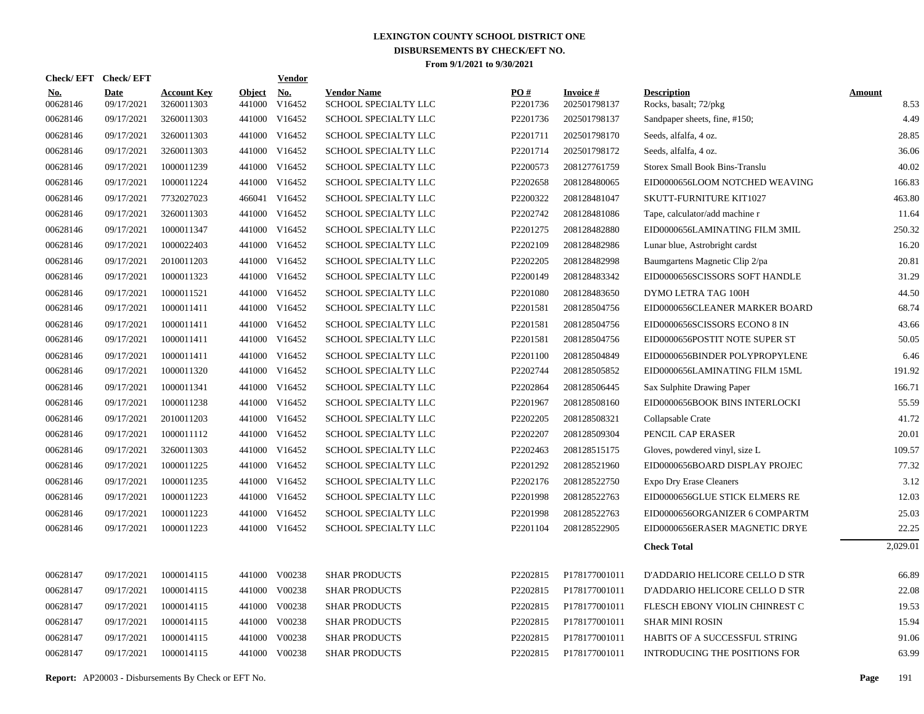| <b>Check/EFT</b>       | <b>Check/EFT</b>          |                                  |                         | <b>Vendor</b>        |                                            |                               |                                 |                                             |                       |
|------------------------|---------------------------|----------------------------------|-------------------------|----------------------|--------------------------------------------|-------------------------------|---------------------------------|---------------------------------------------|-----------------------|
| <u>No.</u><br>00628146 | <b>Date</b><br>09/17/2021 | <b>Account Key</b><br>3260011303 | <b>Object</b><br>441000 | <u>No.</u><br>V16452 | <b>Vendor Name</b><br>SCHOOL SPECIALTY LLC | $\underline{PO#}$<br>P2201736 | <b>Invoice#</b><br>202501798137 | <b>Description</b><br>Rocks, basalt; 72/pkg | <b>Amount</b><br>8.53 |
| 00628146               | 09/17/2021                | 3260011303                       | 441000                  | V16452               | SCHOOL SPECIALTY LLC                       | P2201736                      | 202501798137                    | Sandpaper sheets, fine, #150;               | 4.49                  |
| 00628146               | 09/17/2021                | 3260011303                       | 441000                  | V16452               | SCHOOL SPECIALTY LLC                       | P2201711                      | 202501798170                    | Seeds, alfalfa, 4 oz.                       | 28.85                 |
| 00628146               | 09/17/2021                | 3260011303                       |                         | 441000 V16452        | SCHOOL SPECIALTY LLC                       | P2201714                      | 202501798172                    | Seeds, alfalfa, 4 oz.                       | 36.06                 |
| 00628146               | 09/17/2021                | 1000011239                       | 441000                  | V16452               | SCHOOL SPECIALTY LLC                       | P2200573                      | 208127761759                    | Storex Small Book Bins-Translu              | 40.02                 |
| 00628146               | 09/17/2021                | 1000011224                       |                         | 441000 V16452        | SCHOOL SPECIALTY LLC                       | P2202658                      | 208128480065                    | EID0000656LOOM NOTCHED WEAVING              | 166.83                |
| 00628146               | 09/17/2021                | 7732027023                       | 466041                  | V16452               | SCHOOL SPECIALTY LLC                       | P2200322                      | 208128481047                    | SKUTT-FURNITURE KIT1027                     | 463.80                |
| 00628146               | 09/17/2021                | 3260011303                       |                         | 441000 V16452        | SCHOOL SPECIALTY LLC                       | P2202742                      | 208128481086                    | Tape, calculator/add machine r              | 11.64                 |
| 00628146               | 09/17/2021                | 1000011347                       |                         | 441000 V16452        | SCHOOL SPECIALTY LLC                       | P2201275                      | 208128482880                    | EID0000656LAMINATING FILM 3MIL              | 250.32                |
| 00628146               | 09/17/2021                | 1000022403                       |                         | 441000 V16452        | SCHOOL SPECIALTY LLC                       | P2202109                      | 208128482986                    | Lunar blue, Astrobright cardst              | 16.20                 |
| 00628146               | 09/17/2021                | 2010011203                       |                         | 441000 V16452        | SCHOOL SPECIALTY LLC                       | P2202205                      | 208128482998                    | Baumgartens Magnetic Clip 2/pa              | 20.81                 |
| 00628146               | 09/17/2021                | 1000011323                       |                         | 441000 V16452        | SCHOOL SPECIALTY LLC                       | P2200149                      | 208128483342                    | EID0000656SCISSORS SOFT HANDLE              | 31.29                 |
| 00628146               | 09/17/2021                | 1000011521                       |                         | 441000 V16452        | SCHOOL SPECIALTY LLC                       | P2201080                      | 208128483650                    | DYMO LETRA TAG 100H                         | 44.50                 |
| 00628146               | 09/17/2021                | 1000011411                       |                         | 441000 V16452        | SCHOOL SPECIALTY LLC                       | P2201581                      | 208128504756                    | EID0000656CLEANER MARKER BOARD              | 68.74                 |
| 00628146               | 09/17/2021                | 1000011411                       |                         | 441000 V16452        | SCHOOL SPECIALTY LLC                       | P2201581                      | 208128504756                    | EID0000656SCISSORS ECONO 8 IN               | 43.66                 |
| 00628146               | 09/17/2021                | 1000011411                       |                         | 441000 V16452        | SCHOOL SPECIALTY LLC                       | P2201581                      | 208128504756                    | EID0000656POSTIT NOTE SUPER ST              | 50.05                 |
| 00628146               | 09/17/2021                | 1000011411                       |                         | 441000 V16452        | SCHOOL SPECIALTY LLC                       | P2201100                      | 208128504849                    | EID0000656BINDER POLYPROPYLENE              | 6.46                  |
| 00628146               | 09/17/2021                | 1000011320                       |                         | 441000 V16452        | SCHOOL SPECIALTY LLC                       | P2202744                      | 208128505852                    | EID0000656LAMINATING FILM 15ML              | 191.92                |
| 00628146               | 09/17/2021                | 1000011341                       |                         | 441000 V16452        | SCHOOL SPECIALTY LLC                       | P2202864                      | 208128506445                    | Sax Sulphite Drawing Paper                  | 166.71                |
| 00628146               | 09/17/2021                | 1000011238                       |                         | 441000 V16452        | SCHOOL SPECIALTY LLC                       | P2201967                      | 208128508160                    | EID0000656BOOK BINS INTERLOCKI              | 55.59                 |
| 00628146               | 09/17/2021                | 2010011203                       |                         | 441000 V16452        | SCHOOL SPECIALTY LLC                       | P2202205                      | 208128508321                    | Collapsable Crate                           | 41.72                 |
| 00628146               | 09/17/2021                | 1000011112                       |                         | 441000 V16452        | SCHOOL SPECIALTY LLC                       | P2202207                      | 208128509304                    | PENCIL CAP ERASER                           | 20.01                 |
| 00628146               | 09/17/2021                | 3260011303                       |                         | 441000 V16452        | SCHOOL SPECIALTY LLC                       | P2202463                      | 208128515175                    | Gloves, powdered vinyl, size L              | 109.57                |
| 00628146               | 09/17/2021                | 1000011225                       |                         | 441000 V16452        | SCHOOL SPECIALTY LLC                       | P2201292                      | 208128521960                    | EID0000656BOARD DISPLAY PROJEC              | 77.32                 |
| 00628146               | 09/17/2021                | 1000011235                       |                         | 441000 V16452        | SCHOOL SPECIALTY LLC                       | P2202176                      | 208128522750                    | <b>Expo Dry Erase Cleaners</b>              | 3.12                  |
| 00628146               | 09/17/2021                | 1000011223                       |                         | 441000 V16452        | SCHOOL SPECIALTY LLC                       | P2201998                      | 208128522763                    | EID0000656GLUE STICK ELMERS RE              | 12.03                 |
| 00628146               | 09/17/2021                | 1000011223                       |                         | 441000 V16452        | SCHOOL SPECIALTY LLC                       | P2201998                      | 208128522763                    | EID0000656ORGANIZER 6 COMPARTM              | 25.03                 |
| 00628146               | 09/17/2021                | 1000011223                       |                         | 441000 V16452        | SCHOOL SPECIALTY LLC                       | P2201104                      | 208128522905                    | EID0000656ERASER MAGNETIC DRYE              | 22.25                 |
|                        |                           |                                  |                         |                      |                                            |                               |                                 | <b>Check Total</b>                          | 2,029.01              |
| 00628147               | 09/17/2021                | 1000014115                       | 441000                  | V00238               | <b>SHAR PRODUCTS</b>                       | P2202815                      | P178177001011                   | D'ADDARIO HELICORE CELLO D STR              | 66.89                 |
| 00628147               | 09/17/2021                | 1000014115                       | 441000                  | V00238               | <b>SHAR PRODUCTS</b>                       | P2202815                      | P178177001011                   | D'ADDARIO HELICORE CELLO D STR              | 22.08                 |
| 00628147               | 09/17/2021                | 1000014115                       | 441000                  | V00238               | <b>SHAR PRODUCTS</b>                       | P2202815                      | P178177001011                   | FLESCH EBONY VIOLIN CHINREST C              | 19.53                 |
| 00628147               | 09/17/2021                | 1000014115                       | 441000                  | V00238               | <b>SHAR PRODUCTS</b>                       | P2202815                      | P178177001011                   | <b>SHAR MINI ROSIN</b>                      | 15.94                 |
| 00628147               | 09/17/2021                | 1000014115                       | 441000                  | V00238               | <b>SHAR PRODUCTS</b>                       | P2202815                      | P178177001011                   | HABITS OF A SUCCESSFUL STRING               | 91.06                 |
| 00628147               | 09/17/2021                | 1000014115                       |                         | 441000 V00238        | <b>SHAR PRODUCTS</b>                       | P2202815                      | P178177001011                   | <b>INTRODUCING THE POSITIONS FOR</b>        | 63.99                 |
|                        |                           |                                  |                         |                      |                                            |                               |                                 |                                             |                       |

**Report:** AP20003 - Disbursements By Check or EFT No. **Page** 191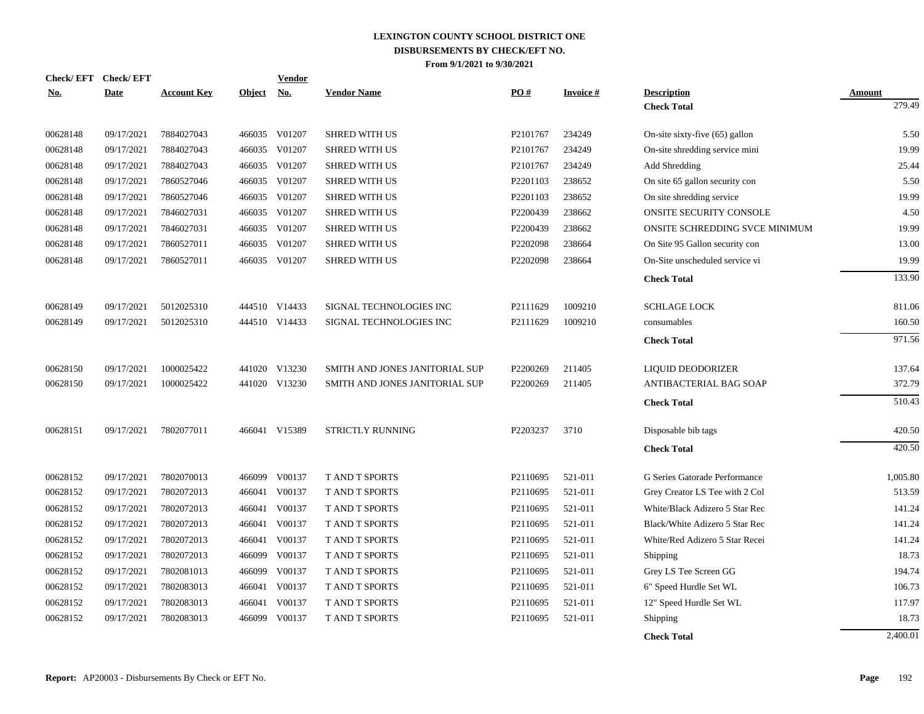| <b>Check/EFT</b> | <b>Check/EFT</b> |                    |               | <b>Vendor</b> |                                |                      |                 |                                |          |
|------------------|------------------|--------------------|---------------|---------------|--------------------------------|----------------------|-----------------|--------------------------------|----------|
| <u>No.</u>       | <b>Date</b>      | <b>Account Key</b> | <b>Object</b> | No.           | <b>Vendor Name</b>             | PO#                  | <b>Invoice#</b> | <b>Description</b>             | Amount   |
|                  |                  |                    |               |               |                                |                      |                 | <b>Check Total</b>             | 279.49   |
| 00628148         | 09/17/2021       | 7884027043         |               | 466035 V01207 | <b>SHRED WITH US</b>           | P <sub>2101767</sub> | 234249          | On-site sixty-five (65) gallon | 5.50     |
| 00628148         | 09/17/2021       | 7884027043         |               | 466035 V01207 | <b>SHRED WITH US</b>           | P2101767             | 234249          | On-site shredding service mini | 19.99    |
| 00628148         | 09/17/2021       | 7884027043         |               | 466035 V01207 | <b>SHRED WITH US</b>           | P2101767             | 234249          | Add Shredding                  | 25.44    |
| 00628148         | 09/17/2021       | 7860527046         |               | 466035 V01207 | <b>SHRED WITH US</b>           | P2201103             | 238652          | On site 65 gallon security con | 5.50     |
| 00628148         | 09/17/2021       | 7860527046         |               | 466035 V01207 | <b>SHRED WITH US</b>           | P2201103             | 238652          | On site shredding service      | 19.99    |
| 00628148         | 09/17/2021       | 7846027031         |               | 466035 V01207 | SHRED WITH US                  | P2200439             | 238662          | ONSITE SECURITY CONSOLE        | 4.50     |
| 00628148         | 09/17/2021       | 7846027031         |               | 466035 V01207 | <b>SHRED WITH US</b>           | P2200439             | 238662          | ONSITE SCHREDDING SVCE MINIMUM | 19.99    |
| 00628148         | 09/17/2021       | 7860527011         |               | 466035 V01207 | SHRED WITH US                  | P2202098             | 238664          | On Site 95 Gallon security con | 13.00    |
| 00628148         | 09/17/2021       | 7860527011         |               | 466035 V01207 | <b>SHRED WITH US</b>           | P2202098             | 238664          | On-Site unscheduled service vi | 19.99    |
|                  |                  |                    |               |               |                                |                      |                 | <b>Check Total</b>             | 133.90   |
| 00628149         | 09/17/2021       | 5012025310         |               | 444510 V14433 | SIGNAL TECHNOLOGIES INC        | P2111629             | 1009210         | <b>SCHLAGE LOCK</b>            | 811.06   |
| 00628149         | 09/17/2021       | 5012025310         |               | 444510 V14433 | SIGNAL TECHNOLOGIES INC        | P2111629             | 1009210         | consumables                    | 160.50   |
|                  |                  |                    |               |               |                                |                      |                 | <b>Check Total</b>             | 971.56   |
| 00628150         | 09/17/2021       | 1000025422         |               | 441020 V13230 | SMITH AND JONES JANITORIAL SUP | P2200269             | 211405          | <b>LIQUID DEODORIZER</b>       | 137.64   |
| 00628150         | 09/17/2021       | 1000025422         |               | 441020 V13230 | SMITH AND JONES JANITORIAL SUP | P2200269             | 211405          | ANTIBACTERIAL BAG SOAP         | 372.79   |
|                  |                  |                    |               |               |                                |                      |                 | <b>Check Total</b>             | 510.43   |
| 00628151         | 09/17/2021       | 7802077011         |               | 466041 V15389 | STRICTLY RUNNING               | P2203237             | 3710            | Disposable bib tags            | 420.50   |
|                  |                  |                    |               |               |                                |                      |                 | <b>Check Total</b>             | 420.50   |
| 00628152         | 09/17/2021       | 7802070013         |               | 466099 V00137 | <b>TAND T SPORTS</b>           | P2110695             | 521-011         | G Series Gatorade Performance  | 1,005.80 |
| 00628152         | 09/17/2021       | 7802072013         |               | 466041 V00137 | T AND T SPORTS                 | P2110695             | 521-011         | Grey Creator LS Tee with 2 Col | 513.59   |
| 00628152         | 09/17/2021       | 7802072013         | 466041        | V00137        | T AND T SPORTS                 | P2110695             | 521-011         | White/Black Adizero 5 Star Rec | 141.24   |
| 00628152         | 09/17/2021       | 7802072013         |               | 466041 V00137 | T AND T SPORTS                 | P2110695             | 521-011         | Black/White Adizero 5 Star Rec | 141.24   |
| 00628152         | 09/17/2021       | 7802072013         | 466041        | V00137        | <b>T AND T SPORTS</b>          | P2110695             | 521-011         | White/Red Adizero 5 Star Recei | 141.24   |
| 00628152         | 09/17/2021       | 7802072013         | 466099        | V00137        | T AND T SPORTS                 | P2110695             | 521-011         | Shipping                       | 18.73    |
| 00628152         | 09/17/2021       | 7802081013         | 466099        | V00137        | <b>T AND T SPORTS</b>          | P2110695             | 521-011         | Grey LS Tee Screen GG          | 194.74   |
| 00628152         | 09/17/2021       | 7802083013         | 466041        | V00137        | T AND T SPORTS                 | P2110695             | 521-011         | 6" Speed Hurdle Set WL         | 106.73   |
| 00628152         | 09/17/2021       | 7802083013         | 466041        | V00137        | <b>T AND T SPORTS</b>          | P2110695             | 521-011         | 12" Speed Hurdle Set WL        | 117.97   |
| 00628152         | 09/17/2021       | 7802083013         | 466099        | V00137        | <b>TAND T SPORTS</b>           | P2110695             | 521-011         | Shipping                       | 18.73    |
|                  |                  |                    |               |               |                                |                      |                 | <b>Check Total</b>             | 2,400.01 |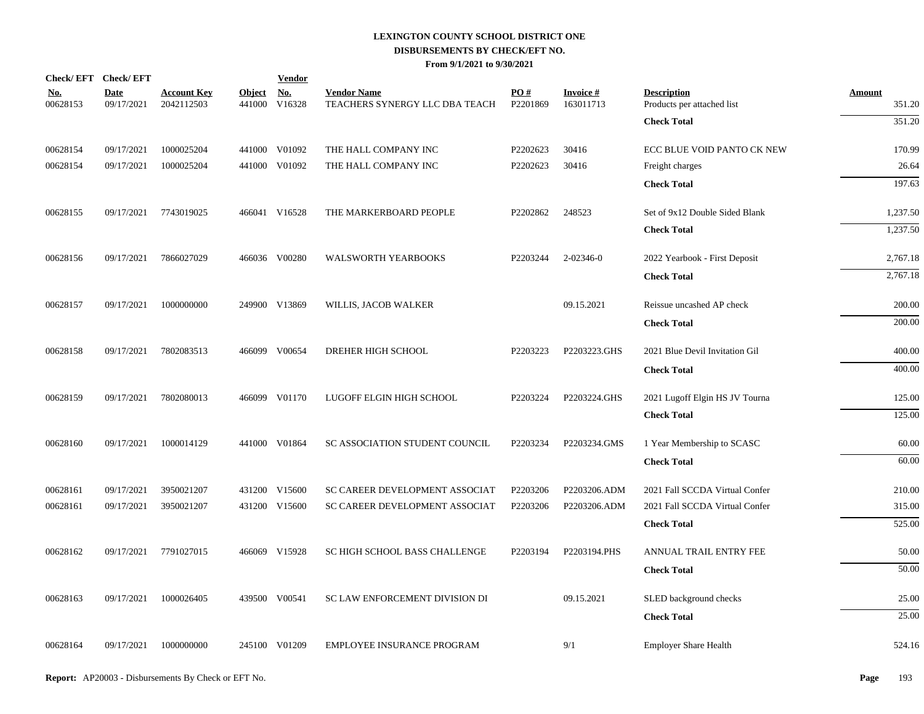| Check/EFT Check/EFT    |                           |                                  |                         | <b>Vendor</b>        |                                                      |                 |                              |                                                  |                         |
|------------------------|---------------------------|----------------------------------|-------------------------|----------------------|------------------------------------------------------|-----------------|------------------------------|--------------------------------------------------|-------------------------|
| <u>No.</u><br>00628153 | <b>Date</b><br>09/17/2021 | <b>Account Key</b><br>2042112503 | <b>Object</b><br>441000 | <u>No.</u><br>V16328 | <b>Vendor Name</b><br>TEACHERS SYNERGY LLC DBA TEACH | PO#<br>P2201869 | <b>Invoice#</b><br>163011713 | <b>Description</b><br>Products per attached list | <b>Amount</b><br>351.20 |
|                        |                           |                                  |                         |                      |                                                      |                 |                              | <b>Check Total</b>                               | 351.20                  |
| 00628154               | 09/17/2021                | 1000025204                       |                         | 441000 V01092        | THE HALL COMPANY INC                                 | P2202623        | 30416                        | ECC BLUE VOID PANTO CK NEW                       | 170.99                  |
| 00628154               | 09/17/2021                | 1000025204                       |                         | 441000 V01092        | THE HALL COMPANY INC                                 | P2202623        | 30416                        | Freight charges                                  | 26.64                   |
|                        |                           |                                  |                         |                      |                                                      |                 |                              | <b>Check Total</b>                               | 197.63                  |
| 00628155               | 09/17/2021                | 7743019025                       |                         | 466041 V16528        | THE MARKERBOARD PEOPLE                               | P2202862        | 248523                       | Set of 9x12 Double Sided Blank                   | 1,237.50                |
|                        |                           |                                  |                         |                      |                                                      |                 |                              | <b>Check Total</b>                               | 1,237.50                |
| 00628156               | 09/17/2021                | 7866027029                       |                         | 466036 V00280        | WALSWORTH YEARBOOKS                                  | P2203244        | 2-02346-0                    | 2022 Yearbook - First Deposit                    | 2,767.18                |
|                        |                           |                                  |                         |                      |                                                      |                 |                              | <b>Check Total</b>                               | 2,767.18                |
| 00628157               | 09/17/2021                | 1000000000                       |                         | 249900 V13869        | WILLIS, JACOB WALKER                                 |                 | 09.15.2021                   | Reissue uncashed AP check                        | 200.00                  |
|                        |                           |                                  |                         |                      |                                                      |                 |                              | <b>Check Total</b>                               | 200.00                  |
| 00628158               | 09/17/2021                | 7802083513                       |                         | 466099 V00654        | DREHER HIGH SCHOOL                                   | P2203223        | P2203223.GHS                 | 2021 Blue Devil Invitation Gil                   | 400.00                  |
|                        |                           |                                  |                         |                      |                                                      |                 |                              | <b>Check Total</b>                               | 400.00                  |
| 00628159               | 09/17/2021                | 7802080013                       |                         | 466099 V01170        | LUGOFF ELGIN HIGH SCHOOL                             | P2203224        | P2203224.GHS                 | 2021 Lugoff Elgin HS JV Tourna                   | 125.00                  |
|                        |                           |                                  |                         |                      |                                                      |                 |                              | <b>Check Total</b>                               | 125.00                  |
| 00628160               | 09/17/2021                | 1000014129                       |                         | 441000 V01864        | SC ASSOCIATION STUDENT COUNCIL                       | P2203234        | P2203234.GMS                 | 1 Year Membership to SCASC                       | 60.00                   |
|                        |                           |                                  |                         |                      |                                                      |                 |                              | <b>Check Total</b>                               | 60.00                   |
| 00628161               | 09/17/2021                | 3950021207                       |                         | 431200 V15600        | SC CAREER DEVELOPMENT ASSOCIAT                       | P2203206        | P2203206.ADM                 | 2021 Fall SCCDA Virtual Confer                   | 210.00                  |
| 00628161               | 09/17/2021                | 3950021207                       |                         | 431200 V15600        | SC CAREER DEVELOPMENT ASSOCIAT                       | P2203206        | P2203206.ADM                 | 2021 Fall SCCDA Virtual Confer                   | 315.00                  |
|                        |                           |                                  |                         |                      |                                                      |                 |                              | <b>Check Total</b>                               | 525.00                  |
| 00628162               | 09/17/2021                | 7791027015                       |                         | 466069 V15928        | SC HIGH SCHOOL BASS CHALLENGE                        | P2203194        | P2203194.PHS                 | ANNUAL TRAIL ENTRY FEE                           | 50.00                   |
|                        |                           |                                  |                         |                      |                                                      |                 |                              | <b>Check Total</b>                               | 50.00                   |
| 00628163               | 09/17/2021                | 1000026405                       |                         | 439500 V00541        | SC LAW ENFORCEMENT DIVISION DI                       |                 | 09.15.2021                   | SLED background checks                           | 25.00                   |
|                        |                           |                                  |                         |                      |                                                      |                 |                              | <b>Check Total</b>                               | 25.00                   |
| 00628164               | 09/17/2021                | 1000000000                       |                         | 245100 V01209        | EMPLOYEE INSURANCE PROGRAM                           |                 | 9/1                          | <b>Employer Share Health</b>                     | 524.16                  |
|                        |                           |                                  |                         |                      |                                                      |                 |                              |                                                  |                         |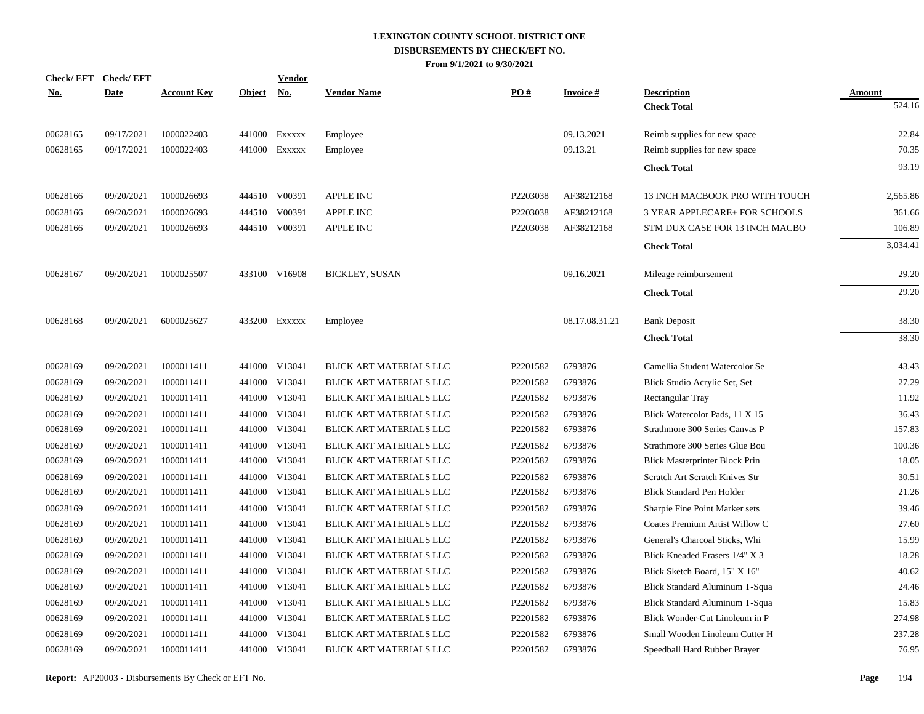| <b>Check/EFT</b> | <b>Check/EFT</b> |                    |               | <b>Vendor</b> |                         |          |                 |                                       |               |
|------------------|------------------|--------------------|---------------|---------------|-------------------------|----------|-----------------|---------------------------------------|---------------|
| <u>No.</u>       | <b>Date</b>      | <b>Account Key</b> | <b>Object</b> | <u>No.</u>    | <b>Vendor Name</b>      | PO#      | <b>Invoice#</b> | <b>Description</b>                    | <b>Amount</b> |
|                  |                  |                    |               |               |                         |          |                 | <b>Check Total</b>                    | 524.16        |
| 00628165         | 09/17/2021       | 1000022403         | 441000        | EXXXXX        | Employee                |          | 09.13.2021      | Reimb supplies for new space          | 22.84         |
| 00628165         | 09/17/2021       | 1000022403         | 441000        | EXXXXX        | Employee                |          | 09.13.21        | Reimb supplies for new space          | 70.35         |
|                  |                  |                    |               |               |                         |          |                 | <b>Check Total</b>                    | 93.19         |
| 00628166         | 09/20/2021       | 1000026693         |               | 444510 V00391 | <b>APPLE INC</b>        | P2203038 | AF38212168      | 13 INCH MACBOOK PRO WITH TOUCH        | 2,565.86      |
| 00628166         | 09/20/2021       | 1000026693         | 444510        | V00391        | APPLE INC               | P2203038 | AF38212168      | 3 YEAR APPLECARE+ FOR SCHOOLS         | 361.66        |
| 00628166         | 09/20/2021       | 1000026693         |               | 444510 V00391 | <b>APPLE INC</b>        | P2203038 | AF38212168      | STM DUX CASE FOR 13 INCH MACBO        | 106.89        |
|                  |                  |                    |               |               |                         |          |                 | <b>Check Total</b>                    | 3,034.41      |
| 00628167         | 09/20/2021       | 1000025507         |               | 433100 V16908 | <b>BICKLEY, SUSAN</b>   |          | 09.16.2021      | Mileage reimbursement                 | 29.20         |
|                  |                  |                    |               |               |                         |          |                 | <b>Check Total</b>                    | 29.20         |
| 00628168         | 09/20/2021       | 6000025627         |               | 433200 EXXXXX | Employee                |          | 08.17.08.31.21  | <b>Bank Deposit</b>                   | 38.30         |
|                  |                  |                    |               |               |                         |          |                 | <b>Check Total</b>                    | 38.30         |
| 00628169         | 09/20/2021       | 1000011411         |               | 441000 V13041 | BLICK ART MATERIALS LLC | P2201582 | 6793876         | Camellia Student Watercolor Se        | 43.43         |
| 00628169         | 09/20/2021       | 1000011411         | 441000        | V13041        | BLICK ART MATERIALS LLC | P2201582 | 6793876         | Blick Studio Acrylic Set, Set         | 27.29         |
| 00628169         | 09/20/2021       | 1000011411         |               | 441000 V13041 | BLICK ART MATERIALS LLC | P2201582 | 6793876         | Rectangular Tray                      | 11.92         |
| 00628169         | 09/20/2021       | 1000011411         | 441000        | V13041        | BLICK ART MATERIALS LLC | P2201582 | 6793876         | Blick Watercolor Pads, 11 X 15        | 36.43         |
| 00628169         | 09/20/2021       | 1000011411         | 441000        | V13041        | BLICK ART MATERIALS LLC | P2201582 | 6793876         | Strathmore 300 Series Canvas P        | 157.83        |
| 00628169         | 09/20/2021       | 1000011411         | 441000        | V13041        | BLICK ART MATERIALS LLC | P2201582 | 6793876         | Strathmore 300 Series Glue Bou        | 100.36        |
| 00628169         | 09/20/2021       | 1000011411         | 441000        | V13041        | BLICK ART MATERIALS LLC | P2201582 | 6793876         | <b>Blick Masterprinter Block Prin</b> | 18.05         |
| 00628169         | 09/20/2021       | 1000011411         | 441000        | V13041        | BLICK ART MATERIALS LLC | P2201582 | 6793876         | Scratch Art Scratch Knives Str        | 30.51         |
| 00628169         | 09/20/2021       | 1000011411         |               | 441000 V13041 | BLICK ART MATERIALS LLC | P2201582 | 6793876         | <b>Blick Standard Pen Holder</b>      | 21.26         |
| 00628169         | 09/20/2021       | 1000011411         | 441000        | V13041        | BLICK ART MATERIALS LLC | P2201582 | 6793876         | Sharpie Fine Point Marker sets        | 39.46         |
| 00628169         | 09/20/2021       | 1000011411         |               | 441000 V13041 | BLICK ART MATERIALS LLC | P2201582 | 6793876         | Coates Premium Artist Willow C        | 27.60         |
| 00628169         | 09/20/2021       | 1000011411         | 441000        | V13041        | BLICK ART MATERIALS LLC | P2201582 | 6793876         | General's Charcoal Sticks, Whi        | 15.99         |
| 00628169         | 09/20/2021       | 1000011411         |               | 441000 V13041 | BLICK ART MATERIALS LLC | P2201582 | 6793876         | Blick Kneaded Erasers 1/4" X 3        | 18.28         |
| 00628169         | 09/20/2021       | 1000011411         | 441000        | V13041        | BLICK ART MATERIALS LLC | P2201582 | 6793876         | Blick Sketch Board, 15" X 16"         | 40.62         |
| 00628169         | 09/20/2021       | 1000011411         | 441000        | V13041        | BLICK ART MATERIALS LLC | P2201582 | 6793876         | Blick Standard Aluminum T-Squa        | 24.46         |
| 00628169         | 09/20/2021       | 1000011411         | 441000        | V13041        | BLICK ART MATERIALS LLC | P2201582 | 6793876         | Blick Standard Aluminum T-Squa        | 15.83         |
| 00628169         | 09/20/2021       | 1000011411         | 441000        | V13041        | BLICK ART MATERIALS LLC | P2201582 | 6793876         | Blick Wonder-Cut Linoleum in P        | 274.98        |
| 00628169         | 09/20/2021       | 1000011411         | 441000        | V13041        | BLICK ART MATERIALS LLC | P2201582 | 6793876         | Small Wooden Linoleum Cutter H        | 237.28        |
| 00628169         | 09/20/2021       | 1000011411         |               | 441000 V13041 | BLICK ART MATERIALS LLC | P2201582 | 6793876         | Speedball Hard Rubber Brayer          | 76.95         |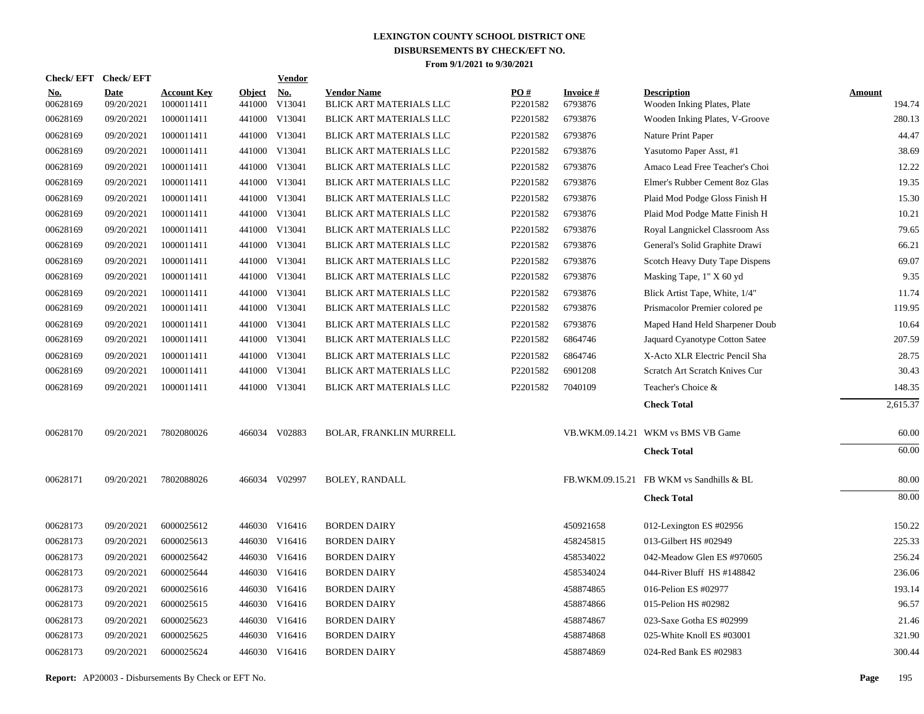| <b>Check/EFT</b>       | <b>Check/EFT</b>          |                                  |                         | <b>Vendor</b> |                                               |                 |                            |                                                   |                         |
|------------------------|---------------------------|----------------------------------|-------------------------|---------------|-----------------------------------------------|-----------------|----------------------------|---------------------------------------------------|-------------------------|
| <u>No.</u><br>00628169 | <b>Date</b><br>09/20/2021 | <b>Account Key</b><br>1000011411 | <b>Object</b><br>441000 | No.<br>V13041 | <b>Vendor Name</b><br>BLICK ART MATERIALS LLC | PO#<br>P2201582 | <b>Invoice#</b><br>6793876 | <b>Description</b><br>Wooden Inking Plates, Plate | <b>Amount</b><br>194.74 |
| 00628169               | 09/20/2021                | 1000011411                       |                         | 441000 V13041 | BLICK ART MATERIALS LLC                       | P2201582        | 6793876                    | Wooden Inking Plates, V-Groove                    | 280.13                  |
| 00628169               | 09/20/2021                | 1000011411                       |                         | 441000 V13041 | BLICK ART MATERIALS LLC                       | P2201582        | 6793876                    | Nature Print Paper                                | 44.47                   |
| 00628169               | 09/20/2021                | 1000011411                       |                         | 441000 V13041 | <b>BLICK ART MATERIALS LLC</b>                | P2201582        | 6793876                    | Yasutomo Paper Asst, #1                           | 38.69                   |
| 00628169               | 09/20/2021                | 1000011411                       |                         | 441000 V13041 | <b>BLICK ART MATERIALS LLC</b>                | P2201582        | 6793876                    | Amaco Lead Free Teacher's Choi                    | 12.22                   |
| 00628169               | 09/20/2021                | 1000011411                       |                         | 441000 V13041 | BLICK ART MATERIALS LLC                       | P2201582        | 6793876                    | Elmer's Rubber Cement 8oz Glas                    | 19.35                   |
| 00628169               | 09/20/2021                | 1000011411                       |                         | 441000 V13041 | BLICK ART MATERIALS LLC                       | P2201582        | 6793876                    | Plaid Mod Podge Gloss Finish H                    | 15.30                   |
| 00628169               | 09/20/2021                | 1000011411                       |                         | 441000 V13041 | BLICK ART MATERIALS LLC                       | P2201582        | 6793876                    | Plaid Mod Podge Matte Finish H                    | 10.21                   |
| 00628169               | 09/20/2021                | 1000011411                       |                         | 441000 V13041 | BLICK ART MATERIALS LLC                       | P2201582        | 6793876                    | Royal Langnickel Classroom Ass                    | 79.65                   |
| 00628169               | 09/20/2021                | 1000011411                       |                         | 441000 V13041 | BLICK ART MATERIALS LLC                       | P2201582        | 6793876                    | General's Solid Graphite Drawi                    | 66.21                   |
| 00628169               | 09/20/2021                | 1000011411                       |                         | 441000 V13041 | BLICK ART MATERIALS LLC                       | P2201582        | 6793876                    | Scotch Heavy Duty Tape Dispens                    | 69.07                   |
| 00628169               | 09/20/2021                | 1000011411                       |                         | 441000 V13041 | BLICK ART MATERIALS LLC                       | P2201582        | 6793876                    | Masking Tape, 1" X 60 yd                          | 9.35                    |
| 00628169               | 09/20/2021                | 1000011411                       |                         | 441000 V13041 | BLICK ART MATERIALS LLC                       | P2201582        | 6793876                    | Blick Artist Tape, White, 1/4"                    | 11.74                   |
| 00628169               | 09/20/2021                | 1000011411                       |                         | 441000 V13041 | BLICK ART MATERIALS LLC                       | P2201582        | 6793876                    | Prismacolor Premier colored pe                    | 119.95                  |
| 00628169               | 09/20/2021                | 1000011411                       |                         | 441000 V13041 | BLICK ART MATERIALS LLC                       | P2201582        | 6793876                    | Maped Hand Held Sharpener Doub                    | 10.64                   |
| 00628169               | 09/20/2021                | 1000011411                       |                         | 441000 V13041 | BLICK ART MATERIALS LLC                       | P2201582        | 6864746                    | Jaquard Cyanotype Cotton Satee                    | 207.59                  |
| 00628169               | 09/20/2021                | 1000011411                       |                         | 441000 V13041 | <b>BLICK ART MATERIALS LLC</b>                | P2201582        | 6864746                    | X-Acto XLR Electric Pencil Sha                    | 28.75                   |
| 00628169               | 09/20/2021                | 1000011411                       |                         | 441000 V13041 | BLICK ART MATERIALS LLC                       | P2201582        | 6901208                    | Scratch Art Scratch Knives Cur                    | 30.43                   |
| 00628169               | 09/20/2021                | 1000011411                       |                         | 441000 V13041 | <b>BLICK ART MATERIALS LLC</b>                | P2201582        | 7040109                    | Teacher's Choice &                                | 148.35                  |
|                        |                           |                                  |                         |               |                                               |                 |                            | <b>Check Total</b>                                | 2,615.37                |
| 00628170               | 09/20/2021                | 7802080026                       |                         | 466034 V02883 | <b>BOLAR, FRANKLIN MURRELL</b>                |                 |                            | VB.WKM.09.14.21 WKM vs BMS VB Game                | 60.00                   |
|                        |                           |                                  |                         |               |                                               |                 |                            | <b>Check Total</b>                                | 60.00                   |
| 00628171               | 09/20/2021                | 7802088026                       |                         | 466034 V02997 | <b>BOLEY, RANDALL</b>                         |                 |                            | FB.WKM.09.15.21 FB WKM vs Sandhills & BL          | 80.00                   |
|                        |                           |                                  |                         |               |                                               |                 |                            | <b>Check Total</b>                                | 80.00                   |
| 00628173               | 09/20/2021                | 6000025612                       |                         | 446030 V16416 | <b>BORDEN DAIRY</b>                           |                 | 450921658                  | 012-Lexington ES #02956                           | 150.22                  |
| 00628173               | 09/20/2021                | 6000025613                       |                         | 446030 V16416 | <b>BORDEN DAIRY</b>                           |                 | 458245815                  | 013-Gilbert HS #02949                             | 225.33                  |
| 00628173               | 09/20/2021                | 6000025642                       |                         | 446030 V16416 | <b>BORDEN DAIRY</b>                           |                 | 458534022                  | 042-Meadow Glen ES #970605                        | 256.24                  |
| 00628173               | 09/20/2021                | 6000025644                       |                         | 446030 V16416 | <b>BORDEN DAIRY</b>                           |                 | 458534024                  | 044-River Bluff HS #148842                        | 236.06                  |
| 00628173               | 09/20/2021                | 6000025616                       |                         | 446030 V16416 | <b>BORDEN DAIRY</b>                           |                 | 458874865                  | 016-Pelion ES #02977                              | 193.14                  |
| 00628173               | 09/20/2021                | 6000025615                       |                         | 446030 V16416 | <b>BORDEN DAIRY</b>                           |                 | 458874866                  | 015-Pelion HS #02982                              | 96.57                   |
| 00628173               | 09/20/2021                | 6000025623                       |                         | 446030 V16416 | <b>BORDEN DAIRY</b>                           |                 | 458874867                  | 023-Saxe Gotha ES #02999                          | 21.46                   |
| 00628173               | 09/20/2021                | 6000025625                       |                         | 446030 V16416 | <b>BORDEN DAIRY</b>                           |                 | 458874868                  | 025-White Knoll ES #03001                         | 321.90                  |
| 00628173               | 09/20/2021                | 6000025624                       |                         | 446030 V16416 | <b>BORDEN DAIRY</b>                           |                 | 458874869                  | 024-Red Bank ES #02983                            | 300.44                  |
|                        |                           |                                  |                         |               |                                               |                 |                            |                                                   |                         |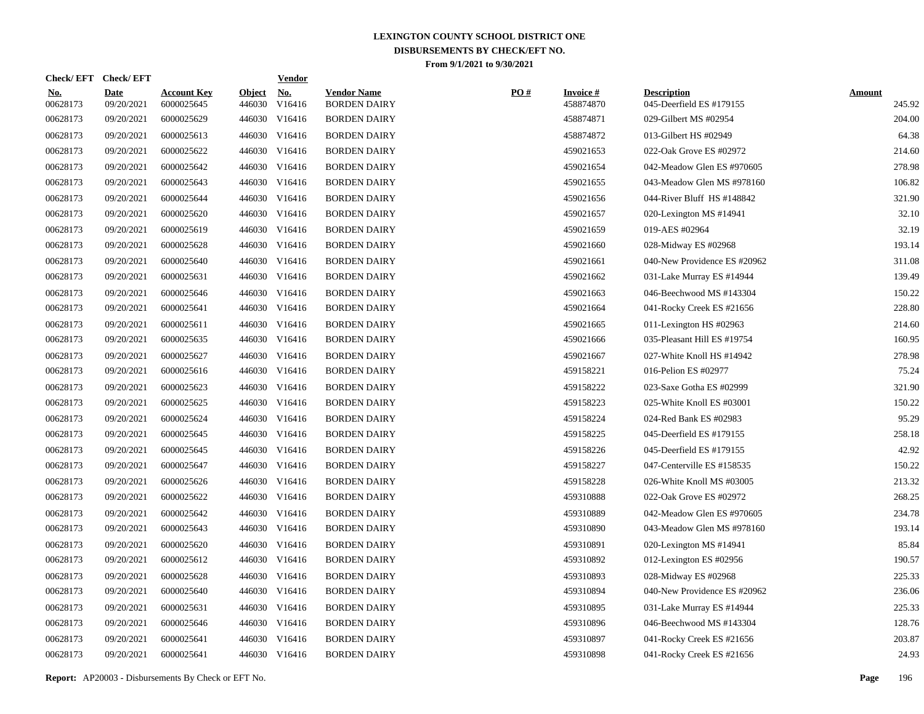|                        | Check/EFT Check/EFT       |                                  |                         | <b>Vendor</b>        |                                           |     |                               |                                                |                         |
|------------------------|---------------------------|----------------------------------|-------------------------|----------------------|-------------------------------------------|-----|-------------------------------|------------------------------------------------|-------------------------|
| <u>No.</u><br>00628173 | <b>Date</b><br>09/20/2021 | <b>Account Key</b><br>6000025645 | <b>Object</b><br>446030 | <u>No.</u><br>V16416 | <b>Vendor Name</b><br><b>BORDEN DAIRY</b> | PO# | <b>Invoice #</b><br>458874870 | <b>Description</b><br>045-Deerfield ES #179155 | <b>Amount</b><br>245.92 |
| 00628173               | 09/20/2021                | 6000025629                       |                         | 446030 V16416        | <b>BORDEN DAIRY</b>                       |     | 458874871                     | 029-Gilbert MS #02954                          | 204.00                  |
| 00628173               | 09/20/2021                | 6000025613                       |                         | 446030 V16416        | <b>BORDEN DAIRY</b>                       |     | 458874872                     | 013-Gilbert HS #02949                          | 64.38                   |
| 00628173               | 09/20/2021                | 6000025622                       |                         | 446030 V16416        | <b>BORDEN DAIRY</b>                       |     | 459021653                     | 022-Oak Grove ES #02972                        | 214.60                  |
| 00628173               | 09/20/2021                | 6000025642                       |                         | 446030 V16416        | <b>BORDEN DAIRY</b>                       |     | 459021654                     | 042-Meadow Glen ES #970605                     | 278.98                  |
| 00628173               | 09/20/2021                | 6000025643                       |                         | 446030 V16416        | <b>BORDEN DAIRY</b>                       |     | 459021655                     | 043-Meadow Glen MS #978160                     | 106.82                  |
| 00628173               | 09/20/2021                | 6000025644                       |                         | 446030 V16416        | <b>BORDEN DAIRY</b>                       |     | 459021656                     | 044-River Bluff HS #148842                     | 321.90                  |
| 00628173               | 09/20/2021                | 6000025620                       |                         | 446030 V16416        | <b>BORDEN DAIRY</b>                       |     | 459021657                     | 020-Lexington MS #14941                        | 32.10                   |
| 00628173               | 09/20/2021                | 6000025619                       |                         | 446030 V16416        | <b>BORDEN DAIRY</b>                       |     | 459021659                     | 019-AES #02964                                 | 32.19                   |
| 00628173               | 09/20/2021                | 6000025628                       |                         | 446030 V16416        | <b>BORDEN DAIRY</b>                       |     | 459021660                     | 028-Midway ES #02968                           | 193.14                  |
| 00628173               | 09/20/2021                | 6000025640                       |                         | 446030 V16416        | <b>BORDEN DAIRY</b>                       |     | 459021661                     | 040-New Providence ES #20962                   | 311.08                  |
| 00628173               | 09/20/2021                | 6000025631                       |                         | 446030 V16416        | <b>BORDEN DAIRY</b>                       |     | 459021662                     | 031-Lake Murray ES #14944                      | 139.49                  |
| 00628173               | 09/20/2021                | 6000025646                       |                         | 446030 V16416        | <b>BORDEN DAIRY</b>                       |     | 459021663                     | 046-Beechwood MS #143304                       | 150.22                  |
| 00628173               | 09/20/2021                | 6000025641                       |                         | 446030 V16416        | <b>BORDEN DAIRY</b>                       |     | 459021664                     | 041-Rocky Creek ES #21656                      | 228.80                  |
| 00628173               | 09/20/2021                | 6000025611                       |                         | 446030 V16416        | <b>BORDEN DAIRY</b>                       |     | 459021665                     | 011-Lexington HS #02963                        | 214.60                  |
| 00628173               | 09/20/2021                | 6000025635                       |                         | 446030 V16416        | <b>BORDEN DAIRY</b>                       |     | 459021666                     | 035-Pleasant Hill ES #19754                    | 160.95                  |
| 00628173               | 09/20/2021                | 6000025627                       |                         | 446030 V16416        | <b>BORDEN DAIRY</b>                       |     | 459021667                     | 027-White Knoll HS #14942                      | 278.98                  |
| 00628173               | 09/20/2021                | 6000025616                       |                         | 446030 V16416        | <b>BORDEN DAIRY</b>                       |     | 459158221                     | 016-Pelion ES #02977                           | 75.24                   |
| 00628173               | 09/20/2021                | 6000025623                       |                         | 446030 V16416        | <b>BORDEN DAIRY</b>                       |     | 459158222                     | 023-Saxe Gotha ES #02999                       | 321.90                  |
| 00628173               | 09/20/2021                | 6000025625                       |                         | 446030 V16416        | <b>BORDEN DAIRY</b>                       |     | 459158223                     | 025-White Knoll ES #03001                      | 150.22                  |
| 00628173               | 09/20/2021                | 6000025624                       |                         | 446030 V16416        | <b>BORDEN DAIRY</b>                       |     | 459158224                     | 024-Red Bank ES #02983                         | 95.29                   |
| 00628173               | 09/20/2021                | 6000025645                       |                         | 446030 V16416        | <b>BORDEN DAIRY</b>                       |     | 459158225                     | 045-Deerfield ES #179155                       | 258.18                  |
| 00628173               | 09/20/2021                | 6000025645                       |                         | 446030 V16416        | <b>BORDEN DAIRY</b>                       |     | 459158226                     | 045-Deerfield ES #179155                       | 42.92                   |
| 00628173               | 09/20/2021                | 6000025647                       |                         | 446030 V16416        | <b>BORDEN DAIRY</b>                       |     | 459158227                     | 047-Centerville ES #158535                     | 150.22                  |
| 00628173               | 09/20/2021                | 6000025626                       |                         | 446030 V16416        | <b>BORDEN DAIRY</b>                       |     | 459158228                     | 026-White Knoll MS #03005                      | 213.32                  |
| 00628173               | 09/20/2021                | 6000025622                       |                         | 446030 V16416        | <b>BORDEN DAIRY</b>                       |     | 459310888                     | 022-Oak Grove ES #02972                        | 268.25                  |
| 00628173               | 09/20/2021                | 6000025642                       |                         | 446030 V16416        | <b>BORDEN DAIRY</b>                       |     | 459310889                     | 042-Meadow Glen ES #970605                     | 234.78                  |
| 00628173               | 09/20/2021                | 6000025643                       |                         | 446030 V16416        | <b>BORDEN DAIRY</b>                       |     | 459310890                     | 043-Meadow Glen MS #978160                     | 193.14                  |
| 00628173               | 09/20/2021                | 6000025620                       |                         | 446030 V16416        | <b>BORDEN DAIRY</b>                       |     | 459310891                     | 020-Lexington MS #14941                        | 85.84                   |
| 00628173               | 09/20/2021                | 6000025612                       |                         | 446030 V16416        | <b>BORDEN DAIRY</b>                       |     | 459310892                     | 012-Lexington ES #02956                        | 190.57                  |
| 00628173               | 09/20/2021                | 6000025628                       |                         | 446030 V16416        | <b>BORDEN DAIRY</b>                       |     | 459310893                     | 028-Midway ES #02968                           | 225.33                  |
| 00628173               | 09/20/2021                | 6000025640                       |                         | 446030 V16416        | <b>BORDEN DAIRY</b>                       |     | 459310894                     | 040-New Providence ES #20962                   | 236.06                  |
| 00628173               | 09/20/2021                | 6000025631                       |                         | 446030 V16416        | <b>BORDEN DAIRY</b>                       |     | 459310895                     | 031-Lake Murray ES #14944                      | 225.33                  |
| 00628173               | 09/20/2021                | 6000025646                       |                         | 446030 V16416        | <b>BORDEN DAIRY</b>                       |     | 459310896                     | 046-Beechwood MS #143304                       | 128.76                  |
| 00628173               | 09/20/2021                | 6000025641                       |                         | 446030 V16416        | <b>BORDEN DAIRY</b>                       |     | 459310897                     | 041-Rocky Creek ES #21656                      | 203.87                  |
| 00628173               | 09/20/2021                | 6000025641                       |                         | 446030 V16416        | <b>BORDEN DAIRY</b>                       |     | 459310898                     | 041-Rocky Creek ES #21656                      | 24.93                   |
|                        |                           |                                  |                         |                      |                                           |     |                               |                                                |                         |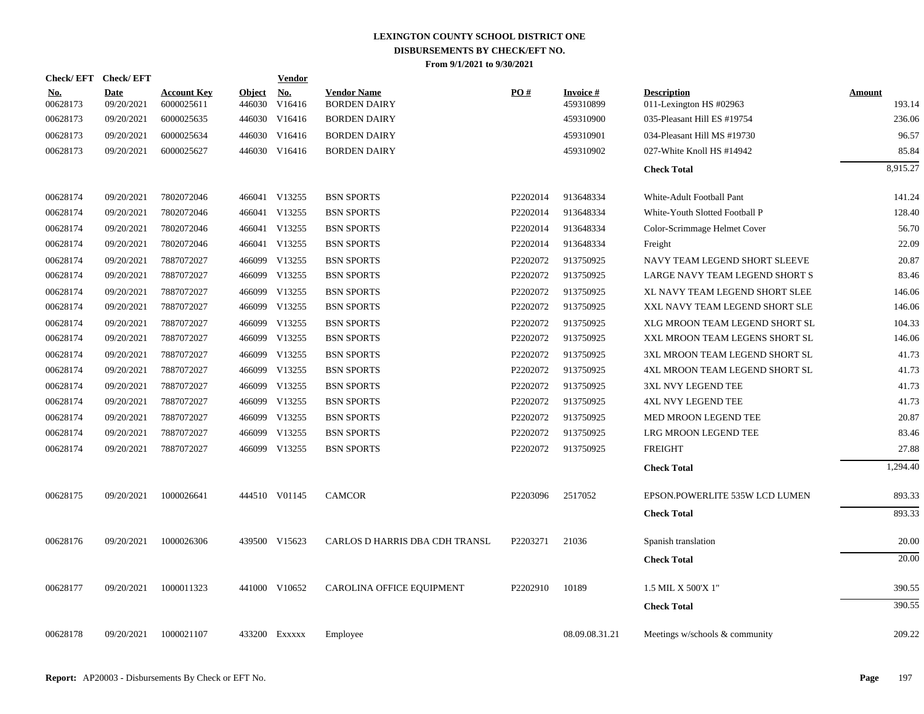| Check/EFT Check/EFT    |                           |                                  |                         | Vendor               |                                           |                      |                              |                                               |                  |
|------------------------|---------------------------|----------------------------------|-------------------------|----------------------|-------------------------------------------|----------------------|------------------------------|-----------------------------------------------|------------------|
| <b>No.</b><br>00628173 | <b>Date</b><br>09/20/2021 | <b>Account Key</b><br>6000025611 | <b>Object</b><br>446030 | <b>No.</b><br>V16416 | <b>Vendor Name</b><br><b>BORDEN DAIRY</b> | PO#                  | <b>Invoice#</b><br>459310899 | <b>Description</b><br>011-Lexington HS #02963 | Amount<br>193.14 |
| 00628173               | 09/20/2021                | 6000025635                       |                         | 446030 V16416        | <b>BORDEN DAIRY</b>                       |                      | 459310900                    | 035-Pleasant Hill ES #19754                   | 236.06           |
| 00628173               | 09/20/2021                | 6000025634                       | 446030                  | V16416               | <b>BORDEN DAIRY</b>                       |                      | 459310901                    | 034-Pleasant Hill MS #19730                   | 96.57            |
| 00628173               | 09/20/2021                | 6000025627                       |                         | 446030 V16416        | <b>BORDEN DAIRY</b>                       |                      | 459310902                    | 027-White Knoll HS #14942                     | 85.84            |
|                        |                           |                                  |                         |                      |                                           |                      |                              | <b>Check Total</b>                            | 8,915.27         |
| 00628174               | 09/20/2021                | 7802072046                       |                         | 466041 V13255        | <b>BSN SPORTS</b>                         | P2202014             | 913648334                    | White-Adult Football Pant                     | 141.24           |
| 00628174               | 09/20/2021                | 7802072046                       |                         | 466041 V13255        | <b>BSN SPORTS</b>                         | P2202014             | 913648334                    | White-Youth Slotted Football P                | 128.40           |
| 00628174               | 09/20/2021                | 7802072046                       | 466041                  | V13255               | <b>BSN SPORTS</b>                         | P2202014             | 913648334                    | Color-Scrimmage Helmet Cover                  | 56.70            |
| 00628174               | 09/20/2021                | 7802072046                       | 466041                  | V13255               | <b>BSN SPORTS</b>                         | P2202014             | 913648334                    | Freight                                       | 22.09            |
| 00628174               | 09/20/2021                | 7887072027                       |                         | 466099 V13255        | <b>BSN SPORTS</b>                         | P2202072             | 913750925                    | NAVY TEAM LEGEND SHORT SLEEVE                 | 20.87            |
| 00628174               | 09/20/2021                | 7887072027                       | 466099                  | V13255               | <b>BSN SPORTS</b>                         | P2202072             | 913750925                    | LARGE NAVY TEAM LEGEND SHORT S                | 83.46            |
| 00628174               | 09/20/2021                | 7887072027                       | 466099                  | V13255               | <b>BSN SPORTS</b>                         | P2202072             | 913750925                    | XL NAVY TEAM LEGEND SHORT SLEE                | 146.06           |
| 00628174               | 09/20/2021                | 7887072027                       |                         | 466099 V13255        | <b>BSN SPORTS</b>                         | P2202072             | 913750925                    | XXL NAVY TEAM LEGEND SHORT SLE                | 146.06           |
| 00628174               | 09/20/2021                | 7887072027                       | 466099                  | V13255               | <b>BSN SPORTS</b>                         | P2202072             | 913750925                    | XLG MROON TEAM LEGEND SHORT SL                | 104.33           |
| 00628174               | 09/20/2021                | 7887072027                       | 466099                  | V13255               | <b>BSN SPORTS</b>                         | P2202072             | 913750925                    | XXL MROON TEAM LEGENS SHORT SL                | 146.06           |
| 00628174               | 09/20/2021                | 7887072027                       |                         | 466099 V13255        | <b>BSN SPORTS</b>                         | P <sub>2202072</sub> | 913750925                    | 3XL MROON TEAM LEGEND SHORT SL                | 41.73            |
| 00628174               | 09/20/2021                | 7887072027                       | 466099                  | V13255               | <b>BSN SPORTS</b>                         | P2202072             | 913750925                    | 4XL MROON TEAM LEGEND SHORT SL                | 41.73            |
| 00628174               | 09/20/2021                | 7887072027                       | 466099                  | V13255               | <b>BSN SPORTS</b>                         | P2202072             | 913750925                    | 3XL NVY LEGEND TEE                            | 41.73            |
| 00628174               | 09/20/2021                | 7887072027                       |                         | 466099 V13255        | <b>BSN SPORTS</b>                         | P2202072             | 913750925                    | <b>4XL NVY LEGEND TEE</b>                     | 41.73            |
| 00628174               | 09/20/2021                | 7887072027                       |                         | 466099 V13255        | <b>BSN SPORTS</b>                         | P2202072             | 913750925                    | MED MROON LEGEND TEE                          | 20.87            |
| 00628174               | 09/20/2021                | 7887072027                       | 466099                  | V13255               | <b>BSN SPORTS</b>                         | P2202072             | 913750925                    | LRG MROON LEGEND TEE                          | 83.46            |
| 00628174               | 09/20/2021                | 7887072027                       |                         | 466099 V13255        | <b>BSN SPORTS</b>                         | P2202072             | 913750925                    | <b>FREIGHT</b>                                | 27.88            |
|                        |                           |                                  |                         |                      |                                           |                      |                              | <b>Check Total</b>                            | 1,294.40         |
| 00628175               | 09/20/2021                | 1000026641                       |                         | 444510 V01145        | <b>CAMCOR</b>                             | P2203096             | 2517052                      | EPSON.POWERLITE 535W LCD LUMEN                | 893.33           |
|                        |                           |                                  |                         |                      |                                           |                      |                              | <b>Check Total</b>                            | 893.33           |
| 00628176               | 09/20/2021                | 1000026306                       |                         | 439500 V15623        | CARLOS D HARRIS DBA CDH TRANSL            | P2203271             | 21036                        | Spanish translation                           | 20.00            |
|                        |                           |                                  |                         |                      |                                           |                      |                              | <b>Check Total</b>                            | 20.00            |
| 00628177               | 09/20/2021                | 1000011323                       |                         | 441000 V10652        | CAROLINA OFFICE EQUIPMENT                 | P2202910             | 10189                        | 1.5 MIL X 500'X 1"                            | 390.55           |
|                        |                           |                                  |                         |                      |                                           |                      |                              | <b>Check Total</b>                            | 390.55           |
| 00628178               | 09/20/2021                | 1000021107                       |                         | 433200 Exxxxx        | Employee                                  |                      | 08.09.08.31.21               | Meetings w/schools & community                | 209.22           |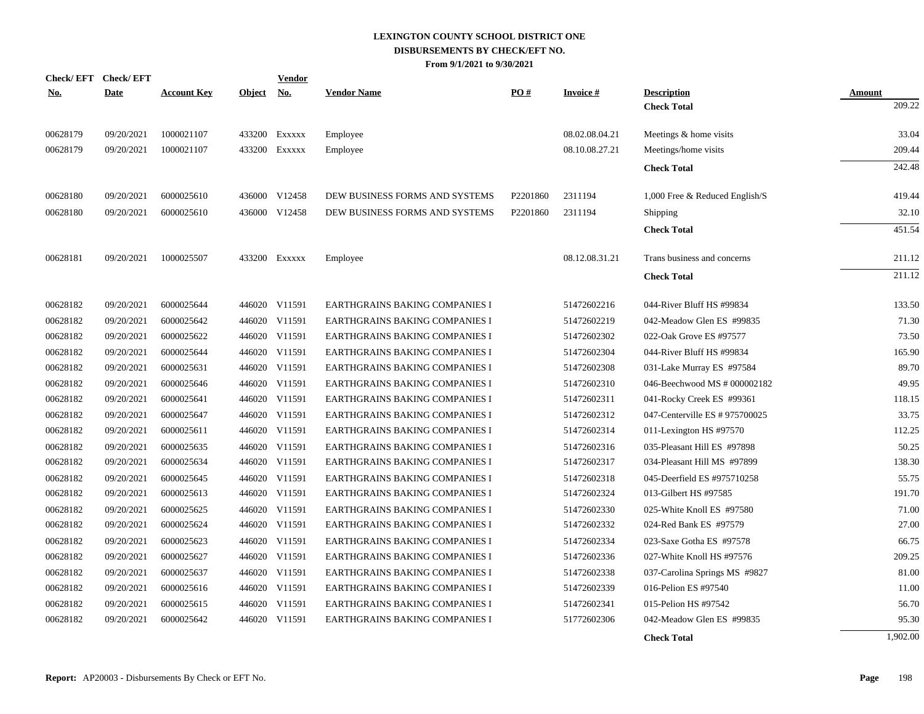|            | <b>Check/EFT</b> | <b>Check/EFT</b> |                    |               | <b>Vendor</b> |                                |                      |                    |                                |                  |
|------------|------------------|------------------|--------------------|---------------|---------------|--------------------------------|----------------------|--------------------|--------------------------------|------------------|
| <u>No.</u> |                  | <b>Date</b>      | <b>Account Key</b> | <b>Object</b> | <u>No.</u>    | <b>Vendor Name</b>             | PO#                  | <b>Invoice</b> $#$ | <b>Description</b>             | Amount<br>209.22 |
|            |                  |                  |                    |               |               |                                |                      |                    | <b>Check Total</b>             |                  |
|            | 00628179         | 09/20/2021       | 1000021107         |               | 433200 EXXXXX | Employee                       |                      | 08.02.08.04.21     | Meetings & home visits         | 33.04            |
|            | 00628179         | 09/20/2021       | 1000021107         |               | 433200 EXXXXX | Employee                       |                      | 08.10.08.27.21     | Meetings/home visits           | 209.44           |
|            |                  |                  |                    |               |               |                                |                      |                    | <b>Check Total</b>             | 242.48           |
|            | 00628180         | 09/20/2021       | 6000025610         |               | 436000 V12458 | DEW BUSINESS FORMS AND SYSTEMS | P <sub>2201860</sub> | 2311194            | 1,000 Free & Reduced English/S | 419.44           |
|            | 00628180         | 09/20/2021       | 6000025610         |               | 436000 V12458 | DEW BUSINESS FORMS AND SYSTEMS | P2201860             | 2311194            | Shipping                       | 32.10            |
|            |                  |                  |                    |               |               |                                |                      |                    | <b>Check Total</b>             | 451.54           |
|            | 00628181         | 09/20/2021       | 1000025507         |               | 433200 Exxxxx | Employee                       |                      | 08.12.08.31.21     | Trans business and concerns    | 211.12           |
|            |                  |                  |                    |               |               |                                |                      |                    | <b>Check Total</b>             | 211.12           |
|            | 00628182         | 09/20/2021       | 6000025644         |               | 446020 V11591 | EARTHGRAINS BAKING COMPANIES I |                      | 51472602216        | 044-River Bluff HS #99834      | 133.50           |
|            | 00628182         | 09/20/2021       | 6000025642         |               | 446020 V11591 | EARTHGRAINS BAKING COMPANIES I |                      | 51472602219        | 042-Meadow Glen ES #99835      | 71.30            |
|            | 00628182         | 09/20/2021       | 6000025622         |               | 446020 V11591 | EARTHGRAINS BAKING COMPANIES I |                      | 51472602302        | 022-Oak Grove ES #97577        | 73.50            |
|            | 00628182         | 09/20/2021       | 6000025644         |               | 446020 V11591 | EARTHGRAINS BAKING COMPANIES I |                      | 51472602304        | 044-River Bluff HS #99834      | 165.90           |
|            | 00628182         | 09/20/2021       | 6000025631         |               | 446020 V11591 | EARTHGRAINS BAKING COMPANIES I |                      | 51472602308        | 031-Lake Murray ES #97584      | 89.70            |
|            | 00628182         | 09/20/2021       | 6000025646         |               | 446020 V11591 | EARTHGRAINS BAKING COMPANIES I |                      | 51472602310        | 046-Beechwood MS # 000002182   | 49.95            |
|            | 00628182         | 09/20/2021       | 6000025641         |               | 446020 V11591 | EARTHGRAINS BAKING COMPANIES I |                      | 51472602311        | 041-Rocky Creek ES #99361      | 118.15           |
|            | 00628182         | 09/20/2021       | 6000025647         |               | 446020 V11591 | EARTHGRAINS BAKING COMPANIES I |                      | 51472602312        | 047-Centerville ES # 975700025 | 33.75            |
|            | 00628182         | 09/20/2021       | 6000025611         |               | 446020 V11591 | EARTHGRAINS BAKING COMPANIES I |                      | 51472602314        | 011-Lexington HS #97570        | 112.25           |
|            | 00628182         | 09/20/2021       | 6000025635         |               | 446020 V11591 | EARTHGRAINS BAKING COMPANIES I |                      | 51472602316        | 035-Pleasant Hill ES #97898    | 50.25            |
|            | 00628182         | 09/20/2021       | 6000025634         |               | 446020 V11591 | EARTHGRAINS BAKING COMPANIES I |                      | 51472602317        | 034-Pleasant Hill MS #97899    | 138.30           |
|            | 00628182         | 09/20/2021       | 6000025645         |               | 446020 V11591 | EARTHGRAINS BAKING COMPANIES I |                      | 51472602318        | 045-Deerfield ES #975710258    | 55.75            |
|            | 00628182         | 09/20/2021       | 6000025613         |               | 446020 V11591 | EARTHGRAINS BAKING COMPANIES I |                      | 51472602324        | 013-Gilbert HS #97585          | 191.70           |
|            | 00628182         | 09/20/2021       | 6000025625         |               | 446020 V11591 | EARTHGRAINS BAKING COMPANIES I |                      | 51472602330        | 025-White Knoll ES #97580      | 71.00            |
|            | 00628182         | 09/20/2021       | 6000025624         |               | 446020 V11591 | EARTHGRAINS BAKING COMPANIES I |                      | 51472602332        | 024-Red Bank ES #97579         | 27.00            |
|            | 00628182         | 09/20/2021       | 6000025623         |               | 446020 V11591 | EARTHGRAINS BAKING COMPANIES I |                      | 51472602334        | 023-Saxe Gotha ES #97578       | 66.75            |
|            | 00628182         | 09/20/2021       | 6000025627         |               | 446020 V11591 | EARTHGRAINS BAKING COMPANIES I |                      | 51472602336        | 027-White Knoll HS #97576      | 209.25           |
|            | 00628182         | 09/20/2021       | 6000025637         |               | 446020 V11591 | EARTHGRAINS BAKING COMPANIES I |                      | 51472602338        | 037-Carolina Springs MS #9827  | 81.00            |
|            | 00628182         | 09/20/2021       | 6000025616         |               | 446020 V11591 | EARTHGRAINS BAKING COMPANIES I |                      | 51472602339        | 016-Pelion ES #97540           | 11.00            |
|            | 00628182         | 09/20/2021       | 6000025615         |               | 446020 V11591 | EARTHGRAINS BAKING COMPANIES I |                      | 51472602341        | 015-Pelion HS #97542           | 56.70            |
|            | 00628182         | 09/20/2021       | 6000025642         |               | 446020 V11591 | EARTHGRAINS BAKING COMPANIES I |                      | 51772602306        | 042-Meadow Glen ES #99835      | 95.30            |
|            |                  |                  |                    |               |               |                                |                      |                    | <b>Check Total</b>             | 1.902.00         |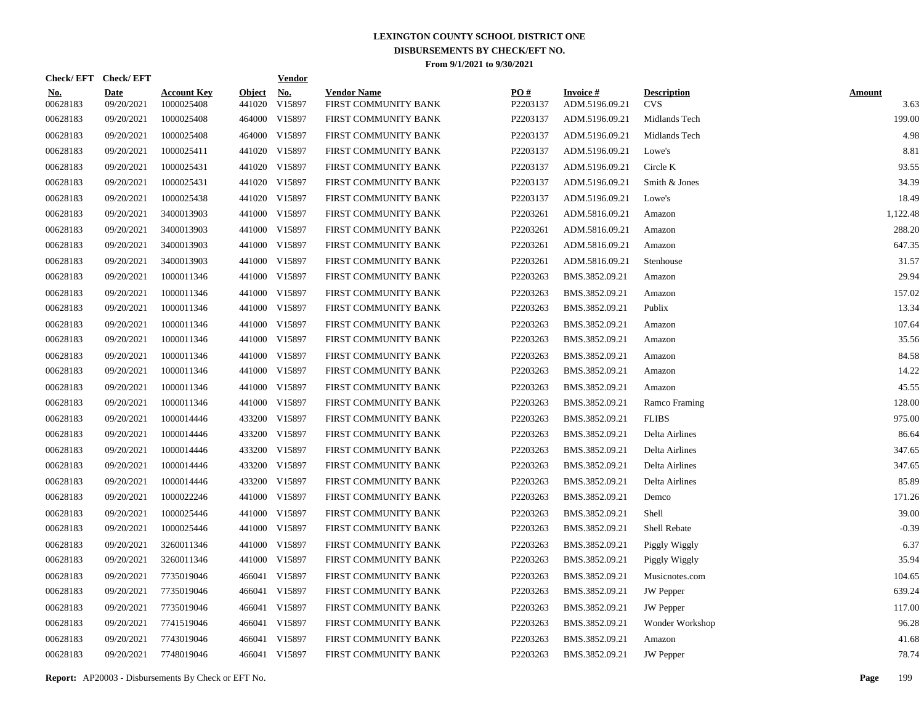|                        | Check/EFT Check/EFT       |                                  |                         | <u>Vendor</u>        |                                            |                 |                                   |                                  |                       |
|------------------------|---------------------------|----------------------------------|-------------------------|----------------------|--------------------------------------------|-----------------|-----------------------------------|----------------------------------|-----------------------|
| <u>No.</u><br>00628183 | <b>Date</b><br>09/20/2021 | <b>Account Key</b><br>1000025408 | <b>Object</b><br>441020 | <u>No.</u><br>V15897 | <b>Vendor Name</b><br>FIRST COMMUNITY BANK | PO#<br>P2203137 | <b>Invoice#</b><br>ADM.5196.09.21 | <b>Description</b><br><b>CVS</b> | <b>Amount</b><br>3.63 |
| 00628183               | 09/20/2021                | 1000025408                       |                         | 464000 V15897        | FIRST COMMUNITY BANK                       | P2203137        | ADM.5196.09.21                    | Midlands Tech                    | 199.00                |
| 00628183               | 09/20/2021                | 1000025408                       |                         | 464000 V15897        | FIRST COMMUNITY BANK                       | P2203137        | ADM.5196.09.21                    | Midlands Tech                    | 4.98                  |
| 00628183               | 09/20/2021                | 1000025411                       |                         | 441020 V15897        | FIRST COMMUNITY BANK                       | P2203137        | ADM.5196.09.21                    | Lowe's                           | 8.81                  |
| 00628183               | 09/20/2021                | 1000025431                       |                         | 441020 V15897        | FIRST COMMUNITY BANK                       | P2203137        | ADM.5196.09.21                    | Circle K                         | 93.55                 |
| 00628183               | 09/20/2021                | 1000025431                       |                         | 441020 V15897        | FIRST COMMUNITY BANK                       | P2203137        | ADM.5196.09.21                    | Smith & Jones                    | 34.39                 |
| 00628183               | 09/20/2021                | 1000025438                       |                         | 441020 V15897        | FIRST COMMUNITY BANK                       | P2203137        | ADM.5196.09.21                    | Lowe's                           | 18.49                 |
| 00628183               | 09/20/2021                | 3400013903                       |                         | 441000 V15897        | FIRST COMMUNITY BANK                       | P2203261        | ADM.5816.09.21                    | Amazon                           | 1,122.48              |
| 00628183               | 09/20/2021                | 3400013903                       |                         | 441000 V15897        | FIRST COMMUNITY BANK                       | P2203261        | ADM.5816.09.21                    | Amazon                           | 288.20                |
| 00628183               | 09/20/2021                | 3400013903                       |                         | 441000 V15897        | FIRST COMMUNITY BANK                       | P2203261        | ADM.5816.09.21                    | Amazon                           | 647.35                |
| 00628183               | 09/20/2021                | 3400013903                       |                         | 441000 V15897        | FIRST COMMUNITY BANK                       | P2203261        | ADM.5816.09.21                    | Stenhouse                        | 31.57                 |
| 00628183               | 09/20/2021                | 1000011346                       |                         | 441000 V15897        | FIRST COMMUNITY BANK                       | P2203263        | BMS.3852.09.21                    | Amazon                           | 29.94                 |
| 00628183               | 09/20/2021                | 1000011346                       |                         | 441000 V15897        | FIRST COMMUNITY BANK                       | P2203263        | BMS.3852.09.21                    | Amazon                           | 157.02                |
| 00628183               | 09/20/2021                | 1000011346                       |                         | 441000 V15897        | FIRST COMMUNITY BANK                       | P2203263        | BMS.3852.09.21                    | Publix                           | 13.34                 |
| 00628183               | 09/20/2021                | 1000011346                       |                         | 441000 V15897        | FIRST COMMUNITY BANK                       | P2203263        | BMS.3852.09.21                    | Amazon                           | 107.64                |
| 00628183               | 09/20/2021                | 1000011346                       |                         | 441000 V15897        | FIRST COMMUNITY BANK                       | P2203263        | BMS.3852.09.21                    | Amazon                           | 35.56                 |
| 00628183               | 09/20/2021                | 1000011346                       | 441000                  | V15897               | FIRST COMMUNITY BANK                       | P2203263        | BMS.3852.09.21                    | Amazon                           | 84.58                 |
| 00628183               | 09/20/2021                | 1000011346                       |                         | 441000 V15897        | FIRST COMMUNITY BANK                       | P2203263        | BMS.3852.09.21                    | Amazon                           | 14.22                 |
| 00628183               | 09/20/2021                | 1000011346                       |                         | 441000 V15897        | FIRST COMMUNITY BANK                       | P2203263        | BMS.3852.09.21                    | Amazon                           | 45.55                 |
| 00628183               | 09/20/2021                | 1000011346                       |                         | 441000 V15897        | FIRST COMMUNITY BANK                       | P2203263        | BMS.3852.09.21                    | Ramco Framing                    | 128.00                |
| 00628183               | 09/20/2021                | 1000014446                       |                         | 433200 V15897        | FIRST COMMUNITY BANK                       | P2203263        | BMS.3852.09.21                    | <b>FLIBS</b>                     | 975.00                |
| 00628183               | 09/20/2021                | 1000014446                       |                         | 433200 V15897        | FIRST COMMUNITY BANK                       | P2203263        | BMS.3852.09.21                    | Delta Airlines                   | 86.64                 |
| 00628183               | 09/20/2021                | 1000014446                       |                         | 433200 V15897        | FIRST COMMUNITY BANK                       | P2203263        | BMS.3852.09.21                    | Delta Airlines                   | 347.65                |
| 00628183               | 09/20/2021                | 1000014446                       |                         | 433200 V15897        | FIRST COMMUNITY BANK                       | P2203263        | BMS.3852.09.21                    | Delta Airlines                   | 347.65                |
| 00628183               | 09/20/2021                | 1000014446                       |                         | 433200 V15897        | FIRST COMMUNITY BANK                       | P2203263        | BMS.3852.09.21                    | Delta Airlines                   | 85.89                 |
| 00628183               | 09/20/2021                | 1000022246                       |                         | 441000 V15897        | FIRST COMMUNITY BANK                       | P2203263        | BMS.3852.09.21                    | Demco                            | 171.26                |
| 00628183               | 09/20/2021                | 1000025446                       |                         | 441000 V15897        | FIRST COMMUNITY BANK                       | P2203263        | BMS.3852.09.21                    | Shell                            | 39.00                 |
| 00628183               | 09/20/2021                | 1000025446                       |                         | 441000 V15897        | FIRST COMMUNITY BANK                       | P2203263        | BMS.3852.09.21                    | Shell Rebate                     | $-0.39$               |
| 00628183               | 09/20/2021                | 3260011346                       |                         | 441000 V15897        | FIRST COMMUNITY BANK                       | P2203263        | BMS.3852.09.21                    | Piggly Wiggly                    | 6.37                  |
| 00628183               | 09/20/2021                | 3260011346                       |                         | 441000 V15897        | FIRST COMMUNITY BANK                       | P2203263        | BMS.3852.09.21                    | Piggly Wiggly                    | 35.94                 |
| 00628183               | 09/20/2021                | 7735019046                       |                         | 466041 V15897        | FIRST COMMUNITY BANK                       | P2203263        | BMS.3852.09.21                    | Musicnotes.com                   | 104.65                |
| 00628183               | 09/20/2021                | 7735019046                       |                         | 466041 V15897        | FIRST COMMUNITY BANK                       | P2203263        | BMS.3852.09.21                    | <b>JW</b> Pepper                 | 639.24                |
| 00628183               | 09/20/2021                | 7735019046                       |                         | 466041 V15897        | FIRST COMMUNITY BANK                       | P2203263        | BMS.3852.09.21                    | <b>JW</b> Pepper                 | 117.00                |
| 00628183               | 09/20/2021                | 7741519046                       |                         | 466041 V15897        | FIRST COMMUNITY BANK                       | P2203263        | BMS.3852.09.21                    | Wonder Workshop                  | 96.28                 |
| 00628183               | 09/20/2021                | 7743019046                       | 466041                  | V15897               | FIRST COMMUNITY BANK                       | P2203263        | BMS.3852.09.21                    | Amazon                           | 41.68                 |
| 00628183               | 09/20/2021                | 7748019046                       |                         | 466041 V15897        | FIRST COMMUNITY BANK                       | P2203263        | BMS.3852.09.21                    | <b>JW</b> Pepper                 | 78.74                 |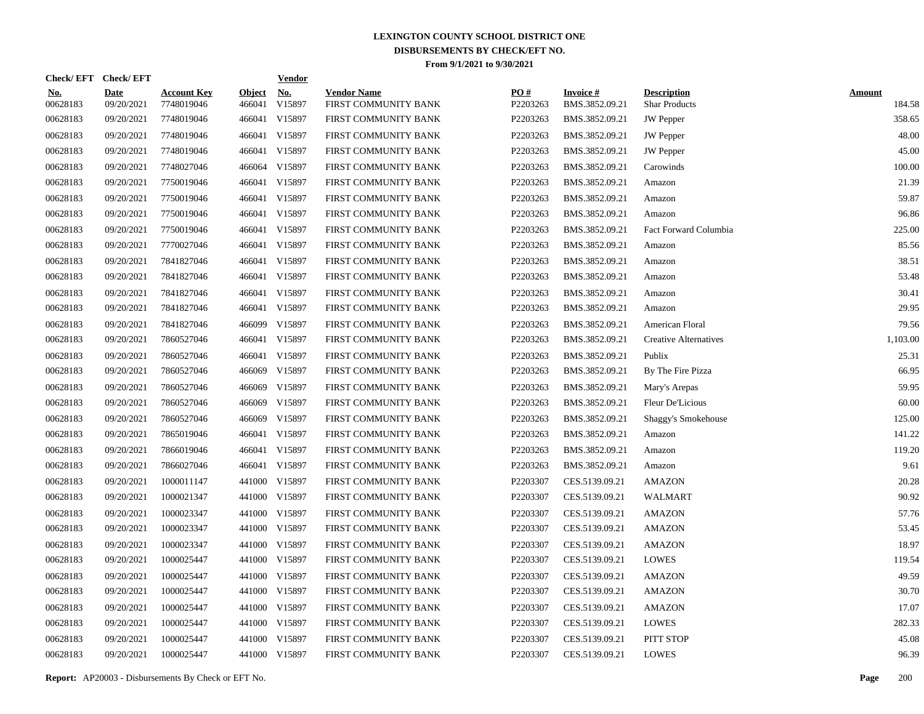| Check/EFT Check/EFT    |                           |                                  |                         | <b>Vendor</b>        |                                            |                 |                                   |                                            |                         |
|------------------------|---------------------------|----------------------------------|-------------------------|----------------------|--------------------------------------------|-----------------|-----------------------------------|--------------------------------------------|-------------------------|
| <u>No.</u><br>00628183 | <b>Date</b><br>09/20/2021 | <b>Account Key</b><br>7748019046 | <b>Object</b><br>466041 | <u>No.</u><br>V15897 | <b>Vendor Name</b><br>FIRST COMMUNITY BANK | PO#<br>P2203263 | <b>Invoice#</b><br>BMS.3852.09.21 | <b>Description</b><br><b>Shar Products</b> | <b>Amount</b><br>184.58 |
| 00628183               | 09/20/2021                | 7748019046                       |                         | 466041 V15897        | FIRST COMMUNITY BANK                       | P2203263        | BMS.3852.09.21                    | <b>JW</b> Pepper                           | 358.65                  |
| 00628183               | 09/20/2021                | 7748019046                       |                         | 466041 V15897        | FIRST COMMUNITY BANK                       | P2203263        | BMS.3852.09.21                    | <b>JW</b> Pepper                           | 48.00                   |
| 00628183               | 09/20/2021                | 7748019046                       |                         | 466041 V15897        | FIRST COMMUNITY BANK                       | P2203263        | BMS.3852.09.21                    | JW Pepper                                  | 45.00                   |
| 00628183               | 09/20/2021                | 7748027046                       |                         | 466064 V15897        | FIRST COMMUNITY BANK                       | P2203263        | BMS.3852.09.21                    | Carowinds                                  | 100.00                  |
| 00628183               | 09/20/2021                | 7750019046                       |                         | 466041 V15897        | FIRST COMMUNITY BANK                       | P2203263        | BMS.3852.09.21                    | Amazon                                     | 21.39                   |
| 00628183               | 09/20/2021                | 7750019046                       |                         | 466041 V15897        | FIRST COMMUNITY BANK                       | P2203263        | BMS.3852.09.21                    | Amazon                                     | 59.87                   |
| 00628183               | 09/20/2021                | 7750019046                       |                         | 466041 V15897        | FIRST COMMUNITY BANK                       | P2203263        | BMS.3852.09.21                    | Amazon                                     | 96.86                   |
| 00628183               | 09/20/2021                | 7750019046                       |                         | 466041 V15897        | FIRST COMMUNITY BANK                       | P2203263        | BMS.3852.09.21                    | Fact Forward Columbia                      | 225.00                  |
| 00628183               | 09/20/2021                | 7770027046                       |                         | 466041 V15897        | FIRST COMMUNITY BANK                       | P2203263        | BMS.3852.09.21                    | Amazon                                     | 85.56                   |
| 00628183               | 09/20/2021                | 7841827046                       |                         | 466041 V15897        | FIRST COMMUNITY BANK                       | P2203263        | BMS.3852.09.21                    | Amazon                                     | 38.51                   |
| 00628183               | 09/20/2021                | 7841827046                       |                         | 466041 V15897        | FIRST COMMUNITY BANK                       | P2203263        | BMS.3852.09.21                    | Amazon                                     | 53.48                   |
| 00628183               | 09/20/2021                | 7841827046                       |                         | 466041 V15897        | FIRST COMMUNITY BANK                       | P2203263        | BMS.3852.09.21                    | Amazon                                     | 30.41                   |
| 00628183               | 09/20/2021                | 7841827046                       |                         | 466041 V15897        | FIRST COMMUNITY BANK                       | P2203263        | BMS.3852.09.21                    | Amazon                                     | 29.95                   |
| 00628183               | 09/20/2021                | 7841827046                       |                         | 466099 V15897        | FIRST COMMUNITY BANK                       | P2203263        | BMS.3852.09.21                    | American Floral                            | 79.56                   |
| 00628183               | 09/20/2021                | 7860527046                       |                         | 466041 V15897        | FIRST COMMUNITY BANK                       | P2203263        | BMS.3852.09.21                    | <b>Creative Alternatives</b>               | 1,103.00                |
| 00628183               | 09/20/2021                | 7860527046                       |                         | 466041 V15897        | FIRST COMMUNITY BANK                       | P2203263        | BMS.3852.09.21                    | Publix                                     | 25.31                   |
| 00628183               | 09/20/2021                | 7860527046                       | 466069                  | V15897               | FIRST COMMUNITY BANK                       | P2203263        | BMS.3852.09.21                    | By The Fire Pizza                          | 66.95                   |
| 00628183               | 09/20/2021                | 7860527046                       | 466069                  | V15897               | FIRST COMMUNITY BANK                       | P2203263        | BMS.3852.09.21                    | Mary's Arepas                              | 59.95                   |
| 00628183               | 09/20/2021                | 7860527046                       | 466069                  | V15897               | FIRST COMMUNITY BANK                       | P2203263        | BMS.3852.09.21                    | Fleur De'Licious                           | 60.00                   |
| 00628183               | 09/20/2021                | 7860527046                       | 466069                  | V15897               | FIRST COMMUNITY BANK                       | P2203263        | BMS.3852.09.21                    | <b>Shaggy's Smokehouse</b>                 | 125.00                  |
| 00628183               | 09/20/2021                | 7865019046                       |                         | 466041 V15897        | FIRST COMMUNITY BANK                       | P2203263        | BMS.3852.09.21                    | Amazon                                     | 141.22                  |
| 00628183               | 09/20/2021                | 7866019046                       |                         | 466041 V15897        | FIRST COMMUNITY BANK                       | P2203263        | BMS.3852.09.21                    | Amazon                                     | 119.20                  |
| 00628183               | 09/20/2021                | 7866027046                       |                         | 466041 V15897        | FIRST COMMUNITY BANK                       | P2203263        | BMS.3852.09.21                    | Amazon                                     | 9.61                    |
| 00628183               | 09/20/2021                | 1000011147                       |                         | 441000 V15897        | FIRST COMMUNITY BANK                       | P2203307        | CES.5139.09.21                    | <b>AMAZON</b>                              | 20.28                   |
| 00628183               | 09/20/2021                | 1000021347                       |                         | 441000 V15897        | FIRST COMMUNITY BANK                       | P2203307        | CES.5139.09.21                    | WALMART                                    | 90.92                   |
| 00628183               | 09/20/2021                | 1000023347                       |                         | 441000 V15897        | FIRST COMMUNITY BANK                       | P2203307        | CES.5139.09.21                    | <b>AMAZON</b>                              | 57.76                   |
| 00628183               | 09/20/2021                | 1000023347                       |                         | 441000 V15897        | FIRST COMMUNITY BANK                       | P2203307        | CES.5139.09.21                    | <b>AMAZON</b>                              | 53.45                   |
| 00628183               | 09/20/2021                | 1000023347                       |                         | 441000 V15897        | FIRST COMMUNITY BANK                       | P2203307        | CES.5139.09.21                    | <b>AMAZON</b>                              | 18.97                   |
| 00628183               | 09/20/2021                | 1000025447                       |                         | 441000 V15897        | FIRST COMMUNITY BANK                       | P2203307        | CES.5139.09.21                    | <b>LOWES</b>                               | 119.54                  |
| 00628183               | 09/20/2021                | 1000025447                       |                         | 441000 V15897        | FIRST COMMUNITY BANK                       | P2203307        | CES.5139.09.21                    | <b>AMAZON</b>                              | 49.59                   |
| 00628183               | 09/20/2021                | 1000025447                       |                         | 441000 V15897        | FIRST COMMUNITY BANK                       | P2203307        | CES.5139.09.21                    | <b>AMAZON</b>                              | 30.70                   |
| 00628183               | 09/20/2021                | 1000025447                       |                         | 441000 V15897        | FIRST COMMUNITY BANK                       | P2203307        | CES.5139.09.21                    | <b>AMAZON</b>                              | 17.07                   |
| 00628183               | 09/20/2021                | 1000025447                       |                         | 441000 V15897        | FIRST COMMUNITY BANK                       | P2203307        | CES.5139.09.21                    | <b>LOWES</b>                               | 282.33                  |
| 00628183               | 09/20/2021                | 1000025447                       |                         | 441000 V15897        | FIRST COMMUNITY BANK                       | P2203307        | CES.5139.09.21                    | PITT STOP                                  | 45.08                   |
| 00628183               | 09/20/2021                | 1000025447                       |                         | 441000 V15897        | FIRST COMMUNITY BANK                       | P2203307        | CES.5139.09.21                    | <b>LOWES</b>                               | 96.39                   |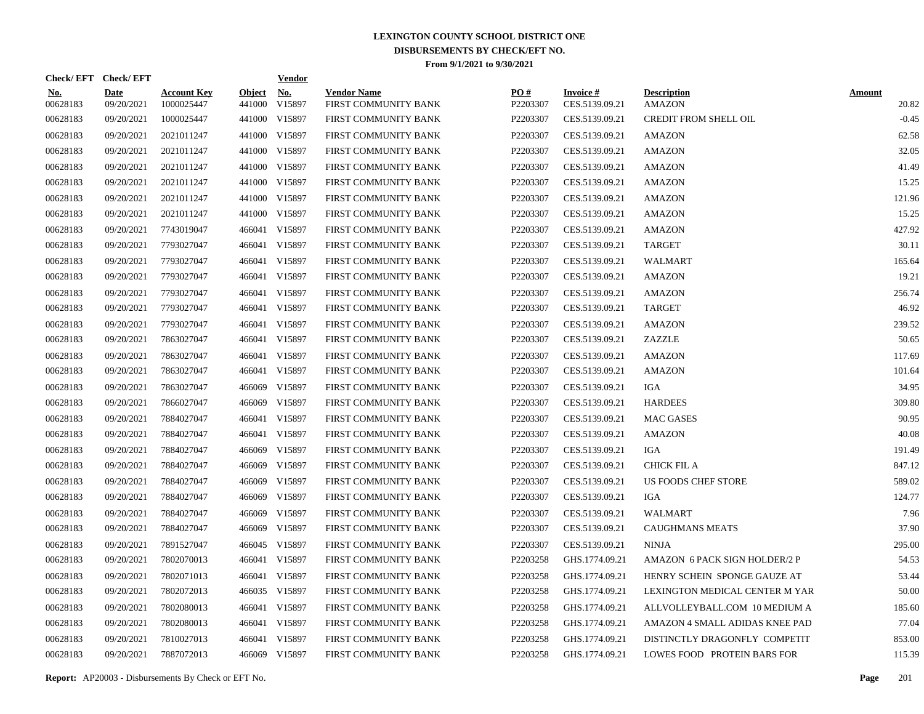| Check/EFT Check/EFT    |                           |                                  |                         | <b>Vendor</b>        |                                            |                 |                                   |                                     |                        |
|------------------------|---------------------------|----------------------------------|-------------------------|----------------------|--------------------------------------------|-----------------|-----------------------------------|-------------------------------------|------------------------|
| <u>No.</u><br>00628183 | <b>Date</b><br>09/20/2021 | <b>Account Key</b><br>1000025447 | <b>Object</b><br>441000 | <u>No.</u><br>V15897 | <b>Vendor Name</b><br>FIRST COMMUNITY BANK | PO#<br>P2203307 | <b>Invoice#</b><br>CES.5139.09.21 | <b>Description</b><br><b>AMAZON</b> | <b>Amount</b><br>20.82 |
| 00628183               | 09/20/2021                | 1000025447                       |                         | 441000 V15897        | FIRST COMMUNITY BANK                       | P2203307        | CES.5139.09.21                    | <b>CREDIT FROM SHELL OIL</b>        | $-0.45$                |
| 00628183               | 09/20/2021                | 2021011247                       |                         | 441000 V15897        | FIRST COMMUNITY BANK                       | P2203307        | CES.5139.09.21                    | <b>AMAZON</b>                       | 62.58                  |
| 00628183               | 09/20/2021                | 2021011247                       |                         | 441000 V15897        | FIRST COMMUNITY BANK                       | P2203307        | CES.5139.09.21                    | <b>AMAZON</b>                       | 32.05                  |
| 00628183               | 09/20/2021                | 2021011247                       |                         | 441000 V15897        | FIRST COMMUNITY BANK                       | P2203307        | CES.5139.09.21                    | <b>AMAZON</b>                       | 41.49                  |
| 00628183               | 09/20/2021                | 2021011247                       |                         | 441000 V15897        | FIRST COMMUNITY BANK                       | P2203307        | CES.5139.09.21                    | <b>AMAZON</b>                       | 15.25                  |
| 00628183               | 09/20/2021                | 2021011247                       |                         | 441000 V15897        | FIRST COMMUNITY BANK                       | P2203307        | CES.5139.09.21                    | <b>AMAZON</b>                       | 121.96                 |
| 00628183               | 09/20/2021                | 2021011247                       |                         | 441000 V15897        | FIRST COMMUNITY BANK                       | P2203307        | CES.5139.09.21                    | <b>AMAZON</b>                       | 15.25                  |
| 00628183               | 09/20/2021                | 7743019047                       |                         | 466041 V15897        | FIRST COMMUNITY BANK                       | P2203307        | CES.5139.09.21                    | <b>AMAZON</b>                       | 427.92                 |
| 00628183               | 09/20/2021                | 7793027047                       |                         | 466041 V15897        | FIRST COMMUNITY BANK                       | P2203307        | CES.5139.09.21                    | <b>TARGET</b>                       | 30.11                  |
| 00628183               | 09/20/2021                | 7793027047                       |                         | 466041 V15897        | FIRST COMMUNITY BANK                       | P2203307        | CES.5139.09.21                    | <b>WALMART</b>                      | 165.64                 |
| 00628183               | 09/20/2021                | 7793027047                       |                         | 466041 V15897        | FIRST COMMUNITY BANK                       | P2203307        | CES.5139.09.21                    | <b>AMAZON</b>                       | 19.21                  |
| 00628183               | 09/20/2021                | 7793027047                       |                         | 466041 V15897        | FIRST COMMUNITY BANK                       | P2203307        | CES.5139.09.21                    | <b>AMAZON</b>                       | 256.74                 |
| 00628183               | 09/20/2021                | 7793027047                       |                         | 466041 V15897        | FIRST COMMUNITY BANK                       | P2203307        | CES.5139.09.21                    | TARGET                              | 46.92                  |
| 00628183               | 09/20/2021                | 7793027047                       |                         | 466041 V15897        | FIRST COMMUNITY BANK                       | P2203307        | CES.5139.09.21                    | AMAZON                              | 239.52                 |
| 00628183               | 09/20/2021                | 7863027047                       |                         | 466041 V15897        | FIRST COMMUNITY BANK                       | P2203307        | CES.5139.09.21                    | ZAZZLE                              | 50.65                  |
| 00628183               | 09/20/2021                | 7863027047                       |                         | 466041 V15897        | FIRST COMMUNITY BANK                       | P2203307        | CES.5139.09.21                    | <b>AMAZON</b>                       | 117.69                 |
| 00628183               | 09/20/2021                | 7863027047                       |                         | 466041 V15897        | FIRST COMMUNITY BANK                       | P2203307        | CES.5139.09.21                    | <b>AMAZON</b>                       | 101.64                 |
| 00628183               | 09/20/2021                | 7863027047                       |                         | 466069 V15897        | FIRST COMMUNITY BANK                       | P2203307        | CES.5139.09.21                    | IGA                                 | 34.95                  |
| 00628183               | 09/20/2021                | 7866027047                       |                         | 466069 V15897        | FIRST COMMUNITY BANK                       | P2203307        | CES.5139.09.21                    | <b>HARDEES</b>                      | 309.80                 |
| 00628183               | 09/20/2021                | 7884027047                       |                         | 466041 V15897        | FIRST COMMUNITY BANK                       | P2203307        | CES.5139.09.21                    | MAC GASES                           | 90.95                  |
| 00628183               | 09/20/2021                | 7884027047                       |                         | 466041 V15897        | FIRST COMMUNITY BANK                       | P2203307        | CES.5139.09.21                    | <b>AMAZON</b>                       | 40.08                  |
| 00628183               | 09/20/2021                | 7884027047                       |                         | 466069 V15897        | FIRST COMMUNITY BANK                       | P2203307        | CES.5139.09.21                    | IGA                                 | 191.49                 |
| 00628183               | 09/20/2021                | 7884027047                       |                         | 466069 V15897        | FIRST COMMUNITY BANK                       | P2203307        | CES.5139.09.21                    | <b>CHICK FIL A</b>                  | 847.12                 |
| 00628183               | 09/20/2021                | 7884027047                       |                         | 466069 V15897        | FIRST COMMUNITY BANK                       | P2203307        | CES.5139.09.21                    | US FOODS CHEF STORE                 | 589.02                 |
| 00628183               | 09/20/2021                | 7884027047                       |                         | 466069 V15897        | FIRST COMMUNITY BANK                       | P2203307        | CES.5139.09.21                    | IGA                                 | 124.77                 |
| 00628183               | 09/20/2021                | 7884027047                       |                         | 466069 V15897        | FIRST COMMUNITY BANK                       | P2203307        | CES.5139.09.21                    | WALMART                             | 7.96                   |
| 00628183               | 09/20/2021                | 7884027047                       |                         | 466069 V15897        | FIRST COMMUNITY BANK                       | P2203307        | CES.5139.09.21                    | <b>CAUGHMANS MEATS</b>              | 37.90                  |
| 00628183               | 09/20/2021                | 7891527047                       |                         | 466045 V15897        | FIRST COMMUNITY BANK                       | P2203307        | CES.5139.09.21                    | <b>NINJA</b>                        | 295.00                 |
| 00628183               | 09/20/2021                | 7802070013                       |                         | 466041 V15897        | FIRST COMMUNITY BANK                       | P2203258        | GHS.1774.09.21                    | AMAZON 6 PACK SIGN HOLDER/2 P       | 54.53                  |
| 00628183               | 09/20/2021                | 7802071013                       |                         | 466041 V15897        | FIRST COMMUNITY BANK                       | P2203258        | GHS.1774.09.21                    | HENRY SCHEIN SPONGE GAUZE AT        | 53.44                  |
| 00628183               | 09/20/2021                | 7802072013                       |                         | 466035 V15897        | FIRST COMMUNITY BANK                       | P2203258        | GHS.1774.09.21                    | LEXINGTON MEDICAL CENTER M YAR      | 50.00                  |
| 00628183               | 09/20/2021                | 7802080013                       |                         | 466041 V15897        | FIRST COMMUNITY BANK                       | P2203258        | GHS.1774.09.21                    | ALLVOLLEYBALL.COM 10 MEDIUM A       | 185.60                 |
| 00628183               | 09/20/2021                | 7802080013                       |                         | 466041 V15897        | FIRST COMMUNITY BANK                       | P2203258        | GHS.1774.09.21                    | AMAZON 4 SMALL ADIDAS KNEE PAD      | 77.04                  |
| 00628183               | 09/20/2021                | 7810027013                       |                         | 466041 V15897        | FIRST COMMUNITY BANK                       | P2203258        | GHS.1774.09.21                    | DISTINCTLY DRAGONFLY COMPETIT       | 853.00                 |
| 00628183               | 09/20/2021                | 7887072013                       |                         | 466069 V15897        | FIRST COMMUNITY BANK                       | P2203258        | GHS.1774.09.21                    | LOWES FOOD PROTEIN BARS FOR         | 115.39                 |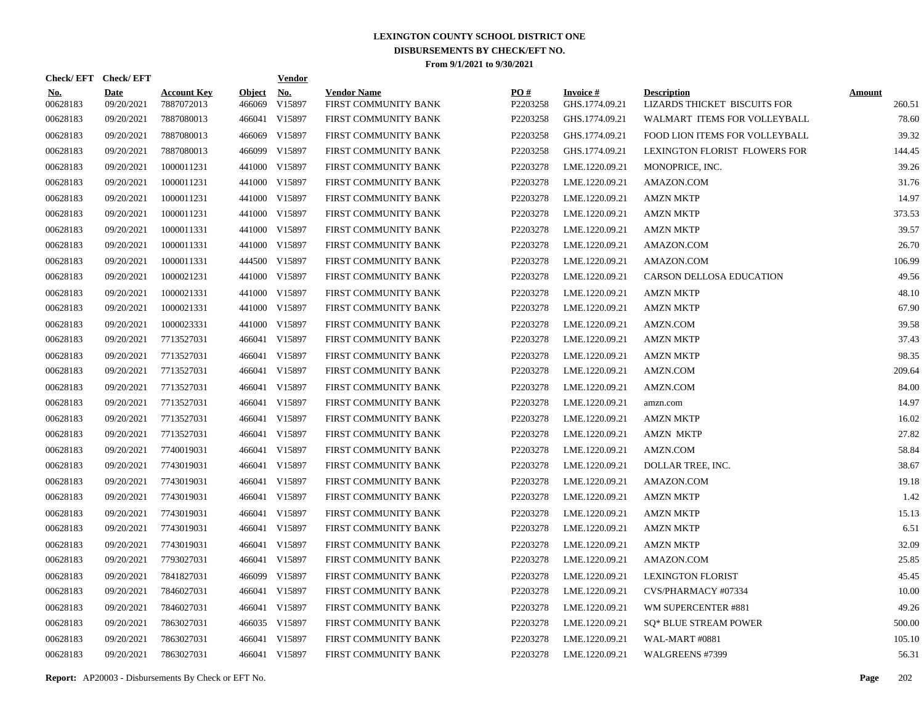| Check/EFT Check/EFT    |                           |                                  |                         | <b>Vendor</b>        |                                            |                 |                                   |                                                    |                         |
|------------------------|---------------------------|----------------------------------|-------------------------|----------------------|--------------------------------------------|-----------------|-----------------------------------|----------------------------------------------------|-------------------------|
| <u>No.</u><br>00628183 | <b>Date</b><br>09/20/2021 | <b>Account Key</b><br>7887072013 | <b>Object</b><br>466069 | <b>No.</b><br>V15897 | <b>Vendor Name</b><br>FIRST COMMUNITY BANK | PO#<br>P2203258 | <b>Invoice#</b><br>GHS.1774.09.21 | <b>Description</b><br>LIZARDS THICKET BISCUITS FOR | <b>Amount</b><br>260.51 |
| 00628183               | 09/20/2021                | 7887080013                       | 466041                  | V15897               | FIRST COMMUNITY BANK                       | P2203258        | GHS.1774.09.21                    | WALMART ITEMS FOR VOLLEYBALL                       | 78.60                   |
| 00628183               | 09/20/2021                | 7887080013                       | 466069                  | V15897               | FIRST COMMUNITY BANK                       | P2203258        | GHS.1774.09.21                    | FOOD LION ITEMS FOR VOLLEYBALL                     | 39.32                   |
| 00628183               | 09/20/2021                | 7887080013                       |                         | 466099 V15897        | FIRST COMMUNITY BANK                       | P2203258        | GHS.1774.09.21                    | LEXINGTON FLORIST FLOWERS FOR                      | 144.45                  |
| 00628183               | 09/20/2021                | 1000011231                       | 441000                  | V15897               | FIRST COMMUNITY BANK                       | P2203278        | LME.1220.09.21                    | MONOPRICE, INC.                                    | 39.26                   |
| 00628183               | 09/20/2021                | 1000011231                       |                         | 441000 V15897        | FIRST COMMUNITY BANK                       | P2203278        | LME.1220.09.21                    | AMAZON.COM                                         | 31.76                   |
| 00628183               | 09/20/2021                | 1000011231                       |                         | 441000 V15897        | FIRST COMMUNITY BANK                       | P2203278        | LME.1220.09.21                    | <b>AMZN MKTP</b>                                   | 14.97                   |
| 00628183               | 09/20/2021                | 1000011231                       |                         | 441000 V15897        | FIRST COMMUNITY BANK                       | P2203278        | LME.1220.09.21                    | <b>AMZN MKTP</b>                                   | 373.53                  |
| 00628183               | 09/20/2021                | 1000011331                       |                         | 441000 V15897        | FIRST COMMUNITY BANK                       | P2203278        | LME.1220.09.21                    | <b>AMZN MKTP</b>                                   | 39.57                   |
| 00628183               | 09/20/2021                | 1000011331                       |                         | 441000 V15897        | FIRST COMMUNITY BANK                       | P2203278        | LME.1220.09.21                    | AMAZON.COM                                         | 26.70                   |
| 00628183               | 09/20/2021                | 1000011331                       |                         | 444500 V15897        | FIRST COMMUNITY BANK                       | P2203278        | LME.1220.09.21                    | AMAZON.COM                                         | 106.99                  |
| 00628183               | 09/20/2021                | 1000021231                       |                         | 441000 V15897        | FIRST COMMUNITY BANK                       | P2203278        | LME.1220.09.21                    | CARSON DELLOSA EDUCATION                           | 49.56                   |
| 00628183               | 09/20/2021                | 1000021331                       |                         | 441000 V15897        | FIRST COMMUNITY BANK                       | P2203278        | LME.1220.09.21                    | <b>AMZN MKTP</b>                                   | 48.10                   |
| 00628183               | 09/20/2021                | 1000021331                       |                         | 441000 V15897        | FIRST COMMUNITY BANK                       | P2203278        | LME.1220.09.21                    | <b>AMZN MKTP</b>                                   | 67.90                   |
| 00628183               | 09/20/2021                | 1000023331                       |                         | 441000 V15897        | FIRST COMMUNITY BANK                       | P2203278        | LME.1220.09.21                    | AMZN.COM                                           | 39.58                   |
| 00628183               | 09/20/2021                | 7713527031                       |                         | 466041 V15897        | FIRST COMMUNITY BANK                       | P2203278        | LME.1220.09.21                    | <b>AMZN MKTP</b>                                   | 37.43                   |
| 00628183               | 09/20/2021                | 7713527031                       |                         | 466041 V15897        | FIRST COMMUNITY BANK                       | P2203278        | LME.1220.09.21                    | <b>AMZN MKTP</b>                                   | 98.35                   |
| 00628183               | 09/20/2021                | 7713527031                       |                         | 466041 V15897        | FIRST COMMUNITY BANK                       | P2203278        | LME.1220.09.21                    | AMZN.COM                                           | 209.64                  |
| 00628183               | 09/20/2021                | 7713527031                       |                         | 466041 V15897        | FIRST COMMUNITY BANK                       | P2203278        | LME.1220.09.21                    | AMZN.COM                                           | 84.00                   |
| 00628183               | 09/20/2021                | 7713527031                       |                         | 466041 V15897        | FIRST COMMUNITY BANK                       | P2203278        | LME.1220.09.21                    | amzn.com                                           | 14.97                   |
| 00628183               | 09/20/2021                | 7713527031                       |                         | 466041 V15897        | FIRST COMMUNITY BANK                       | P2203278        | LME.1220.09.21                    | <b>AMZN MKTP</b>                                   | 16.02                   |
| 00628183               | 09/20/2021                | 7713527031                       |                         | 466041 V15897        | FIRST COMMUNITY BANK                       | P2203278        | LME.1220.09.21                    | <b>AMZN MKTP</b>                                   | 27.82                   |
| 00628183               | 09/20/2021                | 7740019031                       |                         | 466041 V15897        | FIRST COMMUNITY BANK                       | P2203278        | LME.1220.09.21                    | AMZN.COM                                           | 58.84                   |
| 00628183               | 09/20/2021                | 7743019031                       |                         | 466041 V15897        | FIRST COMMUNITY BANK                       | P2203278        | LME.1220.09.21                    | DOLLAR TREE, INC.                                  | 38.67                   |
| 00628183               | 09/20/2021                | 7743019031                       |                         | 466041 V15897        | FIRST COMMUNITY BANK                       | P2203278        | LME.1220.09.21                    | AMAZON.COM                                         | 19.18                   |
| 00628183               | 09/20/2021                | 7743019031                       |                         | 466041 V15897        | FIRST COMMUNITY BANK                       | P2203278        | LME.1220.09.21                    | <b>AMZN MKTP</b>                                   | 1.42                    |
| 00628183               | 09/20/2021                | 7743019031                       |                         | 466041 V15897        | FIRST COMMUNITY BANK                       | P2203278        | LME.1220.09.21                    | <b>AMZN MKTP</b>                                   | 15.13                   |
| 00628183               | 09/20/2021                | 7743019031                       |                         | 466041 V15897        | FIRST COMMUNITY BANK                       | P2203278        | LME.1220.09.21                    | <b>AMZN MKTP</b>                                   | 6.51                    |
| 00628183               | 09/20/2021                | 7743019031                       |                         | 466041 V15897        | FIRST COMMUNITY BANK                       | P2203278        | LME.1220.09.21                    | <b>AMZN MKTP</b>                                   | 32.09                   |
| 00628183               | 09/20/2021                | 7793027031                       |                         | 466041 V15897        | FIRST COMMUNITY BANK                       | P2203278        | LME.1220.09.21                    | AMAZON.COM                                         | 25.85                   |
| 00628183               | 09/20/2021                | 7841827031                       |                         | 466099 V15897        | FIRST COMMUNITY BANK                       | P2203278        | LME.1220.09.21                    | <b>LEXINGTON FLORIST</b>                           | 45.45                   |
| 00628183               | 09/20/2021                | 7846027031                       |                         | 466041 V15897        | FIRST COMMUNITY BANK                       | P2203278        | LME.1220.09.21                    | CVS/PHARMACY #07334                                | 10.00                   |
| 00628183               | 09/20/2021                | 7846027031                       |                         | 466041 V15897        | FIRST COMMUNITY BANK                       | P2203278        | LME.1220.09.21                    | WM SUPERCENTER #881                                | 49.26                   |
| 00628183               | 09/20/2021                | 7863027031                       |                         | 466035 V15897        | FIRST COMMUNITY BANK                       | P2203278        | LME.1220.09.21                    | SQ* BLUE STREAM POWER                              | 500.00                  |
| 00628183               | 09/20/2021                | 7863027031                       |                         | 466041 V15897        | FIRST COMMUNITY BANK                       | P2203278        | LME.1220.09.21                    | WAL-MART #0881                                     | 105.10                  |
| 00628183               | 09/20/2021                | 7863027031                       |                         | 466041 V15897        | FIRST COMMUNITY BANK                       | P2203278        | LME.1220.09.21                    | WALGREENS #7399                                    | 56.31                   |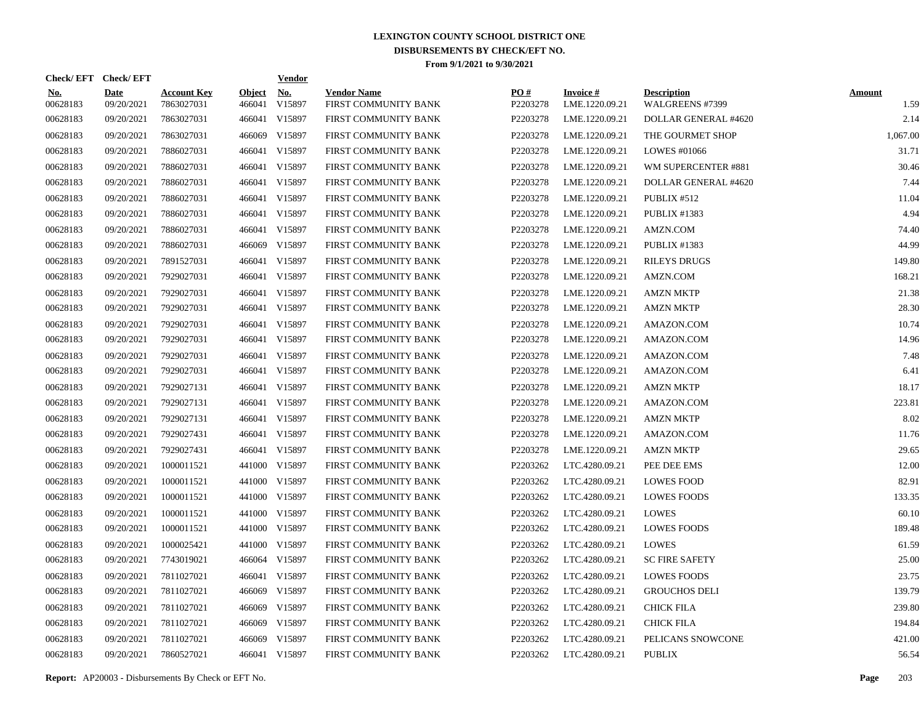|                        | Check/EFT Check/EFT       |                                  |                         | <b>Vendor</b>        |                                            |                 |                                   |                                       |                       |
|------------------------|---------------------------|----------------------------------|-------------------------|----------------------|--------------------------------------------|-----------------|-----------------------------------|---------------------------------------|-----------------------|
| <u>No.</u><br>00628183 | <b>Date</b><br>09/20/2021 | <b>Account Key</b><br>7863027031 | <b>Object</b><br>466041 | <u>No.</u><br>V15897 | <b>Vendor Name</b><br>FIRST COMMUNITY BANK | PO#<br>P2203278 | <b>Invoice#</b><br>LME.1220.09.21 | <b>Description</b><br>WALGREENS #7399 | <b>Amount</b><br>1.59 |
| 00628183               | 09/20/2021                | 7863027031                       |                         | 466041 V15897        | FIRST COMMUNITY BANK                       | P2203278        | LME.1220.09.21                    | DOLLAR GENERAL #4620                  | 2.14                  |
| 00628183               | 09/20/2021                | 7863027031                       |                         | 466069 V15897        | FIRST COMMUNITY BANK                       | P2203278        | LME.1220.09.21                    | THE GOURMET SHOP                      | 1,067.00              |
| 00628183               | 09/20/2021                | 7886027031                       |                         | 466041 V15897        | FIRST COMMUNITY BANK                       | P2203278        | LME.1220.09.21                    | LOWES #01066                          | 31.71                 |
| 00628183               | 09/20/2021                | 7886027031                       |                         | 466041 V15897        | FIRST COMMUNITY BANK                       | P2203278        | LME.1220.09.21                    | WM SUPERCENTER #881                   | 30.46                 |
| 00628183               | 09/20/2021                | 7886027031                       |                         | 466041 V15897        | FIRST COMMUNITY BANK                       | P2203278        | LME.1220.09.21                    | DOLLAR GENERAL #4620                  | 7.44                  |
| 00628183               | 09/20/2021                | 7886027031                       |                         | 466041 V15897        | FIRST COMMUNITY BANK                       | P2203278        | LME.1220.09.21                    | PUBLIX #512                           | 11.04                 |
| 00628183               | 09/20/2021                | 7886027031                       |                         | 466041 V15897        | FIRST COMMUNITY BANK                       | P2203278        | LME.1220.09.21                    | <b>PUBLIX #1383</b>                   | 4.94                  |
| 00628183               | 09/20/2021                | 7886027031                       |                         | 466041 V15897        | FIRST COMMUNITY BANK                       | P2203278        | LME.1220.09.21                    | AMZN.COM                              | 74.40                 |
| 00628183               | 09/20/2021                | 7886027031                       |                         | 466069 V15897        | FIRST COMMUNITY BANK                       | P2203278        | LME.1220.09.21                    | PUBLIX #1383                          | 44.99                 |
| 00628183               | 09/20/2021                | 7891527031                       |                         | 466041 V15897        | FIRST COMMUNITY BANK                       | P2203278        | LME.1220.09.21                    | <b>RILEYS DRUGS</b>                   | 149.80                |
| 00628183               | 09/20/2021                | 7929027031                       |                         | 466041 V15897        | FIRST COMMUNITY BANK                       | P2203278        | LME.1220.09.21                    | AMZN.COM                              | 168.21                |
| 00628183               | 09/20/2021                | 7929027031                       |                         | 466041 V15897        | FIRST COMMUNITY BANK                       | P2203278        | LME.1220.09.21                    | <b>AMZN MKTP</b>                      | 21.38                 |
| 00628183               | 09/20/2021                | 7929027031                       |                         | 466041 V15897        | FIRST COMMUNITY BANK                       | P2203278        | LME.1220.09.21                    | <b>AMZN MKTP</b>                      | 28.30                 |
| 00628183               | 09/20/2021                | 7929027031                       |                         | 466041 V15897        | FIRST COMMUNITY BANK                       | P2203278        | LME.1220.09.21                    | AMAZON.COM                            | 10.74                 |
| 00628183               | 09/20/2021                | 7929027031                       |                         | 466041 V15897        | FIRST COMMUNITY BANK                       | P2203278        | LME.1220.09.21                    | AMAZON.COM                            | 14.96                 |
| 00628183               | 09/20/2021                | 7929027031                       |                         | 466041 V15897        | FIRST COMMUNITY BANK                       | P2203278        | LME.1220.09.21                    | AMAZON.COM                            | 7.48                  |
| 00628183               | 09/20/2021                | 7929027031                       |                         | 466041 V15897        | FIRST COMMUNITY BANK                       | P2203278        | LME.1220.09.21                    | AMAZON.COM                            | 6.41                  |
| 00628183               | 09/20/2021                | 7929027131                       |                         | 466041 V15897        | FIRST COMMUNITY BANK                       | P2203278        | LME.1220.09.21                    | <b>AMZN MKTP</b>                      | 18.17                 |
| 00628183               | 09/20/2021                | 7929027131                       |                         | 466041 V15897        | FIRST COMMUNITY BANK                       | P2203278        | LME.1220.09.21                    | AMAZON.COM                            | 223.81                |
| 00628183               | 09/20/2021                | 7929027131                       |                         | 466041 V15897        | FIRST COMMUNITY BANK                       | P2203278        | LME.1220.09.21                    | <b>AMZN MKTP</b>                      | 8.02                  |
| 00628183               | 09/20/2021                | 7929027431                       |                         | 466041 V15897        | FIRST COMMUNITY BANK                       | P2203278        | LME.1220.09.21                    | AMAZON.COM                            | 11.76                 |
| 00628183               | 09/20/2021                | 7929027431                       |                         | 466041 V15897        | FIRST COMMUNITY BANK                       | P2203278        | LME.1220.09.21                    | <b>AMZN MKTP</b>                      | 29.65                 |
| 00628183               | 09/20/2021                | 1000011521                       |                         | 441000 V15897        | FIRST COMMUNITY BANK                       | P2203262        | LTC.4280.09.21                    | PEE DEE EMS                           | 12.00                 |
| 00628183               | 09/20/2021                | 1000011521                       |                         | 441000 V15897        | FIRST COMMUNITY BANK                       | P2203262        | LTC.4280.09.21                    | <b>LOWES FOOD</b>                     | 82.91                 |
| 00628183               | 09/20/2021                | 1000011521                       |                         | 441000 V15897        | FIRST COMMUNITY BANK                       | P2203262        | LTC.4280.09.21                    | <b>LOWES FOODS</b>                    | 133.35                |
| 00628183               | 09/20/2021                | 1000011521                       |                         | 441000 V15897        | FIRST COMMUNITY BANK                       | P2203262        | LTC.4280.09.21                    | LOWES                                 | 60.10                 |
| 00628183               | 09/20/2021                | 1000011521                       |                         | 441000 V15897        | FIRST COMMUNITY BANK                       | P2203262        | LTC.4280.09.21                    | <b>LOWES FOODS</b>                    | 189.48                |
| 00628183               | 09/20/2021                | 1000025421                       |                         | 441000 V15897        | FIRST COMMUNITY BANK                       | P2203262        | LTC.4280.09.21                    | <b>LOWES</b>                          | 61.59                 |
| 00628183               | 09/20/2021                | 7743019021                       |                         | 466064 V15897        | FIRST COMMUNITY BANK                       | P2203262        | LTC.4280.09.21                    | <b>SC FIRE SAFETY</b>                 | 25.00                 |
| 00628183               | 09/20/2021                | 7811027021                       |                         | 466041 V15897        | FIRST COMMUNITY BANK                       | P2203262        | LTC.4280.09.21                    | <b>LOWES FOODS</b>                    | 23.75                 |
| 00628183               | 09/20/2021                | 7811027021                       |                         | 466069 V15897        | FIRST COMMUNITY BANK                       | P2203262        | LTC.4280.09.21                    | <b>GROUCHOS DELI</b>                  | 139.79                |
| 00628183               | 09/20/2021                | 7811027021                       | 466069                  | V15897               | FIRST COMMUNITY BANK                       | P2203262        | LTC.4280.09.21                    | <b>CHICK FILA</b>                     | 239.80                |
| 00628183               | 09/20/2021                | 7811027021                       |                         | 466069 V15897        | FIRST COMMUNITY BANK                       | P2203262        | LTC.4280.09.21                    | <b>CHICK FILA</b>                     | 194.84                |
| 00628183               | 09/20/2021                | 7811027021                       | 466069                  | V15897               | FIRST COMMUNITY BANK                       | P2203262        | LTC.4280.09.21                    | PELICANS SNOWCONE                     | 421.00                |
| 00628183               | 09/20/2021                | 7860527021                       |                         | 466041 V15897        | FIRST COMMUNITY BANK                       | P2203262        | LTC.4280.09.21                    | <b>PUBLIX</b>                         | 56.54                 |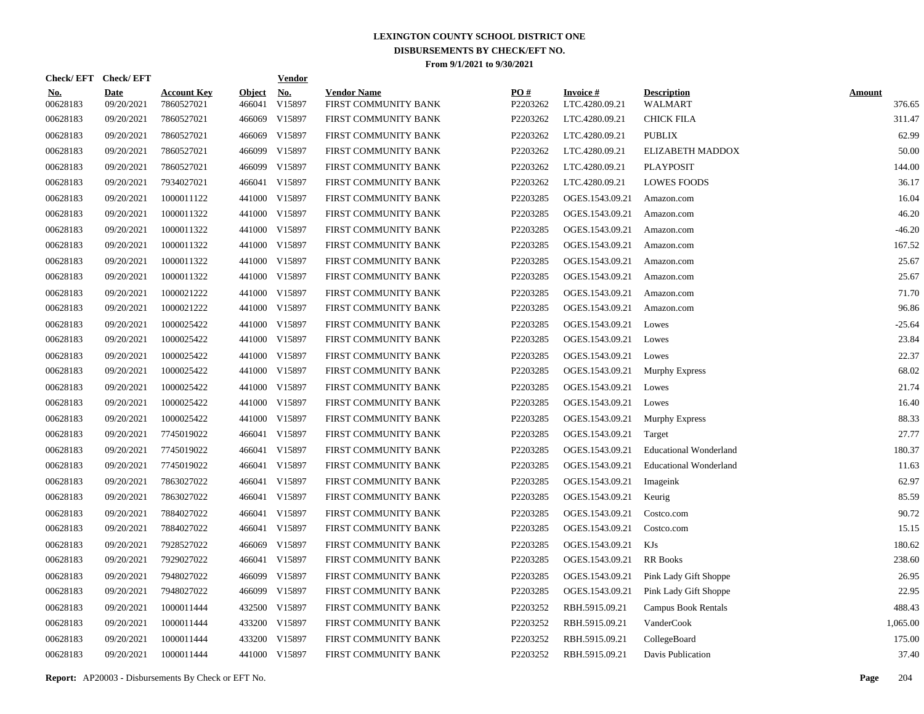| Check/EFT Check/EFT    |                           |                                  |                         | <b>Vendor</b>        |                                            |                 |                                   |                                      |                         |
|------------------------|---------------------------|----------------------------------|-------------------------|----------------------|--------------------------------------------|-----------------|-----------------------------------|--------------------------------------|-------------------------|
| <u>No.</u><br>00628183 | <b>Date</b><br>09/20/2021 | <b>Account Key</b><br>7860527021 | <b>Object</b><br>466041 | <u>No.</u><br>V15897 | <b>Vendor Name</b><br>FIRST COMMUNITY BANK | PO#<br>P2203262 | <b>Invoice#</b><br>LTC.4280.09.21 | <b>Description</b><br><b>WALMART</b> | <b>Amount</b><br>376.65 |
| 00628183               | 09/20/2021                | 7860527021                       | 466069                  | V15897               | FIRST COMMUNITY BANK                       | P2203262        | LTC.4280.09.21                    | <b>CHICK FILA</b>                    | 311.47                  |
| 00628183               | 09/20/2021                | 7860527021                       | 466069                  | V15897               | FIRST COMMUNITY BANK                       | P2203262        | LTC.4280.09.21                    | <b>PUBLIX</b>                        | 62.99                   |
| 00628183               | 09/20/2021                | 7860527021                       | 466099                  | V15897               | FIRST COMMUNITY BANK                       | P2203262        | LTC.4280.09.21                    | ELIZABETH MADDOX                     | 50.00                   |
| 00628183               | 09/20/2021                | 7860527021                       | 466099                  | V15897               | FIRST COMMUNITY BANK                       | P2203262        | LTC.4280.09.21                    | <b>PLAYPOSIT</b>                     | 144.00                  |
| 00628183               | 09/20/2021                | 7934027021                       |                         | 466041 V15897        | FIRST COMMUNITY BANK                       | P2203262        | LTC.4280.09.21                    | <b>LOWES FOODS</b>                   | 36.17                   |
| 00628183               | 09/20/2021                | 1000011122                       |                         | 441000 V15897        | FIRST COMMUNITY BANK                       | P2203285        | OGES.1543.09.21                   | Amazon.com                           | 16.04                   |
| 00628183               | 09/20/2021                | 1000011322                       |                         | 441000 V15897        | FIRST COMMUNITY BANK                       | P2203285        | OGES.1543.09.21                   | Amazon.com                           | 46.20                   |
| 00628183               | 09/20/2021                | 1000011322                       |                         | 441000 V15897        | FIRST COMMUNITY BANK                       | P2203285        | OGES.1543.09.21                   | Amazon.com                           | $-46.20$                |
| 00628183               | 09/20/2021                | 1000011322                       |                         | 441000 V15897        | FIRST COMMUNITY BANK                       | P2203285        | OGES.1543.09.21                   | Amazon.com                           | 167.52                  |
| 00628183               | 09/20/2021                | 1000011322                       |                         | 441000 V15897        | FIRST COMMUNITY BANK                       | P2203285        | OGES.1543.09.21                   | Amazon.com                           | 25.67                   |
| 00628183               | 09/20/2021                | 1000011322                       |                         | 441000 V15897        | FIRST COMMUNITY BANK                       | P2203285        | OGES.1543.09.21                   | Amazon.com                           | 25.67                   |
| 00628183               | 09/20/2021                | 1000021222                       |                         | 441000 V15897        | FIRST COMMUNITY BANK                       | P2203285        | OGES.1543.09.21                   | Amazon.com                           | 71.70                   |
| 00628183               | 09/20/2021                | 1000021222                       |                         | 441000 V15897        | FIRST COMMUNITY BANK                       | P2203285        | OGES.1543.09.21                   | Amazon.com                           | 96.86                   |
| 00628183               | 09/20/2021                | 1000025422                       |                         | 441000 V15897        | FIRST COMMUNITY BANK                       | P2203285        | OGES.1543.09.21                   | Lowes                                | $-25.64$                |
| 00628183               | 09/20/2021                | 1000025422                       |                         | 441000 V15897        | FIRST COMMUNITY BANK                       | P2203285        | OGES.1543.09.21                   | Lowes                                | 23.84                   |
| 00628183               | 09/20/2021                | 1000025422                       |                         | 441000 V15897        | FIRST COMMUNITY BANK                       | P2203285        | OGES.1543.09.21                   | Lowes                                | 22.37                   |
| 00628183               | 09/20/2021                | 1000025422                       |                         | 441000 V15897        | FIRST COMMUNITY BANK                       | P2203285        | OGES.1543.09.21                   | <b>Murphy Express</b>                | 68.02                   |
| 00628183               | 09/20/2021                | 1000025422                       | 441000                  | V15897               | FIRST COMMUNITY BANK                       | P2203285        | OGES.1543.09.21                   | Lowes                                | 21.74                   |
| 00628183               | 09/20/2021                | 1000025422                       |                         | 441000 V15897        | FIRST COMMUNITY BANK                       | P2203285        | OGES.1543.09.21                   | Lowes                                | 16.40                   |
| 00628183               | 09/20/2021                | 1000025422                       |                         | 441000 V15897        | FIRST COMMUNITY BANK                       | P2203285        | OGES.1543.09.21                   | <b>Murphy Express</b>                | 88.33                   |
| 00628183               | 09/20/2021                | 7745019022                       |                         | 466041 V15897        | FIRST COMMUNITY BANK                       | P2203285        | OGES.1543.09.21                   | Target                               | 27.77                   |
| 00628183               | 09/20/2021                | 7745019022                       |                         | 466041 V15897        | FIRST COMMUNITY BANK                       | P2203285        | OGES.1543.09.21                   | <b>Educational Wonderland</b>        | 180.37                  |
| 00628183               | 09/20/2021                | 7745019022                       |                         | 466041 V15897        | FIRST COMMUNITY BANK                       | P2203285        | OGES.1543.09.21                   | <b>Educational Wonderland</b>        | 11.63                   |
| 00628183               | 09/20/2021                | 7863027022                       |                         | 466041 V15897        | FIRST COMMUNITY BANK                       | P2203285        | OGES.1543.09.21                   | Imageink                             | 62.97                   |
| 00628183               | 09/20/2021                | 7863027022                       |                         | 466041 V15897        | FIRST COMMUNITY BANK                       | P2203285        | OGES.1543.09.21                   | Keurig                               | 85.59                   |
| 00628183               | 09/20/2021                | 7884027022                       |                         | 466041 V15897        | FIRST COMMUNITY BANK                       | P2203285        | OGES.1543.09.21                   | Costco.com                           | 90.72                   |
| 00628183               | 09/20/2021                | 7884027022                       |                         | 466041 V15897        | FIRST COMMUNITY BANK                       | P2203285        | OGES.1543.09.21                   | Costco.com                           | 15.15                   |
| 00628183               | 09/20/2021                | 7928527022                       |                         | 466069 V15897        | FIRST COMMUNITY BANK                       | P2203285        | OGES.1543.09.21                   | KJs                                  | 180.62                  |
| 00628183               | 09/20/2021                | 7929027022                       |                         | 466041 V15897        | FIRST COMMUNITY BANK                       | P2203285        | OGES.1543.09.21                   | <b>RR</b> Books                      | 238.60                  |
| 00628183               | 09/20/2021                | 7948027022                       | 466099                  | V15897               | FIRST COMMUNITY BANK                       | P2203285        | OGES.1543.09.21                   | Pink Lady Gift Shoppe                | 26.95                   |
| 00628183               | 09/20/2021                | 7948027022                       | 466099                  | V15897               | FIRST COMMUNITY BANK                       | P2203285        | OGES.1543.09.21                   | Pink Lady Gift Shoppe                | 22.95                   |
| 00628183               | 09/20/2021                | 1000011444                       |                         | 432500 V15897        | FIRST COMMUNITY BANK                       | P2203252        | RBH.5915.09.21                    | <b>Campus Book Rentals</b>           | 488.43                  |
| 00628183               | 09/20/2021                | 1000011444                       |                         | 433200 V15897        | FIRST COMMUNITY BANK                       | P2203252        | RBH.5915.09.21                    | VanderCook                           | 1,065.00                |
| 00628183               | 09/20/2021                | 1000011444                       |                         | 433200 V15897        | FIRST COMMUNITY BANK                       | P2203252        | RBH.5915.09.21                    | CollegeBoard                         | 175.00                  |
| 00628183               | 09/20/2021                | 1000011444                       |                         | 441000 V15897        | FIRST COMMUNITY BANK                       | P2203252        | RBH.5915.09.21                    | Davis Publication                    | 37.40                   |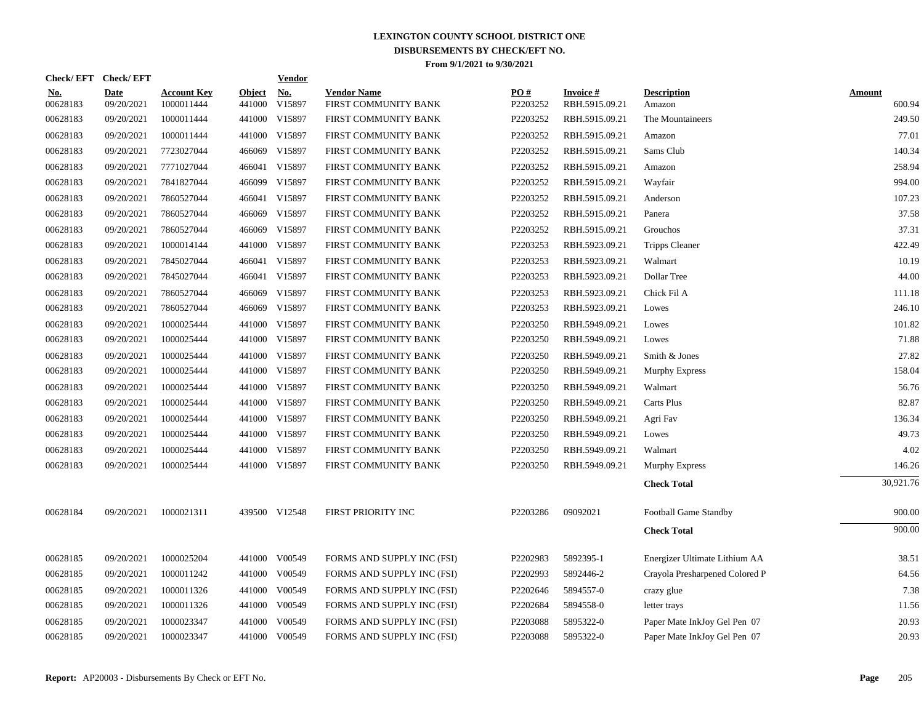| <b>Check/EFT</b>       | <b>Check/EFT</b>          |                                  |                         | <b>Vendor</b>        |                                            |                 |                                   |                                |                         |
|------------------------|---------------------------|----------------------------------|-------------------------|----------------------|--------------------------------------------|-----------------|-----------------------------------|--------------------------------|-------------------------|
| <u>No.</u><br>00628183 | <b>Date</b><br>09/20/2021 | <b>Account Key</b><br>1000011444 | <b>Object</b><br>441000 | <u>No.</u><br>V15897 | <b>Vendor Name</b><br>FIRST COMMUNITY BANK | PO#<br>P2203252 | <b>Invoice#</b><br>RBH.5915.09.21 | <b>Description</b><br>Amazon   | <b>Amount</b><br>600.94 |
| 00628183               | 09/20/2021                | 1000011444                       | 441000                  | V15897               | FIRST COMMUNITY BANK                       | P2203252        | RBH.5915.09.21                    | The Mountaineers               | 249.50                  |
| 00628183               | 09/20/2021                | 1000011444                       | 441000                  | V15897               | FIRST COMMUNITY BANK                       | P2203252        | RBH.5915.09.21                    | Amazon                         | 77.01                   |
| 00628183               | 09/20/2021                | 7723027044                       | 466069                  | V15897               | FIRST COMMUNITY BANK                       | P2203252        | RBH.5915.09.21                    | Sams Club                      | 140.34                  |
| 00628183               | 09/20/2021                | 7771027044                       |                         | 466041 V15897        | FIRST COMMUNITY BANK                       | P2203252        | RBH.5915.09.21                    | Amazon                         | 258.94                  |
| 00628183               | 09/20/2021                | 7841827044                       | 466099                  | V15897               | FIRST COMMUNITY BANK                       | P2203252        | RBH.5915.09.21                    | Wayfair                        | 994.00                  |
| 00628183               | 09/20/2021                | 7860527044                       |                         | 466041 V15897        | FIRST COMMUNITY BANK                       | P2203252        | RBH.5915.09.21                    | Anderson                       | 107.23                  |
| 00628183               | 09/20/2021                | 7860527044                       |                         | 466069 V15897        | FIRST COMMUNITY BANK                       | P2203252        | RBH.5915.09.21                    | Panera                         | 37.58                   |
| 00628183               | 09/20/2021                | 7860527044                       | 466069                  | V15897               | FIRST COMMUNITY BANK                       | P2203252        | RBH.5915.09.21                    | Grouchos                       | 37.31                   |
| 00628183               | 09/20/2021                | 1000014144                       |                         | 441000 V15897        | FIRST COMMUNITY BANK                       | P2203253        | RBH.5923.09.21                    | <b>Tripps Cleaner</b>          | 422.49                  |
| 00628183               | 09/20/2021                | 7845027044                       |                         | 466041 V15897        | FIRST COMMUNITY BANK                       | P2203253        | RBH.5923.09.21                    | Walmart                        | 10.19                   |
| 00628183               | 09/20/2021                | 7845027044                       |                         | 466041 V15897        | FIRST COMMUNITY BANK                       | P2203253        | RBH.5923.09.21                    | Dollar Tree                    | 44.00                   |
| 00628183               | 09/20/2021                | 7860527044                       | 466069                  | V15897               | FIRST COMMUNITY BANK                       | P2203253        | RBH.5923.09.21                    | Chick Fil A                    | 111.18                  |
| 00628183               | 09/20/2021                | 7860527044                       | 466069                  | V15897               | FIRST COMMUNITY BANK                       | P2203253        | RBH.5923.09.21                    | Lowes                          | 246.10                  |
| 00628183               | 09/20/2021                | 1000025444                       | 441000                  | V15897               | FIRST COMMUNITY BANK                       | P2203250        | RBH.5949.09.21                    | Lowes                          | 101.82                  |
| 00628183               | 09/20/2021                | 1000025444                       |                         | 441000 V15897        | FIRST COMMUNITY BANK                       | P2203250        | RBH.5949.09.21                    | Lowes                          | 71.88                   |
| 00628183               | 09/20/2021                | 1000025444                       |                         | 441000 V15897        | FIRST COMMUNITY BANK                       | P2203250        | RBH.5949.09.21                    | Smith & Jones                  | 27.82                   |
| 00628183               | 09/20/2021                | 1000025444                       | 441000                  | V15897               | FIRST COMMUNITY BANK                       | P2203250        | RBH.5949.09.21                    | Murphy Express                 | 158.04                  |
| 00628183               | 09/20/2021                | 1000025444                       |                         | 441000 V15897        | FIRST COMMUNITY BANK                       | P2203250        | RBH.5949.09.21                    | Walmart                        | 56.76                   |
| 00628183               | 09/20/2021                | 1000025444                       |                         | 441000 V15897        | FIRST COMMUNITY BANK                       | P2203250        | RBH.5949.09.21                    | Carts Plus                     | 82.87                   |
| 00628183               | 09/20/2021                | 1000025444                       |                         | 441000 V15897        | FIRST COMMUNITY BANK                       | P2203250        | RBH.5949.09.21                    | Agri Fav                       | 136.34                  |
| 00628183               | 09/20/2021                | 1000025444                       |                         | 441000 V15897        | FIRST COMMUNITY BANK                       | P2203250        | RBH.5949.09.21                    | Lowes                          | 49.73                   |
| 00628183               | 09/20/2021                | 1000025444                       |                         | 441000 V15897        | FIRST COMMUNITY BANK                       | P2203250        | RBH.5949.09.21                    | Walmart                        | 4.02                    |
| 00628183               | 09/20/2021                | 1000025444                       |                         | 441000 V15897        | FIRST COMMUNITY BANK                       | P2203250        | RBH.5949.09.21                    | Murphy Express                 | 146.26                  |
|                        |                           |                                  |                         |                      |                                            |                 |                                   | <b>Check Total</b>             | 30,921.76               |
| 00628184               | 09/20/2021                | 1000021311                       |                         | 439500 V12548        | FIRST PRIORITY INC                         | P2203286        | 09092021                          | Football Game Standby          | 900.00                  |
|                        |                           |                                  |                         |                      |                                            |                 |                                   | <b>Check Total</b>             | 900.00                  |
| 00628185               | 09/20/2021                | 1000025204                       |                         | 441000 V00549        | FORMS AND SUPPLY INC (FSI)                 | P2202983        | 5892395-1                         | Energizer Ultimate Lithium AA  | 38.51                   |
| 00628185               | 09/20/2021                | 1000011242                       | 441000                  | V00549               | FORMS AND SUPPLY INC (FSI)                 | P2202993        | 5892446-2                         | Crayola Presharpened Colored P | 64.56                   |
| 00628185               | 09/20/2021                | 1000011326                       | 441000                  | V00549               | FORMS AND SUPPLY INC (FSI)                 | P2202646        | 5894557-0                         | crazy glue                     | 7.38                    |
| 00628185               | 09/20/2021                | 1000011326                       |                         | 441000 V00549        | FORMS AND SUPPLY INC (FSI)                 | P2202684        | 5894558-0                         | letter trays                   | 11.56                   |
| 00628185               | 09/20/2021                | 1000023347                       | 441000                  | V00549               | FORMS AND SUPPLY INC (FSI)                 | P2203088        | 5895322-0                         | Paper Mate InkJoy Gel Pen 07   | 20.93                   |
| 00628185               | 09/20/2021                | 1000023347                       |                         | 441000 V00549        | FORMS AND SUPPLY INC (FSI)                 | P2203088        | 5895322-0                         | Paper Mate InkJoy Gel Pen 07   | 20.93                   |
|                        |                           |                                  |                         |                      |                                            |                 |                                   |                                |                         |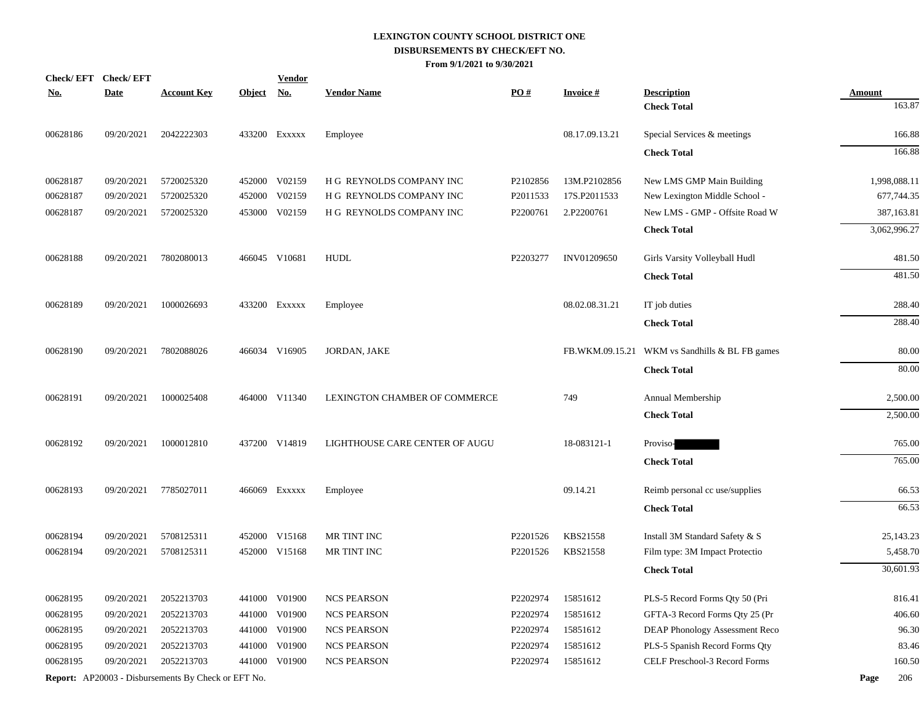|            | Check/EFT Check/EFT |                                                            |            | <b>Vendor</b> |                                |          |                 |                                                |                         |
|------------|---------------------|------------------------------------------------------------|------------|---------------|--------------------------------|----------|-----------------|------------------------------------------------|-------------------------|
| <u>No.</u> | <b>Date</b>         | <b>Account Key</b>                                         | Object No. |               | <b>Vendor Name</b>             | PO#      | <b>Invoice#</b> | <b>Description</b>                             | <b>Amount</b><br>163.87 |
|            |                     |                                                            |            |               |                                |          |                 | <b>Check Total</b>                             |                         |
| 00628186   | 09/20/2021          | 2042222303                                                 |            | 433200 Exxxxx | Employee                       |          | 08.17.09.13.21  | Special Services & meetings                    | 166.88                  |
|            |                     |                                                            |            |               |                                |          |                 | <b>Check Total</b>                             | 166.88                  |
| 00628187   | 09/20/2021          | 5720025320                                                 |            | 452000 V02159 | H G REYNOLDS COMPANY INC       | P2102856 | 13M.P2102856    | New LMS GMP Main Building                      | 1,998,088.11            |
| 00628187   | 09/20/2021          | 5720025320                                                 | 452000     | V02159        | H G REYNOLDS COMPANY INC       | P2011533 | 17S.P2011533    | New Lexington Middle School -                  | 677,744.35              |
| 00628187   | 09/20/2021          | 5720025320                                                 |            | 453000 V02159 | H G REYNOLDS COMPANY INC       | P2200761 | 2.P2200761      | New LMS - GMP - Offsite Road W                 | 387,163.81              |
|            |                     |                                                            |            |               |                                |          |                 | <b>Check Total</b>                             | 3,062,996.27            |
| 00628188   | 09/20/2021          | 7802080013                                                 |            | 466045 V10681 | <b>HUDL</b>                    | P2203277 | INV01209650     | Girls Varsity Volleyball Hudl                  | 481.50                  |
|            |                     |                                                            |            |               |                                |          |                 | <b>Check Total</b>                             | 481.50                  |
| 00628189   | 09/20/2021          | 1000026693                                                 |            | 433200 EXXXXX | Employee                       |          | 08.02.08.31.21  | IT job duties                                  | 288.40                  |
|            |                     |                                                            |            |               |                                |          |                 | <b>Check Total</b>                             | 288.40                  |
|            |                     |                                                            |            |               |                                |          |                 |                                                |                         |
| 00628190   | 09/20/2021          | 7802088026                                                 |            | 466034 V16905 | JORDAN, JAKE                   |          |                 | FB.WKM.09.15.21 WKM vs Sandhills & BL FB games | 80.00                   |
|            |                     |                                                            |            |               |                                |          |                 | <b>Check Total</b>                             | 80.00                   |
| 00628191   | 09/20/2021          | 1000025408                                                 |            | 464000 V11340 | LEXINGTON CHAMBER OF COMMERCE  |          | 749             | Annual Membership                              | 2,500.00                |
|            |                     |                                                            |            |               |                                |          |                 | <b>Check Total</b>                             | 2,500.00                |
| 00628192   | 09/20/2021          | 1000012810                                                 |            | 437200 V14819 | LIGHTHOUSE CARE CENTER OF AUGU |          | 18-083121-1     | Proviso-                                       | 765.00                  |
|            |                     |                                                            |            |               |                                |          |                 | <b>Check Total</b>                             | 765.00                  |
| 00628193   | 09/20/2021          | 7785027011                                                 |            | 466069 Exxxxx | Employee                       |          | 09.14.21        | Reimb personal cc use/supplies                 | 66.53                   |
|            |                     |                                                            |            |               |                                |          |                 | <b>Check Total</b>                             | 66.53                   |
| 00628194   | 09/20/2021          | 5708125311                                                 |            | 452000 V15168 | MR TINT INC                    | P2201526 | KBS21558        | Install 3M Standard Safety & S                 | 25,143.23               |
| 00628194   | 09/20/2021          | 5708125311                                                 |            | 452000 V15168 | MR TINT INC                    | P2201526 | KBS21558        | Film type: 3M Impact Protectio                 | 5,458.70                |
|            |                     |                                                            |            |               |                                |          |                 | <b>Check Total</b>                             | 30,601.93               |
| 00628195   | 09/20/2021          | 2052213703                                                 |            | 441000 V01900 | <b>NCS PEARSON</b>             | P2202974 | 15851612        | PLS-5 Record Forms Qty 50 (Pri                 | 816.41                  |
| 00628195   | 09/20/2021          | 2052213703                                                 |            | 441000 V01900 | <b>NCS PEARSON</b>             | P2202974 | 15851612        | GFTA-3 Record Forms Qty 25 (Pr                 | 406.60                  |
| 00628195   | 09/20/2021          | 2052213703                                                 |            | 441000 V01900 | <b>NCS PEARSON</b>             | P2202974 | 15851612        | DEAP Phonology Assessment Reco                 | 96.30                   |
| 00628195   | 09/20/2021          | 2052213703                                                 |            | 441000 V01900 | <b>NCS PEARSON</b>             | P2202974 | 15851612        | PLS-5 Spanish Record Forms Qty                 | 83.46                   |
| 00628195   | 09/20/2021          | 2052213703                                                 | 441000     | V01900        | <b>NCS PEARSON</b>             | P2202974 | 15851612        | CELF Preschool-3 Record Forms                  | 160.50                  |
|            |                     | <b>Report:</b> AP20003 - Disbursements By Check or EFT No. |            |               |                                |          |                 |                                                | Page<br>206             |
|            |                     |                                                            |            |               |                                |          |                 |                                                |                         |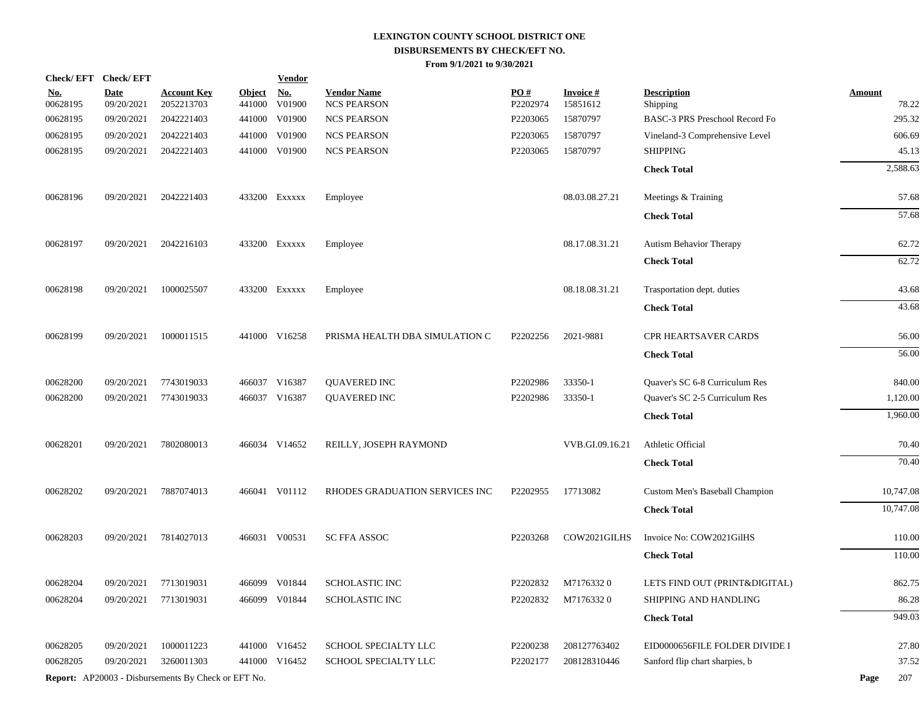|                        | Check/EFT Check/EFT       |                                                            |                         | <b>Vendor</b>        |                                          |                 |                             |                                |                        |
|------------------------|---------------------------|------------------------------------------------------------|-------------------------|----------------------|------------------------------------------|-----------------|-----------------------------|--------------------------------|------------------------|
| <u>No.</u><br>00628195 | <b>Date</b><br>09/20/2021 | <b>Account Key</b><br>2052213703                           | <u>Object</u><br>441000 | <u>No.</u><br>V01900 | <b>Vendor Name</b><br><b>NCS PEARSON</b> | PO#<br>P2202974 | <b>Invoice#</b><br>15851612 | <b>Description</b><br>Shipping | <b>Amount</b><br>78.22 |
| 00628195               | 09/20/2021                | 2042221403                                                 | 441000                  | V01900               | <b>NCS PEARSON</b>                       | P2203065        | 15870797                    | BASC-3 PRS Preschool Record Fo | 295.32                 |
| 00628195               | 09/20/2021                | 2042221403                                                 | 441000                  | V01900               | <b>NCS PEARSON</b>                       | P2203065        | 15870797                    | Vineland-3 Comprehensive Level | 606.69                 |
| 00628195               | 09/20/2021                | 2042221403                                                 | 441000                  | V01900               | <b>NCS PEARSON</b>                       | P2203065        | 15870797                    | <b>SHIPPING</b>                | 45.13                  |
|                        |                           |                                                            |                         |                      |                                          |                 |                             | <b>Check Total</b>             | 2,588.63               |
| 00628196               | 09/20/2021                | 2042221403                                                 |                         | 433200 Exxxxx        | Employee                                 |                 | 08.03.08.27.21              | Meetings & Training            | 57.68                  |
|                        |                           |                                                            |                         |                      |                                          |                 |                             | <b>Check Total</b>             | 57.68                  |
| 00628197               | 09/20/2021                | 2042216103                                                 |                         | 433200 Exxxxx        | Employee                                 |                 | 08.17.08.31.21              | <b>Autism Behavior Therapy</b> | 62.72                  |
|                        |                           |                                                            |                         |                      |                                          |                 |                             | <b>Check Total</b>             | 62.72                  |
| 00628198               | 09/20/2021                | 1000025507                                                 |                         | 433200 Exxxxx        | Employee                                 |                 | 08.18.08.31.21              | Trasportation dept. duties     | 43.68                  |
|                        |                           |                                                            |                         |                      |                                          |                 |                             | <b>Check Total</b>             | 43.68                  |
| 00628199               | 09/20/2021                | 1000011515                                                 |                         | 441000 V16258        | PRISMA HEALTH DBA SIMULATION C           | P2202256        | 2021-9881                   | CPR HEARTSAVER CARDS           | 56.00                  |
|                        |                           |                                                            |                         |                      |                                          |                 |                             | <b>Check Total</b>             | 56.00                  |
| 00628200               | 09/20/2021                | 7743019033                                                 |                         | 466037 V16387        | <b>QUAVERED INC</b>                      | P2202986        | 33350-1                     | Quaver's SC 6-8 Curriculum Res | 840.00                 |
| 00628200               | 09/20/2021                | 7743019033                                                 |                         | 466037 V16387        | <b>QUAVERED INC</b>                      | P2202986        | 33350-1                     | Quaver's SC 2-5 Curriculum Res | 1,120.00               |
|                        |                           |                                                            |                         |                      |                                          |                 |                             | <b>Check Total</b>             | 1,960.00               |
| 00628201               | 09/20/2021                | 7802080013                                                 |                         | 466034 V14652        | REILLY, JOSEPH RAYMOND                   |                 | VVB.GI.09.16.21             | Athletic Official              | 70.40                  |
|                        |                           |                                                            |                         |                      |                                          |                 |                             | <b>Check Total</b>             | 70.40                  |
| 00628202               | 09/20/2021                | 7887074013                                                 |                         | 466041 V01112        | RHODES GRADUATION SERVICES INC           | P2202955        | 17713082                    | Custom Men's Baseball Champion | 10,747.08              |
|                        |                           |                                                            |                         |                      |                                          |                 |                             | <b>Check Total</b>             | 10,747.08              |
| 00628203               | 09/20/2021                | 7814027013                                                 |                         | 466031 V00531        | <b>SC FFA ASSOC</b>                      | P2203268        | COW2021GILHS                | Invoice No: COW2021GilHS       | 110.00                 |
|                        |                           |                                                            |                         |                      |                                          |                 |                             | <b>Check Total</b>             | 110.00                 |
| 00628204               | 09/20/2021                | 7713019031                                                 |                         | 466099 V01844        | SCHOLASTIC INC                           | P2202832        | M71763320                   | LETS FIND OUT (PRINT&DIGITAL)  | 862.75                 |
| 00628204               | 09/20/2021                | 7713019031                                                 |                         | 466099 V01844        | SCHOLASTIC INC                           | P2202832        | M71763320                   | SHIPPING AND HANDLING          | 86.28                  |
|                        |                           |                                                            |                         |                      |                                          |                 |                             | <b>Check Total</b>             | 949.03                 |
| 00628205               | 09/20/2021                | 1000011223                                                 |                         | 441000 V16452        | SCHOOL SPECIALTY LLC                     | P2200238        | 208127763402                | EID0000656FILE FOLDER DIVIDE I | 27.80                  |
| 00628205               | 09/20/2021                | 3260011303                                                 |                         | 441000 V16452        | SCHOOL SPECIALTY LLC                     | P2202177        | 208128310446                | Sanford flip chart sharpies, b | 37.52                  |
|                        |                           | <b>Report:</b> AP20003 - Disbursements By Check or EFT No. |                         |                      |                                          |                 |                             |                                | 207<br>Page            |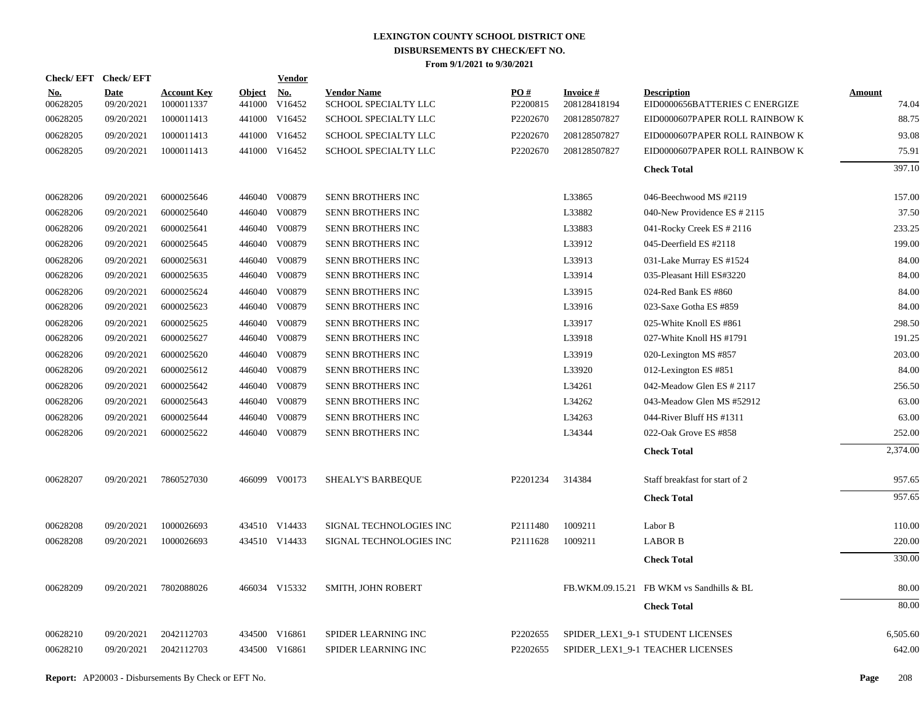| Check/EFT Check/EFT    |                           |                                  |                         | <b>Vendor</b>        |                                            |                               |                                 |                                                      |                        |
|------------------------|---------------------------|----------------------------------|-------------------------|----------------------|--------------------------------------------|-------------------------------|---------------------------------|------------------------------------------------------|------------------------|
| <u>No.</u><br>00628205 | <b>Date</b><br>09/20/2021 | <b>Account Key</b><br>1000011337 | <u>Object</u><br>441000 | <u>No.</u><br>V16452 | <b>Vendor Name</b><br>SCHOOL SPECIALTY LLC | $\underline{PO#}$<br>P2200815 | <b>Invoice#</b><br>208128418194 | <b>Description</b><br>EID0000656BATTERIES C ENERGIZE | <b>Amount</b><br>74.04 |
| 00628205               | 09/20/2021                | 1000011413                       | 441000                  | V16452               | SCHOOL SPECIALTY LLC                       | P2202670                      | 208128507827                    | EID0000607PAPER ROLL RAINBOW K                       | 88.75                  |
| 00628205               | 09/20/2021                | 1000011413                       | 441000                  | V16452               | SCHOOL SPECIALTY LLC                       | P2202670                      | 208128507827                    | EID0000607PAPER ROLL RAINBOW K                       | 93.08                  |
| 00628205               | 09/20/2021                | 1000011413                       |                         | 441000 V16452        | SCHOOL SPECIALTY LLC                       | P2202670                      | 208128507827                    | EID0000607PAPER ROLL RAINBOW K                       | 75.91                  |
|                        |                           |                                  |                         |                      |                                            |                               |                                 | <b>Check Total</b>                                   | 397.10                 |
| 00628206               | 09/20/2021                | 6000025646                       |                         | 446040 V00879        | SENN BROTHERS INC                          |                               | L33865                          | 046-Beechwood MS #2119                               | 157.00                 |
| 00628206               | 09/20/2021                | 6000025640                       | 446040                  | V00879               | SENN BROTHERS INC                          |                               | L33882                          | 040-New Providence ES # 2115                         | 37.50                  |
| 00628206               | 09/20/2021                | 6000025641                       | 446040                  | V00879               | SENN BROTHERS INC                          |                               | L33883                          | 041-Rocky Creek ES # 2116                            | 233.25                 |
| 00628206               | 09/20/2021                | 6000025645                       |                         | 446040 V00879        | SENN BROTHERS INC                          |                               | L33912                          | 045-Deerfield ES #2118                               | 199.00                 |
| 00628206               | 09/20/2021                | 6000025631                       | 446040                  | V00879               | SENN BROTHERS INC                          |                               | L33913                          | 031-Lake Murray ES #1524                             | 84.00                  |
| 00628206               | 09/20/2021                | 6000025635                       |                         | 446040 V00879        | SENN BROTHERS INC                          |                               | L33914                          | 035-Pleasant Hill ES#3220                            | 84.00                  |
| 00628206               | 09/20/2021                | 6000025624                       |                         | 446040 V00879        | SENN BROTHERS INC                          |                               | L33915                          | 024-Red Bank ES #860                                 | 84.00                  |
| 00628206               | 09/20/2021                | 6000025623                       |                         | 446040 V00879        | SENN BROTHERS INC                          |                               | L33916                          | 023-Saxe Gotha ES #859                               | 84.00                  |
| 00628206               | 09/20/2021                | 6000025625                       |                         | 446040 V00879        | SENN BROTHERS INC                          |                               | L33917                          | 025-White Knoll ES #861                              | 298.50                 |
| 00628206               | 09/20/2021                | 6000025627                       |                         | 446040 V00879        | SENN BROTHERS INC                          |                               | L33918                          | 027-White Knoll HS #1791                             | 191.25                 |
| 00628206               | 09/20/2021                | 6000025620                       |                         | 446040 V00879        | SENN BROTHERS INC                          |                               | L33919                          | 020-Lexington MS #857                                | 203.00                 |
| 00628206               | 09/20/2021                | 6000025612                       |                         | 446040 V00879        | SENN BROTHERS INC                          |                               | L33920                          | 012-Lexington ES #851                                | 84.00                  |
| 00628206               | 09/20/2021                | 6000025642                       |                         | 446040 V00879        | SENN BROTHERS INC                          |                               | L34261                          | 042-Meadow Glen ES # 2117                            | 256.50                 |
| 00628206               | 09/20/2021                | 6000025643                       |                         | 446040 V00879        | SENN BROTHERS INC                          |                               | L34262                          | 043-Meadow Glen MS #52912                            | 63.00                  |
| 00628206               | 09/20/2021                | 6000025644                       |                         | 446040 V00879        | SENN BROTHERS INC                          |                               | L34263                          | 044-River Bluff HS #1311                             | 63.00                  |
| 00628206               | 09/20/2021                | 6000025622                       |                         | 446040 V00879        | SENN BROTHERS INC                          |                               | L34344                          | 022-Oak Grove ES #858                                | 252.00                 |
|                        |                           |                                  |                         |                      |                                            |                               |                                 | <b>Check Total</b>                                   | 2,374.00               |
| 00628207               | 09/20/2021                | 7860527030                       |                         | 466099 V00173        | SHEALY'S BARBEQUE                          | P2201234                      | 314384                          | Staff breakfast for start of 2                       | 957.65                 |
|                        |                           |                                  |                         |                      |                                            |                               |                                 | <b>Check Total</b>                                   | 957.65                 |
| 00628208               | 09/20/2021                | 1000026693                       |                         | 434510 V14433        | SIGNAL TECHNOLOGIES INC                    | P2111480                      | 1009211                         | Labor B                                              | 110.00                 |
| 00628208               | 09/20/2021                | 1000026693                       |                         | 434510 V14433        | SIGNAL TECHNOLOGIES INC                    | P2111628                      | 1009211                         | <b>LABOR B</b>                                       | 220.00                 |
|                        |                           |                                  |                         |                      |                                            |                               |                                 | <b>Check Total</b>                                   | 330.00                 |
| 00628209               | 09/20/2021                | 7802088026                       |                         | 466034 V15332        | <b>SMITH, JOHN ROBERT</b>                  |                               |                                 | FB.WKM.09.15.21 FB WKM vs Sandhills & BL             | 80.00                  |
|                        |                           |                                  |                         |                      |                                            |                               |                                 | <b>Check Total</b>                                   | 80.00                  |
| 00628210               | 09/20/2021                | 2042112703                       | 434500                  | V16861               | SPIDER LEARNING INC                        | P2202655                      |                                 | SPIDER LEX1 9-1 STUDENT LICENSES                     | 6,505.60               |
| 00628210               | 09/20/2021                | 2042112703                       |                         | 434500 V16861        | SPIDER LEARNING INC                        | P2202655                      |                                 | SPIDER_LEX1_9-1 TEACHER LICENSES                     | 642.00                 |
|                        |                           |                                  |                         |                      |                                            |                               |                                 |                                                      |                        |
|                        |                           |                                  |                         |                      |                                            |                               |                                 |                                                      |                        |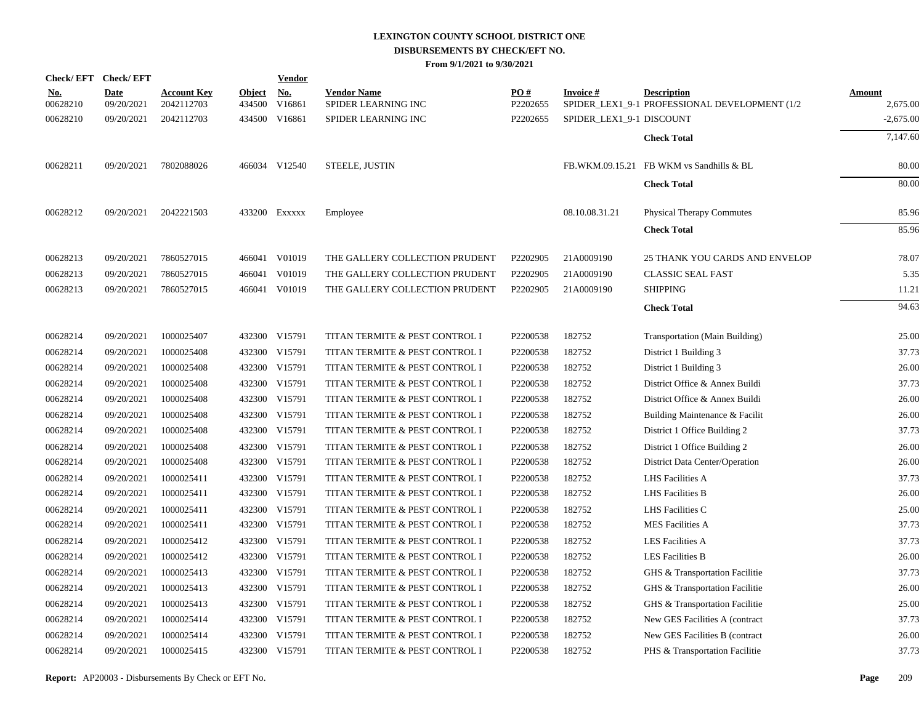|            |                                                                                                          |                                                                                                                                                   |                                                                                                              | <u>Vendor</u> |                                                                                                                                                                                                                                                                                                                                                                                                                                                                                      |                                                                                                                                                                                                                                                                                          |                                                                                                          |                                                                        |                                                                                                                                                                                                                                                                                                                                 |
|------------|----------------------------------------------------------------------------------------------------------|---------------------------------------------------------------------------------------------------------------------------------------------------|--------------------------------------------------------------------------------------------------------------|---------------|--------------------------------------------------------------------------------------------------------------------------------------------------------------------------------------------------------------------------------------------------------------------------------------------------------------------------------------------------------------------------------------------------------------------------------------------------------------------------------------|------------------------------------------------------------------------------------------------------------------------------------------------------------------------------------------------------------------------------------------------------------------------------------------|----------------------------------------------------------------------------------------------------------|------------------------------------------------------------------------|---------------------------------------------------------------------------------------------------------------------------------------------------------------------------------------------------------------------------------------------------------------------------------------------------------------------------------|
| <u>No.</u> | <b>Date</b>                                                                                              | <b>Account Key</b>                                                                                                                                | <b>Object</b>                                                                                                | <u>No.</u>    | <b>Vendor Name</b>                                                                                                                                                                                                                                                                                                                                                                                                                                                                   | PO#                                                                                                                                                                                                                                                                                      | <b>Invoice#</b>                                                                                          | <b>Description</b>                                                     | <b>Amount</b>                                                                                                                                                                                                                                                                                                                   |
|            |                                                                                                          |                                                                                                                                                   |                                                                                                              |               |                                                                                                                                                                                                                                                                                                                                                                                                                                                                                      |                                                                                                                                                                                                                                                                                          |                                                                                                          |                                                                        | 2,675.00<br>$-2,675.00$                                                                                                                                                                                                                                                                                                         |
|            |                                                                                                          |                                                                                                                                                   |                                                                                                              |               |                                                                                                                                                                                                                                                                                                                                                                                                                                                                                      |                                                                                                                                                                                                                                                                                          |                                                                                                          |                                                                        |                                                                                                                                                                                                                                                                                                                                 |
|            |                                                                                                          |                                                                                                                                                   |                                                                                                              |               |                                                                                                                                                                                                                                                                                                                                                                                                                                                                                      |                                                                                                                                                                                                                                                                                          |                                                                                                          |                                                                        | 7,147.60                                                                                                                                                                                                                                                                                                                        |
| 00628211   | 09/20/2021                                                                                               | 7802088026                                                                                                                                        |                                                                                                              |               | <b>STEELE, JUSTIN</b>                                                                                                                                                                                                                                                                                                                                                                                                                                                                |                                                                                                                                                                                                                                                                                          |                                                                                                          |                                                                        | 80.00                                                                                                                                                                                                                                                                                                                           |
|            |                                                                                                          |                                                                                                                                                   |                                                                                                              |               |                                                                                                                                                                                                                                                                                                                                                                                                                                                                                      |                                                                                                                                                                                                                                                                                          |                                                                                                          | <b>Check Total</b>                                                     | 80.00                                                                                                                                                                                                                                                                                                                           |
| 00628212   | 09/20/2021                                                                                               | 2042221503                                                                                                                                        |                                                                                                              |               | Employee                                                                                                                                                                                                                                                                                                                                                                                                                                                                             |                                                                                                                                                                                                                                                                                          | 08.10.08.31.21                                                                                           | <b>Physical Therapy Commutes</b>                                       | 85.96                                                                                                                                                                                                                                                                                                                           |
|            |                                                                                                          |                                                                                                                                                   |                                                                                                              |               |                                                                                                                                                                                                                                                                                                                                                                                                                                                                                      |                                                                                                                                                                                                                                                                                          |                                                                                                          | <b>Check Total</b>                                                     | 85.96                                                                                                                                                                                                                                                                                                                           |
| 00628213   | 09/20/2021                                                                                               | 7860527015                                                                                                                                        |                                                                                                              |               | THE GALLERY COLLECTION PRUDENT                                                                                                                                                                                                                                                                                                                                                                                                                                                       | P2202905                                                                                                                                                                                                                                                                                 | 21A0009190                                                                                               | 25 THANK YOU CARDS AND ENVELOP                                         | 78.07                                                                                                                                                                                                                                                                                                                           |
|            |                                                                                                          |                                                                                                                                                   |                                                                                                              |               |                                                                                                                                                                                                                                                                                                                                                                                                                                                                                      |                                                                                                                                                                                                                                                                                          |                                                                                                          |                                                                        | 5.35                                                                                                                                                                                                                                                                                                                            |
| 00628213   | 09/20/2021                                                                                               | 7860527015                                                                                                                                        |                                                                                                              |               | THE GALLERY COLLECTION PRUDENT                                                                                                                                                                                                                                                                                                                                                                                                                                                       | P2202905                                                                                                                                                                                                                                                                                 | 21A0009190                                                                                               | <b>SHIPPING</b>                                                        | 11.21                                                                                                                                                                                                                                                                                                                           |
|            |                                                                                                          |                                                                                                                                                   |                                                                                                              |               |                                                                                                                                                                                                                                                                                                                                                                                                                                                                                      |                                                                                                                                                                                                                                                                                          |                                                                                                          | <b>Check Total</b>                                                     | 94.63                                                                                                                                                                                                                                                                                                                           |
|            |                                                                                                          |                                                                                                                                                   |                                                                                                              |               |                                                                                                                                                                                                                                                                                                                                                                                                                                                                                      |                                                                                                                                                                                                                                                                                          |                                                                                                          |                                                                        | 25.00                                                                                                                                                                                                                                                                                                                           |
|            |                                                                                                          |                                                                                                                                                   |                                                                                                              |               |                                                                                                                                                                                                                                                                                                                                                                                                                                                                                      |                                                                                                                                                                                                                                                                                          |                                                                                                          |                                                                        | 37.73                                                                                                                                                                                                                                                                                                                           |
|            |                                                                                                          |                                                                                                                                                   |                                                                                                              |               |                                                                                                                                                                                                                                                                                                                                                                                                                                                                                      |                                                                                                                                                                                                                                                                                          |                                                                                                          |                                                                        | 26.00                                                                                                                                                                                                                                                                                                                           |
|            |                                                                                                          |                                                                                                                                                   |                                                                                                              |               |                                                                                                                                                                                                                                                                                                                                                                                                                                                                                      |                                                                                                                                                                                                                                                                                          |                                                                                                          |                                                                        | 37.73                                                                                                                                                                                                                                                                                                                           |
|            |                                                                                                          | 1000025408                                                                                                                                        |                                                                                                              |               |                                                                                                                                                                                                                                                                                                                                                                                                                                                                                      |                                                                                                                                                                                                                                                                                          |                                                                                                          | District Office & Annex Buildi                                         | 26.00                                                                                                                                                                                                                                                                                                                           |
|            |                                                                                                          |                                                                                                                                                   |                                                                                                              |               |                                                                                                                                                                                                                                                                                                                                                                                                                                                                                      |                                                                                                                                                                                                                                                                                          |                                                                                                          |                                                                        | 26.00                                                                                                                                                                                                                                                                                                                           |
| 00628214   | 09/20/2021                                                                                               | 1000025408                                                                                                                                        |                                                                                                              |               | TITAN TERMITE & PEST CONTROL I                                                                                                                                                                                                                                                                                                                                                                                                                                                       | P2200538                                                                                                                                                                                                                                                                                 | 182752                                                                                                   | District 1 Office Building 2                                           | 37.73                                                                                                                                                                                                                                                                                                                           |
| 00628214   | 09/20/2021                                                                                               | 1000025408                                                                                                                                        |                                                                                                              |               | TITAN TERMITE & PEST CONTROL I                                                                                                                                                                                                                                                                                                                                                                                                                                                       | P2200538                                                                                                                                                                                                                                                                                 | 182752                                                                                                   | District 1 Office Building 2                                           | 26.00                                                                                                                                                                                                                                                                                                                           |
| 00628214   | 09/20/2021                                                                                               | 1000025408                                                                                                                                        |                                                                                                              |               | TITAN TERMITE & PEST CONTROL I                                                                                                                                                                                                                                                                                                                                                                                                                                                       | P2200538                                                                                                                                                                                                                                                                                 | 182752                                                                                                   | District Data Center/Operation                                         | 26.00                                                                                                                                                                                                                                                                                                                           |
| 00628214   | 09/20/2021                                                                                               | 1000025411                                                                                                                                        |                                                                                                              |               | TITAN TERMITE & PEST CONTROL I                                                                                                                                                                                                                                                                                                                                                                                                                                                       | P2200538                                                                                                                                                                                                                                                                                 | 182752                                                                                                   | LHS Facilities A                                                       | 37.73                                                                                                                                                                                                                                                                                                                           |
| 00628214   | 09/20/2021                                                                                               | 1000025411                                                                                                                                        |                                                                                                              |               | TITAN TERMITE & PEST CONTROL I                                                                                                                                                                                                                                                                                                                                                                                                                                                       | P2200538                                                                                                                                                                                                                                                                                 | 182752                                                                                                   | <b>LHS Facilities B</b>                                                | 26.00                                                                                                                                                                                                                                                                                                                           |
| 00628214   | 09/20/2021                                                                                               | 1000025411                                                                                                                                        |                                                                                                              |               | TITAN TERMITE & PEST CONTROL I                                                                                                                                                                                                                                                                                                                                                                                                                                                       | P2200538                                                                                                                                                                                                                                                                                 | 182752                                                                                                   | LHS Facilities C                                                       | 25.00                                                                                                                                                                                                                                                                                                                           |
| 00628214   | 09/20/2021                                                                                               | 1000025411                                                                                                                                        |                                                                                                              |               | TITAN TERMITE & PEST CONTROL I                                                                                                                                                                                                                                                                                                                                                                                                                                                       | P2200538                                                                                                                                                                                                                                                                                 | 182752                                                                                                   | <b>MES Facilities A</b>                                                | 37.73                                                                                                                                                                                                                                                                                                                           |
| 00628214   | 09/20/2021                                                                                               | 1000025412                                                                                                                                        |                                                                                                              |               | TITAN TERMITE & PEST CONTROL I                                                                                                                                                                                                                                                                                                                                                                                                                                                       | P2200538                                                                                                                                                                                                                                                                                 | 182752                                                                                                   | <b>LES Facilities A</b>                                                | 37.73                                                                                                                                                                                                                                                                                                                           |
| 00628214   | 09/20/2021                                                                                               | 1000025412                                                                                                                                        |                                                                                                              |               | TITAN TERMITE & PEST CONTROL I                                                                                                                                                                                                                                                                                                                                                                                                                                                       | P2200538                                                                                                                                                                                                                                                                                 | 182752                                                                                                   | <b>LES Facilities B</b>                                                | 26.00                                                                                                                                                                                                                                                                                                                           |
| 00628214   | 09/20/2021                                                                                               | 1000025413                                                                                                                                        |                                                                                                              |               | TITAN TERMITE & PEST CONTROL I                                                                                                                                                                                                                                                                                                                                                                                                                                                       | P2200538                                                                                                                                                                                                                                                                                 | 182752                                                                                                   | GHS & Transportation Facilitie                                         | 37.73                                                                                                                                                                                                                                                                                                                           |
| 00628214   | 09/20/2021                                                                                               | 1000025413                                                                                                                                        |                                                                                                              |               | TITAN TERMITE & PEST CONTROL I                                                                                                                                                                                                                                                                                                                                                                                                                                                       | P2200538                                                                                                                                                                                                                                                                                 | 182752                                                                                                   | GHS & Transportation Facilitie                                         | 26.00                                                                                                                                                                                                                                                                                                                           |
| 00628214   | 09/20/2021                                                                                               | 1000025413                                                                                                                                        |                                                                                                              |               | TITAN TERMITE & PEST CONTROL I                                                                                                                                                                                                                                                                                                                                                                                                                                                       | P2200538                                                                                                                                                                                                                                                                                 | 182752                                                                                                   | GHS & Transportation Facilitie                                         | 25.00                                                                                                                                                                                                                                                                                                                           |
| 00628214   | 09/20/2021                                                                                               | 1000025414                                                                                                                                        |                                                                                                              |               | TITAN TERMITE & PEST CONTROL I                                                                                                                                                                                                                                                                                                                                                                                                                                                       | P2200538                                                                                                                                                                                                                                                                                 | 182752                                                                                                   | New GES Facilities A (contract                                         | 37.73                                                                                                                                                                                                                                                                                                                           |
| 00628214   | 09/20/2021                                                                                               | 1000025414                                                                                                                                        |                                                                                                              |               | TITAN TERMITE & PEST CONTROL I                                                                                                                                                                                                                                                                                                                                                                                                                                                       | P2200538                                                                                                                                                                                                                                                                                 | 182752                                                                                                   | New GES Facilities B (contract                                         | 26.00                                                                                                                                                                                                                                                                                                                           |
| 00628214   | 09/20/2021                                                                                               | 1000025415                                                                                                                                        |                                                                                                              |               | TITAN TERMITE & PEST CONTROL I                                                                                                                                                                                                                                                                                                                                                                                                                                                       | P2200538                                                                                                                                                                                                                                                                                 | 182752                                                                                                   | PHS & Transportation Facilitie                                         | 37.73                                                                                                                                                                                                                                                                                                                           |
|            | 00628210<br>00628210<br>00628213<br>00628214<br>00628214<br>00628214<br>00628214<br>00628214<br>00628214 | Check/EFT Check/EFT<br>09/20/2021<br>09/20/2021<br>09/20/2021<br>09/20/2021<br>09/20/2021<br>09/20/2021<br>09/20/2021<br>09/20/2021<br>09/20/2021 | 2042112703<br>2042112703<br>7860527015<br>1000025407<br>1000025408<br>1000025408<br>1000025408<br>1000025408 | 466041        | 434500<br>V16861<br>434500 V16861<br>466034 V12540<br>433200 Exxxxx<br>466041 V01019<br>V01019<br>466041 V01019<br>432300 V15791<br>432300 V15791<br>432300 V15791<br>432300 V15791<br>432300 V15791<br>432300 V15791<br>432300 V15791<br>432300 V15791<br>432300 V15791<br>432300 V15791<br>432300 V15791<br>432300 V15791<br>432300 V15791<br>432300 V15791<br>432300 V15791<br>432300 V15791<br>432300 V15791<br>432300 V15791<br>432300 V15791<br>432300 V15791<br>432300 V15791 | SPIDER LEARNING INC<br>SPIDER LEARNING INC<br>THE GALLERY COLLECTION PRUDENT<br>TITAN TERMITE & PEST CONTROL I<br>TITAN TERMITE & PEST CONTROL I<br>TITAN TERMITE & PEST CONTROL I<br>TITAN TERMITE & PEST CONTROL I<br>TITAN TERMITE & PEST CONTROL I<br>TITAN TERMITE & PEST CONTROL I | P2202655<br>P2202655<br>P2202905<br>P2200538<br>P2200538<br>P2200538<br>P2200538<br>P2200538<br>P2200538 | 21A0009190<br>182752<br>182752<br>182752<br>182752<br>182752<br>182752 | SPIDER_LEX1_9-1 PROFESSIONAL DEVELOPMENT (1/2<br>SPIDER_LEX1_9-1 DISCOUNT<br><b>Check Total</b><br>FB.WKM.09.15.21 FB WKM vs Sandhills & BL<br><b>CLASSIC SEAL FAST</b><br>Transportation (Main Building)<br>District 1 Building 3<br>District 1 Building 3<br>District Office & Annex Buildi<br>Building Maintenance & Facilit |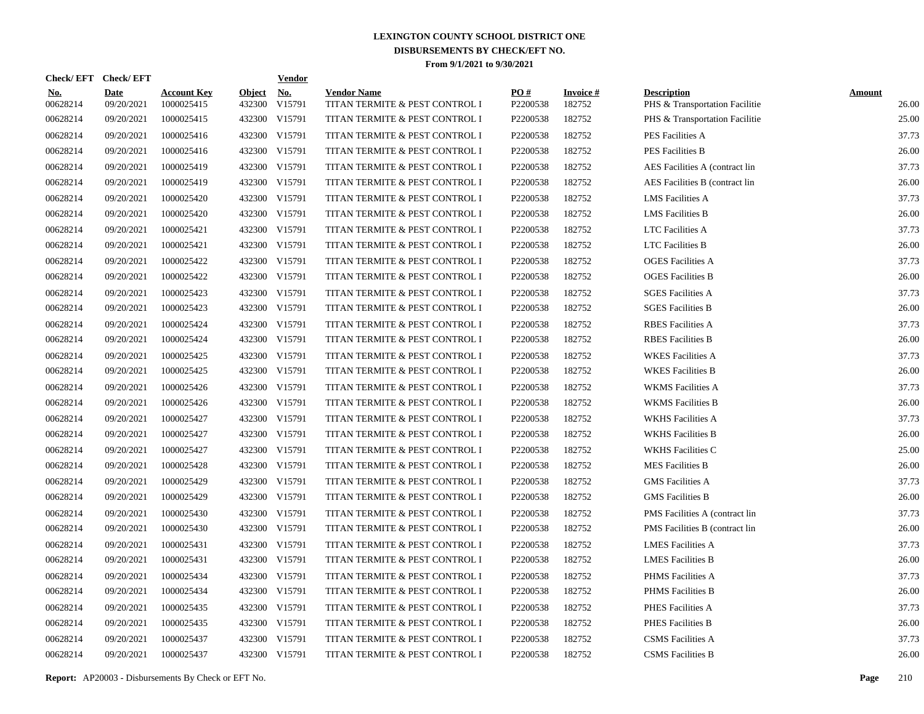| <b>Check/EFT</b>       | <b>Check/EFT</b>          |                                  |                         | <b>Vendor</b> |                                                      |                 |                           |                                                      |                        |
|------------------------|---------------------------|----------------------------------|-------------------------|---------------|------------------------------------------------------|-----------------|---------------------------|------------------------------------------------------|------------------------|
| <u>No.</u><br>00628214 | <b>Date</b><br>09/20/2021 | <b>Account Key</b><br>1000025415 | <b>Object</b><br>432300 | No.<br>V15791 | <b>Vendor Name</b><br>TITAN TERMITE & PEST CONTROL I | PO#<br>P2200538 | <b>Invoice#</b><br>182752 | <b>Description</b><br>PHS & Transportation Facilitie | <b>Amount</b><br>26.00 |
| 00628214               | 09/20/2021                | 1000025415                       |                         | 432300 V15791 | TITAN TERMITE & PEST CONTROL I                       | P2200538        | 182752                    | PHS & Transportation Facilitie                       | 25.00                  |
| 00628214               | 09/20/2021                | 1000025416                       |                         | 432300 V15791 | TITAN TERMITE & PEST CONTROL I                       | P2200538        | 182752                    | PES Facilities A                                     | 37.73                  |
| 00628214               | 09/20/2021                | 1000025416                       |                         | 432300 V15791 | TITAN TERMITE & PEST CONTROL I                       | P2200538        | 182752                    | <b>PES Facilities B</b>                              | 26.00                  |
| 00628214               | 09/20/2021                | 1000025419                       |                         | 432300 V15791 | TITAN TERMITE & PEST CONTROL I                       | P2200538        | 182752                    | AES Facilities A (contract lin                       | 37.73                  |
| 00628214               | 09/20/2021                | 1000025419                       |                         | 432300 V15791 | TITAN TERMITE & PEST CONTROL I                       | P2200538        | 182752                    | AES Facilities B (contract lin                       | 26.00                  |
| 00628214               | 09/20/2021                | 1000025420                       |                         | 432300 V15791 | TITAN TERMITE & PEST CONTROL I                       | P2200538        | 182752                    | <b>LMS</b> Facilities A                              | 37.73                  |
| 00628214               | 09/20/2021                | 1000025420                       |                         | 432300 V15791 | TITAN TERMITE & PEST CONTROL I                       | P2200538        | 182752                    | <b>LMS</b> Facilities B                              | 26.00                  |
| 00628214               | 09/20/2021                | 1000025421                       |                         | 432300 V15791 | TITAN TERMITE & PEST CONTROL I                       | P2200538        | 182752                    | LTC Facilities A                                     | 37.73                  |
| 00628214               | 09/20/2021                | 1000025421                       |                         | 432300 V15791 | TITAN TERMITE & PEST CONTROL I                       | P2200538        | 182752                    | <b>LTC</b> Facilities B                              | 26.00                  |
| 00628214               | 09/20/2021                | 1000025422                       |                         | 432300 V15791 | TITAN TERMITE & PEST CONTROL I                       | P2200538        | 182752                    | <b>OGES</b> Facilities A                             | 37.73                  |
| 00628214               | 09/20/2021                | 1000025422                       |                         | 432300 V15791 | TITAN TERMITE & PEST CONTROL I                       | P2200538        | 182752                    | <b>OGES</b> Facilities B                             | 26.00                  |
| 00628214               | 09/20/2021                | 1000025423                       |                         | 432300 V15791 | TITAN TERMITE & PEST CONTROL I                       | P2200538        | 182752                    | <b>SGES Facilities A</b>                             | 37.73                  |
| 00628214               | 09/20/2021                | 1000025423                       |                         | 432300 V15791 | TITAN TERMITE & PEST CONTROL I                       | P2200538        | 182752                    | <b>SGES Facilities B</b>                             | 26.00                  |
| 00628214               | 09/20/2021                | 1000025424                       |                         | 432300 V15791 | TITAN TERMITE & PEST CONTROL I                       | P2200538        | 182752                    | <b>RBES Facilities A</b>                             | 37.73                  |
| 00628214               | 09/20/2021                | 1000025424                       |                         | 432300 V15791 | TITAN TERMITE & PEST CONTROL I                       | P2200538        | 182752                    | <b>RBES Facilities B</b>                             | 26.00                  |
| 00628214               | 09/20/2021                | 1000025425                       |                         | 432300 V15791 | TITAN TERMITE & PEST CONTROL I                       | P2200538        | 182752                    | <b>WKES</b> Facilities A                             | 37.73                  |
| 00628214               | 09/20/2021                | 1000025425                       |                         | 432300 V15791 | TITAN TERMITE & PEST CONTROL I                       | P2200538        | 182752                    | <b>WKES Facilities B</b>                             | 26.00                  |
| 00628214               | 09/20/2021                | 1000025426                       |                         | 432300 V15791 | TITAN TERMITE & PEST CONTROL I                       | P2200538        | 182752                    | <b>WKMS</b> Facilities A                             | 37.73                  |
| 00628214               | 09/20/2021                | 1000025426                       |                         | 432300 V15791 | TITAN TERMITE & PEST CONTROL I                       | P2200538        | 182752                    | <b>WKMS</b> Facilities B                             | 26.00                  |
| 00628214               | 09/20/2021                | 1000025427                       |                         | 432300 V15791 | TITAN TERMITE & PEST CONTROL I                       | P2200538        | 182752                    | <b>WKHS Facilities A</b>                             | 37.73                  |
| 00628214               | 09/20/2021                | 1000025427                       |                         | 432300 V15791 | TITAN TERMITE & PEST CONTROL I                       | P2200538        | 182752                    | <b>WKHS Facilities B</b>                             | 26.00                  |
| 00628214               | 09/20/2021                | 1000025427                       |                         | 432300 V15791 | TITAN TERMITE & PEST CONTROL I                       | P2200538        | 182752                    | WKHS Facilities C                                    | 25.00                  |
| 00628214               | 09/20/2021                | 1000025428                       |                         | 432300 V15791 | TITAN TERMITE & PEST CONTROL I                       | P2200538        | 182752                    | <b>MES Facilities B</b>                              | 26.00                  |
| 00628214               | 09/20/2021                | 1000025429                       |                         | 432300 V15791 | TITAN TERMITE & PEST CONTROL I                       | P2200538        | 182752                    | <b>GMS</b> Facilities A                              | 37.73                  |
| 00628214               | 09/20/2021                | 1000025429                       |                         | 432300 V15791 | TITAN TERMITE & PEST CONTROL I                       | P2200538        | 182752                    | <b>GMS</b> Facilities B                              | 26.00                  |
| 00628214               | 09/20/2021                | 1000025430                       |                         | 432300 V15791 | TITAN TERMITE & PEST CONTROL I                       | P2200538        | 182752                    | PMS Facilities A (contract lin                       | 37.73                  |
| 00628214               | 09/20/2021                | 1000025430                       |                         | 432300 V15791 | TITAN TERMITE & PEST CONTROL I                       | P2200538        | 182752                    | PMS Facilities B (contract lin                       | 26.00                  |
| 00628214               | 09/20/2021                | 1000025431                       |                         | 432300 V15791 | TITAN TERMITE & PEST CONTROL I                       | P2200538        | 182752                    | <b>LMES</b> Facilities A                             | 37.73                  |
| 00628214               | 09/20/2021                | 1000025431                       |                         | 432300 V15791 | TITAN TERMITE & PEST CONTROL I                       | P2200538        | 182752                    | <b>LMES Facilities B</b>                             | 26.00                  |
| 00628214               | 09/20/2021                | 1000025434                       |                         | 432300 V15791 | TITAN TERMITE & PEST CONTROL I                       | P2200538        | 182752                    | PHMS Facilities A                                    | 37.73                  |
| 00628214               | 09/20/2021                | 1000025434                       |                         | 432300 V15791 | TITAN TERMITE & PEST CONTROL I                       | P2200538        | 182752                    | <b>PHMS</b> Facilities B                             | 26.00                  |
| 00628214               | 09/20/2021                | 1000025435                       |                         | 432300 V15791 | TITAN TERMITE & PEST CONTROL I                       | P2200538        | 182752                    | PHES Facilities A                                    | 37.73                  |
| 00628214               | 09/20/2021                | 1000025435                       |                         | 432300 V15791 | TITAN TERMITE & PEST CONTROL I                       | P2200538        | 182752                    | <b>PHES Facilities B</b>                             | 26.00                  |
| 00628214               | 09/20/2021                | 1000025437                       |                         | 432300 V15791 | TITAN TERMITE & PEST CONTROL I                       | P2200538        | 182752                    | <b>CSMS</b> Facilities A                             | 37.73                  |
| 00628214               | 09/20/2021                | 1000025437                       |                         | 432300 V15791 | TITAN TERMITE & PEST CONTROL I                       | P2200538        | 182752                    | <b>CSMS</b> Facilities B                             | 26.00                  |

**Report:** AP20003 - Disbursements By Check or EFT No. **Page** 210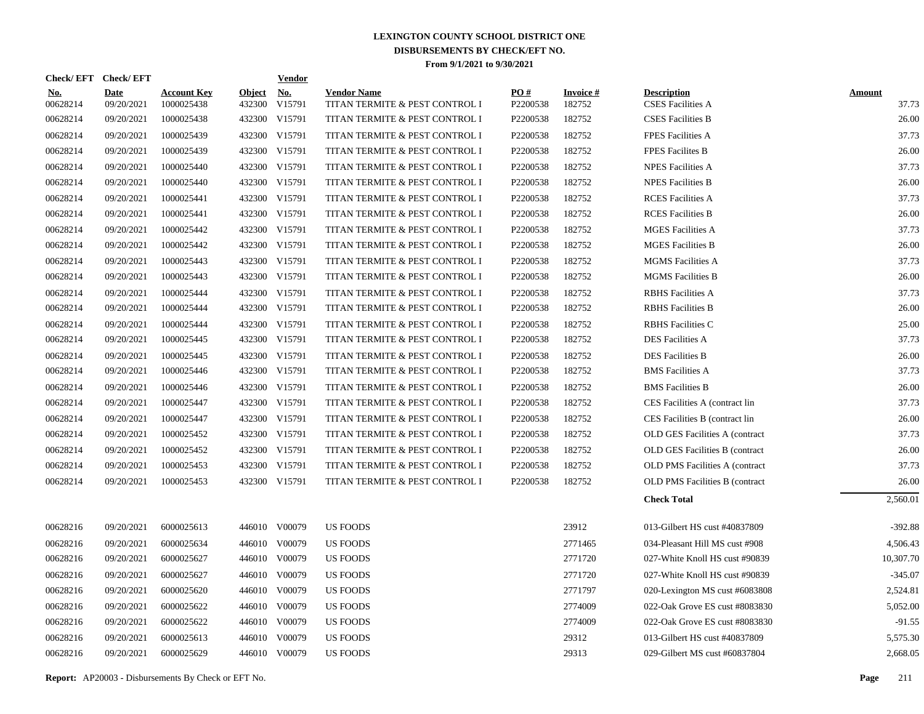| <b>Check/EFT</b>       | <b>Check/EFT</b>          |                                  |               | <b>Vendor</b>        |                                                      |                 |                     |                                                |                        |
|------------------------|---------------------------|----------------------------------|---------------|----------------------|------------------------------------------------------|-----------------|---------------------|------------------------------------------------|------------------------|
| <u>No.</u><br>00628214 | <b>Date</b><br>09/20/2021 | <b>Account Key</b><br>1000025438 | <b>Object</b> | No.<br>432300 V15791 | <b>Vendor Name</b><br>TITAN TERMITE & PEST CONTROL I | PO#<br>P2200538 | Invoice #<br>182752 | <b>Description</b><br><b>CSES Facilities A</b> | <u>Amount</u><br>37.73 |
| 00628214               | 09/20/2021                | 1000025438                       |               | 432300 V15791        | TITAN TERMITE & PEST CONTROL I                       | P2200538        | 182752              | <b>CSES Facilities B</b>                       | 26.00                  |
| 00628214               | 09/20/2021                | 1000025439                       |               | 432300 V15791        | TITAN TERMITE & PEST CONTROL I                       | P2200538        | 182752              | <b>FPES Facilities A</b>                       | 37.73                  |
| 00628214               | 09/20/2021                | 1000025439                       |               | 432300 V15791        | TITAN TERMITE & PEST CONTROL I                       | P2200538        | 182752              | <b>FPES Facilites B</b>                        | 26.00                  |
| 00628214               | 09/20/2021                | 1000025440                       |               | 432300 V15791        | TITAN TERMITE & PEST CONTROL I                       | P2200538        | 182752              | <b>NPES Facilities A</b>                       | 37.73                  |
| 00628214               | 09/20/2021                | 1000025440                       |               | 432300 V15791        | TITAN TERMITE & PEST CONTROL I                       | P2200538        | 182752              | <b>NPES Facilities B</b>                       | 26.00                  |
| 00628214               | 09/20/2021                | 1000025441                       |               | 432300 V15791        | TITAN TERMITE & PEST CONTROL I                       | P2200538        | 182752              | <b>RCES</b> Facilities A                       | 37.73                  |
| 00628214               | 09/20/2021                | 1000025441                       |               | 432300 V15791        | TITAN TERMITE & PEST CONTROL I                       | P2200538        | 182752              | <b>RCES</b> Facilities B                       | 26.00                  |
| 00628214               | 09/20/2021                | 1000025442                       |               | 432300 V15791        | TITAN TERMITE & PEST CONTROL I                       | P2200538        | 182752              | <b>MGES Facilities A</b>                       | 37.73                  |
| 00628214               | 09/20/2021                | 1000025442                       |               | 432300 V15791        | TITAN TERMITE & PEST CONTROL I                       | P2200538        | 182752              | <b>MGES Facilities B</b>                       | 26.00                  |
| 00628214               | 09/20/2021                | 1000025443                       |               | 432300 V15791        | TITAN TERMITE & PEST CONTROL I                       | P2200538        | 182752              | <b>MGMS</b> Facilities A                       | 37.73                  |
| 00628214               | 09/20/2021                | 1000025443                       |               | 432300 V15791        | TITAN TERMITE & PEST CONTROL I                       | P2200538        | 182752              | <b>MGMS</b> Facilities B                       | 26.00                  |
| 00628214               | 09/20/2021                | 1000025444                       |               | 432300 V15791        | TITAN TERMITE & PEST CONTROL I                       | P2200538        | 182752              | <b>RBHS</b> Facilities A                       | 37.73                  |
| 00628214               | 09/20/2021                | 1000025444                       |               | 432300 V15791        | TITAN TERMITE & PEST CONTROL I                       | P2200538        | 182752              | <b>RBHS</b> Facilities B                       | 26.00                  |
| 00628214               | 09/20/2021                | 1000025444                       |               | 432300 V15791        | TITAN TERMITE & PEST CONTROL I                       | P2200538        | 182752              | <b>RBHS</b> Facilities C                       | 25.00                  |
| 00628214               | 09/20/2021                | 1000025445                       |               | 432300 V15791        | TITAN TERMITE & PEST CONTROL I                       | P2200538        | 182752              | <b>DES Facilities A</b>                        | 37.73                  |
| 00628214               | 09/20/2021                | 1000025445                       |               | 432300 V15791        | TITAN TERMITE & PEST CONTROL I                       | P2200538        | 182752              | <b>DES Facilities B</b>                        | 26.00                  |
| 00628214               | 09/20/2021                | 1000025446                       |               | 432300 V15791        | TITAN TERMITE & PEST CONTROL I                       | P2200538        | 182752              | <b>BMS</b> Facilities A                        | 37.73                  |
| 00628214               | 09/20/2021                | 1000025446                       |               | 432300 V15791        | TITAN TERMITE & PEST CONTROL I                       | P2200538        | 182752              | <b>BMS</b> Facilities B                        | 26.00                  |
| 00628214               | 09/20/2021                | 1000025447                       |               | 432300 V15791        | TITAN TERMITE & PEST CONTROL I                       | P2200538        | 182752              | CES Facilities A (contract lin                 | 37.73                  |
| 00628214               | 09/20/2021                | 1000025447                       |               | 432300 V15791        | TITAN TERMITE & PEST CONTROL I                       | P2200538        | 182752              | CES Facilities B (contract lin                 | 26.00                  |
| 00628214               | 09/20/2021                | 1000025452                       |               | 432300 V15791        | TITAN TERMITE & PEST CONTROL I                       | P2200538        | 182752              | OLD GES Facilities A (contract                 | 37.73                  |
| 00628214               | 09/20/2021                | 1000025452                       |               | 432300 V15791        | TITAN TERMITE & PEST CONTROL I                       | P2200538        | 182752              | OLD GES Facilities B (contract                 | 26.00                  |
| 00628214               | 09/20/2021                | 1000025453                       |               | 432300 V15791        | TITAN TERMITE & PEST CONTROL I                       | P2200538        | 182752              | <b>OLD PMS Facilities A (contract)</b>         | 37.73                  |
| 00628214               | 09/20/2021                | 1000025453                       |               | 432300 V15791        | TITAN TERMITE & PEST CONTROL I                       | P2200538        | 182752              | OLD PMS Facilities B (contract                 | 26.00                  |
|                        |                           |                                  |               |                      |                                                      |                 |                     | <b>Check Total</b>                             | 2,560.01               |
| 00628216               | 09/20/2021                | 6000025613                       |               | 446010 V00079        | <b>US FOODS</b>                                      |                 | 23912               | 013-Gilbert HS cust #40837809                  | $-392.88$              |
| 00628216               | 09/20/2021                | 6000025634                       |               | 446010 V00079        | <b>US FOODS</b>                                      |                 | 2771465             | 034-Pleasant Hill MS cust #908                 | 4,506.43               |
| 00628216               | 09/20/2021                | 6000025627                       |               | 446010 V00079        | <b>US FOODS</b>                                      |                 | 2771720             | 027-White Knoll HS cust #90839                 | 10,307.70              |
| 00628216               | 09/20/2021                | 6000025627                       |               | 446010 V00079        | US FOODS                                             |                 | 2771720             | 027-White Knoll HS cust #90839                 | $-345.07$              |
| 00628216               | 09/20/2021                | 6000025620                       |               | 446010 V00079        | US FOODS                                             |                 | 2771797             | 020-Lexington MS cust #6083808                 | 2,524.81               |
| 00628216               | 09/20/2021                | 6000025622                       |               | 446010 V00079        | US FOODS                                             |                 | 2774009             | 022-Oak Grove ES cust #8083830                 | 5,052.00               |
| 00628216               | 09/20/2021                | 6000025622                       |               | 446010 V00079        | US FOODS                                             |                 | 2774009             | 022-Oak Grove ES cust #8083830                 | $-91.55$               |
| 00628216               | 09/20/2021                | 6000025613                       |               | 446010 V00079        | <b>US FOODS</b>                                      |                 | 29312               | 013-Gilbert HS cust #40837809                  | 5,575.30               |
| 00628216               | 09/20/2021                | 6000025629                       |               | 446010 V00079        | <b>US FOODS</b>                                      |                 | 29313               | 029-Gilbert MS cust #60837804                  | 2,668.05               |
|                        |                           |                                  |               |                      |                                                      |                 |                     |                                                |                        |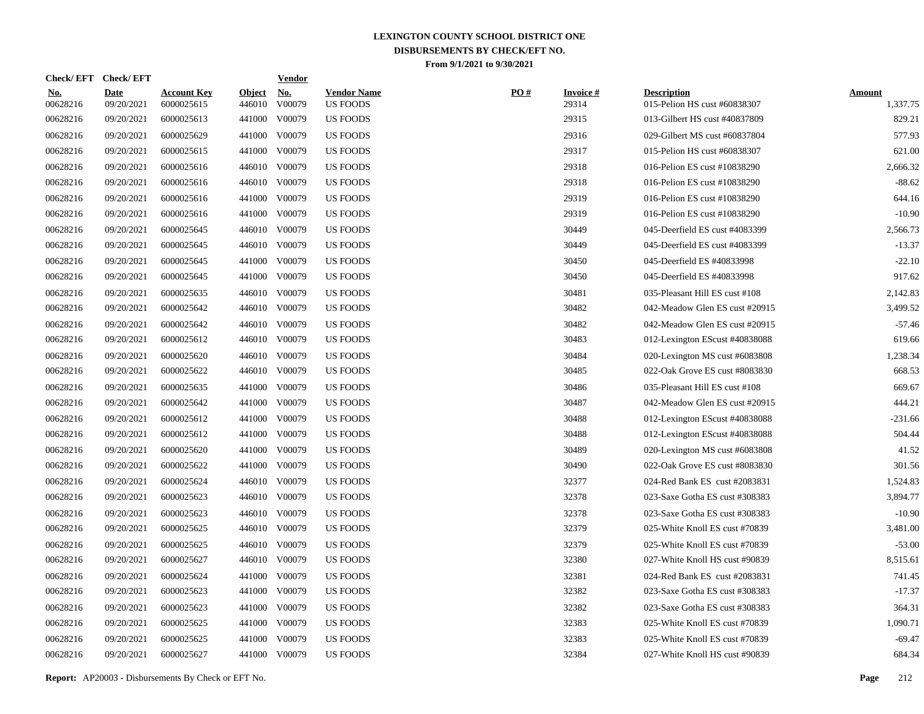| Check/EFT Check/EFT    |                           |                                  |                         | <b>Vendor</b>                       |                                       |     |                          |                                                    |                           |
|------------------------|---------------------------|----------------------------------|-------------------------|-------------------------------------|---------------------------------------|-----|--------------------------|----------------------------------------------------|---------------------------|
| <u>No.</u><br>00628216 | <b>Date</b><br>09/20/2021 | <b>Account Key</b><br>6000025615 | <b>Object</b><br>446010 | $\underline{\mathrm{No}}$<br>V00079 | <b>Vendor Name</b><br><b>US FOODS</b> | PO# | <b>Invoice#</b><br>29314 | <b>Description</b><br>015-Pelion HS cust #60838307 | <b>Amount</b><br>1,337.75 |
| 00628216               | 09/20/2021                | 6000025613                       |                         | 441000 V00079                       | <b>US FOODS</b>                       |     | 29315                    | 013-Gilbert HS cust #40837809                      | 829.21                    |
| 00628216               | 09/20/2021                | 6000025629                       |                         | 441000 V00079                       | <b>US FOODS</b>                       |     | 29316                    | 029-Gilbert MS cust #60837804                      | 577.93                    |
| 00628216               | 09/20/2021                | 6000025615                       |                         | 441000 V00079                       | <b>US FOODS</b>                       |     | 29317                    | 015-Pelion HS cust #60838307                       | 621.00                    |
| 00628216               | 09/20/2021                | 6000025616                       |                         | 446010 V00079                       | US FOODS                              |     | 29318                    | 016-Pelion ES cust #10838290                       | 2,666.32                  |
| 00628216               | 09/20/2021                | 6000025616                       |                         | 446010 V00079                       | <b>US FOODS</b>                       |     | 29318                    | 016-Pelion ES cust #10838290                       | $-88.62$                  |
| 00628216               | 09/20/2021                | 6000025616                       |                         | 441000 V00079                       | <b>US FOODS</b>                       |     | 29319                    | 016-Pelion ES cust #10838290                       | 644.16                    |
| 00628216               | 09/20/2021                | 6000025616                       |                         | 441000 V00079                       | <b>US FOODS</b>                       |     | 29319                    | 016-Pelion ES cust #10838290                       | $-10.90$                  |
| 00628216               | 09/20/2021                | 6000025645                       |                         | 446010 V00079                       | <b>US FOODS</b>                       |     | 30449                    | 045-Deerfield ES cust #4083399                     | 2,566.73                  |
| 00628216               | 09/20/2021                | 6000025645                       |                         | 446010 V00079                       | <b>US FOODS</b>                       |     | 30449                    | 045-Deerfield ES cust #4083399                     | $-13.37$                  |
| 00628216               | 09/20/2021                | 6000025645                       |                         | 441000 V00079                       | <b>US FOODS</b>                       |     | 30450                    | 045-Deerfield ES #40833998                         | $-22.10$                  |
| 00628216               | 09/20/2021                | 6000025645                       |                         | 441000 V00079                       | <b>US FOODS</b>                       |     | 30450                    | 045-Deerfield ES #40833998                         | 917.62                    |
| 00628216               | 09/20/2021                | 6000025635                       |                         | 446010 V00079                       | <b>US FOODS</b>                       |     | 30481                    | 035-Pleasant Hill ES cust #108                     | 2,142.83                  |
| 00628216               | 09/20/2021                | 6000025642                       |                         | 446010 V00079                       | US FOODS                              |     | 30482                    | 042-Meadow Glen ES cust #20915                     | 3,499.52                  |
| 00628216               | 09/20/2021                | 6000025642                       |                         | 446010 V00079                       | <b>US FOODS</b>                       |     | 30482                    | 042-Meadow Glen ES cust #20915                     | $-57.46$                  |
| 00628216               | 09/20/2021                | 6000025612                       |                         | 446010 V00079                       | <b>US FOODS</b>                       |     | 30483                    | 012-Lexington EScust #40838088                     | 619.66                    |
| 00628216               | 09/20/2021                | 6000025620                       |                         | 446010 V00079                       | <b>US FOODS</b>                       |     | 30484                    | 020-Lexington MS cust #6083808                     | 1,238.34                  |
| 00628216               | 09/20/2021                | 6000025622                       |                         | 446010 V00079                       | <b>US FOODS</b>                       |     | 30485                    | 022-Oak Grove ES cust #8083830                     | 668.53                    |
| 00628216               | 09/20/2021                | 6000025635                       |                         | 441000 V00079                       | <b>US FOODS</b>                       |     | 30486                    | 035-Pleasant Hill ES cust #108                     | 669.67                    |
| 00628216               | 09/20/2021                | 6000025642                       |                         | 441000 V00079                       | <b>US FOODS</b>                       |     | 30487                    | 042-Meadow Glen ES cust #20915                     | 444.21                    |
| 00628216               | 09/20/2021                | 6000025612                       |                         | 441000 V00079                       | <b>US FOODS</b>                       |     | 30488                    | 012-Lexington EScust #40838088                     | $-231.66$                 |
| 00628216               | 09/20/2021                | 6000025612                       |                         | 441000 V00079                       | <b>US FOODS</b>                       |     | 30488                    | 012-Lexington EScust #40838088                     | 504.44                    |
| 00628216               | 09/20/2021                | 6000025620                       |                         | 441000 V00079                       | <b>US FOODS</b>                       |     | 30489                    | 020-Lexington MS cust #6083808                     | 41.52                     |
| 00628216               | 09/20/2021                | 6000025622                       |                         | 441000 V00079                       | US FOODS                              |     | 30490                    | 022-Oak Grove ES cust #8083830                     | 301.56                    |
| 00628216               | 09/20/2021                | 6000025624                       |                         | 446010 V00079                       | US FOODS                              |     | 32377                    | 024-Red Bank ES cust #2083831                      | 1,524.83                  |
| 00628216               | 09/20/2021                | 6000025623                       |                         | 446010 V00079                       | US FOODS                              |     | 32378                    | 023-Saxe Gotha ES cust #308383                     | 3,894.77                  |
| 00628216               | 09/20/2021                | 6000025623                       |                         | 446010 V00079                       | US FOODS                              |     | 32378                    | 023-Saxe Gotha ES cust #308383                     | $-10.90$                  |
| 00628216               | 09/20/2021                | 6000025625                       |                         | 446010 V00079                       | <b>US FOODS</b>                       |     | 32379                    | 025-White Knoll ES cust #70839                     | 3,481.00                  |
| 00628216               | 09/20/2021                | 6000025625                       |                         | 446010 V00079                       | <b>US FOODS</b>                       |     | 32379                    | 025-White Knoll ES cust #70839                     | $-53.00$                  |
| 00628216               | 09/20/2021                | 6000025627                       |                         | 446010 V00079                       | <b>US FOODS</b>                       |     | 32380                    | 027-White Knoll HS cust #90839                     | 8,515.61                  |
| 00628216               | 09/20/2021                | 6000025624                       | 441000                  | V00079                              | <b>US FOODS</b>                       |     | 32381                    | 024-Red Bank ES cust #2083831                      | 741.45                    |
| 00628216               | 09/20/2021                | 6000025623                       |                         | 441000 V00079                       | <b>US FOODS</b>                       |     | 32382                    | 023-Saxe Gotha ES cust #308383                     | $-17.37$                  |
| 00628216               | 09/20/2021                | 6000025623                       | 441000                  | V00079                              | <b>US FOODS</b>                       |     | 32382                    | 023-Saxe Gotha ES cust #308383                     | 364.31                    |
| 00628216               | 09/20/2021                | 6000025625                       |                         | 441000 V00079                       | <b>US FOODS</b>                       |     | 32383                    | 025-White Knoll ES cust #70839                     | 1,090.71                  |
| 00628216               | 09/20/2021                | 6000025625                       | 441000                  | V00079                              | <b>US FOODS</b>                       |     | 32383                    | 025-White Knoll ES cust #70839                     | $-69.47$                  |
| 00628216               | 09/20/2021                | 6000025627                       |                         | 441000 V00079                       | <b>US FOODS</b>                       |     | 32384                    | 027-White Knoll HS cust #90839                     | 684.34                    |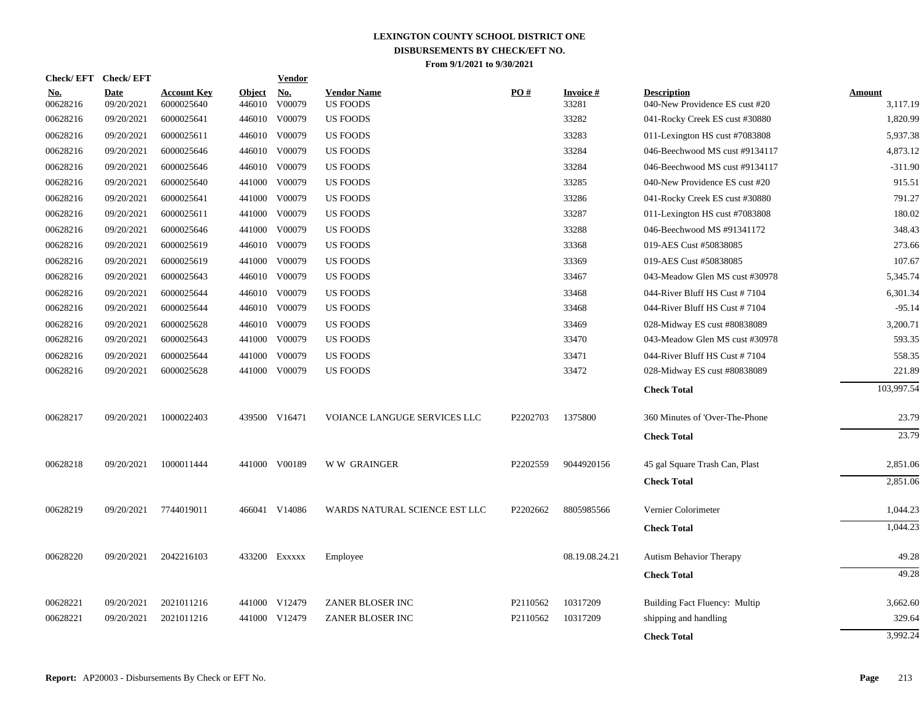| <b>Check/EFT</b>       | <b>Check/EFT</b>   |                                  |                         | <b>Vendor</b> |                                       |                      |                          |                                                      |                           |
|------------------------|--------------------|----------------------------------|-------------------------|---------------|---------------------------------------|----------------------|--------------------------|------------------------------------------------------|---------------------------|
| <u>No.</u><br>00628216 | Date<br>09/20/2021 | <b>Account Key</b><br>6000025640 | <b>Object</b><br>446010 | No.<br>V00079 | <b>Vendor Name</b><br><b>US FOODS</b> | PO#                  | <b>Invoice#</b><br>33281 | <b>Description</b><br>040-New Providence ES cust #20 | <b>Amount</b><br>3,117.19 |
| 00628216               | 09/20/2021         | 6000025641                       | 446010                  | V00079        | <b>US FOODS</b>                       |                      | 33282                    | 041-Rocky Creek ES cust #30880                       | 1,820.99                  |
| 00628216               | 09/20/2021         | 6000025611                       |                         | 446010 V00079 | US FOODS                              |                      | 33283                    | 011-Lexington HS cust #7083808                       | 5,937.38                  |
| 00628216               | 09/20/2021         | 6000025646                       |                         | 446010 V00079 | <b>US FOODS</b>                       |                      | 33284                    | 046-Beechwood MS cust #9134117                       | 4,873.12                  |
| 00628216               | 09/20/2021         | 6000025646                       | 446010                  | V00079        | <b>US FOODS</b>                       |                      | 33284                    | 046-Beechwood MS cust #9134117                       | $-311.90$                 |
| 00628216               | 09/20/2021         | 6000025640                       |                         | 441000 V00079 | <b>US FOODS</b>                       |                      | 33285                    | 040-New Providence ES cust #20                       | 915.51                    |
| 00628216               | 09/20/2021         | 6000025641                       |                         | 441000 V00079 | <b>US FOODS</b>                       |                      | 33286                    | 041-Rocky Creek ES cust #30880                       | 791.27                    |
| 00628216               | 09/20/2021         | 6000025611                       |                         | 441000 V00079 | <b>US FOODS</b>                       |                      | 33287                    | 011-Lexington HS cust #7083808                       | 180.02                    |
| 00628216               | 09/20/2021         | 6000025646                       |                         | 441000 V00079 | <b>US FOODS</b>                       |                      | 33288                    | 046-Beechwood MS #91341172                           | 348.43                    |
| 00628216               | 09/20/2021         | 6000025619                       |                         | 446010 V00079 | <b>US FOODS</b>                       |                      | 33368                    | 019-AES Cust #50838085                               | 273.66                    |
| 00628216               | 09/20/2021         | 6000025619                       |                         | 441000 V00079 | <b>US FOODS</b>                       |                      | 33369                    | 019-AES Cust #50838085                               | 107.67                    |
| 00628216               | 09/20/2021         | 6000025643                       | 446010                  | V00079        | <b>US FOODS</b>                       |                      | 33467                    | 043-Meadow Glen MS cust #30978                       | 5,345.74                  |
| 00628216               | 09/20/2021         | 6000025644                       |                         | 446010 V00079 | <b>US FOODS</b>                       |                      | 33468                    | 044-River Bluff HS Cust #7104                        | 6,301.34                  |
| 00628216               | 09/20/2021         | 6000025644                       |                         | 446010 V00079 | <b>US FOODS</b>                       |                      | 33468                    | 044-River Bluff HS Cust #7104                        | $-95.14$                  |
| 00628216               | 09/20/2021         | 6000025628                       |                         | 446010 V00079 | <b>US FOODS</b>                       |                      | 33469                    | 028-Midway ES cust #80838089                         | 3,200.71                  |
| 00628216               | 09/20/2021         | 6000025643                       |                         | 441000 V00079 | <b>US FOODS</b>                       |                      | 33470                    | 043-Meadow Glen MS cust #30978                       | 593.35                    |
| 00628216               | 09/20/2021         | 6000025644                       |                         | 441000 V00079 | <b>US FOODS</b>                       |                      | 33471                    | 044-River Bluff HS Cust #7104                        | 558.35                    |
| 00628216               | 09/20/2021         | 6000025628                       |                         | 441000 V00079 | <b>US FOODS</b>                       |                      | 33472                    | 028-Midway ES cust #80838089                         | 221.89                    |
|                        |                    |                                  |                         |               |                                       |                      |                          | <b>Check Total</b>                                   | 103,997.54                |
| 00628217               | 09/20/2021         | 1000022403                       |                         | 439500 V16471 | VOIANCE LANGUGE SERVICES LLC          | P2202703             | 1375800                  | 360 Minutes of 'Over-The-Phone                       | 23.79                     |
|                        |                    |                                  |                         |               |                                       |                      |                          | <b>Check Total</b>                                   | 23.79                     |
| 00628218               | 09/20/2021         | 1000011444                       |                         | 441000 V00189 | <b>WW GRAINGER</b>                    | P2202559             | 9044920156               | 45 gal Square Trash Can, Plast                       | 2,851.06                  |
|                        |                    |                                  |                         |               |                                       |                      |                          | <b>Check Total</b>                                   | 2,851.06                  |
| 00628219               | 09/20/2021         | 7744019011                       |                         | 466041 V14086 | WARDS NATURAL SCIENCE EST LLC         | P2202662             | 8805985566               | Vernier Colorimeter                                  | 1,044.23                  |
|                        |                    |                                  |                         |               |                                       |                      |                          | <b>Check Total</b>                                   | 1,044.23                  |
| 00628220               | 09/20/2021         | 2042216103                       |                         | 433200 Exxxxx | Employee                              |                      | 08.19.08.24.21           | <b>Autism Behavior Therapy</b>                       | 49.28                     |
|                        |                    |                                  |                         |               |                                       |                      |                          | <b>Check Total</b>                                   | 49.28                     |
| 00628221               | 09/20/2021         | 2021011216                       |                         | 441000 V12479 | ZANER BLOSER INC                      | P2110562             | 10317209                 | Building Fact Fluency: Multip                        | 3,662.60                  |
| 00628221               | 09/20/2021         | 2021011216                       |                         | 441000 V12479 | ZANER BLOSER INC                      | P <sub>2110562</sub> | 10317209                 | shipping and handling                                | 329.64                    |
|                        |                    |                                  |                         |               |                                       |                      |                          | <b>Check Total</b>                                   | 3,992.24                  |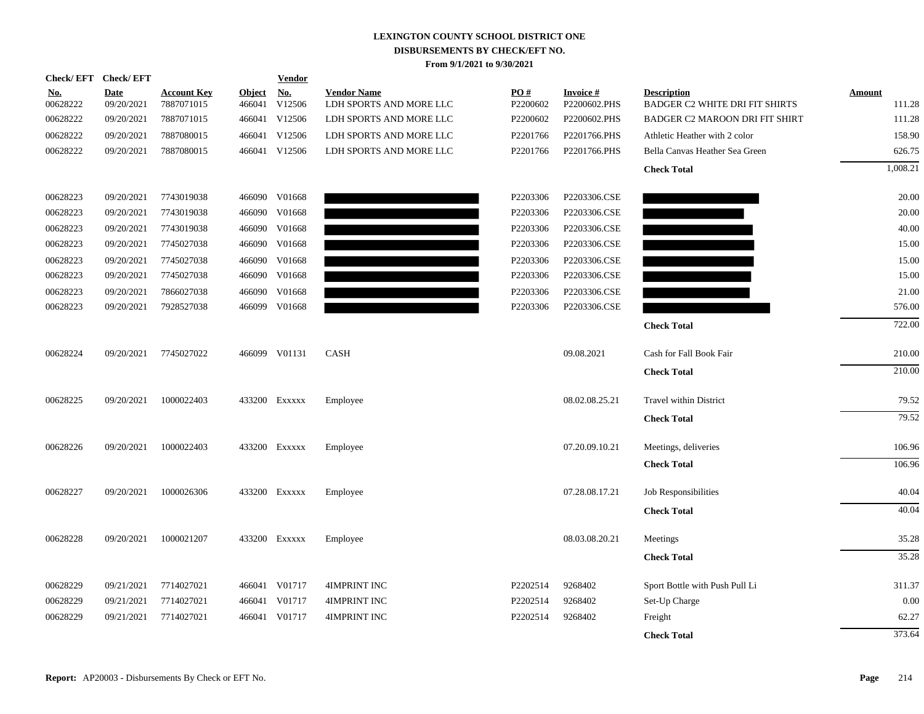| <b>Check/EFT</b>       | <b>Check/EFT</b>          |                                  |                         | <b>Vendor</b>        |                                               |                 |                                 |                                                             |                  |
|------------------------|---------------------------|----------------------------------|-------------------------|----------------------|-----------------------------------------------|-----------------|---------------------------------|-------------------------------------------------------------|------------------|
| <u>No.</u><br>00628222 | <b>Date</b><br>09/20/2021 | <b>Account Key</b><br>7887071015 | <b>Object</b><br>466041 | <u>No.</u><br>V12506 | <b>Vendor Name</b><br>LDH SPORTS AND MORE LLC | PO#<br>P2200602 | <b>Invoice#</b><br>P2200602.PHS | <b>Description</b><br><b>BADGER C2 WHITE DRI FIT SHIRTS</b> | Amount<br>111.28 |
| 00628222               | 09/20/2021                | 7887071015                       | 466041                  | V12506               | LDH SPORTS AND MORE LLC                       | P2200602        | P2200602.PHS                    | <b>BADGER C2 MAROON DRI FIT SHIRT</b>                       | 111.28           |
| 00628222               | 09/20/2021                | 7887080015                       |                         | 466041 V12506        | LDH SPORTS AND MORE LLC                       | P2201766        | P2201766.PHS                    | Athletic Heather with 2 color                               | 158.90           |
| 00628222               | 09/20/2021                | 7887080015                       |                         | 466041 V12506        | LDH SPORTS AND MORE LLC                       | P2201766        | P2201766.PHS                    | Bella Canvas Heather Sea Green                              | 626.75           |
|                        |                           |                                  |                         |                      |                                               |                 |                                 | <b>Check Total</b>                                          | 1,008.21         |
| 00628223               | 09/20/2021                | 7743019038                       |                         | 466090 V01668        |                                               | P2203306        | P2203306.CSE                    |                                                             | 20.00            |
| 00628223               | 09/20/2021                | 7743019038                       | 466090                  | V01668               |                                               | P2203306        | P2203306.CSE                    |                                                             | 20.00            |
| 00628223               | 09/20/2021                | 7743019038                       | 466090                  | V01668               |                                               | P2203306        | P2203306.CSE                    |                                                             | 40.00            |
| 00628223               | 09/20/2021                | 7745027038                       | 466090                  | V01668               |                                               | P2203306        | P2203306.CSE                    |                                                             | 15.00            |
| 00628223               | 09/20/2021                | 7745027038                       | 466090                  | V01668               |                                               | P2203306        | P2203306.CSE                    |                                                             | 15.00            |
| 00628223               | 09/20/2021                | 7745027038                       | 466090                  | V01668               |                                               | P2203306        | P2203306.CSE                    |                                                             | 15.00            |
| 00628223               | 09/20/2021                | 7866027038                       | 466090                  | V01668               |                                               | P2203306        | P2203306.CSE                    |                                                             | 21.00            |
| 00628223               | 09/20/2021                | 7928527038                       | 466099                  | V01668               |                                               | P2203306        | P2203306.CSE                    |                                                             | 576.00           |
|                        |                           |                                  |                         |                      |                                               |                 |                                 | <b>Check Total</b>                                          | 722.00           |
| 00628224               | 09/20/2021                | 7745027022                       |                         | 466099 V01131        | <b>CASH</b>                                   |                 | 09.08.2021                      | Cash for Fall Book Fair                                     | 210.00           |
|                        |                           |                                  |                         |                      |                                               |                 |                                 | <b>Check Total</b>                                          | 210.00           |
| 00628225               | 09/20/2021                | 1000022403                       |                         | 433200 EXXXXX        | Employee                                      |                 | 08.02.08.25.21                  | <b>Travel within District</b>                               | 79.52            |
|                        |                           |                                  |                         |                      |                                               |                 |                                 | <b>Check Total</b>                                          | 79.52            |
| 00628226               | 09/20/2021                | 1000022403                       |                         | 433200 EXXXXX        | Employee                                      |                 | 07.20.09.10.21                  | Meetings, deliveries                                        | 106.96           |
|                        |                           |                                  |                         |                      |                                               |                 |                                 | <b>Check Total</b>                                          | 106.96           |
| 00628227               | 09/20/2021                | 1000026306                       |                         | 433200 EXXXXX        | Employee                                      |                 | 07.28.08.17.21                  | Job Responsibilities                                        | 40.04            |
|                        |                           |                                  |                         |                      |                                               |                 |                                 | <b>Check Total</b>                                          | 40.04            |
| 00628228               | 09/20/2021                | 1000021207                       |                         | 433200 EXXXXX        | Employee                                      |                 | 08.03.08.20.21                  | Meetings                                                    | 35.28            |
|                        |                           |                                  |                         |                      |                                               |                 |                                 | <b>Check Total</b>                                          | 35.28            |
| 00628229               | 09/21/2021                | 7714027021                       |                         | 466041 V01717        | 4IMPRINT INC                                  | P2202514        | 9268402                         | Sport Bottle with Push Pull Li                              | 311.37           |
| 00628229               | 09/21/2021                | 7714027021                       |                         | 466041 V01717        | <b>4IMPRINT INC</b>                           | P2202514        | 9268402                         | Set-Up Charge                                               | 0.00             |
| 00628229               | 09/21/2021                | 7714027021                       |                         | 466041 V01717        | 4IMPRINT INC                                  | P2202514        | 9268402                         | Freight                                                     | 62.27            |
|                        |                           |                                  |                         |                      |                                               |                 |                                 | <b>Check Total</b>                                          | 373.64           |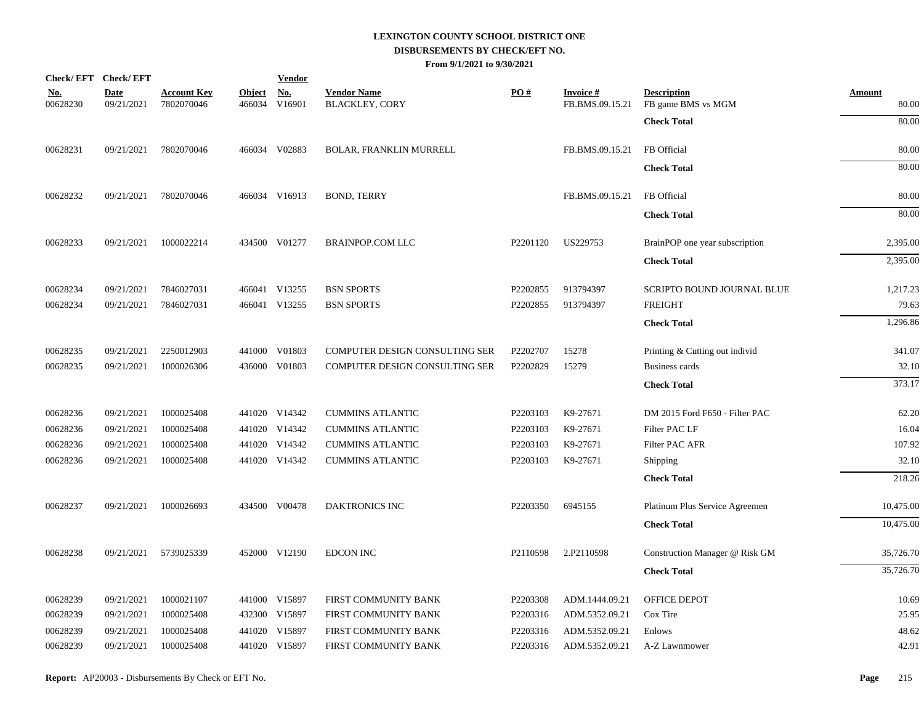|                        | Check/EFT Check/EFT       |                                  |                         | <u>Vendor</u>        |                                             |          |                                    |                                          |                        |
|------------------------|---------------------------|----------------------------------|-------------------------|----------------------|---------------------------------------------|----------|------------------------------------|------------------------------------------|------------------------|
| <u>No.</u><br>00628230 | <b>Date</b><br>09/21/2021 | <b>Account Key</b><br>7802070046 | <b>Object</b><br>466034 | <u>No.</u><br>V16901 | <b>Vendor Name</b><br><b>BLACKLEY, CORY</b> | PO#      | <b>Invoice#</b><br>FB.BMS.09.15.21 | <b>Description</b><br>FB game BMS vs MGM | <b>Amount</b><br>80.00 |
|                        |                           |                                  |                         |                      |                                             |          |                                    | <b>Check Total</b>                       | 80.00                  |
| 00628231               | 09/21/2021                | 7802070046                       |                         | 466034 V02883        | BOLAR, FRANKLIN MURRELL                     |          | FB.BMS.09.15.21                    | FB Official                              | 80.00                  |
|                        |                           |                                  |                         |                      |                                             |          |                                    | <b>Check Total</b>                       | 80.00                  |
| 00628232               | 09/21/2021                | 7802070046                       |                         | 466034 V16913        | <b>BOND, TERRY</b>                          |          | FB.BMS.09.15.21                    | FB Official                              | 80.00                  |
|                        |                           |                                  |                         |                      |                                             |          |                                    | <b>Check Total</b>                       | 80.00                  |
| 00628233               | 09/21/2021                | 1000022214                       |                         | 434500 V01277        | <b>BRAINPOP.COM LLC</b>                     | P2201120 | US229753                           | BrainPOP one year subscription           | 2,395.00               |
|                        |                           |                                  |                         |                      |                                             |          |                                    | <b>Check Total</b>                       | 2,395.00               |
| 00628234               | 09/21/2021                | 7846027031                       |                         | 466041 V13255        | <b>BSN SPORTS</b>                           | P2202855 | 913794397                          | SCRIPTO BOUND JOURNAL BLUE               | 1,217.23               |
| 00628234               | 09/21/2021                | 7846027031                       |                         | 466041 V13255        | <b>BSN SPORTS</b>                           | P2202855 | 913794397                          | <b>FREIGHT</b>                           | 79.63                  |
|                        |                           |                                  |                         |                      |                                             |          |                                    | <b>Check Total</b>                       | 1,296.86               |
| 00628235               | 09/21/2021                | 2250012903                       |                         | 441000 V01803        | COMPUTER DESIGN CONSULTING SER              | P2202707 | 15278                              | Printing & Cutting out individ           | 341.07                 |
| 00628235               | 09/21/2021                | 1000026306                       |                         | 436000 V01803        | COMPUTER DESIGN CONSULTING SER              | P2202829 | 15279                              | Business cards                           | 32.10                  |
|                        |                           |                                  |                         |                      |                                             |          |                                    | <b>Check Total</b>                       | 373.17                 |
| 00628236               | 09/21/2021                | 1000025408                       |                         | 441020 V14342        | <b>CUMMINS ATLANTIC</b>                     | P2203103 | K9-27671                           | DM 2015 Ford F650 - Filter PAC           | 62.20                  |
| 00628236               | 09/21/2021                | 1000025408                       |                         | 441020 V14342        | <b>CUMMINS ATLANTIC</b>                     | P2203103 | K9-27671                           | Filter PAC LF                            | 16.04                  |
| 00628236               | 09/21/2021                | 1000025408                       |                         | 441020 V14342        | <b>CUMMINS ATLANTIC</b>                     | P2203103 | K9-27671                           | Filter PAC AFR                           | 107.92                 |
| 00628236               | 09/21/2021                | 1000025408                       |                         | 441020 V14342        | <b>CUMMINS ATLANTIC</b>                     | P2203103 | K9-27671                           | Shipping                                 | 32.10                  |
|                        |                           |                                  |                         |                      |                                             |          |                                    | <b>Check Total</b>                       | 218.26                 |
| 00628237               | 09/21/2021                | 1000026693                       |                         | 434500 V00478        | <b>DAKTRONICS INC</b>                       | P2203350 | 6945155                            | Platinum Plus Service Agreemen           | 10,475.00              |
|                        |                           |                                  |                         |                      |                                             |          |                                    | <b>Check Total</b>                       | 10,475.00              |
| 00628238               | 09/21/2021                | 5739025339                       |                         | 452000 V12190        | <b>EDCON INC</b>                            | P2110598 | 2.P2110598                         | Construction Manager @ Risk GM           | 35,726.70              |
|                        |                           |                                  |                         |                      |                                             |          |                                    | <b>Check Total</b>                       | 35,726.70              |
| 00628239               | 09/21/2021                | 1000021107                       |                         | 441000 V15897        | FIRST COMMUNITY BANK                        | P2203308 | ADM.1444.09.21                     | <b>OFFICE DEPOT</b>                      | 10.69                  |
| 00628239               | 09/21/2021                | 1000025408                       |                         | 432300 V15897        | FIRST COMMUNITY BANK                        | P2203316 | ADM.5352.09.21                     | Cox Tire                                 | 25.95                  |
| 00628239               | 09/21/2021                | 1000025408                       |                         | 441020 V15897        | FIRST COMMUNITY BANK                        | P2203316 | ADM.5352.09.21                     | Enlows                                   | 48.62                  |
| 00628239               | 09/21/2021                | 1000025408                       |                         | 441020 V15897        | FIRST COMMUNITY BANK                        | P2203316 | ADM.5352.09.21                     | A-Z Lawnmower                            | 42.91                  |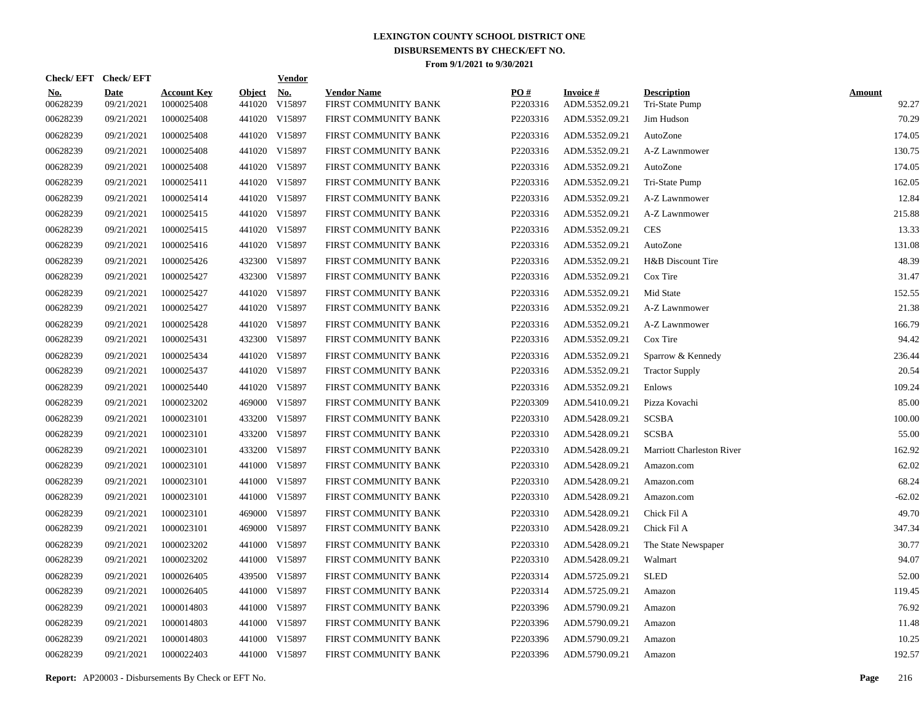|                        | Check/EFT Check/EFT       |                                  |                         | <u>Vendor</u>        |                                            |                 |                                   |                                      |                        |
|------------------------|---------------------------|----------------------------------|-------------------------|----------------------|--------------------------------------------|-----------------|-----------------------------------|--------------------------------------|------------------------|
| <u>No.</u><br>00628239 | <b>Date</b><br>09/21/2021 | <b>Account Key</b><br>1000025408 | <b>Object</b><br>441020 | <u>No.</u><br>V15897 | <b>Vendor Name</b><br>FIRST COMMUNITY BANK | PQ#<br>P2203316 | <b>Invoice#</b><br>ADM.5352.09.21 | <b>Description</b><br>Tri-State Pump | <b>Amount</b><br>92.27 |
| 00628239               | 09/21/2021                | 1000025408                       |                         | 441020 V15897        | FIRST COMMUNITY BANK                       | P2203316        | ADM.5352.09.21                    | Jim Hudson                           | 70.29                  |
| 00628239               | 09/21/2021                | 1000025408                       |                         | 441020 V15897        | FIRST COMMUNITY BANK                       | P2203316        | ADM.5352.09.21                    | AutoZone                             | 174.05                 |
| 00628239               | 09/21/2021                | 1000025408                       |                         | 441020 V15897        | FIRST COMMUNITY BANK                       | P2203316        | ADM.5352.09.21                    | A-Z Lawnmower                        | 130.75                 |
| 00628239               | 09/21/2021                | 1000025408                       |                         | 441020 V15897        | FIRST COMMUNITY BANK                       | P2203316        | ADM.5352.09.21                    | AutoZone                             | 174.05                 |
| 00628239               | 09/21/2021                | 1000025411                       |                         | 441020 V15897        | FIRST COMMUNITY BANK                       | P2203316        | ADM.5352.09.21                    | Tri-State Pump                       | 162.05                 |
| 00628239               | 09/21/2021                | 1000025414                       |                         | 441020 V15897        | FIRST COMMUNITY BANK                       | P2203316        | ADM.5352.09.21                    | A-Z Lawnmower                        | 12.84                  |
| 00628239               | 09/21/2021                | 1000025415                       |                         | 441020 V15897        | FIRST COMMUNITY BANK                       | P2203316        | ADM.5352.09.21                    | A-Z Lawnmower                        | 215.88                 |
| 00628239               | 09/21/2021                | 1000025415                       |                         | 441020 V15897        | FIRST COMMUNITY BANK                       | P2203316        | ADM.5352.09.21                    | <b>CES</b>                           | 13.33                  |
| 00628239               | 09/21/2021                | 1000025416                       |                         | 441020 V15897        | FIRST COMMUNITY BANK                       | P2203316        | ADM.5352.09.21                    | AutoZone                             | 131.08                 |
| 00628239               | 09/21/2021                | 1000025426                       |                         | 432300 V15897        | FIRST COMMUNITY BANK                       | P2203316        | ADM.5352.09.21                    | H&B Discount Tire                    | 48.39                  |
| 00628239               | 09/21/2021                | 1000025427                       |                         | 432300 V15897        | FIRST COMMUNITY BANK                       | P2203316        | ADM.5352.09.21                    | Cox Tire                             | 31.47                  |
| 00628239               | 09/21/2021                | 1000025427                       |                         | 441020 V15897        | FIRST COMMUNITY BANK                       | P2203316        | ADM.5352.09.21                    | Mid State                            | 152.55                 |
| 00628239               | 09/21/2021                | 1000025427                       |                         | 441020 V15897        | FIRST COMMUNITY BANK                       | P2203316        | ADM.5352.09.21                    | A-Z Lawnmower                        | 21.38                  |
| 00628239               | 09/21/2021                | 1000025428                       |                         | 441020 V15897        | FIRST COMMUNITY BANK                       | P2203316        | ADM.5352.09.21                    | A-Z Lawnmower                        | 166.79                 |
| 00628239               | 09/21/2021                | 1000025431                       |                         | 432300 V15897        | FIRST COMMUNITY BANK                       | P2203316        | ADM.5352.09.21                    | Cox Tire                             | 94.42                  |
| 00628239               | 09/21/2021                | 1000025434                       |                         | 441020 V15897        | FIRST COMMUNITY BANK                       | P2203316        | ADM.5352.09.21                    | Sparrow & Kennedy                    | 236.44                 |
| 00628239               | 09/21/2021                | 1000025437                       |                         | 441020 V15897        | FIRST COMMUNITY BANK                       | P2203316        | ADM.5352.09.21                    | <b>Tractor Supply</b>                | 20.54                  |
| 00628239               | 09/21/2021                | 1000025440                       |                         | 441020 V15897        | FIRST COMMUNITY BANK                       | P2203316        | ADM.5352.09.21                    | Enlows                               | 109.24                 |
| 00628239               | 09/21/2021                | 1000023202                       |                         | 469000 V15897        | FIRST COMMUNITY BANK                       | P2203309        | ADM.5410.09.21                    | Pizza Kovachi                        | 85.00                  |
| 00628239               | 09/21/2021                | 1000023101                       | 433200                  | V15897               | FIRST COMMUNITY BANK                       | P2203310        | ADM.5428.09.21                    | <b>SCSBA</b>                         | 100.00                 |
| 00628239               | 09/21/2021                | 1000023101                       | 433200                  | V15897               | FIRST COMMUNITY BANK                       | P2203310        | ADM.5428.09.21                    | <b>SCSBA</b>                         | 55.00                  |
| 00628239               | 09/21/2021                | 1000023101                       | 433200                  | V15897               | FIRST COMMUNITY BANK                       | P2203310        | ADM.5428.09.21                    | Marriott Charleston River            | 162.92                 |
| 00628239               | 09/21/2021                | 1000023101                       | 441000                  | V15897               | FIRST COMMUNITY BANK                       | P2203310        | ADM.5428.09.21                    | Amazon.com                           | 62.02                  |
| 00628239               | 09/21/2021                | 1000023101                       | 441000                  | V15897               | FIRST COMMUNITY BANK                       | P2203310        | ADM.5428.09.21                    | Amazon.com                           | 68.24                  |
| 00628239               | 09/21/2021                | 1000023101                       | 441000                  | V15897               | FIRST COMMUNITY BANK                       | P2203310        | ADM.5428.09.21                    | Amazon.com                           | $-62.02$               |
| 00628239               | 09/21/2021                | 1000023101                       | 469000                  | V15897               | FIRST COMMUNITY BANK                       | P2203310        | ADM.5428.09.21                    | Chick Fil A                          | 49.70                  |
| 00628239               | 09/21/2021                | 1000023101                       | 469000                  | V15897               | FIRST COMMUNITY BANK                       | P2203310        | ADM.5428.09.21                    | Chick Fil A                          | 347.34                 |
| 00628239               | 09/21/2021                | 1000023202                       | 441000                  | V15897               | FIRST COMMUNITY BANK                       | P2203310        | ADM.5428.09.21                    | The State Newspaper                  | 30.77                  |
| 00628239               | 09/21/2021                | 1000023202                       |                         | 441000 V15897        | FIRST COMMUNITY BANK                       | P2203310        | ADM.5428.09.21                    | Walmart                              | 94.07                  |
| 00628239               | 09/21/2021                | 1000026405                       | 439500                  | V15897               | FIRST COMMUNITY BANK                       | P2203314        | ADM.5725.09.21                    | <b>SLED</b>                          | 52.00                  |
| 00628239               | 09/21/2021                | 1000026405                       | 441000                  | V15897               | FIRST COMMUNITY BANK                       | P2203314        | ADM.5725.09.21                    | Amazon                               | 119.45                 |
| 00628239               | 09/21/2021                | 1000014803                       | 441000                  | V15897               | FIRST COMMUNITY BANK                       | P2203396        | ADM.5790.09.21                    | Amazon                               | 76.92                  |
| 00628239               | 09/21/2021                | 1000014803                       | 441000                  | V15897               | FIRST COMMUNITY BANK                       | P2203396        | ADM.5790.09.21                    | Amazon                               | 11.48                  |
| 00628239               | 09/21/2021                | 1000014803                       | 441000                  | V15897               | FIRST COMMUNITY BANK                       | P2203396        | ADM.5790.09.21                    | Amazon                               | 10.25                  |
| 00628239               | 09/21/2021                | 1000022403                       |                         | 441000 V15897        | FIRST COMMUNITY BANK                       | P2203396        | ADM.5790.09.21                    | Amazon                               | 192.57                 |

**Report:** AP20003 - Disbursements By Check or EFT No. **Page** 216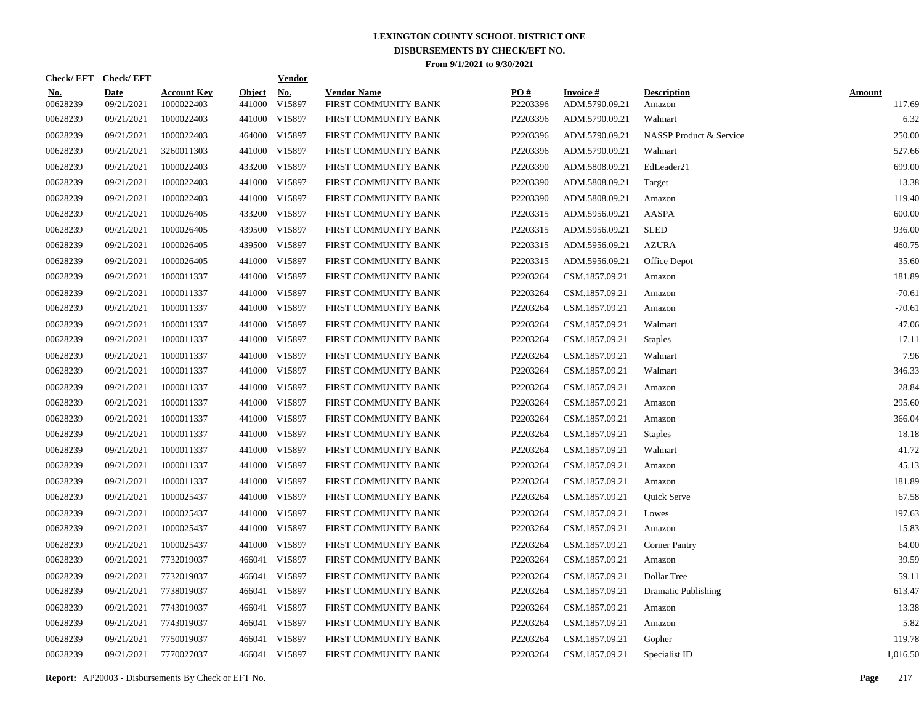|                        | Check/EFT Check/EFT       |                                  |                         | <b>Vendor</b>        |                                            |                 |                                   |                              |                         |
|------------------------|---------------------------|----------------------------------|-------------------------|----------------------|--------------------------------------------|-----------------|-----------------------------------|------------------------------|-------------------------|
| <u>No.</u><br>00628239 | <b>Date</b><br>09/21/2021 | <b>Account Key</b><br>1000022403 | <b>Object</b><br>441000 | <u>No.</u><br>V15897 | <b>Vendor Name</b><br>FIRST COMMUNITY BANK | PO#<br>P2203396 | <b>Invoice#</b><br>ADM.5790.09.21 | <b>Description</b><br>Amazon | <b>Amount</b><br>117.69 |
| 00628239               | 09/21/2021                | 1000022403                       | 441000                  | V15897               | FIRST COMMUNITY BANK                       | P2203396        | ADM.5790.09.21                    | Walmart                      | 6.32                    |
| 00628239               | 09/21/2021                | 1000022403                       | 464000                  | V15897               | FIRST COMMUNITY BANK                       | P2203396        | ADM.5790.09.21                    | NASSP Product & Service      | 250.00                  |
| 00628239               | 09/21/2021                | 3260011303                       | 441000                  | V15897               | FIRST COMMUNITY BANK                       | P2203396        | ADM.5790.09.21                    | Walmart                      | 527.66                  |
| 00628239               | 09/21/2021                | 1000022403                       | 433200                  | V15897               | FIRST COMMUNITY BANK                       | P2203390        | ADM.5808.09.21                    | EdLeader21                   | 699.00                  |
| 00628239               | 09/21/2021                | 1000022403                       |                         | 441000 V15897        | FIRST COMMUNITY BANK                       | P2203390        | ADM.5808.09.21                    | Target                       | 13.38                   |
| 00628239               | 09/21/2021                | 1000022403                       |                         | 441000 V15897        | FIRST COMMUNITY BANK                       | P2203390        | ADM.5808.09.21                    | Amazon                       | 119.40                  |
| 00628239               | 09/21/2021                | 1000026405                       | 433200                  | V15897               | FIRST COMMUNITY BANK                       | P2203315        | ADM.5956.09.21                    | AASPA                        | 600.00                  |
| 00628239               | 09/21/2021                | 1000026405                       | 439500                  | V15897               | FIRST COMMUNITY BANK                       | P2203315        | ADM.5956.09.21                    | <b>SLED</b>                  | 936.00                  |
| 00628239               | 09/21/2021                | 1000026405                       | 439500                  | V15897               | FIRST COMMUNITY BANK                       | P2203315        | ADM.5956.09.21                    | <b>AZURA</b>                 | 460.75                  |
| 00628239               | 09/21/2021                | 1000026405                       |                         | 441000 V15897        | FIRST COMMUNITY BANK                       | P2203315        | ADM.5956.09.21                    | Office Depot                 | 35.60                   |
| 00628239               | 09/21/2021                | 1000011337                       |                         | 441000 V15897        | FIRST COMMUNITY BANK                       | P2203264        | CSM.1857.09.21                    | Amazon                       | 181.89                  |
| 00628239               | 09/21/2021                | 1000011337                       |                         | 441000 V15897        | FIRST COMMUNITY BANK                       | P2203264        | CSM.1857.09.21                    | Amazon                       | $-70.61$                |
| 00628239               | 09/21/2021                | 1000011337                       |                         | 441000 V15897        | FIRST COMMUNITY BANK                       | P2203264        | CSM.1857.09.21                    | Amazon                       | $-70.61$                |
| 00628239               | 09/21/2021                | 1000011337                       |                         | 441000 V15897        | FIRST COMMUNITY BANK                       | P2203264        | CSM.1857.09.21                    | Walmart                      | 47.06                   |
| 00628239               | 09/21/2021                | 1000011337                       |                         | 441000 V15897        | FIRST COMMUNITY BANK                       | P2203264        | CSM.1857.09.21                    | <b>Staples</b>               | 17.11                   |
| 00628239               | 09/21/2021                | 1000011337                       |                         | 441000 V15897        | FIRST COMMUNITY BANK                       | P2203264        | CSM.1857.09.21                    | Walmart                      | 7.96                    |
| 00628239               | 09/21/2021                | 1000011337                       |                         | 441000 V15897        | FIRST COMMUNITY BANK                       | P2203264        | CSM.1857.09.21                    | Walmart                      | 346.33                  |
| 00628239               | 09/21/2021                | 1000011337                       |                         | 441000 V15897        | FIRST COMMUNITY BANK                       | P2203264        | CSM.1857.09.21                    | Amazon                       | 28.84                   |
| 00628239               | 09/21/2021                | 1000011337                       |                         | 441000 V15897        | FIRST COMMUNITY BANK                       | P2203264        | CSM.1857.09.21                    | Amazon                       | 295.60                  |
| 00628239               | 09/21/2021                | 1000011337                       | 441000                  | V15897               | FIRST COMMUNITY BANK                       | P2203264        | CSM.1857.09.21                    | Amazon                       | 366.04                  |
| 00628239               | 09/21/2021                | 1000011337                       |                         | 441000 V15897        | FIRST COMMUNITY BANK                       | P2203264        | CSM.1857.09.21                    | <b>Staples</b>               | 18.18                   |
| 00628239               | 09/21/2021                | 1000011337                       | 441000                  | V15897               | FIRST COMMUNITY BANK                       | P2203264        | CSM.1857.09.21                    | Walmart                      | 41.72                   |
| 00628239               | 09/21/2021                | 1000011337                       |                         | 441000 V15897        | FIRST COMMUNITY BANK                       | P2203264        | CSM.1857.09.21                    | Amazon                       | 45.13                   |
| 00628239               | 09/21/2021                | 1000011337                       | 441000                  | V15897               | FIRST COMMUNITY BANK                       | P2203264        | CSM.1857.09.21                    | Amazon                       | 181.89                  |
| 00628239               | 09/21/2021                | 1000025437                       | 441000                  | V15897               | FIRST COMMUNITY BANK                       | P2203264        | CSM.1857.09.21                    | Quick Serve                  | 67.58                   |
| 00628239               | 09/21/2021                | 1000025437                       | 441000                  | V15897               | FIRST COMMUNITY BANK                       | P2203264        | CSM.1857.09.21                    | Lowes                        | 197.63                  |
| 00628239               | 09/21/2021                | 1000025437                       | 441000                  | V15897               | FIRST COMMUNITY BANK                       | P2203264        | CSM.1857.09.21                    | Amazon                       | 15.83                   |
| 00628239               | 09/21/2021                | 1000025437                       | 441000                  | V15897               | FIRST COMMUNITY BANK                       | P2203264        | CSM.1857.09.21                    | <b>Corner Pantry</b>         | 64.00                   |
| 00628239               | 09/21/2021                | 7732019037                       |                         | 466041 V15897        | FIRST COMMUNITY BANK                       | P2203264        | CSM.1857.09.21                    | Amazon                       | 39.59                   |
| 00628239               | 09/21/2021                | 7732019037                       |                         | 466041 V15897        | FIRST COMMUNITY BANK                       | P2203264        | CSM.1857.09.21                    | Dollar Tree                  | 59.11                   |
| 00628239               | 09/21/2021                | 7738019037                       |                         | 466041 V15897        | FIRST COMMUNITY BANK                       | P2203264        | CSM.1857.09.21                    | <b>Dramatic Publishing</b>   | 613.47                  |
| 00628239               | 09/21/2021                | 7743019037                       |                         | 466041 V15897        | FIRST COMMUNITY BANK                       | P2203264        | CSM.1857.09.21                    | Amazon                       | 13.38                   |
| 00628239               | 09/21/2021                | 7743019037                       |                         | 466041 V15897        | FIRST COMMUNITY BANK                       | P2203264        | CSM.1857.09.21                    | Amazon                       | 5.82                    |
| 00628239               | 09/21/2021                | 7750019037                       |                         | 466041 V15897        | FIRST COMMUNITY BANK                       | P2203264        | CSM.1857.09.21                    | Gopher                       | 119.78                  |
| 00628239               | 09/21/2021                | 7770027037                       |                         | 466041 V15897        | FIRST COMMUNITY BANK                       | P2203264        | CSM.1857.09.21                    | Specialist ID                | 1,016.50                |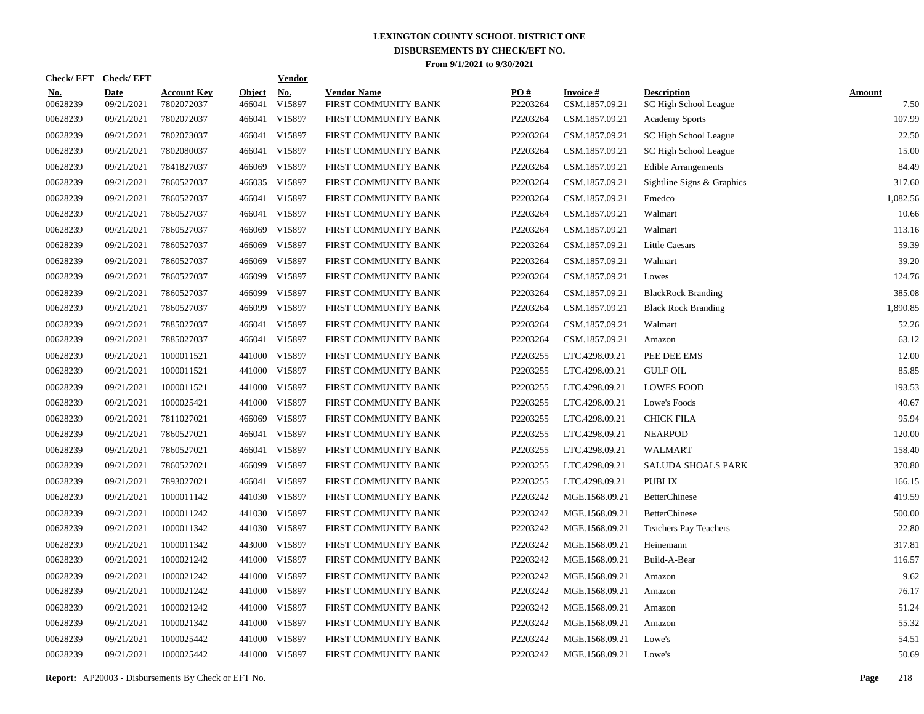| Check/EFT Check/EFT    |                           |                                  |                         | <b>Vendor</b>        |                                            |                 |                                   |                                             |                       |
|------------------------|---------------------------|----------------------------------|-------------------------|----------------------|--------------------------------------------|-----------------|-----------------------------------|---------------------------------------------|-----------------------|
| <u>No.</u><br>00628239 | <b>Date</b><br>09/21/2021 | <b>Account Key</b><br>7802072037 | <b>Object</b><br>466041 | <u>No.</u><br>V15897 | <b>Vendor Name</b><br>FIRST COMMUNITY BANK | PO#<br>P2203264 | <b>Invoice#</b><br>CSM.1857.09.21 | <b>Description</b><br>SC High School League | <b>Amount</b><br>7.50 |
| 00628239               | 09/21/2021                | 7802072037                       | 466041                  | V15897               | FIRST COMMUNITY BANK                       | P2203264        | CSM.1857.09.21                    | <b>Academy Sports</b>                       | 107.99                |
| 00628239               | 09/21/2021                | 7802073037                       | 466041                  | V15897               | FIRST COMMUNITY BANK                       | P2203264        | CSM.1857.09.21                    | SC High School League                       | 22.50                 |
| 00628239               | 09/21/2021                | 7802080037                       | 466041                  | V15897               | FIRST COMMUNITY BANK                       | P2203264        | CSM.1857.09.21                    | SC High School League                       | 15.00                 |
| 00628239               | 09/21/2021                | 7841827037                       | 466069                  | V15897               | FIRST COMMUNITY BANK                       | P2203264        | CSM.1857.09.21                    | <b>Edible Arrangements</b>                  | 84.49                 |
| 00628239               | 09/21/2021                | 7860527037                       |                         | 466035 V15897        | FIRST COMMUNITY BANK                       | P2203264        | CSM.1857.09.21                    | Sightline Signs & Graphics                  | 317.60                |
| 00628239               | 09/21/2021                | 7860527037                       | 466041                  | V15897               | FIRST COMMUNITY BANK                       | P2203264        | CSM.1857.09.21                    | Emedco                                      | 1,082.56              |
| 00628239               | 09/21/2021                | 7860527037                       | 466041                  | V15897               | FIRST COMMUNITY BANK                       | P2203264        | CSM.1857.09.21                    | Walmart                                     | 10.66                 |
| 00628239               | 09/21/2021                | 7860527037                       | 466069                  | V15897               | FIRST COMMUNITY BANK                       | P2203264        | CSM.1857.09.21                    | Walmart                                     | 113.16                |
| 00628239               | 09/21/2021                | 7860527037                       | 466069                  | V15897               | FIRST COMMUNITY BANK                       | P2203264        | CSM.1857.09.21                    | <b>Little Caesars</b>                       | 59.39                 |
| 00628239               | 09/21/2021                | 7860527037                       | 466069                  | V15897               | FIRST COMMUNITY BANK                       | P2203264        | CSM.1857.09.21                    | Walmart                                     | 39.20                 |
| 00628239               | 09/21/2021                | 7860527037                       |                         | 466099 V15897        | FIRST COMMUNITY BANK                       | P2203264        | CSM.1857.09.21                    | Lowes                                       | 124.76                |
| 00628239               | 09/21/2021                | 7860527037                       | 466099                  | V15897               | FIRST COMMUNITY BANK                       | P2203264        | CSM.1857.09.21                    | <b>BlackRock Branding</b>                   | 385.08                |
| 00628239               | 09/21/2021                | 7860527037                       |                         | 466099 V15897        | FIRST COMMUNITY BANK                       | P2203264        | CSM.1857.09.21                    | <b>Black Rock Branding</b>                  | 1,890.85              |
| 00628239               | 09/21/2021                | 7885027037                       |                         | 466041 V15897        | FIRST COMMUNITY BANK                       | P2203264        | CSM.1857.09.21                    | Walmart                                     | 52.26                 |
| 00628239               | 09/21/2021                | 7885027037                       |                         | 466041 V15897        | FIRST COMMUNITY BANK                       | P2203264        | CSM.1857.09.21                    | Amazon                                      | 63.12                 |
| 00628239               | 09/21/2021                | 1000011521                       | 441000                  | V15897               | FIRST COMMUNITY BANK                       | P2203255        | LTC.4298.09.21                    | PEE DEE EMS                                 | 12.00                 |
| 00628239               | 09/21/2021                | 1000011521                       |                         | 441000 V15897        | FIRST COMMUNITY BANK                       | P2203255        | LTC.4298.09.21                    | <b>GULF OIL</b>                             | 85.85                 |
| 00628239               | 09/21/2021                | 1000011521                       |                         | 441000 V15897        | FIRST COMMUNITY BANK                       | P2203255        | LTC.4298.09.21                    | <b>LOWES FOOD</b>                           | 193.53                |
| 00628239               | 09/21/2021                | 1000025421                       |                         | 441000 V15897        | FIRST COMMUNITY BANK                       | P2203255        | LTC.4298.09.21                    | Lowe's Foods                                | 40.67                 |
| 00628239               | 09/21/2021                | 7811027021                       | 466069                  | V15897               | FIRST COMMUNITY BANK                       | P2203255        | LTC.4298.09.21                    | <b>CHICK FILA</b>                           | 95.94                 |
| 00628239               | 09/21/2021                | 7860527021                       |                         | 466041 V15897        | FIRST COMMUNITY BANK                       | P2203255        | LTC.4298.09.21                    | <b>NEARPOD</b>                              | 120.00                |
| 00628239               | 09/21/2021                | 7860527021                       |                         | 466041 V15897        | FIRST COMMUNITY BANK                       | P2203255        | LTC.4298.09.21                    | <b>WALMART</b>                              | 158.40                |
| 00628239               | 09/21/2021                | 7860527021                       |                         | 466099 V15897        | FIRST COMMUNITY BANK                       | P2203255        | LTC.4298.09.21                    | <b>SALUDA SHOALS PARK</b>                   | 370.80                |
| 00628239               | 09/21/2021                | 7893027021                       |                         | 466041 V15897        | FIRST COMMUNITY BANK                       | P2203255        | LTC.4298.09.21                    | <b>PUBLIX</b>                               | 166.15                |
| 00628239               | 09/21/2021                | 1000011142                       |                         | 441030 V15897        | FIRST COMMUNITY BANK                       | P2203242        | MGE.1568.09.21                    | <b>BetterChinese</b>                        | 419.59                |
| 00628239               | 09/21/2021                | 1000011242                       |                         | 441030 V15897        | FIRST COMMUNITY BANK                       | P2203242        | MGE.1568.09.21                    | <b>BetterChinese</b>                        | 500.00                |
| 00628239               | 09/21/2021                | 1000011342                       |                         | 441030 V15897        | FIRST COMMUNITY BANK                       | P2203242        | MGE.1568.09.21                    | <b>Teachers Pay Teachers</b>                | 22.80                 |
| 00628239               | 09/21/2021                | 1000011342                       | 443000                  | V15897               | FIRST COMMUNITY BANK                       | P2203242        | MGE.1568.09.21                    | Heinemann                                   | 317.81                |
| 00628239               | 09/21/2021                | 1000021242                       |                         | 441000 V15897        | FIRST COMMUNITY BANK                       | P2203242        | MGE.1568.09.21                    | Build-A-Bear                                | 116.57                |
| 00628239               | 09/21/2021                | 1000021242                       | 441000                  | V15897               | FIRST COMMUNITY BANK                       | P2203242        | MGE.1568.09.21                    | Amazon                                      | 9.62                  |
| 00628239               | 09/21/2021                | 1000021242                       | 441000                  | V15897               | FIRST COMMUNITY BANK                       | P2203242        | MGE.1568.09.21                    | Amazon                                      | 76.17                 |
| 00628239               | 09/21/2021                | 1000021242                       | 441000                  | V15897               | FIRST COMMUNITY BANK                       | P2203242        | MGE.1568.09.21                    | Amazon                                      | 51.24                 |
| 00628239               | 09/21/2021                | 1000021342                       |                         | 441000 V15897        | FIRST COMMUNITY BANK                       | P2203242        | MGE.1568.09.21                    | Amazon                                      | 55.32                 |
| 00628239               | 09/21/2021                | 1000025442                       | 441000                  | V15897               | FIRST COMMUNITY BANK                       | P2203242        | MGE.1568.09.21                    | Lowe's                                      | 54.51                 |
| 00628239               | 09/21/2021                | 1000025442                       |                         | 441000 V15897        | FIRST COMMUNITY BANK                       | P2203242        | MGE.1568.09.21                    | Lowe's                                      | 50.69                 |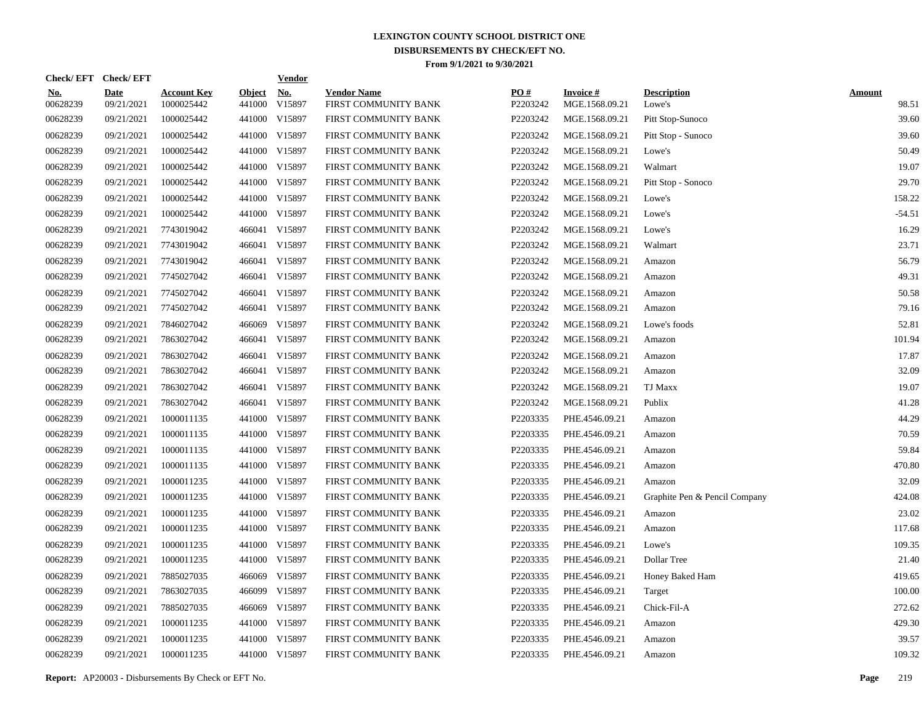|                        | Check/EFT Check/EFT       |                                  |                         | <u>Vendor</u>        |                                            |                 |                                   |                               |                        |
|------------------------|---------------------------|----------------------------------|-------------------------|----------------------|--------------------------------------------|-----------------|-----------------------------------|-------------------------------|------------------------|
| <u>No.</u><br>00628239 | <b>Date</b><br>09/21/2021 | <b>Account Key</b><br>1000025442 | <b>Object</b><br>441000 | <u>No.</u><br>V15897 | <b>Vendor Name</b><br>FIRST COMMUNITY BANK | PQ#<br>P2203242 | <b>Invoice#</b><br>MGE.1568.09.21 | <b>Description</b><br>Lowe's  | <b>Amount</b><br>98.51 |
| 00628239               | 09/21/2021                | 1000025442                       |                         | 441000 V15897        | FIRST COMMUNITY BANK                       | P2203242        | MGE.1568.09.21                    | Pitt Stop-Sunoco              | 39.60                  |
| 00628239               | 09/21/2021                | 1000025442                       |                         | 441000 V15897        | FIRST COMMUNITY BANK                       | P2203242        | MGE.1568.09.21                    | Pitt Stop - Sunoco            | 39.60                  |
| 00628239               | 09/21/2021                | 1000025442                       |                         | 441000 V15897        | FIRST COMMUNITY BANK                       | P2203242        | MGE.1568.09.21                    | Lowe's                        | 50.49                  |
| 00628239               | 09/21/2021                | 1000025442                       |                         | 441000 V15897        | FIRST COMMUNITY BANK                       | P2203242        | MGE.1568.09.21                    | Walmart                       | 19.07                  |
| 00628239               | 09/21/2021                | 1000025442                       |                         | 441000 V15897        | FIRST COMMUNITY BANK                       | P2203242        | MGE.1568.09.21                    | Pitt Stop - Sonoco            | 29.70                  |
| 00628239               | 09/21/2021                | 1000025442                       |                         | 441000 V15897        | FIRST COMMUNITY BANK                       | P2203242        | MGE.1568.09.21                    | Lowe's                        | 158.22                 |
| 00628239               | 09/21/2021                | 1000025442                       |                         | 441000 V15897        | FIRST COMMUNITY BANK                       | P2203242        | MGE.1568.09.21                    | Lowe's                        | $-54.51$               |
| 00628239               | 09/21/2021                | 7743019042                       |                         | 466041 V15897        | FIRST COMMUNITY BANK                       | P2203242        | MGE.1568.09.21                    | Lowe's                        | 16.29                  |
| 00628239               | 09/21/2021                | 7743019042                       |                         | 466041 V15897        | FIRST COMMUNITY BANK                       | P2203242        | MGE.1568.09.21                    | Walmart                       | 23.71                  |
| 00628239               | 09/21/2021                | 7743019042                       | 466041                  | V15897               | FIRST COMMUNITY BANK                       | P2203242        | MGE.1568.09.21                    | Amazon                        | 56.79                  |
| 00628239               | 09/21/2021                | 7745027042                       |                         | 466041 V15897        | FIRST COMMUNITY BANK                       | P2203242        | MGE.1568.09.21                    | Amazon                        | 49.31                  |
| 00628239               | 09/21/2021                | 7745027042                       | 466041                  | V15897               | FIRST COMMUNITY BANK                       | P2203242        | MGE.1568.09.21                    | Amazon                        | 50.58                  |
| 00628239               | 09/21/2021                | 7745027042                       |                         | 466041 V15897        | FIRST COMMUNITY BANK                       | P2203242        | MGE.1568.09.21                    | Amazon                        | 79.16                  |
| 00628239               | 09/21/2021                | 7846027042                       | 466069                  | V15897               | FIRST COMMUNITY BANK                       | P2203242        | MGE.1568.09.21                    | Lowe's foods                  | 52.81                  |
| 00628239               | 09/21/2021                | 7863027042                       | 466041                  | V15897               | FIRST COMMUNITY BANK                       | P2203242        | MGE.1568.09.21                    | Amazon                        | 101.94                 |
| 00628239               | 09/21/2021                | 7863027042                       |                         | 466041 V15897        | FIRST COMMUNITY BANK                       | P2203242        | MGE.1568.09.21                    | Amazon                        | 17.87                  |
| 00628239               | 09/21/2021                | 7863027042                       | 466041                  | V15897               | FIRST COMMUNITY BANK                       | P2203242        | MGE.1568.09.21                    | Amazon                        | 32.09                  |
| 00628239               | 09/21/2021                | 7863027042                       |                         | 466041 V15897        | FIRST COMMUNITY BANK                       | P2203242        | MGE.1568.09.21                    | TJ Maxx                       | 19.07                  |
| 00628239               | 09/21/2021                | 7863027042                       |                         | 466041 V15897        | FIRST COMMUNITY BANK                       | P2203242        | MGE.1568.09.21                    | Publix                        | 41.28                  |
| 00628239               | 09/21/2021                | 1000011135                       |                         | 441000 V15897        | FIRST COMMUNITY BANK                       | P2203335        | PHE.4546.09.21                    | Amazon                        | 44.29                  |
| 00628239               | 09/21/2021                | 1000011135                       | 441000                  | V15897               | FIRST COMMUNITY BANK                       | P2203335        | PHE.4546.09.21                    | Amazon                        | 70.59                  |
| 00628239               | 09/21/2021                | 1000011135                       |                         | 441000 V15897        | FIRST COMMUNITY BANK                       | P2203335        | PHE.4546.09.21                    | Amazon                        | 59.84                  |
| 00628239               | 09/21/2021                | 1000011135                       | 441000                  | V15897               | FIRST COMMUNITY BANK                       | P2203335        | PHE.4546.09.21                    | Amazon                        | 470.80                 |
| 00628239               | 09/21/2021                | 1000011235                       |                         | 441000 V15897        | FIRST COMMUNITY BANK                       | P2203335        | PHE.4546.09.21                    | Amazon                        | 32.09                  |
| 00628239               | 09/21/2021                | 1000011235                       |                         | 441000 V15897        | FIRST COMMUNITY BANK                       | P2203335        | PHE.4546.09.21                    | Graphite Pen & Pencil Company | 424.08                 |
| 00628239               | 09/21/2021                | 1000011235                       |                         | 441000 V15897        | FIRST COMMUNITY BANK                       | P2203335        | PHE.4546.09.21                    | Amazon                        | 23.02                  |
| 00628239               | 09/21/2021                | 1000011235                       |                         | 441000 V15897        | FIRST COMMUNITY BANK                       | P2203335        | PHE.4546.09.21                    | Amazon                        | 117.68                 |
| 00628239               | 09/21/2021                | 1000011235                       |                         | 441000 V15897        | FIRST COMMUNITY BANK                       | P2203335        | PHE.4546.09.21                    | Lowe's                        | 109.35                 |
| 00628239               | 09/21/2021                | 1000011235                       |                         | 441000 V15897        | FIRST COMMUNITY BANK                       | P2203335        | PHE.4546.09.21                    | Dollar Tree                   | 21.40                  |
| 00628239               | 09/21/2021                | 7885027035                       | 466069                  | V15897               | FIRST COMMUNITY BANK                       | P2203335        | PHE.4546.09.21                    | Honey Baked Ham               | 419.65                 |
| 00628239               | 09/21/2021                | 7863027035                       |                         | 466099 V15897        | FIRST COMMUNITY BANK                       | P2203335        | PHE.4546.09.21                    | Target                        | 100.00                 |
| 00628239               | 09/21/2021                | 7885027035                       | 466069                  | V15897               | FIRST COMMUNITY BANK                       | P2203335        | PHE.4546.09.21                    | Chick-Fil-A                   | 272.62                 |
| 00628239               | 09/21/2021                | 1000011235                       |                         | 441000 V15897        | FIRST COMMUNITY BANK                       | P2203335        | PHE.4546.09.21                    | Amazon                        | 429.30                 |
| 00628239               | 09/21/2021                | 1000011235                       | 441000                  | V15897               | FIRST COMMUNITY BANK                       | P2203335        | PHE.4546.09.21                    | Amazon                        | 39.57                  |
| 00628239               | 09/21/2021                | 1000011235                       |                         | 441000 V15897        | FIRST COMMUNITY BANK                       | P2203335        | PHE.4546.09.21                    | Amazon                        | 109.32                 |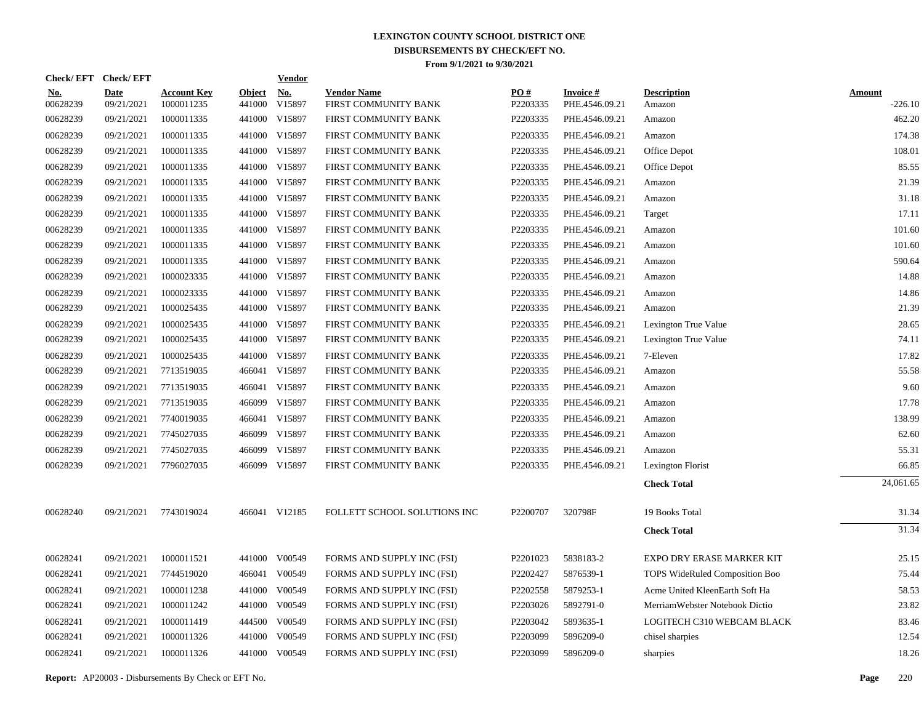|                        | Check/EFT Check/EFT       |                                  |                         | <u>Vendor</u>        |                                            |                 |                             |                                |                     |
|------------------------|---------------------------|----------------------------------|-------------------------|----------------------|--------------------------------------------|-----------------|-----------------------------|--------------------------------|---------------------|
| <u>No.</u><br>00628239 | <b>Date</b><br>09/21/2021 | <b>Account Key</b><br>1000011235 | <b>Object</b><br>441000 | <u>No.</u><br>V15897 | <b>Vendor Name</b><br>FIRST COMMUNITY BANK | PO#<br>P2203335 | Invoice #<br>PHE.4546.09.21 | <b>Description</b><br>Amazon   | Amount<br>$-226.10$ |
| 00628239               | 09/21/2021                | 1000011335                       |                         | 441000 V15897        | FIRST COMMUNITY BANK                       | P2203335        | PHE.4546.09.21              | Amazon                         | 462.20              |
| 00628239               | 09/21/2021                | 1000011335                       |                         | 441000 V15897        | FIRST COMMUNITY BANK                       | P2203335        | PHE.4546.09.21              | Amazon                         | 174.38              |
| 00628239               | 09/21/2021                | 1000011335                       |                         | 441000 V15897        | FIRST COMMUNITY BANK                       | P2203335        | PHE.4546.09.21              | Office Depot                   | 108.01              |
| 00628239               | 09/21/2021                | 1000011335                       |                         | 441000 V15897        | FIRST COMMUNITY BANK                       | P2203335        | PHE.4546.09.21              | Office Depot                   | 85.55               |
| 00628239               | 09/21/2021                | 1000011335                       |                         | 441000 V15897        | FIRST COMMUNITY BANK                       | P2203335        | PHE.4546.09.21              | Amazon                         | 21.39               |
| 00628239               | 09/21/2021                | 1000011335                       |                         | 441000 V15897        | FIRST COMMUNITY BANK                       | P2203335        | PHE.4546.09.21              | Amazon                         | 31.18               |
| 00628239               | 09/21/2021                | 1000011335                       |                         | 441000 V15897        | FIRST COMMUNITY BANK                       | P2203335        | PHE.4546.09.21              | Target                         | 17.11               |
| 00628239               | 09/21/2021                | 1000011335                       |                         | 441000 V15897        | FIRST COMMUNITY BANK                       | P2203335        | PHE.4546.09.21              | Amazon                         | 101.60              |
| 00628239               | 09/21/2021                | 1000011335                       |                         | 441000 V15897        | FIRST COMMUNITY BANK                       | P2203335        | PHE.4546.09.21              | Amazon                         | 101.60              |
| 00628239               | 09/21/2021                | 1000011335                       |                         | 441000 V15897        | FIRST COMMUNITY BANK                       | P2203335        | PHE.4546.09.21              | Amazon                         | 590.64              |
| 00628239               | 09/21/2021                | 1000023335                       |                         | 441000 V15897        | FIRST COMMUNITY BANK                       | P2203335        | PHE.4546.09.21              | Amazon                         | 14.88               |
| 00628239               | 09/21/2021                | 1000023335                       |                         | 441000 V15897        | FIRST COMMUNITY BANK                       | P2203335        | PHE.4546.09.21              | Amazon                         | 14.86               |
| 00628239               | 09/21/2021                | 1000025435                       |                         | 441000 V15897        | FIRST COMMUNITY BANK                       | P2203335        | PHE.4546.09.21              | Amazon                         | 21.39               |
| 00628239               | 09/21/2021                | 1000025435                       |                         | 441000 V15897        | FIRST COMMUNITY BANK                       | P2203335        | PHE.4546.09.21              | Lexington True Value           | 28.65               |
| 00628239               | 09/21/2021                | 1000025435                       |                         | 441000 V15897        | FIRST COMMUNITY BANK                       | P2203335        | PHE.4546.09.21              | Lexington True Value           | 74.11               |
| 00628239               | 09/21/2021                | 1000025435                       |                         | 441000 V15897        | FIRST COMMUNITY BANK                       | P2203335        | PHE.4546.09.21              | 7-Eleven                       | 17.82               |
| 00628239               | 09/21/2021                | 7713519035                       |                         | 466041 V15897        | FIRST COMMUNITY BANK                       | P2203335        | PHE.4546.09.21              | Amazon                         | 55.58               |
| 00628239               | 09/21/2021                | 7713519035                       |                         | 466041 V15897        | FIRST COMMUNITY BANK                       | P2203335        | PHE.4546.09.21              | Amazon                         | 9.60                |
| 00628239               | 09/21/2021                | 7713519035                       |                         | 466099 V15897        | FIRST COMMUNITY BANK                       | P2203335        | PHE.4546.09.21              | Amazon                         | 17.78               |
| 00628239               | 09/21/2021                | 7740019035                       |                         | 466041 V15897        | FIRST COMMUNITY BANK                       | P2203335        | PHE.4546.09.21              | Amazon                         | 138.99              |
| 00628239               | 09/21/2021                | 7745027035                       |                         | 466099 V15897        | FIRST COMMUNITY BANK                       | P2203335        | PHE.4546.09.21              | Amazon                         | 62.60               |
| 00628239               | 09/21/2021                | 7745027035                       |                         | 466099 V15897        | FIRST COMMUNITY BANK                       | P2203335        | PHE.4546.09.21              | Amazon                         | 55.31               |
| 00628239               | 09/21/2021                | 7796027035                       |                         | 466099 V15897        | FIRST COMMUNITY BANK                       | P2203335        | PHE.4546.09.21              | Lexington Florist              | 66.85               |
|                        |                           |                                  |                         |                      |                                            |                 |                             | <b>Check Total</b>             | 24,061.65           |
| 00628240               | 09/21/2021                | 7743019024                       |                         | 466041 V12185        | FOLLETT SCHOOL SOLUTIONS INC               | P2200707        | 320798F                     | 19 Books Total                 | 31.34               |
|                        |                           |                                  |                         |                      |                                            |                 |                             | <b>Check Total</b>             | 31.34               |
| 00628241               | 09/21/2021                | 1000011521                       |                         | 441000 V00549        | FORMS AND SUPPLY INC (FSI)                 | P2201023        | 5838183-2                   | EXPO DRY ERASE MARKER KIT      | 25.15               |
| 00628241               | 09/21/2021                | 7744519020                       |                         | 466041 V00549        | FORMS AND SUPPLY INC (FSI)                 | P2202427        | 5876539-1                   | TOPS WideRuled Composition Boo | 75.44               |
| 00628241               | 09/21/2021                | 1000011238                       |                         | 441000 V00549        | FORMS AND SUPPLY INC (FSI)                 | P2202558        | 5879253-1                   | Acme United KleenEarth Soft Ha | 58.53               |
| 00628241               | 09/21/2021                | 1000011242                       |                         | 441000 V00549        | FORMS AND SUPPLY INC (FSI)                 | P2203026        | 5892791-0                   | MerriamWebster Notebook Dictio | 23.82               |
| 00628241               | 09/21/2021                | 1000011419                       | 444500                  | V00549               | FORMS AND SUPPLY INC (FSI)                 | P2203042        | 5893635-1                   | LOGITECH C310 WEBCAM BLACK     | 83.46               |
| 00628241               | 09/21/2021                | 1000011326                       | 441000                  | V00549               | FORMS AND SUPPLY INC (FSI)                 | P2203099        | 5896209-0                   | chisel sharpies                | 12.54               |
| 00628241               | 09/21/2021                | 1000011326                       |                         | 441000 V00549        | FORMS AND SUPPLY INC (FSI)                 | P2203099        | 5896209-0                   | sharpies                       | 18.26               |
|                        |                           |                                  |                         |                      |                                            |                 |                             |                                |                     |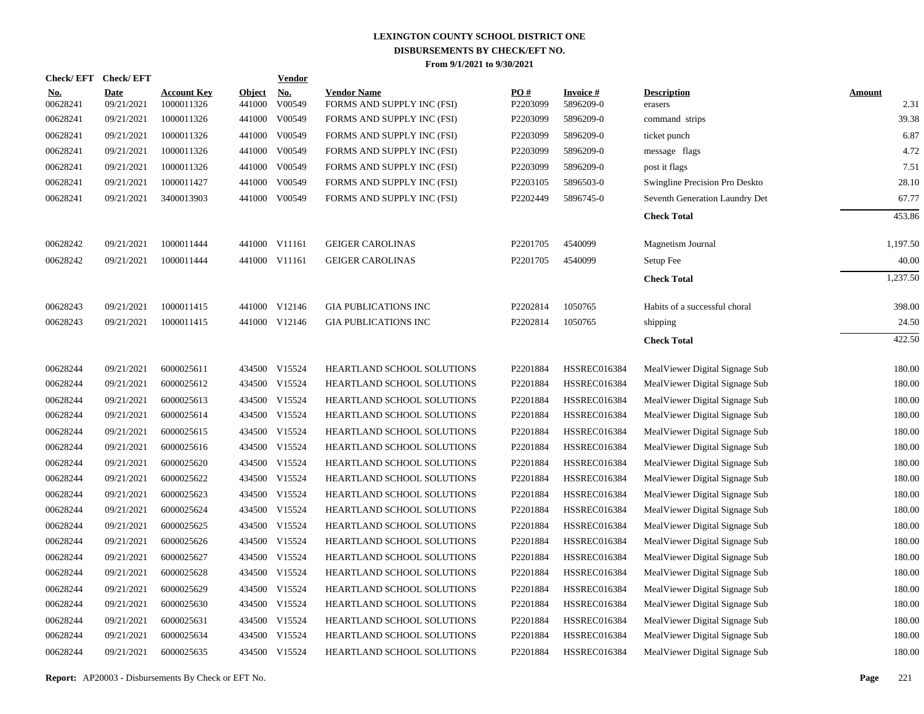| Check/EFT Check/EFT    |                           |                                  |                         | <b>Vendor</b>                         |                                                  |                               |                              |                                |                       |
|------------------------|---------------------------|----------------------------------|-------------------------|---------------------------------------|--------------------------------------------------|-------------------------------|------------------------------|--------------------------------|-----------------------|
| <u>No.</u><br>00628241 | <b>Date</b><br>09/21/2021 | <b>Account Key</b><br>1000011326 | <b>Object</b><br>441000 | $\underline{\mathrm{No}}$ .<br>V00549 | <b>Vendor Name</b><br>FORMS AND SUPPLY INC (FSI) | $\underline{PO#}$<br>P2203099 | <b>Invoice#</b><br>5896209-0 | <b>Description</b><br>erasers  | <b>Amount</b><br>2.31 |
| 00628241               | 09/21/2021                | 1000011326                       |                         | 441000 V00549                         | FORMS AND SUPPLY INC (FSI)                       | P2203099                      | 5896209-0                    | command strips                 | 39.38                 |
| 00628241               | 09/21/2021                | 1000011326                       | 441000                  | V00549                                | FORMS AND SUPPLY INC (FSI)                       | P2203099                      | 5896209-0                    | ticket punch                   | 6.87                  |
| 00628241               | 09/21/2021                | 1000011326                       |                         | 441000 V00549                         | FORMS AND SUPPLY INC (FSI)                       | P2203099                      | 5896209-0                    | message flags                  | 4.72                  |
| 00628241               | 09/21/2021                | 1000011326                       |                         | 441000 V00549                         | FORMS AND SUPPLY INC (FSI)                       | P2203099                      | 5896209-0                    | post it flags                  | 7.51                  |
| 00628241               | 09/21/2021                | 1000011427                       |                         | 441000 V00549                         | FORMS AND SUPPLY INC (FSI)                       | P2203105                      | 5896503-0                    | Swingline Precision Pro Deskto | 28.10                 |
| 00628241               | 09/21/2021                | 3400013903                       |                         | 441000 V00549                         | FORMS AND SUPPLY INC (FSI)                       | P2202449                      | 5896745-0                    | Seventh Generation Laundry Det | 67.77                 |
|                        |                           |                                  |                         |                                       |                                                  |                               |                              | <b>Check Total</b>             | 453.86                |
| 00628242               | 09/21/2021                | 1000011444                       |                         | 441000 V11161                         | <b>GEIGER CAROLINAS</b>                          | P2201705                      | 4540099                      | Magnetism Journal              | 1,197.50              |
| 00628242               | 09/21/2021                | 1000011444                       |                         | 441000 V11161                         | <b>GEIGER CAROLINAS</b>                          | P2201705                      | 4540099                      | Setup Fee                      | 40.00                 |
|                        |                           |                                  |                         |                                       |                                                  |                               |                              | <b>Check Total</b>             | 1,237.50              |
| 00628243               | 09/21/2021                | 1000011415                       |                         | 441000 V12146                         | <b>GIA PUBLICATIONS INC</b>                      | P2202814                      | 1050765                      | Habits of a successful choral  | 398.00                |
| 00628243               | 09/21/2021                | 1000011415                       |                         | 441000 V12146                         | <b>GIA PUBLICATIONS INC</b>                      | P2202814                      | 1050765                      | shipping                       | 24.50                 |
|                        |                           |                                  |                         |                                       |                                                  |                               |                              | <b>Check Total</b>             | 422.50                |
| 00628244               | 09/21/2021                | 6000025611                       |                         | 434500 V15524                         | HEARTLAND SCHOOL SOLUTIONS                       | P2201884                      | <b>HSSREC016384</b>          | MealViewer Digital Signage Sub | 180.00                |
| 00628244               | 09/21/2021                | 6000025612                       |                         | 434500 V15524                         | HEARTLAND SCHOOL SOLUTIONS                       | P2201884                      | <b>HSSREC016384</b>          | MealViewer Digital Signage Sub | 180.00                |
| 00628244               | 09/21/2021                | 6000025613                       |                         | 434500 V15524                         | HEARTLAND SCHOOL SOLUTIONS                       | P2201884                      | HSSREC016384                 | MealViewer Digital Signage Sub | 180.00                |
| 00628244               | 09/21/2021                | 6000025614                       |                         | 434500 V15524                         | HEARTLAND SCHOOL SOLUTIONS                       | P2201884                      | HSSREC016384                 | MealViewer Digital Signage Sub | 180.00                |
| 00628244               | 09/21/2021                | 6000025615                       |                         | 434500 V15524                         | HEARTLAND SCHOOL SOLUTIONS                       | P2201884                      | <b>HSSREC016384</b>          | MealViewer Digital Signage Sub | 180.00                |
| 00628244               | 09/21/2021                | 6000025616                       |                         | 434500 V15524                         | HEARTLAND SCHOOL SOLUTIONS                       | P2201884                      | HSSREC016384                 | MealViewer Digital Signage Sub | 180.00                |
| 00628244               | 09/21/2021                | 6000025620                       |                         | 434500 V15524                         | HEARTLAND SCHOOL SOLUTIONS                       | P2201884                      | <b>HSSREC016384</b>          | MealViewer Digital Signage Sub | 180.00                |
| 00628244               | 09/21/2021                | 6000025622                       |                         | 434500 V15524                         | HEARTLAND SCHOOL SOLUTIONS                       | P2201884                      | HSSREC016384                 | MealViewer Digital Signage Sub | 180.00                |
| 00628244               | 09/21/2021                | 6000025623                       |                         | 434500 V15524                         | HEARTLAND SCHOOL SOLUTIONS                       | P2201884                      | <b>HSSREC016384</b>          | MealViewer Digital Signage Sub | 180.00                |
| 00628244               | 09/21/2021                | 6000025624                       |                         | 434500 V15524                         | HEARTLAND SCHOOL SOLUTIONS                       | P2201884                      | <b>HSSREC016384</b>          | MealViewer Digital Signage Sub | 180.00                |
| 00628244               | 09/21/2021                | 6000025625                       |                         | 434500 V15524                         | HEARTLAND SCHOOL SOLUTIONS                       | P2201884                      | <b>HSSREC016384</b>          | MealViewer Digital Signage Sub | 180.00                |
| 00628244               | 09/21/2021                | 6000025626                       |                         | 434500 V15524                         | HEARTLAND SCHOOL SOLUTIONS                       | P2201884                      | <b>HSSREC016384</b>          | MealViewer Digital Signage Sub | 180.00                |
| 00628244               | 09/21/2021                | 6000025627                       |                         | 434500 V15524                         | HEARTLAND SCHOOL SOLUTIONS                       | P2201884                      | <b>HSSREC016384</b>          | MealViewer Digital Signage Sub | 180.00                |
| 00628244               | 09/21/2021                | 6000025628                       |                         | 434500 V15524                         | HEARTLAND SCHOOL SOLUTIONS                       | P2201884                      | <b>HSSREC016384</b>          | MealViewer Digital Signage Sub | 180.00                |
| 00628244               | 09/21/2021                | 6000025629                       | 434500                  | V15524                                | HEARTLAND SCHOOL SOLUTIONS                       | P2201884                      | <b>HSSREC016384</b>          | MealViewer Digital Signage Sub | 180.00                |
| 00628244               | 09/21/2021                | 6000025630                       |                         | 434500 V15524                         | HEARTLAND SCHOOL SOLUTIONS                       | P2201884                      | <b>HSSREC016384</b>          | MealViewer Digital Signage Sub | 180.00                |
| 00628244               | 09/21/2021                | 6000025631                       | 434500                  | V15524                                | HEARTLAND SCHOOL SOLUTIONS                       | P2201884                      | <b>HSSREC016384</b>          | MealViewer Digital Signage Sub | 180.00                |
| 00628244               | 09/21/2021                | 6000025634                       |                         | 434500 V15524                         | HEARTLAND SCHOOL SOLUTIONS                       | P2201884                      | <b>HSSREC016384</b>          | MealViewer Digital Signage Sub | 180.00                |
| 00628244               | 09/21/2021                | 6000025635                       |                         | 434500 V15524                         | <b>HEARTLAND SCHOOL SOLUTIONS</b>                | P2201884                      | <b>HSSREC016384</b>          | MealViewer Digital Signage Sub | 180.00                |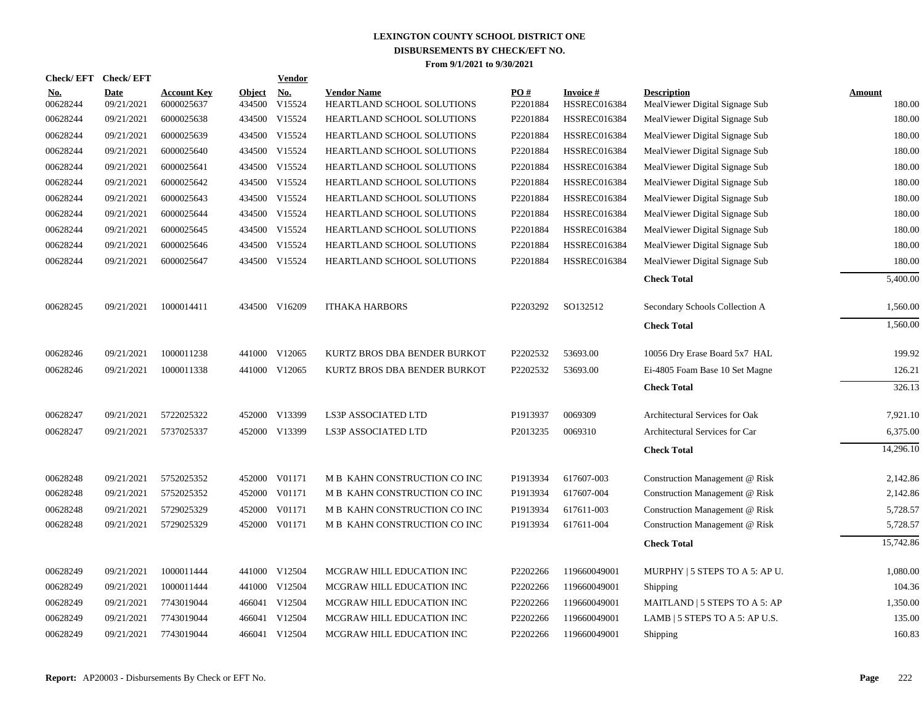|                 | Check/EFT Check/EFT       |                                  |                      | <b>Vendor</b> |                                                  |                 |                                        |                                                      |                         |
|-----------------|---------------------------|----------------------------------|----------------------|---------------|--------------------------------------------------|-----------------|----------------------------------------|------------------------------------------------------|-------------------------|
| No.<br>00628244 | <b>Date</b><br>09/21/2021 | <b>Account Key</b><br>6000025637 | Object No.<br>434500 | V15524        | <b>Vendor Name</b><br>HEARTLAND SCHOOL SOLUTIONS | PO#<br>P2201884 | <b>Invoice#</b><br><b>HSSREC016384</b> | <b>Description</b><br>MealViewer Digital Signage Sub | <b>Amount</b><br>180.00 |
| 00628244        | 09/21/2021                | 6000025638                       |                      | 434500 V15524 | HEARTLAND SCHOOL SOLUTIONS                       | P2201884        | <b>HSSREC016384</b>                    | MealViewer Digital Signage Sub                       | 180.00                  |
| 00628244        | 09/21/2021                | 6000025639                       |                      | 434500 V15524 | HEARTLAND SCHOOL SOLUTIONS                       | P2201884        | <b>HSSREC016384</b>                    | MealViewer Digital Signage Sub                       | 180.00                  |
| 00628244        | 09/21/2021                | 6000025640                       |                      | 434500 V15524 | HEARTLAND SCHOOL SOLUTIONS                       | P2201884        | <b>HSSREC016384</b>                    | MealViewer Digital Signage Sub                       | 180.00                  |
| 00628244        | 09/21/2021                | 6000025641                       | 434500               | V15524        | HEARTLAND SCHOOL SOLUTIONS                       | P2201884        | <b>HSSREC016384</b>                    | MealViewer Digital Signage Sub                       | 180.00                  |
| 00628244        | 09/21/2021                | 6000025642                       |                      | 434500 V15524 | HEARTLAND SCHOOL SOLUTIONS                       | P2201884        | <b>HSSREC016384</b>                    | MealViewer Digital Signage Sub                       | 180.00                  |
| 00628244        | 09/21/2021                | 6000025643                       |                      | 434500 V15524 | HEARTLAND SCHOOL SOLUTIONS                       | P2201884        | <b>HSSREC016384</b>                    | MealViewer Digital Signage Sub                       | 180.00                  |
| 00628244        | 09/21/2021                | 6000025644                       |                      | 434500 V15524 | HEARTLAND SCHOOL SOLUTIONS                       | P2201884        | <b>HSSREC016384</b>                    | MealViewer Digital Signage Sub                       | 180.00                  |
| 00628244        | 09/21/2021                | 6000025645                       |                      | 434500 V15524 | HEARTLAND SCHOOL SOLUTIONS                       | P2201884        | <b>HSSREC016384</b>                    | MealViewer Digital Signage Sub                       | 180.00                  |
| 00628244        | 09/21/2021                | 6000025646                       |                      | 434500 V15524 | HEARTLAND SCHOOL SOLUTIONS                       | P2201884        | <b>HSSREC016384</b>                    | MealViewer Digital Signage Sub                       | 180.00                  |
| 00628244        | 09/21/2021                | 6000025647                       |                      | 434500 V15524 | HEARTLAND SCHOOL SOLUTIONS                       | P2201884        | <b>HSSREC016384</b>                    | MealViewer Digital Signage Sub                       | 180.00                  |
|                 |                           |                                  |                      |               |                                                  |                 |                                        | <b>Check Total</b>                                   | 5,400.00                |
| 00628245        | 09/21/2021                | 1000014411                       |                      | 434500 V16209 | <b>ITHAKA HARBORS</b>                            | P2203292        | SO132512                               | Secondary Schools Collection A                       | 1,560.00                |
|                 |                           |                                  |                      |               |                                                  |                 |                                        | <b>Check Total</b>                                   | 1,560.00                |
| 00628246        | 09/21/2021                | 1000011238                       |                      | 441000 V12065 | KURTZ BROS DBA BENDER BURKOT                     | P2202532        | 53693.00                               | 10056 Dry Erase Board 5x7 HAL                        | 199.92                  |
| 00628246        | 09/21/2021                | 1000011338                       |                      | 441000 V12065 | KURTZ BROS DBA BENDER BURKOT                     | P2202532        | 53693.00                               | Ei-4805 Foam Base 10 Set Magne                       | 126.21                  |
|                 |                           |                                  |                      |               |                                                  |                 |                                        | <b>Check Total</b>                                   | 326.13                  |
| 00628247        | 09/21/2021                | 5722025322                       |                      | 452000 V13399 | <b>LS3P ASSOCIATED LTD</b>                       | P1913937        | 0069309                                | Architectural Services for Oak                       | 7,921.10                |
| 00628247        | 09/21/2021                | 5737025337                       |                      | 452000 V13399 | LS3P ASSOCIATED LTD                              | P2013235        | 0069310                                | Architectural Services for Car                       | 6,375.00                |
|                 |                           |                                  |                      |               |                                                  |                 |                                        | <b>Check Total</b>                                   | 14,296.10               |
| 00628248        | 09/21/2021                | 5752025352                       |                      | 452000 V01171 | M B KAHN CONSTRUCTION CO INC                     | P1913934        | 617607-003                             | Construction Management @ Risk                       | 2,142.86                |
| 00628248        | 09/21/2021                | 5752025352                       | 452000               | V01171        | M B KAHN CONSTRUCTION CO INC                     | P1913934        | 617607-004                             | Construction Management @ Risk                       | 2,142.86                |
| 00628248        | 09/21/2021                | 5729025329                       | 452000               | V01171        | M B KAHN CONSTRUCTION CO INC                     | P1913934        | 617611-003                             | Construction Management @ Risk                       | 5,728.57                |
| 00628248        | 09/21/2021                | 5729025329                       |                      | 452000 V01171 | M B KAHN CONSTRUCTION CO INC                     | P1913934        | 617611-004                             | Construction Management @ Risk                       | 5,728.57                |
|                 |                           |                                  |                      |               |                                                  |                 |                                        | <b>Check Total</b>                                   | 15,742.86               |
| 00628249        | 09/21/2021                | 1000011444                       |                      | 441000 V12504 | MCGRAW HILL EDUCATION INC                        | P2202266        | 119660049001                           | MURPHY   5 STEPS TO A 5: AP U.                       | 1,080.00                |
| 00628249        | 09/21/2021                | 1000011444                       |                      | 441000 V12504 | MCGRAW HILL EDUCATION INC                        | P2202266        | 119660049001                           | Shipping                                             | 104.36                  |
| 00628249        | 09/21/2021                | 7743019044                       | 466041               | V12504        | MCGRAW HILL EDUCATION INC                        | P2202266        | 119660049001                           | MAITLAND   5 STEPS TO A 5: AP                        | 1,350.00                |
| 00628249        | 09/21/2021                | 7743019044                       | 466041               | V12504        | MCGRAW HILL EDUCATION INC                        | P2202266        | 119660049001                           | LAMB   5 STEPS TO A 5: AP U.S.                       | 135.00                  |
| 00628249        | 09/21/2021                | 7743019044                       |                      | 466041 V12504 | MCGRAW HILL EDUCATION INC                        | P2202266        | 119660049001                           | Shipping                                             | 160.83                  |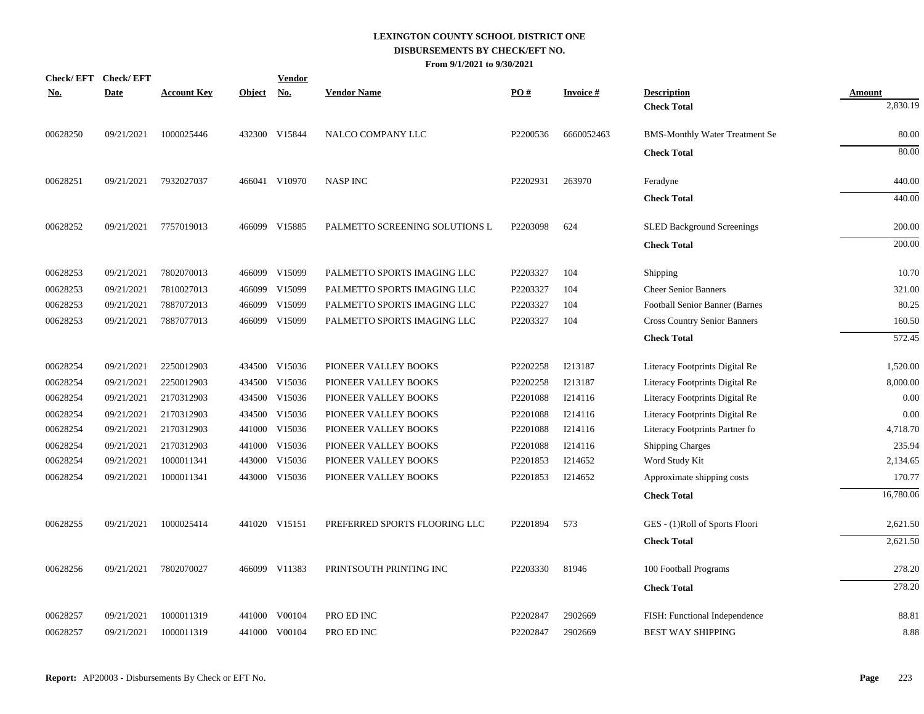| <u>No.</u> | Check/EFT Check/EFT<br><b>Date</b> | <b>Account Key</b> | <b>Object</b> | <b>Vendor</b><br><b>No.</b> | <b>Vendor Name</b>             | PO#      | <b>Invoice#</b> | <b>Description</b>                    | <b>Amount</b> |
|------------|------------------------------------|--------------------|---------------|-----------------------------|--------------------------------|----------|-----------------|---------------------------------------|---------------|
|            |                                    |                    |               |                             |                                |          |                 | <b>Check Total</b>                    | 2,830.19      |
| 00628250   | 09/21/2021                         | 1000025446         |               | 432300 V15844               | NALCO COMPANY LLC              | P2200536 | 6660052463      | <b>BMS-Monthly Water Treatment Se</b> | 80.00         |
|            |                                    |                    |               |                             |                                |          |                 | <b>Check Total</b>                    | 80.00         |
| 00628251   | 09/21/2021                         | 7932027037         |               | 466041 V10970               | <b>NASP INC</b>                | P2202931 | 263970          | Feradyne                              | 440.00        |
|            |                                    |                    |               |                             |                                |          |                 | <b>Check Total</b>                    | 440.00        |
| 00628252   | 09/21/2021                         | 7757019013         |               | 466099 V15885               | PALMETTO SCREENING SOLUTIONS L | P2203098 | 624             | <b>SLED Background Screenings</b>     | 200.00        |
|            |                                    |                    |               |                             |                                |          |                 | <b>Check Total</b>                    | 200.00        |
| 00628253   | 09/21/2021                         | 7802070013         |               | 466099 V15099               | PALMETTO SPORTS IMAGING LLC    | P2203327 | 104             | Shipping                              | 10.70         |
| 00628253   | 09/21/2021                         | 7810027013         |               | 466099 V15099               | PALMETTO SPORTS IMAGING LLC    | P2203327 | 104             | <b>Cheer Senior Banners</b>           | 321.00        |
| 00628253   | 09/21/2021                         | 7887072013         | 466099        | V15099                      | PALMETTO SPORTS IMAGING LLC    | P2203327 | 104             | Football Senior Banner (Barnes        | 80.25         |
| 00628253   | 09/21/2021                         | 7887077013         |               | 466099 V15099               | PALMETTO SPORTS IMAGING LLC    | P2203327 | 104             | <b>Cross Country Senior Banners</b>   | 160.50        |
|            |                                    |                    |               |                             |                                |          |                 | <b>Check Total</b>                    | 572.45        |
| 00628254   | 09/21/2021                         | 2250012903         |               | 434500 V15036               | PIONEER VALLEY BOOKS           | P2202258 | I213187         | Literacy Footprints Digital Re        | 1,520.00      |
| 00628254   | 09/21/2021                         | 2250012903         | 434500        | V15036                      | PIONEER VALLEY BOOKS           | P2202258 | I213187         | Literacy Footprints Digital Re        | 8,000.00      |
| 00628254   | 09/21/2021                         | 2170312903         | 434500        | V15036                      | PIONEER VALLEY BOOKS           | P2201088 | I214116         | Literacy Footprints Digital Re        | 0.00          |
| 00628254   | 09/21/2021                         | 2170312903         |               | 434500 V15036               | PIONEER VALLEY BOOKS           | P2201088 | I214116         | Literacy Footprints Digital Re        | 0.00          |
| 00628254   | 09/21/2021                         | 2170312903         |               | 441000 V15036               | PIONEER VALLEY BOOKS           | P2201088 | I214116         | Literacy Footprints Partner fo        | 4,718.70      |
| 00628254   | 09/21/2021                         | 2170312903         |               | 441000 V15036               | PIONEER VALLEY BOOKS           | P2201088 | I214116         | <b>Shipping Charges</b>               | 235.94        |
| 00628254   | 09/21/2021                         | 1000011341         |               | 443000 V15036               | PIONEER VALLEY BOOKS           | P2201853 | I214652         | Word Study Kit                        | 2,134.65      |
| 00628254   | 09/21/2021                         | 1000011341         |               | 443000 V15036               | PIONEER VALLEY BOOKS           | P2201853 | I214652         | Approximate shipping costs            | 170.77        |
|            |                                    |                    |               |                             |                                |          |                 | <b>Check Total</b>                    | 16,780.06     |
| 00628255   | 09/21/2021                         | 1000025414         |               | 441020 V15151               | PREFERRED SPORTS FLOORING LLC  | P2201894 | 573             | GES - (1)Roll of Sports Floori        | 2,621.50      |
|            |                                    |                    |               |                             |                                |          |                 | <b>Check Total</b>                    | 2,621.50      |
| 00628256   | 09/21/2021                         | 7802070027         |               | 466099 V11383               | PRINTSOUTH PRINTING INC        | P2203330 | 81946           | 100 Football Programs                 | 278.20        |
|            |                                    |                    |               |                             |                                |          |                 | <b>Check Total</b>                    | 278.20        |
| 00628257   | 09/21/2021                         | 1000011319         | 441000        | V00104                      | PRO ED INC                     | P2202847 | 2902669         | FISH: Functional Independence         | 88.81         |
| 00628257   | 09/21/2021                         | 1000011319         |               | 441000 V00104               | PRO ED INC                     | P2202847 | 2902669         | <b>BEST WAY SHIPPING</b>              | 8.88          |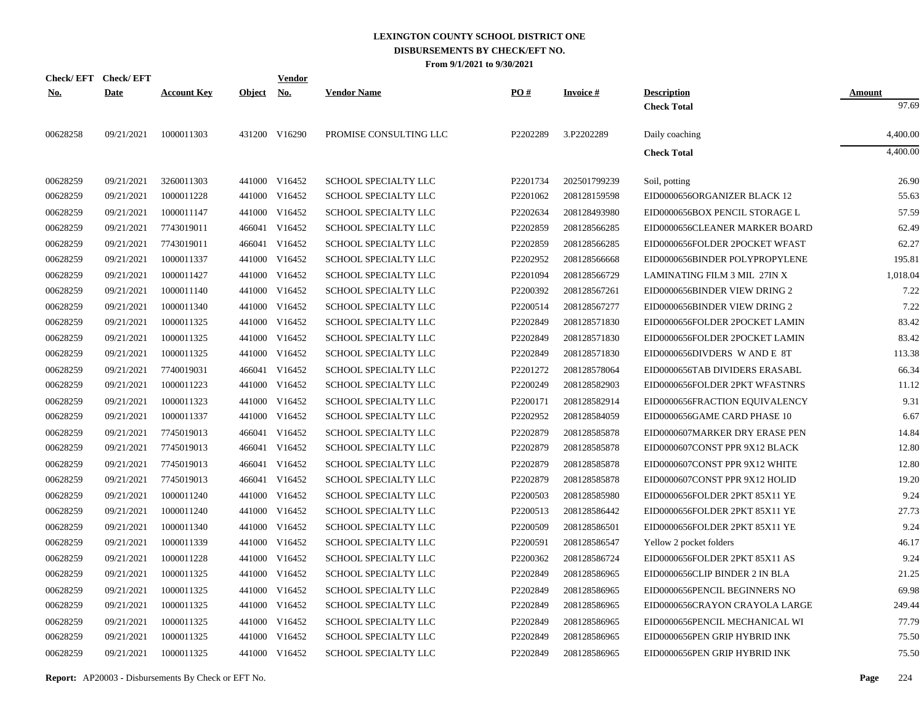|            | Check/EFT Check/EFT |                    |               | <b>Vendor</b> |                             |          |                 |                                |               |
|------------|---------------------|--------------------|---------------|---------------|-----------------------------|----------|-----------------|--------------------------------|---------------|
| <u>No.</u> | <b>Date</b>         | <b>Account Key</b> | <b>Object</b> | <u>No.</u>    | <b>Vendor Name</b>          | PO#      | <b>Invoice#</b> | <b>Description</b>             | <b>Amount</b> |
|            |                     |                    |               |               |                             |          |                 | <b>Check Total</b>             | 97.69         |
| 00628258   | 09/21/2021          | 1000011303         |               | 431200 V16290 | PROMISE CONSULTING LLC      | P2202289 | 3.P2202289      | Daily coaching                 | 4,400.00      |
|            |                     |                    |               |               |                             |          |                 | <b>Check Total</b>             | 4,400.00      |
| 00628259   | 09/21/2021          | 3260011303         |               | 441000 V16452 | SCHOOL SPECIALTY LLC        | P2201734 | 202501799239    | Soil, potting                  | 26.90         |
| 00628259   | 09/21/2021          | 1000011228         |               | 441000 V16452 | <b>SCHOOL SPECIALTY LLC</b> | P2201062 | 208128159598    | EID0000656ORGANIZER BLACK 12   | 55.63         |
| 00628259   | 09/21/2021          | 1000011147         |               | 441000 V16452 | SCHOOL SPECIALTY LLC        | P2202634 | 208128493980    | EID0000656BOX PENCIL STORAGE L | 57.59         |
| 00628259   | 09/21/2021          | 7743019011         |               | 466041 V16452 | SCHOOL SPECIALTY LLC        | P2202859 | 208128566285    | EID0000656CLEANER MARKER BOARD | 62.49         |
| 00628259   | 09/21/2021          | 7743019011         |               | 466041 V16452 | SCHOOL SPECIALTY LLC        | P2202859 | 208128566285    | EID0000656FOLDER 2POCKET WFAST | 62.27         |
| 00628259   | 09/21/2021          | 1000011337         |               | 441000 V16452 | SCHOOL SPECIALTY LLC        | P2202952 | 208128566668    | EID0000656BINDER POLYPROPYLENE | 195.81        |
| 00628259   | 09/21/2021          | 1000011427         |               | 441000 V16452 | SCHOOL SPECIALTY LLC        | P2201094 | 208128566729    | LAMINATING FILM 3 MIL 27IN X   | 1,018.04      |
| 00628259   | 09/21/2021          | 1000011140         |               | 441000 V16452 | SCHOOL SPECIALTY LLC        | P2200392 | 208128567261    | EID0000656BINDER VIEW DRING 2  | 7.22          |
| 00628259   | 09/21/2021          | 1000011340         |               | 441000 V16452 | SCHOOL SPECIALTY LLC        | P2200514 | 208128567277    | EID0000656BINDER VIEW DRING 2  | 7.22          |
| 00628259   | 09/21/2021          | 1000011325         |               | 441000 V16452 | SCHOOL SPECIALTY LLC        | P2202849 | 208128571830    | EID0000656FOLDER 2POCKET LAMIN | 83.42         |
| 00628259   | 09/21/2021          | 1000011325         |               | 441000 V16452 | SCHOOL SPECIALTY LLC        | P2202849 | 208128571830    | EID0000656FOLDER 2POCKET LAMIN | 83.42         |
| 00628259   | 09/21/2021          | 1000011325         |               | 441000 V16452 | SCHOOL SPECIALTY LLC        | P2202849 | 208128571830    | EID0000656DIVDERS W AND E 8T   | 113.38        |
| 00628259   | 09/21/2021          | 7740019031         | 466041        | V16452        | SCHOOL SPECIALTY LLC        | P2201272 | 208128578064    | EID0000656TAB DIVIDERS ERASABL | 66.34         |
| 00628259   | 09/21/2021          | 1000011223         |               | 441000 V16452 | SCHOOL SPECIALTY LLC        | P2200249 | 208128582903    | EID0000656FOLDER 2PKT WFASTNRS | 11.12         |
| 00628259   | 09/21/2021          | 1000011323         |               | 441000 V16452 | SCHOOL SPECIALTY LLC        | P2200171 | 208128582914    | EID0000656FRACTION EQUIVALENCY | 9.31          |
| 00628259   | 09/21/2021          | 1000011337         |               | 441000 V16452 | SCHOOL SPECIALTY LLC        | P2202952 | 208128584059    | EID0000656GAME CARD PHASE 10   | 6.67          |
| 00628259   | 09/21/2021          | 7745019013         | 466041        | V16452        | SCHOOL SPECIALTY LLC        | P2202879 | 208128585878    | EID0000607MARKER DRY ERASE PEN | 14.84         |
| 00628259   | 09/21/2021          | 7745019013         | 466041        | V16452        | SCHOOL SPECIALTY LLC        | P2202879 | 208128585878    | EID0000607CONST PPR 9X12 BLACK | 12.80         |
| 00628259   | 09/21/2021          | 7745019013         | 466041        | V16452        | SCHOOL SPECIALTY LLC        | P2202879 | 208128585878    | EID0000607CONST PPR 9X12 WHITE | 12.80         |
| 00628259   | 09/21/2021          | 7745019013         | 466041        | V16452        | SCHOOL SPECIALTY LLC        | P2202879 | 208128585878    | EID0000607CONST PPR 9X12 HOLID | 19.20         |
| 00628259   | 09/21/2021          | 1000011240         | 441000        | V16452        | SCHOOL SPECIALTY LLC        | P2200503 | 208128585980    | EID0000656FOLDER 2PKT 85X11 YE | 9.24          |
| 00628259   | 09/21/2021          | 1000011240         |               | 441000 V16452 | SCHOOL SPECIALTY LLC        | P2200513 | 208128586442    | EID0000656FOLDER 2PKT 85X11 YE | 27.73         |
| 00628259   | 09/21/2021          | 1000011340         | 441000        | V16452        | <b>SCHOOL SPECIALTY LLC</b> | P2200509 | 208128586501    | EID0000656FOLDER 2PKT 85X11 YE | 9.24          |
| 00628259   | 09/21/2021          | 1000011339         |               | 441000 V16452 | SCHOOL SPECIALTY LLC        | P2200591 | 208128586547    | Yellow 2 pocket folders        | 46.17         |
| 00628259   | 09/21/2021          | 1000011228         |               | 441000 V16452 | SCHOOL SPECIALTY LLC        | P2200362 | 208128586724    | EID0000656FOLDER 2PKT 85X11 AS | 9.24          |
| 00628259   | 09/21/2021          | 1000011325         |               | 441000 V16452 | SCHOOL SPECIALTY LLC        | P2202849 | 208128586965    | EID0000656CLIP BINDER 2 IN BLA | 21.25         |
| 00628259   | 09/21/2021          | 1000011325         |               | 441000 V16452 | SCHOOL SPECIALTY LLC        | P2202849 | 208128586965    | EID0000656PENCIL BEGINNERS NO  | 69.98         |
| 00628259   | 09/21/2021          | 1000011325         |               | 441000 V16452 | SCHOOL SPECIALTY LLC        | P2202849 | 208128586965    | EID0000656CRAYON CRAYOLA LARGE | 249.44        |
| 00628259   | 09/21/2021          | 1000011325         |               | 441000 V16452 | SCHOOL SPECIALTY LLC        | P2202849 | 208128586965    | EID0000656PENCIL MECHANICAL WI | 77.79         |
| 00628259   | 09/21/2021          | 1000011325         |               | 441000 V16452 | <b>SCHOOL SPECIALTY LLC</b> | P2202849 | 208128586965    | EID0000656PEN GRIP HYBRID INK  | 75.50         |
| 00628259   | 09/21/2021          | 1000011325         |               | 441000 V16452 | SCHOOL SPECIALTY LLC        | P2202849 | 208128586965    | EID0000656PEN GRIP HYBRID INK  | 75.50         |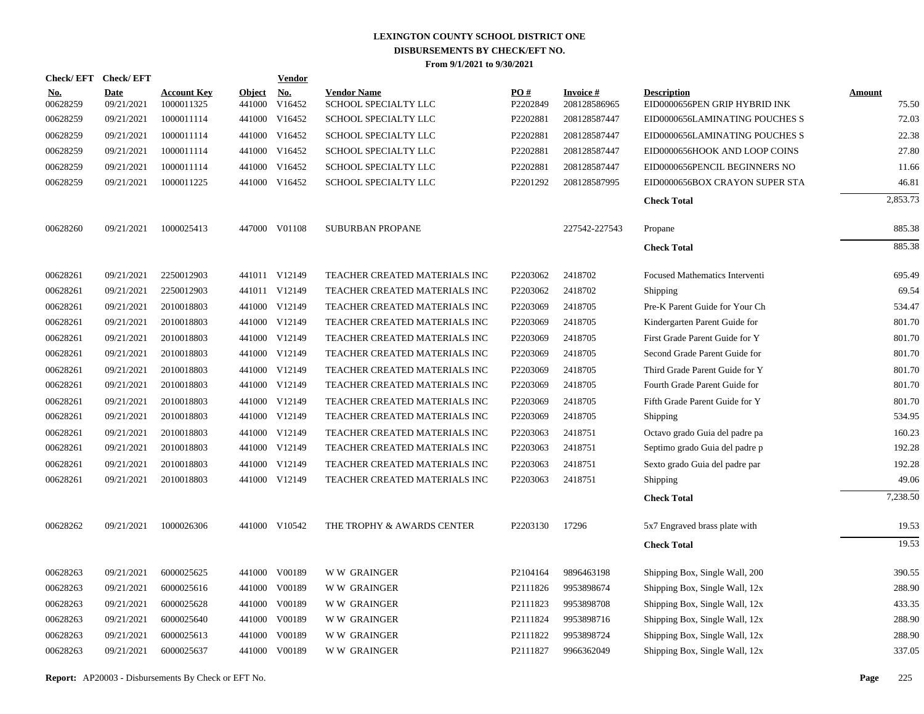| Check/EFT Check/EFT    |                           |                                  |                         | <b>Vendor</b>        |                                            |                 |                           |                                                     |                        |
|------------------------|---------------------------|----------------------------------|-------------------------|----------------------|--------------------------------------------|-----------------|---------------------------|-----------------------------------------------------|------------------------|
| <u>No.</u><br>00628259 | <b>Date</b><br>09/21/2021 | <b>Account Key</b><br>1000011325 | <b>Object</b><br>441000 | <u>No.</u><br>V16452 | <b>Vendor Name</b><br>SCHOOL SPECIALTY LLC | PO#<br>P2202849 | Invoice #<br>208128586965 | <b>Description</b><br>EID0000656PEN GRIP HYBRID INK | <b>Amount</b><br>75.50 |
| 00628259               | 09/21/2021                | 1000011114                       |                         | 441000 V16452        | SCHOOL SPECIALTY LLC                       | P2202881        | 208128587447              | EID0000656LAMINATING POUCHES S                      | 72.03                  |
| 00628259               | 09/21/2021                | 1000011114                       |                         | 441000 V16452        | SCHOOL SPECIALTY LLC                       | P2202881        | 208128587447              | EID0000656LAMINATING POUCHES S                      | 22.38                  |
| 00628259               | 09/21/2021                | 1000011114                       |                         | 441000 V16452        | SCHOOL SPECIALTY LLC                       | P2202881        | 208128587447              | EID0000656HOOK AND LOOP COINS                       | 27.80                  |
| 00628259               | 09/21/2021                | 1000011114                       |                         | 441000 V16452        | SCHOOL SPECIALTY LLC                       | P2202881        | 208128587447              | EID0000656PENCIL BEGINNERS NO                       | 11.66                  |
| 00628259               | 09/21/2021                | 1000011225                       |                         | 441000 V16452        | SCHOOL SPECIALTY LLC                       | P2201292        | 208128587995              | EID0000656BOX CRAYON SUPER STA                      | 46.81                  |
|                        |                           |                                  |                         |                      |                                            |                 |                           | <b>Check Total</b>                                  | 2,853.73               |
| 00628260               | 09/21/2021                | 1000025413                       |                         | 447000 V01108        | <b>SUBURBAN PROPANE</b>                    |                 | 227542-227543             | Propane                                             | 885.38                 |
|                        |                           |                                  |                         |                      |                                            |                 |                           | <b>Check Total</b>                                  | 885.38                 |
| 00628261               | 09/21/2021                | 2250012903                       |                         | 441011 V12149        | TEACHER CREATED MATERIALS INC              | P2203062        | 2418702                   | Focused Mathematics Interventi                      | 695.49                 |
| 00628261               | 09/21/2021                | 2250012903                       |                         | 441011 V12149        | TEACHER CREATED MATERIALS INC              | P2203062        | 2418702                   | Shipping                                            | 69.54                  |
| 00628261               | 09/21/2021                | 2010018803                       |                         | 441000 V12149        | TEACHER CREATED MATERIALS INC              | P2203069        | 2418705                   | Pre-K Parent Guide for Your Ch                      | 534.47                 |
| 00628261               | 09/21/2021                | 2010018803                       |                         | 441000 V12149        | TEACHER CREATED MATERIALS INC              | P2203069        | 2418705                   | Kindergarten Parent Guide for                       | 801.70                 |
| 00628261               | 09/21/2021                | 2010018803                       |                         | 441000 V12149        | TEACHER CREATED MATERIALS INC              | P2203069        | 2418705                   | First Grade Parent Guide for Y                      | 801.70                 |
| 00628261               | 09/21/2021                | 2010018803                       |                         | 441000 V12149        | TEACHER CREATED MATERIALS INC              | P2203069        | 2418705                   | Second Grade Parent Guide for                       | 801.70                 |
| 00628261               | 09/21/2021                | 2010018803                       |                         | 441000 V12149        | TEACHER CREATED MATERIALS INC              | P2203069        | 2418705                   | Third Grade Parent Guide for Y                      | 801.70                 |
| 00628261               | 09/21/2021                | 2010018803                       |                         | 441000 V12149        | TEACHER CREATED MATERIALS INC              | P2203069        | 2418705                   | Fourth Grade Parent Guide for                       | 801.70                 |
| 00628261               | 09/21/2021                | 2010018803                       |                         | 441000 V12149        | TEACHER CREATED MATERIALS INC              | P2203069        | 2418705                   | Fifth Grade Parent Guide for Y                      | 801.70                 |
| 00628261               | 09/21/2021                | 2010018803                       |                         | 441000 V12149        | TEACHER CREATED MATERIALS INC              | P2203069        | 2418705                   | Shipping                                            | 534.95                 |
| 00628261               | 09/21/2021                | 2010018803                       |                         | 441000 V12149        | TEACHER CREATED MATERIALS INC              | P2203063        | 2418751                   | Octavo grado Guia del padre pa                      | 160.23                 |
| 00628261               | 09/21/2021                | 2010018803                       |                         | 441000 V12149        | TEACHER CREATED MATERIALS INC              | P2203063        | 2418751                   | Septimo grado Guia del padre p                      | 192.28                 |
| 00628261               | 09/21/2021                | 2010018803                       |                         | 441000 V12149        | TEACHER CREATED MATERIALS INC              | P2203063        | 2418751                   | Sexto grado Guia del padre par                      | 192.28                 |
| 00628261               | 09/21/2021                | 2010018803                       |                         | 441000 V12149        | TEACHER CREATED MATERIALS INC              | P2203063        | 2418751                   | <b>Shipping</b>                                     | 49.06                  |
|                        |                           |                                  |                         |                      |                                            |                 |                           | <b>Check Total</b>                                  | 7,238.50               |
| 00628262               | 09/21/2021                | 1000026306                       |                         | 441000 V10542        | THE TROPHY & AWARDS CENTER                 | P2203130        | 17296                     | 5x7 Engraved brass plate with                       | 19.53                  |
|                        |                           |                                  |                         |                      |                                            |                 |                           | <b>Check Total</b>                                  | 19.53                  |
| 00628263               | 09/21/2021                | 6000025625                       |                         | 441000 V00189        | <b>WW GRAINGER</b>                         | P2104164        | 9896463198                | Shipping Box, Single Wall, 200                      | 390.55                 |
| 00628263               | 09/21/2021                | 6000025616                       |                         | 441000 V00189        | <b>WW GRAINGER</b>                         | P2111826        | 9953898674                | Shipping Box, Single Wall, 12x                      | 288.90                 |
| 00628263               | 09/21/2021                | 6000025628                       |                         | 441000 V00189        | <b>WW GRAINGER</b>                         | P2111823        | 9953898708                | Shipping Box, Single Wall, 12x                      | 433.35                 |
| 00628263               | 09/21/2021                | 6000025640                       |                         | 441000 V00189        | <b>WW GRAINGER</b>                         | P2111824        | 9953898716                | Shipping Box, Single Wall, 12x                      | 288.90                 |
| 00628263               | 09/21/2021                | 6000025613                       | 441000                  | V00189               | <b>WW GRAINGER</b>                         | P2111822        | 9953898724                | Shipping Box, Single Wall, 12x                      | 288.90                 |
| 00628263               | 09/21/2021                | 6000025637                       |                         | 441000 V00189        | <b>WW GRAINGER</b>                         | P2111827        | 9966362049                | Shipping Box, Single Wall, 12x                      | 337.05                 |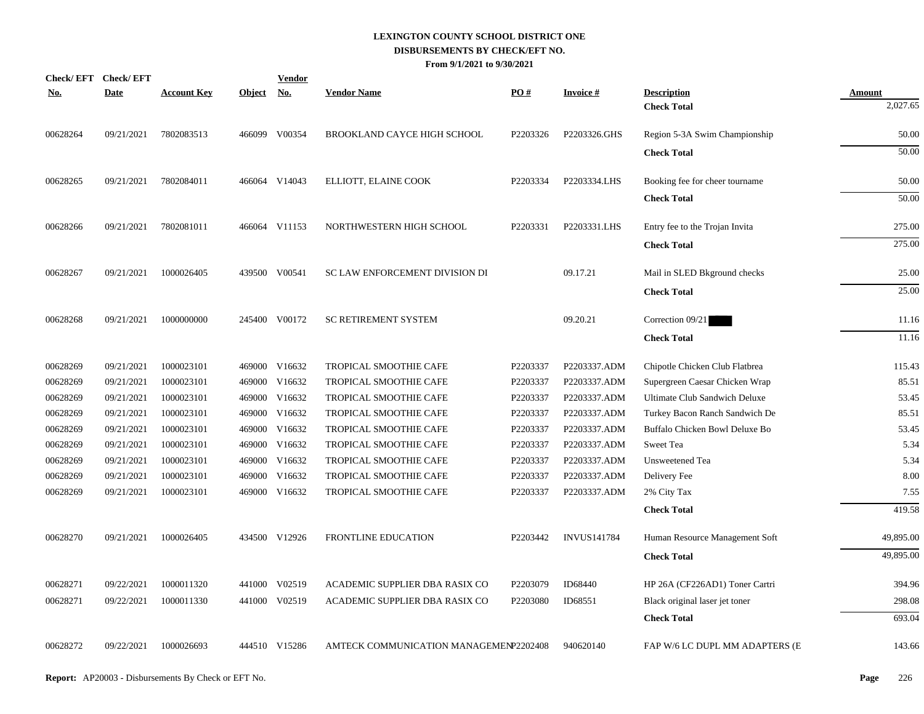| <u>No.</u> | Check/EFT Check/EFT<br><b>Date</b> | <b>Account Key</b> | <b>Object</b> | <b>Vendor</b><br><u>No.</u> | <b>Vendor Name</b>                     | PO#      | <b>Invoice#</b>    | <b>Description</b>             | Amount    |
|------------|------------------------------------|--------------------|---------------|-----------------------------|----------------------------------------|----------|--------------------|--------------------------------|-----------|
|            |                                    |                    |               |                             |                                        |          |                    | <b>Check Total</b>             | 2,027.65  |
| 00628264   | 09/21/2021                         | 7802083513         |               | 466099 V00354               | BROOKLAND CAYCE HIGH SCHOOL            | P2203326 | P2203326.GHS       | Region 5-3A Swim Championship  | 50.00     |
|            |                                    |                    |               |                             |                                        |          |                    | <b>Check Total</b>             | 50.00     |
| 00628265   | 09/21/2021                         | 7802084011         |               | 466064 V14043               | ELLIOTT, ELAINE COOK                   | P2203334 | P2203334.LHS       | Booking fee for cheer tourname | 50.00     |
|            |                                    |                    |               |                             |                                        |          |                    | <b>Check Total</b>             | 50.00     |
| 00628266   | 09/21/2021                         | 7802081011         |               | 466064 V11153               | NORTHWESTERN HIGH SCHOOL               | P2203331 | P2203331.LHS       | Entry fee to the Trojan Invita | 275.00    |
|            |                                    |                    |               |                             |                                        |          |                    | <b>Check Total</b>             | 275.00    |
| 00628267   | 09/21/2021                         | 1000026405         |               | 439500 V00541               | SC LAW ENFORCEMENT DIVISION DI         |          | 09.17.21           | Mail in SLED Bkground checks   | 25.00     |
|            |                                    |                    |               |                             |                                        |          |                    | <b>Check Total</b>             | 25.00     |
| 00628268   | 09/21/2021                         | 1000000000         |               | 245400 V00172               | <b>SC RETIREMENT SYSTEM</b>            |          | 09.20.21           | Correction 09/21               | 11.16     |
|            |                                    |                    |               |                             |                                        |          |                    | <b>Check Total</b>             | 11.16     |
| 00628269   | 09/21/2021                         | 1000023101         |               | 469000 V16632               | TROPICAL SMOOTHIE CAFE                 | P2203337 | P2203337.ADM       | Chipotle Chicken Club Flatbrea | 115.43    |
| 00628269   | 09/21/2021                         | 1000023101         |               | 469000 V16632               | TROPICAL SMOOTHIE CAFE                 | P2203337 | P2203337.ADM       | Supergreen Caesar Chicken Wrap | 85.51     |
| 00628269   | 09/21/2021                         | 1000023101         |               | 469000 V16632               | TROPICAL SMOOTHIE CAFE                 | P2203337 | P2203337.ADM       | Ultimate Club Sandwich Deluxe  | 53.45     |
| 00628269   | 09/21/2021                         | 1000023101         |               | 469000 V16632               | TROPICAL SMOOTHIE CAFE                 | P2203337 | P2203337.ADM       | Turkey Bacon Ranch Sandwich De | 85.51     |
| 00628269   | 09/21/2021                         | 1000023101         |               | 469000 V16632               | TROPICAL SMOOTHIE CAFE                 | P2203337 | P2203337.ADM       | Buffalo Chicken Bowl Deluxe Bo | 53.45     |
| 00628269   | 09/21/2021                         | 1000023101         |               | 469000 V16632               | TROPICAL SMOOTHIE CAFE                 | P2203337 | P2203337.ADM       | Sweet Tea                      | 5.34      |
| 00628269   | 09/21/2021                         | 1000023101         |               | 469000 V16632               | TROPICAL SMOOTHIE CAFE                 | P2203337 | P2203337.ADM       | Unsweetened Tea                | 5.34      |
| 00628269   | 09/21/2021                         | 1000023101         |               | 469000 V16632               | TROPICAL SMOOTHIE CAFE                 | P2203337 | P2203337.ADM       | Delivery Fee                   | 8.00      |
| 00628269   | 09/21/2021                         | 1000023101         |               | 469000 V16632               | TROPICAL SMOOTHIE CAFE                 | P2203337 | P2203337.ADM       | 2% City Tax                    | 7.55      |
|            |                                    |                    |               |                             |                                        |          |                    | <b>Check Total</b>             | 419.58    |
| 00628270   | 09/21/2021                         | 1000026405         |               | 434500 V12926               | FRONTLINE EDUCATION                    | P2203442 | <b>INVUS141784</b> | Human Resource Management Soft | 49,895.00 |
|            |                                    |                    |               |                             |                                        |          |                    | <b>Check Total</b>             | 49,895.00 |
| 00628271   | 09/22/2021                         | 1000011320         |               | 441000 V02519               | ACADEMIC SUPPLIER DBA RASIX CO         | P2203079 | ID68440            | HP 26A (CF226AD1) Toner Cartri | 394.96    |
| 00628271   | 09/22/2021                         | 1000011330         |               | 441000 V02519               | ACADEMIC SUPPLIER DBA RASIX CO         | P2203080 | ID68551            | Black original laser jet toner | 298.08    |
|            |                                    |                    |               |                             |                                        |          |                    | <b>Check Total</b>             | 693.04    |
| 00628272   | 09/22/2021                         | 1000026693         |               | 444510 V15286               | AMTECK COMMUNICATION MANAGEMENP2202408 |          | 940620140          | FAP W/6 LC DUPL MM ADAPTERS (E | 143.66    |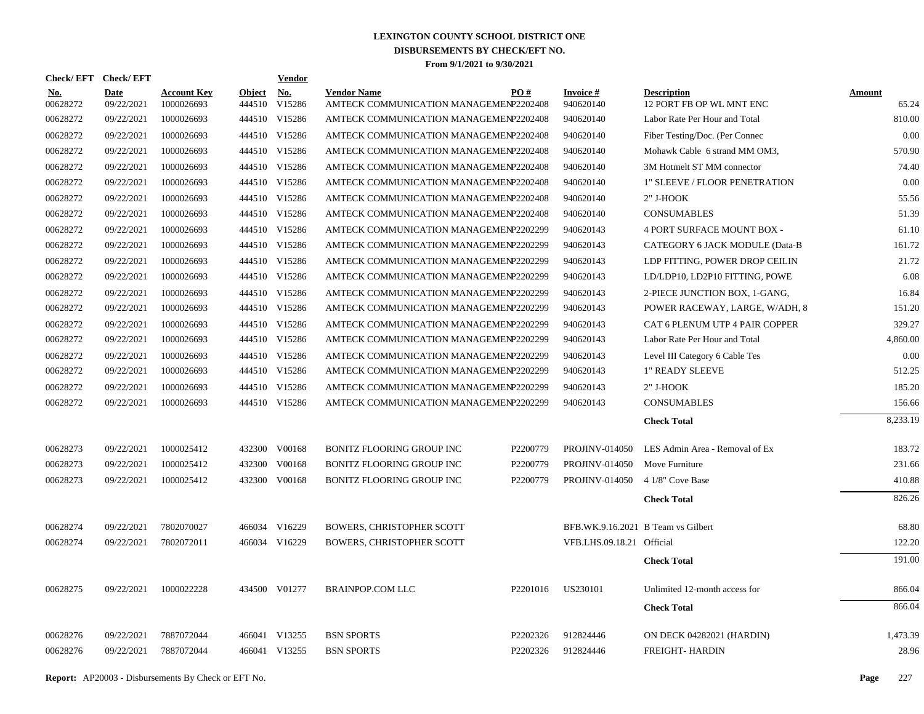| Check/ EFT      | <b>Check/EFT</b>          |                                  |                         | <b>Vendor</b>        |                                                              |          |                                    |                                                |                        |
|-----------------|---------------------------|----------------------------------|-------------------------|----------------------|--------------------------------------------------------------|----------|------------------------------------|------------------------------------------------|------------------------|
| No.<br>00628272 | <b>Date</b><br>09/22/2021 | <b>Account Key</b><br>1000026693 | <b>Object</b><br>444510 | <b>No.</b><br>V15286 | <b>Vendor Name</b><br>AMTECK COMMUNICATION MANAGEMENP2202408 | PO#      | <b>Invoice#</b><br>940620140       | <b>Description</b><br>12 PORT FB OP WL MNT ENC | <b>Amount</b><br>65.24 |
| 00628272        | 09/22/2021                | 1000026693                       |                         | 444510 V15286        | AMTECK COMMUNICATION MANAGEMENP2202408                       |          | 940620140                          | Labor Rate Per Hour and Total                  | 810.00                 |
| 00628272        | 09/22/2021                | 1000026693                       |                         | 444510 V15286        | AMTECK COMMUNICATION MANAGEMENP2202408                       |          | 940620140                          | Fiber Testing/Doc. (Per Connec                 | 0.00                   |
| 00628272        | 09/22/2021                | 1000026693                       |                         | 444510 V15286        | AMTECK COMMUNICATION MANAGEMENP2202408                       |          | 940620140                          | Mohawk Cable 6 strand MM OM3,                  | 570.90                 |
| 00628272        | 09/22/2021                | 1000026693                       |                         | 444510 V15286        | AMTECK COMMUNICATION MANAGEMENP2202408                       |          | 940620140                          | 3M Hotmelt ST MM connector                     | 74.40                  |
| 00628272        | 09/22/2021                | 1000026693                       |                         | 444510 V15286        | AMTECK COMMUNICATION MANAGEMENP2202408                       |          | 940620140                          | <b>1" SLEEVE / FLOOR PENETRATION</b>           | 0.00                   |
| 00628272        | 09/22/2021                | 1000026693                       |                         | 444510 V15286        | AMTECK COMMUNICATION MANAGEMENP2202408                       |          | 940620140                          | 2" J-HOOK                                      | 55.56                  |
| 00628272        | 09/22/2021                | 1000026693                       |                         | 444510 V15286        | AMTECK COMMUNICATION MANAGEMENP2202408                       |          | 940620140                          | <b>CONSUMABLES</b>                             | 51.39                  |
| 00628272        | 09/22/2021                | 1000026693                       |                         | 444510 V15286        | AMTECK COMMUNICATION MANAGEMENP2202299                       |          | 940620143                          | <b>4 PORT SURFACE MOUNT BOX -</b>              | 61.10                  |
| 00628272        | 09/22/2021                | 1000026693                       |                         | 444510 V15286        | AMTECK COMMUNICATION MANAGEMENP2202299                       |          | 940620143                          | CATEGORY 6 JACK MODULE (Data-B                 | 161.72                 |
| 00628272        | 09/22/2021                | 1000026693                       |                         | 444510 V15286        | AMTECK COMMUNICATION MANAGEMENP2202299                       |          | 940620143                          | LDP FITTING, POWER DROP CEILIN                 | 21.72                  |
| 00628272        | 09/22/2021                | 1000026693                       |                         | 444510 V15286        | AMTECK COMMUNICATION MANAGEMENP2202299                       |          | 940620143                          | LD/LDP10, LD2P10 FITTING, POWE                 | 6.08                   |
| 00628272        | 09/22/2021                | 1000026693                       |                         | 444510 V15286        | AMTECK COMMUNICATION MANAGEMENP2202299                       |          | 940620143                          | 2-PIECE JUNCTION BOX, 1-GANG,                  | 16.84                  |
| 00628272        | 09/22/2021                | 1000026693                       |                         | 444510 V15286        | AMTECK COMMUNICATION MANAGEMENP2202299                       |          | 940620143                          | POWER RACEWAY, LARGE, W/ADH, 8                 | 151.20                 |
| 00628272        | 09/22/2021                | 1000026693                       |                         | 444510 V15286        | AMTECK COMMUNICATION MANAGEMENP2202299                       |          | 940620143                          | CAT 6 PLENUM UTP 4 PAIR COPPER                 | 329.27                 |
| 00628272        | 09/22/2021                | 1000026693                       |                         | 444510 V15286        | AMTECK COMMUNICATION MANAGEMENP2202299                       |          | 940620143                          | Labor Rate Per Hour and Total                  | 4,860.00               |
| 00628272        | 09/22/2021                | 1000026693                       |                         | 444510 V15286        | AMTECK COMMUNICATION MANAGEMENP2202299                       |          | 940620143                          | Level III Category 6 Cable Tes                 | 0.00                   |
| 00628272        | 09/22/2021                | 1000026693                       |                         | 444510 V15286        | AMTECK COMMUNICATION MANAGEMENP2202299                       |          | 940620143                          | 1" READY SLEEVE                                | 512.25                 |
| 00628272        | 09/22/2021                | 1000026693                       |                         | 444510 V15286        | AMTECK COMMUNICATION MANAGEMENP2202299                       |          | 940620143                          | 2" J-HOOK                                      | 185.20                 |
| 00628272        | 09/22/2021                | 1000026693                       |                         | 444510 V15286        | AMTECK COMMUNICATION MANAGEMENP2202299                       |          | 940620143                          | <b>CONSUMABLES</b>                             | 156.66                 |
|                 |                           |                                  |                         |                      |                                                              |          |                                    | <b>Check Total</b>                             | 8,233.19               |
| 00628273        | 09/22/2021                | 1000025412                       |                         | 432300 V00168        | <b>BONITZ FLOORING GROUP INC</b>                             | P2200779 | <b>PROJINV-014050</b>              | LES Admin Area - Removal of Ex                 | 183.72                 |
| 00628273        | 09/22/2021                | 1000025412                       | 432300                  | V00168               | <b>BONITZ FLOORING GROUP INC</b>                             | P2200779 | <b>PROJINV-014050</b>              | Move Furniture                                 | 231.66                 |
| 00628273        | 09/22/2021                | 1000025412                       |                         | 432300 V00168        | <b>BONITZ FLOORING GROUP INC</b>                             | P2200779 | <b>PROJINV-014050</b>              | 4 1/8" Cove Base                               | 410.88                 |
|                 |                           |                                  |                         |                      |                                                              |          |                                    | <b>Check Total</b>                             | 826.26                 |
| 00628274        | 09/22/2021                | 7802070027                       |                         | 466034 V16229        | <b>BOWERS, CHRISTOPHER SCOTT</b>                             |          | BFB.WK.9.16.2021 B Team vs Gilbert |                                                | 68.80                  |
| 00628274        | 09/22/2021                | 7802072011                       |                         | 466034 V16229        | <b>BOWERS, CHRISTOPHER SCOTT</b>                             |          | VFB.LHS.09.18.21 Official          |                                                | 122.20                 |
|                 |                           |                                  |                         |                      |                                                              |          |                                    | <b>Check Total</b>                             | 191.00                 |
| 00628275        | 09/22/2021                | 1000022228                       |                         | 434500 V01277        | <b>BRAINPOP.COM LLC</b>                                      | P2201016 | US230101                           | Unlimited 12-month access for                  | 866.04                 |
|                 |                           |                                  |                         |                      |                                                              |          |                                    | <b>Check Total</b>                             | 866.04                 |
| 00628276        | 09/22/2021                | 7887072044                       |                         | 466041 V13255        | <b>BSN SPORTS</b>                                            | P2202326 | 912824446                          | ON DECK 04282021 (HARDIN)                      | 1.473.39               |
| 00628276        | 09/22/2021                | 7887072044                       |                         | 466041 V13255        | <b>BSN SPORTS</b>                                            | P2202326 | 912824446                          | <b>FREIGHT-HARDIN</b>                          | 28.96                  |
|                 |                           |                                  |                         |                      |                                                              |          |                                    |                                                |                        |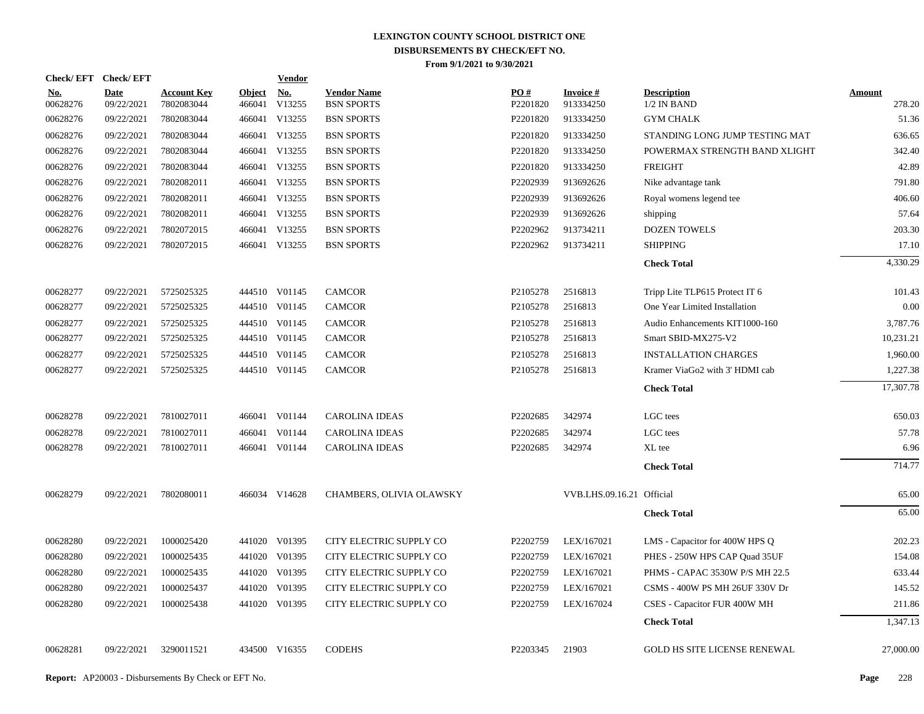| <b>Check/EFT</b>       | <b>Check/EFT</b>          |                                  |                         | <u>Vendor</u>        |                                         |                 |                              |                                     |                         |
|------------------------|---------------------------|----------------------------------|-------------------------|----------------------|-----------------------------------------|-----------------|------------------------------|-------------------------------------|-------------------------|
| <u>No.</u><br>00628276 | <b>Date</b><br>09/22/2021 | <b>Account Key</b><br>7802083044 | <b>Object</b><br>466041 | <u>No.</u><br>V13255 | <b>Vendor Name</b><br><b>BSN SPORTS</b> | PO#<br>P2201820 | <b>Invoice#</b><br>913334250 | <b>Description</b><br>$1/2$ IN BAND | <b>Amount</b><br>278.20 |
| 00628276               | 09/22/2021                | 7802083044                       |                         | 466041 V13255        | <b>BSN SPORTS</b>                       | P2201820        | 913334250                    | <b>GYM CHALK</b>                    | 51.36                   |
| 00628276               | 09/22/2021                | 7802083044                       |                         | 466041 V13255        | <b>BSN SPORTS</b>                       | P2201820        | 913334250                    | STANDING LONG JUMP TESTING MAT      | 636.65                  |
| 00628276               | 09/22/2021                | 7802083044                       |                         | 466041 V13255        | <b>BSN SPORTS</b>                       | P2201820        | 913334250                    | POWERMAX STRENGTH BAND XLIGHT       | 342.40                  |
| 00628276               | 09/22/2021                | 7802083044                       |                         | 466041 V13255        | <b>BSN SPORTS</b>                       | P2201820        | 913334250                    | <b>FREIGHT</b>                      | 42.89                   |
| 00628276               | 09/22/2021                | 7802082011                       |                         | 466041 V13255        | <b>BSN SPORTS</b>                       | P2202939        | 913692626                    | Nike advantage tank                 | 791.80                  |
| 00628276               | 09/22/2021                | 7802082011                       |                         | 466041 V13255        | <b>BSN SPORTS</b>                       | P2202939        | 913692626                    | Royal womens legend tee             | 406.60                  |
| 00628276               | 09/22/2021                | 7802082011                       |                         | 466041 V13255        | <b>BSN SPORTS</b>                       | P2202939        | 913692626                    | shipping                            | 57.64                   |
| 00628276               | 09/22/2021                | 7802072015                       |                         | 466041 V13255        | <b>BSN SPORTS</b>                       | P2202962        | 913734211                    | <b>DOZEN TOWELS</b>                 | 203.30                  |
| 00628276               | 09/22/2021                | 7802072015                       |                         | 466041 V13255        | <b>BSN SPORTS</b>                       | P2202962        | 913734211                    | <b>SHIPPING</b>                     | 17.10                   |
|                        |                           |                                  |                         |                      |                                         |                 |                              | <b>Check Total</b>                  | 4,330.29                |
| 00628277               | 09/22/2021                | 5725025325                       |                         | 444510 V01145        | <b>CAMCOR</b>                           | P2105278        | 2516813                      | Tripp Lite TLP615 Protect IT 6      | 101.43                  |
| 00628277               | 09/22/2021                | 5725025325                       |                         | 444510 V01145        | <b>CAMCOR</b>                           | P2105278        | 2516813                      | One Year Limited Installation       | 0.00                    |
| 00628277               | 09/22/2021                | 5725025325                       |                         | 444510 V01145        | <b>CAMCOR</b>                           | P2105278        | 2516813                      | Audio Enhancements KIT1000-160      | 3,787.76                |
| 00628277               | 09/22/2021                | 5725025325                       |                         | 444510 V01145        | <b>CAMCOR</b>                           | P2105278        | 2516813                      | Smart SBID-MX275-V2                 | 10,231.21               |
| 00628277               | 09/22/2021                | 5725025325                       |                         | 444510 V01145        | <b>CAMCOR</b>                           | P2105278        | 2516813                      | <b>INSTALLATION CHARGES</b>         | 1.960.00                |
| 00628277               | 09/22/2021                | 5725025325                       |                         | 444510 V01145        | <b>CAMCOR</b>                           | P2105278        | 2516813                      | Kramer ViaGo2 with 3' HDMI cab      | 1,227.38                |
|                        |                           |                                  |                         |                      |                                         |                 |                              | <b>Check Total</b>                  | 17,307.78               |
| 00628278               | 09/22/2021                | 7810027011                       |                         | 466041 V01144        | <b>CAROLINA IDEAS</b>                   | P2202685        | 342974                       | LGC tees                            | 650.03                  |
| 00628278               | 09/22/2021                | 7810027011                       | 466041                  | V01144               | <b>CAROLINA IDEAS</b>                   | P2202685        | 342974                       | LGC tees                            | 57.78                   |
| 00628278               | 09/22/2021                | 7810027011                       |                         | 466041 V01144        | CAROLINA IDEAS                          | P2202685        | 342974                       | XL tee                              | 6.96                    |
|                        |                           |                                  |                         |                      |                                         |                 |                              | <b>Check Total</b>                  | 714.77                  |
| 00628279               | 09/22/2021                | 7802080011                       |                         | 466034 V14628        | CHAMBERS, OLIVIA OLAWSKY                |                 | VVB.LHS.09.16.21 Official    |                                     | 65.00                   |
|                        |                           |                                  |                         |                      |                                         |                 |                              | <b>Check Total</b>                  | 65.00                   |
| 00628280               | 09/22/2021                | 1000025420                       |                         | 441020 V01395        | CITY ELECTRIC SUPPLY CO                 | P2202759        | LEX/167021                   | LMS - Capacitor for 400W HPS Q      | 202.23                  |
| 00628280               | 09/22/2021                | 1000025435                       |                         | 441020 V01395        | CITY ELECTRIC SUPPLY CO                 | P2202759        | LEX/167021                   | PHES - 250W HPS CAP Quad 35UF       | 154.08                  |
| 00628280               | 09/22/2021                | 1000025435                       |                         | 441020 V01395        | CITY ELECTRIC SUPPLY CO                 | P2202759        | LEX/167021                   | PHMS - CAPAC 3530W P/S MH 22.5      | 633.44                  |
| 00628280               | 09/22/2021                | 1000025437                       |                         | 441020 V01395        | CITY ELECTRIC SUPPLY CO                 | P2202759        | LEX/167021                   | CSMS - 400W PS MH 26UF 330V Dr      | 145.52                  |
| 00628280               | 09/22/2021                | 1000025438                       |                         | 441020 V01395        | CITY ELECTRIC SUPPLY CO                 | P2202759        | LEX/167024                   | CSES - Capacitor FUR 400W MH        | 211.86                  |
|                        |                           |                                  |                         |                      |                                         |                 |                              | <b>Check Total</b>                  | 1,347.13                |
| 00628281               | 09/22/2021                | 3290011521                       |                         | 434500 V16355        | <b>CODEHS</b>                           | P2203345        | 21903                        | <b>GOLD HS SITE LICENSE RENEWAL</b> | 27,000.00               |
|                        |                           |                                  |                         |                      |                                         |                 |                              |                                     |                         |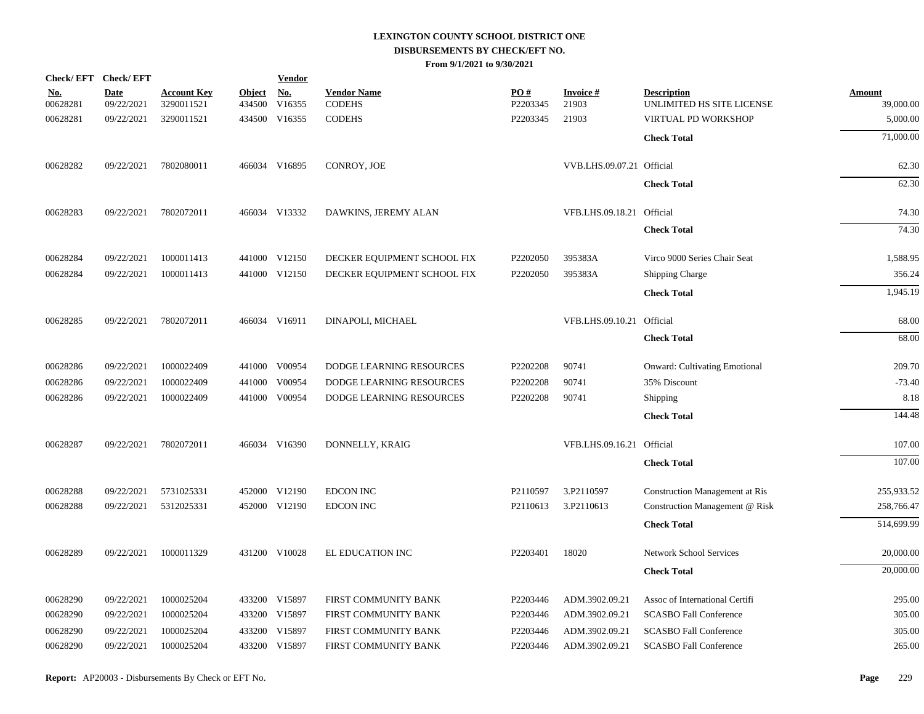|                        | Check/EFT Check/EFT       |                                  |                         | <b>Vendor</b>        |                                     |                 |                             |                                                 |                            |
|------------------------|---------------------------|----------------------------------|-------------------------|----------------------|-------------------------------------|-----------------|-----------------------------|-------------------------------------------------|----------------------------|
| <u>No.</u><br>00628281 | <b>Date</b><br>09/22/2021 | <b>Account Key</b><br>3290011521 | <b>Object</b><br>434500 | <u>No.</u><br>V16355 | <b>Vendor Name</b><br><b>CODEHS</b> | PO#<br>P2203345 | <b>Invoice</b> $#$<br>21903 | <b>Description</b><br>UNLIMITED HS SITE LICENSE | <b>Amount</b><br>39,000.00 |
| 00628281               | 09/22/2021                | 3290011521                       |                         | 434500 V16355        | <b>CODEHS</b>                       | P2203345        | 21903                       | VIRTUAL PD WORKSHOP                             | 5,000.00                   |
|                        |                           |                                  |                         |                      |                                     |                 |                             | <b>Check Total</b>                              | 71,000.00                  |
| 00628282               | 09/22/2021                | 7802080011                       |                         | 466034 V16895        | CONROY, JOE                         |                 | VVB.LHS.09.07.21 Official   |                                                 | 62.30                      |
|                        |                           |                                  |                         |                      |                                     |                 |                             | <b>Check Total</b>                              | 62.30                      |
| 00628283               | 09/22/2021                | 7802072011                       |                         | 466034 V13332        | DAWKINS, JEREMY ALAN                |                 | VFB.LHS.09.18.21 Official   |                                                 | 74.30                      |
|                        |                           |                                  |                         |                      |                                     |                 |                             | <b>Check Total</b>                              | 74.30                      |
| 00628284               | 09/22/2021                | 1000011413                       |                         | 441000 V12150        | DECKER EQUIPMENT SCHOOL FIX         | P2202050        | 395383A                     | Virco 9000 Series Chair Seat                    | 1,588.95                   |
| 00628284               | 09/22/2021                | 1000011413                       |                         | 441000 V12150        | DECKER EQUIPMENT SCHOOL FIX         | P2202050        | 395383A                     | <b>Shipping Charge</b>                          | 356.24                     |
|                        |                           |                                  |                         |                      |                                     |                 |                             | <b>Check Total</b>                              | 1,945.19                   |
| 00628285               | 09/22/2021                | 7802072011                       |                         | 466034 V16911        | DINAPOLI, MICHAEL                   |                 | VFB.LHS.09.10.21 Official   |                                                 | 68.00                      |
|                        |                           |                                  |                         |                      |                                     |                 |                             | <b>Check Total</b>                              | 68.00                      |
| 00628286               | 09/22/2021                | 1000022409                       |                         | 441000 V00954        | <b>DODGE LEARNING RESOURCES</b>     | P2202208        | 90741                       | <b>Onward: Cultivating Emotional</b>            | 209.70                     |
| 00628286               | 09/22/2021                | 1000022409                       | 441000                  | V00954               | DODGE LEARNING RESOURCES            | P2202208        | 90741                       | 35% Discount                                    | $-73.40$                   |
| 00628286               | 09/22/2021                | 1000022409                       |                         | 441000 V00954        | DODGE LEARNING RESOURCES            | P2202208        | 90741                       | Shipping                                        | 8.18                       |
|                        |                           |                                  |                         |                      |                                     |                 |                             | <b>Check Total</b>                              | 144.48                     |
| 00628287               | 09/22/2021                | 7802072011                       |                         | 466034 V16390        | DONNELLY, KRAIG                     |                 | VFB.LHS.09.16.21 Official   |                                                 | 107.00                     |
|                        |                           |                                  |                         |                      |                                     |                 |                             | <b>Check Total</b>                              | 107.00                     |
| 00628288               | 09/22/2021                | 5731025331                       |                         | 452000 V12190        | <b>EDCON INC</b>                    | P2110597        | 3.P2110597                  | <b>Construction Management at Ris</b>           | 255,933.52                 |
| 00628288               | 09/22/2021                | 5312025331                       |                         | 452000 V12190        | <b>EDCON INC</b>                    | P2110613        | 3.P2110613                  | Construction Management @ Risk                  | 258,766.47                 |
|                        |                           |                                  |                         |                      |                                     |                 |                             | <b>Check Total</b>                              | 514,699.99                 |
| 00628289               | 09/22/2021                | 1000011329                       |                         | 431200 V10028        | EL EDUCATION INC                    | P2203401        | 18020                       | <b>Network School Services</b>                  | 20,000.00                  |
|                        |                           |                                  |                         |                      |                                     |                 |                             | <b>Check Total</b>                              | 20,000.00                  |
| 00628290               | 09/22/2021                | 1000025204                       |                         | 433200 V15897        | FIRST COMMUNITY BANK                | P2203446        | ADM.3902.09.21              | Assoc of International Certifi                  | 295.00                     |
| 00628290               | 09/22/2021                | 1000025204                       |                         | 433200 V15897        | FIRST COMMUNITY BANK                | P2203446        | ADM.3902.09.21              | <b>SCASBO Fall Conference</b>                   | 305.00                     |
| 00628290               | 09/22/2021                | 1000025204                       | 433200                  | V15897               | FIRST COMMUNITY BANK                | P2203446        | ADM.3902.09.21              | <b>SCASBO Fall Conference</b>                   | 305.00                     |
| 00628290               | 09/22/2021                | 1000025204                       |                         | 433200 V15897        | FIRST COMMUNITY BANK                | P2203446        | ADM.3902.09.21              | <b>SCASBO Fall Conference</b>                   | 265.00                     |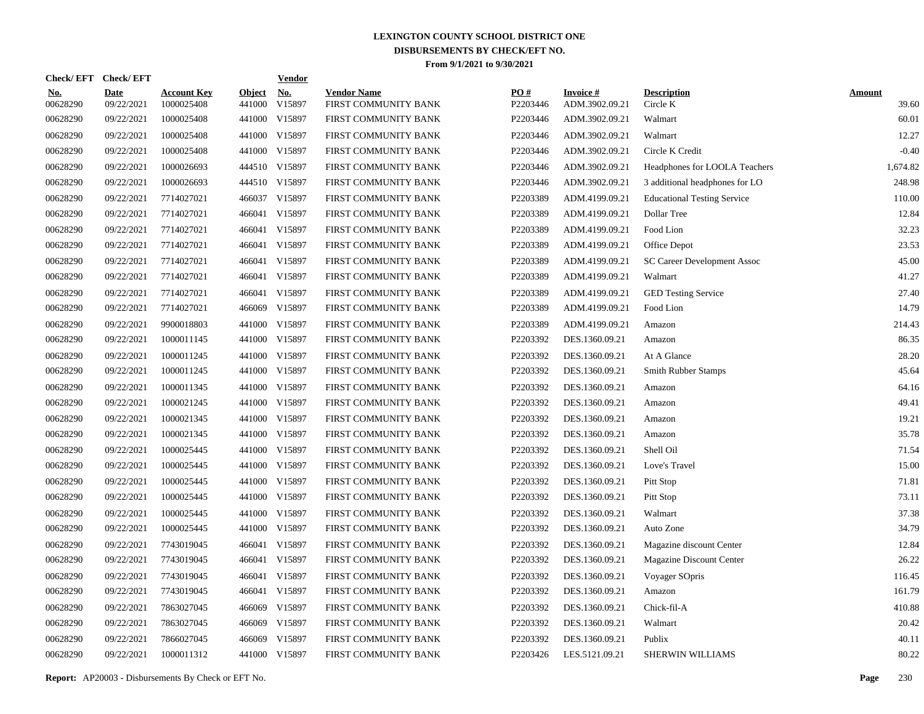|                        | Check/EFT Check/EFT       |                                  |                         | <u>Vendor</u>        |                                            |                 |                                   |                                    |                        |
|------------------------|---------------------------|----------------------------------|-------------------------|----------------------|--------------------------------------------|-----------------|-----------------------------------|------------------------------------|------------------------|
| <u>No.</u><br>00628290 | <b>Date</b><br>09/22/2021 | <b>Account Key</b><br>1000025408 | <b>Object</b><br>441000 | <u>No.</u><br>V15897 | <b>Vendor Name</b><br>FIRST COMMUNITY BANK | PQ#<br>P2203446 | <b>Invoice#</b><br>ADM.3902.09.21 | <b>Description</b><br>Circle K     | <b>Amount</b><br>39.60 |
| 00628290               | 09/22/2021                | 1000025408                       | 441000                  | V15897               | FIRST COMMUNITY BANK                       | P2203446        | ADM.3902.09.21                    | Walmart                            | 60.01                  |
| 00628290               | 09/22/2021                | 1000025408                       | 441000                  | V15897               | FIRST COMMUNITY BANK                       | P2203446        | ADM.3902.09.21                    | Walmart                            | 12.27                  |
| 00628290               | 09/22/2021                | 1000025408                       |                         | 441000 V15897        | FIRST COMMUNITY BANK                       | P2203446        | ADM.3902.09.21                    | Circle K Credit                    | $-0.40$                |
| 00628290               | 09/22/2021                | 1000026693                       |                         | 444510 V15897        | FIRST COMMUNITY BANK                       | P2203446        | ADM.3902.09.21                    | Headphones for LOOLA Teachers      | 1,674.82               |
| 00628290               | 09/22/2021                | 1000026693                       |                         | 444510 V15897        | FIRST COMMUNITY BANK                       | P2203446        | ADM.3902.09.21                    | 3 additional headphones for LO     | 248.98                 |
| 00628290               | 09/22/2021                | 7714027021                       |                         | 466037 V15897        | FIRST COMMUNITY BANK                       | P2203389        | ADM.4199.09.21                    | <b>Educational Testing Service</b> | 110.00                 |
| 00628290               | 09/22/2021                | 7714027021                       |                         | 466041 V15897        | FIRST COMMUNITY BANK                       | P2203389        | ADM.4199.09.21                    | Dollar Tree                        | 12.84                  |
| 00628290               | 09/22/2021                | 7714027021                       |                         | 466041 V15897        | FIRST COMMUNITY BANK                       | P2203389        | ADM.4199.09.21                    | Food Lion                          | 32.23                  |
| 00628290               | 09/22/2021                | 7714027021                       |                         | 466041 V15897        | FIRST COMMUNITY BANK                       | P2203389        | ADM.4199.09.21                    | Office Depot                       | 23.53                  |
| 00628290               | 09/22/2021                | 7714027021                       |                         | 466041 V15897        | FIRST COMMUNITY BANK                       | P2203389        | ADM.4199.09.21                    | SC Career Development Assoc        | 45.00                  |
| 00628290               | 09/22/2021                | 7714027021                       |                         | 466041 V15897        | FIRST COMMUNITY BANK                       | P2203389        | ADM.4199.09.21                    | Walmart                            | 41.27                  |
| 00628290               | 09/22/2021                | 7714027021                       |                         | 466041 V15897        | FIRST COMMUNITY BANK                       | P2203389        | ADM.4199.09.21                    | <b>GED Testing Service</b>         | 27.40                  |
| 00628290               | 09/22/2021                | 7714027021                       | 466069                  | V15897               | FIRST COMMUNITY BANK                       | P2203389        | ADM.4199.09.21                    | Food Lion                          | 14.79                  |
| 00628290               | 09/22/2021                | 9900018803                       | 441000                  | V15897               | FIRST COMMUNITY BANK                       | P2203389        | ADM.4199.09.21                    | Amazon                             | 214.43                 |
| 00628290               | 09/22/2021                | 1000011145                       |                         | 441000 V15897        | FIRST COMMUNITY BANK                       | P2203392        | DES.1360.09.21                    | Amazon                             | 86.35                  |
| 00628290               | 09/22/2021                | 1000011245                       | 441000                  | V15897               | FIRST COMMUNITY BANK                       | P2203392        | DES.1360.09.21                    | At A Glance                        | 28.20                  |
| 00628290               | 09/22/2021                | 1000011245                       |                         | 441000 V15897        | FIRST COMMUNITY BANK                       | P2203392        | DES.1360.09.21                    | <b>Smith Rubber Stamps</b>         | 45.64                  |
| 00628290               | 09/22/2021                | 1000011345                       | 441000                  | V15897               | FIRST COMMUNITY BANK                       | P2203392        | DES.1360.09.21                    | Amazon                             | 64.16                  |
| 00628290               | 09/22/2021                | 1000021245                       | 441000                  | V15897               | FIRST COMMUNITY BANK                       | P2203392        | DES.1360.09.21                    | Amazon                             | 49.41                  |
| 00628290               | 09/22/2021                | 1000021345                       | 441000                  | V15897               | FIRST COMMUNITY BANK                       | P2203392        | DES.1360.09.21                    | Amazon                             | 19.21                  |
| 00628290               | 09/22/2021                | 1000021345                       | 441000                  | V15897               | FIRST COMMUNITY BANK                       | P2203392        | DES.1360.09.21                    | Amazon                             | 35.78                  |
| 00628290               | 09/22/2021                | 1000025445                       | 441000                  | V15897               | FIRST COMMUNITY BANK                       | P2203392        | DES.1360.09.21                    | Shell Oil                          | 71.54                  |
| 00628290               | 09/22/2021                | 1000025445                       | 441000                  | V15897               | FIRST COMMUNITY BANK                       | P2203392        | DES.1360.09.21                    | Love's Travel                      | 15.00                  |
| 00628290               | 09/22/2021                | 1000025445                       | 441000                  | V15897               | FIRST COMMUNITY BANK                       | P2203392        | DES.1360.09.21                    | Pitt Stop                          | 71.81                  |
| 00628290               | 09/22/2021                | 1000025445                       | 441000                  | V15897               | FIRST COMMUNITY BANK                       | P2203392        | DES.1360.09.21                    | Pitt Stop                          | 73.11                  |
| 00628290               | 09/22/2021                | 1000025445                       | 441000                  | V15897               | FIRST COMMUNITY BANK                       | P2203392        | DES.1360.09.21                    | Walmart                            | 37.38                  |
| 00628290               | 09/22/2021                | 1000025445                       | 441000                  | V15897               | FIRST COMMUNITY BANK                       | P2203392        | DES.1360.09.21                    | Auto Zone                          | 34.79                  |
| 00628290               | 09/22/2021                | 7743019045                       |                         | 466041 V15897        | FIRST COMMUNITY BANK                       | P2203392        | DES.1360.09.21                    | Magazine discount Center           | 12.84                  |
| 00628290               | 09/22/2021                | 7743019045                       |                         | 466041 V15897        | FIRST COMMUNITY BANK                       | P2203392        | DES.1360.09.21                    | Magazine Discount Center           | 26.22                  |
| 00628290               | 09/22/2021                | 7743019045                       |                         | 466041 V15897        | FIRST COMMUNITY BANK                       | P2203392        | DES.1360.09.21                    | Voyager SOpris                     | 116.45                 |
| 00628290               | 09/22/2021                | 7743019045                       |                         | 466041 V15897        | FIRST COMMUNITY BANK                       | P2203392        | DES.1360.09.21                    | Amazon                             | 161.79                 |
| 00628290               | 09/22/2021                | 7863027045                       | 466069                  | V15897               | FIRST COMMUNITY BANK                       | P2203392        | DES.1360.09.21                    | Chick-fil-A                        | 410.88                 |
| 00628290               | 09/22/2021                | 7863027045                       | 466069                  | V15897               | FIRST COMMUNITY BANK                       | P2203392        | DES.1360.09.21                    | Walmart                            | 20.42                  |
| 00628290               | 09/22/2021                | 7866027045                       | 466069                  | V15897               | FIRST COMMUNITY BANK                       | P2203392        | DES.1360.09.21                    | Publix                             | 40.11                  |
| 00628290               | 09/22/2021                | 1000011312                       |                         | 441000 V15897        | FIRST COMMUNITY BANK                       | P2203426        | LES.5121.09.21                    | <b>SHERWIN WILLIAMS</b>            | 80.22                  |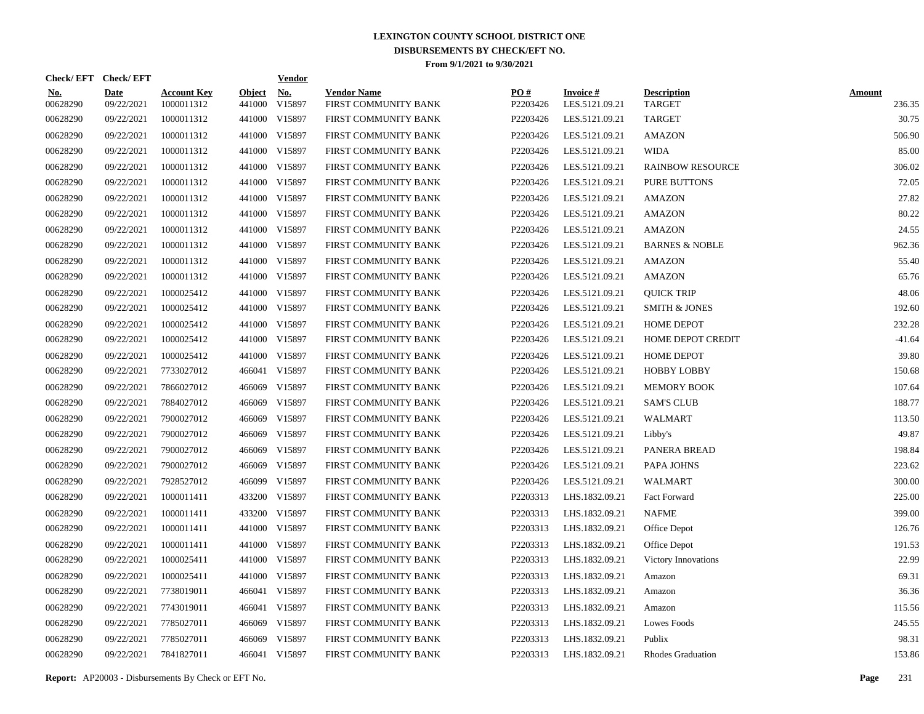|                        | Check/EFT Check/EFT       |                                  |                         | <u>Vendor</u>        |                                            |                 |                                   |                                     |                         |
|------------------------|---------------------------|----------------------------------|-------------------------|----------------------|--------------------------------------------|-----------------|-----------------------------------|-------------------------------------|-------------------------|
| <u>No.</u><br>00628290 | <b>Date</b><br>09/22/2021 | <b>Account Key</b><br>1000011312 | <b>Object</b><br>441000 | <u>No.</u><br>V15897 | <b>Vendor Name</b><br>FIRST COMMUNITY BANK | PQ#<br>P2203426 | <b>Invoice#</b><br>LES.5121.09.21 | <b>Description</b><br><b>TARGET</b> | <b>Amount</b><br>236.35 |
| 00628290               | 09/22/2021                | 1000011312                       |                         | 441000 V15897        | FIRST COMMUNITY BANK                       | P2203426        | LES.5121.09.21                    | TARGET                              | 30.75                   |
| 00628290               | 09/22/2021                | 1000011312                       |                         | 441000 V15897        | FIRST COMMUNITY BANK                       | P2203426        | LES.5121.09.21                    | <b>AMAZON</b>                       | 506.90                  |
| 00628290               | 09/22/2021                | 1000011312                       |                         | 441000 V15897        | FIRST COMMUNITY BANK                       | P2203426        | LES.5121.09.21                    | <b>WIDA</b>                         | 85.00                   |
| 00628290               | 09/22/2021                | 1000011312                       |                         | 441000 V15897        | FIRST COMMUNITY BANK                       | P2203426        | LES.5121.09.21                    | <b>RAINBOW RESOURCE</b>             | 306.02                  |
| 00628290               | 09/22/2021                | 1000011312                       |                         | 441000 V15897        | FIRST COMMUNITY BANK                       | P2203426        | LES.5121.09.21                    | PURE BUTTONS                        | 72.05                   |
| 00628290               | 09/22/2021                | 1000011312                       |                         | 441000 V15897        | FIRST COMMUNITY BANK                       | P2203426        | LES.5121.09.21                    | <b>AMAZON</b>                       | 27.82                   |
| 00628290               | 09/22/2021                | 1000011312                       |                         | 441000 V15897        | FIRST COMMUNITY BANK                       | P2203426        | LES.5121.09.21                    | AMAZON                              | 80.22                   |
| 00628290               | 09/22/2021                | 1000011312                       |                         | 441000 V15897        | FIRST COMMUNITY BANK                       | P2203426        | LES.5121.09.21                    | <b>AMAZON</b>                       | 24.55                   |
| 00628290               | 09/22/2021                | 1000011312                       |                         | 441000 V15897        | FIRST COMMUNITY BANK                       | P2203426        | LES.5121.09.21                    | <b>BARNES &amp; NOBLE</b>           | 962.36                  |
| 00628290               | 09/22/2021                | 1000011312                       |                         | 441000 V15897        | FIRST COMMUNITY BANK                       | P2203426        | LES.5121.09.21                    | <b>AMAZON</b>                       | 55.40                   |
| 00628290               | 09/22/2021                | 1000011312                       |                         | 441000 V15897        | FIRST COMMUNITY BANK                       | P2203426        | LES.5121.09.21                    | <b>AMAZON</b>                       | 65.76                   |
| 00628290               | 09/22/2021                | 1000025412                       |                         | 441000 V15897        | FIRST COMMUNITY BANK                       | P2203426        | LES.5121.09.21                    | <b>OUICK TRIP</b>                   | 48.06                   |
| 00628290               | 09/22/2021                | 1000025412                       |                         | 441000 V15897        | FIRST COMMUNITY BANK                       | P2203426        | LES.5121.09.21                    | <b>SMITH &amp; JONES</b>            | 192.60                  |
| 00628290               | 09/22/2021                | 1000025412                       |                         | 441000 V15897        | FIRST COMMUNITY BANK                       | P2203426        | LES.5121.09.21                    | <b>HOME DEPOT</b>                   | 232.28                  |
| 00628290               | 09/22/2021                | 1000025412                       |                         | 441000 V15897        | FIRST COMMUNITY BANK                       | P2203426        | LES.5121.09.21                    | HOME DEPOT CREDIT                   | $-41.64$                |
| 00628290               | 09/22/2021                | 1000025412                       |                         | 441000 V15897        | FIRST COMMUNITY BANK                       | P2203426        | LES.5121.09.21                    | <b>HOME DEPOT</b>                   | 39.80                   |
| 00628290               | 09/22/2021                | 7733027012                       |                         | 466041 V15897        | FIRST COMMUNITY BANK                       | P2203426        | LES.5121.09.21                    | <b>HOBBY LOBBY</b>                  | 150.68                  |
| 00628290               | 09/22/2021                | 7866027012                       |                         | 466069 V15897        | FIRST COMMUNITY BANK                       | P2203426        | LES.5121.09.21                    | <b>MEMORY BOOK</b>                  | 107.64                  |
| 00628290               | 09/22/2021                | 7884027012                       |                         | 466069 V15897        | FIRST COMMUNITY BANK                       | P2203426        | LES.5121.09.21                    | <b>SAM'S CLUB</b>                   | 188.77                  |
| 00628290               | 09/22/2021                | 7900027012                       |                         | 466069 V15897        | FIRST COMMUNITY BANK                       | P2203426        | LES.5121.09.21                    | WALMART                             | 113.50                  |
| 00628290               | 09/22/2021                | 7900027012                       |                         | 466069 V15897        | FIRST COMMUNITY BANK                       | P2203426        | LES.5121.09.21                    | Libby's                             | 49.87                   |
| 00628290               | 09/22/2021                | 7900027012                       |                         | 466069 V15897        | FIRST COMMUNITY BANK                       | P2203426        | LES.5121.09.21                    | PANERA BREAD                        | 198.84                  |
| 00628290               | 09/22/2021                | 7900027012                       |                         | 466069 V15897        | FIRST COMMUNITY BANK                       | P2203426        | LES.5121.09.21                    | PAPA JOHNS                          | 223.62                  |
| 00628290               | 09/22/2021                | 7928527012                       |                         | 466099 V15897        | FIRST COMMUNITY BANK                       | P2203426        | LES.5121.09.21                    | <b>WALMART</b>                      | 300.00                  |
| 00628290               | 09/22/2021                | 1000011411                       |                         | 433200 V15897        | FIRST COMMUNITY BANK                       | P2203313        | LHS.1832.09.21                    | Fact Forward                        | 225.00                  |
| 00628290               | 09/22/2021                | 1000011411                       |                         | 433200 V15897        | FIRST COMMUNITY BANK                       | P2203313        | LHS.1832.09.21                    | <b>NAFME</b>                        | 399.00                  |
| 00628290               | 09/22/2021                | 1000011411                       |                         | 441000 V15897        | FIRST COMMUNITY BANK                       | P2203313        | LHS.1832.09.21                    | Office Depot                        | 126.76                  |
| 00628290               | 09/22/2021                | 1000011411                       |                         | 441000 V15897        | FIRST COMMUNITY BANK                       | P2203313        | LHS.1832.09.21                    | Office Depot                        | 191.53                  |
| 00628290               | 09/22/2021                | 1000025411                       |                         | 441000 V15897        | FIRST COMMUNITY BANK                       | P2203313        | LHS.1832.09.21                    | Victory Innovations                 | 22.99                   |
| 00628290               | 09/22/2021                | 1000025411                       |                         | 441000 V15897        | FIRST COMMUNITY BANK                       | P2203313        | LHS.1832.09.21                    | Amazon                              | 69.31                   |
| 00628290               | 09/22/2021                | 7738019011                       |                         | 466041 V15897        | FIRST COMMUNITY BANK                       | P2203313        | LHS.1832.09.21                    | Amazon                              | 36.36                   |
| 00628290               | 09/22/2021                | 7743019011                       |                         | 466041 V15897        | FIRST COMMUNITY BANK                       | P2203313        | LHS.1832.09.21                    | Amazon                              | 115.56                  |
| 00628290               | 09/22/2021                | 7785027011                       |                         | 466069 V15897        | FIRST COMMUNITY BANK                       | P2203313        | LHS.1832.09.21                    | Lowes Foods                         | 245.55                  |
| 00628290               | 09/22/2021                | 7785027011                       | 466069                  | V15897               | FIRST COMMUNITY BANK                       | P2203313        | LHS.1832.09.21                    | Publix                              | 98.31                   |
| 00628290               | 09/22/2021                | 7841827011                       |                         | 466041 V15897        | FIRST COMMUNITY BANK                       | P2203313        | LHS.1832.09.21                    | <b>Rhodes Graduation</b>            | 153.86                  |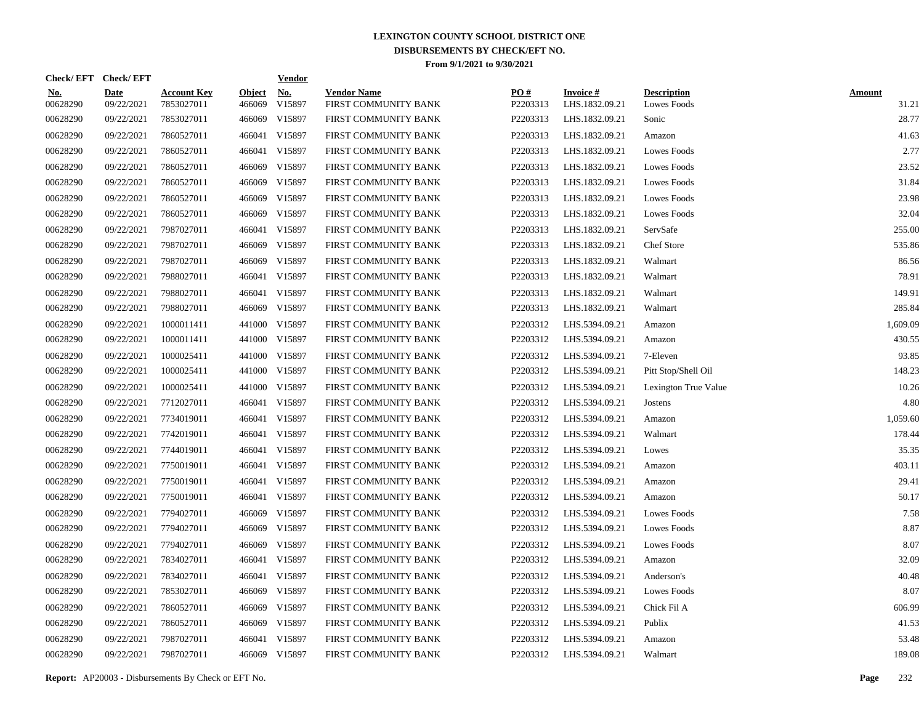| Check/EFT Check/EFT    |                           |                                  |                         | <b>Vendor</b>        |                                            |                 |                                   |                                   |                        |
|------------------------|---------------------------|----------------------------------|-------------------------|----------------------|--------------------------------------------|-----------------|-----------------------------------|-----------------------------------|------------------------|
| <u>No.</u><br>00628290 | <b>Date</b><br>09/22/2021 | <b>Account Key</b><br>7853027011 | <b>Object</b><br>466069 | <u>No.</u><br>V15897 | <b>Vendor Name</b><br>FIRST COMMUNITY BANK | PQ#<br>P2203313 | <b>Invoice#</b><br>LHS.1832.09.21 | <b>Description</b><br>Lowes Foods | <b>Amount</b><br>31.21 |
| 00628290               | 09/22/2021                | 7853027011                       | 466069                  | V15897               | FIRST COMMUNITY BANK                       | P2203313        | LHS.1832.09.21                    | Sonic                             | 28.77                  |
| 00628290               | 09/22/2021                | 7860527011                       | 466041                  | V15897               | FIRST COMMUNITY BANK                       | P2203313        | LHS.1832.09.21                    | Amazon                            | 41.63                  |
| 00628290               | 09/22/2021                | 7860527011                       | 466041                  | V15897               | FIRST COMMUNITY BANK                       | P2203313        | LHS.1832.09.21                    | Lowes Foods                       | 2.77                   |
| 00628290               | 09/22/2021                | 7860527011                       | 466069                  | V15897               | FIRST COMMUNITY BANK                       | P2203313        | LHS.1832.09.21                    | Lowes Foods                       | 23.52                  |
| 00628290               | 09/22/2021                | 7860527011                       | 466069                  | V15897               | FIRST COMMUNITY BANK                       | P2203313        | LHS.1832.09.21                    | Lowes Foods                       | 31.84                  |
| 00628290               | 09/22/2021                | 7860527011                       | 466069                  | V15897               | FIRST COMMUNITY BANK                       | P2203313        | LHS.1832.09.21                    | Lowes Foods                       | 23.98                  |
| 00628290               | 09/22/2021                | 7860527011                       | 466069                  | V15897               | FIRST COMMUNITY BANK                       | P2203313        | LHS.1832.09.21                    | Lowes Foods                       | 32.04                  |
| 00628290               | 09/22/2021                | 7987027011                       | 466041                  | V15897               | FIRST COMMUNITY BANK                       | P2203313        | LHS.1832.09.21                    | ServSafe                          | 255.00                 |
| 00628290               | 09/22/2021                | 7987027011                       | 466069                  | V15897               | FIRST COMMUNITY BANK                       | P2203313        | LHS.1832.09.21                    | Chef Store                        | 535.86                 |
| 00628290               | 09/22/2021                | 7987027011                       | 466069                  | V15897               | FIRST COMMUNITY BANK                       | P2203313        | LHS.1832.09.21                    | Walmart                           | 86.56                  |
| 00628290               | 09/22/2021                | 7988027011                       | 466041                  | V15897               | FIRST COMMUNITY BANK                       | P2203313        | LHS.1832.09.21                    | Walmart                           | 78.91                  |
| 00628290               | 09/22/2021                | 7988027011                       | 466041                  | V15897               | FIRST COMMUNITY BANK                       | P2203313        | LHS.1832.09.21                    | Walmart                           | 149.91                 |
| 00628290               | 09/22/2021                | 7988027011                       | 466069                  | V15897               | FIRST COMMUNITY BANK                       | P2203313        | LHS.1832.09.21                    | Walmart                           | 285.84                 |
| 00628290               | 09/22/2021                | 1000011411                       | 441000                  | V15897               | FIRST COMMUNITY BANK                       | P2203312        | LHS.5394.09.21                    | Amazon                            | 1.609.09               |
| 00628290               | 09/22/2021                | 1000011411                       |                         | 441000 V15897        | FIRST COMMUNITY BANK                       | P2203312        | LHS.5394.09.21                    | Amazon                            | 430.55                 |
| 00628290               | 09/22/2021                | 1000025411                       | 441000                  | V15897               | FIRST COMMUNITY BANK                       | P2203312        | LHS.5394.09.21                    | 7-Eleven                          | 93.85                  |
| 00628290               | 09/22/2021                | 1000025411                       |                         | 441000 V15897        | FIRST COMMUNITY BANK                       | P2203312        | LHS.5394.09.21                    | Pitt Stop/Shell Oil               | 148.23                 |
| 00628290               | 09/22/2021                | 1000025411                       | 441000                  | V15897               | FIRST COMMUNITY BANK                       | P2203312        | LHS.5394.09.21                    | Lexington True Value              | 10.26                  |
| 00628290               | 09/22/2021                | 7712027011                       | 466041                  | V15897               | FIRST COMMUNITY BANK                       | P2203312        | LHS.5394.09.21                    | Jostens                           | 4.80                   |
| 00628290               | 09/22/2021                | 7734019011                       |                         | 466041 V15897        | FIRST COMMUNITY BANK                       | P2203312        | LHS.5394.09.21                    | Amazon                            | 1,059.60               |
| 00628290               | 09/22/2021                | 7742019011                       | 466041                  | V15897               | FIRST COMMUNITY BANK                       | P2203312        | LHS.5394.09.21                    | Walmart                           | 178.44                 |
| 00628290               | 09/22/2021                | 7744019011                       |                         | 466041 V15897        | FIRST COMMUNITY BANK                       | P2203312        | LHS.5394.09.21                    | Lowes                             | 35.35                  |
| 00628290               | 09/22/2021                | 7750019011                       |                         | 466041 V15897        | FIRST COMMUNITY BANK                       | P2203312        | LHS.5394.09.21                    | Amazon                            | 403.11                 |
| 00628290               | 09/22/2021                | 7750019011                       |                         | 466041 V15897        | FIRST COMMUNITY BANK                       | P2203312        | LHS.5394.09.21                    | Amazon                            | 29.41                  |
| 00628290               | 09/22/2021                | 7750019011                       |                         | 466041 V15897        | FIRST COMMUNITY BANK                       | P2203312        | LHS.5394.09.21                    | Amazon                            | 50.17                  |
| 00628290               | 09/22/2021                | 7794027011                       |                         | 466069 V15897        | FIRST COMMUNITY BANK                       | P2203312        | LHS.5394.09.21                    | Lowes Foods                       | 7.58                   |
| 00628290               | 09/22/2021                | 7794027011                       |                         | 466069 V15897        | FIRST COMMUNITY BANK                       | P2203312        | LHS.5394.09.21                    | Lowes Foods                       | 8.87                   |
| 00628290               | 09/22/2021                | 7794027011                       | 466069                  | V15897               | FIRST COMMUNITY BANK                       | P2203312        | LHS.5394.09.21                    | Lowes Foods                       | 8.07                   |
| 00628290               | 09/22/2021                | 7834027011                       |                         | 466041 V15897        | FIRST COMMUNITY BANK                       | P2203312        | LHS.5394.09.21                    | Amazon                            | 32.09                  |
| 00628290               | 09/22/2021                | 7834027011                       |                         | 466041 V15897        | FIRST COMMUNITY BANK                       | P2203312        | LHS.5394.09.21                    | Anderson's                        | 40.48                  |
| 00628290               | 09/22/2021                | 7853027011                       |                         | 466069 V15897        | FIRST COMMUNITY BANK                       | P2203312        | LHS.5394.09.21                    | Lowes Foods                       | 8.07                   |
| 00628290               | 09/22/2021                | 7860527011                       | 466069                  | V15897               | FIRST COMMUNITY BANK                       | P2203312        | LHS.5394.09.21                    | Chick Fil A                       | 606.99                 |
| 00628290               | 09/22/2021                | 7860527011                       |                         | 466069 V15897        | FIRST COMMUNITY BANK                       | P2203312        | LHS.5394.09.21                    | Publix                            | 41.53                  |
| 00628290               | 09/22/2021                | 7987027011                       | 466041                  | V15897               | FIRST COMMUNITY BANK                       | P2203312        | LHS.5394.09.21                    | Amazon                            | 53.48                  |
| 00628290               | 09/22/2021                | 7987027011                       |                         | 466069 V15897        | FIRST COMMUNITY BANK                       | P2203312        | LHS.5394.09.21                    | Walmart                           | 189.08                 |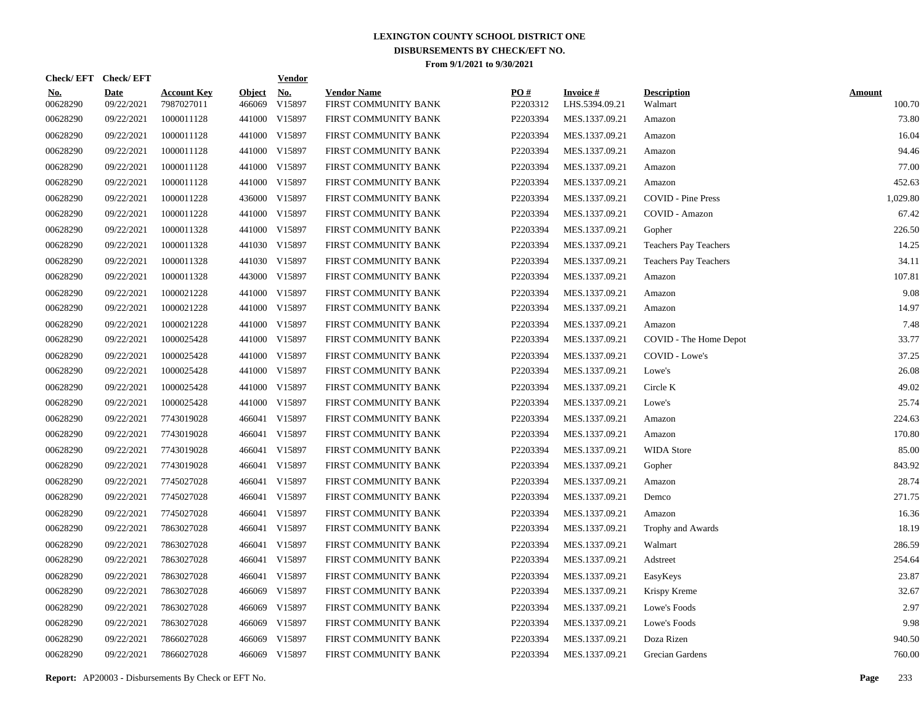|                        | Check/EFT Check/EFT       |                                  |                         | <u>Vendor</u>        |                                            |                 |                                   |                               |                         |
|------------------------|---------------------------|----------------------------------|-------------------------|----------------------|--------------------------------------------|-----------------|-----------------------------------|-------------------------------|-------------------------|
| <u>No.</u><br>00628290 | <b>Date</b><br>09/22/2021 | <b>Account Key</b><br>7987027011 | <b>Object</b><br>466069 | <u>No.</u><br>V15897 | <b>Vendor Name</b><br>FIRST COMMUNITY BANK | PQ#<br>P2203312 | <b>Invoice#</b><br>LHS.5394.09.21 | <b>Description</b><br>Walmart | <b>Amount</b><br>100.70 |
| 00628290               | 09/22/2021                | 1000011128                       | 441000                  | V15897               | FIRST COMMUNITY BANK                       | P2203394        | MES.1337.09.21                    | Amazon                        | 73.80                   |
| 00628290               | 09/22/2021                | 1000011128                       |                         | 441000 V15897        | FIRST COMMUNITY BANK                       | P2203394        | MES.1337.09.21                    | Amazon                        | 16.04                   |
| 00628290               | 09/22/2021                | 1000011128                       |                         | 441000 V15897        | FIRST COMMUNITY BANK                       | P2203394        | MES.1337.09.21                    | Amazon                        | 94.46                   |
| 00628290               | 09/22/2021                | 1000011128                       |                         | 441000 V15897        | FIRST COMMUNITY BANK                       | P2203394        | MES.1337.09.21                    | Amazon                        | 77.00                   |
| 00628290               | 09/22/2021                | 1000011128                       |                         | 441000 V15897        | FIRST COMMUNITY BANK                       | P2203394        | MES.1337.09.21                    | Amazon                        | 452.63                  |
| 00628290               | 09/22/2021                | 1000011228                       |                         | 436000 V15897        | FIRST COMMUNITY BANK                       | P2203394        | MES.1337.09.21                    | <b>COVID - Pine Press</b>     | 1,029.80                |
| 00628290               | 09/22/2021                | 1000011228                       |                         | 441000 V15897        | FIRST COMMUNITY BANK                       | P2203394        | MES.1337.09.21                    | COVID - Amazon                | 67.42                   |
| 00628290               | 09/22/2021                | 1000011328                       |                         | 441000 V15897        | FIRST COMMUNITY BANK                       | P2203394        | MES.1337.09.21                    | Gopher                        | 226.50                  |
| 00628290               | 09/22/2021                | 1000011328                       |                         | 441030 V15897        | FIRST COMMUNITY BANK                       | P2203394        | MES.1337.09.21                    | Teachers Pay Teachers         | 14.25                   |
| 00628290               | 09/22/2021                | 1000011328                       |                         | 441030 V15897        | FIRST COMMUNITY BANK                       | P2203394        | MES.1337.09.21                    | <b>Teachers Pay Teachers</b>  | 34.11                   |
| 00628290               | 09/22/2021                | 1000011328                       |                         | 443000 V15897        | FIRST COMMUNITY BANK                       | P2203394        | MES.1337.09.21                    | Amazon                        | 107.81                  |
| 00628290               | 09/22/2021                | 1000021228                       |                         | 441000 V15897        | FIRST COMMUNITY BANK                       | P2203394        | MES.1337.09.21                    | Amazon                        | 9.08                    |
| 00628290               | 09/22/2021                | 1000021228                       |                         | 441000 V15897        | FIRST COMMUNITY BANK                       | P2203394        | MES.1337.09.21                    | Amazon                        | 14.97                   |
| 00628290               | 09/22/2021                | 1000021228                       |                         | 441000 V15897        | FIRST COMMUNITY BANK                       | P2203394        | MES.1337.09.21                    | Amazon                        | 7.48                    |
| 00628290               | 09/22/2021                | 1000025428                       |                         | 441000 V15897        | FIRST COMMUNITY BANK                       | P2203394        | MES.1337.09.21                    | COVID - The Home Depot        | 33.77                   |
| 00628290               | 09/22/2021                | 1000025428                       | 441000                  | V15897               | FIRST COMMUNITY BANK                       | P2203394        | MES.1337.09.21                    | COVID - Lowe's                | 37.25                   |
| 00628290               | 09/22/2021                | 1000025428                       |                         | 441000 V15897        | FIRST COMMUNITY BANK                       | P2203394        | MES.1337.09.21                    | Lowe's                        | 26.08                   |
| 00628290               | 09/22/2021                | 1000025428                       | 441000                  | V15897               | FIRST COMMUNITY BANK                       | P2203394        | MES.1337.09.21                    | Circle K                      | 49.02                   |
| 00628290               | 09/22/2021                | 1000025428                       |                         | 441000 V15897        | FIRST COMMUNITY BANK                       | P2203394        | MES.1337.09.21                    | Lowe's                        | 25.74                   |
| 00628290               | 09/22/2021                | 7743019028                       |                         | 466041 V15897        | FIRST COMMUNITY BANK                       | P2203394        | MES.1337.09.21                    | Amazon                        | 224.63                  |
| 00628290               | 09/22/2021                | 7743019028                       |                         | 466041 V15897        | FIRST COMMUNITY BANK                       | P2203394        | MES.1337.09.21                    | Amazon                        | 170.80                  |
| 00628290               | 09/22/2021                | 7743019028                       |                         | 466041 V15897        | FIRST COMMUNITY BANK                       | P2203394        | MES.1337.09.21                    | <b>WIDA Store</b>             | 85.00                   |
| 00628290               | 09/22/2021                | 7743019028                       |                         | 466041 V15897        | FIRST COMMUNITY BANK                       | P2203394        | MES.1337.09.21                    | Gopher                        | 843.92                  |
| 00628290               | 09/22/2021                | 7745027028                       |                         | 466041 V15897        | FIRST COMMUNITY BANK                       | P2203394        | MES.1337.09.21                    | Amazon                        | 28.74                   |
| 00628290               | 09/22/2021                | 7745027028                       |                         | 466041 V15897        | FIRST COMMUNITY BANK                       | P2203394        | MES.1337.09.21                    | Demco                         | 271.75                  |
| 00628290               | 09/22/2021                | 7745027028                       |                         | 466041 V15897        | FIRST COMMUNITY BANK                       | P2203394        | MES.1337.09.21                    | Amazon                        | 16.36                   |
| 00628290               | 09/22/2021                | 7863027028                       |                         | 466041 V15897        | FIRST COMMUNITY BANK                       | P2203394        | MES.1337.09.21                    | Trophy and Awards             | 18.19                   |
| 00628290               | 09/22/2021                | 7863027028                       |                         | 466041 V15897        | FIRST COMMUNITY BANK                       | P2203394        | MES.1337.09.21                    | Walmart                       | 286.59                  |
| 00628290               | 09/22/2021                | 7863027028                       |                         | 466041 V15897        | FIRST COMMUNITY BANK                       | P2203394        | MES.1337.09.21                    | Adstreet                      | 254.64                  |
| 00628290               | 09/22/2021                | 7863027028                       |                         | 466041 V15897        | FIRST COMMUNITY BANK                       | P2203394        | MES.1337.09.21                    | EasyKeys                      | 23.87                   |
| 00628290               | 09/22/2021                | 7863027028                       |                         | 466069 V15897        | FIRST COMMUNITY BANK                       | P2203394        | MES.1337.09.21                    | Krispy Kreme                  | 32.67                   |
| 00628290               | 09/22/2021                | 7863027028                       | 466069                  | V15897               | FIRST COMMUNITY BANK                       | P2203394        | MES.1337.09.21                    | Lowe's Foods                  | 2.97                    |
| 00628290               | 09/22/2021                | 7863027028                       | 466069                  | V15897               | FIRST COMMUNITY BANK                       | P2203394        | MES.1337.09.21                    | Lowe's Foods                  | 9.98                    |
| 00628290               | 09/22/2021                | 7866027028                       | 466069                  | V15897               | FIRST COMMUNITY BANK                       | P2203394        | MES.1337.09.21                    | Doza Rizen                    | 940.50                  |
| 00628290               | 09/22/2021                | 7866027028                       |                         | 466069 V15897        | FIRST COMMUNITY BANK                       | P2203394        | MES.1337.09.21                    | Grecian Gardens               | 760.00                  |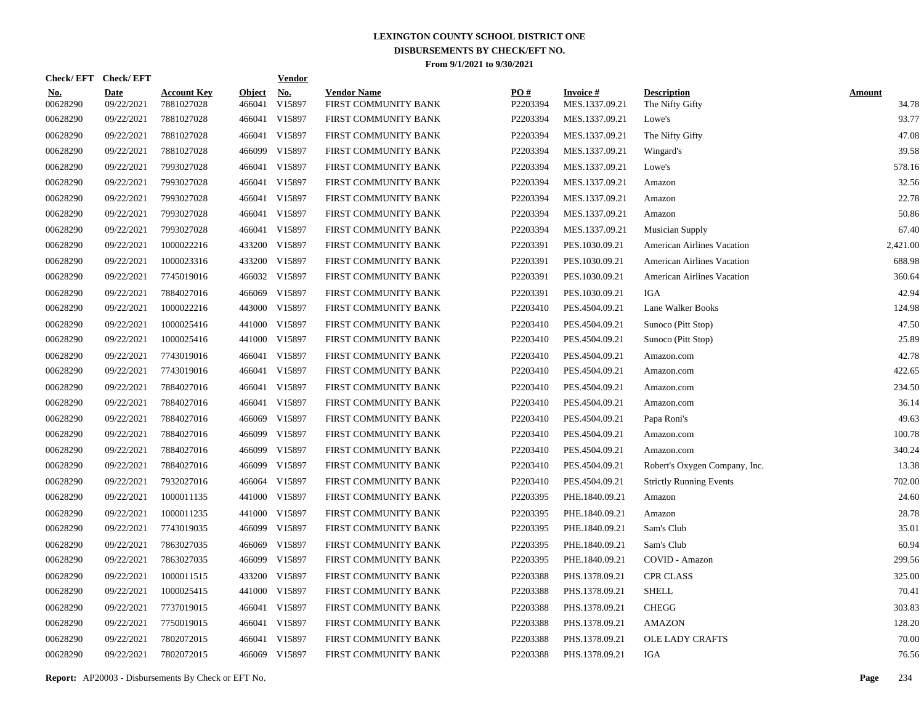| Check/EFT Check/EFT    |                           |                                  |                         | <b>Vendor</b> |                                            |                 |                                   |                                       |                        |
|------------------------|---------------------------|----------------------------------|-------------------------|---------------|--------------------------------------------|-----------------|-----------------------------------|---------------------------------------|------------------------|
| <u>No.</u><br>00628290 | <b>Date</b><br>09/22/2021 | <b>Account Key</b><br>7881027028 | <b>Object</b><br>466041 | No.<br>V15897 | <b>Vendor Name</b><br>FIRST COMMUNITY BANK | PO#<br>P2203394 | <b>Invoice#</b><br>MES.1337.09.21 | <b>Description</b><br>The Nifty Gifty | <b>Amount</b><br>34.78 |
| 00628290               | 09/22/2021                | 7881027028                       | 466041                  | V15897        | FIRST COMMUNITY BANK                       | P2203394        | MES.1337.09.21                    | Lowe's                                | 93.77                  |
| 00628290               | 09/22/2021                | 7881027028                       | 466041                  | V15897        | FIRST COMMUNITY BANK                       | P2203394        | MES.1337.09.21                    | The Nifty Gifty                       | 47.08                  |
| 00628290               | 09/22/2021                | 7881027028                       | 466099                  | V15897        | FIRST COMMUNITY BANK                       | P2203394        | MES.1337.09.21                    | Wingard's                             | 39.58                  |
| 00628290               | 09/22/2021                | 7993027028                       | 466041                  | V15897        | FIRST COMMUNITY BANK                       | P2203394        | MES.1337.09.21                    | Lowe's                                | 578.16                 |
| 00628290               | 09/22/2021                | 7993027028                       | 466041                  | V15897        | FIRST COMMUNITY BANK                       | P2203394        | MES.1337.09.21                    | Amazon                                | 32.56                  |
| 00628290               | 09/22/2021                | 7993027028                       | 466041                  | V15897        | FIRST COMMUNITY BANK                       | P2203394        | MES.1337.09.21                    | Amazon                                | 22.78                  |
| 00628290               | 09/22/2021                | 7993027028                       | 466041                  | V15897        | FIRST COMMUNITY BANK                       | P2203394        | MES.1337.09.21                    | Amazon                                | 50.86                  |
| 00628290               | 09/22/2021                | 7993027028                       | 466041                  | V15897        | FIRST COMMUNITY BANK                       | P2203394        | MES.1337.09.21                    | <b>Musician Supply</b>                | 67.40                  |
| 00628290               | 09/22/2021                | 1000022216                       | 433200                  | V15897        | FIRST COMMUNITY BANK                       | P2203391        | PES.1030.09.21                    | <b>American Airlines Vacation</b>     | 2,421.00               |
| 00628290               | 09/22/2021                | 1000023316                       |                         | 433200 V15897 | FIRST COMMUNITY BANK                       | P2203391        | PES.1030.09.21                    | <b>American Airlines Vacation</b>     | 688.98                 |
| 00628290               | 09/22/2021                | 7745019016                       |                         | 466032 V15897 | FIRST COMMUNITY BANK                       | P2203391        | PES.1030.09.21                    | <b>American Airlines Vacation</b>     | 360.64                 |
| 00628290               | 09/22/2021                | 7884027016                       | 466069                  | V15897        | FIRST COMMUNITY BANK                       | P2203391        | PES.1030.09.21                    | IGA                                   | 42.94                  |
| 00628290               | 09/22/2021                | 1000022216                       | 443000                  | V15897        | FIRST COMMUNITY BANK                       | P2203410        | PES.4504.09.21                    | Lane Walker Books                     | 124.98                 |
| 00628290               | 09/22/2021                | 1000025416                       | 441000                  | V15897        | FIRST COMMUNITY BANK                       | P2203410        | PES.4504.09.21                    | Sunoco (Pitt Stop)                    | 47.50                  |
| 00628290               | 09/22/2021                | 1000025416                       |                         | 441000 V15897 | FIRST COMMUNITY BANK                       | P2203410        | PES.4504.09.21                    | Sunoco (Pitt Stop)                    | 25.89                  |
| 00628290               | 09/22/2021                | 7743019016                       | 466041                  | V15897        | FIRST COMMUNITY BANK                       | P2203410        | PES.4504.09.21                    | Amazon.com                            | 42.78                  |
| 00628290               | 09/22/2021                | 7743019016                       | 466041                  | V15897        | FIRST COMMUNITY BANK                       | P2203410        | PES.4504.09.21                    | Amazon.com                            | 422.65                 |
| 00628290               | 09/22/2021                | 7884027016                       | 466041                  | V15897        | FIRST COMMUNITY BANK                       | P2203410        | PES.4504.09.21                    | Amazon.com                            | 234.50                 |
| 00628290               | 09/22/2021                | 7884027016                       | 466041                  | V15897        | FIRST COMMUNITY BANK                       | P2203410        | PES.4504.09.21                    | Amazon.com                            | 36.14                  |
| 00628290               | 09/22/2021                | 7884027016                       | 466069                  | V15897        | FIRST COMMUNITY BANK                       | P2203410        | PES.4504.09.21                    | Papa Roni's                           | 49.63                  |
| 00628290               | 09/22/2021                | 7884027016                       | 466099                  | V15897        | FIRST COMMUNITY BANK                       | P2203410        | PES.4504.09.21                    | Amazon.com                            | 100.78                 |
| 00628290               | 09/22/2021                | 7884027016                       | 466099                  | V15897        | FIRST COMMUNITY BANK                       | P2203410        | PES.4504.09.21                    | Amazon.com                            | 340.24                 |
| 00628290               | 09/22/2021                | 7884027016                       | 466099                  | V15897        | FIRST COMMUNITY BANK                       | P2203410        | PES.4504.09.21                    | Robert's Oxygen Company, Inc.         | 13.38                  |
| 00628290               | 09/22/2021                | 7932027016                       | 466064                  | V15897        | FIRST COMMUNITY BANK                       | P2203410        | PES.4504.09.21                    | <b>Strictly Running Events</b>        | 702.00                 |
| 00628290               | 09/22/2021                | 1000011135                       |                         | 441000 V15897 | FIRST COMMUNITY BANK                       | P2203395        | PHE.1840.09.21                    | Amazon                                | 24.60                  |
| 00628290               | 09/22/2021                | 1000011235                       | 441000                  | V15897        | FIRST COMMUNITY BANK                       | P2203395        | PHE.1840.09.21                    | Amazon                                | 28.78                  |
| 00628290               | 09/22/2021                | 7743019035                       | 466099                  | V15897        | FIRST COMMUNITY BANK                       | P2203395        | PHE.1840.09.21                    | Sam's Club                            | 35.01                  |
| 00628290               | 09/22/2021                | 7863027035                       | 466069                  | V15897        | FIRST COMMUNITY BANK                       | P2203395        | PHE.1840.09.21                    | Sam's Club                            | 60.94                  |
| 00628290               | 09/22/2021                | 7863027035                       | 466099                  | V15897        | FIRST COMMUNITY BANK                       | P2203395        | PHE.1840.09.21                    | COVID - Amazon                        | 299.56                 |
| 00628290               | 09/22/2021                | 1000011515                       | 433200                  | V15897        | FIRST COMMUNITY BANK                       | P2203388        | PHS.1378.09.21                    | <b>CPR CLASS</b>                      | 325.00                 |
| 00628290               | 09/22/2021                | 1000025415                       | 441000                  | V15897        | FIRST COMMUNITY BANK                       | P2203388        | PHS.1378.09.21                    | <b>SHELL</b>                          | 70.41                  |
| 00628290               | 09/22/2021                | 7737019015                       | 466041                  | V15897        | FIRST COMMUNITY BANK                       | P2203388        | PHS.1378.09.21                    | <b>CHEGG</b>                          | 303.83                 |
| 00628290               | 09/22/2021                | 7750019015                       | 466041                  | V15897        | FIRST COMMUNITY BANK                       | P2203388        | PHS.1378.09.21                    | <b>AMAZON</b>                         | 128.20                 |
| 00628290               | 09/22/2021                | 7802072015                       | 466041                  | V15897        | FIRST COMMUNITY BANK                       | P2203388        | PHS.1378.09.21                    | <b>OLE LADY CRAFTS</b>                | 70.00                  |
| 00628290               | 09/22/2021                | 7802072015                       |                         | 466069 V15897 | FIRST COMMUNITY BANK                       | P2203388        | PHS.1378.09.21                    | IGA                                   | 76.56                  |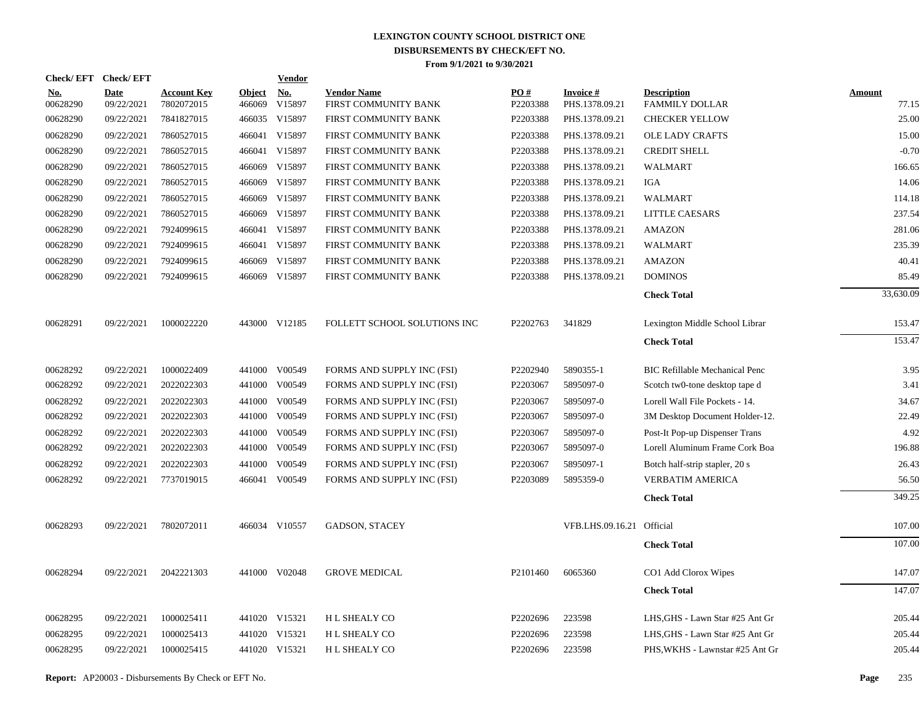| Check/EFT Check/EFT    |                    |                                  |                         | <b>Vendor</b>                         |                                            |                      |                                   |                                             |                        |
|------------------------|--------------------|----------------------------------|-------------------------|---------------------------------------|--------------------------------------------|----------------------|-----------------------------------|---------------------------------------------|------------------------|
| <u>No.</u><br>00628290 | Date<br>09/22/2021 | <b>Account Key</b><br>7802072015 | <b>Object</b><br>466069 | $\underline{\mathrm{No}}$ .<br>V15897 | <b>Vendor Name</b><br>FIRST COMMUNITY BANK | PO#<br>P2203388      | <b>Invoice#</b><br>PHS.1378.09.21 | <b>Description</b><br><b>FAMMILY DOLLAR</b> | <b>Amount</b><br>77.15 |
| 00628290               | 09/22/2021         | 7841827015                       |                         | 466035 V15897                         | FIRST COMMUNITY BANK                       | P2203388             | PHS.1378.09.21                    | <b>CHECKER YELLOW</b>                       | 25.00                  |
| 00628290               | 09/22/2021         | 7860527015                       |                         | 466041 V15897                         | FIRST COMMUNITY BANK                       | P2203388             | PHS.1378.09.21                    | <b>OLE LADY CRAFTS</b>                      | 15.00                  |
| 00628290               | 09/22/2021         | 7860527015                       |                         | 466041 V15897                         | FIRST COMMUNITY BANK                       | P2203388             | PHS.1378.09.21                    | <b>CREDIT SHELL</b>                         | $-0.70$                |
| 00628290               | 09/22/2021         | 7860527015                       |                         | 466069 V15897                         | FIRST COMMUNITY BANK                       | P2203388             | PHS.1378.09.21                    | <b>WALMART</b>                              | 166.65                 |
| 00628290               | 09/22/2021         | 7860527015                       |                         | 466069 V15897                         | FIRST COMMUNITY BANK                       | P2203388             | PHS.1378.09.21                    | IGA                                         | 14.06                  |
| 00628290               | 09/22/2021         | 7860527015                       |                         | 466069 V15897                         | FIRST COMMUNITY BANK                       | P2203388             | PHS.1378.09.21                    | <b>WALMART</b>                              | 114.18                 |
| 00628290               | 09/22/2021         | 7860527015                       |                         | 466069 V15897                         | FIRST COMMUNITY BANK                       | P2203388             | PHS.1378.09.21                    | LITTLE CAESARS                              | 237.54                 |
| 00628290               | 09/22/2021         | 7924099615                       |                         | 466041 V15897                         | FIRST COMMUNITY BANK                       | P2203388             | PHS.1378.09.21                    | <b>AMAZON</b>                               | 281.06                 |
| 00628290               | 09/22/2021         | 7924099615                       |                         | 466041 V15897                         | FIRST COMMUNITY BANK                       | P2203388             | PHS.1378.09.21                    | <b>WALMART</b>                              | 235.39                 |
| 00628290               | 09/22/2021         | 7924099615                       |                         | 466069 V15897                         | FIRST COMMUNITY BANK                       | P2203388             | PHS.1378.09.21                    | <b>AMAZON</b>                               | 40.41                  |
| 00628290               | 09/22/2021         | 7924099615                       |                         | 466069 V15897                         | FIRST COMMUNITY BANK                       | P2203388             | PHS.1378.09.21                    | <b>DOMINOS</b>                              | 85.49                  |
|                        |                    |                                  |                         |                                       |                                            |                      |                                   | <b>Check Total</b>                          | 33,630.09              |
| 00628291               | 09/22/2021         | 1000022220                       |                         | 443000 V12185                         | FOLLETT SCHOOL SOLUTIONS INC               | P2202763             | 341829                            | Lexington Middle School Librar              | 153.47                 |
|                        |                    |                                  |                         |                                       |                                            |                      |                                   | <b>Check Total</b>                          | 153.47                 |
| 00628292               | 09/22/2021         | 1000022409                       |                         | 441000 V00549                         | FORMS AND SUPPLY INC (FSI)                 | P2202940             | 5890355-1                         | <b>BIC Refillable Mechanical Penc</b>       | 3.95                   |
| 00628292               | 09/22/2021         | 2022022303                       |                         | 441000 V00549                         | FORMS AND SUPPLY INC (FSI)                 | P2203067             | 5895097-0                         | Scotch tw0-tone desktop tape d              | 3.41                   |
| 00628292               | 09/22/2021         | 2022022303                       |                         | 441000 V00549                         | FORMS AND SUPPLY INC (FSI)                 | P2203067             | 5895097-0                         | Lorell Wall File Pockets - 14.              | 34.67                  |
| 00628292               | 09/22/2021         | 2022022303                       | 441000                  | V00549                                | FORMS AND SUPPLY INC (FSI)                 | P2203067             | 5895097-0                         | 3M Desktop Document Holder-12.              | 22.49                  |
| 00628292               | 09/22/2021         | 2022022303                       | 441000                  | V00549                                | FORMS AND SUPPLY INC (FSI)                 | P2203067             | 5895097-0                         | Post-It Pop-up Dispenser Trans              | 4.92                   |
| 00628292               | 09/22/2021         | 2022022303                       |                         | 441000 V00549                         | FORMS AND SUPPLY INC (FSI)                 | P2203067             | 5895097-0                         | Lorell Aluminum Frame Cork Boa              | 196.88                 |
| 00628292               | 09/22/2021         | 2022022303                       | 441000                  | V00549                                | FORMS AND SUPPLY INC (FSI)                 | P2203067             | 5895097-1                         | Botch half-strip stapler, 20 s              | 26.43                  |
| 00628292               | 09/22/2021         | 7737019015                       |                         | 466041 V00549                         | FORMS AND SUPPLY INC (FSI)                 | P2203089             | 5895359-0                         | <b>VERBATIM AMERICA</b>                     | 56.50                  |
|                        |                    |                                  |                         |                                       |                                            |                      |                                   | <b>Check Total</b>                          | 349.25                 |
| 00628293               | 09/22/2021         | 7802072011                       |                         | 466034 V10557                         | <b>GADSON, STACEY</b>                      |                      | VFB.LHS.09.16.21 Official         |                                             | 107.00                 |
|                        |                    |                                  |                         |                                       |                                            |                      |                                   | <b>Check Total</b>                          | 107.00                 |
| 00628294               | 09/22/2021         | 2042221303                       |                         | 441000 V02048                         | <b>GROVE MEDICAL</b>                       | P <sub>2101460</sub> | 6065360                           | CO1 Add Clorox Wipes                        | 147.07                 |
|                        |                    |                                  |                         |                                       |                                            |                      |                                   | <b>Check Total</b>                          | 147.07                 |
| 00628295               | 09/22/2021         | 1000025411                       |                         | 441020 V15321                         | <b>HL SHEALY CO</b>                        | P2202696             | 223598                            | LHS, GHS - Lawn Star #25 Ant Gr             | 205.44                 |
| 00628295               | 09/22/2021         | 1000025413                       |                         | 441020 V15321                         | H L SHEALY CO                              | P2202696             | 223598                            | LHS, GHS - Lawn Star #25 Ant Gr             | 205.44                 |
| 00628295               | 09/22/2021         | 1000025415                       |                         | 441020 V15321                         | H L SHEALY CO                              | P2202696             | 223598                            | PHS, WKHS - Lawnstar #25 Ant Gr             | 205.44                 |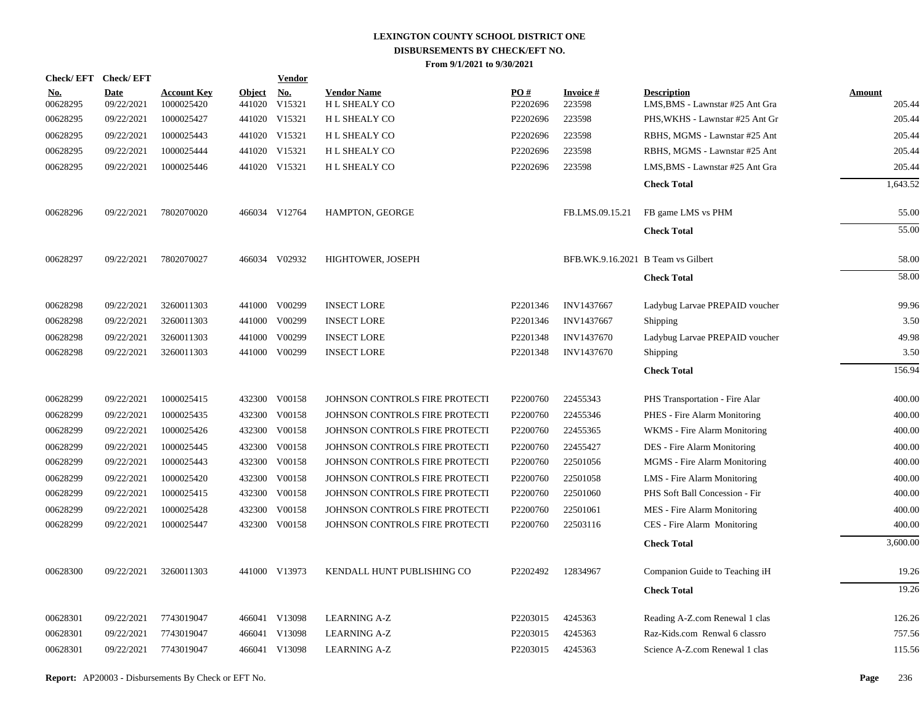| Check/EFT Check/EFT    |                    |                                  |                         | <b>Vendor</b>        |                                           |                 |                                    |                                                       |                  |
|------------------------|--------------------|----------------------------------|-------------------------|----------------------|-------------------------------------------|-----------------|------------------------------------|-------------------------------------------------------|------------------|
| <u>No.</u><br>00628295 | Date<br>09/22/2021 | <b>Account Key</b><br>1000025420 | <b>Object</b><br>441020 | <u>No.</u><br>V15321 | <b>Vendor Name</b><br><b>HL SHEALY CO</b> | PO#<br>P2202696 | <b>Invoice#</b><br>223598          | <b>Description</b><br>LMS, BMS - Lawnstar #25 Ant Gra | Amount<br>205.44 |
| 00628295               | 09/22/2021         | 1000025427                       |                         | 441020 V15321        | H L SHEALY CO                             | P2202696        | 223598                             | PHS, WKHS - Lawnstar #25 Ant Gr                       | 205.44           |
| 00628295               | 09/22/2021         | 1000025443                       |                         | 441020 V15321        | H L SHEALY CO                             | P2202696        | 223598                             | RBHS, MGMS - Lawnstar #25 Ant                         | 205.44           |
| 00628295               | 09/22/2021         | 1000025444                       |                         | 441020 V15321        | H L SHEALY CO                             | P2202696        | 223598                             | RBHS, MGMS - Lawnstar #25 Ant                         | 205.44           |
| 00628295               | 09/22/2021         | 1000025446                       |                         | 441020 V15321        | <b>HL SHEALY CO</b>                       | P2202696        | 223598                             | LMS, BMS - Lawnstar #25 Ant Gra                       | 205.44           |
|                        |                    |                                  |                         |                      |                                           |                 |                                    | <b>Check Total</b>                                    | 1,643.52         |
| 00628296               | 09/22/2021         | 7802070020                       |                         | 466034 V12764        | HAMPTON, GEORGE                           |                 | FB.LMS.09.15.21                    | FB game LMS vs PHM                                    | 55.00            |
|                        |                    |                                  |                         |                      |                                           |                 |                                    | <b>Check Total</b>                                    | 55.00            |
| 00628297               | 09/22/2021         | 7802070027                       |                         | 466034 V02932        | HIGHTOWER, JOSEPH                         |                 | BFB.WK.9.16.2021 B Team vs Gilbert |                                                       | 58.00            |
|                        |                    |                                  |                         |                      |                                           |                 |                                    | <b>Check Total</b>                                    | 58.00            |
| 00628298               | 09/22/2021         | 3260011303                       |                         | 441000 V00299        | <b>INSECT LORE</b>                        | P2201346        | INV1437667                         | Ladybug Larvae PREPAID voucher                        | 99.96            |
| 00628298               | 09/22/2021         | 3260011303                       | 441000                  | V00299               | <b>INSECT LORE</b>                        | P2201346        | INV1437667                         | Shipping                                              | 3.50             |
| 00628298               | 09/22/2021         | 3260011303                       | 441000                  | V00299               | <b>INSECT LORE</b>                        | P2201348        | <b>INV1437670</b>                  | Ladybug Larvae PREPAID voucher                        | 49.98            |
| 00628298               | 09/22/2021         | 3260011303                       | 441000                  | V00299               | <b>INSECT LORE</b>                        | P2201348        | <b>INV1437670</b>                  | Shipping                                              | 3.50             |
|                        |                    |                                  |                         |                      |                                           |                 |                                    | <b>Check Total</b>                                    | 156.94           |
| 00628299               | 09/22/2021         | 1000025415                       |                         | 432300 V00158        | JOHNSON CONTROLS FIRE PROTECTI            | P2200760        | 22455343                           | PHS Transportation - Fire Alar                        | 400.00           |
| 00628299               | 09/22/2021         | 1000025435                       | 432300                  | V00158               | JOHNSON CONTROLS FIRE PROTECTI            | P2200760        | 22455346                           | PHES - Fire Alarm Monitoring                          | 400.00           |
| 00628299               | 09/22/2021         | 1000025426                       |                         | 432300 V00158        | JOHNSON CONTROLS FIRE PROTECTI            | P2200760        | 22455365                           | WKMS - Fire Alarm Monitoring                          | 400.00           |
| 00628299               | 09/22/2021         | 1000025445                       | 432300                  | V00158               | JOHNSON CONTROLS FIRE PROTECTI            | P2200760        | 22455427                           | DES - Fire Alarm Monitoring                           | 400.00           |
| 00628299               | 09/22/2021         | 1000025443                       |                         | 432300 V00158        | JOHNSON CONTROLS FIRE PROTECTI            | P2200760        | 22501056                           | MGMS - Fire Alarm Monitoring                          | 400.00           |
| 00628299               | 09/22/2021         | 1000025420                       | 432300                  | V00158               | JOHNSON CONTROLS FIRE PROTECTI            | P2200760        | 22501058                           | LMS - Fire Alarm Monitoring                           | 400.00           |
| 00628299               | 09/22/2021         | 1000025415                       |                         | 432300 V00158        | JOHNSON CONTROLS FIRE PROTECTI            | P2200760        | 22501060                           | PHS Soft Ball Concession - Fir                        | 400.00           |
| 00628299               | 09/22/2021         | 1000025428                       | 432300                  | V00158               | JOHNSON CONTROLS FIRE PROTECTI            | P2200760        | 22501061                           | MES - Fire Alarm Monitoring                           | 400.00           |
| 00628299               | 09/22/2021         | 1000025447                       |                         | 432300 V00158        | JOHNSON CONTROLS FIRE PROTECTI            | P2200760        | 22503116                           | CES - Fire Alarm Monitoring                           | 400.00           |
|                        |                    |                                  |                         |                      |                                           |                 |                                    | <b>Check Total</b>                                    | 3,600.00         |
| 00628300               | 09/22/2021         | 3260011303                       |                         | 441000 V13973        | KENDALL HUNT PUBLISHING CO                | P2202492        | 12834967                           | Companion Guide to Teaching iH                        | 19.26            |
|                        |                    |                                  |                         |                      |                                           |                 |                                    | <b>Check Total</b>                                    | 19.26            |
| 00628301               | 09/22/2021         | 7743019047                       |                         | 466041 V13098        | <b>LEARNING A-Z</b>                       | P2203015        | 4245363                            | Reading A-Z.com Renewal 1 clas                        | 126.26           |
| 00628301               | 09/22/2021         | 7743019047                       |                         | 466041 V13098        | <b>LEARNING A-Z</b>                       | P2203015        | 4245363                            | Raz-Kids.com Renwal 6 classro                         | 757.56           |
| 00628301               | 09/22/2021         | 7743019047                       |                         | 466041 V13098        | <b>LEARNING A-Z</b>                       | P2203015        | 4245363                            | Science A-Z.com Renewal 1 clas                        | 115.56           |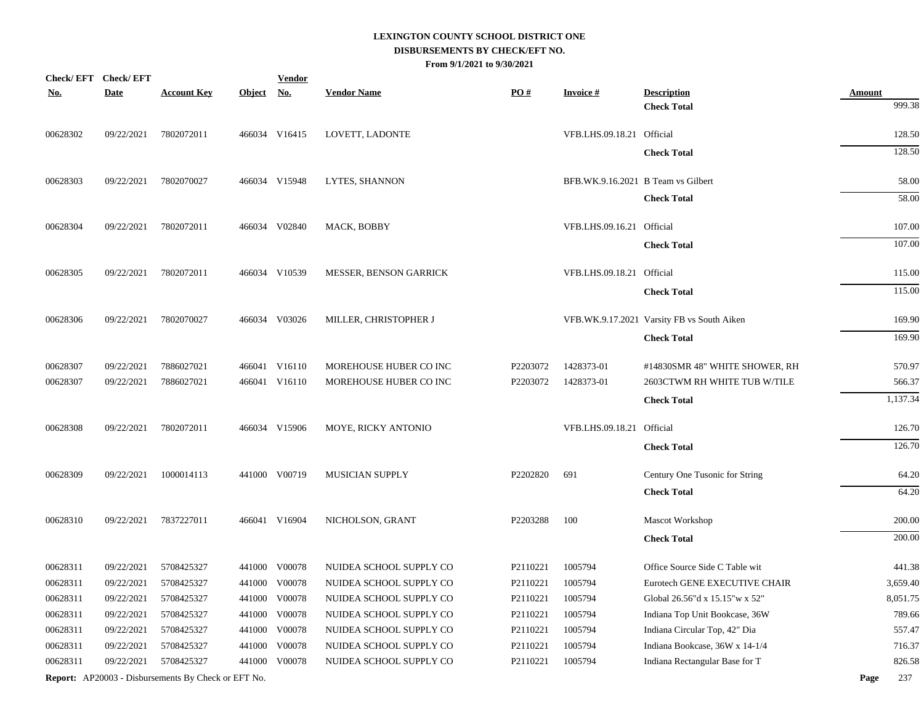| Check/EFT Check/EFT |             |                                                            |            | <b>Vendor</b> |                               |          |                                    |                                            |               |
|---------------------|-------------|------------------------------------------------------------|------------|---------------|-------------------------------|----------|------------------------------------|--------------------------------------------|---------------|
| <b>No.</b>          | <b>Date</b> | <b>Account Key</b>                                         | Object No. |               | <b>Vendor Name</b>            | PO#      | <b>Invoice#</b>                    | <b>Description</b>                         | <b>Amount</b> |
|                     |             |                                                            |            |               |                               |          |                                    | <b>Check Total</b>                         | 999.38        |
| 00628302            | 09/22/2021  | 7802072011                                                 |            | 466034 V16415 | LOVETT, LADONTE               |          | VFB.LHS.09.18.21 Official          |                                            | 128.50        |
|                     |             |                                                            |            |               |                               |          |                                    | <b>Check Total</b>                         | 128.50        |
| 00628303            | 09/22/2021  | 7802070027                                                 |            | 466034 V15948 | LYTES, SHANNON                |          | BFB.WK.9.16.2021 B Team vs Gilbert |                                            | 58.00         |
|                     |             |                                                            |            |               |                               |          |                                    | <b>Check Total</b>                         | 58.00         |
| 00628304            | 09/22/2021  | 7802072011                                                 |            | 466034 V02840 | MACK, BOBBY                   |          | VFB.LHS.09.16.21 Official          |                                            | 107.00        |
|                     |             |                                                            |            |               |                               |          |                                    | <b>Check Total</b>                         | 107.00        |
| 00628305            | 09/22/2021  | 7802072011                                                 |            | 466034 V10539 | <b>MESSER, BENSON GARRICK</b> |          | VFB.LHS.09.18.21 Official          |                                            | 115.00        |
|                     |             |                                                            |            |               |                               |          |                                    | <b>Check Total</b>                         | 115.00        |
| 00628306            | 09/22/2021  | 7802070027                                                 |            | 466034 V03026 | MILLER, CHRISTOPHER J         |          |                                    | VFB.WK.9.17.2021 Varsity FB vs South Aiken | 169.90        |
|                     |             |                                                            |            |               |                               |          |                                    | <b>Check Total</b>                         | 169.90        |
| 00628307            | 09/22/2021  | 7886027021                                                 |            | 466041 V16110 | MOREHOUSE HUBER CO INC        | P2203072 | 1428373-01                         | #14830SMR 48" WHITE SHOWER, RH             | 570.97        |
| 00628307            | 09/22/2021  | 7886027021                                                 |            | 466041 V16110 | MOREHOUSE HUBER CO INC        | P2203072 | 1428373-01                         | 2603CTWM RH WHITE TUB W/TILE               | 566.37        |
|                     |             |                                                            |            |               |                               |          |                                    | <b>Check Total</b>                         | 1,137.34      |
| 00628308            | 09/22/2021  | 7802072011                                                 |            | 466034 V15906 | MOYE, RICKY ANTONIO           |          | VFB.LHS.09.18.21 Official          |                                            | 126.70        |
|                     |             |                                                            |            |               |                               |          |                                    | <b>Check Total</b>                         | 126.70        |
| 00628309            | 09/22/2021  | 1000014113                                                 |            | 441000 V00719 | <b>MUSICIAN SUPPLY</b>        | P2202820 | 691                                | Century One Tusonic for String             | 64.20         |
|                     |             |                                                            |            |               |                               |          |                                    | <b>Check Total</b>                         | 64.20         |
| 00628310            | 09/22/2021  | 7837227011                                                 |            | 466041 V16904 | NICHOLSON, GRANT              | P2203288 | 100                                | Mascot Workshop                            | 200.00        |
|                     |             |                                                            |            |               |                               |          |                                    | <b>Check Total</b>                         | 200.00        |
| 00628311            | 09/22/2021  | 5708425327                                                 |            | 441000 V00078 | NUIDEA SCHOOL SUPPLY CO       | P2110221 | 1005794                            | Office Source Side C Table wit             | 441.38        |
| 00628311            | 09/22/2021  | 5708425327                                                 |            | 441000 V00078 | NUIDEA SCHOOL SUPPLY CO       | P2110221 | 1005794                            | Eurotech GENE EXECUTIVE CHAIR              | 3,659.40      |
| 00628311            | 09/22/2021  | 5708425327                                                 |            | 441000 V00078 | NUIDEA SCHOOL SUPPLY CO       | P2110221 | 1005794                            | Global 26.56"d x 15.15"w x 52"             | 8,051.75      |
| 00628311            | 09/22/2021  | 5708425327                                                 |            | 441000 V00078 | NUIDEA SCHOOL SUPPLY CO       | P2110221 | 1005794                            | Indiana Top Unit Bookcase, 36W             | 789.66        |
| 00628311            | 09/22/2021  | 5708425327                                                 |            | 441000 V00078 | NUIDEA SCHOOL SUPPLY CO       | P2110221 | 1005794                            | Indiana Circular Top, 42" Dia              | 557.47        |
| 00628311            | 09/22/2021  | 5708425327                                                 |            | 441000 V00078 | NUIDEA SCHOOL SUPPLY CO       | P2110221 | 1005794                            | Indiana Bookcase, 36W x 14-1/4             | 716.37        |
| 00628311            | 09/22/2021  | 5708425327                                                 |            | 441000 V00078 | NUIDEA SCHOOL SUPPLY CO       | P2110221 | 1005794                            | Indiana Rectangular Base for T             | 826.58        |
|                     |             | <b>Report:</b> AP20003 - Disbursements By Check or EFT No. |            |               |                               |          |                                    |                                            | 237<br>Page   |
|                     |             |                                                            |            |               |                               |          |                                    |                                            |               |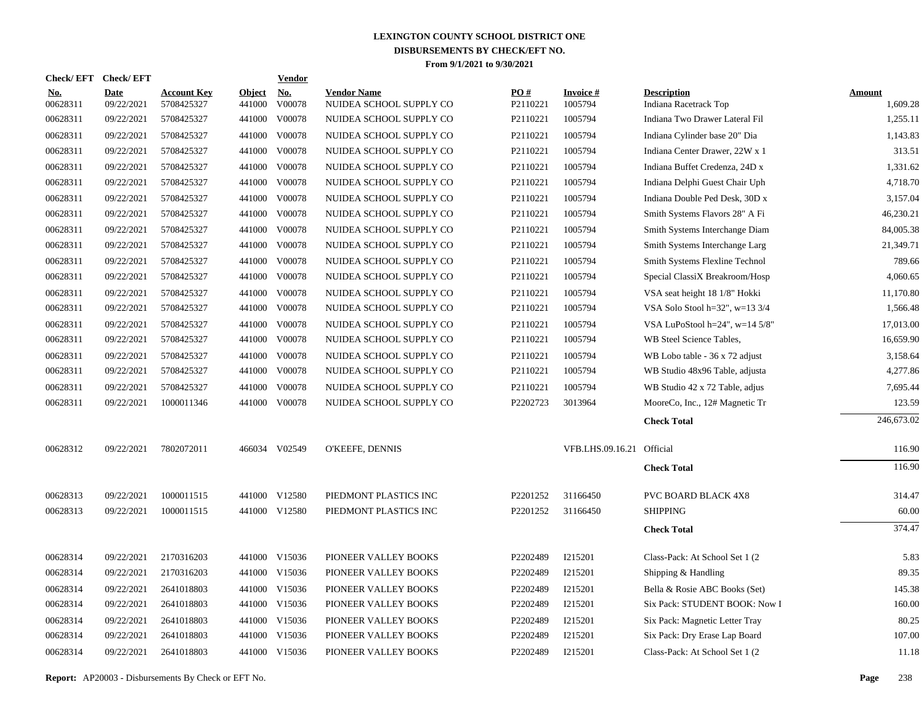| <b>Check/EFT</b>       | <b>Check/EFT</b>          |                                  |                         | <b>Vendor</b>        |                                               |                 |                            |                                             |                           |
|------------------------|---------------------------|----------------------------------|-------------------------|----------------------|-----------------------------------------------|-----------------|----------------------------|---------------------------------------------|---------------------------|
| <u>No.</u><br>00628311 | <b>Date</b><br>09/22/2021 | <b>Account Key</b><br>5708425327 | <b>Object</b><br>441000 | <u>No.</u><br>V00078 | <b>Vendor Name</b><br>NUIDEA SCHOOL SUPPLY CO | PO#<br>P2110221 | <b>Invoice#</b><br>1005794 | <b>Description</b><br>Indiana Racetrack Top | <b>Amount</b><br>1,609.28 |
| 00628311               | 09/22/2021                | 5708425327                       | 441000                  | V00078               | NUIDEA SCHOOL SUPPLY CO                       | P2110221        | 1005794                    | Indiana Two Drawer Lateral Fil              | 1,255.11                  |
| 00628311               | 09/22/2021                | 5708425327                       | 441000                  | V00078               | NUIDEA SCHOOL SUPPLY CO                       | P2110221        | 1005794                    | Indiana Cylinder base 20" Dia               | 1,143.83                  |
| 00628311               | 09/22/2021                | 5708425327                       | 441000                  | V00078               | NUIDEA SCHOOL SUPPLY CO                       | P2110221        | 1005794                    | Indiana Center Drawer, 22W x 1              | 313.51                    |
| 00628311               | 09/22/2021                | 5708425327                       | 441000                  | V00078               | NUIDEA SCHOOL SUPPLY CO                       | P2110221        | 1005794                    | Indiana Buffet Credenza, 24D x              | 1,331.62                  |
| 00628311               | 09/22/2021                | 5708425327                       | 441000                  | V00078               | NUIDEA SCHOOL SUPPLY CO                       | P2110221        | 1005794                    | Indiana Delphi Guest Chair Uph              | 4,718.70                  |
| 00628311               | 09/22/2021                | 5708425327                       | 441000                  | V00078               | NUIDEA SCHOOL SUPPLY CO                       | P2110221        | 1005794                    | Indiana Double Ped Desk, 30D x              | 3,157.04                  |
| 00628311               | 09/22/2021                | 5708425327                       | 441000                  | V00078               | NUIDEA SCHOOL SUPPLY CO                       | P2110221        | 1005794                    | Smith Systems Flavors 28" A Fi              | 46,230.21                 |
| 00628311               | 09/22/2021                | 5708425327                       | 441000                  | V00078               | NUIDEA SCHOOL SUPPLY CO                       | P2110221        | 1005794                    | Smith Systems Interchange Diam              | 84,005.38                 |
| 00628311               | 09/22/2021                | 5708425327                       | 441000                  | V00078               | NUIDEA SCHOOL SUPPLY CO                       | P2110221        | 1005794                    | Smith Systems Interchange Larg              | 21,349.71                 |
| 00628311               | 09/22/2021                | 5708425327                       | 441000                  | V00078               | NUIDEA SCHOOL SUPPLY CO                       | P2110221        | 1005794                    | Smith Systems Flexline Technol              | 789.66                    |
| 00628311               | 09/22/2021                | 5708425327                       | 441000                  | V00078               | NUIDEA SCHOOL SUPPLY CO                       | P2110221        | 1005794                    | Special ClassiX Breakroom/Hosp              | 4,060.65                  |
| 00628311               | 09/22/2021                | 5708425327                       | 441000                  | V00078               | NUIDEA SCHOOL SUPPLY CO                       | P2110221        | 1005794                    | VSA seat height 18 1/8" Hokki               | 11,170.80                 |
| 00628311               | 09/22/2021                | 5708425327                       | 441000                  | V00078               | NUIDEA SCHOOL SUPPLY CO                       | P2110221        | 1005794                    | VSA Solo Stool h=32", w=13 3/4              | 1,566.48                  |
| 00628311               | 09/22/2021                | 5708425327                       | 441000                  | V00078               | NUIDEA SCHOOL SUPPLY CO                       | P2110221        | 1005794                    | VSA LuPoStool h=24", w=14 5/8"              | 17,013.00                 |
| 00628311               | 09/22/2021                | 5708425327                       | 441000                  | V00078               | NUIDEA SCHOOL SUPPLY CO                       | P2110221        | 1005794                    | WB Steel Science Tables,                    | 16,659.90                 |
| 00628311               | 09/22/2021                | 5708425327                       | 441000                  | V00078               | NUIDEA SCHOOL SUPPLY CO                       | P2110221        | 1005794                    | WB Lobo table - 36 x 72 adjust              | 3,158.64                  |
| 00628311               | 09/22/2021                | 5708425327                       |                         | 441000 V00078        | NUIDEA SCHOOL SUPPLY CO                       | P2110221        | 1005794                    | WB Studio 48x96 Table, adjusta              | 4,277.86                  |
| 00628311               | 09/22/2021                | 5708425327                       | 441000                  | V00078               | NUIDEA SCHOOL SUPPLY CO                       | P2110221        | 1005794                    | WB Studio 42 x 72 Table, adjus              | 7,695.44                  |
| 00628311               | 09/22/2021                | 1000011346                       |                         | 441000 V00078        | NUIDEA SCHOOL SUPPLY CO                       | P2202723        | 3013964                    | MooreCo, Inc., 12# Magnetic Tr              | 123.59                    |
|                        |                           |                                  |                         |                      |                                               |                 |                            | <b>Check Total</b>                          | 246,673.02                |
| 00628312               | 09/22/2021                | 7802072011                       |                         | 466034 V02549        | O'KEEFE, DENNIS                               |                 | VFB.LHS.09.16.21 Official  |                                             | 116.90                    |
|                        |                           |                                  |                         |                      |                                               |                 |                            | <b>Check Total</b>                          | 116.90                    |
| 00628313               | 09/22/2021                | 1000011515                       |                         | 441000 V12580        | PIEDMONT PLASTICS INC                         | P2201252        | 31166450                   | <b>PVC BOARD BLACK 4X8</b>                  | 314.47                    |
| 00628313               | 09/22/2021                | 1000011515                       |                         | 441000 V12580        | PIEDMONT PLASTICS INC                         | P2201252        | 31166450                   | <b>SHIPPING</b>                             | 60.00                     |
|                        |                           |                                  |                         |                      |                                               |                 |                            | <b>Check Total</b>                          | 374.47                    |
| 00628314               | 09/22/2021                | 2170316203                       |                         | 441000 V15036        | PIONEER VALLEY BOOKS                          | P2202489        | I215201                    | Class-Pack: At School Set 1 (2)             | 5.83                      |
| 00628314               | 09/22/2021                | 2170316203                       |                         | 441000 V15036        | PIONEER VALLEY BOOKS                          | P2202489        | I215201                    | Shipping $&$ Handling                       | 89.35                     |
| 00628314               | 09/22/2021                | 2641018803                       |                         | 441000 V15036        | PIONEER VALLEY BOOKS                          | P2202489        | I215201                    | Bella & Rosie ABC Books (Set)               | 145.38                    |
| 00628314               | 09/22/2021                | 2641018803                       |                         | 441000 V15036        | PIONEER VALLEY BOOKS                          | P2202489        | I215201                    | Six Pack: STUDENT BOOK: Now I               | 160.00                    |
| 00628314               | 09/22/2021                | 2641018803                       |                         | 441000 V15036        | PIONEER VALLEY BOOKS                          | P2202489        | I215201                    | Six Pack: Magnetic Letter Tray              | 80.25                     |
| 00628314               | 09/22/2021                | 2641018803                       |                         | 441000 V15036        | PIONEER VALLEY BOOKS                          | P2202489        | I215201                    | Six Pack: Dry Erase Lap Board               | 107.00                    |
| 00628314               | 09/22/2021                | 2641018803                       |                         | 441000 V15036        | PIONEER VALLEY BOOKS                          | P2202489        | I215201                    | Class-Pack: At School Set 1 (2)             | 11.18                     |
|                        |                           |                                  |                         |                      |                                               |                 |                            |                                             |                           |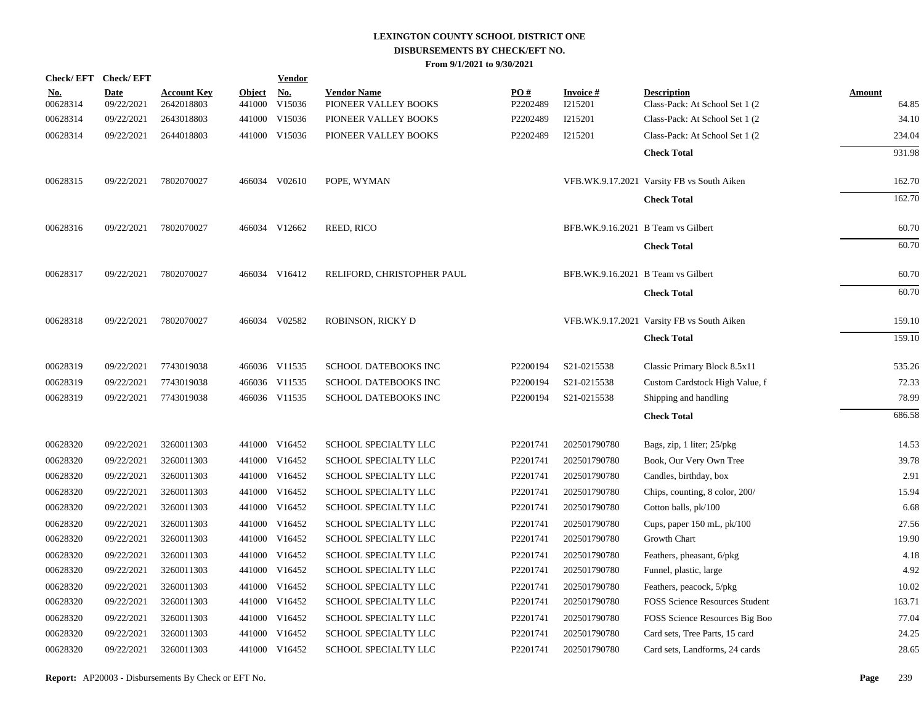| <b>Check/EFT</b>       | <b>Check/EFT</b>          |                                  |                         | <b>Vendor</b>        |                                            |                 |                                    |                                                       |                        |
|------------------------|---------------------------|----------------------------------|-------------------------|----------------------|--------------------------------------------|-----------------|------------------------------------|-------------------------------------------------------|------------------------|
| <u>No.</u><br>00628314 | <b>Date</b><br>09/22/2021 | <b>Account Key</b><br>2642018803 | <b>Object</b><br>441000 | <u>No.</u><br>V15036 | <b>Vendor Name</b><br>PIONEER VALLEY BOOKS | PO#<br>P2202489 | <b>Invoice#</b><br>I215201         | <b>Description</b><br>Class-Pack: At School Set 1 (2) | <b>Amount</b><br>64.85 |
| 00628314               | 09/22/2021                | 2643018803                       |                         | 441000 V15036        | PIONEER VALLEY BOOKS                       | P2202489        | I215201                            | Class-Pack: At School Set 1 (2)                       | 34.10                  |
| 00628314               | 09/22/2021                | 2644018803                       |                         | 441000 V15036        | PIONEER VALLEY BOOKS                       | P2202489        | I215201                            | Class-Pack: At School Set 1 (2)                       | 234.04                 |
|                        |                           |                                  |                         |                      |                                            |                 |                                    | <b>Check Total</b>                                    | 931.98                 |
| 00628315               | 09/22/2021                | 7802070027                       |                         | 466034 V02610        | POPE, WYMAN                                |                 |                                    | VFB.WK.9.17.2021 Varsity FB vs South Aiken            | 162.70                 |
|                        |                           |                                  |                         |                      |                                            |                 |                                    | <b>Check Total</b>                                    | 162.70                 |
| 00628316               | 09/22/2021                | 7802070027                       |                         | 466034 V12662        | REED, RICO                                 |                 | BFB.WK.9.16.2021 B Team vs Gilbert |                                                       | 60.70                  |
|                        |                           |                                  |                         |                      |                                            |                 |                                    | <b>Check Total</b>                                    | 60.70                  |
| 00628317               | 09/22/2021                | 7802070027                       |                         | 466034 V16412        | RELIFORD, CHRISTOPHER PAUL                 |                 | BFB.WK.9.16.2021 B Team vs Gilbert |                                                       | 60.70                  |
|                        |                           |                                  |                         |                      |                                            |                 |                                    | <b>Check Total</b>                                    | 60.70                  |
| 00628318               | 09/22/2021                | 7802070027                       |                         | 466034 V02582        | ROBINSON, RICKY D                          |                 |                                    | VFB.WK.9.17.2021 Varsity FB vs South Aiken            | 159.10                 |
|                        |                           |                                  |                         |                      |                                            |                 |                                    | <b>Check Total</b>                                    | 159.10                 |
| 00628319               | 09/22/2021                | 7743019038                       |                         | 466036 V11535        | SCHOOL DATEBOOKS INC                       | P2200194        | S21-0215538                        | Classic Primary Block 8.5x11                          | 535.26                 |
| 00628319               | 09/22/2021                | 7743019038                       |                         | 466036 V11535        | SCHOOL DATEBOOKS INC                       | P2200194        | S21-0215538                        | Custom Cardstock High Value, f                        | 72.33                  |
| 00628319               | 09/22/2021                | 7743019038                       |                         | 466036 V11535        | SCHOOL DATEBOOKS INC                       | P2200194        | S21-0215538                        | Shipping and handling                                 | 78.99                  |
|                        |                           |                                  |                         |                      |                                            |                 |                                    | <b>Check Total</b>                                    | 686.58                 |
| 00628320               | 09/22/2021                | 3260011303                       |                         | 441000 V16452        | <b>SCHOOL SPECIALTY LLC</b>                | P2201741        | 202501790780                       | Bags, zip, 1 liter; 25/pkg                            | 14.53                  |
| 00628320               | 09/22/2021                | 3260011303                       | 441000                  | V16452               | SCHOOL SPECIALTY LLC                       | P2201741        | 202501790780                       | Book, Our Very Own Tree                               | 39.78                  |
| 00628320               | 09/22/2021                | 3260011303                       |                         | 441000 V16452        | SCHOOL SPECIALTY LLC                       | P2201741        | 202501790780                       | Candles, birthday, box                                | 2.91                   |
| 00628320               | 09/22/2021                | 3260011303                       | 441000                  | V16452               | <b>SCHOOL SPECIALTY LLC</b>                | P2201741        | 202501790780                       | Chips, counting, 8 color, 200/                        | 15.94                  |
| 00628320               | 09/22/2021                | 3260011303                       |                         | 441000 V16452        | SCHOOL SPECIALTY LLC                       | P2201741        | 202501790780                       | Cotton balls, pk/100                                  | 6.68                   |
| 00628320               | 09/22/2021                | 3260011303                       | 441000                  | V16452               | SCHOOL SPECIALTY LLC                       | P2201741        | 202501790780                       | Cups, paper 150 mL, pk/100                            | 27.56                  |
| 00628320               | 09/22/2021                | 3260011303                       |                         | 441000 V16452        | SCHOOL SPECIALTY LLC                       | P2201741        | 202501790780                       | Growth Chart                                          | 19.90                  |
| 00628320               | 09/22/2021                | 3260011303                       |                         | 441000 V16452        | SCHOOL SPECIALTY LLC                       | P2201741        | 202501790780                       | Feathers, pheasant, 6/pkg                             | 4.18                   |
| 00628320               | 09/22/2021                | 3260011303                       |                         | 441000 V16452        | SCHOOL SPECIALTY LLC                       | P2201741        | 202501790780                       | Funnel, plastic, large                                | 4.92                   |
| 00628320               | 09/22/2021                | 3260011303                       |                         | 441000 V16452        | SCHOOL SPECIALTY LLC                       | P2201741        | 202501790780                       | Feathers, peacock, 5/pkg                              | 10.02                  |
| 00628320               | 09/22/2021                | 3260011303                       |                         | 441000 V16452        | SCHOOL SPECIALTY LLC                       | P2201741        | 202501790780                       | <b>FOSS Science Resources Student</b>                 | 163.71                 |
| 00628320               | 09/22/2021                | 3260011303                       |                         | 441000 V16452        | SCHOOL SPECIALTY LLC                       | P2201741        | 202501790780                       | FOSS Science Resources Big Boo                        | 77.04                  |
| 00628320               | 09/22/2021                | 3260011303                       |                         | 441000 V16452        | SCHOOL SPECIALTY LLC                       | P2201741        | 202501790780                       | Card sets, Tree Parts, 15 card                        | 24.25                  |
| 00628320               | 09/22/2021                | 3260011303                       |                         | 441000 V16452        | SCHOOL SPECIALTY LLC                       | P2201741        | 202501790780                       | Card sets, Landforms, 24 cards                        | 28.65                  |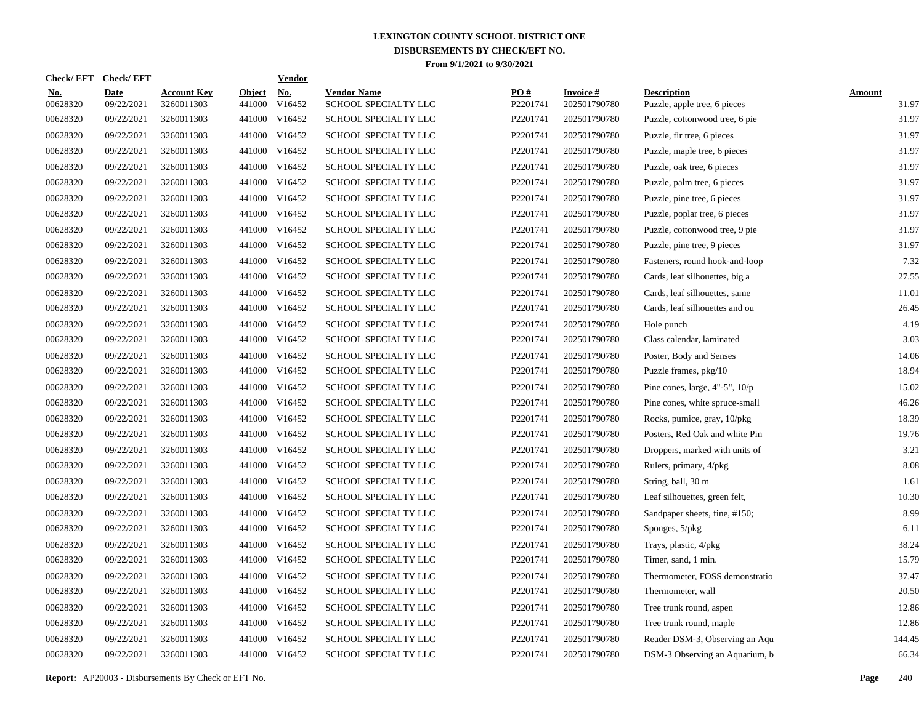| <b>Check/EFT</b>       | <b>Check/EFT</b>          |                                  |                         | <b>Vendor</b>        |                                            |                 |                                 |                                                    |                        |
|------------------------|---------------------------|----------------------------------|-------------------------|----------------------|--------------------------------------------|-----------------|---------------------------------|----------------------------------------------------|------------------------|
| <u>No.</u><br>00628320 | <b>Date</b><br>09/22/2021 | <b>Account Key</b><br>3260011303 | <b>Object</b><br>441000 | <u>No.</u><br>V16452 | <b>Vendor Name</b><br>SCHOOL SPECIALTY LLC | PO#<br>P2201741 | <b>Invoice#</b><br>202501790780 | <b>Description</b><br>Puzzle, apple tree, 6 pieces | <b>Amount</b><br>31.97 |
| 00628320               | 09/22/2021                | 3260011303                       | 441000                  | V16452               | SCHOOL SPECIALTY LLC                       | P2201741        | 202501790780                    | Puzzle, cottonwood tree, 6 pie                     | 31.97                  |
| 00628320               | 09/22/2021                | 3260011303                       | 441000                  | V16452               | SCHOOL SPECIALTY LLC                       | P2201741        | 202501790780                    | Puzzle, fir tree, 6 pieces                         | 31.97                  |
| 00628320               | 09/22/2021                | 3260011303                       | 441000                  | V16452               | <b>SCHOOL SPECIALTY LLC</b>                | P2201741        | 202501790780                    | Puzzle, maple tree, 6 pieces                       | 31.97                  |
| 00628320               | 09/22/2021                | 3260011303                       | 441000                  | V16452               | SCHOOL SPECIALTY LLC                       | P2201741        | 202501790780                    | Puzzle, oak tree, 6 pieces                         | 31.97                  |
| 00628320               | 09/22/2021                | 3260011303                       | 441000                  | V16452               | SCHOOL SPECIALTY LLC                       | P2201741        | 202501790780                    | Puzzle, palm tree, 6 pieces                        | 31.97                  |
| 00628320               | 09/22/2021                | 3260011303                       | 441000                  | V16452               | SCHOOL SPECIALTY LLC                       | P2201741        | 202501790780                    | Puzzle, pine tree, 6 pieces                        | 31.97                  |
| 00628320               | 09/22/2021                | 3260011303                       | 441000                  | V16452               | SCHOOL SPECIALTY LLC                       | P2201741        | 202501790780                    | Puzzle, poplar tree, 6 pieces                      | 31.97                  |
| 00628320               | 09/22/2021                | 3260011303                       | 441000                  | V16452               | SCHOOL SPECIALTY LLC                       | P2201741        | 202501790780                    | Puzzle, cottonwood tree, 9 pie                     | 31.97                  |
| 00628320               | 09/22/2021                | 3260011303                       | 441000                  | V16452               | SCHOOL SPECIALTY LLC                       | P2201741        | 202501790780                    | Puzzle, pine tree, 9 pieces                        | 31.97                  |
| 00628320               | 09/22/2021                | 3260011303                       | 441000                  | V16452               | SCHOOL SPECIALTY LLC                       | P2201741        | 202501790780                    | Fasteners, round hook-and-loop                     | 7.32                   |
| 00628320               | 09/22/2021                | 3260011303                       | 441000                  | V16452               | <b>SCHOOL SPECIALTY LLC</b>                | P2201741        | 202501790780                    | Cards, leaf silhouettes, big a                     | 27.55                  |
| 00628320               | 09/22/2021                | 3260011303                       | 441000                  | V16452               | <b>SCHOOL SPECIALTY LLC</b>                | P2201741        | 202501790780                    | Cards, leaf silhouettes, same                      | 11.01                  |
| 00628320               | 09/22/2021                | 3260011303                       | 441000                  | V16452               | SCHOOL SPECIALTY LLC                       | P2201741        | 202501790780                    | Cards, leaf silhouettes and ou                     | 26.45                  |
| 00628320               | 09/22/2021                | 3260011303                       | 441000                  | V16452               | SCHOOL SPECIALTY LLC                       | P2201741        | 202501790780                    | Hole punch                                         | 4.19                   |
| 00628320               | 09/22/2021                | 3260011303                       | 441000                  | V16452               | SCHOOL SPECIALTY LLC                       | P2201741        | 202501790780                    | Class calendar, laminated                          | 3.03                   |
| 00628320               | 09/22/2021                | 3260011303                       | 441000                  | V16452               | SCHOOL SPECIALTY LLC                       | P2201741        | 202501790780                    | Poster, Body and Senses                            | 14.06                  |
| 00628320               | 09/22/2021                | 3260011303                       | 441000                  | V16452               | SCHOOL SPECIALTY LLC                       | P2201741        | 202501790780                    | Puzzle frames, pkg/10                              | 18.94                  |
| 00628320               | 09/22/2021                | 3260011303                       | 441000                  | V16452               | SCHOOL SPECIALTY LLC                       | P2201741        | 202501790780                    | Pine cones, large, $4"$ -5", $10/p$                | 15.02                  |
| 00628320               | 09/22/2021                | 3260011303                       | 441000                  | V16452               | <b>SCHOOL SPECIALTY LLC</b>                | P2201741        | 202501790780                    | Pine cones, white spruce-small                     | 46.26                  |
| 00628320               | 09/22/2021                | 3260011303                       | 441000                  | V16452               | <b>SCHOOL SPECIALTY LLC</b>                | P2201741        | 202501790780                    | Rocks, pumice, gray, 10/pkg                        | 18.39                  |
| 00628320               | 09/22/2021                | 3260011303                       | 441000                  | V16452               | SCHOOL SPECIALTY LLC                       | P2201741        | 202501790780                    | Posters, Red Oak and white Pin                     | 19.76                  |
| 00628320               | 09/22/2021                | 3260011303                       | 441000                  | V16452               | SCHOOL SPECIALTY LLC                       | P2201741        | 202501790780                    | Droppers, marked with units of                     | 3.21                   |
| 00628320               | 09/22/2021                | 3260011303                       | 441000                  | V16452               | SCHOOL SPECIALTY LLC                       | P2201741        | 202501790780                    | Rulers, primary, 4/pkg                             | 8.08                   |
| 00628320               | 09/22/2021                | 3260011303                       | 441000                  | V16452               | SCHOOL SPECIALTY LLC                       | P2201741        | 202501790780                    | String, ball, 30 m                                 | 1.61                   |
| 00628320               | 09/22/2021                | 3260011303                       | 441000                  | V16452               | SCHOOL SPECIALTY LLC                       | P2201741        | 202501790780                    | Leaf silhouettes, green felt,                      | 10.30                  |
| 00628320               | 09/22/2021                | 3260011303                       | 441000                  | V16452               | SCHOOL SPECIALTY LLC                       | P2201741        | 202501790780                    | Sandpaper sheets, fine, #150;                      | 8.99                   |
| 00628320               | 09/22/2021                | 3260011303                       | 441000                  | V16452               | <b>SCHOOL SPECIALTY LLC</b>                | P2201741        | 202501790780                    | Sponges, 5/pkg                                     | 6.11                   |
| 00628320               | 09/22/2021                | 3260011303                       | 441000                  | V16452               | <b>SCHOOL SPECIALTY LLC</b>                | P2201741        | 202501790780                    | Trays, plastic, 4/pkg                              | 38.24                  |
| 00628320               | 09/22/2021                | 3260011303                       | 441000                  | V16452               | SCHOOL SPECIALTY LLC                       | P2201741        | 202501790780                    | Timer, sand, 1 min.                                | 15.79                  |
| 00628320               | 09/22/2021                | 3260011303                       | 441000                  | V16452               | SCHOOL SPECIALTY LLC                       | P2201741        | 202501790780                    | Thermometer, FOSS demonstratio                     | 37.47                  |
| 00628320               | 09/22/2021                | 3260011303                       | 441000                  | V16452               | SCHOOL SPECIALTY LLC                       | P2201741        | 202501790780                    | Thermometer, wall                                  | 20.50                  |
| 00628320               | 09/22/2021                | 3260011303                       | 441000                  | V16452               | SCHOOL SPECIALTY LLC                       | P2201741        | 202501790780                    | Tree trunk round, aspen                            | 12.86                  |
| 00628320               | 09/22/2021                | 3260011303                       | 441000                  | V16452               | SCHOOL SPECIALTY LLC                       | P2201741        | 202501790780                    | Tree trunk round, maple                            | 12.86                  |
| 00628320               | 09/22/2021                | 3260011303                       | 441000                  | V16452               | SCHOOL SPECIALTY LLC                       | P2201741        | 202501790780                    | Reader DSM-3, Observing an Aqu                     | 144.45                 |
| 00628320               | 09/22/2021                | 3260011303                       |                         | 441000 V16452        | SCHOOL SPECIALTY LLC                       | P2201741        | 202501790780                    | DSM-3 Observing an Aquarium, b                     | 66.34                  |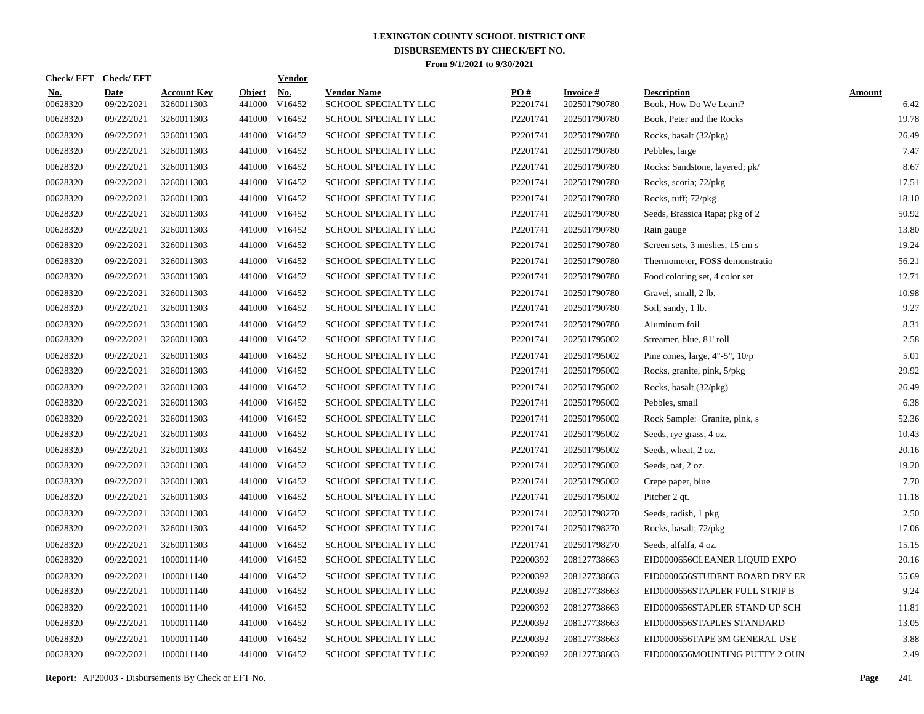| Check/EFT Check/EFT    |                           |                                  |                         | <u>Vendor</u>        |                                            |                 |                                 |                                              |                       |
|------------------------|---------------------------|----------------------------------|-------------------------|----------------------|--------------------------------------------|-----------------|---------------------------------|----------------------------------------------|-----------------------|
| <u>No.</u><br>00628320 | <b>Date</b><br>09/22/2021 | <b>Account Key</b><br>3260011303 | <b>Object</b><br>441000 | <u>No.</u><br>V16452 | <b>Vendor Name</b><br>SCHOOL SPECIALTY LLC | PQ#<br>P2201741 | <b>Invoice#</b><br>202501790780 | <b>Description</b><br>Book, How Do We Learn? | <b>Amount</b><br>6.42 |
| 00628320               | 09/22/2021                | 3260011303                       | 441000                  | V16452               | SCHOOL SPECIALTY LLC                       | P2201741        | 202501790780                    | Book, Peter and the Rocks                    | 19.78                 |
| 00628320               | 09/22/2021                | 3260011303                       |                         | 441000 V16452        | SCHOOL SPECIALTY LLC                       | P2201741        | 202501790780                    | Rocks, basalt (32/pkg)                       | 26.49                 |
| 00628320               | 09/22/2021                | 3260011303                       |                         | 441000 V16452        | <b>SCHOOL SPECIALTY LLC</b>                | P2201741        | 202501790780                    | Pebbles, large                               | 7.47                  |
| 00628320               | 09/22/2021                | 3260011303                       |                         | 441000 V16452        | SCHOOL SPECIALTY LLC                       | P2201741        | 202501790780                    | Rocks: Sandstone, layered; pk/               | 8.67                  |
| 00628320               | 09/22/2021                | 3260011303                       |                         | 441000 V16452        | SCHOOL SPECIALTY LLC                       | P2201741        | 202501790780                    | Rocks, scoria; 72/pkg                        | 17.51                 |
| 00628320               | 09/22/2021                | 3260011303                       |                         | 441000 V16452        | SCHOOL SPECIALTY LLC                       | P2201741        | 202501790780                    | Rocks, tuff; 72/pkg                          | 18.10                 |
| 00628320               | 09/22/2021                | 3260011303                       |                         | 441000 V16452        | SCHOOL SPECIALTY LLC                       | P2201741        | 202501790780                    | Seeds, Brassica Rapa; pkg of 2               | 50.92                 |
| 00628320               | 09/22/2021                | 3260011303                       |                         | 441000 V16452        | SCHOOL SPECIALTY LLC                       | P2201741        | 202501790780                    | Rain gauge                                   | 13.80                 |
| 00628320               | 09/22/2021                | 3260011303                       |                         | 441000 V16452        | SCHOOL SPECIALTY LLC                       | P2201741        | 202501790780                    | Screen sets, 3 meshes, 15 cm s               | 19.24                 |
| 00628320               | 09/22/2021                | 3260011303                       |                         | 441000 V16452        | SCHOOL SPECIALTY LLC                       | P2201741        | 202501790780                    | Thermometer, FOSS demonstratio               | 56.21                 |
| 00628320               | 09/22/2021                | 3260011303                       |                         | 441000 V16452        | <b>SCHOOL SPECIALTY LLC</b>                | P2201741        | 202501790780                    | Food coloring set, 4 color set               | 12.71                 |
| 00628320               | 09/22/2021                | 3260011303                       |                         | 441000 V16452        | <b>SCHOOL SPECIALTY LLC</b>                | P2201741        | 202501790780                    | Gravel, small, 2 lb.                         | 10.98                 |
| 00628320               | 09/22/2021                | 3260011303                       |                         | 441000 V16452        | SCHOOL SPECIALTY LLC                       | P2201741        | 202501790780                    | Soil, sandy, 1 lb.                           | 9.27                  |
| 00628320               | 09/22/2021                | 3260011303                       |                         | 441000 V16452        | SCHOOL SPECIALTY LLC                       | P2201741        | 202501790780                    | Aluminum foil                                | 8.31                  |
| 00628320               | 09/22/2021                | 3260011303                       |                         | 441000 V16452        | SCHOOL SPECIALTY LLC                       | P2201741        | 202501795002                    | Streamer, blue, 81' roll                     | 2.58                  |
| 00628320               | 09/22/2021                | 3260011303                       |                         | 441000 V16452        | SCHOOL SPECIALTY LLC                       | P2201741        | 202501795002                    | Pine cones, large, $4"$ -5", $10/p$          | 5.01                  |
| 00628320               | 09/22/2021                | 3260011303                       |                         | 441000 V16452        | SCHOOL SPECIALTY LLC                       | P2201741        | 202501795002                    | Rocks, granite, pink, 5/pkg                  | 29.92                 |
| 00628320               | 09/22/2021                | 3260011303                       |                         | 441000 V16452        | SCHOOL SPECIALTY LLC                       | P2201741        | 202501795002                    | Rocks, basalt (32/pkg)                       | 26.49                 |
| 00628320               | 09/22/2021                | 3260011303                       |                         | 441000 V16452        | <b>SCHOOL SPECIALTY LLC</b>                | P2201741        | 202501795002                    | Pebbles, small                               | 6.38                  |
| 00628320               | 09/22/2021                | 3260011303                       | 441000                  | V16452               | <b>SCHOOL SPECIALTY LLC</b>                | P2201741        | 202501795002                    | Rock Sample: Granite, pink, s                | 52.36                 |
| 00628320               | 09/22/2021                | 3260011303                       |                         | 441000 V16452        | SCHOOL SPECIALTY LLC                       | P2201741        | 202501795002                    | Seeds, rye grass, 4 oz.                      | 10.43                 |
| 00628320               | 09/22/2021                | 3260011303                       | 441000                  | V16452               | SCHOOL SPECIALTY LLC                       | P2201741        | 202501795002                    | Seeds, wheat, 2 oz.                          | 20.16                 |
| 00628320               | 09/22/2021                | 3260011303                       |                         | 441000 V16452        | SCHOOL SPECIALTY LLC                       | P2201741        | 202501795002                    | Seeds, oat, 2 oz.                            | 19.20                 |
| 00628320               | 09/22/2021                | 3260011303                       | 441000                  | V16452               | SCHOOL SPECIALTY LLC                       | P2201741        | 202501795002                    | Crepe paper, blue                            | 7.70                  |
| 00628320               | 09/22/2021                | 3260011303                       |                         | 441000 V16452        | SCHOOL SPECIALTY LLC                       | P2201741        | 202501795002                    | Pitcher 2 qt.                                | 11.18                 |
| 00628320               | 09/22/2021                | 3260011303                       | 441000                  | V16452               | SCHOOL SPECIALTY LLC                       | P2201741        | 202501798270                    | Seeds, radish, 1 pkg                         | 2.50                  |
| 00628320               | 09/22/2021                | 3260011303                       | 441000                  | V16452               | <b>SCHOOL SPECIALTY LLC</b>                | P2201741        | 202501798270                    | Rocks, basalt; 72/pkg                        | 17.06                 |
| 00628320               | 09/22/2021                | 3260011303                       | 441000                  | V16452               | <b>SCHOOL SPECIALTY LLC</b>                | P2201741        | 202501798270                    | Seeds, alfalfa, 4 oz.                        | 15.15                 |
| 00628320               | 09/22/2021                | 1000011140                       | 441000                  | V16452               | SCHOOL SPECIALTY LLC                       | P2200392        | 208127738663                    | EID0000656CLEANER LIQUID EXPO                | 20.16                 |
| 00628320               | 09/22/2021                | 1000011140                       | 441000                  | V16452               | SCHOOL SPECIALTY LLC                       | P2200392        | 208127738663                    | EID0000656STUDENT BOARD DRY ER               | 55.69                 |
| 00628320               | 09/22/2021                | 1000011140                       | 441000                  | V16452               | SCHOOL SPECIALTY LLC                       | P2200392        | 208127738663                    | EID0000656STAPLER FULL STRIP B               | 9.24                  |
| 00628320               | 09/22/2021                | 1000011140                       | 441000                  | V16452               | SCHOOL SPECIALTY LLC                       | P2200392        | 208127738663                    | EID0000656STAPLER STAND UP SCH               | 11.81                 |
| 00628320               | 09/22/2021                | 1000011140                       |                         | 441000 V16452        | SCHOOL SPECIALTY LLC                       | P2200392        | 208127738663                    | EID0000656STAPLES STANDARD                   | 13.05                 |
| 00628320               | 09/22/2021                | 1000011140                       | 441000                  | V16452               | SCHOOL SPECIALTY LLC                       | P2200392        | 208127738663                    | EID0000656TAPE 3M GENERAL USE                | 3.88                  |
| 00628320               | 09/22/2021                | 1000011140                       |                         | 441000 V16452        | SCHOOL SPECIALTY LLC                       | P2200392        | 208127738663                    | EID0000656MOUNTING PUTTY 2 OUN               | 2.49                  |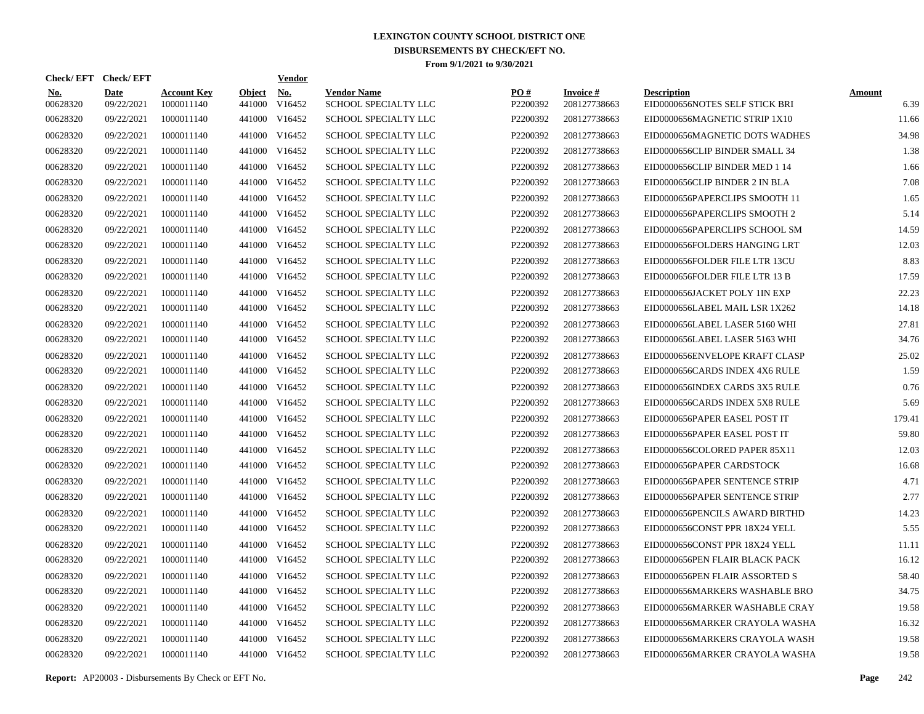| <b>Check/EFT</b>       | <b>Check/EFT</b>          |                                  |                         | <b>Vendor</b>        |                                            |                      |                                 |                                                      |                       |
|------------------------|---------------------------|----------------------------------|-------------------------|----------------------|--------------------------------------------|----------------------|---------------------------------|------------------------------------------------------|-----------------------|
| <b>No.</b><br>00628320 | <b>Date</b><br>09/22/2021 | <b>Account Key</b><br>1000011140 | <b>Object</b><br>441000 | <b>No.</b><br>V16452 | <b>Vendor Name</b><br>SCHOOL SPECIALTY LLC | PO#<br>P2200392      | <b>Invoice#</b><br>208127738663 | <b>Description</b><br>EID0000656NOTES SELF STICK BRI | <b>Amount</b><br>6.39 |
| 00628320               | 09/22/2021                | 1000011140                       | 441000                  | V16452               | <b>SCHOOL SPECIALTY LLC</b>                | P2200392             | 208127738663                    | EID0000656MAGNETIC STRIP 1X10                        | 11.66                 |
| 00628320               | 09/22/2021                | 1000011140                       | 441000                  | V16452               | SCHOOL SPECIALTY LLC                       | P2200392             | 208127738663                    | EID0000656MAGNETIC DOTS WADHES                       | 34.98                 |
| 00628320               | 09/22/2021                | 1000011140                       | 441000                  | V16452               | SCHOOL SPECIALTY LLC                       | P2200392             | 208127738663                    | EID0000656CLIP BINDER SMALL 34                       | 1.38                  |
| 00628320               | 09/22/2021                | 1000011140                       | 441000                  | V16452               | SCHOOL SPECIALTY LLC                       | P2200392             | 208127738663                    | EID0000656CLIP BINDER MED 1 14                       | 1.66                  |
| 00628320               | 09/22/2021                | 1000011140                       | 441000                  | V16452               | SCHOOL SPECIALTY LLC                       | P2200392             | 208127738663                    | EID0000656CLIP BINDER 2 IN BLA                       | 7.08                  |
| 00628320               | 09/22/2021                | 1000011140                       | 441000                  | V16452               | SCHOOL SPECIALTY LLC                       | P2200392             | 208127738663                    | EID0000656PAPERCLIPS SMOOTH 11                       | 1.65                  |
| 00628320               | 09/22/2021                | 1000011140                       | 441000                  | V16452               | <b>SCHOOL SPECIALTY LLC</b>                | P2200392             | 208127738663                    | EID0000656PAPERCLIPS SMOOTH 2                        | 5.14                  |
| 00628320               | 09/22/2021                | 1000011140                       | 441000                  | V16452               | <b>SCHOOL SPECIALTY LLC</b>                | P2200392             | 208127738663                    | EID0000656PAPERCLIPS SCHOOL SM                       | 14.59                 |
| 00628320               | 09/22/2021                | 1000011140                       | 441000                  | V16452               | SCHOOL SPECIALTY LLC                       | P2200392             | 208127738663                    | EID0000656FOLDERS HANGING LRT                        | 12.03                 |
| 00628320               | 09/22/2021                | 1000011140                       | 441000                  | V16452               | SCHOOL SPECIALTY LLC                       | P2200392             | 208127738663                    | EID0000656FOLDER FILE LTR 13CU                       | 8.83                  |
| 00628320               | 09/22/2021                | 1000011140                       | 441000                  | V16452               | <b>SCHOOL SPECIALTY LLC</b>                | P2200392             | 208127738663                    | EID0000656FOLDER FILE LTR 13 B                       | 17.59                 |
| 00628320               | 09/22/2021                | 1000011140                       | 441000                  | V16452               | <b>SCHOOL SPECIALTY LLC</b>                | P2200392             | 208127738663                    | EID0000656JACKET POLY 1IN EXP                        | 22.23                 |
| 00628320               | 09/22/2021                | 1000011140                       | 441000                  | V16452               | SCHOOL SPECIALTY LLC                       | P2200392             | 208127738663                    | EID0000656LABEL MAIL LSR 1X262                       | 14.18                 |
| 00628320               | 09/22/2021                | 1000011140                       | 441000                  | V16452               | SCHOOL SPECIALTY LLC                       | P2200392             | 208127738663                    | EID0000656LABEL LASER 5160 WHI                       | 27.81                 |
| 00628320               | 09/22/2021                | 1000011140                       | 441000                  | V16452               | <b>SCHOOL SPECIALTY LLC</b>                | P2200392             | 208127738663                    | EID0000656LABEL LASER 5163 WHI                       | 34.76                 |
| 00628320               | 09/22/2021                | 1000011140                       | 441000                  | V16452               | <b>SCHOOL SPECIALTY LLC</b>                | P2200392             | 208127738663                    | EID0000656ENVELOPE KRAFT CLASP                       | 25.02                 |
| 00628320               | 09/22/2021                | 1000011140                       | 441000                  | V16452               | SCHOOL SPECIALTY LLC                       | P2200392             | 208127738663                    | EID0000656CARDS INDEX 4X6 RULE                       | 1.59                  |
| 00628320               | 09/22/2021                | 1000011140                       | 441000                  | V16452               | <b>SCHOOL SPECIALTY LLC</b>                | P2200392             | 208127738663                    | EID0000656INDEX CARDS 3X5 RULE                       | 0.76                  |
| 00628320               | 09/22/2021                | 1000011140                       | 441000                  | V16452               | <b>SCHOOL SPECIALTY LLC</b>                | P2200392             | 208127738663                    | EID0000656CARDS INDEX 5X8 RULE                       | 5.69                  |
| 00628320               | 09/22/2021                | 1000011140                       | 441000                  | V16452               | <b>SCHOOL SPECIALTY LLC</b>                | P2200392             | 208127738663                    | EID0000656PAPER EASEL POST IT                        | 179.41                |
| 00628320               | 09/22/2021                | 1000011140                       | 441000                  | V16452               | SCHOOL SPECIALTY LLC                       | P2200392             | 208127738663                    | EID0000656PAPER EASEL POST IT                        | 59.80                 |
| 00628320               | 09/22/2021                | 1000011140                       | 441000                  | V16452               | <b>SCHOOL SPECIALTY LLC</b>                | P2200392             | 208127738663                    | EID0000656COLORED PAPER 85X11                        | 12.03                 |
| 00628320               | 09/22/2021                | 1000011140                       | 441000                  | V16452               | <b>SCHOOL SPECIALTY LLC</b>                | P2200392             | 208127738663                    | EID0000656PAPER CARDSTOCK                            | 16.68                 |
| 00628320               | 09/22/2021                | 1000011140                       | 441000                  | V16452               | <b>SCHOOL SPECIALTY LLC</b>                | P2200392             | 208127738663                    | EID0000656PAPER SENTENCE STRIP                       | 4.71                  |
| 00628320               | 09/22/2021                | 1000011140                       | 441000                  | V16452               | <b>SCHOOL SPECIALTY LLC</b>                | P2200392             | 208127738663                    | EID0000656PAPER SENTENCE STRIP                       | 2.77                  |
| 00628320               | 09/22/2021                | 1000011140                       | 441000                  | V16452               | <b>SCHOOL SPECIALTY LLC</b>                | P2200392             | 208127738663                    | EID0000656PENCILS AWARD BIRTHD                       | 14.23                 |
| 00628320               | 09/22/2021                | 1000011140                       | 441000                  | V16452               | <b>SCHOOL SPECIALTY LLC</b>                | P2200392             | 208127738663                    | EID0000656CONST PPR 18X24 YELL                       | 5.55                  |
| 00628320               | 09/22/2021                | 1000011140                       | 441000                  | V16452               | <b>SCHOOL SPECIALTY LLC</b>                | P <sub>2200392</sub> | 208127738663                    | EID0000656CONST PPR 18X24 YELL                       | 11.11                 |
| 00628320               | 09/22/2021                | 1000011140                       | 441000                  | V16452               | <b>SCHOOL SPECIALTY LLC</b>                | P2200392             | 208127738663                    | EID0000656PEN FLAIR BLACK PACK                       | 16.12                 |
| 00628320               | 09/22/2021                | 1000011140                       | 441000                  | V16452               | <b>SCHOOL SPECIALTY LLC</b>                | P2200392             | 208127738663                    | EID0000656PEN FLAIR ASSORTED S                       | 58.40                 |
| 00628320               | 09/22/2021                | 1000011140                       | 441000                  | V16452               | <b>SCHOOL SPECIALTY LLC</b>                | P2200392             | 208127738663                    | EID0000656MARKERS WASHABLE BRO                       | 34.75                 |
| 00628320               | 09/22/2021                | 1000011140                       | 441000                  | V16452               | <b>SCHOOL SPECIALTY LLC</b>                | P2200392             | 208127738663                    | EID0000656MARKER WASHABLE CRAY                       | 19.58                 |
| 00628320               | 09/22/2021                | 1000011140                       | 441000                  | V16452               | <b>SCHOOL SPECIALTY LLC</b>                | P2200392             | 208127738663                    | EID0000656MARKER CRAYOLA WASHA                       | 16.32                 |
| 00628320               | 09/22/2021                | 1000011140                       | 441000                  | V16452               | <b>SCHOOL SPECIALTY LLC</b>                | P2200392             | 208127738663                    | EID0000656MARKERS CRAYOLA WASH                       | 19.58                 |
| 00628320               | 09/22/2021                | 1000011140                       |                         | 441000 V16452        | <b>SCHOOL SPECIALTY LLC</b>                | P2200392             | 208127738663                    | EID0000656MARKER CRAYOLA WASHA                       | 19.58                 |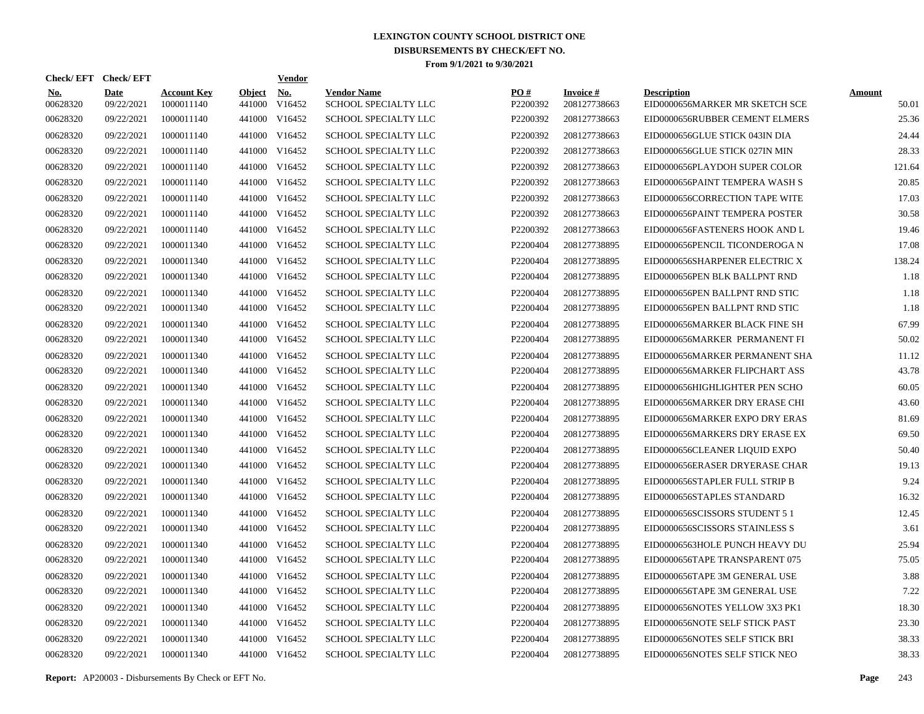| <b>Check/EFT</b>       | <b>Check/EFT</b>          |                                  |                         | <b>Vendor</b>        |                                            |                      |                                 |                                                      |                        |
|------------------------|---------------------------|----------------------------------|-------------------------|----------------------|--------------------------------------------|----------------------|---------------------------------|------------------------------------------------------|------------------------|
| <b>No.</b><br>00628320 | <b>Date</b><br>09/22/2021 | <b>Account Key</b><br>1000011140 | <b>Object</b><br>441000 | <b>No.</b><br>V16452 | <b>Vendor Name</b><br>SCHOOL SPECIALTY LLC | PO#<br>P2200392      | <b>Invoice#</b><br>208127738663 | <b>Description</b><br>EID0000656MARKER MR SKETCH SCE | <b>Amount</b><br>50.01 |
| 00628320               | 09/22/2021                | 1000011140                       | 441000                  | V16452               | <b>SCHOOL SPECIALTY LLC</b>                | P2200392             | 208127738663                    | EID0000656RUBBER CEMENT ELMERS                       | 25.36                  |
| 00628320               | 09/22/2021                | 1000011140                       | 441000                  | V16452               | SCHOOL SPECIALTY LLC                       | P2200392             | 208127738663                    | EID0000656GLUE STICK 043IN DIA                       | 24.44                  |
| 00628320               | 09/22/2021                | 1000011140                       | 441000                  | V16452               | SCHOOL SPECIALTY LLC                       | P2200392             | 208127738663                    | EID0000656GLUE STICK 027IN MIN                       | 28.33                  |
| 00628320               | 09/22/2021                | 1000011140                       | 441000                  | V16452               | <b>SCHOOL SPECIALTY LLC</b>                | P2200392             | 208127738663                    | EID0000656PLAYDOH SUPER COLOR                        | 121.64                 |
| 00628320               | 09/22/2021                | 1000011140                       | 441000                  | V16452               | <b>SCHOOL SPECIALTY LLC</b>                | P2200392             | 208127738663                    | EID0000656PAINT TEMPERA WASH S                       | 20.85                  |
| 00628320               | 09/22/2021                | 1000011140                       | 441000                  | V16452               | <b>SCHOOL SPECIALTY LLC</b>                | P2200392             | 208127738663                    | EID0000656CORRECTION TAPE WITE                       | 17.03                  |
| 00628320               | 09/22/2021                | 1000011140                       | 441000                  | V16452               | <b>SCHOOL SPECIALTY LLC</b>                | P2200392             | 208127738663                    | EID0000656PAINT TEMPERA POSTER                       | 30.58                  |
| 00628320               | 09/22/2021                | 1000011140                       | 441000                  | V16452               | <b>SCHOOL SPECIALTY LLC</b>                | P2200392             | 208127738663                    | EID0000656FASTENERS HOOK AND L                       | 19.46                  |
| 00628320               | 09/22/2021                | 1000011340                       | 441000                  | V16452               | SCHOOL SPECIALTY LLC                       | P2200404             | 208127738895                    | EID0000656PENCIL TICONDEROGA N                       | 17.08                  |
| 00628320               | 09/22/2021                | 1000011340                       | 441000                  | V16452               | SCHOOL SPECIALTY LLC                       | P2200404             | 208127738895                    | EID0000656SHARPENER ELECTRIC X                       | 138.24                 |
| 00628320               | 09/22/2021                | 1000011340                       | 441000                  | V16452               | <b>SCHOOL SPECIALTY LLC</b>                | P2200404             | 208127738895                    | EID0000656PEN BLK BALLPNT RND                        | 1.18                   |
| 00628320               | 09/22/2021                | 1000011340                       | 441000                  | V16452               | <b>SCHOOL SPECIALTY LLC</b>                | P2200404             | 208127738895                    | EID0000656PEN BALLPNT RND STIC                       | 1.18                   |
| 00628320               | 09/22/2021                | 1000011340                       | 441000                  | V16452               | <b>SCHOOL SPECIALTY LLC</b>                | P2200404             | 208127738895                    | EID0000656PEN BALLPNT RND STIC                       | 1.18                   |
| 00628320               | 09/22/2021                | 1000011340                       | 441000                  | V16452               | <b>SCHOOL SPECIALTY LLC</b>                | P2200404             | 208127738895                    | EID0000656MARKER BLACK FINE SH                       | 67.99                  |
| 00628320               | 09/22/2021                | 1000011340                       | 441000                  | V16452               | <b>SCHOOL SPECIALTY LLC</b>                | P2200404             | 208127738895                    | EID0000656MARKER PERMANENT FI                        | 50.02                  |
| 00628320               | 09/22/2021                | 1000011340                       | 441000                  | V16452               | <b>SCHOOL SPECIALTY LLC</b>                | P2200404             | 208127738895                    | EID0000656MARKER PERMANENT SHA                       | 11.12                  |
| 00628320               | 09/22/2021                | 1000011340                       | 441000                  | V16452               | SCHOOL SPECIALTY LLC                       | P2200404             | 208127738895                    | EID0000656MARKER FLIPCHART ASS                       | 43.78                  |
| 00628320               | 09/22/2021                | 1000011340                       | 441000                  | V16452               | <b>SCHOOL SPECIALTY LLC</b>                | P2200404             | 208127738895                    | EID0000656HIGHLIGHTER PEN SCHO                       | 60.05                  |
| 00628320               | 09/22/2021                | 1000011340                       | 441000                  | V16452               | <b>SCHOOL SPECIALTY LLC</b>                | P2200404             | 208127738895                    | EID0000656MARKER DRY ERASE CHI                       | 43.60                  |
| 00628320               | 09/22/2021                | 1000011340                       | 441000                  | V16452               | <b>SCHOOL SPECIALTY LLC</b>                | P2200404             | 208127738895                    | EID0000656MARKER EXPO DRY ERAS                       | 81.69                  |
| 00628320               | 09/22/2021                | 1000011340                       | 441000                  | V16452               | <b>SCHOOL SPECIALTY LLC</b>                | P2200404             | 208127738895                    | EID0000656MARKERS DRY ERASE EX                       | 69.50                  |
| 00628320               | 09/22/2021                | 1000011340                       | 441000                  | V16452               | <b>SCHOOL SPECIALTY LLC</b>                | P2200404             | 208127738895                    | EID0000656CLEANER LIQUID EXPO                        | 50.40                  |
| 00628320               | 09/22/2021                | 1000011340                       | 441000                  | V16452               | <b>SCHOOL SPECIALTY LLC</b>                | P2200404             | 208127738895                    | EID0000656ERASER DRYERASE CHAR                       | 19.13                  |
| 00628320               | 09/22/2021                | 1000011340                       | 441000                  | V16452               | <b>SCHOOL SPECIALTY LLC</b>                | P2200404             | 208127738895                    | EID0000656STAPLER FULL STRIP B                       | 9.24                   |
| 00628320               | 09/22/2021                | 1000011340                       | 441000                  | V16452               | <b>SCHOOL SPECIALTY LLC</b>                | P2200404             | 208127738895                    | EID0000656STAPLES STANDARD                           | 16.32                  |
| 00628320               | 09/22/2021                | 1000011340                       | 441000                  | V16452               | <b>SCHOOL SPECIALTY LLC</b>                | P2200404             | 208127738895                    | EID0000656SCISSORS STUDENT 5 1                       | 12.45                  |
| 00628320               | 09/22/2021                | 1000011340                       | 441000                  | V16452               | <b>SCHOOL SPECIALTY LLC</b>                | P <sub>2200404</sub> | 208127738895                    | EID0000656SCISSORS STAINLESS S                       | 3.61                   |
| 00628320               | 09/22/2021                | 1000011340                       | 441000                  | V16452               | <b>SCHOOL SPECIALTY LLC</b>                | P2200404             | 208127738895                    | EID00006563HOLE PUNCH HEAVY DU                       | 25.94                  |
| 00628320               | 09/22/2021                | 1000011340                       | 441000                  | V16452               | SCHOOL SPECIALTY LLC                       | P2200404             | 208127738895                    | EID0000656TAPE TRANSPARENT 075                       | 75.05                  |
| 00628320               | 09/22/2021                | 1000011340                       | 441000                  | V16452               | SCHOOL SPECIALTY LLC                       | P2200404             | 208127738895                    | EID0000656TAPE 3M GENERAL USE                        | 3.88                   |
| 00628320               | 09/22/2021                | 1000011340                       | 441000                  | V16452               | SCHOOL SPECIALTY LLC                       | P2200404             | 208127738895                    | EID0000656TAPE 3M GENERAL USE                        | 7.22                   |
| 00628320               | 09/22/2021                | 1000011340                       | 441000                  | V16452               | <b>SCHOOL SPECIALTY LLC</b>                | P2200404             | 208127738895                    | EID0000656NOTES YELLOW 3X3 PK1                       | 18.30                  |
| 00628320               | 09/22/2021                | 1000011340                       | 441000                  | V16452               | <b>SCHOOL SPECIALTY LLC</b>                | P2200404             | 208127738895                    | EID0000656NOTE SELF STICK PAST                       | 23.30                  |
| 00628320               | 09/22/2021                | 1000011340                       | 441000                  | V16452               | <b>SCHOOL SPECIALTY LLC</b>                | P2200404             | 208127738895                    | EID0000656NOTES SELF STICK BRI                       | 38.33                  |
| 00628320               | 09/22/2021                | 1000011340                       |                         | 441000 V16452        | <b>SCHOOL SPECIALTY LLC</b>                | P2200404             | 208127738895                    | EID0000656NOTES SELF STICK NEO                       | 38.33                  |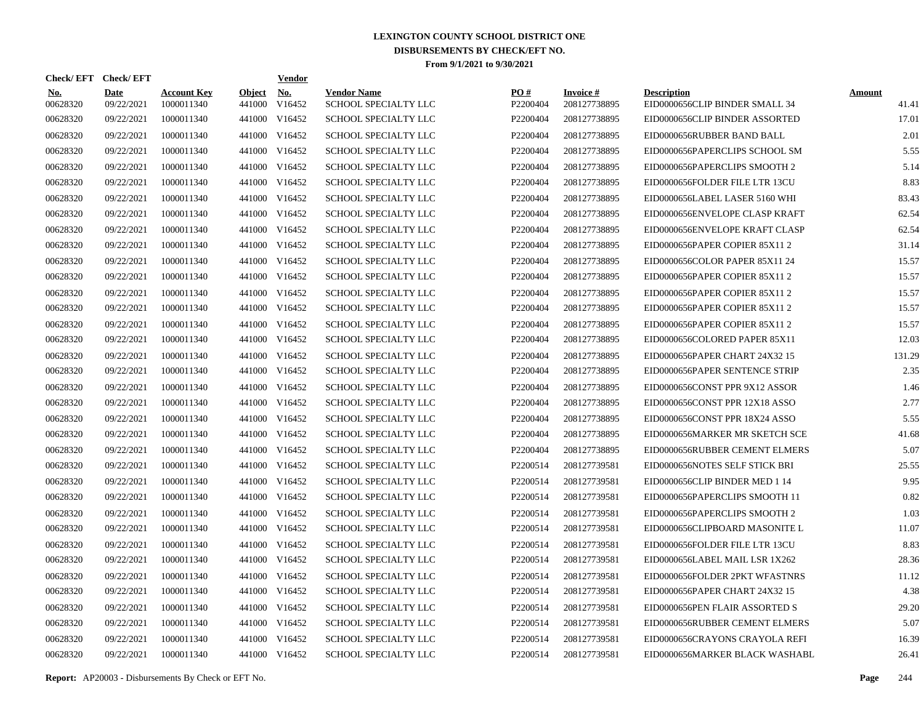| Check/EFT Check/EFT    |                           |                                  |                         | <b>Vendor</b>        |                                            |                 |                                 |                                                      |                        |
|------------------------|---------------------------|----------------------------------|-------------------------|----------------------|--------------------------------------------|-----------------|---------------------------------|------------------------------------------------------|------------------------|
| <b>No.</b><br>00628320 | <b>Date</b><br>09/22/2021 | <b>Account Key</b><br>1000011340 | <b>Object</b><br>441000 | <u>No.</u><br>V16452 | <b>Vendor Name</b><br>SCHOOL SPECIALTY LLC | PO#<br>P2200404 | <b>Invoice#</b><br>208127738895 | <b>Description</b><br>EID0000656CLIP BINDER SMALL 34 | <b>Amount</b><br>41.41 |
| 00628320               | 09/22/2021                | 1000011340                       | 441000                  | V16452               | <b>SCHOOL SPECIALTY LLC</b>                | P2200404        | 208127738895                    | EID0000656CLIP BINDER ASSORTED                       | 17.01                  |
| 00628320               | 09/22/2021                | 1000011340                       | 441000                  | V16452               | <b>SCHOOL SPECIALTY LLC</b>                | P2200404        | 208127738895                    | EID0000656RUBBER BAND BALL                           | 2.01                   |
| 00628320               | 09/22/2021                | 1000011340                       | 441000                  | V16452               | SCHOOL SPECIALTY LLC                       | P2200404        | 208127738895                    | EID0000656PAPERCLIPS SCHOOL SM                       | 5.55                   |
| 00628320               | 09/22/2021                | 1000011340                       | 441000                  | V16452               | SCHOOL SPECIALTY LLC                       | P2200404        | 208127738895                    | EID0000656PAPERCLIPS SMOOTH 2                        | 5.14                   |
| 00628320               | 09/22/2021                | 1000011340                       | 441000                  | V16452               | <b>SCHOOL SPECIALTY LLC</b>                | P2200404        | 208127738895                    | EID0000656FOLDER FILE LTR 13CU                       | 8.83                   |
| 00628320               | 09/22/2021                | 1000011340                       | 441000                  | V16452               | SCHOOL SPECIALTY LLC                       | P2200404        | 208127738895                    | EID0000656LABEL LASER 5160 WHI                       | 83.43                  |
| 00628320               | 09/22/2021                | 1000011340                       | 441000                  | V16452               | SCHOOL SPECIALTY LLC                       | P2200404        | 208127738895                    | EID0000656ENVELOPE CLASP KRAFT                       | 62.54                  |
| 00628320               | 09/22/2021                | 1000011340                       | 441000                  | V16452               | SCHOOL SPECIALTY LLC                       | P2200404        | 208127738895                    | EID0000656ENVELOPE KRAFT CLASP                       | 62.54                  |
| 00628320               | 09/22/2021                | 1000011340                       | 441000                  | V16452               | <b>SCHOOL SPECIALTY LLC</b>                | P2200404        | 208127738895                    | EID0000656PAPER COPIER 85X11 2                       | 31.14                  |
| 00628320               | 09/22/2021                | 1000011340                       |                         | 441000 V16452        | <b>SCHOOL SPECIALTY LLC</b>                | P2200404        | 208127738895                    | EID0000656COLOR PAPER 85X11 24                       | 15.57                  |
| 00628320               | 09/22/2021                | 1000011340                       | 441000                  | V16452               | SCHOOL SPECIALTY LLC                       | P2200404        | 208127738895                    | EID0000656PAPER COPIER 85X11 2                       | 15.57                  |
| 00628320               | 09/22/2021                | 1000011340                       | 441000                  | V16452               | SCHOOL SPECIALTY LLC                       | P2200404        | 208127738895                    | EID0000656PAPER COPIER 85X11 2                       | 15.57                  |
| 00628320               | 09/22/2021                | 1000011340                       |                         | 441000 V16452        | SCHOOL SPECIALTY LLC                       | P2200404        | 208127738895                    | EID0000656PAPER COPIER 85X11 2                       | 15.57                  |
| 00628320               | 09/22/2021                | 1000011340                       | 441000                  | V16452               | <b>SCHOOL SPECIALTY LLC</b>                | P2200404        | 208127738895                    | EID0000656PAPER COPIER 85X11 2                       | 15.57                  |
| 00628320               | 09/22/2021                | 1000011340                       |                         | 441000 V16452        | <b>SCHOOL SPECIALTY LLC</b>                | P2200404        | 208127738895                    | EID0000656COLORED PAPER 85X11                        | 12.03                  |
| 00628320               | 09/22/2021                | 1000011340                       | 441000                  | V16452               | <b>SCHOOL SPECIALTY LLC</b>                | P2200404        | 208127738895                    | EID0000656PAPER CHART 24X32 15                       | 131.29                 |
| 00628320               | 09/22/2021                | 1000011340                       |                         | 441000 V16452        | <b>SCHOOL SPECIALTY LLC</b>                | P2200404        | 208127738895                    | EID0000656PAPER SENTENCE STRIP                       | 2.35                   |
| 00628320               | 09/22/2021                | 1000011340                       | 441000                  | V16452               | <b>SCHOOL SPECIALTY LLC</b>                | P2200404        | 208127738895                    | EID0000656CONST PPR 9X12 ASSOR                       | 1.46                   |
| 00628320               | 09/22/2021                | 1000011340                       |                         | 441000 V16452        | <b>SCHOOL SPECIALTY LLC</b>                | P2200404        | 208127738895                    | EID0000656CONST PPR 12X18 ASSO                       | 2.77                   |
| 00628320               | 09/22/2021                | 1000011340                       | 441000                  | V16452               | <b>SCHOOL SPECIALTY LLC</b>                | P2200404        | 208127738895                    | EID0000656CONST PPR 18X24 ASSO                       | 5.55                   |
| 00628320               | 09/22/2021                | 1000011340                       |                         | 441000 V16452        | <b>SCHOOL SPECIALTY LLC</b>                | P2200404        | 208127738895                    | EID0000656MARKER MR SKETCH SCE                       | 41.68                  |
| 00628320               | 09/22/2021                | 1000011340                       | 441000                  | V16452               | <b>SCHOOL SPECIALTY LLC</b>                | P2200404        | 208127738895                    | EID0000656RUBBER CEMENT ELMERS                       | 5.07                   |
| 00628320               | 09/22/2021                | 1000011340                       | 441000                  | V16452               | <b>SCHOOL SPECIALTY LLC</b>                | P2200514        | 208127739581                    | EID0000656NOTES SELF STICK BRI                       | 25.55                  |
| 00628320               | 09/22/2021                | 1000011340                       | 441000                  | V16452               | <b>SCHOOL SPECIALTY LLC</b>                | P2200514        | 208127739581                    | EID0000656CLIP BINDER MED 1 14                       | 9.95                   |
| 00628320               | 09/22/2021                | 1000011340                       | 441000                  | V16452               | <b>SCHOOL SPECIALTY LLC</b>                | P2200514        | 208127739581                    | EID0000656PAPERCLIPS SMOOTH 11                       | 0.82                   |
| 00628320               | 09/22/2021                | 1000011340                       | 441000                  | V16452               | <b>SCHOOL SPECIALTY LLC</b>                | P2200514        | 208127739581                    | EID0000656PAPERCLIPS SMOOTH 2                        | 1.03                   |
| 00628320               | 09/22/2021                | 1000011340                       | 441000                  | V16452               | <b>SCHOOL SPECIALTY LLC</b>                | P2200514        | 208127739581                    | EID0000656CLIPBOARD MASONITE L                       | 11.07                  |
| 00628320               | 09/22/2021                | 1000011340                       | 441000                  | V16452               | <b>SCHOOL SPECIALTY LLC</b>                | P2200514        | 208127739581                    | EID0000656FOLDER FILE LTR 13CU                       | 8.83                   |
| 00628320               | 09/22/2021                | 1000011340                       | 441000                  | V16452               | SCHOOL SPECIALTY LLC                       | P2200514        | 208127739581                    | EID0000656LABEL MAIL LSR 1X262                       | 28.36                  |
| 00628320               | 09/22/2021                | 1000011340                       | 441000                  | V16452               | <b>SCHOOL SPECIALTY LLC</b>                | P2200514        | 208127739581                    | EID0000656FOLDER 2PKT WFASTNRS                       | 11.12                  |
| 00628320               | 09/22/2021                | 1000011340                       | 441000                  | V16452               | <b>SCHOOL SPECIALTY LLC</b>                | P2200514        | 208127739581                    | EID0000656PAPER CHART 24X32 15                       | 4.38                   |
| 00628320               | 09/22/2021                | 1000011340                       | 441000                  | V16452               | <b>SCHOOL SPECIALTY LLC</b>                | P2200514        | 208127739581                    | EID0000656PEN FLAIR ASSORTED S                       | 29.20                  |
| 00628320               | 09/22/2021                | 1000011340                       | 441000                  | V16452               | <b>SCHOOL SPECIALTY LLC</b>                | P2200514        | 208127739581                    | EID0000656RUBBER CEMENT ELMERS                       | 5.07                   |
| 00628320               | 09/22/2021                | 1000011340                       | 441000                  | V16452               | <b>SCHOOL SPECIALTY LLC</b>                | P2200514        | 208127739581                    | EID0000656CRAYONS CRAYOLA REFI                       | 16.39                  |
| 00628320               | 09/22/2021                | 1000011340                       |                         | 441000 V16452        | SCHOOL SPECIALTY LLC                       | P2200514        | 208127739581                    | EID0000656MARKER BLACK WASHABL                       | 26.41                  |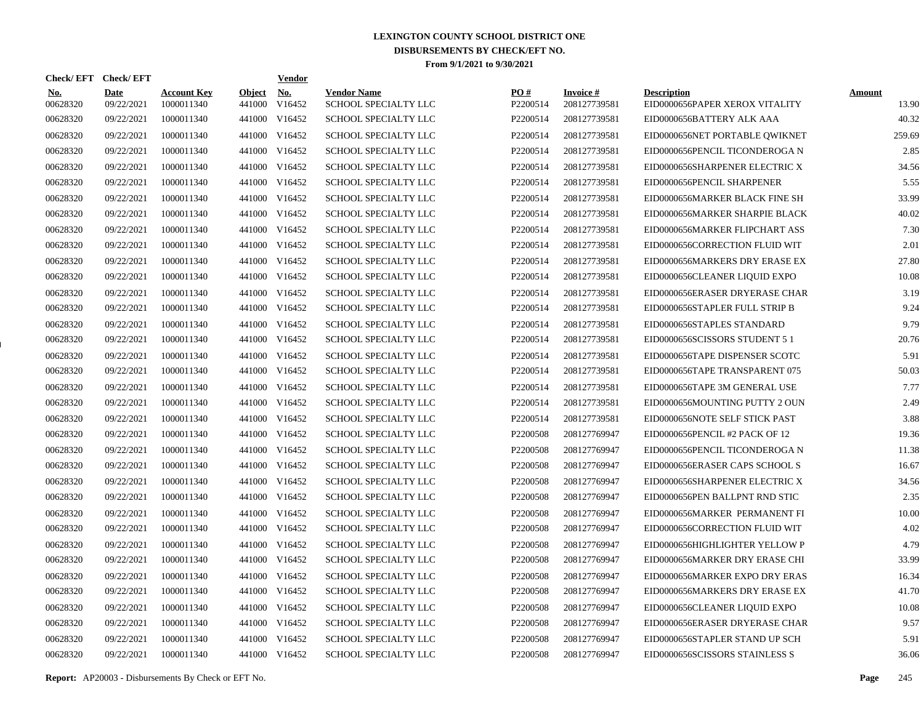| Check/EFT Check/EFT    |                           |                                  |                         | <b>Vendor</b>        |                                            |                      |                                 |                                                      |                        |
|------------------------|---------------------------|----------------------------------|-------------------------|----------------------|--------------------------------------------|----------------------|---------------------------------|------------------------------------------------------|------------------------|
| <b>No.</b><br>00628320 | <b>Date</b><br>09/22/2021 | <b>Account Key</b><br>1000011340 | <b>Object</b><br>441000 | <u>No.</u><br>V16452 | <b>Vendor Name</b><br>SCHOOL SPECIALTY LLC | PQ#<br>P2200514      | <b>Invoice#</b><br>208127739581 | <b>Description</b><br>EID0000656PAPER XEROX VITALITY | <b>Amount</b><br>13.90 |
| 00628320               | 09/22/2021                | 1000011340                       | 441000                  | V16452               | <b>SCHOOL SPECIALTY LLC</b>                | P2200514             | 208127739581                    | EID0000656BATTERY ALK AAA                            | 40.32                  |
| 00628320               | 09/22/2021                | 1000011340                       | 441000                  | V16452               | SCHOOL SPECIALTY LLC                       | P2200514             | 208127739581                    | EID0000656NET PORTABLE QWIKNET                       | 259.69                 |
| 00628320               | 09/22/2021                | 1000011340                       |                         | 441000 V16452        | <b>SCHOOL SPECIALTY LLC</b>                | P2200514             | 208127739581                    | EID0000656PENCIL TICONDEROGA N                       | 2.85                   |
| 00628320               | 09/22/2021                | 1000011340                       |                         | 441000 V16452        | <b>SCHOOL SPECIALTY LLC</b>                | P2200514             | 208127739581                    | EID0000656SHARPENER ELECTRIC X                       | 34.56                  |
| 00628320               | 09/22/2021                | 1000011340                       |                         | 441000 V16452        | SCHOOL SPECIALTY LLC                       | P2200514             | 208127739581                    | EID0000656PENCIL SHARPENER                           | 5.55                   |
| 00628320               | 09/22/2021                | 1000011340                       |                         | 441000 V16452        | SCHOOL SPECIALTY LLC                       | P2200514             | 208127739581                    | EID0000656MARKER BLACK FINE SH                       | 33.99                  |
| 00628320               | 09/22/2021                | 1000011340                       |                         | 441000 V16452        | SCHOOL SPECIALTY LLC                       | P2200514             | 208127739581                    | EID0000656MARKER SHARPIE BLACK                       | 40.02                  |
| 00628320               | 09/22/2021                | 1000011340                       |                         | 441000 V16452        | SCHOOL SPECIALTY LLC                       | P2200514             | 208127739581                    | EID0000656MARKER FLIPCHART ASS                       | 7.30                   |
| 00628320               | 09/22/2021                | 1000011340                       |                         | 441000 V16452        | SCHOOL SPECIALTY LLC                       | P2200514             | 208127739581                    | EID0000656CORRECTION FLUID WIT                       | 2.01                   |
| 00628320               | 09/22/2021                | 1000011340                       |                         | 441000 V16452        | SCHOOL SPECIALTY LLC                       | P2200514             | 208127739581                    | EID0000656MARKERS DRY ERASE EX                       | 27.80                  |
| 00628320               | 09/22/2021                | 1000011340                       |                         | 441000 V16452        | SCHOOL SPECIALTY LLC                       | P2200514             | 208127739581                    | EID0000656CLEANER LIQUID EXPO                        | 10.08                  |
| 00628320               | 09/22/2021                | 1000011340                       |                         | 441000 V16452        | SCHOOL SPECIALTY LLC                       | P2200514             | 208127739581                    | EID0000656ERASER DRYERASE CHAR                       | 3.19                   |
| 00628320               | 09/22/2021                | 1000011340                       |                         | 441000 V16452        | SCHOOL SPECIALTY LLC                       | P2200514             | 208127739581                    | EID0000656STAPLER FULL STRIP B                       | 9.24                   |
| 00628320               | 09/22/2021                | 1000011340                       |                         | 441000 V16452        | SCHOOL SPECIALTY LLC                       | P2200514             | 208127739581                    | EID0000656STAPLES STANDARD                           | 9.79                   |
| 00628320               | 09/22/2021                | 1000011340                       |                         | 441000 V16452        | SCHOOL SPECIALTY LLC                       | P2200514             | 208127739581                    | EID0000656SCISSORS STUDENT 5 1                       | 20.76                  |
| 00628320               | 09/22/2021                | 1000011340                       |                         | 441000 V16452        | SCHOOL SPECIALTY LLC                       | P2200514             | 208127739581                    | EID0000656TAPE DISPENSER SCOTC                       | 5.91                   |
| 00628320               | 09/22/2021                | 1000011340                       |                         | 441000 V16452        | SCHOOL SPECIALTY LLC                       | P2200514             | 208127739581                    | EID0000656TAPE TRANSPARENT 075                       | 50.03                  |
| 00628320               | 09/22/2021                | 1000011340                       |                         | 441000 V16452        | SCHOOL SPECIALTY LLC                       | P2200514             | 208127739581                    | EID0000656TAPE 3M GENERAL USE                        | 7.77                   |
| 00628320               | 09/22/2021                | 1000011340                       |                         | 441000 V16452        | SCHOOL SPECIALTY LLC                       | P2200514             | 208127739581                    | EID0000656MOUNTING PUTTY 2 OUN                       | 2.49                   |
| 00628320               | 09/22/2021                | 1000011340                       |                         | 441000 V16452        | SCHOOL SPECIALTY LLC                       | P2200514             | 208127739581                    | EID0000656NOTE SELF STICK PAST                       | 3.88                   |
| 00628320               | 09/22/2021                | 1000011340                       |                         | 441000 V16452        | SCHOOL SPECIALTY LLC                       | P2200508             | 208127769947                    | EID0000656PENCIL #2 PACK OF 12                       | 19.36                  |
| 00628320               | 09/22/2021                | 1000011340                       |                         | 441000 V16452        | <b>SCHOOL SPECIALTY LLC</b>                | P2200508             | 208127769947                    | EID0000656PENCIL TICONDEROGA N                       | 11.38                  |
| 00628320               | 09/22/2021                | 1000011340                       |                         | 441000 V16452        | SCHOOL SPECIALTY LLC                       | P2200508             | 208127769947                    | EID0000656ERASER CAPS SCHOOL S                       | 16.67                  |
| 00628320               | 09/22/2021                | 1000011340                       | 441000                  | V16452               | SCHOOL SPECIALTY LLC                       | P2200508             | 208127769947                    | EID0000656SHARPENER ELECTRIC X                       | 34.56                  |
| 00628320               | 09/22/2021                | 1000011340                       |                         | 441000 V16452        | <b>SCHOOL SPECIALTY LLC</b>                | P2200508             | 208127769947                    | EID0000656PEN BALLPNT RND STIC                       | 2.35                   |
| 00628320               | 09/22/2021                | 1000011340                       | 441000                  | V16452               | <b>SCHOOL SPECIALTY LLC</b>                | P2200508             | 208127769947                    | EID0000656MARKER PERMANENT FI                        | 10.00                  |
| 00628320               | 09/22/2021                | 1000011340                       |                         | 441000 V16452        | SCHOOL SPECIALTY LLC                       | P2200508             | 208127769947                    | EID0000656CORRECTION FLUID WIT                       | 4.02                   |
| 00628320               | 09/22/2021                | 1000011340                       | 441000                  | V16452               | SCHOOL SPECIALTY LLC                       | P2200508             | 208127769947                    | EID0000656HIGHLIGHTER YELLOW P                       | 4.79                   |
| 00628320               | 09/22/2021                | 1000011340                       |                         | 441000 V16452        | SCHOOL SPECIALTY LLC                       | P2200508             | 208127769947                    | EID0000656MARKER DRY ERASE CHI                       | 33.99                  |
| 00628320               | 09/22/2021                | 1000011340                       | 441000                  | V16452               | SCHOOL SPECIALTY LLC                       | P2200508             | 208127769947                    | EID0000656MARKER EXPO DRY ERAS                       | 16.34                  |
| 00628320               | 09/22/2021                | 1000011340                       |                         | 441000 V16452        | SCHOOL SPECIALTY LLC                       | P2200508             | 208127769947                    | EID0000656MARKERS DRY ERASE EX                       | 41.70                  |
| 00628320               | 09/22/2021                | 1000011340                       | 441000                  | V16452               | SCHOOL SPECIALTY LLC                       | P2200508             | 208127769947                    | EID0000656CLEANER LIQUID EXPO                        | 10.08                  |
| 00628320               | 09/22/2021                | 1000011340                       |                         | 441000 V16452        | SCHOOL SPECIALTY LLC                       | P <sub>2200508</sub> | 208127769947                    | EID0000656ERASER DRYERASE CHAR                       | 9.57                   |
| 00628320               | 09/22/2021                | 1000011340                       | 441000                  | V16452               | SCHOOL SPECIALTY LLC                       | P2200508             | 208127769947                    | EID0000656STAPLER STAND UP SCH                       | 5.91                   |
| 00628320               | 09/22/2021                | 1000011340                       |                         | 441000 V16452        | <b>SCHOOL SPECIALTY LLC</b>                | P2200508             | 208127769947                    | EID0000656SCISSORS STAINLESS S                       | 36.06                  |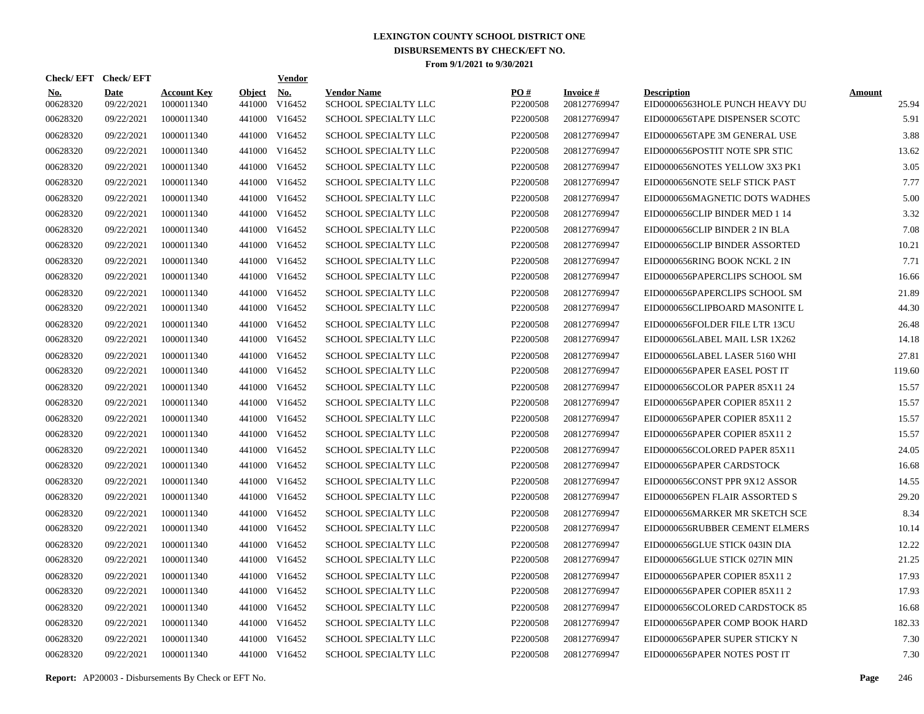| <b>Check/EFT</b>       | <b>Check/EFT</b>          |                                  |                         | <b>Vendor</b>        |                                            |                      |                                 |                                                      |                        |
|------------------------|---------------------------|----------------------------------|-------------------------|----------------------|--------------------------------------------|----------------------|---------------------------------|------------------------------------------------------|------------------------|
| <b>No.</b><br>00628320 | <b>Date</b><br>09/22/2021 | <b>Account Key</b><br>1000011340 | <b>Object</b><br>441000 | <b>No.</b><br>V16452 | <b>Vendor Name</b><br>SCHOOL SPECIALTY LLC | PO#<br>P2200508      | <b>Invoice#</b><br>208127769947 | <b>Description</b><br>EID00006563HOLE PUNCH HEAVY DU | <b>Amount</b><br>25.94 |
| 00628320               | 09/22/2021                | 1000011340                       | 441000                  | V16452               | <b>SCHOOL SPECIALTY LLC</b>                | P2200508             | 208127769947                    | EID0000656TAPE DISPENSER SCOTC                       | 5.91                   |
| 00628320               | 09/22/2021                | 1000011340                       | 441000                  | V16452               | <b>SCHOOL SPECIALTY LLC</b>                | P2200508             | 208127769947                    | EID0000656TAPE 3M GENERAL USE                        | 3.88                   |
| 00628320               | 09/22/2021                | 1000011340                       | 441000                  | V16452               | <b>SCHOOL SPECIALTY LLC</b>                | P2200508             | 208127769947                    | EID0000656POSTIT NOTE SPR STIC                       | 13.62                  |
| 00628320               | 09/22/2021                | 1000011340                       | 441000                  | V16452               | SCHOOL SPECIALTY LLC                       | P2200508             | 208127769947                    | EID0000656NOTES YELLOW 3X3 PK1                       | 3.05                   |
| 00628320               | 09/22/2021                | 1000011340                       | 441000                  | V16452               | SCHOOL SPECIALTY LLC                       | P2200508             | 208127769947                    | EID0000656NOTE SELF STICK PAST                       | 7.77                   |
| 00628320               | 09/22/2021                | 1000011340                       | 441000                  | V16452               | <b>SCHOOL SPECIALTY LLC</b>                | P2200508             | 208127769947                    | EID0000656MAGNETIC DOTS WADHES                       | 5.00                   |
| 00628320               | 09/22/2021                | 1000011340                       | 441000                  | V16452               | <b>SCHOOL SPECIALTY LLC</b>                | P2200508             | 208127769947                    | EID0000656CLIP BINDER MED 1 14                       | 3.32                   |
| 00628320               | 09/22/2021                | 1000011340                       | 441000                  | V16452               | <b>SCHOOL SPECIALTY LLC</b>                | P2200508             | 208127769947                    | EID0000656CLIP BINDER 2 IN BLA                       | 7.08                   |
| 00628320               | 09/22/2021                | 1000011340                       | 441000                  | V16452               | <b>SCHOOL SPECIALTY LLC</b>                | P2200508             | 208127769947                    | EID0000656CLIP BINDER ASSORTED                       | 10.21                  |
| 00628320               | 09/22/2021                | 1000011340                       | 441000                  | V16452               | SCHOOL SPECIALTY LLC                       | P2200508             | 208127769947                    | EID0000656RING BOOK NCKL 2 IN                        | 7.71                   |
| 00628320               | 09/22/2021                | 1000011340                       | 441000                  | V16452               | <b>SCHOOL SPECIALTY LLC</b>                | P <sub>2200508</sub> | 208127769947                    | EID0000656PAPERCLIPS SCHOOL SM                       | 16.66                  |
| 00628320               | 09/22/2021                | 1000011340                       | 441000                  | V16452               | <b>SCHOOL SPECIALTY LLC</b>                | P2200508             | 208127769947                    | EID0000656PAPERCLIPS SCHOOL SM                       | 21.89                  |
| 00628320               | 09/22/2021                | 1000011340                       | 441000                  | V16452               | <b>SCHOOL SPECIALTY LLC</b>                | P2200508             | 208127769947                    | EID0000656CLIPBOARD MASONITE L                       | 44.30                  |
| 00628320               | 09/22/2021                | 1000011340                       | 441000                  | V16452               | <b>SCHOOL SPECIALTY LLC</b>                | P2200508             | 208127769947                    | EID0000656FOLDER FILE LTR 13CU                       | 26.48                  |
| 00628320               | 09/22/2021                | 1000011340                       | 441000                  | V16452               | <b>SCHOOL SPECIALTY LLC</b>                | P2200508             | 208127769947                    | EID0000656LABEL MAIL LSR 1X262                       | 14.18                  |
| 00628320               | 09/22/2021                | 1000011340                       | 441000                  | V16452               | <b>SCHOOL SPECIALTY LLC</b>                | P2200508             | 208127769947                    | EID0000656LABEL LASER 5160 WHI                       | 27.81                  |
| 00628320               | 09/22/2021                | 1000011340                       | 441000                  | V16452               | SCHOOL SPECIALTY LLC                       | P2200508             | 208127769947                    | EID0000656PAPER EASEL POST IT                        | 119.60                 |
| 00628320               | 09/22/2021                | 1000011340                       | 441000                  | V16452               | <b>SCHOOL SPECIALTY LLC</b>                | P2200508             | 208127769947                    | EID0000656COLOR PAPER 85X11 24                       | 15.57                  |
| 00628320               | 09/22/2021                | 1000011340                       | 441000                  | V16452               | <b>SCHOOL SPECIALTY LLC</b>                | P <sub>2200508</sub> | 208127769947                    | EID0000656PAPER COPIER 85X11 2                       | 15.57                  |
| 00628320               | 09/22/2021                | 1000011340                       | 441000                  | V16452               | <b>SCHOOL SPECIALTY LLC</b>                | P2200508             | 208127769947                    | EID0000656PAPER COPIER 85X11 2                       | 15.57                  |
| 00628320               | 09/22/2021                | 1000011340                       | 441000                  | V16452               | <b>SCHOOL SPECIALTY LLC</b>                | P2200508             | 208127769947                    | EID0000656PAPER COPIER 85X11 2                       | 15.57                  |
| 00628320               | 09/22/2021                | 1000011340                       | 441000                  | V16452               | SCHOOL SPECIALTY LLC                       | P2200508             | 208127769947                    | EID0000656COLORED PAPER 85X11                        | 24.05                  |
| 00628320               | 09/22/2021                | 1000011340                       | 441000                  | V16452               | <b>SCHOOL SPECIALTY LLC</b>                | P2200508             | 208127769947                    | EID0000656PAPER CARDSTOCK                            | 16.68                  |
| 00628320               | 09/22/2021                | 1000011340                       | 441000                  | V16452               | <b>SCHOOL SPECIALTY LLC</b>                | P2200508             | 208127769947                    | EID0000656CONST PPR 9X12 ASSOR                       | 14.55                  |
| 00628320               | 09/22/2021                | 1000011340                       | 441000                  | V16452               | <b>SCHOOL SPECIALTY LLC</b>                | P2200508             | 208127769947                    | EID0000656PEN FLAIR ASSORTED S                       | 29.20                  |
| 00628320               | 09/22/2021                | 1000011340                       | 441000                  | V16452               | <b>SCHOOL SPECIALTY LLC</b>                | P2200508             | 208127769947                    | EID0000656MARKER MR SKETCH SCE                       | 8.34                   |
| 00628320               | 09/22/2021                | 1000011340                       | 441000                  | V16452               | SCHOOL SPECIALTY LLC                       | P <sub>2200508</sub> | 208127769947                    | EID0000656RUBBER CEMENT ELMERS                       | 10.14                  |
| 00628320               | 09/22/2021                | 1000011340                       | 441000                  | V16452               | <b>SCHOOL SPECIALTY LLC</b>                | P2200508             | 208127769947                    | EID0000656GLUE STICK 043IN DIA                       | 12.22                  |
| 00628320               | 09/22/2021                | 1000011340                       | 441000                  | V16452               | <b>SCHOOL SPECIALTY LLC</b>                | P2200508             | 208127769947                    | EID0000656GLUE STICK 027IN MIN                       | 21.25                  |
| 00628320               | 09/22/2021                | 1000011340                       | 441000                  | V16452               | <b>SCHOOL SPECIALTY LLC</b>                | P2200508             | 208127769947                    | EID0000656PAPER COPIER 85X11 2                       | 17.93                  |
| 00628320               | 09/22/2021                | 1000011340                       | 441000                  | V16452               | <b>SCHOOL SPECIALTY LLC</b>                | P2200508             | 208127769947                    | EID0000656PAPER COPIER 85X11 2                       | 17.93                  |
| 00628320               | 09/22/2021                | 1000011340                       | 441000                  | V16452               | <b>SCHOOL SPECIALTY LLC</b>                | P2200508             | 208127769947                    | EID0000656COLORED CARDSTOCK 85                       | 16.68                  |
| 00628320               | 09/22/2021                | 1000011340                       | 441000                  | V16452               | <b>SCHOOL SPECIALTY LLC</b>                | P2200508             | 208127769947                    | EID0000656PAPER COMP BOOK HARD                       | 182.33                 |
| 00628320               | 09/22/2021                | 1000011340                       | 441000                  | V16452               | <b>SCHOOL SPECIALTY LLC</b>                | P <sub>2200508</sub> | 208127769947                    | EID0000656PAPER SUPER STICKY N                       | 7.30                   |
| 00628320               | 09/22/2021                | 1000011340                       |                         | 441000 V16452        | <b>SCHOOL SPECIALTY LLC</b>                | P2200508             | 208127769947                    | EID0000656PAPER NOTES POST IT                        | 7.30                   |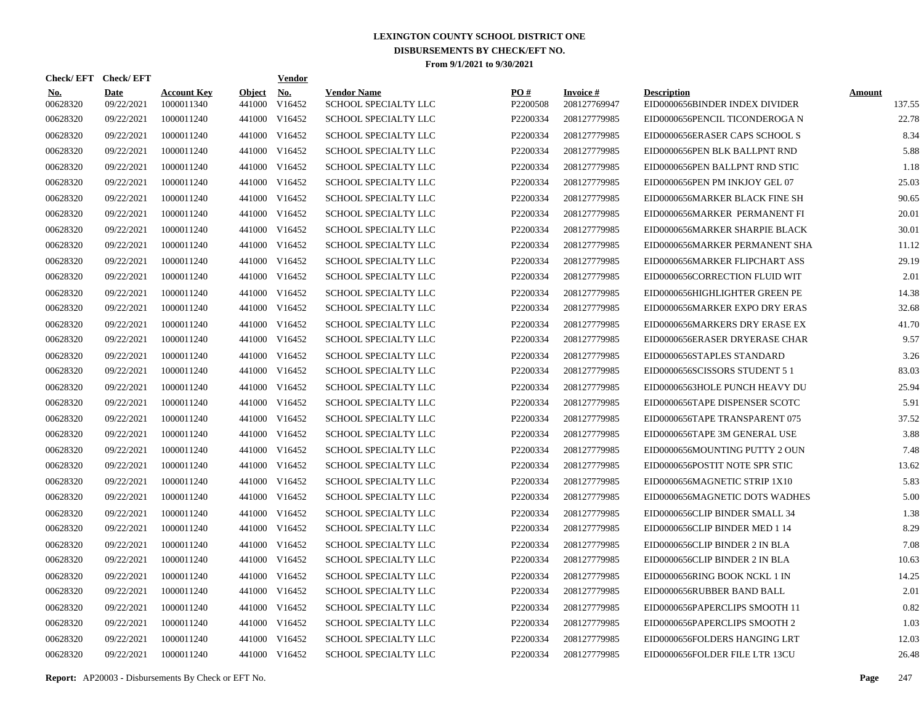| <b>Check/EFT</b>       | <b>Check/EFT</b>          |                                  |                         | <b>Vendor</b>        |                                            |                 |                                 |                                                      |                         |
|------------------------|---------------------------|----------------------------------|-------------------------|----------------------|--------------------------------------------|-----------------|---------------------------------|------------------------------------------------------|-------------------------|
| <b>No.</b><br>00628320 | <b>Date</b><br>09/22/2021 | <b>Account Key</b><br>1000011340 | <b>Object</b><br>441000 | <b>No.</b><br>V16452 | <b>Vendor Name</b><br>SCHOOL SPECIALTY LLC | PO#<br>P2200508 | <b>Invoice#</b><br>208127769947 | <b>Description</b><br>EID0000656BINDER INDEX DIVIDER | <b>Amount</b><br>137.55 |
| 00628320               | 09/22/2021                | 1000011240                       | 441000                  | V16452               | <b>SCHOOL SPECIALTY LLC</b>                | P2200334        | 208127779985                    | EID0000656PENCIL TICONDEROGA N                       | 22.78                   |
| 00628320               | 09/22/2021                | 1000011240                       | 441000                  | V16452               | <b>SCHOOL SPECIALTY LLC</b>                | P2200334        | 208127779985                    | EID0000656ERASER CAPS SCHOOL S                       | 8.34                    |
| 00628320               | 09/22/2021                | 1000011240                       | 441000                  | V16452               | SCHOOL SPECIALTY LLC                       | P2200334        | 208127779985                    | EID0000656PEN BLK BALLPNT RND                        | 5.88                    |
| 00628320               | 09/22/2021                | 1000011240                       | 441000                  | V16452               | <b>SCHOOL SPECIALTY LLC</b>                | P2200334        | 208127779985                    | EID0000656PEN BALLPNT RND STIC                       | 1.18                    |
| 00628320               | 09/22/2021                | 1000011240                       | 441000                  | V16452               | <b>SCHOOL SPECIALTY LLC</b>                | P2200334        | 208127779985                    | EID0000656PEN PM INKJOY GEL 07                       | 25.03                   |
| 00628320               | 09/22/2021                | 1000011240                       | 441000                  | V16452               | <b>SCHOOL SPECIALTY LLC</b>                | P2200334        | 208127779985                    | EID0000656MARKER BLACK FINE SH                       | 90.65                   |
| 00628320               | 09/22/2021                | 1000011240                       | 441000                  | V16452               | <b>SCHOOL SPECIALTY LLC</b>                | P2200334        | 208127779985                    | EID0000656MARKER PERMANENT FI                        | 20.01                   |
| 00628320               | 09/22/2021                | 1000011240                       | 441000                  | V16452               | <b>SCHOOL SPECIALTY LLC</b>                | P2200334        | 208127779985                    | EID0000656MARKER SHARPIE BLACK                       | 30.01                   |
| 00628320               | 09/22/2021                | 1000011240                       | 441000                  | V16452               | SCHOOL SPECIALTY LLC                       | P2200334        | 208127779985                    | EID0000656MARKER PERMANENT SHA                       | 11.12                   |
| 00628320               | 09/22/2021                | 1000011240                       | 441000                  | V16452               | SCHOOL SPECIALTY LLC                       | P2200334        | 208127779985                    | EID0000656MARKER FLIPCHART ASS                       | 29.19                   |
| 00628320               | 09/22/2021                | 1000011240                       | 441000                  | V16452               | <b>SCHOOL SPECIALTY LLC</b>                | P2200334        | 208127779985                    | EID0000656CORRECTION FLUID WIT                       | 2.01                    |
| 00628320               | 09/22/2021                | 1000011240                       | 441000                  | V16452               | <b>SCHOOL SPECIALTY LLC</b>                | P2200334        | 208127779985                    | EID0000656HIGHLIGHTER GREEN PE                       | 14.38                   |
| 00628320               | 09/22/2021                | 1000011240                       | 441000                  | V16452               | <b>SCHOOL SPECIALTY LLC</b>                | P2200334        | 208127779985                    | EID0000656MARKER EXPO DRY ERAS                       | 32.68                   |
| 00628320               | 09/22/2021                | 1000011240                       | 441000                  | V16452               | <b>SCHOOL SPECIALTY LLC</b>                | P2200334        | 208127779985                    | EID0000656MARKERS DRY ERASE EX                       | 41.70                   |
| 00628320               | 09/22/2021                | 1000011240                       | 441000                  | V16452               | <b>SCHOOL SPECIALTY LLC</b>                | P2200334        | 208127779985                    | EID0000656ERASER DRYERASE CHAR                       | 9.57                    |
| 00628320               | 09/22/2021                | 1000011240                       | 441000                  | V16452               | <b>SCHOOL SPECIALTY LLC</b>                | P2200334        | 208127779985                    | EID0000656STAPLES STANDARD                           | 3.26                    |
| 00628320               | 09/22/2021                | 1000011240                       | 441000                  | V16452               | SCHOOL SPECIALTY LLC                       | P2200334        | 208127779985                    | EID0000656SCISSORS STUDENT 5 1                       | 83.03                   |
| 00628320               | 09/22/2021                | 1000011240                       | 441000                  | V16452               | <b>SCHOOL SPECIALTY LLC</b>                | P2200334        | 208127779985                    | EID00006563HOLE PUNCH HEAVY DU                       | 25.94                   |
| 00628320               | 09/22/2021                | 1000011240                       | 441000                  | V16452               | <b>SCHOOL SPECIALTY LLC</b>                | P2200334        | 208127779985                    | EID0000656TAPE DISPENSER SCOTC                       | 5.91                    |
| 00628320               | 09/22/2021                | 1000011240                       | 441000                  | V16452               | <b>SCHOOL SPECIALTY LLC</b>                | P2200334        | 208127779985                    | EID0000656TAPE TRANSPARENT 075                       | 37.52                   |
| 00628320               | 09/22/2021                | 1000011240                       | 441000                  | V16452               | <b>SCHOOL SPECIALTY LLC</b>                | P2200334        | 208127779985                    | EID0000656TAPE 3M GENERAL USE                        | 3.88                    |
| 00628320               | 09/22/2021                | 1000011240                       | 441000                  | V16452               | <b>SCHOOL SPECIALTY LLC</b>                | P2200334        | 208127779985                    | EID0000656MOUNTING PUTTY 2 OUN                       | 7.48                    |
| 00628320               | 09/22/2021                | 1000011240                       | 441000                  | V16452               | <b>SCHOOL SPECIALTY LLC</b>                | P2200334        | 208127779985                    | EID0000656POSTIT NOTE SPR STIC                       | 13.62                   |
| 00628320               | 09/22/2021                | 1000011240                       | 441000                  | V16452               | <b>SCHOOL SPECIALTY LLC</b>                | P2200334        | 208127779985                    | EID0000656MAGNETIC STRIP 1X10                        | 5.83                    |
| 00628320               | 09/22/2021                | 1000011240                       | 441000                  | V16452               | <b>SCHOOL SPECIALTY LLC</b>                | P2200334        | 208127779985                    | EID0000656MAGNETIC DOTS WADHES                       | 5.00                    |
| 00628320               | 09/22/2021                | 1000011240                       | 441000                  | V16452               | <b>SCHOOL SPECIALTY LLC</b>                | P2200334        | 208127779985                    | EID0000656CLIP BINDER SMALL 34                       | 1.38                    |
| 00628320               | 09/22/2021                | 1000011240                       | 441000                  | V16452               | SCHOOL SPECIALTY LLC                       | P2200334        | 208127779985                    | EID0000656CLIP BINDER MED 1 14                       | 8.29                    |
| 00628320               | 09/22/2021                | 1000011240                       | 441000                  | V16452               | <b>SCHOOL SPECIALTY LLC</b>                | P2200334        | 208127779985                    | EID0000656CLIP BINDER 2 IN BLA                       | 7.08                    |
| 00628320               | 09/22/2021                | 1000011240                       | 441000                  | V16452               | <b>SCHOOL SPECIALTY LLC</b>                | P2200334        | 208127779985                    | EID0000656CLIP BINDER 2 IN BLA                       | 10.63                   |
| 00628320               | 09/22/2021                | 1000011240                       | 441000                  | V16452               | <b>SCHOOL SPECIALTY LLC</b>                | P2200334        | 208127779985                    | EID0000656RING BOOK NCKL 1 IN                        | 14.25                   |
| 00628320               | 09/22/2021                | 1000011240                       | 441000                  | V16452               | <b>SCHOOL SPECIALTY LLC</b>                | P2200334        | 208127779985                    | EID0000656RUBBER BAND BALL                           | 2.01                    |
| 00628320               | 09/22/2021                | 1000011240                       | 441000                  | V16452               | <b>SCHOOL SPECIALTY LLC</b>                | P2200334        | 208127779985                    | EID0000656PAPERCLIPS SMOOTH 11                       | 0.82                    |
| 00628320               | 09/22/2021                | 1000011240                       | 441000                  | V16452               | <b>SCHOOL SPECIALTY LLC</b>                | P2200334        | 208127779985                    | EID0000656PAPERCLIPS SMOOTH 2                        | 1.03                    |
| 00628320               | 09/22/2021                | 1000011240                       | 441000                  | V16452               | <b>SCHOOL SPECIALTY LLC</b>                | P2200334        | 208127779985                    | EID0000656FOLDERS HANGING LRT                        | 12.03                   |
| 00628320               | 09/22/2021                | 1000011240                       |                         | 441000 V16452        | <b>SCHOOL SPECIALTY LLC</b>                | P2200334        | 208127779985                    | EID0000656FOLDER FILE LTR 13CU                       | 26.48                   |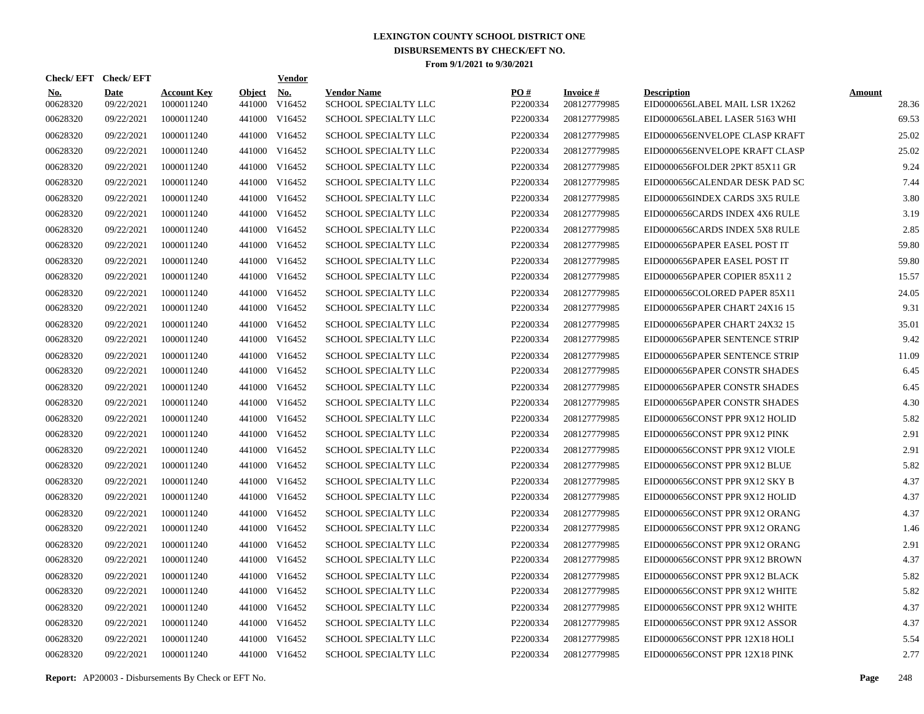| Check/EFT Check/EFT    |                           |                                  |                         | <u>Vendor</u>        |                                            |                 |                                 |                                                      |                        |
|------------------------|---------------------------|----------------------------------|-------------------------|----------------------|--------------------------------------------|-----------------|---------------------------------|------------------------------------------------------|------------------------|
| <b>No.</b><br>00628320 | <b>Date</b><br>09/22/2021 | <b>Account Key</b><br>1000011240 | <b>Object</b><br>441000 | <u>No.</u><br>V16452 | <b>Vendor Name</b><br>SCHOOL SPECIALTY LLC | PO#<br>P2200334 | <b>Invoice#</b><br>208127779985 | <b>Description</b><br>EID0000656LABEL MAIL LSR 1X262 | <b>Amount</b><br>28.36 |
| 00628320               | 09/22/2021                | 1000011240                       | 441000                  | V16452               | <b>SCHOOL SPECIALTY LLC</b>                | P2200334        | 208127779985                    | EID0000656LABEL LASER 5163 WHI                       | 69.53                  |
| 00628320               | 09/22/2021                | 1000011240                       | 441000                  | V16452               | SCHOOL SPECIALTY LLC                       | P2200334        | 208127779985                    | EID0000656ENVELOPE CLASP KRAFT                       | 25.02                  |
| 00628320               | 09/22/2021                | 1000011240                       | 441000                  | V16452               | <b>SCHOOL SPECIALTY LLC</b>                | P2200334        | 208127779985                    | EID0000656ENVELOPE KRAFT CLASP                       | 25.02                  |
| 00628320               | 09/22/2021                | 1000011240                       | 441000                  | V16452               | SCHOOL SPECIALTY LLC                       | P2200334        | 208127779985                    | EID0000656FOLDER 2PKT 85X11 GR                       | 9.24                   |
| 00628320               | 09/22/2021                | 1000011240                       | 441000                  | V16452               | SCHOOL SPECIALTY LLC                       | P2200334        | 208127779985                    | EID0000656CALENDAR DESK PAD SC                       | 7.44                   |
| 00628320               | 09/22/2021                | 1000011240                       | 441000                  | V16452               | SCHOOL SPECIALTY LLC                       | P2200334        | 208127779985                    | EID0000656INDEX CARDS 3X5 RULE                       | 3.80                   |
| 00628320               | 09/22/2021                | 1000011240                       | 441000                  | V16452               | <b>SCHOOL SPECIALTY LLC</b>                | P2200334        | 208127779985                    | EID0000656CARDS INDEX 4X6 RULE                       | 3.19                   |
| 00628320               | 09/22/2021                | 1000011240                       | 441000                  | V16452               | SCHOOL SPECIALTY LLC                       | P2200334        | 208127779985                    | EID0000656CARDS INDEX 5X8 RULE                       | 2.85                   |
| 00628320               | 09/22/2021                | 1000011240                       | 441000                  | V16452               | SCHOOL SPECIALTY LLC                       | P2200334        | 208127779985                    | EID0000656PAPER EASEL POST IT                        | 59.80                  |
| 00628320               | 09/22/2021                | 1000011240                       | 441000                  | V16452               | SCHOOL SPECIALTY LLC                       | P2200334        | 208127779985                    | EID0000656PAPER EASEL POST IT                        | 59.80                  |
| 00628320               | 09/22/2021                | 1000011240                       | 441000                  | V16452               | <b>SCHOOL SPECIALTY LLC</b>                | P2200334        | 208127779985                    | EID0000656PAPER COPIER 85X11 2                       | 15.57                  |
| 00628320               | 09/22/2021                | 1000011240                       | 441000                  | V16452               | <b>SCHOOL SPECIALTY LLC</b>                | P2200334        | 208127779985                    | EID0000656COLORED PAPER 85X11                        | 24.05                  |
| 00628320               | 09/22/2021                | 1000011240                       | 441000                  | V16452               | SCHOOL SPECIALTY LLC                       | P2200334        | 208127779985                    | EID0000656PAPER CHART 24X16 15                       | 9.31                   |
| 00628320               | 09/22/2021                | 1000011240                       | 441000                  | V16452               | SCHOOL SPECIALTY LLC                       | P2200334        | 208127779985                    | EID0000656PAPER CHART 24X32 15                       | 35.01                  |
| 00628320               | 09/22/2021                | 1000011240                       |                         | 441000 V16452        | <b>SCHOOL SPECIALTY LLC</b>                | P2200334        | 208127779985                    | EID0000656PAPER SENTENCE STRIP                       | 9.42                   |
| 00628320               | 09/22/2021                | 1000011240                       | 441000                  | V16452               | SCHOOL SPECIALTY LLC                       | P2200334        | 208127779985                    | EID0000656PAPER SENTENCE STRIP                       | 11.09                  |
| 00628320               | 09/22/2021                | 1000011240                       |                         | 441000 V16452        | SCHOOL SPECIALTY LLC                       | P2200334        | 208127779985                    | EID0000656PAPER CONSTR SHADES                        | 6.45                   |
| 00628320               | 09/22/2021                | 1000011240                       | 441000                  | V16452               | <b>SCHOOL SPECIALTY LLC</b>                | P2200334        | 208127779985                    | EID0000656PAPER CONSTR SHADES                        | 6.45                   |
| 00628320               | 09/22/2021                | 1000011240                       |                         | 441000 V16452        | <b>SCHOOL SPECIALTY LLC</b>                | P2200334        | 208127779985                    | EID0000656PAPER CONSTR SHADES                        | 4.30                   |
| 00628320               | 09/22/2021                | 1000011240                       | 441000                  | V16452               | SCHOOL SPECIALTY LLC                       | P2200334        | 208127779985                    | EID0000656CONST PPR 9X12 HOLID                       | 5.82                   |
| 00628320               | 09/22/2021                | 1000011240                       |                         | 441000 V16452        | SCHOOL SPECIALTY LLC                       | P2200334        | 208127779985                    | EID0000656CONST PPR 9X12 PINK                        | 2.91                   |
| 00628320               | 09/22/2021                | 1000011240                       | 441000                  | V16452               | SCHOOL SPECIALTY LLC                       | P2200334        | 208127779985                    | EID0000656CONST PPR 9X12 VIOLE                       | 2.91                   |
| 00628320               | 09/22/2021                | 1000011240                       | 441000                  | V16452               | <b>SCHOOL SPECIALTY LLC</b>                | P2200334        | 208127779985                    | EID0000656CONST PPR 9X12 BLUE                        | 5.82                   |
| 00628320               | 09/22/2021                | 1000011240                       | 441000                  | V16452               | <b>SCHOOL SPECIALTY LLC</b>                | P2200334        | 208127779985                    | EID0000656CONST PPR 9X12 SKY B                       | 4.37                   |
| 00628320               | 09/22/2021                | 1000011240                       | 441000                  | V16452               | SCHOOL SPECIALTY LLC                       | P2200334        | 208127779985                    | EID0000656CONST PPR 9X12 HOLID                       | 4.37                   |
| 00628320               | 09/22/2021                | 1000011240                       | 441000                  | V16452               | <b>SCHOOL SPECIALTY LLC</b>                | P2200334        | 208127779985                    | EID0000656CONST PPR 9X12 ORANG                       | 4.37                   |
| 00628320               | 09/22/2021                | 1000011240                       | 441000                  | V16452               | <b>SCHOOL SPECIALTY LLC</b>                | P2200334        | 208127779985                    | EID0000656CONST PPR 9X12 ORANG                       | 1.46                   |
| 00628320               | 09/22/2021                | 1000011240                       | 441000                  | V16452               | <b>SCHOOL SPECIALTY LLC</b>                | P2200334        | 208127779985                    | EID0000656CONST PPR 9X12 ORANG                       | 2.91                   |
| 00628320               | 09/22/2021                | 1000011240                       | 441000                  | V16452               | SCHOOL SPECIALTY LLC                       | P2200334        | 208127779985                    | EID0000656CONST PPR 9X12 BROWN                       | 4.37                   |
| 00628320               | 09/22/2021                | 1000011240                       | 441000                  | V16452               | SCHOOL SPECIALTY LLC                       | P2200334        | 208127779985                    | EID0000656CONST PPR 9X12 BLACK                       | 5.82                   |
| 00628320               | 09/22/2021                | 1000011240                       | 441000                  | V16452               | <b>SCHOOL SPECIALTY LLC</b>                | P2200334        | 208127779985                    | EID0000656CONST PPR 9X12 WHITE                       | 5.82                   |
| 00628320               | 09/22/2021                | 1000011240                       | 441000                  | V16452               | <b>SCHOOL SPECIALTY LLC</b>                | P2200334        | 208127779985                    | EID0000656CONST PPR 9X12 WHITE                       | 4.37                   |
| 00628320               | 09/22/2021                | 1000011240                       | 441000                  | V16452               | <b>SCHOOL SPECIALTY LLC</b>                | P2200334        | 208127779985                    | EID0000656CONST PPR 9X12 ASSOR                       | 4.37                   |
| 00628320               | 09/22/2021                | 1000011240                       | 441000                  | V16452               | <b>SCHOOL SPECIALTY LLC</b>                | P2200334        | 208127779985                    | EID0000656CONST PPR 12X18 HOLI                       | 5.54                   |
| 00628320               | 09/22/2021                | 1000011240                       |                         | 441000 V16452        | <b>SCHOOL SPECIALTY LLC</b>                | P2200334        | 208127779985                    | EID0000656CONST PPR 12X18 PINK                       | 2.77                   |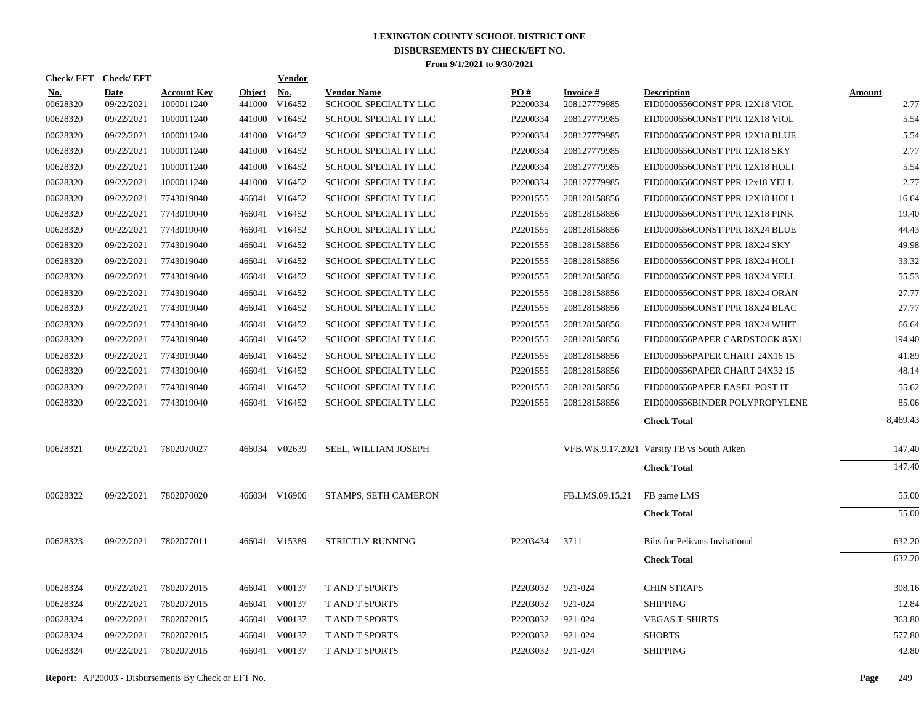| Check/EFT Check/EFT    |                           |                                  |                         | <b>Vendor</b>        |                                            |                               |                                 |                                                      |                       |
|------------------------|---------------------------|----------------------------------|-------------------------|----------------------|--------------------------------------------|-------------------------------|---------------------------------|------------------------------------------------------|-----------------------|
| <u>No.</u><br>00628320 | <b>Date</b><br>09/22/2021 | <b>Account Key</b><br>1000011240 | <b>Object</b><br>441000 | <u>No.</u><br>V16452 | <b>Vendor Name</b><br>SCHOOL SPECIALTY LLC | $\underline{PO#}$<br>P2200334 | <b>Invoice#</b><br>208127779985 | <b>Description</b><br>EID0000656CONST PPR 12X18 VIOL | <b>Amount</b><br>2.77 |
| 00628320               | 09/22/2021                | 1000011240                       |                         | 441000 V16452        | SCHOOL SPECIALTY LLC                       | P2200334                      | 208127779985                    | EID0000656CONST PPR 12X18 VIOL                       | 5.54                  |
| 00628320               | 09/22/2021                | 1000011240                       |                         | 441000 V16452        | SCHOOL SPECIALTY LLC                       | P2200334                      | 208127779985                    | EID0000656CONST PPR 12X18 BLUE                       | 5.54                  |
| 00628320               | 09/22/2021                | 1000011240                       |                         | 441000 V16452        | SCHOOL SPECIALTY LLC                       | P2200334                      | 208127779985                    | EID0000656CONST PPR 12X18 SKY                        | 2.77                  |
| 00628320               | 09/22/2021                | 1000011240                       |                         | 441000 V16452        | SCHOOL SPECIALTY LLC                       | P2200334                      | 208127779985                    | EID0000656CONST PPR 12X18 HOLI                       | 5.54                  |
| 00628320               | 09/22/2021                | 1000011240                       |                         | 441000 V16452        | SCHOOL SPECIALTY LLC                       | P2200334                      | 208127779985                    | EID0000656CONST PPR 12x18 YELL                       | 2.77                  |
| 00628320               | 09/22/2021                | 7743019040                       |                         | 466041 V16452        | SCHOOL SPECIALTY LLC                       | P2201555                      | 208128158856                    | EID0000656CONST PPR 12X18 HOLI                       | 16.64                 |
| 00628320               | 09/22/2021                | 7743019040                       |                         | 466041 V16452        | SCHOOL SPECIALTY LLC                       | P2201555                      | 208128158856                    | EID0000656CONST PPR 12X18 PINK                       | 19.40                 |
| 00628320               | 09/22/2021                | 7743019040                       |                         | 466041 V16452        | SCHOOL SPECIALTY LLC                       | P2201555                      | 208128158856                    | EID0000656CONST PPR 18X24 BLUE                       | 44.43                 |
| 00628320               | 09/22/2021                | 7743019040                       |                         | 466041 V16452        | SCHOOL SPECIALTY LLC                       | P <sub>2201555</sub>          | 208128158856                    | EID0000656CONST PPR 18X24 SKY                        | 49.98                 |
| 00628320               | 09/22/2021                | 7743019040                       |                         | 466041 V16452        | SCHOOL SPECIALTY LLC                       | P2201555                      | 208128158856                    | EID0000656CONST PPR 18X24 HOLI                       | 33.32                 |
| 00628320               | 09/22/2021                | 7743019040                       |                         | 466041 V16452        | SCHOOL SPECIALTY LLC                       | P2201555                      | 208128158856                    | EID0000656CONST PPR 18X24 YELL                       | 55.53                 |
| 00628320               | 09/22/2021                | 7743019040                       |                         | 466041 V16452        | SCHOOL SPECIALTY LLC                       | P2201555                      | 208128158856                    | EID0000656CONST PPR 18X24 ORAN                       | 27.77                 |
| 00628320               | 09/22/2021                | 7743019040                       |                         | 466041 V16452        | SCHOOL SPECIALTY LLC                       | P2201555                      | 208128158856                    | EID0000656CONST PPR 18X24 BLAC                       | 27.77                 |
| 00628320               | 09/22/2021                | 7743019040                       |                         | 466041 V16452        | SCHOOL SPECIALTY LLC                       | P2201555                      | 208128158856                    | EID0000656CONST PPR 18X24 WHIT                       | 66.64                 |
| 00628320               | 09/22/2021                | 7743019040                       |                         | 466041 V16452        | SCHOOL SPECIALTY LLC                       | P2201555                      | 208128158856                    | EID0000656PAPER CARDSTOCK 85X1                       | 194.40                |
| 00628320               | 09/22/2021                | 7743019040                       |                         | 466041 V16452        | SCHOOL SPECIALTY LLC                       | P2201555                      | 208128158856                    | EID0000656PAPER CHART 24X16 15                       | 41.89                 |
| 00628320               | 09/22/2021                | 7743019040                       |                         | 466041 V16452        | SCHOOL SPECIALTY LLC                       | P2201555                      | 208128158856                    | EID0000656PAPER CHART 24X32 15                       | 48.14                 |
| 00628320               | 09/22/2021                | 7743019040                       |                         | 466041 V16452        | SCHOOL SPECIALTY LLC                       | P2201555                      | 208128158856                    | EID0000656PAPER EASEL POST IT                        | 55.62                 |
| 00628320               | 09/22/2021                | 7743019040                       |                         | 466041 V16452        | SCHOOL SPECIALTY LLC                       | P2201555                      | 208128158856                    | EID0000656BINDER POLYPROPYLENE                       | 85.06                 |
|                        |                           |                                  |                         |                      |                                            |                               |                                 | <b>Check Total</b>                                   | 8,469.43              |
| 00628321               | 09/22/2021                | 7802070027                       |                         | 466034 V02639        | SEEL, WILLIAM JOSEPH                       |                               |                                 | VFB.WK.9.17.2021 Varsity FB vs South Aiken           | 147.40                |
|                        |                           |                                  |                         |                      |                                            |                               |                                 | <b>Check Total</b>                                   | 147.40                |
| 00628322               | 09/22/2021                | 7802070020                       |                         | 466034 V16906        | STAMPS, SETH CAMERON                       |                               | FB.LMS.09.15.21                 | FB game LMS                                          | 55.00                 |
|                        |                           |                                  |                         |                      |                                            |                               |                                 | <b>Check Total</b>                                   | 55.00                 |
| 00628323               | 09/22/2021                | 7802077011                       |                         | 466041 V15389        | STRICTLY RUNNING                           | P2203434                      | 3711                            | <b>Bibs for Pelicans Invitational</b>                | 632.20                |
|                        |                           |                                  |                         |                      |                                            |                               |                                 | <b>Check Total</b>                                   | 632.20                |
| 00628324               | 09/22/2021                | 7802072015                       |                         | 466041 V00137        | T AND T SPORTS                             | P2203032                      | 921-024                         | <b>CHIN STRAPS</b>                                   | 308.16                |
| 00628324               | 09/22/2021                | 7802072015                       |                         | 466041 V00137        | <b>TAND T SPORTS</b>                       | P2203032                      | 921-024                         | <b>SHIPPING</b>                                      | 12.84                 |
| 00628324               | 09/22/2021                | 7802072015                       |                         | 466041 V00137        | <b>TAND T SPORTS</b>                       | P2203032                      | 921-024                         | <b>VEGAS T-SHIRTS</b>                                | 363.80                |
| 00628324               | 09/22/2021                | 7802072015                       | 466041                  | V00137               | T AND T SPORTS                             | P2203032                      | 921-024                         | <b>SHORTS</b>                                        | 577.80                |
| 00628324               | 09/22/2021                | 7802072015                       |                         | 466041 V00137        | <b>T AND T SPORTS</b>                      | P2203032                      | 921-024                         | <b>SHIPPING</b>                                      | 42.80                 |
|                        |                           |                                  |                         |                      |                                            |                               |                                 |                                                      |                       |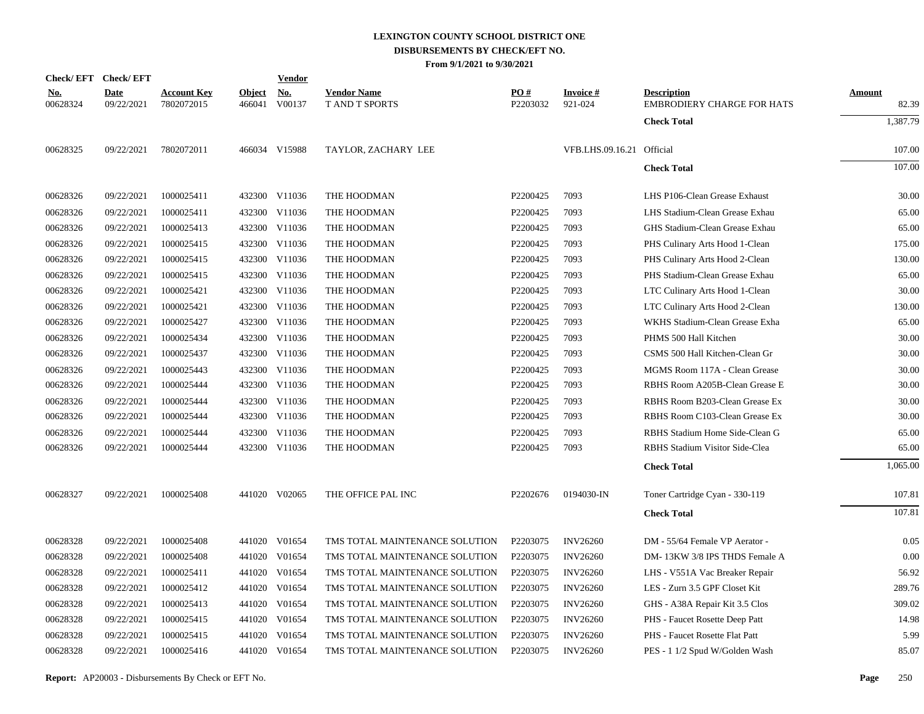| Check/EFT Check/EFT    |                           |                                  |                         | <u>Vendor</u>        |                                             |                 |                            |                                                         |                        |
|------------------------|---------------------------|----------------------------------|-------------------------|----------------------|---------------------------------------------|-----------------|----------------------------|---------------------------------------------------------|------------------------|
| <u>No.</u><br>00628324 | <b>Date</b><br>09/22/2021 | <b>Account Key</b><br>7802072015 | <b>Object</b><br>466041 | <u>No.</u><br>V00137 | <b>Vendor Name</b><br><b>T AND T SPORTS</b> | PO#<br>P2203032 | <b>Invoice#</b><br>921-024 | <b>Description</b><br><b>EMBRODIERY CHARGE FOR HATS</b> | <b>Amount</b><br>82.39 |
|                        |                           |                                  |                         |                      |                                             |                 |                            | <b>Check Total</b>                                      | 1,387.79               |
| 00628325               | 09/22/2021                | 7802072011                       |                         | 466034 V15988        | TAYLOR, ZACHARY LEE                         |                 | VFB.LHS.09.16.21 Official  |                                                         | 107.00                 |
|                        |                           |                                  |                         |                      |                                             |                 |                            | <b>Check Total</b>                                      | 107.00                 |
| 00628326               | 09/22/2021                | 1000025411                       |                         | 432300 V11036        | THE HOODMAN                                 | P2200425        | 7093                       | LHS P106-Clean Grease Exhaust                           | 30.00                  |
| 00628326               | 09/22/2021                | 1000025411                       | 432300                  | V11036               | THE HOODMAN                                 | P2200425        | 7093                       | LHS Stadium-Clean Grease Exhau                          | 65.00                  |
| 00628326               | 09/22/2021                | 1000025413                       |                         | 432300 V11036        | THE HOODMAN                                 | P2200425        | 7093                       | GHS Stadium-Clean Grease Exhau                          | 65.00                  |
| 00628326               | 09/22/2021                | 1000025415                       |                         | 432300 V11036        | THE HOODMAN                                 | P2200425        | 7093                       | PHS Culinary Arts Hood 1-Clean                          | 175.00                 |
| 00628326               | 09/22/2021                | 1000025415                       |                         | 432300 V11036        | THE HOODMAN                                 | P2200425        | 7093                       | PHS Culinary Arts Hood 2-Clean                          | 130.00                 |
| 00628326               | 09/22/2021                | 1000025415                       |                         | 432300 V11036        | THE HOODMAN                                 | P2200425        | 7093                       | PHS Stadium-Clean Grease Exhau                          | 65.00                  |
| 00628326               | 09/22/2021                | 1000025421                       |                         | 432300 V11036        | THE HOODMAN                                 | P2200425        | 7093                       | LTC Culinary Arts Hood 1-Clean                          | 30.00                  |
| 00628326               | 09/22/2021                | 1000025421                       |                         | 432300 V11036        | THE HOODMAN                                 | P2200425        | 7093                       | LTC Culinary Arts Hood 2-Clean                          | 130.00                 |
| 00628326               | 09/22/2021                | 1000025427                       |                         | 432300 V11036        | THE HOODMAN                                 | P2200425        | 7093                       | WKHS Stadium-Clean Grease Exha                          | 65.00                  |
| 00628326               | 09/22/2021                | 1000025434                       |                         | 432300 V11036        | THE HOODMAN                                 | P2200425        | 7093                       | PHMS 500 Hall Kitchen                                   | 30.00                  |
| 00628326               | 09/22/2021                | 1000025437                       |                         | 432300 V11036        | THE HOODMAN                                 | P2200425        | 7093                       | CSMS 500 Hall Kitchen-Clean Gr                          | 30.00                  |
| 00628326               | 09/22/2021                | 1000025443                       |                         | 432300 V11036        | THE HOODMAN                                 | P2200425        | 7093                       | MGMS Room 117A - Clean Grease                           | 30.00                  |
| 00628326               | 09/22/2021                | 1000025444                       |                         | 432300 V11036        | THE HOODMAN                                 | P2200425        | 7093                       | RBHS Room A205B-Clean Grease E                          | 30.00                  |
| 00628326               | 09/22/2021                | 1000025444                       | 432300                  | V11036               | THE HOODMAN                                 | P2200425        | 7093                       | RBHS Room B203-Clean Grease Ex                          | 30.00                  |
| 00628326               | 09/22/2021                | 1000025444                       |                         | 432300 V11036        | THE HOODMAN                                 | P2200425        | 7093                       | RBHS Room C103-Clean Grease Ex                          | 30.00                  |
| 00628326               | 09/22/2021                | 1000025444                       | 432300                  | V11036               | THE HOODMAN                                 | P2200425        | 7093                       | RBHS Stadium Home Side-Clean G                          | 65.00                  |
| 00628326               | 09/22/2021                | 1000025444                       |                         | 432300 V11036        | THE HOODMAN                                 | P2200425        | 7093                       | RBHS Stadium Visitor Side-Clea                          | 65.00                  |
|                        |                           |                                  |                         |                      |                                             |                 |                            | <b>Check Total</b>                                      | 1,065.00               |
| 00628327               | 09/22/2021                | 1000025408                       |                         | 441020 V02065        | THE OFFICE PAL INC                          | P2202676        | 0194030-IN                 | Toner Cartridge Cyan - 330-119                          | 107.81                 |
|                        |                           |                                  |                         |                      |                                             |                 |                            | <b>Check Total</b>                                      | 107.81                 |
| 00628328               | 09/22/2021                | 1000025408                       | 441020                  | V01654               | TMS TOTAL MAINTENANCE SOLUTION              | P2203075        | <b>INV26260</b>            | DM - 55/64 Female VP Aerator -                          | 0.05                   |
| 00628328               | 09/22/2021                | 1000025408                       |                         | 441020 V01654        | TMS TOTAL MAINTENANCE SOLUTION              | P2203075        | <b>INV26260</b>            | DM-13KW 3/8 IPS THDS Female A                           | 0.00                   |
| 00628328               | 09/22/2021                | 1000025411                       | 441020                  | V01654               | TMS TOTAL MAINTENANCE SOLUTION              | P2203075        | <b>INV26260</b>            | LHS - V551A Vac Breaker Repair                          | 56.92                  |
| 00628328               | 09/22/2021                | 1000025412                       |                         | 441020 V01654        | TMS TOTAL MAINTENANCE SOLUTION              | P2203075        | <b>INV26260</b>            | LES - Zurn 3.5 GPF Closet Kit                           | 289.76                 |
| 00628328               | 09/22/2021                | 1000025413                       | 441020                  | V01654               | TMS TOTAL MAINTENANCE SOLUTION              | P2203075        | <b>INV26260</b>            | GHS - A38A Repair Kit 3.5 Clos                          | 309.02                 |
| 00628328               | 09/22/2021                | 1000025415                       | 441020                  | V01654               | TMS TOTAL MAINTENANCE SOLUTION              | P2203075        | <b>INV26260</b>            | PHS - Faucet Rosette Deep Patt                          | 14.98                  |
| 00628328               | 09/22/2021                | 1000025415                       | 441020                  | V01654               | TMS TOTAL MAINTENANCE SOLUTION              | P2203075        | <b>INV26260</b>            | PHS - Faucet Rosette Flat Patt                          | 5.99                   |
| 00628328               | 09/22/2021                | 1000025416                       |                         | 441020 V01654        | TMS TOTAL MAINTENANCE SOLUTION              | P2203075        | <b>INV26260</b>            | PES - 1 1/2 Spud W/Golden Wash                          | 85.07                  |
|                        |                           |                                  |                         |                      |                                             |                 |                            |                                                         |                        |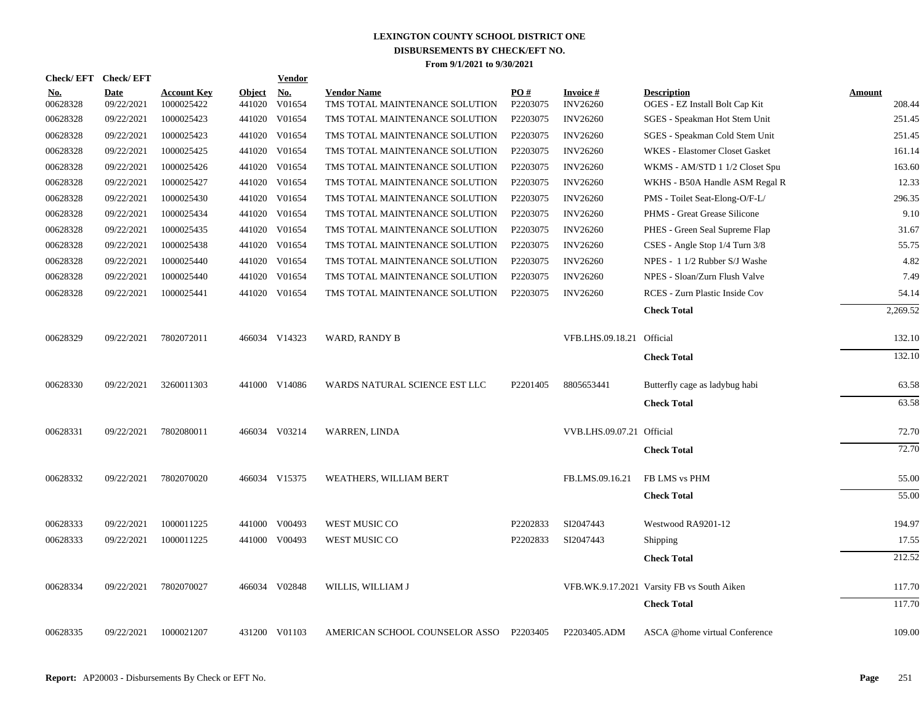| Check/EFT Check/EFT |                           |                                  |                  | <b>Vendor</b>                         |                                                      |                      |                                    |                                                      |                         |
|---------------------|---------------------------|----------------------------------|------------------|---------------------------------------|------------------------------------------------------|----------------------|------------------------------------|------------------------------------------------------|-------------------------|
| No.<br>00628328     | <b>Date</b><br>09/22/2021 | <b>Account Key</b><br>1000025422 | Object<br>441020 | $\underline{\mathrm{No}}$ .<br>V01654 | <b>Vendor Name</b><br>TMS TOTAL MAINTENANCE SOLUTION | PO#<br>P2203075      | <b>Invoice#</b><br><b>INV26260</b> | <b>Description</b><br>OGES - EZ Install Bolt Cap Kit | <u>Amount</u><br>208.44 |
| 00628328            | 09/22/2021                | 1000025423                       | 441020           | V01654                                | TMS TOTAL MAINTENANCE SOLUTION                       | P2203075             | <b>INV26260</b>                    | SGES - Speakman Hot Stem Unit                        | 251.45                  |
| 00628328            | 09/22/2021                | 1000025423                       | 441020           | V01654                                | TMS TOTAL MAINTENANCE SOLUTION                       | P2203075             | <b>INV26260</b>                    | SGES - Speakman Cold Stem Unit                       | 251.45                  |
| 00628328            | 09/22/2021                | 1000025425                       | 441020           | V01654                                | TMS TOTAL MAINTENANCE SOLUTION                       | P2203075             | <b>INV26260</b>                    | <b>WKES</b> - Elastomer Closet Gasket                | 161.14                  |
| 00628328            | 09/22/2021                | 1000025426                       | 441020           | V01654                                | TMS TOTAL MAINTENANCE SOLUTION                       | P2203075             | <b>INV26260</b>                    | WKMS - AM/STD 1 1/2 Closet Spu                       | 163.60                  |
| 00628328            | 09/22/2021                | 1000025427                       | 441020           | V01654                                | TMS TOTAL MAINTENANCE SOLUTION                       | P2203075             | <b>INV26260</b>                    | WKHS - B50A Handle ASM Regal R                       | 12.33                   |
| 00628328            | 09/22/2021                | 1000025430                       | 441020           | V01654                                | TMS TOTAL MAINTENANCE SOLUTION                       | P2203075             | <b>INV26260</b>                    | PMS - Toilet Seat-Elong-O/F-L/                       | 296.35                  |
| 00628328            | 09/22/2021                | 1000025434                       | 441020           | V01654                                | TMS TOTAL MAINTENANCE SOLUTION                       | P2203075             | <b>INV26260</b>                    | PHMS - Great Grease Silicone                         | 9.10                    |
| 00628328            | 09/22/2021                | 1000025435                       | 441020           | V01654                                | TMS TOTAL MAINTENANCE SOLUTION                       | P2203075             | <b>INV26260</b>                    | PHES - Green Seal Supreme Flap                       | 31.67                   |
| 00628328            | 09/22/2021                | 1000025438                       | 441020           | V01654                                | TMS TOTAL MAINTENANCE SOLUTION                       | P2203075             | <b>INV26260</b>                    | CSES - Angle Stop 1/4 Turn 3/8                       | 55.75                   |
| 00628328            | 09/22/2021                | 1000025440                       |                  | 441020 V01654                         | TMS TOTAL MAINTENANCE SOLUTION                       | P2203075             | <b>INV26260</b>                    | NPES - 1 1/2 Rubber S/J Washe                        | 4.82                    |
| 00628328            | 09/22/2021                | 1000025440                       |                  | 441020 V01654                         | TMS TOTAL MAINTENANCE SOLUTION                       | P2203075             | <b>INV26260</b>                    | NPES - Sloan/Zurn Flush Valve                        | 7.49                    |
| 00628328            | 09/22/2021                | 1000025441                       |                  | 441020 V01654                         | TMS TOTAL MAINTENANCE SOLUTION                       | P2203075             | <b>INV26260</b>                    | RCES - Zurn Plastic Inside Cov                       | 54.14                   |
|                     |                           |                                  |                  |                                       |                                                      |                      |                                    | <b>Check Total</b>                                   | 2,269.52                |
|                     |                           |                                  |                  |                                       |                                                      |                      |                                    |                                                      |                         |
| 00628329            | 09/22/2021                | 7802072011                       |                  | 466034 V14323                         | WARD, RANDY B                                        |                      | VFB.LHS.09.18.21 Official          |                                                      | 132.10                  |
|                     |                           |                                  |                  |                                       |                                                      |                      |                                    | <b>Check Total</b>                                   | 132.10                  |
|                     |                           |                                  |                  |                                       |                                                      |                      |                                    |                                                      |                         |
| 00628330            | 09/22/2021                | 3260011303                       |                  | 441000 V14086                         | WARDS NATURAL SCIENCE EST LLC                        | P <sub>2201405</sub> | 8805653441                         | Butterfly cage as ladybug habi                       | 63.58                   |
|                     |                           |                                  |                  |                                       |                                                      |                      |                                    | <b>Check Total</b>                                   | 63.58                   |
| 00628331            | 09/22/2021                | 7802080011                       |                  | 466034 V03214                         | <b>WARREN, LINDA</b>                                 |                      | VVB.LHS.09.07.21 Official          |                                                      | 72.70                   |
|                     |                           |                                  |                  |                                       |                                                      |                      |                                    | <b>Check Total</b>                                   | 72.70                   |
|                     |                           |                                  |                  |                                       |                                                      |                      |                                    |                                                      |                         |
| 00628332            | 09/22/2021                | 7802070020                       |                  | 466034 V15375                         | WEATHERS, WILLIAM BERT                               |                      | FB.LMS.09.16.21                    | FB LMS vs PHM                                        | 55.00                   |
|                     |                           |                                  |                  |                                       |                                                      |                      |                                    | <b>Check Total</b>                                   | 55.00                   |
| 00628333            | 09/22/2021                | 1000011225                       |                  | 441000 V00493                         | WEST MUSIC CO                                        | P2202833             | SI2047443                          | Westwood RA9201-12                                   | 194.97                  |
| 00628333            | 09/22/2021                | 1000011225                       |                  | 441000 V00493                         | WEST MUSIC CO                                        | P2202833             | SI2047443                          |                                                      | 17.55                   |
|                     |                           |                                  |                  |                                       |                                                      |                      |                                    | Shipping                                             |                         |
|                     |                           |                                  |                  |                                       |                                                      |                      |                                    | <b>Check Total</b>                                   | 212.52                  |
| 00628334            | 09/22/2021                | 7802070027                       |                  | 466034 V02848                         | WILLIS, WILLIAM J                                    |                      |                                    | VFB.WK.9.17.2021 Varsity FB vs South Aiken           | 117.70                  |
|                     |                           |                                  |                  |                                       |                                                      |                      |                                    | <b>Check Total</b>                                   | 117.70                  |
|                     |                           |                                  |                  |                                       |                                                      |                      |                                    |                                                      |                         |
| 00628335            | 09/22/2021                | 1000021207                       |                  | 431200 V01103                         | AMERICAN SCHOOL COUNSELOR ASSO P2203405              |                      | P2203405.ADM                       | ASCA @home virtual Conference                        | 109.00                  |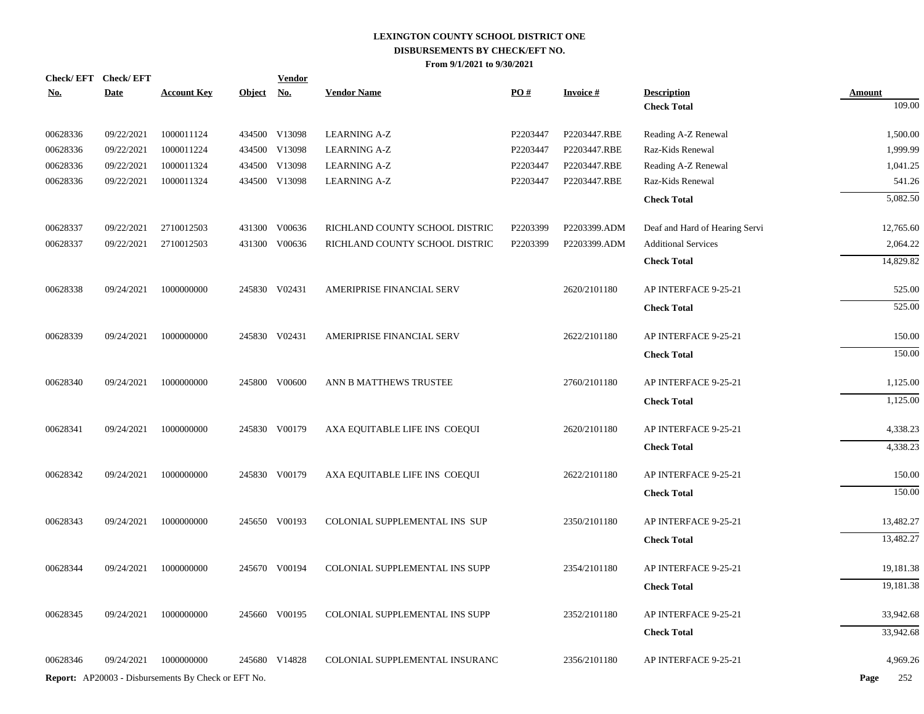|            | Check/EFT Check/EFT |                                                            |               | <b>Vendor</b> |                                |          |                 |                                          |                         |
|------------|---------------------|------------------------------------------------------------|---------------|---------------|--------------------------------|----------|-----------------|------------------------------------------|-------------------------|
| <u>No.</u> | <b>Date</b>         | <b>Account Key</b>                                         | <b>Object</b> | <u>No.</u>    | <b>Vendor Name</b>             | PO#      | <b>Invoice#</b> | <b>Description</b><br><b>Check Total</b> | <b>Amount</b><br>109.00 |
|            |                     |                                                            |               |               |                                |          |                 |                                          |                         |
| 00628336   | 09/22/2021          | 1000011124                                                 |               | 434500 V13098 | <b>LEARNING A-Z</b>            | P2203447 | P2203447.RBE    | Reading A-Z Renewal                      | 1,500.00                |
| 00628336   | 09/22/2021          | 1000011224                                                 |               | 434500 V13098 | <b>LEARNING A-Z</b>            | P2203447 | P2203447.RBE    | Raz-Kids Renewal                         | 1,999.99                |
| 00628336   | 09/22/2021          | 1000011324                                                 |               | 434500 V13098 | <b>LEARNING A-Z</b>            | P2203447 | P2203447.RBE    | Reading A-Z Renewal                      | 1,041.25                |
| 00628336   | 09/22/2021          | 1000011324                                                 |               | 434500 V13098 | <b>LEARNING A-Z</b>            | P2203447 | P2203447.RBE    | Raz-Kids Renewal                         | 541.26                  |
|            |                     |                                                            |               |               |                                |          |                 | <b>Check Total</b>                       | 5,082.50                |
| 00628337   | 09/22/2021          | 2710012503                                                 |               | 431300 V00636 | RICHLAND COUNTY SCHOOL DISTRIC | P2203399 | P2203399.ADM    | Deaf and Hard of Hearing Servi           | 12,765.60               |
| 00628337   | 09/22/2021          | 2710012503                                                 |               | 431300 V00636 | RICHLAND COUNTY SCHOOL DISTRIC | P2203399 | P2203399.ADM    | <b>Additional Services</b>               | 2,064.22                |
|            |                     |                                                            |               |               |                                |          |                 | <b>Check Total</b>                       | 14,829.82               |
| 00628338   | 09/24/2021          | 1000000000                                                 |               | 245830 V02431 | AMERIPRISE FINANCIAL SERV      |          | 2620/2101180    | AP INTERFACE 9-25-21                     | 525.00                  |
|            |                     |                                                            |               |               |                                |          |                 | <b>Check Total</b>                       | 525.00                  |
| 00628339   | 09/24/2021          | 1000000000                                                 |               | 245830 V02431 | AMERIPRISE FINANCIAL SERV      |          | 2622/2101180    | AP INTERFACE 9-25-21                     | 150.00                  |
|            |                     |                                                            |               |               |                                |          |                 | <b>Check Total</b>                       | 150.00                  |
| 00628340   | 09/24/2021          | 1000000000                                                 |               | 245800 V00600 | ANN B MATTHEWS TRUSTEE         |          | 2760/2101180    | AP INTERFACE 9-25-21                     | 1,125.00                |
|            |                     |                                                            |               |               |                                |          |                 | <b>Check Total</b>                       | 1,125.00                |
| 00628341   | 09/24/2021          | 1000000000                                                 |               | 245830 V00179 | AXA EQUITABLE LIFE INS COEQUI  |          | 2620/2101180    | AP INTERFACE 9-25-21                     | 4,338.23                |
|            |                     |                                                            |               |               |                                |          |                 | <b>Check Total</b>                       | 4,338.23                |
| 00628342   | 09/24/2021          | 1000000000                                                 |               | 245830 V00179 | AXA EQUITABLE LIFE INS COEQUI  |          | 2622/2101180    | AP INTERFACE 9-25-21                     | 150.00                  |
|            |                     |                                                            |               |               |                                |          |                 | <b>Check Total</b>                       | 150.00                  |
| 00628343   | 09/24/2021          | 1000000000                                                 |               | 245650 V00193 | COLONIAL SUPPLEMENTAL INS SUP  |          | 2350/2101180    | AP INTERFACE 9-25-21                     | 13,482.27               |
|            |                     |                                                            |               |               |                                |          |                 | <b>Check Total</b>                       | 13,482.27               |
| 00628344   | 09/24/2021          | 1000000000                                                 |               | 245670 V00194 | COLONIAL SUPPLEMENTAL INS SUPP |          | 2354/2101180    | AP INTERFACE 9-25-21                     | 19,181.38               |
|            |                     |                                                            |               |               |                                |          |                 | <b>Check Total</b>                       | 19,181.38               |
| 00628345   | 09/24/2021          | 1000000000                                                 |               | 245660 V00195 | COLONIAL SUPPLEMENTAL INS SUPP |          | 2352/2101180    | AP INTERFACE 9-25-21                     | 33,942.68               |
|            |                     |                                                            |               |               |                                |          |                 | <b>Check Total</b>                       | 33,942.68               |
|            |                     |                                                            |               |               |                                |          |                 |                                          |                         |
| 00628346   | 09/24/2021          | 1000000000                                                 |               | 245680 V14828 | COLONIAL SUPPLEMENTAL INSURANC |          | 2356/2101180    | AP INTERFACE 9-25-21                     | 4,969.26                |
|            |                     | <b>Report:</b> AP20003 - Disbursements By Check or EFT No. |               |               |                                |          |                 |                                          | 252<br>Page             |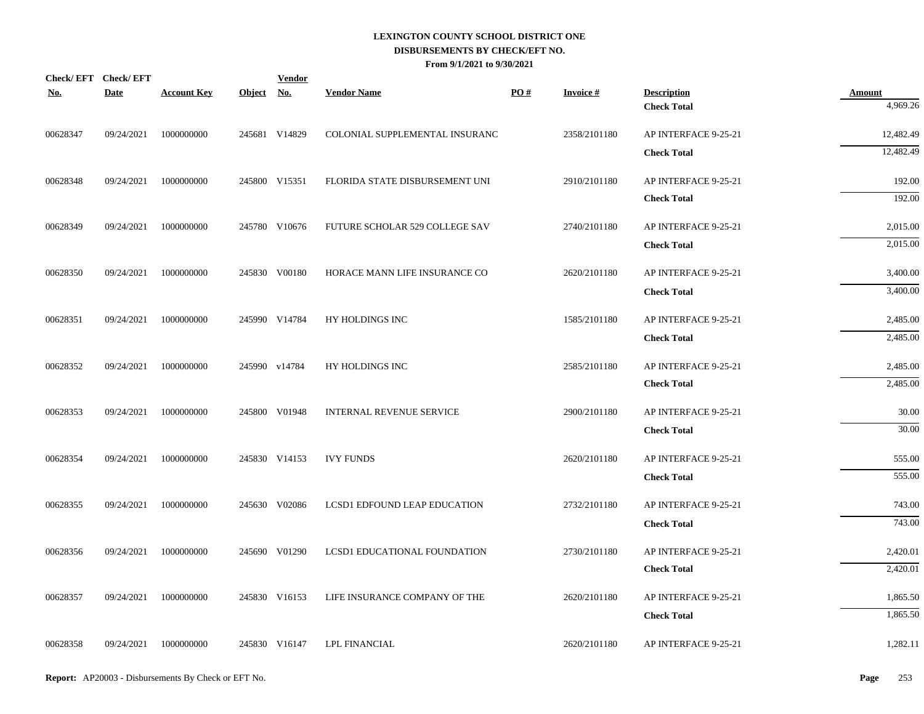| Check/EFT Check/EFT<br><b>No.</b> | <b>Date</b> | <b>Account Key</b>    | Object No. | <b>Vendor</b> | <b>Vendor Name</b>              | PO# | <b>Invoice#</b> | <b>Description</b>   | <b>Amount</b>    |
|-----------------------------------|-------------|-----------------------|------------|---------------|---------------------------------|-----|-----------------|----------------------|------------------|
|                                   |             |                       |            |               |                                 |     |                 | <b>Check Total</b>   | 4,969.26         |
| 00628347                          | 09/24/2021  | 1000000000            |            | 245681 V14829 | COLONIAL SUPPLEMENTAL INSURANC  |     | 2358/2101180    | AP INTERFACE 9-25-21 | 12,482.49        |
|                                   |             |                       |            |               |                                 |     |                 | <b>Check Total</b>   | 12,482.49        |
| 00628348                          | 09/24/2021  | 1000000000            |            | 245800 V15351 | FLORIDA STATE DISBURSEMENT UNI  |     | 2910/2101180    | AP INTERFACE 9-25-21 | 192.00           |
|                                   |             |                       |            |               |                                 |     |                 | <b>Check Total</b>   | 192.00           |
| 00628349                          | 09/24/2021  | 1000000000            |            | 245780 V10676 | FUTURE SCHOLAR 529 COLLEGE SAV  |     | 2740/2101180    | AP INTERFACE 9-25-21 | 2,015.00         |
|                                   |             |                       |            |               |                                 |     |                 | <b>Check Total</b>   | 2,015.00         |
| 00628350                          | 09/24/2021  | 1000000000            |            | 245830 V00180 | HORACE MANN LIFE INSURANCE CO   |     | 2620/2101180    | AP INTERFACE 9-25-21 | 3,400.00         |
|                                   |             |                       |            |               |                                 |     |                 | <b>Check Total</b>   | 3,400.00         |
| 00628351                          | 09/24/2021  | 1000000000            |            | 245990 V14784 | HY HOLDINGS INC                 |     | 1585/2101180    | AP INTERFACE 9-25-21 | 2,485.00         |
|                                   |             |                       |            |               |                                 |     |                 | <b>Check Total</b>   | 2,485.00         |
| 00628352                          | 09/24/2021  | 1000000000            |            | 245990 v14784 | HY HOLDINGS INC                 |     | 2585/2101180    | AP INTERFACE 9-25-21 | 2,485.00         |
|                                   |             |                       |            |               |                                 |     |                 | <b>Check Total</b>   | 2,485.00         |
|                                   | 09/24/2021  | 1000000000            |            | 245800 V01948 | <b>INTERNAL REVENUE SERVICE</b> |     | 2900/2101180    | AP INTERFACE 9-25-21 | 30.00            |
| 00628353                          |             |                       |            |               |                                 |     |                 | <b>Check Total</b>   | 30.00            |
|                                   |             |                       |            |               |                                 |     |                 |                      |                  |
| 00628354                          | 09/24/2021  | 1000000000            |            | 245830 V14153 | <b>IVY FUNDS</b>                |     | 2620/2101180    | AP INTERFACE 9-25-21 | 555.00<br>555.00 |
|                                   |             |                       |            |               |                                 |     |                 | <b>Check Total</b>   |                  |
| 00628355                          | 09/24/2021  | 1000000000            |            | 245630 V02086 | LCSD1 EDFOUND LEAP EDUCATION    |     | 2732/2101180    | AP INTERFACE 9-25-21 | 743.00           |
|                                   |             |                       |            |               |                                 |     |                 | <b>Check Total</b>   | 743.00           |
| 00628356                          | 09/24/2021  | 1000000000            |            | 245690 V01290 | LCSD1 EDUCATIONAL FOUNDATION    |     | 2730/2101180    | AP INTERFACE 9-25-21 | 2,420.01         |
|                                   |             |                       |            |               |                                 |     |                 | <b>Check Total</b>   | 2,420.01         |
| 00628357                          | 09/24/2021  | 1000000000            |            | 245830 V16153 | LIFE INSURANCE COMPANY OF THE   |     | 2620/2101180    | AP INTERFACE 9-25-21 | 1,865.50         |
|                                   |             |                       |            |               |                                 |     |                 | <b>Check Total</b>   | 1,865.50         |
| 00628358                          |             | 09/24/2021 1000000000 |            | 245830 V16147 | <b>LPL FINANCIAL</b>            |     | 2620/2101180    | AP INTERFACE 9-25-21 | 1,282.11         |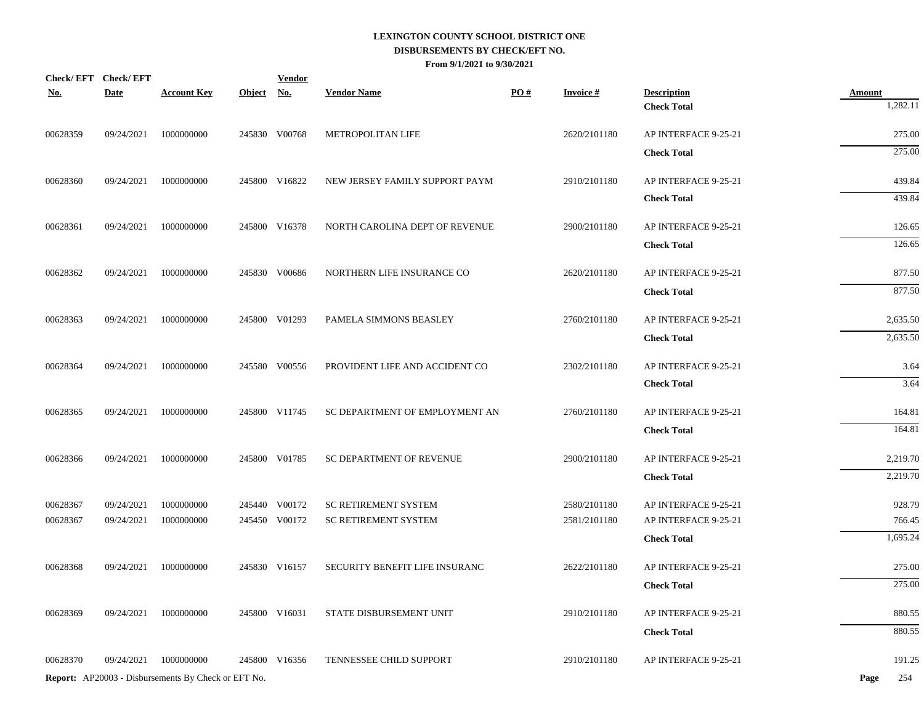| Check/EFT Check/EFT<br><b>No.</b> | <b>Date</b> | <b>Account Key</b>                                  | <u>Object</u> | <b>Vendor</b><br><u>No.</u> | <b>Vendor Name</b>              | PO# | <b>Invoice#</b> | <b>Description</b>   | <b>Amount</b> |
|-----------------------------------|-------------|-----------------------------------------------------|---------------|-----------------------------|---------------------------------|-----|-----------------|----------------------|---------------|
|                                   |             |                                                     |               |                             |                                 |     |                 | <b>Check Total</b>   | 1,282.11      |
| 00628359                          | 09/24/2021  | 1000000000                                          |               | 245830 V00768               | METROPOLITAN LIFE               |     | 2620/2101180    | AP INTERFACE 9-25-21 | 275.00        |
|                                   |             |                                                     |               |                             |                                 |     |                 | <b>Check Total</b>   | 275.00        |
| 00628360                          | 09/24/2021  | 1000000000                                          |               | 245800 V16822               | NEW JERSEY FAMILY SUPPORT PAYM  |     | 2910/2101180    | AP INTERFACE 9-25-21 | 439.84        |
|                                   |             |                                                     |               |                             |                                 |     |                 | <b>Check Total</b>   | 439.84        |
| 00628361                          | 09/24/2021  | 1000000000                                          |               | 245800 V16378               | NORTH CAROLINA DEPT OF REVENUE  |     | 2900/2101180    | AP INTERFACE 9-25-21 | 126.65        |
|                                   |             |                                                     |               |                             |                                 |     |                 | <b>Check Total</b>   | 126.65        |
| 00628362                          | 09/24/2021  | 1000000000                                          |               | 245830 V00686               | NORTHERN LIFE INSURANCE CO      |     | 2620/2101180    | AP INTERFACE 9-25-21 | 877.50        |
|                                   |             |                                                     |               |                             |                                 |     |                 | <b>Check Total</b>   | 877.50        |
| 00628363                          | 09/24/2021  | 1000000000                                          |               | 245800 V01293               | PAMELA SIMMONS BEASLEY          |     | 2760/2101180    | AP INTERFACE 9-25-21 | 2,635.50      |
|                                   |             |                                                     |               |                             |                                 |     |                 | <b>Check Total</b>   | 2,635.50      |
| 00628364                          | 09/24/2021  | 1000000000                                          |               | 245580 V00556               | PROVIDENT LIFE AND ACCIDENT CO  |     | 2302/2101180    | AP INTERFACE 9-25-21 | 3.64          |
|                                   |             |                                                     |               |                             |                                 |     |                 | <b>Check Total</b>   | 3.64          |
| 00628365                          | 09/24/2021  | 1000000000                                          |               | 245800 V11745               | SC DEPARTMENT OF EMPLOYMENT AN  |     | 2760/2101180    | AP INTERFACE 9-25-21 | 164.81        |
|                                   |             |                                                     |               |                             |                                 |     |                 | <b>Check Total</b>   | 164.81        |
| 00628366                          | 09/24/2021  | 1000000000                                          |               | 245800 V01785               | <b>SC DEPARTMENT OF REVENUE</b> |     | 2900/2101180    | AP INTERFACE 9-25-21 | 2,219.70      |
|                                   |             |                                                     |               |                             |                                 |     |                 | <b>Check Total</b>   | 2,219.70      |
| 00628367                          | 09/24/2021  | 1000000000                                          |               | 245440 V00172               | <b>SC RETIREMENT SYSTEM</b>     |     | 2580/2101180    | AP INTERFACE 9-25-21 | 928.79        |
| 00628367                          | 09/24/2021  | 1000000000                                          |               | 245450 V00172               | <b>SC RETIREMENT SYSTEM</b>     |     | 2581/2101180    | AP INTERFACE 9-25-21 | 766.45        |
|                                   |             |                                                     |               |                             |                                 |     |                 | <b>Check Total</b>   | 1,695.24      |
| 00628368                          | 09/24/2021  | 1000000000                                          |               | 245830 V16157               | SECURITY BENEFIT LIFE INSURANC  |     | 2622/2101180    | AP INTERFACE 9-25-21 | 275.00        |
|                                   |             |                                                     |               |                             |                                 |     |                 | <b>Check Total</b>   | 275.00        |
| 00628369                          | 09/24/2021  | 1000000000                                          |               | 245800 V16031               | STATE DISBURSEMENT UNIT         |     | 2910/2101180    | AP INTERFACE 9-25-21 | 880.55        |
|                                   |             |                                                     |               |                             |                                 |     |                 | <b>Check Total</b>   | 880.55        |
| 00628370                          | 09/24/2021  | 1000000000                                          |               | 245800 V16356               | TENNESSEE CHILD SUPPORT         |     | 2910/2101180    | AP INTERFACE 9-25-21 | 191.25        |
|                                   |             | Report: AP20003 - Disbursements By Check or EFT No. |               |                             |                                 |     |                 |                      | 254<br>Page   |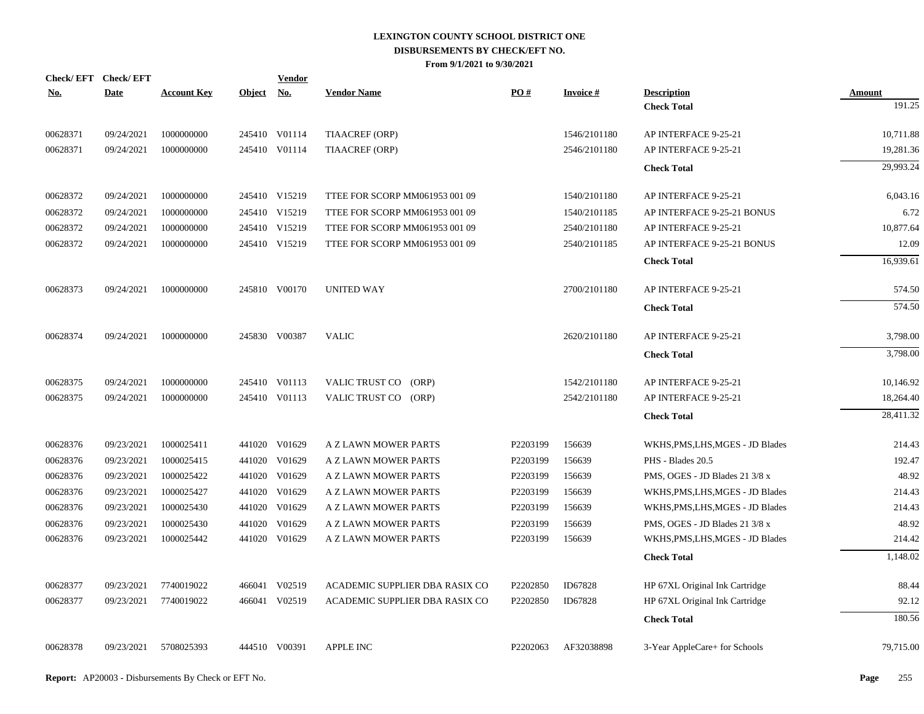| <u>No.</u> | Check/EFT Check/EFT<br><b>Date</b> | <b>Account Key</b> | Object No. | <b>Vendor</b> | <b>Vendor Name</b>             | PO#      | <b>Invoice#</b> | <b>Description</b>               | Amount    |
|------------|------------------------------------|--------------------|------------|---------------|--------------------------------|----------|-----------------|----------------------------------|-----------|
|            |                                    |                    |            |               |                                |          |                 | <b>Check Total</b>               | 191.25    |
| 00628371   | 09/24/2021                         | 1000000000         |            | 245410 V01114 | TIAACREF (ORP)                 |          | 1546/2101180    | AP INTERFACE 9-25-21             | 10,711.88 |
| 00628371   | 09/24/2021                         | 1000000000         |            | 245410 V01114 | <b>TIAACREF (ORP)</b>          |          | 2546/2101180    | AP INTERFACE 9-25-21             | 19,281.36 |
|            |                                    |                    |            |               |                                |          |                 | <b>Check Total</b>               | 29.993.24 |
| 00628372   | 09/24/2021                         | 1000000000         |            | 245410 V15219 | TTEE FOR SCORP MM061953 001 09 |          | 1540/2101180    | AP INTERFACE 9-25-21             | 6,043.16  |
| 00628372   | 09/24/2021                         | 1000000000         |            | 245410 V15219 | TTEE FOR SCORP MM061953 001 09 |          | 1540/2101185    | AP INTERFACE 9-25-21 BONUS       | 6.72      |
| 00628372   | 09/24/2021                         | 1000000000         |            | 245410 V15219 | TTEE FOR SCORP MM061953 001 09 |          | 2540/2101180    | AP INTERFACE 9-25-21             | 10,877.64 |
| 00628372   | 09/24/2021                         | 1000000000         |            | 245410 V15219 | TTEE FOR SCORP MM061953 001 09 |          | 2540/2101185    | AP INTERFACE 9-25-21 BONUS       | 12.09     |
|            |                                    |                    |            |               |                                |          |                 | <b>Check Total</b>               | 16,939.61 |
| 00628373   | 09/24/2021                         | 1000000000         |            | 245810 V00170 | <b>UNITED WAY</b>              |          | 2700/2101180    | AP INTERFACE 9-25-21             | 574.50    |
|            |                                    |                    |            |               |                                |          |                 | <b>Check Total</b>               | 574.50    |
| 00628374   | 09/24/2021                         | 1000000000         |            | 245830 V00387 | <b>VALIC</b>                   |          | 2620/2101180    | AP INTERFACE 9-25-21             | 3,798.00  |
|            |                                    |                    |            |               |                                |          |                 | <b>Check Total</b>               | 3,798.00  |
| 00628375   | 09/24/2021                         | 1000000000         |            | 245410 V01113 | VALIC TRUST CO (ORP)           |          | 1542/2101180    | AP INTERFACE 9-25-21             | 10,146.92 |
| 00628375   | 09/24/2021                         | 1000000000         |            | 245410 V01113 | VALIC TRUST CO (ORP)           |          | 2542/2101180    | AP INTERFACE 9-25-21             | 18,264.40 |
|            |                                    |                    |            |               |                                |          |                 | <b>Check Total</b>               | 28,411.32 |
| 00628376   | 09/23/2021                         | 1000025411         |            | 441020 V01629 | A Z LAWN MOWER PARTS           | P2203199 | 156639          | WKHS, PMS, LHS, MGES - JD Blades | 214.43    |
| 00628376   | 09/23/2021                         | 1000025415         |            | 441020 V01629 | A Z LAWN MOWER PARTS           | P2203199 | 156639          | PHS - Blades 20.5                | 192.47    |
| 00628376   | 09/23/2021                         | 1000025422         |            | 441020 V01629 | A Z LAWN MOWER PARTS           | P2203199 | 156639          | PMS, OGES - JD Blades 21 3/8 x   | 48.92     |
| 00628376   | 09/23/2021                         | 1000025427         |            | 441020 V01629 | A Z LAWN MOWER PARTS           | P2203199 | 156639          | WKHS, PMS, LHS, MGES - JD Blades | 214.43    |
| 00628376   | 09/23/2021                         | 1000025430         |            | 441020 V01629 | A Z LAWN MOWER PARTS           | P2203199 | 156639          | WKHS, PMS, LHS, MGES - JD Blades | 214.43    |
| 00628376   | 09/23/2021                         | 1000025430         |            | 441020 V01629 | A Z LAWN MOWER PARTS           | P2203199 | 156639          | PMS, OGES - JD Blades 21 3/8 x   | 48.92     |
| 00628376   | 09/23/2021                         | 1000025442         |            | 441020 V01629 | A Z LAWN MOWER PARTS           | P2203199 | 156639          | WKHS, PMS, LHS, MGES - JD Blades | 214.42    |
|            |                                    |                    |            |               |                                |          |                 | <b>Check Total</b>               | 1,148.02  |
| 00628377   | 09/23/2021                         | 7740019022         |            | 466041 V02519 | ACADEMIC SUPPLIER DBA RASIX CO | P2202850 | ID67828         | HP 67XL Original Ink Cartridge   | 88.44     |
| 00628377   | 09/23/2021                         | 7740019022         |            | 466041 V02519 | ACADEMIC SUPPLIER DBA RASIX CO | P2202850 | ID67828         | HP 67XL Original Ink Cartridge   | 92.12     |
|            |                                    |                    |            |               |                                |          |                 | <b>Check Total</b>               | 180.56    |
| 00628378   | 09/23/2021                         | 5708025393         |            | 444510 V00391 | APPLE INC                      | P2202063 | AF32038898      | 3-Year AppleCare+ for Schools    | 79,715.00 |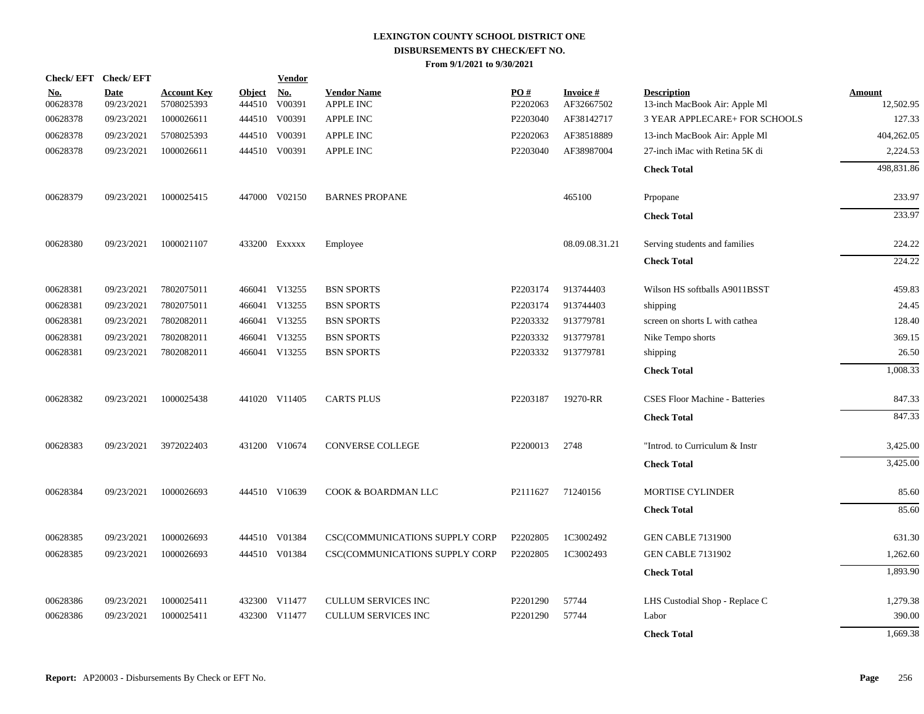|                        | Check/EFT Check/EFT       |                                  |                         | <b>Vendor</b>        |                                       |                 |                               |                                                     |                            |
|------------------------|---------------------------|----------------------------------|-------------------------|----------------------|---------------------------------------|-----------------|-------------------------------|-----------------------------------------------------|----------------------------|
| <u>No.</u><br>00628378 | <b>Date</b><br>09/23/2021 | <b>Account Key</b><br>5708025393 | <b>Object</b><br>444510 | <u>No.</u><br>V00391 | <b>Vendor Name</b><br>APPLE INC       | PO#<br>P2202063 | <b>Invoice#</b><br>AF32667502 | <b>Description</b><br>13-inch MacBook Air: Apple Ml | <b>Amount</b><br>12,502.95 |
| 00628378               | 09/23/2021                | 1000026611                       |                         | 444510 V00391        | <b>APPLE INC</b>                      | P2203040        | AF38142717                    | <b>3 YEAR APPLECARE+ FOR SCHOOLS</b>                | 127.33                     |
| 00628378               | 09/23/2021                | 5708025393                       | 444510                  | V00391               | <b>APPLE INC</b>                      | P2202063        | AF38518889                    | 13-inch MacBook Air: Apple Ml                       | 404,262.05                 |
| 00628378               | 09/23/2021                | 1000026611                       |                         | 444510 V00391        | <b>APPLE INC</b>                      | P2203040        | AF38987004                    | 27-inch iMac with Retina 5K di                      | 2,224.53                   |
|                        |                           |                                  |                         |                      |                                       |                 |                               | <b>Check Total</b>                                  | 498,831.86                 |
| 00628379               | 09/23/2021                | 1000025415                       |                         | 447000 V02150        | <b>BARNES PROPANE</b>                 |                 | 465100                        | Prpopane                                            | 233.97                     |
|                        |                           |                                  |                         |                      |                                       |                 |                               | <b>Check Total</b>                                  | 233.97                     |
| 00628380               | 09/23/2021                | 1000021107                       |                         | 433200 EXXXXX        | Employee                              |                 | 08.09.08.31.21                | Serving students and families                       | 224.22                     |
|                        |                           |                                  |                         |                      |                                       |                 |                               | <b>Check Total</b>                                  | 224.22                     |
| 00628381               | 09/23/2021                | 7802075011                       |                         | 466041 V13255        | <b>BSN SPORTS</b>                     | P2203174        | 913744403                     | Wilson HS softballs A9011BSST                       | 459.83                     |
| 00628381               | 09/23/2021                | 7802075011                       |                         | 466041 V13255        | <b>BSN SPORTS</b>                     | P2203174        | 913744403                     | shipping                                            | 24.45                      |
| 00628381               | 09/23/2021                | 7802082011                       |                         | 466041 V13255        | <b>BSN SPORTS</b>                     | P2203332        | 913779781                     | screen on shorts L with cathea                      | 128.40                     |
| 00628381               | 09/23/2021                | 7802082011                       |                         | 466041 V13255        | <b>BSN SPORTS</b>                     | P2203332        | 913779781                     | Nike Tempo shorts                                   | 369.15                     |
| 00628381               | 09/23/2021                | 7802082011                       |                         | 466041 V13255        | <b>BSN SPORTS</b>                     | P2203332        | 913779781                     | shipping                                            | 26.50                      |
|                        |                           |                                  |                         |                      |                                       |                 |                               | <b>Check Total</b>                                  | 1,008.33                   |
| 00628382               | 09/23/2021                | 1000025438                       |                         | 441020 V11405        | <b>CARTS PLUS</b>                     | P2203187        | 19270-RR                      | <b>CSES Floor Machine - Batteries</b>               | 847.33                     |
|                        |                           |                                  |                         |                      |                                       |                 |                               | <b>Check Total</b>                                  | 847.33                     |
| 00628383               | 09/23/2021                | 3972022403                       |                         | 431200 V10674        | CONVERSE COLLEGE                      | P2200013        | 2748                          | "Introd. to Curriculum & Instr                      | 3,425.00                   |
|                        |                           |                                  |                         |                      |                                       |                 |                               | <b>Check Total</b>                                  | 3,425.00                   |
| 00628384               | 09/23/2021                | 1000026693                       |                         | 444510 V10639        | COOK & BOARDMAN LLC                   | P2111627        | 71240156                      | <b>MORTISE CYLINDER</b>                             | 85.60                      |
|                        |                           |                                  |                         |                      |                                       |                 |                               | <b>Check Total</b>                                  | 85.60                      |
| 00628385               | 09/23/2021                | 1000026693                       |                         | 444510 V01384        | <b>CSC(COMMUNICATIONS SUPPLY CORP</b> | P2202805        | 1C3002492                     | <b>GEN CABLE 7131900</b>                            | 631.30                     |
| 00628385               | 09/23/2021                | 1000026693                       |                         | 444510 V01384        | CSC(COMMUNICATIONS SUPPLY CORP        | P2202805        | 1C3002493                     | <b>GEN CABLE 7131902</b>                            | 1,262.60                   |
|                        |                           |                                  |                         |                      |                                       |                 |                               | <b>Check Total</b>                                  | 1,893.90                   |
| 00628386               | 09/23/2021                | 1000025411                       |                         | 432300 V11477        | <b>CULLUM SERVICES INC</b>            | P2201290        | 57744                         | LHS Custodial Shop - Replace C                      | 1,279.38                   |
| 00628386               | 09/23/2021                | 1000025411                       | 432300                  | V11477               | <b>CULLUM SERVICES INC</b>            | P2201290        | 57744                         | Labor                                               | 390.00                     |
|                        |                           |                                  |                         |                      |                                       |                 |                               | <b>Check Total</b>                                  | 1,669.38                   |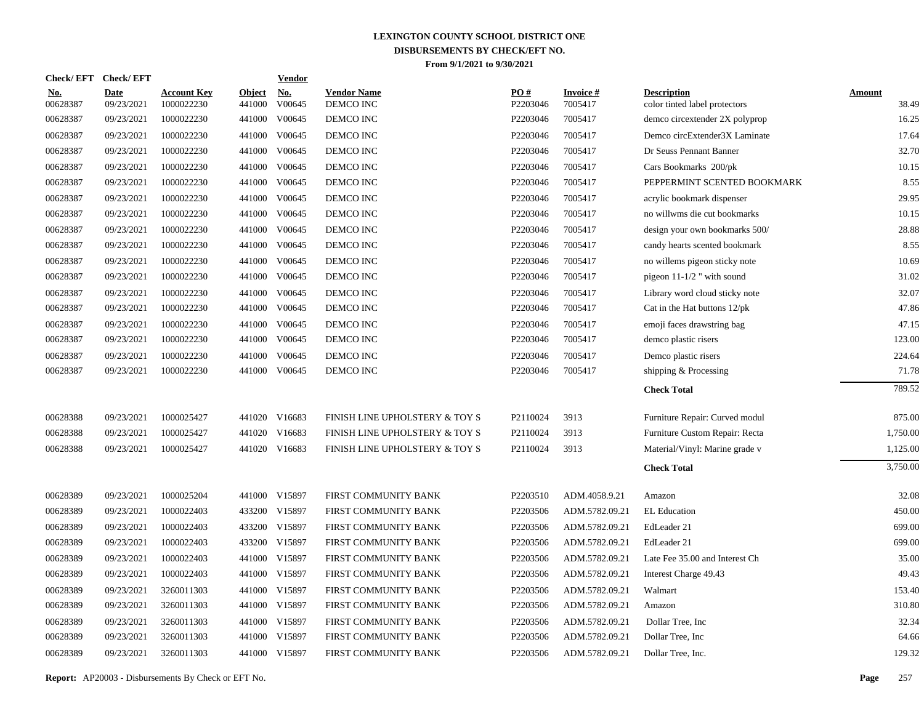| <b>Check/EFT</b>       | <b>Check/EFT</b>          |                                  |                         | <b>Vendor</b> |                                 |                 |                            |                                                     |                        |
|------------------------|---------------------------|----------------------------------|-------------------------|---------------|---------------------------------|-----------------|----------------------------|-----------------------------------------------------|------------------------|
| <u>No.</u><br>00628387 | <b>Date</b><br>09/23/2021 | <b>Account Key</b><br>1000022230 | <b>Object</b><br>441000 | No.<br>V00645 | <b>Vendor Name</b><br>DEMCO INC | PO#<br>P2203046 | <b>Invoice#</b><br>7005417 | <b>Description</b><br>color tinted label protectors | <b>Amount</b><br>38.49 |
| 00628387               | 09/23/2021                | 1000022230                       | 441000                  | V00645        | DEMCO INC                       | P2203046        | 7005417                    | demco circextender 2X polyprop                      | 16.25                  |
| 00628387               | 09/23/2021                | 1000022230                       | 441000                  | V00645        | DEMCO INC                       | P2203046        | 7005417                    | Demco circExtender3X Laminate                       | 17.64                  |
| 00628387               | 09/23/2021                | 1000022230                       | 441000                  | V00645        | DEMCO INC                       | P2203046        | 7005417                    | Dr Seuss Pennant Banner                             | 32.70                  |
| 00628387               | 09/23/2021                | 1000022230                       | 441000                  | V00645        | DEMCO INC                       | P2203046        | 7005417                    | Cars Bookmarks 200/pk                               | 10.15                  |
| 00628387               | 09/23/2021                | 1000022230                       |                         | 441000 V00645 | DEMCO INC                       | P2203046        | 7005417                    | PEPPERMINT SCENTED BOOKMARK                         | 8.55                   |
| 00628387               | 09/23/2021                | 1000022230                       |                         | 441000 V00645 | DEMCO INC                       | P2203046        | 7005417                    | acrylic bookmark dispenser                          | 29.95                  |
| 00628387               | 09/23/2021                | 1000022230                       |                         | 441000 V00645 | DEMCO INC                       | P2203046        | 7005417                    | no willwms die cut bookmarks                        | 10.15                  |
| 00628387               | 09/23/2021                | 1000022230                       | 441000                  | V00645        | DEMCO INC                       | P2203046        | 7005417                    | design your own bookmarks 500/                      | 28.88                  |
| 00628387               | 09/23/2021                | 1000022230                       |                         | 441000 V00645 | DEMCO INC                       | P2203046        | 7005417                    | candy hearts scented bookmark                       | 8.55                   |
| 00628387               | 09/23/2021                | 1000022230                       | 441000                  | V00645        | DEMCO INC                       | P2203046        | 7005417                    | no willems pigeon sticky note                       | 10.69                  |
| 00628387               | 09/23/2021                | 1000022230                       |                         | 441000 V00645 | DEMCO INC                       | P2203046        | 7005417                    | pigeon $11-1/2$ " with sound                        | 31.02                  |
| 00628387               | 09/23/2021                | 1000022230                       | 441000                  | V00645        | DEMCO INC                       | P2203046        | 7005417                    | Library word cloud sticky note                      | 32.07                  |
| 00628387               | 09/23/2021                | 1000022230                       |                         | 441000 V00645 | DEMCO INC                       | P2203046        | 7005417                    | Cat in the Hat buttons 12/pk                        | 47.86                  |
| 00628387               | 09/23/2021                | 1000022230                       |                         | 441000 V00645 | DEMCO INC                       | P2203046        | 7005417                    | emoji faces drawstring bag                          | 47.15                  |
| 00628387               | 09/23/2021                | 1000022230                       |                         | 441000 V00645 | DEMCO INC                       | P2203046        | 7005417                    | demco plastic risers                                | 123.00                 |
| 00628387               | 09/23/2021                | 1000022230                       | 441000                  | V00645        | DEMCO INC                       | P2203046        | 7005417                    | Demco plastic risers                                | 224.64                 |
| 00628387               | 09/23/2021                | 1000022230                       |                         | 441000 V00645 | DEMCO INC                       | P2203046        | 7005417                    | shipping & Processing                               | 71.78                  |
|                        |                           |                                  |                         |               |                                 |                 |                            | <b>Check Total</b>                                  | 789.52                 |
| 00628388               | 09/23/2021                | 1000025427                       |                         | 441020 V16683 | FINISH LINE UPHOLSTERY & TOY S  | P2110024        | 3913                       | Furniture Repair: Curved modul                      | 875.00                 |
| 00628388               | 09/23/2021                | 1000025427                       |                         | 441020 V16683 | FINISH LINE UPHOLSTERY & TOY S  | P2110024        | 3913                       | Furniture Custom Repair: Recta                      | 1,750.00               |
| 00628388               | 09/23/2021                | 1000025427                       |                         | 441020 V16683 | FINISH LINE UPHOLSTERY & TOY S  | P2110024        | 3913                       | Material/Vinyl: Marine grade v                      | 1,125.00               |
|                        |                           |                                  |                         |               |                                 |                 |                            | <b>Check Total</b>                                  | 3,750.00               |
| 00628389               | 09/23/2021                | 1000025204                       |                         | 441000 V15897 | FIRST COMMUNITY BANK            | P2203510        | ADM.4058.9.21              | Amazon                                              | 32.08                  |
| 00628389               | 09/23/2021                | 1000022403                       |                         | 433200 V15897 | FIRST COMMUNITY BANK            | P2203506        | ADM.5782.09.21             | EL Education                                        | 450.00                 |
| 00628389               | 09/23/2021                | 1000022403                       |                         | 433200 V15897 | FIRST COMMUNITY BANK            | P2203506        | ADM.5782.09.21             | EdLeader 21                                         | 699.00                 |
| 00628389               | 09/23/2021                | 1000022403                       |                         | 433200 V15897 | FIRST COMMUNITY BANK            | P2203506        | ADM.5782.09.21             | EdLeader 21                                         | 699.00                 |
| 00628389               | 09/23/2021                | 1000022403                       |                         | 441000 V15897 | FIRST COMMUNITY BANK            | P2203506        | ADM.5782.09.21             | Late Fee 35.00 and Interest Ch                      | 35.00                  |
| 00628389               | 09/23/2021                | 1000022403                       |                         | 441000 V15897 | FIRST COMMUNITY BANK            | P2203506        | ADM.5782.09.21             | Interest Charge 49.43                               | 49.43                  |
| 00628389               | 09/23/2021                | 3260011303                       |                         | 441000 V15897 | FIRST COMMUNITY BANK            | P2203506        | ADM.5782.09.21             | Walmart                                             | 153.40                 |
| 00628389               | 09/23/2021                | 3260011303                       |                         | 441000 V15897 | FIRST COMMUNITY BANK            | P2203506        | ADM.5782.09.21             | Amazon                                              | 310.80                 |
| 00628389               | 09/23/2021                | 3260011303                       |                         | 441000 V15897 | FIRST COMMUNITY BANK            | P2203506        | ADM.5782.09.21             | Dollar Tree, Inc.                                   | 32.34                  |
| 00628389               | 09/23/2021                | 3260011303                       |                         | 441000 V15897 | FIRST COMMUNITY BANK            | P2203506        | ADM.5782.09.21             | Dollar Tree, Inc                                    | 64.66                  |
| 00628389               | 09/23/2021                | 3260011303                       |                         | 441000 V15897 | FIRST COMMUNITY BANK            | P2203506        | ADM.5782.09.21             | Dollar Tree, Inc.                                   | 129.32                 |
|                        |                           |                                  |                         |               |                                 |                 |                            |                                                     |                        |

**Report:** AP20003 - Disbursements By Check or EFT No. **Page** 257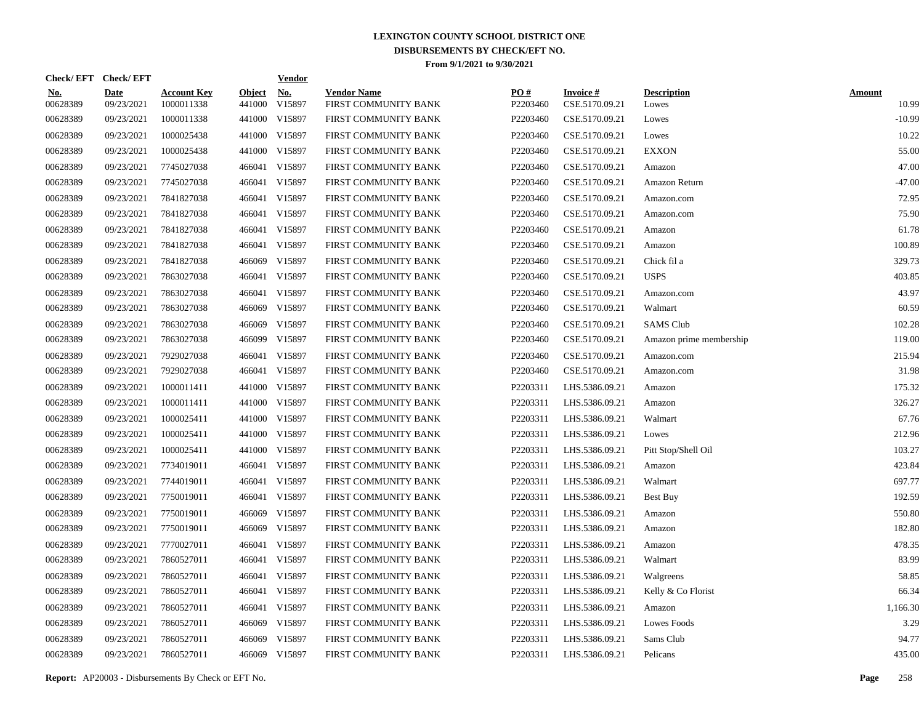| Check/EFT Check/EFT    |                           |                                  |                         | <u>Vendor</u>        |                                            |                 |                                   |                             |                        |
|------------------------|---------------------------|----------------------------------|-------------------------|----------------------|--------------------------------------------|-----------------|-----------------------------------|-----------------------------|------------------------|
| <u>No.</u><br>00628389 | <b>Date</b><br>09/23/2021 | <b>Account Key</b><br>1000011338 | <b>Object</b><br>441000 | <u>No.</u><br>V15897 | <b>Vendor Name</b><br>FIRST COMMUNITY BANK | PQ#<br>P2203460 | <b>Invoice#</b><br>CSE.5170.09.21 | <b>Description</b><br>Lowes | <b>Amount</b><br>10.99 |
| 00628389               | 09/23/2021                | 1000011338                       | 441000                  | V15897               | FIRST COMMUNITY BANK                       | P2203460        | CSE.5170.09.21                    | Lowes                       | $-10.99$               |
| 00628389               | 09/23/2021                | 1000025438                       | 441000                  | V15897               | FIRST COMMUNITY BANK                       | P2203460        | CSE.5170.09.21                    | Lowes                       | 10.22                  |
| 00628389               | 09/23/2021                | 1000025438                       |                         | 441000 V15897        | FIRST COMMUNITY BANK                       | P2203460        | CSE.5170.09.21                    | <b>EXXON</b>                | 55.00                  |
| 00628389               | 09/23/2021                | 7745027038                       | 466041                  | V15897               | FIRST COMMUNITY BANK                       | P2203460        | CSE.5170.09.21                    | Amazon                      | 47.00                  |
| 00628389               | 09/23/2021                | 7745027038                       | 466041                  | V15897               | FIRST COMMUNITY BANK                       | P2203460        | CSE.5170.09.21                    | Amazon Return               | $-47.00$               |
| 00628389               | 09/23/2021                | 7841827038                       | 466041                  | V15897               | FIRST COMMUNITY BANK                       | P2203460        | CSE.5170.09.21                    | Amazon.com                  | 72.95                  |
| 00628389               | 09/23/2021                | 7841827038                       | 466041                  | V15897               | FIRST COMMUNITY BANK                       | P2203460        | CSE.5170.09.21                    | Amazon.com                  | 75.90                  |
| 00628389               | 09/23/2021                | 7841827038                       | 466041                  | V15897               | FIRST COMMUNITY BANK                       | P2203460        | CSE.5170.09.21                    | Amazon                      | 61.78                  |
| 00628389               | 09/23/2021                | 7841827038                       | 466041                  | V15897               | FIRST COMMUNITY BANK                       | P2203460        | CSE.5170.09.21                    | Amazon                      | 100.89                 |
| 00628389               | 09/23/2021                | 7841827038                       | 466069                  | V15897               | FIRST COMMUNITY BANK                       | P2203460        | CSE.5170.09.21                    | Chick fil a                 | 329.73                 |
| 00628389               | 09/23/2021                | 7863027038                       | 466041                  | V15897               | FIRST COMMUNITY BANK                       | P2203460        | CSE.5170.09.21                    | <b>USPS</b>                 | 403.85                 |
| 00628389               | 09/23/2021                | 7863027038                       | 466041                  | V15897               | FIRST COMMUNITY BANK                       | P2203460        | CSE.5170.09.21                    | Amazon.com                  | 43.97                  |
| 00628389               | 09/23/2021                | 7863027038                       | 466069                  | V15897               | FIRST COMMUNITY BANK                       | P2203460        | CSE.5170.09.21                    | Walmart                     | 60.59                  |
| 00628389               | 09/23/2021                | 7863027038                       | 466069                  | V15897               | FIRST COMMUNITY BANK                       | P2203460        | CSE.5170.09.21                    | <b>SAMS</b> Club            | 102.28                 |
| 00628389               | 09/23/2021                | 7863027038                       | 466099                  | V15897               | FIRST COMMUNITY BANK                       | P2203460        | CSE.5170.09.21                    | Amazon prime membership     | 119.00                 |
| 00628389               | 09/23/2021                | 7929027038                       | 466041                  | V15897               | FIRST COMMUNITY BANK                       | P2203460        | CSE.5170.09.21                    | Amazon.com                  | 215.94                 |
| 00628389               | 09/23/2021                | 7929027038                       |                         | 466041 V15897        | FIRST COMMUNITY BANK                       | P2203460        | CSE.5170.09.21                    | Amazon.com                  | 31.98                  |
| 00628389               | 09/23/2021                | 1000011411                       | 441000                  | V15897               | FIRST COMMUNITY BANK                       | P2203311        | LHS.5386.09.21                    | Amazon                      | 175.32                 |
| 00628389               | 09/23/2021                | 1000011411                       |                         | 441000 V15897        | FIRST COMMUNITY BANK                       | P2203311        | LHS.5386.09.21                    | Amazon                      | 326.27                 |
| 00628389               | 09/23/2021                | 1000025411                       | 441000                  | V15897               | FIRST COMMUNITY BANK                       | P2203311        | LHS.5386.09.21                    | Walmart                     | 67.76                  |
| 00628389               | 09/23/2021                | 1000025411                       | 441000                  | V15897               | FIRST COMMUNITY BANK                       | P2203311        | LHS.5386.09.21                    | Lowes                       | 212.96                 |
| 00628389               | 09/23/2021                | 1000025411                       | 441000                  | V15897               | FIRST COMMUNITY BANK                       | P2203311        | LHS.5386.09.21                    | Pitt Stop/Shell Oil         | 103.27                 |
| 00628389               | 09/23/2021                | 7734019011                       | 466041                  | V15897               | FIRST COMMUNITY BANK                       | P2203311        | LHS.5386.09.21                    | Amazon                      | 423.84                 |
| 00628389               | 09/23/2021                | 7744019011                       |                         | 466041 V15897        | FIRST COMMUNITY BANK                       | P2203311        | LHS.5386.09.21                    | Walmart                     | 697.77                 |
| 00628389               | 09/23/2021                | 7750019011                       |                         | 466041 V15897        | FIRST COMMUNITY BANK                       | P2203311        | LHS.5386.09.21                    | Best Buy                    | 192.59                 |
| 00628389               | 09/23/2021                | 7750019011                       | 466069                  | V15897               | FIRST COMMUNITY BANK                       | P2203311        | LHS.5386.09.21                    | Amazon                      | 550.80                 |
| 00628389               | 09/23/2021                | 7750019011                       | 466069                  | V15897               | FIRST COMMUNITY BANK                       | P2203311        | LHS.5386.09.21                    | Amazon                      | 182.80                 |
| 00628389               | 09/23/2021                | 7770027011                       | 466041                  | V15897               | FIRST COMMUNITY BANK                       | P2203311        | LHS.5386.09.21                    | Amazon                      | 478.35                 |
| 00628389               | 09/23/2021                | 7860527011                       |                         | 466041 V15897        | FIRST COMMUNITY BANK                       | P2203311        | LHS.5386.09.21                    | Walmart                     | 83.99                  |
| 00628389               | 09/23/2021                | 7860527011                       |                         | 466041 V15897        | FIRST COMMUNITY BANK                       | P2203311        | LHS.5386.09.21                    | Walgreens                   | 58.85                  |
| 00628389               | 09/23/2021                | 7860527011                       |                         | 466041 V15897        | FIRST COMMUNITY BANK                       | P2203311        | LHS.5386.09.21                    | Kelly & Co Florist          | 66.34                  |
| 00628389               | 09/23/2021                | 7860527011                       |                         | 466041 V15897        | FIRST COMMUNITY BANK                       | P2203311        | LHS.5386.09.21                    | Amazon                      | 1,166.30               |
| 00628389               | 09/23/2021                | 7860527011                       | 466069                  | V15897               | FIRST COMMUNITY BANK                       | P2203311        | LHS.5386.09.21                    | Lowes Foods                 | 3.29                   |
| 00628389               | 09/23/2021                | 7860527011                       | 466069                  | V15897               | FIRST COMMUNITY BANK                       | P2203311        | LHS.5386.09.21                    | Sams Club                   | 94.77                  |
| 00628389               | 09/23/2021                | 7860527011                       |                         | 466069 V15897        | FIRST COMMUNITY BANK                       | P2203311        | LHS.5386.09.21                    | Pelicans                    | 435.00                 |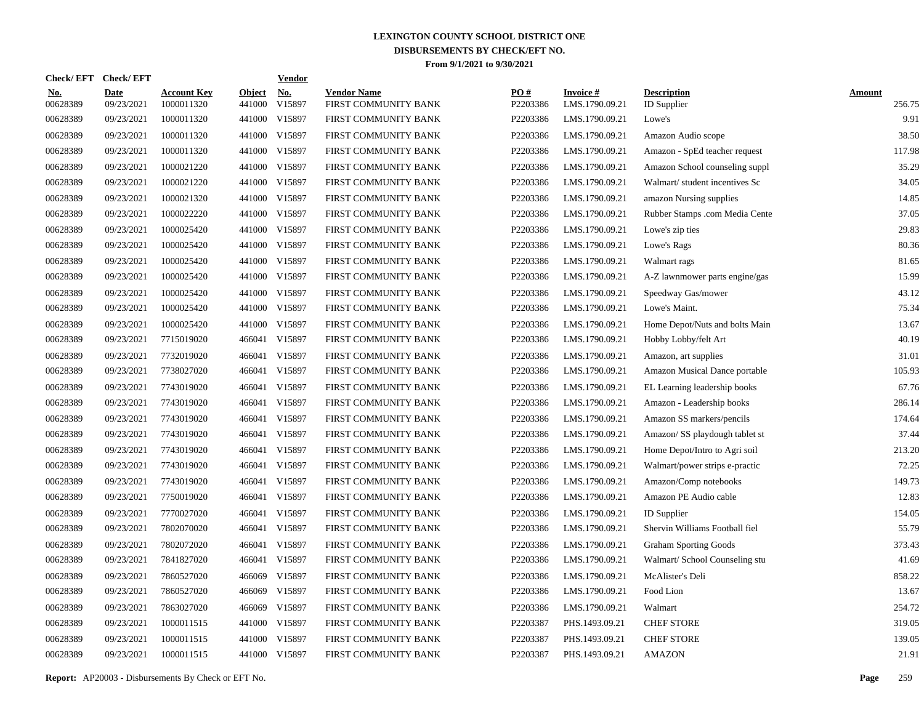| <b>Check/EFT</b>       | <b>Check/EFT</b>          |                                  |                         | <b>Vendor</b> |                                            |                 |                                   |                                          |                         |
|------------------------|---------------------------|----------------------------------|-------------------------|---------------|--------------------------------------------|-----------------|-----------------------------------|------------------------------------------|-------------------------|
| <u>No.</u><br>00628389 | <b>Date</b><br>09/23/2021 | <b>Account Key</b><br>1000011320 | <b>Object</b><br>441000 | No.<br>V15897 | <b>Vendor Name</b><br>FIRST COMMUNITY BANK | PO#<br>P2203386 | <b>Invoice#</b><br>LMS.1790.09.21 | <b>Description</b><br><b>ID</b> Supplier | <b>Amount</b><br>256.75 |
| 00628389               | 09/23/2021                | 1000011320                       | 441000                  | V15897        | FIRST COMMUNITY BANK                       | P2203386        | LMS.1790.09.21                    | Lowe's                                   | 9.91                    |
| 00628389               | 09/23/2021                | 1000011320                       | 441000                  | V15897        | FIRST COMMUNITY BANK                       | P2203386        | LMS.1790.09.21                    | Amazon Audio scope                       | 38.50                   |
| 00628389               | 09/23/2021                | 1000011320                       | 441000                  | V15897        | FIRST COMMUNITY BANK                       | P2203386        | LMS.1790.09.21                    | Amazon - SpEd teacher request            | 117.98                  |
| 00628389               | 09/23/2021                | 1000021220                       | 441000                  | V15897        | FIRST COMMUNITY BANK                       | P2203386        | LMS.1790.09.21                    | Amazon School counseling suppl           | 35.29                   |
| 00628389               | 09/23/2021                | 1000021220                       | 441000                  | V15897        | FIRST COMMUNITY BANK                       | P2203386        | LMS.1790.09.21                    | Walmart/ student incentives Sc           | 34.05                   |
| 00628389               | 09/23/2021                | 1000021320                       | 441000                  | V15897        | FIRST COMMUNITY BANK                       | P2203386        | LMS.1790.09.21                    | amazon Nursing supplies                  | 14.85                   |
| 00628389               | 09/23/2021                | 1000022220                       | 441000                  | V15897        | FIRST COMMUNITY BANK                       | P2203386        | LMS.1790.09.21                    | Rubber Stamps .com Media Cente           | 37.05                   |
| 00628389               | 09/23/2021                | 1000025420                       | 441000                  | V15897        | FIRST COMMUNITY BANK                       | P2203386        | LMS.1790.09.21                    | Lowe's zip ties                          | 29.83                   |
| 00628389               | 09/23/2021                | 1000025420                       | 441000                  | V15897        | FIRST COMMUNITY BANK                       | P2203386        | LMS.1790.09.21                    | Lowe's Rags                              | 80.36                   |
| 00628389               | 09/23/2021                | 1000025420                       | 441000                  | V15897        | FIRST COMMUNITY BANK                       | P2203386        | LMS.1790.09.21                    | Walmart rags                             | 81.65                   |
| 00628389               | 09/23/2021                | 1000025420                       | 441000                  | V15897        | FIRST COMMUNITY BANK                       | P2203386        | LMS.1790.09.21                    | A-Z lawnmower parts engine/gas           | 15.99                   |
| 00628389               | 09/23/2021                | 1000025420                       | 441000                  | V15897        | FIRST COMMUNITY BANK                       | P2203386        | LMS.1790.09.21                    | Speedway Gas/mower                       | 43.12                   |
| 00628389               | 09/23/2021                | 1000025420                       | 441000                  | V15897        | FIRST COMMUNITY BANK                       | P2203386        | LMS.1790.09.21                    | Lowe's Maint.                            | 75.34                   |
| 00628389               | 09/23/2021                | 1000025420                       | 441000                  | V15897        | FIRST COMMUNITY BANK                       | P2203386        | LMS.1790.09.21                    | Home Depot/Nuts and bolts Main           | 13.67                   |
| 00628389               | 09/23/2021                | 7715019020                       | 466041                  | V15897        | FIRST COMMUNITY BANK                       | P2203386        | LMS.1790.09.21                    | Hobby Lobby/felt Art                     | 40.19                   |
| 00628389               | 09/23/2021                | 7732019020                       | 466041                  | V15897        | FIRST COMMUNITY BANK                       | P2203386        | LMS.1790.09.21                    | Amazon, art supplies                     | 31.01                   |
| 00628389               | 09/23/2021                | 7738027020                       | 466041                  | V15897        | FIRST COMMUNITY BANK                       | P2203386        | LMS.1790.09.21                    | Amazon Musical Dance portable            | 105.93                  |
| 00628389               | 09/23/2021                | 7743019020                       | 466041                  | V15897        | FIRST COMMUNITY BANK                       | P2203386        | LMS.1790.09.21                    | EL Learning leadership books             | 67.76                   |
| 00628389               | 09/23/2021                | 7743019020                       | 466041                  | V15897        | FIRST COMMUNITY BANK                       | P2203386        | LMS.1790.09.21                    | Amazon - Leadership books                | 286.14                  |
| 00628389               | 09/23/2021                | 7743019020                       | 466041                  | V15897        | FIRST COMMUNITY BANK                       | P2203386        | LMS.1790.09.21                    | Amazon SS markers/pencils                | 174.64                  |
| 00628389               | 09/23/2021                | 7743019020                       | 466041                  | V15897        | FIRST COMMUNITY BANK                       | P2203386        | LMS.1790.09.21                    | Amazon/ SS playdough tablet st           | 37.44                   |
| 00628389               | 09/23/2021                | 7743019020                       | 466041                  | V15897        | FIRST COMMUNITY BANK                       | P2203386        | LMS.1790.09.21                    | Home Depot/Intro to Agri soil            | 213.20                  |
| 00628389               | 09/23/2021                | 7743019020                       | 466041                  | V15897        | FIRST COMMUNITY BANK                       | P2203386        | LMS.1790.09.21                    | Walmart/power strips e-practic           | 72.25                   |
| 00628389               | 09/23/2021                | 7743019020                       | 466041                  | V15897        | FIRST COMMUNITY BANK                       | P2203386        | LMS.1790.09.21                    | Amazon/Comp notebooks                    | 149.73                  |
| 00628389               | 09/23/2021                | 7750019020                       | 466041                  | V15897        | FIRST COMMUNITY BANK                       | P2203386        | LMS.1790.09.21                    | Amazon PE Audio cable                    | 12.83                   |
| 00628389               | 09/23/2021                | 7770027020                       | 466041                  | V15897        | FIRST COMMUNITY BANK                       | P2203386        | LMS.1790.09.21                    | <b>ID</b> Supplier                       | 154.05                  |
| 00628389               | 09/23/2021                | 7802070020                       | 466041                  | V15897        | FIRST COMMUNITY BANK                       | P2203386        | LMS.1790.09.21                    | Shervin Williams Football fiel           | 55.79                   |
| 00628389               | 09/23/2021                | 7802072020                       | 466041                  | V15897        | FIRST COMMUNITY BANK                       | P2203386        | LMS.1790.09.21                    | <b>Graham Sporting Goods</b>             | 373.43                  |
| 00628389               | 09/23/2021                | 7841827020                       | 466041                  | V15897        | FIRST COMMUNITY BANK                       | P2203386        | LMS.1790.09.21                    | Walmart/ School Counseling stu           | 41.69                   |
| 00628389               | 09/23/2021                | 7860527020                       | 466069                  | V15897        | FIRST COMMUNITY BANK                       | P2203386        | LMS.1790.09.21                    | McAlister's Deli                         | 858.22                  |
| 00628389               | 09/23/2021                | 7860527020                       | 466069                  | V15897        | FIRST COMMUNITY BANK                       | P2203386        | LMS.1790.09.21                    | Food Lion                                | 13.67                   |
| 00628389               | 09/23/2021                | 7863027020                       | 466069                  | V15897        | FIRST COMMUNITY BANK                       | P2203386        | LMS.1790.09.21                    | Walmart                                  | 254.72                  |
| 00628389               | 09/23/2021                | 1000011515                       | 441000                  | V15897        | FIRST COMMUNITY BANK                       | P2203387        | PHS.1493.09.21                    | <b>CHEF STORE</b>                        | 319.05                  |
| 00628389               | 09/23/2021                | 1000011515                       | 441000                  | V15897        | FIRST COMMUNITY BANK                       | P2203387        | PHS.1493.09.21                    | <b>CHEF STORE</b>                        | 139.05                  |
| 00628389               | 09/23/2021                | 1000011515                       |                         | 441000 V15897 | FIRST COMMUNITY BANK                       | P2203387        | PHS.1493.09.21                    | <b>AMAZON</b>                            | 21.91                   |

**Report:** AP20003 - Disbursements By Check or EFT No. **Page** 259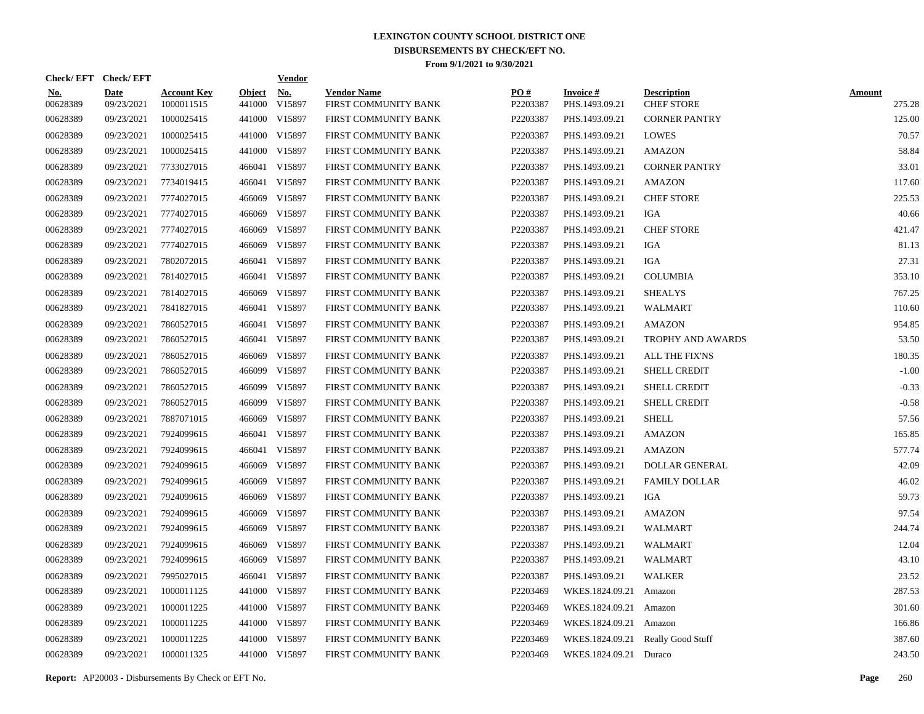| Check/EFT Check/EFT    |                           |                                  |                         | <b>Vendor</b>        |                                            |                 |                                   |                                         |                         |
|------------------------|---------------------------|----------------------------------|-------------------------|----------------------|--------------------------------------------|-----------------|-----------------------------------|-----------------------------------------|-------------------------|
| <u>No.</u><br>00628389 | <b>Date</b><br>09/23/2021 | <b>Account Key</b><br>1000011515 | <b>Object</b><br>441000 | <u>No.</u><br>V15897 | <b>Vendor Name</b><br>FIRST COMMUNITY BANK | PQ#<br>P2203387 | <b>Invoice#</b><br>PHS.1493.09.21 | <b>Description</b><br><b>CHEF STORE</b> | <b>Amount</b><br>275.28 |
| 00628389               | 09/23/2021                | 1000025415                       |                         | 441000 V15897        | FIRST COMMUNITY BANK                       | P2203387        | PHS.1493.09.21                    | <b>CORNER PANTRY</b>                    | 125.00                  |
| 00628389               | 09/23/2021                | 1000025415                       |                         | 441000 V15897        | FIRST COMMUNITY BANK                       | P2203387        | PHS.1493.09.21                    | <b>LOWES</b>                            | 70.57                   |
| 00628389               | 09/23/2021                | 1000025415                       |                         | 441000 V15897        | FIRST COMMUNITY BANK                       | P2203387        | PHS.1493.09.21                    | <b>AMAZON</b>                           | 58.84                   |
| 00628389               | 09/23/2021                | 7733027015                       |                         | 466041 V15897        | FIRST COMMUNITY BANK                       | P2203387        | PHS.1493.09.21                    | <b>CORNER PANTRY</b>                    | 33.01                   |
| 00628389               | 09/23/2021                | 7734019415                       |                         | 466041 V15897        | FIRST COMMUNITY BANK                       | P2203387        | PHS.1493.09.21                    | <b>AMAZON</b>                           | 117.60                  |
| 00628389               | 09/23/2021                | 7774027015                       |                         | 466069 V15897        | FIRST COMMUNITY BANK                       | P2203387        | PHS.1493.09.21                    | <b>CHEF STORE</b>                       | 225.53                  |
| 00628389               | 09/23/2021                | 7774027015                       |                         | 466069 V15897        | FIRST COMMUNITY BANK                       | P2203387        | PHS.1493.09.21                    | IGA                                     | 40.66                   |
| 00628389               | 09/23/2021                | 7774027015                       | 466069                  | V15897               | FIRST COMMUNITY BANK                       | P2203387        | PHS.1493.09.21                    | <b>CHEF STORE</b>                       | 421.47                  |
| 00628389               | 09/23/2021                | 7774027015                       |                         | 466069 V15897        | FIRST COMMUNITY BANK                       | P2203387        | PHS.1493.09.21                    | IGA                                     | 81.13                   |
| 00628389               | 09/23/2021                | 7802072015                       |                         | 466041 V15897        | FIRST COMMUNITY BANK                       | P2203387        | PHS.1493.09.21                    | <b>IGA</b>                              | 27.31                   |
| 00628389               | 09/23/2021                | 7814027015                       |                         | 466041 V15897        | FIRST COMMUNITY BANK                       | P2203387        | PHS.1493.09.21                    | <b>COLUMBIA</b>                         | 353.10                  |
| 00628389               | 09/23/2021                | 7814027015                       |                         | 466069 V15897        | FIRST COMMUNITY BANK                       | P2203387        | PHS.1493.09.21                    | <b>SHEALYS</b>                          | 767.25                  |
| 00628389               | 09/23/2021                | 7841827015                       |                         | 466041 V15897        | FIRST COMMUNITY BANK                       | P2203387        | PHS.1493.09.21                    | <b>WALMART</b>                          | 110.60                  |
| 00628389               | 09/23/2021                | 7860527015                       |                         | 466041 V15897        | FIRST COMMUNITY BANK                       | P2203387        | PHS.1493.09.21                    | <b>AMAZON</b>                           | 954.85                  |
| 00628389               | 09/23/2021                | 7860527015                       |                         | 466041 V15897        | FIRST COMMUNITY BANK                       | P2203387        | PHS.1493.09.21                    | <b>TROPHY AND AWARDS</b>                | 53.50                   |
| 00628389               | 09/23/2021                | 7860527015                       |                         | 466069 V15897        | FIRST COMMUNITY BANK                       | P2203387        | PHS.1493.09.21                    | <b>ALL THE FIX'NS</b>                   | 180.35                  |
| 00628389               | 09/23/2021                | 7860527015                       |                         | 466099 V15897        | FIRST COMMUNITY BANK                       | P2203387        | PHS.1493.09.21                    | <b>SHELL CREDIT</b>                     | $-1.00$                 |
| 00628389               | 09/23/2021                | 7860527015                       |                         | 466099 V15897        | FIRST COMMUNITY BANK                       | P2203387        | PHS.1493.09.21                    | SHELL CREDIT                            | $-0.33$                 |
| 00628389               | 09/23/2021                | 7860527015                       |                         | 466099 V15897        | FIRST COMMUNITY BANK                       | P2203387        | PHS.1493.09.21                    | <b>SHELL CREDIT</b>                     | $-0.58$                 |
| 00628389               | 09/23/2021                | 7887071015                       |                         | 466069 V15897        | FIRST COMMUNITY BANK                       | P2203387        | PHS.1493.09.21                    | <b>SHELL</b>                            | 57.56                   |
| 00628389               | 09/23/2021                | 7924099615                       |                         | 466041 V15897        | FIRST COMMUNITY BANK                       | P2203387        | PHS.1493.09.21                    | <b>AMAZON</b>                           | 165.85                  |
| 00628389               | 09/23/2021                | 7924099615                       |                         | 466041 V15897        | FIRST COMMUNITY BANK                       | P2203387        | PHS.1493.09.21                    | <b>AMAZON</b>                           | 577.74                  |
| 00628389               | 09/23/2021                | 7924099615                       |                         | 466069 V15897        | FIRST COMMUNITY BANK                       | P2203387        | PHS.1493.09.21                    | <b>DOLLAR GENERAL</b>                   | 42.09                   |
| 00628389               | 09/23/2021                | 7924099615                       |                         | 466069 V15897        | FIRST COMMUNITY BANK                       | P2203387        | PHS.1493.09.21                    | <b>FAMILY DOLLAR</b>                    | 46.02                   |
| 00628389               | 09/23/2021                | 7924099615                       |                         | 466069 V15897        | FIRST COMMUNITY BANK                       | P2203387        | PHS.1493.09.21                    | IGA                                     | 59.73                   |
| 00628389               | 09/23/2021                | 7924099615                       |                         | 466069 V15897        | FIRST COMMUNITY BANK                       | P2203387        | PHS.1493.09.21                    | AMAZON                                  | 97.54                   |
| 00628389               | 09/23/2021                | 7924099615                       |                         | 466069 V15897        | FIRST COMMUNITY BANK                       | P2203387        | PHS.1493.09.21                    | <b>WALMART</b>                          | 244.74                  |
| 00628389               | 09/23/2021                | 7924099615                       |                         | 466069 V15897        | FIRST COMMUNITY BANK                       | P2203387        | PHS.1493.09.21                    | <b>WALMART</b>                          | 12.04                   |
| 00628389               | 09/23/2021                | 7924099615                       |                         | 466069 V15897        | FIRST COMMUNITY BANK                       | P2203387        | PHS.1493.09.21                    | <b>WALMART</b>                          | 43.10                   |
| 00628389               | 09/23/2021                | 7995027015                       |                         | 466041 V15897        | FIRST COMMUNITY BANK                       | P2203387        | PHS.1493.09.21                    | <b>WALKER</b>                           | 23.52                   |
| 00628389               | 09/23/2021                | 1000011125                       |                         | 441000 V15897        | FIRST COMMUNITY BANK                       | P2203469        | WKES.1824.09.21                   | Amazon                                  | 287.53                  |
| 00628389               | 09/23/2021                | 1000011225                       |                         | 441000 V15897        | FIRST COMMUNITY BANK                       | P2203469        | WKES.1824.09.21                   | Amazon                                  | 301.60                  |
| 00628389               | 09/23/2021                | 1000011225                       |                         | 441000 V15897        | FIRST COMMUNITY BANK                       | P2203469        | WKES.1824.09.21                   | Amazon                                  | 166.86                  |
| 00628389               | 09/23/2021                | 1000011225                       |                         | 441000 V15897        | FIRST COMMUNITY BANK                       | P2203469        | WKES.1824.09.21 Really Good Stuff |                                         | 387.60                  |
| 00628389               | 09/23/2021                | 1000011325                       |                         | 441000 V15897        | FIRST COMMUNITY BANK                       | P2203469        | WKES.1824.09.21 Duraco            |                                         | 243.50                  |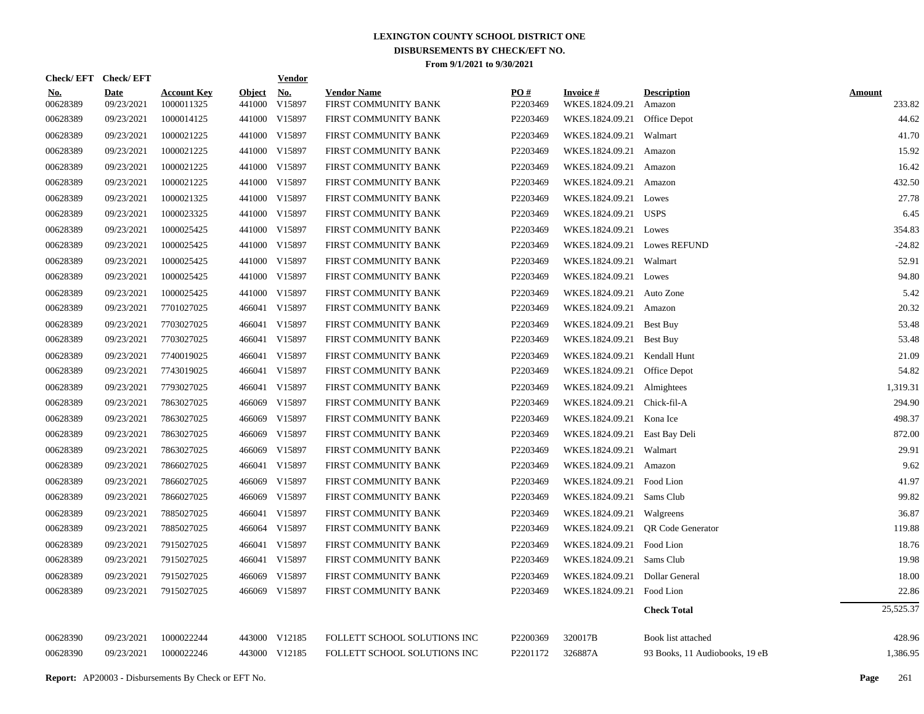|                        | Check/EFT Check/EFT       |                                  |                         | <b>Vendor</b>        |                                            |                               |                                    |                                |                         |
|------------------------|---------------------------|----------------------------------|-------------------------|----------------------|--------------------------------------------|-------------------------------|------------------------------------|--------------------------------|-------------------------|
| <u>No.</u><br>00628389 | <b>Date</b><br>09/23/2021 | <b>Account Key</b><br>1000011325 | <b>Object</b><br>441000 | <u>No.</u><br>V15897 | <b>Vendor Name</b><br>FIRST COMMUNITY BANK | $\underline{PO#}$<br>P2203469 | <b>Invoice#</b><br>WKES.1824.09.21 | <b>Description</b><br>Amazon   | <b>Amount</b><br>233.82 |
| 00628389               | 09/23/2021                | 1000014125                       |                         | 441000 V15897        | FIRST COMMUNITY BANK                       | P2203469                      | WKES.1824.09.21                    | Office Depot                   | 44.62                   |
| 00628389               | 09/23/2021                | 1000021225                       |                         | 441000 V15897        | FIRST COMMUNITY BANK                       | P2203469                      | WKES.1824.09.21                    | Walmart                        | 41.70                   |
| 00628389               | 09/23/2021                | 1000021225                       |                         | 441000 V15897        | FIRST COMMUNITY BANK                       | P2203469                      | WKES.1824.09.21                    | Amazon                         | 15.92                   |
| 00628389               | 09/23/2021                | 1000021225                       |                         | 441000 V15897        | FIRST COMMUNITY BANK                       | P2203469                      | WKES.1824.09.21                    | Amazon                         | 16.42                   |
| 00628389               | 09/23/2021                | 1000021225                       |                         | 441000 V15897        | FIRST COMMUNITY BANK                       | P2203469                      | WKES.1824.09.21                    | Amazon                         | 432.50                  |
| 00628389               | 09/23/2021                | 1000021325                       |                         | 441000 V15897        | FIRST COMMUNITY BANK                       | P2203469                      | WKES.1824.09.21 Lowes              |                                | 27.78                   |
| 00628389               | 09/23/2021                | 1000023325                       |                         | 441000 V15897        | FIRST COMMUNITY BANK                       | P2203469                      | WKES.1824.09.21 USPS               |                                | 6.45                    |
| 00628389               | 09/23/2021                | 1000025425                       |                         | 441000 V15897        | FIRST COMMUNITY BANK                       | P2203469                      | WKES.1824.09.21 Lowes              |                                | 354.83                  |
| 00628389               | 09/23/2021                | 1000025425                       |                         | 441000 V15897        | FIRST COMMUNITY BANK                       | P2203469                      | WKES.1824.09.21 Lowes REFUND       |                                | $-24.82$                |
| 00628389               | 09/23/2021                | 1000025425                       |                         | 441000 V15897        | FIRST COMMUNITY BANK                       | P2203469                      | WKES.1824.09.21 Walmart            |                                | 52.91                   |
| 00628389               | 09/23/2021                | 1000025425                       |                         | 441000 V15897        | FIRST COMMUNITY BANK                       | P2203469                      | WKES.1824.09.21 Lowes              |                                | 94.80                   |
| 00628389               | 09/23/2021                | 1000025425                       |                         | 441000 V15897        | FIRST COMMUNITY BANK                       | P2203469                      | WKES.1824.09.21 Auto Zone          |                                | 5.42                    |
| 00628389               | 09/23/2021                | 7701027025                       |                         | 466041 V15897        | FIRST COMMUNITY BANK                       | P2203469                      | WKES.1824.09.21                    | Amazon                         | 20.32                   |
| 00628389               | 09/23/2021                | 7703027025                       |                         | 466041 V15897        | FIRST COMMUNITY BANK                       | P2203469                      | WKES.1824.09.21                    | Best Buy                       | 53.48                   |
| 00628389               | 09/23/2021                | 7703027025                       |                         | 466041 V15897        | FIRST COMMUNITY BANK                       | P2203469                      | WKES.1824.09.21                    | Best Buy                       | 53.48                   |
| 00628389               | 09/23/2021                | 7740019025                       |                         | 466041 V15897        | FIRST COMMUNITY BANK                       | P2203469                      | WKES.1824.09.21 Kendall Hunt       |                                | 21.09                   |
| 00628389               | 09/23/2021                | 7743019025                       |                         | 466041 V15897        | FIRST COMMUNITY BANK                       | P2203469                      | WKES.1824.09.21 Office Depot       |                                | 54.82                   |
| 00628389               | 09/23/2021                | 7793027025                       |                         | 466041 V15897        | FIRST COMMUNITY BANK                       | P2203469                      | WKES.1824.09.21 Almightees         |                                | 1,319.31                |
| 00628389               | 09/23/2021                | 7863027025                       |                         | 466069 V15897        | FIRST COMMUNITY BANK                       | P2203469                      | WKES.1824.09.21 Chick-fil-A        |                                | 294.90                  |
| 00628389               | 09/23/2021                | 7863027025                       | 466069                  | V15897               | FIRST COMMUNITY BANK                       | P2203469                      | WKES.1824.09.21 Kona Ice           |                                | 498.37                  |
| 00628389               | 09/23/2021                | 7863027025                       | 466069                  | V15897               | FIRST COMMUNITY BANK                       | P2203469                      | WKES.1824.09.21 East Bay Deli      |                                | 872.00                  |
| 00628389               | 09/23/2021                | 7863027025                       | 466069                  | V15897               | FIRST COMMUNITY BANK                       | P2203469                      | WKES.1824.09.21 Walmart            |                                | 29.91                   |
| 00628389               | 09/23/2021                | 7866027025                       |                         | 466041 V15897        | FIRST COMMUNITY BANK                       | P2203469                      | WKES.1824.09.21                    | Amazon                         | 9.62                    |
| 00628389               | 09/23/2021                | 7866027025                       | 466069                  | V15897               | FIRST COMMUNITY BANK                       | P2203469                      | WKES.1824.09.21 Food Lion          |                                | 41.97                   |
| 00628389               | 09/23/2021                | 7866027025                       | 466069                  | V15897               | FIRST COMMUNITY BANK                       | P2203469                      | WKES.1824.09.21                    | Sams Club                      | 99.82                   |
| 00628389               | 09/23/2021                | 7885027025                       | 466041                  | V15897               | FIRST COMMUNITY BANK                       | P2203469                      | WKES.1824.09.21                    | Walgreens                      | 36.87                   |
| 00628389               | 09/23/2021                | 7885027025                       | 466064                  | V15897               | FIRST COMMUNITY BANK                       | P2203469                      | WKES.1824.09.21                    | <b>QR</b> Code Generator       | 119.88                  |
| 00628389               | 09/23/2021                | 7915027025                       | 466041                  | V15897               | FIRST COMMUNITY BANK                       | P2203469                      | WKES.1824.09.21                    | Food Lion                      | 18.76                   |
| 00628389               | 09/23/2021                | 7915027025                       | 466041                  | V15897               | FIRST COMMUNITY BANK                       | P2203469                      | WKES.1824.09.21                    | Sams Club                      | 19.98                   |
| 00628389               | 09/23/2021                | 7915027025                       | 466069                  | V15897               | FIRST COMMUNITY BANK                       | P2203469                      | WKES.1824.09.21                    | Dollar General                 | 18.00                   |
| 00628389               | 09/23/2021                | 7915027025                       |                         | 466069 V15897        | FIRST COMMUNITY BANK                       | P2203469                      | WKES.1824.09.21                    | Food Lion                      | 22.86                   |
|                        |                           |                                  |                         |                      |                                            |                               |                                    | <b>Check Total</b>             | 25,525.37               |
| 00628390               | 09/23/2021                | 1000022244                       |                         | 443000 V12185        | FOLLETT SCHOOL SOLUTIONS INC               | P2200369                      | 320017B                            | Book list attached             | 428.96                  |
| 00628390               | 09/23/2021                | 1000022246                       |                         | 443000 V12185        | FOLLETT SCHOOL SOLUTIONS INC               | P2201172                      | 326887A                            | 93 Books, 11 Audiobooks, 19 eB | 1,386.95                |
|                        |                           |                                  |                         |                      |                                            |                               |                                    |                                |                         |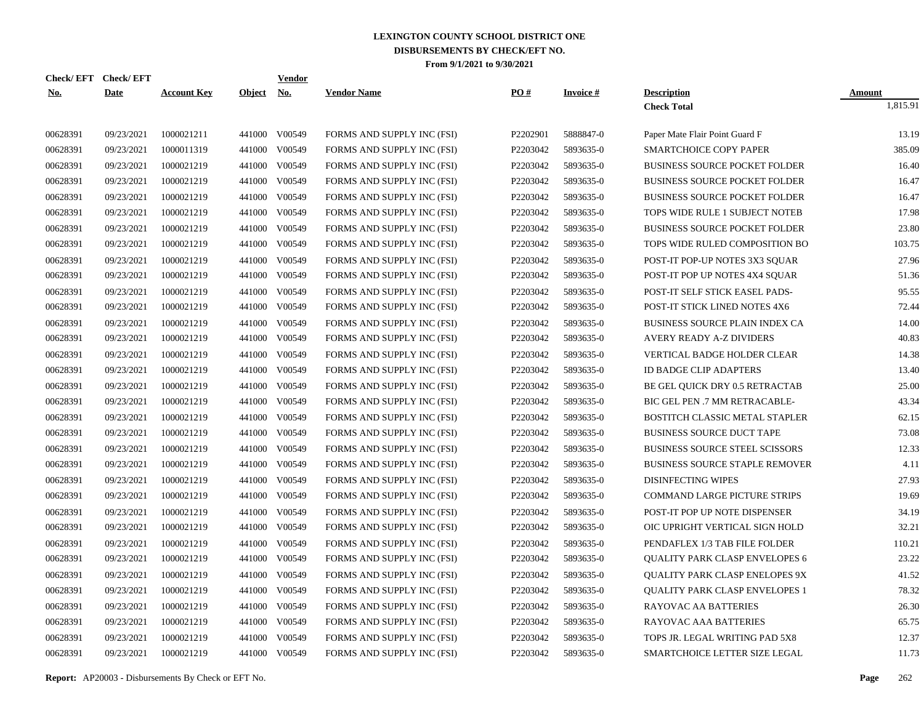| Check/EFT Check/EFT |             |                    |               | <b>Vendor</b> |                            |          |                 |                                       |               |
|---------------------|-------------|--------------------|---------------|---------------|----------------------------|----------|-----------------|---------------------------------------|---------------|
| <u>No.</u>          | <b>Date</b> | <b>Account Key</b> | <b>Object</b> | <u>No.</u>    | <b>Vendor Name</b>         | PO#      | <b>Invoice#</b> | <b>Description</b>                    | <u>Amount</u> |
|                     |             |                    |               |               |                            |          |                 | <b>Check Total</b>                    | 1,815.91      |
| 00628391            | 09/23/2021  | 1000021211         |               | 441000 V00549 | FORMS AND SUPPLY INC (FSI) | P2202901 | 5888847-0       | Paper Mate Flair Point Guard F        | 13.19         |
| 00628391            | 09/23/2021  | 1000011319         |               | 441000 V00549 | FORMS AND SUPPLY INC (FSI) | P2203042 | 5893635-0       | SMARTCHOICE COPY PAPER                | 385.09        |
| 00628391            | 09/23/2021  | 1000021219         |               | 441000 V00549 | FORMS AND SUPPLY INC (FSI) | P2203042 | 5893635-0       | <b>BUSINESS SOURCE POCKET FOLDER</b>  | 16.40         |
| 00628391            | 09/23/2021  | 1000021219         |               | 441000 V00549 | FORMS AND SUPPLY INC (FSI) | P2203042 | 5893635-0       | <b>BUSINESS SOURCE POCKET FOLDER</b>  | 16.47         |
| 00628391            | 09/23/2021  | 1000021219         | 441000        | V00549        | FORMS AND SUPPLY INC (FSI) | P2203042 | 5893635-0       | <b>BUSINESS SOURCE POCKET FOLDER</b>  | 16.47         |
| 00628391            | 09/23/2021  | 1000021219         |               | 441000 V00549 | FORMS AND SUPPLY INC (FSI) | P2203042 | 5893635-0       | TOPS WIDE RULE 1 SUBJECT NOTEB        | 17.98         |
| 00628391            | 09/23/2021  | 1000021219         | 441000        | V00549        | FORMS AND SUPPLY INC (FSI) | P2203042 | 5893635-0       | <b>BUSINESS SOURCE POCKET FOLDER</b>  | 23.80         |
| 00628391            | 09/23/2021  | 1000021219         |               | 441000 V00549 | FORMS AND SUPPLY INC (FSI) | P2203042 | 5893635-0       | TOPS WIDE RULED COMPOSITION BO        | 103.75        |
| 00628391            | 09/23/2021  | 1000021219         | 441000        | V00549        | FORMS AND SUPPLY INC (FSI) | P2203042 | 5893635-0       | POST-IT POP-UP NOTES 3X3 SQUAR        | 27.96         |
| 00628391            | 09/23/2021  | 1000021219         |               | 441000 V00549 | FORMS AND SUPPLY INC (FSI) | P2203042 | 5893635-0       | POST-IT POP UP NOTES 4X4 SQUAR        | 51.36         |
| 00628391            | 09/23/2021  | 1000021219         | 441000        | V00549        | FORMS AND SUPPLY INC (FSI) | P2203042 | 5893635-0       | POST-IT SELF STICK EASEL PADS-        | 95.55         |
| 00628391            | 09/23/2021  | 1000021219         |               | 441000 V00549 | FORMS AND SUPPLY INC (FSI) | P2203042 | 5893635-0       | POST-IT STICK LINED NOTES 4X6         | 72.44         |
| 00628391            | 09/23/2021  | 1000021219         | 441000        | V00549        | FORMS AND SUPPLY INC (FSI) | P2203042 | 5893635-0       | BUSINESS SOURCE PLAIN INDEX CA        | 14.00         |
| 00628391            | 09/23/2021  | 1000021219         |               | 441000 V00549 | FORMS AND SUPPLY INC (FSI) | P2203042 | 5893635-0       | <b>AVERY READY A-Z DIVIDERS</b>       | 40.83         |
| 00628391            | 09/23/2021  | 1000021219         | 441000        | V00549        | FORMS AND SUPPLY INC (FSI) | P2203042 | 5893635-0       | VERTICAL BADGE HOLDER CLEAR           | 14.38         |
| 00628391            | 09/23/2021  | 1000021219         |               | 441000 V00549 | FORMS AND SUPPLY INC (FSI) | P2203042 | 5893635-0       | <b>ID BADGE CLIP ADAPTERS</b>         | 13.40         |
| 00628391            | 09/23/2021  | 1000021219         |               | 441000 V00549 | FORMS AND SUPPLY INC (FSI) | P2203042 | 5893635-0       | BE GEL QUICK DRY 0.5 RETRACTAB        | 25.00         |
| 00628391            | 09/23/2021  | 1000021219         |               | 441000 V00549 | FORMS AND SUPPLY INC (FSI) | P2203042 | 5893635-0       | BIC GEL PEN .7 MM RETRACABLE-         | 43.34         |
| 00628391            | 09/23/2021  | 1000021219         |               | 441000 V00549 | FORMS AND SUPPLY INC (FSI) | P2203042 | 5893635-0       | BOSTITCH CLASSIC METAL STAPLER        | 62.15         |
| 00628391            | 09/23/2021  | 1000021219         |               | 441000 V00549 | FORMS AND SUPPLY INC (FSI) | P2203042 | 5893635-0       | <b>BUSINESS SOURCE DUCT TAPE</b>      | 73.08         |
| 00628391            | 09/23/2021  | 1000021219         |               | 441000 V00549 | FORMS AND SUPPLY INC (FSI) | P2203042 | 5893635-0       | <b>BUSINESS SOURCE STEEL SCISSORS</b> | 12.33         |
| 00628391            | 09/23/2021  | 1000021219         | 441000        | V00549        | FORMS AND SUPPLY INC (FSI) | P2203042 | 5893635-0       | <b>BUSINESS SOURCE STAPLE REMOVER</b> | 4.11          |
| 00628391            | 09/23/2021  | 1000021219         |               | 441000 V00549 | FORMS AND SUPPLY INC (FSI) | P2203042 | 5893635-0       | <b>DISINFECTING WIPES</b>             | 27.93         |
| 00628391            | 09/23/2021  | 1000021219         | 441000        | V00549        | FORMS AND SUPPLY INC (FSI) | P2203042 | 5893635-0       | <b>COMMAND LARGE PICTURE STRIPS</b>   | 19.69         |
| 00628391            | 09/23/2021  | 1000021219         |               | 441000 V00549 | FORMS AND SUPPLY INC (FSI) | P2203042 | 5893635-0       | POST-IT POP UP NOTE DISPENSER         | 34.19         |
| 00628391            | 09/23/2021  | 1000021219         |               | 441000 V00549 | FORMS AND SUPPLY INC (FSI) | P2203042 | 5893635-0       | OIC UPRIGHT VERTICAL SIGN HOLD        | 32.21         |
| 00628391            | 09/23/2021  | 1000021219         |               | 441000 V00549 | FORMS AND SUPPLY INC (FSI) | P2203042 | 5893635-0       | PENDAFLEX 1/3 TAB FILE FOLDER         | 110.21        |
| 00628391            | 09/23/2021  | 1000021219         |               | 441000 V00549 | FORMS AND SUPPLY INC (FSI) | P2203042 | 5893635-0       | <b>QUALITY PARK CLASP ENVELOPES 6</b> | 23.22         |
| 00628391            | 09/23/2021  | 1000021219         |               | 441000 V00549 | FORMS AND SUPPLY INC (FSI) | P2203042 | 5893635-0       | <b>OUALITY PARK CLASP ENELOPES 9X</b> | 41.52         |
| 00628391            | 09/23/2021  | 1000021219         |               | 441000 V00549 | FORMS AND SUPPLY INC (FSI) | P2203042 | 5893635-0       | <b>QUALITY PARK CLASP ENVELOPES 1</b> | 78.32         |
| 00628391            | 09/23/2021  | 1000021219         |               | 441000 V00549 | FORMS AND SUPPLY INC (FSI) | P2203042 | 5893635-0       | RAYOVAC AA BATTERIES                  | 26.30         |
| 00628391            | 09/23/2021  | 1000021219         |               | 441000 V00549 | FORMS AND SUPPLY INC (FSI) | P2203042 | 5893635-0       | RAYOVAC AAA BATTERIES                 | 65.75         |
| 00628391            | 09/23/2021  | 1000021219         |               | 441000 V00549 | FORMS AND SUPPLY INC (FSI) | P2203042 | 5893635-0       | TOPS JR. LEGAL WRITING PAD 5X8        | 12.37         |
| 00628391            | 09/23/2021  | 1000021219         |               | 441000 V00549 | FORMS AND SUPPLY INC (FSI) | P2203042 | 5893635-0       | SMARTCHOICE LETTER SIZE LEGAL         | 11.73         |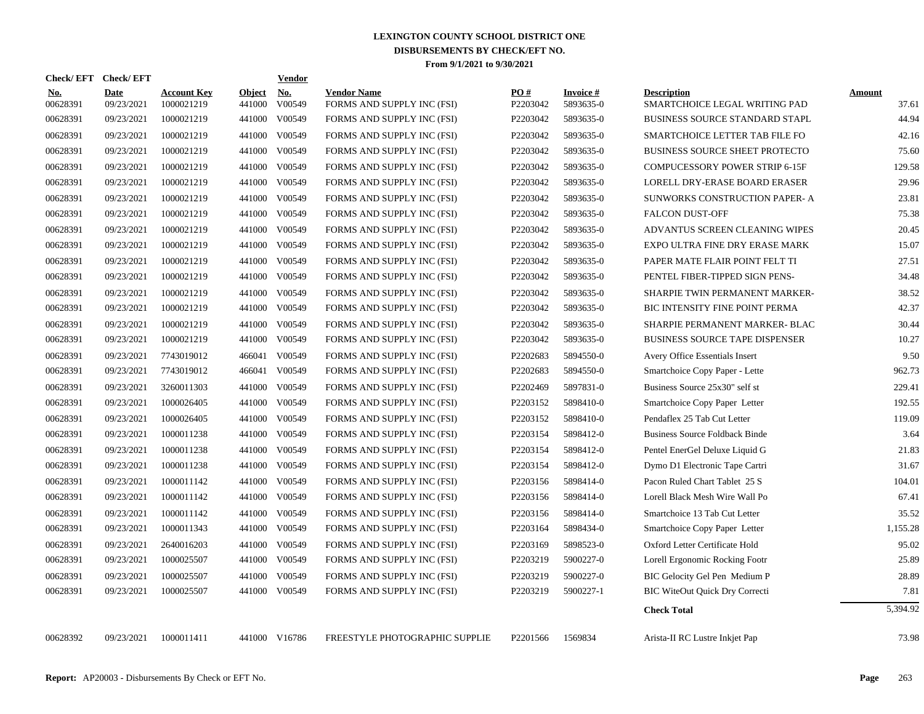| Check/EFT Check/EFT    |                           |                                  |                         | Vendor               |                                                  |                      |                              |                                                     |                        |
|------------------------|---------------------------|----------------------------------|-------------------------|----------------------|--------------------------------------------------|----------------------|------------------------------|-----------------------------------------------------|------------------------|
| <u>No.</u><br>00628391 | <b>Date</b><br>09/23/2021 | <b>Account Key</b><br>1000021219 | <b>Object</b><br>441000 | <b>No.</b><br>V00549 | <b>Vendor Name</b><br>FORMS AND SUPPLY INC (FSI) | PO#<br>P2203042      | <b>Invoice#</b><br>5893635-0 | <b>Description</b><br>SMARTCHOICE LEGAL WRITING PAD | <b>Amount</b><br>37.61 |
| 00628391               | 09/23/2021                | 1000021219                       | 441000                  | V00549               | FORMS AND SUPPLY INC (FSI)                       | P2203042             | 5893635-0                    | <b>BUSINESS SOURCE STANDARD STAPL</b>               | 44.94                  |
| 00628391               | 09/23/2021                | 1000021219                       | 441000                  | V00549               | FORMS AND SUPPLY INC (FSI)                       | P2203042             | 5893635-0                    | SMARTCHOICE LETTER TAB FILE FO                      | 42.16                  |
| 00628391               | 09/23/2021                | 1000021219                       | 441000                  | V00549               | FORMS AND SUPPLY INC (FSI)                       | P2203042             | 5893635-0                    | <b>BUSINESS SOURCE SHEET PROTECTO</b>               | 75.60                  |
| 00628391               | 09/23/2021                | 1000021219                       | 441000                  | V00549               | FORMS AND SUPPLY INC (FSI)                       | P2203042             | 5893635-0                    | COMPUCESSORY POWER STRIP 6-15F                      | 129.58                 |
| 00628391               | 09/23/2021                | 1000021219                       | 441000                  | V00549               | FORMS AND SUPPLY INC (FSI)                       | P2203042             | 5893635-0                    | LORELL DRY-ERASE BOARD ERASER                       | 29.96                  |
| 00628391               | 09/23/2021                | 1000021219                       | 441000                  | V00549               | FORMS AND SUPPLY INC (FSI)                       | P2203042             | 5893635-0                    | SUNWORKS CONSTRUCTION PAPER- A                      | 23.81                  |
| 00628391               | 09/23/2021                | 1000021219                       | 441000                  | V00549               | FORMS AND SUPPLY INC (FSI)                       | P2203042             | 5893635-0                    | <b>FALCON DUST-OFF</b>                              | 75.38                  |
| 00628391               | 09/23/2021                | 1000021219                       | 441000                  | V00549               | FORMS AND SUPPLY INC (FSI)                       | P2203042             | 5893635-0                    | ADVANTUS SCREEN CLEANING WIPES                      | 20.45                  |
| 00628391               | 09/23/2021                | 1000021219                       | 441000                  | V00549               | FORMS AND SUPPLY INC (FSI)                       | P2203042             | 5893635-0                    | EXPO ULTRA FINE DRY ERASE MARK                      | 15.07                  |
| 00628391               | 09/23/2021                | 1000021219                       | 441000                  | V00549               | FORMS AND SUPPLY INC (FSI)                       | P2203042             | 5893635-0                    | PAPER MATE FLAIR POINT FELT TI                      | 27.51                  |
| 00628391               | 09/23/2021                | 1000021219                       | 441000                  | V00549               | FORMS AND SUPPLY INC (FSI)                       | P2203042             | 5893635-0                    | PENTEL FIBER-TIPPED SIGN PENS-                      | 34.48                  |
| 00628391               | 09/23/2021                | 1000021219                       | 441000                  | V00549               | FORMS AND SUPPLY INC (FSI)                       | P2203042             | 5893635-0                    | <b>SHARPIE TWIN PERMANENT MARKER-</b>               | 38.52                  |
| 00628391               | 09/23/2021                | 1000021219                       | 441000                  | V00549               | FORMS AND SUPPLY INC (FSI)                       | P2203042             | 5893635-0                    | BIC INTENSITY FINE POINT PERMA                      | 42.37                  |
| 00628391               | 09/23/2021                | 1000021219                       | 441000                  | V00549               | FORMS AND SUPPLY INC (FSI)                       | P2203042             | 5893635-0                    | SHARPIE PERMANENT MARKER- BLAC                      | 30.44                  |
| 00628391               | 09/23/2021                | 1000021219                       | 441000                  | V00549               | FORMS AND SUPPLY INC (FSI)                       | P2203042             | 5893635-0                    | <b>BUSINESS SOURCE TAPE DISPENSER</b>               | 10.27                  |
| 00628391               | 09/23/2021                | 7743019012                       | 466041                  | V00549               | FORMS AND SUPPLY INC (FSI)                       | P2202683             | 5894550-0                    | Avery Office Essentials Insert                      | 9.50                   |
| 00628391               | 09/23/2021                | 7743019012                       | 466041                  | V00549               | FORMS AND SUPPLY INC (FSI)                       | P2202683             | 5894550-0                    | Smartchoice Copy Paper - Lette                      | 962.73                 |
| 00628391               | 09/23/2021                | 3260011303                       | 441000                  | V00549               | FORMS AND SUPPLY INC (FSI)                       | P2202469             | 5897831-0                    | Business Source 25x30" self st                      | 229.41                 |
| 00628391               | 09/23/2021                | 1000026405                       | 441000                  | V00549               | FORMS AND SUPPLY INC (FSI)                       | P2203152             | 5898410-0                    | Smartchoice Copy Paper Letter                       | 192.55                 |
| 00628391               | 09/23/2021                | 1000026405                       | 441000                  | V00549               | FORMS AND SUPPLY INC (FSI)                       | P2203152             | 5898410-0                    | Pendaflex 25 Tab Cut Letter                         | 119.09                 |
| 00628391               | 09/23/2021                | 1000011238                       | 441000                  | V00549               | FORMS AND SUPPLY INC (FSI)                       | P2203154             | 5898412-0                    | <b>Business Source Foldback Binde</b>               | 3.64                   |
| 00628391               | 09/23/2021                | 1000011238                       | 441000                  | V00549               | FORMS AND SUPPLY INC (FSI)                       | P2203154             | 5898412-0                    | Pentel EnerGel Deluxe Liquid G                      | 21.83                  |
| 00628391               | 09/23/2021                | 1000011238                       | 441000                  | V00549               | FORMS AND SUPPLY INC (FSI)                       | P2203154             | 5898412-0                    | Dymo D1 Electronic Tape Cartri                      | 31.67                  |
| 00628391               | 09/23/2021                | 1000011142                       | 441000                  | V00549               | FORMS AND SUPPLY INC (FSI)                       | P2203156             | 5898414-0                    | Pacon Ruled Chart Tablet 25 S                       | 104.01                 |
| 00628391               | 09/23/2021                | 1000011142                       | 441000                  | V00549               | FORMS AND SUPPLY INC (FSI)                       | P2203156             | 5898414-0                    | Lorell Black Mesh Wire Wall Po                      | 67.41                  |
| 00628391               | 09/23/2021                | 1000011142                       | 441000                  | V00549               | FORMS AND SUPPLY INC (FSI)                       | P2203156             | 5898414-0                    | Smartchoice 13 Tab Cut Letter                       | 35.52                  |
| 00628391               | 09/23/2021                | 1000011343                       | 441000                  | V00549               | FORMS AND SUPPLY INC (FSI)                       | P2203164             | 5898434-0                    | Smartchoice Copy Paper Letter                       | 1,155.28               |
| 00628391               | 09/23/2021                | 2640016203                       | 441000                  | V00549               | FORMS AND SUPPLY INC (FSI)                       | P2203169             | 5898523-0                    | Oxford Letter Certificate Hold                      | 95.02                  |
| 00628391               | 09/23/2021                | 1000025507                       | 441000                  | V00549               | FORMS AND SUPPLY INC (FSI)                       | P2203219             | 5900227-0                    | Lorell Ergonomic Rocking Footr                      | 25.89                  |
| 00628391               | 09/23/2021                | 1000025507                       | 441000                  | V00549               | FORMS AND SUPPLY INC (FSI)                       | P2203219             | 5900227-0                    | BIC Gelocity Gel Pen Medium P                       | 28.89                  |
| 00628391               | 09/23/2021                | 1000025507                       |                         | 441000 V00549        | FORMS AND SUPPLY INC (FSI)                       | P2203219             | 5900227-1                    | <b>BIC WiteOut Quick Dry Correcti</b>               | 7.81                   |
|                        |                           |                                  |                         |                      |                                                  |                      |                              | <b>Check Total</b>                                  | 5,394.92               |
| 00628392               | 09/23/2021                | 1000011411                       |                         | 441000 V16786        | FREESTYLE PHOTOGRAPHIC SUPPLIE                   | P <sub>2201566</sub> | 1569834                      | Arista-II RC Lustre Inkjet Pap                      | 73.98                  |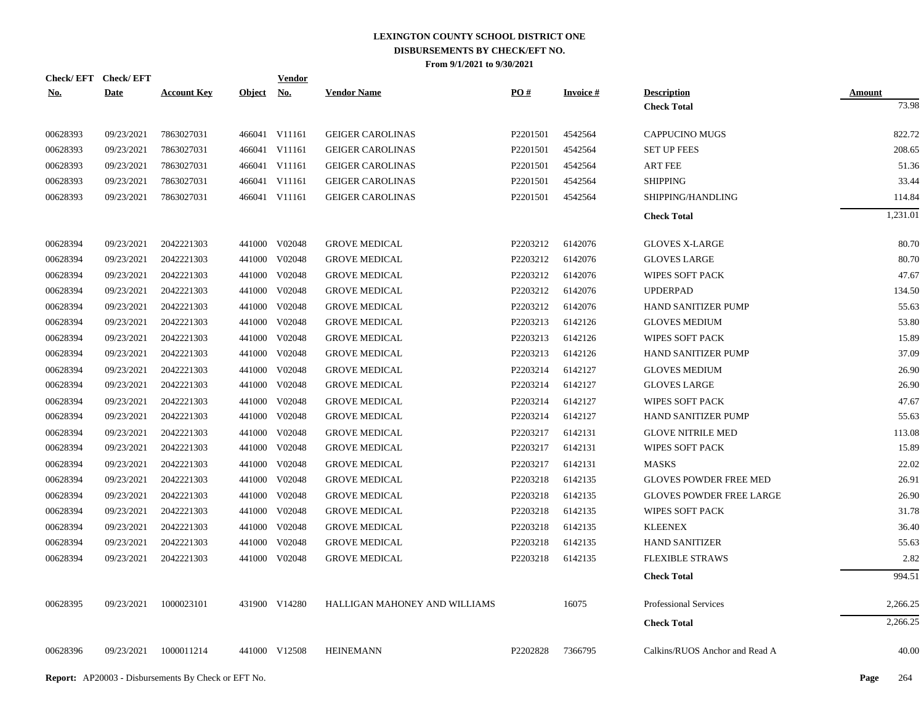|            | Check/EFT Check/EFT |                    |               | Vendor        |                               |                      |                 |                                 |                 |
|------------|---------------------|--------------------|---------------|---------------|-------------------------------|----------------------|-----------------|---------------------------------|-----------------|
| <u>No.</u> | <b>Date</b>         | <b>Account Key</b> | <b>Object</b> | <u>No.</u>    | <b>Vendor Name</b>            | PO#                  | <b>Invoice#</b> | <b>Description</b>              | Amount<br>73.98 |
|            |                     |                    |               |               |                               |                      |                 | <b>Check Total</b>              |                 |
| 00628393   | 09/23/2021          | 7863027031         |               | 466041 V11161 | <b>GEIGER CAROLINAS</b>       | P2201501             | 4542564         | <b>CAPPUCINO MUGS</b>           | 822.72          |
| 00628393   | 09/23/2021          | 7863027031         |               | 466041 V11161 | <b>GEIGER CAROLINAS</b>       | P2201501             | 4542564         | <b>SET UP FEES</b>              | 208.65          |
| 00628393   | 09/23/2021          | 7863027031         |               | 466041 V11161 | <b>GEIGER CAROLINAS</b>       | P <sub>2201501</sub> | 4542564         | <b>ART FEE</b>                  | 51.36           |
| 00628393   | 09/23/2021          | 7863027031         |               | 466041 V11161 | <b>GEIGER CAROLINAS</b>       | P2201501             | 4542564         | <b>SHIPPING</b>                 | 33.44           |
| 00628393   | 09/23/2021          | 7863027031         |               | 466041 V11161 | <b>GEIGER CAROLINAS</b>       | P2201501             | 4542564         | SHIPPING/HANDLING               | 114.84          |
|            |                     |                    |               |               |                               |                      |                 | <b>Check Total</b>              | 1,231.01        |
|            |                     |                    |               |               |                               |                      |                 |                                 |                 |
| 00628394   | 09/23/2021          | 2042221303         |               | 441000 V02048 | <b>GROVE MEDICAL</b>          | P2203212             | 6142076         | <b>GLOVES X-LARGE</b>           | 80.70           |
| 00628394   | 09/23/2021          | 2042221303         |               | 441000 V02048 | <b>GROVE MEDICAL</b>          | P2203212             | 6142076         | <b>GLOVES LARGE</b>             | 80.70           |
| 00628394   | 09/23/2021          | 2042221303         | 441000        | V02048        | <b>GROVE MEDICAL</b>          | P2203212             | 6142076         | <b>WIPES SOFT PACK</b>          | 47.67           |
| 00628394   | 09/23/2021          | 2042221303         |               | 441000 V02048 | <b>GROVE MEDICAL</b>          | P2203212             | 6142076         | <b>UPDERPAD</b>                 | 134.50          |
| 00628394   | 09/23/2021          | 2042221303         | 441000        | V02048        | <b>GROVE MEDICAL</b>          | P2203212             | 6142076         | HAND SANITIZER PUMP             | 55.63           |
| 00628394   | 09/23/2021          | 2042221303         | 441000        | V02048        | <b>GROVE MEDICAL</b>          | P2203213             | 6142126         | <b>GLOVES MEDIUM</b>            | 53.80           |
| 00628394   | 09/23/2021          | 2042221303         | 441000        | V02048        | <b>GROVE MEDICAL</b>          | P2203213             | 6142126         | WIPES SOFT PACK                 | 15.89           |
| 00628394   | 09/23/2021          | 2042221303         |               | 441000 V02048 | <b>GROVE MEDICAL</b>          | P2203213             | 6142126         | HAND SANITIZER PUMP             | 37.09           |
| 00628394   | 09/23/2021          | 2042221303         |               | 441000 V02048 | <b>GROVE MEDICAL</b>          | P2203214             | 6142127         | <b>GLOVES MEDIUM</b>            | 26.90           |
| 00628394   | 09/23/2021          | 2042221303         |               | 441000 V02048 | <b>GROVE MEDICAL</b>          | P2203214             | 6142127         | <b>GLOVES LARGE</b>             | 26.90           |
| 00628394   | 09/23/2021          | 2042221303         |               | 441000 V02048 | <b>GROVE MEDICAL</b>          | P2203214             | 6142127         | WIPES SOFT PACK                 | 47.67           |
| 00628394   | 09/23/2021          | 2042221303         |               | 441000 V02048 | <b>GROVE MEDICAL</b>          | P2203214             | 6142127         | HAND SANITIZER PUMP             | 55.63           |
| 00628394   | 09/23/2021          | 2042221303         |               | 441000 V02048 | <b>GROVE MEDICAL</b>          | P2203217             | 6142131         | <b>GLOVE NITRILE MED</b>        | 113.08          |
| 00628394   | 09/23/2021          | 2042221303         |               | 441000 V02048 | <b>GROVE MEDICAL</b>          | P2203217             | 6142131         | WIPES SOFT PACK                 | 15.89           |
| 00628394   | 09/23/2021          | 2042221303         |               | 441000 V02048 | <b>GROVE MEDICAL</b>          | P2203217             | 6142131         | <b>MASKS</b>                    | 22.02           |
| 00628394   | 09/23/2021          | 2042221303         |               | 441000 V02048 | <b>GROVE MEDICAL</b>          | P2203218             | 6142135         | <b>GLOVES POWDER FREE MED</b>   | 26.91           |
| 00628394   | 09/23/2021          | 2042221303         | 441000        | V02048        | <b>GROVE MEDICAL</b>          | P2203218             | 6142135         | <b>GLOVES POWDER FREE LARGE</b> | 26.90           |
| 00628394   | 09/23/2021          | 2042221303         |               | 441000 V02048 | <b>GROVE MEDICAL</b>          | P2203218             | 6142135         | WIPES SOFT PACK                 | 31.78           |
| 00628394   | 09/23/2021          | 2042221303         | 441000        | V02048        | <b>GROVE MEDICAL</b>          | P2203218             | 6142135         | <b>KLEENEX</b>                  | 36.40           |
| 00628394   | 09/23/2021          | 2042221303         | 441000        | V02048        | <b>GROVE MEDICAL</b>          | P2203218             | 6142135         | <b>HAND SANITIZER</b>           | 55.63           |
| 00628394   | 09/23/2021          | 2042221303         |               | 441000 V02048 | <b>GROVE MEDICAL</b>          | P2203218             | 6142135         | <b>FLEXIBLE STRAWS</b>          | 2.82            |
|            |                     |                    |               |               |                               |                      |                 | <b>Check Total</b>              | 994.51          |
| 00628395   | 09/23/2021          | 1000023101         |               | 431900 V14280 | HALLIGAN MAHONEY AND WILLIAMS |                      | 16075           | <b>Professional Services</b>    | 2,266.25        |
|            |                     |                    |               |               |                               |                      |                 |                                 | 2,266.25        |
|            |                     |                    |               |               |                               |                      |                 | <b>Check Total</b>              |                 |
| 00628396   | 09/23/2021          | 1000011214         |               | 441000 V12508 | <b>HEINEMANN</b>              | P2202828             | 7366795         | Calkins/RUOS Anchor and Read A  | 40.00           |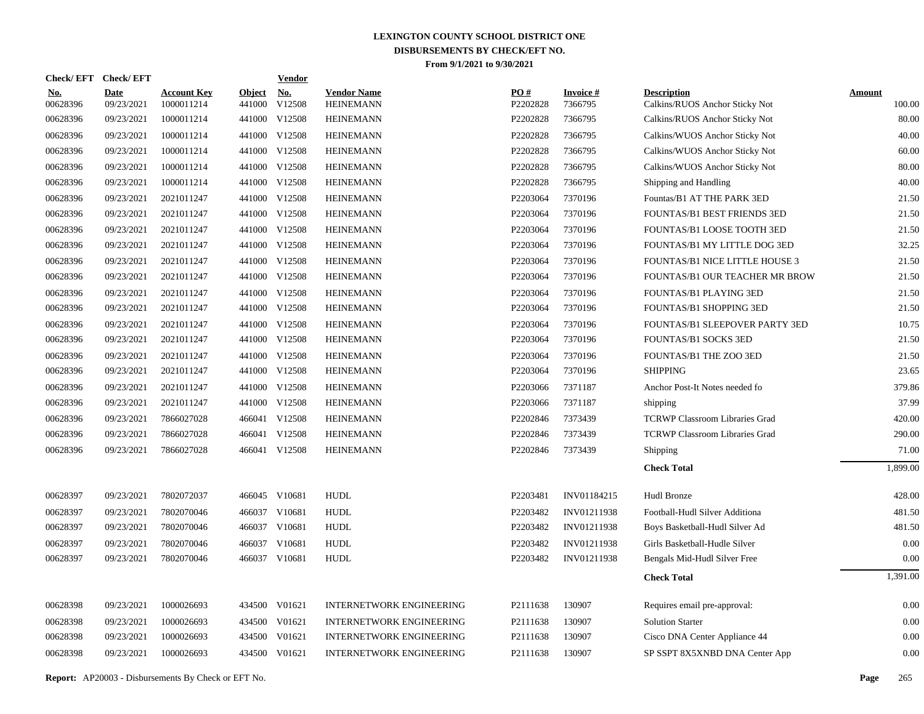| <b>Check/EFT</b>       | <b>Check/EFT</b>          |                                  |                         | <b>Vendor</b>        |                                        |                 |                      |                                                      |                  |
|------------------------|---------------------------|----------------------------------|-------------------------|----------------------|----------------------------------------|-----------------|----------------------|------------------------------------------------------|------------------|
| <u>No.</u><br>00628396 | <b>Date</b><br>09/23/2021 | <b>Account Key</b><br>1000011214 | <b>Object</b><br>441000 | <u>No.</u><br>V12508 | <b>Vendor Name</b><br><b>HEINEMANN</b> | PO#<br>P2202828 | Invoice #<br>7366795 | <b>Description</b><br>Calkins/RUOS Anchor Sticky Not | Amount<br>100.00 |
| 00628396               | 09/23/2021                | 1000011214                       | 441000                  | V12508               | <b>HEINEMANN</b>                       | P2202828        | 7366795              | Calkins/RUOS Anchor Sticky Not                       | 80.00            |
| 00628396               | 09/23/2021                | 1000011214                       |                         | 441000 V12508        | <b>HEINEMANN</b>                       | P2202828        | 7366795              | Calkins/WUOS Anchor Sticky Not                       | 40.00            |
| 00628396               | 09/23/2021                | 1000011214                       |                         | 441000 V12508        | <b>HEINEMANN</b>                       | P2202828        | 7366795              | Calkins/WUOS Anchor Sticky Not                       | 60.00            |
| 00628396               | 09/23/2021                | 1000011214                       |                         | 441000 V12508        | <b>HEINEMANN</b>                       | P2202828        | 7366795              | Calkins/WUOS Anchor Sticky Not                       | 80.00            |
| 00628396               | 09/23/2021                | 1000011214                       |                         | 441000 V12508        | <b>HEINEMANN</b>                       | P2202828        | 7366795              | Shipping and Handling                                | 40.00            |
| 00628396               | 09/23/2021                | 2021011247                       |                         | 441000 V12508        | <b>HEINEMANN</b>                       | P2203064        | 7370196              | Fountas/B1 AT THE PARK 3ED                           | 21.50            |
| 00628396               | 09/23/2021                | 2021011247                       |                         | 441000 V12508        | <b>HEINEMANN</b>                       | P2203064        | 7370196              | FOUNTAS/B1 BEST FRIENDS 3ED                          | 21.50            |
| 00628396               | 09/23/2021                | 2021011247                       |                         | 441000 V12508        | <b>HEINEMANN</b>                       | P2203064        | 7370196              | FOUNTAS/B1 LOOSE TOOTH 3ED                           | 21.50            |
| 00628396               | 09/23/2021                | 2021011247                       |                         | 441000 V12508        | <b>HEINEMANN</b>                       | P2203064        | 7370196              | FOUNTAS/B1 MY LITTLE DOG 3ED                         | 32.25            |
| 00628396               | 09/23/2021                | 2021011247                       |                         | 441000 V12508        | <b>HEINEMANN</b>                       | P2203064        | 7370196              | FOUNTAS/B1 NICE LITTLE HOUSE 3                       | 21.50            |
| 00628396               | 09/23/2021                | 2021011247                       |                         | 441000 V12508        | <b>HEINEMANN</b>                       | P2203064        | 7370196              | FOUNTAS/B1 OUR TEACHER MR BROW                       | 21.50            |
| 00628396               | 09/23/2021                | 2021011247                       |                         | 441000 V12508        | <b>HEINEMANN</b>                       | P2203064        | 7370196              | FOUNTAS/B1 PLAYING 3ED                               | 21.50            |
| 00628396               | 09/23/2021                | 2021011247                       |                         | 441000 V12508        | <b>HEINEMANN</b>                       | P2203064        | 7370196              | FOUNTAS/B1 SHOPPING 3ED                              | 21.50            |
| 00628396               | 09/23/2021                | 2021011247                       |                         | 441000 V12508        | <b>HEINEMANN</b>                       | P2203064        | 7370196              | FOUNTAS/B1 SLEEPOVER PARTY 3ED                       | 10.75            |
| 00628396               | 09/23/2021                | 2021011247                       |                         | 441000 V12508        | <b>HEINEMANN</b>                       | P2203064        | 7370196              | <b>FOUNTAS/B1 SOCKS 3ED</b>                          | 21.50            |
| 00628396               | 09/23/2021                | 2021011247                       |                         | 441000 V12508        | <b>HEINEMANN</b>                       | P2203064        | 7370196              | FOUNTAS/B1 THE ZOO 3ED                               | 21.50            |
| 00628396               | 09/23/2021                | 2021011247                       |                         | 441000 V12508        | <b>HEINEMANN</b>                       | P2203064        | 7370196              | <b>SHIPPING</b>                                      | 23.65            |
| 00628396               | 09/23/2021                | 2021011247                       |                         | 441000 V12508        | <b>HEINEMANN</b>                       | P2203066        | 7371187              | Anchor Post-It Notes needed fo                       | 379.86           |
| 00628396               | 09/23/2021                | 2021011247                       |                         | 441000 V12508        | <b>HEINEMANN</b>                       | P2203066        | 7371187              | shipping                                             | 37.99            |
| 00628396               | 09/23/2021                | 7866027028                       |                         | 466041 V12508        | <b>HEINEMANN</b>                       | P2202846        | 7373439              | <b>TCRWP Classroom Libraries Grad</b>                | 420.00           |
| 00628396               | 09/23/2021                | 7866027028                       | 466041                  | V12508               | <b>HEINEMANN</b>                       | P2202846        | 7373439              | <b>TCRWP Classroom Libraries Grad</b>                | 290.00           |
| 00628396               | 09/23/2021                | 7866027028                       |                         | 466041 V12508        | <b>HEINEMANN</b>                       | P2202846        | 7373439              | Shipping                                             | 71.00            |
|                        |                           |                                  |                         |                      |                                        |                 |                      | <b>Check Total</b>                                   | 1.899.00         |
| 00628397               | 09/23/2021                | 7802072037                       | 466045 V10681           |                      | <b>HUDL</b>                            | P2203481        | INV01184215          | Hudl Bronze                                          | 428.00           |
| 00628397               | 09/23/2021                | 7802070046                       | 466037 V10681           |                      | <b>HUDL</b>                            | P2203482        | INV01211938          | Football-Hudl Silver Additiona                       | 481.50           |
| 00628397               | 09/23/2021                | 7802070046                       | 466037 V10681           |                      | <b>HUDL</b>                            | P2203482        | INV01211938          | Boys Basketball-Hudl Silver Ad                       | 481.50           |
| 00628397               | 09/23/2021                | 7802070046                       | 466037 V10681           |                      | HUDL                                   | P2203482        | INV01211938          | Girls Basketball-Hudle Silver                        | 0.00             |
| 00628397               | 09/23/2021                | 7802070046                       | 466037 V10681           |                      | <b>HUDL</b>                            | P2203482        | INV01211938          | Bengals Mid-Hudl Silver Free                         | 0.00             |
|                        |                           |                                  |                         |                      |                                        |                 |                      | <b>Check Total</b>                                   | 1,391.00         |
| 00628398               | 09/23/2021                | 1000026693                       |                         | 434500 V01621        | <b>INTERNETWORK ENGINEERING</b>        | P2111638        | 130907               | Requires email pre-approval:                         | 0.00             |
| 00628398               | 09/23/2021                | 1000026693                       |                         | 434500 V01621        | <b>INTERNETWORK ENGINEERING</b>        | P2111638        | 130907               | <b>Solution Starter</b>                              | 0.00             |
| 00628398               | 09/23/2021                | 1000026693                       |                         | 434500 V01621        | <b>INTERNETWORK ENGINEERING</b>        | P2111638        | 130907               | Cisco DNA Center Appliance 44                        | 0.00             |
| 00628398               | 09/23/2021                | 1000026693                       |                         | 434500 V01621        | <b>INTERNETWORK ENGINEERING</b>        | P2111638        | 130907               | SP SSPT 8X5XNBD DNA Center App                       | 0.00             |
|                        |                           |                                  |                         |                      |                                        |                 |                      |                                                      |                  |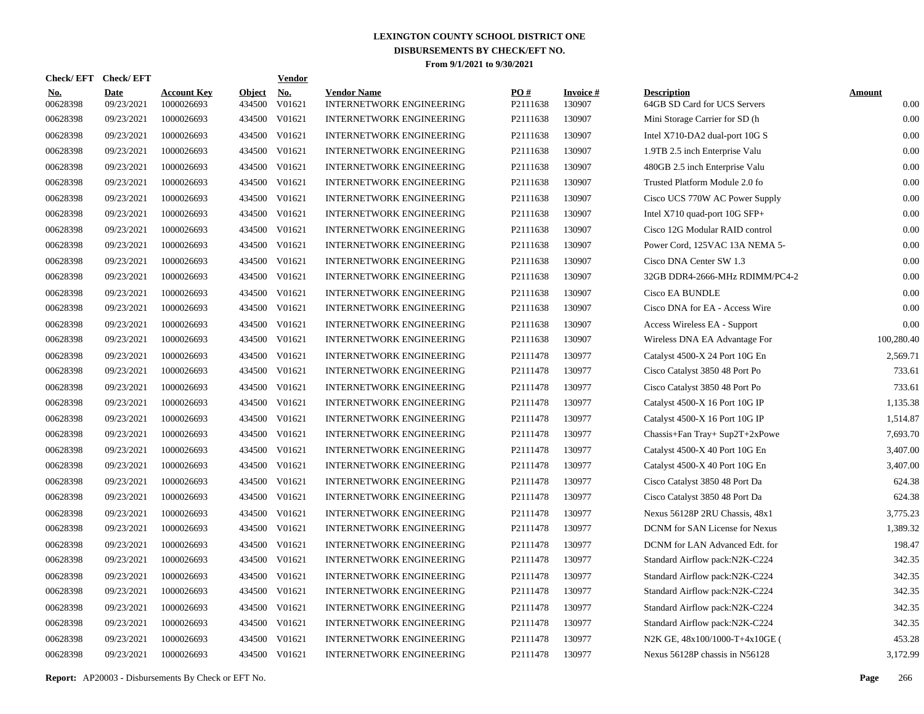| Check/EFT Check/EFT    |                           |                                  |                         | <b>Vendor</b>        |                                                       |                 |                           |                                                    |                       |
|------------------------|---------------------------|----------------------------------|-------------------------|----------------------|-------------------------------------------------------|-----------------|---------------------------|----------------------------------------------------|-----------------------|
| <u>No.</u><br>00628398 | <b>Date</b><br>09/23/2021 | <b>Account Key</b><br>1000026693 | <b>Object</b><br>434500 | <u>No.</u><br>V01621 | <b>Vendor Name</b><br><b>INTERNETWORK ENGINEERING</b> | PQ#<br>P2111638 | <b>Invoice#</b><br>130907 | <b>Description</b><br>64GB SD Card for UCS Servers | <b>Amount</b><br>0.00 |
| 00628398               | 09/23/2021                | 1000026693                       | 434500                  | V01621               | <b>INTERNETWORK ENGINEERING</b>                       | P2111638        | 130907                    | Mini Storage Carrier for SD (h                     | 0.00                  |
| 00628398               | 09/23/2021                | 1000026693                       | 434500                  | V01621               | <b>INTERNETWORK ENGINEERING</b>                       | P2111638        | 130907                    | Intel X710-DA2 dual-port 10G S                     | 0.00                  |
| 00628398               | 09/23/2021                | 1000026693                       | 434500                  | V01621               | <b>INTERNETWORK ENGINEERING</b>                       | P2111638        | 130907                    | 1.9TB 2.5 inch Enterprise Valu                     | 0.00                  |
| 00628398               | 09/23/2021                | 1000026693                       | 434500                  | V01621               | <b>INTERNETWORK ENGINEERING</b>                       | P2111638        | 130907                    | 480GB 2.5 inch Enterprise Valu                     | 0.00                  |
| 00628398               | 09/23/2021                | 1000026693                       | 434500                  | V01621               | <b>INTERNETWORK ENGINEERING</b>                       | P2111638        | 130907                    | Trusted Platform Module 2.0 fo                     | 0.00                  |
| 00628398               | 09/23/2021                | 1000026693                       | 434500                  | V01621               | <b>INTERNETWORK ENGINEERING</b>                       | P2111638        | 130907                    | Cisco UCS 770W AC Power Supply                     | 0.00                  |
| 00628398               | 09/23/2021                | 1000026693                       | 434500                  | V01621               | <b>INTERNETWORK ENGINEERING</b>                       | P2111638        | 130907                    | Intel X710 quad-port 10G SFP+                      | 0.00                  |
| 00628398               | 09/23/2021                | 1000026693                       | 434500                  | V01621               | <b>INTERNETWORK ENGINEERING</b>                       | P2111638        | 130907                    | Cisco 12G Modular RAID control                     | 0.00                  |
| 00628398               | 09/23/2021                | 1000026693                       | 434500                  | V01621               | <b>INTERNETWORK ENGINEERING</b>                       | P2111638        | 130907                    | Power Cord, 125VAC 13A NEMA 5-                     | 0.00                  |
| 00628398               | 09/23/2021                | 1000026693                       | 434500                  | V01621               | <b>INTERNETWORK ENGINEERING</b>                       | P2111638        | 130907                    | Cisco DNA Center SW 1.3                            | 0.00                  |
| 00628398               | 09/23/2021                | 1000026693                       | 434500                  | V01621               | <b>INTERNETWORK ENGINEERING</b>                       | P2111638        | 130907                    | 32GB DDR4-2666-MHz RDIMM/PC4-2                     | 0.00                  |
| 00628398               | 09/23/2021                | 1000026693                       | 434500                  | V01621               | <b>INTERNETWORK ENGINEERING</b>                       | P2111638        | 130907                    | <b>Cisco EA BUNDLE</b>                             | 0.00                  |
| 00628398               | 09/23/2021                | 1000026693                       | 434500                  | V01621               | <b>INTERNETWORK ENGINEERING</b>                       | P2111638        | 130907                    | Cisco DNA for EA - Access Wire                     | 0.00                  |
| 00628398               | 09/23/2021                | 1000026693                       | 434500                  | V01621               | <b>INTERNETWORK ENGINEERING</b>                       | P2111638        | 130907                    | Access Wireless EA - Support                       | 0.00                  |
| 00628398               | 09/23/2021                | 1000026693                       | 434500                  | V01621               | <b>INTERNETWORK ENGINEERING</b>                       | P2111638        | 130907                    | Wireless DNA EA Advantage For                      | 100,280.40            |
| 00628398               | 09/23/2021                | 1000026693                       | 434500                  | V01621               | <b>INTERNETWORK ENGINEERING</b>                       | P2111478        | 130977                    | Catalyst 4500-X 24 Port 10G En                     | 2,569.71              |
| 00628398               | 09/23/2021                | 1000026693                       | 434500                  | V01621               | <b>INTERNETWORK ENGINEERING</b>                       | P2111478        | 130977                    | Cisco Catalyst 3850 48 Port Po                     | 733.61                |
| 00628398               | 09/23/2021                | 1000026693                       | 434500                  | V01621               | <b>INTERNETWORK ENGINEERING</b>                       | P2111478        | 130977                    | Cisco Catalyst 3850 48 Port Po                     | 733.61                |
| 00628398               | 09/23/2021                | 1000026693                       | 434500                  | V01621               | <b>INTERNETWORK ENGINEERING</b>                       | P2111478        | 130977                    | Catalyst 4500-X 16 Port 10G IP                     | 1,135.38              |
| 00628398               | 09/23/2021                | 1000026693                       | 434500                  | V01621               | <b>INTERNETWORK ENGINEERING</b>                       | P2111478        | 130977                    | Catalyst 4500-X 16 Port 10G IP                     | 1,514.87              |
| 00628398               | 09/23/2021                | 1000026693                       | 434500                  | V01621               | <b>INTERNETWORK ENGINEERING</b>                       | P2111478        | 130977                    | Chassis+Fan Tray+ Sup2T+2xPowe                     | 7,693.70              |
| 00628398               | 09/23/2021                | 1000026693                       | 434500                  | V01621               | <b>INTERNETWORK ENGINEERING</b>                       | P2111478        | 130977                    | Catalyst 4500-X 40 Port 10G En                     | 3,407.00              |
| 00628398               | 09/23/2021                | 1000026693                       | 434500                  | V01621               | <b>INTERNETWORK ENGINEERING</b>                       | P2111478        | 130977                    | Catalyst 4500-X 40 Port 10G En                     | 3,407.00              |
| 00628398               | 09/23/2021                | 1000026693                       | 434500                  | V01621               | <b>INTERNETWORK ENGINEERING</b>                       | P2111478        | 130977                    | Cisco Catalyst 3850 48 Port Da                     | 624.38                |
| 00628398               | 09/23/2021                | 1000026693                       | 434500                  | V01621               | <b>INTERNETWORK ENGINEERING</b>                       | P2111478        | 130977                    | Cisco Catalyst 3850 48 Port Da                     | 624.38                |
| 00628398               | 09/23/2021                | 1000026693                       | 434500                  | V01621               | <b>INTERNETWORK ENGINEERING</b>                       | P2111478        | 130977                    | Nexus 56128P 2RU Chassis, 48x1                     | 3,775.23              |
| 00628398               | 09/23/2021                | 1000026693                       | 434500                  | V01621               | <b>INTERNETWORK ENGINEERING</b>                       | P2111478        | 130977                    | DCNM for SAN License for Nexus                     | 1,389.32              |
| 00628398               | 09/23/2021                | 1000026693                       | 434500                  | V01621               | <b>INTERNETWORK ENGINEERING</b>                       | P2111478        | 130977                    | DCNM for LAN Advanced Edt. for                     | 198.47                |
| 00628398               | 09/23/2021                | 1000026693                       | 434500                  | V01621               | <b>INTERNETWORK ENGINEERING</b>                       | P2111478        | 130977                    | Standard Airflow pack:N2K-C224                     | 342.35                |
| 00628398               | 09/23/2021                | 1000026693                       | 434500                  | V01621               | <b>INTERNETWORK ENGINEERING</b>                       | P2111478        | 130977                    | Standard Airflow pack:N2K-C224                     | 342.35                |
| 00628398               | 09/23/2021                | 1000026693                       | 434500                  | V01621               | <b>INTERNETWORK ENGINEERING</b>                       | P2111478        | 130977                    | Standard Airflow pack:N2K-C224                     | 342.35                |
| 00628398               | 09/23/2021                | 1000026693                       | 434500                  | V01621               | <b>INTERNETWORK ENGINEERING</b>                       | P2111478        | 130977                    | Standard Airflow pack:N2K-C224                     | 342.35                |
| 00628398               | 09/23/2021                | 1000026693                       | 434500                  | V01621               | <b>INTERNETWORK ENGINEERING</b>                       | P2111478        | 130977                    | Standard Airflow pack:N2K-C224                     | 342.35                |
| 00628398               | 09/23/2021                | 1000026693                       | 434500                  | V01621               | <b>INTERNETWORK ENGINEERING</b>                       | P2111478        | 130977                    | N2K GE, 48x100/1000-T+4x10GE (                     | 453.28                |
| 00628398               | 09/23/2021                | 1000026693                       |                         | 434500 V01621        | <b>INTERNETWORK ENGINEERING</b>                       | P2111478        | 130977                    | Nexus 56128P chassis in N56128                     | 3.172.99              |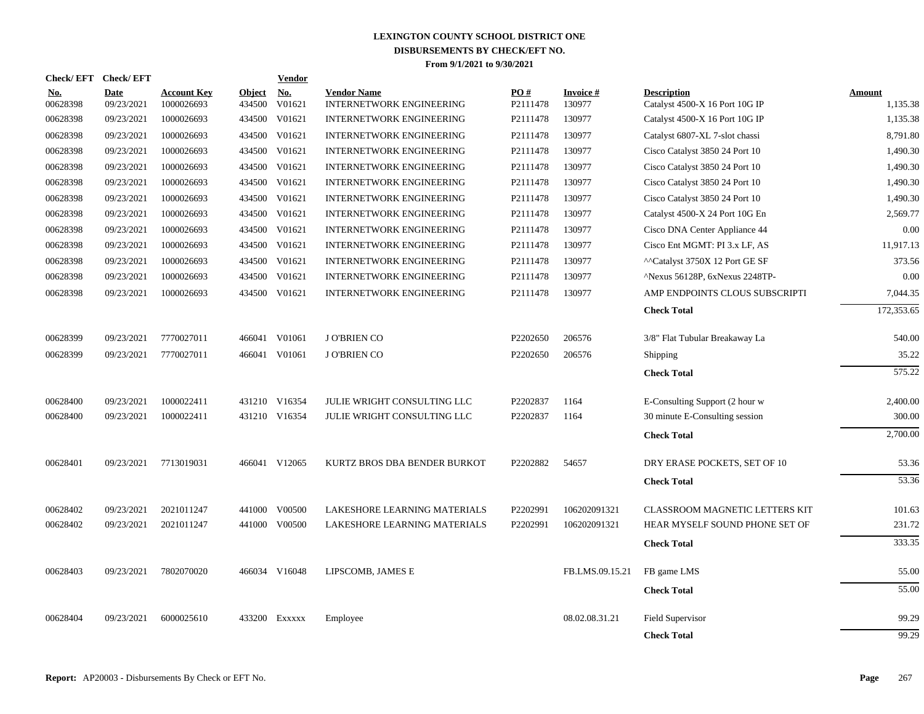| Check/EFT Check/EFT    |                           |                                  |                         | <b>Vendor</b>                         |                                                       |                 |                           |                                                      |                           |
|------------------------|---------------------------|----------------------------------|-------------------------|---------------------------------------|-------------------------------------------------------|-----------------|---------------------------|------------------------------------------------------|---------------------------|
| <u>No.</u><br>00628398 | <b>Date</b><br>09/23/2021 | <b>Account Key</b><br>1000026693 | <b>Object</b><br>434500 | $\underline{\mathrm{No}}$ .<br>V01621 | <b>Vendor Name</b><br><b>INTERNETWORK ENGINEERING</b> | PO#<br>P2111478 | <b>Invoice#</b><br>130977 | <b>Description</b><br>Catalyst 4500-X 16 Port 10G IP | <b>Amount</b><br>1,135.38 |
| 00628398               | 09/23/2021                | 1000026693                       | 434500                  | V01621                                | <b>INTERNETWORK ENGINEERING</b>                       | P2111478        | 130977                    | Catalyst 4500-X 16 Port 10G IP                       | 1,135.38                  |
| 00628398               | 09/23/2021                | 1000026693                       | 434500                  | V01621                                | <b>INTERNETWORK ENGINEERING</b>                       | P2111478        | 130977                    | Catalyst 6807-XL 7-slot chassi                       | 8,791.80                  |
| 00628398               | 09/23/2021                | 1000026693                       | 434500                  | V01621                                | <b>INTERNETWORK ENGINEERING</b>                       | P2111478        | 130977                    | Cisco Catalyst 3850 24 Port 10                       | 1,490.30                  |
| 00628398               | 09/23/2021                | 1000026693                       | 434500                  | V01621                                | <b>INTERNETWORK ENGINEERING</b>                       | P2111478        | 130977                    | Cisco Catalyst 3850 24 Port 10                       | 1,490.30                  |
| 00628398               | 09/23/2021                | 1000026693                       | 434500                  | V01621                                | <b>INTERNETWORK ENGINEERING</b>                       | P2111478        | 130977                    | Cisco Catalyst 3850 24 Port 10                       | 1,490.30                  |
| 00628398               | 09/23/2021                | 1000026693                       | 434500                  | V01621                                | <b>INTERNETWORK ENGINEERING</b>                       | P2111478        | 130977                    | Cisco Catalyst 3850 24 Port 10                       | 1,490.30                  |
| 00628398               | 09/23/2021                | 1000026693                       | 434500                  | V01621                                | <b>INTERNETWORK ENGINEERING</b>                       | P2111478        | 130977                    | Catalyst 4500-X 24 Port 10G En                       | 2,569.77                  |
| 00628398               | 09/23/2021                | 1000026693                       | 434500                  | V01621                                | <b>INTERNETWORK ENGINEERING</b>                       | P2111478        | 130977                    | Cisco DNA Center Appliance 44                        | 0.00                      |
| 00628398               | 09/23/2021                | 1000026693                       | 434500                  | V01621                                | <b>INTERNETWORK ENGINEERING</b>                       | P2111478        | 130977                    | Cisco Ent MGMT: PI 3.x LF, AS                        | 11,917.13                 |
| 00628398               | 09/23/2021                | 1000026693                       | 434500                  | V01621                                | INTERNETWORK ENGINEERING                              | P2111478        | 130977                    | ^^Catalyst 3750X 12 Port GE SF                       | 373.56                    |
| 00628398               | 09/23/2021                | 1000026693                       | 434500                  | V01621                                | INTERNETWORK ENGINEERING                              | P2111478        | 130977                    | ^Nexus 56128P, 6xNexus 2248TP-                       | 0.00                      |
| 00628398               | 09/23/2021                | 1000026693                       |                         | 434500 V01621                         | <b>INTERNETWORK ENGINEERING</b>                       | P2111478        | 130977                    | AMP ENDPOINTS CLOUS SUBSCRIPTI                       | 7,044.35                  |
|                        |                           |                                  |                         |                                       |                                                       |                 |                           | <b>Check Total</b>                                   | 172,353.65                |
| 00628399               | 09/23/2021                | 7770027011                       |                         | 466041 V01061                         | <b>JO'BRIENCO</b>                                     | P2202650        | 206576                    | 3/8" Flat Tubular Breakaway La                       | 540.00                    |
| 00628399               | 09/23/2021                | 7770027011                       |                         | 466041 V01061                         | <b>JO'BRIEN CO</b>                                    | P2202650        | 206576                    | Shipping                                             | 35.22                     |
|                        |                           |                                  |                         |                                       |                                                       |                 |                           | <b>Check Total</b>                                   | 575.22                    |
| 00628400               | 09/23/2021                | 1000022411                       |                         | 431210 V16354                         | JULIE WRIGHT CONSULTING LLC                           | P2202837        | 1164                      | E-Consulting Support (2 hour w                       | 2,400.00                  |
| 00628400               | 09/23/2021                | 1000022411                       |                         | 431210 V16354                         | JULIE WRIGHT CONSULTING LLC                           | P2202837        | 1164                      | 30 minute E-Consulting session                       | 300.00                    |
|                        |                           |                                  |                         |                                       |                                                       |                 |                           | <b>Check Total</b>                                   | 2,700.00                  |
|                        |                           |                                  |                         |                                       |                                                       |                 |                           |                                                      |                           |
| 00628401               | 09/23/2021                | 7713019031                       |                         | 466041 V12065                         | KURTZ BROS DBA BENDER BURKOT                          | P2202882        | 54657                     | DRY ERASE POCKETS, SET OF 10                         | 53.36                     |
|                        |                           |                                  |                         |                                       |                                                       |                 |                           | <b>Check Total</b>                                   | 53.36                     |
| 00628402               | 09/23/2021                | 2021011247                       |                         | 441000 V00500                         | LAKESHORE LEARNING MATERIALS                          | P2202991        | 106202091321              | CLASSROOM MAGNETIC LETTERS KIT                       | 101.63                    |
| 00628402               | 09/23/2021                | 2021011247                       | 441000                  | V00500                                | LAKESHORE LEARNING MATERIALS                          | P2202991        | 106202091321              | HEAR MYSELF SOUND PHONE SET OF                       | 231.72                    |
|                        |                           |                                  |                         |                                       |                                                       |                 |                           | <b>Check Total</b>                                   | 333.35                    |
| 00628403               | 09/23/2021                | 7802070020                       |                         | 466034 V16048                         | LIPSCOMB, JAMES E                                     |                 | FB.LMS.09.15.21           | FB game LMS                                          | 55.00                     |
|                        |                           |                                  |                         |                                       |                                                       |                 |                           | <b>Check Total</b>                                   | 55.00                     |
|                        |                           |                                  |                         |                                       |                                                       |                 |                           |                                                      |                           |
| 00628404               | 09/23/2021                | 6000025610                       |                         | 433200 Exxxxx                         | Employee                                              |                 | 08.02.08.31.21            | Field Supervisor                                     | 99.29                     |
|                        |                           |                                  |                         |                                       |                                                       |                 |                           | <b>Check Total</b>                                   | 99.29                     |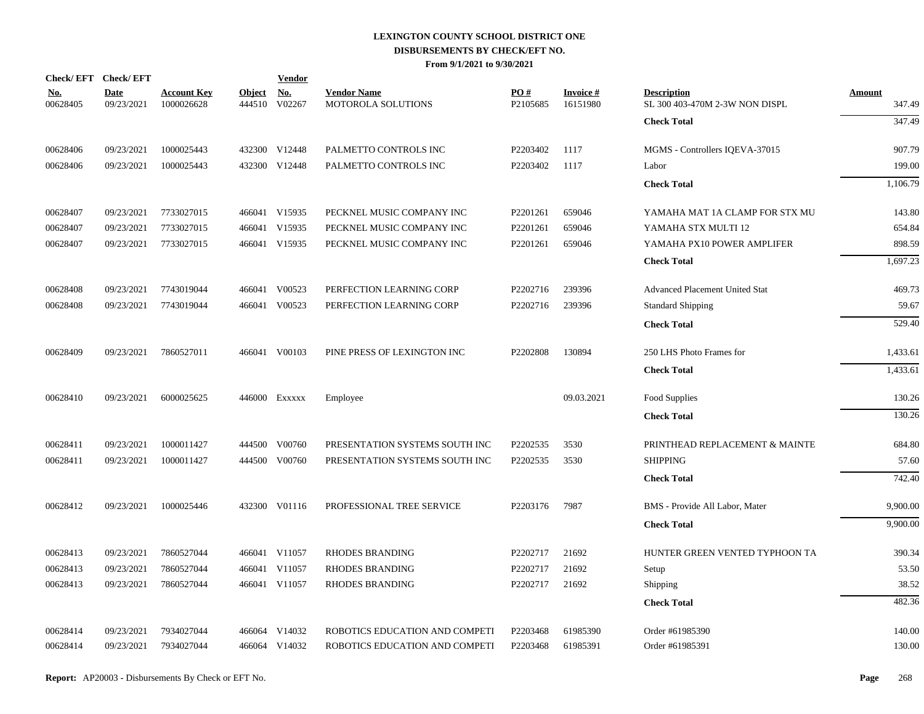|                        | Check/EFT Check/EFT       |                                  |                         | <b>Vendor</b>        |                                                 |                             |                             |                                                      |                         |
|------------------------|---------------------------|----------------------------------|-------------------------|----------------------|-------------------------------------------------|-----------------------------|-----------------------------|------------------------------------------------------|-------------------------|
| <u>No.</u><br>00628405 | <b>Date</b><br>09/23/2021 | <b>Account Key</b><br>1000026628 | <u>Object</u><br>444510 | <b>No.</b><br>V02267 | <b>Vendor Name</b><br><b>MOTOROLA SOLUTIONS</b> | PO#<br>P <sub>2105685</sub> | <b>Invoice#</b><br>16151980 | <b>Description</b><br>SL 300 403-470M 2-3W NON DISPL | <b>Amount</b><br>347.49 |
|                        |                           |                                  |                         |                      |                                                 |                             |                             | <b>Check Total</b>                                   | 347.49                  |
| 00628406               | 09/23/2021                | 1000025443                       |                         | 432300 V12448        | PALMETTO CONTROLS INC                           | P2203402                    | 1117                        | MGMS - Controllers IQEVA-37015                       | 907.79                  |
| 00628406               | 09/23/2021                | 1000025443                       |                         | 432300 V12448        | PALMETTO CONTROLS INC                           | P2203402                    | 1117                        | Labor                                                | 199.00                  |
|                        |                           |                                  |                         |                      |                                                 |                             |                             | <b>Check Total</b>                                   | 1,106.79                |
| 00628407               | 09/23/2021                | 7733027015                       |                         | 466041 V15935        | PECKNEL MUSIC COMPANY INC                       | P2201261                    | 659046                      | YAMAHA MAT 1A CLAMP FOR STX MU                       | 143.80                  |
| 00628407               | 09/23/2021                | 7733027015                       | 466041                  | V15935               | PECKNEL MUSIC COMPANY INC                       | P2201261                    | 659046                      | YAMAHA STX MULTI 12                                  | 654.84                  |
| 00628407               | 09/23/2021                | 7733027015                       |                         | 466041 V15935        | PECKNEL MUSIC COMPANY INC                       | P2201261                    | 659046                      | YAMAHA PX10 POWER AMPLIFER                           | 898.59                  |
|                        |                           |                                  |                         |                      |                                                 |                             |                             | <b>Check Total</b>                                   | 1,697.23                |
| 00628408               | 09/23/2021                | 7743019044                       |                         | 466041 V00523        | PERFECTION LEARNING CORP                        | P2202716                    | 239396                      | Advanced Placement United Stat                       | 469.73                  |
| 00628408               | 09/23/2021                | 7743019044                       |                         | 466041 V00523        | PERFECTION LEARNING CORP                        | P2202716                    | 239396                      | <b>Standard Shipping</b>                             | 59.67                   |
|                        |                           |                                  |                         |                      |                                                 |                             |                             | <b>Check Total</b>                                   | 529.40                  |
| 00628409               | 09/23/2021                | 7860527011                       |                         | 466041 V00103        | PINE PRESS OF LEXINGTON INC                     | P2202808                    | 130894                      | 250 LHS Photo Frames for                             | 1,433.61                |
|                        |                           |                                  |                         |                      |                                                 |                             |                             | <b>Check Total</b>                                   | 1,433.61                |
| 00628410               | 09/23/2021                | 6000025625                       |                         | 446000 Exxxxx        | Employee                                        |                             | 09.03.2021                  | Food Supplies                                        | 130.26                  |
|                        |                           |                                  |                         |                      |                                                 |                             |                             | <b>Check Total</b>                                   | 130.26                  |
| 00628411               | 09/23/2021                | 1000011427                       |                         | 444500 V00760        | PRESENTATION SYSTEMS SOUTH INC                  | P2202535                    | 3530                        | PRINTHEAD REPLACEMENT & MAINTE                       | 684.80                  |
| 00628411               | 09/23/2021                | 1000011427                       | 444500                  | V00760               | PRESENTATION SYSTEMS SOUTH INC                  | P2202535                    | 3530                        | <b>SHIPPING</b>                                      | 57.60                   |
|                        |                           |                                  |                         |                      |                                                 |                             |                             | <b>Check Total</b>                                   | 742.40                  |
| 00628412               | 09/23/2021                | 1000025446                       |                         | 432300 V01116        | PROFESSIONAL TREE SERVICE                       | P2203176                    | 7987                        | BMS - Provide All Labor, Mater                       | 9,900.00                |
|                        |                           |                                  |                         |                      |                                                 |                             |                             | <b>Check Total</b>                                   | 9,900.00                |
| 00628413               | 09/23/2021                | 7860527044                       |                         | 466041 V11057        | <b>RHODES BRANDING</b>                          | P2202717                    | 21692                       | HUNTER GREEN VENTED TYPHOON TA                       | 390.34                  |
| 00628413               | 09/23/2021                | 7860527044                       | 466041                  | V11057               | <b>RHODES BRANDING</b>                          | P2202717                    | 21692                       | Setup                                                | 53.50                   |
| 00628413               | 09/23/2021                | 7860527044                       |                         | 466041 V11057        | <b>RHODES BRANDING</b>                          | P2202717                    | 21692                       | Shipping                                             | 38.52                   |
|                        |                           |                                  |                         |                      |                                                 |                             |                             | <b>Check Total</b>                                   | 482.36                  |
| 00628414               | 09/23/2021                | 7934027044                       |                         | 466064 V14032        | ROBOTICS EDUCATION AND COMPETI                  | P2203468                    | 61985390                    | Order #61985390                                      | 140.00                  |
| 00628414               | 09/23/2021                | 7934027044                       |                         | 466064 V14032        | ROBOTICS EDUCATION AND COMPETI                  | P2203468                    | 61985391                    | Order #61985391                                      | 130.00                  |
|                        |                           |                                  |                         |                      |                                                 |                             |                             |                                                      |                         |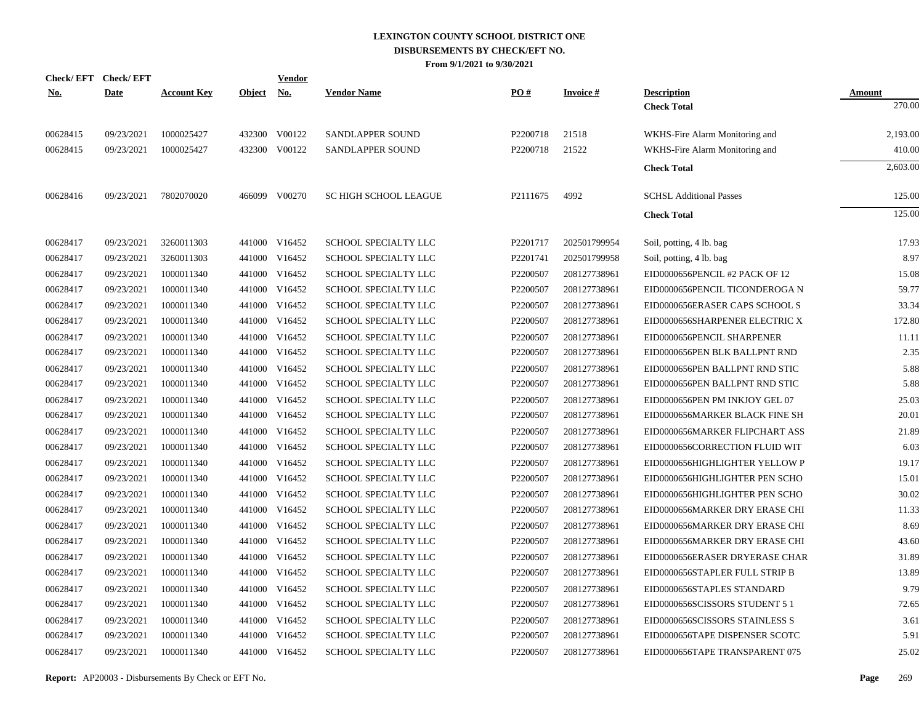| <b>Check/EFT</b> | <b>Check/EFT</b> |                    |               | Vendor        |                             |          |                 |                                |               |
|------------------|------------------|--------------------|---------------|---------------|-----------------------------|----------|-----------------|--------------------------------|---------------|
| <u>No.</u>       | <b>Date</b>      | <b>Account Key</b> | <b>Object</b> | <u>No.</u>    | <b>Vendor Name</b>          | PO#      | <b>Invoice#</b> | <b>Description</b>             | <b>Amount</b> |
|                  |                  |                    |               |               |                             |          |                 | <b>Check Total</b>             | 270.00        |
| 00628415         | 09/23/2021       | 1000025427         |               | 432300 V00122 | SANDLAPPER SOUND            | P2200718 | 21518           | WKHS-Fire Alarm Monitoring and | 2,193.00      |
| 00628415         | 09/23/2021       | 1000025427         |               | 432300 V00122 | SANDLAPPER SOUND            | P2200718 | 21522           | WKHS-Fire Alarm Monitoring and | 410.00        |
|                  |                  |                    |               |               |                             |          |                 | <b>Check Total</b>             | 2,603.00      |
| 00628416         | 09/23/2021       | 7802070020         |               | 466099 V00270 | SC HIGH SCHOOL LEAGUE       | P2111675 | 4992            | <b>SCHSL Additional Passes</b> | 125.00        |
|                  |                  |                    |               |               |                             |          |                 | <b>Check Total</b>             | 125.00        |
| 00628417         | 09/23/2021       | 3260011303         |               | 441000 V16452 | SCHOOL SPECIALTY LLC        | P2201717 | 202501799954    | Soil, potting, 4 lb. bag       | 17.93         |
| 00628417         | 09/23/2021       | 3260011303         |               | 441000 V16452 | SCHOOL SPECIALTY LLC        | P2201741 | 202501799958    | Soil, potting, 4 lb. bag       | 8.97          |
| 00628417         | 09/23/2021       | 1000011340         |               | 441000 V16452 | SCHOOL SPECIALTY LLC        | P2200507 | 208127738961    | EID0000656PENCIL #2 PACK OF 12 | 15.08         |
| 00628417         | 09/23/2021       | 1000011340         |               | 441000 V16452 | SCHOOL SPECIALTY LLC        | P2200507 | 208127738961    | EID0000656PENCIL TICONDEROGA N | 59.77         |
| 00628417         | 09/23/2021       | 1000011340         |               | 441000 V16452 | SCHOOL SPECIALTY LLC        | P2200507 | 208127738961    | EID0000656ERASER CAPS SCHOOL S | 33.34         |
| 00628417         | 09/23/2021       | 1000011340         |               | 441000 V16452 | SCHOOL SPECIALTY LLC        | P2200507 | 208127738961    | EID0000656SHARPENER ELECTRIC X | 172.80        |
| 00628417         | 09/23/2021       | 1000011340         | 441000        | V16452        | SCHOOL SPECIALTY LLC        | P2200507 | 208127738961    | EID0000656PENCIL SHARPENER     | 11.11         |
| 00628417         | 09/23/2021       | 1000011340         |               | 441000 V16452 | SCHOOL SPECIALTY LLC        | P2200507 | 208127738961    | EID0000656PEN BLK BALLPNT RND  | 2.35          |
| 00628417         | 09/23/2021       | 1000011340         | 441000        | V16452        | SCHOOL SPECIALTY LLC        | P2200507 | 208127738961    | EID0000656PEN BALLPNT RND STIC | 5.88          |
| 00628417         | 09/23/2021       | 1000011340         |               | 441000 V16452 | SCHOOL SPECIALTY LLC        | P2200507 | 208127738961    | EID0000656PEN BALLPNT RND STIC | 5.88          |
| 00628417         | 09/23/2021       | 1000011340         | 441000        | V16452        | SCHOOL SPECIALTY LLC        | P2200507 | 208127738961    | EID0000656PEN PM INKJOY GEL 07 | 25.03         |
| 00628417         | 09/23/2021       | 1000011340         |               | 441000 V16452 | <b>SCHOOL SPECIALTY LLC</b> | P2200507 | 208127738961    | EID0000656MARKER BLACK FINE SH | 20.01         |
| 00628417         | 09/23/2021       | 1000011340         | 441000        | V16452        | SCHOOL SPECIALTY LLC        | P2200507 | 208127738961    | EID0000656MARKER FLIPCHART ASS | 21.89         |
| 00628417         | 09/23/2021       | 1000011340         |               | 441000 V16452 | SCHOOL SPECIALTY LLC        | P2200507 | 208127738961    | EID0000656CORRECTION FLUID WIT | 6.03          |
| 00628417         | 09/23/2021       | 1000011340         | 441000        | V16452        | SCHOOL SPECIALTY LLC        | P2200507 | 208127738961    | EID0000656HIGHLIGHTER YELLOW P | 19.17         |
| 00628417         | 09/23/2021       | 1000011340         |               | 441000 V16452 | SCHOOL SPECIALTY LLC        | P2200507 | 208127738961    | EID0000656HIGHLIGHTER PEN SCHO | 15.01         |
| 00628417         | 09/23/2021       | 1000011340         | 441000        | V16452        | SCHOOL SPECIALTY LLC        | P2200507 | 208127738961    | EID0000656HIGHLIGHTER PEN SCHO | 30.02         |
| 00628417         | 09/23/2021       | 1000011340         |               | 441000 V16452 | SCHOOL SPECIALTY LLC        | P2200507 | 208127738961    | EID0000656MARKER DRY ERASE CHI | 11.33         |
| 00628417         | 09/23/2021       | 1000011340         | 441000        | V16452        | SCHOOL SPECIALTY LLC        | P2200507 | 208127738961    | EID0000656MARKER DRY ERASE CHI | 8.69          |
| 00628417         | 09/23/2021       | 1000011340         |               | 441000 V16452 | SCHOOL SPECIALTY LLC        | P2200507 | 208127738961    | EID0000656MARKER DRY ERASE CHI | 43.60         |
| 00628417         | 09/23/2021       | 1000011340         | 441000        | V16452        | SCHOOL SPECIALTY LLC        | P2200507 | 208127738961    | EID0000656ERASER DRYERASE CHAR | 31.89         |
| 00628417         | 09/23/2021       | 1000011340         |               | 441000 V16452 | SCHOOL SPECIALTY LLC        | P2200507 | 208127738961    | EID0000656STAPLER FULL STRIP B | 13.89         |
| 00628417         | 09/23/2021       | 1000011340         | 441000        | V16452        | SCHOOL SPECIALTY LLC        | P2200507 | 208127738961    | EID0000656STAPLES STANDARD     | 9.79          |
| 00628417         | 09/23/2021       | 1000011340         |               | 441000 V16452 | SCHOOL SPECIALTY LLC        | P2200507 | 208127738961    | EID0000656SCISSORS STUDENT 5 1 | 72.65         |
| 00628417         | 09/23/2021       | 1000011340         | 441000        | V16452        | SCHOOL SPECIALTY LLC        | P2200507 | 208127738961    | EID0000656SCISSORS STAINLESS S | 3.61          |
| 00628417         | 09/23/2021       | 1000011340         | 441000        | V16452        | <b>SCHOOL SPECIALTY LLC</b> | P2200507 | 208127738961    | EID0000656TAPE DISPENSER SCOTC | 5.91          |
| 00628417         | 09/23/2021       | 1000011340         |               | 441000 V16452 | SCHOOL SPECIALTY LLC        | P2200507 | 208127738961    | EID0000656TAPE TRANSPARENT 075 | 25.02         |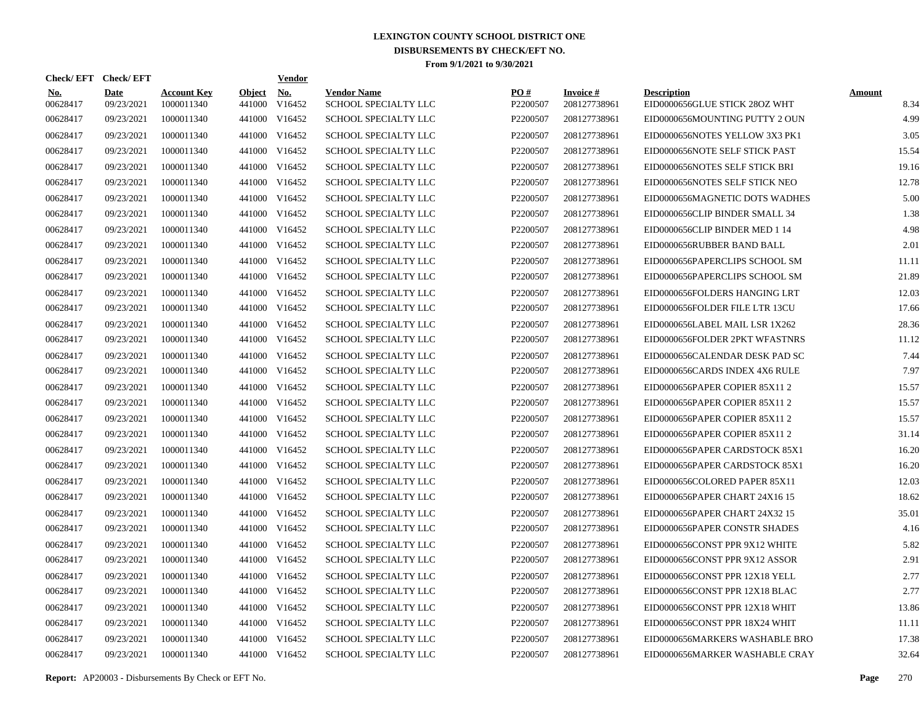| Check/EFT Check/EFT    |                           |                                  |                         | <b>Vendor</b>        |                                            |                      |                                 |                                                     |                       |
|------------------------|---------------------------|----------------------------------|-------------------------|----------------------|--------------------------------------------|----------------------|---------------------------------|-----------------------------------------------------|-----------------------|
| <b>No.</b><br>00628417 | <b>Date</b><br>09/23/2021 | <b>Account Key</b><br>1000011340 | <b>Object</b><br>441000 | <u>No.</u><br>V16452 | <b>Vendor Name</b><br>SCHOOL SPECIALTY LLC | PO#<br>P2200507      | <b>Invoice#</b><br>208127738961 | <b>Description</b><br>EID0000656GLUE STICK 28OZ WHT | <b>Amount</b><br>8.34 |
| 00628417               | 09/23/2021                | 1000011340                       | 441000                  | V16452               | <b>SCHOOL SPECIALTY LLC</b>                | P2200507             | 208127738961                    | EID0000656MOUNTING PUTTY 2 OUN                      | 4.99                  |
| 00628417               | 09/23/2021                | 1000011340                       | 441000                  | V16452               | <b>SCHOOL SPECIALTY LLC</b>                | P2200507             | 208127738961                    | EID0000656NOTES YELLOW 3X3 PK1                      | 3.05                  |
| 00628417               | 09/23/2021                | 1000011340                       | 441000                  | V16452               | <b>SCHOOL SPECIALTY LLC</b>                | P2200507             | 208127738961                    | EID0000656NOTE SELF STICK PAST                      | 15.54                 |
| 00628417               | 09/23/2021                | 1000011340                       | 441000                  | V16452               | <b>SCHOOL SPECIALTY LLC</b>                | P2200507             | 208127738961                    | EID0000656NOTES SELF STICK BRI                      | 19.16                 |
| 00628417               | 09/23/2021                | 1000011340                       | 441000                  | V16452               | <b>SCHOOL SPECIALTY LLC</b>                | P2200507             | 208127738961                    | EID0000656NOTES SELF STICK NEO                      | 12.78                 |
| 00628417               | 09/23/2021                | 1000011340                       | 441000                  | V16452               | <b>SCHOOL SPECIALTY LLC</b>                | P2200507             | 208127738961                    | EID0000656MAGNETIC DOTS WADHES                      | 5.00                  |
| 00628417               | 09/23/2021                | 1000011340                       | 441000                  | V16452               | <b>SCHOOL SPECIALTY LLC</b>                | P2200507             | 208127738961                    | EID0000656CLIP BINDER SMALL 34                      | 1.38                  |
| 00628417               | 09/23/2021                | 1000011340                       | 441000                  | V16452               | <b>SCHOOL SPECIALTY LLC</b>                | P2200507             | 208127738961                    | EID0000656CLIP BINDER MED 1 14                      | 4.98                  |
| 00628417               | 09/23/2021                | 1000011340                       | 441000                  | V16452               | <b>SCHOOL SPECIALTY LLC</b>                | P2200507             | 208127738961                    | EID0000656RUBBER BAND BALL                          | 2.01                  |
| 00628417               | 09/23/2021                | 1000011340                       | 441000                  | V16452               | <b>SCHOOL SPECIALTY LLC</b>                | P2200507             | 208127738961                    | EID0000656PAPERCLIPS SCHOOL SM                      | 11.11                 |
| 00628417               | 09/23/2021                | 1000011340                       | 441000                  | V16452               | SCHOOL SPECIALTY LLC                       | P2200507             | 208127738961                    | EID0000656PAPERCLIPS SCHOOL SM                      | 21.89                 |
| 00628417               | 09/23/2021                | 1000011340                       | 441000                  | V16452               | SCHOOL SPECIALTY LLC                       | P2200507             | 208127738961                    | EID0000656FOLDERS HANGING LRT                       | 12.03                 |
| 00628417               | 09/23/2021                | 1000011340                       | 441000                  | V16452               | SCHOOL SPECIALTY LLC                       | P <sub>2200507</sub> | 208127738961                    | EID0000656FOLDER FILE LTR 13CU                      | 17.66                 |
| 00628417               | 09/23/2021                | 1000011340                       | 441000                  | V16452               | SCHOOL SPECIALTY LLC                       | P2200507             | 208127738961                    | EID0000656LABEL MAIL LSR 1X262                      | 28.36                 |
| 00628417               | 09/23/2021                | 1000011340                       | 441000                  | V16452               | <b>SCHOOL SPECIALTY LLC</b>                | P2200507             | 208127738961                    | EID0000656FOLDER 2PKT WFASTNRS                      | 11.12                 |
| 00628417               | 09/23/2021                | 1000011340                       | 441000                  | V16452               | <b>SCHOOL SPECIALTY LLC</b>                | P2200507             | 208127738961                    | EID0000656CALENDAR DESK PAD SC                      | 7.44                  |
| 00628417               | 09/23/2021                | 1000011340                       | 441000                  | V16452               | <b>SCHOOL SPECIALTY LLC</b>                | P2200507             | 208127738961                    | EID0000656CARDS INDEX 4X6 RULE                      | 7.97                  |
| 00628417               | 09/23/2021                | 1000011340                       | 441000                  | V16452               | <b>SCHOOL SPECIALTY LLC</b>                | P2200507             | 208127738961                    | EID0000656PAPER COPIER 85X11 2                      | 15.57                 |
| 00628417               | 09/23/2021                | 1000011340                       |                         | 441000 V16452        | <b>SCHOOL SPECIALTY LLC</b>                | P2200507             | 208127738961                    | EID0000656PAPER COPIER 85X11 2                      | 15.57                 |
| 00628417               | 09/23/2021                | 1000011340                       | 441000                  | V16452               | <b>SCHOOL SPECIALTY LLC</b>                | P2200507             | 208127738961                    | EID0000656PAPER COPIER 85X11 2                      | 15.57                 |
| 00628417               | 09/23/2021                | 1000011340                       |                         | 441000 V16452        | SCHOOL SPECIALTY LLC                       | P2200507             | 208127738961                    | EID0000656PAPER COPIER 85X11 2                      | 31.14                 |
| 00628417               | 09/23/2021                | 1000011340                       | 441000                  | V16452               | <b>SCHOOL SPECIALTY LLC</b>                | P2200507             | 208127738961                    | EID0000656PAPER CARDSTOCK 85X1                      | 16.20                 |
| 00628417               | 09/23/2021                | 1000011340                       |                         | 441000 V16452        | SCHOOL SPECIALTY LLC                       | P2200507             | 208127738961                    | EID0000656PAPER CARDSTOCK 85X1                      | 16.20                 |
| 00628417               | 09/23/2021                | 1000011340                       | 441000                  | V16452               | <b>SCHOOL SPECIALTY LLC</b>                | P2200507             | 208127738961                    | EID0000656COLORED PAPER 85X11                       | 12.03                 |
| 00628417               | 09/23/2021                | 1000011340                       |                         | 441000 V16452        | <b>SCHOOL SPECIALTY LLC</b>                | P <sub>2200507</sub> | 208127738961                    | EID0000656PAPER CHART 24X16 15                      | 18.62                 |
| 00628417               | 09/23/2021                | 1000011340                       | 441000                  | V16452               | <b>SCHOOL SPECIALTY LLC</b>                | P2200507             | 208127738961                    | EID0000656PAPER CHART 24X32 15                      | 35.01                 |
| 00628417               | 09/23/2021                | 1000011340                       |                         | 441000 V16452        | <b>SCHOOL SPECIALTY LLC</b>                | P2200507             | 208127738961                    | EID0000656PAPER CONSTR SHADES                       | 4.16                  |
| 00628417               | 09/23/2021                | 1000011340                       | 441000                  | V16452               | <b>SCHOOL SPECIALTY LLC</b>                | P2200507             | 208127738961                    | EID0000656CONST PPR 9X12 WHITE                      | 5.82                  |
| 00628417               | 09/23/2021                | 1000011340                       |                         | 441000 V16452        | <b>SCHOOL SPECIALTY LLC</b>                | P2200507             | 208127738961                    | EID0000656CONST PPR 9X12 ASSOR                      | 2.91                  |
| 00628417               | 09/23/2021                | 1000011340                       | 441000                  | V16452               | <b>SCHOOL SPECIALTY LLC</b>                | P2200507             | 208127738961                    | EID0000656CONST PPR 12X18 YELL                      | 2.77                  |
| 00628417               | 09/23/2021                | 1000011340                       |                         | 441000 V16452        | <b>SCHOOL SPECIALTY LLC</b>                | P2200507             | 208127738961                    | EID0000656CONST PPR 12X18 BLAC                      | 2.77                  |
| 00628417               | 09/23/2021                | 1000011340                       | 441000                  | V16452               | <b>SCHOOL SPECIALTY LLC</b>                | P2200507             | 208127738961                    | EID0000656CONST PPR 12X18 WHIT                      | 13.86                 |
| 00628417               | 09/23/2021                | 1000011340                       |                         | 441000 V16452        | <b>SCHOOL SPECIALTY LLC</b>                | P2200507             | 208127738961                    | EID0000656CONST PPR 18X24 WHIT                      | 11.11                 |
| 00628417               | 09/23/2021                | 1000011340                       | 441000                  | V16452               | <b>SCHOOL SPECIALTY LLC</b>                | P2200507             | 208127738961                    | EID0000656MARKERS WASHABLE BRO                      | 17.38                 |
| 00628417               | 09/23/2021                | 1000011340                       |                         | 441000 V16452        | <b>SCHOOL SPECIALTY LLC</b>                | P2200507             | 208127738961                    | EID0000656MARKER WASHABLE CRAY                      | 32.64                 |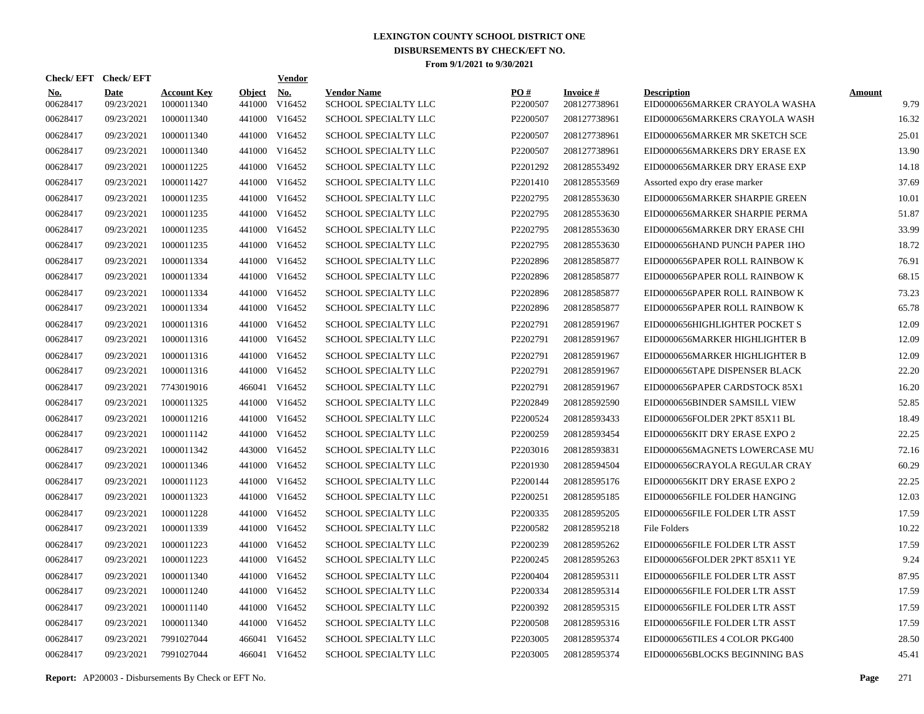|                 | Check/EFT Check/EFT |                                  |                         | <b>Vendor</b> |                                            |                 |                                 |                                                      |                       |
|-----------------|---------------------|----------------------------------|-------------------------|---------------|--------------------------------------------|-----------------|---------------------------------|------------------------------------------------------|-----------------------|
| No.<br>00628417 | Date<br>09/23/2021  | <b>Account Key</b><br>1000011340 | <b>Object</b><br>441000 | No.<br>V16452 | <b>Vendor Name</b><br>SCHOOL SPECIALTY LLC | PO#<br>P2200507 | <b>Invoice#</b><br>208127738961 | <b>Description</b><br>EID0000656MARKER CRAYOLA WASHA | <b>Amount</b><br>9.79 |
| 00628417        | 09/23/2021          | 1000011340                       | 441000                  | V16452        | <b>SCHOOL SPECIALTY LLC</b>                | P2200507        | 208127738961                    | EID0000656MARKERS CRAYOLA WASH                       | 16.32                 |
| 00628417        | 09/23/2021          | 1000011340                       | 441000                  | V16452        | SCHOOL SPECIALTY LLC                       | P2200507        | 208127738961                    | EID0000656MARKER MR SKETCH SCE                       | 25.01                 |
| 00628417        | 09/23/2021          | 1000011340                       | 441000                  | V16452        | <b>SCHOOL SPECIALTY LLC</b>                | P2200507        | 208127738961                    | EID0000656MARKERS DRY ERASE EX                       | 13.90                 |
| 00628417        | 09/23/2021          | 1000011225                       | 441000                  | V16452        | <b>SCHOOL SPECIALTY LLC</b>                | P2201292        | 208128553492                    | EID0000656MARKER DRY ERASE EXP                       | 14.18                 |
| 00628417        | 09/23/2021          | 1000011427                       | 441000                  | V16452        | SCHOOL SPECIALTY LLC                       | P2201410        | 208128553569                    | Assorted expo dry erase marker                       | 37.69                 |
| 00628417        | 09/23/2021          | 1000011235                       | 441000                  | V16452        | SCHOOL SPECIALTY LLC                       | P2202795        | 208128553630                    | EID0000656MARKER SHARPIE GREEN                       | 10.01                 |
| 00628417        | 09/23/2021          | 1000011235                       | 441000                  | V16452        | SCHOOL SPECIALTY LLC                       | P2202795        | 208128553630                    | EID0000656MARKER SHARPIE PERMA                       | 51.87                 |
| 00628417        | 09/23/2021          | 1000011235                       | 441000                  | V16452        | SCHOOL SPECIALTY LLC                       | P2202795        | 208128553630                    | EID0000656MARKER DRY ERASE CHI                       | 33.99                 |
| 00628417        | 09/23/2021          | 1000011235                       | 441000                  | V16452        | SCHOOL SPECIALTY LLC                       | P2202795        | 208128553630                    | EID0000656HAND PUNCH PAPER 1HO                       | 18.72                 |
| 00628417        | 09/23/2021          | 1000011334                       | 441000                  | V16452        | SCHOOL SPECIALTY LLC                       | P2202896        | 208128585877                    | EID0000656PAPER ROLL RAINBOW K                       | 76.91                 |
| 00628417        | 09/23/2021          | 1000011334                       | 441000                  | V16452        | SCHOOL SPECIALTY LLC                       | P2202896        | 208128585877                    | EID0000656PAPER ROLL RAINBOW K                       | 68.15                 |
| 00628417        | 09/23/2021          | 1000011334                       | 441000                  | V16452        | SCHOOL SPECIALTY LLC                       | P2202896        | 208128585877                    | EID0000656PAPER ROLL RAINBOW K                       | 73.23                 |
| 00628417        | 09/23/2021          | 1000011334                       | 441000                  | V16452        | SCHOOL SPECIALTY LLC                       | P2202896        | 208128585877                    | EID0000656PAPER ROLL RAINBOW K                       | 65.78                 |
| 00628417        | 09/23/2021          | 1000011316                       | 441000                  | V16452        | SCHOOL SPECIALTY LLC                       | P2202791        | 208128591967                    | EID0000656HIGHLIGHTER POCKET S                       | 12.09                 |
| 00628417        | 09/23/2021          | 1000011316                       |                         | 441000 V16452 | SCHOOL SPECIALTY LLC                       | P2202791        | 208128591967                    | EID0000656MARKER HIGHLIGHTER B                       | 12.09                 |
| 00628417        | 09/23/2021          | 1000011316                       | 441000                  | V16452        | SCHOOL SPECIALTY LLC                       | P2202791        | 208128591967                    | EID0000656MARKER HIGHLIGHTER B                       | 12.09                 |
| 00628417        | 09/23/2021          | 1000011316                       | 441000                  | V16452        | SCHOOL SPECIALTY LLC                       | P2202791        | 208128591967                    | EID0000656TAPE DISPENSER BLACK                       | 22.20                 |
| 00628417        | 09/23/2021          | 7743019016                       |                         | 466041 V16452 | SCHOOL SPECIALTY LLC                       | P2202791        | 208128591967                    | EID0000656PAPER CARDSTOCK 85X1                       | 16.20                 |
| 00628417        | 09/23/2021          | 1000011325                       |                         | 441000 V16452 | SCHOOL SPECIALTY LLC                       | P2202849        | 208128592590                    | EID0000656BINDER SAMSILL VIEW                        | 52.85                 |
| 00628417        | 09/23/2021          | 1000011216                       | 441000                  | V16452        | SCHOOL SPECIALTY LLC                       | P2200524        | 208128593433                    | EID0000656FOLDER 2PKT 85X11 BL                       | 18.49                 |
| 00628417        | 09/23/2021          | 1000011142                       |                         | 441000 V16452 | SCHOOL SPECIALTY LLC                       | P2200259        | 208128593454                    | EID0000656KIT DRY ERASE EXPO 2                       | 22.25                 |
| 00628417        | 09/23/2021          | 1000011342                       | 443000                  | V16452        | SCHOOL SPECIALTY LLC                       | P2203016        | 208128593831                    | EID0000656MAGNETS LOWERCASE MU                       | 72.16                 |
| 00628417        | 09/23/2021          | 1000011346                       |                         | 441000 V16452 | SCHOOL SPECIALTY LLC                       | P2201930        | 208128594504                    | EID0000656CRAYOLA REGULAR CRAY                       | 60.29                 |
| 00628417        | 09/23/2021          | 1000011123                       | 441000                  | V16452        | SCHOOL SPECIALTY LLC                       | P2200144        | 208128595176                    | EID0000656KIT DRY ERASE EXPO 2                       | 22.25                 |
| 00628417        | 09/23/2021          | 1000011323                       | 441000                  | V16452        | <b>SCHOOL SPECIALTY LLC</b>                | P2200251        | 208128595185                    | EID0000656FILE FOLDER HANGING                        | 12.03                 |
| 00628417        | 09/23/2021          | 1000011228                       | 441000                  | V16452        | <b>SCHOOL SPECIALTY LLC</b>                | P2200335        | 208128595205                    | EID0000656FILE FOLDER LTR ASST                       | 17.59                 |
| 00628417        | 09/23/2021          | 1000011339                       | 441000                  | V16452        | SCHOOL SPECIALTY LLC                       | P2200582        | 208128595218                    | File Folders                                         | 10.22                 |
| 00628417        | 09/23/2021          | 1000011223                       | 441000                  | V16452        | SCHOOL SPECIALTY LLC                       | P2200239        | 208128595262                    | EID0000656FILE FOLDER LTR ASST                       | 17.59                 |
| 00628417        | 09/23/2021          | 1000011223                       | 441000                  | V16452        | SCHOOL SPECIALTY LLC                       | P2200245        | 208128595263                    | EID0000656FOLDER 2PKT 85X11 YE                       | 9.24                  |
| 00628417        | 09/23/2021          | 1000011340                       | 441000                  | V16452        | SCHOOL SPECIALTY LLC                       | P2200404        | 208128595311                    | EID0000656FILE FOLDER LTR ASST                       | 87.95                 |
| 00628417        | 09/23/2021          | 1000011240                       | 441000                  | V16452        | SCHOOL SPECIALTY LLC                       | P2200334        | 208128595314                    | EID0000656FILE FOLDER LTR ASST                       | 17.59                 |
| 00628417        | 09/23/2021          | 1000011140                       | 441000                  | V16452        | SCHOOL SPECIALTY LLC                       | P2200392        | 208128595315                    | EID0000656FILE FOLDER LTR ASST                       | 17.59                 |
| 00628417        | 09/23/2021          | 1000011340                       | 441000                  | V16452        | SCHOOL SPECIALTY LLC                       | P2200508        | 208128595316                    | EID0000656FILE FOLDER LTR ASST                       | 17.59                 |
| 00628417        | 09/23/2021          | 7991027044                       | 466041                  | V16452        | SCHOOL SPECIALTY LLC                       | P2203005        | 208128595374                    | EID0000656TILES 4 COLOR PKG400                       | 28.50                 |
| 00628417        | 09/23/2021          | 7991027044                       |                         | 466041 V16452 | SCHOOL SPECIALTY LLC                       | P2203005        | 208128595374                    | EID0000656BLOCKS BEGINNING BAS                       | 45.41                 |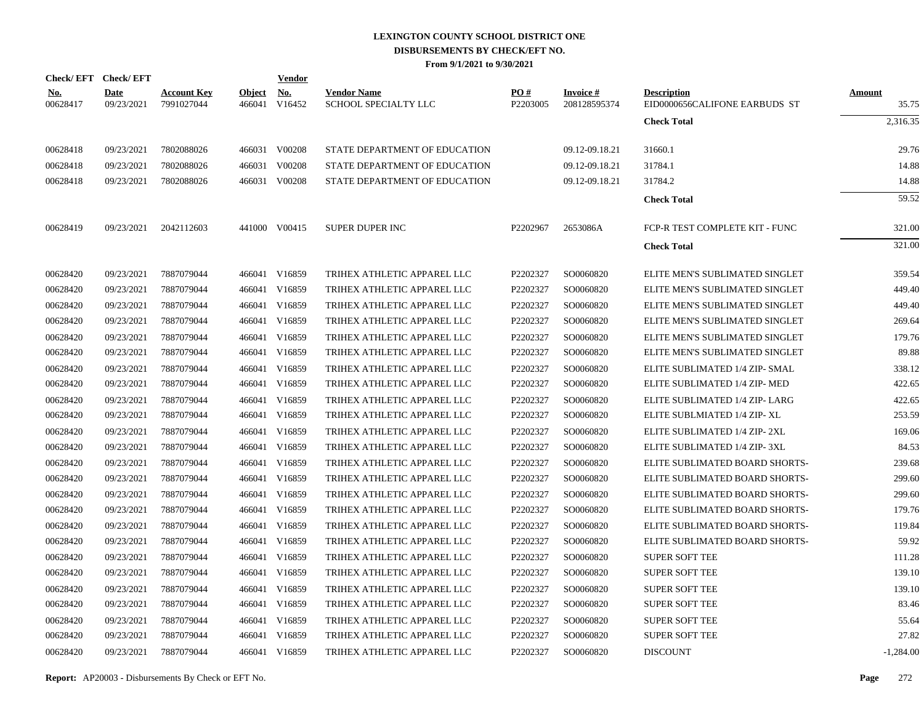|                        | Check/EFT Check/EFT |                                  |                         | Vendor               |                                            |                 |                           |                                                     |                 |
|------------------------|---------------------|----------------------------------|-------------------------|----------------------|--------------------------------------------|-----------------|---------------------------|-----------------------------------------------------|-----------------|
| <u>No.</u><br>00628417 | Date<br>09/23/2021  | <b>Account Key</b><br>7991027044 | <b>Object</b><br>466041 | <b>No.</b><br>V16452 | <b>Vendor Name</b><br>SCHOOL SPECIALTY LLC | PO#<br>P2203005 | Invoice #<br>208128595374 | <b>Description</b><br>EID0000656CALIFONE EARBUDS ST | Amount<br>35.75 |
|                        |                     |                                  |                         |                      |                                            |                 |                           | <b>Check Total</b>                                  | 2.316.35        |
| 00628418               | 09/23/2021          | 7802088026                       |                         | 466031 V00208        | STATE DEPARTMENT OF EDUCATION              |                 | 09.12-09.18.21            | 31660.1                                             | 29.76           |
| 00628418               | 09/23/2021          | 7802088026                       |                         | 466031 V00208        | STATE DEPARTMENT OF EDUCATION              |                 | 09.12-09.18.21            | 31784.1                                             | 14.88           |
| 00628418               | 09/23/2021          | 7802088026                       |                         | 466031 V00208        | STATE DEPARTMENT OF EDUCATION              |                 | 09.12-09.18.21            | 31784.2                                             | 14.88           |
|                        |                     |                                  |                         |                      |                                            |                 |                           | <b>Check Total</b>                                  | 59.52           |
| 00628419               | 09/23/2021          | 2042112603                       |                         | 441000 V00415        | <b>SUPER DUPER INC</b>                     | P2202967        | 2653086A                  | FCP-R TEST COMPLETE KIT - FUNC                      | 321.00          |
|                        |                     |                                  |                         |                      |                                            |                 |                           | <b>Check Total</b>                                  | 321.00          |
| 00628420               | 09/23/2021          | 7887079044                       |                         | 466041 V16859        | TRIHEX ATHLETIC APPAREL LLC                | P2202327        | SO0060820                 | ELITE MEN'S SUBLIMATED SINGLET                      | 359.54          |
| 00628420               | 09/23/2021          | 7887079044                       |                         | 466041 V16859        | TRIHEX ATHLETIC APPAREL LLC                | P2202327        | SO0060820                 | ELITE MEN'S SUBLIMATED SINGLET                      | 449.40          |
| 00628420               | 09/23/2021          | 7887079044                       |                         | 466041 V16859        | TRIHEX ATHLETIC APPAREL LLC                | P2202327        | SO0060820                 | ELITE MEN'S SUBLIMATED SINGLET                      | 449.40          |
| 00628420               | 09/23/2021          | 7887079044                       |                         | 466041 V16859        | TRIHEX ATHLETIC APPAREL LLC                | P2202327        | SO0060820                 | ELITE MEN'S SUBLIMATED SINGLET                      | 269.64          |
| 00628420               | 09/23/2021          | 7887079044                       |                         | 466041 V16859        | TRIHEX ATHLETIC APPAREL LLC                | P2202327        | SO0060820                 | ELITE MEN'S SUBLIMATED SINGLET                      | 179.76          |
| 00628420               | 09/23/2021          | 7887079044                       |                         | 466041 V16859        | TRIHEX ATHLETIC APPAREL LLC                | P2202327        | SO0060820                 | ELITE MEN'S SUBLIMATED SINGLET                      | 89.88           |
| 00628420               | 09/23/2021          | 7887079044                       |                         | 466041 V16859        | TRIHEX ATHLETIC APPAREL LLC                | P2202327        | SO0060820                 | ELITE SUBLIMATED 1/4 ZIP- SMAL                      | 338.12          |
| 00628420               | 09/23/2021          | 7887079044                       |                         | 466041 V16859        | TRIHEX ATHLETIC APPAREL LLC                | P2202327        | SO0060820                 | ELITE SUBLIMATED 1/4 ZIP- MED                       | 422.65          |
| 00628420               | 09/23/2021          | 7887079044                       |                         | 466041 V16859        | TRIHEX ATHLETIC APPAREL LLC                | P2202327        | SO0060820                 | ELITE SUBLIMATED 1/4 ZIP- LARG                      | 422.65          |
| 00628420               | 09/23/2021          | 7887079044                       |                         | 466041 V16859        | TRIHEX ATHLETIC APPAREL LLC                | P2202327        | SO0060820                 | ELITE SUBLMIATED 1/4 ZIP- XL                        | 253.59          |
| 00628420               | 09/23/2021          | 7887079044                       |                         | 466041 V16859        | TRIHEX ATHLETIC APPAREL LLC                | P2202327        | SO0060820                 | ELITE SUBLIMATED 1/4 ZIP-2XL                        | 169.06          |
| 00628420               | 09/23/2021          | 7887079044                       |                         | 466041 V16859        | TRIHEX ATHLETIC APPAREL LLC                | P2202327        | SO0060820                 | ELITE SUBLIMATED 1/4 ZIP-3XL                        | 84.53           |
| 00628420               | 09/23/2021          | 7887079044                       |                         | 466041 V16859        | TRIHEX ATHLETIC APPAREL LLC                | P2202327        | SO0060820                 | ELITE SUBLIMATED BOARD SHORTS-                      | 239.68          |
| 00628420               | 09/23/2021          | 7887079044                       |                         | 466041 V16859        | TRIHEX ATHLETIC APPAREL LLC                | P2202327        | SO0060820                 | ELITE SUBLIMATED BOARD SHORTS-                      | 299.60          |
| 00628420               | 09/23/2021          | 7887079044                       |                         | 466041 V16859        | TRIHEX ATHLETIC APPAREL LLC                | P2202327        | SO0060820                 | ELITE SUBLIMATED BOARD SHORTS-                      | 299.60          |
| 00628420               | 09/23/2021          | 7887079044                       |                         | 466041 V16859        | TRIHEX ATHLETIC APPAREL LLC                | P2202327        | SO0060820                 | ELITE SUBLIMATED BOARD SHORTS-                      | 179.76          |
| 00628420               | 09/23/2021          | 7887079044                       |                         | 466041 V16859        | TRIHEX ATHLETIC APPAREL LLC                | P2202327        | SO0060820                 | ELITE SUBLIMATED BOARD SHORTS-                      | 119.84          |
| 00628420               | 09/23/2021          | 7887079044                       |                         | 466041 V16859        | TRIHEX ATHLETIC APPAREL LLC                | P2202327        | SO0060820                 | ELITE SUBLIMATED BOARD SHORTS-                      | 59.92           |
| 00628420               | 09/23/2021          | 7887079044                       |                         | 466041 V16859        | TRIHEX ATHLETIC APPAREL LLC                | P2202327        | SO0060820                 | <b>SUPER SOFT TEE</b>                               | 111.28          |
| 00628420               | 09/23/2021          | 7887079044                       |                         | 466041 V16859        | TRIHEX ATHLETIC APPAREL LLC                | P2202327        | SO0060820                 | <b>SUPER SOFT TEE</b>                               | 139.10          |
| 00628420               | 09/23/2021          | 7887079044                       |                         | 466041 V16859        | TRIHEX ATHLETIC APPAREL LLC                | P2202327        | SO0060820                 | <b>SUPER SOFT TEE</b>                               | 139.10          |
| 00628420               | 09/23/2021          | 7887079044                       |                         | 466041 V16859        | TRIHEX ATHLETIC APPAREL LLC                | P2202327        | SO0060820                 | <b>SUPER SOFT TEE</b>                               | 83.46           |
| 00628420               | 09/23/2021          | 7887079044                       |                         | 466041 V16859        | TRIHEX ATHLETIC APPAREL LLC                | P2202327        | SO0060820                 | <b>SUPER SOFT TEE</b>                               | 55.64           |
| 00628420               | 09/23/2021          | 7887079044                       |                         | 466041 V16859        | TRIHEX ATHLETIC APPAREL LLC                | P2202327        | SO0060820                 | <b>SUPER SOFT TEE</b>                               | 27.82           |
| 00628420               | 09/23/2021          | 7887079044                       |                         | 466041 V16859        | TRIHEX ATHLETIC APPAREL LLC                | P2202327        | SO0060820                 | <b>DISCOUNT</b>                                     | $-1,284.00$     |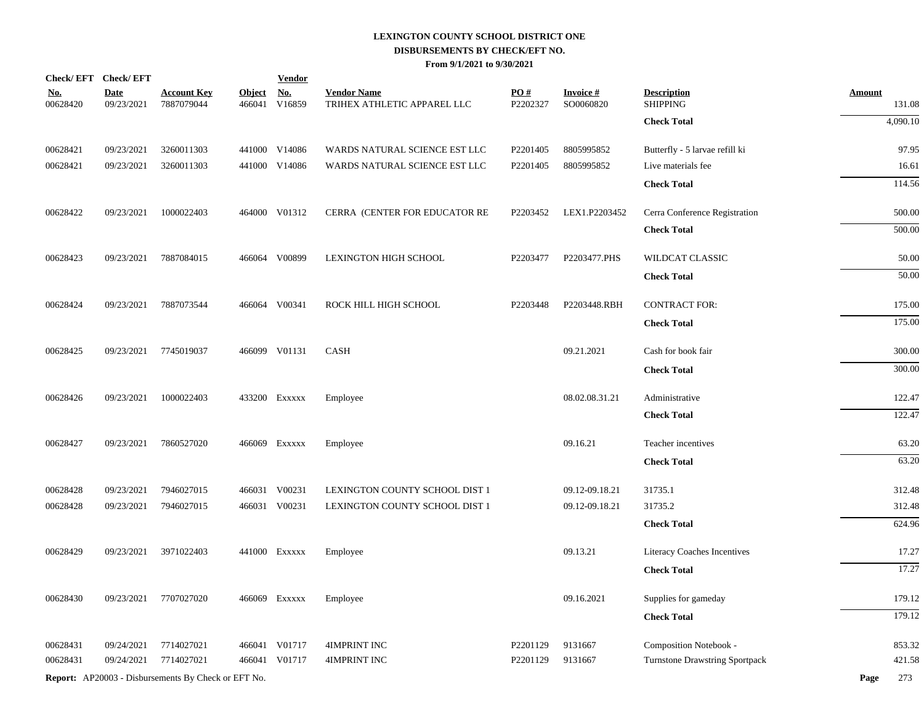|                        | Check/EFT Check/EFT       |                                                            |                         | <b>Vendor</b>        |                                                   |                               |                              |                                       |                         |
|------------------------|---------------------------|------------------------------------------------------------|-------------------------|----------------------|---------------------------------------------------|-------------------------------|------------------------------|---------------------------------------|-------------------------|
| <u>No.</u><br>00628420 | <b>Date</b><br>09/23/2021 | <u>Account Key</u><br>7887079044                           | <u>Object</u><br>466041 | <b>No.</b><br>V16859 | <b>Vendor Name</b><br>TRIHEX ATHLETIC APPAREL LLC | $\underline{PO#}$<br>P2202327 | <b>Invoice#</b><br>SO0060820 | <b>Description</b><br><b>SHIPPING</b> | <b>Amount</b><br>131.08 |
|                        |                           |                                                            |                         |                      |                                                   |                               |                              | <b>Check Total</b>                    | 4,090.10                |
| 00628421               | 09/23/2021                | 3260011303                                                 |                         | 441000 V14086        | WARDS NATURAL SCIENCE EST LLC                     | P <sub>2201405</sub>          | 8805995852                   | Butterfly - 5 larvae refill ki        | 97.95                   |
| 00628421               | 09/23/2021                | 3260011303                                                 |                         | 441000 V14086        | WARDS NATURAL SCIENCE EST LLC                     | P2201405                      | 8805995852                   | Live materials fee                    | 16.61                   |
|                        |                           |                                                            |                         |                      |                                                   |                               |                              | <b>Check Total</b>                    | 114.56                  |
| 00628422               | 09/23/2021                | 1000022403                                                 |                         | 464000 V01312        | CERRA (CENTER FOR EDUCATOR RE                     | P2203452                      | LEX1.P2203452                | Cerra Conference Registration         | 500.00                  |
|                        |                           |                                                            |                         |                      |                                                   |                               |                              | <b>Check Total</b>                    | 500.00                  |
| 00628423               | 09/23/2021                | 7887084015                                                 |                         | 466064 V00899        | <b>LEXINGTON HIGH SCHOOL</b>                      | P2203477                      | P2203477.PHS                 | WILDCAT CLASSIC                       | 50.00                   |
|                        |                           |                                                            |                         |                      |                                                   |                               |                              | <b>Check Total</b>                    | 50.00                   |
| 00628424               | 09/23/2021                | 7887073544                                                 |                         | 466064 V00341        | ROCK HILL HIGH SCHOOL                             | P2203448                      | P2203448.RBH                 | <b>CONTRACT FOR:</b>                  | 175.00                  |
|                        |                           |                                                            |                         |                      |                                                   |                               |                              | <b>Check Total</b>                    | 175.00                  |
| 00628425               | 09/23/2021                | 7745019037                                                 |                         | 466099 V01131        | CASH                                              |                               | 09.21.2021                   | Cash for book fair                    | 300.00                  |
|                        |                           |                                                            |                         |                      |                                                   |                               |                              | <b>Check Total</b>                    | 300.00                  |
| 00628426               | 09/23/2021                | 1000022403                                                 |                         | 433200 EXXXXX        | Employee                                          |                               | 08.02.08.31.21               | Administrative                        | 122.47                  |
|                        |                           |                                                            |                         |                      |                                                   |                               |                              | <b>Check Total</b>                    | 122.47                  |
| 00628427               | 09/23/2021                | 7860527020                                                 |                         | 466069 Exxxxx        | Employee                                          |                               | 09.16.21                     | Teacher incentives                    | 63.20                   |
|                        |                           |                                                            |                         |                      |                                                   |                               |                              | <b>Check Total</b>                    | 63.20                   |
| 00628428               | 09/23/2021                | 7946027015                                                 |                         | 466031 V00231        | LEXINGTON COUNTY SCHOOL DIST 1                    |                               | 09.12-09.18.21               | 31735.1                               | 312.48                  |
| 00628428               | 09/23/2021                | 7946027015                                                 |                         | 466031 V00231        | LEXINGTON COUNTY SCHOOL DIST 1                    |                               | 09.12-09.18.21               | 31735.2                               | 312.48                  |
|                        |                           |                                                            |                         |                      |                                                   |                               |                              | <b>Check Total</b>                    | 624.96                  |
| 00628429               | 09/23/2021                | 3971022403                                                 |                         | 441000 Exxxxx        | Employee                                          |                               | 09.13.21                     | Literacy Coaches Incentives           | 17.27                   |
|                        |                           |                                                            |                         |                      |                                                   |                               |                              | <b>Check Total</b>                    | 17.27                   |
| 00628430               | 09/23/2021                | 7707027020                                                 |                         | 466069 Exxxxx        | Employee                                          |                               | 09.16.2021                   | Supplies for gameday                  | 179.12                  |
|                        |                           |                                                            |                         |                      |                                                   |                               |                              | <b>Check Total</b>                    | 179.12                  |
| 00628431               | 09/24/2021                | 7714027021                                                 |                         | 466041 V01717        | <b>4IMPRINT INC</b>                               | P2201129                      | 9131667                      | Composition Notebook -                | 853.32                  |
| 00628431               | 09/24/2021                | 7714027021                                                 |                         | 466041 V01717        | <b>4IMPRINT INC</b>                               | P2201129                      | 9131667                      | <b>Turnstone Drawstring Sportpack</b> | 421.58                  |
|                        |                           | <b>Report:</b> AP20003 - Disbursements By Check or EFT No. |                         |                      |                                                   |                               |                              |                                       | 273<br>Page             |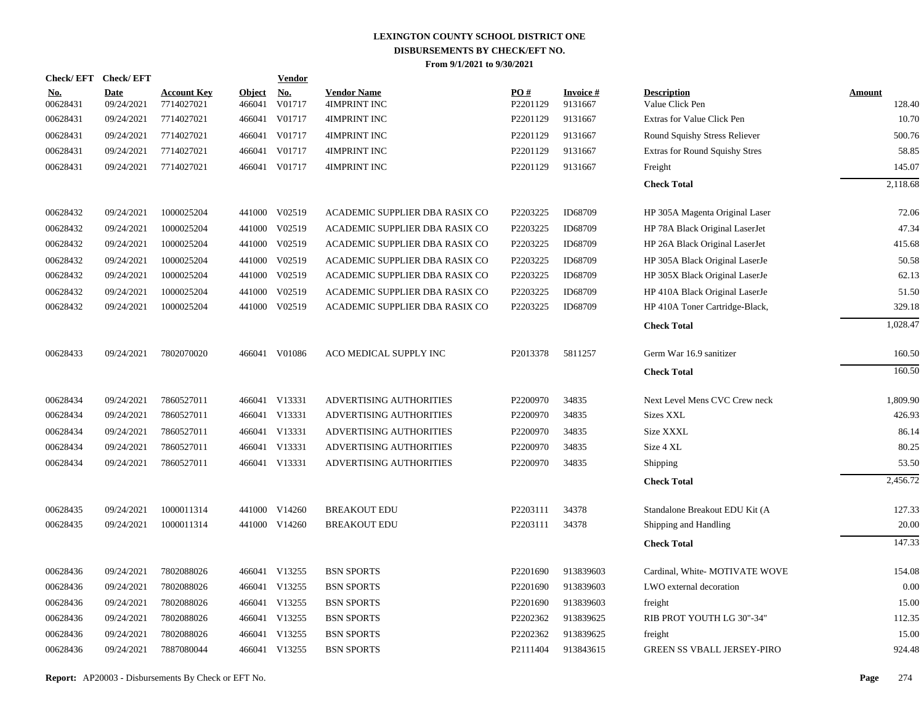| Check/EFT Check/EFT    |                           |                                  |                         | Vendor               |                                    |                 |                            |                                       |                         |
|------------------------|---------------------------|----------------------------------|-------------------------|----------------------|------------------------------------|-----------------|----------------------------|---------------------------------------|-------------------------|
| <u>No.</u><br>00628431 | <b>Date</b><br>09/24/2021 | <b>Account Key</b><br>7714027021 | <b>Object</b><br>466041 | <u>No.</u><br>V01717 | <b>Vendor Name</b><br>4IMPRINT INC | PO#<br>P2201129 | <b>Invoice#</b><br>9131667 | <b>Description</b><br>Value Click Pen | <b>Amount</b><br>128.40 |
| 00628431               | 09/24/2021                | 7714027021                       | 466041                  | V01717               | 4IMPRINT INC                       | P2201129        | 9131667                    | Extras for Value Click Pen            | 10.70                   |
| 00628431               | 09/24/2021                | 7714027021                       | 466041                  | V01717               | 4IMPRINT INC                       | P2201129        | 9131667                    | Round Squishy Stress Reliever         | 500.76                  |
| 00628431               | 09/24/2021                | 7714027021                       | 466041                  | V01717               | 4IMPRINT INC                       | P2201129        | 9131667                    | Extras for Round Squishy Stres        | 58.85                   |
| 00628431               | 09/24/2021                | 7714027021                       |                         | 466041 V01717        | 4IMPRINT INC                       | P2201129        | 9131667                    | Freight                               | 145.07                  |
|                        |                           |                                  |                         |                      |                                    |                 |                            | <b>Check Total</b>                    | 2,118.68                |
| 00628432               | 09/24/2021                | 1000025204                       |                         | 441000 V02519        | ACADEMIC SUPPLIER DBA RASIX CO     | P2203225        | ID68709                    | HP 305A Magenta Original Laser        | 72.06                   |
| 00628432               | 09/24/2021                | 1000025204                       | 441000                  | V02519               | ACADEMIC SUPPLIER DBA RASIX CO     | P2203225        | ID68709                    | HP 78A Black Original LaserJet        | 47.34                   |
| 00628432               | 09/24/2021                | 1000025204                       | 441000                  | V02519               | ACADEMIC SUPPLIER DBA RASIX CO     | P2203225        | ID68709                    | HP 26A Black Original LaserJet        | 415.68                  |
| 00628432               | 09/24/2021                | 1000025204                       | 441000                  | V02519               | ACADEMIC SUPPLIER DBA RASIX CO     | P2203225        | ID68709                    | HP 305A Black Original LaserJe        | 50.58                   |
| 00628432               | 09/24/2021                | 1000025204                       | 441000                  | V02519               | ACADEMIC SUPPLIER DBA RASIX CO     | P2203225        | ID68709                    | HP 305X Black Original LaserJe        | 62.13                   |
| 00628432               | 09/24/2021                | 1000025204                       | 441000                  | V02519               | ACADEMIC SUPPLIER DBA RASIX CO     | P2203225        | ID68709                    | HP 410A Black Original LaserJe        | 51.50                   |
| 00628432               | 09/24/2021                | 1000025204                       |                         | 441000 V02519        | ACADEMIC SUPPLIER DBA RASIX CO     | P2203225        | ID68709                    | HP 410A Toner Cartridge-Black,        | 329.18                  |
|                        |                           |                                  |                         |                      |                                    |                 |                            | <b>Check Total</b>                    | 1,028.47                |
| 00628433               | 09/24/2021                | 7802070020                       |                         | 466041 V01086        | ACO MEDICAL SUPPLY INC             | P2013378        | 5811257                    | Germ War 16.9 sanitizer               | 160.50                  |
|                        |                           |                                  |                         |                      |                                    |                 |                            | <b>Check Total</b>                    | 160.50                  |
| 00628434               | 09/24/2021                | 7860527011                       |                         | 466041 V13331        | ADVERTISING AUTHORITIES            | P2200970        | 34835                      | Next Level Mens CVC Crew neck         | 1,809.90                |
| 00628434               | 09/24/2021                | 7860527011                       |                         | 466041 V13331        | ADVERTISING AUTHORITIES            | P2200970        | 34835                      | <b>Sizes XXL</b>                      | 426.93                  |
| 00628434               | 09/24/2021                | 7860527011                       |                         | 466041 V13331        | ADVERTISING AUTHORITIES            | P2200970        | 34835                      | Size XXXL                             | 86.14                   |
| 00628434               | 09/24/2021                | 7860527011                       |                         | 466041 V13331        | ADVERTISING AUTHORITIES            | P2200970        | 34835                      | Size 4 XL                             | 80.25                   |
| 00628434               | 09/24/2021                | 7860527011                       |                         | 466041 V13331        | ADVERTISING AUTHORITIES            | P2200970        | 34835                      | Shipping                              | 53.50                   |
|                        |                           |                                  |                         |                      |                                    |                 |                            | <b>Check Total</b>                    | 2,456.72                |
| 00628435               | 09/24/2021                | 1000011314                       |                         | 441000 V14260        | <b>BREAKOUT EDU</b>                | P2203111        | 34378                      | Standalone Breakout EDU Kit (A        | 127.33                  |
| 00628435               | 09/24/2021                | 1000011314                       |                         | 441000 V14260        | <b>BREAKOUT EDU</b>                | P2203111        | 34378                      | Shipping and Handling                 | 20.00                   |
|                        |                           |                                  |                         |                      |                                    |                 |                            | <b>Check Total</b>                    | 147.33                  |
| 00628436               | 09/24/2021                | 7802088026                       |                         | 466041 V13255        | <b>BSN SPORTS</b>                  | P2201690        | 913839603                  | Cardinal, White- MOTIVATE WOVE        | 154.08                  |
| 00628436               | 09/24/2021                | 7802088026                       |                         | 466041 V13255        | <b>BSN SPORTS</b>                  | P2201690        | 913839603                  | LWO external decoration               | 0.00                    |
| 00628436               | 09/24/2021                | 7802088026                       |                         | 466041 V13255        | <b>BSN SPORTS</b>                  | P2201690        | 913839603                  | freight                               | 15.00                   |
| 00628436               | 09/24/2021                | 7802088026                       |                         | 466041 V13255        | <b>BSN SPORTS</b>                  | P2202362        | 913839625                  | RIB PROT YOUTH LG 30"-34"             | 112.35                  |
| 00628436               | 09/24/2021                | 7802088026                       | 466041                  | V13255               | <b>BSN SPORTS</b>                  | P2202362        | 913839625                  | freight                               | 15.00                   |
| 00628436               | 09/24/2021                | 7887080044                       |                         | 466041 V13255        | <b>BSN SPORTS</b>                  | P2111404        | 913843615                  | <b>GREEN SS VBALL JERSEY-PIRO</b>     | 924.48                  |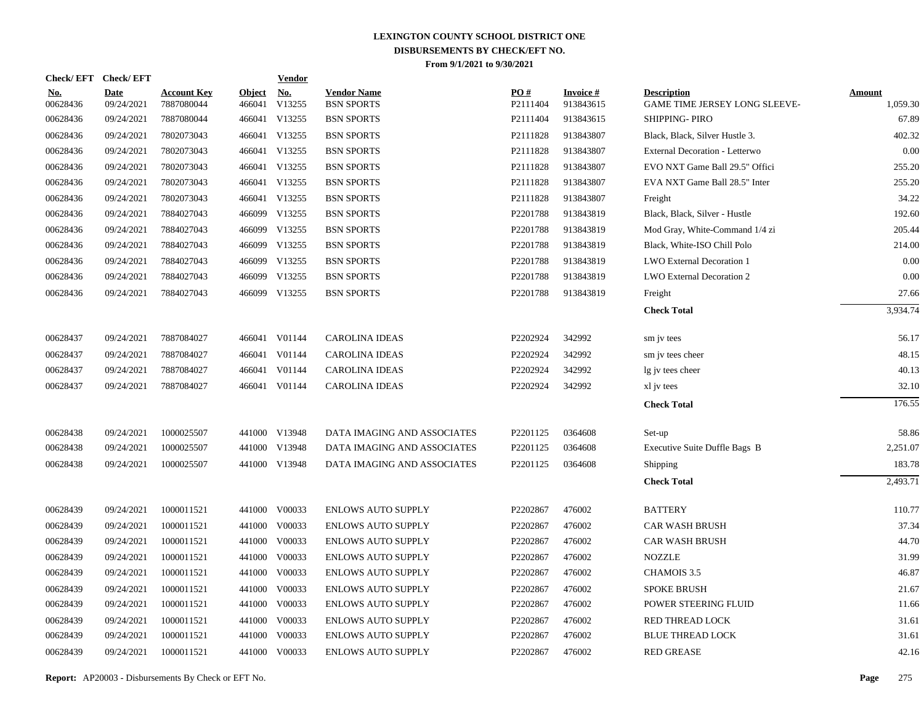| Check/EFT Check/EFT       |                                  |                         | <b>Vendor</b>        |                                                                                                                                                                                                                                                                                                                                                                                                                                                                                                           |                 |                               |                                                     |                           |
|---------------------------|----------------------------------|-------------------------|----------------------|-----------------------------------------------------------------------------------------------------------------------------------------------------------------------------------------------------------------------------------------------------------------------------------------------------------------------------------------------------------------------------------------------------------------------------------------------------------------------------------------------------------|-----------------|-------------------------------|-----------------------------------------------------|---------------------------|
| <b>Date</b><br>09/24/2021 | <b>Account Key</b><br>7887080044 | <b>Object</b><br>466041 | <u>No.</u><br>V13255 | <b>Vendor Name</b><br><b>BSN SPORTS</b>                                                                                                                                                                                                                                                                                                                                                                                                                                                                   | PO#<br>P2111404 | <b>Invoice #</b><br>913843615 | <b>Description</b><br>GAME TIME JERSEY LONG SLEEVE- | <b>Amount</b><br>1,059.30 |
| 09/24/2021                | 7887080044                       |                         |                      | <b>BSN SPORTS</b>                                                                                                                                                                                                                                                                                                                                                                                                                                                                                         | P2111404        | 913843615                     | SHIPPING-PIRO                                       | 67.89                     |
| 09/24/2021                | 7802073043                       |                         |                      | <b>BSN SPORTS</b>                                                                                                                                                                                                                                                                                                                                                                                                                                                                                         | P2111828        | 913843807                     | Black, Black, Silver Hustle 3.                      | 402.32                    |
| 09/24/2021                | 7802073043                       |                         |                      | <b>BSN SPORTS</b>                                                                                                                                                                                                                                                                                                                                                                                                                                                                                         | P2111828        | 913843807                     | External Decoration - Letterwo                      | 0.00                      |
| 09/24/2021                | 7802073043                       |                         |                      | <b>BSN SPORTS</b>                                                                                                                                                                                                                                                                                                                                                                                                                                                                                         | P2111828        | 913843807                     | EVO NXT Game Ball 29.5" Offici                      | 255.20                    |
| 09/24/2021                | 7802073043                       |                         |                      | <b>BSN SPORTS</b>                                                                                                                                                                                                                                                                                                                                                                                                                                                                                         | P2111828        | 913843807                     | EVA NXT Game Ball 28.5" Inter                       | 255.20                    |
| 09/24/2021                | 7802073043                       |                         |                      | <b>BSN SPORTS</b>                                                                                                                                                                                                                                                                                                                                                                                                                                                                                         | P2111828        | 913843807                     | Freight                                             | 34.22                     |
| 09/24/2021                | 7884027043                       |                         |                      | <b>BSN SPORTS</b>                                                                                                                                                                                                                                                                                                                                                                                                                                                                                         | P2201788        | 913843819                     | Black, Black, Silver - Hustle                       | 192.60                    |
| 09/24/2021                | 7884027043                       |                         |                      | <b>BSN SPORTS</b>                                                                                                                                                                                                                                                                                                                                                                                                                                                                                         | P2201788        | 913843819                     | Mod Gray, White-Command 1/4 zi                      | 205.44                    |
| 09/24/2021                | 7884027043                       |                         |                      | <b>BSN SPORTS</b>                                                                                                                                                                                                                                                                                                                                                                                                                                                                                         | P2201788        | 913843819                     | Black, White-ISO Chill Polo                         | 214.00                    |
| 09/24/2021                | 7884027043                       |                         |                      | <b>BSN SPORTS</b>                                                                                                                                                                                                                                                                                                                                                                                                                                                                                         | P2201788        | 913843819                     | LWO External Decoration 1                           | 0.00                      |
| 09/24/2021                | 7884027043                       |                         |                      | <b>BSN SPORTS</b>                                                                                                                                                                                                                                                                                                                                                                                                                                                                                         | P2201788        | 913843819                     | LWO External Decoration 2                           | 0.00                      |
| 09/24/2021                | 7884027043                       |                         |                      | <b>BSN SPORTS</b>                                                                                                                                                                                                                                                                                                                                                                                                                                                                                         | P2201788        | 913843819                     | Freight                                             | 27.66                     |
|                           |                                  |                         |                      |                                                                                                                                                                                                                                                                                                                                                                                                                                                                                                           |                 |                               | <b>Check Total</b>                                  | 3.934.74                  |
| 09/24/2021                | 7887084027                       |                         |                      | <b>CAROLINA IDEAS</b>                                                                                                                                                                                                                                                                                                                                                                                                                                                                                     | P2202924        | 342992                        | sm jv tees                                          | 56.17                     |
| 09/24/2021                | 7887084027                       |                         |                      | <b>CAROLINA IDEAS</b>                                                                                                                                                                                                                                                                                                                                                                                                                                                                                     | P2202924        | 342992                        | sm jv tees cheer                                    | 48.15                     |
| 09/24/2021                | 7887084027                       |                         |                      | <b>CAROLINA IDEAS</b>                                                                                                                                                                                                                                                                                                                                                                                                                                                                                     | P2202924        | 342992                        | lg jv tees cheer                                    | 40.13                     |
| 09/24/2021                | 7887084027                       |                         |                      | <b>CAROLINA IDEAS</b>                                                                                                                                                                                                                                                                                                                                                                                                                                                                                     | P2202924        | 342992                        | xl jv tees                                          | 32.10                     |
|                           |                                  |                         |                      |                                                                                                                                                                                                                                                                                                                                                                                                                                                                                                           |                 |                               | <b>Check Total</b>                                  | 176.55                    |
| 09/24/2021                | 1000025507                       |                         |                      | DATA IMAGING AND ASSOCIATES                                                                                                                                                                                                                                                                                                                                                                                                                                                                               | P2201125        | 0364608                       | Set-up                                              | 58.86                     |
| 09/24/2021                | 1000025507                       |                         |                      | DATA IMAGING AND ASSOCIATES                                                                                                                                                                                                                                                                                                                                                                                                                                                                               | P2201125        | 0364608                       | Executive Suite Duffle Bags B                       | 2,251.07                  |
| 09/24/2021                | 1000025507                       |                         |                      | DATA IMAGING AND ASSOCIATES                                                                                                                                                                                                                                                                                                                                                                                                                                                                               | P2201125        | 0364608                       | Shipping                                            | 183.78                    |
|                           |                                  |                         |                      |                                                                                                                                                                                                                                                                                                                                                                                                                                                                                                           |                 |                               | <b>Check Total</b>                                  | 2,493.71                  |
| 09/24/2021                | 1000011521                       |                         |                      | <b>ENLOWS AUTO SUPPLY</b>                                                                                                                                                                                                                                                                                                                                                                                                                                                                                 | P2202867        | 476002                        | <b>BATTERY</b>                                      | 110.77                    |
| 09/24/2021                | 1000011521                       |                         |                      | <b>ENLOWS AUTO SUPPLY</b>                                                                                                                                                                                                                                                                                                                                                                                                                                                                                 | P2202867        | 476002                        | <b>CAR WASH BRUSH</b>                               | 37.34                     |
| 09/24/2021                | 1000011521                       |                         |                      | <b>ENLOWS AUTO SUPPLY</b>                                                                                                                                                                                                                                                                                                                                                                                                                                                                                 | P2202867        | 476002                        | <b>CAR WASH BRUSH</b>                               | 44.70                     |
| 09/24/2021                | 1000011521                       |                         |                      | <b>ENLOWS AUTO SUPPLY</b>                                                                                                                                                                                                                                                                                                                                                                                                                                                                                 | P2202867        | 476002                        | <b>NOZZLE</b>                                       | 31.99                     |
| 09/24/2021                | 1000011521                       |                         |                      | <b>ENLOWS AUTO SUPPLY</b>                                                                                                                                                                                                                                                                                                                                                                                                                                                                                 | P2202867        | 476002                        | CHAMOIS 3.5                                         | 46.87                     |
| 09/24/2021                | 1000011521                       |                         |                      | <b>ENLOWS AUTO SUPPLY</b>                                                                                                                                                                                                                                                                                                                                                                                                                                                                                 | P2202867        | 476002                        | <b>SPOKE BRUSH</b>                                  | 21.67                     |
| 09/24/2021                | 1000011521                       |                         |                      | <b>ENLOWS AUTO SUPPLY</b>                                                                                                                                                                                                                                                                                                                                                                                                                                                                                 | P2202867        | 476002                        | POWER STEERING FLUID                                | 11.66                     |
| 09/24/2021                | 1000011521                       |                         |                      | <b>ENLOWS AUTO SUPPLY</b>                                                                                                                                                                                                                                                                                                                                                                                                                                                                                 | P2202867        | 476002                        | RED THREAD LOCK                                     | 31.61                     |
| 09/24/2021                | 1000011521                       |                         |                      | <b>ENLOWS AUTO SUPPLY</b>                                                                                                                                                                                                                                                                                                                                                                                                                                                                                 | P2202867        | 476002                        | <b>BLUE THREAD LOCK</b>                             | 31.61                     |
| 09/24/2021                | 1000011521                       |                         |                      | <b>ENLOWS AUTO SUPPLY</b>                                                                                                                                                                                                                                                                                                                                                                                                                                                                                 | P2202867        | 476002                        | <b>RED GREASE</b>                                   | 42.16                     |
|                           |                                  |                         |                      | 466041 V13255<br>466041 V13255<br>466041 V13255<br>466041 V13255<br>466041 V13255<br>466041 V13255<br>466099 V13255<br>466099 V13255<br>466099 V13255<br>466099 V13255<br>466099 V13255<br>466099 V13255<br>466041 V01144<br>466041 V01144<br>466041 V01144<br>466041 V01144<br>441000 V13948<br>441000 V13948<br>441000 V13948<br>441000 V00033<br>441000 V00033<br>441000 V00033<br>441000 V00033<br>441000 V00033<br>441000 V00033<br>441000 V00033<br>441000 V00033<br>441000 V00033<br>441000 V00033 |                 |                               |                                                     |                           |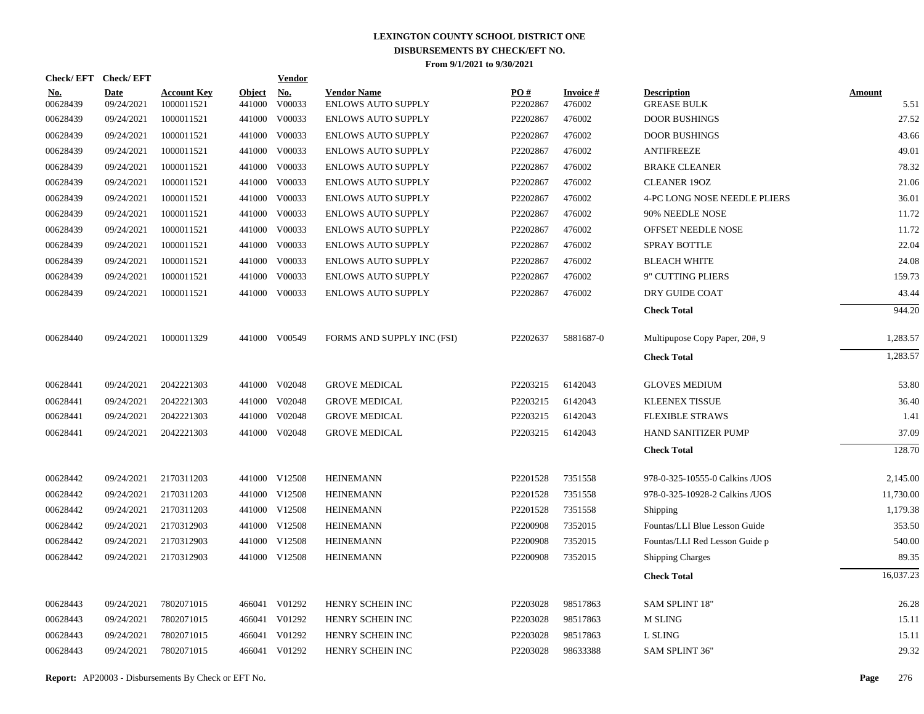|                   | Check/EFT Check/EFT       |                                  |                         | <u>Vendor</u>        |                                                 |                 |                           |                                          |                       |
|-------------------|---------------------------|----------------------------------|-------------------------|----------------------|-------------------------------------------------|-----------------|---------------------------|------------------------------------------|-----------------------|
| $No.$<br>00628439 | <b>Date</b><br>09/24/2021 | <b>Account Key</b><br>1000011521 | <b>Object</b><br>441000 | <u>No.</u><br>V00033 | <b>Vendor Name</b><br><b>ENLOWS AUTO SUPPLY</b> | PQ#<br>P2202867 | <b>Invoice#</b><br>476002 | <b>Description</b><br><b>GREASE BULK</b> | <b>Amount</b><br>5.51 |
| 00628439          | 09/24/2021                | 1000011521                       | 441000                  | V00033               | <b>ENLOWS AUTO SUPPLY</b>                       | P2202867        | 476002                    | <b>DOOR BUSHINGS</b>                     | 27.52                 |
| 00628439          | 09/24/2021                | 1000011521                       | 441000                  | V00033               | <b>ENLOWS AUTO SUPPLY</b>                       | P2202867        | 476002                    | <b>DOOR BUSHINGS</b>                     | 43.66                 |
| 00628439          | 09/24/2021                | 1000011521                       | 441000                  | V00033               | <b>ENLOWS AUTO SUPPLY</b>                       | P2202867        | 476002                    | <b>ANTIFREEZE</b>                        | 49.01                 |
| 00628439          | 09/24/2021                | 1000011521                       | 441000                  | V00033               | <b>ENLOWS AUTO SUPPLY</b>                       | P2202867        | 476002                    | <b>BRAKE CLEANER</b>                     | 78.32                 |
| 00628439          | 09/24/2021                | 1000011521                       | 441000                  | V00033               | <b>ENLOWS AUTO SUPPLY</b>                       | P2202867        | 476002                    | <b>CLEANER 190Z</b>                      | 21.06                 |
| 00628439          | 09/24/2021                | 1000011521                       | 441000                  | V00033               | <b>ENLOWS AUTO SUPPLY</b>                       | P2202867        | 476002                    | 4-PC LONG NOSE NEEDLE PLIERS             | 36.01                 |
| 00628439          | 09/24/2021                | 1000011521                       | 441000                  | V00033               | <b>ENLOWS AUTO SUPPLY</b>                       | P2202867        | 476002                    | 90% NEEDLE NOSE                          | 11.72                 |
| 00628439          | 09/24/2021                | 1000011521                       |                         | 441000 V00033        | <b>ENLOWS AUTO SUPPLY</b>                       | P2202867        | 476002                    | OFFSET NEEDLE NOSE                       | 11.72                 |
| 00628439          | 09/24/2021                | 1000011521                       | 441000                  | V00033               | <b>ENLOWS AUTO SUPPLY</b>                       | P2202867        | 476002                    | <b>SPRAY BOTTLE</b>                      | 22.04                 |
| 00628439          | 09/24/2021                | 1000011521                       |                         | 441000 V00033        | <b>ENLOWS AUTO SUPPLY</b>                       | P2202867        | 476002                    | <b>BLEACH WHITE</b>                      | 24.08                 |
| 00628439          | 09/24/2021                | 1000011521                       | 441000                  | V00033               | <b>ENLOWS AUTO SUPPLY</b>                       | P2202867        | 476002                    | 9" CUTTING PLIERS                        | 159.73                |
| 00628439          | 09/24/2021                | 1000011521                       |                         | 441000 V00033        | <b>ENLOWS AUTO SUPPLY</b>                       | P2202867        | 476002                    | DRY GUIDE COAT                           | 43.44                 |
|                   |                           |                                  |                         |                      |                                                 |                 |                           | <b>Check Total</b>                       | 944.20                |
| 00628440          | 09/24/2021                | 1000011329                       |                         | 441000 V00549        | FORMS AND SUPPLY INC (FSI)                      | P2202637        | 5881687-0                 | Multipupose Copy Paper, 20#, 9           | 1,283.57              |
|                   |                           |                                  |                         |                      |                                                 |                 |                           | <b>Check Total</b>                       | 1,283.57              |
| 00628441          | 09/24/2021                | 2042221303                       |                         | 441000 V02048        | <b>GROVE MEDICAL</b>                            | P2203215        | 6142043                   | <b>GLOVES MEDIUM</b>                     | 53.80                 |
| 00628441          | 09/24/2021                | 2042221303                       | 441000                  | V02048               | <b>GROVE MEDICAL</b>                            | P2203215        | 6142043                   | <b>KLEENEX TISSUE</b>                    | 36.40                 |
| 00628441          | 09/24/2021                | 2042221303                       | 441000                  | V02048               | <b>GROVE MEDICAL</b>                            | P2203215        | 6142043                   | <b>FLEXIBLE STRAWS</b>                   | 1.41                  |
| 00628441          | 09/24/2021                | 2042221303                       | 441000                  | V02048               | <b>GROVE MEDICAL</b>                            | P2203215        | 6142043                   | HAND SANITIZER PUMP                      | 37.09                 |
|                   |                           |                                  |                         |                      |                                                 |                 |                           | <b>Check Total</b>                       | 128.70                |
| 00628442          | 09/24/2021                | 2170311203                       |                         | 441000 V12508        | <b>HEINEMANN</b>                                | P2201528        | 7351558                   | 978-0-325-10555-0 Calkins / UOS          | 2,145.00              |
| 00628442          | 09/24/2021                | 2170311203                       |                         | 441000 V12508        | <b>HEINEMANN</b>                                | P2201528        | 7351558                   | 978-0-325-10928-2 Calkins / UOS          | 11,730.00             |
| 00628442          | 09/24/2021                | 2170311203                       |                         | 441000 V12508        | <b>HEINEMANN</b>                                | P2201528        | 7351558                   | Shipping                                 | 1,179.38              |
| 00628442          | 09/24/2021                | 2170312903                       |                         | 441000 V12508        | <b>HEINEMANN</b>                                | P2200908        | 7352015                   | Fountas/LLI Blue Lesson Guide            | 353.50                |
| 00628442          | 09/24/2021                | 2170312903                       |                         | 441000 V12508        | <b>HEINEMANN</b>                                | P2200908        | 7352015                   | Fountas/LLI Red Lesson Guide p           | 540.00                |
| 00628442          | 09/24/2021                | 2170312903                       |                         | 441000 V12508        | <b>HEINEMANN</b>                                | P2200908        | 7352015                   | <b>Shipping Charges</b>                  | 89.35                 |
|                   |                           |                                  |                         |                      |                                                 |                 |                           | <b>Check Total</b>                       | 16,037.23             |
| 00628443          | 09/24/2021                | 7802071015                       |                         | 466041 V01292        | HENRY SCHEIN INC                                | P2203028        | 98517863                  | <b>SAM SPLINT 18"</b>                    | 26.28                 |
| 00628443          | 09/24/2021                | 7802071015                       | 466041                  | V01292               | HENRY SCHEIN INC                                | P2203028        | 98517863                  | <b>M SLING</b>                           | 15.11                 |
| 00628443          | 09/24/2021                | 7802071015                       | 466041                  | V01292               | HENRY SCHEIN INC                                | P2203028        | 98517863                  | L SLING                                  | 15.11                 |
| 00628443          | 09/24/2021                | 7802071015                       |                         | 466041 V01292        | HENRY SCHEIN INC                                | P2203028        | 98633388                  | <b>SAM SPLINT 36"</b>                    | 29.32                 |
|                   |                           |                                  |                         |                      |                                                 |                 |                           |                                          |                       |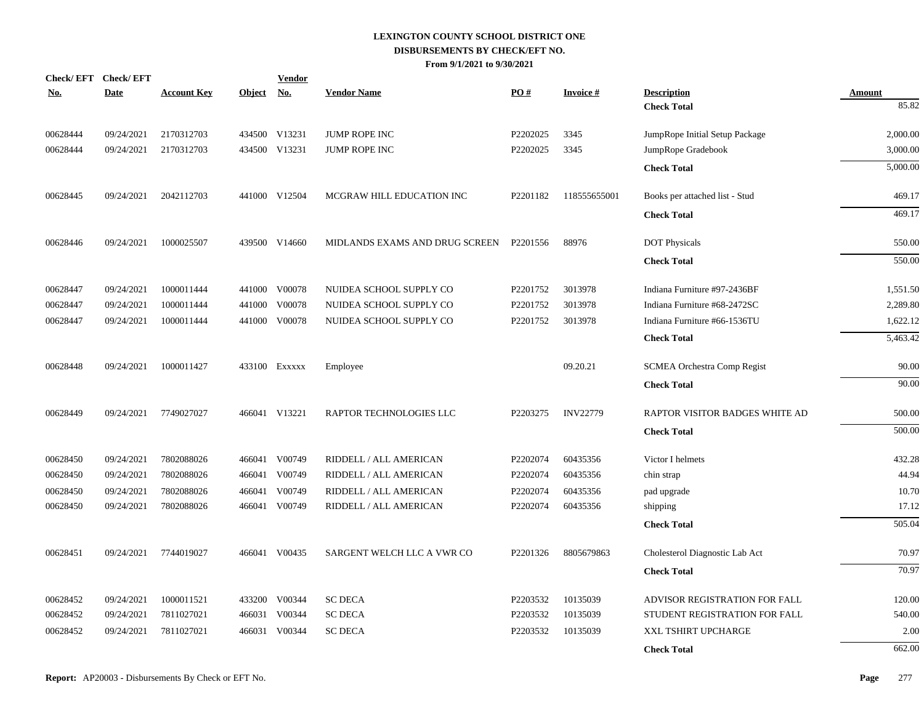| No.      | Check/EFT Check/EFT<br><b>Date</b> | <b>Account Key</b> | Object No. | <b>Vendor</b> | <b>Vendor Name</b>             | PO#      | <b>Invoice#</b> | <b>Description</b>                 | <b>Amount</b> |
|----------|------------------------------------|--------------------|------------|---------------|--------------------------------|----------|-----------------|------------------------------------|---------------|
|          |                                    |                    |            |               |                                |          |                 | <b>Check Total</b>                 | 85.82         |
| 00628444 | 09/24/2021                         | 2170312703         |            | 434500 V13231 | JUMP ROPE INC                  | P2202025 | 3345            | JumpRope Initial Setup Package     | 2,000.00      |
| 00628444 | 09/24/2021                         | 2170312703         |            | 434500 V13231 | <b>JUMP ROPE INC</b>           | P2202025 | 3345            | JumpRope Gradebook                 | 3,000.00      |
|          |                                    |                    |            |               |                                |          |                 | <b>Check Total</b>                 | 5,000.00      |
| 00628445 | 09/24/2021                         | 2042112703         |            | 441000 V12504 | MCGRAW HILL EDUCATION INC      | P2201182 | 118555655001    | Books per attached list - Stud     | 469.17        |
|          |                                    |                    |            |               |                                |          |                 | <b>Check Total</b>                 | 469.17        |
| 00628446 | 09/24/2021                         | 1000025507         |            | 439500 V14660 | MIDLANDS EXAMS AND DRUG SCREEN | P2201556 | 88976           | <b>DOT</b> Physicals               | 550.00        |
|          |                                    |                    |            |               |                                |          |                 | <b>Check Total</b>                 | 550.00        |
| 00628447 | 09/24/2021                         | 1000011444         |            | 441000 V00078 | NUIDEA SCHOOL SUPPLY CO        | P2201752 | 3013978         | Indiana Furniture #97-2436BF       | 1,551.50      |
| 00628447 | 09/24/2021                         | 1000011444         |            | 441000 V00078 | NUIDEA SCHOOL SUPPLY CO        | P2201752 | 3013978         | Indiana Furniture #68-2472SC       | 2,289.80      |
| 00628447 | 09/24/2021                         | 1000011444         |            | 441000 V00078 | NUIDEA SCHOOL SUPPLY CO        | P2201752 | 3013978         | Indiana Furniture #66-1536TU       | 1,622.12      |
|          |                                    |                    |            |               |                                |          |                 | <b>Check Total</b>                 | 5,463.42      |
| 00628448 | 09/24/2021                         | 1000011427         |            | 433100 Exxxxx | Employee                       |          | 09.20.21        | <b>SCMEA Orchestra Comp Regist</b> | 90.00         |
|          |                                    |                    |            |               |                                |          |                 | <b>Check Total</b>                 | 90.00         |
| 00628449 | 09/24/2021                         | 7749027027         |            | 466041 V13221 | RAPTOR TECHNOLOGIES LLC        | P2203275 | <b>INV22779</b> | RAPTOR VISITOR BADGES WHITE AD     | 500.00        |
|          |                                    |                    |            |               |                                |          |                 | <b>Check Total</b>                 | 500.00        |
| 00628450 | 09/24/2021                         | 7802088026         |            | 466041 V00749 | RIDDELL / ALL AMERICAN         | P2202074 | 60435356        | Victor I helmets                   | 432.28        |
| 00628450 | 09/24/2021                         | 7802088026         |            | 466041 V00749 | RIDDELL / ALL AMERICAN         | P2202074 | 60435356        | chin strap                         | 44.94         |
| 00628450 | 09/24/2021                         | 7802088026         | 466041     | V00749        | RIDDELL / ALL AMERICAN         | P2202074 | 60435356        | pad upgrade                        | 10.70         |
| 00628450 | 09/24/2021                         | 7802088026         |            | 466041 V00749 | RIDDELL / ALL AMERICAN         | P2202074 | 60435356        | shipping                           | 17.12         |
|          |                                    |                    |            |               |                                |          |                 | <b>Check Total</b>                 | 505.04        |
| 00628451 | 09/24/2021                         | 7744019027         |            | 466041 V00435 | SARGENT WELCH LLC A VWR CO     | P2201326 | 8805679863      | Cholesterol Diagnostic Lab Act     | 70.97         |
|          |                                    |                    |            |               |                                |          |                 | <b>Check Total</b>                 | 70.97         |
| 00628452 | 09/24/2021                         | 1000011521         |            | 433200 V00344 | <b>SC DECA</b>                 | P2203532 | 10135039        | ADVISOR REGISTRATION FOR FALL      | 120.00        |
| 00628452 | 09/24/2021                         | 7811027021         |            | 466031 V00344 | <b>SC DECA</b>                 | P2203532 | 10135039        | STUDENT REGISTRATION FOR FALL      | 540.00        |
| 00628452 | 09/24/2021                         | 7811027021         | 466031     | V00344        | <b>SC DECA</b>                 | P2203532 | 10135039        | XXL TSHIRT UPCHARGE                | 2.00          |
|          |                                    |                    |            |               |                                |          |                 | <b>Check Total</b>                 | 662.00        |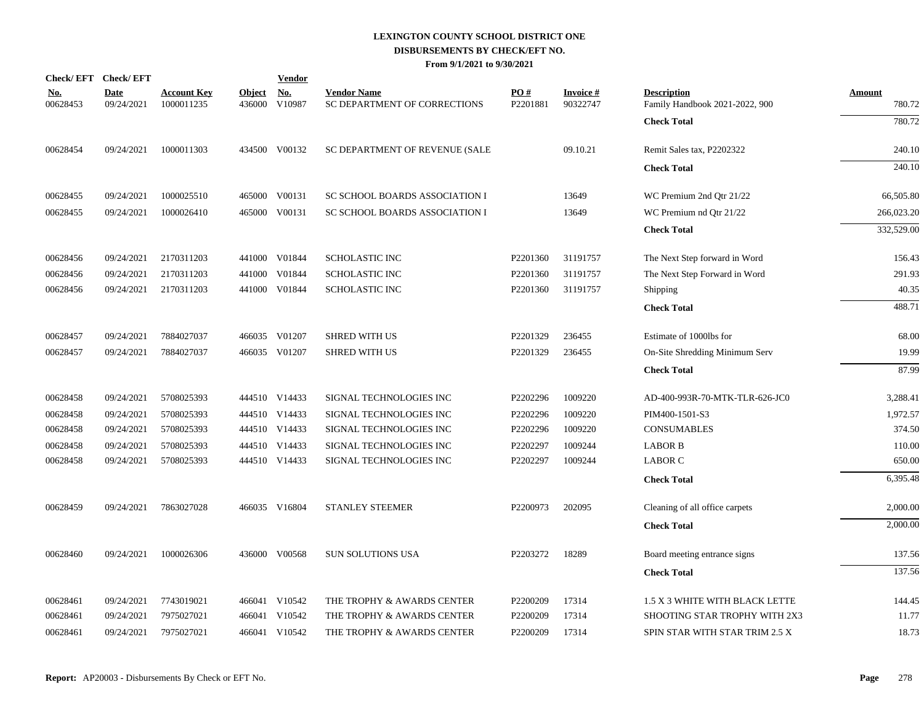| Check/EFT Check/EFT    |                           |                                  |                         | <b>Vendor</b>                       |                                                    |                 |                             |                                                      |                         |
|------------------------|---------------------------|----------------------------------|-------------------------|-------------------------------------|----------------------------------------------------|-----------------|-----------------------------|------------------------------------------------------|-------------------------|
| <u>No.</u><br>00628453 | <b>Date</b><br>09/24/2021 | <b>Account Key</b><br>1000011235 | <b>Object</b><br>436000 | $\underline{\textbf{No}}$<br>V10987 | <b>Vendor Name</b><br>SC DEPARTMENT OF CORRECTIONS | PO#<br>P2201881 | <b>Invoice#</b><br>90322747 | <b>Description</b><br>Family Handbook 2021-2022, 900 | <b>Amount</b><br>780.72 |
|                        |                           |                                  |                         |                                     |                                                    |                 |                             | <b>Check Total</b>                                   | 780.72                  |
| 00628454               | 09/24/2021                | 1000011303                       |                         | 434500 V00132                       | SC DEPARTMENT OF REVENUE (SALE                     |                 | 09.10.21                    | Remit Sales tax, P2202322                            | 240.10                  |
|                        |                           |                                  |                         |                                     |                                                    |                 |                             | <b>Check Total</b>                                   | 240.10                  |
| 00628455               | 09/24/2021                | 1000025510                       |                         | 465000 V00131                       | SC SCHOOL BOARDS ASSOCIATION I                     |                 | 13649                       | WC Premium 2nd Qtr 21/22                             | 66,505.80               |
| 00628455               | 09/24/2021                | 1000026410                       | 465000                  | V00131                              | SC SCHOOL BOARDS ASSOCIATION I                     |                 | 13649                       | WC Premium nd Qtr 21/22                              | 266,023.20              |
|                        |                           |                                  |                         |                                     |                                                    |                 |                             | <b>Check Total</b>                                   | 332,529.00              |
| 00628456               | 09/24/2021                | 2170311203                       |                         | 441000 V01844                       | <b>SCHOLASTIC INC</b>                              | P2201360        | 31191757                    | The Next Step forward in Word                        | 156.43                  |
| 00628456               | 09/24/2021                | 2170311203                       | 441000                  | V01844                              | <b>SCHOLASTIC INC</b>                              | P2201360        | 31191757                    | The Next Step Forward in Word                        | 291.93                  |
| 00628456               | 09/24/2021                | 2170311203                       |                         | 441000 V01844                       | <b>SCHOLASTIC INC</b>                              | P2201360        | 31191757                    | Shipping                                             | 40.35                   |
|                        |                           |                                  |                         |                                     |                                                    |                 |                             | <b>Check Total</b>                                   | 488.71                  |
| 00628457               | 09/24/2021                | 7884027037                       |                         | 466035 V01207                       | <b>SHRED WITH US</b>                               | P2201329        | 236455                      | Estimate of 1000lbs for                              | 68.00                   |
| 00628457               | 09/24/2021                | 7884027037                       |                         | 466035 V01207                       | <b>SHRED WITH US</b>                               | P2201329        | 236455                      | On-Site Shredding Minimum Serv                       | 19.99                   |
|                        |                           |                                  |                         |                                     |                                                    |                 |                             | <b>Check Total</b>                                   | 87.99                   |
| 00628458               | 09/24/2021                | 5708025393                       |                         | 444510 V14433                       | SIGNAL TECHNOLOGIES INC                            | P2202296        | 1009220                     | AD-400-993R-70-MTK-TLR-626-JC0                       | 3,288.41                |
| 00628458               | 09/24/2021                | 5708025393                       |                         | 444510 V14433                       | SIGNAL TECHNOLOGIES INC                            | P2202296        | 1009220                     | PIM400-1501-S3                                       | 1,972.57                |
| 00628458               | 09/24/2021                | 5708025393                       |                         | 444510 V14433                       | SIGNAL TECHNOLOGIES INC                            | P2202296        | 1009220                     | <b>CONSUMABLES</b>                                   | 374.50                  |
| 00628458               | 09/24/2021                | 5708025393                       |                         | 444510 V14433                       | SIGNAL TECHNOLOGIES INC                            | P2202297        | 1009244                     | <b>LABOR B</b>                                       | 110.00                  |
| 00628458               | 09/24/2021                | 5708025393                       |                         | 444510 V14433                       | SIGNAL TECHNOLOGIES INC                            | P2202297        | 1009244                     | <b>LABOR C</b>                                       | 650.00                  |
|                        |                           |                                  |                         |                                     |                                                    |                 |                             | <b>Check Total</b>                                   | 6,395.48                |
| 00628459               | 09/24/2021                | 7863027028                       |                         | 466035 V16804                       | STANLEY STEEMER                                    | P2200973        | 202095                      | Cleaning of all office carpets                       | 2,000.00                |
|                        |                           |                                  |                         |                                     |                                                    |                 |                             | <b>Check Total</b>                                   | 2,000.00                |
| 00628460               | 09/24/2021                | 1000026306                       |                         | 436000 V00568                       | <b>SUN SOLUTIONS USA</b>                           | P2203272        | 18289                       | Board meeting entrance signs                         | 137.56                  |
|                        |                           |                                  |                         |                                     |                                                    |                 |                             | <b>Check Total</b>                                   | 137.56                  |
| 00628461               | 09/24/2021                | 7743019021                       |                         | 466041 V10542                       | THE TROPHY & AWARDS CENTER                         | P2200209        | 17314                       | 1.5 X 3 WHITE WITH BLACK LETTE                       | 144.45                  |
| 00628461               | 09/24/2021                | 7975027021                       |                         | 466041 V10542                       | THE TROPHY & AWARDS CENTER                         | P2200209        | 17314                       | SHOOTING STAR TROPHY WITH 2X3                        | 11.77                   |
| 00628461               | 09/24/2021                | 7975027021                       |                         | 466041 V10542                       | THE TROPHY & AWARDS CENTER                         | P2200209        | 17314                       | SPIN STAR WITH STAR TRIM 2.5 X                       | 18.73                   |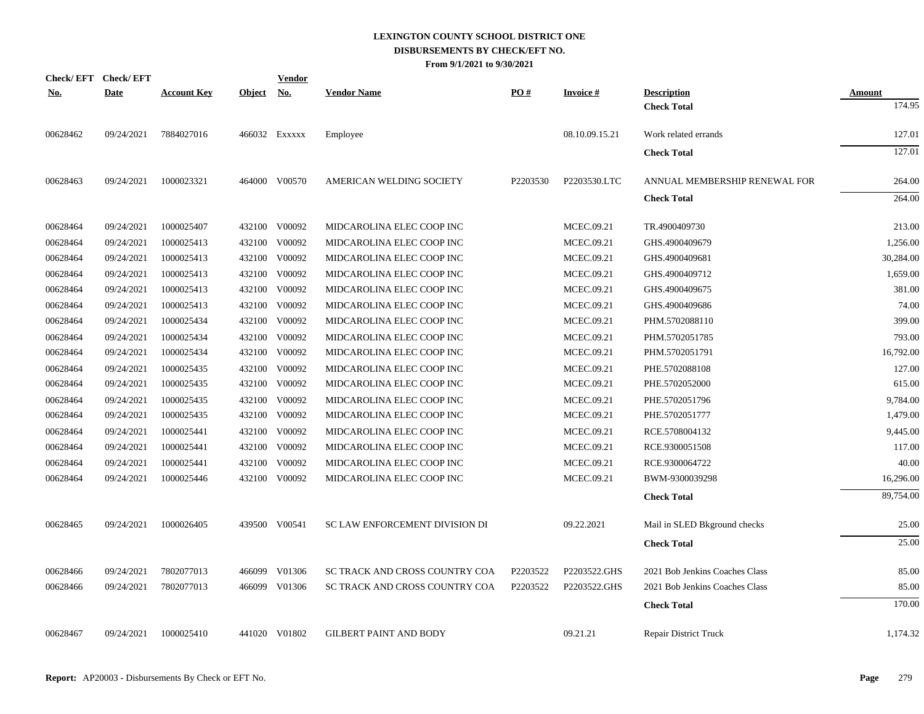| <b>Check/EFT</b> | <b>Check/EFT</b> |                    |            | <b>Vendor</b> |                                |          |                 |                                          |                  |
|------------------|------------------|--------------------|------------|---------------|--------------------------------|----------|-----------------|------------------------------------------|------------------|
| <u>No.</u>       | <b>Date</b>      | <b>Account Key</b> | Object No. |               | <b>Vendor Name</b>             | PO#      | <b>Invoice#</b> | <b>Description</b><br><b>Check Total</b> | Amount<br>174.95 |
| 00628462         | 09/24/2021       | 7884027016         |            | 466032 Exxxxx | Employee                       |          | 08.10.09.15.21  | Work related errands                     | 127.01           |
|                  |                  |                    |            |               |                                |          |                 | <b>Check Total</b>                       | 127.01           |
| 00628463         | 09/24/2021       | 1000023321         |            | 464000 V00570 | AMERICAN WELDING SOCIETY       | P2203530 | P2203530.LTC    | ANNUAL MEMBERSHIP RENEWAL FOR            | 264.00           |
|                  |                  |                    |            |               |                                |          |                 | <b>Check Total</b>                       | 264.00           |
| 00628464         | 09/24/2021       | 1000025407         |            | 432100 V00092 | MIDCAROLINA ELEC COOP INC      |          | MCEC.09.21      | TR.4900409730                            | 213.00           |
| 00628464         | 09/24/2021       | 1000025413         |            | 432100 V00092 | MIDCAROLINA ELEC COOP INC      |          | MCEC.09.21      | GHS.4900409679                           | 1,256.00         |
| 00628464         | 09/24/2021       | 1000025413         |            | 432100 V00092 | MIDCAROLINA ELEC COOP INC      |          | MCEC.09.21      | GHS.4900409681                           | 30,284.00        |
| 00628464         | 09/24/2021       | 1000025413         |            | 432100 V00092 | MIDCAROLINA ELEC COOP INC      |          | MCEC.09.21      | GHS.4900409712                           | 1,659.00         |
| 00628464         | 09/24/2021       | 1000025413         |            | 432100 V00092 | MIDCAROLINA ELEC COOP INC      |          | MCEC.09.21      | GHS.4900409675                           | 381.00           |
| 00628464         | 09/24/2021       | 1000025413         |            | 432100 V00092 | MIDCAROLINA ELEC COOP INC      |          | MCEC.09.21      | GHS.4900409686                           | 74.00            |
| 00628464         | 09/24/2021       | 1000025434         |            | 432100 V00092 | MIDCAROLINA ELEC COOP INC      |          | MCEC.09.21      | PHM.5702088110                           | 399.00           |
| 00628464         | 09/24/2021       | 1000025434         |            | 432100 V00092 | MIDCAROLINA ELEC COOP INC      |          | MCEC.09.21      | PHM.5702051785                           | 793.00           |
| 00628464         | 09/24/2021       | 1000025434         |            | 432100 V00092 | MIDCAROLINA ELEC COOP INC      |          | MCEC.09.21      | PHM.5702051791                           | 16,792.00        |
| 00628464         | 09/24/2021       | 1000025435         |            | 432100 V00092 | MIDCAROLINA ELEC COOP INC      |          | MCEC.09.21      | PHE.5702088108                           | 127.00           |
| 00628464         | 09/24/2021       | 1000025435         |            | 432100 V00092 | MIDCAROLINA ELEC COOP INC      |          | MCEC.09.21      | PHE.5702052000                           | 615.00           |
| 00628464         | 09/24/2021       | 1000025435         |            | 432100 V00092 | MIDCAROLINA ELEC COOP INC      |          | MCEC.09.21      | PHE.5702051796                           | 9,784.00         |
| 00628464         | 09/24/2021       | 1000025435         |            | 432100 V00092 | MIDCAROLINA ELEC COOP INC      |          | MCEC.09.21      | PHE.5702051777                           | 1,479.00         |
| 00628464         | 09/24/2021       | 1000025441         |            | 432100 V00092 | MIDCAROLINA ELEC COOP INC      |          | MCEC.09.21      | RCE.5708004132                           | 9,445.00         |
| 00628464         | 09/24/2021       | 1000025441         |            | 432100 V00092 | MIDCAROLINA ELEC COOP INC      |          | MCEC.09.21      | RCE.9300051508                           | 117.00           |
| 00628464         | 09/24/2021       | 1000025441         |            | 432100 V00092 | MIDCAROLINA ELEC COOP INC      |          | MCEC.09.21      | RCE.9300064722                           | 40.00            |
| 00628464         | 09/24/2021       | 1000025446         |            | 432100 V00092 | MIDCAROLINA ELEC COOP INC      |          | MCEC.09.21      | BWM-9300039298                           | 16,296.00        |
|                  |                  |                    |            |               |                                |          |                 | <b>Check Total</b>                       | 89,754.00        |
| 00628465         | 09/24/2021       | 1000026405         |            | 439500 V00541 | SC LAW ENFORCEMENT DIVISION DI |          | 09.22.2021      | Mail in SLED Bkground checks             | 25.00            |
|                  |                  |                    |            |               |                                |          |                 | <b>Check Total</b>                       | 25.00            |
| 00628466         | 09/24/2021       | 7802077013         |            | 466099 V01306 | SC TRACK AND CROSS COUNTRY COA | P2203522 | P2203522.GHS    | 2021 Bob Jenkins Coaches Class           | 85.00            |
| 00628466         | 09/24/2021       | 7802077013         |            | 466099 V01306 | SC TRACK AND CROSS COUNTRY COA | P2203522 | P2203522.GHS    | 2021 Bob Jenkins Coaches Class           | 85.00            |
|                  |                  |                    |            |               |                                |          |                 | <b>Check Total</b>                       | 170.00           |
| 00628467         | 09/24/2021       | 1000025410         |            | 441020 V01802 | <b>GILBERT PAINT AND BODY</b>  |          | 09.21.21        | <b>Repair District Truck</b>             | 1,174.32         |
|                  |                  |                    |            |               |                                |          |                 |                                          |                  |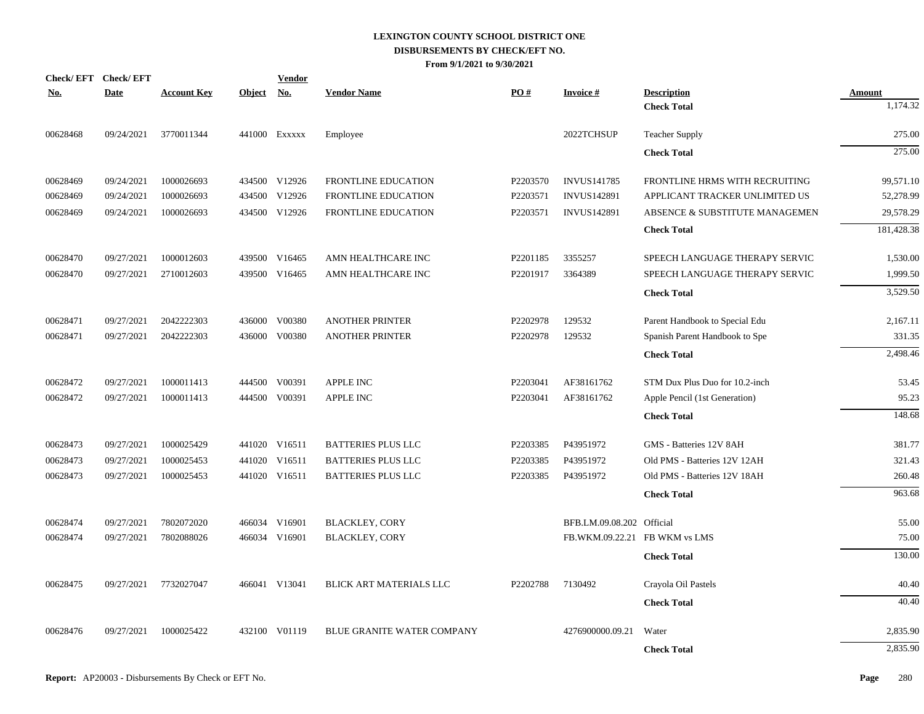|            | Check/EFT Check/EFT |                    |               | <b>Vendor</b> |                                   |          |                           |                                |               |
|------------|---------------------|--------------------|---------------|---------------|-----------------------------------|----------|---------------------------|--------------------------------|---------------|
| <u>No.</u> | <b>Date</b>         | <b>Account Key</b> | <b>Object</b> | <u>No.</u>    | <b>Vendor Name</b>                | PO#      | <b>Invoice#</b>           | <b>Description</b>             | <b>Amount</b> |
|            |                     |                    |               |               |                                   |          |                           | <b>Check Total</b>             | 1,174.32      |
| 00628468   | 09/24/2021          | 3770011344         |               | 441000 EXXXXX | Employee                          |          | 2022TCHSUP                | <b>Teacher Supply</b>          | 275.00        |
|            |                     |                    |               |               |                                   |          |                           | <b>Check Total</b>             | 275.00        |
| 00628469   | 09/24/2021          | 1000026693         |               | 434500 V12926 | FRONTLINE EDUCATION               | P2203570 | <b>INVUS141785</b>        | FRONTLINE HRMS WITH RECRUITING | 99,571.10     |
| 00628469   | 09/24/2021          | 1000026693         |               | 434500 V12926 | FRONTLINE EDUCATION               | P2203571 | <b>INVUS142891</b>        | APPLICANT TRACKER UNLIMITED US | 52,278.99     |
| 00628469   | 09/24/2021          | 1000026693         |               | 434500 V12926 | FRONTLINE EDUCATION               | P2203571 | <b>INVUS142891</b>        | ABSENCE & SUBSTITUTE MANAGEMEN | 29,578.29     |
|            |                     |                    |               |               |                                   |          |                           | <b>Check Total</b>             | 181,428.38    |
| 00628470   | 09/27/2021          | 1000012603         |               | 439500 V16465 | AMN HEALTHCARE INC                | P2201185 | 3355257                   | SPEECH LANGUAGE THERAPY SERVIC | 1,530.00      |
| 00628470   | 09/27/2021          | 2710012603         |               | 439500 V16465 | AMN HEALTHCARE INC                | P2201917 | 3364389                   | SPEECH LANGUAGE THERAPY SERVIC | 1,999.50      |
|            |                     |                    |               |               |                                   |          |                           | <b>Check Total</b>             | 3,529.50      |
| 00628471   | 09/27/2021          | 2042222303         |               | 436000 V00380 | <b>ANOTHER PRINTER</b>            | P2202978 | 129532                    | Parent Handbook to Special Edu | 2,167.11      |
| 00628471   | 09/27/2021          | 2042222303         |               | 436000 V00380 | <b>ANOTHER PRINTER</b>            | P2202978 | 129532                    | Spanish Parent Handbook to Spe | 331.35        |
|            |                     |                    |               |               |                                   |          |                           | <b>Check Total</b>             | 2,498.46      |
| 00628472   | 09/27/2021          | 1000011413         |               | 444500 V00391 | APPLE INC                         | P2203041 | AF38161762                | STM Dux Plus Duo for 10.2-inch | 53.45         |
| 00628472   | 09/27/2021          | 1000011413         |               | 444500 V00391 | APPLE INC                         | P2203041 | AF38161762                | Apple Pencil (1st Generation)  | 95.23         |
|            |                     |                    |               |               |                                   |          |                           | <b>Check Total</b>             | 148.68        |
| 00628473   | 09/27/2021          | 1000025429         |               | 441020 V16511 | <b>BATTERIES PLUS LLC</b>         | P2203385 | P43951972                 | GMS - Batteries 12V 8AH        | 381.77        |
| 00628473   | 09/27/2021          | 1000025453         |               | 441020 V16511 | <b>BATTERIES PLUS LLC</b>         | P2203385 | P43951972                 | Old PMS - Batteries 12V 12AH   | 321.43        |
| 00628473   | 09/27/2021          | 1000025453         |               | 441020 V16511 | <b>BATTERIES PLUS LLC</b>         | P2203385 | P43951972                 | Old PMS - Batteries 12V 18AH   | 260.48        |
|            |                     |                    |               |               |                                   |          |                           | <b>Check Total</b>             | 963.68        |
| 00628474   | 09/27/2021          | 7802072020         |               | 466034 V16901 | <b>BLACKLEY, CORY</b>             |          | BFB.LM.09.08.202 Official |                                | 55.00         |
| 00628474   | 09/27/2021          | 7802088026         |               | 466034 V16901 | <b>BLACKLEY, CORY</b>             |          |                           | FB.WKM.09.22.21 FB WKM vs LMS  | 75.00         |
|            |                     |                    |               |               |                                   |          |                           | <b>Check Total</b>             | 130.00        |
| 00628475   | 09/27/2021          | 7732027047         |               | 466041 V13041 | BLICK ART MATERIALS LLC           | P2202788 | 7130492                   | Crayola Oil Pastels            | 40.40         |
|            |                     |                    |               |               |                                   |          |                           | <b>Check Total</b>             | 40.40         |
| 00628476   | 09/27/2021          | 1000025422         |               | 432100 V01119 | <b>BLUE GRANITE WATER COMPANY</b> |          | 4276900000.09.21          | Water                          | 2,835.90      |
|            |                     |                    |               |               |                                   |          |                           | <b>Check Total</b>             | 2,835.90      |
|            |                     |                    |               |               |                                   |          |                           |                                |               |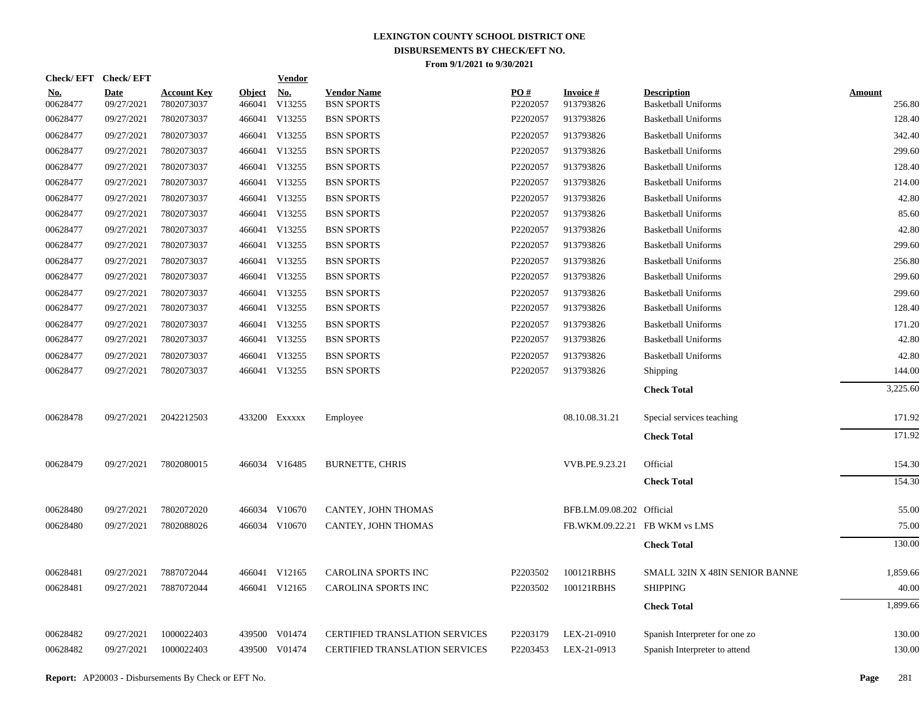| Check/EFT Check/EFT |                           |                                  |                         | <u>Vendor</u> |                                         |                 |                               |                                                  |                         |
|---------------------|---------------------------|----------------------------------|-------------------------|---------------|-----------------------------------------|-----------------|-------------------------------|--------------------------------------------------|-------------------------|
| No.<br>00628477     | <b>Date</b><br>09/27/2021 | <b>Account Key</b><br>7802073037 | <b>Object</b><br>466041 | No.<br>V13255 | <b>Vendor Name</b><br><b>BSN SPORTS</b> | PQ#<br>P2202057 | <b>Invoice#</b><br>913793826  | <b>Description</b><br><b>Basketball Uniforms</b> | <b>Amount</b><br>256.80 |
| 00628477            | 09/27/2021                | 7802073037                       | 466041                  | V13255        | <b>BSN SPORTS</b>                       | P2202057        | 913793826                     | <b>Basketball Uniforms</b>                       | 128.40                  |
| 00628477            | 09/27/2021                | 7802073037                       | 466041                  | V13255        | <b>BSN SPORTS</b>                       | P2202057        | 913793826                     | <b>Basketball Uniforms</b>                       | 342.40                  |
| 00628477            | 09/27/2021                | 7802073037                       | 466041                  | V13255        | <b>BSN SPORTS</b>                       | P2202057        | 913793826                     | <b>Basketball Uniforms</b>                       | 299.60                  |
| 00628477            | 09/27/2021                | 7802073037                       | 466041                  | V13255        | <b>BSN SPORTS</b>                       | P2202057        | 913793826                     | <b>Basketball Uniforms</b>                       | 128.40                  |
| 00628477            | 09/27/2021                | 7802073037                       | 466041                  | V13255        | <b>BSN SPORTS</b>                       | P2202057        | 913793826                     | <b>Basketball Uniforms</b>                       | 214.00                  |
| 00628477            | 09/27/2021                | 7802073037                       | 466041                  | V13255        | <b>BSN SPORTS</b>                       | P2202057        | 913793826                     | <b>Basketball Uniforms</b>                       | 42.80                   |
| 00628477            | 09/27/2021                | 7802073037                       | 466041                  | V13255        | <b>BSN SPORTS</b>                       | P2202057        | 913793826                     | <b>Basketball Uniforms</b>                       | 85.60                   |
| 00628477            | 09/27/2021                | 7802073037                       | 466041                  | V13255        | <b>BSN SPORTS</b>                       | P2202057        | 913793826                     | <b>Basketball Uniforms</b>                       | 42.80                   |
| 00628477            | 09/27/2021                | 7802073037                       | 466041                  | V13255        | <b>BSN SPORTS</b>                       | P2202057        | 913793826                     | <b>Basketball Uniforms</b>                       | 299.60                  |
| 00628477            | 09/27/2021                | 7802073037                       | 466041                  | V13255        | <b>BSN SPORTS</b>                       | P2202057        | 913793826                     | <b>Basketball Uniforms</b>                       | 256.80                  |
| 00628477            | 09/27/2021                | 7802073037                       | 466041                  | V13255        | <b>BSN SPORTS</b>                       | P2202057        | 913793826                     | <b>Basketball Uniforms</b>                       | 299.60                  |
| 00628477            | 09/27/2021                | 7802073037                       | 466041                  | V13255        | <b>BSN SPORTS</b>                       | P2202057        | 913793826                     | <b>Basketball Uniforms</b>                       | 299.60                  |
| 00628477            | 09/27/2021                | 7802073037                       | 466041                  | V13255        | <b>BSN SPORTS</b>                       | P2202057        | 913793826                     | <b>Basketball Uniforms</b>                       | 128.40                  |
| 00628477            | 09/27/2021                | 7802073037                       | 466041                  | V13255        | <b>BSN SPORTS</b>                       | P2202057        | 913793826                     | <b>Basketball Uniforms</b>                       | 171.20                  |
| 00628477            | 09/27/2021                | 7802073037                       | 466041                  | V13255        | <b>BSN SPORTS</b>                       | P2202057        | 913793826                     | <b>Basketball Uniforms</b>                       | 42.80                   |
| 00628477            | 09/27/2021                | 7802073037                       | 466041                  | V13255        | <b>BSN SPORTS</b>                       | P2202057        | 913793826                     | <b>Basketball Uniforms</b>                       | 42.80                   |
| 00628477            | 09/27/2021                | 7802073037                       |                         | 466041 V13255 | <b>BSN SPORTS</b>                       | P2202057        | 913793826                     | Shipping                                         | 144.00                  |
|                     |                           |                                  |                         |               |                                         |                 |                               | <b>Check Total</b>                               | 3,225.60                |
| 00628478            | 09/27/2021                | 2042212503                       |                         | 433200 EXXXXX | Employee                                |                 | 08.10.08.31.21                | Special services teaching                        | 171.92                  |
|                     |                           |                                  |                         |               |                                         |                 |                               | <b>Check Total</b>                               | 171.92                  |
| 00628479            | 09/27/2021                | 7802080015                       |                         | 466034 V16485 | <b>BURNETTE, CHRIS</b>                  |                 | VVB.PE.9.23.21                | Official                                         | 154.30                  |
|                     |                           |                                  |                         |               |                                         |                 |                               | <b>Check Total</b>                               | 154.30                  |
| 00628480            | 09/27/2021                | 7802072020                       |                         | 466034 V10670 | CANTEY, JOHN THOMAS                     |                 | BFB.LM.09.08.202 Official     |                                                  | 55.00                   |
| 00628480            | 09/27/2021                | 7802088026                       |                         | 466034 V10670 | CANTEY, JOHN THOMAS                     |                 | FB.WKM.09.22.21 FB WKM vs LMS |                                                  | 75.00                   |
|                     |                           |                                  |                         |               |                                         |                 |                               | <b>Check Total</b>                               | 130.00                  |
| 00628481            | 09/27/2021                | 7887072044                       |                         | 466041 V12165 | CAROLINA SPORTS INC                     | P2203502        | 100121RBHS                    | SMALL 32IN X 48IN SENIOR BANNE                   | 1,859.66                |
| 00628481            | 09/27/2021                | 7887072044                       |                         | 466041 V12165 | CAROLINA SPORTS INC                     | P2203502        | 100121RBHS                    | <b>SHIPPING</b>                                  | 40.00                   |
|                     |                           |                                  |                         |               |                                         |                 |                               | <b>Check Total</b>                               | 1,899.66                |
| 00628482            | 09/27/2021                | 1000022403                       |                         | 439500 V01474 | <b>CERTIFIED TRANSLATION SERVICES</b>   | P2203179        | LEX-21-0910                   | Spanish Interpreter for one zo                   | 130.00                  |
| 00628482            | 09/27/2021                | 1000022403                       |                         | 439500 V01474 | <b>CERTIFIED TRANSLATION SERVICES</b>   | P2203453        | LEX-21-0913                   | Spanish Interpreter to attend                    | 130.00                  |
|                     |                           |                                  |                         |               |                                         |                 |                               |                                                  |                         |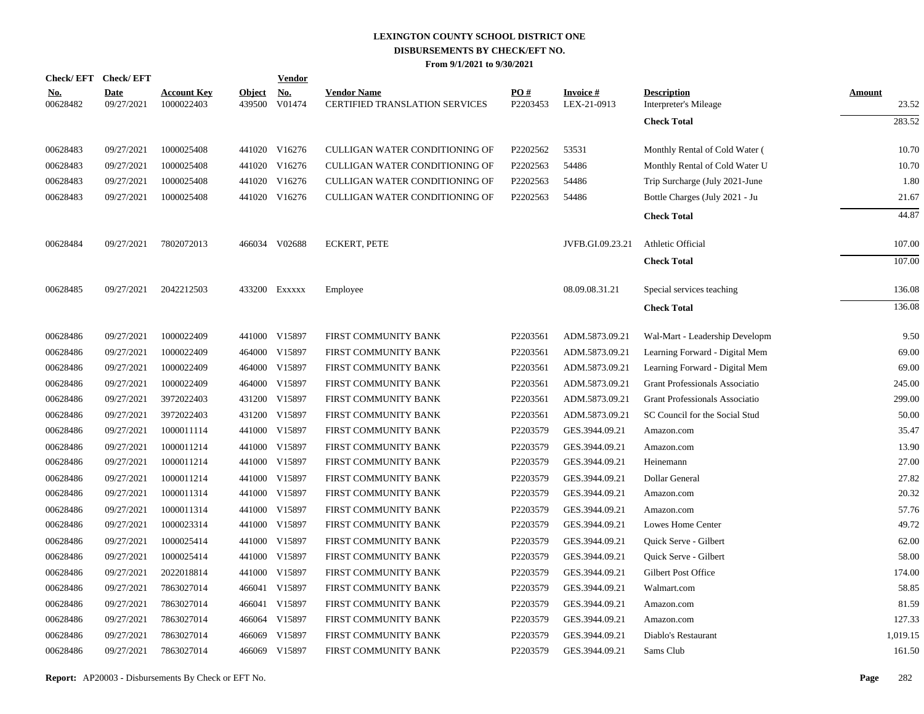|                        | Check/EFT Check/EFT       |                                  |                         | <b>Vendor</b> |                                                             |                 |                          |                                             |                 |
|------------------------|---------------------------|----------------------------------|-------------------------|---------------|-------------------------------------------------------------|-----------------|--------------------------|---------------------------------------------|-----------------|
| <u>No.</u><br>00628482 | <b>Date</b><br>09/27/2021 | <b>Account Key</b><br>1000022403 | <b>Object</b><br>439500 | No.<br>V01474 | <b>Vendor Name</b><br><b>CERTIFIED TRANSLATION SERVICES</b> | PO#<br>P2203453 | Invoice #<br>LEX-21-0913 | <b>Description</b><br>Interpreter's Mileage | Amount<br>23.52 |
|                        |                           |                                  |                         |               |                                                             |                 |                          | <b>Check Total</b>                          | 283.52          |
| 00628483               | 09/27/2021                | 1000025408                       |                         | 441020 V16276 | CULLIGAN WATER CONDITIONING OF                              | P2202562        | 53531                    | Monthly Rental of Cold Water (              | 10.70           |
| 00628483               | 09/27/2021                | 1000025408                       |                         | 441020 V16276 | CULLIGAN WATER CONDITIONING OF                              | P2202563        | 54486                    | Monthly Rental of Cold Water U              | 10.70           |
| 00628483               | 09/27/2021                | 1000025408                       |                         | 441020 V16276 | CULLIGAN WATER CONDITIONING OF                              | P2202563        | 54486                    | Trip Surcharge (July 2021-June              | 1.80            |
| 00628483               | 09/27/2021                | 1000025408                       |                         | 441020 V16276 | CULLIGAN WATER CONDITIONING OF                              | P2202563        | 54486                    | Bottle Charges (July 2021 - Ju              | 21.67           |
|                        |                           |                                  |                         |               |                                                             |                 |                          | <b>Check Total</b>                          | 44.87           |
| 00628484               | 09/27/2021                | 7802072013                       |                         | 466034 V02688 | <b>ECKERT, PETE</b>                                         |                 | JVFB.GI.09.23.21         | Athletic Official                           | 107.00          |
|                        |                           |                                  |                         |               |                                                             |                 |                          | <b>Check Total</b>                          | 107.00          |
| 00628485               | 09/27/2021                | 2042212503                       |                         | 433200 EXXXXX | Employee                                                    |                 | 08.09.08.31.21           | Special services teaching                   | 136.08          |
|                        |                           |                                  |                         |               |                                                             |                 |                          | <b>Check Total</b>                          | 136.08          |
| 00628486               | 09/27/2021                | 1000022409                       |                         | 441000 V15897 | FIRST COMMUNITY BANK                                        | P2203561        | ADM.5873.09.21           | Wal-Mart - Leadership Developm              | 9.50            |
| 00628486               | 09/27/2021                | 1000022409                       | 464000                  | V15897        | FIRST COMMUNITY BANK                                        | P2203561        | ADM.5873.09.21           | Learning Forward - Digital Mem              | 69.00           |
| 00628486               | 09/27/2021                | 1000022409                       | 464000                  | V15897        | FIRST COMMUNITY BANK                                        | P2203561        | ADM.5873.09.21           | Learning Forward - Digital Mem              | 69.00           |
| 00628486               | 09/27/2021                | 1000022409                       | 464000                  | V15897        | FIRST COMMUNITY BANK                                        | P2203561        | ADM.5873.09.21           | Grant Professionals Associatio              | 245.00          |
| 00628486               | 09/27/2021                | 3972022403                       | 431200                  | V15897        | FIRST COMMUNITY BANK                                        | P2203561        | ADM.5873.09.21           | <b>Grant Professionals Associatio</b>       | 299.00          |
| 00628486               | 09/27/2021                | 3972022403                       | 431200                  | V15897        | FIRST COMMUNITY BANK                                        | P2203561        | ADM.5873.09.21           | SC Council for the Social Stud              | 50.00           |
| 00628486               | 09/27/2021                | 1000011114                       |                         | 441000 V15897 | FIRST COMMUNITY BANK                                        | P2203579        | GES.3944.09.21           | Amazon.com                                  | 35.47           |
| 00628486               | 09/27/2021                | 1000011214                       | 441000                  | V15897        | FIRST COMMUNITY BANK                                        | P2203579        | GES.3944.09.21           | Amazon.com                                  | 13.90           |
| 00628486               | 09/27/2021                | 1000011214                       |                         | 441000 V15897 | FIRST COMMUNITY BANK                                        | P2203579        | GES.3944.09.21           | Heinemann                                   | 27.00           |
| 00628486               | 09/27/2021                | 1000011214                       | 441000                  | V15897        | FIRST COMMUNITY BANK                                        | P2203579        | GES.3944.09.21           | Dollar General                              | 27.82           |
| 00628486               | 09/27/2021                | 1000011314                       |                         | 441000 V15897 | FIRST COMMUNITY BANK                                        | P2203579        | GES.3944.09.21           | Amazon.com                                  | 20.32           |
| 00628486               | 09/27/2021                | 1000011314                       | 441000                  | V15897        | FIRST COMMUNITY BANK                                        | P2203579        | GES.3944.09.21           | Amazon.com                                  | 57.76           |
| 00628486               | 09/27/2021                | 1000023314                       |                         | 441000 V15897 | FIRST COMMUNITY BANK                                        | P2203579        | GES.3944.09.21           | Lowes Home Center                           | 49.72           |
| 00628486               | 09/27/2021                | 1000025414                       | 441000                  | V15897        | FIRST COMMUNITY BANK                                        | P2203579        | GES.3944.09.21           | Quick Serve - Gilbert                       | 62.00           |
| 00628486               | 09/27/2021                | 1000025414                       |                         | 441000 V15897 | FIRST COMMUNITY BANK                                        | P2203579        | GES.3944.09.21           | Quick Serve - Gilbert                       | 58.00           |
| 00628486               | 09/27/2021                | 2022018814                       | 441000                  | V15897        | FIRST COMMUNITY BANK                                        | P2203579        | GES.3944.09.21           | Gilbert Post Office                         | 174.00          |
| 00628486               | 09/27/2021                | 7863027014                       |                         | 466041 V15897 | FIRST COMMUNITY BANK                                        | P2203579        | GES.3944.09.21           | Walmart.com                                 | 58.85           |
| 00628486               | 09/27/2021                | 7863027014                       |                         | 466041 V15897 | FIRST COMMUNITY BANK                                        | P2203579        | GES.3944.09.21           | Amazon.com                                  | 81.59           |
| 00628486               | 09/27/2021                | 7863027014                       |                         | 466064 V15897 | FIRST COMMUNITY BANK                                        | P2203579        | GES.3944.09.21           | Amazon.com                                  | 127.33          |
| 00628486               | 09/27/2021                | 7863027014                       | 466069                  | V15897        | FIRST COMMUNITY BANK                                        | P2203579        | GES.3944.09.21           | Diablo's Restaurant                         | 1,019.15        |
| 00628486               | 09/27/2021                | 7863027014                       |                         | 466069 V15897 | FIRST COMMUNITY BANK                                        | P2203579        | GES.3944.09.21           | Sams Club                                   | 161.50          |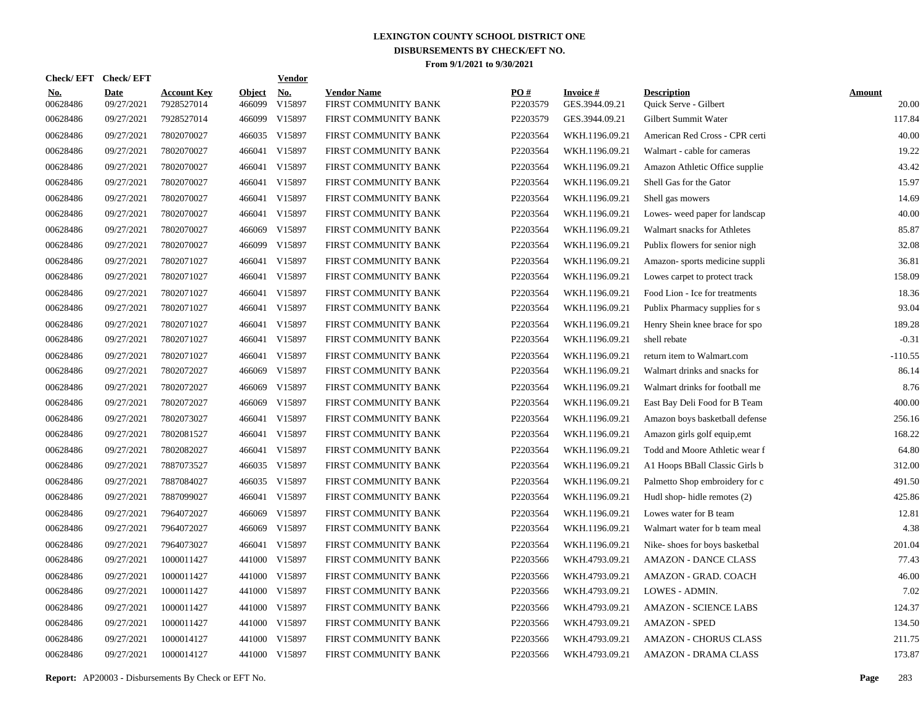| Check/ EFT             | <b>Check/EFT</b>          |                                  |                         | <b>Vendor</b>                         |                                                                                                                                                                                                                                                                                                                                                                                                           |                 |                                   |                                             |                        |
|------------------------|---------------------------|----------------------------------|-------------------------|---------------------------------------|-----------------------------------------------------------------------------------------------------------------------------------------------------------------------------------------------------------------------------------------------------------------------------------------------------------------------------------------------------------------------------------------------------------|-----------------|-----------------------------------|---------------------------------------------|------------------------|
| <u>No.</u><br>00628486 | <b>Date</b><br>09/27/2021 | <b>Account Key</b><br>7928527014 | <b>Object</b><br>466099 | $\underline{\mathrm{No}}$ .<br>V15897 | <b>Vendor Name</b><br>FIRST COMMUNITY BANK                                                                                                                                                                                                                                                                                                                                                                | PO#<br>P2203579 | <b>Invoice#</b><br>GES.3944.09.21 | <b>Description</b><br>Quick Serve - Gilbert | <b>Amount</b><br>20.00 |
| 00628486               | 09/27/2021                | 7928527014                       | 466099                  | V15897                                | FIRST COMMUNITY BANK                                                                                                                                                                                                                                                                                                                                                                                      | P2203579        | GES.3944.09.21                    | Gilbert Summit Water                        | 117.84                 |
| 00628486               | 09/27/2021                | 7802070027                       |                         | V15897                                | FIRST COMMUNITY BANK                                                                                                                                                                                                                                                                                                                                                                                      | P2203564        | WKH.1196.09.21                    | American Red Cross - CPR certi              | 40.00                  |
| 00628486               | 09/27/2021                | 7802070027                       | 466041                  | V15897                                | FIRST COMMUNITY BANK                                                                                                                                                                                                                                                                                                                                                                                      | P2203564        | WKH.1196.09.21                    | Walmart - cable for cameras                 | 19.22                  |
| 00628486               | 09/27/2021                | 7802070027                       | 466041                  | V15897                                | FIRST COMMUNITY BANK                                                                                                                                                                                                                                                                                                                                                                                      | P2203564        | WKH.1196.09.21                    | Amazon Athletic Office supplie              | 43.42                  |
| 00628486               | 09/27/2021                | 7802070027                       | 466041                  | V15897                                | FIRST COMMUNITY BANK                                                                                                                                                                                                                                                                                                                                                                                      | P2203564        | WKH.1196.09.21                    | Shell Gas for the Gator                     | 15.97                  |
| 00628486               | 09/27/2021                | 7802070027                       |                         |                                       | FIRST COMMUNITY BANK                                                                                                                                                                                                                                                                                                                                                                                      | P2203564        | WKH.1196.09.21                    | Shell gas mowers                            | 14.69                  |
| 00628486               | 09/27/2021                | 7802070027                       | 466041                  | V15897                                | FIRST COMMUNITY BANK                                                                                                                                                                                                                                                                                                                                                                                      | P2203564        | WKH.1196.09.21                    | Lowes- weed paper for landscap              | 40.00                  |
| 00628486               | 09/27/2021                | 7802070027                       | 466069                  | V15897                                | FIRST COMMUNITY BANK                                                                                                                                                                                                                                                                                                                                                                                      | P2203564        | WKH.1196.09.21                    | Walmart snacks for Athletes                 | 85.87                  |
| 00628486               | 09/27/2021                | 7802070027                       |                         | V15897                                | FIRST COMMUNITY BANK                                                                                                                                                                                                                                                                                                                                                                                      | P2203564        | WKH.1196.09.21                    | Publix flowers for senior nigh              | 32.08                  |
| 00628486               | 09/27/2021                | 7802071027                       |                         |                                       | FIRST COMMUNITY BANK                                                                                                                                                                                                                                                                                                                                                                                      | P2203564        | WKH.1196.09.21                    | Amazon-sports medicine suppli               | 36.81                  |
| 00628486               | 09/27/2021                | 7802071027                       |                         |                                       | FIRST COMMUNITY BANK                                                                                                                                                                                                                                                                                                                                                                                      | P2203564        | WKH.1196.09.21                    | Lowes carpet to protect track               | 158.09                 |
| 00628486               | 09/27/2021                | 7802071027                       |                         |                                       | FIRST COMMUNITY BANK                                                                                                                                                                                                                                                                                                                                                                                      | P2203564        | WKH.1196.09.21                    | Food Lion - Ice for treatments              | 18.36                  |
| 00628486               | 09/27/2021                | 7802071027                       |                         |                                       | FIRST COMMUNITY BANK                                                                                                                                                                                                                                                                                                                                                                                      | P2203564        | WKH.1196.09.21                    | Publix Pharmacy supplies for s              | 93.04                  |
| 00628486               | 09/27/2021                | 7802071027                       |                         |                                       | FIRST COMMUNITY BANK                                                                                                                                                                                                                                                                                                                                                                                      | P2203564        | WKH.1196.09.21                    | Henry Shein knee brace for spo              | 189.28                 |
| 00628486               | 09/27/2021                | 7802071027                       |                         |                                       | FIRST COMMUNITY BANK                                                                                                                                                                                                                                                                                                                                                                                      | P2203564        | WKH.1196.09.21                    | shell rebate                                | $-0.31$                |
| 00628486               | 09/27/2021                | 7802071027                       |                         |                                       | FIRST COMMUNITY BANK                                                                                                                                                                                                                                                                                                                                                                                      | P2203564        | WKH.1196.09.21                    | return item to Walmart.com                  | $-110.55$              |
| 00628486               | 09/27/2021                | 7802072027                       |                         |                                       | FIRST COMMUNITY BANK                                                                                                                                                                                                                                                                                                                                                                                      | P2203564        | WKH.1196.09.21                    | Walmart drinks and snacks for               | 86.14                  |
| 00628486               | 09/27/2021                | 7802072027                       |                         | V15897                                | FIRST COMMUNITY BANK                                                                                                                                                                                                                                                                                                                                                                                      | P2203564        | WKH.1196.09.21                    | Walmart drinks for football me              | 8.76                   |
| 00628486               | 09/27/2021                | 7802072027                       |                         |                                       | FIRST COMMUNITY BANK                                                                                                                                                                                                                                                                                                                                                                                      | P2203564        | WKH.1196.09.21                    | East Bay Deli Food for B Team               | 400.00                 |
| 00628486               | 09/27/2021                | 7802073027                       |                         |                                       | FIRST COMMUNITY BANK                                                                                                                                                                                                                                                                                                                                                                                      | P2203564        | WKH.1196.09.21                    | Amazon boys basketball defense              | 256.16                 |
| 00628486               | 09/27/2021                | 7802081527                       |                         |                                       | FIRST COMMUNITY BANK                                                                                                                                                                                                                                                                                                                                                                                      | P2203564        | WKH.1196.09.21                    | Amazon girls golf equip, emt                | 168.22                 |
| 00628486               | 09/27/2021                | 7802082027                       |                         |                                       | FIRST COMMUNITY BANK                                                                                                                                                                                                                                                                                                                                                                                      | P2203564        | WKH.1196.09.21                    | Todd and Moore Athletic wear f              | 64.80                  |
| 00628486               | 09/27/2021                | 7887073527                       |                         |                                       | FIRST COMMUNITY BANK                                                                                                                                                                                                                                                                                                                                                                                      | P2203564        | WKH.1196.09.21                    | A1 Hoops BBall Classic Girls b              | 312.00                 |
| 00628486               | 09/27/2021                | 7887084027                       |                         |                                       | FIRST COMMUNITY BANK                                                                                                                                                                                                                                                                                                                                                                                      | P2203564        | WKH.1196.09.21                    | Palmetto Shop embroidery for c              | 491.50                 |
| 00628486               | 09/27/2021                | 7887099027                       |                         |                                       | FIRST COMMUNITY BANK                                                                                                                                                                                                                                                                                                                                                                                      | P2203564        | WKH.1196.09.21                    | Hudl shop-hidle remotes (2)                 | 425.86                 |
| 00628486               | 09/27/2021                | 7964072027                       | 466069                  | V15897                                | FIRST COMMUNITY BANK                                                                                                                                                                                                                                                                                                                                                                                      | P2203564        | WKH.1196.09.21                    | Lowes water for B team                      | 12.81                  |
| 00628486               | 09/27/2021                | 7964072027                       |                         | V15897                                | FIRST COMMUNITY BANK                                                                                                                                                                                                                                                                                                                                                                                      | P2203564        | WKH.1196.09.21                    | Walmart water for b team meal               | 4.38                   |
| 00628486               | 09/27/2021                | 7964073027                       |                         |                                       | FIRST COMMUNITY BANK                                                                                                                                                                                                                                                                                                                                                                                      | P2203564        | WKH.1196.09.21                    | Nike-shoes for boys basketbal               | 201.04                 |
| 00628486               | 09/27/2021                | 1000011427                       |                         |                                       | FIRST COMMUNITY BANK                                                                                                                                                                                                                                                                                                                                                                                      | P2203566        | WKH.4793.09.21                    | <b>AMAZON - DANCE CLASS</b>                 | 77.43                  |
| 00628486               | 09/27/2021                | 1000011427                       | 441000                  | V15897                                | FIRST COMMUNITY BANK                                                                                                                                                                                                                                                                                                                                                                                      | P2203566        | WKH.4793.09.21                    | AMAZON - GRAD. COACH                        | 46.00                  |
| 00628486               | 09/27/2021                | 1000011427                       |                         |                                       | FIRST COMMUNITY BANK                                                                                                                                                                                                                                                                                                                                                                                      | P2203566        | WKH.4793.09.21                    | LOWES - ADMIN.                              | 7.02                   |
| 00628486               | 09/27/2021                | 1000011427                       | 441000                  | V15897                                | FIRST COMMUNITY BANK                                                                                                                                                                                                                                                                                                                                                                                      | P2203566        | WKH.4793.09.21                    | <b>AMAZON - SCIENCE LABS</b>                | 124.37                 |
| 00628486               | 09/27/2021                | 1000011427                       |                         |                                       | FIRST COMMUNITY BANK                                                                                                                                                                                                                                                                                                                                                                                      | P2203566        | WKH.4793.09.21                    | <b>AMAZON - SPED</b>                        | 134.50                 |
| 00628486               | 09/27/2021                | 1000014127                       | 441000                  | V15897                                | FIRST COMMUNITY BANK                                                                                                                                                                                                                                                                                                                                                                                      | P2203566        | WKH.4793.09.21                    | <b>AMAZON - CHORUS CLASS</b>                | 211.75                 |
| 00628486               | 09/27/2021                | 1000014127                       |                         |                                       | FIRST COMMUNITY BANK                                                                                                                                                                                                                                                                                                                                                                                      | P2203566        | WKH.4793.09.21                    | <b>AMAZON - DRAMA CLASS</b>                 | 173.87                 |
|                        |                           |                                  |                         |                                       | 466035<br>466041 V15897<br>466099<br>466041 V15897<br>466041 V15897<br>466041 V15897<br>466041 V15897<br>466041 V15897<br>466041 V15897<br>466041 V15897<br>466069 V15897<br>466069<br>466069 V15897<br>466041 V15897<br>466041 V15897<br>466041 V15897<br>466035 V15897<br>466035 V15897<br>466041 V15897<br>466069<br>466041 V15897<br>441000 V15897<br>441000 V15897<br>441000 V15897<br>441000 V15897 |                 |                                   |                                             |                        |

**Report:** AP20003 - Disbursements By Check or EFT No. **Page** 283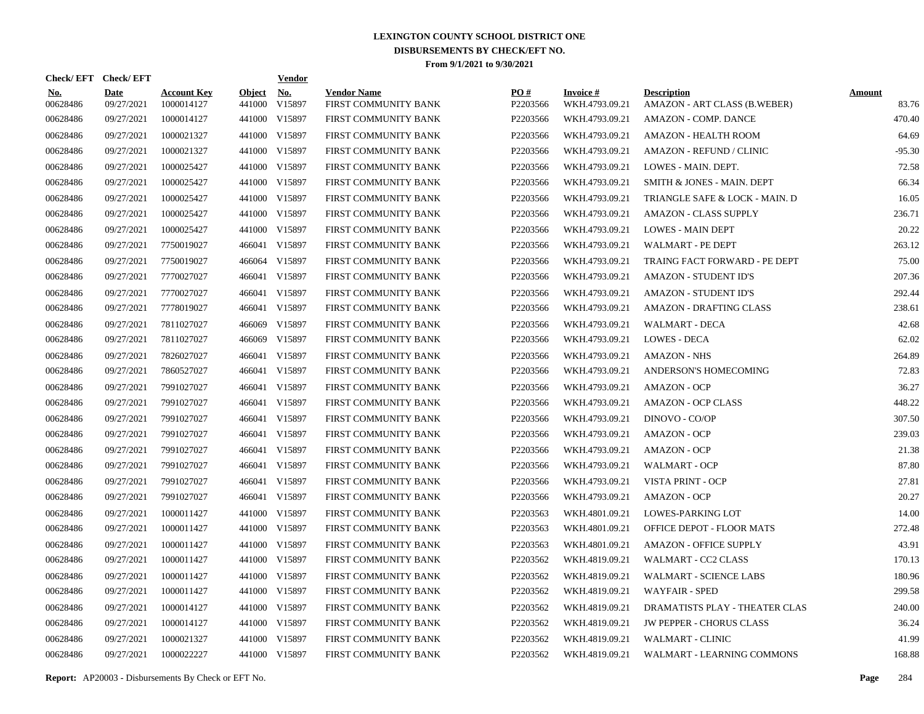| Check/EFT Check/EFT    |                           |                                  |                         | <b>Vendor</b> |                                            |                 |                                   |                                                    |                        |
|------------------------|---------------------------|----------------------------------|-------------------------|---------------|--------------------------------------------|-----------------|-----------------------------------|----------------------------------------------------|------------------------|
| <u>No.</u><br>00628486 | <b>Date</b><br>09/27/2021 | <b>Account Key</b><br>1000014127 | <b>Object</b><br>441000 | No.<br>V15897 | <b>Vendor Name</b><br>FIRST COMMUNITY BANK | PO#<br>P2203566 | <b>Invoice#</b><br>WKH.4793.09.21 | <b>Description</b><br>AMAZON - ART CLASS (B.WEBER) | <b>Amount</b><br>83.76 |
| 00628486               | 09/27/2021                | 1000014127                       |                         | 441000 V15897 | FIRST COMMUNITY BANK                       | P2203566        | WKH.4793.09.21                    | <b>AMAZON - COMP. DANCE</b>                        | 470.40                 |
| 00628486               | 09/27/2021                | 1000021327                       |                         | 441000 V15897 | FIRST COMMUNITY BANK                       | P2203566        | WKH.4793.09.21                    | <b>AMAZON - HEALTH ROOM</b>                        | 64.69                  |
| 00628486               | 09/27/2021                | 1000021327                       |                         | 441000 V15897 | FIRST COMMUNITY BANK                       | P2203566        | WKH.4793.09.21                    | <b>AMAZON - REFUND / CLINIC</b>                    | $-95.30$               |
| 00628486               | 09/27/2021                | 1000025427                       |                         | 441000 V15897 | FIRST COMMUNITY BANK                       | P2203566        | WKH.4793.09.21                    | LOWES - MAIN. DEPT.                                | 72.58                  |
| 00628486               | 09/27/2021                | 1000025427                       |                         | 441000 V15897 | FIRST COMMUNITY BANK                       | P2203566        | WKH.4793.09.21                    | SMITH & JONES - MAIN. DEPT                         | 66.34                  |
| 00628486               | 09/27/2021                | 1000025427                       |                         | 441000 V15897 | FIRST COMMUNITY BANK                       | P2203566        | WKH.4793.09.21                    | TRIANGLE SAFE & LOCK - MAIN. D                     | 16.05                  |
| 00628486               | 09/27/2021                | 1000025427                       |                         | 441000 V15897 | FIRST COMMUNITY BANK                       | P2203566        | WKH.4793.09.21                    | <b>AMAZON - CLASS SUPPLY</b>                       | 236.71                 |
| 00628486               | 09/27/2021                | 1000025427                       |                         | 441000 V15897 | FIRST COMMUNITY BANK                       | P2203566        | WKH.4793.09.21                    | <b>LOWES - MAIN DEPT</b>                           | 20.22                  |
| 00628486               | 09/27/2021                | 7750019027                       |                         | 466041 V15897 | FIRST COMMUNITY BANK                       | P2203566        | WKH.4793.09.21                    | <b>WALMART - PE DEPT</b>                           | 263.12                 |
| 00628486               | 09/27/2021                | 7750019027                       |                         | 466064 V15897 | FIRST COMMUNITY BANK                       | P2203566        | WKH.4793.09.21                    | TRAING FACT FORWARD - PE DEPT                      | 75.00                  |
| 00628486               | 09/27/2021                | 7770027027                       |                         | 466041 V15897 | FIRST COMMUNITY BANK                       | P2203566        | WKH.4793.09.21                    | <b>AMAZON - STUDENT ID'S</b>                       | 207.36                 |
| 00628486               | 09/27/2021                | 7770027027                       |                         | 466041 V15897 | FIRST COMMUNITY BANK                       | P2203566        | WKH.4793.09.21                    | <b>AMAZON - STUDENT ID'S</b>                       | 292.44                 |
| 00628486               | 09/27/2021                | 7778019027                       |                         | 466041 V15897 | FIRST COMMUNITY BANK                       | P2203566        | WKH.4793.09.21                    | <b>AMAZON - DRAFTING CLASS</b>                     | 238.61                 |
| 00628486               | 09/27/2021                | 7811027027                       |                         | 466069 V15897 | FIRST COMMUNITY BANK                       | P2203566        | WKH.4793.09.21                    | WALMART - DECA                                     | 42.68                  |
| 00628486               | 09/27/2021                | 7811027027                       |                         | 466069 V15897 | FIRST COMMUNITY BANK                       | P2203566        | WKH.4793.09.21                    | <b>LOWES - DECA</b>                                | 62.02                  |
| 00628486               | 09/27/2021                | 7826027027                       |                         | 466041 V15897 | FIRST COMMUNITY BANK                       | P2203566        | WKH.4793.09.21                    | <b>AMAZON - NHS</b>                                | 264.89                 |
| 00628486               | 09/27/2021                | 7860527027                       |                         | 466041 V15897 | FIRST COMMUNITY BANK                       | P2203566        | WKH.4793.09.21                    | ANDERSON'S HOMECOMING                              | 72.83                  |
| 00628486               | 09/27/2021                | 7991027027                       |                         | 466041 V15897 | FIRST COMMUNITY BANK                       | P2203566        | WKH.4793.09.21                    | <b>AMAZON - OCP</b>                                | 36.27                  |
| 00628486               | 09/27/2021                | 7991027027                       |                         | 466041 V15897 | FIRST COMMUNITY BANK                       | P2203566        | WKH.4793.09.21                    | <b>AMAZON - OCP CLASS</b>                          | 448.22                 |
| 00628486               | 09/27/2021                | 7991027027                       |                         | 466041 V15897 | FIRST COMMUNITY BANK                       | P2203566        | WKH.4793.09.21                    | DINOVO - CO/OP                                     | 307.50                 |
| 00628486               | 09/27/2021                | 7991027027                       |                         | 466041 V15897 | FIRST COMMUNITY BANK                       | P2203566        | WKH.4793.09.21                    | <b>AMAZON - OCP</b>                                | 239.03                 |
| 00628486               | 09/27/2021                | 7991027027                       |                         | 466041 V15897 | FIRST COMMUNITY BANK                       | P2203566        | WKH.4793.09.21                    | <b>AMAZON - OCP</b>                                | 21.38                  |
| 00628486               | 09/27/2021                | 7991027027                       |                         | 466041 V15897 | FIRST COMMUNITY BANK                       | P2203566        | WKH.4793.09.21                    | WALMART - OCP                                      | 87.80                  |
| 00628486               | 09/27/2021                | 7991027027                       |                         | 466041 V15897 | FIRST COMMUNITY BANK                       | P2203566        | WKH.4793.09.21                    | VISTA PRINT - OCP                                  | 27.81                  |
| 00628486               | 09/27/2021                | 7991027027                       |                         | 466041 V15897 | FIRST COMMUNITY BANK                       | P2203566        | WKH.4793.09.21                    | <b>AMAZON - OCP</b>                                | 20.27                  |
| 00628486               | 09/27/2021                | 1000011427                       |                         | 441000 V15897 | FIRST COMMUNITY BANK                       | P2203563        | WKH.4801.09.21                    | LOWES-PARKING LOT                                  | 14.00                  |
| 00628486               | 09/27/2021                | 1000011427                       |                         | 441000 V15897 | FIRST COMMUNITY BANK                       | P2203563        | WKH.4801.09.21                    | OFFICE DEPOT - FLOOR MATS                          | 272.48                 |
| 00628486               | 09/27/2021                | 1000011427                       |                         | 441000 V15897 | FIRST COMMUNITY BANK                       | P2203563        | WKH.4801.09.21                    | <b>AMAZON - OFFICE SUPPLY</b>                      | 43.91                  |
| 00628486               | 09/27/2021                | 1000011427                       |                         | 441000 V15897 | FIRST COMMUNITY BANK                       | P2203562        | WKH.4819.09.21                    | WALMART - CC2 CLASS                                | 170.13                 |
| 00628486               | 09/27/2021                | 1000011427                       |                         | 441000 V15897 | FIRST COMMUNITY BANK                       | P2203562        | WKH.4819.09.21                    | <b>WALMART - SCIENCE LABS</b>                      | 180.96                 |
| 00628486               | 09/27/2021                | 1000011427                       |                         | 441000 V15897 | FIRST COMMUNITY BANK                       | P2203562        | WKH.4819.09.21                    | <b>WAYFAIR - SPED</b>                              | 299.58                 |
| 00628486               | 09/27/2021                | 1000014127                       |                         | 441000 V15897 | FIRST COMMUNITY BANK                       | P2203562        | WKH.4819.09.21                    | DRAMATISTS PLAY - THEATER CLAS                     | 240.00                 |
| 00628486               | 09/27/2021                | 1000014127                       |                         | 441000 V15897 | <b>FIRST COMMUNITY BANK</b>                | P2203562        | WKH.4819.09.21                    | <b>JW PEPPER - CHORUS CLASS</b>                    | 36.24                  |
| 00628486               | 09/27/2021                | 1000021327                       | 441000                  | V15897        | FIRST COMMUNITY BANK                       | P2203562        | WKH.4819.09.21                    | <b>WALMART - CLINIC</b>                            | 41.99                  |
| 00628486               | 09/27/2021                | 1000022227                       |                         | 441000 V15897 | <b>FIRST COMMUNITY BANK</b>                | P2203562        | WKH.4819.09.21                    | WALMART - LEARNING COMMONS                         | 168.88                 |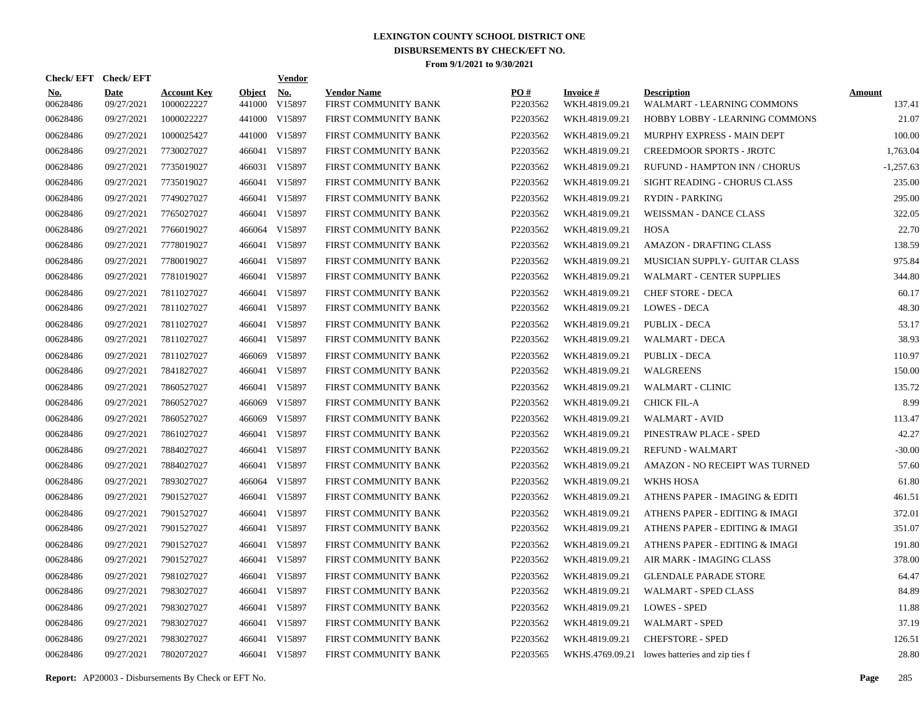| Check/EFT Check/EFT    |                           |                                  |                         | <b>Vendor</b> |                                            |                 |                                   |                                                  |                         |
|------------------------|---------------------------|----------------------------------|-------------------------|---------------|--------------------------------------------|-----------------|-----------------------------------|--------------------------------------------------|-------------------------|
| <u>No.</u><br>00628486 | <b>Date</b><br>09/27/2021 | <b>Account Key</b><br>1000022227 | <b>Object</b><br>441000 | No.<br>V15897 | <b>Vendor Name</b><br>FIRST COMMUNITY BANK | PO#<br>P2203562 | <b>Invoice#</b><br>WKH.4819.09.21 | <b>Description</b><br>WALMART - LEARNING COMMONS | <b>Amount</b><br>137.41 |
| 00628486               | 09/27/2021                | 1000022227                       |                         | 441000 V15897 | FIRST COMMUNITY BANK                       | P2203562        | WKH.4819.09.21                    | HOBBY LOBBY - LEARNING COMMONS                   | 21.07                   |
| 00628486               | 09/27/2021                | 1000025427                       |                         | 441000 V15897 | FIRST COMMUNITY BANK                       | P2203562        | WKH.4819.09.21                    | MURPHY EXPRESS - MAIN DEPT                       | 100.00                  |
| 00628486               | 09/27/2021                | 7730027027                       |                         | 466041 V15897 | FIRST COMMUNITY BANK                       | P2203562        | WKH.4819.09.21                    | <b>CREEDMOOR SPORTS - JROTC</b>                  | 1.763.04                |
| 00628486               | 09/27/2021                | 7735019027                       |                         | 466031 V15897 | FIRST COMMUNITY BANK                       | P2203562        | WKH.4819.09.21                    | RUFUND - HAMPTON INN / CHORUS                    | $-1,257.63$             |
| 00628486               | 09/27/2021                | 7735019027                       |                         | 466041 V15897 | FIRST COMMUNITY BANK                       | P2203562        | WKH.4819.09.21                    | SIGHT READING - CHORUS CLASS                     | 235.00                  |
| 00628486               | 09/27/2021                | 7749027027                       |                         | 466041 V15897 | FIRST COMMUNITY BANK                       | P2203562        | WKH.4819.09.21                    | <b>RYDIN - PARKING</b>                           | 295.00                  |
| 00628486               | 09/27/2021                | 7765027027                       |                         | 466041 V15897 | FIRST COMMUNITY BANK                       | P2203562        | WKH.4819.09.21                    | <b>WEISSMAN - DANCE CLASS</b>                    | 322.05                  |
| 00628486               | 09/27/2021                | 7766019027                       |                         | 466064 V15897 | FIRST COMMUNITY BANK                       | P2203562        | WKH.4819.09.21                    | <b>HOSA</b>                                      | 22.70                   |
| 00628486               | 09/27/2021                | 7778019027                       |                         | 466041 V15897 | FIRST COMMUNITY BANK                       | P2203562        | WKH.4819.09.21                    | <b>AMAZON - DRAFTING CLASS</b>                   | 138.59                  |
| 00628486               | 09/27/2021                | 7780019027                       |                         | 466041 V15897 | FIRST COMMUNITY BANK                       | P2203562        | WKH.4819.09.21                    | MUSICIAN SUPPLY- GUITAR CLASS                    | 975.84                  |
| 00628486               | 09/27/2021                | 7781019027                       |                         | 466041 V15897 | FIRST COMMUNITY BANK                       | P2203562        | WKH.4819.09.21                    | <b>WALMART - CENTER SUPPLIES</b>                 | 344.80                  |
| 00628486               | 09/27/2021                | 7811027027                       |                         | 466041 V15897 | FIRST COMMUNITY BANK                       | P2203562        | WKH.4819.09.21                    | <b>CHEF STORE - DECA</b>                         | 60.17                   |
| 00628486               | 09/27/2021                | 7811027027                       |                         | 466041 V15897 | FIRST COMMUNITY BANK                       | P2203562        | WKH.4819.09.21                    | LOWES - DECA                                     | 48.30                   |
| 00628486               | 09/27/2021                | 7811027027                       |                         | 466041 V15897 | FIRST COMMUNITY BANK                       | P2203562        | WKH.4819.09.21                    | <b>PUBLIX - DECA</b>                             | 53.17                   |
| 00628486               | 09/27/2021                | 7811027027                       |                         | 466041 V15897 | FIRST COMMUNITY BANK                       | P2203562        | WKH.4819.09.21                    | WALMART - DECA                                   | 38.93                   |
| 00628486               | 09/27/2021                | 7811027027                       |                         | 466069 V15897 | FIRST COMMUNITY BANK                       | P2203562        | WKH.4819.09.21                    | <b>PUBLIX - DECA</b>                             | 110.97                  |
| 00628486               | 09/27/2021                | 7841827027                       |                         | 466041 V15897 | FIRST COMMUNITY BANK                       | P2203562        | WKH.4819.09.21                    | <b>WALGREENS</b>                                 | 150.00                  |
| 00628486               | 09/27/2021                | 7860527027                       |                         | 466041 V15897 | FIRST COMMUNITY BANK                       | P2203562        | WKH.4819.09.21                    | <b>WALMART - CLINIC</b>                          | 135.72                  |
| 00628486               | 09/27/2021                | 7860527027                       |                         | 466069 V15897 | FIRST COMMUNITY BANK                       | P2203562        | WKH.4819.09.21                    | <b>CHICK FIL-A</b>                               | 8.99                    |
| 00628486               | 09/27/2021                | 7860527027                       |                         | 466069 V15897 | FIRST COMMUNITY BANK                       | P2203562        | WKH.4819.09.21                    | <b>WALMART - AVID</b>                            | 113.47                  |
| 00628486               | 09/27/2021                | 7861027027                       |                         | 466041 V15897 | FIRST COMMUNITY BANK                       | P2203562        | WKH.4819.09.21                    | PINESTRAW PLACE - SPED                           | 42.27                   |
| 00628486               | 09/27/2021                | 7884027027                       |                         | 466041 V15897 | FIRST COMMUNITY BANK                       | P2203562        | WKH.4819.09.21                    | <b>REFUND - WALMART</b>                          | $-30.00$                |
| 00628486               | 09/27/2021                | 7884027027                       |                         | 466041 V15897 | FIRST COMMUNITY BANK                       | P2203562        | WKH.4819.09.21                    | AMAZON - NO RECEIPT WAS TURNED                   | 57.60                   |
| 00628486               | 09/27/2021                | 7893027027                       |                         | 466064 V15897 | <b>FIRST COMMUNITY BANK</b>                | P2203562        | WKH.4819.09.21                    | WKHS HOSA                                        | 61.80                   |
| 00628486               | 09/27/2021                | 7901527027                       |                         | 466041 V15897 | FIRST COMMUNITY BANK                       | P2203562        | WKH.4819.09.21                    | ATHENS PAPER - IMAGING & EDITI                   | 461.51                  |
| 00628486               | 09/27/2021                | 7901527027                       |                         | 466041 V15897 | FIRST COMMUNITY BANK                       | P2203562        | WKH.4819.09.21                    | ATHENS PAPER - EDITING & IMAGI                   | 372.01                  |
| 00628486               | 09/27/2021                | 7901527027                       |                         | 466041 V15897 | FIRST COMMUNITY BANK                       | P2203562        | WKH.4819.09.21                    | ATHENS PAPER - EDITING & IMAGI                   | 351.07                  |
| 00628486               | 09/27/2021                | 7901527027                       |                         | 466041 V15897 | FIRST COMMUNITY BANK                       | P2203562        | WKH.4819.09.21                    | ATHENS PAPER - EDITING & IMAGI                   | 191.80                  |
| 00628486               | 09/27/2021                | 7901527027                       |                         | 466041 V15897 | FIRST COMMUNITY BANK                       | P2203562        | WKH.4819.09.21                    | AIR MARK - IMAGING CLASS                         | 378.00                  |
| 00628486               | 09/27/2021                | 7981027027                       |                         | 466041 V15897 | FIRST COMMUNITY BANK                       | P2203562        | WKH.4819.09.21                    | <b>GLENDALE PARADE STORE</b>                     | 64.47                   |
| 00628486               | 09/27/2021                | 7983027027                       |                         | 466041 V15897 | FIRST COMMUNITY BANK                       | P2203562        | WKH.4819.09.21                    | <b>WALMART - SPED CLASS</b>                      | 84.89                   |
| 00628486               | 09/27/2021                | 7983027027                       |                         | 466041 V15897 | FIRST COMMUNITY BANK                       | P2203562        | WKH.4819.09.21                    | <b>LOWES - SPED</b>                              | 11.88                   |
| 00628486               | 09/27/2021                | 7983027027                       |                         | 466041 V15897 | <b>FIRST COMMUNITY BANK</b>                | P2203562        | WKH.4819.09.21                    | <b>WALMART - SPED</b>                            | 37.19                   |
| 00628486               | 09/27/2021                | 7983027027                       |                         | 466041 V15897 | FIRST COMMUNITY BANK                       | P2203562        | WKH.4819.09.21                    | <b>CHEFSTORE - SPED</b>                          | 126.51                  |
| 00628486               | 09/27/2021                | 7802072027                       |                         | 466041 V15897 | <b>FIRST COMMUNITY BANK</b>                | P2203565        |                                   | WKHS.4769.09.21 lowes batteries and zip ties f   | 28.80                   |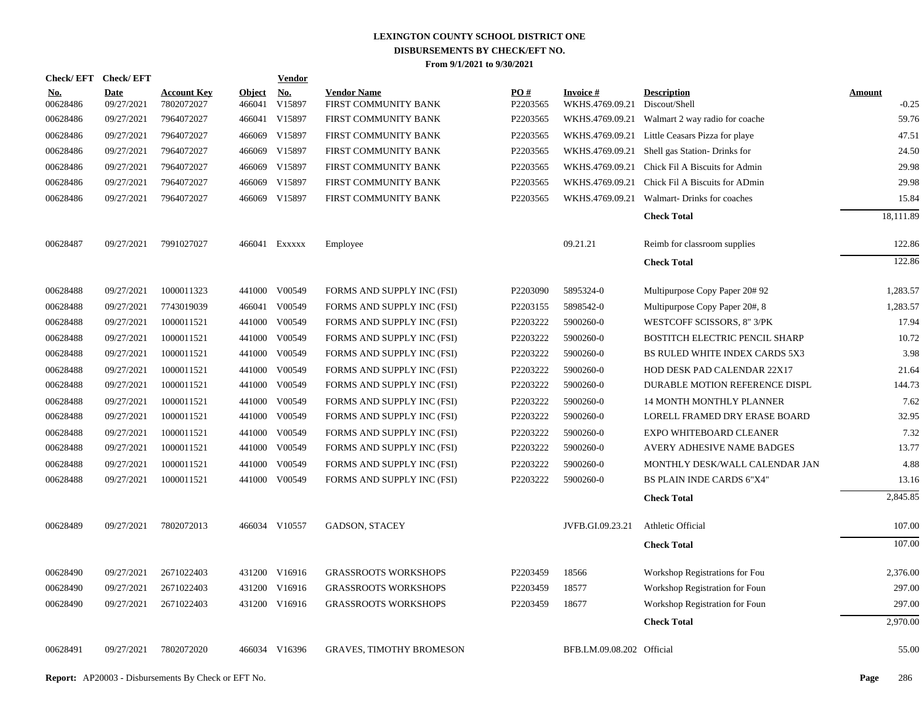| <b>Check/EFT</b>       | <b>Check/EFT</b>          |                                  |                         | <b>Vendor</b>        |                                            |                               |                                    |                                       |                          |
|------------------------|---------------------------|----------------------------------|-------------------------|----------------------|--------------------------------------------|-------------------------------|------------------------------------|---------------------------------------|--------------------------|
| <u>No.</u><br>00628486 | <b>Date</b><br>09/27/2021 | <b>Account Key</b><br>7802072027 | <b>Object</b><br>466041 | <u>No.</u><br>V15897 | <b>Vendor Name</b><br>FIRST COMMUNITY BANK | $\underline{PO#}$<br>P2203565 | <b>Invoice#</b><br>WKHS.4769.09.21 | <b>Description</b><br>Discout/Shell   | <b>Amount</b><br>$-0.25$ |
| 00628486               | 09/27/2021                | 7964072027                       | 466041                  | V15897               | FIRST COMMUNITY BANK                       | P2203565                      | WKHS.4769.09.21                    | Walmart 2 way radio for coache        | 59.76                    |
| 00628486               | 09/27/2021                | 7964072027                       | 466069                  | V15897               | FIRST COMMUNITY BANK                       | P2203565                      | WKHS.4769.09.21                    | Little Ceasars Pizza for playe        | 47.51                    |
| 00628486               | 09/27/2021                | 7964072027                       | 466069                  | V15897               | FIRST COMMUNITY BANK                       | P2203565                      | WKHS.4769.09.21                    | Shell gas Station- Drinks for         | 24.50                    |
| 00628486               | 09/27/2021                | 7964072027                       | 466069                  | V15897               | FIRST COMMUNITY BANK                       | P2203565                      | WKHS.4769.09.21                    | Chick Fil A Biscuits for Admin        | 29.98                    |
| 00628486               | 09/27/2021                | 7964072027                       | 466069                  | V15897               | FIRST COMMUNITY BANK                       | P2203565                      | WKHS.4769.09.21                    | Chick Fil A Biscuits for ADmin        | 29.98                    |
| 00628486               | 09/27/2021                | 7964072027                       | 466069                  | V15897               | FIRST COMMUNITY BANK                       | P2203565                      | WKHS.4769.09.21                    | Walmart-Drinks for coaches            | 15.84                    |
|                        |                           |                                  |                         |                      |                                            |                               |                                    | <b>Check Total</b>                    | 18,111.89                |
| 00628487               | 09/27/2021                | 7991027027                       |                         | 466041 Exxxxx        | Employee                                   |                               | 09.21.21                           | Reimb for classroom supplies          | 122.86                   |
|                        |                           |                                  |                         |                      |                                            |                               |                                    | <b>Check Total</b>                    | 122.86                   |
| 00628488               | 09/27/2021                | 1000011323                       | 441000                  | V00549               | FORMS AND SUPPLY INC (FSI)                 | P2203090                      | 5895324-0                          | Multipurpose Copy Paper 20#92         | 1,283.57                 |
| 00628488               | 09/27/2021                | 7743019039                       |                         | 466041 V00549        | FORMS AND SUPPLY INC (FSI)                 | P2203155                      | 5898542-0                          | Multipurpose Copy Paper 20#, 8        | 1,283.57                 |
| 00628488               | 09/27/2021                | 1000011521                       | 441000                  | V00549               | FORMS AND SUPPLY INC (FSI)                 | P2203222                      | 5900260-0                          | WESTCOFF SCISSORS, 8" 3/PK            | 17.94                    |
| 00628488               | 09/27/2021                | 1000011521                       | 441000                  | V00549               | FORMS AND SUPPLY INC (FSI)                 | P2203222                      | 5900260-0                          | <b>BOSTITCH ELECTRIC PENCIL SHARP</b> | 10.72                    |
| 00628488               | 09/27/2021                | 1000011521                       | 441000                  | V00549               | FORMS AND SUPPLY INC (FSI)                 | P2203222                      | 5900260-0                          | BS RULED WHITE INDEX CARDS 5X3        | 3.98                     |
| 00628488               | 09/27/2021                | 1000011521                       | 441000                  | V00549               | FORMS AND SUPPLY INC (FSI)                 | P2203222                      | 5900260-0                          | HOD DESK PAD CALENDAR 22X17           | 21.64                    |
| 00628488               | 09/27/2021                | 1000011521                       | 441000                  | V00549               | FORMS AND SUPPLY INC (FSI)                 | P2203222                      | 5900260-0                          | DURABLE MOTION REFERENCE DISPL        | 144.73                   |
| 00628488               | 09/27/2021                | 1000011521                       | 441000                  | V00549               | FORMS AND SUPPLY INC (FSI)                 | P2203222                      | 5900260-0                          | <b>14 MONTH MONTHLY PLANNER</b>       | 7.62                     |
| 00628488               | 09/27/2021                | 1000011521                       | 441000                  | V00549               | FORMS AND SUPPLY INC (FSI)                 | P2203222                      | 5900260-0                          | LORELL FRAMED DRY ERASE BOARD         | 32.95                    |
| 00628488               | 09/27/2021                | 1000011521                       | 441000                  | V00549               | FORMS AND SUPPLY INC (FSI)                 | P2203222                      | 5900260-0                          | EXPO WHITEBOARD CLEANER               | 7.32                     |
| 00628488               | 09/27/2021                | 1000011521                       | 441000                  | V00549               | FORMS AND SUPPLY INC (FSI)                 | P2203222                      | 5900260-0                          | AVERY ADHESIVE NAME BADGES            | 13.77                    |
| 00628488               | 09/27/2021                | 1000011521                       | 441000                  | V00549               | FORMS AND SUPPLY INC (FSI)                 | P2203222                      | 5900260-0                          | MONTHLY DESK/WALL CALENDAR JAN        | 4.88                     |
| 00628488               | 09/27/2021                | 1000011521                       | 441000                  | V00549               | FORMS AND SUPPLY INC (FSI)                 | P2203222                      | 5900260-0                          | BS PLAIN INDE CARDS 6"X4"             | 13.16                    |
|                        |                           |                                  |                         |                      |                                            |                               |                                    | <b>Check Total</b>                    | 2,845.85                 |
| 00628489               | 09/27/2021                | 7802072013                       |                         | 466034 V10557        | <b>GADSON, STACEY</b>                      |                               | JVFB.GI.09.23.21                   | Athletic Official                     | 107.00                   |
|                        |                           |                                  |                         |                      |                                            |                               |                                    | <b>Check Total</b>                    | 107.00                   |
| 00628490               | 09/27/2021                | 2671022403                       | 431200                  | V16916               | <b>GRASSROOTS WORKSHOPS</b>                | P2203459                      | 18566                              | Workshop Registrations for Fou        | 2,376.00                 |
| 00628490               | 09/27/2021                | 2671022403                       | 431200                  | V16916               | <b>GRASSROOTS WORKSHOPS</b>                | P2203459                      | 18577                              | Workshop Registration for Foun        | 297.00                   |
| 00628490               | 09/27/2021                | 2671022403                       |                         | 431200 V16916        | <b>GRASSROOTS WORKSHOPS</b>                | P2203459                      | 18677                              | Workshop Registration for Foun        | 297.00                   |
|                        |                           |                                  |                         |                      |                                            |                               |                                    | <b>Check Total</b>                    | 2,970.00                 |
| 00628491               | 09/27/2021                | 7802072020                       |                         | 466034 V16396        | <b>GRAVES, TIMOTHY BROMESON</b>            |                               | BFB.LM.09.08.202 Official          |                                       | 55.00                    |
|                        |                           |                                  |                         |                      |                                            |                               |                                    |                                       |                          |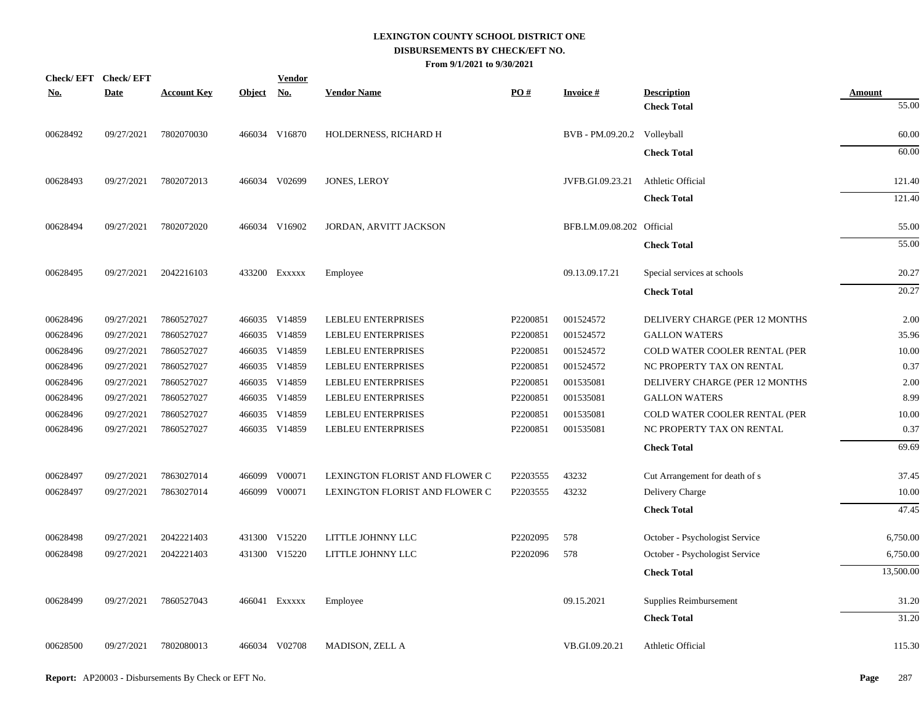|            | <b>Check/EFT</b><br><b>Check/EFT</b> |                    |               | <b>Vendor</b>             |                                |          |                             |                                |               |
|------------|--------------------------------------|--------------------|---------------|---------------------------|--------------------------------|----------|-----------------------------|--------------------------------|---------------|
| <u>No.</u> | <b>Date</b>                          | <b>Account Key</b> | <b>Object</b> | $\underline{\mathrm{No}}$ | <b>Vendor Name</b>             | PO#      | <b>Invoice#</b>             | <b>Description</b>             | <b>Amount</b> |
|            |                                      |                    |               |                           |                                |          |                             | <b>Check Total</b>             | 55.00         |
| 00628492   | 09/27/2021                           | 7802070030         |               | 466034 V16870             | HOLDERNESS, RICHARD H          |          | BVB - PM.09.20.2 Volleyball |                                | 60.00         |
|            |                                      |                    |               |                           |                                |          |                             | <b>Check Total</b>             | 60.00         |
| 00628493   | 09/27/2021                           | 7802072013         |               | 466034 V02699             | JONES, LEROY                   |          | JVFB.GI.09.23.21            | Athletic Official              | 121.40        |
|            |                                      |                    |               |                           |                                |          |                             | <b>Check Total</b>             | 121.40        |
| 00628494   | 09/27/2021                           | 7802072020         |               | 466034 V16902             | JORDAN, ARVITT JACKSON         |          | BFB.LM.09.08.202 Official   |                                | 55.00         |
|            |                                      |                    |               |                           |                                |          |                             | <b>Check Total</b>             | 55.00         |
| 00628495   | 09/27/2021                           | 2042216103         |               | 433200 EXXXXX             | Employee                       |          | 09.13.09.17.21              | Special services at schools    | 20.27         |
|            |                                      |                    |               |                           |                                |          |                             | <b>Check Total</b>             | 20.27         |
| 00628496   | 09/27/2021                           | 7860527027         |               | 466035 V14859             | <b>LEBLEU ENTERPRISES</b>      | P2200851 | 001524572                   | DELIVERY CHARGE (PER 12 MONTHS | 2.00          |
| 00628496   | 09/27/2021                           | 7860527027         |               | 466035 V14859             | LEBLEU ENTERPRISES             | P2200851 | 001524572                   | <b>GALLON WATERS</b>           | 35.96         |
| 00628496   | 09/27/2021                           | 7860527027         |               | 466035 V14859             | LEBLEU ENTERPRISES             | P2200851 | 001524572                   | COLD WATER COOLER RENTAL (PER  | 10.00         |
| 00628496   | 09/27/2021                           | 7860527027         |               | 466035 V14859             | LEBLEU ENTERPRISES             | P2200851 | 001524572                   | NC PROPERTY TAX ON RENTAL      | 0.37          |
| 00628496   | 09/27/2021                           | 7860527027         |               | 466035 V14859             | LEBLEU ENTERPRISES             | P2200851 | 001535081                   | DELIVERY CHARGE (PER 12 MONTHS | 2.00          |
| 00628496   | 09/27/2021                           | 7860527027         |               | 466035 V14859             | LEBLEU ENTERPRISES             | P2200851 | 001535081                   | <b>GALLON WATERS</b>           | 8.99          |
| 00628496   | 09/27/2021                           | 7860527027         |               | 466035 V14859             | LEBLEU ENTERPRISES             | P2200851 | 001535081                   | COLD WATER COOLER RENTAL (PER  | 10.00         |
| 00628496   | 09/27/2021                           | 7860527027         |               | 466035 V14859             | LEBLEU ENTERPRISES             | P2200851 | 001535081                   | NC PROPERTY TAX ON RENTAL      | 0.37          |
|            |                                      |                    |               |                           |                                |          |                             | <b>Check Total</b>             | 69.69         |
| 00628497   | 09/27/2021                           | 7863027014         |               | 466099 V00071             | LEXINGTON FLORIST AND FLOWER C | P2203555 | 43232                       | Cut Arrangement for death of s | 37.45         |
| 00628497   | 09/27/2021                           | 7863027014         |               | 466099 V00071             | LEXINGTON FLORIST AND FLOWER C | P2203555 | 43232                       | Delivery Charge                | 10.00         |
|            |                                      |                    |               |                           |                                |          |                             | <b>Check Total</b>             | 47.45         |
| 00628498   | 09/27/2021                           | 2042221403         |               | 431300 V15220             | LITTLE JOHNNY LLC              | P2202095 | 578                         | October - Psychologist Service | 6,750.00      |
| 00628498   | 09/27/2021                           | 2042221403         |               | 431300 V15220             | LITTLE JOHNNY LLC              | P2202096 | 578                         | October - Psychologist Service | 6,750.00      |
|            |                                      |                    |               |                           |                                |          |                             | <b>Check Total</b>             | 13,500.00     |
| 00628499   | 09/27/2021                           | 7860527043         |               | 466041 Exxxxx             | Employee                       |          | 09.15.2021                  | Supplies Reimbursement         | 31.20         |
|            |                                      |                    |               |                           |                                |          |                             | <b>Check Total</b>             | 31.20         |
| 00628500   | 09/27/2021                           | 7802080013         |               | 466034 V02708             | MADISON, ZELL A                |          | VB.GI.09.20.21              | Athletic Official              | 115.30        |
|            |                                      |                    |               |                           |                                |          |                             |                                |               |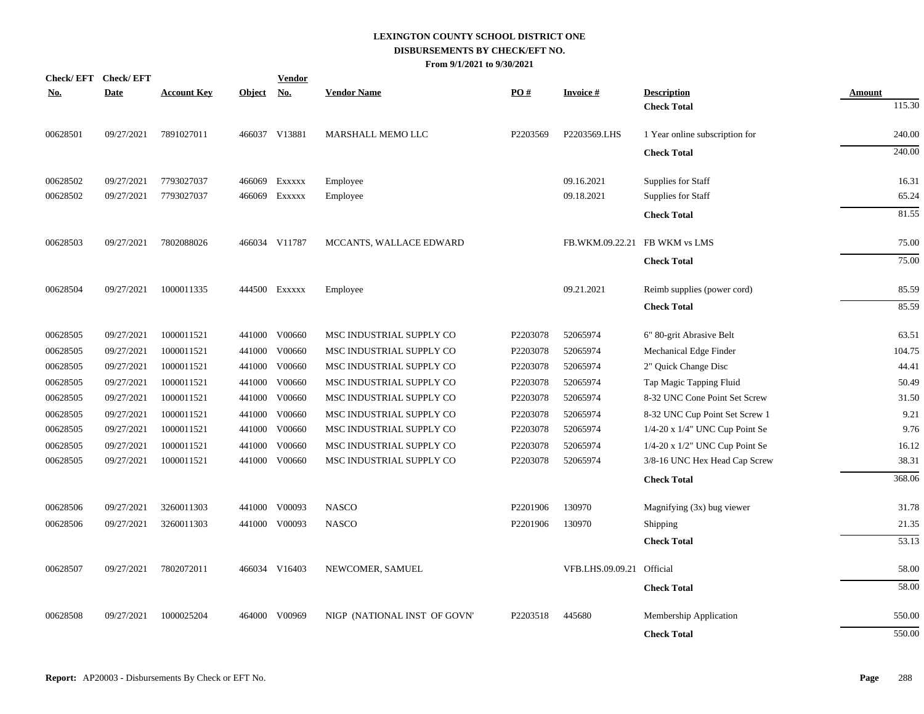| <u>No.</u> | Check/EFT Check/EFT<br><b>Date</b> | <b>Account Key</b> | <b>Object</b> | <b>Vendor</b><br><b>No.</b> | <b>Vendor Name</b>           | PO#      | <b>Invoice#</b>           | <b>Description</b>                   | <b>Amount</b> |
|------------|------------------------------------|--------------------|---------------|-----------------------------|------------------------------|----------|---------------------------|--------------------------------------|---------------|
|            |                                    |                    |               |                             |                              |          |                           | <b>Check Total</b>                   | 115.30        |
| 00628501   | 09/27/2021                         | 7891027011         |               | 466037 V13881               | MARSHALL MEMO LLC            | P2203569 | P2203569.LHS              | 1 Year online subscription for       | 240.00        |
|            |                                    |                    |               |                             |                              |          |                           | <b>Check Total</b>                   | 240.00        |
| 00628502   | 09/27/2021                         | 7793027037         | 466069        | EXXXXX                      | Employee                     |          | 09.16.2021                | Supplies for Staff                   | 16.31         |
| 00628502   | 09/27/2021                         | 7793027037         | 466069        | EXXXXX                      | Employee                     |          | 09.18.2021                | Supplies for Staff                   | 65.24         |
|            |                                    |                    |               |                             |                              |          |                           | <b>Check Total</b>                   | 81.55         |
| 00628503   | 09/27/2021                         | 7802088026         |               | 466034 V11787               | MCCANTS, WALLACE EDWARD      |          | FB.WKM.09.22.21           | FB WKM vs LMS                        | 75.00         |
|            |                                    |                    |               |                             |                              |          |                           | <b>Check Total</b>                   | 75.00         |
| 00628504   | 09/27/2021                         | 1000011335         |               | 444500 Exxxxx               | Employee                     |          | 09.21.2021                | Reimb supplies (power cord)          | 85.59         |
|            |                                    |                    |               |                             |                              |          |                           | <b>Check Total</b>                   | 85.59         |
| 00628505   | 09/27/2021                         | 1000011521         |               | 441000 V00660               | MSC INDUSTRIAL SUPPLY CO     | P2203078 | 52065974                  | 6" 80-grit Abrasive Belt             | 63.51         |
| 00628505   | 09/27/2021                         | 1000011521         | 441000        | V00660                      | MSC INDUSTRIAL SUPPLY CO     | P2203078 | 52065974                  | Mechanical Edge Finder               | 104.75        |
| 00628505   | 09/27/2021                         | 1000011521         | 441000        | V00660                      | MSC INDUSTRIAL SUPPLY CO     | P2203078 | 52065974                  | 2" Quick Change Disc                 | 44.41         |
| 00628505   | 09/27/2021                         | 1000011521         | 441000        | V00660                      | MSC INDUSTRIAL SUPPLY CO     | P2203078 | 52065974                  | Tap Magic Tapping Fluid              | 50.49         |
| 00628505   | 09/27/2021                         | 1000011521         | 441000        | V00660                      | MSC INDUSTRIAL SUPPLY CO     | P2203078 | 52065974                  | 8-32 UNC Cone Point Set Screw        | 31.50         |
| 00628505   | 09/27/2021                         | 1000011521         |               | 441000 V00660               | MSC INDUSTRIAL SUPPLY CO     | P2203078 | 52065974                  | 8-32 UNC Cup Point Set Screw 1       | 9.21          |
| 00628505   | 09/27/2021                         | 1000011521         |               | 441000 V00660               | MSC INDUSTRIAL SUPPLY CO     | P2203078 | 52065974                  | $1/4$ -20 x $1/4$ " UNC Cup Point Se | 9.76          |
| 00628505   | 09/27/2021                         | 1000011521         | 441000        | V00660                      | MSC INDUSTRIAL SUPPLY CO     | P2203078 | 52065974                  | 1/4-20 x 1/2" UNC Cup Point Se       | 16.12         |
| 00628505   | 09/27/2021                         | 1000011521         |               | 441000 V00660               | MSC INDUSTRIAL SUPPLY CO     | P2203078 | 52065974                  | 3/8-16 UNC Hex Head Cap Screw        | 38.31         |
|            |                                    |                    |               |                             |                              |          |                           | <b>Check Total</b>                   | 368.06        |
| 00628506   | 09/27/2021                         | 3260011303         |               | 441000 V00093               | <b>NASCO</b>                 | P2201906 | 130970                    | Magnifying (3x) bug viewer           | 31.78         |
| 00628506   | 09/27/2021                         | 3260011303         |               | 441000 V00093               | <b>NASCO</b>                 | P2201906 | 130970                    | Shipping                             | 21.35         |
|            |                                    |                    |               |                             |                              |          |                           | <b>Check Total</b>                   | 53.13         |
| 00628507   | 09/27/2021                         | 7802072011         |               | 466034 V16403               | NEWCOMER, SAMUEL             |          | VFB.LHS.09.09.21 Official |                                      | 58.00         |
|            |                                    |                    |               |                             |                              |          |                           | <b>Check Total</b>                   | 58.00         |
| 00628508   | 09/27/2021                         | 1000025204         | 464000        | V00969                      | NIGP (NATIONAL INST OF GOVN' | P2203518 | 445680                    | Membership Application               | 550.00        |
|            |                                    |                    |               |                             |                              |          |                           | <b>Check Total</b>                   | 550.00        |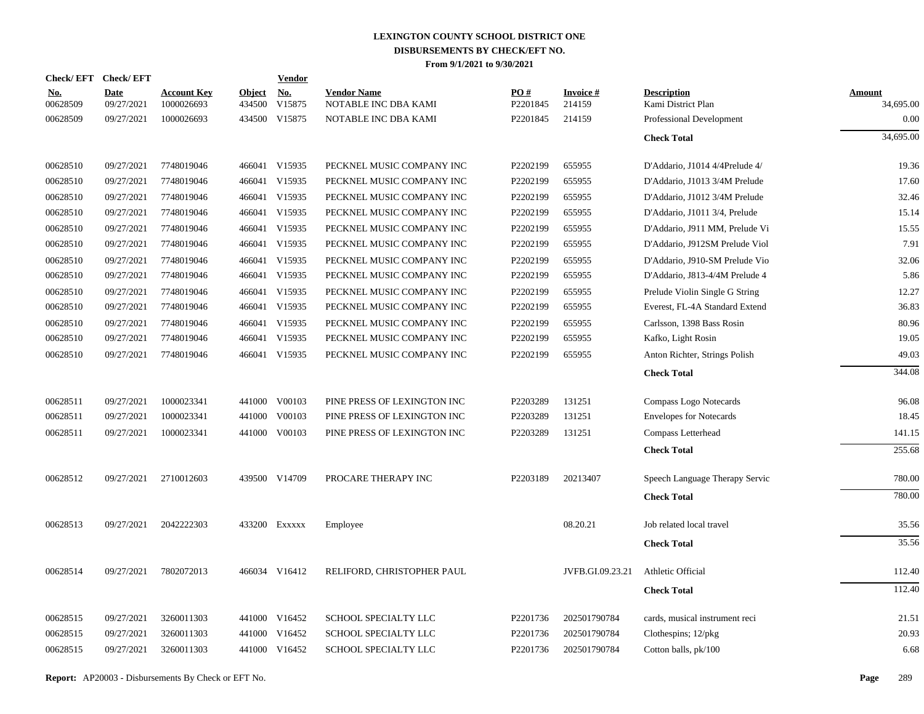| <b>Check/EFT</b>       | <b>Check/EFT</b>          |                                  |                         | <b>Vendor</b> |                                            |                 |                           |                                          |                            |
|------------------------|---------------------------|----------------------------------|-------------------------|---------------|--------------------------------------------|-----------------|---------------------------|------------------------------------------|----------------------------|
| <u>No.</u><br>00628509 | <b>Date</b><br>09/27/2021 | <b>Account Key</b><br>1000026693 | <b>Object</b><br>434500 | No.<br>V15875 | <b>Vendor Name</b><br>NOTABLE INC DBA KAMI | PO#<br>P2201845 | <b>Invoice#</b><br>214159 | <b>Description</b><br>Kami District Plan | <b>Amount</b><br>34,695.00 |
| 00628509               | 09/27/2021                | 1000026693                       | 434500                  | V15875        | NOTABLE INC DBA KAMI                       | P2201845        | 214159                    | Professional Development                 | 0.00                       |
|                        |                           |                                  |                         |               |                                            |                 |                           | <b>Check Total</b>                       | 34,695.00                  |
| 00628510               | 09/27/2021                | 7748019046                       |                         | 466041 V15935 | PECKNEL MUSIC COMPANY INC                  | P2202199        | 655955                    | D'Addario, J1014 4/4Prelude 4/           | 19.36                      |
| 00628510               | 09/27/2021                | 7748019046                       |                         | 466041 V15935 | PECKNEL MUSIC COMPANY INC                  | P2202199        | 655955                    | D'Addario, J1013 3/4M Prelude            | 17.60                      |
| 00628510               | 09/27/2021                | 7748019046                       | 466041                  | V15935        | PECKNEL MUSIC COMPANY INC                  | P2202199        | 655955                    | D'Addario, J1012 3/4M Prelude            | 32.46                      |
| 00628510               | 09/27/2021                | 7748019046                       |                         | 466041 V15935 | PECKNEL MUSIC COMPANY INC                  | P2202199        | 655955                    | D'Addario, J1011 3/4, Prelude            | 15.14                      |
| 00628510               | 09/27/2021                | 7748019046                       | 466041                  | V15935        | PECKNEL MUSIC COMPANY INC                  | P2202199        | 655955                    | D'Addario, J911 MM, Prelude Vi           | 15.55                      |
| 00628510               | 09/27/2021                | 7748019046                       |                         | 466041 V15935 | PECKNEL MUSIC COMPANY INC                  | P2202199        | 655955                    | D'Addario, J912SM Prelude Viol           | 7.91                       |
| 00628510               | 09/27/2021                | 7748019046                       | 466041                  | V15935        | PECKNEL MUSIC COMPANY INC                  | P2202199        | 655955                    | D'Addario, J910-SM Prelude Vio           | 32.06                      |
| 00628510               | 09/27/2021                | 7748019046                       |                         | 466041 V15935 | PECKNEL MUSIC COMPANY INC                  | P2202199        | 655955                    | D'Addario, J813-4/4M Prelude 4           | 5.86                       |
| 00628510               | 09/27/2021                | 7748019046                       | 466041                  | V15935        | PECKNEL MUSIC COMPANY INC                  | P2202199        | 655955                    | Prelude Violin Single G String           | 12.27                      |
| 00628510               | 09/27/2021                | 7748019046                       |                         | 466041 V15935 | PECKNEL MUSIC COMPANY INC                  | P2202199        | 655955                    | Everest, FL-4A Standard Extend           | 36.83                      |
| 00628510               | 09/27/2021                | 7748019046                       | 466041                  | V15935        | PECKNEL MUSIC COMPANY INC                  | P2202199        | 655955                    | Carlsson, 1398 Bass Rosin                | 80.96                      |
| 00628510               | 09/27/2021                | 7748019046                       |                         | 466041 V15935 | PECKNEL MUSIC COMPANY INC                  | P2202199        | 655955                    | Kafko, Light Rosin                       | 19.05                      |
| 00628510               | 09/27/2021                | 7748019046                       |                         | 466041 V15935 | PECKNEL MUSIC COMPANY INC                  | P2202199        | 655955                    | Anton Richter, Strings Polish            | 49.03                      |
|                        |                           |                                  |                         |               |                                            |                 |                           | <b>Check Total</b>                       | 344.08                     |
| 00628511               | 09/27/2021                | 1000023341                       |                         | 441000 V00103 | PINE PRESS OF LEXINGTON INC                | P2203289        | 131251                    | Compass Logo Notecards                   | 96.08                      |
| 00628511               | 09/27/2021                | 1000023341                       | 441000                  | V00103        | PINE PRESS OF LEXINGTON INC                | P2203289        | 131251                    | <b>Envelopes for Notecards</b>           | 18.45                      |
| 00628511               | 09/27/2021                | 1000023341                       |                         | 441000 V00103 | PINE PRESS OF LEXINGTON INC                | P2203289        | 131251                    | Compass Letterhead                       | 141.15                     |
|                        |                           |                                  |                         |               |                                            |                 |                           | <b>Check Total</b>                       | 255.68                     |
| 00628512               | 09/27/2021                | 2710012603                       |                         | 439500 V14709 | PROCARE THERAPY INC                        | P2203189        | 20213407                  | Speech Language Therapy Servic           | 780.00                     |
|                        |                           |                                  |                         |               |                                            |                 |                           | <b>Check Total</b>                       | 780.00                     |
| 00628513               | 09/27/2021                | 2042222303                       |                         | 433200 Exxxxx | Employee                                   |                 | 08.20.21                  | Job related local travel                 | 35.56                      |
|                        |                           |                                  |                         |               |                                            |                 |                           | <b>Check Total</b>                       | 35.56                      |
| 00628514               | 09/27/2021                | 7802072013                       |                         | 466034 V16412 | RELIFORD, CHRISTOPHER PAUL                 |                 | JVFB.GI.09.23.21          | Athletic Official                        | 112.40                     |
|                        |                           |                                  |                         |               |                                            |                 |                           | <b>Check Total</b>                       | 112.40                     |
| 00628515               | 09/27/2021                | 3260011303                       | 441000                  | V16452        | SCHOOL SPECIALTY LLC                       | P2201736        | 202501790784              | cards, musical instrument reci           | 21.51                      |
| 00628515               | 09/27/2021                | 3260011303                       | 441000                  | V16452        | SCHOOL SPECIALTY LLC                       | P2201736        | 202501790784              | Clothespins; $12/\text{pkg}$             | 20.93                      |
| 00628515               | 09/27/2021                | 3260011303                       |                         | 441000 V16452 | SCHOOL SPECIALTY LLC                       | P2201736        | 202501790784              | Cotton balls, pk/100                     | 6.68                       |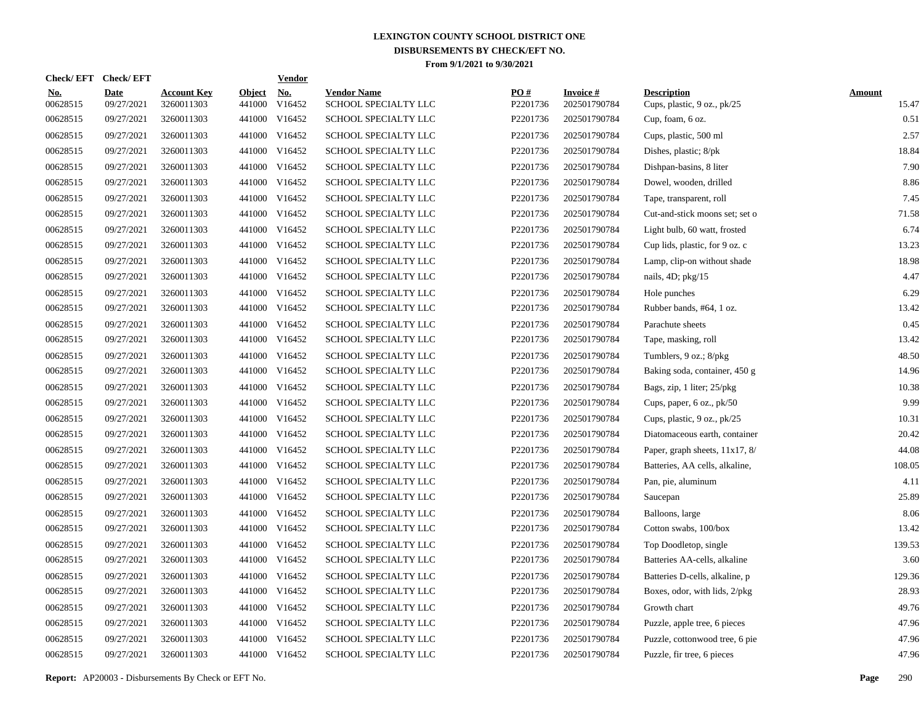| <b>Check/EFT</b>       | <b>Check/EFT</b>          |                                  |                         | <b>Vendor</b>        |                                            |                 |                                 |                                                   |                        |
|------------------------|---------------------------|----------------------------------|-------------------------|----------------------|--------------------------------------------|-----------------|---------------------------------|---------------------------------------------------|------------------------|
| <u>No.</u><br>00628515 | <b>Date</b><br>09/27/2021 | <b>Account Key</b><br>3260011303 | <b>Object</b><br>441000 | <u>No.</u><br>V16452 | <b>Vendor Name</b><br>SCHOOL SPECIALTY LLC | PO#<br>P2201736 | <b>Invoice#</b><br>202501790784 | <b>Description</b><br>Cups, plastic, 9 oz., pk/25 | <b>Amount</b><br>15.47 |
| 00628515               | 09/27/2021                | 3260011303                       | 441000                  | V16452               | SCHOOL SPECIALTY LLC                       | P2201736        | 202501790784                    | Cup, foam, 6 oz.                                  | 0.51                   |
| 00628515               | 09/27/2021                | 3260011303                       | 441000                  | V16452               | SCHOOL SPECIALTY LLC                       | P2201736        | 202501790784                    | Cups, plastic, 500 ml                             | 2.57                   |
| 00628515               | 09/27/2021                | 3260011303                       | 441000                  | V16452               | <b>SCHOOL SPECIALTY LLC</b>                | P2201736        | 202501790784                    | Dishes, plastic; 8/pk                             | 18.84                  |
| 00628515               | 09/27/2021                | 3260011303                       | 441000                  | V16452               | SCHOOL SPECIALTY LLC                       | P2201736        | 202501790784                    | Dishpan-basins, 8 liter                           | 7.90                   |
| 00628515               | 09/27/2021                | 3260011303                       |                         | 441000 V16452        | SCHOOL SPECIALTY LLC                       | P2201736        | 202501790784                    | Dowel, wooden, drilled                            | 8.86                   |
| 00628515               | 09/27/2021                | 3260011303                       | 441000                  | V16452               | SCHOOL SPECIALTY LLC                       | P2201736        | 202501790784                    | Tape, transparent, roll                           | 7.45                   |
| 00628515               | 09/27/2021                | 3260011303                       |                         | 441000 V16452        | SCHOOL SPECIALTY LLC                       | P2201736        | 202501790784                    | Cut-and-stick moons set; set o                    | 71.58                  |
| 00628515               | 09/27/2021                | 3260011303                       |                         | 441000 V16452        | SCHOOL SPECIALTY LLC                       | P2201736        | 202501790784                    | Light bulb, 60 watt, frosted                      | 6.74                   |
| 00628515               | 09/27/2021                | 3260011303                       |                         | 441000 V16452        | SCHOOL SPECIALTY LLC                       | P2201736        | 202501790784                    | Cup lids, plastic, for 9 oz. c                    | 13.23                  |
| 00628515               | 09/27/2021                | 3260011303                       |                         | 441000 V16452        | SCHOOL SPECIALTY LLC                       | P2201736        | 202501790784                    | Lamp, clip-on without shade                       | 18.98                  |
| 00628515               | 09/27/2021                | 3260011303                       |                         | 441000 V16452        | SCHOOL SPECIALTY LLC                       | P2201736        | 202501790784                    | nails, 4D; pkg/15                                 | 4.47                   |
| 00628515               | 09/27/2021                | 3260011303                       |                         | 441000 V16452        | <b>SCHOOL SPECIALTY LLC</b>                | P2201736        | 202501790784                    | Hole punches                                      | 6.29                   |
| 00628515               | 09/27/2021                | 3260011303                       |                         | 441000 V16452        | SCHOOL SPECIALTY LLC                       | P2201736        | 202501790784                    | Rubber bands, #64, 1 oz.                          | 13.42                  |
| 00628515               | 09/27/2021                | 3260011303                       | 441000                  | V16452               | SCHOOL SPECIALTY LLC                       | P2201736        | 202501790784                    | Parachute sheets                                  | 0.45                   |
| 00628515               | 09/27/2021                | 3260011303                       |                         | 441000 V16452        | SCHOOL SPECIALTY LLC                       | P2201736        | 202501790784                    | Tape, masking, roll                               | 13.42                  |
| 00628515               | 09/27/2021                | 3260011303                       | 441000                  | V16452               | SCHOOL SPECIALTY LLC                       | P2201736        | 202501790784                    | Tumblers, 9 oz.; 8/pkg                            | 48.50                  |
| 00628515               | 09/27/2021                | 3260011303                       |                         | 441000 V16452        | SCHOOL SPECIALTY LLC                       | P2201736        | 202501790784                    | Baking soda, container, 450 g                     | 14.96                  |
| 00628515               | 09/27/2021                | 3260011303                       | 441000                  | V16452               | SCHOOL SPECIALTY LLC                       | P2201736        | 202501790784                    | Bags, zip, 1 liter; 25/pkg                        | 10.38                  |
| 00628515               | 09/27/2021                | 3260011303                       |                         | 441000 V16452        | <b>SCHOOL SPECIALTY LLC</b>                | P2201736        | 202501790784                    | Cups, paper, 6 oz., pk/50                         | 9.99                   |
| 00628515               | 09/27/2021                | 3260011303                       | 441000                  | V16452               | <b>SCHOOL SPECIALTY LLC</b>                | P2201736        | 202501790784                    | Cups, plastic, 9 oz., pk/25                       | 10.31                  |
| 00628515               | 09/27/2021                | 3260011303                       |                         | 441000 V16452        | SCHOOL SPECIALTY LLC                       | P2201736        | 202501790784                    | Diatomaceous earth, container                     | 20.42                  |
| 00628515               | 09/27/2021                | 3260011303                       | 441000                  | V16452               | SCHOOL SPECIALTY LLC                       | P2201736        | 202501790784                    | Paper, graph sheets, $11x17$ , $8/$               | 44.08                  |
| 00628515               | 09/27/2021                | 3260011303                       | 441000                  | V16452               | SCHOOL SPECIALTY LLC                       | P2201736        | 202501790784                    | Batteries, AA cells, alkaline,                    | 108.05                 |
| 00628515               | 09/27/2021                | 3260011303                       | 441000                  | V16452               | SCHOOL SPECIALTY LLC                       | P2201736        | 202501790784                    | Pan, pie, aluminum                                | 4.11                   |
| 00628515               | 09/27/2021                | 3260011303                       | 441000                  | V16452               | SCHOOL SPECIALTY LLC                       | P2201736        | 202501790784                    | Saucepan                                          | 25.89                  |
| 00628515               | 09/27/2021                | 3260011303                       | 441000                  | V16452               | SCHOOL SPECIALTY LLC                       | P2201736        | 202501790784                    | Balloons, large                                   | 8.06                   |
| 00628515               | 09/27/2021                | 3260011303                       | 441000                  | V16452               | <b>SCHOOL SPECIALTY LLC</b>                | P2201736        | 202501790784                    | Cotton swabs, 100/box                             | 13.42                  |
| 00628515               | 09/27/2021                | 3260011303                       | 441000                  | V16452               | <b>SCHOOL SPECIALTY LLC</b>                | P2201736        | 202501790784                    | Top Doodletop, single                             | 139.53                 |
| 00628515               | 09/27/2021                | 3260011303                       | 441000                  | V16452               | SCHOOL SPECIALTY LLC                       | P2201736        | 202501790784                    | Batteries AA-cells, alkaline                      | 3.60                   |
| 00628515               | 09/27/2021                | 3260011303                       | 441000                  | V16452               | SCHOOL SPECIALTY LLC                       | P2201736        | 202501790784                    | Batteries D-cells, alkaline, p                    | 129.36                 |
| 00628515               | 09/27/2021                | 3260011303                       | 441000                  | V16452               | SCHOOL SPECIALTY LLC                       | P2201736        | 202501790784                    | Boxes, odor, with lids, 2/pkg                     | 28.93                  |
| 00628515               | 09/27/2021                | 3260011303                       | 441000                  | V16452               | SCHOOL SPECIALTY LLC                       | P2201736        | 202501790784                    | Growth chart                                      | 49.76                  |
| 00628515               | 09/27/2021                | 3260011303                       | 441000                  | V16452               | SCHOOL SPECIALTY LLC                       | P2201736        | 202501790784                    | Puzzle, apple tree, 6 pieces                      | 47.96                  |
| 00628515               | 09/27/2021                | 3260011303                       | 441000                  | V16452               | SCHOOL SPECIALTY LLC                       | P2201736        | 202501790784                    | Puzzle, cottonwood tree, 6 pie                    | 47.96                  |
| 00628515               | 09/27/2021                | 3260011303                       |                         | 441000 V16452        | SCHOOL SPECIALTY LLC                       | P2201736        | 202501790784                    | Puzzle, fir tree, 6 pieces                        | 47.96                  |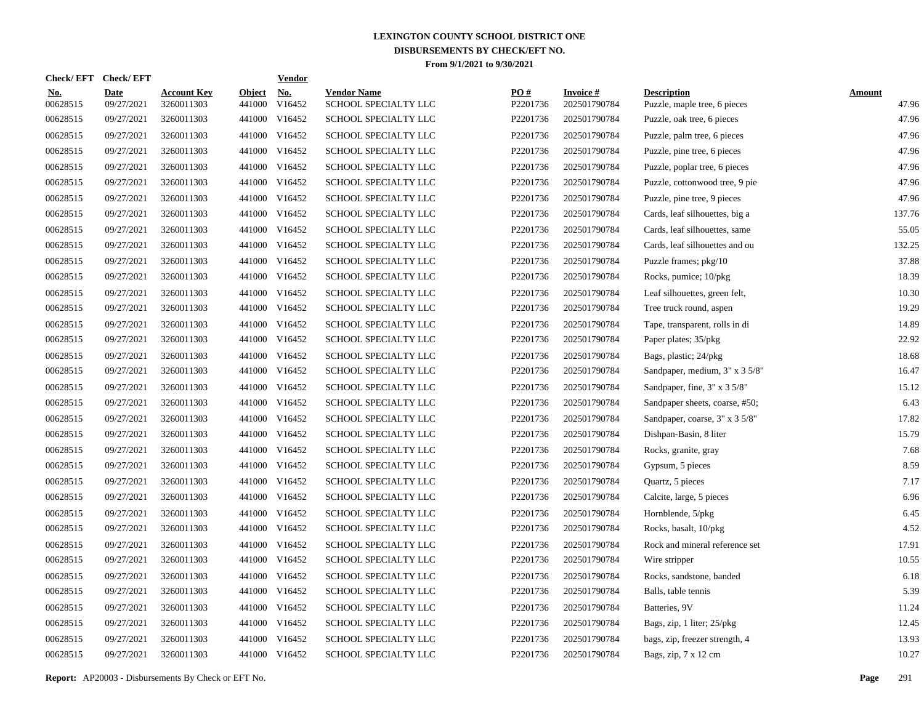| Check/EFT Check/EFT    |                           |                                  |                         | <u>Vendor</u>        |                                            |                 |                                 |                                                    |                        |
|------------------------|---------------------------|----------------------------------|-------------------------|----------------------|--------------------------------------------|-----------------|---------------------------------|----------------------------------------------------|------------------------|
| <u>No.</u><br>00628515 | <b>Date</b><br>09/27/2021 | <b>Account Key</b><br>3260011303 | <b>Object</b><br>441000 | <u>No.</u><br>V16452 | <b>Vendor Name</b><br>SCHOOL SPECIALTY LLC | PQ#<br>P2201736 | <b>Invoice#</b><br>202501790784 | <b>Description</b><br>Puzzle, maple tree, 6 pieces | <b>Amount</b><br>47.96 |
| 00628515               | 09/27/2021                | 3260011303                       | 441000                  | V16452               | SCHOOL SPECIALTY LLC                       | P2201736        | 202501790784                    | Puzzle, oak tree, 6 pieces                         | 47.96                  |
| 00628515               | 09/27/2021                | 3260011303                       |                         | 441000 V16452        | <b>SCHOOL SPECIALTY LLC</b>                | P2201736        | 202501790784                    | Puzzle, palm tree, 6 pieces                        | 47.96                  |
| 00628515               | 09/27/2021                | 3260011303                       |                         | 441000 V16452        | SCHOOL SPECIALTY LLC                       | P2201736        | 202501790784                    | Puzzle, pine tree, 6 pieces                        | 47.96                  |
| 00628515               | 09/27/2021                | 3260011303                       |                         | 441000 V16452        | SCHOOL SPECIALTY LLC                       | P2201736        | 202501790784                    | Puzzle, poplar tree, 6 pieces                      | 47.96                  |
| 00628515               | 09/27/2021                | 3260011303                       |                         | 441000 V16452        | SCHOOL SPECIALTY LLC                       | P2201736        | 202501790784                    | Puzzle, cottonwood tree, 9 pie                     | 47.96                  |
| 00628515               | 09/27/2021                | 3260011303                       |                         | 441000 V16452        | SCHOOL SPECIALTY LLC                       | P2201736        | 202501790784                    | Puzzle, pine tree, 9 pieces                        | 47.96                  |
| 00628515               | 09/27/2021                | 3260011303                       |                         | 441000 V16452        | SCHOOL SPECIALTY LLC                       | P2201736        | 202501790784                    | Cards, leaf silhouettes, big a                     | 137.76                 |
| 00628515               | 09/27/2021                | 3260011303                       |                         | 441000 V16452        | SCHOOL SPECIALTY LLC                       | P2201736        | 202501790784                    | Cards, leaf silhouettes, same                      | 55.05                  |
| 00628515               | 09/27/2021                | 3260011303                       |                         | 441000 V16452        | SCHOOL SPECIALTY LLC                       | P2201736        | 202501790784                    | Cards, leaf silhouettes and ou                     | 132.25                 |
| 00628515               | 09/27/2021                | 3260011303                       |                         | 441000 V16452        | <b>SCHOOL SPECIALTY LLC</b>                | P2201736        | 202501790784                    | Puzzle frames; pkg/10                              | 37.88                  |
| 00628515               | 09/27/2021                | 3260011303                       |                         | 441000 V16452        | SCHOOL SPECIALTY LLC                       | P2201736        | 202501790784                    | Rocks, pumice; 10/pkg                              | 18.39                  |
| 00628515               | 09/27/2021                | 3260011303                       |                         | 441000 V16452        | SCHOOL SPECIALTY LLC                       | P2201736        | 202501790784                    | Leaf silhouettes, green felt,                      | 10.30                  |
| 00628515               | 09/27/2021                | 3260011303                       |                         | 441000 V16452        | SCHOOL SPECIALTY LLC                       | P2201736        | 202501790784                    | Tree truck round, aspen                            | 19.29                  |
| 00628515               | 09/27/2021                | 3260011303                       |                         | 441000 V16452        | SCHOOL SPECIALTY LLC                       | P2201736        | 202501790784                    | Tape, transparent, rolls in di                     | 14.89                  |
| 00628515               | 09/27/2021                | 3260011303                       |                         | 441000 V16452        | SCHOOL SPECIALTY LLC                       | P2201736        | 202501790784                    | Paper plates; 35/pkg                               | 22.92                  |
| 00628515               | 09/27/2021                | 3260011303                       | 441000                  | V16452               | <b>SCHOOL SPECIALTY LLC</b>                | P2201736        | 202501790784                    | Bags, plastic; 24/pkg                              | 18.68                  |
| 00628515               | 09/27/2021                | 3260011303                       |                         | 441000 V16452        | SCHOOL SPECIALTY LLC                       | P2201736        | 202501790784                    | Sandpaper, medium, 3" x 3 5/8"                     | 16.47                  |
| 00628515               | 09/27/2021                | 3260011303                       | 441000                  | V16452               | SCHOOL SPECIALTY LLC                       | P2201736        | 202501790784                    | Sandpaper, fine, 3" x 3 5/8"                       | 15.12                  |
| 00628515               | 09/27/2021                | 3260011303                       |                         | 441000 V16452        | SCHOOL SPECIALTY LLC                       | P2201736        | 202501790784                    | Sandpaper sheets, coarse, #50;                     | 6.43                   |
| 00628515               | 09/27/2021                | 3260011303                       | 441000                  | V16452               | SCHOOL SPECIALTY LLC                       | P2201736        | 202501790784                    | Sandpaper, coarse, 3" x 3 5/8"                     | 17.82                  |
| 00628515               | 09/27/2021                | 3260011303                       |                         | 441000 V16452        | SCHOOL SPECIALTY LLC                       | P2201736        | 202501790784                    | Dishpan-Basin, 8 liter                             | 15.79                  |
| 00628515               | 09/27/2021                | 3260011303                       | 441000                  | V16452               | SCHOOL SPECIALTY LLC                       | P2201736        | 202501790784                    | Rocks, granite, gray                               | 7.68                   |
| 00628515               | 09/27/2021                | 3260011303                       | 441000                  | V16452               | <b>SCHOOL SPECIALTY LLC</b>                | P2201736        | 202501790784                    | Gypsum, 5 pieces                                   | 8.59                   |
| 00628515               | 09/27/2021                | 3260011303                       | 441000                  | V16452               | <b>SCHOOL SPECIALTY LLC</b>                | P2201736        | 202501790784                    | Quartz, 5 pieces                                   | 7.17                   |
| 00628515               | 09/27/2021                | 3260011303                       | 441000                  | V16452               | SCHOOL SPECIALTY LLC                       | P2201736        | 202501790784                    | Calcite, large, 5 pieces                           | 6.96                   |
| 00628515               | 09/27/2021                | 3260011303                       | 441000                  | V16452               | SCHOOL SPECIALTY LLC                       | P2201736        | 202501790784                    | Hornblende, 5/pkg                                  | 6.45                   |
| 00628515               | 09/27/2021                | 3260011303                       | 441000                  | V16452               | SCHOOL SPECIALTY LLC                       | P2201736        | 202501790784                    | Rocks, basalt, 10/pkg                              | 4.52                   |
| 00628515               | 09/27/2021                | 3260011303                       | 441000                  | V16452               | SCHOOL SPECIALTY LLC                       | P2201736        | 202501790784                    | Rock and mineral reference set                     | 17.91                  |
| 00628515               | 09/27/2021                | 3260011303                       | 441000                  | V16452               | SCHOOL SPECIALTY LLC                       | P2201736        | 202501790784                    | Wire stripper                                      | 10.55                  |
| 00628515               | 09/27/2021                | 3260011303                       | 441000                  | V16452               | <b>SCHOOL SPECIALTY LLC</b>                | P2201736        | 202501790784                    | Rocks, sandstone, banded                           | 6.18                   |
| 00628515               | 09/27/2021                | 3260011303                       | 441000                  | V16452               | SCHOOL SPECIALTY LLC                       | P2201736        | 202501790784                    | Balls, table tennis                                | 5.39                   |
| 00628515               | 09/27/2021                | 3260011303                       | 441000                  | V16452               | SCHOOL SPECIALTY LLC                       | P2201736        | 202501790784                    | Batteries, 9V                                      | 11.24                  |
| 00628515               | 09/27/2021                | 3260011303                       | 441000                  | V16452               | SCHOOL SPECIALTY LLC                       | P2201736        | 202501790784                    | Bags, zip, 1 liter; 25/pkg                         | 12.45                  |
| 00628515               | 09/27/2021                | 3260011303                       | 441000                  | V16452               | SCHOOL SPECIALTY LLC                       | P2201736        | 202501790784                    | bags, zip, freezer strength, 4                     | 13.93                  |
| 00628515               | 09/27/2021                | 3260011303                       |                         | 441000 V16452        | SCHOOL SPECIALTY LLC                       | P2201736        | 202501790784                    | Bags, zip, 7 x 12 cm                               | 10.27                  |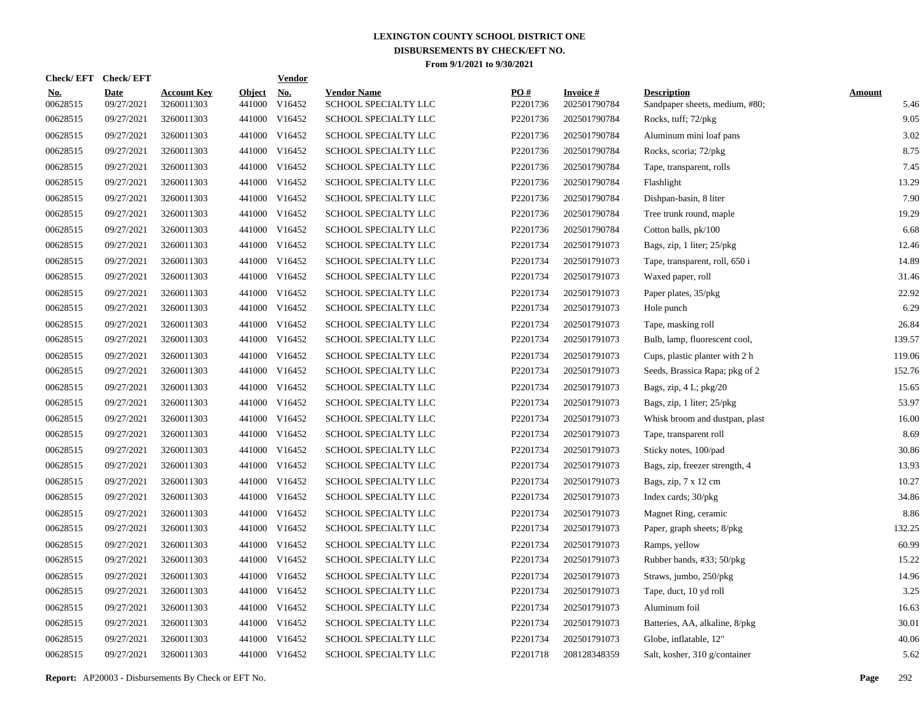| <b>Check/EFT</b>       | <b>Check/EFT</b>          |                                  |                         | <b>Vendor</b>        |                                            |                 |                                 |                                                      |                       |
|------------------------|---------------------------|----------------------------------|-------------------------|----------------------|--------------------------------------------|-----------------|---------------------------------|------------------------------------------------------|-----------------------|
| <u>No.</u><br>00628515 | <b>Date</b><br>09/27/2021 | <b>Account Key</b><br>3260011303 | <b>Object</b><br>441000 | <u>No.</u><br>V16452 | <b>Vendor Name</b><br>SCHOOL SPECIALTY LLC | PO#<br>P2201736 | <b>Invoice#</b><br>202501790784 | <b>Description</b><br>Sandpaper sheets, medium, #80; | <b>Amount</b><br>5.46 |
| 00628515               | 09/27/2021                | 3260011303                       | 441000                  | V16452               | SCHOOL SPECIALTY LLC                       | P2201736        | 202501790784                    | Rocks, tuff; 72/pkg                                  | 9.05                  |
| 00628515               | 09/27/2021                | 3260011303                       | 441000                  | V16452               | SCHOOL SPECIALTY LLC                       | P2201736        | 202501790784                    | Aluminum mini loaf pans                              | 3.02                  |
| 00628515               | 09/27/2021                | 3260011303                       |                         | 441000 V16452        | SCHOOL SPECIALTY LLC                       | P2201736        | 202501790784                    | Rocks, scoria; 72/pkg                                | 8.75                  |
| 00628515               | 09/27/2021                | 3260011303                       |                         | 441000 V16452        | SCHOOL SPECIALTY LLC                       | P2201736        | 202501790784                    | Tape, transparent, rolls                             | 7.45                  |
| 00628515               | 09/27/2021                | 3260011303                       |                         | 441000 V16452        | SCHOOL SPECIALTY LLC                       | P2201736        | 202501790784                    | Flashlight                                           | 13.29                 |
| 00628515               | 09/27/2021                | 3260011303                       |                         | 441000 V16452        | SCHOOL SPECIALTY LLC                       | P2201736        | 202501790784                    | Dishpan-basin, 8 liter                               | 7.90                  |
| 00628515               | 09/27/2021                | 3260011303                       |                         | 441000 V16452        | SCHOOL SPECIALTY LLC                       | P2201736        | 202501790784                    | Tree trunk round, maple                              | 19.29                 |
| 00628515               | 09/27/2021                | 3260011303                       |                         | 441000 V16452        | SCHOOL SPECIALTY LLC                       | P2201736        | 202501790784                    | Cotton balls, pk/100                                 | 6.68                  |
| 00628515               | 09/27/2021                | 3260011303                       |                         | 441000 V16452        | SCHOOL SPECIALTY LLC                       | P2201734        | 202501791073                    | Bags, zip, 1 liter; 25/pkg                           | 12.46                 |
| 00628515               | 09/27/2021                | 3260011303                       |                         | 441000 V16452        | SCHOOL SPECIALTY LLC                       | P2201734        | 202501791073                    | Tape, transparent, roll, 650 i                       | 14.89                 |
| 00628515               | 09/27/2021                | 3260011303                       |                         | 441000 V16452        | SCHOOL SPECIALTY LLC                       | P2201734        | 202501791073                    | Waxed paper, roll                                    | 31.46                 |
| 00628515               | 09/27/2021                | 3260011303                       |                         | 441000 V16452        | SCHOOL SPECIALTY LLC                       | P2201734        | 202501791073                    | Paper plates, 35/pkg                                 | 22.92                 |
| 00628515               | 09/27/2021                | 3260011303                       |                         | 441000 V16452        | SCHOOL SPECIALTY LLC                       | P2201734        | 202501791073                    | Hole punch                                           | 6.29                  |
| 00628515               | 09/27/2021                | 3260011303                       |                         | 441000 V16452        | SCHOOL SPECIALTY LLC                       | P2201734        | 202501791073                    | Tape, masking roll                                   | 26.84                 |
| 00628515               | 09/27/2021                | 3260011303                       |                         | 441000 V16452        | SCHOOL SPECIALTY LLC                       | P2201734        | 202501791073                    | Bulb, lamp, fluorescent cool,                        | 139.57                |
| 00628515               | 09/27/2021                | 3260011303                       |                         | 441000 V16452        | SCHOOL SPECIALTY LLC                       | P2201734        | 202501791073                    | Cups, plastic planter with 2 h                       | 119.06                |
| 00628515               | 09/27/2021                | 3260011303                       |                         | 441000 V16452        | SCHOOL SPECIALTY LLC                       | P2201734        | 202501791073                    | Seeds, Brassica Rapa; pkg of 2                       | 152.76                |
| 00628515               | 09/27/2021                | 3260011303                       |                         | 441000 V16452        | SCHOOL SPECIALTY LLC                       | P2201734        | 202501791073                    | Bags, zip, 4 L; pkg/20                               | 15.65                 |
| 00628515               | 09/27/2021                | 3260011303                       |                         | 441000 V16452        | SCHOOL SPECIALTY LLC                       | P2201734        | 202501791073                    | Bags, zip, 1 liter; 25/pkg                           | 53.97                 |
| 00628515               | 09/27/2021                | 3260011303                       |                         | 441000 V16452        | SCHOOL SPECIALTY LLC                       | P2201734        | 202501791073                    | Whisk broom and dustpan, plast                       | 16.00                 |
| 00628515               | 09/27/2021                | 3260011303                       |                         | 441000 V16452        | SCHOOL SPECIALTY LLC                       | P2201734        | 202501791073                    | Tape, transparent roll                               | 8.69                  |
| 00628515               | 09/27/2021                | 3260011303                       |                         | 441000 V16452        | SCHOOL SPECIALTY LLC                       | P2201734        | 202501791073                    | Sticky notes, 100/pad                                | 30.86                 |
| 00628515               | 09/27/2021                | 3260011303                       |                         | 441000 V16452        | SCHOOL SPECIALTY LLC                       | P2201734        | 202501791073                    | Bags, zip, freezer strength, 4                       | 13.93                 |
| 00628515               | 09/27/2021                | 3260011303                       |                         | 441000 V16452        | SCHOOL SPECIALTY LLC                       | P2201734        | 202501791073                    | Bags, zip, 7 x 12 cm                                 | 10.27                 |
| 00628515               | 09/27/2021                | 3260011303                       |                         | 441000 V16452        | SCHOOL SPECIALTY LLC                       | P2201734        | 202501791073                    | Index cards; $30/\text{pkg}$                         | 34.86                 |
| 00628515               | 09/27/2021                | 3260011303                       |                         | 441000 V16452        | <b>SCHOOL SPECIALTY LLC</b>                | P2201734        | 202501791073                    | Magnet Ring, ceramic                                 | 8.86                  |
| 00628515               | 09/27/2021                | 3260011303                       |                         | 441000 V16452        | SCHOOL SPECIALTY LLC                       | P2201734        | 202501791073                    | Paper, graph sheets; 8/pkg                           | 132.25                |
| 00628515               | 09/27/2021                | 3260011303                       |                         | 441000 V16452        | SCHOOL SPECIALTY LLC                       | P2201734        | 202501791073                    | Ramps, yellow                                        | 60.99                 |
| 00628515               | 09/27/2021                | 3260011303                       |                         | 441000 V16452        | SCHOOL SPECIALTY LLC                       | P2201734        | 202501791073                    | Rubber bands, #33; 50/pkg                            | 15.22                 |
| 00628515               | 09/27/2021                | 3260011303                       |                         | 441000 V16452        | SCHOOL SPECIALTY LLC                       | P2201734        | 202501791073                    | Straws, jumbo, 250/pkg                               | 14.96                 |
| 00628515               | 09/27/2021                | 3260011303                       |                         | 441000 V16452        | SCHOOL SPECIALTY LLC                       | P2201734        | 202501791073                    | Tape, duct, 10 yd roll                               | 3.25                  |
| 00628515               | 09/27/2021                | 3260011303                       |                         | 441000 V16452        | SCHOOL SPECIALTY LLC                       | P2201734        | 202501791073                    | Aluminum foil                                        | 16.63                 |
| 00628515               | 09/27/2021                | 3260011303                       |                         | 441000 V16452        | SCHOOL SPECIALTY LLC                       | P2201734        | 202501791073                    | Batteries, AA, alkaline, 8/pkg                       | 30.01                 |
| 00628515               | 09/27/2021                | 3260011303                       | 441000                  | V16452               | SCHOOL SPECIALTY LLC                       | P2201734        | 202501791073                    | Globe, inflatable, 12"                               | 40.06                 |
| 00628515               | 09/27/2021                | 3260011303                       |                         | 441000 V16452        | SCHOOL SPECIALTY LLC                       | P2201718        | 208128348359                    | Salt, kosher, 310 g/container                        | 5.62                  |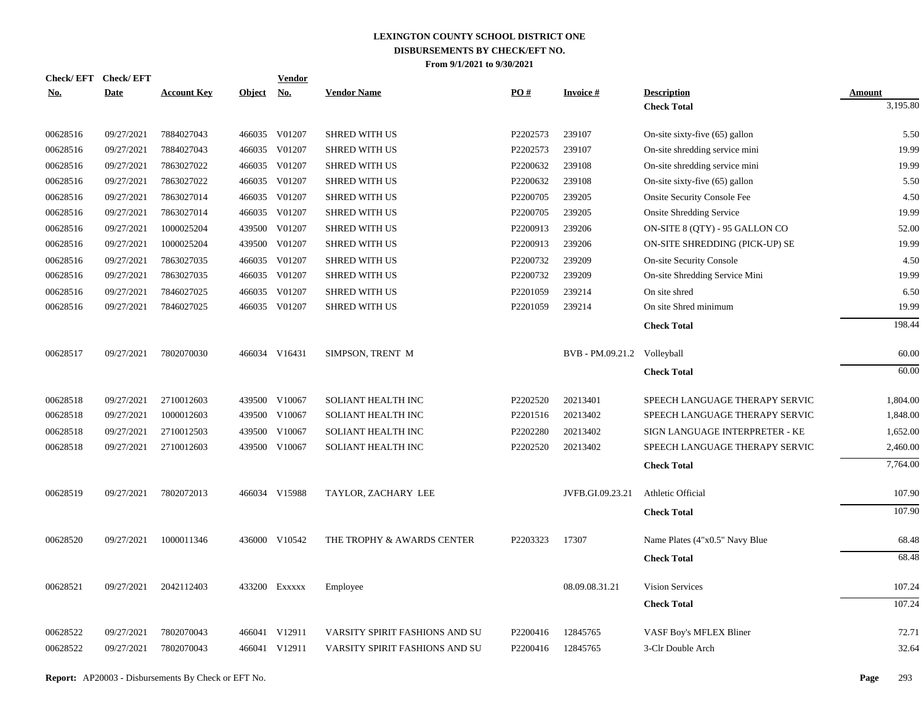| Check/EFT Check/EFT |             |                    |               | <u>Vendor</u>             |                                |          |                             |                                    |               |
|---------------------|-------------|--------------------|---------------|---------------------------|--------------------------------|----------|-----------------------------|------------------------------------|---------------|
| <u>No.</u>          | <b>Date</b> | <b>Account Key</b> | <b>Object</b> | $\underline{\textbf{No}}$ | <b>Vendor Name</b>             | PO#      | <b>Invoice#</b>             | <b>Description</b>                 | <b>Amount</b> |
|                     |             |                    |               |                           |                                |          |                             | <b>Check Total</b>                 | 3,195.80      |
| 00628516            | 09/27/2021  | 7884027043         |               | 466035 V01207             | <b>SHRED WITH US</b>           | P2202573 | 239107                      | On-site sixty-five (65) gallon     | 5.50          |
| 00628516            | 09/27/2021  | 7884027043         |               | 466035 V01207             | <b>SHRED WITH US</b>           | P2202573 | 239107                      | On-site shredding service mini     | 19.99         |
| 00628516            | 09/27/2021  | 7863027022         | 466035        | V01207                    | <b>SHRED WITH US</b>           | P2200632 | 239108                      | On-site shredding service mini     | 19.99         |
| 00628516            | 09/27/2021  | 7863027022         |               | 466035 V01207             | <b>SHRED WITH US</b>           | P2200632 | 239108                      | On-site sixty-five (65) gallon     | 5.50          |
| 00628516            | 09/27/2021  | 7863027014         | 466035        | V01207                    | <b>SHRED WITH US</b>           | P2200705 | 239205                      | <b>Onsite Security Console Fee</b> | 4.50          |
| 00628516            | 09/27/2021  | 7863027014         |               | 466035 V01207             | <b>SHRED WITH US</b>           | P2200705 | 239205                      | <b>Onsite Shredding Service</b>    | 19.99         |
| 00628516            | 09/27/2021  | 1000025204         | 439500        | V01207                    | <b>SHRED WITH US</b>           | P2200913 | 239206                      | ON-SITE 8 (QTY) - 95 GALLON CO     | 52.00         |
| 00628516            | 09/27/2021  | 1000025204         | 439500        | V01207                    | <b>SHRED WITH US</b>           | P2200913 | 239206                      | ON-SITE SHREDDING (PICK-UP) SE     | 19.99         |
| 00628516            | 09/27/2021  | 7863027035         |               | 466035 V01207             | <b>SHRED WITH US</b>           | P2200732 | 239209                      | <b>On-site Security Console</b>    | 4.50          |
| 00628516            | 09/27/2021  | 7863027035         |               | 466035 V01207             | <b>SHRED WITH US</b>           | P2200732 | 239209                      | On-site Shredding Service Mini     | 19.99         |
| 00628516            | 09/27/2021  | 7846027025         | 466035        | V01207                    | <b>SHRED WITH US</b>           | P2201059 | 239214                      | On site shred                      | 6.50          |
| 00628516            | 09/27/2021  | 7846027025         |               | 466035 V01207             | <b>SHRED WITH US</b>           | P2201059 | 239214                      | On site Shred minimum              | 19.99         |
|                     |             |                    |               |                           |                                |          |                             | <b>Check Total</b>                 | 198.44        |
| 00628517            | 09/27/2021  | 7802070030         |               | 466034 V16431             | SIMPSON, TRENT M               |          | BVB - PM.09.21.2 Volleyball |                                    | 60.00         |
|                     |             |                    |               |                           |                                |          |                             | <b>Check Total</b>                 | 60.00         |
| 00628518            | 09/27/2021  | 2710012603         |               | 439500 V10067             | <b>SOLIANT HEALTH INC</b>      | P2202520 | 20213401                    | SPEECH LANGUAGE THERAPY SERVIC     | 1,804.00      |
| 00628518            | 09/27/2021  | 1000012603         |               | 439500 V10067             | <b>SOLIANT HEALTH INC</b>      | P2201516 | 20213402                    | SPEECH LANGUAGE THERAPY SERVIC     | 1,848.00      |
| 00628518            | 09/27/2021  | 2710012503         | 439500        | V10067                    | <b>SOLIANT HEALTH INC</b>      | P2202280 | 20213402                    | SIGN LANGUAGE INTERPRETER - KE     | 1,652.00      |
| 00628518            | 09/27/2021  | 2710012603         |               | 439500 V10067             | <b>SOLIANT HEALTH INC</b>      | P2202520 | 20213402                    | SPEECH LANGUAGE THERAPY SERVIC     | 2,460.00      |
|                     |             |                    |               |                           |                                |          |                             | <b>Check Total</b>                 | 7,764.00      |
| 00628519            | 09/27/2021  | 7802072013         |               | 466034 V15988             | TAYLOR, ZACHARY LEE            |          | JVFB.GI.09.23.21            | Athletic Official                  | 107.90        |
|                     |             |                    |               |                           |                                |          |                             | <b>Check Total</b>                 | 107.90        |
| 00628520            | 09/27/2021  | 1000011346         |               | 436000 V10542             | THE TROPHY & AWARDS CENTER     | P2203323 | 17307                       | Name Plates (4"x0.5" Navy Blue     | 68.48         |
|                     |             |                    |               |                           |                                |          |                             | <b>Check Total</b>                 | 68.48         |
|                     |             |                    |               |                           |                                |          |                             |                                    |               |
| 00628521            | 09/27/2021  | 2042112403         |               | 433200 Exxxxx             | Employee                       |          | 08.09.08.31.21              | <b>Vision Services</b>             | 107.24        |
|                     |             |                    |               |                           |                                |          |                             | <b>Check Total</b>                 | 107.24        |
| 00628522            | 09/27/2021  | 7802070043         |               | 466041 V12911             | VARSITY SPIRIT FASHIONS AND SU | P2200416 | 12845765                    | VASF Boy's MFLEX Bliner            | 72.71         |
| 00628522            | 09/27/2021  | 7802070043         |               | 466041 V12911             | VARSITY SPIRIT FASHIONS AND SU | P2200416 | 12845765                    | 3-Clr Double Arch                  | 32.64         |
|                     |             |                    |               |                           |                                |          |                             |                                    |               |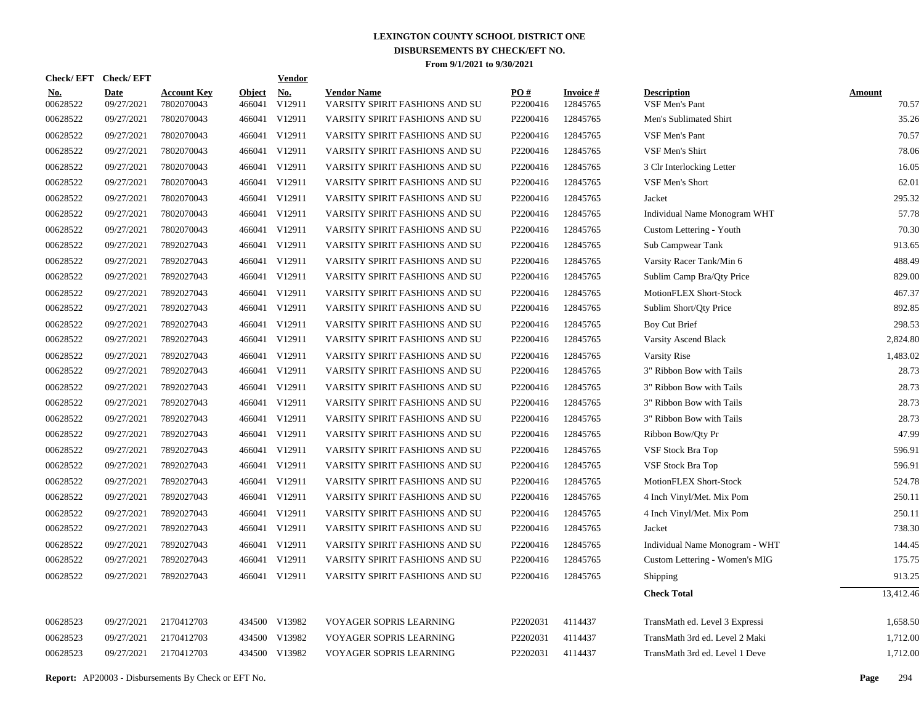| Check/EFT Check/EFT    |                           |                                  |                         | <b>Vendor</b>        |                                                      |                               |                             |                                      |                        |
|------------------------|---------------------------|----------------------------------|-------------------------|----------------------|------------------------------------------------------|-------------------------------|-----------------------------|--------------------------------------|------------------------|
| <u>No.</u><br>00628522 | <b>Date</b><br>09/27/2021 | <b>Account Key</b><br>7802070043 | <b>Object</b><br>466041 | <u>No.</u><br>V12911 | <b>Vendor Name</b><br>VARSITY SPIRIT FASHIONS AND SU | $\underline{PO#}$<br>P2200416 | <b>Invoice#</b><br>12845765 | <b>Description</b><br>VSF Men's Pant | <b>Amount</b><br>70.57 |
| 00628522               | 09/27/2021                | 7802070043                       | 466041                  | V12911               | VARSITY SPIRIT FASHIONS AND SU                       | P2200416                      | 12845765                    | Men's Sublimated Shirt               | 35.26                  |
| 00628522               | 09/27/2021                | 7802070043                       | 466041                  | V12911               | VARSITY SPIRIT FASHIONS AND SU                       | P2200416                      | 12845765                    | <b>VSF Men's Pant</b>                | 70.57                  |
| 00628522               | 09/27/2021                | 7802070043                       |                         | 466041 V12911        | VARSITY SPIRIT FASHIONS AND SU                       | P2200416                      | 12845765                    | VSF Men's Shirt                      | 78.06                  |
| 00628522               | 09/27/2021                | 7802070043                       |                         | 466041 V12911        | VARSITY SPIRIT FASHIONS AND SU                       | P2200416                      | 12845765                    | 3 Clr Interlocking Letter            | 16.05                  |
| 00628522               | 09/27/2021                | 7802070043                       |                         | 466041 V12911        | VARSITY SPIRIT FASHIONS AND SU                       | P2200416                      | 12845765                    | VSF Men's Short                      | 62.01                  |
| 00628522               | 09/27/2021                | 7802070043                       |                         | 466041 V12911        | VARSITY SPIRIT FASHIONS AND SU                       | P2200416                      | 12845765                    | Jacket                               | 295.32                 |
| 00628522               | 09/27/2021                | 7802070043                       |                         | 466041 V12911        | VARSITY SPIRIT FASHIONS AND SU                       | P2200416                      | 12845765                    | Individual Name Monogram WHT         | 57.78                  |
| 00628522               | 09/27/2021                | 7802070043                       |                         | 466041 V12911        | VARSITY SPIRIT FASHIONS AND SU                       | P2200416                      | 12845765                    | Custom Lettering - Youth             | 70.30                  |
| 00628522               | 09/27/2021                | 7892027043                       |                         | 466041 V12911        | VARSITY SPIRIT FASHIONS AND SU                       | P2200416                      | 12845765                    | Sub Campwear Tank                    | 913.65                 |
| 00628522               | 09/27/2021                | 7892027043                       |                         | 466041 V12911        | VARSITY SPIRIT FASHIONS AND SU                       | P2200416                      | 12845765                    | Varsity Racer Tank/Min 6             | 488.49                 |
| 00628522               | 09/27/2021                | 7892027043                       |                         | 466041 V12911        | VARSITY SPIRIT FASHIONS AND SU                       | P2200416                      | 12845765                    | Sublim Camp Bra/Qty Price            | 829.00                 |
| 00628522               | 09/27/2021                | 7892027043                       |                         | 466041 V12911        | VARSITY SPIRIT FASHIONS AND SU                       | P2200416                      | 12845765                    | MotionFLEX Short-Stock               | 467.37                 |
| 00628522               | 09/27/2021                | 7892027043                       |                         | 466041 V12911        | VARSITY SPIRIT FASHIONS AND SU                       | P2200416                      | 12845765                    | Sublim Short/Qty Price               | 892.85                 |
| 00628522               | 09/27/2021                | 7892027043                       |                         | 466041 V12911        | VARSITY SPIRIT FASHIONS AND SU                       | P2200416                      | 12845765                    | Boy Cut Brief                        | 298.53                 |
| 00628522               | 09/27/2021                | 7892027043                       |                         | 466041 V12911        | VARSITY SPIRIT FASHIONS AND SU                       | P2200416                      | 12845765                    | Varsity Ascend Black                 | 2,824.80               |
| 00628522               | 09/27/2021                | 7892027043                       |                         | 466041 V12911        | VARSITY SPIRIT FASHIONS AND SU                       | P2200416                      | 12845765                    | Varsity Rise                         | 1,483.02               |
| 00628522               | 09/27/2021                | 7892027043                       |                         | 466041 V12911        | VARSITY SPIRIT FASHIONS AND SU                       | P2200416                      | 12845765                    | 3" Ribbon Bow with Tails             | 28.73                  |
| 00628522               | 09/27/2021                | 7892027043                       |                         | 466041 V12911        | VARSITY SPIRIT FASHIONS AND SU                       | P2200416                      | 12845765                    | 3" Ribbon Bow with Tails             | 28.73                  |
| 00628522               | 09/27/2021                | 7892027043                       |                         | 466041 V12911        | VARSITY SPIRIT FASHIONS AND SU                       | P2200416                      | 12845765                    | 3" Ribbon Bow with Tails             | 28.73                  |
| 00628522               | 09/27/2021                | 7892027043                       |                         | 466041 V12911        | VARSITY SPIRIT FASHIONS AND SU                       | P2200416                      | 12845765                    | 3" Ribbon Bow with Tails             | 28.73                  |
| 00628522               | 09/27/2021                | 7892027043                       |                         | 466041 V12911        | VARSITY SPIRIT FASHIONS AND SU                       | P2200416                      | 12845765                    | Ribbon Bow/Qty Pr                    | 47.99                  |
| 00628522               | 09/27/2021                | 7892027043                       |                         | 466041 V12911        | VARSITY SPIRIT FASHIONS AND SU                       | P2200416                      | 12845765                    | VSF Stock Bra Top                    | 596.91                 |
| 00628522               | 09/27/2021                | 7892027043                       |                         | 466041 V12911        | VARSITY SPIRIT FASHIONS AND SU                       | P2200416                      | 12845765                    | VSF Stock Bra Top                    | 596.91                 |
| 00628522               | 09/27/2021                | 7892027043                       |                         | 466041 V12911        | VARSITY SPIRIT FASHIONS AND SU                       | P2200416                      | 12845765                    | MotionFLEX Short-Stock               | 524.78                 |
| 00628522               | 09/27/2021                | 7892027043                       |                         | 466041 V12911        | VARSITY SPIRIT FASHIONS AND SU                       | P2200416                      | 12845765                    | 4 Inch Vinyl/Met. Mix Pom            | 250.11                 |
| 00628522               | 09/27/2021                | 7892027043                       |                         | 466041 V12911        | VARSITY SPIRIT FASHIONS AND SU                       | P2200416                      | 12845765                    | 4 Inch Vinyl/Met. Mix Pom            | 250.11                 |
| 00628522               | 09/27/2021                | 7892027043                       |                         | 466041 V12911        | VARSITY SPIRIT FASHIONS AND SU                       | P2200416                      | 12845765                    | Jacket                               | 738.30                 |
| 00628522               | 09/27/2021                | 7892027043                       |                         | 466041 V12911        | VARSITY SPIRIT FASHIONS AND SU                       | P2200416                      | 12845765                    | Individual Name Monogram - WHT       | 144.45                 |
| 00628522               | 09/27/2021                | 7892027043                       |                         | 466041 V12911        | VARSITY SPIRIT FASHIONS AND SU                       | P2200416                      | 12845765                    | Custom Lettering - Women's MIG       | 175.75                 |
| 00628522               | 09/27/2021                | 7892027043                       |                         | 466041 V12911        | VARSITY SPIRIT FASHIONS AND SU                       | P2200416                      | 12845765                    | Shipping                             | 913.25                 |
|                        |                           |                                  |                         |                      |                                                      |                               |                             | <b>Check Total</b>                   | 13,412.46              |
| 00628523               | 09/27/2021                | 2170412703                       |                         | 434500 V13982        | VOYAGER SOPRIS LEARNING                              | P2202031                      | 4114437                     | TransMath ed. Level 3 Expressi       | 1,658.50               |
| 00628523               | 09/27/2021                | 2170412703                       | 434500                  | V13982               | VOYAGER SOPRIS LEARNING                              | P2202031                      | 4114437                     | TransMath 3rd ed. Level 2 Maki       | 1,712.00               |
| 00628523               | 09/27/2021                | 2170412703                       |                         | 434500 V13982        | VOYAGER SOPRIS LEARNING                              | P2202031                      | 4114437                     | TransMath 3rd ed. Level 1 Deve       | 1,712.00               |
|                        |                           |                                  |                         |                      |                                                      |                               |                             |                                      |                        |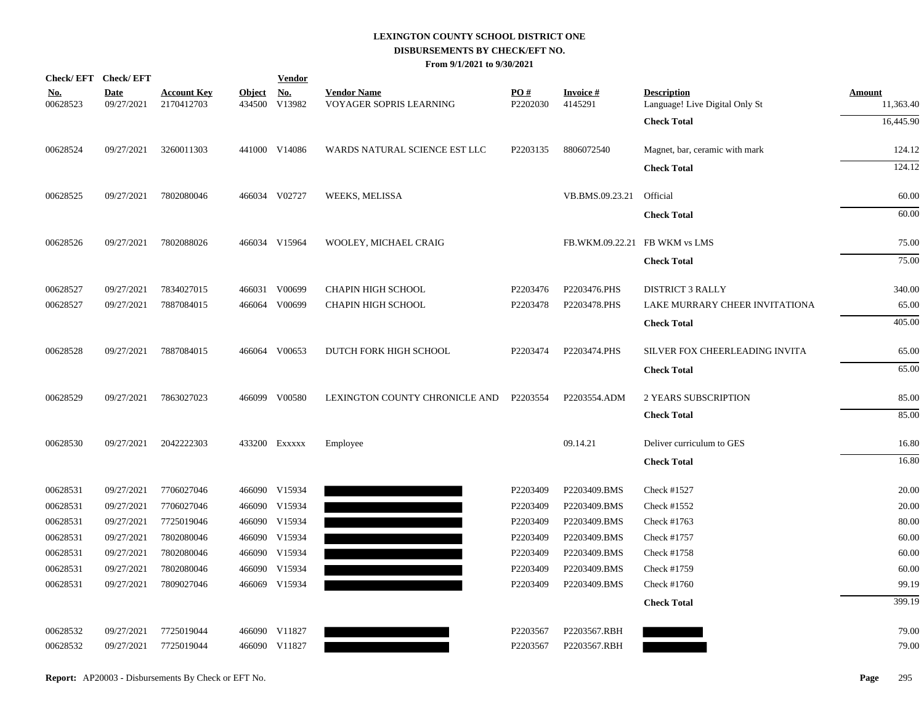|                        | Check/EFT Check/EFT       |                                  |                         | <b>Vendor</b>        |                                               |                 |                               |                                                      |                            |
|------------------------|---------------------------|----------------------------------|-------------------------|----------------------|-----------------------------------------------|-----------------|-------------------------------|------------------------------------------------------|----------------------------|
| <u>No.</u><br>00628523 | <b>Date</b><br>09/27/2021 | <b>Account Key</b><br>2170412703 | <b>Object</b><br>434500 | <u>No.</u><br>V13982 | <b>Vendor Name</b><br>VOYAGER SOPRIS LEARNING | PO#<br>P2202030 | <b>Invoice#</b><br>4145291    | <b>Description</b><br>Language! Live Digital Only St | <b>Amount</b><br>11,363.40 |
|                        |                           |                                  |                         |                      |                                               |                 |                               | <b>Check Total</b>                                   | 16,445.90                  |
| 00628524               | 09/27/2021                | 3260011303                       |                         | 441000 V14086        | WARDS NATURAL SCIENCE EST LLC                 | P2203135        | 8806072540                    | Magnet, bar, ceramic with mark                       | 124.12                     |
|                        |                           |                                  |                         |                      |                                               |                 |                               | <b>Check Total</b>                                   | 124.12                     |
| 00628525               | 09/27/2021                | 7802080046                       |                         | 466034 V02727        | WEEKS, MELISSA                                |                 | VB.BMS.09.23.21               | Official                                             | 60.00                      |
|                        |                           |                                  |                         |                      |                                               |                 |                               | <b>Check Total</b>                                   | 60.00                      |
| 00628526               | 09/27/2021                | 7802088026                       |                         | 466034 V15964        | WOOLEY, MICHAEL CRAIG                         |                 | FB.WKM.09.22.21 FB WKM vs LMS |                                                      | 75.00                      |
|                        |                           |                                  |                         |                      |                                               |                 |                               | <b>Check Total</b>                                   | 75.00                      |
| 00628527               | 09/27/2021                | 7834027015                       |                         | 466031 V00699        | <b>CHAPIN HIGH SCHOOL</b>                     | P2203476        | P2203476.PHS                  | <b>DISTRICT 3 RALLY</b>                              | 340.00                     |
| 00628527               | 09/27/2021                | 7887084015                       |                         | 466064 V00699        | <b>CHAPIN HIGH SCHOOL</b>                     | P2203478        | P2203478.PHS                  | LAKE MURRARY CHEER INVITATIONA                       | 65.00                      |
|                        |                           |                                  |                         |                      |                                               |                 |                               | <b>Check Total</b>                                   | 405.00                     |
| 00628528               | 09/27/2021                | 7887084015                       |                         | 466064 V00653        | DUTCH FORK HIGH SCHOOL                        | P2203474        | P2203474.PHS                  | SILVER FOX CHEERLEADING INVITA                       | 65.00                      |
|                        |                           |                                  |                         |                      |                                               |                 |                               | <b>Check Total</b>                                   | 65.00                      |
| 00628529               | 09/27/2021                | 7863027023                       |                         | 466099 V00580        | LEXINGTON COUNTY CHRONICLE AND                | P2203554        | P2203554.ADM                  | 2 YEARS SUBSCRIPTION                                 | 85.00                      |
|                        |                           |                                  |                         |                      |                                               |                 |                               | <b>Check Total</b>                                   | 85.00                      |
| 00628530               | 09/27/2021                | 2042222303                       |                         | 433200 EXXXXX        | Employee                                      |                 | 09.14.21                      | Deliver curriculum to GES                            | 16.80                      |
|                        |                           |                                  |                         |                      |                                               |                 |                               | <b>Check Total</b>                                   | 16.80                      |
| 00628531               | 09/27/2021                | 7706027046                       |                         | 466090 V15934        |                                               | P2203409        | P2203409.BMS                  | Check #1527                                          | 20.00                      |
| 00628531               | 09/27/2021                | 7706027046                       |                         | 466090 V15934        |                                               | P2203409        | P2203409.BMS                  | Check #1552                                          | 20.00                      |
| 00628531               | 09/27/2021                | 7725019046                       |                         | 466090 V15934        |                                               | P2203409        | P2203409.BMS                  | Check #1763                                          | 80.00                      |
| 00628531               | 09/27/2021                | 7802080046                       |                         | 466090 V15934        |                                               | P2203409        | P2203409.BMS                  | Check #1757                                          | 60.00                      |
| 00628531               | 09/27/2021                | 7802080046                       |                         | 466090 V15934        |                                               | P2203409        | P2203409.BMS                  | Check #1758                                          | 60.00                      |
| 00628531               | 09/27/2021                | 7802080046                       | 466090                  | V15934               |                                               | P2203409        | P2203409.BMS                  | Check #1759                                          | 60.00                      |
| 00628531               | 09/27/2021                | 7809027046                       |                         | 466069 V15934        |                                               | P2203409        | P2203409.BMS                  | Check #1760                                          | 99.19                      |
|                        |                           |                                  |                         |                      |                                               |                 |                               | <b>Check Total</b>                                   | 399.19                     |
| 00628532               | 09/27/2021                | 7725019044                       |                         | 466090 V11827        |                                               | P2203567        | P2203567.RBH                  |                                                      | 79.00                      |
| 00628532               | 09/27/2021                | 7725019044                       |                         | 466090 V11827        |                                               | P2203567        | P2203567.RBH                  |                                                      | 79.00                      |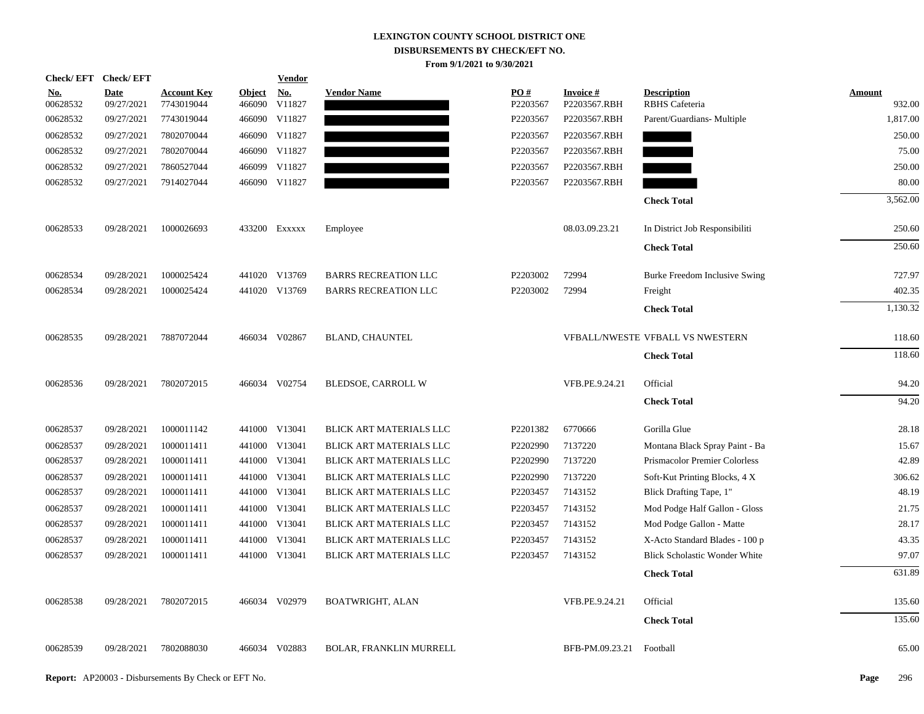| <b>Check/EFT</b>       | <b>Check/EFT</b>          |                                  |                         | <b>Vendor</b> |                                |                 |                                 |                                             |                         |
|------------------------|---------------------------|----------------------------------|-------------------------|---------------|--------------------------------|-----------------|---------------------------------|---------------------------------------------|-------------------------|
| <u>No.</u><br>00628532 | <b>Date</b><br>09/27/2021 | <b>Account Key</b><br>7743019044 | <b>Object</b><br>466090 | No.<br>V11827 | <b>Vendor Name</b>             | PO#<br>P2203567 | <b>Invoice#</b><br>P2203567.RBH | <b>Description</b><br><b>RBHS</b> Cafeteria | <b>Amount</b><br>932.00 |
| 00628532               | 09/27/2021                | 7743019044                       | 466090                  | V11827        |                                | P2203567        | P2203567.RBH                    | Parent/Guardians- Multiple                  | 1,817.00                |
| 00628532               | 09/27/2021                | 7802070044                       |                         | 466090 V11827 |                                | P2203567        | P2203567.RBH                    |                                             | 250.00                  |
| 00628532               | 09/27/2021                | 7802070044                       |                         | 466090 V11827 |                                | P2203567        | P2203567.RBH                    |                                             | 75.00                   |
| 00628532               | 09/27/2021                | 7860527044                       |                         | 466099 V11827 |                                | P2203567        | P2203567.RBH                    |                                             | 250.00                  |
| 00628532               | 09/27/2021                | 7914027044                       |                         | 466090 V11827 |                                | P2203567        | P2203567.RBH                    |                                             | 80.00                   |
|                        |                           |                                  |                         |               |                                |                 |                                 |                                             |                         |
|                        |                           |                                  |                         |               |                                |                 |                                 | <b>Check Total</b>                          | 3,562.00                |
| 00628533               | 09/28/2021                | 1000026693                       |                         | 433200 Exxxxx | Employee                       |                 | 08.03.09.23.21                  | In District Job Responsibiliti              | 250.60                  |
|                        |                           |                                  |                         |               |                                |                 |                                 | <b>Check Total</b>                          | 250.60                  |
| 00628534               | 09/28/2021                | 1000025424                       |                         | 441020 V13769 | <b>BARRS RECREATION LLC</b>    | P2203002        | 72994                           | Burke Freedom Inclusive Swing               | 727.97                  |
| 00628534               | 09/28/2021                | 1000025424                       |                         | 441020 V13769 | <b>BARRS RECREATION LLC</b>    | P2203002        | 72994                           | Freight                                     | 402.35                  |
|                        |                           |                                  |                         |               |                                |                 |                                 | <b>Check Total</b>                          | 1,130.32                |
|                        |                           |                                  |                         |               |                                |                 |                                 |                                             |                         |
| 00628535               | 09/28/2021                | 7887072044                       |                         | 466034 V02867 | <b>BLAND, CHAUNTEL</b>         |                 |                                 | VFBALL/NWESTE VFBALL VS NWESTERN            | 118.60                  |
|                        |                           |                                  |                         |               |                                |                 |                                 | <b>Check Total</b>                          | 118.60                  |
| 00628536               | 09/28/2021                | 7802072015                       |                         | 466034 V02754 | BLEDSOE, CARROLL W             |                 | VFB.PE.9.24.21                  | Official                                    | 94.20                   |
|                        |                           |                                  |                         |               |                                |                 |                                 | <b>Check Total</b>                          | 94.20                   |
| 00628537               | 09/28/2021                | 1000011142                       |                         | 441000 V13041 | BLICK ART MATERIALS LLC        | P2201382        | 6770666                         | Gorilla Glue                                | 28.18                   |
| 00628537               | 09/28/2021                | 1000011411                       |                         | 441000 V13041 | BLICK ART MATERIALS LLC        | P2202990        | 7137220                         | Montana Black Spray Paint - Ba              | 15.67                   |
| 00628537               | 09/28/2021                | 1000011411                       |                         | 441000 V13041 | BLICK ART MATERIALS LLC        | P2202990        | 7137220                         | Prismacolor Premier Colorless               | 42.89                   |
| 00628537               | 09/28/2021                | 1000011411                       |                         | 441000 V13041 | BLICK ART MATERIALS LLC        | P2202990        | 7137220                         | Soft-Kut Printing Blocks, 4 X               | 306.62                  |
| 00628537               | 09/28/2021                | 1000011411                       |                         | 441000 V13041 | BLICK ART MATERIALS LLC        | P2203457        | 7143152                         | Blick Drafting Tape, 1"                     | 48.19                   |
| 00628537               | 09/28/2021                | 1000011411                       |                         | 441000 V13041 | BLICK ART MATERIALS LLC        | P2203457        | 7143152                         | Mod Podge Half Gallon - Gloss               | 21.75                   |
| 00628537               | 09/28/2021                | 1000011411                       |                         | 441000 V13041 | BLICK ART MATERIALS LLC        | P2203457        | 7143152                         | Mod Podge Gallon - Matte                    | 28.17                   |
| 00628537               | 09/28/2021                | 1000011411                       |                         | 441000 V13041 | BLICK ART MATERIALS LLC        | P2203457        | 7143152                         | X-Acto Standard Blades - 100 p              | 43.35                   |
| 00628537               | 09/28/2021                | 1000011411                       |                         | 441000 V13041 | BLICK ART MATERIALS LLC        | P2203457        | 7143152                         | <b>Blick Scholastic Wonder White</b>        | 97.07                   |
|                        |                           |                                  |                         |               |                                |                 |                                 | <b>Check Total</b>                          | 631.89                  |
| 00628538               | 09/28/2021                | 7802072015                       |                         | 466034 V02979 | BOATWRIGHT, ALAN               |                 | VFB.PE.9.24.21                  | Official                                    | 135.60                  |
|                        |                           |                                  |                         |               |                                |                 |                                 | <b>Check Total</b>                          | 135.60                  |
| 00628539               | 09/28/2021                | 7802088030                       |                         | 466034 V02883 | <b>BOLAR, FRANKLIN MURRELL</b> |                 | BFB-PM.09.23.21                 | Football                                    | 65.00                   |
|                        |                           |                                  |                         |               |                                |                 |                                 |                                             |                         |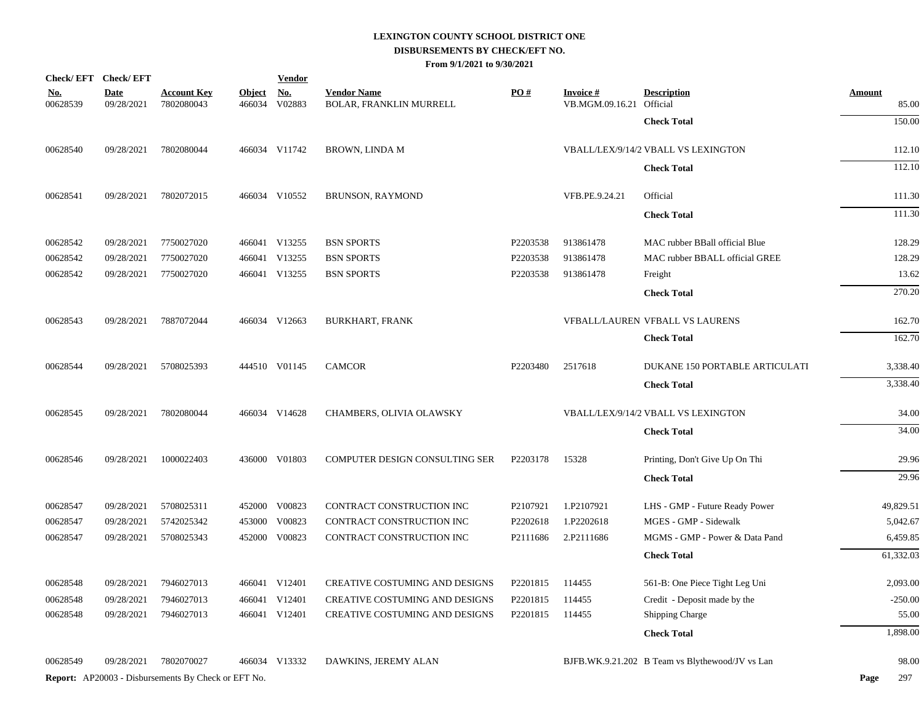|                        | Check/EFT Check/EFT       |                                                            |                         | <b>Vendor</b>        |                                               |          |                                             |                                                 |                        |
|------------------------|---------------------------|------------------------------------------------------------|-------------------------|----------------------|-----------------------------------------------|----------|---------------------------------------------|-------------------------------------------------|------------------------|
| <u>No.</u><br>00628539 | <b>Date</b><br>09/28/2021 | <b>Account Key</b><br>7802080043                           | <b>Object</b><br>466034 | <u>No.</u><br>V02883 | <b>Vendor Name</b><br>BOLAR, FRANKLIN MURRELL | PO#      | <b>Invoice#</b><br>VB.MGM.09.16.21 Official | <b>Description</b>                              | <b>Amount</b><br>85.00 |
|                        |                           |                                                            |                         |                      |                                               |          |                                             | <b>Check Total</b>                              | 150.00                 |
| 00628540               | 09/28/2021                | 7802080044                                                 |                         | 466034 V11742        | <b>BROWN, LINDA M</b>                         |          |                                             | VBALL/LEX/9/14/2 VBALL VS LEXINGTON             | 112.10                 |
|                        |                           |                                                            |                         |                      |                                               |          |                                             | <b>Check Total</b>                              | 112.10                 |
| 00628541               | 09/28/2021                | 7802072015                                                 |                         | 466034 V10552        | BRUNSON, RAYMOND                              |          | VFB.PE.9.24.21                              | Official                                        | 111.30                 |
|                        |                           |                                                            |                         |                      |                                               |          |                                             | <b>Check Total</b>                              | 111.30                 |
| 00628542               | 09/28/2021                | 7750027020                                                 |                         | 466041 V13255        | <b>BSN SPORTS</b>                             | P2203538 | 913861478                                   | MAC rubber BBall official Blue                  | 128.29                 |
| 00628542               | 09/28/2021                | 7750027020                                                 |                         | 466041 V13255        | <b>BSN SPORTS</b>                             | P2203538 | 913861478                                   | MAC rubber BBALL official GREE                  | 128.29                 |
| 00628542               | 09/28/2021                | 7750027020                                                 |                         | 466041 V13255        | <b>BSN SPORTS</b>                             | P2203538 | 913861478                                   | Freight                                         | 13.62                  |
|                        |                           |                                                            |                         |                      |                                               |          |                                             | <b>Check Total</b>                              | 270.20                 |
| 00628543               | 09/28/2021                | 7887072044                                                 |                         | 466034 V12663        | <b>BURKHART, FRANK</b>                        |          |                                             | VFBALL/LAUREN VFBALL VS LAURENS                 | 162.70                 |
|                        |                           |                                                            |                         |                      |                                               |          |                                             | <b>Check Total</b>                              | 162.70                 |
| 00628544               | 09/28/2021                | 5708025393                                                 |                         | 444510 V01145        | <b>CAMCOR</b>                                 | P2203480 | 2517618                                     | <b>DUKANE 150 PORTABLE ARTICULATI</b>           | 3,338.40               |
|                        |                           |                                                            |                         |                      |                                               |          |                                             | <b>Check Total</b>                              | 3,338.40               |
| 00628545               | 09/28/2021                | 7802080044                                                 |                         | 466034 V14628        | CHAMBERS, OLIVIA OLAWSKY                      |          |                                             | VBALL/LEX/9/14/2 VBALL VS LEXINGTON             | 34.00                  |
|                        |                           |                                                            |                         |                      |                                               |          |                                             | <b>Check Total</b>                              | 34.00                  |
| 00628546               | 09/28/2021                | 1000022403                                                 |                         | 436000 V01803        | COMPUTER DESIGN CONSULTING SER                | P2203178 | 15328                                       | Printing, Don't Give Up On Thi                  | 29.96                  |
|                        |                           |                                                            |                         |                      |                                               |          |                                             | <b>Check Total</b>                              | 29.96                  |
| 00628547               | 09/28/2021                | 5708025311                                                 |                         | 452000 V00823        | CONTRACT CONSTRUCTION INC                     | P2107921 | 1.P2107921                                  | LHS - GMP - Future Ready Power                  | 49,829.51              |
| 00628547               | 09/28/2021                | 5742025342                                                 |                         | 453000 V00823        | CONTRACT CONSTRUCTION INC                     | P2202618 | 1.P2202618                                  | MGES - GMP - Sidewalk                           | 5,042.67               |
| 00628547               | 09/28/2021                | 5708025343                                                 |                         | 452000 V00823        | CONTRACT CONSTRUCTION INC                     | P2111686 | 2.P2111686                                  | MGMS - GMP - Power & Data Pand                  | 6,459.85               |
|                        |                           |                                                            |                         |                      |                                               |          |                                             | <b>Check Total</b>                              | 61,332.03              |
| 00628548               | 09/28/2021                | 7946027013                                                 |                         | 466041 V12401        | CREATIVE COSTUMING AND DESIGNS                | P2201815 | 114455                                      | 561-B: One Piece Tight Leg Uni                  | 2,093.00               |
| 00628548               | 09/28/2021                | 7946027013                                                 |                         | 466041 V12401        | CREATIVE COSTUMING AND DESIGNS                | P2201815 | 114455                                      | Credit - Deposit made by the                    | $-250.00$              |
| 00628548               | 09/28/2021                | 7946027013                                                 |                         | 466041 V12401        | CREATIVE COSTUMING AND DESIGNS                | P2201815 | 114455                                      | Shipping Charge                                 | 55.00                  |
|                        |                           |                                                            |                         |                      |                                               |          |                                             | <b>Check Total</b>                              | 1,898.00               |
| 00628549               | 09/28/2021                | 7802070027                                                 |                         | 466034 V13332        | DAWKINS, JEREMY ALAN                          |          |                                             | BJFB.WK.9.21.202 B Team vs Blythewood/JV vs Lan | 98.00                  |
|                        |                           | <b>Report:</b> AP20003 - Disbursements By Check or EFT No. |                         |                      |                                               |          |                                             |                                                 | 297<br>Page            |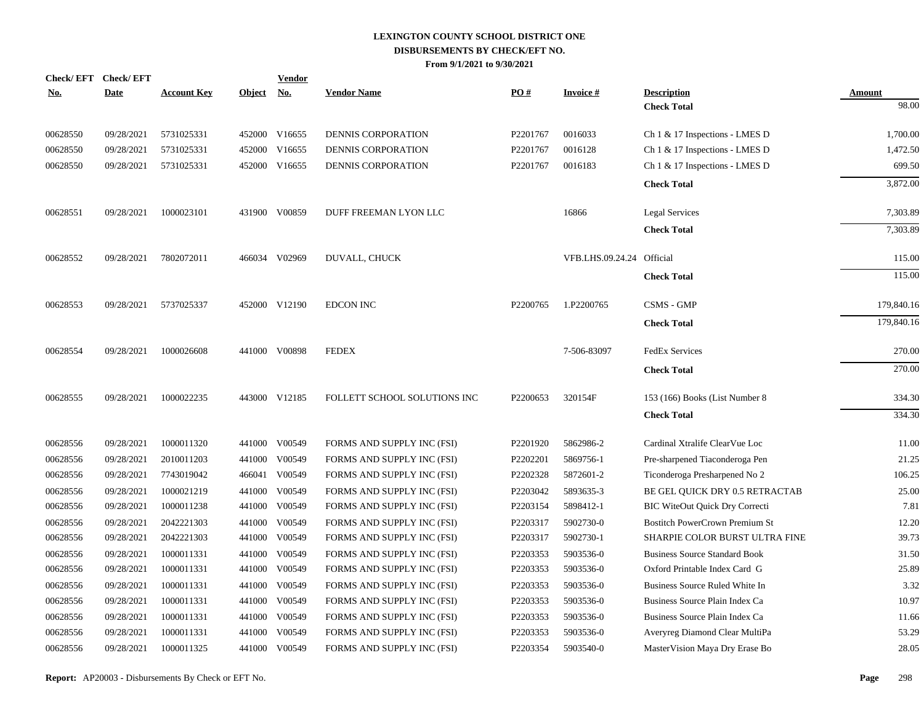| No.      | Check/EFT Check/EFT<br><b>Date</b> | <b>Account Key</b> | <b>Object</b> | <b>Vendor</b><br><u>No.</u> | <b>Vendor Name</b>           | PO#                  | <b>Invoice#</b>           | <b>Description</b>                    | Amount     |
|----------|------------------------------------|--------------------|---------------|-----------------------------|------------------------------|----------------------|---------------------------|---------------------------------------|------------|
|          |                                    |                    |               |                             |                              |                      |                           | <b>Check Total</b>                    | 98.00      |
| 00628550 | 09/28/2021                         | 5731025331         |               | 452000 V16655               | <b>DENNIS CORPORATION</b>    | P <sub>2201767</sub> | 0016033                   | Ch 1 & 17 Inspections - LMES D        | 1,700.00   |
| 00628550 | 09/28/2021                         | 5731025331         |               | 452000 V16655               | DENNIS CORPORATION           | P2201767             | 0016128                   | Ch 1 & 17 Inspections - LMES D        | 1,472.50   |
| 00628550 | 09/28/2021                         | 5731025331         |               | 452000 V16655               | DENNIS CORPORATION           | P2201767             | 0016183                   | Ch 1 & 17 Inspections - LMES D        | 699.50     |
|          |                                    |                    |               |                             |                              |                      |                           | <b>Check Total</b>                    | 3,872.00   |
| 00628551 | 09/28/2021                         | 1000023101         |               | 431900 V00859               | DUFF FREEMAN LYON LLC        |                      | 16866                     | <b>Legal Services</b>                 | 7,303.89   |
|          |                                    |                    |               |                             |                              |                      |                           | <b>Check Total</b>                    | 7,303.89   |
| 00628552 | 09/28/2021                         | 7802072011         |               | 466034 V02969               | DUVALL, CHUCK                |                      | VFB.LHS.09.24.24 Official |                                       | 115.00     |
|          |                                    |                    |               |                             |                              |                      |                           | <b>Check Total</b>                    | 115.00     |
| 00628553 | 09/28/2021                         | 5737025337         |               | 452000 V12190               | <b>EDCON INC</b>             | P <sub>2200765</sub> | 1.P2200765                | CSMS - GMP                            | 179,840.16 |
|          |                                    |                    |               |                             |                              |                      |                           | <b>Check Total</b>                    | 179,840.16 |
| 00628554 | 09/28/2021                         | 1000026608         |               | 441000 V00898               | <b>FEDEX</b>                 |                      | 7-506-83097               | <b>FedEx Services</b>                 | 270.00     |
|          |                                    |                    |               |                             |                              |                      |                           | <b>Check Total</b>                    | 270.00     |
| 00628555 | 09/28/2021                         | 1000022235         |               | 443000 V12185               | FOLLETT SCHOOL SOLUTIONS INC | P2200653             | 320154F                   | 153 (166) Books (List Number 8        | 334.30     |
|          |                                    |                    |               |                             |                              |                      |                           | <b>Check Total</b>                    | 334.30     |
| 00628556 | 09/28/2021                         | 1000011320         |               | 441000 V00549               | FORMS AND SUPPLY INC (FSI)   | P2201920             | 5862986-2                 | Cardinal Xtralife ClearVue Loc        | 11.00      |
| 00628556 | 09/28/2021                         | 2010011203         | 441000        | V00549                      | FORMS AND SUPPLY INC (FSI)   | P2202201             | 5869756-1                 | Pre-sharpened Tiaconderoga Pen        | 21.25      |
| 00628556 | 09/28/2021                         | 7743019042         |               | 466041 V00549               | FORMS AND SUPPLY INC (FSI)   | P2202328             | 5872601-2                 | Ticonderoga Presharpened No 2         | 106.25     |
| 00628556 | 09/28/2021                         | 1000021219         | 441000        | V00549                      | FORMS AND SUPPLY INC (FSI)   | P2203042             | 5893635-3                 | BE GEL QUICK DRY 0.5 RETRACTAB        | 25.00      |
| 00628556 | 09/28/2021                         | 1000011238         |               | 441000 V00549               | FORMS AND SUPPLY INC (FSI)   | P2203154             | 5898412-1                 | <b>BIC WiteOut Quick Dry Correcti</b> | 7.81       |
| 00628556 | 09/28/2021                         | 2042221303         | 441000        | V00549                      | FORMS AND SUPPLY INC (FSI)   | P2203317             | 5902730-0                 | <b>Bostitch PowerCrown Premium St</b> | 12.20      |
| 00628556 | 09/28/2021                         | 2042221303         |               | 441000 V00549               | FORMS AND SUPPLY INC (FSI)   | P2203317             | 5902730-1                 | SHARPIE COLOR BURST ULTRA FINE        | 39.73      |
| 00628556 | 09/28/2021                         | 1000011331         | 441000        | V00549                      | FORMS AND SUPPLY INC (FSI)   | P2203353             | 5903536-0                 | <b>Business Source Standard Book</b>  | 31.50      |
| 00628556 | 09/28/2021                         | 1000011331         |               | 441000 V00549               | FORMS AND SUPPLY INC (FSI)   | P2203353             | 5903536-0                 | Oxford Printable Index Card G         | 25.89      |
| 00628556 | 09/28/2021                         | 1000011331         | 441000        | V00549                      | FORMS AND SUPPLY INC (FSI)   | P2203353             | 5903536-0                 | Business Source Ruled White In        | 3.32       |
| 00628556 | 09/28/2021                         | 1000011331         |               | 441000 V00549               | FORMS AND SUPPLY INC (FSI)   | P2203353             | 5903536-0                 | Business Source Plain Index Ca        | 10.97      |
| 00628556 | 09/28/2021                         | 1000011331         | 441000        | V00549                      | FORMS AND SUPPLY INC (FSI)   | P2203353             | 5903536-0                 | Business Source Plain Index Ca        | 11.66      |
| 00628556 | 09/28/2021                         | 1000011331         | 441000        | V00549                      | FORMS AND SUPPLY INC (FSI)   | P2203353             | 5903536-0                 | Averyreg Diamond Clear MultiPa        | 53.29      |
| 00628556 | 09/28/2021                         | 1000011325         |               | 441000 V00549               | FORMS AND SUPPLY INC (FSI)   | P2203354             | 5903540-0                 | MasterVision Maya Dry Erase Bo        | 28.05      |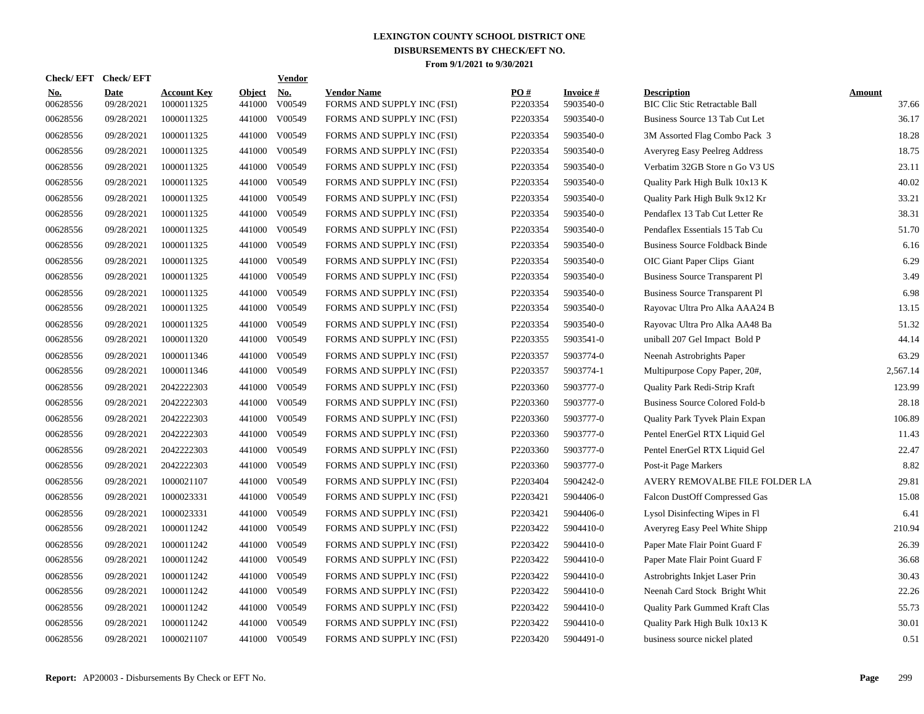| Check/ EFT             | <b>Check/EFT</b>          |                                  |                         | <b>Vendor</b>        |                                                  |                 |                              |                                                             |                        |
|------------------------|---------------------------|----------------------------------|-------------------------|----------------------|--------------------------------------------------|-----------------|------------------------------|-------------------------------------------------------------|------------------------|
| <u>No.</u><br>00628556 | <b>Date</b><br>09/28/2021 | <b>Account Key</b><br>1000011325 | <b>Object</b><br>441000 | <u>No.</u><br>V00549 | <b>Vendor Name</b><br>FORMS AND SUPPLY INC (FSI) | PQ#<br>P2203354 | <b>Invoice#</b><br>5903540-0 | <b>Description</b><br><b>BIC Clic Stic Retractable Ball</b> | <b>Amount</b><br>37.66 |
| 00628556               | 09/28/2021                | 1000011325                       | 441000                  | V00549               | FORMS AND SUPPLY INC (FSI)                       | P2203354        | 5903540-0                    | Business Source 13 Tab Cut Let                              | 36.17                  |
| 00628556               | 09/28/2021                | 1000011325                       | 441000                  | V00549               | FORMS AND SUPPLY INC (FSI)                       | P2203354        | 5903540-0                    | 3M Assorted Flag Combo Pack 3                               | 18.28                  |
| 00628556               | 09/28/2021                | 1000011325                       | 441000                  | V00549               | FORMS AND SUPPLY INC (FSI)                       | P2203354        | 5903540-0                    | Averyreg Easy Peelreg Address                               | 18.75                  |
| 00628556               | 09/28/2021                | 1000011325                       | 441000                  | V00549               | FORMS AND SUPPLY INC (FSI)                       | P2203354        | 5903540-0                    | Verbatim 32GB Store n Go V3 US                              | 23.11                  |
| 00628556               | 09/28/2021                | 1000011325                       | 441000                  | V00549               | FORMS AND SUPPLY INC (FSI)                       | P2203354        | 5903540-0                    | Quality Park High Bulk 10x13 K                              | 40.02                  |
| 00628556               | 09/28/2021                | 1000011325                       | 441000                  | V00549               | FORMS AND SUPPLY INC (FSI)                       | P2203354        | 5903540-0                    | Quality Park High Bulk 9x12 Kr                              | 33.21                  |
| 00628556               | 09/28/2021                | 1000011325                       | 441000                  | V00549               | FORMS AND SUPPLY INC (FSI)                       | P2203354        | 5903540-0                    | Pendaflex 13 Tab Cut Letter Re                              | 38.31                  |
| 00628556               | 09/28/2021                | 1000011325                       | 441000                  | V00549               | FORMS AND SUPPLY INC (FSI)                       | P2203354        | 5903540-0                    | Pendaflex Essentials 15 Tab Cu                              | 51.70                  |
| 00628556               | 09/28/2021                | 1000011325                       | 441000                  | V00549               | FORMS AND SUPPLY INC (FSI)                       | P2203354        | 5903540-0                    | <b>Business Source Foldback Binde</b>                       | 6.16                   |
| 00628556               | 09/28/2021                | 1000011325                       | 441000                  | V00549               | FORMS AND SUPPLY INC (FSI)                       | P2203354        | 5903540-0                    | OIC Giant Paper Clips Giant                                 | 6.29                   |
| 00628556               | 09/28/2021                | 1000011325                       | 441000                  | V00549               | FORMS AND SUPPLY INC (FSI)                       | P2203354        | 5903540-0                    | <b>Business Source Transparent Pl</b>                       | 3.49                   |
| 00628556               | 09/28/2021                | 1000011325                       | 441000                  | V00549               | FORMS AND SUPPLY INC (FSI)                       | P2203354        | 5903540-0                    | <b>Business Source Transparent Pl</b>                       | 6.98                   |
| 00628556               | 09/28/2021                | 1000011325                       | 441000                  | V00549               | FORMS AND SUPPLY INC (FSI)                       | P2203354        | 5903540-0                    | Rayovac Ultra Pro Alka AAA24 B                              | 13.15                  |
| 00628556               | 09/28/2021                | 1000011325                       | 441000                  | V00549               | FORMS AND SUPPLY INC (FSI)                       | P2203354        | 5903540-0                    | Rayovac Ultra Pro Alka AA48 Ba                              | 51.32                  |
| 00628556               | 09/28/2021                | 1000011320                       | 441000                  | V00549               | FORMS AND SUPPLY INC (FSI)                       | P2203355        | 5903541-0                    | uniball 207 Gel Impact Bold P                               | 44.14                  |
| 00628556               | 09/28/2021                | 1000011346                       | 441000                  | V00549               | FORMS AND SUPPLY INC (FSI)                       | P2203357        | 5903774-0                    | Neenah Astrobrights Paper                                   | 63.29                  |
| 00628556               | 09/28/2021                | 1000011346                       | 441000                  | V00549               | FORMS AND SUPPLY INC (FSI)                       | P2203357        | 5903774-1                    | Multipurpose Copy Paper, 20#,                               | 2,567.14               |
| 00628556               | 09/28/2021                | 2042222303                       | 441000                  | V00549               | FORMS AND SUPPLY INC (FSI)                       | P2203360        | 5903777-0                    | Quality Park Redi-Strip Kraft                               | 123.99                 |
| 00628556               | 09/28/2021                | 2042222303                       | 441000                  | V00549               | FORMS AND SUPPLY INC (FSI)                       | P2203360        | 5903777-0                    | Business Source Colored Fold-b                              | 28.18                  |
| 00628556               | 09/28/2021                | 2042222303                       | 441000                  | V00549               | FORMS AND SUPPLY INC (FSI)                       | P2203360        | 5903777-0                    | Quality Park Tyvek Plain Expan                              | 106.89                 |
| 00628556               | 09/28/2021                | 2042222303                       | 441000                  | V00549               | FORMS AND SUPPLY INC (FSI)                       | P2203360        | 5903777-0                    | Pentel EnerGel RTX Liquid Gel                               | 11.43                  |
| 00628556               | 09/28/2021                | 2042222303                       | 441000                  | V00549               | FORMS AND SUPPLY INC (FSI)                       | P2203360        | 5903777-0                    | Pentel EnerGel RTX Liquid Gel                               | 22.47                  |
| 00628556               | 09/28/2021                | 2042222303                       | 441000                  | V00549               | FORMS AND SUPPLY INC (FSI)                       | P2203360        | 5903777-0                    | Post-it Page Markers                                        | 8.82                   |
| 00628556               | 09/28/2021                | 1000021107                       | 441000                  | V00549               | FORMS AND SUPPLY INC (FSI)                       | P2203404        | 5904242-0                    | AVERY REMOVALBE FILE FOLDER LA                              | 29.81                  |
| 00628556               | 09/28/2021                | 1000023331                       |                         | 441000 V00549        | FORMS AND SUPPLY INC (FSI)                       | P2203421        | 5904406-0                    | Falcon DustOff Compressed Gas                               | 15.08                  |
| 00628556               | 09/28/2021                | 1000023331                       | 441000                  | V00549               | FORMS AND SUPPLY INC (FSI)                       | P2203421        | 5904406-0                    | Lysol Disinfecting Wipes in Fl                              | 6.41                   |
| 00628556               | 09/28/2021                | 1000011242                       | 441000                  | V00549               | FORMS AND SUPPLY INC (FSI)                       | P2203422        | 5904410-0                    | Averyreg Easy Peel White Shipp                              | 210.94                 |
| 00628556               | 09/28/2021                | 1000011242                       | 441000                  | V00549               | FORMS AND SUPPLY INC (FSI)                       | P2203422        | 5904410-0                    | Paper Mate Flair Point Guard F                              | 26.39                  |
| 00628556               | 09/28/2021                | 1000011242                       | 441000                  | V00549               | FORMS AND SUPPLY INC (FSI)                       | P2203422        | 5904410-0                    | Paper Mate Flair Point Guard F                              | 36.68                  |
| 00628556               | 09/28/2021                | 1000011242                       | 441000                  | V00549               | FORMS AND SUPPLY INC (FSI)                       | P2203422        | 5904410-0                    | Astrobrights Inkjet Laser Prin                              | 30.43                  |
| 00628556               | 09/28/2021                | 1000011242                       | 441000                  | V00549               | FORMS AND SUPPLY INC (FSI)                       | P2203422        | 5904410-0                    | Neenah Card Stock Bright Whit                               | 22.26                  |
| 00628556               | 09/28/2021                | 1000011242                       | 441000                  | V00549               | FORMS AND SUPPLY INC (FSI)                       | P2203422        | 5904410-0                    | Quality Park Gummed Kraft Clas                              | 55.73                  |
| 00628556               | 09/28/2021                | 1000011242                       | 441000                  | V00549               | FORMS AND SUPPLY INC (FSI)                       | P2203422        | 5904410-0                    | Quality Park High Bulk 10x13 K                              | 30.01                  |
| 00628556               | 09/28/2021                | 1000021107                       |                         | 441000 V00549        | FORMS AND SUPPLY INC (FSI)                       | P2203420        | 5904491-0                    | business source nickel plated                               | 0.51                   |
|                        |                           |                                  |                         |                      |                                                  |                 |                              |                                                             |                        |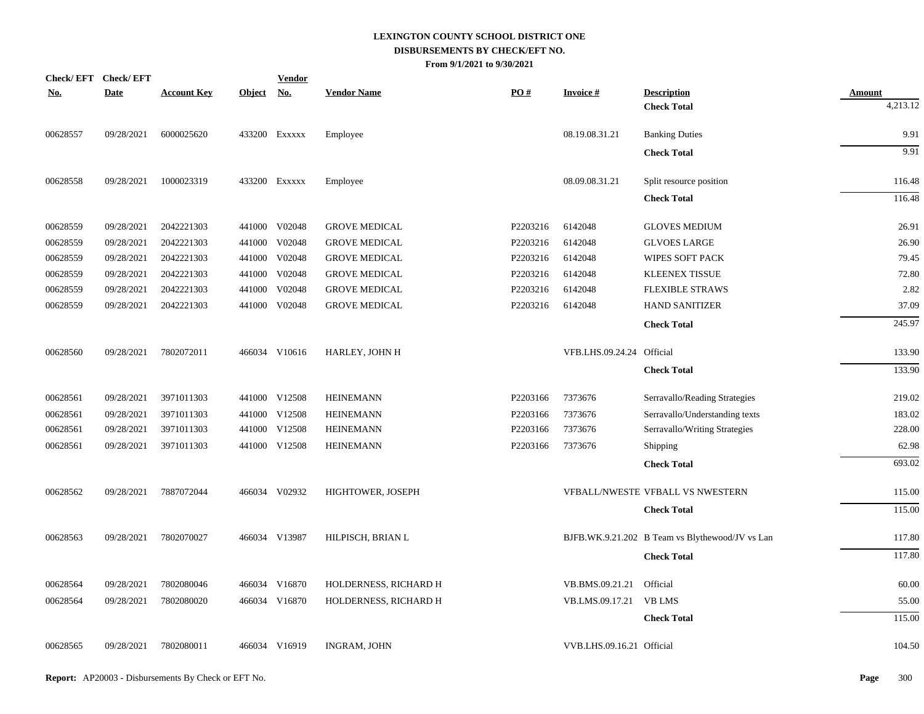| <b>Check/EFT</b> | <b>Check/EFT</b> |                    |               | <b>Vendor</b> |                       |          |                           |                                                 |               |
|------------------|------------------|--------------------|---------------|---------------|-----------------------|----------|---------------------------|-------------------------------------------------|---------------|
| <u>No.</u>       | <b>Date</b>      | <b>Account Key</b> | <b>Object</b> | <u>No.</u>    | <b>Vendor Name</b>    | PO#      | <b>Invoice#</b>           | <b>Description</b>                              | <b>Amount</b> |
|                  |                  |                    |               |               |                       |          |                           | <b>Check Total</b>                              | 4,213.12      |
| 00628557         | 09/28/2021       | 6000025620         |               | 433200 Exxxxx | Employee              |          | 08.19.08.31.21            | <b>Banking Duties</b>                           | 9.91          |
|                  |                  |                    |               |               |                       |          |                           | <b>Check Total</b>                              | 9.91          |
| 00628558         | 09/28/2021       | 1000023319         |               | 433200 Exxxxx | Employee              |          | 08.09.08.31.21            | Split resource position                         | 116.48        |
|                  |                  |                    |               |               |                       |          |                           | <b>Check Total</b>                              | 116.48        |
| 00628559         | 09/28/2021       | 2042221303         |               | 441000 V02048 | <b>GROVE MEDICAL</b>  | P2203216 | 6142048                   | <b>GLOVES MEDIUM</b>                            | 26.91         |
| 00628559         | 09/28/2021       | 2042221303         |               | 441000 V02048 | <b>GROVE MEDICAL</b>  | P2203216 | 6142048                   | <b>GLVOES LARGE</b>                             | 26.90         |
| 00628559         | 09/28/2021       | 2042221303         |               | 441000 V02048 | <b>GROVE MEDICAL</b>  | P2203216 | 6142048                   | WIPES SOFT PACK                                 | 79.45         |
| 00628559         | 09/28/2021       | 2042221303         |               | 441000 V02048 | <b>GROVE MEDICAL</b>  | P2203216 | 6142048                   | <b>KLEENEX TISSUE</b>                           | 72.80         |
| 00628559         | 09/28/2021       | 2042221303         |               | 441000 V02048 | <b>GROVE MEDICAL</b>  | P2203216 | 6142048                   | <b>FLEXIBLE STRAWS</b>                          | 2.82          |
| 00628559         | 09/28/2021       | 2042221303         |               | 441000 V02048 | <b>GROVE MEDICAL</b>  | P2203216 | 6142048                   | <b>HAND SANITIZER</b>                           | 37.09         |
|                  |                  |                    |               |               |                       |          |                           | <b>Check Total</b>                              | 245.97        |
| 00628560         | 09/28/2021       | 7802072011         |               | 466034 V10616 | HARLEY, JOHN H        |          | VFB.LHS.09.24.24 Official |                                                 | 133.90        |
|                  |                  |                    |               |               |                       |          |                           | <b>Check Total</b>                              | 133.90        |
| 00628561         | 09/28/2021       | 3971011303         |               | 441000 V12508 | <b>HEINEMANN</b>      | P2203166 | 7373676                   | Serravallo/Reading Strategies                   | 219.02        |
| 00628561         | 09/28/2021       | 3971011303         |               | 441000 V12508 | <b>HEINEMANN</b>      | P2203166 | 7373676                   | Serravallo/Understanding texts                  | 183.02        |
| 00628561         | 09/28/2021       | 3971011303         |               | 441000 V12508 | <b>HEINEMANN</b>      | P2203166 | 7373676                   | Serravallo/Writing Strategies                   | 228.00        |
| 00628561         | 09/28/2021       | 3971011303         |               | 441000 V12508 | <b>HEINEMANN</b>      | P2203166 | 7373676                   | Shipping                                        | 62.98         |
|                  |                  |                    |               |               |                       |          |                           | <b>Check Total</b>                              | 693.02        |
| 00628562         | 09/28/2021       | 7887072044         |               | 466034 V02932 | HIGHTOWER, JOSEPH     |          |                           | VFBALL/NWESTE VFBALL VS NWESTERN                | 115.00        |
|                  |                  |                    |               |               |                       |          |                           | <b>Check Total</b>                              | 115.00        |
| 00628563         | 09/28/2021       | 7802070027         |               | 466034 V13987 | HILPISCH, BRIAN L     |          |                           | BJFB.WK.9.21.202 B Team vs Blythewood/JV vs Lan | 117.80        |
|                  |                  |                    |               |               |                       |          |                           | <b>Check Total</b>                              | 117.80        |
| 00628564         | 09/28/2021       | 7802080046         |               | 466034 V16870 | HOLDERNESS, RICHARD H |          | VB.BMS.09.21.21           | Official                                        | 60.00         |
| 00628564         | 09/28/2021       | 7802080020         |               | 466034 V16870 | HOLDERNESS, RICHARD H |          | VB.LMS.09.17.21           | <b>VB LMS</b>                                   | 55.00         |
|                  |                  |                    |               |               |                       |          |                           | <b>Check Total</b>                              | 115.00        |
| 00628565         | 09/28/2021       | 7802080011         |               | 466034 V16919 | <b>INGRAM, JOHN</b>   |          | VVB.LHS.09.16.21 Official |                                                 | 104.50        |
|                  |                  |                    |               |               |                       |          |                           |                                                 |               |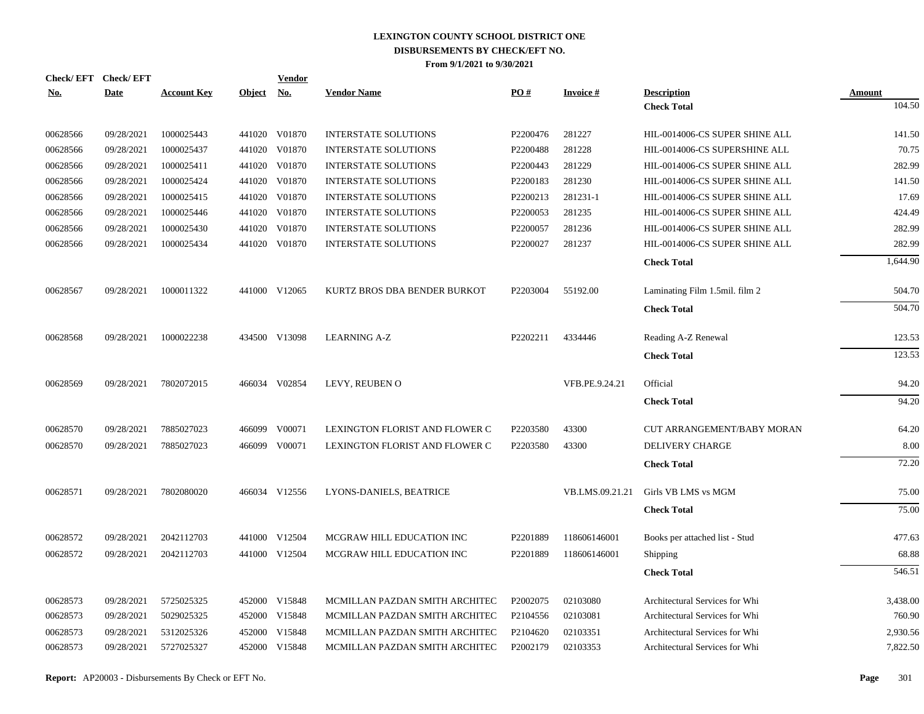| Check/EFT Check/EFT<br><b>No.</b> | <b>Date</b> | <b>Account Key</b> | <b>Object</b> | <b>Vendor</b><br>No. | <b>Vendor Name</b>             | PO#      | <b>Invoice#</b> | <b>Description</b>             | Amount   |
|-----------------------------------|-------------|--------------------|---------------|----------------------|--------------------------------|----------|-----------------|--------------------------------|----------|
|                                   |             |                    |               |                      |                                |          |                 | <b>Check Total</b>             | 104.50   |
| 00628566                          | 09/28/2021  | 1000025443         |               | 441020 V01870        | <b>INTERSTATE SOLUTIONS</b>    | P2200476 | 281227          | HIL-0014006-CS SUPER SHINE ALL | 141.50   |
| 00628566                          | 09/28/2021  | 1000025437         |               | 441020 V01870        | <b>INTERSTATE SOLUTIONS</b>    | P2200488 | 281228          | HIL-0014006-CS SUPERSHINE ALL  | 70.75    |
| 00628566                          | 09/28/2021  | 1000025411         |               | 441020 V01870        | <b>INTERSTATE SOLUTIONS</b>    | P2200443 | 281229          | HIL-0014006-CS SUPER SHINE ALL | 282.99   |
| 00628566                          | 09/28/2021  | 1000025424         |               | 441020 V01870        | <b>INTERSTATE SOLUTIONS</b>    | P2200183 | 281230          | HIL-0014006-CS SUPER SHINE ALL | 141.50   |
| 00628566                          | 09/28/2021  | 1000025415         |               | 441020 V01870        | <b>INTERSTATE SOLUTIONS</b>    | P2200213 | 281231-1        | HIL-0014006-CS SUPER SHINE ALL | 17.69    |
| 00628566                          | 09/28/2021  | 1000025446         |               | 441020 V01870        | <b>INTERSTATE SOLUTIONS</b>    | P2200053 | 281235          | HIL-0014006-CS SUPER SHINE ALL | 424.49   |
| 00628566                          | 09/28/2021  | 1000025430         |               | 441020 V01870        | <b>INTERSTATE SOLUTIONS</b>    | P2200057 | 281236          | HIL-0014006-CS SUPER SHINE ALL | 282.99   |
| 00628566                          | 09/28/2021  | 1000025434         |               | 441020 V01870        | <b>INTERSTATE SOLUTIONS</b>    | P2200027 | 281237          | HIL-0014006-CS SUPER SHINE ALL | 282.99   |
|                                   |             |                    |               |                      |                                |          |                 | <b>Check Total</b>             | 1,644.90 |
| 00628567                          | 09/28/2021  | 1000011322         |               | 441000 V12065        | KURTZ BROS DBA BENDER BURKOT   | P2203004 | 55192.00        | Laminating Film 1.5mil. film 2 | 504.70   |
|                                   |             |                    |               |                      |                                |          |                 | <b>Check Total</b>             | 504.70   |
| 00628568                          | 09/28/2021  | 1000022238         |               | 434500 V13098        | <b>LEARNING A-Z</b>            | P2202211 | 4334446         | Reading A-Z Renewal            | 123.53   |
|                                   |             |                    |               |                      |                                |          |                 | <b>Check Total</b>             | 123.53   |
| 00628569                          | 09/28/2021  | 7802072015         |               | 466034 V02854        | LEVY, REUBEN O                 |          | VFB.PE.9.24.21  | Official                       | 94.20    |
|                                   |             |                    |               |                      |                                |          |                 | <b>Check Total</b>             | 94.20    |
| 00628570                          | 09/28/2021  | 7885027023         |               | 466099 V00071        | LEXINGTON FLORIST AND FLOWER C | P2203580 | 43300           | CUT ARRANGEMENT/BABY MORAN     | 64.20    |
| 00628570                          | 09/28/2021  | 7885027023         |               | 466099 V00071        | LEXINGTON FLORIST AND FLOWER C | P2203580 | 43300           | <b>DELIVERY CHARGE</b>         | 8.00     |
|                                   |             |                    |               |                      |                                |          |                 | <b>Check Total</b>             | 72.20    |
| 00628571                          | 09/28/2021  | 7802080020         |               | 466034 V12556        | LYONS-DANIELS, BEATRICE        |          | VB.LMS.09.21.21 | Girls VB LMS vs MGM            | 75.00    |
|                                   |             |                    |               |                      |                                |          |                 | <b>Check Total</b>             | 75.00    |
| 00628572                          | 09/28/2021  | 2042112703         |               | 441000 V12504        | MCGRAW HILL EDUCATION INC      | P2201889 | 118606146001    | Books per attached list - Stud | 477.63   |
| 00628572                          | 09/28/2021  | 2042112703         |               | 441000 V12504        | MCGRAW HILL EDUCATION INC      | P2201889 | 118606146001    | Shipping                       | 68.88    |
|                                   |             |                    |               |                      |                                |          |                 | <b>Check Total</b>             | 546.51   |
| 00628573                          | 09/28/2021  | 5725025325         |               | 452000 V15848        | MCMILLAN PAZDAN SMITH ARCHITEC | P2002075 | 02103080        | Architectural Services for Whi | 3,438.00 |
| 00628573                          | 09/28/2021  | 5029025325         |               | 452000 V15848        | MCMILLAN PAZDAN SMITH ARCHITEC | P2104556 | 02103081        | Architectural Services for Whi | 760.90   |
| 00628573                          | 09/28/2021  | 5312025326         | 452000        | V15848               | MCMILLAN PAZDAN SMITH ARCHITEC | P2104620 | 02103351        | Architectural Services for Whi | 2,930.56 |
| 00628573                          | 09/28/2021  | 5727025327         |               | 452000 V15848        | MCMILLAN PAZDAN SMITH ARCHITEC | P2002179 | 02103353        | Architectural Services for Whi | 7,822.50 |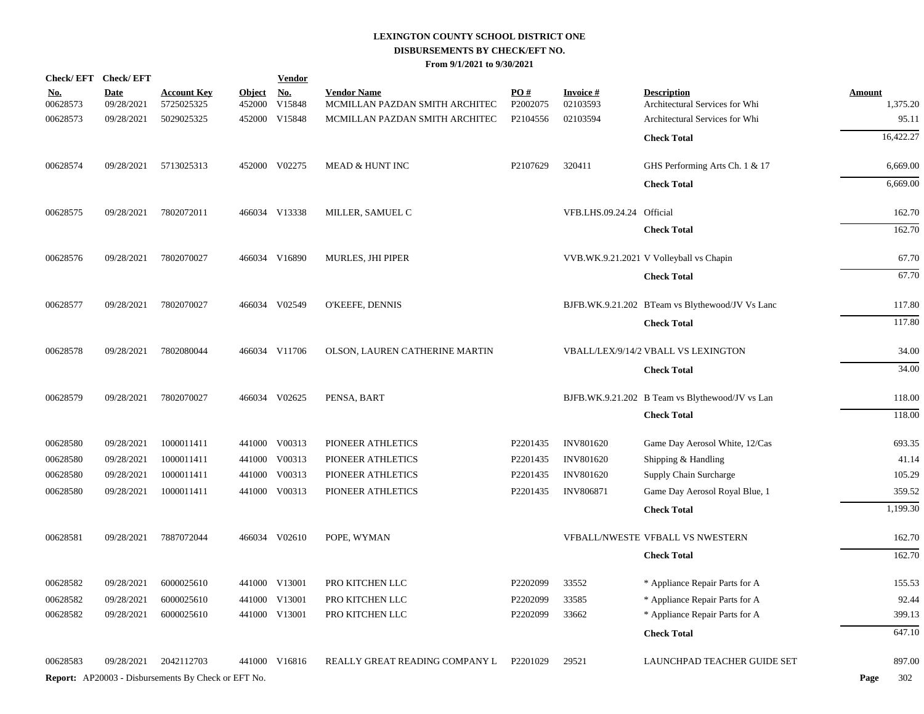| Check/EFT Check/EFT    |                           |                                                            |                         | <b>Vendor</b>                       |                                                      |                 |                              |                                                      |                           |
|------------------------|---------------------------|------------------------------------------------------------|-------------------------|-------------------------------------|------------------------------------------------------|-----------------|------------------------------|------------------------------------------------------|---------------------------|
| <u>No.</u><br>00628573 | <b>Date</b><br>09/28/2021 | <u>Account Key</u><br>5725025325                           | <u>Object</u><br>452000 | $\underline{\mathrm{No}}$<br>V15848 | <b>Vendor Name</b><br>MCMILLAN PAZDAN SMITH ARCHITEC | PO#<br>P2002075 | <u>Invoice #</u><br>02103593 | <b>Description</b><br>Architectural Services for Whi | <b>Amount</b><br>1,375.20 |
| 00628573               | 09/28/2021                | 5029025325                                                 |                         | 452000 V15848                       | MCMILLAN PAZDAN SMITH ARCHITEC                       | P2104556        | 02103594                     | Architectural Services for Whi                       | 95.11                     |
|                        |                           |                                                            |                         |                                     |                                                      |                 |                              | <b>Check Total</b>                                   | 16,422.27                 |
|                        |                           |                                                            |                         |                                     |                                                      |                 |                              |                                                      |                           |
| 00628574               | 09/28/2021                | 5713025313                                                 |                         | 452000 V02275                       | MEAD & HUNT INC                                      | P2107629        | 320411                       | GHS Performing Arts Ch. 1 & 17                       | 6,669.00                  |
|                        |                           |                                                            |                         |                                     |                                                      |                 |                              | <b>Check Total</b>                                   | 6,669.00                  |
| 00628575               | 09/28/2021                | 7802072011                                                 |                         | 466034 V13338                       | MILLER, SAMUEL C                                     |                 | VFB.LHS.09.24.24 Official    |                                                      | 162.70                    |
|                        |                           |                                                            |                         |                                     |                                                      |                 |                              | <b>Check Total</b>                                   | 162.70                    |
|                        |                           |                                                            |                         |                                     |                                                      |                 |                              |                                                      |                           |
| 00628576               | 09/28/2021                | 7802070027                                                 |                         | 466034 V16890                       | MURLES, JHI PIPER                                    |                 |                              | VVB.WK.9.21.2021 V Volleyball vs Chapin              | 67.70                     |
|                        |                           |                                                            |                         |                                     |                                                      |                 |                              | <b>Check Total</b>                                   | 67.70                     |
| 00628577               | 09/28/2021                | 7802070027                                                 |                         | 466034 V02549                       | O'KEEFE, DENNIS                                      |                 |                              | BJFB.WK.9.21.202 BTeam vs Blythewood/JV Vs Lanc      | 117.80                    |
|                        |                           |                                                            |                         |                                     |                                                      |                 |                              | <b>Check Total</b>                                   | 117.80                    |
| 00628578               | 09/28/2021                | 7802080044                                                 |                         | 466034 V11706                       | OLSON, LAUREN CATHERINE MARTIN                       |                 |                              | VBALL/LEX/9/14/2 VBALL VS LEXINGTON                  | 34.00                     |
|                        |                           |                                                            |                         |                                     |                                                      |                 |                              | <b>Check Total</b>                                   | 34.00                     |
|                        |                           |                                                            |                         |                                     |                                                      |                 |                              |                                                      |                           |
| 00628579               | 09/28/2021                | 7802070027                                                 |                         | 466034 V02625                       | PENSA, BART                                          |                 |                              | BJFB.WK.9.21.202 B Team vs Blythewood/JV vs Lan      | 118.00                    |
|                        |                           |                                                            |                         |                                     |                                                      |                 |                              | <b>Check Total</b>                                   | 118.00                    |
| 00628580               | 09/28/2021                | 1000011411                                                 |                         | 441000 V00313                       | PIONEER ATHLETICS                                    | P2201435        | <b>INV801620</b>             | Game Day Aerosol White, 12/Cas                       | 693.35                    |
| 00628580               | 09/28/2021                | 1000011411                                                 |                         | 441000 V00313                       | PIONEER ATHLETICS                                    | P2201435        | INV801620                    | Shipping & Handling                                  | 41.14                     |
| 00628580               | 09/28/2021                | 1000011411                                                 |                         | 441000 V00313                       | PIONEER ATHLETICS                                    | P2201435        | <b>INV801620</b>             | Supply Chain Surcharge                               | 105.29                    |
| 00628580               | 09/28/2021                | 1000011411                                                 |                         | 441000 V00313                       | PIONEER ATHLETICS                                    | P2201435        | <b>INV806871</b>             | Game Day Aerosol Royal Blue, 1                       | 359.52                    |
|                        |                           |                                                            |                         |                                     |                                                      |                 |                              | <b>Check Total</b>                                   | 1,199.30                  |
| 00628581               | 09/28/2021                | 7887072044                                                 |                         | 466034 V02610                       | POPE, WYMAN                                          |                 |                              | VFBALL/NWESTE VFBALL VS NWESTERN                     | 162.70                    |
|                        |                           |                                                            |                         |                                     |                                                      |                 |                              | <b>Check Total</b>                                   | 162.70                    |
|                        |                           |                                                            |                         |                                     |                                                      |                 |                              |                                                      |                           |
| 00628582               | 09/28/2021                | 6000025610                                                 |                         | 441000 V13001                       | PRO KITCHEN LLC                                      | P2202099        | 33552                        | * Appliance Repair Parts for A                       | 155.53                    |
| 00628582               | 09/28/2021                | 6000025610                                                 |                         | 441000 V13001                       | PRO KITCHEN LLC                                      | P2202099        | 33585                        | * Appliance Repair Parts for A                       | 92.44                     |
| 00628582               | 09/28/2021                | 6000025610                                                 |                         | 441000 V13001                       | PRO KITCHEN LLC                                      | P2202099        | 33662                        | * Appliance Repair Parts for A                       | 399.13                    |
|                        |                           |                                                            |                         |                                     |                                                      |                 |                              | <b>Check Total</b>                                   | 647.10                    |
| 00628583               | 09/28/2021                | 2042112703                                                 |                         | 441000 V16816                       | REALLY GREAT READING COMPANY L                       | P2201029        | 29521                        | LAUNCHPAD TEACHER GUIDE SET                          | 897.00                    |
|                        |                           | <b>Report:</b> AP20003 - Disbursements By Check or EFT No. |                         |                                     |                                                      |                 |                              |                                                      | 302<br>Page               |
|                        |                           |                                                            |                         |                                     |                                                      |                 |                              |                                                      |                           |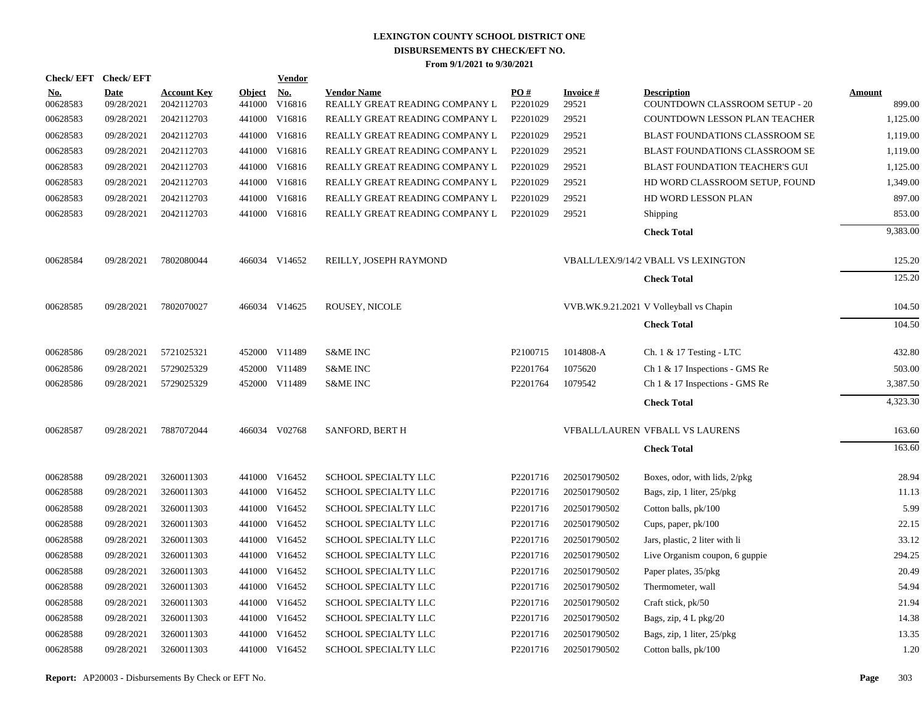|                        | Check/EFT Check/EFT       |                                  |                         | <b>Vendor</b>        |                                                      |                      |                    |                                                      |                  |
|------------------------|---------------------------|----------------------------------|-------------------------|----------------------|------------------------------------------------------|----------------------|--------------------|------------------------------------------------------|------------------|
| <u>No.</u><br>00628583 | <b>Date</b><br>09/28/2021 | <b>Account Key</b><br>2042112703 | <b>Object</b><br>441000 | <b>No.</b><br>V16816 | <b>Vendor Name</b><br>REALLY GREAT READING COMPANY L | PO#<br>P2201029      | Invoice #<br>29521 | <b>Description</b><br>COUNTDOWN CLASSROOM SETUP - 20 | Amount<br>899.00 |
| 00628583               | 09/28/2021                | 2042112703                       |                         | 441000 V16816        | REALLY GREAT READING COMPANY L                       | P2201029             | 29521              | COUNTDOWN LESSON PLAN TEACHER                        | 1,125.00         |
| 00628583               | 09/28/2021                | 2042112703                       |                         | 441000 V16816        | REALLY GREAT READING COMPANY L                       | P2201029             | 29521              | BLAST FOUNDATIONS CLASSROOM SE                       | 1,119.00         |
| 00628583               | 09/28/2021                | 2042112703                       |                         | 441000 V16816        | REALLY GREAT READING COMPANY L                       | P2201029             | 29521              | BLAST FOUNDATIONS CLASSROOM SE                       | 1,119.00         |
| 00628583               | 09/28/2021                | 2042112703                       |                         | 441000 V16816        | REALLY GREAT READING COMPANY L                       | P2201029             | 29521              | <b>BLAST FOUNDATION TEACHER'S GUI</b>                | 1,125.00         |
| 00628583               | 09/28/2021                | 2042112703                       |                         | 441000 V16816        | REALLY GREAT READING COMPANY L                       | P2201029             | 29521              | HD WORD CLASSROOM SETUP, FOUND                       | 1,349.00         |
| 00628583               | 09/28/2021                | 2042112703                       |                         | 441000 V16816        | REALLY GREAT READING COMPANY L                       | P2201029             | 29521              | HD WORD LESSON PLAN                                  | 897.00           |
| 00628583               | 09/28/2021                | 2042112703                       |                         | 441000 V16816        | REALLY GREAT READING COMPANY L                       | P2201029             | 29521              | Shipping                                             | 853.00           |
|                        |                           |                                  |                         |                      |                                                      |                      |                    | <b>Check Total</b>                                   | 9,383.00         |
| 00628584               | 09/28/2021                | 7802080044                       |                         | 466034 V14652        | REILLY, JOSEPH RAYMOND                               |                      |                    | VBALL/LEX/9/14/2 VBALL VS LEXINGTON                  | 125.20           |
|                        |                           |                                  |                         |                      |                                                      |                      |                    | <b>Check Total</b>                                   | 125.20           |
| 00628585               | 09/28/2021                | 7802070027                       |                         | 466034 V14625        | ROUSEY, NICOLE                                       |                      |                    | VVB.WK.9.21.2021 V Volleyball vs Chapin              | 104.50           |
|                        |                           |                                  |                         |                      |                                                      |                      |                    | <b>Check Total</b>                                   | 104.50           |
| 00628586               | 09/28/2021                | 5721025321                       |                         | 452000 V11489        | <b>S&amp;ME INC</b>                                  | P <sub>2100715</sub> | 1014808-A          | Ch. 1 & 17 Testing - LTC                             | 432.80           |
| 00628586               | 09/28/2021                | 5729025329                       |                         | 452000 V11489        | <b>S&amp;ME INC</b>                                  | P2201764             | 1075620            | Ch 1 & 17 Inspections - GMS Re                       | 503.00           |
| 00628586               | 09/28/2021                | 5729025329                       |                         | 452000 V11489        | <b>S&amp;ME INC</b>                                  | P2201764             | 1079542            | Ch 1 & 17 Inspections - GMS Re                       | 3,387.50         |
|                        |                           |                                  |                         |                      |                                                      |                      |                    | <b>Check Total</b>                                   | 4,323.30         |
| 00628587               | 09/28/2021                | 7887072044                       |                         | 466034 V02768        | <b>SANFORD, BERT H</b>                               |                      |                    | VFBALL/LAUREN VFBALL VS LAURENS                      | 163.60           |
|                        |                           |                                  |                         |                      |                                                      |                      |                    | <b>Check Total</b>                                   | 163.60           |
| 00628588               | 09/28/2021                | 3260011303                       |                         | 441000 V16452        | SCHOOL SPECIALTY LLC                                 | P2201716             | 202501790502       | Boxes, odor, with lids, 2/pkg                        | 28.94            |
| 00628588               | 09/28/2021                | 3260011303                       |                         | 441000 V16452        | SCHOOL SPECIALTY LLC                                 | P2201716             | 202501790502       | Bags, zip, 1 liter, 25/pkg                           | 11.13            |
| 00628588               | 09/28/2021                | 3260011303                       |                         | 441000 V16452        | SCHOOL SPECIALTY LLC                                 | P2201716             | 202501790502       | Cotton balls, pk/100                                 | 5.99             |
| 00628588               | 09/28/2021                | 3260011303                       |                         | 441000 V16452        | SCHOOL SPECIALTY LLC                                 | P2201716             | 202501790502       | Cups, paper, pk/100                                  | 22.15            |
| 00628588               | 09/28/2021                | 3260011303                       |                         | 441000 V16452        | SCHOOL SPECIALTY LLC                                 | P2201716             | 202501790502       | Jars, plastic, 2 liter with li                       | 33.12            |
| 00628588               | 09/28/2021                | 3260011303                       |                         | 441000 V16452        | SCHOOL SPECIALTY LLC                                 | P2201716             | 202501790502       | Live Organism coupon, 6 guppie                       | 294.25           |
| 00628588               | 09/28/2021                | 3260011303                       |                         | 441000 V16452        | SCHOOL SPECIALTY LLC                                 | P2201716             | 202501790502       | Paper plates, 35/pkg                                 | 20.49            |
| 00628588               | 09/28/2021                | 3260011303                       |                         | 441000 V16452        | SCHOOL SPECIALTY LLC                                 | P2201716             | 202501790502       | Thermometer, wall                                    | 54.94            |
| 00628588               | 09/28/2021                | 3260011303                       | 441000                  | V16452               | SCHOOL SPECIALTY LLC                                 | P2201716             | 202501790502       | Craft stick, pk/50                                   | 21.94            |
| 00628588               | 09/28/2021                | 3260011303                       |                         | 441000 V16452        | SCHOOL SPECIALTY LLC                                 | P2201716             | 202501790502       | Bags, zip, 4 L pkg/20                                | 14.38            |
| 00628588               | 09/28/2021                | 3260011303                       | 441000                  | V16452               | SCHOOL SPECIALTY LLC                                 | P <sub>2201716</sub> | 202501790502       | Bags, zip, 1 liter, 25/pkg                           | 13.35            |
| 00628588               | 09/28/2021                | 3260011303                       |                         | 441000 V16452        | SCHOOL SPECIALTY LLC                                 | P2201716             | 202501790502       | Cotton balls, pk/100                                 | 1.20             |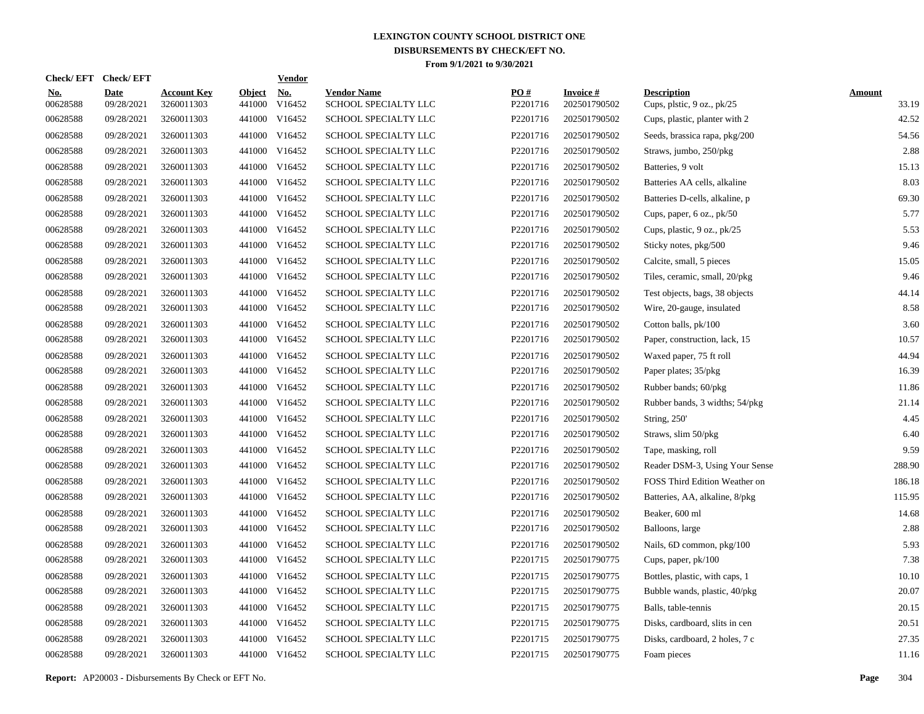| <b>Check/EFT</b>       | <b>Check/EFT</b>          |                                  |                         | <b>Vendor</b>        |                                            |                 |                                 |                                                  |                        |
|------------------------|---------------------------|----------------------------------|-------------------------|----------------------|--------------------------------------------|-----------------|---------------------------------|--------------------------------------------------|------------------------|
| <u>No.</u><br>00628588 | <b>Date</b><br>09/28/2021 | <b>Account Key</b><br>3260011303 | <b>Object</b><br>441000 | <u>No.</u><br>V16452 | <b>Vendor Name</b><br>SCHOOL SPECIALTY LLC | PO#<br>P2201716 | <b>Invoice#</b><br>202501790502 | <b>Description</b><br>Cups, plstic, 9 oz., pk/25 | <b>Amount</b><br>33.19 |
| 00628588               | 09/28/2021                | 3260011303                       |                         | 441000 V16452        | SCHOOL SPECIALTY LLC                       | P2201716        | 202501790502                    | Cups, plastic, planter with 2                    | 42.52                  |
| 00628588               | 09/28/2021                | 3260011303                       | 441000                  | V16452               | SCHOOL SPECIALTY LLC                       | P2201716        | 202501790502                    | Seeds, brassica rapa, pkg/200                    | 54.56                  |
| 00628588               | 09/28/2021                | 3260011303                       |                         | 441000 V16452        | <b>SCHOOL SPECIALTY LLC</b>                | P2201716        | 202501790502                    | Straws, jumbo, 250/pkg                           | 2.88                   |
| 00628588               | 09/28/2021                | 3260011303                       | 441000                  | V16452               | <b>SCHOOL SPECIALTY LLC</b>                | P2201716        | 202501790502                    | Batteries, 9 volt                                | 15.13                  |
| 00628588               | 09/28/2021                | 3260011303                       |                         | 441000 V16452        | SCHOOL SPECIALTY LLC                       | P2201716        | 202501790502                    | Batteries AA cells, alkaline                     | 8.03                   |
| 00628588               | 09/28/2021                | 3260011303                       |                         | 441000 V16452        | SCHOOL SPECIALTY LLC                       | P2201716        | 202501790502                    | Batteries D-cells, alkaline, p                   | 69.30                  |
| 00628588               | 09/28/2021                | 3260011303                       |                         | 441000 V16452        | SCHOOL SPECIALTY LLC                       | P2201716        | 202501790502                    | Cups, paper, 6 oz., pk/50                        | 5.77                   |
| 00628588               | 09/28/2021                | 3260011303                       |                         | 441000 V16452        | SCHOOL SPECIALTY LLC                       | P2201716        | 202501790502                    | Cups, plastic, 9 oz., pk/25                      | 5.53                   |
| 00628588               | 09/28/2021                | 3260011303                       |                         | 441000 V16452        | SCHOOL SPECIALTY LLC                       | P2201716        | 202501790502                    | Sticky notes, pkg/500                            | 9.46                   |
| 00628588               | 09/28/2021                | 3260011303                       |                         | 441000 V16452        | SCHOOL SPECIALTY LLC                       | P2201716        | 202501790502                    | Calcite, small, 5 pieces                         | 15.05                  |
| 00628588               | 09/28/2021                | 3260011303                       |                         | 441000 V16452        | SCHOOL SPECIALTY LLC                       | P2201716        | 202501790502                    | Tiles, ceramic, small, 20/pkg                    | 9.46                   |
| 00628588               | 09/28/2021                | 3260011303                       |                         | 441000 V16452        | SCHOOL SPECIALTY LLC                       | P2201716        | 202501790502                    | Test objects, bags, 38 objects                   | 44.14                  |
| 00628588               | 09/28/2021                | 3260011303                       |                         | 441000 V16452        | SCHOOL SPECIALTY LLC                       | P2201716        | 202501790502                    | Wire, 20-gauge, insulated                        | 8.58                   |
| 00628588               | 09/28/2021                | 3260011303                       |                         | 441000 V16452        | SCHOOL SPECIALTY LLC                       | P2201716        | 202501790502                    | Cotton balls, pk/100                             | 3.60                   |
| 00628588               | 09/28/2021                | 3260011303                       |                         | 441000 V16452        | SCHOOL SPECIALTY LLC                       | P2201716        | 202501790502                    | Paper, construction, lack, 15                    | 10.57                  |
| 00628588               | 09/28/2021                | 3260011303                       |                         | 441000 V16452        | <b>SCHOOL SPECIALTY LLC</b>                | P2201716        | 202501790502                    | Waxed paper, 75 ft roll                          | 44.94                  |
| 00628588               | 09/28/2021                | 3260011303                       |                         | 441000 V16452        | SCHOOL SPECIALTY LLC                       | P2201716        | 202501790502                    | Paper plates; 35/pkg                             | 16.39                  |
| 00628588               | 09/28/2021                | 3260011303                       |                         | 441000 V16452        | <b>SCHOOL SPECIALTY LLC</b>                | P2201716        | 202501790502                    | Rubber bands; 60/pkg                             | 11.86                  |
| 00628588               | 09/28/2021                | 3260011303                       |                         | 441000 V16452        | SCHOOL SPECIALTY LLC                       | P2201716        | 202501790502                    | Rubber bands, 3 widths; 54/pkg                   | 21.14                  |
| 00628588               | 09/28/2021                | 3260011303                       |                         | 441000 V16452        | SCHOOL SPECIALTY LLC                       | P2201716        | 202501790502                    | String, 250'                                     | 4.45                   |
| 00628588               | 09/28/2021                | 3260011303                       |                         | 441000 V16452        | SCHOOL SPECIALTY LLC                       | P2201716        | 202501790502                    | Straws, slim 50/pkg                              | 6.40                   |
| 00628588               | 09/28/2021                | 3260011303                       |                         | 441000 V16452        | SCHOOL SPECIALTY LLC                       | P2201716        | 202501790502                    | Tape, masking, roll                              | 9.59                   |
| 00628588               | 09/28/2021                | 3260011303                       |                         | 441000 V16452        | SCHOOL SPECIALTY LLC                       | P2201716        | 202501790502                    | Reader DSM-3, Using Your Sense                   | 288.90                 |
| 00628588               | 09/28/2021                | 3260011303                       |                         | 441000 V16452        | SCHOOL SPECIALTY LLC                       | P2201716        | 202501790502                    | FOSS Third Edition Weather on                    | 186.18                 |
| 00628588               | 09/28/2021                | 3260011303                       |                         | 441000 V16452        | <b>SCHOOL SPECIALTY LLC</b>                | P2201716        | 202501790502                    | Batteries, AA, alkaline, 8/pkg                   | 115.95                 |
| 00628588               | 09/28/2021                | 3260011303                       |                         | 441000 V16452        | <b>SCHOOL SPECIALTY LLC</b>                | P2201716        | 202501790502                    | Beaker, 600 ml                                   | 14.68                  |
| 00628588               | 09/28/2021                | 3260011303                       |                         | 441000 V16452        | SCHOOL SPECIALTY LLC                       | P2201716        | 202501790502                    | Balloons, large                                  | 2.88                   |
| 00628588               | 09/28/2021                | 3260011303                       | 441000                  | V16452               | <b>SCHOOL SPECIALTY LLC</b>                | P2201716        | 202501790502                    | Nails, 6D common, pkg/100                        | 5.93                   |
| 00628588               | 09/28/2021                | 3260011303                       |                         | 441000 V16452        | SCHOOL SPECIALTY LLC                       | P2201715        | 202501790775                    | Cups, paper, pk/100                              | 7.38                   |
| 00628588               | 09/28/2021                | 3260011303                       | 441000                  | V16452               | <b>SCHOOL SPECIALTY LLC</b>                | P2201715        | 202501790775                    | Bottles, plastic, with caps, 1                   | 10.10                  |
| 00628588               | 09/28/2021                | 3260011303                       |                         | 441000 V16452        | SCHOOL SPECIALTY LLC                       | P2201715        | 202501790775                    | Bubble wands, plastic, 40/pkg                    | 20.07                  |
| 00628588               | 09/28/2021                | 3260011303                       | 441000                  | V16452               | SCHOOL SPECIALTY LLC                       | P2201715        | 202501790775                    | Balls, table-tennis                              | 20.15                  |
| 00628588               | 09/28/2021                | 3260011303                       |                         | 441000 V16452        | SCHOOL SPECIALTY LLC                       | P2201715        | 202501790775                    | Disks, cardboard, slits in cen                   | 20.51                  |
| 00628588               | 09/28/2021                | 3260011303                       | 441000                  | V16452               | SCHOOL SPECIALTY LLC                       | P2201715        | 202501790775                    | Disks, cardboard, 2 holes, 7 c                   | 27.35                  |
| 00628588               | 09/28/2021                | 3260011303                       |                         | 441000 V16452        | SCHOOL SPECIALTY LLC                       | P2201715        | 202501790775                    | Foam pieces                                      | 11.16                  |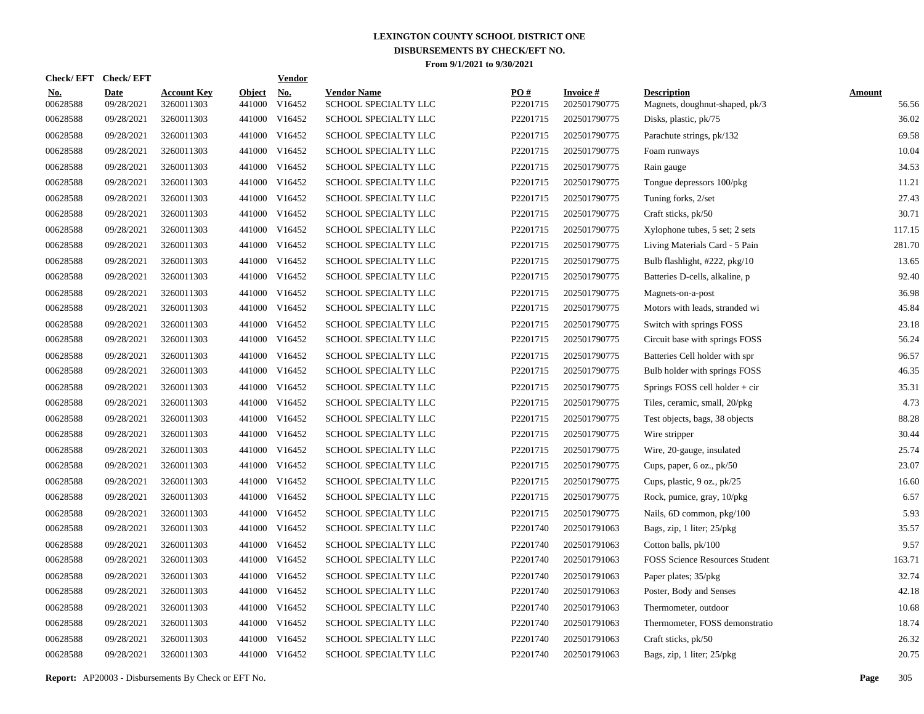| <b>Check/EFT</b>       | <b>Check/EFT</b>          |                                  |                         | <b>Vendor</b>        |                                            |                      |                                 |                                                      |                        |
|------------------------|---------------------------|----------------------------------|-------------------------|----------------------|--------------------------------------------|----------------------|---------------------------------|------------------------------------------------------|------------------------|
| <u>No.</u><br>00628588 | <b>Date</b><br>09/28/2021 | <b>Account Key</b><br>3260011303 | <b>Object</b><br>441000 | <u>No.</u><br>V16452 | <b>Vendor Name</b><br>SCHOOL SPECIALTY LLC | PQ#<br>P2201715      | <b>Invoice#</b><br>202501790775 | <b>Description</b><br>Magnets, doughnut-shaped, pk/3 | <b>Amount</b><br>56.56 |
| 00628588               | 09/28/2021                | 3260011303                       |                         | 441000 V16452        | SCHOOL SPECIALTY LLC                       | P2201715             | 202501790775                    | Disks, plastic, pk/75                                | 36.02                  |
| 00628588               | 09/28/2021                | 3260011303                       |                         | 441000 V16452        | SCHOOL SPECIALTY LLC                       | P2201715             | 202501790775                    | Parachute strings, pk/132                            | 69.58                  |
| 00628588               | 09/28/2021                | 3260011303                       |                         | 441000 V16452        | SCHOOL SPECIALTY LLC                       | P2201715             | 202501790775                    | Foam runways                                         | 10.04                  |
| 00628588               | 09/28/2021                | 3260011303                       |                         | 441000 V16452        | SCHOOL SPECIALTY LLC                       | P2201715             | 202501790775                    | Rain gauge                                           | 34.53                  |
| 00628588               | 09/28/2021                | 3260011303                       |                         | 441000 V16452        | SCHOOL SPECIALTY LLC                       | P2201715             | 202501790775                    | Tongue depressors 100/pkg                            | 11.21                  |
| 00628588               | 09/28/2021                | 3260011303                       |                         | 441000 V16452        | <b>SCHOOL SPECIALTY LLC</b>                | P2201715             | 202501790775                    | Tuning forks, 2/set                                  | 27.43                  |
| 00628588               | 09/28/2021                | 3260011303                       |                         | 441000 V16452        | SCHOOL SPECIALTY LLC                       | P2201715             | 202501790775                    | Craft sticks, pk/50                                  | 30.71                  |
| 00628588               | 09/28/2021                | 3260011303                       |                         | 441000 V16452        | SCHOOL SPECIALTY LLC                       | P2201715             | 202501790775                    | Xylophone tubes, 5 set; 2 sets                       | 117.15                 |
| 00628588               | 09/28/2021                | 3260011303                       |                         | 441000 V16452        | SCHOOL SPECIALTY LLC                       | P2201715             | 202501790775                    | Living Materials Card - 5 Pain                       | 281.70                 |
| 00628588               | 09/28/2021                | 3260011303                       |                         | 441000 V16452        | SCHOOL SPECIALTY LLC                       | P2201715             | 202501790775                    | Bulb flashlight, #222, pkg/10                        | 13.65                  |
| 00628588               | 09/28/2021                | 3260011303                       |                         | 441000 V16452        | SCHOOL SPECIALTY LLC                       | P2201715             | 202501790775                    | Batteries D-cells, alkaline, p                       | 92.40                  |
| 00628588               | 09/28/2021                | 3260011303                       |                         | 441000 V16452        | SCHOOL SPECIALTY LLC                       | P2201715             | 202501790775                    | Magnets-on-a-post                                    | 36.98                  |
| 00628588               | 09/28/2021                | 3260011303                       |                         | 441000 V16452        | SCHOOL SPECIALTY LLC                       | P2201715             | 202501790775                    | Motors with leads, stranded wi                       | 45.84                  |
| 00628588               | 09/28/2021                | 3260011303                       |                         | 441000 V16452        | SCHOOL SPECIALTY LLC                       | P2201715             | 202501790775                    | Switch with springs FOSS                             | 23.18                  |
| 00628588               | 09/28/2021                | 3260011303                       |                         | 441000 V16452        | SCHOOL SPECIALTY LLC                       | P2201715             | 202501790775                    | Circuit base with springs FOSS                       | 56.24                  |
| 00628588               | 09/28/2021                | 3260011303                       |                         | 441000 V16452        | SCHOOL SPECIALTY LLC                       | P2201715             | 202501790775                    | Batteries Cell holder with spr                       | 96.57                  |
| 00628588               | 09/28/2021                | 3260011303                       |                         | 441000 V16452        | SCHOOL SPECIALTY LLC                       | P2201715             | 202501790775                    | Bulb holder with springs FOSS                        | 46.35                  |
| 00628588               | 09/28/2021                | 3260011303                       |                         | 441000 V16452        | SCHOOL SPECIALTY LLC                       | P2201715             | 202501790775                    | Springs FOSS cell holder + cir                       | 35.31                  |
| 00628588               | 09/28/2021                | 3260011303                       |                         | 441000 V16452        | <b>SCHOOL SPECIALTY LLC</b>                | P2201715             | 202501790775                    | Tiles, ceramic, small, 20/pkg                        | 4.73                   |
| 00628588               | 09/28/2021                | 3260011303                       |                         | 441000 V16452        | <b>SCHOOL SPECIALTY LLC</b>                | P2201715             | 202501790775                    | Test objects, bags, 38 objects                       | 88.28                  |
| 00628588               | 09/28/2021                | 3260011303                       |                         | 441000 V16452        | SCHOOL SPECIALTY LLC                       | P2201715             | 202501790775                    | Wire stripper                                        | 30.44                  |
| 00628588               | 09/28/2021                | 3260011303                       |                         | 441000 V16452        | SCHOOL SPECIALTY LLC                       | P2201715             | 202501790775                    | Wire, 20-gauge, insulated                            | 25.74                  |
| 00628588               | 09/28/2021                | 3260011303                       |                         | 441000 V16452        | SCHOOL SPECIALTY LLC                       | P2201715             | 202501790775                    | Cups, paper, 6 oz., pk/50                            | 23.07                  |
| 00628588               | 09/28/2021                | 3260011303                       |                         | 441000 V16452        | SCHOOL SPECIALTY LLC                       | P2201715             | 202501790775                    | Cups, plastic, 9 oz., pk/25                          | 16.60                  |
| 00628588               | 09/28/2021                | 3260011303                       |                         | 441000 V16452        | SCHOOL SPECIALTY LLC                       | P2201715             | 202501790775                    | Rock, pumice, gray, 10/pkg                           | 6.57                   |
| 00628588               | 09/28/2021                | 3260011303                       |                         | 441000 V16452        | SCHOOL SPECIALTY LLC                       | P2201715             | 202501790775                    | Nails, 6D common, pkg/100                            | 5.93                   |
| 00628588               | 09/28/2021                | 3260011303                       |                         | 441000 V16452        | SCHOOL SPECIALTY LLC                       | P2201740             | 202501791063                    | Bags, zip, 1 liter; 25/pkg                           | 35.57                  |
| 00628588               | 09/28/2021                | 3260011303                       | 441000                  | V16452               | SCHOOL SPECIALTY LLC                       | P2201740             | 202501791063                    | Cotton balls, pk/100                                 | 9.57                   |
| 00628588               | 09/28/2021                | 3260011303                       |                         | 441000 V16452        | SCHOOL SPECIALTY LLC                       | P2201740             | 202501791063                    | <b>FOSS Science Resources Student</b>                | 163.71                 |
| 00628588               | 09/28/2021                | 3260011303                       | 441000                  | V16452               | SCHOOL SPECIALTY LLC                       | P2201740             | 202501791063                    | Paper plates; 35/pkg                                 | 32.74                  |
| 00628588               | 09/28/2021                | 3260011303                       |                         | 441000 V16452        | SCHOOL SPECIALTY LLC                       | P2201740             | 202501791063                    | Poster, Body and Senses                              | 42.18                  |
| 00628588               | 09/28/2021                | 3260011303                       | 441000                  | V16452               | SCHOOL SPECIALTY LLC                       | P2201740             | 202501791063                    | Thermometer, outdoor                                 | 10.68                  |
| 00628588               | 09/28/2021                | 3260011303                       |                         | 441000 V16452        | SCHOOL SPECIALTY LLC                       | P <sub>2201740</sub> | 202501791063                    | Thermometer, FOSS demonstratio                       | 18.74                  |
| 00628588               | 09/28/2021                | 3260011303                       | 441000                  | V16452               | SCHOOL SPECIALTY LLC                       | P2201740             | 202501791063                    | Craft sticks, pk/50                                  | 26.32                  |
| 00628588               | 09/28/2021                | 3260011303                       |                         | 441000 V16452        | SCHOOL SPECIALTY LLC                       | P2201740             | 202501791063                    | Bags, zip, 1 liter; 25/pkg                           | 20.75                  |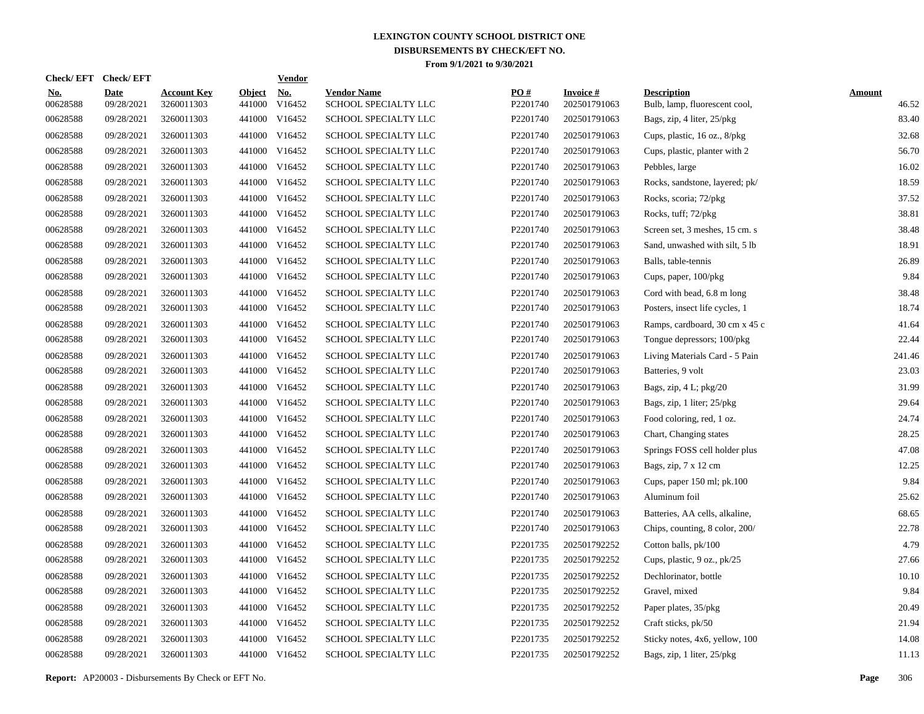| Check/EFT Check/EFT    |                           |                                  |                         | <b>Vendor</b>        |                                            |                 |                                 |                                                     |                        |
|------------------------|---------------------------|----------------------------------|-------------------------|----------------------|--------------------------------------------|-----------------|---------------------------------|-----------------------------------------------------|------------------------|
| <u>No.</u><br>00628588 | <b>Date</b><br>09/28/2021 | <b>Account Key</b><br>3260011303 | <b>Object</b><br>441000 | <u>No.</u><br>V16452 | <b>Vendor Name</b><br>SCHOOL SPECIALTY LLC | PO#<br>P2201740 | <b>Invoice#</b><br>202501791063 | <b>Description</b><br>Bulb, lamp, fluorescent cool, | <b>Amount</b><br>46.52 |
| 00628588               | 09/28/2021                | 3260011303                       |                         | 441000 V16452        | SCHOOL SPECIALTY LLC                       | P2201740        | 202501791063                    | Bags, zip, 4 liter, 25/pkg                          | 83.40                  |
| 00628588               | 09/28/2021                | 3260011303                       |                         | 441000 V16452        | SCHOOL SPECIALTY LLC                       | P2201740        | 202501791063                    | Cups, plastic, 16 oz., 8/pkg                        | 32.68                  |
| 00628588               | 09/28/2021                | 3260011303                       |                         | 441000 V16452        | <b>SCHOOL SPECIALTY LLC</b>                | P2201740        | 202501791063                    | Cups, plastic, planter with 2                       | 56.70                  |
| 00628588               | 09/28/2021                | 3260011303                       |                         | 441000 V16452        | <b>SCHOOL SPECIALTY LLC</b>                | P2201740        | 202501791063                    | Pebbles, large                                      | 16.02                  |
| 00628588               | 09/28/2021                | 3260011303                       |                         | 441000 V16452        | SCHOOL SPECIALTY LLC                       | P2201740        | 202501791063                    | Rocks, sandstone, layered; pk/                      | 18.59                  |
| 00628588               | 09/28/2021                | 3260011303                       |                         | 441000 V16452        | SCHOOL SPECIALTY LLC                       | P2201740        | 202501791063                    | Rocks, scoria; 72/pkg                               | 37.52                  |
| 00628588               | 09/28/2021                | 3260011303                       |                         | 441000 V16452        | SCHOOL SPECIALTY LLC                       | P2201740        | 202501791063                    | Rocks, tuff; 72/pkg                                 | 38.81                  |
| 00628588               | 09/28/2021                | 3260011303                       |                         | 441000 V16452        | SCHOOL SPECIALTY LLC                       | P2201740        | 202501791063                    | Screen set, 3 meshes, 15 cm. s                      | 38.48                  |
| 00628588               | 09/28/2021                | 3260011303                       |                         | 441000 V16452        | SCHOOL SPECIALTY LLC                       | P2201740        | 202501791063                    | Sand, unwashed with silt, 5 lb                      | 18.91                  |
| 00628588               | 09/28/2021                | 3260011303                       |                         | 441000 V16452        | SCHOOL SPECIALTY LLC                       | P2201740        | 202501791063                    | Balls, table-tennis                                 | 26.89                  |
| 00628588               | 09/28/2021                | 3260011303                       |                         | 441000 V16452        | SCHOOL SPECIALTY LLC                       | P2201740        | 202501791063                    | Cups, paper, 100/pkg                                | 9.84                   |
| 00628588               | 09/28/2021                | 3260011303                       |                         | 441000 V16452        | SCHOOL SPECIALTY LLC                       | P2201740        | 202501791063                    | Cord with bead, 6.8 m long                          | 38.48                  |
| 00628588               | 09/28/2021                | 3260011303                       |                         | 441000 V16452        | SCHOOL SPECIALTY LLC                       | P2201740        | 202501791063                    | Posters, insect life cycles, 1                      | 18.74                  |
| 00628588               | 09/28/2021                | 3260011303                       |                         | 441000 V16452        | SCHOOL SPECIALTY LLC                       | P2201740        | 202501791063                    | Ramps, cardboard, 30 cm x 45 c                      | 41.64                  |
| 00628588               | 09/28/2021                | 3260011303                       |                         | 441000 V16452        | SCHOOL SPECIALTY LLC                       | P2201740        | 202501791063                    | Tongue depressors; 100/pkg                          | 22.44                  |
| 00628588               | 09/28/2021                | 3260011303                       |                         | 441000 V16452        | SCHOOL SPECIALTY LLC                       | P2201740        | 202501791063                    | Living Materials Card - 5 Pain                      | 241.46                 |
| 00628588               | 09/28/2021                | 3260011303                       |                         | 441000 V16452        | SCHOOL SPECIALTY LLC                       | P2201740        | 202501791063                    | Batteries, 9 volt                                   | 23.03                  |
| 00628588               | 09/28/2021                | 3260011303                       |                         | 441000 V16452        | SCHOOL SPECIALTY LLC                       | P2201740        | 202501791063                    | Bags, zip, $4 L$ ; $pkg/20$                         | 31.99                  |
| 00628588               | 09/28/2021                | 3260011303                       |                         | 441000 V16452        | SCHOOL SPECIALTY LLC                       | P2201740        | 202501791063                    | Bags, zip, 1 liter; 25/pkg                          | 29.64                  |
| 00628588               | 09/28/2021                | 3260011303                       |                         | 441000 V16452        | SCHOOL SPECIALTY LLC                       | P2201740        | 202501791063                    | Food coloring, red, 1 oz.                           | 24.74                  |
| 00628588               | 09/28/2021                | 3260011303                       |                         | 441000 V16452        | SCHOOL SPECIALTY LLC                       | P2201740        | 202501791063                    | Chart, Changing states                              | 28.25                  |
| 00628588               | 09/28/2021                | 3260011303                       |                         | 441000 V16452        | SCHOOL SPECIALTY LLC                       | P2201740        | 202501791063                    | Springs FOSS cell holder plus                       | 47.08                  |
| 00628588               | 09/28/2021                | 3260011303                       |                         | 441000 V16452        | SCHOOL SPECIALTY LLC                       | P2201740        | 202501791063                    | Bags, zip, 7 x 12 cm                                | 12.25                  |
| 00628588               | 09/28/2021                | 3260011303                       |                         | 441000 V16452        | SCHOOL SPECIALTY LLC                       | P2201740        | 202501791063                    | Cups, paper 150 ml; pk.100                          | 9.84                   |
| 00628588               | 09/28/2021                | 3260011303                       |                         | 441000 V16452        | SCHOOL SPECIALTY LLC                       | P2201740        | 202501791063                    | Aluminum foil                                       | 25.62                  |
| 00628588               | 09/28/2021                | 3260011303                       | 441000                  | V16452               | <b>SCHOOL SPECIALTY LLC</b>                | P2201740        | 202501791063                    | Batteries, AA cells, alkaline,                      | 68.65                  |
| 00628588               | 09/28/2021                | 3260011303                       |                         | 441000 V16452        | SCHOOL SPECIALTY LLC                       | P2201740        | 202501791063                    | Chips, counting, 8 color, 200/                      | 22.78                  |
| 00628588               | 09/28/2021                | 3260011303                       | 441000                  | V16452               | SCHOOL SPECIALTY LLC                       | P2201735        | 202501792252                    | Cotton balls, pk/100                                | 4.79                   |
| 00628588               | 09/28/2021                | 3260011303                       |                         | 441000 V16452        | SCHOOL SPECIALTY LLC                       | P2201735        | 202501792252                    | Cups, plastic, 9 oz., pk/25                         | 27.66                  |
| 00628588               | 09/28/2021                | 3260011303                       | 441000                  | V16452               | SCHOOL SPECIALTY LLC                       | P2201735        | 202501792252                    | Dechlorinator, bottle                               | 10.10                  |
| 00628588               | 09/28/2021                | 3260011303                       |                         | 441000 V16452        | SCHOOL SPECIALTY LLC                       | P2201735        | 202501792252                    | Gravel, mixed                                       | 9.84                   |
| 00628588               | 09/28/2021                | 3260011303                       | 441000                  | V16452               | SCHOOL SPECIALTY LLC                       | P2201735        | 202501792252                    | Paper plates, 35/pkg                                | 20.49                  |
| 00628588               | 09/28/2021                | 3260011303                       |                         | 441000 V16452        | SCHOOL SPECIALTY LLC                       | P2201735        | 202501792252                    | Craft sticks, pk/50                                 | 21.94                  |
| 00628588               | 09/28/2021                | 3260011303                       | 441000                  | V16452               | SCHOOL SPECIALTY LLC                       | P2201735        | 202501792252                    | Sticky notes, 4x6, yellow, 100                      | 14.08                  |
| 00628588               | 09/28/2021                | 3260011303                       |                         | 441000 V16452        | SCHOOL SPECIALTY LLC                       | P2201735        | 202501792252                    | Bags, zip, 1 liter, 25/pkg                          | 11.13                  |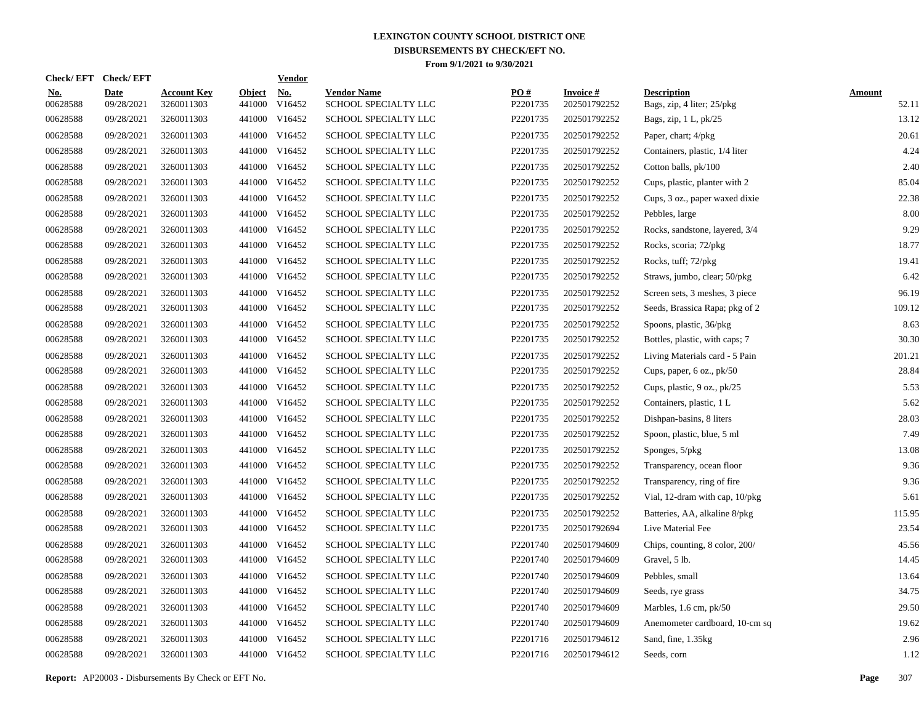| Check/EFT Check/EFT    |                           |                                  |                         | <b>Vendor</b>                       |                                            |                 |                                 |                                                  |                        |
|------------------------|---------------------------|----------------------------------|-------------------------|-------------------------------------|--------------------------------------------|-----------------|---------------------------------|--------------------------------------------------|------------------------|
| <u>No.</u><br>00628588 | <b>Date</b><br>09/28/2021 | <b>Account Key</b><br>3260011303 | <b>Object</b><br>441000 | $\underline{\mathrm{No}}$<br>V16452 | <b>Vendor Name</b><br>SCHOOL SPECIALTY LLC | PO#<br>P2201735 | <b>Invoice#</b><br>202501792252 | <b>Description</b><br>Bags, zip, 4 liter; 25/pkg | <b>Amount</b><br>52.11 |
| 00628588               | 09/28/2021                | 3260011303                       |                         | 441000 V16452                       | SCHOOL SPECIALTY LLC                       | P2201735        | 202501792252                    | Bags, zip, $1 L$ , $pk/25$                       | 13.12                  |
| 00628588               | 09/28/2021                | 3260011303                       |                         | 441000 V16452                       | SCHOOL SPECIALTY LLC                       | P2201735        | 202501792252                    | Paper, chart; 4/pkg                              | 20.61                  |
| 00628588               | 09/28/2021                | 3260011303                       |                         | 441000 V16452                       | <b>SCHOOL SPECIALTY LLC</b>                | P2201735        | 202501792252                    | Containers, plastic, 1/4 liter                   | 4.24                   |
| 00628588               | 09/28/2021                | 3260011303                       |                         | 441000 V16452                       | <b>SCHOOL SPECIALTY LLC</b>                | P2201735        | 202501792252                    | Cotton balls, pk/100                             | 2.40                   |
| 00628588               | 09/28/2021                | 3260011303                       |                         | 441000 V16452                       | SCHOOL SPECIALTY LLC                       | P2201735        | 202501792252                    | Cups, plastic, planter with 2                    | 85.04                  |
| 00628588               | 09/28/2021                | 3260011303                       |                         | 441000 V16452                       | SCHOOL SPECIALTY LLC                       | P2201735        | 202501792252                    | Cups, 3 oz., paper waxed dixie                   | 22.38                  |
| 00628588               | 09/28/2021                | 3260011303                       |                         | 441000 V16452                       | SCHOOL SPECIALTY LLC                       | P2201735        | 202501792252                    | Pebbles, large                                   | 8.00                   |
| 00628588               | 09/28/2021                | 3260011303                       |                         | 441000 V16452                       | SCHOOL SPECIALTY LLC                       | P2201735        | 202501792252                    | Rocks, sandstone, layered, 3/4                   | 9.29                   |
| 00628588               | 09/28/2021                | 3260011303                       |                         | 441000 V16452                       | SCHOOL SPECIALTY LLC                       | P2201735        | 202501792252                    | Rocks, scoria; 72/pkg                            | 18.77                  |
| 00628588               | 09/28/2021                | 3260011303                       |                         | 441000 V16452                       | SCHOOL SPECIALTY LLC                       | P2201735        | 202501792252                    | Rocks, tuff; 72/pkg                              | 19.41                  |
| 00628588               | 09/28/2021                | 3260011303                       |                         | 441000 V16452                       | SCHOOL SPECIALTY LLC                       | P2201735        | 202501792252                    | Straws, jumbo, clear; 50/pkg                     | 6.42                   |
| 00628588               | 09/28/2021                | 3260011303                       |                         | 441000 V16452                       | SCHOOL SPECIALTY LLC                       | P2201735        | 202501792252                    | Screen sets, 3 meshes, 3 piece                   | 96.19                  |
| 00628588               | 09/28/2021                | 3260011303                       |                         | 441000 V16452                       | SCHOOL SPECIALTY LLC                       | P2201735        | 202501792252                    | Seeds, Brassica Rapa; pkg of 2                   | 109.12                 |
| 00628588               | 09/28/2021                | 3260011303                       |                         | 441000 V16452                       | SCHOOL SPECIALTY LLC                       | P2201735        | 202501792252                    | Spoons, plastic, 36/pkg                          | 8.63                   |
| 00628588               | 09/28/2021                | 3260011303                       |                         | 441000 V16452                       | SCHOOL SPECIALTY LLC                       | P2201735        | 202501792252                    | Bottles, plastic, with caps; 7                   | 30.30                  |
| 00628588               | 09/28/2021                | 3260011303                       |                         | 441000 V16452                       | <b>SCHOOL SPECIALTY LLC</b>                | P2201735        | 202501792252                    | Living Materials card - 5 Pain                   | 201.21                 |
| 00628588               | 09/28/2021                | 3260011303                       |                         | 441000 V16452                       | SCHOOL SPECIALTY LLC                       | P2201735        | 202501792252                    | Cups, paper, 6 oz., pk/50                        | 28.84                  |
| 00628588               | 09/28/2021                | 3260011303                       |                         | 441000 V16452                       | SCHOOL SPECIALTY LLC                       | P2201735        | 202501792252                    | Cups, plastic, 9 oz., pk/25                      | 5.53                   |
| 00628588               | 09/28/2021                | 3260011303                       |                         | 441000 V16452                       | SCHOOL SPECIALTY LLC                       | P2201735        | 202501792252                    | Containers, plastic, 1 L                         | 5.62                   |
| 00628588               | 09/28/2021                | 3260011303                       |                         | 441000 V16452                       | SCHOOL SPECIALTY LLC                       | P2201735        | 202501792252                    | Dishpan-basins, 8 liters                         | 28.03                  |
| 00628588               | 09/28/2021                | 3260011303                       |                         | 441000 V16452                       | SCHOOL SPECIALTY LLC                       | P2201735        | 202501792252                    | Spoon, plastic, blue, 5 ml                       | 7.49                   |
| 00628588               | 09/28/2021                | 3260011303                       |                         | 441000 V16452                       | SCHOOL SPECIALTY LLC                       | P2201735        | 202501792252                    | Sponges, 5/pkg                                   | 13.08                  |
| 00628588               | 09/28/2021                | 3260011303                       |                         | 441000 V16452                       | SCHOOL SPECIALTY LLC                       | P2201735        | 202501792252                    | Transparency, ocean floor                        | 9.36                   |
| 00628588               | 09/28/2021                | 3260011303                       |                         | 441000 V16452                       | SCHOOL SPECIALTY LLC                       | P2201735        | 202501792252                    | Transparency, ring of fire                       | 9.36                   |
| 00628588               | 09/28/2021                | 3260011303                       |                         | 441000 V16452                       | <b>SCHOOL SPECIALTY LLC</b>                | P2201735        | 202501792252                    | Vial, 12-dram with cap, $10/\text{pkg}$          | 5.61                   |
| 00628588               | 09/28/2021                | 3260011303                       |                         | 441000 V16452                       | SCHOOL SPECIALTY LLC                       | P2201735        | 202501792252                    | Batteries, AA, alkaline 8/pkg                    | 115.95                 |
| 00628588               | 09/28/2021                | 3260011303                       |                         | 441000 V16452                       | SCHOOL SPECIALTY LLC                       | P2201735        | 202501792694                    | Live Material Fee                                | 23.54                  |
| 00628588               | 09/28/2021                | 3260011303                       |                         | 441000 V16452                       | <b>SCHOOL SPECIALTY LLC</b>                | P2201740        | 202501794609                    | Chips, counting, 8 color, 200/                   | 45.56                  |
| 00628588               | 09/28/2021                | 3260011303                       |                         | 441000 V16452                       | SCHOOL SPECIALTY LLC                       | P2201740        | 202501794609                    | Gravel, 5 lb.                                    | 14.45                  |
| 00628588               | 09/28/2021                | 3260011303                       |                         | 441000 V16452                       | <b>SCHOOL SPECIALTY LLC</b>                | P2201740        | 202501794609                    | Pebbles, small                                   | 13.64                  |
| 00628588               | 09/28/2021                | 3260011303                       |                         | 441000 V16452                       | SCHOOL SPECIALTY LLC                       | P2201740        | 202501794609                    | Seeds, rye grass                                 | 34.75                  |
| 00628588               | 09/28/2021                | 3260011303                       | 441000                  | V16452                              | SCHOOL SPECIALTY LLC                       | P2201740        | 202501794609                    | Marbles, $1.6$ cm, $pk/50$                       | 29.50                  |
| 00628588               | 09/28/2021                | 3260011303                       |                         | 441000 V16452                       | SCHOOL SPECIALTY LLC                       | P2201740        | 202501794609                    | Anemometer cardboard, 10-cm sq                   | 19.62                  |
| 00628588               | 09/28/2021                | 3260011303                       | 441000                  | V16452                              | SCHOOL SPECIALTY LLC                       | P2201716        | 202501794612                    | Sand, fine, 1.35kg                               | 2.96                   |
| 00628588               | 09/28/2021                | 3260011303                       |                         | 441000 V16452                       | SCHOOL SPECIALTY LLC                       | P2201716        | 202501794612                    | Seeds, corn                                      | 1.12                   |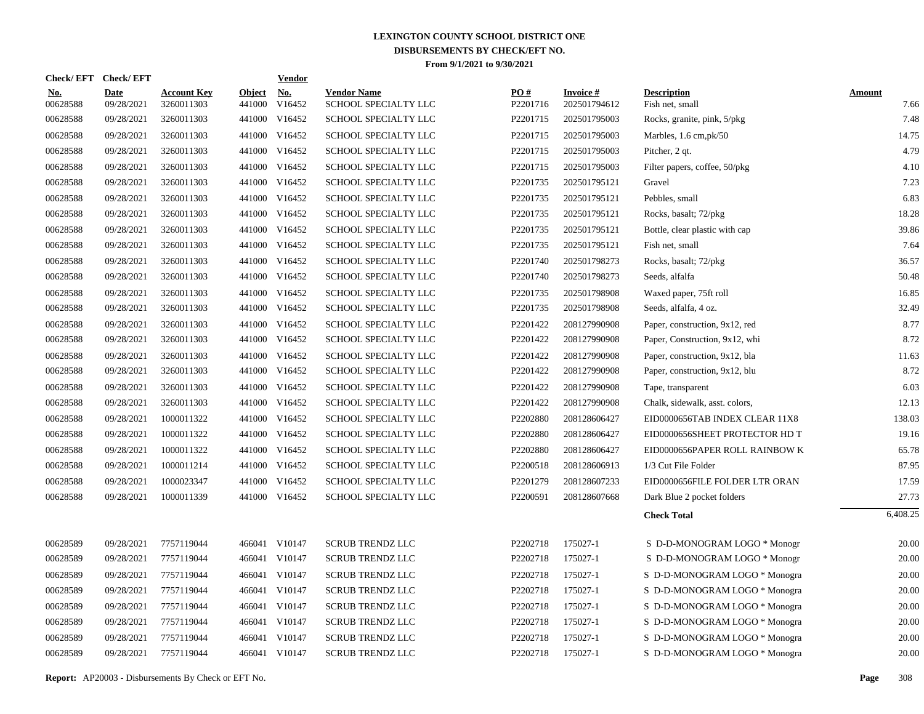| <b>Check/EFT</b>       | <b>Check/EFT</b>          |                                  |                         | <b>Vendor</b>        |                                            |                 |                           |                                       |                       |
|------------------------|---------------------------|----------------------------------|-------------------------|----------------------|--------------------------------------------|-----------------|---------------------------|---------------------------------------|-----------------------|
| <u>No.</u><br>00628588 | <b>Date</b><br>09/28/2021 | <b>Account Key</b><br>3260011303 | <b>Object</b><br>441000 | <b>No.</b><br>V16452 | <b>Vendor Name</b><br>SCHOOL SPECIALTY LLC | PO#<br>P2201716 | Invoice #<br>202501794612 | <b>Description</b><br>Fish net, small | <b>Amount</b><br>7.66 |
| 00628588               | 09/28/2021                | 3260011303                       |                         | 441000 V16452        | SCHOOL SPECIALTY LLC                       | P2201715        | 202501795003              | Rocks, granite, pink, 5/pkg           | 7.48                  |
| 00628588               | 09/28/2021                | 3260011303                       |                         | 441000 V16452        | SCHOOL SPECIALTY LLC                       | P2201715        | 202501795003              | Marbles, 1.6 cm, pk/50                | 14.75                 |
| 00628588               | 09/28/2021                | 3260011303                       |                         | 441000 V16452        | SCHOOL SPECIALTY LLC                       | P2201715        | 202501795003              | Pitcher, 2 qt.                        | 4.79                  |
| 00628588               | 09/28/2021                | 3260011303                       |                         | 441000 V16452        | SCHOOL SPECIALTY LLC                       | P2201715        | 202501795003              | Filter papers, coffee, 50/pkg         | 4.10                  |
| 00628588               | 09/28/2021                | 3260011303                       |                         | 441000 V16452        | SCHOOL SPECIALTY LLC                       | P2201735        | 202501795121              | Gravel                                | 7.23                  |
| 00628588               | 09/28/2021                | 3260011303                       |                         | 441000 V16452        | SCHOOL SPECIALTY LLC                       | P2201735        | 202501795121              | Pebbles, small                        | 6.83                  |
| 00628588               | 09/28/2021                | 3260011303                       |                         | 441000 V16452        | SCHOOL SPECIALTY LLC                       | P2201735        | 202501795121              | Rocks, basalt; 72/pkg                 | 18.28                 |
| 00628588               | 09/28/2021                | 3260011303                       |                         | 441000 V16452        | SCHOOL SPECIALTY LLC                       | P2201735        | 202501795121              | Bottle, clear plastic with cap        | 39.86                 |
| 00628588               | 09/28/2021                | 3260011303                       |                         | 441000 V16452        | SCHOOL SPECIALTY LLC                       | P2201735        | 202501795121              | Fish net, small                       | 7.64                  |
| 00628588               | 09/28/2021                | 3260011303                       |                         | 441000 V16452        | SCHOOL SPECIALTY LLC                       | P2201740        | 202501798273              | Rocks, basalt; 72/pkg                 | 36.57                 |
| 00628588               | 09/28/2021                | 3260011303                       |                         | 441000 V16452        | SCHOOL SPECIALTY LLC                       | P2201740        | 202501798273              | Seeds, alfalfa                        | 50.48                 |
| 00628588               | 09/28/2021                | 3260011303                       |                         | 441000 V16452        | SCHOOL SPECIALTY LLC                       | P2201735        | 202501798908              | Waxed paper, 75ft roll                | 16.85                 |
| 00628588               | 09/28/2021                | 3260011303                       |                         | 441000 V16452        | SCHOOL SPECIALTY LLC                       | P2201735        | 202501798908              | Seeds, alfalfa, 4 oz.                 | 32.49                 |
| 00628588               | 09/28/2021                | 3260011303                       |                         | 441000 V16452        | SCHOOL SPECIALTY LLC                       | P2201422        | 208127990908              | Paper, construction, 9x12, red        | 8.77                  |
| 00628588               | 09/28/2021                | 3260011303                       |                         | 441000 V16452        | SCHOOL SPECIALTY LLC                       | P2201422        | 208127990908              | Paper, Construction, 9x12, whi        | 8.72                  |
| 00628588               | 09/28/2021                | 3260011303                       |                         | 441000 V16452        | SCHOOL SPECIALTY LLC                       | P2201422        | 208127990908              | Paper, construction, 9x12, bla        | 11.63                 |
| 00628588               | 09/28/2021                | 3260011303                       |                         | 441000 V16452        | SCHOOL SPECIALTY LLC                       | P2201422        | 208127990908              | Paper, construction, 9x12, blu        | 8.72                  |
| 00628588               | 09/28/2021                | 3260011303                       |                         | 441000 V16452        | SCHOOL SPECIALTY LLC                       | P2201422        | 208127990908              | Tape, transparent                     | 6.03                  |
| 00628588               | 09/28/2021                | 3260011303                       |                         | 441000 V16452        | SCHOOL SPECIALTY LLC                       | P2201422        | 208127990908              | Chalk, sidewalk, asst. colors,        | 12.13                 |
| 00628588               | 09/28/2021                | 1000011322                       |                         | 441000 V16452        | SCHOOL SPECIALTY LLC                       | P2202880        | 208128606427              | EID0000656TAB INDEX CLEAR 11X8        | 138.03                |
| 00628588               | 09/28/2021                | 1000011322                       |                         | 441000 V16452        | SCHOOL SPECIALTY LLC                       | P2202880        | 208128606427              | EID0000656SHEET PROTECTOR HD T        | 19.16                 |
| 00628588               | 09/28/2021                | 1000011322                       |                         | 441000 V16452        | SCHOOL SPECIALTY LLC                       | P2202880        | 208128606427              | EID0000656PAPER ROLL RAINBOW K        | 65.78                 |
| 00628588               | 09/28/2021                | 1000011214                       |                         | 441000 V16452        | SCHOOL SPECIALTY LLC                       | P2200518        | 208128606913              | 1/3 Cut File Folder                   | 87.95                 |
| 00628588               | 09/28/2021                | 1000023347                       |                         | 441000 V16452        | SCHOOL SPECIALTY LLC                       | P2201279        | 208128607233              | EID0000656FILE FOLDER LTR ORAN        | 17.59                 |
| 00628588               | 09/28/2021                | 1000011339                       |                         | 441000 V16452        | SCHOOL SPECIALTY LLC                       | P2200591        | 208128607668              | Dark Blue 2 pocket folders            | 27.73                 |
|                        |                           |                                  |                         |                      |                                            |                 |                           | <b>Check Total</b>                    | 6,408.25              |
| 00628589               | 09/28/2021                | 7757119044                       |                         | 466041 V10147        | <b>SCRUB TRENDZ LLC</b>                    | P2202718        | 175027-1                  | S D-D-MONOGRAM LOGO * Monogr          | 20.00                 |
| 00628589               | 09/28/2021                | 7757119044                       |                         | 466041 V10147        | SCRUB TRENDZ LLC                           | P2202718        | 175027-1                  | S D-D-MONOGRAM LOGO * Monogr          | 20.00                 |
| 00628589               | 09/28/2021                | 7757119044                       |                         | 466041 V10147        | <b>SCRUB TRENDZ LLC</b>                    | P2202718        | 175027-1                  | S D-D-MONOGRAM LOGO * Monogra         | 20.00                 |
| 00628589               | 09/28/2021                | 7757119044                       |                         | 466041 V10147        | <b>SCRUB TRENDZ LLC</b>                    | P2202718        | 175027-1                  | S D-D-MONOGRAM LOGO * Monogra         | 20.00                 |
| 00628589               | 09/28/2021                | 7757119044                       |                         | 466041 V10147        | <b>SCRUB TRENDZ LLC</b>                    | P2202718        | 175027-1                  | S D-D-MONOGRAM LOGO * Monogra         | 20.00                 |
| 00628589               | 09/28/2021                | 7757119044                       |                         | 466041 V10147        | <b>SCRUB TRENDZ LLC</b>                    | P2202718        | 175027-1                  | S D-D-MONOGRAM LOGO * Monogra         | 20.00                 |
| 00628589               | 09/28/2021                | 7757119044                       |                         | 466041 V10147        | <b>SCRUB TRENDZ LLC</b>                    | P2202718        | 175027-1                  | S D-D-MONOGRAM LOGO * Monogra         | 20.00                 |
| 00628589               | 09/28/2021                | 7757119044                       |                         | 466041 V10147        | <b>SCRUB TRENDZ LLC</b>                    | P2202718        | 175027-1                  | S D-D-MONOGRAM LOGO * Monogra         | 20.00                 |
|                        |                           |                                  |                         |                      |                                            |                 |                           |                                       |                       |

**Report:** AP20003 - Disbursements By Check or EFT No. **Page** 308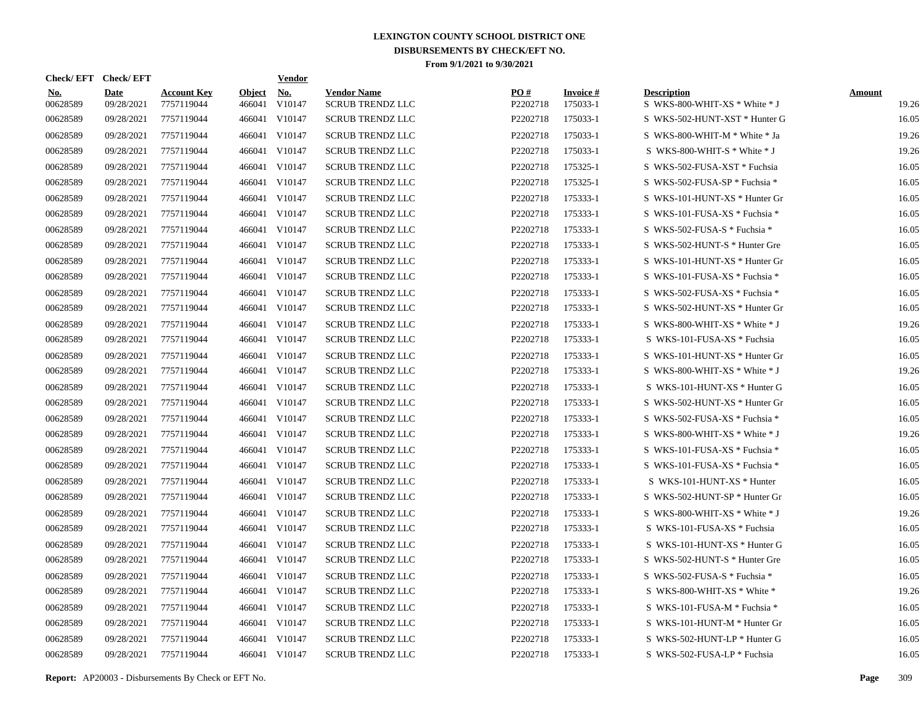| Check/EFT Check/EFT    |                           |                                  |                         | <b>Vendor</b> |                                               |                 |                             |                                                     |                        |
|------------------------|---------------------------|----------------------------------|-------------------------|---------------|-----------------------------------------------|-----------------|-----------------------------|-----------------------------------------------------|------------------------|
| <u>No.</u><br>00628589 | <b>Date</b><br>09/28/2021 | <b>Account Key</b><br>7757119044 | <b>Object</b><br>466041 | No.<br>V10147 | <b>Vendor Name</b><br><b>SCRUB TRENDZ LLC</b> | PO#<br>P2202718 | <b>Invoice#</b><br>175033-1 | <b>Description</b><br>S WKS-800-WHIT-XS * White * J | <b>Amount</b><br>19.26 |
| 00628589               | 09/28/2021                | 7757119044                       | 466041                  | V10147        | <b>SCRUB TRENDZ LLC</b>                       | P2202718        | 175033-1                    | S WKS-502-HUNT-XST * Hunter G                       | 16.05                  |
| 00628589               | 09/28/2021                | 7757119044                       | 466041                  | V10147        | <b>SCRUB TRENDZ LLC</b>                       | P2202718        | 175033-1                    | S WKS-800-WHIT-M * White * Ja                       | 19.26                  |
| 00628589               | 09/28/2021                | 7757119044                       | 466041                  | V10147        | SCRUB TRENDZ LLC                              | P2202718        | 175033-1                    | S WKS-800-WHIT-S $*$ White $*$ J                    | 19.26                  |
| 00628589               | 09/28/2021                | 7757119044                       | 466041                  | V10147        | <b>SCRUB TRENDZ LLC</b>                       | P2202718        | 175325-1                    | S WKS-502-FUSA-XST * Fuchsia                        | 16.05                  |
| 00628589               | 09/28/2021                | 7757119044                       | 466041                  | V10147        | <b>SCRUB TRENDZ LLC</b>                       | P2202718        | 175325-1                    | S WKS-502-FUSA-SP * Fuchsia *                       | 16.05                  |
| 00628589               | 09/28/2021                | 7757119044                       | 466041                  | V10147        | <b>SCRUB TRENDZ LLC</b>                       | P2202718        | 175333-1                    | S WKS-101-HUNT-XS * Hunter Gr                       | 16.05                  |
| 00628589               | 09/28/2021                | 7757119044                       | 466041                  | V10147        | <b>SCRUB TRENDZ LLC</b>                       | P2202718        | 175333-1                    | S WKS-101-FUSA-XS * Fuchsia *                       | 16.05                  |
| 00628589               | 09/28/2021                | 7757119044                       | 466041                  | V10147        | <b>SCRUB TRENDZ LLC</b>                       | P2202718        | 175333-1                    | S WKS-502-FUSA-S * Fuchsia *                        | 16.05                  |
| 00628589               | 09/28/2021                | 7757119044                       | 466041                  | V10147        | <b>SCRUB TRENDZ LLC</b>                       | P2202718        | 175333-1                    | S WKS-502-HUNT-S * Hunter Gre                       | 16.05                  |
| 00628589               | 09/28/2021                | 7757119044                       | 466041                  | V10147        | <b>SCRUB TRENDZ LLC</b>                       | P2202718        | 175333-1                    | S WKS-101-HUNT-XS * Hunter Gr                       | 16.05                  |
| 00628589               | 09/28/2021                | 7757119044                       | 466041                  | V10147        | <b>SCRUB TRENDZ LLC</b>                       | P2202718        | 175333-1                    | S WKS-101-FUSA-XS * Fuchsia *                       | 16.05                  |
| 00628589               | 09/28/2021                | 7757119044                       |                         | 466041 V10147 | <b>SCRUB TRENDZ LLC</b>                       | P2202718        | 175333-1                    | S WKS-502-FUSA-XS * Fuchsia *                       | 16.05                  |
| 00628589               | 09/28/2021                | 7757119044                       | 466041                  | V10147        | <b>SCRUB TRENDZ LLC</b>                       | P2202718        | 175333-1                    | S WKS-502-HUNT-XS * Hunter Gr                       | 16.05                  |
| 00628589               | 09/28/2021                | 7757119044                       |                         | 466041 V10147 | <b>SCRUB TRENDZ LLC</b>                       | P2202718        | 175333-1                    | S WKS-800-WHIT-XS * White * J                       | 19.26                  |
| 00628589               | 09/28/2021                | 7757119044                       |                         | 466041 V10147 | <b>SCRUB TRENDZ LLC</b>                       | P2202718        | 175333-1                    | S WKS-101-FUSA-XS * Fuchsia                         | 16.05                  |
| 00628589               | 09/28/2021                | 7757119044                       |                         | 466041 V10147 | <b>SCRUB TRENDZ LLC</b>                       | P2202718        | 175333-1                    | S WKS-101-HUNT-XS * Hunter Gr                       | 16.05                  |
| 00628589               | 09/28/2021                | 7757119044                       |                         | 466041 V10147 | <b>SCRUB TRENDZ LLC</b>                       | P2202718        | 175333-1                    | S WKS-800-WHIT-XS * White * J                       | 19.26                  |
| 00628589               | 09/28/2021                | 7757119044                       |                         | 466041 V10147 | <b>SCRUB TRENDZ LLC</b>                       | P2202718        | 175333-1                    | S WKS-101-HUNT-XS * Hunter G                        | 16.05                  |
| 00628589               | 09/28/2021                | 7757119044                       |                         | 466041 V10147 | <b>SCRUB TRENDZ LLC</b>                       | P2202718        | 175333-1                    | S WKS-502-HUNT-XS * Hunter Gr                       | 16.05                  |
| 00628589               | 09/28/2021                | 7757119044                       |                         | 466041 V10147 | <b>SCRUB TRENDZ LLC</b>                       | P2202718        | 175333-1                    | S WKS-502-FUSA-XS * Fuchsia *                       | 16.05                  |
| 00628589               | 09/28/2021                | 7757119044                       |                         | 466041 V10147 | <b>SCRUB TRENDZ LLC</b>                       | P2202718        | 175333-1                    | S WKS-800-WHIT-XS * White * J                       | 19.26                  |
| 00628589               | 09/28/2021                | 7757119044                       |                         | 466041 V10147 | <b>SCRUB TRENDZ LLC</b>                       | P2202718        | 175333-1                    | S WKS-101-FUSA-XS * Fuchsia *                       | 16.05                  |
| 00628589               | 09/28/2021                | 7757119044                       |                         | 466041 V10147 | <b>SCRUB TRENDZ LLC</b>                       | P2202718        | 175333-1                    | S WKS-101-FUSA-XS * Fuchsia *                       | 16.05                  |
| 00628589               | 09/28/2021                | 7757119044                       |                         | 466041 V10147 | <b>SCRUB TRENDZ LLC</b>                       | P2202718        | 175333-1                    | S WKS-101-HUNT-XS * Hunter                          | 16.05                  |
| 00628589               | 09/28/2021                | 7757119044                       |                         | 466041 V10147 | <b>SCRUB TRENDZ LLC</b>                       | P2202718        | 175333-1                    | S WKS-502-HUNT-SP * Hunter Gr                       | 16.05                  |
| 00628589               | 09/28/2021                | 7757119044                       |                         | 466041 V10147 | <b>SCRUB TRENDZ LLC</b>                       | P2202718        | 175333-1                    | S WKS-800-WHIT-XS * White * J                       | 19.26                  |
| 00628589               | 09/28/2021                | 7757119044                       |                         | 466041 V10147 | <b>SCRUB TRENDZ LLC</b>                       | P2202718        | 175333-1                    | S WKS-101-FUSA-XS * Fuchsia                         | 16.05                  |
| 00628589               | 09/28/2021                | 7757119044                       |                         | 466041 V10147 | <b>SCRUB TRENDZ LLC</b>                       | P2202718        | 175333-1                    | S WKS-101-HUNT-XS * Hunter G                        | 16.05                  |
| 00628589               | 09/28/2021                | 7757119044                       |                         | 466041 V10147 | <b>SCRUB TRENDZ LLC</b>                       | P2202718        | 175333-1                    | S WKS-502-HUNT-S * Hunter Gre                       | 16.05                  |
| 00628589               | 09/28/2021                | 7757119044                       |                         | 466041 V10147 | <b>SCRUB TRENDZ LLC</b>                       | P2202718        | 175333-1                    | S WKS-502-FUSA-S * Fuchsia *                        | 16.05                  |
| 00628589               | 09/28/2021                | 7757119044                       |                         | 466041 V10147 | <b>SCRUB TRENDZ LLC</b>                       | P2202718        | 175333-1                    | S WKS-800-WHIT-XS * White *                         | 19.26                  |
| 00628589               | 09/28/2021                | 7757119044                       | 466041                  | V10147        | <b>SCRUB TRENDZ LLC</b>                       | P2202718        | 175333-1                    | S WKS-101-FUSA-M * Fuchsia *                        | 16.05                  |
| 00628589               | 09/28/2021                | 7757119044                       |                         | 466041 V10147 | <b>SCRUB TRENDZ LLC</b>                       | P2202718        | 175333-1                    | S WKS-101-HUNT-M * Hunter Gr                        | 16.05                  |
| 00628589               | 09/28/2021                | 7757119044                       | 466041                  | V10147        | <b>SCRUB TRENDZ LLC</b>                       | P2202718        | 175333-1                    | S WKS-502-HUNT-LP * Hunter G                        | 16.05                  |
| 00628589               | 09/28/2021                | 7757119044                       |                         | 466041 V10147 | <b>SCRUB TRENDZ LLC</b>                       | P2202718        | 175333-1                    | S WKS-502-FUSA-LP * Fuchsia                         | 16.05                  |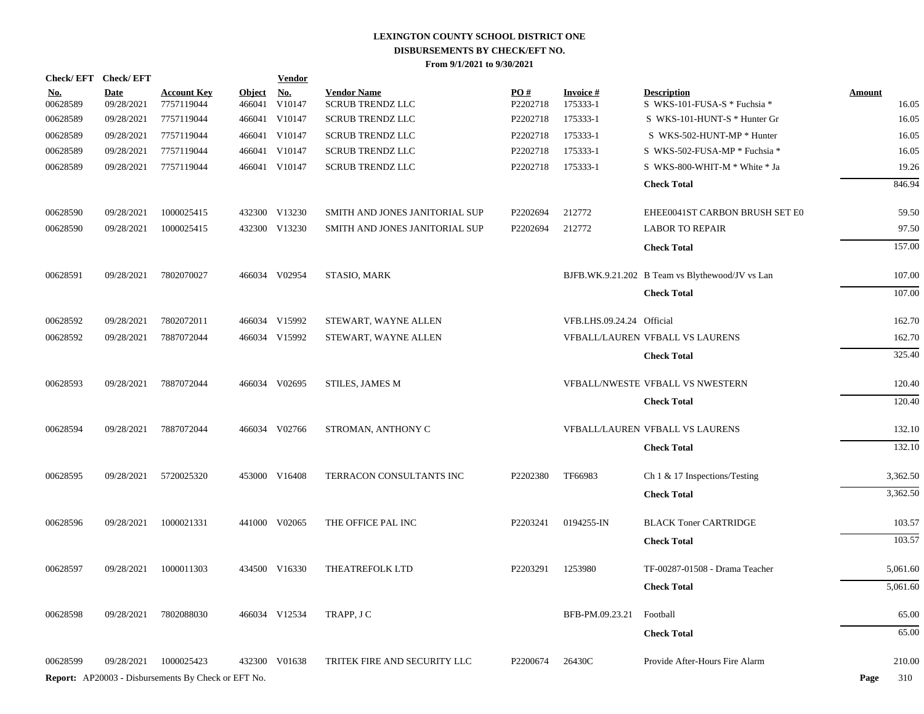| Check/EFT Check/EFT    |                           |                                                            |                         | <b>Vendor</b>        |                                               |                 |                             |                                                    |                        |
|------------------------|---------------------------|------------------------------------------------------------|-------------------------|----------------------|-----------------------------------------------|-----------------|-----------------------------|----------------------------------------------------|------------------------|
| <u>No.</u><br>00628589 | <b>Date</b><br>09/28/2021 | <b>Account Key</b><br>7757119044                           | <b>Object</b><br>466041 | <u>No.</u><br>V10147 | <b>Vendor Name</b><br><b>SCRUB TRENDZ LLC</b> | PO#<br>P2202718 | <b>Invoice#</b><br>175333-1 | <b>Description</b><br>S WKS-101-FUSA-S * Fuchsia * | <b>Amount</b><br>16.05 |
| 00628589               | 09/28/2021                | 7757119044                                                 |                         | 466041 V10147        | <b>SCRUB TRENDZ LLC</b>                       | P2202718        | 175333-1                    | S WKS-101-HUNT-S * Hunter Gr                       | 16.05                  |
| 00628589               | 09/28/2021                | 7757119044                                                 |                         | 466041 V10147        | <b>SCRUB TRENDZ LLC</b>                       | P2202718        | 175333-1                    | S WKS-502-HUNT-MP * Hunter                         | 16.05                  |
| 00628589               | 09/28/2021                | 7757119044                                                 |                         | 466041 V10147        | <b>SCRUB TRENDZ LLC</b>                       | P2202718        | 175333-1                    | S WKS-502-FUSA-MP * Fuchsia *                      | 16.05                  |
| 00628589               | 09/28/2021                | 7757119044                                                 |                         | 466041 V10147        | <b>SCRUB TRENDZ LLC</b>                       | P2202718        | 175333-1                    | S WKS-800-WHIT-M * White * Ja                      | 19.26                  |
|                        |                           |                                                            |                         |                      |                                               |                 |                             | <b>Check Total</b>                                 | 846.94                 |
|                        |                           |                                                            |                         |                      |                                               |                 |                             |                                                    |                        |
| 00628590               | 09/28/2021                | 1000025415                                                 |                         | 432300 V13230        | SMITH AND JONES JANITORIAL SUP                | P2202694        | 212772                      | EHEE0041ST CARBON BRUSH SET E0                     | 59.50                  |
| 00628590               | 09/28/2021                | 1000025415                                                 |                         | 432300 V13230        | SMITH AND JONES JANITORIAL SUP                | P2202694        | 212772                      | <b>LABOR TO REPAIR</b>                             | 97.50                  |
|                        |                           |                                                            |                         |                      |                                               |                 |                             | <b>Check Total</b>                                 | 157.00                 |
| 00628591               | 09/28/2021                | 7802070027                                                 |                         | 466034 V02954        | <b>STASIO, MARK</b>                           |                 |                             | BJFB.WK.9.21.202 B Team vs Blythewood/JV vs Lan    | 107.00                 |
|                        |                           |                                                            |                         |                      |                                               |                 |                             | <b>Check Total</b>                                 | 107.00                 |
| 00628592               | 09/28/2021                | 7802072011                                                 |                         | 466034 V15992        | STEWART, WAYNE ALLEN                          |                 | VFB.LHS.09.24.24 Official   |                                                    | 162.70                 |
| 00628592               | 09/28/2021                | 7887072044                                                 |                         | 466034 V15992        | STEWART, WAYNE ALLEN                          |                 |                             | VFBALL/LAUREN VFBALL VS LAURENS                    | 162.70                 |
|                        |                           |                                                            |                         |                      |                                               |                 |                             | <b>Check Total</b>                                 | 325.40                 |
| 00628593               | 09/28/2021                | 7887072044                                                 |                         | 466034 V02695        | <b>STILES, JAMES M</b>                        |                 |                             | VFBALL/NWESTE VFBALL VS NWESTERN                   | 120.40                 |
|                        |                           |                                                            |                         |                      |                                               |                 |                             | <b>Check Total</b>                                 | 120.40                 |
|                        |                           |                                                            |                         |                      |                                               |                 |                             |                                                    |                        |
| 00628594               | 09/28/2021                | 7887072044                                                 |                         | 466034 V02766        | STROMAN, ANTHONY C                            |                 |                             | VFBALL/LAUREN VFBALL VS LAURENS                    | 132.10                 |
|                        |                           |                                                            |                         |                      |                                               |                 |                             | <b>Check Total</b>                                 | 132.10                 |
| 00628595               | 09/28/2021                | 5720025320                                                 |                         | 453000 V16408        | TERRACON CONSULTANTS INC                      | P2202380        | TF66983                     | Ch $1 \& 17$ Inspections/Testing                   | 3,362.50               |
|                        |                           |                                                            |                         |                      |                                               |                 |                             | <b>Check Total</b>                                 | 3,362.50               |
| 00628596               | 09/28/2021                | 1000021331                                                 |                         | 441000 V02065        | THE OFFICE PAL INC                            | P2203241        | 0194255-IN                  | <b>BLACK Toner CARTRIDGE</b>                       | 103.57                 |
|                        |                           |                                                            |                         |                      |                                               |                 |                             |                                                    |                        |
|                        |                           |                                                            |                         |                      |                                               |                 |                             | <b>Check Total</b>                                 | 103.57                 |
| 00628597               | 09/28/2021                | 1000011303                                                 |                         | 434500 V16330        | THEATREFOLK LTD                               | P2203291        | 1253980                     | TF-00287-01508 - Drama Teacher                     | 5,061.60               |
|                        |                           |                                                            |                         |                      |                                               |                 |                             | <b>Check Total</b>                                 | 5,061.60               |
| 00628598               | 09/28/2021                | 7802088030                                                 |                         | 466034 V12534        | TRAPP, J C                                    |                 | BFB-PM.09.23.21             | Football                                           | 65.00                  |
|                        |                           |                                                            |                         |                      |                                               |                 |                             | <b>Check Total</b>                                 | 65.00                  |
| 00628599               | 09/28/2021                | 1000025423                                                 |                         | 432300 V01638        | TRITEK FIRE AND SECURITY LLC                  | P2200674        | 26430C                      | Provide After-Hours Fire Alarm                     | 210.00                 |
|                        |                           | <b>Report:</b> AP20003 - Disbursements By Check or EFT No. |                         |                      |                                               |                 |                             |                                                    | Page<br>310            |
|                        |                           |                                                            |                         |                      |                                               |                 |                             |                                                    |                        |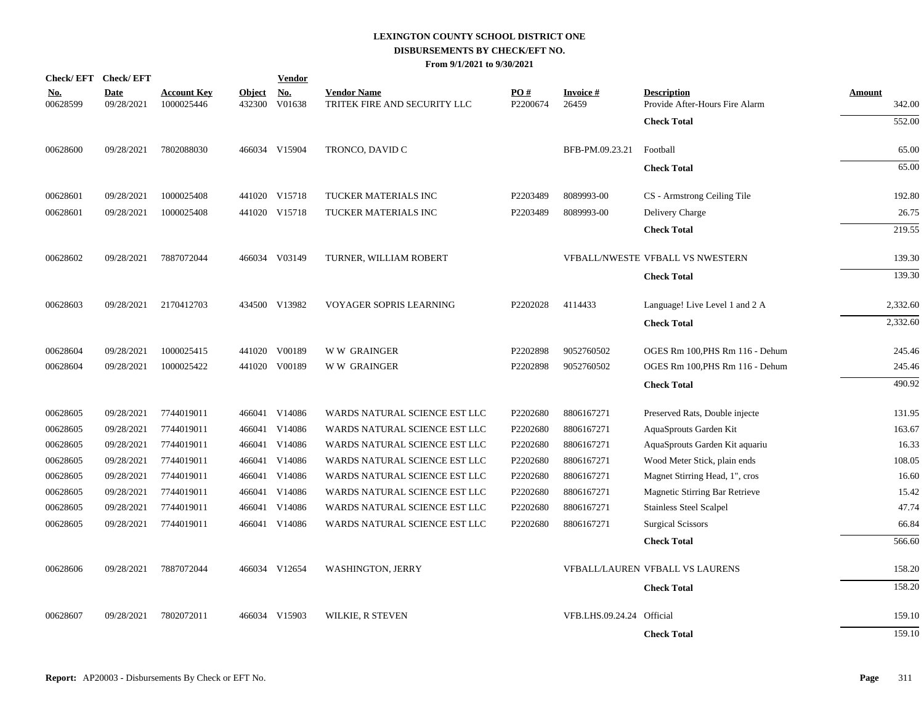|                        | Check/EFT Check/EFT       |                                  |                         | <b>Vendor</b>        |                                                    |                 |                           |                                                      |                  |
|------------------------|---------------------------|----------------------------------|-------------------------|----------------------|----------------------------------------------------|-----------------|---------------------------|------------------------------------------------------|------------------|
| <u>No.</u><br>00628599 | <b>Date</b><br>09/28/2021 | <b>Account Key</b><br>1000025446 | <b>Object</b><br>432300 | <u>No.</u><br>V01638 | <b>Vendor Name</b><br>TRITEK FIRE AND SECURITY LLC | PO#<br>P2200674 | <b>Invoice#</b><br>26459  | <b>Description</b><br>Provide After-Hours Fire Alarm | Amount<br>342.00 |
|                        |                           |                                  |                         |                      |                                                    |                 |                           | <b>Check Total</b>                                   | 552.00           |
| 00628600               | 09/28/2021                | 7802088030                       |                         | 466034 V15904        | TRONCO, DAVID C                                    |                 | BFB-PM.09.23.21           | Football                                             | 65.00            |
|                        |                           |                                  |                         |                      |                                                    |                 |                           | <b>Check Total</b>                                   | 65.00            |
| 00628601               | 09/28/2021                | 1000025408                       |                         | 441020 V15718        | TUCKER MATERIALS INC                               | P2203489        | 8089993-00                | CS - Armstrong Ceiling Tile                          | 192.80           |
| 00628601               | 09/28/2021                | 1000025408                       |                         | 441020 V15718        | TUCKER MATERIALS INC                               | P2203489        | 8089993-00                | Delivery Charge                                      | 26.75            |
|                        |                           |                                  |                         |                      |                                                    |                 |                           | <b>Check Total</b>                                   | 219.55           |
| 00628602               | 09/28/2021                | 7887072044                       |                         | 466034 V03149        | TURNER, WILLIAM ROBERT                             |                 |                           | VFBALL/NWESTE VFBALL VS NWESTERN                     | 139.30           |
|                        |                           |                                  |                         |                      |                                                    |                 |                           | <b>Check Total</b>                                   | 139.30           |
| 00628603               | 09/28/2021                | 2170412703                       |                         | 434500 V13982        | VOYAGER SOPRIS LEARNING                            | P2202028        | 4114433                   | Language! Live Level 1 and 2 A                       | 2,332.60         |
|                        |                           |                                  |                         |                      |                                                    |                 |                           | <b>Check Total</b>                                   | 2,332.60         |
| 00628604               | 09/28/2021                | 1000025415                       |                         | 441020 V00189        | <b>WW GRAINGER</b>                                 | P2202898        | 9052760502                | OGES Rm 100, PHS Rm 116 - Dehum                      | 245.46           |
| 00628604               | 09/28/2021                | 1000025422                       |                         | 441020 V00189        | <b>WW GRAINGER</b>                                 | P2202898        | 9052760502                | OGES Rm 100, PHS Rm 116 - Dehum                      | 245.46           |
|                        |                           |                                  |                         |                      |                                                    |                 |                           | <b>Check Total</b>                                   | 490.92           |
| 00628605               | 09/28/2021                | 7744019011                       |                         | 466041 V14086        | WARDS NATURAL SCIENCE EST LLC                      | P2202680        | 8806167271                | Preserved Rats, Double injecte                       | 131.95           |
| 00628605               | 09/28/2021                | 7744019011                       |                         | 466041 V14086        | WARDS NATURAL SCIENCE EST LLC                      | P2202680        | 8806167271                | AquaSprouts Garden Kit                               | 163.67           |
| 00628605               | 09/28/2021                | 7744019011                       |                         | 466041 V14086        | WARDS NATURAL SCIENCE EST LLC                      | P2202680        | 8806167271                | AquaSprouts Garden Kit aquariu                       | 16.33            |
| 00628605               | 09/28/2021                | 7744019011                       |                         | 466041 V14086        | WARDS NATURAL SCIENCE EST LLC                      | P2202680        | 8806167271                | Wood Meter Stick, plain ends                         | 108.05           |
| 00628605               | 09/28/2021                | 7744019011                       |                         | 466041 V14086        | WARDS NATURAL SCIENCE EST LLC                      | P2202680        | 8806167271                | Magnet Stirring Head, 1", cros                       | 16.60            |
| 00628605               | 09/28/2021                | 7744019011                       |                         | 466041 V14086        | WARDS NATURAL SCIENCE EST LLC                      | P2202680        | 8806167271                | Magnetic Stirring Bar Retrieve                       | 15.42            |
| 00628605               | 09/28/2021                | 7744019011                       |                         | 466041 V14086        | WARDS NATURAL SCIENCE EST LLC                      | P2202680        | 8806167271                | Stainless Steel Scalpel                              | 47.74            |
| 00628605               | 09/28/2021                | 7744019011                       |                         | 466041 V14086        | WARDS NATURAL SCIENCE EST LLC                      | P2202680        | 8806167271                | <b>Surgical Scissors</b>                             | 66.84            |
|                        |                           |                                  |                         |                      |                                                    |                 |                           | <b>Check Total</b>                                   | 566.60           |
| 00628606               | 09/28/2021                | 7887072044                       |                         | 466034 V12654        | <b>WASHINGTON, JERRY</b>                           |                 |                           | VFBALL/LAUREN VFBALL VS LAURENS                      | 158.20           |
|                        |                           |                                  |                         |                      |                                                    |                 |                           | <b>Check Total</b>                                   | 158.20           |
| 00628607               | 09/28/2021                | 7802072011                       |                         | 466034 V15903        | <b>WILKIE, R STEVEN</b>                            |                 | VFB.LHS.09.24.24 Official |                                                      | 159.10           |
|                        |                           |                                  |                         |                      |                                                    |                 |                           | <b>Check Total</b>                                   | 159.10           |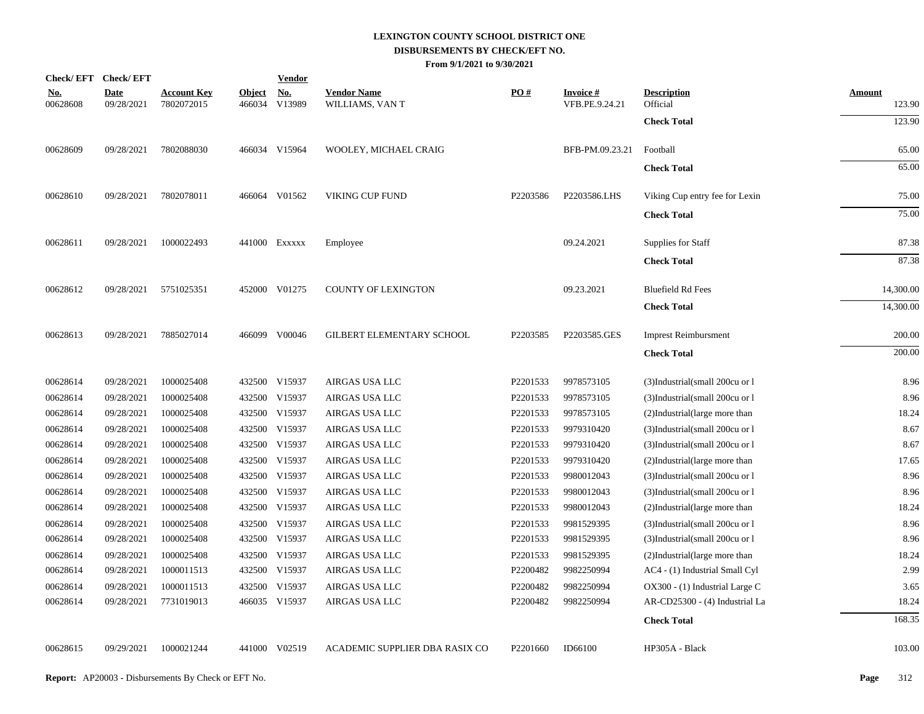| Check/EFT Check/EFT    |                           |                                  |               | <b>Vendor</b>               |                                       |                      |                                   |                                |                         |
|------------------------|---------------------------|----------------------------------|---------------|-----------------------------|---------------------------------------|----------------------|-----------------------------------|--------------------------------|-------------------------|
| <u>No.</u><br>00628608 | <b>Date</b><br>09/28/2021 | <b>Account Key</b><br>7802072015 | <b>Object</b> | <b>No.</b><br>466034 V13989 | <b>Vendor Name</b><br>WILLIAMS, VAN T | PO#                  | <b>Invoice#</b><br>VFB.PE.9.24.21 | <b>Description</b><br>Official | <b>Amount</b><br>123.90 |
|                        |                           |                                  |               |                             |                                       |                      |                                   | <b>Check Total</b>             | 123.90                  |
| 00628609               | 09/28/2021                | 7802088030                       |               | 466034 V15964               | WOOLEY, MICHAEL CRAIG                 |                      | BFB-PM.09.23.21                   | Football                       | 65.00                   |
|                        |                           |                                  |               |                             |                                       |                      |                                   | <b>Check Total</b>             | 65.00                   |
| 00628610               | 09/28/2021                | 7802078011                       |               | 466064 V01562               | VIKING CUP FUND                       | P2203586             | P2203586.LHS                      | Viking Cup entry fee for Lexin | 75.00                   |
|                        |                           |                                  |               |                             |                                       |                      |                                   | <b>Check Total</b>             | 75.00                   |
| 00628611               | 09/28/2021                | 1000022493                       |               | 441000 Exxxxx               | Employee                              |                      | 09.24.2021                        | Supplies for Staff             | 87.38                   |
|                        |                           |                                  |               |                             |                                       |                      |                                   | <b>Check Total</b>             | 87.38                   |
| 00628612               | 09/28/2021                | 5751025351                       |               | 452000 V01275               | <b>COUNTY OF LEXINGTON</b>            |                      | 09.23.2021                        | <b>Bluefield Rd Fees</b>       | 14,300.00               |
|                        |                           |                                  |               |                             |                                       |                      |                                   | <b>Check Total</b>             | 14,300.00               |
| 00628613               | 09/28/2021                | 7885027014                       |               | 466099 V00046               | GILBERT ELEMENTARY SCHOOL             | P2203585             | P2203585.GES                      | <b>Imprest Reimbursment</b>    | 200.00                  |
|                        |                           |                                  |               |                             |                                       |                      |                                   | <b>Check Total</b>             | 200.00                  |
| 00628614               | 09/28/2021                | 1000025408                       |               | 432500 V15937               | AIRGAS USA LLC                        | P2201533             | 9978573105                        | (3)Industrial(small 200cu or l | 8.96                    |
| 00628614               | 09/28/2021                | 1000025408                       |               | 432500 V15937               | AIRGAS USA LLC                        | P2201533             | 9978573105                        | (3)Industrial(small 200cu or 1 | 8.96                    |
| 00628614               | 09/28/2021                | 1000025408                       |               | 432500 V15937               | AIRGAS USA LLC                        | P2201533             | 9978573105                        | (2)Industrial(large more than  | 18.24                   |
| 00628614               | 09/28/2021                | 1000025408                       |               | 432500 V15937               | AIRGAS USA LLC                        | P2201533             | 9979310420                        | (3)Industrial(small 200cu or l | 8.67                    |
| 00628614               | 09/28/2021                | 1000025408                       |               | 432500 V15937               | AIRGAS USA LLC                        | P2201533             | 9979310420                        | (3)Industrial(small 200cu or l | 8.67                    |
| 00628614               | 09/28/2021                | 1000025408                       |               | 432500 V15937               | AIRGAS USA LLC                        | P2201533             | 9979310420                        | (2)Industrial(large more than  | 17.65                   |
| 00628614               | 09/28/2021                | 1000025408                       |               | 432500 V15937               | AIRGAS USA LLC                        | P2201533             | 9980012043                        | (3)Industrial(small 200cu or l | 8.96                    |
| 00628614               | 09/28/2021                | 1000025408                       |               | 432500 V15937               | AIRGAS USA LLC                        | P2201533             | 9980012043                        | (3)Industrial(small 200cu or l | 8.96                    |
| 00628614               | 09/28/2021                | 1000025408                       |               | 432500 V15937               | AIRGAS USA LLC                        | P2201533             | 9980012043                        | (2)Industrial(large more than  | 18.24                   |
| 00628614               | 09/28/2021                | 1000025408                       |               | 432500 V15937               | AIRGAS USA LLC                        | P2201533             | 9981529395                        | (3)Industrial(small 200cu or l | 8.96                    |
| 00628614               | 09/28/2021                | 1000025408                       |               | 432500 V15937               | AIRGAS USA LLC                        | P2201533             | 9981529395                        | (3)Industrial(small 200cu or l | 8.96                    |
| 00628614               | 09/28/2021                | 1000025408                       |               | 432500 V15937               | AIRGAS USA LLC                        | P2201533             | 9981529395                        | (2)Industrial(large more than  | 18.24                   |
| 00628614               | 09/28/2021                | 1000011513                       |               | 432500 V15937               | AIRGAS USA LLC                        | P2200482             | 9982250994                        | AC4 - (1) Industrial Small Cyl | 2.99                    |
| 00628614               | 09/28/2021                | 1000011513                       |               | 432500 V15937               | AIRGAS USA LLC                        | P2200482             | 9982250994                        | OX300 - (1) Industrial Large C | 3.65                    |
| 00628614               | 09/28/2021                | 7731019013                       |               | 466035 V15937               | AIRGAS USA LLC                        | P2200482             | 9982250994                        | AR-CD25300 - (4) Industrial La | 18.24                   |
|                        |                           |                                  |               |                             |                                       |                      |                                   | <b>Check Total</b>             | 168.35                  |
| 00628615               | 09/29/2021                | 1000021244                       |               | 441000 V02519               | ACADEMIC SUPPLIER DBA RASIX CO        | P <sub>2201660</sub> | ID66100                           | HP305A - Black                 | 103.00                  |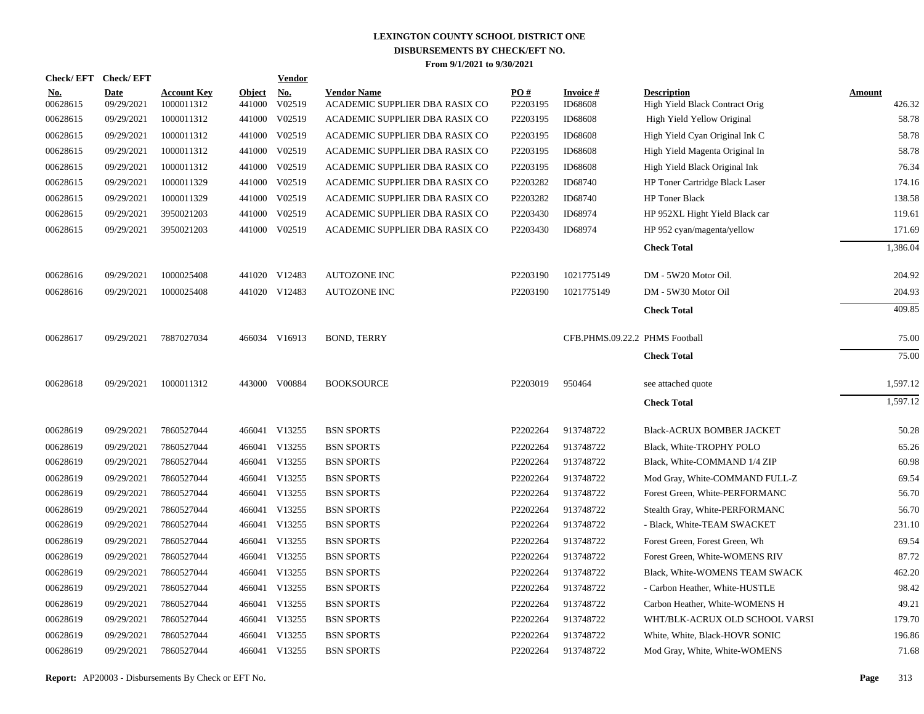|                        | Check/EFT Check/EFT       |                                  |                         | <b>Vendor</b>                         |                                                      |                               |                                |                                                      |                         |
|------------------------|---------------------------|----------------------------------|-------------------------|---------------------------------------|------------------------------------------------------|-------------------------------|--------------------------------|------------------------------------------------------|-------------------------|
| <u>No.</u><br>00628615 | <b>Date</b><br>09/29/2021 | <b>Account Key</b><br>1000011312 | <b>Object</b><br>441000 | $\underline{\mathrm{No}}$ .<br>V02519 | <b>Vendor Name</b><br>ACADEMIC SUPPLIER DBA RASIX CO | $\underline{PO#}$<br>P2203195 | <b>Invoice#</b><br>ID68608     | <b>Description</b><br>High Yield Black Contract Orig | <b>Amount</b><br>426.32 |
| 00628615               | 09/29/2021                | 1000011312                       |                         | 441000 V02519                         | ACADEMIC SUPPLIER DBA RASIX CO                       | P2203195                      | <b>ID68608</b>                 | High Yield Yellow Original                           | 58.78                   |
| 00628615               | 09/29/2021                | 1000011312                       |                         | 441000 V02519                         | ACADEMIC SUPPLIER DBA RASIX CO                       | P2203195                      | ID68608                        | High Yield Cyan Original Ink C                       | 58.78                   |
| 00628615               | 09/29/2021                | 1000011312                       |                         | 441000 V02519                         | ACADEMIC SUPPLIER DBA RASIX CO                       | P2203195                      | ID68608                        | High Yield Magenta Original In                       | 58.78                   |
| 00628615               | 09/29/2021                | 1000011312                       |                         | 441000 V02519                         | ACADEMIC SUPPLIER DBA RASIX CO                       | P2203195                      | <b>ID68608</b>                 | High Yield Black Original Ink                        | 76.34                   |
| 00628615               | 09/29/2021                | 1000011329                       |                         | 441000 V02519                         | ACADEMIC SUPPLIER DBA RASIX CO                       | P2203282                      | ID68740                        | HP Toner Cartridge Black Laser                       | 174.16                  |
| 00628615               | 09/29/2021                | 1000011329                       |                         | 441000 V02519                         | ACADEMIC SUPPLIER DBA RASIX CO                       | P2203282                      | ID68740                        | HP Toner Black                                       | 138.58                  |
| 00628615               | 09/29/2021                | 3950021203                       |                         | 441000 V02519                         | ACADEMIC SUPPLIER DBA RASIX CO                       | P2203430                      | ID68974                        | HP 952XL Hight Yield Black car                       | 119.61                  |
| 00628615               | 09/29/2021                | 3950021203                       |                         | 441000 V02519                         | ACADEMIC SUPPLIER DBA RASIX CO                       | P2203430                      | ID68974                        | HP 952 cyan/magenta/yellow                           | 171.69                  |
|                        |                           |                                  |                         |                                       |                                                      |                               |                                | <b>Check Total</b>                                   | 1,386.04                |
| 00628616               | 09/29/2021                | 1000025408                       |                         | 441020 V12483                         | <b>AUTOZONE INC</b>                                  | P2203190                      | 1021775149                     | DM - 5W20 Motor Oil.                                 | 204.92                  |
| 00628616               | 09/29/2021                | 1000025408                       |                         | 441020 V12483                         | <b>AUTOZONE INC</b>                                  | P2203190                      | 1021775149                     | DM - 5W30 Motor Oil                                  | 204.93                  |
|                        |                           |                                  |                         |                                       |                                                      |                               |                                | <b>Check Total</b>                                   | 409.85                  |
| 00628617               | 09/29/2021                | 7887027034                       |                         | 466034 V16913                         | <b>BOND, TERRY</b>                                   |                               | CFB.PHMS.09.22.2 PHMS Football |                                                      | 75.00                   |
|                        |                           |                                  |                         |                                       |                                                      |                               |                                | <b>Check Total</b>                                   | 75.00                   |
| 00628618               | 09/29/2021                | 1000011312                       |                         | 443000 V00884                         | <b>BOOKSOURCE</b>                                    | P2203019                      | 950464                         | see attached quote                                   | 1,597.12                |
|                        |                           |                                  |                         |                                       |                                                      |                               |                                | <b>Check Total</b>                                   | 1,597.12                |
| 00628619               | 09/29/2021                | 7860527044                       |                         | 466041 V13255                         | <b>BSN SPORTS</b>                                    | P2202264                      | 913748722                      | Black-ACRUX BOMBER JACKET                            | 50.28                   |
| 00628619               | 09/29/2021                | 7860527044                       |                         | 466041 V13255                         | <b>BSN SPORTS</b>                                    | P2202264                      | 913748722                      | Black, White-TROPHY POLO                             | 65.26                   |
| 00628619               | 09/29/2021                | 7860527044                       |                         | 466041 V13255                         | <b>BSN SPORTS</b>                                    | P2202264                      | 913748722                      | Black, White-COMMAND 1/4 ZIP                         | 60.98                   |
| 00628619               | 09/29/2021                | 7860527044                       |                         | 466041 V13255                         | <b>BSN SPORTS</b>                                    | P2202264                      | 913748722                      | Mod Gray, White-COMMAND FULL-Z                       | 69.54                   |
| 00628619               | 09/29/2021                | 7860527044                       |                         | 466041 V13255                         | <b>BSN SPORTS</b>                                    | P2202264                      | 913748722                      | Forest Green, White-PERFORMANC                       | 56.70                   |
| 00628619               | 09/29/2021                | 7860527044                       |                         | 466041 V13255                         | <b>BSN SPORTS</b>                                    | P2202264                      | 913748722                      | Stealth Gray, White-PERFORMANC                       | 56.70                   |
| 00628619               | 09/29/2021                | 7860527044                       |                         | 466041 V13255                         | <b>BSN SPORTS</b>                                    | P2202264                      | 913748722                      | - Black, White-TEAM SWACKET                          | 231.10                  |
| 00628619               | 09/29/2021                | 7860527044                       |                         | 466041 V13255                         | <b>BSN SPORTS</b>                                    | P2202264                      | 913748722                      | Forest Green, Forest Green, Wh                       | 69.54                   |
| 00628619               | 09/29/2021                | 7860527044                       |                         | 466041 V13255                         | <b>BSN SPORTS</b>                                    | P2202264                      | 913748722                      | Forest Green, White-WOMENS RIV                       | 87.72                   |
| 00628619               | 09/29/2021                | 7860527044                       |                         | 466041 V13255                         | <b>BSN SPORTS</b>                                    | P2202264                      | 913748722                      | Black, White-WOMENS TEAM SWACK                       | 462.20                  |
| 00628619               | 09/29/2021                | 7860527044                       |                         | 466041 V13255                         | <b>BSN SPORTS</b>                                    | P2202264                      | 913748722                      | - Carbon Heather, White-HUSTLE                       | 98.42                   |
| 00628619               | 09/29/2021                | 7860527044                       |                         | 466041 V13255                         | <b>BSN SPORTS</b>                                    | P2202264                      | 913748722                      | Carbon Heather, White-WOMENS H                       | 49.21                   |
| 00628619               | 09/29/2021                | 7860527044                       |                         | 466041 V13255                         | <b>BSN SPORTS</b>                                    | P2202264                      | 913748722                      | WHT/BLK-ACRUX OLD SCHOOL VARSI                       | 179.70                  |
| 00628619               | 09/29/2021                | 7860527044                       |                         | 466041 V13255                         | <b>BSN SPORTS</b>                                    | P2202264                      | 913748722                      | White, White, Black-HOVR SONIC                       | 196.86                  |
| 00628619               | 09/29/2021                | 7860527044                       |                         | 466041 V13255                         | <b>BSN SPORTS</b>                                    | P2202264                      | 913748722                      | Mod Gray, White, White-WOMENS                        | 71.68                   |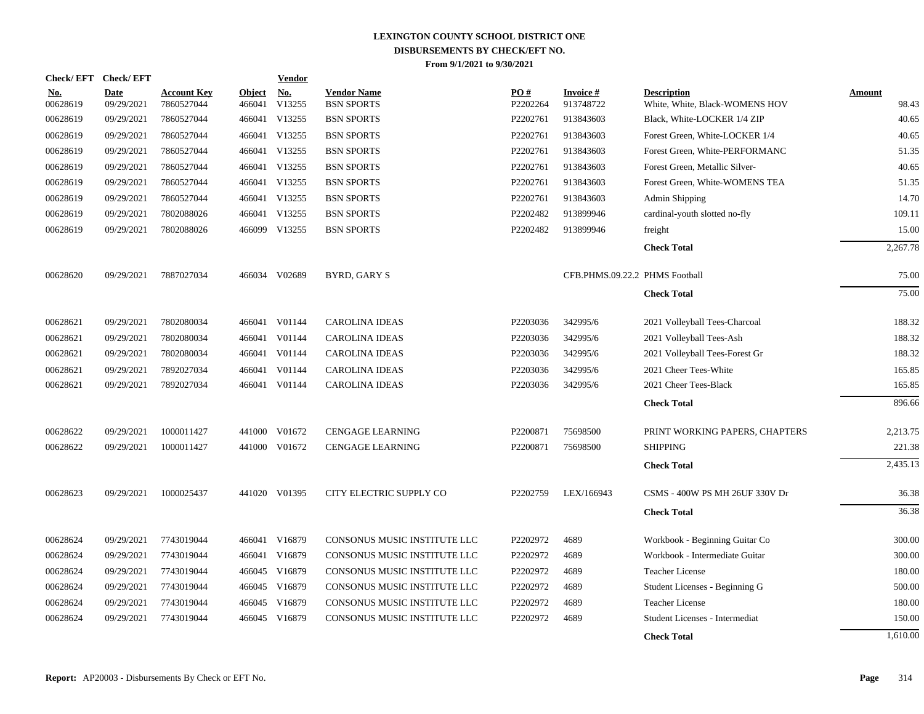| <b>Check/EFT</b>       | <b>Check/EFT</b>          |                                  |                         | <b>Vendor</b> |                                         |                 |                                |                                                      |                        |
|------------------------|---------------------------|----------------------------------|-------------------------|---------------|-----------------------------------------|-----------------|--------------------------------|------------------------------------------------------|------------------------|
| <u>No.</u><br>00628619 | <b>Date</b><br>09/29/2021 | <b>Account Key</b><br>7860527044 | <b>Object</b><br>466041 | No.<br>V13255 | <b>Vendor Name</b><br><b>BSN SPORTS</b> | PO#<br>P2202264 | <b>Invoice#</b><br>913748722   | <b>Description</b><br>White, White, Black-WOMENS HOV | <b>Amount</b><br>98.43 |
| 00628619               | 09/29/2021                | 7860527044                       | 466041                  | V13255        | <b>BSN SPORTS</b>                       | P2202761        | 913843603                      | Black, White-LOCKER 1/4 ZIP                          | 40.65                  |
| 00628619               | 09/29/2021                | 7860527044                       |                         | 466041 V13255 | <b>BSN SPORTS</b>                       | P2202761        | 913843603                      | Forest Green, White-LOCKER 1/4                       | 40.65                  |
| 00628619               | 09/29/2021                | 7860527044                       |                         | 466041 V13255 | <b>BSN SPORTS</b>                       | P2202761        | 913843603                      | Forest Green, White-PERFORMANC                       | 51.35                  |
| 00628619               | 09/29/2021                | 7860527044                       |                         | 466041 V13255 | <b>BSN SPORTS</b>                       | P2202761        | 913843603                      | Forest Green, Metallic Silver-                       | 40.65                  |
| 00628619               | 09/29/2021                | 7860527044                       |                         | 466041 V13255 | <b>BSN SPORTS</b>                       | P2202761        | 913843603                      | Forest Green, White-WOMENS TEA                       | 51.35                  |
| 00628619               | 09/29/2021                | 7860527044                       |                         | 466041 V13255 | <b>BSN SPORTS</b>                       | P2202761        | 913843603                      | Admin Shipping                                       | 14.70                  |
| 00628619               | 09/29/2021                | 7802088026                       |                         | 466041 V13255 | <b>BSN SPORTS</b>                       | P2202482        | 913899946                      | cardinal-youth slotted no-fly                        | 109.11                 |
| 00628619               | 09/29/2021                | 7802088026                       |                         | 466099 V13255 | <b>BSN SPORTS</b>                       | P2202482        | 913899946                      | freight                                              | 15.00                  |
|                        |                           |                                  |                         |               |                                         |                 |                                | <b>Check Total</b>                                   | 2,267.78               |
| 00628620               | 09/29/2021                | 7887027034                       |                         | 466034 V02689 | <b>BYRD, GARY S</b>                     |                 | CFB.PHMS.09.22.2 PHMS Football |                                                      | 75.00                  |
|                        |                           |                                  |                         |               |                                         |                 |                                | <b>Check Total</b>                                   | 75.00                  |
| 00628621               | 09/29/2021                | 7802080034                       |                         | 466041 V01144 | <b>CAROLINA IDEAS</b>                   | P2203036        | 342995/6                       | 2021 Volleyball Tees-Charcoal                        | 188.32                 |
| 00628621               | 09/29/2021                | 7802080034                       | 466041                  | V01144        | <b>CAROLINA IDEAS</b>                   | P2203036        | 342995/6                       | 2021 Volleyball Tees-Ash                             | 188.32                 |
| 00628621               | 09/29/2021                | 7802080034                       | 466041                  | V01144        | <b>CAROLINA IDEAS</b>                   | P2203036        | 342995/6                       | 2021 Volleyball Tees-Forest Gr                       | 188.32                 |
| 00628621               | 09/29/2021                | 7892027034                       | 466041                  | V01144        | <b>CAROLINA IDEAS</b>                   | P2203036        | 342995/6                       | 2021 Cheer Tees-White                                | 165.85                 |
| 00628621               | 09/29/2021                | 7892027034                       |                         | 466041 V01144 | <b>CAROLINA IDEAS</b>                   | P2203036        | 342995/6                       | 2021 Cheer Tees-Black                                | 165.85                 |
|                        |                           |                                  |                         |               |                                         |                 |                                | <b>Check Total</b>                                   | 896.66                 |
| 00628622               | 09/29/2021                | 1000011427                       |                         | 441000 V01672 | <b>CENGAGE LEARNING</b>                 | P2200871        | 75698500                       | PRINT WORKING PAPERS, CHAPTERS                       | 2,213.75               |
| 00628622               | 09/29/2021                | 1000011427                       |                         | 441000 V01672 | <b>CENGAGE LEARNING</b>                 | P2200871        | 75698500                       | <b>SHIPPING</b>                                      | 221.38                 |
|                        |                           |                                  |                         |               |                                         |                 |                                | <b>Check Total</b>                                   | 2,435.13               |
| 00628623               | 09/29/2021                | 1000025437                       |                         | 441020 V01395 | CITY ELECTRIC SUPPLY CO                 | P2202759        | LEX/166943                     | CSMS - 400W PS MH 26UF 330V Dr                       | 36.38                  |
|                        |                           |                                  |                         |               |                                         |                 |                                | <b>Check Total</b>                                   | 36.38                  |
| 00628624               | 09/29/2021                | 7743019044                       |                         | 466041 V16879 | CONSONUS MUSIC INSTITUTE LLC            | P2202972        | 4689                           | Workbook - Beginning Guitar Co                       | 300.00                 |
| 00628624               | 09/29/2021                | 7743019044                       | 466041                  | V16879        | CONSONUS MUSIC INSTITUTE LLC            | P2202972        | 4689                           | Workbook - Intermediate Guitar                       | 300.00                 |
| 00628624               | 09/29/2021                | 7743019044                       |                         | 466045 V16879 | CONSONUS MUSIC INSTITUTE LLC            | P2202972        | 4689                           | <b>Teacher License</b>                               | 180.00                 |
| 00628624               | 09/29/2021                | 7743019044                       |                         | 466045 V16879 | CONSONUS MUSIC INSTITUTE LLC            | P2202972        | 4689                           | Student Licenses - Beginning G                       | 500.00                 |
| 00628624               | 09/29/2021                | 7743019044                       | 466045                  | V16879        | CONSONUS MUSIC INSTITUTE LLC            | P2202972        | 4689                           | <b>Teacher License</b>                               | 180.00                 |
| 00628624               | 09/29/2021                | 7743019044                       |                         | 466045 V16879 | CONSONUS MUSIC INSTITUTE LLC            | P2202972        | 4689                           | Student Licenses - Intermediat                       | 150.00                 |
|                        |                           |                                  |                         |               |                                         |                 |                                | <b>Check Total</b>                                   | 1.610.00               |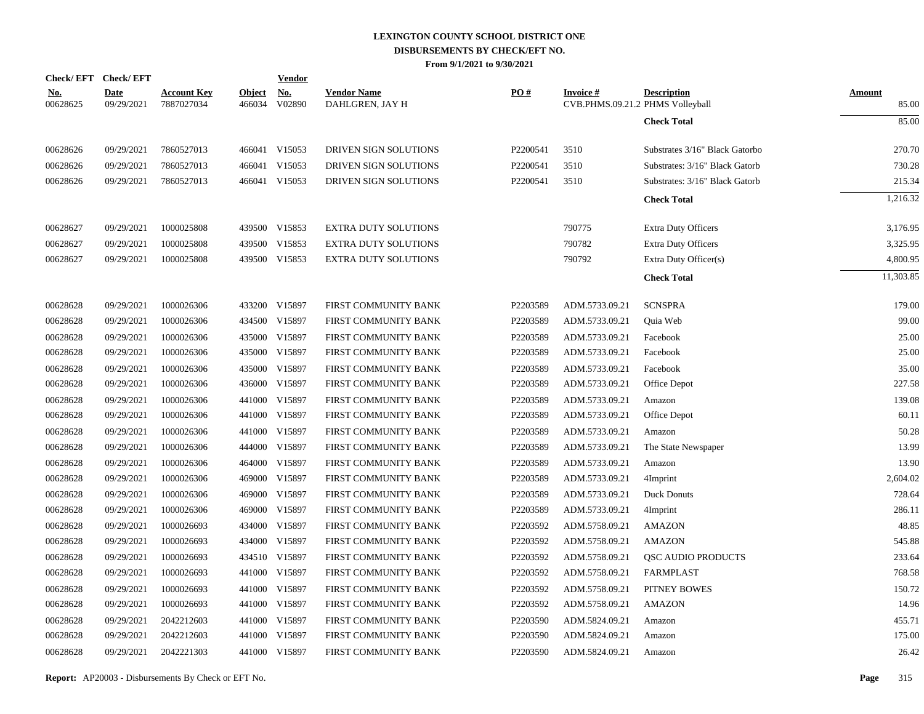|                        | Check/EFT Check/EFT       |                                  |                         | <b>Vendor</b>        |                                       |          |                                                     |                                |                        |
|------------------------|---------------------------|----------------------------------|-------------------------|----------------------|---------------------------------------|----------|-----------------------------------------------------|--------------------------------|------------------------|
| <u>No.</u><br>00628625 | <b>Date</b><br>09/29/2021 | <b>Account Key</b><br>7887027034 | <b>Object</b><br>466034 | <u>No.</u><br>V02890 | <b>Vendor Name</b><br>DAHLGREN, JAY H | PO#      | <b>Invoice#</b><br>CVB.PHMS.09.21.2 PHMS Volleyball | <b>Description</b>             | <b>Amount</b><br>85.00 |
|                        |                           |                                  |                         |                      |                                       |          |                                                     | <b>Check Total</b>             | 85.00                  |
| 00628626               | 09/29/2021                | 7860527013                       |                         | 466041 V15053        | DRIVEN SIGN SOLUTIONS                 | P2200541 | 3510                                                | Substrates 3/16" Black Gatorbo | 270.70                 |
| 00628626               | 09/29/2021                | 7860527013                       |                         | 466041 V15053        | DRIVEN SIGN SOLUTIONS                 | P2200541 | 3510                                                | Substrates: 3/16" Black Gatorb | 730.28                 |
| 00628626               | 09/29/2021                | 7860527013                       |                         | 466041 V15053        | DRIVEN SIGN SOLUTIONS                 | P2200541 | 3510                                                | Substrates: 3/16" Black Gatorb | 215.34                 |
|                        |                           |                                  |                         |                      |                                       |          |                                                     | <b>Check Total</b>             | 1,216.32               |
| 00628627               | 09/29/2021                | 1000025808                       |                         | 439500 V15853        | <b>EXTRA DUTY SOLUTIONS</b>           |          | 790775                                              | <b>Extra Duty Officers</b>     | 3,176.95               |
| 00628627               | 09/29/2021                | 1000025808                       |                         | 439500 V15853        | <b>EXTRA DUTY SOLUTIONS</b>           |          | 790782                                              | <b>Extra Duty Officers</b>     | 3,325.95               |
| 00628627               | 09/29/2021                | 1000025808                       |                         | 439500 V15853        | <b>EXTRA DUTY SOLUTIONS</b>           |          | 790792                                              | Extra Duty Officer(s)          | 4,800.95               |
|                        |                           |                                  |                         |                      |                                       |          |                                                     | <b>Check Total</b>             | 11,303.85              |
| 00628628               | 09/29/2021                | 1000026306                       |                         | 433200 V15897        | FIRST COMMUNITY BANK                  | P2203589 | ADM.5733.09.21                                      | <b>SCNSPRA</b>                 | 179.00                 |
| 00628628               | 09/29/2021                | 1000026306                       |                         | 434500 V15897        | FIRST COMMUNITY BANK                  | P2203589 | ADM.5733.09.21                                      | Quia Web                       | 99.00                  |
| 00628628               | 09/29/2021                | 1000026306                       |                         | 435000 V15897        | FIRST COMMUNITY BANK                  | P2203589 | ADM.5733.09.21                                      | Facebook                       | 25.00                  |
| 00628628               | 09/29/2021                | 1000026306                       |                         | 435000 V15897        | FIRST COMMUNITY BANK                  | P2203589 | ADM.5733.09.21                                      | Facebook                       | 25.00                  |
| 00628628               | 09/29/2021                | 1000026306                       | 435000                  | V15897               | FIRST COMMUNITY BANK                  | P2203589 | ADM.5733.09.21                                      | Facebook                       | 35.00                  |
| 00628628               | 09/29/2021                | 1000026306                       |                         | 436000 V15897        | FIRST COMMUNITY BANK                  | P2203589 | ADM.5733.09.21                                      | Office Depot                   | 227.58                 |
| 00628628               | 09/29/2021                | 1000026306                       | 441000                  | V15897               | FIRST COMMUNITY BANK                  | P2203589 | ADM.5733.09.21                                      | Amazon                         | 139.08                 |
| 00628628               | 09/29/2021                | 1000026306                       |                         | 441000 V15897        | FIRST COMMUNITY BANK                  | P2203589 | ADM.5733.09.21                                      | Office Depot                   | 60.11                  |
| 00628628               | 09/29/2021                | 1000026306                       | 441000                  | V15897               | FIRST COMMUNITY BANK                  | P2203589 | ADM.5733.09.21                                      | Amazon                         | 50.28                  |
| 00628628               | 09/29/2021                | 1000026306                       |                         | 444000 V15897        | FIRST COMMUNITY BANK                  | P2203589 | ADM.5733.09.21                                      | The State Newspaper            | 13.99                  |
| 00628628               | 09/29/2021                | 1000026306                       | 464000                  | V15897               | FIRST COMMUNITY BANK                  | P2203589 | ADM.5733.09.21                                      | Amazon                         | 13.90                  |
| 00628628               | 09/29/2021                | 1000026306                       |                         | 469000 V15897        | FIRST COMMUNITY BANK                  | P2203589 | ADM.5733.09.21                                      | 4Imprint                       | 2,604.02               |
| 00628628               | 09/29/2021                | 1000026306                       | 469000                  | V15897               | FIRST COMMUNITY BANK                  | P2203589 | ADM.5733.09.21                                      | Duck Donuts                    | 728.64                 |
| 00628628               | 09/29/2021                | 1000026306                       | 469000                  | V15897               | FIRST COMMUNITY BANK                  | P2203589 | ADM.5733.09.21                                      | 4Imprint                       | 286.11                 |
| 00628628               | 09/29/2021                | 1000026693                       | 434000                  | V15897               | FIRST COMMUNITY BANK                  | P2203592 | ADM.5758.09.21                                      | AMAZON                         | 48.85                  |
| 00628628               | 09/29/2021                | 1000026693                       |                         | 434000 V15897        | FIRST COMMUNITY BANK                  | P2203592 | ADM.5758.09.21                                      | AMAZON                         | 545.88                 |
| 00628628               | 09/29/2021                | 1000026693                       |                         | 434510 V15897        | FIRST COMMUNITY BANK                  | P2203592 | ADM.5758.09.21                                      | QSC AUDIO PRODUCTS             | 233.64                 |
| 00628628               | 09/29/2021                | 1000026693                       |                         | 441000 V15897        | FIRST COMMUNITY BANK                  | P2203592 | ADM.5758.09.21                                      | <b>FARMPLAST</b>               | 768.58                 |
| 00628628               | 09/29/2021                | 1000026693                       | 441000                  | V15897               | FIRST COMMUNITY BANK                  | P2203592 | ADM.5758.09.21                                      | PITNEY BOWES                   | 150.72                 |
| 00628628               | 09/29/2021                | 1000026693                       |                         | 441000 V15897        | FIRST COMMUNITY BANK                  | P2203592 | ADM.5758.09.21                                      | <b>AMAZON</b>                  | 14.96                  |
| 00628628               | 09/29/2021                | 2042212603                       |                         | 441000 V15897        | FIRST COMMUNITY BANK                  | P2203590 | ADM.5824.09.21                                      | Amazon                         | 455.71                 |
| 00628628               | 09/29/2021                | 2042212603                       | 441000                  | V15897               | FIRST COMMUNITY BANK                  | P2203590 | ADM.5824.09.21                                      | Amazon                         | 175.00                 |
| 00628628               | 09/29/2021                | 2042221303                       |                         | 441000 V15897        | FIRST COMMUNITY BANK                  | P2203590 | ADM.5824.09.21                                      | Amazon                         | 26.42                  |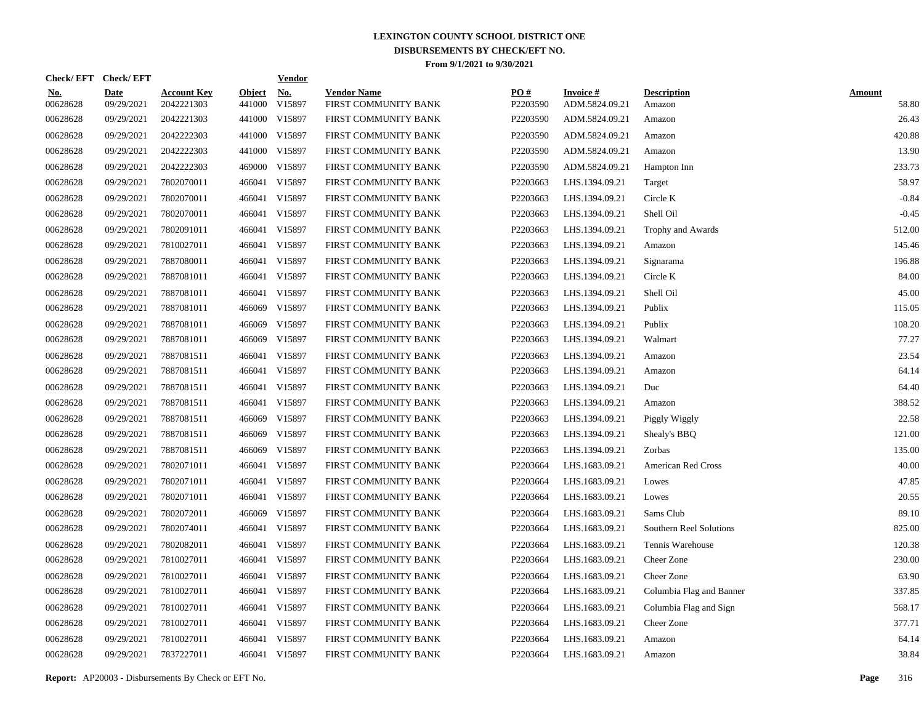|                        | Check/EFT Check/EFT       |                                  |                         | <b>Vendor</b>        |                                            |                 |                                   |                              |                        |
|------------------------|---------------------------|----------------------------------|-------------------------|----------------------|--------------------------------------------|-----------------|-----------------------------------|------------------------------|------------------------|
| <u>No.</u><br>00628628 | <b>Date</b><br>09/29/2021 | <b>Account Key</b><br>2042221303 | <b>Object</b><br>441000 | <u>No.</u><br>V15897 | <b>Vendor Name</b><br>FIRST COMMUNITY BANK | PQ#<br>P2203590 | <b>Invoice#</b><br>ADM.5824.09.21 | <b>Description</b><br>Amazon | <b>Amount</b><br>58.80 |
| 00628628               | 09/29/2021                | 2042221303                       |                         | 441000 V15897        | FIRST COMMUNITY BANK                       | P2203590        | ADM.5824.09.21                    | Amazon                       | 26.43                  |
| 00628628               | 09/29/2021                | 2042222303                       |                         | 441000 V15897        | FIRST COMMUNITY BANK                       | P2203590        | ADM.5824.09.21                    | Amazon                       | 420.88                 |
| 00628628               | 09/29/2021                | 2042222303                       |                         | 441000 V15897        | FIRST COMMUNITY BANK                       | P2203590        | ADM.5824.09.21                    | Amazon                       | 13.90                  |
| 00628628               | 09/29/2021                | 2042222303                       |                         | 469000 V15897        | FIRST COMMUNITY BANK                       | P2203590        | ADM.5824.09.21                    | Hampton Inn                  | 233.73                 |
| 00628628               | 09/29/2021                | 7802070011                       |                         | 466041 V15897        | FIRST COMMUNITY BANK                       | P2203663        | LHS.1394.09.21                    | Target                       | 58.97                  |
| 00628628               | 09/29/2021                | 7802070011                       |                         | 466041 V15897        | FIRST COMMUNITY BANK                       | P2203663        | LHS.1394.09.21                    | Circle K                     | $-0.84$                |
| 00628628               | 09/29/2021                | 7802070011                       |                         | 466041 V15897        | FIRST COMMUNITY BANK                       | P2203663        | LHS.1394.09.21                    | Shell Oil                    | $-0.45$                |
| 00628628               | 09/29/2021                | 7802091011                       |                         | 466041 V15897        | FIRST COMMUNITY BANK                       | P2203663        | LHS.1394.09.21                    | Trophy and Awards            | 512.00                 |
| 00628628               | 09/29/2021                | 7810027011                       |                         | 466041 V15897        | FIRST COMMUNITY BANK                       | P2203663        | LHS.1394.09.21                    | Amazon                       | 145.46                 |
| 00628628               | 09/29/2021                | 7887080011                       |                         | 466041 V15897        | FIRST COMMUNITY BANK                       | P2203663        | LHS.1394.09.21                    | Signarama                    | 196.88                 |
| 00628628               | 09/29/2021                | 7887081011                       |                         | 466041 V15897        | FIRST COMMUNITY BANK                       | P2203663        | LHS.1394.09.21                    | Circle K                     | 84.00                  |
| 00628628               | 09/29/2021                | 7887081011                       |                         | 466041 V15897        | FIRST COMMUNITY BANK                       | P2203663        | LHS.1394.09.21                    | Shell Oil                    | 45.00                  |
| 00628628               | 09/29/2021                | 7887081011                       | 466069                  | V15897               | FIRST COMMUNITY BANK                       | P2203663        | LHS.1394.09.21                    | Publix                       | 115.05                 |
| 00628628               | 09/29/2021                | 7887081011                       | 466069                  | V15897               | FIRST COMMUNITY BANK                       | P2203663        | LHS.1394.09.21                    | Publix                       | 108.20                 |
| 00628628               | 09/29/2021                | 7887081011                       | 466069                  | V15897               | FIRST COMMUNITY BANK                       | P2203663        | LHS.1394.09.21                    | Walmart                      | 77.27                  |
| 00628628               | 09/29/2021                | 7887081511                       |                         | 466041 V15897        | FIRST COMMUNITY BANK                       | P2203663        | LHS.1394.09.21                    | Amazon                       | 23.54                  |
| 00628628               | 09/29/2021                | 7887081511                       |                         | 466041 V15897        | FIRST COMMUNITY BANK                       | P2203663        | LHS.1394.09.21                    | Amazon                       | 64.14                  |
| 00628628               | 09/29/2021                | 7887081511                       |                         | 466041 V15897        | FIRST COMMUNITY BANK                       | P2203663        | LHS.1394.09.21                    | Duc                          | 64.40                  |
| 00628628               | 09/29/2021                | 7887081511                       |                         | 466041 V15897        | FIRST COMMUNITY BANK                       | P2203663        | LHS.1394.09.21                    | Amazon                       | 388.52                 |
| 00628628               | 09/29/2021                | 7887081511                       | 466069                  | V15897               | FIRST COMMUNITY BANK                       | P2203663        | LHS.1394.09.21                    | Piggly Wiggly                | 22.58                  |
| 00628628               | 09/29/2021                | 7887081511                       | 466069                  | V15897               | FIRST COMMUNITY BANK                       | P2203663        | LHS.1394.09.21                    | Shealy's BBQ                 | 121.00                 |
| 00628628               | 09/29/2021                | 7887081511                       | 466069                  | V15897               | FIRST COMMUNITY BANK                       | P2203663        | LHS.1394.09.21                    | Zorbas                       | 135.00                 |
| 00628628               | 09/29/2021                | 7802071011                       |                         | 466041 V15897        | FIRST COMMUNITY BANK                       | P2203664        | LHS.1683.09.21                    | <b>American Red Cross</b>    | 40.00                  |
| 00628628               | 09/29/2021                | 7802071011                       |                         | 466041 V15897        | FIRST COMMUNITY BANK                       | P2203664        | LHS.1683.09.21                    | Lowes                        | 47.85                  |
| 00628628               | 09/29/2021                | 7802071011                       |                         | 466041 V15897        | FIRST COMMUNITY BANK                       | P2203664        | LHS.1683.09.21                    | Lowes                        | 20.55                  |
| 00628628               | 09/29/2021                | 7802072011                       |                         | 466069 V15897        | FIRST COMMUNITY BANK                       | P2203664        | LHS.1683.09.21                    | Sams Club                    | 89.10                  |
| 00628628               | 09/29/2021                | 7802074011                       |                         | 466041 V15897        | FIRST COMMUNITY BANK                       | P2203664        | LHS.1683.09.21                    | Southern Reel Solutions      | 825.00                 |
| 00628628               | 09/29/2021                | 7802082011                       |                         | 466041 V15897        | FIRST COMMUNITY BANK                       | P2203664        | LHS.1683.09.21                    | Tennis Warehouse             | 120.38                 |
| 00628628               | 09/29/2021                | 7810027011                       |                         | 466041 V15897        | FIRST COMMUNITY BANK                       | P2203664        | LHS.1683.09.21                    | Cheer Zone                   | 230.00                 |
| 00628628               | 09/29/2021                | 7810027011                       |                         | 466041 V15897        | FIRST COMMUNITY BANK                       | P2203664        | LHS.1683.09.21                    | Cheer Zone                   | 63.90                  |
| 00628628               | 09/29/2021                | 7810027011                       |                         | 466041 V15897        | FIRST COMMUNITY BANK                       | P2203664        | LHS.1683.09.21                    | Columbia Flag and Banner     | 337.85                 |
| 00628628               | 09/29/2021                | 7810027011                       |                         | 466041 V15897        | FIRST COMMUNITY BANK                       | P2203664        | LHS.1683.09.21                    | Columbia Flag and Sign       | 568.17                 |
| 00628628               | 09/29/2021                | 7810027011                       |                         | 466041 V15897        | FIRST COMMUNITY BANK                       | P2203664        | LHS.1683.09.21                    | Cheer Zone                   | 377.71                 |
| 00628628               | 09/29/2021                | 7810027011                       |                         | 466041 V15897        | FIRST COMMUNITY BANK                       | P2203664        | LHS.1683.09.21                    | Amazon                       | 64.14                  |
| 00628628               | 09/29/2021                | 7837227011                       |                         | 466041 V15897        | FIRST COMMUNITY BANK                       | P2203664        | LHS.1683.09.21                    | Amazon                       | 38.84                  |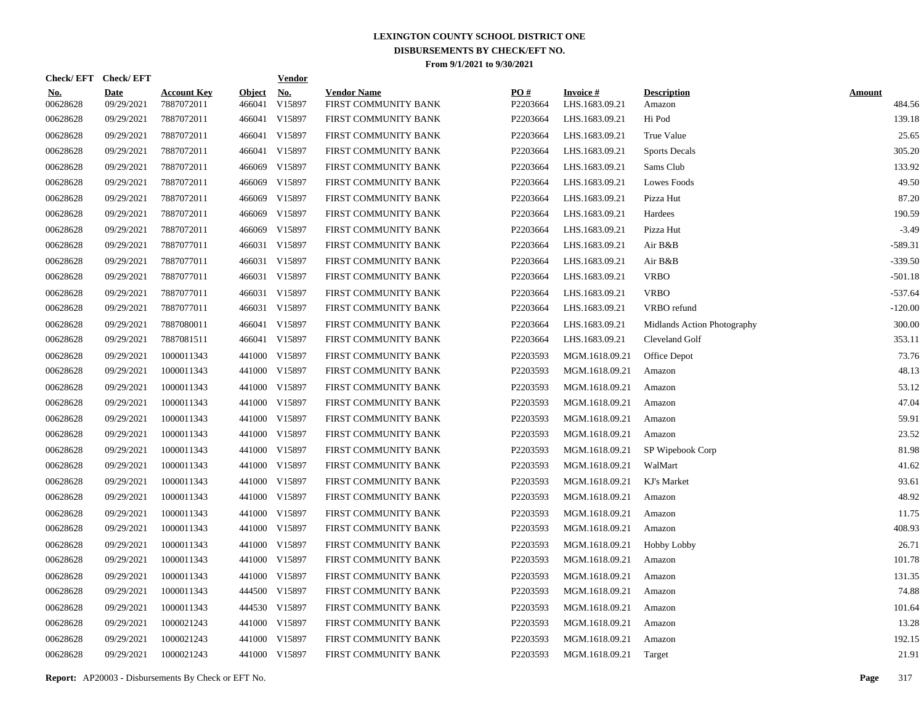|                        | Check/EFT Check/EFT       |                                  |                         | <u>Vendor</u>        |                                            |                 |                                   |                              |                         |
|------------------------|---------------------------|----------------------------------|-------------------------|----------------------|--------------------------------------------|-----------------|-----------------------------------|------------------------------|-------------------------|
| <u>No.</u><br>00628628 | <b>Date</b><br>09/29/2021 | <b>Account Key</b><br>7887072011 | <b>Object</b><br>466041 | <u>No.</u><br>V15897 | <b>Vendor Name</b><br>FIRST COMMUNITY BANK | PQ#<br>P2203664 | <b>Invoice#</b><br>LHS.1683.09.21 | <b>Description</b><br>Amazon | <b>Amount</b><br>484.56 |
| 00628628               | 09/29/2021                | 7887072011                       | 466041                  | V15897               | FIRST COMMUNITY BANK                       | P2203664        | LHS.1683.09.21                    | Hi Pod                       | 139.18                  |
| 00628628               | 09/29/2021                | 7887072011                       | 466041                  | V15897               | FIRST COMMUNITY BANK                       | P2203664        | LHS.1683.09.21                    | True Value                   | 25.65                   |
| 00628628               | 09/29/2021                | 7887072011                       |                         | 466041 V15897        | FIRST COMMUNITY BANK                       | P2203664        | LHS.1683.09.21                    | <b>Sports Decals</b>         | 305.20                  |
| 00628628               | 09/29/2021                | 7887072011                       | 466069                  | V15897               | FIRST COMMUNITY BANK                       | P2203664        | LHS.1683.09.21                    | Sams Club                    | 133.92                  |
| 00628628               | 09/29/2021                | 7887072011                       | 466069                  | V15897               | FIRST COMMUNITY BANK                       | P2203664        | LHS.1683.09.21                    | Lowes Foods                  | 49.50                   |
| 00628628               | 09/29/2021                | 7887072011                       | 466069                  | V15897               | FIRST COMMUNITY BANK                       | P2203664        | LHS.1683.09.21                    | Pizza Hut                    | 87.20                   |
| 00628628               | 09/29/2021                | 7887072011                       | 466069                  | V15897               | FIRST COMMUNITY BANK                       | P2203664        | LHS.1683.09.21                    | Hardees                      | 190.59                  |
| 00628628               | 09/29/2021                | 7887072011                       | 466069                  | V15897               | FIRST COMMUNITY BANK                       | P2203664        | LHS.1683.09.21                    | Pizza Hut                    | $-3.49$                 |
| 00628628               | 09/29/2021                | 7887077011                       |                         | 466031 V15897        | FIRST COMMUNITY BANK                       | P2203664        | LHS.1683.09.21                    | Air B&B                      | $-589.31$               |
| 00628628               | 09/29/2021                | 7887077011                       |                         | 466031 V15897        | FIRST COMMUNITY BANK                       | P2203664        | LHS.1683.09.21                    | Air B&B                      | $-339.50$               |
| 00628628               | 09/29/2021                | 7887077011                       |                         | 466031 V15897        | FIRST COMMUNITY BANK                       | P2203664        | LHS.1683.09.21                    | <b>VRBO</b>                  | $-501.18$               |
| 00628628               | 09/29/2021                | 7887077011                       |                         | 466031 V15897        | FIRST COMMUNITY BANK                       | P2203664        | LHS.1683.09.21                    | <b>VRBO</b>                  | $-537.64$               |
| 00628628               | 09/29/2021                | 7887077011                       |                         | 466031 V15897        | FIRST COMMUNITY BANK                       | P2203664        | LHS.1683.09.21                    | VRBO refund                  | $-120.00$               |
| 00628628               | 09/29/2021                | 7887080011                       |                         | 466041 V15897        | FIRST COMMUNITY BANK                       | P2203664        | LHS.1683.09.21                    | Midlands Action Photography  | 300.00                  |
| 00628628               | 09/29/2021                | 7887081511                       |                         | 466041 V15897        | FIRST COMMUNITY BANK                       | P2203664        | LHS.1683.09.21                    | Cleveland Golf               | 353.11                  |
| 00628628               | 09/29/2021                | 1000011343                       | 441000                  | V15897               | FIRST COMMUNITY BANK                       | P2203593        | MGM.1618.09.21                    | Office Depot                 | 73.76                   |
| 00628628               | 09/29/2021                | 1000011343                       |                         | 441000 V15897        | FIRST COMMUNITY BANK                       | P2203593        | MGM.1618.09.21                    | Amazon                       | 48.13                   |
| 00628628               | 09/29/2021                | 1000011343                       | 441000                  | V15897               | FIRST COMMUNITY BANK                       | P2203593        | MGM.1618.09.21                    | Amazon                       | 53.12                   |
| 00628628               | 09/29/2021                | 1000011343                       |                         | 441000 V15897        | FIRST COMMUNITY BANK                       | P2203593        | MGM.1618.09.21                    | Amazon                       | 47.04                   |
| 00628628               | 09/29/2021                | 1000011343                       |                         | 441000 V15897        | FIRST COMMUNITY BANK                       | P2203593        | MGM.1618.09.21                    | Amazon                       | 59.91                   |
| 00628628               | 09/29/2021                | 1000011343                       |                         | 441000 V15897        | FIRST COMMUNITY BANK                       | P2203593        | MGM.1618.09.21                    | Amazon                       | 23.52                   |
| 00628628               | 09/29/2021                | 1000011343                       |                         | 441000 V15897        | FIRST COMMUNITY BANK                       | P2203593        | MGM.1618.09.21                    | SP Wipebook Corp             | 81.98                   |
| 00628628               | 09/29/2021                | 1000011343                       | 441000                  | V15897               | FIRST COMMUNITY BANK                       | P2203593        | MGM.1618.09.21                    | WalMart                      | 41.62                   |
| 00628628               | 09/29/2021                | 1000011343                       |                         | 441000 V15897        | FIRST COMMUNITY BANK                       | P2203593        | MGM.1618.09.21                    | KJ's Market                  | 93.61                   |
| 00628628               | 09/29/2021                | 1000011343                       |                         | 441000 V15897        | FIRST COMMUNITY BANK                       | P2203593        | MGM.1618.09.21                    | Amazon                       | 48.92                   |
| 00628628               | 09/29/2021                | 1000011343                       |                         | 441000 V15897        | FIRST COMMUNITY BANK                       | P2203593        | MGM.1618.09.21                    | Amazon                       | 11.75                   |
| 00628628               | 09/29/2021                | 1000011343                       | 441000                  | V15897               | FIRST COMMUNITY BANK                       | P2203593        | MGM.1618.09.21                    | Amazon                       | 408.93                  |
| 00628628               | 09/29/2021                | 1000011343                       |                         | 441000 V15897        | FIRST COMMUNITY BANK                       | P2203593        | MGM.1618.09.21                    | Hobby Lobby                  | 26.71                   |
| 00628628               | 09/29/2021                | 1000011343                       |                         | 441000 V15897        | FIRST COMMUNITY BANK                       | P2203593        | MGM.1618.09.21                    | Amazon                       | 101.78                  |
| 00628628               | 09/29/2021                | 1000011343                       |                         | 441000 V15897        | FIRST COMMUNITY BANK                       | P2203593        | MGM.1618.09.21                    | Amazon                       | 131.35                  |
| 00628628               | 09/29/2021                | 1000011343                       |                         | 444500 V15897        | FIRST COMMUNITY BANK                       | P2203593        | MGM.1618.09.21                    | Amazon                       | 74.88                   |
| 00628628               | 09/29/2021                | 1000011343                       |                         | 444530 V15897        | FIRST COMMUNITY BANK                       | P2203593        | MGM.1618.09.21                    | Amazon                       | 101.64                  |
| 00628628               | 09/29/2021                | 1000021243                       |                         | 441000 V15897        | FIRST COMMUNITY BANK                       | P2203593        | MGM.1618.09.21                    | Amazon                       | 13.28                   |
| 00628628               | 09/29/2021                | 1000021243                       |                         | 441000 V15897        | FIRST COMMUNITY BANK                       | P2203593        | MGM.1618.09.21                    | Amazon                       | 192.15                  |
| 00628628               | 09/29/2021                | 1000021243                       |                         | 441000 V15897        | FIRST COMMUNITY BANK                       | P2203593        | MGM.1618.09.21                    | Target                       | 21.91                   |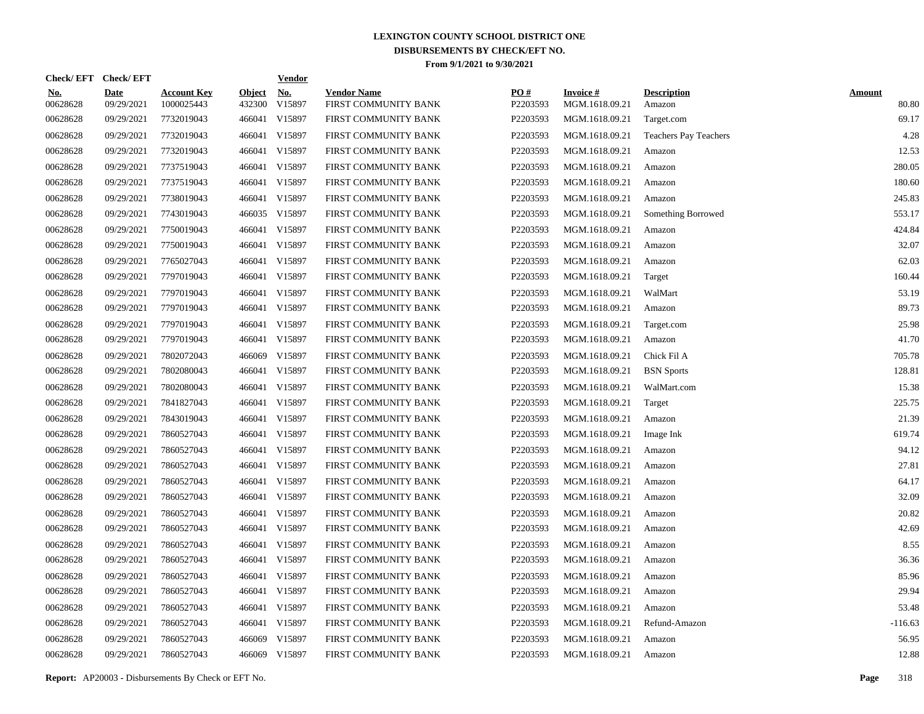| Check/EFT Check/EFT    |                           |                                  |                         | <b>Vendor</b>        |                                            |                 |                                   |                              |                        |
|------------------------|---------------------------|----------------------------------|-------------------------|----------------------|--------------------------------------------|-----------------|-----------------------------------|------------------------------|------------------------|
| <u>No.</u><br>00628628 | <b>Date</b><br>09/29/2021 | <b>Account Key</b><br>1000025443 | <b>Object</b><br>432300 | <u>No.</u><br>V15897 | <b>Vendor Name</b><br>FIRST COMMUNITY BANK | PQ#<br>P2203593 | <b>Invoice#</b><br>MGM.1618.09.21 | <b>Description</b><br>Amazon | <b>Amount</b><br>80.80 |
| 00628628               | 09/29/2021                | 7732019043                       |                         | 466041 V15897        | FIRST COMMUNITY BANK                       | P2203593        | MGM.1618.09.21                    | Target.com                   | 69.17                  |
| 00628628               | 09/29/2021                | 7732019043                       |                         | 466041 V15897        | FIRST COMMUNITY BANK                       | P2203593        | MGM.1618.09.21                    | Teachers Pay Teachers        | 4.28                   |
| 00628628               | 09/29/2021                | 7732019043                       |                         | 466041 V15897        | FIRST COMMUNITY BANK                       | P2203593        | MGM.1618.09.21                    | Amazon                       | 12.53                  |
| 00628628               | 09/29/2021                | 7737519043                       |                         | 466041 V15897        | FIRST COMMUNITY BANK                       | P2203593        | MGM.1618.09.21                    | Amazon                       | 280.05                 |
| 00628628               | 09/29/2021                | 7737519043                       |                         | 466041 V15897        | FIRST COMMUNITY BANK                       | P2203593        | MGM.1618.09.21                    | Amazon                       | 180.60                 |
| 00628628               | 09/29/2021                | 7738019043                       |                         | 466041 V15897        | FIRST COMMUNITY BANK                       | P2203593        | MGM.1618.09.21                    | Amazon                       | 245.83                 |
| 00628628               | 09/29/2021                | 7743019043                       |                         | 466035 V15897        | FIRST COMMUNITY BANK                       | P2203593        | MGM.1618.09.21                    | Something Borrowed           | 553.17                 |
| 00628628               | 09/29/2021                | 7750019043                       |                         | 466041 V15897        | FIRST COMMUNITY BANK                       | P2203593        | MGM.1618.09.21                    | Amazon                       | 424.84                 |
| 00628628               | 09/29/2021                | 7750019043                       |                         | 466041 V15897        | FIRST COMMUNITY BANK                       | P2203593        | MGM.1618.09.21                    | Amazon                       | 32.07                  |
| 00628628               | 09/29/2021                | 7765027043                       |                         | 466041 V15897        | FIRST COMMUNITY BANK                       | P2203593        | MGM.1618.09.21                    | Amazon                       | 62.03                  |
| 00628628               | 09/29/2021                | 7797019043                       |                         | 466041 V15897        | FIRST COMMUNITY BANK                       | P2203593        | MGM.1618.09.21                    | Target                       | 160.44                 |
| 00628628               | 09/29/2021                | 7797019043                       |                         | 466041 V15897        | FIRST COMMUNITY BANK                       | P2203593        | MGM.1618.09.21                    | WalMart                      | 53.19                  |
| 00628628               | 09/29/2021                | 7797019043                       |                         | 466041 V15897        | FIRST COMMUNITY BANK                       | P2203593        | MGM.1618.09.21                    | Amazon                       | 89.73                  |
| 00628628               | 09/29/2021                | 7797019043                       |                         | 466041 V15897        | FIRST COMMUNITY BANK                       | P2203593        | MGM.1618.09.21                    | Target.com                   | 25.98                  |
| 00628628               | 09/29/2021                | 7797019043                       |                         | 466041 V15897        | FIRST COMMUNITY BANK                       | P2203593        | MGM.1618.09.21                    | Amazon                       | 41.70                  |
| 00628628               | 09/29/2021                | 7802072043                       |                         | 466069 V15897        | FIRST COMMUNITY BANK                       | P2203593        | MGM.1618.09.21                    | Chick Fil A                  | 705.78                 |
| 00628628               | 09/29/2021                | 7802080043                       |                         | 466041 V15897        | FIRST COMMUNITY BANK                       | P2203593        | MGM.1618.09.21                    | <b>BSN</b> Sports            | 128.81                 |
| 00628628               | 09/29/2021                | 7802080043                       |                         | 466041 V15897        | FIRST COMMUNITY BANK                       | P2203593        | MGM.1618.09.21                    | WalMart.com                  | 15.38                  |
| 00628628               | 09/29/2021                | 7841827043                       |                         | 466041 V15897        | FIRST COMMUNITY BANK                       | P2203593        | MGM.1618.09.21                    | Target                       | 225.75                 |
| 00628628               | 09/29/2021                | 7843019043                       |                         | 466041 V15897        | FIRST COMMUNITY BANK                       | P2203593        | MGM.1618.09.21                    | Amazon                       | 21.39                  |
| 00628628               | 09/29/2021                | 7860527043                       |                         | 466041 V15897        | FIRST COMMUNITY BANK                       | P2203593        | MGM.1618.09.21                    | Image Ink                    | 619.74                 |
| 00628628               | 09/29/2021                | 7860527043                       |                         | 466041 V15897        | FIRST COMMUNITY BANK                       | P2203593        | MGM.1618.09.21                    | Amazon                       | 94.12                  |
| 00628628               | 09/29/2021                | 7860527043                       |                         | 466041 V15897        | FIRST COMMUNITY BANK                       | P2203593        | MGM.1618.09.21                    | Amazon                       | 27.81                  |
| 00628628               | 09/29/2021                | 7860527043                       |                         | 466041 V15897        | FIRST COMMUNITY BANK                       | P2203593        | MGM.1618.09.21                    | Amazon                       | 64.17                  |
| 00628628               | 09/29/2021                | 7860527043                       |                         | 466041 V15897        | FIRST COMMUNITY BANK                       | P2203593        | MGM.1618.09.21                    | Amazon                       | 32.09                  |
| 00628628               | 09/29/2021                | 7860527043                       |                         | 466041 V15897        | FIRST COMMUNITY BANK                       | P2203593        | MGM.1618.09.21                    | Amazon                       | 20.82                  |
| 00628628               | 09/29/2021                | 7860527043                       |                         | 466041 V15897        | FIRST COMMUNITY BANK                       | P2203593        | MGM.1618.09.21                    | Amazon                       | 42.69                  |
| 00628628               | 09/29/2021                | 7860527043                       |                         | 466041 V15897        | FIRST COMMUNITY BANK                       | P2203593        | MGM.1618.09.21                    | Amazon                       | 8.55                   |
| 00628628               | 09/29/2021                | 7860527043                       |                         | 466041 V15897        | FIRST COMMUNITY BANK                       | P2203593        | MGM.1618.09.21                    | Amazon                       | 36.36                  |
| 00628628               | 09/29/2021                | 7860527043                       |                         | 466041 V15897        | FIRST COMMUNITY BANK                       | P2203593        | MGM.1618.09.21                    | Amazon                       | 85.96                  |
| 00628628               | 09/29/2021                | 7860527043                       |                         | 466041 V15897        | FIRST COMMUNITY BANK                       | P2203593        | MGM.1618.09.21                    | Amazon                       | 29.94                  |
| 00628628               | 09/29/2021                | 7860527043                       |                         | 466041 V15897        | FIRST COMMUNITY BANK                       | P2203593        | MGM.1618.09.21                    | Amazon                       | 53.48                  |
| 00628628               | 09/29/2021                | 7860527043                       |                         | 466041 V15897        | FIRST COMMUNITY BANK                       | P2203593        | MGM.1618.09.21                    | Refund-Amazon                | $-116.63$              |
| 00628628               | 09/29/2021                | 7860527043                       | 466069                  | V15897               | FIRST COMMUNITY BANK                       | P2203593        | MGM.1618.09.21                    | Amazon                       | 56.95                  |
| 00628628               | 09/29/2021                | 7860527043                       |                         | 466069 V15897        | FIRST COMMUNITY BANK                       | P2203593        | MGM.1618.09.21                    | Amazon                       | 12.88                  |

**Report:** AP20003 - Disbursements By Check or EFT No. **Page** 318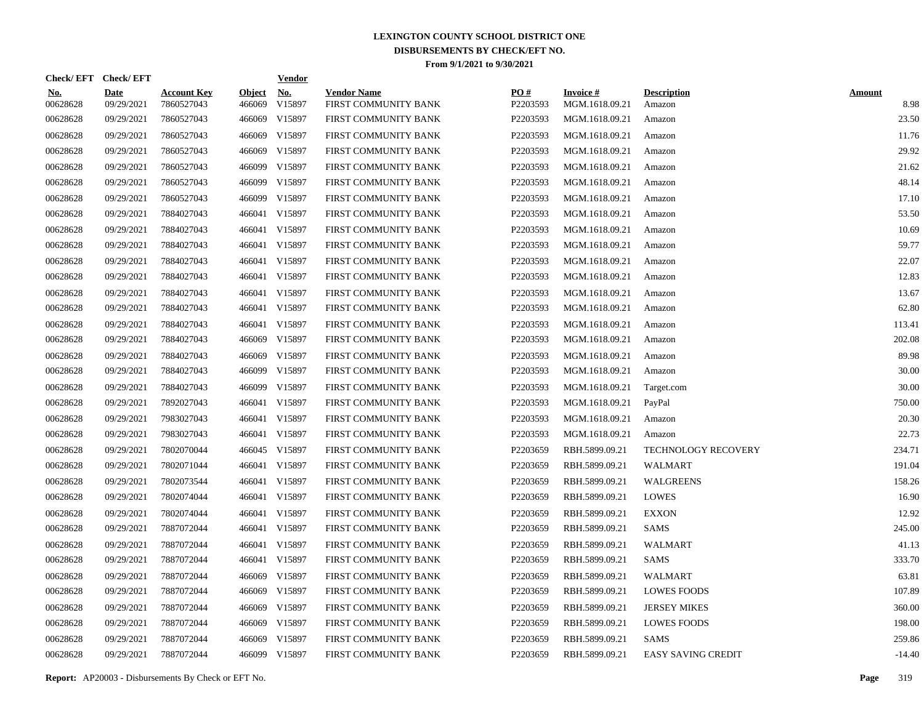|                        | Check/EFT Check/EFT       |                                  |                         | <b>Vendor</b>        |                                            |                 |                                   |                              |                       |
|------------------------|---------------------------|----------------------------------|-------------------------|----------------------|--------------------------------------------|-----------------|-----------------------------------|------------------------------|-----------------------|
| <u>No.</u><br>00628628 | <b>Date</b><br>09/29/2021 | <b>Account Key</b><br>7860527043 | <b>Object</b><br>466069 | <u>No.</u><br>V15897 | <b>Vendor Name</b><br>FIRST COMMUNITY BANK | PQ#<br>P2203593 | <b>Invoice#</b><br>MGM.1618.09.21 | <b>Description</b><br>Amazon | <b>Amount</b><br>8.98 |
| 00628628               | 09/29/2021                | 7860527043                       | 466069                  | V15897               | FIRST COMMUNITY BANK                       | P2203593        | MGM.1618.09.21                    | Amazon                       | 23.50                 |
| 00628628               | 09/29/2021                | 7860527043                       | 466069                  | V15897               | FIRST COMMUNITY BANK                       | P2203593        | MGM.1618.09.21                    | Amazon                       | 11.76                 |
| 00628628               | 09/29/2021                | 7860527043                       | 466069                  | V15897               | FIRST COMMUNITY BANK                       | P2203593        | MGM.1618.09.21                    | Amazon                       | 29.92                 |
| 00628628               | 09/29/2021                | 7860527043                       | 466099                  | V15897               | FIRST COMMUNITY BANK                       | P2203593        | MGM.1618.09.21                    | Amazon                       | 21.62                 |
| 00628628               | 09/29/2021                | 7860527043                       | 466099                  | V15897               | FIRST COMMUNITY BANK                       | P2203593        | MGM.1618.09.21                    | Amazon                       | 48.14                 |
| 00628628               | 09/29/2021                | 7860527043                       | 466099                  | V15897               | FIRST COMMUNITY BANK                       | P2203593        | MGM.1618.09.21                    | Amazon                       | 17.10                 |
| 00628628               | 09/29/2021                | 7884027043                       |                         | 466041 V15897        | FIRST COMMUNITY BANK                       | P2203593        | MGM.1618.09.21                    | Amazon                       | 53.50                 |
| 00628628               | 09/29/2021                | 7884027043                       |                         | 466041 V15897        | FIRST COMMUNITY BANK                       | P2203593        | MGM.1618.09.21                    | Amazon                       | 10.69                 |
| 00628628               | 09/29/2021                | 7884027043                       |                         | 466041 V15897        | FIRST COMMUNITY BANK                       | P2203593        | MGM.1618.09.21                    | Amazon                       | 59.77                 |
| 00628628               | 09/29/2021                | 7884027043                       |                         | 466041 V15897        | FIRST COMMUNITY BANK                       | P2203593        | MGM.1618.09.21                    | Amazon                       | 22.07                 |
| 00628628               | 09/29/2021                | 7884027043                       |                         | 466041 V15897        | FIRST COMMUNITY BANK                       | P2203593        | MGM.1618.09.21                    | Amazon                       | 12.83                 |
| 00628628               | 09/29/2021                | 7884027043                       |                         | 466041 V15897        | FIRST COMMUNITY BANK                       | P2203593        | MGM.1618.09.21                    | Amazon                       | 13.67                 |
| 00628628               | 09/29/2021                | 7884027043                       |                         | 466041 V15897        | FIRST COMMUNITY BANK                       | P2203593        | MGM.1618.09.21                    | Amazon                       | 62.80                 |
| 00628628               | 09/29/2021                | 7884027043                       |                         | 466041 V15897        | FIRST COMMUNITY BANK                       | P2203593        | MGM.1618.09.21                    | Amazon                       | 113.41                |
| 00628628               | 09/29/2021                | 7884027043                       |                         | 466069 V15897        | FIRST COMMUNITY BANK                       | P2203593        | MGM.1618.09.21                    | Amazon                       | 202.08                |
| 00628628               | 09/29/2021                | 7884027043                       | 466069                  | V15897               | FIRST COMMUNITY BANK                       | P2203593        | MGM.1618.09.21                    | Amazon                       | 89.98                 |
| 00628628               | 09/29/2021                | 7884027043                       | 466099                  | V15897               | FIRST COMMUNITY BANK                       | P2203593        | MGM.1618.09.21                    | Amazon                       | 30.00                 |
| 00628628               | 09/29/2021                | 7884027043                       |                         | 466099 V15897        | FIRST COMMUNITY BANK                       | P2203593        | MGM.1618.09.21                    | Target.com                   | 30.00                 |
| 00628628               | 09/29/2021                | 7892027043                       |                         | 466041 V15897        | FIRST COMMUNITY BANK                       | P2203593        | MGM.1618.09.21                    | PayPal                       | 750.00                |
| 00628628               | 09/29/2021                | 7983027043                       |                         | 466041 V15897        | FIRST COMMUNITY BANK                       | P2203593        | MGM.1618.09.21                    | Amazon                       | 20.30                 |
| 00628628               | 09/29/2021                | 7983027043                       |                         | 466041 V15897        | FIRST COMMUNITY BANK                       | P2203593        | MGM.1618.09.21                    | Amazon                       | 22.73                 |
| 00628628               | 09/29/2021                | 7802070044                       |                         | 466045 V15897        | FIRST COMMUNITY BANK                       | P2203659        | RBH.5899.09.21                    | <b>TECHNOLOGY RECOVERY</b>   | 234.71                |
| 00628628               | 09/29/2021                | 7802071044                       |                         | 466041 V15897        | FIRST COMMUNITY BANK                       | P2203659        | RBH.5899.09.21                    | <b>WALMART</b>               | 191.04                |
| 00628628               | 09/29/2021                | 7802073544                       |                         | 466041 V15897        | FIRST COMMUNITY BANK                       | P2203659        | RBH.5899.09.21                    | WALGREENS                    | 158.26                |
| 00628628               | 09/29/2021                | 7802074044                       |                         | 466041 V15897        | FIRST COMMUNITY BANK                       | P2203659        | RBH.5899.09.21                    | <b>LOWES</b>                 | 16.90                 |
| 00628628               | 09/29/2021                | 7802074044                       |                         | 466041 V15897        | FIRST COMMUNITY BANK                       | P2203659        | RBH.5899.09.21                    | <b>EXXON</b>                 | 12.92                 |
| 00628628               | 09/29/2021                | 7887072044                       |                         | 466041 V15897        | FIRST COMMUNITY BANK                       | P2203659        | RBH.5899.09.21                    | SAMS                         | 245.00                |
| 00628628               | 09/29/2021                | 7887072044                       |                         | 466041 V15897        | FIRST COMMUNITY BANK                       | P2203659        | RBH.5899.09.21                    | <b>WALMART</b>               | 41.13                 |
| 00628628               | 09/29/2021                | 7887072044                       |                         | 466041 V15897        | FIRST COMMUNITY BANK                       | P2203659        | RBH.5899.09.21                    | SAMS                         | 333.70                |
| 00628628               | 09/29/2021                | 7887072044                       |                         | 466069 V15897        | FIRST COMMUNITY BANK                       | P2203659        | RBH.5899.09.21                    | <b>WALMART</b>               | 63.81                 |
| 00628628               | 09/29/2021                | 7887072044                       |                         | 466069 V15897        | FIRST COMMUNITY BANK                       | P2203659        | RBH.5899.09.21                    | <b>LOWES FOODS</b>           | 107.89                |
| 00628628               | 09/29/2021                | 7887072044                       | 466069                  | V15897               | FIRST COMMUNITY BANK                       | P2203659        | RBH.5899.09.21                    | <b>JERSEY MIKES</b>          | 360.00                |
| 00628628               | 09/29/2021                | 7887072044                       | 466069                  | V15897               | FIRST COMMUNITY BANK                       | P2203659        | RBH.5899.09.21                    | <b>LOWES FOODS</b>           | 198.00                |
| 00628628               | 09/29/2021                | 7887072044                       | 466069                  | V15897               | FIRST COMMUNITY BANK                       | P2203659        | RBH.5899.09.21                    | SAMS                         | 259.86                |
| 00628628               | 09/29/2021                | 7887072044                       |                         | 466099 V15897        | FIRST COMMUNITY BANK                       | P2203659        | RBH.5899.09.21                    | <b>EASY SAVING CREDIT</b>    | $-14.40$              |

**Report:** AP20003 - Disbursements By Check or EFT No. **Page** 319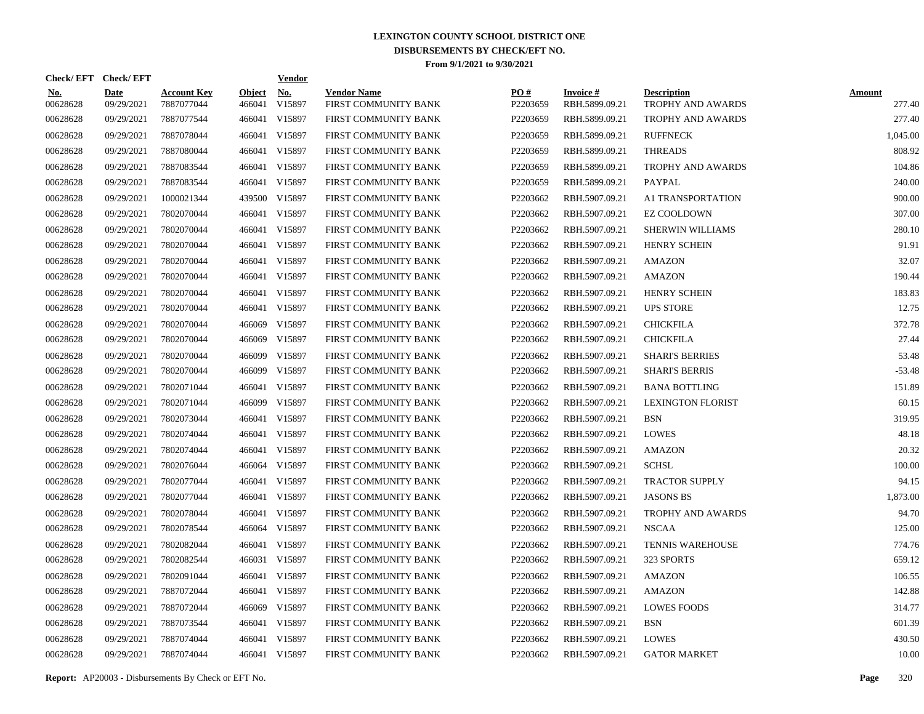|                        | Check/EFT Check/EFT       |                                  |                         | <b>Vendor</b>        |                                            |                      |                                   |                                         |                         |
|------------------------|---------------------------|----------------------------------|-------------------------|----------------------|--------------------------------------------|----------------------|-----------------------------------|-----------------------------------------|-------------------------|
| <u>No.</u><br>00628628 | <b>Date</b><br>09/29/2021 | <b>Account Key</b><br>7887077044 | <b>Object</b><br>466041 | <u>No.</u><br>V15897 | <b>Vendor Name</b><br>FIRST COMMUNITY BANK | PO#<br>P2203659      | <b>Invoice#</b><br>RBH.5899.09.21 | <b>Description</b><br>TROPHY AND AWARDS | <b>Amount</b><br>277.40 |
| 00628628               | 09/29/2021                | 7887077544                       | 466041                  | V15897               | FIRST COMMUNITY BANK                       | P2203659             | RBH.5899.09.21                    | TROPHY AND AWARDS                       | 277.40                  |
| 00628628               | 09/29/2021                | 7887078044                       | 466041                  | V15897               | FIRST COMMUNITY BANK                       | P2203659             | RBH.5899.09.21                    | <b>RUFFNECK</b>                         | 1,045.00                |
| 00628628               | 09/29/2021                | 7887080044                       | 466041                  | V15897               | FIRST COMMUNITY BANK                       | P2203659             | RBH.5899.09.21                    | <b>THREADS</b>                          | 808.92                  |
| 00628628               | 09/29/2021                | 7887083544                       |                         | 466041 V15897        | FIRST COMMUNITY BANK                       | P2203659             | RBH.5899.09.21                    | TROPHY AND AWARDS                       | 104.86                  |
| 00628628               | 09/29/2021                | 7887083544                       |                         | 466041 V15897        | FIRST COMMUNITY BANK                       | P <sub>2203659</sub> | RBH.5899.09.21                    | <b>PAYPAL</b>                           | 240.00                  |
| 00628628               | 09/29/2021                | 1000021344                       | 439500                  | V15897               | FIRST COMMUNITY BANK                       | P2203662             | RBH.5907.09.21                    | A1 TRANSPORTATION                       | 900.00                  |
| 00628628               | 09/29/2021                | 7802070044                       |                         | 466041 V15897        | FIRST COMMUNITY BANK                       | P2203662             | RBH.5907.09.21                    | <b>EZ COOLDOWN</b>                      | 307.00                  |
| 00628628               | 09/29/2021                | 7802070044                       |                         | 466041 V15897        | FIRST COMMUNITY BANK                       | P2203662             | RBH.5907.09.21                    | SHERWIN WILLIAMS                        | 280.10                  |
| 00628628               | 09/29/2021                | 7802070044                       |                         | 466041 V15897        | FIRST COMMUNITY BANK                       | P2203662             | RBH.5907.09.21                    | <b>HENRY SCHEIN</b>                     | 91.91                   |
| 00628628               | 09/29/2021                | 7802070044                       |                         | 466041 V15897        | FIRST COMMUNITY BANK                       | P2203662             | RBH.5907.09.21                    | <b>AMAZON</b>                           | 32.07                   |
| 00628628               | 09/29/2021                | 7802070044                       |                         | 466041 V15897        | FIRST COMMUNITY BANK                       | P2203662             | RBH.5907.09.21                    | <b>AMAZON</b>                           | 190.44                  |
| 00628628               | 09/29/2021                | 7802070044                       |                         | 466041 V15897        | FIRST COMMUNITY BANK                       | P2203662             | RBH.5907.09.21                    | <b>HENRY SCHEIN</b>                     | 183.83                  |
| 00628628               | 09/29/2021                | 7802070044                       |                         | 466041 V15897        | FIRST COMMUNITY BANK                       | P2203662             | RBH.5907.09.21                    | <b>UPS STORE</b>                        | 12.75                   |
| 00628628               | 09/29/2021                | 7802070044                       | 466069                  | V15897               | FIRST COMMUNITY BANK                       | P2203662             | RBH.5907.09.21                    | <b>CHICKFILA</b>                        | 372.78                  |
| 00628628               | 09/29/2021                | 7802070044                       | 466069                  | V15897               | FIRST COMMUNITY BANK                       | P2203662             | RBH.5907.09.21                    | <b>CHICKFILA</b>                        | 27.44                   |
| 00628628               | 09/29/2021                | 7802070044                       | 466099                  | V15897               | FIRST COMMUNITY BANK                       | P2203662             | RBH.5907.09.21                    | <b>SHARI'S BERRIES</b>                  | 53.48                   |
| 00628628               | 09/29/2021                | 7802070044                       | 466099                  | V15897               | FIRST COMMUNITY BANK                       | P2203662             | RBH.5907.09.21                    | <b>SHARI'S BERRIS</b>                   | $-53.48$                |
| 00628628               | 09/29/2021                | 7802071044                       |                         | 466041 V15897        | FIRST COMMUNITY BANK                       | P2203662             | RBH.5907.09.21                    | <b>BANA BOTTLING</b>                    | 151.89                  |
| 00628628               | 09/29/2021                | 7802071044                       |                         | 466099 V15897        | FIRST COMMUNITY BANK                       | P2203662             | RBH.5907.09.21                    | <b>LEXINGTON FLORIST</b>                | 60.15                   |
| 00628628               | 09/29/2021                | 7802073044                       |                         | 466041 V15897        | FIRST COMMUNITY BANK                       | P2203662             | RBH.5907.09.21                    | <b>BSN</b>                              | 319.95                  |
| 00628628               | 09/29/2021                | 7802074044                       |                         | 466041 V15897        | FIRST COMMUNITY BANK                       | P2203662             | RBH.5907.09.21                    | <b>LOWES</b>                            | 48.18                   |
| 00628628               | 09/29/2021                | 7802074044                       |                         | 466041 V15897        | FIRST COMMUNITY BANK                       | P2203662             | RBH.5907.09.21                    | <b>AMAZON</b>                           | 20.32                   |
| 00628628               | 09/29/2021                | 7802076044                       |                         | 466064 V15897        | FIRST COMMUNITY BANK                       | P2203662             | RBH.5907.09.21                    | <b>SCHSL</b>                            | 100.00                  |
| 00628628               | 09/29/2021                | 7802077044                       |                         | 466041 V15897        | FIRST COMMUNITY BANK                       | P2203662             | RBH.5907.09.21                    | <b>TRACTOR SUPPLY</b>                   | 94.15                   |
| 00628628               | 09/29/2021                | 7802077044                       |                         | 466041 V15897        | FIRST COMMUNITY BANK                       | P2203662             | RBH.5907.09.21                    | <b>JASONS BS</b>                        | 1,873.00                |
| 00628628               | 09/29/2021                | 7802078044                       |                         | 466041 V15897        | FIRST COMMUNITY BANK                       | P2203662             | RBH.5907.09.21                    | TROPHY AND AWARDS                       | 94.70                   |
| 00628628               | 09/29/2021                | 7802078544                       |                         | 466064 V15897        | FIRST COMMUNITY BANK                       | P2203662             | RBH.5907.09.21                    | <b>NSCAA</b>                            | 125.00                  |
| 00628628               | 09/29/2021                | 7802082044                       |                         | 466041 V15897        | FIRST COMMUNITY BANK                       | P2203662             | RBH.5907.09.21                    | <b>TENNIS WAREHOUSE</b>                 | 774.76                  |
| 00628628               | 09/29/2021                | 7802082544                       |                         | 466031 V15897        | FIRST COMMUNITY BANK                       | P2203662             | RBH.5907.09.21                    | 323 SPORTS                              | 659.12                  |
| 00628628               | 09/29/2021                | 7802091044                       |                         | 466041 V15897        | FIRST COMMUNITY BANK                       | P2203662             | RBH.5907.09.21                    | <b>AMAZON</b>                           | 106.55                  |
| 00628628               | 09/29/2021                | 7887072044                       |                         | 466041 V15897        | FIRST COMMUNITY BANK                       | P2203662             | RBH.5907.09.21                    | <b>AMAZON</b>                           | 142.88                  |
| 00628628               | 09/29/2021                | 7887072044                       | 466069                  | V15897               | FIRST COMMUNITY BANK                       | P2203662             | RBH.5907.09.21                    | <b>LOWES FOODS</b>                      | 314.77                  |
| 00628628               | 09/29/2021                | 7887073544                       |                         | 466041 V15897        | FIRST COMMUNITY BANK                       | P2203662             | RBH.5907.09.21                    | <b>BSN</b>                              | 601.39                  |
| 00628628               | 09/29/2021                | 7887074044                       |                         | 466041 V15897        | FIRST COMMUNITY BANK                       | P2203662             | RBH.5907.09.21                    | <b>LOWES</b>                            | 430.50                  |
| 00628628               | 09/29/2021                | 7887074044                       |                         | 466041 V15897        | FIRST COMMUNITY BANK                       | P2203662             | RBH.5907.09.21                    | <b>GATOR MARKET</b>                     | 10.00                   |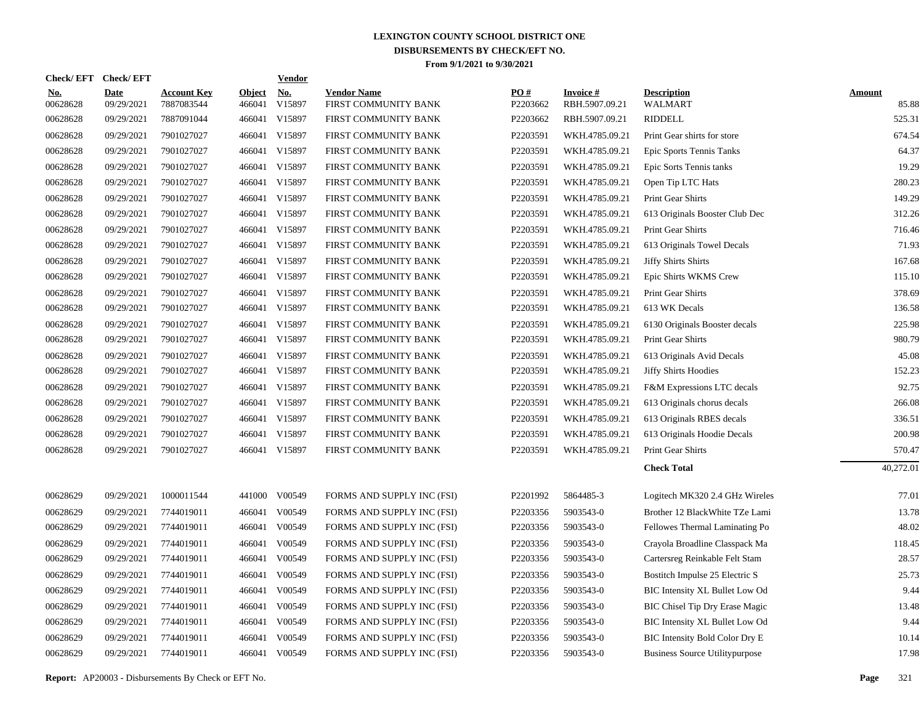| Check/EFT Check/EFT    |                           |                                  |                         | <b>Vendor</b> |                                            |                 |                                   |                                       |                        |
|------------------------|---------------------------|----------------------------------|-------------------------|---------------|--------------------------------------------|-----------------|-----------------------------------|---------------------------------------|------------------------|
| <u>No.</u><br>00628628 | <b>Date</b><br>09/29/2021 | <b>Account Key</b><br>7887083544 | <b>Object</b><br>466041 | No.<br>V15897 | <b>Vendor Name</b><br>FIRST COMMUNITY BANK | PO#<br>P2203662 | <b>Invoice#</b><br>RBH.5907.09.21 | <b>Description</b><br>WALMART         | <b>Amount</b><br>85.88 |
| 00628628               | 09/29/2021                | 7887091044                       | 466041                  | V15897        | FIRST COMMUNITY BANK                       | P2203662        | RBH.5907.09.21                    | <b>RIDDELL</b>                        | 525.31                 |
| 00628628               | 09/29/2021                | 7901027027                       | 466041                  | V15897        | FIRST COMMUNITY BANK                       | P2203591        | WKH.4785.09.21                    | Print Gear shirts for store           | 674.54                 |
| 00628628               | 09/29/2021                | 7901027027                       | 466041                  | V15897        | FIRST COMMUNITY BANK                       | P2203591        | WKH.4785.09.21                    | Epic Sports Tennis Tanks              | 64.37                  |
| 00628628               | 09/29/2021                | 7901027027                       | 466041                  | V15897        | FIRST COMMUNITY BANK                       | P2203591        | WKH.4785.09.21                    | Epic Sorts Tennis tanks               | 19.29                  |
| 00628628               | 09/29/2021                | 7901027027                       | 466041                  | V15897        | FIRST COMMUNITY BANK                       | P2203591        | WKH.4785.09.21                    | Open Tip LTC Hats                     | 280.23                 |
| 00628628               | 09/29/2021                | 7901027027                       | 466041                  | V15897        | FIRST COMMUNITY BANK                       | P2203591        | WKH.4785.09.21                    | Print Gear Shirts                     | 149.29                 |
| 00628628               | 09/29/2021                | 7901027027                       | 466041                  | V15897        | FIRST COMMUNITY BANK                       | P2203591        | WKH.4785.09.21                    | 613 Originals Booster Club Dec        | 312.26                 |
| 00628628               | 09/29/2021                | 7901027027                       | 466041                  | V15897        | FIRST COMMUNITY BANK                       | P2203591        | WKH.4785.09.21                    | Print Gear Shirts                     | 716.46                 |
| 00628628               | 09/29/2021                | 7901027027                       | 466041                  | V15897        | FIRST COMMUNITY BANK                       | P2203591        | WKH.4785.09.21                    | 613 Originals Towel Decals            | 71.93                  |
| 00628628               | 09/29/2021                | 7901027027                       | 466041                  | V15897        | FIRST COMMUNITY BANK                       | P2203591        | WKH.4785.09.21                    | <b>Jiffy Shirts Shirts</b>            | 167.68                 |
| 00628628               | 09/29/2021                | 7901027027                       | 466041                  | V15897        | FIRST COMMUNITY BANK                       | P2203591        | WKH.4785.09.21                    | Epic Shirts WKMS Crew                 | 115.10                 |
| 00628628               | 09/29/2021                | 7901027027                       | 466041                  | V15897        | FIRST COMMUNITY BANK                       | P2203591        | WKH.4785.09.21                    | Print Gear Shirts                     | 378.69                 |
| 00628628               | 09/29/2021                | 7901027027                       | 466041                  | V15897        | FIRST COMMUNITY BANK                       | P2203591        | WKH.4785.09.21                    | 613 WK Decals                         | 136.58                 |
| 00628628               | 09/29/2021                | 7901027027                       | 466041                  | V15897        | FIRST COMMUNITY BANK                       | P2203591        | WKH.4785.09.21                    | 6130 Originals Booster decals         | 225.98                 |
| 00628628               | 09/29/2021                | 7901027027                       | 466041                  | V15897        | FIRST COMMUNITY BANK                       | P2203591        | WKH.4785.09.21                    | Print Gear Shirts                     | 980.79                 |
| 00628628               | 09/29/2021                | 7901027027                       | 466041                  | V15897        | FIRST COMMUNITY BANK                       | P2203591        | WKH.4785.09.21                    | 613 Originals Avid Decals             | 45.08                  |
| 00628628               | 09/29/2021                | 7901027027                       | 466041                  | V15897        | FIRST COMMUNITY BANK                       | P2203591        | WKH.4785.09.21                    | <b>Jiffy Shirts Hoodies</b>           | 152.23                 |
| 00628628               | 09/29/2021                | 7901027027                       | 466041                  | V15897        | FIRST COMMUNITY BANK                       | P2203591        | WKH.4785.09.21                    | F&M Expressions LTC decals            | 92.75                  |
| 00628628               | 09/29/2021                | 7901027027                       | 466041                  | V15897        | FIRST COMMUNITY BANK                       | P2203591        | WKH.4785.09.21                    | 613 Originals chorus decals           | 266.08                 |
| 00628628               | 09/29/2021                | 7901027027                       | 466041                  | V15897        | FIRST COMMUNITY BANK                       | P2203591        | WKH.4785.09.21                    | 613 Originals RBES decals             | 336.51                 |
| 00628628               | 09/29/2021                | 7901027027                       | 466041                  | V15897        | FIRST COMMUNITY BANK                       | P2203591        | WKH.4785.09.21                    | 613 Originals Hoodie Decals           | 200.98                 |
| 00628628               | 09/29/2021                | 7901027027                       | 466041                  | V15897        | FIRST COMMUNITY BANK                       | P2203591        | WKH.4785.09.21                    | Print Gear Shirts                     | 570.47                 |
|                        |                           |                                  |                         |               |                                            |                 |                                   | <b>Check Total</b>                    | 40,272.01              |
| 00628629               | 09/29/2021                | 1000011544                       | 441000                  | V00549        | FORMS AND SUPPLY INC (FSI)                 | P2201992        | 5864485-3                         | Logitech MK320 2.4 GHz Wireles        | 77.01                  |
| 00628629               | 09/29/2021                | 7744019011                       | 466041                  | V00549        | FORMS AND SUPPLY INC (FSI)                 | P2203356        | 5903543-0                         | Brother 12 BlackWhite TZe Lami        | 13.78                  |
| 00628629               | 09/29/2021                | 7744019011                       | 466041                  | V00549        | FORMS AND SUPPLY INC (FSI)                 | P2203356        | 5903543-0                         | Fellowes Thermal Laminating Po        | 48.02                  |
| 00628629               | 09/29/2021                | 7744019011                       | 466041                  | V00549        | FORMS AND SUPPLY INC (FSI)                 | P2203356        | 5903543-0                         | Crayola Broadline Classpack Ma        | 118.45                 |
| 00628629               | 09/29/2021                | 7744019011                       | 466041                  | V00549        | FORMS AND SUPPLY INC (FSI)                 | P2203356        | 5903543-0                         | Cartersreg Reinkable Felt Stam        | 28.57                  |
| 00628629               | 09/29/2021                | 7744019011                       | 466041                  | V00549        | FORMS AND SUPPLY INC (FSI)                 | P2203356        | 5903543-0                         | Bostitch Impulse 25 Electric S        | 25.73                  |
| 00628629               | 09/29/2021                | 7744019011                       | 466041                  | V00549        | FORMS AND SUPPLY INC (FSI)                 | P2203356        | 5903543-0                         | BIC Intensity XL Bullet Low Od        | 9.44                   |
| 00628629               | 09/29/2021                | 7744019011                       | 466041                  | V00549        | FORMS AND SUPPLY INC (FSI)                 | P2203356        | 5903543-0                         | BIC Chisel Tip Dry Erase Magic        | 13.48                  |
| 00628629               | 09/29/2021                | 7744019011                       | 466041                  | V00549        | FORMS AND SUPPLY INC (FSI)                 | P2203356        | 5903543-0                         | BIC Intensity XL Bullet Low Od        | 9.44                   |
| 00628629               | 09/29/2021                | 7744019011                       | 466041                  | V00549        | FORMS AND SUPPLY INC (FSI)                 | P2203356        | 5903543-0                         | BIC Intensity Bold Color Dry E        | 10.14                  |
| 00628629               | 09/29/2021                | 7744019011                       | 466041                  | V00549        | FORMS AND SUPPLY INC (FSI)                 | P2203356        | 5903543-0                         | <b>Business Source Utilitypurpose</b> | 17.98                  |
|                        |                           |                                  |                         |               |                                            |                 |                                   |                                       |                        |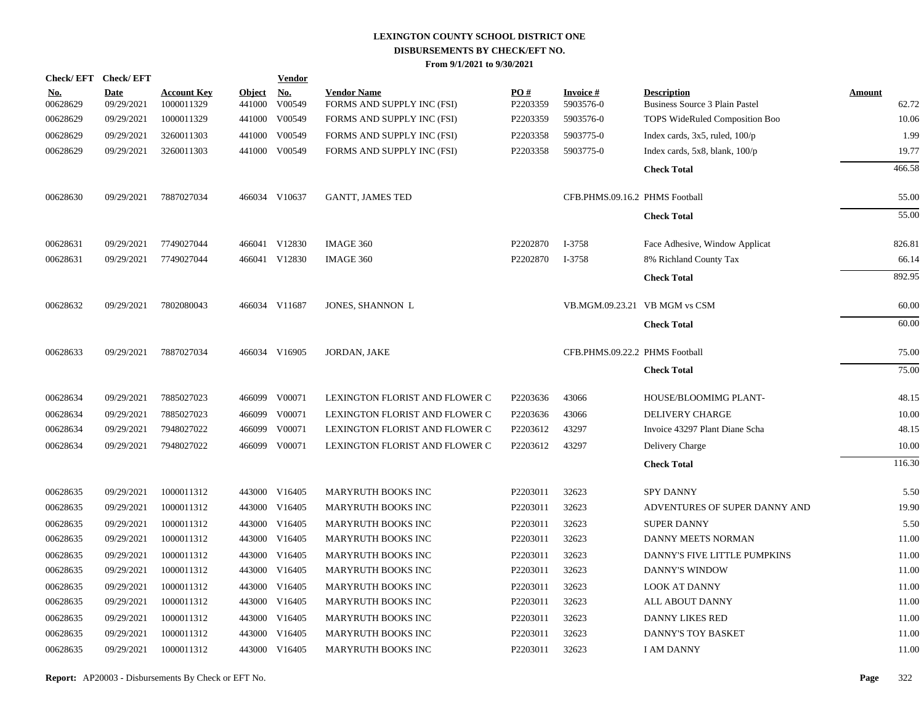| Check/EFT Check/EFT    |                           |                                  |                         | <b>Vendor</b> |                                                  |                 |                                |                                                      |                 |
|------------------------|---------------------------|----------------------------------|-------------------------|---------------|--------------------------------------------------|-----------------|--------------------------------|------------------------------------------------------|-----------------|
| <u>No.</u><br>00628629 | <b>Date</b><br>09/29/2021 | <b>Account Key</b><br>1000011329 | <b>Object</b><br>441000 | No.<br>V00549 | <b>Vendor Name</b><br>FORMS AND SUPPLY INC (FSI) | PO#<br>P2203359 | <b>Invoice#</b><br>5903576-0   | <b>Description</b><br>Business Source 3 Plain Pastel | Amount<br>62.72 |
| 00628629               | 09/29/2021                | 1000011329                       |                         | 441000 V00549 | FORMS AND SUPPLY INC (FSI)                       | P2203359        | 5903576-0                      | TOPS WideRuled Composition Boo                       | 10.06           |
| 00628629               | 09/29/2021                | 3260011303                       | 441000                  | V00549        | FORMS AND SUPPLY INC (FSI)                       | P2203358        | 5903775-0                      | Index cards, $3x5$ , ruled, $100/p$                  | 1.99            |
| 00628629               | 09/29/2021                | 3260011303                       |                         | 441000 V00549 | FORMS AND SUPPLY INC (FSI)                       | P2203358        | 5903775-0                      | Index cards, $5x8$ , blank, $100/p$                  | 19.77           |
|                        |                           |                                  |                         |               |                                                  |                 |                                | <b>Check Total</b>                                   | 466.58          |
| 00628630               | 09/29/2021                | 7887027034                       |                         | 466034 V10637 | <b>GANTT, JAMES TED</b>                          |                 | CFB.PHMS.09.16.2 PHMS Football |                                                      | 55.00           |
|                        |                           |                                  |                         |               |                                                  |                 |                                | <b>Check Total</b>                                   | 55.00           |
| 00628631               | 09/29/2021                | 7749027044                       |                         | 466041 V12830 | IMAGE 360                                        | P2202870        | I-3758                         | Face Adhesive, Window Applicat                       | 826.81          |
| 00628631               | 09/29/2021                | 7749027044                       |                         | 466041 V12830 | IMAGE 360                                        | P2202870        | I-3758                         | 8% Richland County Tax                               | 66.14           |
|                        |                           |                                  |                         |               |                                                  |                 |                                | <b>Check Total</b>                                   | 892.95          |
| 00628632               | 09/29/2021                | 7802080043                       |                         | 466034 V11687 | JONES, SHANNON L                                 |                 | VB.MGM.09.23.21 VB MGM vs CSM  |                                                      | 60.00           |
|                        |                           |                                  |                         |               |                                                  |                 |                                | <b>Check Total</b>                                   | 60.00           |
| 00628633               | 09/29/2021                | 7887027034                       |                         | 466034 V16905 | JORDAN, JAKE                                     |                 | CFB.PHMS.09.22.2 PHMS Football |                                                      | 75.00           |
|                        |                           |                                  |                         |               |                                                  |                 |                                | <b>Check Total</b>                                   | 75.00           |
| 00628634               | 09/29/2021                | 7885027023                       |                         | 466099 V00071 | LEXINGTON FLORIST AND FLOWER C                   | P2203636        | 43066                          | <b>HOUSE/BLOOMIMG PLANT-</b>                         | 48.15           |
| 00628634               | 09/29/2021                | 7885027023                       |                         | 466099 V00071 | LEXINGTON FLORIST AND FLOWER C                   | P2203636        | 43066                          | <b>DELIVERY CHARGE</b>                               | 10.00           |
| 00628634               | 09/29/2021                | 7948027022                       |                         | 466099 V00071 | LEXINGTON FLORIST AND FLOWER C                   | P2203612        | 43297                          | Invoice 43297 Plant Diane Scha                       | 48.15           |
| 00628634               | 09/29/2021                | 7948027022                       |                         | 466099 V00071 | LEXINGTON FLORIST AND FLOWER C                   | P2203612        | 43297                          | Delivery Charge                                      | 10.00           |
|                        |                           |                                  |                         |               |                                                  |                 |                                | <b>Check Total</b>                                   | 116.30          |
| 00628635               | 09/29/2021                | 1000011312                       |                         | 443000 V16405 | <b>MARYRUTH BOOKS INC</b>                        | P2203011        | 32623                          | SPY DANNY                                            | 5.50            |
| 00628635               | 09/29/2021                | 1000011312                       |                         | 443000 V16405 | MARYRUTH BOOKS INC                               | P2203011        | 32623                          | ADVENTURES OF SUPER DANNY AND                        | 19.90           |
| 00628635               | 09/29/2021                | 1000011312                       |                         | 443000 V16405 | <b>MARYRUTH BOOKS INC</b>                        | P2203011        | 32623                          | <b>SUPER DANNY</b>                                   | 5.50            |
| 00628635               | 09/29/2021                | 1000011312                       |                         | 443000 V16405 | <b>MARYRUTH BOOKS INC</b>                        | P2203011        | 32623                          | DANNY MEETS NORMAN                                   | 11.00           |
| 00628635               | 09/29/2021                | 1000011312                       |                         | 443000 V16405 | <b>MARYRUTH BOOKS INC</b>                        | P2203011        | 32623                          | DANNY'S FIVE LITTLE PUMPKINS                         | 11.00           |
| 00628635               | 09/29/2021                | 1000011312                       |                         | 443000 V16405 | MARYRUTH BOOKS INC                               | P2203011        | 32623                          | DANNY'S WINDOW                                       | 11.00           |
| 00628635               | 09/29/2021                | 1000011312                       | 443000                  | V16405        | MARYRUTH BOOKS INC                               | P2203011        | 32623                          | <b>LOOK AT DANNY</b>                                 | 11.00           |
| 00628635               | 09/29/2021                | 1000011312                       |                         | 443000 V16405 | MARYRUTH BOOKS INC                               | P2203011        | 32623                          | ALL ABOUT DANNY                                      | 11.00           |
| 00628635               | 09/29/2021                | 1000011312                       | 443000                  | V16405        | MARYRUTH BOOKS INC                               | P2203011        | 32623                          | <b>DANNY LIKES RED</b>                               | 11.00           |
| 00628635               | 09/29/2021                | 1000011312                       | 443000                  | V16405        | MARYRUTH BOOKS INC                               | P2203011        | 32623                          | DANNY'S TOY BASKET                                   | 11.00           |
| 00628635               | 09/29/2021                | 1000011312                       |                         | 443000 V16405 | MARYRUTH BOOKS INC                               | P2203011        | 32623                          | <b>I AM DANNY</b>                                    | 11.00           |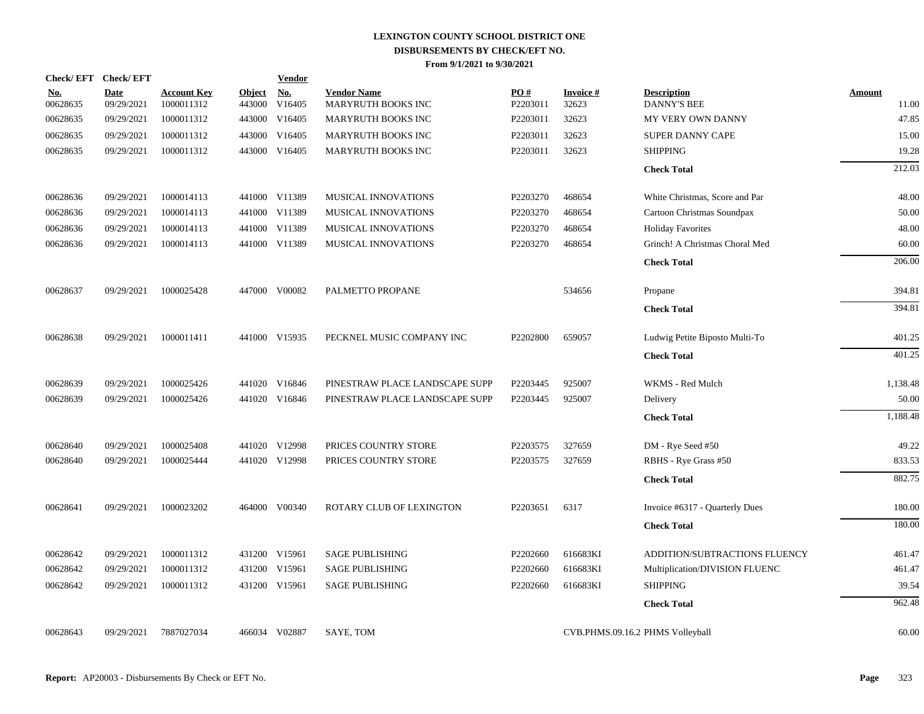| Check/EFT Check/EFT    |                           |                                  |                         | <b>Vendor</b> |                                          |                 |                          |                                          |                 |
|------------------------|---------------------------|----------------------------------|-------------------------|---------------|------------------------------------------|-----------------|--------------------------|------------------------------------------|-----------------|
| <u>No.</u><br>00628635 | <b>Date</b><br>09/29/2021 | <b>Account Key</b><br>1000011312 | <b>Object</b><br>443000 | No.<br>V16405 | <b>Vendor Name</b><br>MARYRUTH BOOKS INC | PO#<br>P2203011 | <b>Invoice#</b><br>32623 | <b>Description</b><br><b>DANNY'S BEE</b> | Amount<br>11.00 |
| 00628635               | 09/29/2021                | 1000011312                       |                         | 443000 V16405 | MARYRUTH BOOKS INC                       | P2203011        | 32623                    | MY VERY OWN DANNY                        | 47.85           |
| 00628635               | 09/29/2021                | 1000011312                       | 443000                  | V16405        | MARYRUTH BOOKS INC                       | P2203011        | 32623                    | SUPER DANNY CAPE                         | 15.00           |
| 00628635               | 09/29/2021                | 1000011312                       | 443000                  | V16405        | MARYRUTH BOOKS INC                       | P2203011        | 32623                    | <b>SHIPPING</b>                          | 19.28           |
|                        |                           |                                  |                         |               |                                          |                 |                          | <b>Check Total</b>                       | 212.03          |
| 00628636               | 09/29/2021                | 1000014113                       |                         | 441000 V11389 | <b>MUSICAL INNOVATIONS</b>               | P2203270        | 468654                   | White Christmas, Score and Par           | 48.00           |
| 00628636               | 09/29/2021                | 1000014113                       |                         | 441000 V11389 | <b>MUSICAL INNOVATIONS</b>               | P2203270        | 468654                   | Cartoon Christmas Soundpax               | 50.00           |
| 00628636               | 09/29/2021                | 1000014113                       |                         | 441000 V11389 | MUSICAL INNOVATIONS                      | P2203270        | 468654                   | <b>Holiday Favorites</b>                 | 48.00           |
| 00628636               | 09/29/2021                | 1000014113                       |                         | 441000 V11389 | MUSICAL INNOVATIONS                      | P2203270        | 468654                   | Grinch! A Christmas Choral Med           | 60.00           |
|                        |                           |                                  |                         |               |                                          |                 |                          | <b>Check Total</b>                       | 206.00          |
| 00628637               | 09/29/2021                | 1000025428                       |                         | 447000 V00082 | PALMETTO PROPANE                         |                 | 534656                   | Propane                                  | 394.81          |
|                        |                           |                                  |                         |               |                                          |                 |                          | <b>Check Total</b>                       | 394.81          |
| 00628638               | 09/29/2021                | 1000011411                       |                         | 441000 V15935 | PECKNEL MUSIC COMPANY INC                | P2202800        | 659057                   | Ludwig Petite Biposto Multi-To           | 401.25          |
|                        |                           |                                  |                         |               |                                          |                 |                          | <b>Check Total</b>                       | 401.25          |
| 00628639               | 09/29/2021                | 1000025426                       |                         | 441020 V16846 | PINESTRAW PLACE LANDSCAPE SUPP           | P2203445        | 925007                   | WKMS - Red Mulch                         | 1,138.48        |
| 00628639               | 09/29/2021                | 1000025426                       |                         | 441020 V16846 | PINESTRAW PLACE LANDSCAPE SUPP           | P2203445        | 925007                   | Delivery                                 | 50.00           |
|                        |                           |                                  |                         |               |                                          |                 |                          | <b>Check Total</b>                       | 1,188.48        |
| 00628640               | 09/29/2021                | 1000025408                       |                         | 441020 V12998 | PRICES COUNTRY STORE                     | P2203575        | 327659                   | DM - Rye Seed #50                        | 49.22           |
| 00628640               | 09/29/2021                | 1000025444                       |                         | 441020 V12998 | PRICES COUNTRY STORE                     | P2203575        | 327659                   | RBHS - Rye Grass #50                     | 833.53          |
|                        |                           |                                  |                         |               |                                          |                 |                          | <b>Check Total</b>                       | 882.75          |
| 00628641               | 09/29/2021                | 1000023202                       |                         | 464000 V00340 | ROTARY CLUB OF LEXINGTON                 | P2203651        | 6317                     | Invoice #6317 - Quarterly Dues           | 180.00          |
|                        |                           |                                  |                         |               |                                          |                 |                          | <b>Check Total</b>                       | 180.00          |
| 00628642               | 09/29/2021                | 1000011312                       |                         | 431200 V15961 | <b>SAGE PUBLISHING</b>                   | P2202660        | 616683KI                 | ADDITION/SUBTRACTIONS FLUENCY            | 461.47          |
| 00628642               | 09/29/2021                | 1000011312                       |                         | 431200 V15961 | <b>SAGE PUBLISHING</b>                   | P2202660        | 616683KI                 | Multiplication/DIVISION FLUENC           | 461.47          |
| 00628642               | 09/29/2021                | 1000011312                       |                         | 431200 V15961 | <b>SAGE PUBLISHING</b>                   | P2202660        | 616683KI                 | <b>SHIPPING</b>                          | 39.54           |
|                        |                           |                                  |                         |               |                                          |                 |                          | <b>Check Total</b>                       | 962.48          |
| 00628643               | 09/29/2021                | 7887027034                       |                         | 466034 V02887 | SAYE, TOM                                |                 |                          | CVB.PHMS.09.16.2 PHMS Volleyball         | 60.00           |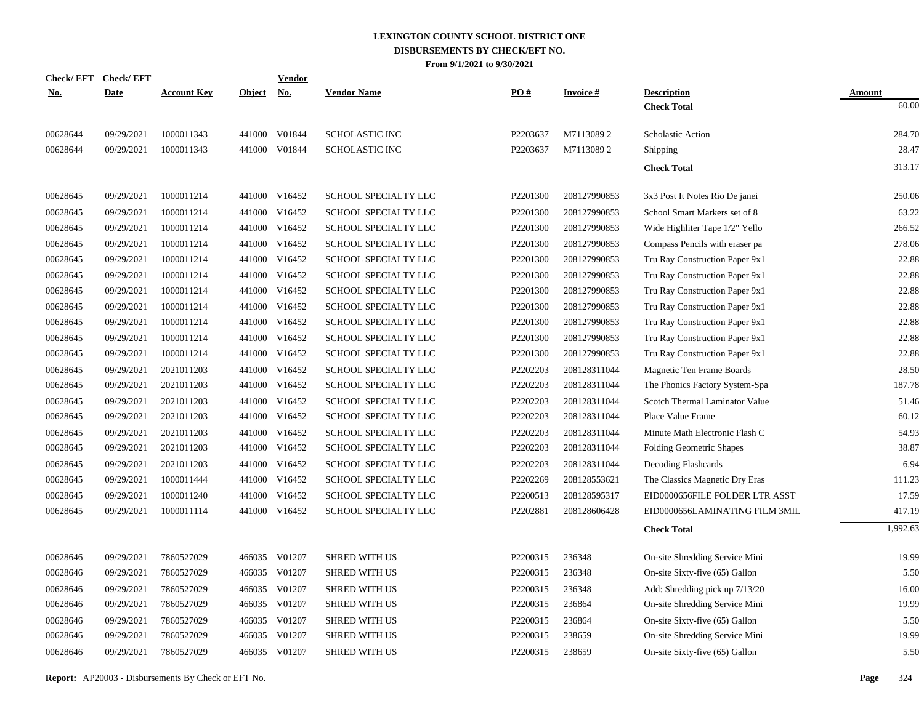| <b>Check/EFT</b> | <b>Check/EFT</b> |                    |               | <b>Vendor</b> |                       |          |                 |                                 |               |
|------------------|------------------|--------------------|---------------|---------------|-----------------------|----------|-----------------|---------------------------------|---------------|
| <u>No.</u>       | <b>Date</b>      | <b>Account Key</b> | <b>Object</b> | <u>No.</u>    | <b>Vendor Name</b>    | PO#      | <b>Invoice#</b> | <b>Description</b>              | <b>Amount</b> |
|                  |                  |                    |               |               |                       |          |                 | <b>Check Total</b>              | 60.00         |
| 00628644         | 09/29/2021       | 1000011343         |               | 441000 V01844 | <b>SCHOLASTIC INC</b> | P2203637 | M71130892       | Scholastic Action               | 284.70        |
| 00628644         | 09/29/2021       | 1000011343         |               | 441000 V01844 | SCHOLASTIC INC        | P2203637 | M71130892       | Shipping                        | 28.47         |
|                  |                  |                    |               |               |                       |          |                 | <b>Check Total</b>              | 313.17        |
| 00628645         | 09/29/2021       | 1000011214         |               | 441000 V16452 | SCHOOL SPECIALTY LLC  | P2201300 | 208127990853    | 3x3 Post It Notes Rio De janei  | 250.06        |
| 00628645         | 09/29/2021       | 1000011214         |               | 441000 V16452 | SCHOOL SPECIALTY LLC  | P2201300 | 208127990853    | School Smart Markers set of 8   | 63.22         |
| 00628645         | 09/29/2021       | 1000011214         |               | 441000 V16452 | SCHOOL SPECIALTY LLC  | P2201300 | 208127990853    | Wide Highliter Tape 1/2" Yello  | 266.52        |
| 00628645         | 09/29/2021       | 1000011214         |               | 441000 V16452 | SCHOOL SPECIALTY LLC  | P2201300 | 208127990853    | Compass Pencils with eraser pa  | 278.06        |
| 00628645         | 09/29/2021       | 1000011214         |               | 441000 V16452 | SCHOOL SPECIALTY LLC  | P2201300 | 208127990853    | Tru Ray Construction Paper 9x1  | 22.88         |
| 00628645         | 09/29/2021       | 1000011214         |               | 441000 V16452 | SCHOOL SPECIALTY LLC  | P2201300 | 208127990853    | Tru Ray Construction Paper 9x1  | 22.88         |
| 00628645         | 09/29/2021       | 1000011214         |               | 441000 V16452 | SCHOOL SPECIALTY LLC  | P2201300 | 208127990853    | Tru Ray Construction Paper 9x1  | 22.88         |
| 00628645         | 09/29/2021       | 1000011214         |               | 441000 V16452 | SCHOOL SPECIALTY LLC  | P2201300 | 208127990853    | Tru Ray Construction Paper 9x1  | 22.88         |
| 00628645         | 09/29/2021       | 1000011214         |               | 441000 V16452 | SCHOOL SPECIALTY LLC  | P2201300 | 208127990853    | Tru Ray Construction Paper 9x1  | 22.88         |
| 00628645         | 09/29/2021       | 1000011214         |               | 441000 V16452 | SCHOOL SPECIALTY LLC  | P2201300 | 208127990853    | Tru Ray Construction Paper 9x1  | 22.88         |
| 00628645         | 09/29/2021       | 1000011214         |               | 441000 V16452 | SCHOOL SPECIALTY LLC  | P2201300 | 208127990853    | Tru Ray Construction Paper 9x1  | 22.88         |
| 00628645         | 09/29/2021       | 2021011203         |               | 441000 V16452 | SCHOOL SPECIALTY LLC  | P2202203 | 208128311044    | Magnetic Ten Frame Boards       | 28.50         |
| 00628645         | 09/29/2021       | 2021011203         |               | 441000 V16452 | SCHOOL SPECIALTY LLC  | P2202203 | 208128311044    | The Phonics Factory System-Spa  | 187.78        |
| 00628645         | 09/29/2021       | 2021011203         |               | 441000 V16452 | SCHOOL SPECIALTY LLC  | P2202203 | 208128311044    | Scotch Thermal Laminator Value  | 51.46         |
| 00628645         | 09/29/2021       | 2021011203         |               | 441000 V16452 | SCHOOL SPECIALTY LLC  | P2202203 | 208128311044    | Place Value Frame               | 60.12         |
| 00628645         | 09/29/2021       | 2021011203         |               | 441000 V16452 | SCHOOL SPECIALTY LLC  | P2202203 | 208128311044    | Minute Math Electronic Flash C  | 54.93         |
| 00628645         | 09/29/2021       | 2021011203         |               | 441000 V16452 | SCHOOL SPECIALTY LLC  | P2202203 | 208128311044    | <b>Folding Geometric Shapes</b> | 38.87         |
| 00628645         | 09/29/2021       | 2021011203         |               | 441000 V16452 | SCHOOL SPECIALTY LLC  | P2202203 | 208128311044    | Decoding Flashcards             | 6.94          |
| 00628645         | 09/29/2021       | 1000011444         |               | 441000 V16452 | SCHOOL SPECIALTY LLC  | P2202269 | 208128553621    | The Classics Magnetic Dry Eras  | 111.23        |
| 00628645         | 09/29/2021       | 1000011240         |               | 441000 V16452 | SCHOOL SPECIALTY LLC  | P2200513 | 208128595317    | EID0000656FILE FOLDER LTR ASST  | 17.59         |
| 00628645         | 09/29/2021       | 1000011114         |               | 441000 V16452 | SCHOOL SPECIALTY LLC  | P2202881 | 208128606428    | EID0000656LAMINATING FILM 3MIL  | 417.19        |
|                  |                  |                    |               |               |                       |          |                 | <b>Check Total</b>              | 1,992.63      |
| 00628646         | 09/29/2021       | 7860527029         |               | 466035 V01207 | <b>SHRED WITH US</b>  | P2200315 | 236348          | On-site Shredding Service Mini  | 19.99         |
| 00628646         | 09/29/2021       | 7860527029         |               | 466035 V01207 | <b>SHRED WITH US</b>  | P2200315 | 236348          | On-site Sixty-five (65) Gallon  | 5.50          |
| 00628646         | 09/29/2021       | 7860527029         |               | 466035 V01207 | <b>SHRED WITH US</b>  | P2200315 | 236348          | Add: Shredding pick up 7/13/20  | 16.00         |
| 00628646         | 09/29/2021       | 7860527029         |               | 466035 V01207 | <b>SHRED WITH US</b>  | P2200315 | 236864          | On-site Shredding Service Mini  | 19.99         |
| 00628646         | 09/29/2021       | 7860527029         |               | 466035 V01207 | <b>SHRED WITH US</b>  | P2200315 | 236864          | On-site Sixty-five (65) Gallon  | 5.50          |
| 00628646         | 09/29/2021       | 7860527029         |               | 466035 V01207 | <b>SHRED WITH US</b>  | P2200315 | 238659          | On-site Shredding Service Mini  | 19.99         |
| 00628646         | 09/29/2021       | 7860527029         |               | 466035 V01207 | <b>SHRED WITH US</b>  | P2200315 | 238659          | On-site Sixty-five (65) Gallon  | 5.50          |
|                  |                  |                    |               |               |                       |          |                 |                                 |               |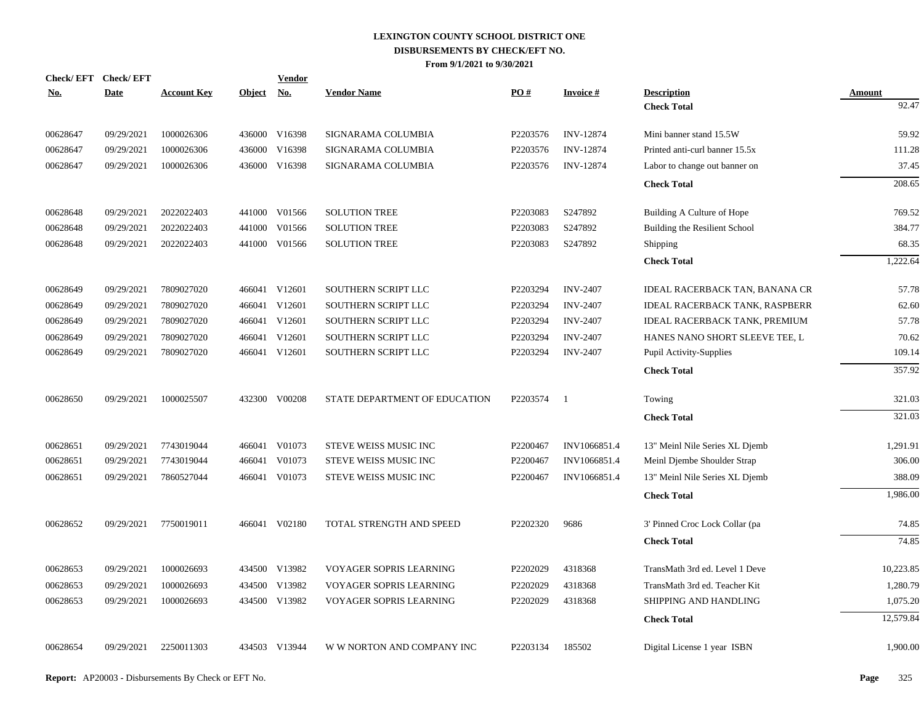| Check/EFT Check/EFT |             |                    |            | <b>Vendor</b> |                               |                   |                  |                                       |           |
|---------------------|-------------|--------------------|------------|---------------|-------------------------------|-------------------|------------------|---------------------------------------|-----------|
| <u>No.</u>          | <b>Date</b> | <b>Account Key</b> | Object No. |               | <b>Vendor Name</b>            | $\underline{PO#}$ | <b>Invoice#</b>  | <b>Description</b>                    | Amount    |
|                     |             |                    |            |               |                               |                   |                  | <b>Check Total</b>                    | 92.47     |
| 00628647            | 09/29/2021  | 1000026306         |            | 436000 V16398 | SIGNARAMA COLUMBIA            | P2203576          | <b>INV-12874</b> | Mini banner stand 15.5W               | 59.92     |
| 00628647            | 09/29/2021  | 1000026306         | 436000     | V16398        | SIGNARAMA COLUMBIA            | P2203576          | <b>INV-12874</b> | Printed anti-curl banner 15.5x        | 111.28    |
| 00628647            | 09/29/2021  | 1000026306         |            | 436000 V16398 | SIGNARAMA COLUMBIA            | P2203576          | <b>INV-12874</b> | Labor to change out banner on         | 37.45     |
|                     |             |                    |            |               |                               |                   |                  | <b>Check Total</b>                    | 208.65    |
| 00628648            | 09/29/2021  | 2022022403         | 441000     | V01566        | <b>SOLUTION TREE</b>          | P2203083          | S247892          | Building A Culture of Hope            | 769.52    |
| 00628648            | 09/29/2021  | 2022022403         | 441000     | V01566        | <b>SOLUTION TREE</b>          | P2203083          | S247892          | Building the Resilient School         | 384.77    |
| 00628648            | 09/29/2021  | 2022022403         |            | 441000 V01566 | <b>SOLUTION TREE</b>          | P2203083          | S247892          | Shipping                              | 68.35     |
|                     |             |                    |            |               |                               |                   |                  | <b>Check Total</b>                    | 1,222.64  |
| 00628649            | 09/29/2021  | 7809027020         |            | 466041 V12601 | SOUTHERN SCRIPT LLC           | P2203294          | <b>INV-2407</b>  | <b>IDEAL RACERBACK TAN, BANANA CR</b> | 57.78     |
| 00628649            | 09/29/2021  | 7809027020         |            | 466041 V12601 | SOUTHERN SCRIPT LLC           | P2203294          | <b>INV-2407</b>  | <b>IDEAL RACERBACK TANK, RASPBERR</b> | 62.60     |
| 00628649            | 09/29/2021  | 7809027020         |            | 466041 V12601 | SOUTHERN SCRIPT LLC           | P2203294          | <b>INV-2407</b>  | <b>IDEAL RACERBACK TANK, PREMIUM</b>  | 57.78     |
| 00628649            | 09/29/2021  | 7809027020         |            | 466041 V12601 | SOUTHERN SCRIPT LLC           | P2203294          | <b>INV-2407</b>  | HANES NANO SHORT SLEEVE TEE, L        | 70.62     |
| 00628649            | 09/29/2021  | 7809027020         |            | 466041 V12601 | SOUTHERN SCRIPT LLC           | P2203294          | <b>INV-2407</b>  | Pupil Activity-Supplies               | 109.14    |
|                     |             |                    |            |               |                               |                   |                  | <b>Check Total</b>                    | 357.92    |
| 00628650            | 09/29/2021  | 1000025507         |            | 432300 V00208 | STATE DEPARTMENT OF EDUCATION | P2203574          | - 1              | Towing                                | 321.03    |
|                     |             |                    |            |               |                               |                   |                  | <b>Check Total</b>                    | 321.03    |
| 00628651            | 09/29/2021  | 7743019044         |            | 466041 V01073 | STEVE WEISS MUSIC INC         | P2200467          | INV1066851.4     | 13" Meinl Nile Series XL Djemb        | 1,291.91  |
| 00628651            | 09/29/2021  | 7743019044         | 466041     | V01073        | STEVE WEISS MUSIC INC         | P2200467          | INV1066851.4     | Meinl Djembe Shoulder Strap           | 306.00    |
| 00628651            | 09/29/2021  | 7860527044         | 466041     | V01073        | STEVE WEISS MUSIC INC         | P2200467          | INV1066851.4     | 13" Meinl Nile Series XL Djemb        | 388.09    |
|                     |             |                    |            |               |                               |                   |                  | <b>Check Total</b>                    | 1,986.00  |
| 00628652            | 09/29/2021  | 7750019011         |            | 466041 V02180 | TOTAL STRENGTH AND SPEED      | P2202320          | 9686             | 3' Pinned Croc Lock Collar (pa        | 74.85     |
|                     |             |                    |            |               |                               |                   |                  | <b>Check Total</b>                    | 74.85     |
| 00628653            | 09/29/2021  | 1000026693         |            | 434500 V13982 | VOYAGER SOPRIS LEARNING       | P2202029          | 4318368          | TransMath 3rd ed. Level 1 Deve        | 10,223.85 |
| 00628653            | 09/29/2021  | 1000026693         | 434500     | V13982        | VOYAGER SOPRIS LEARNING       | P2202029          | 4318368          | TransMath 3rd ed. Teacher Kit         | 1,280.79  |
| 00628653            | 09/29/2021  | 1000026693         |            | 434500 V13982 | VOYAGER SOPRIS LEARNING       | P2202029          | 4318368          | SHIPPING AND HANDLING                 | 1,075.20  |
|                     |             |                    |            |               |                               |                   |                  | <b>Check Total</b>                    | 12,579.84 |
| 00628654            | 09/29/2021  | 2250011303         |            | 434503 V13944 | W W NORTON AND COMPANY INC    | P2203134          | 185502           | Digital License 1 year ISBN           | 1,900.00  |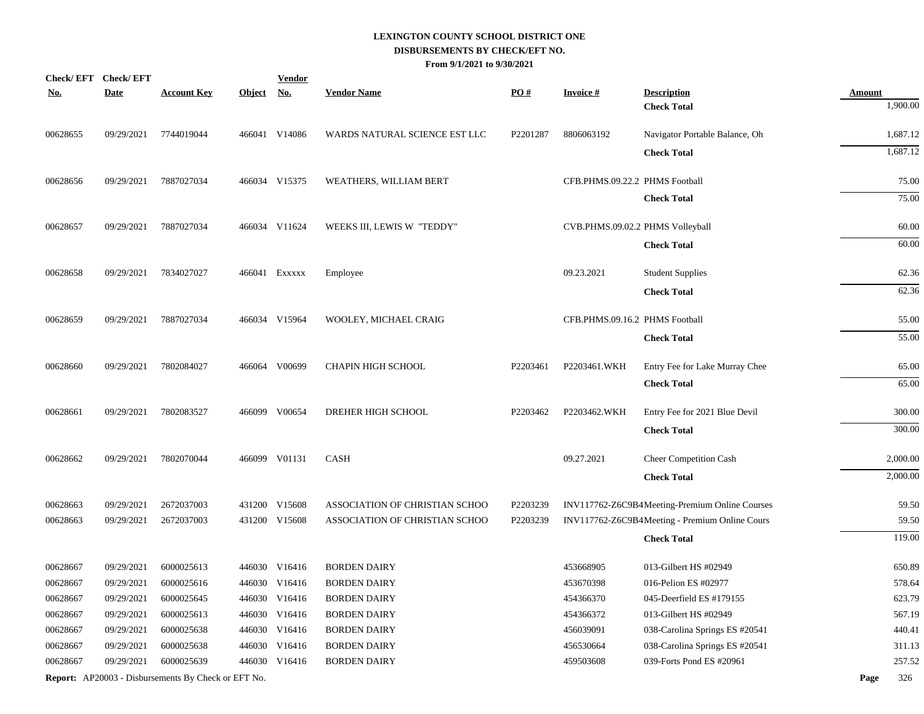|            | Check/EFT Check/EFT |                                                            |               | <b>Vendor</b> |                                |          |                                  |                                                |               |          |
|------------|---------------------|------------------------------------------------------------|---------------|---------------|--------------------------------|----------|----------------------------------|------------------------------------------------|---------------|----------|
| <u>No.</u> | <b>Date</b>         | <b>Account Key</b>                                         | <b>Object</b> | <u>No.</u>    | <b>Vendor Name</b>             | PO#      | <b>Invoice#</b>                  | <b>Description</b><br><b>Check Total</b>       | <b>Amount</b> | 1,900.00 |
|            |                     |                                                            |               |               |                                |          |                                  |                                                |               |          |
| 00628655   | 09/29/2021          | 7744019044                                                 |               | 466041 V14086 | WARDS NATURAL SCIENCE EST LLC  | P2201287 | 8806063192                       | Navigator Portable Balance, Oh                 |               | 1,687.12 |
|            |                     |                                                            |               |               |                                |          |                                  | <b>Check Total</b>                             |               | 1,687.12 |
| 00628656   | 09/29/2021          | 7887027034                                                 |               | 466034 V15375 | WEATHERS, WILLIAM BERT         |          | CFB.PHMS.09.22.2 PHMS Football   |                                                |               | 75.00    |
|            |                     |                                                            |               |               |                                |          |                                  | <b>Check Total</b>                             |               | 75.00    |
| 00628657   | 09/29/2021          | 7887027034                                                 |               | 466034 V11624 | WEEKS III, LEWIS W "TEDDY"     |          | CVB.PHMS.09.02.2 PHMS Volleyball |                                                |               | 60.00    |
|            |                     |                                                            |               |               |                                |          |                                  | <b>Check Total</b>                             |               | 60.00    |
| 00628658   | 09/29/2021          | 7834027027                                                 |               | 466041 EXXXXX | Employee                       |          | 09.23.2021                       | <b>Student Supplies</b>                        |               | 62.36    |
|            |                     |                                                            |               |               |                                |          |                                  | <b>Check Total</b>                             |               | 62.36    |
| 00628659   | 09/29/2021          | 7887027034                                                 |               | 466034 V15964 | WOOLEY, MICHAEL CRAIG          |          | CFB.PHMS.09.16.2 PHMS Football   |                                                |               | 55.00    |
|            |                     |                                                            |               |               |                                |          |                                  | <b>Check Total</b>                             |               | 55.00    |
| 00628660   | 09/29/2021          | 7802084027                                                 |               | 466064 V00699 | CHAPIN HIGH SCHOOL             | P2203461 | P2203461.WKH                     | Entry Fee for Lake Murray Chee                 |               | 65.00    |
|            |                     |                                                            |               |               |                                |          |                                  | <b>Check Total</b>                             |               | 65.00    |
| 00628661   | 09/29/2021          | 7802083527                                                 |               | 466099 V00654 | DREHER HIGH SCHOOL             | P2203462 | P2203462.WKH                     | Entry Fee for 2021 Blue Devil                  |               | 300.00   |
|            |                     |                                                            |               |               |                                |          |                                  | <b>Check Total</b>                             |               | 300.00   |
| 00628662   | 09/29/2021          | 7802070044                                                 |               | 466099 V01131 | <b>CASH</b>                    |          | 09.27.2021                       | <b>Cheer Competition Cash</b>                  |               | 2,000.00 |
|            |                     |                                                            |               |               |                                |          |                                  | <b>Check Total</b>                             |               | 2,000.00 |
| 00628663   | 09/29/2021          | 2672037003                                                 |               | 431200 V15608 | ASSOCIATION OF CHRISTIAN SCHOO | P2203239 |                                  | INV117762-Z6C9B4Meeting-Premium Online Courses |               | 59.50    |
| 00628663   | 09/29/2021          | 2672037003                                                 |               | 431200 V15608 | ASSOCIATION OF CHRISTIAN SCHOO | P2203239 |                                  | INV117762-Z6C9B4Meeting - Premium Online Cours |               | 59.50    |
|            |                     |                                                            |               |               |                                |          |                                  | <b>Check Total</b>                             |               | 119.00   |
| 00628667   | 09/29/2021          | 6000025613                                                 |               | 446030 V16416 | <b>BORDEN DAIRY</b>            |          | 453668905                        | 013-Gilbert HS #02949                          |               | 650.89   |
| 00628667   | 09/29/2021          | 6000025616                                                 |               | 446030 V16416 | <b>BORDEN DAIRY</b>            |          | 453670398                        | 016-Pelion ES #02977                           |               | 578.64   |
| 00628667   | 09/29/2021          | 6000025645                                                 |               | 446030 V16416 | <b>BORDEN DAIRY</b>            |          | 454366370                        | 045-Deerfield ES #179155                       |               | 623.79   |
| 00628667   | 09/29/2021          | 6000025613                                                 |               | 446030 V16416 | <b>BORDEN DAIRY</b>            |          | 454366372                        | 013-Gilbert HS #02949                          |               | 567.19   |
| 00628667   | 09/29/2021          | 6000025638                                                 |               | 446030 V16416 | <b>BORDEN DAIRY</b>            |          | 456039091                        | 038-Carolina Springs ES #20541                 |               | 440.41   |
| 00628667   | 09/29/2021          | 6000025638                                                 |               | 446030 V16416 | <b>BORDEN DAIRY</b>            |          | 456530664                        | 038-Carolina Springs ES #20541                 |               | 311.13   |
| 00628667   | 09/29/2021          | 6000025639                                                 |               | 446030 V16416 | <b>BORDEN DAIRY</b>            |          | 459503608                        | 039-Forts Pond ES #20961                       |               | 257.52   |
|            |                     | <b>Report:</b> AP20003 - Disbursements By Check or EFT No. |               |               |                                |          |                                  |                                                | Page          | 326      |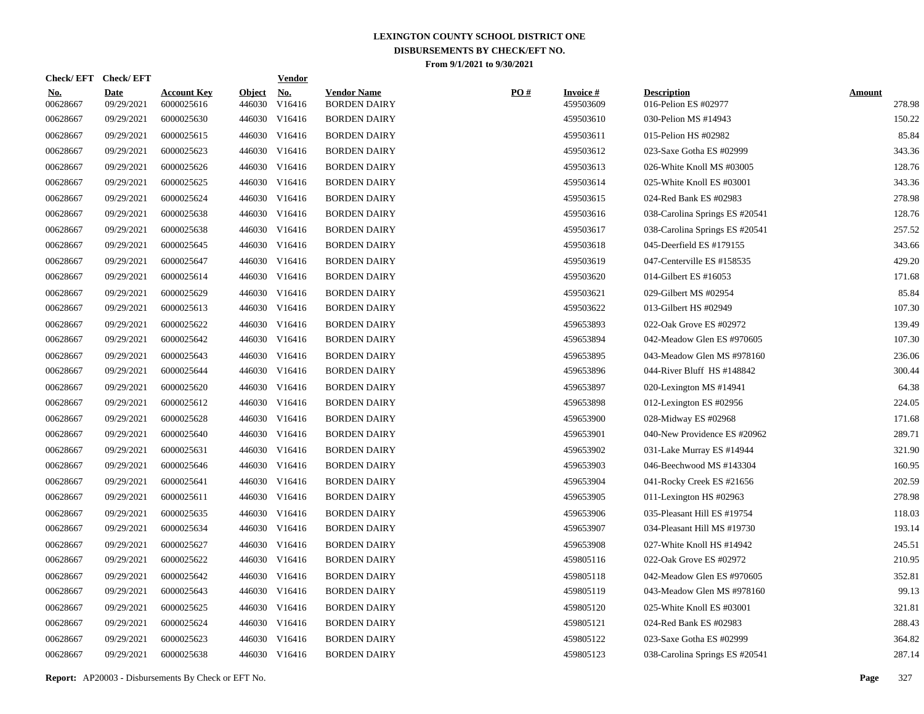|                        | Check/EFT Check/EFT       |                                  |                         | <b>Vendor</b>        |                                           |     |                               |                                            |                         |
|------------------------|---------------------------|----------------------------------|-------------------------|----------------------|-------------------------------------------|-----|-------------------------------|--------------------------------------------|-------------------------|
| <u>No.</u><br>00628667 | <b>Date</b><br>09/29/2021 | <b>Account Key</b><br>6000025616 | <b>Object</b><br>446030 | <u>No.</u><br>V16416 | <b>Vendor Name</b><br><b>BORDEN DAIRY</b> | PO# | <b>Invoice #</b><br>459503609 | <b>Description</b><br>016-Pelion ES #02977 | <b>Amount</b><br>278.98 |
| 00628667               | 09/29/2021                | 6000025630                       |                         | 446030 V16416        | <b>BORDEN DAIRY</b>                       |     | 459503610                     | 030-Pelion MS #14943                       | 150.22                  |
| 00628667               | 09/29/2021                | 6000025615                       |                         | 446030 V16416        | <b>BORDEN DAIRY</b>                       |     | 459503611                     | 015-Pelion HS #02982                       | 85.84                   |
| 00628667               | 09/29/2021                | 6000025623                       |                         | 446030 V16416        | <b>BORDEN DAIRY</b>                       |     | 459503612                     | 023-Saxe Gotha ES #02999                   | 343.36                  |
| 00628667               | 09/29/2021                | 6000025626                       |                         | 446030 V16416        | <b>BORDEN DAIRY</b>                       |     | 459503613                     | 026-White Knoll MS #03005                  | 128.76                  |
| 00628667               | 09/29/2021                | 6000025625                       |                         | 446030 V16416        | <b>BORDEN DAIRY</b>                       |     | 459503614                     | 025-White Knoll ES #03001                  | 343.36                  |
| 00628667               | 09/29/2021                | 6000025624                       |                         | 446030 V16416        | <b>BORDEN DAIRY</b>                       |     | 459503615                     | 024-Red Bank ES #02983                     | 278.98                  |
| 00628667               | 09/29/2021                | 6000025638                       |                         | 446030 V16416        | <b>BORDEN DAIRY</b>                       |     | 459503616                     | 038-Carolina Springs ES #20541             | 128.76                  |
| 00628667               | 09/29/2021                | 6000025638                       |                         | 446030 V16416        | <b>BORDEN DAIRY</b>                       |     | 459503617                     | 038-Carolina Springs ES #20541             | 257.52                  |
| 00628667               | 09/29/2021                | 6000025645                       |                         | 446030 V16416        | <b>BORDEN DAIRY</b>                       |     | 459503618                     | 045-Deerfield ES #179155                   | 343.66                  |
| 00628667               | 09/29/2021                | 6000025647                       |                         | 446030 V16416        | <b>BORDEN DAIRY</b>                       |     | 459503619                     | 047-Centerville ES #158535                 | 429.20                  |
| 00628667               | 09/29/2021                | 6000025614                       |                         | 446030 V16416        | <b>BORDEN DAIRY</b>                       |     | 459503620                     | 014-Gilbert ES #16053                      | 171.68                  |
| 00628667               | 09/29/2021                | 6000025629                       |                         | 446030 V16416        | <b>BORDEN DAIRY</b>                       |     | 459503621                     | 029-Gilbert MS #02954                      | 85.84                   |
| 00628667               | 09/29/2021                | 6000025613                       |                         | 446030 V16416        | <b>BORDEN DAIRY</b>                       |     | 459503622                     | 013-Gilbert HS #02949                      | 107.30                  |
| 00628667               | 09/29/2021                | 6000025622                       |                         | 446030 V16416        | <b>BORDEN DAIRY</b>                       |     | 459653893                     | 022-Oak Grove ES #02972                    | 139.49                  |
| 00628667               | 09/29/2021                | 6000025642                       |                         | 446030 V16416        | <b>BORDEN DAIRY</b>                       |     | 459653894                     | 042-Meadow Glen ES #970605                 | 107.30                  |
| 00628667               | 09/29/2021                | 6000025643                       |                         | 446030 V16416        | <b>BORDEN DAIRY</b>                       |     | 459653895                     | 043-Meadow Glen MS #978160                 | 236.06                  |
| 00628667               | 09/29/2021                | 6000025644                       |                         | 446030 V16416        | <b>BORDEN DAIRY</b>                       |     | 459653896                     | 044-River Bluff HS #148842                 | 300.44                  |
| 00628667               | 09/29/2021                | 6000025620                       |                         | 446030 V16416        | <b>BORDEN DAIRY</b>                       |     | 459653897                     | 020-Lexington MS #14941                    | 64.38                   |
| 00628667               | 09/29/2021                | 6000025612                       |                         | 446030 V16416        | <b>BORDEN DAIRY</b>                       |     | 459653898                     | 012-Lexington ES #02956                    | 224.05                  |
| 00628667               | 09/29/2021                | 6000025628                       |                         | 446030 V16416        | <b>BORDEN DAIRY</b>                       |     | 459653900                     | 028-Midway ES #02968                       | 171.68                  |
| 00628667               | 09/29/2021                | 6000025640                       |                         | 446030 V16416        | <b>BORDEN DAIRY</b>                       |     | 459653901                     | 040-New Providence ES #20962               | 289.71                  |
| 00628667               | 09/29/2021                | 6000025631                       |                         | 446030 V16416        | <b>BORDEN DAIRY</b>                       |     | 459653902                     | 031-Lake Murray ES #14944                  | 321.90                  |
| 00628667               | 09/29/2021                | 6000025646                       |                         | 446030 V16416        | <b>BORDEN DAIRY</b>                       |     | 459653903                     | 046-Beechwood MS #143304                   | 160.95                  |
| 00628667               | 09/29/2021                | 6000025641                       |                         | 446030 V16416        | <b>BORDEN DAIRY</b>                       |     | 459653904                     | 041-Rocky Creek ES #21656                  | 202.59                  |
| 00628667               | 09/29/2021                | 6000025611                       |                         | 446030 V16416        | <b>BORDEN DAIRY</b>                       |     | 459653905                     | 011-Lexington HS #02963                    | 278.98                  |
| 00628667               | 09/29/2021                | 6000025635                       |                         | 446030 V16416        | <b>BORDEN DAIRY</b>                       |     | 459653906                     | 035-Pleasant Hill ES #19754                | 118.03                  |
| 00628667               | 09/29/2021                | 6000025634                       |                         | 446030 V16416        | <b>BORDEN DAIRY</b>                       |     | 459653907                     | 034-Pleasant Hill MS #19730                | 193.14                  |
| 00628667               | 09/29/2021                | 6000025627                       |                         | 446030 V16416        | <b>BORDEN DAIRY</b>                       |     | 459653908                     | 027-White Knoll HS #14942                  | 245.51                  |
| 00628667               | 09/29/2021                | 6000025622                       |                         | 446030 V16416        | <b>BORDEN DAIRY</b>                       |     | 459805116                     | 022-Oak Grove ES #02972                    | 210.95                  |
| 00628667               | 09/29/2021                | 6000025642                       |                         | 446030 V16416        | <b>BORDEN DAIRY</b>                       |     | 459805118                     | 042-Meadow Glen ES #970605                 | 352.81                  |
| 00628667               | 09/29/2021                | 6000025643                       |                         | 446030 V16416        | <b>BORDEN DAIRY</b>                       |     | 459805119                     | 043-Meadow Glen MS #978160                 | 99.13                   |
| 00628667               | 09/29/2021                | 6000025625                       |                         | 446030 V16416        | <b>BORDEN DAIRY</b>                       |     | 459805120                     | 025-White Knoll ES #03001                  | 321.81                  |
| 00628667               | 09/29/2021                | 6000025624                       |                         | 446030 V16416        | <b>BORDEN DAIRY</b>                       |     | 459805121                     | 024-Red Bank ES #02983                     | 288.43                  |
| 00628667               | 09/29/2021                | 6000025623                       |                         | 446030 V16416        | <b>BORDEN DAIRY</b>                       |     | 459805122                     | 023-Saxe Gotha ES #02999                   | 364.82                  |
| 00628667               | 09/29/2021                | 6000025638                       |                         | 446030 V16416        | <b>BORDEN DAIRY</b>                       |     | 459805123                     | 038-Carolina Springs ES #20541             | 287.14                  |
|                        |                           |                                  |                         |                      |                                           |     |                               |                                            |                         |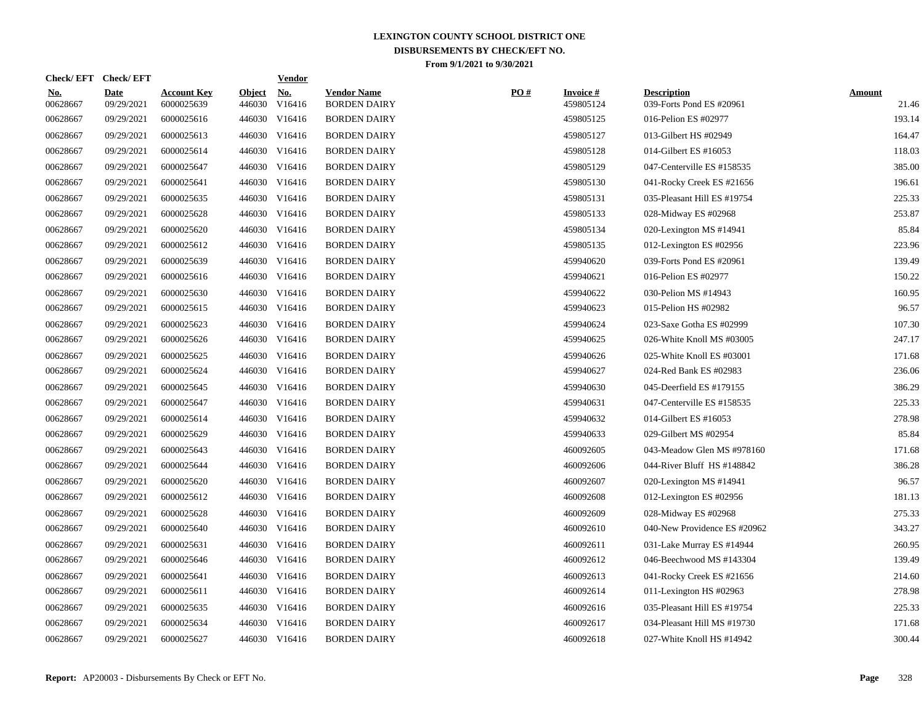| <b>Check/EFT</b>       |                           |                                  |                         | <b>Vendor</b>                        |                                                                                                                                                                                                                                                                                                                                                                                                                                                              |     |                              |                                                |                        |
|------------------------|---------------------------|----------------------------------|-------------------------|--------------------------------------|--------------------------------------------------------------------------------------------------------------------------------------------------------------------------------------------------------------------------------------------------------------------------------------------------------------------------------------------------------------------------------------------------------------------------------------------------------------|-----|------------------------------|------------------------------------------------|------------------------|
| <u>No.</u><br>00628667 | <b>Date</b><br>09/29/2021 | <b>Account Key</b><br>6000025639 | <b>Object</b><br>446030 | <u>No.</u><br>V16416                 | <b>Vendor Name</b><br><b>BORDEN DAIRY</b>                                                                                                                                                                                                                                                                                                                                                                                                                    | PO# | <b>Invoice#</b><br>459805124 | <b>Description</b><br>039-Forts Pond ES #20961 | <b>Amount</b><br>21.46 |
| 00628667               | 09/29/2021                | 6000025616                       |                         | V16416                               | <b>BORDEN DAIRY</b>                                                                                                                                                                                                                                                                                                                                                                                                                                          |     | 459805125                    | 016-Pelion ES #02977                           | 193.14                 |
| 00628667               | 09/29/2021                | 6000025613                       |                         |                                      | <b>BORDEN DAIRY</b>                                                                                                                                                                                                                                                                                                                                                                                                                                          |     | 459805127                    | 013-Gilbert HS #02949                          | 164.47                 |
| 00628667               | 09/29/2021                | 6000025614                       |                         |                                      | <b>BORDEN DAIRY</b>                                                                                                                                                                                                                                                                                                                                                                                                                                          |     | 459805128                    | 014-Gilbert ES #16053                          | 118.03                 |
| 00628667               | 09/29/2021                | 6000025647                       |                         |                                      | <b>BORDEN DAIRY</b>                                                                                                                                                                                                                                                                                                                                                                                                                                          |     | 459805129                    | 047-Centerville ES #158535                     | 385.00                 |
| 00628667               | 09/29/2021                | 6000025641                       |                         |                                      | <b>BORDEN DAIRY</b>                                                                                                                                                                                                                                                                                                                                                                                                                                          |     | 459805130                    | 041-Rocky Creek ES #21656                      | 196.61                 |
| 00628667               | 09/29/2021                | 6000025635                       |                         |                                      | <b>BORDEN DAIRY</b>                                                                                                                                                                                                                                                                                                                                                                                                                                          |     | 459805131                    | 035-Pleasant Hill ES #19754                    | 225.33                 |
| 00628667               | 09/29/2021                | 6000025628                       |                         |                                      | <b>BORDEN DAIRY</b>                                                                                                                                                                                                                                                                                                                                                                                                                                          |     | 459805133                    | 028-Midway ES #02968                           | 253.87                 |
| 00628667               | 09/29/2021                | 6000025620                       |                         |                                      | <b>BORDEN DAIRY</b>                                                                                                                                                                                                                                                                                                                                                                                                                                          |     | 459805134                    | 020-Lexington MS #14941                        | 85.84                  |
| 00628667               | 09/29/2021                | 6000025612                       |                         |                                      | <b>BORDEN DAIRY</b>                                                                                                                                                                                                                                                                                                                                                                                                                                          |     | 459805135                    | 012-Lexington ES #02956                        | 223.96                 |
| 00628667               | 09/29/2021                | 6000025639                       |                         |                                      | <b>BORDEN DAIRY</b>                                                                                                                                                                                                                                                                                                                                                                                                                                          |     | 459940620                    | 039-Forts Pond ES #20961                       | 139.49                 |
| 00628667               | 09/29/2021                | 6000025616                       |                         |                                      | <b>BORDEN DAIRY</b>                                                                                                                                                                                                                                                                                                                                                                                                                                          |     | 459940621                    | 016-Pelion ES #02977                           | 150.22                 |
| 00628667               | 09/29/2021                | 6000025630                       |                         | V16416                               | <b>BORDEN DAIRY</b>                                                                                                                                                                                                                                                                                                                                                                                                                                          |     | 459940622                    | 030-Pelion MS #14943                           | 160.95                 |
| 00628667               | 09/29/2021                | 6000025615                       |                         | V16416                               | <b>BORDEN DAIRY</b>                                                                                                                                                                                                                                                                                                                                                                                                                                          |     | 459940623                    | 015-Pelion HS #02982                           | 96.57                  |
| 00628667               | 09/29/2021                | 6000025623                       |                         | V16416                               | <b>BORDEN DAIRY</b>                                                                                                                                                                                                                                                                                                                                                                                                                                          |     | 459940624                    | 023-Saxe Gotha ES #02999                       | 107.30                 |
| 00628667               | 09/29/2021                | 6000025626                       |                         | V16416                               | <b>BORDEN DAIRY</b>                                                                                                                                                                                                                                                                                                                                                                                                                                          |     | 459940625                    | 026-White Knoll MS #03005                      | 247.17                 |
| 00628667               | 09/29/2021                | 6000025625                       |                         |                                      | <b>BORDEN DAIRY</b>                                                                                                                                                                                                                                                                                                                                                                                                                                          |     | 459940626                    | 025-White Knoll ES #03001                      | 171.68                 |
| 00628667               | 09/29/2021                | 6000025624                       |                         |                                      | <b>BORDEN DAIRY</b>                                                                                                                                                                                                                                                                                                                                                                                                                                          |     | 459940627                    | 024-Red Bank ES #02983                         | 236.06                 |
| 00628667               | 09/29/2021                | 6000025645                       |                         |                                      | <b>BORDEN DAIRY</b>                                                                                                                                                                                                                                                                                                                                                                                                                                          |     | 459940630                    | 045-Deerfield ES #179155                       | 386.29                 |
| 00628667               | 09/29/2021                | 6000025647                       |                         |                                      | <b>BORDEN DAIRY</b>                                                                                                                                                                                                                                                                                                                                                                                                                                          |     | 459940631                    | 047-Centerville ES #158535                     | 225.33                 |
| 00628667               | 09/29/2021                | 6000025614                       |                         |                                      | <b>BORDEN DAIRY</b>                                                                                                                                                                                                                                                                                                                                                                                                                                          |     | 459940632                    | 014-Gilbert ES #16053                          | 278.98                 |
| 00628667               | 09/29/2021                | 6000025629                       |                         |                                      | <b>BORDEN DAIRY</b>                                                                                                                                                                                                                                                                                                                                                                                                                                          |     | 459940633                    | 029-Gilbert MS #02954                          | 85.84                  |
| 00628667               | 09/29/2021                | 6000025643                       |                         |                                      | <b>BORDEN DAIRY</b>                                                                                                                                                                                                                                                                                                                                                                                                                                          |     | 460092605                    | 043-Meadow Glen MS #978160                     | 171.68                 |
| 00628667               | 09/29/2021                | 6000025644                       |                         |                                      | <b>BORDEN DAIRY</b>                                                                                                                                                                                                                                                                                                                                                                                                                                          |     | 460092606                    | 044-River Bluff HS #148842                     | 386.28                 |
| 00628667               | 09/29/2021                | 6000025620                       |                         |                                      | <b>BORDEN DAIRY</b>                                                                                                                                                                                                                                                                                                                                                                                                                                          |     | 460092607                    | 020-Lexington MS #14941                        | 96.57                  |
| 00628667               | 09/29/2021                | 6000025612                       |                         |                                      | <b>BORDEN DAIRY</b>                                                                                                                                                                                                                                                                                                                                                                                                                                          |     | 460092608                    | 012-Lexington ES #02956                        | 181.13                 |
| 00628667               | 09/29/2021                | 6000025628                       |                         |                                      | <b>BORDEN DAIRY</b>                                                                                                                                                                                                                                                                                                                                                                                                                                          |     | 460092609                    | 028-Midway ES #02968                           | 275.33                 |
| 00628667               | 09/29/2021                | 6000025640                       |                         |                                      | <b>BORDEN DAIRY</b>                                                                                                                                                                                                                                                                                                                                                                                                                                          |     | 460092610                    | 040-New Providence ES #20962                   | 343.27                 |
| 00628667               | 09/29/2021                | 6000025631                       |                         | V16416                               | <b>BORDEN DAIRY</b>                                                                                                                                                                                                                                                                                                                                                                                                                                          |     | 460092611                    | 031-Lake Murray ES #14944                      | 260.95                 |
| 00628667               | 09/29/2021                | 6000025646                       |                         | V16416                               | <b>BORDEN DAIRY</b>                                                                                                                                                                                                                                                                                                                                                                                                                                          |     | 460092612                    | 046-Beechwood MS #143304                       | 139.49                 |
| 00628667               | 09/29/2021                | 6000025641                       | 446030                  | V16416                               | <b>BORDEN DAIRY</b>                                                                                                                                                                                                                                                                                                                                                                                                                                          |     | 460092613                    | 041-Rocky Creek ES #21656                      | 214.60                 |
| 00628667               | 09/29/2021                | 6000025611                       |                         |                                      | <b>BORDEN DAIRY</b>                                                                                                                                                                                                                                                                                                                                                                                                                                          |     | 460092614                    | 011-Lexington HS $\#02963$                     | 278.98                 |
| 00628667               | 09/29/2021                | 6000025635                       |                         | V16416                               | <b>BORDEN DAIRY</b>                                                                                                                                                                                                                                                                                                                                                                                                                                          |     | 460092616                    | 035-Pleasant Hill ES #19754                    | 225.33                 |
| 00628667               | 09/29/2021                | 6000025634                       | 446030                  | V16416                               | <b>BORDEN DAIRY</b>                                                                                                                                                                                                                                                                                                                                                                                                                                          |     | 460092617                    | 034-Pleasant Hill MS #19730                    | 171.68                 |
| 00628667               | 09/29/2021                | 6000025627                       |                         |                                      | <b>BORDEN DAIRY</b>                                                                                                                                                                                                                                                                                                                                                                                                                                          |     | 460092618                    | 027-White Knoll HS #14942                      | 300.44                 |
|                        |                           | <b>Check/EFT</b>                 |                         | 446030<br>446030<br>446030<br>446030 | 446030<br>446030 V16416<br>446030 V16416<br>446030 V16416<br>446030 V16416<br>446030 V16416<br>446030 V16416<br>446030 V16416<br>446030 V16416<br>446030 V16416<br>446030 V16416<br>446030<br>446030<br>446030 V16416<br>446030 V16416<br>446030 V16416<br>446030 V16416<br>446030 V16416<br>446030 V16416<br>446030 V16416<br>446030 V16416<br>446030 V16416<br>446030 V16416<br>446030 V16416<br>446030 V16416<br>446030<br>446030 V16416<br>446030 V16416 |     |                              |                                                |                        |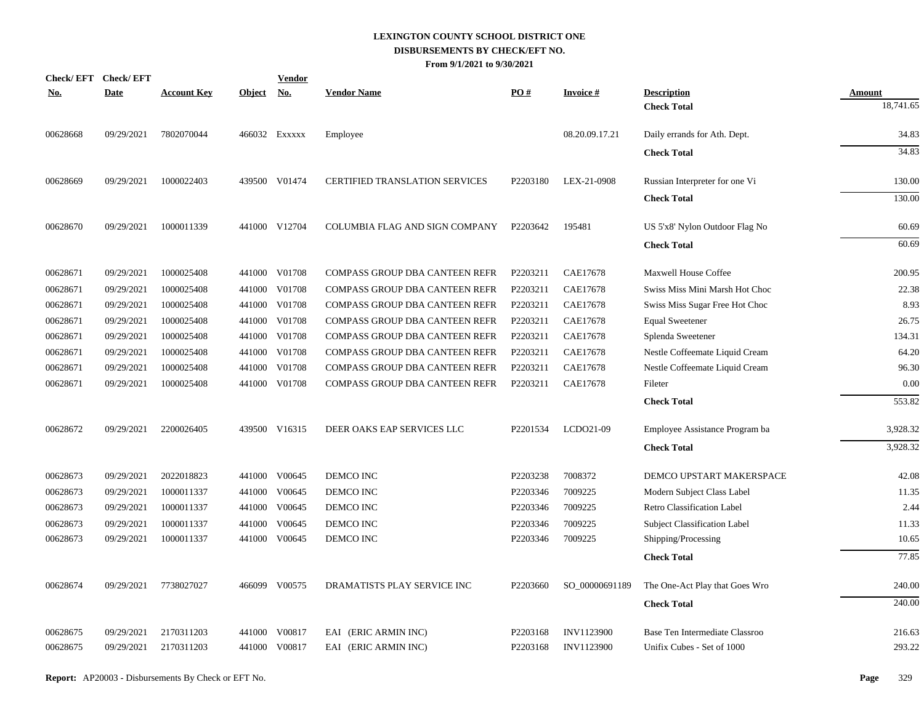|            | Check/EFT Check/EFT |                    |               | <u>Vendor</u> |                                       |          |                   |                                     |               |
|------------|---------------------|--------------------|---------------|---------------|---------------------------------------|----------|-------------------|-------------------------------------|---------------|
| <u>No.</u> | <b>Date</b>         | <b>Account Key</b> | <b>Object</b> | <u>No.</u>    | <b>Vendor Name</b>                    | PO#      | <b>Invoice#</b>   | <b>Description</b>                  | <b>Amount</b> |
|            |                     |                    |               |               |                                       |          |                   | <b>Check Total</b>                  | 18,741.65     |
| 00628668   | 09/29/2021          | 7802070044         |               | 466032 Exxxxx | Employee                              |          | 08.20.09.17.21    | Daily errands for Ath. Dept.        | 34.83         |
|            |                     |                    |               |               |                                       |          |                   | <b>Check Total</b>                  | 34.83         |
| 00628669   | 09/29/2021          | 1000022403         |               | 439500 V01474 | <b>CERTIFIED TRANSLATION SERVICES</b> | P2203180 | LEX-21-0908       | Russian Interpreter for one Vi      | 130.00        |
|            |                     |                    |               |               |                                       |          |                   | <b>Check Total</b>                  | 130.00        |
| 00628670   | 09/29/2021          | 1000011339         |               | 441000 V12704 | COLUMBIA FLAG AND SIGN COMPANY        | P2203642 | 195481            | US 5'x8' Nylon Outdoor Flag No      | 60.69         |
|            |                     |                    |               |               |                                       |          |                   | <b>Check Total</b>                  | 60.69         |
| 00628671   | 09/29/2021          | 1000025408         |               | 441000 V01708 | COMPASS GROUP DBA CANTEEN REFR        | P2203211 | CAE17678          | <b>Maxwell House Coffee</b>         | 200.95        |
| 00628671   | 09/29/2021          | 1000025408         |               | 441000 V01708 | COMPASS GROUP DBA CANTEEN REFR        | P2203211 | <b>CAE17678</b>   | Swiss Miss Mini Marsh Hot Choc      | 22.38         |
| 00628671   | 09/29/2021          | 1000025408         |               | 441000 V01708 | <b>COMPASS GROUP DBA CANTEEN REFR</b> | P2203211 | <b>CAE17678</b>   | Swiss Miss Sugar Free Hot Choc      | 8.93          |
| 00628671   | 09/29/2021          | 1000025408         |               | 441000 V01708 | COMPASS GROUP DBA CANTEEN REFR        | P2203211 | <b>CAE17678</b>   | <b>Equal Sweetener</b>              | 26.75         |
| 00628671   | 09/29/2021          | 1000025408         |               | 441000 V01708 | COMPASS GROUP DBA CANTEEN REFR        | P2203211 | <b>CAE17678</b>   | Splenda Sweetener                   | 134.31        |
| 00628671   | 09/29/2021          | 1000025408         |               | 441000 V01708 | COMPASS GROUP DBA CANTEEN REFR        | P2203211 | <b>CAE17678</b>   | Nestle Coffeemate Liquid Cream      | 64.20         |
| 00628671   | 09/29/2021          | 1000025408         |               | 441000 V01708 | COMPASS GROUP DBA CANTEEN REFR        | P2203211 | <b>CAE17678</b>   | Nestle Coffeemate Liquid Cream      | 96.30         |
| 00628671   | 09/29/2021          | 1000025408         |               | 441000 V01708 | COMPASS GROUP DBA CANTEEN REFR        | P2203211 | <b>CAE17678</b>   | Fileter                             | 0.00          |
|            |                     |                    |               |               |                                       |          |                   | <b>Check Total</b>                  | 553.82        |
| 00628672   | 09/29/2021          | 2200026405         |               | 439500 V16315 | DEER OAKS EAP SERVICES LLC            | P2201534 | LCDO21-09         | Employee Assistance Program ba      | 3,928.32      |
|            |                     |                    |               |               |                                       |          |                   | <b>Check Total</b>                  | 3,928.32      |
| 00628673   | 09/29/2021          | 2022018823         |               | 441000 V00645 | DEMCO INC                             | P2203238 | 7008372           | DEMCO UPSTART MAKERSPACE            | 42.08         |
| 00628673   | 09/29/2021          | 1000011337         |               | 441000 V00645 | DEMCO INC                             | P2203346 | 7009225           | Modern Subject Class Label          | 11.35         |
| 00628673   | 09/29/2021          | 1000011337         |               | 441000 V00645 | DEMCO INC                             | P2203346 | 7009225           | Retro Classification Label          | 2.44          |
| 00628673   | 09/29/2021          | 1000011337         | 441000        | V00645        | DEMCO INC                             | P2203346 | 7009225           | <b>Subject Classification Label</b> | 11.33         |
| 00628673   | 09/29/2021          | 1000011337         |               | 441000 V00645 | DEMCO INC                             | P2203346 | 7009225           | Shipping/Processing                 | 10.65         |
|            |                     |                    |               |               |                                       |          |                   | <b>Check Total</b>                  | 77.85         |
| 00628674   | 09/29/2021          | 7738027027         |               | 466099 V00575 | DRAMATISTS PLAY SERVICE INC           | P2203660 | SO_00000691189    | The One-Act Play that Goes Wro      | 240.00        |
|            |                     |                    |               |               |                                       |          |                   | <b>Check Total</b>                  | 240.00        |
| 00628675   | 09/29/2021          | 2170311203         | 441000        | V00817        | EAI (ERIC ARMIN INC)                  | P2203168 | <b>INV1123900</b> | Base Ten Intermediate Classroo      | 216.63        |
| 00628675   | 09/29/2021          | 2170311203         |               | 441000 V00817 | EAI (ERIC ARMIN INC)                  | P2203168 | INV1123900        | Unifix Cubes - Set of 1000          | 293.22        |
|            |                     |                    |               |               |                                       |          |                   |                                     |               |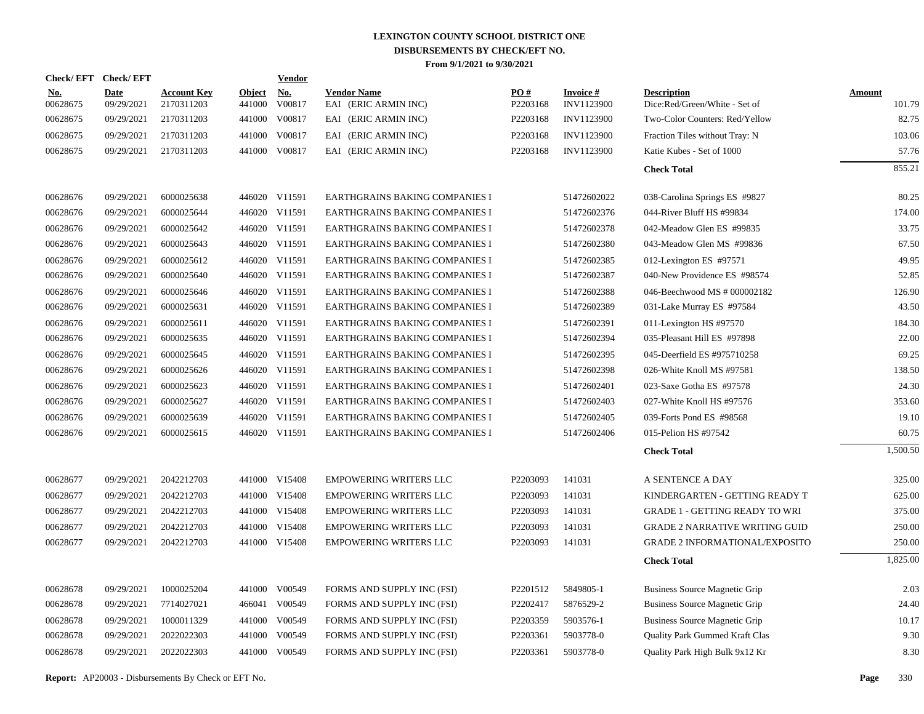| Check/EFT Check/EFT    |                           |                                  |                  | <b>Vendor</b> |                                            |                 |                         |                                                     |                  |
|------------------------|---------------------------|----------------------------------|------------------|---------------|--------------------------------------------|-----------------|-------------------------|-----------------------------------------------------|------------------|
| <b>No.</b><br>00628675 | <b>Date</b><br>09/29/2021 | <b>Account Key</b><br>2170311203 | Object<br>441000 | No.<br>V00817 | <b>Vendor Name</b><br>EAI (ERIC ARMIN INC) | PO#<br>P2203168 | Invoice #<br>INV1123900 | <b>Description</b><br>Dice:Red/Green/White - Set of | Amount<br>101.79 |
| 00628675               | 09/29/2021                | 2170311203                       | 441000           | V00817        | EAI (ERIC ARMIN INC)                       | P2203168        | <b>INV1123900</b>       | Two-Color Counters: Red/Yellow                      | 82.75            |
| 00628675               | 09/29/2021                | 2170311203                       | 441000           | V00817        | EAI (ERIC ARMIN INC)                       | P2203168        | INV1123900              | Fraction Tiles without Tray: N                      | 103.06           |
| 00628675               | 09/29/2021                | 2170311203                       |                  | 441000 V00817 | EAI (ERIC ARMIN INC)                       | P2203168        | INV1123900              | Katie Kubes - Set of 1000                           | 57.76            |
|                        |                           |                                  |                  |               |                                            |                 |                         | <b>Check Total</b>                                  | 855.21           |
| 00628676               | 09/29/2021                | 6000025638                       |                  | 446020 V11591 | EARTHGRAINS BAKING COMPANIES I             |                 | 51472602022             | 038-Carolina Springs ES #9827                       | 80.25            |
| 00628676               | 09/29/2021                | 6000025644                       |                  | 446020 V11591 | EARTHGRAINS BAKING COMPANIES I             |                 | 51472602376             | 044-River Bluff HS #99834                           | 174.00           |
| 00628676               | 09/29/2021                | 6000025642                       |                  | 446020 V11591 | EARTHGRAINS BAKING COMPANIES I             |                 | 51472602378             | 042-Meadow Glen ES #99835                           | 33.75            |
| 00628676               | 09/29/2021                | 6000025643                       |                  | 446020 V11591 | EARTHGRAINS BAKING COMPANIES I             |                 | 51472602380             | 043-Meadow Glen MS #99836                           | 67.50            |
| 00628676               | 09/29/2021                | 6000025612                       |                  | 446020 V11591 | EARTHGRAINS BAKING COMPANIES I             |                 | 51472602385             | 012-Lexington ES #97571                             | 49.95            |
| 00628676               | 09/29/2021                | 6000025640                       |                  | 446020 V11591 | EARTHGRAINS BAKING COMPANIES I             |                 | 51472602387             | 040-New Providence ES #98574                        | 52.85            |
| 00628676               | 09/29/2021                | 6000025646                       |                  | 446020 V11591 | EARTHGRAINS BAKING COMPANIES I             |                 | 51472602388             | 046-Beechwood MS # 000002182                        | 126.90           |
| 00628676               | 09/29/2021                | 6000025631                       |                  | 446020 V11591 | EARTHGRAINS BAKING COMPANIES I             |                 | 51472602389             | 031-Lake Murray ES #97584                           | 43.50            |
| 00628676               | 09/29/2021                | 6000025611                       |                  | 446020 V11591 | EARTHGRAINS BAKING COMPANIES I             |                 | 51472602391             | 011-Lexington HS #97570                             | 184.30           |
| 00628676               | 09/29/2021                | 6000025635                       |                  | 446020 V11591 | EARTHGRAINS BAKING COMPANIES I             |                 | 51472602394             | 035-Pleasant Hill ES #97898                         | 22.00            |
| 00628676               | 09/29/2021                | 6000025645                       |                  | 446020 V11591 | EARTHGRAINS BAKING COMPANIES I             |                 | 51472602395             | 045-Deerfield ES #975710258                         | 69.25            |
| 00628676               | 09/29/2021                | 6000025626                       |                  | 446020 V11591 | EARTHGRAINS BAKING COMPANIES I             |                 | 51472602398             | 026-White Knoll MS #97581                           | 138.50           |
| 00628676               | 09/29/2021                | 6000025623                       |                  | 446020 V11591 | EARTHGRAINS BAKING COMPANIES I             |                 | 51472602401             | 023-Saxe Gotha ES #97578                            | 24.30            |
| 00628676               | 09/29/2021                | 6000025627                       |                  | 446020 V11591 | EARTHGRAINS BAKING COMPANIES I             |                 | 51472602403             | 027-White Knoll HS #97576                           | 353.60           |
| 00628676               | 09/29/2021                | 6000025639                       |                  | 446020 V11591 | EARTHGRAINS BAKING COMPANIES I             |                 | 51472602405             | 039-Forts Pond ES #98568                            | 19.10            |
| 00628676               | 09/29/2021                | 6000025615                       |                  | 446020 V11591 | EARTHGRAINS BAKING COMPANIES I             |                 | 51472602406             | 015-Pelion HS #97542                                | 60.75            |
|                        |                           |                                  |                  |               |                                            |                 |                         | <b>Check Total</b>                                  | 1,500.50         |
| 00628677               | 09/29/2021                | 2042212703                       |                  | 441000 V15408 | <b>EMPOWERING WRITERS LLC</b>              | P2203093        | 141031                  | A SENTENCE A DAY                                    | 325.00           |
| 00628677               | 09/29/2021                | 2042212703                       |                  | 441000 V15408 | <b>EMPOWERING WRITERS LLC</b>              | P2203093        | 141031                  | KINDERGARTEN - GETTING READY T                      | 625.00           |
| 00628677               | 09/29/2021                | 2042212703                       |                  | 441000 V15408 | <b>EMPOWERING WRITERS LLC</b>              | P2203093        | 141031                  | <b>GRADE 1 - GETTING READY TO WRI</b>               | 375.00           |
| 00628677               | 09/29/2021                | 2042212703                       |                  | 441000 V15408 | <b>EMPOWERING WRITERS LLC</b>              | P2203093        | 141031                  | <b>GRADE 2 NARRATIVE WRITING GUID</b>               | 250.00           |
| 00628677               | 09/29/2021                | 2042212703                       |                  | 441000 V15408 | <b>EMPOWERING WRITERS LLC</b>              | P2203093        | 141031                  | <b>GRADE 2 INFORMATIONAL/EXPOSITO</b>               | 250.00           |
|                        |                           |                                  |                  |               |                                            |                 |                         | <b>Check Total</b>                                  | 1,825.00         |
| 00628678               | 09/29/2021                | 1000025204                       |                  | 441000 V00549 | FORMS AND SUPPLY INC (FSI)                 | P2201512        | 5849805-1               | <b>Business Source Magnetic Grip</b>                | 2.03             |
| 00628678               | 09/29/2021                | 7714027021                       | 466041           | V00549        | FORMS AND SUPPLY INC (FSI)                 | P2202417        | 5876529-2               | Business Source Magnetic Grip                       | 24.40            |
| 00628678               | 09/29/2021                | 1000011329                       | 441000           | V00549        | FORMS AND SUPPLY INC (FSI)                 | P2203359        | 5903576-1               | <b>Business Source Magnetic Grip</b>                | 10.17            |
| 00628678               | 09/29/2021                | 2022022303                       |                  | 441000 V00549 | FORMS AND SUPPLY INC (FSI)                 | P2203361        | 5903778-0               | Quality Park Gummed Kraft Clas                      | 9.30             |
| 00628678               | 09/29/2021                | 2022022303                       |                  | 441000 V00549 | FORMS AND SUPPLY INC (FSI)                 | P2203361        | 5903778-0               | Quality Park High Bulk 9x12 Kr                      | 8.30             |

**Report:** AP20003 - Disbursements By Check or EFT No. **Page** 330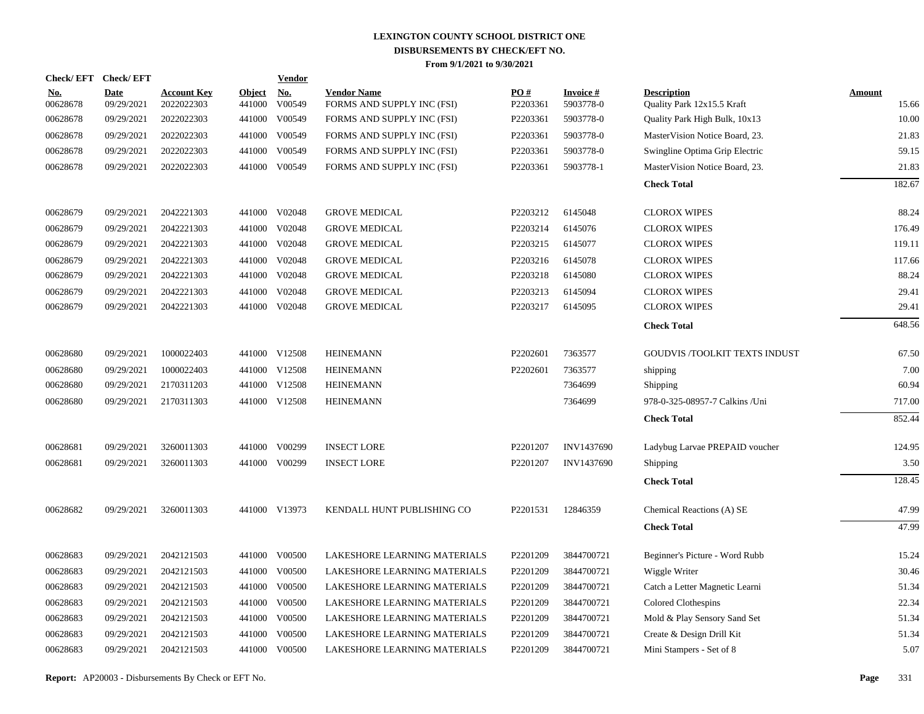|                        | Check/EFT Check/EFT       |                                  |                      | <b>Vendor</b> |                                                  |                               |                              |                                                  |                        |
|------------------------|---------------------------|----------------------------------|----------------------|---------------|--------------------------------------------------|-------------------------------|------------------------------|--------------------------------------------------|------------------------|
| <u>No.</u><br>00628678 | <b>Date</b><br>09/29/2021 | <b>Account Key</b><br>2022022303 | Object No.<br>441000 | V00549        | <b>Vendor Name</b><br>FORMS AND SUPPLY INC (FSI) | $\underline{PO#}$<br>P2203361 | <b>Invoice#</b><br>5903778-0 | <b>Description</b><br>Quality Park 12x15.5 Kraft | <b>Amount</b><br>15.66 |
| 00628678               | 09/29/2021                | 2022022303                       | 441000               | V00549        | FORMS AND SUPPLY INC (FSI)                       | P2203361                      | 5903778-0                    | Quality Park High Bulk, 10x13                    | 10.00                  |
| 00628678               | 09/29/2021                | 2022022303                       | 441000               | V00549        | FORMS AND SUPPLY INC (FSI)                       | P2203361                      | 5903778-0                    | MasterVision Notice Board, 23.                   | 21.83                  |
| 00628678               | 09/29/2021                | 2022022303                       | 441000               | V00549        | FORMS AND SUPPLY INC (FSI)                       | P2203361                      | 5903778-0                    | Swingline Optima Grip Electric                   | 59.15                  |
| 00628678               | 09/29/2021                | 2022022303                       |                      | 441000 V00549 | FORMS AND SUPPLY INC (FSI)                       | P2203361                      | 5903778-1                    | MasterVision Notice Board, 23.                   | 21.83                  |
|                        |                           |                                  |                      |               |                                                  |                               |                              | <b>Check Total</b>                               | 182.67                 |
| 00628679               | 09/29/2021                | 2042221303                       |                      | 441000 V02048 | <b>GROVE MEDICAL</b>                             | P2203212                      | 6145048                      | <b>CLOROX WIPES</b>                              | 88.24                  |
| 00628679               | 09/29/2021                | 2042221303                       | 441000               | V02048        | <b>GROVE MEDICAL</b>                             | P2203214                      | 6145076                      | <b>CLOROX WIPES</b>                              | 176.49                 |
| 00628679               | 09/29/2021                | 2042221303                       | 441000               | V02048        | <b>GROVE MEDICAL</b>                             | P2203215                      | 6145077                      | <b>CLOROX WIPES</b>                              | 119.11                 |
| 00628679               | 09/29/2021                | 2042221303                       | 441000               | V02048        | <b>GROVE MEDICAL</b>                             | P2203216                      | 6145078                      | <b>CLOROX WIPES</b>                              | 117.66                 |
| 00628679               | 09/29/2021                | 2042221303                       | 441000               | V02048        | <b>GROVE MEDICAL</b>                             | P2203218                      | 6145080                      | <b>CLOROX WIPES</b>                              | 88.24                  |
| 00628679               | 09/29/2021                | 2042221303                       | 441000               | V02048        | <b>GROVE MEDICAL</b>                             | P2203213                      | 6145094                      | <b>CLOROX WIPES</b>                              | 29.41                  |
| 00628679               | 09/29/2021                | 2042221303                       |                      | 441000 V02048 | <b>GROVE MEDICAL</b>                             | P2203217                      | 6145095                      | <b>CLOROX WIPES</b>                              | 29.41                  |
|                        |                           |                                  |                      |               |                                                  |                               |                              | <b>Check Total</b>                               | 648.56                 |
| 00628680               | 09/29/2021                | 1000022403                       |                      | 441000 V12508 | <b>HEINEMANN</b>                                 | P2202601                      | 7363577                      | <b>GOUDVIS /TOOLKIT TEXTS INDUST</b>             | 67.50                  |
| 00628680               | 09/29/2021                | 1000022403                       |                      | 441000 V12508 | <b>HEINEMANN</b>                                 | P2202601                      | 7363577                      | shipping                                         | 7.00                   |
| 00628680               | 09/29/2021                | 2170311203                       |                      | 441000 V12508 | <b>HEINEMANN</b>                                 |                               | 7364699                      | Shipping                                         | 60.94                  |
| 00628680               | 09/29/2021                | 2170311303                       |                      | 441000 V12508 | <b>HEINEMANN</b>                                 |                               | 7364699                      | 978-0-325-08957-7 Calkins /Uni                   | 717.00                 |
|                        |                           |                                  |                      |               |                                                  |                               |                              | <b>Check Total</b>                               | 852.44                 |
| 00628681               | 09/29/2021                | 3260011303                       |                      | 441000 V00299 | <b>INSECT LORE</b>                               | P2201207                      | INV1437690                   | Ladybug Larvae PREPAID voucher                   | 124.95                 |
| 00628681               | 09/29/2021                | 3260011303                       |                      | 441000 V00299 | <b>INSECT LORE</b>                               | P2201207                      | INV1437690                   | Shipping                                         | 3.50                   |
|                        |                           |                                  |                      |               |                                                  |                               |                              | <b>Check Total</b>                               | 128.45                 |
| 00628682               | 09/29/2021                | 3260011303                       |                      | 441000 V13973 | KENDALL HUNT PUBLISHING CO                       | P2201531                      | 12846359                     | Chemical Reactions (A) SE                        | 47.99                  |
|                        |                           |                                  |                      |               |                                                  |                               |                              | <b>Check Total</b>                               | 47.99                  |
| 00628683               | 09/29/2021                | 2042121503                       |                      | 441000 V00500 | LAKESHORE LEARNING MATERIALS                     | P2201209                      | 3844700721                   | Beginner's Picture - Word Rubb                   | 15.24                  |
| 00628683               | 09/29/2021                | 2042121503                       | 441000               | V00500        | LAKESHORE LEARNING MATERIALS                     | P2201209                      | 3844700721                   | Wiggle Writer                                    | 30.46                  |
| 00628683               | 09/29/2021                | 2042121503                       |                      | 441000 V00500 | LAKESHORE LEARNING MATERIALS                     | P2201209                      | 3844700721                   | Catch a Letter Magnetic Learni                   | 51.34                  |
| 00628683               | 09/29/2021                | 2042121503                       | 441000               | V00500        | LAKESHORE LEARNING MATERIALS                     | P2201209                      | 3844700721                   | Colored Clothespins                              | 22.34                  |
| 00628683               | 09/29/2021                | 2042121503                       |                      | 441000 V00500 | LAKESHORE LEARNING MATERIALS                     | P2201209                      | 3844700721                   | Mold & Play Sensory Sand Set                     | 51.34                  |
| 00628683               | 09/29/2021                | 2042121503                       | 441000               | V00500        | LAKESHORE LEARNING MATERIALS                     | P2201209                      | 3844700721                   | Create & Design Drill Kit                        | 51.34                  |
| 00628683               | 09/29/2021                | 2042121503                       |                      | 441000 V00500 | LAKESHORE LEARNING MATERIALS                     | P2201209                      | 3844700721                   | Mini Stampers - Set of 8                         | 5.07                   |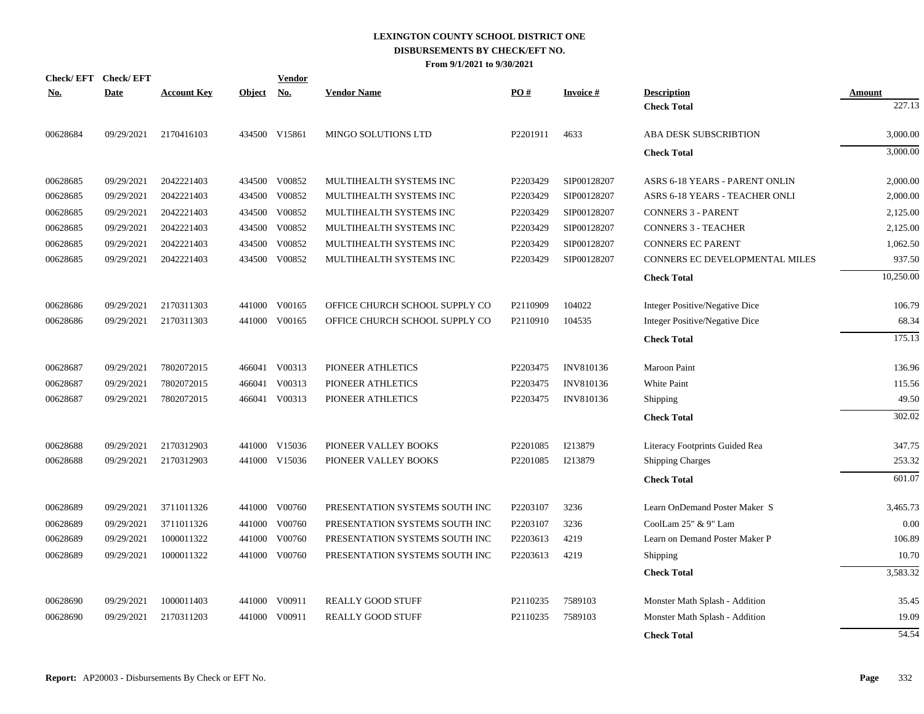|            | Check/EFT Check/EFT |                    |        | <b>Vendor</b> |                                |          |                 |                                |               |
|------------|---------------------|--------------------|--------|---------------|--------------------------------|----------|-----------------|--------------------------------|---------------|
| <u>No.</u> | <b>Date</b>         | <b>Account Key</b> | Object | <u>No.</u>    | <b>Vendor Name</b>             | PO#      | <b>Invoice#</b> | <b>Description</b>             | <b>Amount</b> |
|            |                     |                    |        |               |                                |          |                 | <b>Check Total</b>             | 227.13        |
| 00628684   | 09/29/2021          | 2170416103         |        | 434500 V15861 | MINGO SOLUTIONS LTD            | P2201911 | 4633            | ABA DESK SUBSCRIBTION          | 3,000.00      |
|            |                     |                    |        |               |                                |          |                 | <b>Check Total</b>             | 3,000.00      |
| 00628685   | 09/29/2021          | 2042221403         | 434500 | V00852        | MULTIHEALTH SYSTEMS INC        | P2203429 | SIP00128207     | ASRS 6-18 YEARS - PARENT ONLIN | 2,000.00      |
| 00628685   | 09/29/2021          | 2042221403         | 434500 | V00852        | MULTIHEALTH SYSTEMS INC        | P2203429 | SIP00128207     | ASRS 6-18 YEARS - TEACHER ONLI | 2,000.00      |
| 00628685   | 09/29/2021          | 2042221403         | 434500 | V00852        | MULTIHEALTH SYSTEMS INC        | P2203429 | SIP00128207     | <b>CONNERS 3 - PARENT</b>      | 2,125.00      |
| 00628685   | 09/29/2021          | 2042221403         | 434500 | V00852        | MULTIHEALTH SYSTEMS INC        | P2203429 | SIP00128207     | <b>CONNERS 3 - TEACHER</b>     | 2,125.00      |
| 00628685   | 09/29/2021          | 2042221403         | 434500 | V00852        | MULTIHEALTH SYSTEMS INC        | P2203429 | SIP00128207     | <b>CONNERS EC PARENT</b>       | 1,062.50      |
| 00628685   | 09/29/2021          | 2042221403         | 434500 | V00852        | MULTIHEALTH SYSTEMS INC        | P2203429 | SIP00128207     | CONNERS EC DEVELOPMENTAL MILES | 937.50        |
|            |                     |                    |        |               |                                |          |                 | <b>Check Total</b>             | 10,250.00     |
| 00628686   | 09/29/2021          | 2170311303         | 441000 | V00165        | OFFICE CHURCH SCHOOL SUPPLY CO | P2110909 | 104022          | Integer Positive/Negative Dice | 106.79        |
| 00628686   | 09/29/2021          | 2170311303         |        | 441000 V00165 | OFFICE CHURCH SCHOOL SUPPLY CO | P2110910 | 104535          | Integer Positive/Negative Dice | 68.34         |
|            |                     |                    |        |               |                                |          |                 | <b>Check Total</b>             | 175.13        |
| 00628687   | 09/29/2021          | 7802072015         |        | 466041 V00313 | PIONEER ATHLETICS              | P2203475 | INV810136       | Maroon Paint                   | 136.96        |
| 00628687   | 09/29/2021          | 7802072015         | 466041 | V00313        | PIONEER ATHLETICS              | P2203475 | INV810136       | White Paint                    | 115.56        |
| 00628687   | 09/29/2021          | 7802072015         |        | 466041 V00313 | PIONEER ATHLETICS              | P2203475 | INV810136       | Shipping                       | 49.50         |
|            |                     |                    |        |               |                                |          |                 | <b>Check Total</b>             | 302.02        |
| 00628688   | 09/29/2021          | 2170312903         |        | 441000 V15036 | PIONEER VALLEY BOOKS           | P2201085 | I213879         | Literacy Footprints Guided Rea | 347.75        |
| 00628688   | 09/29/2021          | 2170312903         |        | 441000 V15036 | PIONEER VALLEY BOOKS           | P2201085 | I213879         | <b>Shipping Charges</b>        | 253.32        |
|            |                     |                    |        |               |                                |          |                 | <b>Check Total</b>             | 601.07        |
| 00628689   | 09/29/2021          | 3711011326         |        | 441000 V00760 | PRESENTATION SYSTEMS SOUTH INC | P2203107 | 3236            | Learn OnDemand Poster Maker S  | 3,465.73      |
| 00628689   | 09/29/2021          | 3711011326         | 441000 | V00760        | PRESENTATION SYSTEMS SOUTH INC | P2203107 | 3236            | CoolLam 25" & 9" Lam           | 0.00          |
| 00628689   | 09/29/2021          | 1000011322         | 441000 | V00760        | PRESENTATION SYSTEMS SOUTH INC | P2203613 | 4219            | Learn on Demand Poster Maker P | 106.89        |
| 00628689   | 09/29/2021          | 1000011322         | 441000 | V00760        | PRESENTATION SYSTEMS SOUTH INC | P2203613 | 4219            | Shipping                       | 10.70         |
|            |                     |                    |        |               |                                |          |                 | <b>Check Total</b>             | 3,583.32      |
| 00628690   | 09/29/2021          | 1000011403         | 441000 | V00911        | <b>REALLY GOOD STUFF</b>       | P2110235 | 7589103         | Monster Math Splash - Addition | 35.45         |
| 00628690   | 09/29/2021          | 2170311203         | 441000 | V00911        | <b>REALLY GOOD STUFF</b>       | P2110235 | 7589103         | Monster Math Splash - Addition | 19.09         |
|            |                     |                    |        |               |                                |          |                 | <b>Check Total</b>             | 54.54         |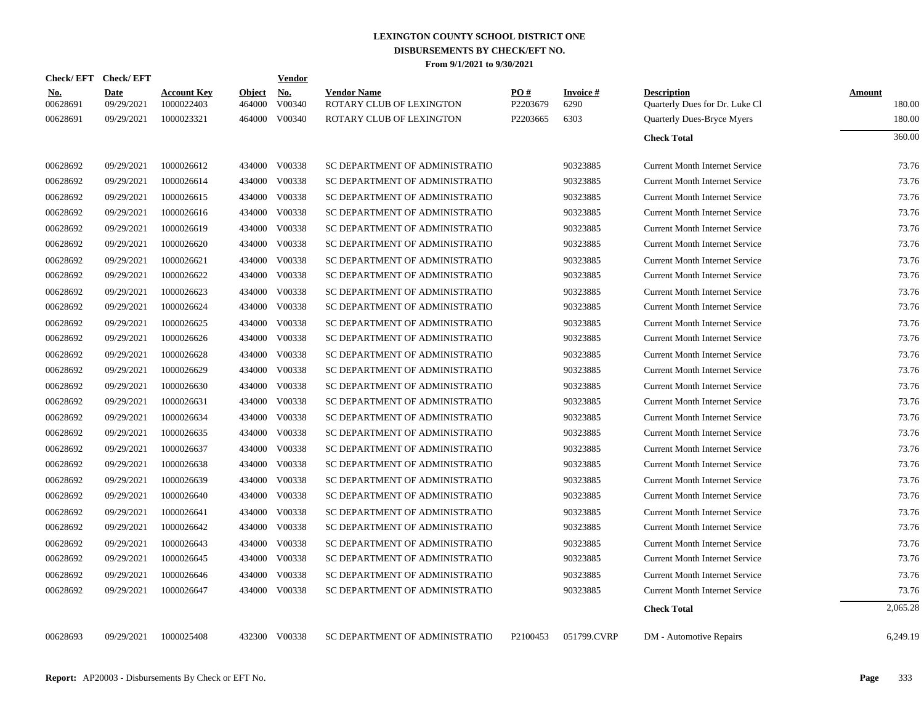| Check/EFT Check/EFT    |                    |                                  |                         | Vendor               |                                                |                 |                   |                                                      |                  |
|------------------------|--------------------|----------------------------------|-------------------------|----------------------|------------------------------------------------|-----------------|-------------------|------------------------------------------------------|------------------|
| <b>No.</b><br>00628691 | Date<br>09/29/2021 | <b>Account Key</b><br>1000022403 | <b>Object</b><br>464000 | <b>No.</b><br>V00340 | <b>Vendor Name</b><br>ROTARY CLUB OF LEXINGTON | PO#<br>P2203679 | Invoice #<br>6290 | <b>Description</b><br>Quarterly Dues for Dr. Luke Cl | Amount<br>180.00 |
| 00628691               | 09/29/2021         | 1000023321                       | 464000                  | V00340               | <b>ROTARY CLUB OF LEXINGTON</b>                | P2203665        | 6303              | Quarterly Dues-Bryce Myers                           | 180.00           |
|                        |                    |                                  |                         |                      |                                                |                 |                   | <b>Check Total</b>                                   | 360.00           |
| 00628692               | 09/29/2021         | 1000026612                       | 434000                  | V00338               | SC DEPARTMENT OF ADMINISTRATIO                 |                 | 90323885          | <b>Current Month Internet Service</b>                | 73.76            |
| 00628692               | 09/29/2021         | 1000026614                       | 434000                  | V00338               | SC DEPARTMENT OF ADMINISTRATIO                 |                 | 90323885          | <b>Current Month Internet Service</b>                | 73.76            |
| 00628692               | 09/29/2021         | 1000026615                       | 434000                  | V00338               | SC DEPARTMENT OF ADMINISTRATIO                 |                 | 90323885          | <b>Current Month Internet Service</b>                | 73.76            |
| 00628692               | 09/29/2021         | 1000026616                       | 434000                  | V00338               | SC DEPARTMENT OF ADMINISTRATIO                 |                 | 90323885          | <b>Current Month Internet Service</b>                | 73.76            |
| 00628692               | 09/29/2021         | 1000026619                       | 434000                  | V00338               | SC DEPARTMENT OF ADMINISTRATIO                 |                 | 90323885          | <b>Current Month Internet Service</b>                | 73.76            |
| 00628692               | 09/29/2021         | 1000026620                       | 434000                  | V00338               | SC DEPARTMENT OF ADMINISTRATIO                 |                 | 90323885          | <b>Current Month Internet Service</b>                | 73.76            |
| 00628692               | 09/29/2021         | 1000026621                       | 434000                  | V00338               | SC DEPARTMENT OF ADMINISTRATIO                 |                 | 90323885          | <b>Current Month Internet Service</b>                | 73.76            |
| 00628692               | 09/29/2021         | 1000026622                       | 434000                  | V00338               | SC DEPARTMENT OF ADMINISTRATIO                 |                 | 90323885          | <b>Current Month Internet Service</b>                | 73.76            |
| 00628692               | 09/29/2021         | 1000026623                       | 434000                  | V00338               | SC DEPARTMENT OF ADMINISTRATIO                 |                 | 90323885          | <b>Current Month Internet Service</b>                | 73.76            |
| 00628692               | 09/29/2021         | 1000026624                       | 434000                  | V00338               | SC DEPARTMENT OF ADMINISTRATIO                 |                 | 90323885          | <b>Current Month Internet Service</b>                | 73.76            |
| 00628692               | 09/29/2021         | 1000026625                       | 434000                  | V00338               | SC DEPARTMENT OF ADMINISTRATIO                 |                 | 90323885          | <b>Current Month Internet Service</b>                | 73.76            |
| 00628692               | 09/29/2021         | 1000026626                       | 434000                  | V00338               | SC DEPARTMENT OF ADMINISTRATIO                 |                 | 90323885          | <b>Current Month Internet Service</b>                | 73.76            |
| 00628692               | 09/29/2021         | 1000026628                       | 434000                  | V00338               | SC DEPARTMENT OF ADMINISTRATIO                 |                 | 90323885          | <b>Current Month Internet Service</b>                | 73.76            |
| 00628692               | 09/29/2021         | 1000026629                       | 434000                  | V00338               | SC DEPARTMENT OF ADMINISTRATIO                 |                 | 90323885          | <b>Current Month Internet Service</b>                | 73.76            |
| 00628692               | 09/29/2021         | 1000026630                       | 434000                  | V00338               | SC DEPARTMENT OF ADMINISTRATIO                 |                 | 90323885          | <b>Current Month Internet Service</b>                | 73.76            |
| 00628692               | 09/29/2021         | 1000026631                       | 434000                  | V00338               | SC DEPARTMENT OF ADMINISTRATIO                 |                 | 90323885          | <b>Current Month Internet Service</b>                | 73.76            |
| 00628692               | 09/29/2021         | 1000026634                       | 434000                  | V00338               | SC DEPARTMENT OF ADMINISTRATIO                 |                 | 90323885          | <b>Current Month Internet Service</b>                | 73.76            |
| 00628692               | 09/29/2021         | 1000026635                       | 434000                  | V00338               | SC DEPARTMENT OF ADMINISTRATIO                 |                 | 90323885          | <b>Current Month Internet Service</b>                | 73.76            |
| 00628692               | 09/29/2021         | 1000026637                       | 434000                  | V00338               | SC DEPARTMENT OF ADMINISTRATIO                 |                 | 90323885          | <b>Current Month Internet Service</b>                | 73.76            |
| 00628692               | 09/29/2021         | 1000026638                       | 434000                  | V00338               | SC DEPARTMENT OF ADMINISTRATIO                 |                 | 90323885          | <b>Current Month Internet Service</b>                | 73.76            |
| 00628692               | 09/29/2021         | 1000026639                       | 434000                  | V00338               | SC DEPARTMENT OF ADMINISTRATIO                 |                 | 90323885          | <b>Current Month Internet Service</b>                | 73.76            |
| 00628692               | 09/29/2021         | 1000026640                       | 434000                  | V00338               | SC DEPARTMENT OF ADMINISTRATIO                 |                 | 90323885          | <b>Current Month Internet Service</b>                | 73.76            |
| 00628692               | 09/29/2021         | 1000026641                       | 434000                  | V00338               | SC DEPARTMENT OF ADMINISTRATIO                 |                 | 90323885          | <b>Current Month Internet Service</b>                | 73.76            |
| 00628692               | 09/29/2021         | 1000026642                       | 434000                  | V00338               | SC DEPARTMENT OF ADMINISTRATIO                 |                 | 90323885          | <b>Current Month Internet Service</b>                | 73.76            |
| 00628692               | 09/29/2021         | 1000026643                       | 434000                  | V00338               | SC DEPARTMENT OF ADMINISTRATIO                 |                 | 90323885          | <b>Current Month Internet Service</b>                | 73.76            |
| 00628692               | 09/29/2021         | 1000026645                       | 434000                  | V00338               | SC DEPARTMENT OF ADMINISTRATIO                 |                 | 90323885          | <b>Current Month Internet Service</b>                | 73.76            |
| 00628692               | 09/29/2021         | 1000026646                       | 434000                  | V00338               | SC DEPARTMENT OF ADMINISTRATIO                 |                 | 90323885          | <b>Current Month Internet Service</b>                | 73.76            |
| 00628692               | 09/29/2021         | 1000026647                       | 434000                  | V00338               | SC DEPARTMENT OF ADMINISTRATIO                 |                 | 90323885          | <b>Current Month Internet Service</b>                | 73.76            |
|                        |                    |                                  |                         |                      |                                                |                 |                   | <b>Check Total</b>                                   | 2,065.28         |
| 00628693               | 09/29/2021         | 1000025408                       |                         | 432300 V00338        | SC DEPARTMENT OF ADMINISTRATIO                 | P2100453        | 051799.CVRP       | DM - Automotive Repairs                              | 6,249.19         |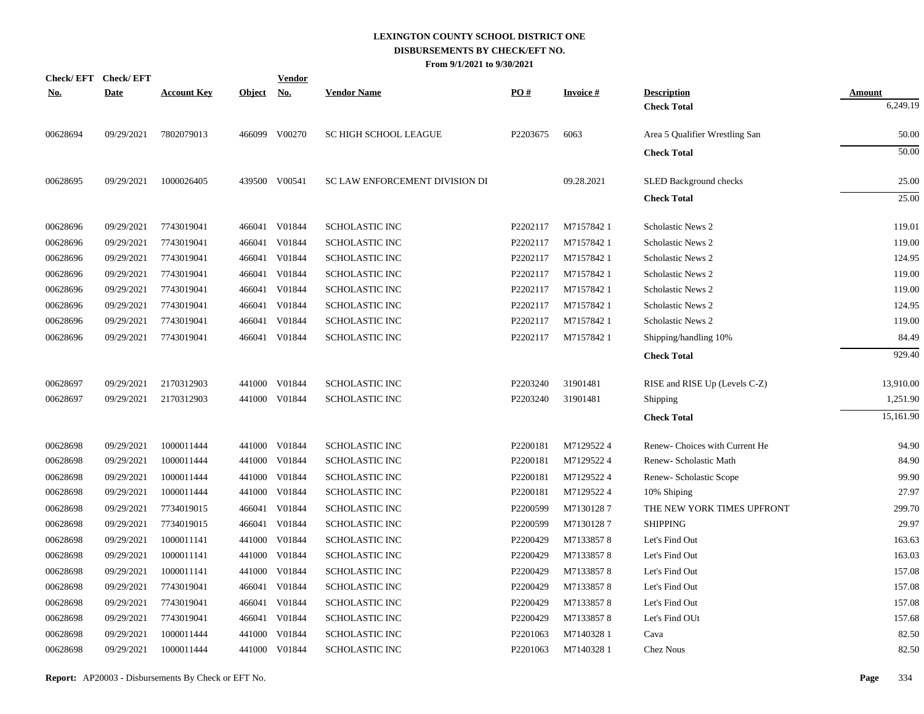|            | Check/EFT Check/EFT |                    |               | <b>Vendor</b> |                                |                      |                 |                                |               |
|------------|---------------------|--------------------|---------------|---------------|--------------------------------|----------------------|-----------------|--------------------------------|---------------|
| <u>No.</u> | <b>Date</b>         | <b>Account Key</b> | <u>Object</u> | <u>No.</u>    | <b>Vendor Name</b>             | PO#                  | <b>Invoice#</b> | <b>Description</b>             | <b>Amount</b> |
|            |                     |                    |               |               |                                |                      |                 | <b>Check Total</b>             | 6,249.19      |
| 00628694   | 09/29/2021          | 7802079013         |               | 466099 V00270 | <b>SC HIGH SCHOOL LEAGUE</b>   | P2203675             | 6063            | Area 5 Qualifier Wrestling San | 50.00         |
|            |                     |                    |               |               |                                |                      |                 | <b>Check Total</b>             | 50.00         |
| 00628695   | 09/29/2021          | 1000026405         |               | 439500 V00541 | SC LAW ENFORCEMENT DIVISION DI |                      | 09.28.2021      | <b>SLED Background checks</b>  | 25.00         |
|            |                     |                    |               |               |                                |                      |                 | <b>Check Total</b>             | 25.00         |
| 00628696   | 09/29/2021          | 7743019041         |               | 466041 V01844 | <b>SCHOLASTIC INC</b>          | P2202117             | M71578421       | Scholastic News 2              | 119.01        |
| 00628696   | 09/29/2021          | 7743019041         | 466041        | V01844        | <b>SCHOLASTIC INC</b>          | P2202117             | M71578421       | <b>Scholastic News 2</b>       | 119.00        |
| 00628696   | 09/29/2021          | 7743019041         | 466041        | V01844        | <b>SCHOLASTIC INC</b>          | P2202117             | M71578421       | Scholastic News 2              | 124.95        |
| 00628696   | 09/29/2021          | 7743019041         | 466041        | V01844        | <b>SCHOLASTIC INC</b>          | P2202117             | M71578421       | <b>Scholastic News 2</b>       | 119.00        |
| 00628696   | 09/29/2021          | 7743019041         | 466041        | V01844        | <b>SCHOLASTIC INC</b>          | P2202117             | M71578421       | <b>Scholastic News 2</b>       | 119.00        |
| 00628696   | 09/29/2021          | 7743019041         | 466041        | V01844        | <b>SCHOLASTIC INC</b>          | P2202117             | M71578421       | Scholastic News 2              | 124.95        |
| 00628696   | 09/29/2021          | 7743019041         | 466041        | V01844        | SCHOLASTIC INC                 | P2202117             | M71578421       | Scholastic News 2              | 119.00        |
| 00628696   | 09/29/2021          | 7743019041         |               | 466041 V01844 | <b>SCHOLASTIC INC</b>          | P2202117             | M71578421       | Shipping/handling 10%          | 84.49         |
|            |                     |                    |               |               |                                |                      |                 | <b>Check Total</b>             | 929.40        |
| 00628697   | 09/29/2021          | 2170312903         |               | 441000 V01844 | <b>SCHOLASTIC INC</b>          | P2203240             | 31901481        | RISE and RISE Up (Levels C-Z)  | 13,910.00     |
| 00628697   | 09/29/2021          | 2170312903         |               | 441000 V01844 | <b>SCHOLASTIC INC</b>          | P2203240             | 31901481        | <b>Shipping</b>                | 1,251.90      |
|            |                     |                    |               |               |                                |                      |                 | <b>Check Total</b>             | 15,161.90     |
| 00628698   | 09/29/2021          | 1000011444         |               | 441000 V01844 | <b>SCHOLASTIC INC</b>          | P2200181             | M71295224       | Renew-Choices with Current He  | 94.90         |
| 00628698   | 09/29/2021          | 1000011444         |               | 441000 V01844 | <b>SCHOLASTIC INC</b>          | P2200181             | M71295224       | Renew- Scholastic Math         | 84.90         |
| 00628698   | 09/29/2021          | 1000011444         | 441000        | V01844        | <b>SCHOLASTIC INC</b>          | P2200181             | M71295224       | Renew- Scholastic Scope        | 99.90         |
| 00628698   | 09/29/2021          | 1000011444         |               | 441000 V01844 | <b>SCHOLASTIC INC</b>          | P2200181             | M71295224       | 10% Shiping                    | 27.97         |
| 00628698   | 09/29/2021          | 7734019015         | 466041        | V01844        | <b>SCHOLASTIC INC</b>          | P2200599             | M71301287       | THE NEW YORK TIMES UPFRONT     | 299.70        |
| 00628698   | 09/29/2021          | 7734019015         |               | 466041 V01844 | <b>SCHOLASTIC INC</b>          | P2200599             | M71301287       | <b>SHIPPING</b>                | 29.97         |
| 00628698   | 09/29/2021          | 1000011141         | 441000        | V01844        | <b>SCHOLASTIC INC</b>          | P2200429             | M71338578       | Let's Find Out                 | 163.63        |
| 00628698   | 09/29/2021          | 1000011141         | 441000        | V01844        | <b>SCHOLASTIC INC</b>          | P2200429             | M71338578       | Let's Find Out                 | 163.03        |
| 00628698   | 09/29/2021          | 1000011141         | 441000        | V01844        | <b>SCHOLASTIC INC</b>          | P2200429             | M71338578       | Let's Find Out                 | 157.08        |
| 00628698   | 09/29/2021          | 7743019041         | 466041        | V01844        | <b>SCHOLASTIC INC</b>          | P2200429             | M71338578       | Let's Find Out                 | 157.08        |
| 00628698   | 09/29/2021          | 7743019041         | 466041        | V01844        | <b>SCHOLASTIC INC</b>          | P2200429             | M71338578       | Let's Find Out                 | 157.08        |
| 00628698   | 09/29/2021          | 7743019041         |               | 466041 V01844 | SCHOLASTIC INC                 | P2200429             | M71338578       | Let's Find OUt                 | 157.68        |
| 00628698   | 09/29/2021          | 1000011444         | 441000        | V01844        | <b>SCHOLASTIC INC</b>          | P <sub>2201063</sub> | M71403281       | Cava                           | 82.50         |
| 00628698   | 09/29/2021          | 1000011444         |               | 441000 V01844 | <b>SCHOLASTIC INC</b>          | P2201063             | M71403281       | <b>Chez Nous</b>               | 82.50         |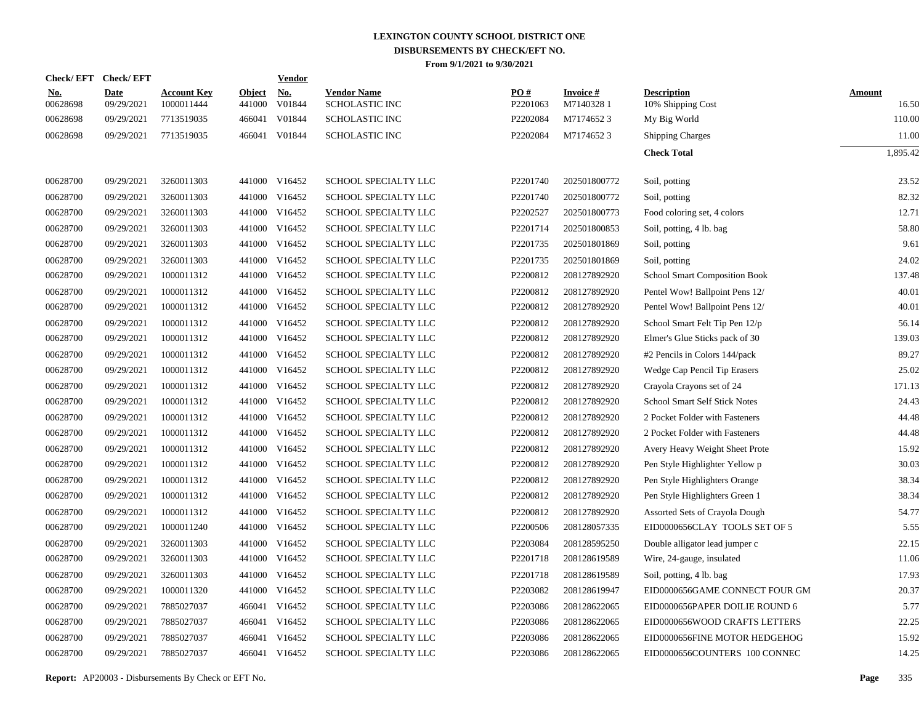|                        | Check/EFT Check/EFT       |                                  |                         | <b>Vendor</b>        |                                              |                      |                              |                                         |                        |
|------------------------|---------------------------|----------------------------------|-------------------------|----------------------|----------------------------------------------|----------------------|------------------------------|-----------------------------------------|------------------------|
| <u>No.</u><br>00628698 | <b>Date</b><br>09/29/2021 | <b>Account Key</b><br>1000011444 | <b>Object</b><br>441000 | <u>No.</u><br>V01844 | <b>Vendor Name</b><br><b>SCHOLASTIC INC</b>  | PO#<br>P2201063      | <b>Invoice#</b><br>M71403281 | <b>Description</b><br>10% Shipping Cost | <b>Amount</b><br>16.50 |
| 00628698               | 09/29/2021                | 7713519035                       | 466041                  | V01844               | <b>SCHOLASTIC INC</b>                        | P2202084             | M71746523                    | My Big World                            | 110.00                 |
| 00628698               | 09/29/2021                | 7713519035                       |                         | 466041 V01844        | <b>SCHOLASTIC INC</b>                        | P2202084             | M71746523                    | <b>Shipping Charges</b>                 | 11.00                  |
|                        |                           |                                  |                         |                      |                                              |                      |                              | <b>Check Total</b>                      | 1,895.42               |
| 00628700               | 09/29/2021                | 3260011303                       |                         | 441000 V16452        | SCHOOL SPECIALTY LLC                         | P2201740             | 202501800772                 | Soil, potting                           | 23.52                  |
| 00628700               | 09/29/2021                | 3260011303                       | 441000                  | V16452               | SCHOOL SPECIALTY LLC                         | P2201740             | 202501800772                 | Soil, potting                           | 82.32                  |
| 00628700               | 09/29/2021                | 3260011303                       | 441000                  | V16452               | SCHOOL SPECIALTY LLC                         | P2202527             | 202501800773                 | Food coloring set, 4 colors             | 12.71                  |
|                        |                           | 3260011303                       |                         | V16452               |                                              |                      |                              |                                         | 58.80                  |
| 00628700<br>00628700   | 09/29/2021<br>09/29/2021  | 3260011303                       | 441000<br>441000        | V16452               | SCHOOL SPECIALTY LLC<br>SCHOOL SPECIALTY LLC | P2201714<br>P2201735 | 202501800853<br>202501801869 | Soil, potting, 4 lb. bag                | 9.61                   |
|                        |                           |                                  |                         |                      |                                              |                      |                              | Soil, potting                           |                        |
| 00628700               | 09/29/2021                | 3260011303                       | 441000                  | V16452               | SCHOOL SPECIALTY LLC                         | P2201735             | 202501801869                 | Soil, potting                           | 24.02                  |
| 00628700               | 09/29/2021                | 1000011312                       | 441000                  | V16452               | SCHOOL SPECIALTY LLC                         | P2200812             | 208127892920                 | School Smart Composition Book           | 137.48                 |
| 00628700               | 09/29/2021                | 1000011312                       | 441000                  | V16452               | SCHOOL SPECIALTY LLC                         | P2200812             | 208127892920                 | Pentel Wow! Ballpoint Pens 12/          | 40.01                  |
| 00628700               | 09/29/2021                | 1000011312                       | 441000                  | V16452               | SCHOOL SPECIALTY LLC                         | P2200812             | 208127892920                 | Pentel Wow! Ballpoint Pens 12/          | 40.01                  |
| 00628700               | 09/29/2021                | 1000011312                       | 441000                  | V16452               | SCHOOL SPECIALTY LLC                         | P2200812             | 208127892920                 | School Smart Felt Tip Pen 12/p          | 56.14                  |
| 00628700               | 09/29/2021                | 1000011312                       | 441000                  | V16452               | SCHOOL SPECIALTY LLC                         | P2200812             | 208127892920                 | Elmer's Glue Sticks pack of 30          | 139.03                 |
| 00628700               | 09/29/2021                | 1000011312                       | 441000                  | V16452               | SCHOOL SPECIALTY LLC                         | P2200812             | 208127892920                 | #2 Pencils in Colors 144/pack           | 89.27                  |
| 00628700               | 09/29/2021                | 1000011312                       | 441000                  | V16452               | SCHOOL SPECIALTY LLC                         | P2200812             | 208127892920                 | Wedge Cap Pencil Tip Erasers            | 25.02                  |
| 00628700               | 09/29/2021                | 1000011312                       | 441000                  | V16452               | SCHOOL SPECIALTY LLC                         | P2200812             | 208127892920                 | Crayola Crayons set of 24               | 171.13                 |
| 00628700               | 09/29/2021                | 1000011312                       | 441000                  | V16452               | SCHOOL SPECIALTY LLC                         | P2200812             | 208127892920                 | <b>School Smart Self Stick Notes</b>    | 24.43                  |
| 00628700               | 09/29/2021                | 1000011312                       | 441000                  | V16452               | SCHOOL SPECIALTY LLC                         | P2200812             | 208127892920                 | 2 Pocket Folder with Fasteners          | 44.48                  |
| 00628700               | 09/29/2021                | 1000011312                       | 441000                  | V16452               | SCHOOL SPECIALTY LLC                         | P2200812             | 208127892920                 | 2 Pocket Folder with Fasteners          | 44.48                  |
| 00628700               | 09/29/2021                | 1000011312                       | 441000                  | V16452               | SCHOOL SPECIALTY LLC                         | P2200812             | 208127892920                 | Avery Heavy Weight Sheet Prote          | 15.92                  |
| 00628700               | 09/29/2021                | 1000011312                       | 441000                  | V16452               | SCHOOL SPECIALTY LLC                         | P2200812             | 208127892920                 | Pen Style Highlighter Yellow p          | 30.03                  |
| 00628700               | 09/29/2021                | 1000011312                       | 441000                  | V16452               | SCHOOL SPECIALTY LLC                         | P2200812             | 208127892920                 | Pen Style Highlighters Orange           | 38.34                  |
| 00628700               | 09/29/2021                | 1000011312                       |                         | 441000 V16452        | SCHOOL SPECIALTY LLC                         | P2200812             | 208127892920                 | Pen Style Highlighters Green 1          | 38.34                  |
| 00628700               | 09/29/2021                | 1000011312                       | 441000                  | V16452               | SCHOOL SPECIALTY LLC                         | P2200812             | 208127892920                 | Assorted Sets of Crayola Dough          | 54.77                  |
| 00628700               | 09/29/2021                | 1000011240                       |                         | 441000 V16452        | <b>SCHOOL SPECIALTY LLC</b>                  | P2200506             | 208128057335                 | EID0000656CLAY TOOLS SET OF 5           | 5.55                   |
| 00628700               | 09/29/2021                | 3260011303                       | 441000                  | V16452               | <b>SCHOOL SPECIALTY LLC</b>                  | P2203084             | 208128595250                 | Double alligator lead jumper c          | 22.15                  |
| 00628700               | 09/29/2021                | 3260011303                       |                         | 441000 V16452        | SCHOOL SPECIALTY LLC                         | P2201718             | 208128619589                 | Wire, 24-gauge, insulated               | 11.06                  |
| 00628700               | 09/29/2021                | 3260011303                       | 441000                  | V16452               | <b>SCHOOL SPECIALTY LLC</b>                  | P2201718             | 208128619589                 | Soil, potting, 4 lb. bag                | 17.93                  |
| 00628700               | 09/29/2021                | 1000011320                       |                         | 441000 V16452        | SCHOOL SPECIALTY LLC                         | P2203082             | 208128619947                 | EID0000656GAME CONNECT FOUR GM          | 20.37                  |
| 00628700               | 09/29/2021                | 7885027037                       | 466041                  | V16452               | SCHOOL SPECIALTY LLC                         | P2203086             | 208128622065                 | EID0000656PAPER DOILIE ROUND 6          | 5.77                   |
| 00628700               | 09/29/2021                | 7885027037                       |                         | 466041 V16452        | SCHOOL SPECIALTY LLC                         | P2203086             | 208128622065                 | EID0000656WOOD CRAFTS LETTERS           | 22.25                  |
| 00628700               | 09/29/2021                | 7885027037                       | 466041                  | V16452               | <b>SCHOOL SPECIALTY LLC</b>                  | P2203086             | 208128622065                 | EID0000656FINE MOTOR HEDGEHOG           | 15.92                  |
| 00628700               | 09/29/2021                | 7885027037                       |                         | 466041 V16452        | <b>SCHOOL SPECIALTY LLC</b>                  | P2203086             | 208128622065                 | EID0000656COUNTERS 100 CONNEC           | 14.25                  |
|                        |                           |                                  |                         |                      |                                              |                      |                              |                                         |                        |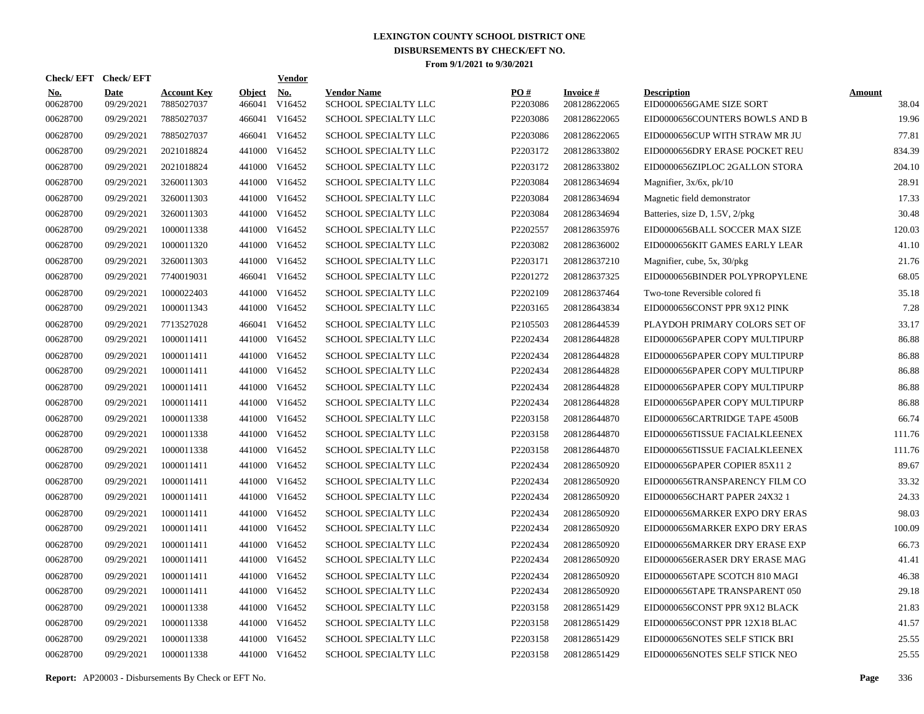| Check/ EFT             | <b>Check/EFT</b>          |                                  |                         | <b>Vendor</b>        |                                            |                 |                                 |                                                |                        |
|------------------------|---------------------------|----------------------------------|-------------------------|----------------------|--------------------------------------------|-----------------|---------------------------------|------------------------------------------------|------------------------|
| <u>No.</u><br>00628700 | <b>Date</b><br>09/29/2021 | <b>Account Key</b><br>7885027037 | <b>Object</b><br>466041 | <u>No.</u><br>V16452 | <b>Vendor Name</b><br>SCHOOL SPECIALTY LLC | PO#<br>P2203086 | <b>Invoice#</b><br>208128622065 | <b>Description</b><br>EID0000656GAME SIZE SORT | <b>Amount</b><br>38.04 |
| 00628700               | 09/29/2021                | 7885027037                       | 466041                  | V16452               | <b>SCHOOL SPECIALTY LLC</b>                | P2203086        | 208128622065                    | EID0000656COUNTERS BOWLS AND B                 | 19.96                  |
| 00628700               | 09/29/2021                | 7885027037                       | 466041                  | V16452               | SCHOOL SPECIALTY LLC                       | P2203086        | 208128622065                    | EID0000656CUP WITH STRAW MR JU                 | 77.81                  |
| 00628700               | 09/29/2021                | 2021018824                       | 441000                  | V16452               | <b>SCHOOL SPECIALTY LLC</b>                | P2203172        | 208128633802                    | EID0000656DRY ERASE POCKET REU                 | 834.39                 |
| 00628700               | 09/29/2021                | 2021018824                       | 441000                  | V16452               | <b>SCHOOL SPECIALTY LLC</b>                | P2203172        | 208128633802                    | EID0000656ZIPLOC 2GALLON STORA                 | 204.10                 |
| 00628700               | 09/29/2021                | 3260011303                       | 441000                  | V16452               | <b>SCHOOL SPECIALTY LLC</b>                | P2203084        | 208128634694                    | Magnifier, $3x/6x$ , $pk/10$                   | 28.91                  |
| 00628700               | 09/29/2021                | 3260011303                       | 441000                  | V16452               | <b>SCHOOL SPECIALTY LLC</b>                | P2203084        | 208128634694                    | Magnetic field demonstrator                    | 17.33                  |
| 00628700               | 09/29/2021                | 3260011303                       | 441000                  | V16452               | <b>SCHOOL SPECIALTY LLC</b>                | P2203084        | 208128634694                    | Batteries, size D, 1.5V, 2/pkg                 | 30.48                  |
| 00628700               | 09/29/2021                | 1000011338                       | 441000                  | V16452               | <b>SCHOOL SPECIALTY LLC</b>                | P2202557        | 208128635976                    | EID0000656BALL SOCCER MAX SIZE                 | 120.03                 |
| 00628700               | 09/29/2021                | 1000011320                       |                         | 441000 V16452        | SCHOOL SPECIALTY LLC                       | P2203082        | 208128636002                    | EID0000656KIT GAMES EARLY LEAR                 | 41.10                  |
| 00628700               | 09/29/2021                | 3260011303                       | 441000                  | V16452               | SCHOOL SPECIALTY LLC                       | P2203171        | 208128637210                    | Magnifier, cube, 5x, 30/pkg                    | 21.76                  |
| 00628700               | 09/29/2021                | 7740019031                       |                         | 466041 V16452        | SCHOOL SPECIALTY LLC                       | P2201272        | 208128637325                    | EID0000656BINDER POLYPROPYLENE                 | 68.05                  |
| 00628700               | 09/29/2021                | 1000022403                       | 441000                  | V16452               | SCHOOL SPECIALTY LLC                       | P2202109        | 208128637464                    | Two-tone Reversible colored fi                 | 35.18                  |
| 00628700               | 09/29/2021                | 1000011343                       | 441000                  | V16452               | SCHOOL SPECIALTY LLC                       | P2203165        | 208128643834                    | EID0000656CONST PPR 9X12 PINK                  | 7.28                   |
| 00628700               | 09/29/2021                | 7713527028                       |                         | 466041 V16452        | SCHOOL SPECIALTY LLC                       | P2105503        | 208128644539                    | PLAYDOH PRIMARY COLORS SET OF                  | 33.17                  |
| 00628700               | 09/29/2021                | 1000011411                       | 441000                  | V16452               | <b>SCHOOL SPECIALTY LLC</b>                | P2202434        | 208128644828                    | EID0000656PAPER COPY MULTIPURP                 | 86.88                  |
| 00628700               | 09/29/2021                | 1000011411                       | 441000                  | V16452               | <b>SCHOOL SPECIALTY LLC</b>                | P2202434        | 208128644828                    | EID0000656PAPER COPY MULTIPURP                 | 86.88                  |
| 00628700               | 09/29/2021                | 1000011411                       |                         | 441000 V16452        | <b>SCHOOL SPECIALTY LLC</b>                | P2202434        | 208128644828                    | EID0000656PAPER COPY MULTIPURP                 | 86.88                  |
| 00628700               | 09/29/2021                | 1000011411                       | 441000                  | V16452               | <b>SCHOOL SPECIALTY LLC</b>                | P2202434        | 208128644828                    | EID0000656PAPER COPY MULTIPURP                 | 86.88                  |
| 00628700               | 09/29/2021                | 1000011411                       |                         | 441000 V16452        | SCHOOL SPECIALTY LLC                       | P2202434        | 208128644828                    | EID0000656PAPER COPY MULTIPURP                 | 86.88                  |
| 00628700               | 09/29/2021                | 1000011338                       | 441000                  | V16452               | <b>SCHOOL SPECIALTY LLC</b>                | P2203158        | 208128644870                    | EID0000656CARTRIDGE TAPE 4500B                 | 66.74                  |
| 00628700               | 09/29/2021                | 1000011338                       |                         | 441000 V16452        | SCHOOL SPECIALTY LLC                       | P2203158        | 208128644870                    | EID0000656TISSUE FACIALKLEENEX                 | 111.76                 |
| 00628700               | 09/29/2021                | 1000011338                       | 441000                  | V16452               | <b>SCHOOL SPECIALTY LLC</b>                | P2203158        | 208128644870                    | EID0000656TISSUE FACIALKLEENEX                 | 111.76                 |
| 00628700               | 09/29/2021                | 1000011411                       |                         | 441000 V16452        | SCHOOL SPECIALTY LLC                       | P2202434        | 208128650920                    | EID0000656PAPER COPIER 85X11 2                 | 89.67                  |
| 00628700               | 09/29/2021                | 1000011411                       | 441000                  | V16452               | SCHOOL SPECIALTY LLC                       | P2202434        | 208128650920                    | EID0000656TRANSPARENCY FILM CO                 | 33.32                  |
| 00628700               | 09/29/2021                | 1000011411                       |                         | 441000 V16452        | <b>SCHOOL SPECIALTY LLC</b>                | P2202434        | 208128650920                    | EID0000656CHART PAPER 24X32 1                  | 24.33                  |
| 00628700               | 09/29/2021                | 1000011411                       | 441000                  | V16452               | <b>SCHOOL SPECIALTY LLC</b>                | P2202434        | 208128650920                    | EID0000656MARKER EXPO DRY ERAS                 | 98.03                  |
| 00628700               | 09/29/2021                | 1000011411                       |                         | 441000 V16452        | <b>SCHOOL SPECIALTY LLC</b>                | P2202434        | 208128650920                    | EID0000656MARKER EXPO DRY ERAS                 | 100.09                 |
| 00628700               | 09/29/2021                | 1000011411                       | 441000                  | V16452               | <b>SCHOOL SPECIALTY LLC</b>                | P2202434        | 208128650920                    | EID0000656MARKER DRY ERASE EXP                 | 66.73                  |
| 00628700               | 09/29/2021                | 1000011411                       |                         | 441000 V16452        | <b>SCHOOL SPECIALTY LLC</b>                | P2202434        | 208128650920                    | EID0000656ERASER DRY ERASE MAG                 | 41.41                  |
| 00628700               | 09/29/2021                | 1000011411                       | 441000                  | V16452               | <b>SCHOOL SPECIALTY LLC</b>                | P2202434        | 208128650920                    | EID0000656TAPE SCOTCH 810 MAGI                 | 46.38                  |
| 00628700               | 09/29/2021                | 1000011411                       |                         | 441000 V16452        | SCHOOL SPECIALTY LLC                       | P2202434        | 208128650920                    | EID0000656TAPE TRANSPARENT 050                 | 29.18                  |
| 00628700               | 09/29/2021                | 1000011338                       | 441000                  | V16452               | <b>SCHOOL SPECIALTY LLC</b>                | P2203158        | 208128651429                    | EID0000656CONST PPR 9X12 BLACK                 | 21.83                  |
| 00628700               | 09/29/2021                | 1000011338                       |                         | 441000 V16452        | SCHOOL SPECIALTY LLC                       | P2203158        | 208128651429                    | EID0000656CONST PPR 12X18 BLAC                 | 41.57                  |
| 00628700               | 09/29/2021                | 1000011338                       | 441000                  | V16452               | <b>SCHOOL SPECIALTY LLC</b>                | P2203158        | 208128651429                    | EID0000656NOTES SELF STICK BRI                 | 25.55                  |
| 00628700               | 09/29/2021                | 1000011338                       |                         | 441000 V16452        | <b>SCHOOL SPECIALTY LLC</b>                | P2203158        | 208128651429                    | EID0000656NOTES SELF STICK NEO                 | 25.55                  |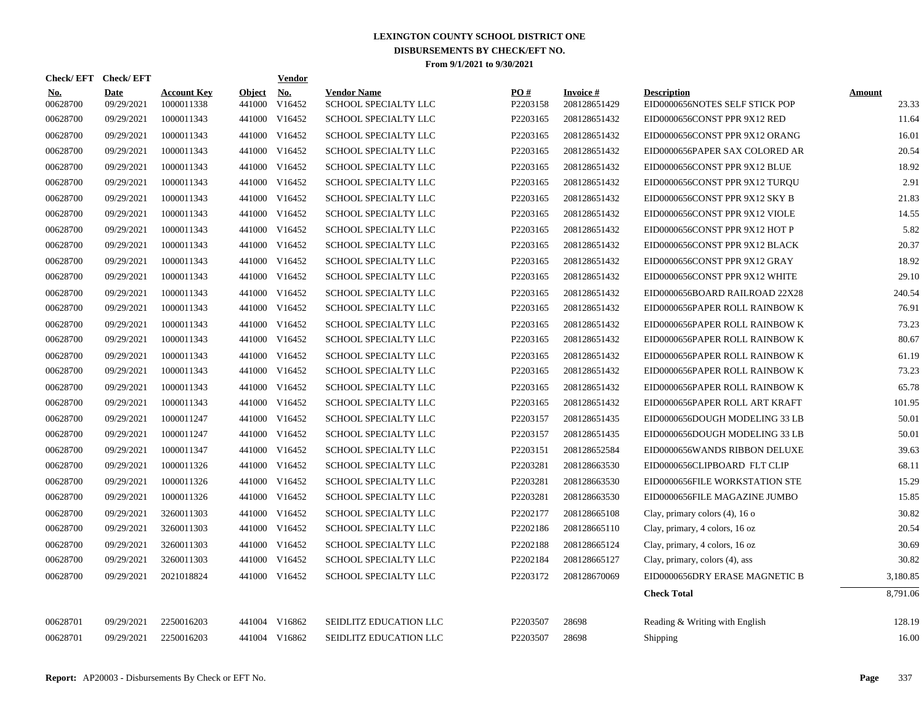|                        | Check/EFT Check/EFT       |                                  |                      | <b>Vendor</b> |                                            |                 |                                 |                                                      |                        |
|------------------------|---------------------------|----------------------------------|----------------------|---------------|--------------------------------------------|-----------------|---------------------------------|------------------------------------------------------|------------------------|
| <u>No.</u><br>00628700 | <b>Date</b><br>09/29/2021 | <b>Account Key</b><br>1000011338 | Object No.<br>441000 | V16452        | <b>Vendor Name</b><br>SCHOOL SPECIALTY LLC | PO#<br>P2203158 | <b>Invoice#</b><br>208128651429 | <b>Description</b><br>EID0000656NOTES SELF STICK POP | <b>Amount</b><br>23.33 |
| 00628700               | 09/29/2021                | 1000011343                       | 441000               | V16452        | SCHOOL SPECIALTY LLC                       | P2203165        | 208128651432                    | EID0000656CONST PPR 9X12 RED                         | 11.64                  |
| 00628700               | 09/29/2021                | 1000011343                       | 441000               | V16452        | SCHOOL SPECIALTY LLC                       | P2203165        | 208128651432                    | EID0000656CONST PPR 9X12 ORANG                       | 16.01                  |
| 00628700               | 09/29/2021                | 1000011343                       |                      | 441000 V16452 | SCHOOL SPECIALTY LLC                       | P2203165        | 208128651432                    | EID0000656PAPER SAX COLORED AR                       | 20.54                  |
| 00628700               | 09/29/2021                | 1000011343                       |                      | 441000 V16452 | SCHOOL SPECIALTY LLC                       | P2203165        | 208128651432                    | EID0000656CONST PPR 9X12 BLUE                        | 18.92                  |
| 00628700               | 09/29/2021                | 1000011343                       |                      | 441000 V16452 | <b>SCHOOL SPECIALTY LLC</b>                | P2203165        | 208128651432                    | EID0000656CONST PPR 9X12 TUROU                       | 2.91                   |
| 00628700               | 09/29/2021                | 1000011343                       |                      | 441000 V16452 | SCHOOL SPECIALTY LLC                       | P2203165        | 208128651432                    | EID0000656CONST PPR 9X12 SKY B                       | 21.83                  |
| 00628700               | 09/29/2021                | 1000011343                       |                      | 441000 V16452 | SCHOOL SPECIALTY LLC                       | P2203165        | 208128651432                    | EID0000656CONST PPR 9X12 VIOLE                       | 14.55                  |
| 00628700               | 09/29/2021                | 1000011343                       | 441000               | V16452        | SCHOOL SPECIALTY LLC                       | P2203165        | 208128651432                    | EID0000656CONST PPR 9X12 HOT P                       | 5.82                   |
| 00628700               | 09/29/2021                | 1000011343                       |                      | 441000 V16452 | SCHOOL SPECIALTY LLC                       | P2203165        | 208128651432                    | EID0000656CONST PPR 9X12 BLACK                       | 20.37                  |
| 00628700               | 09/29/2021                | 1000011343                       | 441000               | V16452        | SCHOOL SPECIALTY LLC                       | P2203165        | 208128651432                    | EID0000656CONST PPR 9X12 GRAY                        | 18.92                  |
| 00628700               | 09/29/2021                | 1000011343                       |                      | 441000 V16452 | SCHOOL SPECIALTY LLC                       | P2203165        | 208128651432                    | EID0000656CONST PPR 9X12 WHITE                       | 29.10                  |
| 00628700               | 09/29/2021                | 1000011343                       | 441000               | V16452        | SCHOOL SPECIALTY LLC                       | P2203165        | 208128651432                    | EID0000656BOARD RAILROAD 22X28                       | 240.54                 |
| 00628700               | 09/29/2021                | 1000011343                       | 441000               | V16452        | <b>SCHOOL SPECIALTY LLC</b>                | P2203165        | 208128651432                    | EID0000656PAPER ROLL RAINBOW K                       | 76.91                  |
| 00628700               | 09/29/2021                | 1000011343                       | 441000               | V16452        | SCHOOL SPECIALTY LLC                       | P2203165        | 208128651432                    | EID0000656PAPER ROLL RAINBOW K                       | 73.23                  |
| 00628700               | 09/29/2021                | 1000011343                       | 441000               | V16452        | SCHOOL SPECIALTY LLC                       | P2203165        | 208128651432                    | EID0000656PAPER ROLL RAINBOW K                       | 80.67                  |
| 00628700               | 09/29/2021                | 1000011343                       |                      | 441000 V16452 | <b>SCHOOL SPECIALTY LLC</b>                | P2203165        | 208128651432                    | EID0000656PAPER ROLL RAINBOW K                       | 61.19                  |
| 00628700               | 09/29/2021                | 1000011343                       |                      | 441000 V16452 | SCHOOL SPECIALTY LLC                       | P2203165        | 208128651432                    | EID0000656PAPER ROLL RAINBOW K                       | 73.23                  |
| 00628700               | 09/29/2021                | 1000011343                       |                      | 441000 V16452 | SCHOOL SPECIALTY LLC                       | P2203165        | 208128651432                    | EID0000656PAPER ROLL RAINBOW K                       | 65.78                  |
| 00628700               | 09/29/2021                | 1000011343                       |                      | 441000 V16452 | SCHOOL SPECIALTY LLC                       | P2203165        | 208128651432                    | EID0000656PAPER ROLL ART KRAFT                       | 101.95                 |
| 00628700               | 09/29/2021                | 1000011247                       | 441000               | V16452        | SCHOOL SPECIALTY LLC                       | P2203157        | 208128651435                    | EID0000656DOUGH MODELING 33 LB                       | 50.01                  |
| 00628700               | 09/29/2021                | 1000011247                       | 441000               | V16452        | <b>SCHOOL SPECIALTY LLC</b>                | P2203157        | 208128651435                    | EID0000656DOUGH MODELING 33 LB                       | 50.01                  |
| 00628700               | 09/29/2021                | 1000011347                       |                      | 441000 V16452 | SCHOOL SPECIALTY LLC                       | P2203151        | 208128652584                    | EID0000656WANDS RIBBON DELUXE                        | 39.63                  |
| 00628700               | 09/29/2021                | 1000011326                       | 441000               | V16452        | SCHOOL SPECIALTY LLC                       | P2203281        | 208128663530                    | EID0000656CLIPBOARD FLT CLIP                         | 68.11                  |
| 00628700               | 09/29/2021                | 1000011326                       |                      | 441000 V16452 | <b>SCHOOL SPECIALTY LLC</b>                | P2203281        | 208128663530                    | EID0000656FILE WORKSTATION STE                       | 15.29                  |
| 00628700               | 09/29/2021                | 1000011326                       |                      | 441000 V16452 | SCHOOL SPECIALTY LLC                       | P2203281        | 208128663530                    | EID0000656FILE MAGAZINE JUMBO                        | 15.85                  |
| 00628700               | 09/29/2021                | 3260011303                       |                      | 441000 V16452 | <b>SCHOOL SPECIALTY LLC</b>                | P2202177        | 208128665108                    | Clay, primary colors (4), 16 o                       | 30.82                  |
| 00628700               | 09/29/2021                | 3260011303                       |                      | 441000 V16452 | SCHOOL SPECIALTY LLC                       | P2202186        | 208128665110                    | Clay, primary, 4 colors, 16 oz                       | 20.54                  |
| 00628700               | 09/29/2021                | 3260011303                       |                      | 441000 V16452 | SCHOOL SPECIALTY LLC                       | P2202188        | 208128665124                    | Clay, primary, 4 colors, 16 oz                       | 30.69                  |
| 00628700               | 09/29/2021                | 3260011303                       |                      | 441000 V16452 | <b>SCHOOL SPECIALTY LLC</b>                | P2202184        | 208128665127                    | Clay, primary, colors (4), ass                       | 30.82                  |
| 00628700               | 09/29/2021                | 2021018824                       |                      | 441000 V16452 | SCHOOL SPECIALTY LLC                       | P2203172        | 208128670069                    | EID0000656DRY ERASE MAGNETIC B                       | 3,180.85               |
|                        |                           |                                  |                      |               |                                            |                 |                                 | <b>Check Total</b>                                   | 8,791.06               |
| 00628701               | 09/29/2021                | 2250016203                       |                      | 441004 V16862 | SEIDLITZ EDUCATION LLC                     | P2203507        | 28698                           | Reading & Writing with English                       | 128.19                 |
| 00628701               | 09/29/2021                | 2250016203                       |                      | 441004 V16862 | SEIDLITZ EDUCATION LLC                     | P2203507        | 28698                           | Shipping                                             | 16.00                  |
|                        |                           |                                  |                      |               |                                            |                 |                                 |                                                      |                        |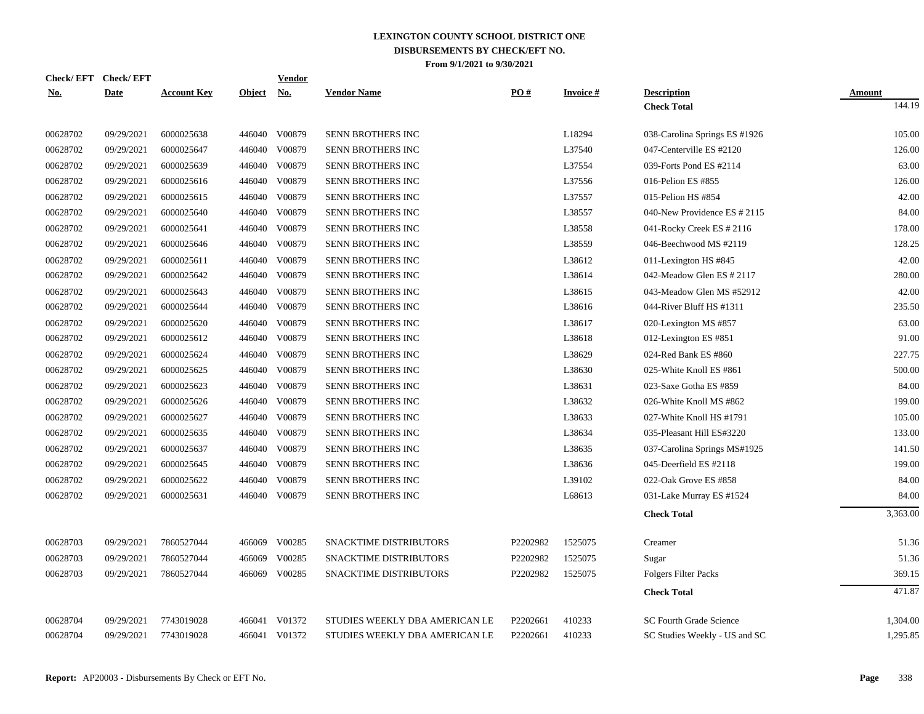|            | Check/EFT Check/EFT |                    |               | Vendor        |                                |          |                    |                                |               |
|------------|---------------------|--------------------|---------------|---------------|--------------------------------|----------|--------------------|--------------------------------|---------------|
| <b>No.</b> | <b>Date</b>         | <b>Account Key</b> | <b>Object</b> | <u>No.</u>    | <b>Vendor Name</b>             | PO#      | <b>Invoice</b> $#$ | <b>Description</b>             | <b>Amount</b> |
|            |                     |                    |               |               |                                |          |                    | <b>Check Total</b>             | 144.19        |
| 00628702   | 09/29/2021          | 6000025638         |               | 446040 V00879 | SENN BROTHERS INC              |          | L18294             | 038-Carolina Springs ES #1926  | 105.00        |
| 00628702   | 09/29/2021          | 6000025647         | 446040        | V00879        | SENN BROTHERS INC              |          | L37540             | 047-Centerville ES #2120       | 126.00        |
| 00628702   | 09/29/2021          | 6000025639         | 446040        | V00879        | SENN BROTHERS INC              |          | L37554             | 039-Forts Pond ES #2114        | 63.00         |
| 00628702   | 09/29/2021          | 6000025616         | 446040        | V00879        | SENN BROTHERS INC              |          | L37556             | 016-Pelion ES #855             | 126.00        |
| 00628702   | 09/29/2021          | 6000025615         | 446040        | V00879        | SENN BROTHERS INC              |          | L37557             | 015-Pelion HS #854             | 42.00         |
| 00628702   | 09/29/2021          | 6000025640         | 446040        | V00879        | SENN BROTHERS INC              |          | L38557             | 040-New Providence ES # 2115   | 84.00         |
| 00628702   | 09/29/2021          | 6000025641         | 446040        | V00879        | SENN BROTHERS INC              |          | L38558             | 041-Rocky Creek ES # 2116      | 178.00        |
| 00628702   | 09/29/2021          | 6000025646         | 446040        | V00879        | SENN BROTHERS INC              |          | L38559             | 046-Beechwood MS #2119         | 128.25        |
| 00628702   | 09/29/2021          | 6000025611         | 446040        | V00879        | SENN BROTHERS INC              |          | L38612             | 011-Lexington HS #845          | 42.00         |
| 00628702   | 09/29/2021          | 6000025642         | 446040        | V00879        | SENN BROTHERS INC              |          | L38614             | 042-Meadow Glen ES # 2117      | 280.00        |
| 00628702   | 09/29/2021          | 6000025643         | 446040        | V00879        | SENN BROTHERS INC              |          | L38615             | 043-Meadow Glen MS #52912      | 42.00         |
| 00628702   | 09/29/2021          | 6000025644         | 446040        | V00879        | <b>SENN BROTHERS INC</b>       |          | L38616             | 044-River Bluff HS #1311       | 235.50        |
| 00628702   | 09/29/2021          | 6000025620         |               | 446040 V00879 | SENN BROTHERS INC              |          | L38617             | 020-Lexington MS #857          | 63.00         |
| 00628702   | 09/29/2021          | 6000025612         | 446040        | V00879        | SENN BROTHERS INC              |          | L38618             | 012-Lexington ES #851          | 91.00         |
| 00628702   | 09/29/2021          | 6000025624         |               | 446040 V00879 | SENN BROTHERS INC              |          | L38629             | 024-Red Bank ES #860           | 227.75        |
| 00628702   | 09/29/2021          | 6000025625         |               | 446040 V00879 | SENN BROTHERS INC              |          | L38630             | 025-White Knoll ES #861        | 500.00        |
| 00628702   | 09/29/2021          | 6000025623         |               | 446040 V00879 | SENN BROTHERS INC              |          | L38631             | 023-Saxe Gotha ES #859         | 84.00         |
| 00628702   | 09/29/2021          | 6000025626         |               | 446040 V00879 | SENN BROTHERS INC              |          | L38632             | 026-White Knoll MS #862        | 199.00        |
| 00628702   | 09/29/2021          | 6000025627         |               | 446040 V00879 | SENN BROTHERS INC              |          | L38633             | 027-White Knoll HS #1791       | 105.00        |
| 00628702   | 09/29/2021          | 6000025635         |               | 446040 V00879 | SENN BROTHERS INC              |          | L38634             | 035-Pleasant Hill ES#3220      | 133.00        |
| 00628702   | 09/29/2021          | 6000025637         | 446040        | V00879        | SENN BROTHERS INC              |          | L38635             | 037-Carolina Springs MS#1925   | 141.50        |
| 00628702   | 09/29/2021          | 6000025645         |               | 446040 V00879 | SENN BROTHERS INC              |          | L38636             | 045-Deerfield ES #2118         | 199.00        |
| 00628702   | 09/29/2021          | 6000025622         | 446040        | V00879        | SENN BROTHERS INC              |          | L39102             | 022-Oak Grove ES #858          | 84.00         |
| 00628702   | 09/29/2021          | 6000025631         |               | 446040 V00879 | SENN BROTHERS INC              |          | L68613             | 031-Lake Murray ES #1524       | 84.00         |
|            |                     |                    |               |               |                                |          |                    | <b>Check Total</b>             | 3,363.00      |
| 00628703   | 09/29/2021          | 7860527044         |               | 466069 V00285 | SNACKTIME DISTRIBUTORS         | P2202982 | 1525075            | Creamer                        | 51.36         |
| 00628703   | 09/29/2021          | 7860527044         | 466069        | V00285        | SNACKTIME DISTRIBUTORS         | P2202982 | 1525075            | Sugar                          | 51.36         |
| 00628703   | 09/29/2021          | 7860527044         | 466069        | V00285        | SNACKTIME DISTRIBUTORS         | P2202982 | 1525075            | <b>Folgers Filter Packs</b>    | 369.15        |
|            |                     |                    |               |               |                                |          |                    | <b>Check Total</b>             | 471.87        |
| 00628704   | 09/29/2021          | 7743019028         | 466041        | V01372        | STUDIES WEEKLY DBA AMERICAN LE | P2202661 | 410233             | <b>SC Fourth Grade Science</b> | 1,304.00      |
| 00628704   | 09/29/2021          | 7743019028         |               | 466041 V01372 | STUDIES WEEKLY DBA AMERICAN LE | P2202661 | 410233             | SC Studies Weekly - US and SC  | 1,295.85      |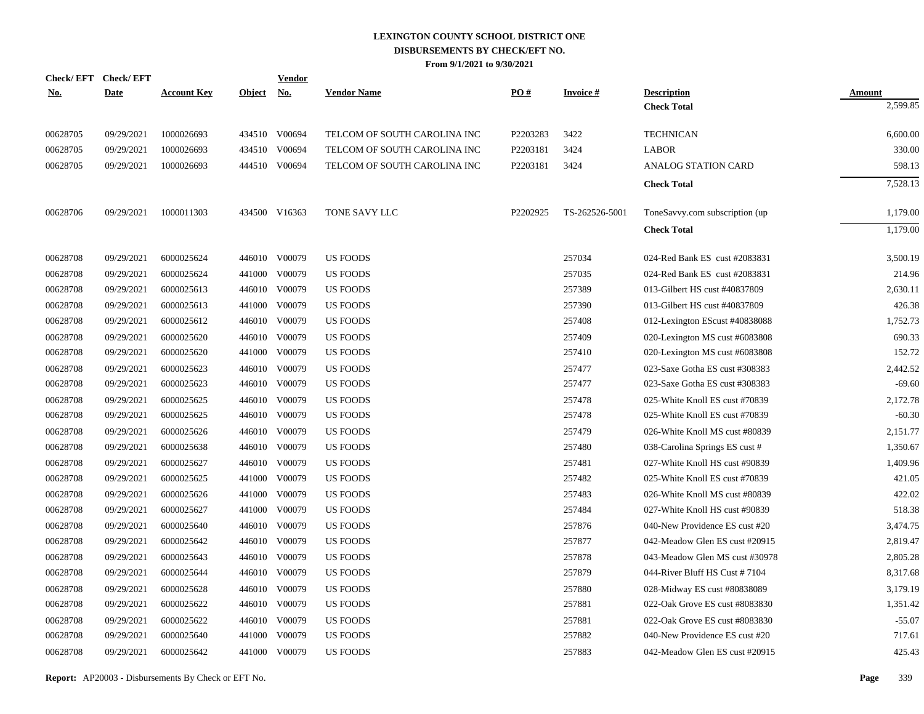| <u>No.</u> | Check/EFT Check/EFT<br><b>Date</b> | <b>Account Key</b> | Object No. | <b>Vendor</b> | <b>Vendor Name</b>           | PO#      | <b>Invoice#</b> | <b>Description</b>             | <b>Amount</b> |
|------------|------------------------------------|--------------------|------------|---------------|------------------------------|----------|-----------------|--------------------------------|---------------|
|            |                                    |                    |            |               |                              |          |                 | <b>Check Total</b>             | 2,599.85      |
| 00628705   | 09/29/2021                         | 1000026693         |            | 434510 V00694 | TELCOM OF SOUTH CAROLINA INC | P2203283 | 3422            | <b>TECHNICAN</b>               | 6,600.00      |
| 00628705   | 09/29/2021                         | 1000026693         |            | 434510 V00694 | TELCOM OF SOUTH CAROLINA INC | P2203181 | 3424            | <b>LABOR</b>                   | 330.00        |
| 00628705   | 09/29/2021                         | 1000026693         |            | 444510 V00694 | TELCOM OF SOUTH CAROLINA INC | P2203181 | 3424            | ANALOG STATION CARD            | 598.13        |
|            |                                    |                    |            |               |                              |          |                 | <b>Check Total</b>             | 7,528.13      |
| 00628706   | 09/29/2021                         | 1000011303         |            | 434500 V16363 | <b>TONE SAVY LLC</b>         | P2202925 | TS-262526-5001  | ToneSavvy.com subscription (up | 1,179.00      |
|            |                                    |                    |            |               |                              |          |                 | <b>Check Total</b>             | 1,179.00      |
| 00628708   | 09/29/2021                         | 6000025624         |            | 446010 V00079 | <b>US FOODS</b>              |          | 257034          | 024-Red Bank ES cust #2083831  | 3,500.19      |
| 00628708   | 09/29/2021                         | 6000025624         | 441000     | V00079        | US FOODS                     |          | 257035          | 024-Red Bank ES cust #2083831  | 214.96        |
| 00628708   | 09/29/2021                         | 6000025613         |            | 446010 V00079 | US FOODS                     |          | 257389          | 013-Gilbert HS cust #40837809  | 2,630.11      |
| 00628708   | 09/29/2021                         | 6000025613         | 441000     | V00079        | US FOODS                     |          | 257390          | 013-Gilbert HS cust #40837809  | 426.38        |
| 00628708   | 09/29/2021                         | 6000025612         |            | 446010 V00079 | US FOODS                     |          | 257408          | 012-Lexington EScust #40838088 | 1,752.73      |
| 00628708   | 09/29/2021                         | 6000025620         |            | 446010 V00079 | <b>US FOODS</b>              |          | 257409          | 020-Lexington MS cust #6083808 | 690.33        |
| 00628708   | 09/29/2021                         | 6000025620         | 441000     | V00079        | <b>US FOODS</b>              |          | 257410          | 020-Lexington MS cust #6083808 | 152.72        |
| 00628708   | 09/29/2021                         | 6000025623         |            | 446010 V00079 | <b>US FOODS</b>              |          | 257477          | 023-Saxe Gotha ES cust #308383 | 2,442.52      |
| 00628708   | 09/29/2021                         | 6000025623         |            | 446010 V00079 | <b>US FOODS</b>              |          | 257477          | 023-Saxe Gotha ES cust #308383 | $-69.60$      |
| 00628708   | 09/29/2021                         | 6000025625         |            | 446010 V00079 | <b>US FOODS</b>              |          | 257478          | 025-White Knoll ES cust #70839 | 2,172.78      |
| 00628708   | 09/29/2021                         | 6000025625         |            | 446010 V00079 | <b>US FOODS</b>              |          | 257478          | 025-White Knoll ES cust #70839 | $-60.30$      |
| 00628708   | 09/29/2021                         | 6000025626         |            | 446010 V00079 | <b>US FOODS</b>              |          | 257479          | 026-White Knoll MS cust #80839 | 2,151.77      |
| 00628708   | 09/29/2021                         | 6000025638         |            | 446010 V00079 | <b>US FOODS</b>              |          | 257480          | 038-Carolina Springs ES cust # | 1,350.67      |
| 00628708   | 09/29/2021                         | 6000025627         | 446010     | V00079        | US FOODS                     |          | 257481          | 027-White Knoll HS cust #90839 | 1,409.96      |
| 00628708   | 09/29/2021                         | 6000025625         |            | 441000 V00079 | <b>US FOODS</b>              |          | 257482          | 025-White Knoll ES cust #70839 | 421.05        |
| 00628708   | 09/29/2021                         | 6000025626         | 441000     | V00079        | US FOODS                     |          | 257483          | 026-White Knoll MS cust #80839 | 422.02        |
| 00628708   | 09/29/2021                         | 6000025627         |            | 441000 V00079 | US FOODS                     |          | 257484          | 027-White Knoll HS cust #90839 | 518.38        |
| 00628708   | 09/29/2021                         | 6000025640         | 446010     | V00079        | <b>US FOODS</b>              |          | 257876          | 040-New Providence ES cust #20 | 3,474.75      |
| 00628708   | 09/29/2021                         | 6000025642         |            | 446010 V00079 | US FOODS                     |          | 257877          | 042-Meadow Glen ES cust #20915 | 2,819.47      |
| 00628708   | 09/29/2021                         | 6000025643         | 446010     | V00079        | <b>US FOODS</b>              |          | 257878          | 043-Meadow Glen MS cust #30978 | 2,805.28      |
| 00628708   | 09/29/2021                         | 6000025644         |            | 446010 V00079 | <b>US FOODS</b>              |          | 257879          | 044-River Bluff HS Cust #7104  | 8,317.68      |
| 00628708   | 09/29/2021                         | 6000025628         | 446010     | V00079        | <b>US FOODS</b>              |          | 257880          | 028-Midway ES cust #80838089   | 3,179.19      |
| 00628708   | 09/29/2021                         | 6000025622         |            | 446010 V00079 | <b>US FOODS</b>              |          | 257881          | 022-Oak Grove ES cust #8083830 | 1,351.42      |
| 00628708   | 09/29/2021                         | 6000025622         | 446010     | V00079        | <b>US FOODS</b>              |          | 257881          | 022-Oak Grove ES cust #8083830 | $-55.07$      |
| 00628708   | 09/29/2021                         | 6000025640         | 441000     | V00079        | <b>US FOODS</b>              |          | 257882          | 040-New Providence ES cust #20 | 717.61        |
| 00628708   | 09/29/2021                         | 6000025642         |            | 441000 V00079 | <b>US FOODS</b>              |          | 257883          | 042-Meadow Glen ES cust #20915 | 425.43        |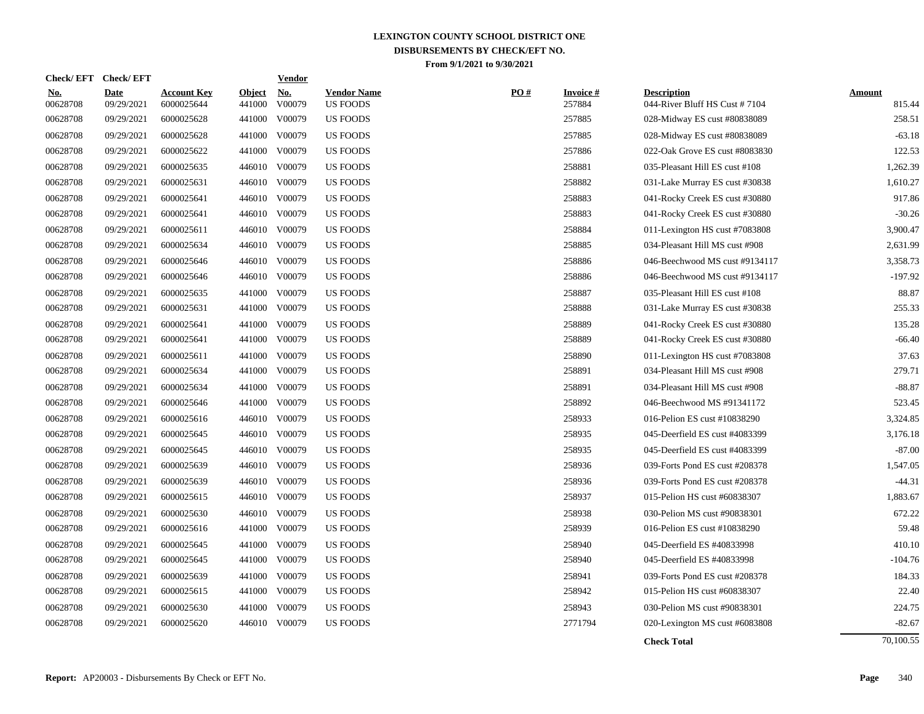| <b>Check/EFT</b>       | <b>Check/EFT</b>          |                                  |                         | <b>Vendor</b>        |                                       |     |                           |                                                     |                         |
|------------------------|---------------------------|----------------------------------|-------------------------|----------------------|---------------------------------------|-----|---------------------------|-----------------------------------------------------|-------------------------|
| <u>No.</u><br>00628708 | <b>Date</b><br>09/29/2021 | <b>Account Key</b><br>6000025644 | <b>Object</b><br>441000 | <u>No.</u><br>V00079 | <b>Vendor Name</b><br><b>US FOODS</b> | PO# | <b>Invoice#</b><br>257884 | <b>Description</b><br>044-River Bluff HS Cust #7104 | <b>Amount</b><br>815.44 |
| 00628708               | 09/29/2021                | 6000025628                       | 441000                  | V00079               | <b>US FOODS</b>                       |     | 257885                    | 028-Midway ES cust #80838089                        | 258.51                  |
| 00628708               | 09/29/2021                | 6000025628                       | 441000                  | V00079               | <b>US FOODS</b>                       |     | 257885                    | 028-Midway ES cust #80838089                        | $-63.18$                |
| 00628708               | 09/29/2021                | 6000025622                       | 441000                  | V00079               | <b>US FOODS</b>                       |     | 257886                    | 022-Oak Grove ES cust #8083830                      | 122.53                  |
| 00628708               | 09/29/2021                | 6000025635                       |                         | 446010 V00079        | <b>US FOODS</b>                       |     | 258881                    | 035-Pleasant Hill ES cust #108                      | 1,262.39                |
| 00628708               | 09/29/2021                | 6000025631                       |                         | 446010 V00079        | <b>US FOODS</b>                       |     | 258882                    | 031-Lake Murray ES cust #30838                      | 1,610.27                |
| 00628708               | 09/29/2021                | 6000025641                       |                         | 446010 V00079        | <b>US FOODS</b>                       |     | 258883                    | 041-Rocky Creek ES cust #30880                      | 917.86                  |
| 00628708               | 09/29/2021                | 6000025641                       |                         | 446010 V00079        | <b>US FOODS</b>                       |     | 258883                    | 041-Rocky Creek ES cust #30880                      | $-30.26$                |
| 00628708               | 09/29/2021                | 6000025611                       |                         | 446010 V00079        | <b>US FOODS</b>                       |     | 258884                    | 011-Lexington HS cust #7083808                      | 3,900.47                |
| 00628708               | 09/29/2021                | 6000025634                       |                         | 446010 V00079        | <b>US FOODS</b>                       |     | 258885                    | 034-Pleasant Hill MS cust #908                      | 2,631.99                |
| 00628708               | 09/29/2021                | 6000025646                       |                         | 446010 V00079        | <b>US FOODS</b>                       |     | 258886                    | 046-Beechwood MS cust #9134117                      | 3,358.73                |
| 00628708               | 09/29/2021                | 6000025646                       |                         | 446010 V00079        | <b>US FOODS</b>                       |     | 258886                    | 046-Beechwood MS cust #9134117                      | $-197.92$               |
| 00628708               | 09/29/2021                | 6000025635                       |                         | 441000 V00079        | <b>US FOODS</b>                       |     | 258887                    | 035-Pleasant Hill ES cust #108                      | 88.87                   |
| 00628708               | 09/29/2021                | 6000025631                       | 441000                  | V00079               | <b>US FOODS</b>                       |     | 258888                    | 031-Lake Murray ES cust #30838                      | 255.33                  |
| 00628708               | 09/29/2021                | 6000025641                       | 441000                  | V00079               | <b>US FOODS</b>                       |     | 258889                    | 041-Rocky Creek ES cust #30880                      | 135.28                  |
| 00628708               | 09/29/2021                | 6000025641                       | 441000                  | V00079               | <b>US FOODS</b>                       |     | 258889                    | 041-Rocky Creek ES cust #30880                      | $-66.40$                |
| 00628708               | 09/29/2021                | 6000025611                       | 441000                  | V00079               | <b>US FOODS</b>                       |     | 258890                    | 011-Lexington HS cust #7083808                      | 37.63                   |
| 00628708               | 09/29/2021                | 6000025634                       | 441000                  | V00079               | <b>US FOODS</b>                       |     | 258891                    | 034-Pleasant Hill MS cust #908                      | 279.71                  |
| 00628708               | 09/29/2021                | 6000025634                       |                         | 441000 V00079        | <b>US FOODS</b>                       |     | 258891                    | 034-Pleasant Hill MS cust #908                      | $-88.87$                |
| 00628708               | 09/29/2021                | 6000025646                       |                         | 441000 V00079        | <b>US FOODS</b>                       |     | 258892                    | 046-Beechwood MS #91341172                          | 523.45                  |
| 00628708               | 09/29/2021                | 6000025616                       |                         | 446010 V00079        | <b>US FOODS</b>                       |     | 258933                    | 016-Pelion ES cust #10838290                        | 3,324.85                |
| 00628708               | 09/29/2021                | 6000025645                       |                         | 446010 V00079        | <b>US FOODS</b>                       |     | 258935                    | 045-Deerfield ES cust #4083399                      | 3,176.18                |
| 00628708               | 09/29/2021                | 6000025645                       |                         | 446010 V00079        | <b>US FOODS</b>                       |     | 258935                    | 045-Deerfield ES cust #4083399                      | $-87.00$                |
| 00628708               | 09/29/2021                | 6000025639                       |                         | 446010 V00079        | <b>US FOODS</b>                       |     | 258936                    | 039-Forts Pond ES cust #208378                      | 1,547.05                |
| 00628708               | 09/29/2021                | 6000025639                       |                         | 446010 V00079        | <b>US FOODS</b>                       |     | 258936                    | 039-Forts Pond ES cust #208378                      | $-44.31$                |
| 00628708               | 09/29/2021                | 6000025615                       |                         | 446010 V00079        | <b>US FOODS</b>                       |     | 258937                    | 015-Pelion HS cust #60838307                        | 1,883.67                |
| 00628708               | 09/29/2021                | 6000025630                       |                         | 446010 V00079        | <b>US FOODS</b>                       |     | 258938                    | 030-Pelion MS cust #90838301                        | 672.22                  |
| 00628708               | 09/29/2021                | 6000025616                       |                         | 441000 V00079        | <b>US FOODS</b>                       |     | 258939                    | 016-Pelion ES cust #10838290                        | 59.48                   |
| 00628708               | 09/29/2021                | 6000025645                       | 441000                  | V00079               | <b>US FOODS</b>                       |     | 258940                    | 045-Deerfield ES #40833998                          | 410.10                  |
| 00628708               | 09/29/2021                | 6000025645                       | 441000                  | V00079               | <b>US FOODS</b>                       |     | 258940                    | 045-Deerfield ES #40833998                          | $-104.76$               |
| 00628708               | 09/29/2021                | 6000025639                       | 441000                  | V00079               | <b>US FOODS</b>                       |     | 258941                    | 039-Forts Pond ES cust #208378                      | 184.33                  |
| 00628708               | 09/29/2021                | 6000025615                       | 441000                  | V00079               | <b>US FOODS</b>                       |     | 258942                    | 015-Pelion HS cust #60838307                        | 22.40                   |
| 00628708               | 09/29/2021                | 6000025630                       | 441000                  | V00079               | <b>US FOODS</b>                       |     | 258943                    | 030-Pelion MS cust #90838301                        | 224.75                  |
| 00628708               | 09/29/2021                | 6000025620                       |                         | 446010 V00079        | <b>US FOODS</b>                       |     | 2771794                   | 020-Lexington MS cust #6083808                      | $-82.67$                |
|                        |                           |                                  |                         |                      |                                       |     |                           | <b>Check Total</b>                                  | 70,100.55               |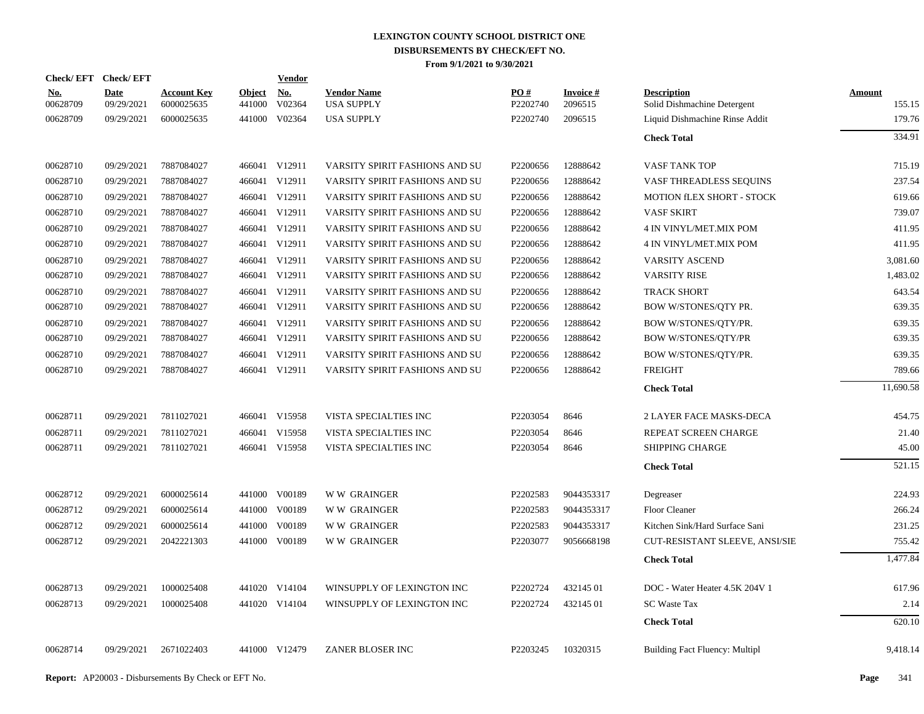| Check/EFT Check/EFT    |                           |                                  |                         | <b>Vendor</b> |                                         |                 |                            |                                                   |                         |
|------------------------|---------------------------|----------------------------------|-------------------------|---------------|-----------------------------------------|-----------------|----------------------------|---------------------------------------------------|-------------------------|
| <u>No.</u><br>00628709 | <b>Date</b><br>09/29/2021 | <b>Account Key</b><br>6000025635 | <b>Object</b><br>441000 | No.<br>V02364 | <b>Vendor Name</b><br><b>USA SUPPLY</b> | PO#<br>P2202740 | <b>Invoice#</b><br>2096515 | <b>Description</b><br>Solid Dishmachine Detergent | <b>Amount</b><br>155.15 |
| 00628709               | 09/29/2021                | 6000025635                       |                         | 441000 V02364 | <b>USA SUPPLY</b>                       | P2202740        | 2096515                    | Liquid Dishmachine Rinse Addit                    | 179.76                  |
|                        |                           |                                  |                         |               |                                         |                 |                            | <b>Check Total</b>                                | 334.91                  |
| 00628710               | 09/29/2021                | 7887084027                       |                         | 466041 V12911 | VARSITY SPIRIT FASHIONS AND SU          | P2200656        | 12888642                   | VASF TANK TOP                                     | 715.19                  |
| 00628710               | 09/29/2021                | 7887084027                       |                         | 466041 V12911 | VARSITY SPIRIT FASHIONS AND SU          | P2200656        | 12888642                   | VASF THREADLESS SEQUINS                           | 237.54                  |
| 00628710               | 09/29/2021                | 7887084027                       |                         | 466041 V12911 | VARSITY SPIRIT FASHIONS AND SU          | P2200656        | 12888642                   | <b>MOTION fLEX SHORT - STOCK</b>                  | 619.66                  |
| 00628710               | 09/29/2021                | 7887084027                       |                         | 466041 V12911 | VARSITY SPIRIT FASHIONS AND SU          | P2200656        | 12888642                   | <b>VASF SKIRT</b>                                 | 739.07                  |
| 00628710               | 09/29/2021                | 7887084027                       |                         | 466041 V12911 | VARSITY SPIRIT FASHIONS AND SU          | P2200656        | 12888642                   | 4 IN VINYL/MET.MIX POM                            | 411.95                  |
| 00628710               | 09/29/2021                | 7887084027                       |                         | 466041 V12911 | VARSITY SPIRIT FASHIONS AND SU          | P2200656        | 12888642                   | 4 IN VINYL/MET.MIX POM                            | 411.95                  |
| 00628710               | 09/29/2021                | 7887084027                       |                         | 466041 V12911 | VARSITY SPIRIT FASHIONS AND SU          | P2200656        | 12888642                   | <b>VARSITY ASCEND</b>                             | 3,081.60                |
| 00628710               | 09/29/2021                | 7887084027                       |                         | 466041 V12911 | VARSITY SPIRIT FASHIONS AND SU          | P2200656        | 12888642                   | <b>VARSITY RISE</b>                               | 1,483.02                |
| 00628710               | 09/29/2021                | 7887084027                       |                         | 466041 V12911 | VARSITY SPIRIT FASHIONS AND SU          | P2200656        | 12888642                   | <b>TRACK SHORT</b>                                | 643.54                  |
| 00628710               | 09/29/2021                | 7887084027                       |                         | 466041 V12911 | VARSITY SPIRIT FASHIONS AND SU          | P2200656        | 12888642                   | BOW W/STONES/QTY PR.                              | 639.35                  |
| 00628710               | 09/29/2021                | 7887084027                       |                         | 466041 V12911 | VARSITY SPIRIT FASHIONS AND SU          | P2200656        | 12888642                   | BOW W/STONES/QTY/PR.                              | 639.35                  |
| 00628710               | 09/29/2021                | 7887084027                       |                         | 466041 V12911 | VARSITY SPIRIT FASHIONS AND SU          | P2200656        | 12888642                   | <b>BOW W/STONES/QTY/PR</b>                        | 639.35                  |
| 00628710               | 09/29/2021                | 7887084027                       |                         | 466041 V12911 | VARSITY SPIRIT FASHIONS AND SU          | P2200656        | 12888642                   | BOW W/STONES/QTY/PR.                              | 639.35                  |
| 00628710               | 09/29/2021                | 7887084027                       |                         | 466041 V12911 | VARSITY SPIRIT FASHIONS AND SU          | P2200656        | 12888642                   | <b>FREIGHT</b>                                    | 789.66                  |
|                        |                           |                                  |                         |               |                                         |                 |                            | <b>Check Total</b>                                | 11,690.58               |
| 00628711               | 09/29/2021                | 7811027021                       |                         | 466041 V15958 | VISTA SPECIALTIES INC                   | P2203054        | 8646                       | <b>2 LAYER FACE MASKS-DECA</b>                    | 454.75                  |
| 00628711               | 09/29/2021                | 7811027021                       |                         | 466041 V15958 | VISTA SPECIALTIES INC                   | P2203054        | 8646                       | REPEAT SCREEN CHARGE                              | 21.40                   |
| 00628711               | 09/29/2021                | 7811027021                       |                         | 466041 V15958 | VISTA SPECIALTIES INC                   | P2203054        | 8646                       | <b>SHIPPING CHARGE</b>                            | 45.00                   |
|                        |                           |                                  |                         |               |                                         |                 |                            | <b>Check Total</b>                                | 521.15                  |
| 00628712               | 09/29/2021                | 6000025614                       |                         | 441000 V00189 | <b>WW GRAINGER</b>                      | P2202583        | 9044353317                 | Degreaser                                         | 224.93                  |
| 00628712               | 09/29/2021                | 6000025614                       |                         | 441000 V00189 | <b>WW GRAINGER</b>                      | P2202583        | 9044353317                 | <b>Floor Cleaner</b>                              | 266.24                  |
| 00628712               | 09/29/2021                | 6000025614                       | 441000                  | V00189        | <b>WW GRAINGER</b>                      | P2202583        | 9044353317                 | Kitchen Sink/Hard Surface Sani                    | 231.25                  |
| 00628712               | 09/29/2021                | 2042221303                       |                         | 441000 V00189 | <b>WW GRAINGER</b>                      | P2203077        | 9056668198                 | CUT-RESISTANT SLEEVE, ANSI/SIE                    | 755.42                  |
|                        |                           |                                  |                         |               |                                         |                 |                            | <b>Check Total</b>                                | 1,477.84                |
| 00628713               | 09/29/2021                | 1000025408                       |                         | 441020 V14104 | WINSUPPLY OF LEXINGTON INC              | P2202724        | 432145 01                  | DOC - Water Heater 4.5K 204V 1                    | 617.96                  |
| 00628713               | 09/29/2021                | 1000025408                       |                         | 441020 V14104 | WINSUPPLY OF LEXINGTON INC              | P2202724        | 432145 01                  | <b>SC Waste Tax</b>                               | 2.14                    |
|                        |                           |                                  |                         |               |                                         |                 |                            | <b>Check Total</b>                                | 620.10                  |
| 00628714               | 09/29/2021                | 2671022403                       |                         | 441000 V12479 | ZANER BLOSER INC                        | P2203245        | 10320315                   | <b>Building Fact Fluency: Multipl</b>             | 9,418.14                |
|                        |                           |                                  |                         |               |                                         |                 |                            |                                                   |                         |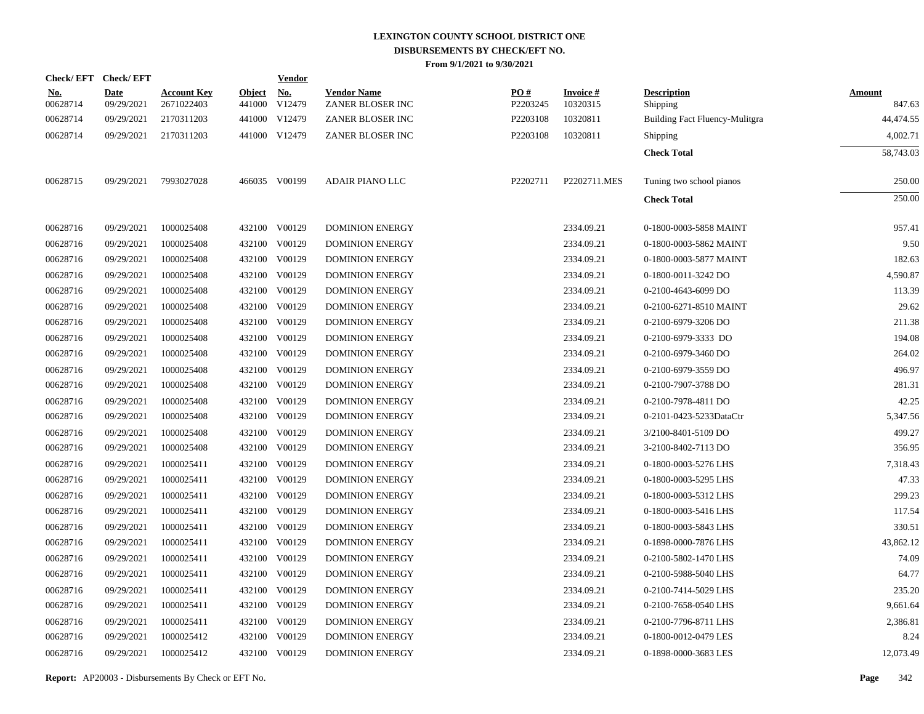| <b>Check/EFT</b>       | <b>Check/EFT</b>          |                                  |                         | <u>Vendor</u>        |                                        |                 |                             |                                |                         |
|------------------------|---------------------------|----------------------------------|-------------------------|----------------------|----------------------------------------|-----------------|-----------------------------|--------------------------------|-------------------------|
| <u>No.</u><br>00628714 | <b>Date</b><br>09/29/2021 | <b>Account Key</b><br>2671022403 | <b>Object</b><br>441000 | <u>No.</u><br>V12479 | <b>Vendor Name</b><br>ZANER BLOSER INC | PQ#<br>P2203245 | <b>Invoice#</b><br>10320315 | <b>Description</b><br>Shipping | <b>Amount</b><br>847.63 |
| 00628714               | 09/29/2021                | 2170311203                       |                         | 441000 V12479        | ZANER BLOSER INC                       | P2203108        | 10320811                    | Building Fact Fluency-Mulitgra | 44,474.55               |
| 00628714               | 09/29/2021                | 2170311203                       |                         | 441000 V12479        | ZANER BLOSER INC                       | P2203108        | 10320811                    | Shipping                       | 4,002.71                |
|                        |                           |                                  |                         |                      |                                        |                 |                             | <b>Check Total</b>             | 58,743.03               |
| 00628715               | 09/29/2021                | 7993027028                       |                         | 466035 V00199        | <b>ADAIR PIANO LLC</b>                 | P2202711        | P2202711.MES                | Tuning two school pianos       | 250.00                  |
|                        |                           |                                  |                         |                      |                                        |                 |                             | <b>Check Total</b>             | 250.00                  |
| 00628716               | 09/29/2021                | 1000025408                       |                         | 432100 V00129        | <b>DOMINION ENERGY</b>                 |                 | 2334.09.21                  | 0-1800-0003-5858 MAINT         | 957.41                  |
| 00628716               | 09/29/2021                | 1000025408                       |                         | 432100 V00129        | <b>DOMINION ENERGY</b>                 |                 | 2334.09.21                  | 0-1800-0003-5862 MAINT         | 9.50                    |
| 00628716               | 09/29/2021                | 1000025408                       |                         | 432100 V00129        | <b>DOMINION ENERGY</b>                 |                 | 2334.09.21                  | 0-1800-0003-5877 MAINT         | 182.63                  |
| 00628716               | 09/29/2021                | 1000025408                       |                         | 432100 V00129        | <b>DOMINION ENERGY</b>                 |                 | 2334.09.21                  | 0-1800-0011-3242 DO            | 4,590.87                |
| 00628716               | 09/29/2021                | 1000025408                       |                         | 432100 V00129        | <b>DOMINION ENERGY</b>                 |                 | 2334.09.21                  | 0-2100-4643-6099 DO            | 113.39                  |
| 00628716               | 09/29/2021                | 1000025408                       |                         | 432100 V00129        | <b>DOMINION ENERGY</b>                 |                 | 2334.09.21                  | 0-2100-6271-8510 MAINT         | 29.62                   |
| 00628716               | 09/29/2021                | 1000025408                       |                         | 432100 V00129        | <b>DOMINION ENERGY</b>                 |                 | 2334.09.21                  | 0-2100-6979-3206 DO            | 211.38                  |
| 00628716               | 09/29/2021                | 1000025408                       |                         | 432100 V00129        | DOMINION ENERGY                        |                 | 2334.09.21                  | 0-2100-6979-3333 DO            | 194.08                  |
| 00628716               | 09/29/2021                | 1000025408                       |                         | 432100 V00129        | <b>DOMINION ENERGY</b>                 |                 | 2334.09.21                  | 0-2100-6979-3460 DO            | 264.02                  |
| 00628716               | 09/29/2021                | 1000025408                       |                         | 432100 V00129        | <b>DOMINION ENERGY</b>                 |                 | 2334.09.21                  | 0-2100-6979-3559 DO            | 496.97                  |
| 00628716               | 09/29/2021                | 1000025408                       |                         | 432100 V00129        | <b>DOMINION ENERGY</b>                 |                 | 2334.09.21                  | 0-2100-7907-3788 DO            | 281.31                  |
| 00628716               | 09/29/2021                | 1000025408                       |                         | 432100 V00129        | <b>DOMINION ENERGY</b>                 |                 | 2334.09.21                  | 0-2100-7978-4811 DO            | 42.25                   |
| 00628716               | 09/29/2021                | 1000025408                       |                         | 432100 V00129        | <b>DOMINION ENERGY</b>                 |                 | 2334.09.21                  | 0-2101-0423-5233DataCtr        | 5,347.56                |
| 00628716               | 09/29/2021                | 1000025408                       |                         | 432100 V00129        | <b>DOMINION ENERGY</b>                 |                 | 2334.09.21                  | 3/2100-8401-5109 DO            | 499.27                  |
| 00628716               | 09/29/2021                | 1000025408                       |                         | 432100 V00129        | <b>DOMINION ENERGY</b>                 |                 | 2334.09.21                  | 3-2100-8402-7113 DO            | 356.95                  |
| 00628716               | 09/29/2021                | 1000025411                       |                         | 432100 V00129        | <b>DOMINION ENERGY</b>                 |                 | 2334.09.21                  | 0-1800-0003-5276 LHS           | 7,318.43                |
| 00628716               | 09/29/2021                | 1000025411                       |                         | 432100 V00129        | <b>DOMINION ENERGY</b>                 |                 | 2334.09.21                  | 0-1800-0003-5295 LHS           | 47.33                   |
| 00628716               | 09/29/2021                | 1000025411                       |                         | 432100 V00129        | <b>DOMINION ENERGY</b>                 |                 | 2334.09.21                  | 0-1800-0003-5312 LHS           | 299.23                  |
| 00628716               | 09/29/2021                | 1000025411                       |                         | 432100 V00129        | <b>DOMINION ENERGY</b>                 |                 | 2334.09.21                  | 0-1800-0003-5416 LHS           | 117.54                  |
| 00628716               | 09/29/2021                | 1000025411                       |                         | 432100 V00129        | <b>DOMINION ENERGY</b>                 |                 | 2334.09.21                  | 0-1800-0003-5843 LHS           | 330.51                  |
| 00628716               | 09/29/2021                | 1000025411                       |                         | 432100 V00129        | <b>DOMINION ENERGY</b>                 |                 | 2334.09.21                  | 0-1898-0000-7876 LHS           | 43,862.12               |
| 00628716               | 09/29/2021                | 1000025411                       |                         | 432100 V00129        | <b>DOMINION ENERGY</b>                 |                 | 2334.09.21                  | 0-2100-5802-1470 LHS           | 74.09                   |
| 00628716               | 09/29/2021                | 1000025411                       |                         | 432100 V00129        | <b>DOMINION ENERGY</b>                 |                 | 2334.09.21                  | 0-2100-5988-5040 LHS           | 64.77                   |
| 00628716               | 09/29/2021                | 1000025411                       |                         | 432100 V00129        | <b>DOMINION ENERGY</b>                 |                 | 2334.09.21                  | 0-2100-7414-5029 LHS           | 235.20                  |
| 00628716               | 09/29/2021                | 1000025411                       |                         | 432100 V00129        | <b>DOMINION ENERGY</b>                 |                 | 2334.09.21                  | 0-2100-7658-0540 LHS           | 9,661.64                |
| 00628716               | 09/29/2021                | 1000025411                       |                         | 432100 V00129        | <b>DOMINION ENERGY</b>                 |                 | 2334.09.21                  | 0-2100-7796-8711 LHS           | 2,386.81                |
| 00628716               | 09/29/2021                | 1000025412                       |                         | 432100 V00129        | <b>DOMINION ENERGY</b>                 |                 | 2334.09.21                  | 0-1800-0012-0479 LES           | 8.24                    |
| 00628716               | 09/29/2021                | 1000025412                       |                         | 432100 V00129        | <b>DOMINION ENERGY</b>                 |                 | 2334.09.21                  | 0-1898-0000-3683 LES           | 12,073.49               |
|                        |                           |                                  |                         |                      |                                        |                 |                             |                                |                         |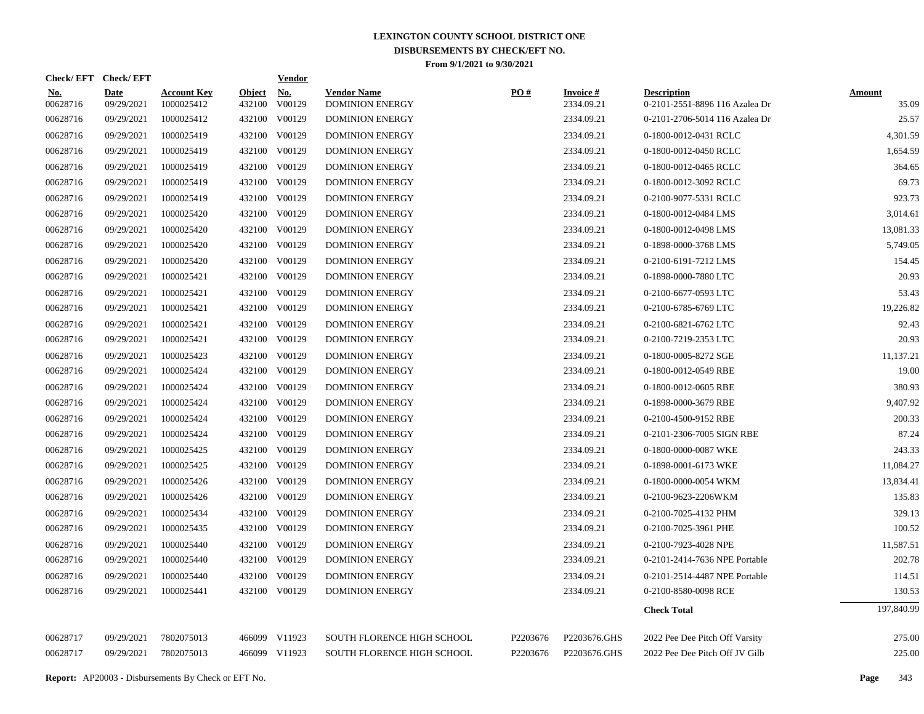| Check/EFT Check/EFT    |                           |                                  |                         | <b>Vendor</b>        |                                              |                   |                               |                                                      |                        |
|------------------------|---------------------------|----------------------------------|-------------------------|----------------------|----------------------------------------------|-------------------|-------------------------------|------------------------------------------------------|------------------------|
| <u>No.</u><br>00628716 | <b>Date</b><br>09/29/2021 | <b>Account Key</b><br>1000025412 | <u>Object</u><br>432100 | <u>No.</u><br>V00129 | <b>Vendor Name</b><br><b>DOMINION ENERGY</b> | $\underline{PO#}$ | <b>Invoice#</b><br>2334.09.21 | <b>Description</b><br>0-2101-2551-8896 116 Azalea Dr | <b>Amount</b><br>35.09 |
| 00628716               | 09/29/2021                | 1000025412                       | 432100                  | V00129               | <b>DOMINION ENERGY</b>                       |                   | 2334.09.21                    | 0-2101-2706-5014 116 Azalea Dr                       | 25.57                  |
| 00628716               | 09/29/2021                | 1000025419                       |                         | 432100 V00129        | <b>DOMINION ENERGY</b>                       |                   | 2334.09.21                    | 0-1800-0012-0431 RCLC                                | 4,301.59               |
| 00628716               | 09/29/2021                | 1000025419                       |                         | 432100 V00129        | <b>DOMINION ENERGY</b>                       |                   | 2334.09.21                    | 0-1800-0012-0450 RCLC                                | 1,654.59               |
| 00628716               | 09/29/2021                | 1000025419                       | 432100                  | V00129               | <b>DOMINION ENERGY</b>                       |                   | 2334.09.21                    | 0-1800-0012-0465 RCLC                                | 364.65                 |
| 00628716               | 09/29/2021                | 1000025419                       | 432100                  | V00129               | <b>DOMINION ENERGY</b>                       |                   | 2334.09.21                    | 0-1800-0012-3092 RCLC                                | 69.73                  |
| 00628716               | 09/29/2021                | 1000025419                       |                         | 432100 V00129        | <b>DOMINION ENERGY</b>                       |                   | 2334.09.21                    | 0-2100-9077-5331 RCLC                                | 923.73                 |
| 00628716               | 09/29/2021                | 1000025420                       |                         | 432100 V00129        | <b>DOMINION ENERGY</b>                       |                   | 2334.09.21                    | 0-1800-0012-0484 LMS                                 | 3,014.61               |
| 00628716               | 09/29/2021                | 1000025420                       |                         | 432100 V00129        | <b>DOMINION ENERGY</b>                       |                   | 2334.09.21                    | 0-1800-0012-0498 LMS                                 | 13,081.33              |
| 00628716               | 09/29/2021                | 1000025420                       |                         | 432100 V00129        | <b>DOMINION ENERGY</b>                       |                   | 2334.09.21                    | 0-1898-0000-3768 LMS                                 | 5.749.05               |
| 00628716               | 09/29/2021                | 1000025420                       |                         | 432100 V00129        | <b>DOMINION ENERGY</b>                       |                   | 2334.09.21                    | 0-2100-6191-7212 LMS                                 | 154.45                 |
| 00628716               | 09/29/2021                | 1000025421                       |                         | 432100 V00129        | <b>DOMINION ENERGY</b>                       |                   | 2334.09.21                    | 0-1898-0000-7880 LTC                                 | 20.93                  |
| 00628716               | 09/29/2021                | 1000025421                       |                         | 432100 V00129        | <b>DOMINION ENERGY</b>                       |                   | 2334.09.21                    | 0-2100-6677-0593 LTC                                 | 53.43                  |
| 00628716               | 09/29/2021                | 1000025421                       |                         | 432100 V00129        | <b>DOMINION ENERGY</b>                       |                   | 2334.09.21                    | 0-2100-6785-6769 LTC                                 | 19,226.82              |
| 00628716               | 09/29/2021                | 1000025421                       |                         | 432100 V00129        | <b>DOMINION ENERGY</b>                       |                   | 2334.09.21                    | 0-2100-6821-6762 LTC                                 | 92.43                  |
| 00628716               | 09/29/2021                | 1000025421                       |                         | 432100 V00129        | <b>DOMINION ENERGY</b>                       |                   | 2334.09.21                    | 0-2100-7219-2353 LTC                                 | 20.93                  |
| 00628716               | 09/29/2021                | 1000025423                       |                         | 432100 V00129        | <b>DOMINION ENERGY</b>                       |                   | 2334.09.21                    | 0-1800-0005-8272 SGE                                 | 11,137.21              |
| 00628716               | 09/29/2021                | 1000025424                       |                         | 432100 V00129        | <b>DOMINION ENERGY</b>                       |                   | 2334.09.21                    | 0-1800-0012-0549 RBE                                 | 19.00                  |
| 00628716               | 09/29/2021                | 1000025424                       |                         | 432100 V00129        | <b>DOMINION ENERGY</b>                       |                   | 2334.09.21                    | 0-1800-0012-0605 RBE                                 | 380.93                 |
| 00628716               | 09/29/2021                | 1000025424                       |                         | 432100 V00129        | <b>DOMINION ENERGY</b>                       |                   | 2334.09.21                    | 0-1898-0000-3679 RBE                                 | 9.407.92               |
| 00628716               | 09/29/2021                | 1000025424                       |                         | 432100 V00129        | <b>DOMINION ENERGY</b>                       |                   | 2334.09.21                    | 0-2100-4500-9152 RBE                                 | 200.33                 |
| 00628716               | 09/29/2021                | 1000025424                       |                         | 432100 V00129        | <b>DOMINION ENERGY</b>                       |                   | 2334.09.21                    | 0-2101-2306-7005 SIGN RBE                            | 87.24                  |
| 00628716               | 09/29/2021                | 1000025425                       |                         | 432100 V00129        | <b>DOMINION ENERGY</b>                       |                   | 2334.09.21                    | 0-1800-0000-0087 WKE                                 | 243.33                 |
| 00628716               | 09/29/2021                | 1000025425                       |                         | 432100 V00129        | <b>DOMINION ENERGY</b>                       |                   | 2334.09.21                    | 0-1898-0001-6173 WKE                                 | 11,084.27              |
| 00628716               | 09/29/2021                | 1000025426                       |                         | 432100 V00129        | <b>DOMINION ENERGY</b>                       |                   | 2334.09.21                    | 0-1800-0000-0054 WKM                                 | 13,834.41              |
| 00628716               | 09/29/2021                | 1000025426                       | 432100                  | V00129               | <b>DOMINION ENERGY</b>                       |                   | 2334.09.21                    | 0-2100-9623-2206WKM                                  | 135.83                 |
| 00628716               | 09/29/2021                | 1000025434                       |                         | 432100 V00129        | <b>DOMINION ENERGY</b>                       |                   | 2334.09.21                    | 0-2100-7025-4132 PHM                                 | 329.13                 |
| 00628716               | 09/29/2021                | 1000025435                       | 432100                  | V00129               | DOMINION ENERGY                              |                   | 2334.09.21                    | 0-2100-7025-3961 PHE                                 | 100.52                 |
| 00628716               | 09/29/2021                | 1000025440                       | 432100                  | V00129               | <b>DOMINION ENERGY</b>                       |                   | 2334.09.21                    | 0-2100-7923-4028 NPE                                 | 11,587.51              |
| 00628716               | 09/29/2021                | 1000025440                       | 432100                  | V00129               | DOMINION ENERGY                              |                   | 2334.09.21                    | 0-2101-2414-7636 NPE Portable                        | 202.78                 |
| 00628716               | 09/29/2021                | 1000025440                       | 432100                  | V00129               | <b>DOMINION ENERGY</b>                       |                   | 2334.09.21                    | 0-2101-2514-4487 NPE Portable                        | 114.51                 |
| 00628716               | 09/29/2021                | 1000025441                       |                         | 432100 V00129        | <b>DOMINION ENERGY</b>                       |                   | 2334.09.21                    | 0-2100-8580-0098 RCE                                 | 130.53                 |
|                        |                           |                                  |                         |                      |                                              |                   |                               | <b>Check Total</b>                                   | 197,840.99             |
| 00628717               | 09/29/2021                | 7802075013                       |                         | 466099 V11923        | <b>SOUTH FLORENCE HIGH SCHOOL</b>            | P2203676          | P2203676.GHS                  | 2022 Pee Dee Pitch Off Varsity                       | 275.00                 |
| 00628717               | 09/29/2021                | 7802075013                       |                         | 466099 V11923        | SOUTH FLORENCE HIGH SCHOOL                   | P2203676          | P2203676.GHS                  | 2022 Pee Dee Pitch Off JV Gilb                       | 225.00                 |
|                        |                           |                                  |                         |                      |                                              |                   |                               |                                                      |                        |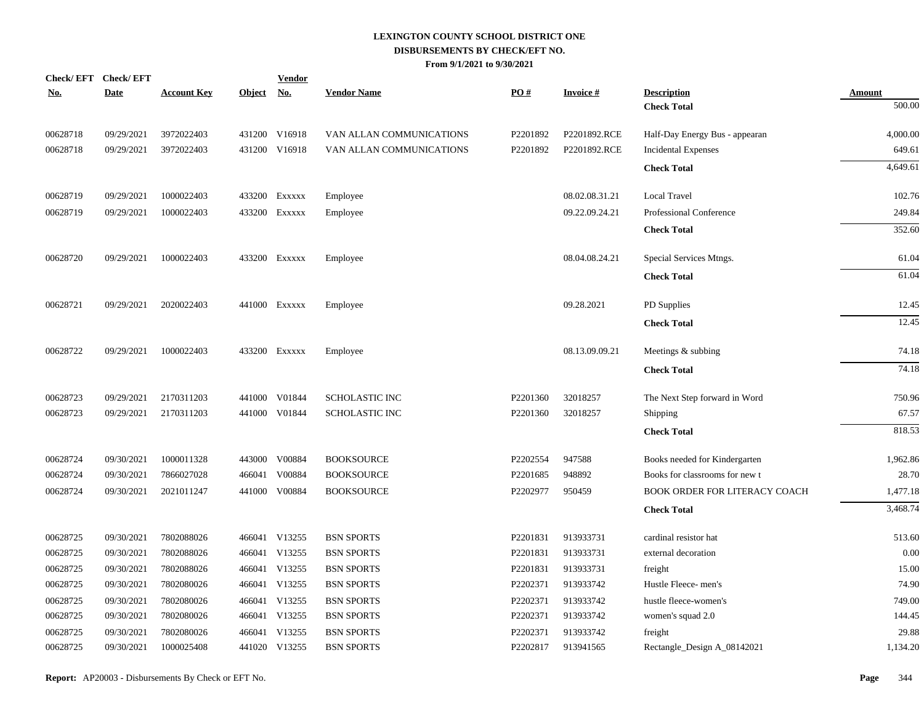| Check/EFT Check/EFT |             |                    |            | <b>Vendor</b> |                          |          |                 |                                |               |
|---------------------|-------------|--------------------|------------|---------------|--------------------------|----------|-----------------|--------------------------------|---------------|
| <u>No.</u>          | <b>Date</b> | <b>Account Key</b> | Object No. |               | <b>Vendor Name</b>       | PO#      | <b>Invoice#</b> | <b>Description</b>             | <b>Amount</b> |
|                     |             |                    |            |               |                          |          |                 | <b>Check Total</b>             | 500.00        |
| 00628718            | 09/29/2021  | 3972022403         |            | 431200 V16918 | VAN ALLAN COMMUNICATIONS | P2201892 | P2201892.RCE    | Half-Day Energy Bus - appearan | 4,000.00      |
| 00628718            | 09/29/2021  | 3972022403         |            | 431200 V16918 | VAN ALLAN COMMUNICATIONS | P2201892 | P2201892.RCE    | <b>Incidental Expenses</b>     | 649.61        |
|                     |             |                    |            |               |                          |          |                 | <b>Check Total</b>             | 4,649.61      |
| 00628719            | 09/29/2021  | 1000022403         |            | 433200 Exxxxx | Employee                 |          | 08.02.08.31.21  | <b>Local Travel</b>            | 102.76        |
| 00628719            | 09/29/2021  | 1000022403         |            | 433200 Exxxxx | Employee                 |          | 09.22.09.24.21  | Professional Conference        | 249.84        |
|                     |             |                    |            |               |                          |          |                 | <b>Check Total</b>             | 352.60        |
| 00628720            | 09/29/2021  | 1000022403         |            | 433200 Exxxxx | Employee                 |          | 08.04.08.24.21  | Special Services Mtngs.        | 61.04         |
|                     |             |                    |            |               |                          |          |                 | <b>Check Total</b>             | 61.04         |
| 00628721            | 09/29/2021  | 2020022403         |            | 441000 Exxxxx | Employee                 |          | 09.28.2021      | PD Supplies                    | 12.45         |
|                     |             |                    |            |               |                          |          |                 | <b>Check Total</b>             | 12.45         |
| 00628722            | 09/29/2021  | 1000022403         |            | 433200 Exxxxx | Employee                 |          | 08.13.09.09.21  | Meetings & subbing             | 74.18         |
|                     |             |                    |            |               |                          |          |                 | <b>Check Total</b>             | 74.18         |
| 00628723            | 09/29/2021  | 2170311203         | 441000     | V01844        | <b>SCHOLASTIC INC</b>    | P2201360 | 32018257        | The Next Step forward in Word  | 750.96        |
| 00628723            | 09/29/2021  | 2170311203         |            | 441000 V01844 | <b>SCHOLASTIC INC</b>    | P2201360 | 32018257        | Shipping                       | 67.57         |
|                     |             |                    |            |               |                          |          |                 | <b>Check Total</b>             | 818.53        |
| 00628724            | 09/30/2021  | 1000011328         | 443000     | V00884        | <b>BOOKSOURCE</b>        | P2202554 | 947588          | Books needed for Kindergarten  | 1,962.86      |
| 00628724            | 09/30/2021  | 7866027028         | 466041     | V00884        | <b>BOOKSOURCE</b>        | P2201685 | 948892          | Books for classrooms for new t | 28.70         |
| 00628724            | 09/30/2021  | 2021011247         | 441000     | V00884        | <b>BOOKSOURCE</b>        | P2202977 | 950459          | BOOK ORDER FOR LITERACY COACH  | 1,477.18      |
|                     |             |                    |            |               |                          |          |                 | <b>Check Total</b>             | 3,468.74      |
| 00628725            | 09/30/2021  | 7802088026         |            | 466041 V13255 | <b>BSN SPORTS</b>        | P2201831 | 913933731       | cardinal resistor hat          | 513.60        |
| 00628725            | 09/30/2021  | 7802088026         |            | 466041 V13255 | <b>BSN SPORTS</b>        | P2201831 | 913933731       | external decoration            | 0.00          |
| 00628725            | 09/30/2021  | 7802088026         |            | 466041 V13255 | <b>BSN SPORTS</b>        | P2201831 | 913933731       | freight                        | 15.00         |
| 00628725            | 09/30/2021  | 7802080026         |            | 466041 V13255 | <b>BSN SPORTS</b>        | P2202371 | 913933742       | Hustle Fleece-men's            | 74.90         |
| 00628725            | 09/30/2021  | 7802080026         |            | 466041 V13255 | <b>BSN SPORTS</b>        | P2202371 | 913933742       | hustle fleece-women's          | 749.00        |
| 00628725            | 09/30/2021  | 7802080026         |            | 466041 V13255 | <b>BSN SPORTS</b>        | P2202371 | 913933742       | women's squad 2.0              | 144.45        |
| 00628725            | 09/30/2021  | 7802080026         | 466041     | V13255        | <b>BSN SPORTS</b>        | P2202371 | 913933742       | freight                        | 29.88         |
| 00628725            | 09/30/2021  | 1000025408         |            | 441020 V13255 | <b>BSN SPORTS</b>        | P2202817 | 913941565       | Rectangle_Design A_08142021    | 1,134.20      |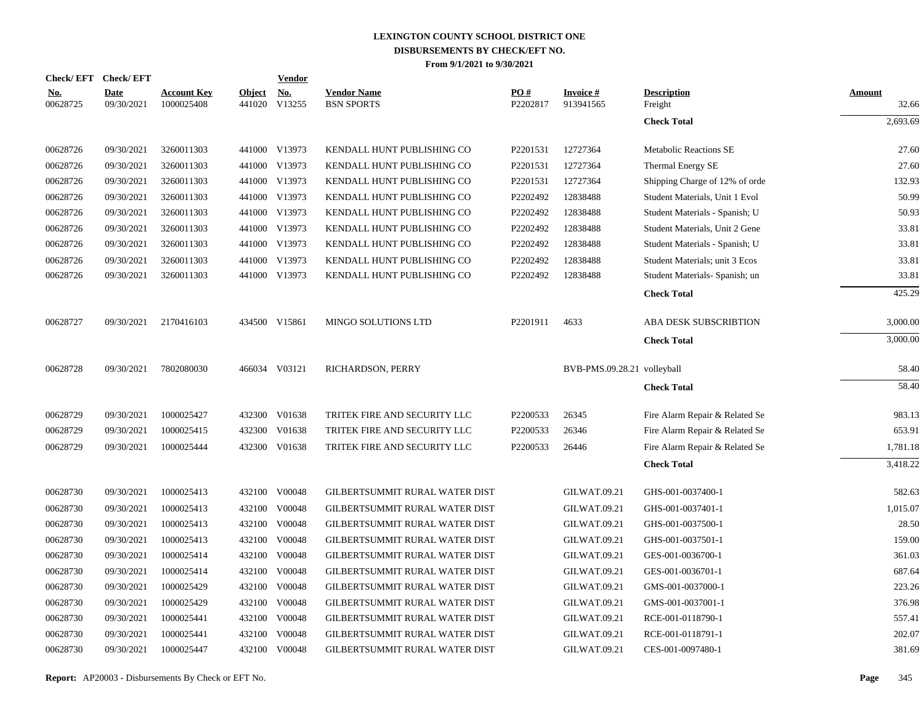| Check/EFT Check/EFT    |                           |                                  |                         | <b>Vendor</b>        |                                         |                 |                             |                                |                        |
|------------------------|---------------------------|----------------------------------|-------------------------|----------------------|-----------------------------------------|-----------------|-----------------------------|--------------------------------|------------------------|
| <u>No.</u><br>00628725 | <b>Date</b><br>09/30/2021 | <b>Account Key</b><br>1000025408 | <b>Object</b><br>441020 | <u>No.</u><br>V13255 | <b>Vendor Name</b><br><b>BSN SPORTS</b> | PO#<br>P2202817 | Invoice #<br>913941565      | <b>Description</b><br>Freight  | <b>Amount</b><br>32.66 |
|                        |                           |                                  |                         |                      |                                         |                 |                             | <b>Check Total</b>             | 2,693.69               |
| 00628726               | 09/30/2021                | 3260011303                       |                         | 441000 V13973        | KENDALL HUNT PUBLISHING CO              | P2201531        | 12727364                    | <b>Metabolic Reactions SE</b>  | 27.60                  |
| 00628726               | 09/30/2021                | 3260011303                       |                         | 441000 V13973        | KENDALL HUNT PUBLISHING CO              | P2201531        | 12727364                    | <b>Thermal Energy SE</b>       | 27.60                  |
| 00628726               | 09/30/2021                | 3260011303                       |                         | 441000 V13973        | KENDALL HUNT PUBLISHING CO              | P2201531        | 12727364                    | Shipping Charge of 12% of orde | 132.93                 |
| 00628726               | 09/30/2021                | 3260011303                       |                         | 441000 V13973        | KENDALL HUNT PUBLISHING CO              | P2202492        | 12838488                    | Student Materials, Unit 1 Evol | 50.99                  |
| 00628726               | 09/30/2021                | 3260011303                       |                         | 441000 V13973        | KENDALL HUNT PUBLISHING CO              | P2202492        | 12838488                    | Student Materials - Spanish; U | 50.93                  |
| 00628726               | 09/30/2021                | 3260011303                       |                         | 441000 V13973        | KENDALL HUNT PUBLISHING CO              | P2202492        | 12838488                    | Student Materials, Unit 2 Gene | 33.81                  |
| 00628726               | 09/30/2021                | 3260011303                       |                         | 441000 V13973        | KENDALL HUNT PUBLISHING CO              | P2202492        | 12838488                    | Student Materials - Spanish; U | 33.81                  |
| 00628726               | 09/30/2021                | 3260011303                       |                         | 441000 V13973        | KENDALL HUNT PUBLISHING CO              | P2202492        | 12838488                    | Student Materials; unit 3 Ecos | 33.81                  |
| 00628726               | 09/30/2021                | 3260011303                       |                         | 441000 V13973        | KENDALL HUNT PUBLISHING CO              | P2202492        | 12838488                    | Student Materials- Spanish; un | 33.81                  |
|                        |                           |                                  |                         |                      |                                         |                 |                             | <b>Check Total</b>             | 425.29                 |
| 00628727               | 09/30/2021                | 2170416103                       |                         | 434500 V15861        | <b>MINGO SOLUTIONS LTD</b>              | P2201911        | 4633                        | ABA DESK SUBSCRIBTION          | 3,000.00               |
|                        |                           |                                  |                         |                      |                                         |                 |                             | <b>Check Total</b>             | 3,000.00               |
| 00628728               | 09/30/2021                | 7802080030                       |                         | 466034 V03121        | RICHARDSON, PERRY                       |                 | BVB-PMS.09.28.21 volleyball |                                | 58.40                  |
|                        |                           |                                  |                         |                      |                                         |                 |                             | <b>Check Total</b>             | 58.40                  |
| 00628729               | 09/30/2021                | 1000025427                       |                         | 432300 V01638        | TRITEK FIRE AND SECURITY LLC            | P2200533        | 26345                       | Fire Alarm Repair & Related Se | 983.13                 |
| 00628729               | 09/30/2021                | 1000025415                       |                         | 432300 V01638        | TRITEK FIRE AND SECURITY LLC            | P2200533        | 26346                       | Fire Alarm Repair & Related Se | 653.91                 |
| 00628729               | 09/30/2021                | 1000025444                       |                         | 432300 V01638        | TRITEK FIRE AND SECURITY LLC            | P2200533        | 26446                       | Fire Alarm Repair & Related Se | 1,781.18               |
|                        |                           |                                  |                         |                      |                                         |                 |                             | <b>Check Total</b>             | 3,418.22               |
| 00628730               | 09/30/2021                | 1000025413                       |                         | 432100 V00048        | GILBERTSUMMIT RURAL WATER DIST          |                 | <b>GILWAT.09.21</b>         | GHS-001-0037400-1              | 582.63                 |
| 00628730               | 09/30/2021                | 1000025413                       | 432100                  | V00048               | GILBERTSUMMIT RURAL WATER DIST          |                 | <b>GILWAT.09.21</b>         | GHS-001-0037401-1              | 1,015.07               |
| 00628730               | 09/30/2021                | 1000025413                       |                         | 432100 V00048        | GILBERTSUMMIT RURAL WATER DIST          |                 | <b>GILWAT.09.21</b>         | GHS-001-0037500-1              | 28.50                  |
| 00628730               | 09/30/2021                | 1000025413                       | 432100                  | V00048               | GILBERTSUMMIT RURAL WATER DIST          |                 | <b>GILWAT.09.21</b>         | GHS-001-0037501-1              | 159.00                 |
| 00628730               | 09/30/2021                | 1000025414                       |                         | 432100 V00048        | GILBERTSUMMIT RURAL WATER DIST          |                 | <b>GILWAT.09.21</b>         | GES-001-0036700-1              | 361.03                 |
| 00628730               | 09/30/2021                | 1000025414                       | 432100                  | V00048               | GILBERTSUMMIT RURAL WATER DIST          |                 | <b>GILWAT.09.21</b>         | GES-001-0036701-1              | 687.64                 |
| 00628730               | 09/30/2021                | 1000025429                       |                         | 432100 V00048        | GILBERTSUMMIT RURAL WATER DIST          |                 | GILWAT.09.21                | GMS-001-0037000-1              | 223.26                 |
| 00628730               | 09/30/2021                | 1000025429                       | 432100                  | V00048               | GILBERTSUMMIT RURAL WATER DIST          |                 | GILWAT.09.21                | GMS-001-0037001-1              | 376.98                 |
| 00628730               | 09/30/2021                | 1000025441                       |                         | 432100 V00048        | GILBERTSUMMIT RURAL WATER DIST          |                 | <b>GILWAT.09.21</b>         | RCE-001-0118790-1              | 557.41                 |
| 00628730               | 09/30/2021                | 1000025441                       |                         | 432100 V00048        | GILBERTSUMMIT RURAL WATER DIST          |                 | <b>GILWAT.09.21</b>         | RCE-001-0118791-1              | 202.07                 |
| 00628730               | 09/30/2021                | 1000025447                       |                         | 432100 V00048        | GILBERTSUMMIT RURAL WATER DIST          |                 | <b>GILWAT.09.21</b>         | CES-001-0097480-1              | 381.69                 |